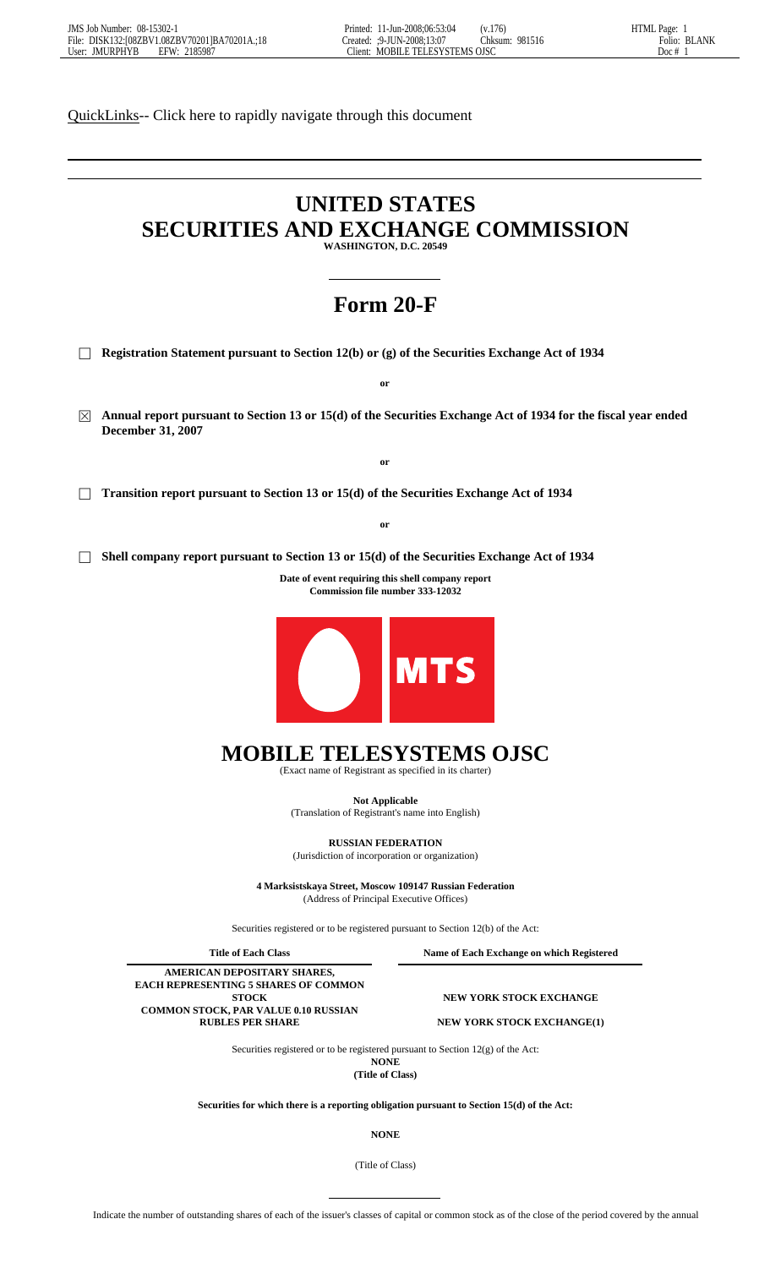# **UNITED STATES SECURITIES AND EXCHANGE COMMISSION WASHINGTON, D.C. 20549**



(Translation of Registrant's name into English)

**RUSSIAN FEDERATION**

(Jurisdiction of incorporation or organization)

**4 Marksistskaya Street, Moscow 109147 Russian Federation** (Address of Principal Executive Offices)

Securities registered or to be registered pursuant to Section 12(b) of the Act:

**Title of Each Class Name of Each Exchange on which Registered**

**AMERICAN DEPOSITARY SHARES, EACH REPRESENTING 5 SHARES OF COMMON STOCK NEW YORK STOCK EXCHANGE COMMON STOCK, PAR VALUE 0.10 RUSSIAN**

**NEW YORK STOCK EXCHANGE(1)** 

Securities registered or to be registered pursuant to Section 12(g) of the Act: **NONE**

**(Title of Class)**

**Securities for which there is a reporting obligation pursuant to Section 15(d) of the Act:**

**NONE**

(Title of Class)

Indicate the number of outstanding shares of each of the issuer's classes of capital or common stock as of the close of the period covered by the annual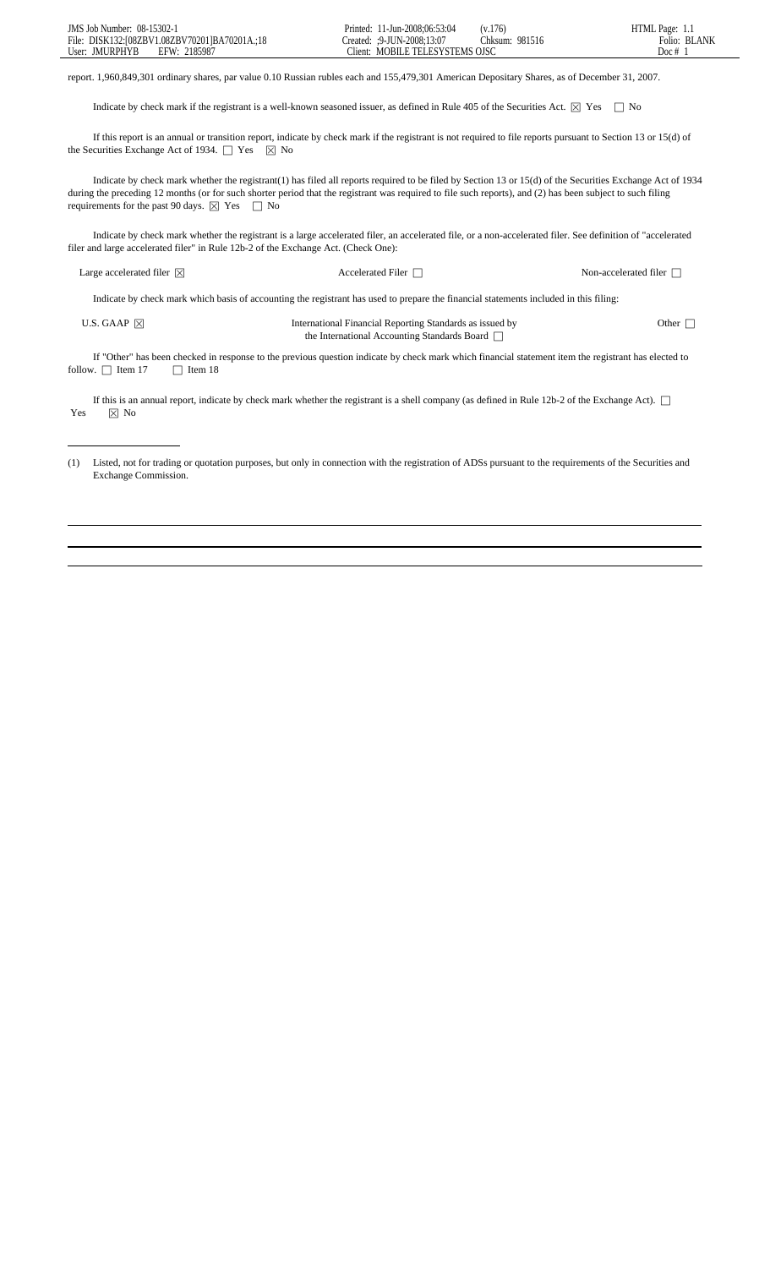report. 1,960,849,301 ordinary shares, par value 0.10 Russian rubles each and 155,479,301 American Depositary Shares, as of December 31, 2007.

Indicate by check mark if the registrant is a well-known seasoned issuer, as defined in Rule 405 of the Securities Act.  $\boxtimes$  Yes  $\Box$  No

 If this report is an annual or transition report, indicate by check mark if the registrant is not required to file reports pursuant to Section 13 or 15(d) of the Securities Exchange Act of 1934.  $\Box$  Yes  $\Box$  No

 Indicate by check mark whether the registrant(1) has filed all reports required to be filed by Section 13 or 15(d) of the Securities Exchange Act of 1934 during the preceding 12 months (or for such shorter period that the registrant was required to file such reports), and (2) has been subject to such filing requirements for the past 90 days.  $\boxtimes$  Yes  $\Box$  No

 Indicate by check mark whether the registrant is a large accelerated filer, an accelerated file, or a non-accelerated filer. See definition of "accelerated filer and large accelerated filer" in Rule 12b-2 of the Exchange Act. (Check One):

Large accelerated filer  $\overline{\boxtimes}$ 

Accelerated Filer  $\Box$ 

Indicate by check mark which basis of accounting the registrant has used to prepare the financial statements included in this filing:

U.S. GAAP  $\,\boxtimes\,$ 

 International Financial Reporting Standards as issued by the International Accounting Standards Board  $\Box$ 

Other  $\Box$ 

 If "Other" has been checked in response to the previous question indicate by check mark which financial statement item the registrant has elected to follow.  $\Box$  Item 17  $\Box$  Item 18

 If this is an annual report, indicate by check mark whether the registrant is a shell company (as defined in Rule 12b-2 of the Exchange Act).  $\operatorname{Yes}$  $\times$  No

(1) Listed, not for trading or quotation purposes, but only in connection with the registration of ADSs pursuant to the requirements of the Securities and Exchange Commission.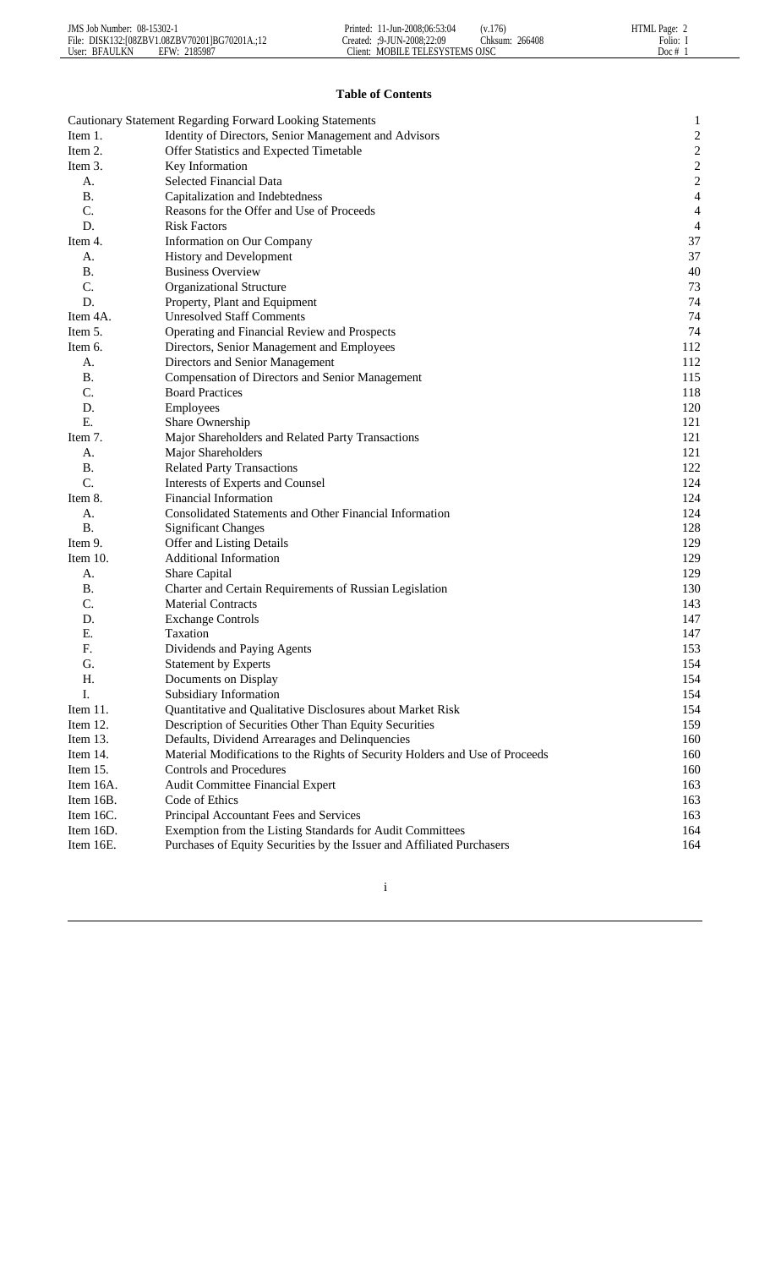## **Table of Contents**

| $\overline{\mathbf{c}}$<br>Identity of Directors, Senior Management and Advisors<br>Item 1.<br>$\overline{c}$<br>Item 2.<br>Offer Statistics and Expected Timetable<br>$\overline{c}$<br>Item 3.<br>Key Information<br>$\overline{c}$<br>Selected Financial Data<br>А.<br>$\overline{4}$<br><b>B.</b><br>Capitalization and Indebtedness<br>C.<br>$\overline{\mathcal{L}}$<br>Reasons for the Offer and Use of Proceeds<br>D.<br>$\overline{4}$<br><b>Risk Factors</b><br>37<br>Item 4.<br>Information on Our Company<br>37<br>History and Development<br>А.<br>40<br>Β.<br><b>Business Overview</b><br>C.<br>Organizational Structure<br>73<br>D.<br>74<br>Property, Plant and Equipment<br>74<br><b>Unresolved Staff Comments</b><br>Item 4A.<br>74<br>Item 5.<br>Operating and Financial Review and Prospects<br>112<br>Item 6.<br>Directors, Senior Management and Employees<br>Directors and Senior Management<br>112<br>А.<br><b>B.</b><br>115<br><b>Compensation of Directors and Senior Management</b><br>C.<br><b>Board Practices</b><br>118<br>D.<br>Employees<br>120<br>Ε.<br>Share Ownership<br>121<br>121<br>Item 7.<br>Major Shareholders and Related Party Transactions<br>121<br>А.<br>Major Shareholders<br><b>B.</b><br><b>Related Party Transactions</b><br>122<br>$C$ .<br>Interests of Experts and Counsel<br>124<br><b>Financial Information</b><br>Item 8.<br>124<br>Consolidated Statements and Other Financial Information<br>124<br>Α.<br><b>B.</b><br>128<br><b>Significant Changes</b><br>Item 9.<br>Offer and Listing Details<br>129<br><b>Additional Information</b><br>Item $10$ .<br>129<br>129<br>A.<br>Share Capital<br><b>B.</b><br>130<br>Charter and Certain Requirements of Russian Legislation<br>C.<br><b>Material Contracts</b><br>143<br>D.<br><b>Exchange Controls</b><br>147<br>Е.<br>Taxation<br>147<br>F.<br>153<br>Dividends and Paying Agents<br>G.<br>154<br><b>Statement by Experts</b><br>Η.<br>154<br>Documents on Display<br>I.<br>Subsidiary Information<br>154<br>154<br>Item 11.<br>Quantitative and Qualitative Disclosures about Market Risk |
|--------------------------------------------------------------------------------------------------------------------------------------------------------------------------------------------------------------------------------------------------------------------------------------------------------------------------------------------------------------------------------------------------------------------------------------------------------------------------------------------------------------------------------------------------------------------------------------------------------------------------------------------------------------------------------------------------------------------------------------------------------------------------------------------------------------------------------------------------------------------------------------------------------------------------------------------------------------------------------------------------------------------------------------------------------------------------------------------------------------------------------------------------------------------------------------------------------------------------------------------------------------------------------------------------------------------------------------------------------------------------------------------------------------------------------------------------------------------------------------------------------------------------------------------------------------------------------------------------------------------------------------------------------------------------------------------------------------------------------------------------------------------------------------------------------------------------------------------------------------------------------------------------------------------------------------------------------------------------------------------------------------------------------------------------------------------------------------------------------|
|                                                                                                                                                                                                                                                                                                                                                                                                                                                                                                                                                                                                                                                                                                                                                                                                                                                                                                                                                                                                                                                                                                                                                                                                                                                                                                                                                                                                                                                                                                                                                                                                                                                                                                                                                                                                                                                                                                                                                                                                                                                                                                        |
|                                                                                                                                                                                                                                                                                                                                                                                                                                                                                                                                                                                                                                                                                                                                                                                                                                                                                                                                                                                                                                                                                                                                                                                                                                                                                                                                                                                                                                                                                                                                                                                                                                                                                                                                                                                                                                                                                                                                                                                                                                                                                                        |
|                                                                                                                                                                                                                                                                                                                                                                                                                                                                                                                                                                                                                                                                                                                                                                                                                                                                                                                                                                                                                                                                                                                                                                                                                                                                                                                                                                                                                                                                                                                                                                                                                                                                                                                                                                                                                                                                                                                                                                                                                                                                                                        |
|                                                                                                                                                                                                                                                                                                                                                                                                                                                                                                                                                                                                                                                                                                                                                                                                                                                                                                                                                                                                                                                                                                                                                                                                                                                                                                                                                                                                                                                                                                                                                                                                                                                                                                                                                                                                                                                                                                                                                                                                                                                                                                        |
|                                                                                                                                                                                                                                                                                                                                                                                                                                                                                                                                                                                                                                                                                                                                                                                                                                                                                                                                                                                                                                                                                                                                                                                                                                                                                                                                                                                                                                                                                                                                                                                                                                                                                                                                                                                                                                                                                                                                                                                                                                                                                                        |
|                                                                                                                                                                                                                                                                                                                                                                                                                                                                                                                                                                                                                                                                                                                                                                                                                                                                                                                                                                                                                                                                                                                                                                                                                                                                                                                                                                                                                                                                                                                                                                                                                                                                                                                                                                                                                                                                                                                                                                                                                                                                                                        |
|                                                                                                                                                                                                                                                                                                                                                                                                                                                                                                                                                                                                                                                                                                                                                                                                                                                                                                                                                                                                                                                                                                                                                                                                                                                                                                                                                                                                                                                                                                                                                                                                                                                                                                                                                                                                                                                                                                                                                                                                                                                                                                        |
|                                                                                                                                                                                                                                                                                                                                                                                                                                                                                                                                                                                                                                                                                                                                                                                                                                                                                                                                                                                                                                                                                                                                                                                                                                                                                                                                                                                                                                                                                                                                                                                                                                                                                                                                                                                                                                                                                                                                                                                                                                                                                                        |
|                                                                                                                                                                                                                                                                                                                                                                                                                                                                                                                                                                                                                                                                                                                                                                                                                                                                                                                                                                                                                                                                                                                                                                                                                                                                                                                                                                                                                                                                                                                                                                                                                                                                                                                                                                                                                                                                                                                                                                                                                                                                                                        |
|                                                                                                                                                                                                                                                                                                                                                                                                                                                                                                                                                                                                                                                                                                                                                                                                                                                                                                                                                                                                                                                                                                                                                                                                                                                                                                                                                                                                                                                                                                                                                                                                                                                                                                                                                                                                                                                                                                                                                                                                                                                                                                        |
|                                                                                                                                                                                                                                                                                                                                                                                                                                                                                                                                                                                                                                                                                                                                                                                                                                                                                                                                                                                                                                                                                                                                                                                                                                                                                                                                                                                                                                                                                                                                                                                                                                                                                                                                                                                                                                                                                                                                                                                                                                                                                                        |
|                                                                                                                                                                                                                                                                                                                                                                                                                                                                                                                                                                                                                                                                                                                                                                                                                                                                                                                                                                                                                                                                                                                                                                                                                                                                                                                                                                                                                                                                                                                                                                                                                                                                                                                                                                                                                                                                                                                                                                                                                                                                                                        |
|                                                                                                                                                                                                                                                                                                                                                                                                                                                                                                                                                                                                                                                                                                                                                                                                                                                                                                                                                                                                                                                                                                                                                                                                                                                                                                                                                                                                                                                                                                                                                                                                                                                                                                                                                                                                                                                                                                                                                                                                                                                                                                        |
|                                                                                                                                                                                                                                                                                                                                                                                                                                                                                                                                                                                                                                                                                                                                                                                                                                                                                                                                                                                                                                                                                                                                                                                                                                                                                                                                                                                                                                                                                                                                                                                                                                                                                                                                                                                                                                                                                                                                                                                                                                                                                                        |
|                                                                                                                                                                                                                                                                                                                                                                                                                                                                                                                                                                                                                                                                                                                                                                                                                                                                                                                                                                                                                                                                                                                                                                                                                                                                                                                                                                                                                                                                                                                                                                                                                                                                                                                                                                                                                                                                                                                                                                                                                                                                                                        |
|                                                                                                                                                                                                                                                                                                                                                                                                                                                                                                                                                                                                                                                                                                                                                                                                                                                                                                                                                                                                                                                                                                                                                                                                                                                                                                                                                                                                                                                                                                                                                                                                                                                                                                                                                                                                                                                                                                                                                                                                                                                                                                        |
|                                                                                                                                                                                                                                                                                                                                                                                                                                                                                                                                                                                                                                                                                                                                                                                                                                                                                                                                                                                                                                                                                                                                                                                                                                                                                                                                                                                                                                                                                                                                                                                                                                                                                                                                                                                                                                                                                                                                                                                                                                                                                                        |
|                                                                                                                                                                                                                                                                                                                                                                                                                                                                                                                                                                                                                                                                                                                                                                                                                                                                                                                                                                                                                                                                                                                                                                                                                                                                                                                                                                                                                                                                                                                                                                                                                                                                                                                                                                                                                                                                                                                                                                                                                                                                                                        |
|                                                                                                                                                                                                                                                                                                                                                                                                                                                                                                                                                                                                                                                                                                                                                                                                                                                                                                                                                                                                                                                                                                                                                                                                                                                                                                                                                                                                                                                                                                                                                                                                                                                                                                                                                                                                                                                                                                                                                                                                                                                                                                        |
|                                                                                                                                                                                                                                                                                                                                                                                                                                                                                                                                                                                                                                                                                                                                                                                                                                                                                                                                                                                                                                                                                                                                                                                                                                                                                                                                                                                                                                                                                                                                                                                                                                                                                                                                                                                                                                                                                                                                                                                                                                                                                                        |
|                                                                                                                                                                                                                                                                                                                                                                                                                                                                                                                                                                                                                                                                                                                                                                                                                                                                                                                                                                                                                                                                                                                                                                                                                                                                                                                                                                                                                                                                                                                                                                                                                                                                                                                                                                                                                                                                                                                                                                                                                                                                                                        |
|                                                                                                                                                                                                                                                                                                                                                                                                                                                                                                                                                                                                                                                                                                                                                                                                                                                                                                                                                                                                                                                                                                                                                                                                                                                                                                                                                                                                                                                                                                                                                                                                                                                                                                                                                                                                                                                                                                                                                                                                                                                                                                        |
|                                                                                                                                                                                                                                                                                                                                                                                                                                                                                                                                                                                                                                                                                                                                                                                                                                                                                                                                                                                                                                                                                                                                                                                                                                                                                                                                                                                                                                                                                                                                                                                                                                                                                                                                                                                                                                                                                                                                                                                                                                                                                                        |
|                                                                                                                                                                                                                                                                                                                                                                                                                                                                                                                                                                                                                                                                                                                                                                                                                                                                                                                                                                                                                                                                                                                                                                                                                                                                                                                                                                                                                                                                                                                                                                                                                                                                                                                                                                                                                                                                                                                                                                                                                                                                                                        |
|                                                                                                                                                                                                                                                                                                                                                                                                                                                                                                                                                                                                                                                                                                                                                                                                                                                                                                                                                                                                                                                                                                                                                                                                                                                                                                                                                                                                                                                                                                                                                                                                                                                                                                                                                                                                                                                                                                                                                                                                                                                                                                        |
|                                                                                                                                                                                                                                                                                                                                                                                                                                                                                                                                                                                                                                                                                                                                                                                                                                                                                                                                                                                                                                                                                                                                                                                                                                                                                                                                                                                                                                                                                                                                                                                                                                                                                                                                                                                                                                                                                                                                                                                                                                                                                                        |
|                                                                                                                                                                                                                                                                                                                                                                                                                                                                                                                                                                                                                                                                                                                                                                                                                                                                                                                                                                                                                                                                                                                                                                                                                                                                                                                                                                                                                                                                                                                                                                                                                                                                                                                                                                                                                                                                                                                                                                                                                                                                                                        |
|                                                                                                                                                                                                                                                                                                                                                                                                                                                                                                                                                                                                                                                                                                                                                                                                                                                                                                                                                                                                                                                                                                                                                                                                                                                                                                                                                                                                                                                                                                                                                                                                                                                                                                                                                                                                                                                                                                                                                                                                                                                                                                        |
|                                                                                                                                                                                                                                                                                                                                                                                                                                                                                                                                                                                                                                                                                                                                                                                                                                                                                                                                                                                                                                                                                                                                                                                                                                                                                                                                                                                                                                                                                                                                                                                                                                                                                                                                                                                                                                                                                                                                                                                                                                                                                                        |
|                                                                                                                                                                                                                                                                                                                                                                                                                                                                                                                                                                                                                                                                                                                                                                                                                                                                                                                                                                                                                                                                                                                                                                                                                                                                                                                                                                                                                                                                                                                                                                                                                                                                                                                                                                                                                                                                                                                                                                                                                                                                                                        |
|                                                                                                                                                                                                                                                                                                                                                                                                                                                                                                                                                                                                                                                                                                                                                                                                                                                                                                                                                                                                                                                                                                                                                                                                                                                                                                                                                                                                                                                                                                                                                                                                                                                                                                                                                                                                                                                                                                                                                                                                                                                                                                        |
|                                                                                                                                                                                                                                                                                                                                                                                                                                                                                                                                                                                                                                                                                                                                                                                                                                                                                                                                                                                                                                                                                                                                                                                                                                                                                                                                                                                                                                                                                                                                                                                                                                                                                                                                                                                                                                                                                                                                                                                                                                                                                                        |
|                                                                                                                                                                                                                                                                                                                                                                                                                                                                                                                                                                                                                                                                                                                                                                                                                                                                                                                                                                                                                                                                                                                                                                                                                                                                                                                                                                                                                                                                                                                                                                                                                                                                                                                                                                                                                                                                                                                                                                                                                                                                                                        |
|                                                                                                                                                                                                                                                                                                                                                                                                                                                                                                                                                                                                                                                                                                                                                                                                                                                                                                                                                                                                                                                                                                                                                                                                                                                                                                                                                                                                                                                                                                                                                                                                                                                                                                                                                                                                                                                                                                                                                                                                                                                                                                        |
|                                                                                                                                                                                                                                                                                                                                                                                                                                                                                                                                                                                                                                                                                                                                                                                                                                                                                                                                                                                                                                                                                                                                                                                                                                                                                                                                                                                                                                                                                                                                                                                                                                                                                                                                                                                                                                                                                                                                                                                                                                                                                                        |
|                                                                                                                                                                                                                                                                                                                                                                                                                                                                                                                                                                                                                                                                                                                                                                                                                                                                                                                                                                                                                                                                                                                                                                                                                                                                                                                                                                                                                                                                                                                                                                                                                                                                                                                                                                                                                                                                                                                                                                                                                                                                                                        |
|                                                                                                                                                                                                                                                                                                                                                                                                                                                                                                                                                                                                                                                                                                                                                                                                                                                                                                                                                                                                                                                                                                                                                                                                                                                                                                                                                                                                                                                                                                                                                                                                                                                                                                                                                                                                                                                                                                                                                                                                                                                                                                        |
|                                                                                                                                                                                                                                                                                                                                                                                                                                                                                                                                                                                                                                                                                                                                                                                                                                                                                                                                                                                                                                                                                                                                                                                                                                                                                                                                                                                                                                                                                                                                                                                                                                                                                                                                                                                                                                                                                                                                                                                                                                                                                                        |
|                                                                                                                                                                                                                                                                                                                                                                                                                                                                                                                                                                                                                                                                                                                                                                                                                                                                                                                                                                                                                                                                                                                                                                                                                                                                                                                                                                                                                                                                                                                                                                                                                                                                                                                                                                                                                                                                                                                                                                                                                                                                                                        |
| Description of Securities Other Than Equity Securities<br>159<br>Item 12.                                                                                                                                                                                                                                                                                                                                                                                                                                                                                                                                                                                                                                                                                                                                                                                                                                                                                                                                                                                                                                                                                                                                                                                                                                                                                                                                                                                                                                                                                                                                                                                                                                                                                                                                                                                                                                                                                                                                                                                                                              |
| 160<br>Item 13.<br>Defaults, Dividend Arrearages and Delinquencies                                                                                                                                                                                                                                                                                                                                                                                                                                                                                                                                                                                                                                                                                                                                                                                                                                                                                                                                                                                                                                                                                                                                                                                                                                                                                                                                                                                                                                                                                                                                                                                                                                                                                                                                                                                                                                                                                                                                                                                                                                     |
| 160<br>Item 14.<br>Material Modifications to the Rights of Security Holders and Use of Proceeds                                                                                                                                                                                                                                                                                                                                                                                                                                                                                                                                                                                                                                                                                                                                                                                                                                                                                                                                                                                                                                                                                                                                                                                                                                                                                                                                                                                                                                                                                                                                                                                                                                                                                                                                                                                                                                                                                                                                                                                                        |
| 160<br>Item 15.<br><b>Controls and Procedures</b>                                                                                                                                                                                                                                                                                                                                                                                                                                                                                                                                                                                                                                                                                                                                                                                                                                                                                                                                                                                                                                                                                                                                                                                                                                                                                                                                                                                                                                                                                                                                                                                                                                                                                                                                                                                                                                                                                                                                                                                                                                                      |
| Item 16A.<br>Audit Committee Financial Expert<br>163                                                                                                                                                                                                                                                                                                                                                                                                                                                                                                                                                                                                                                                                                                                                                                                                                                                                                                                                                                                                                                                                                                                                                                                                                                                                                                                                                                                                                                                                                                                                                                                                                                                                                                                                                                                                                                                                                                                                                                                                                                                   |
| Code of Ethics<br>163<br>Item 16B.                                                                                                                                                                                                                                                                                                                                                                                                                                                                                                                                                                                                                                                                                                                                                                                                                                                                                                                                                                                                                                                                                                                                                                                                                                                                                                                                                                                                                                                                                                                                                                                                                                                                                                                                                                                                                                                                                                                                                                                                                                                                     |
| Item 16C.<br>Principal Accountant Fees and Services<br>163                                                                                                                                                                                                                                                                                                                                                                                                                                                                                                                                                                                                                                                                                                                                                                                                                                                                                                                                                                                                                                                                                                                                                                                                                                                                                                                                                                                                                                                                                                                                                                                                                                                                                                                                                                                                                                                                                                                                                                                                                                             |
| Item 16D.<br>Exemption from the Listing Standards for Audit Committees<br>164                                                                                                                                                                                                                                                                                                                                                                                                                                                                                                                                                                                                                                                                                                                                                                                                                                                                                                                                                                                                                                                                                                                                                                                                                                                                                                                                                                                                                                                                                                                                                                                                                                                                                                                                                                                                                                                                                                                                                                                                                          |
| Purchases of Equity Securities by the Issuer and Affiliated Purchasers<br>Item 16E.<br>164                                                                                                                                                                                                                                                                                                                                                                                                                                                                                                                                                                                                                                                                                                                                                                                                                                                                                                                                                                                                                                                                                                                                                                                                                                                                                                                                                                                                                                                                                                                                                                                                                                                                                                                                                                                                                                                                                                                                                                                                             |

i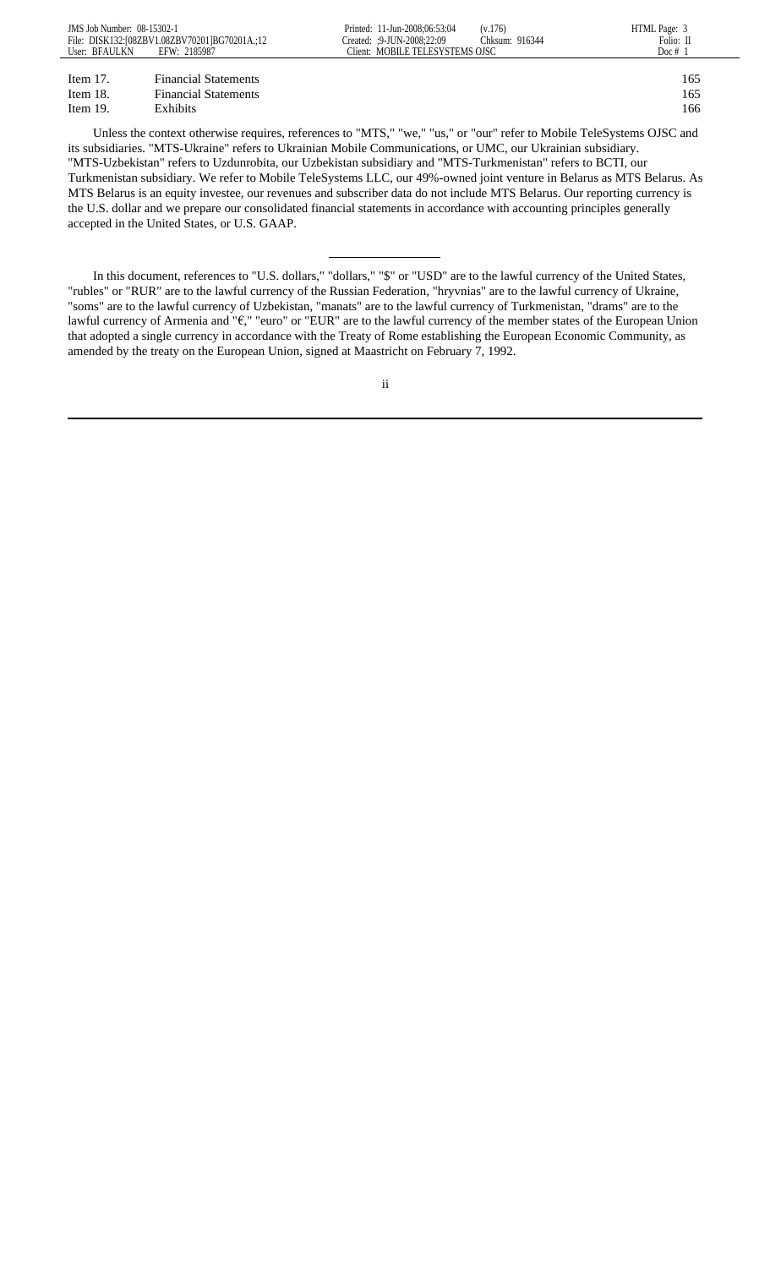| Item $17$ . | <b>Financial Statements</b> | 165 |
|-------------|-----------------------------|-----|
| Item $18$ . | <b>Financial Statements</b> | 165 |
| Item $19$ . | Exhibits                    | 166 |

 Unless the context otherwise requires, references to "MTS," "we," "us," or "our" refer to Mobile TeleSystems OJSC and its subsidiaries. "MTS-Ukraine" refers to Ukrainian Mobile Communications, or UMC, our Ukrainian subsidiary. "MTS-Uzbekistan" refers to Uzdunrobita, our Uzbekistan subsidiary and "MTS-Turkmenistan" refers to BCTI, our Turkmenistan subsidiary. We refer to Mobile TeleSystems LLC, our 49%-owned joint venture in Belarus as MTS Belarus. As MTS Belarus is an equity investee, our revenues and subscriber data do not include MTS Belarus. Our reporting currency is the U.S. dollar and we prepare our consolidated financial statements in accordance with accounting principles generally accepted in the United States, or U.S. GAAP.

 In this document, references to "U.S. dollars," "dollars," "\$" or "USD" are to the lawful currency of the United States, "rubles" or "RUR" are to the lawful currency of the Russian Federation, "hryvnias" are to the lawful currency of Ukraine, "soms" are to the lawful currency of Uzbekistan, "manats" are to the lawful currency of Turkmenistan, "drams" are to the lawful currency of Armenia and "€," "euro" or "EUR" are to the lawful currency of the member states of the European Union that adopted a single currency in accordance with the Treaty of Rome establishing the European Economic Community, as amended by the treaty on the European Union, signed at Maastricht on February 7, 1992.

ii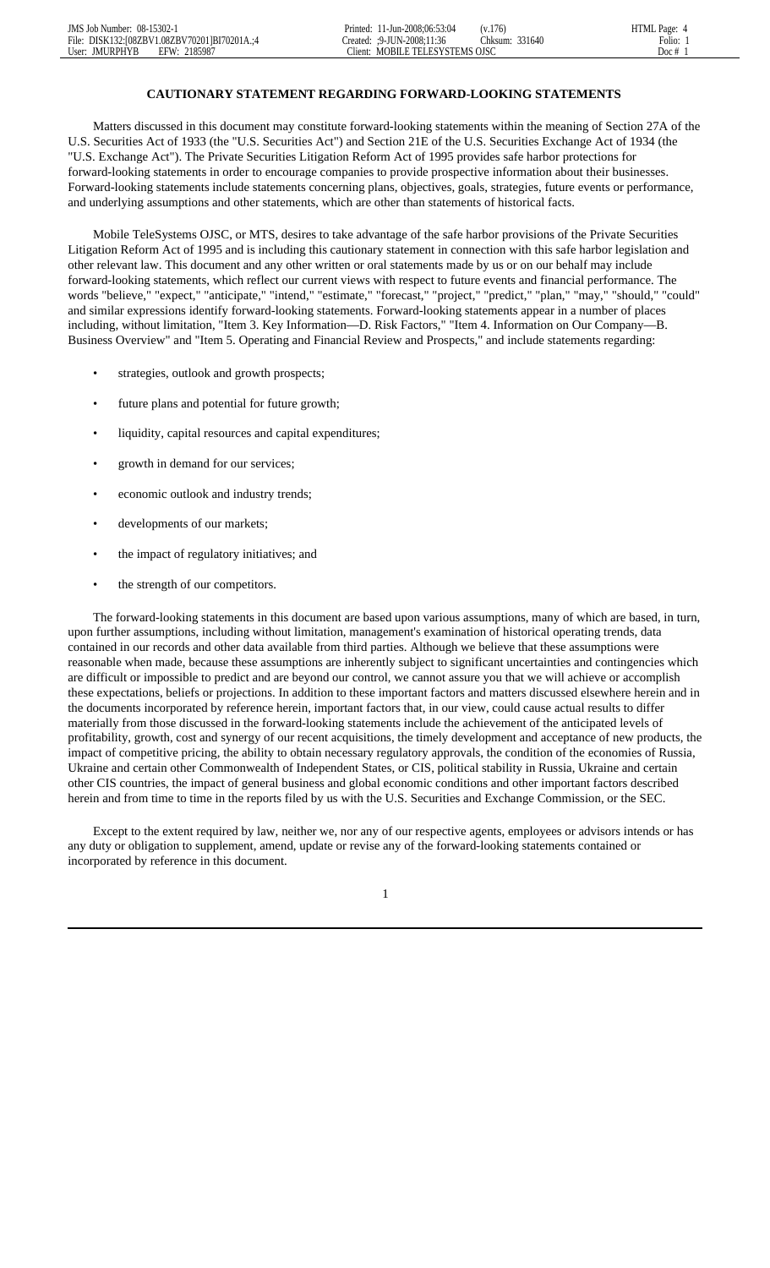#### **CAUTIONARY STATEMENT REGARDING FORWARD-LOOKING STATEMENTS**

 Matters discussed in this document may constitute forward-looking statements within the meaning of Section 27A of the U.S. Securities Act of 1933 (the "U.S. Securities Act") and Section 21E of the U.S. Securities Exchange Act of 1934 (the "U.S. Exchange Act"). The Private Securities Litigation Reform Act of 1995 provides safe harbor protections for forward-looking statements in order to encourage companies to provide prospective information about their businesses. Forward-looking statements include statements concerning plans, objectives, goals, strategies, future events or performance, and underlying assumptions and other statements, which are other than statements of historical facts.

 Mobile TeleSystems OJSC, or MTS, desires to take advantage of the safe harbor provisions of the Private Securities Litigation Reform Act of 1995 and is including this cautionary statement in connection with this safe harbor legislation and other relevant law. This document and any other written or oral statements made by us or on our behalf may include forward-looking statements, which reflect our current views with respect to future events and financial performance. The words "believe," "expect," "anticipate," "intend," "estimate," "forecast," "project," "predict," "plan," "may," "should," "could" and similar expressions identify forward-looking statements. Forward-looking statements appear in a number of places including, without limitation, "Item 3. Key Information—D. Risk Factors," "Item 4. Information on Our Company—B. Business Overview" and "Item 5. Operating and Financial Review and Prospects," and include statements regarding:

- strategies, outlook and growth prospects;
- future plans and potential for future growth;
- liquidity, capital resources and capital expenditures;
- growth in demand for our services;
- economic outlook and industry trends;
- developments of our markets;
- the impact of regulatory initiatives; and
- the strength of our competitors.

 The forward-looking statements in this document are based upon various assumptions, many of which are based, in turn, upon further assumptions, including without limitation, management's examination of historical operating trends, data contained in our records and other data available from third parties. Although we believe that these assumptions were reasonable when made, because these assumptions are inherently subject to significant uncertainties and contingencies which are difficult or impossible to predict and are beyond our control, we cannot assure you that we will achieve or accomplish these expectations, beliefs or projections. In addition to these important factors and matters discussed elsewhere herein and in the documents incorporated by reference herein, important factors that, in our view, could cause actual results to differ materially from those discussed in the forward-looking statements include the achievement of the anticipated levels of profitability, growth, cost and synergy of our recent acquisitions, the timely development and acceptance of new products, the impact of competitive pricing, the ability to obtain necessary regulatory approvals, the condition of the economies of Russia, Ukraine and certain other Commonwealth of Independent States, or CIS, political stability in Russia, Ukraine and certain other CIS countries, the impact of general business and global economic conditions and other important factors described herein and from time to time in the reports filed by us with the U.S. Securities and Exchange Commission, or the SEC.

 Except to the extent required by law, neither we, nor any of our respective agents, employees or advisors intends or has any duty or obligation to supplement, amend, update or revise any of the forward-looking statements contained or incorporated by reference in this document.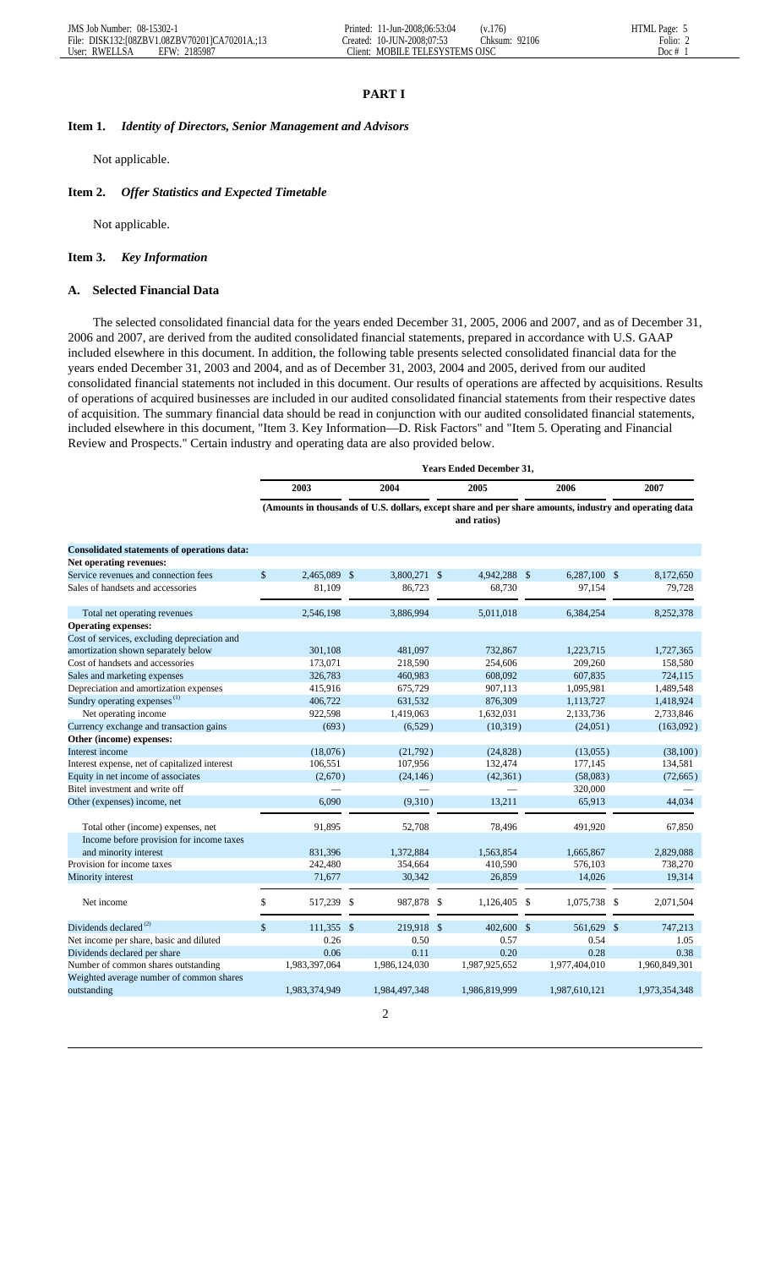#### **PART I**

#### **Item 1.** *Identity of Directors, Senior Management and Advisors*

Not applicable.

## **Item 2.** *Offer Statistics and Expected Timetable*

Not applicable.

## **Item 3.** *Key Information*

#### **A. Selected Financial Data**

 The selected consolidated financial data for the years ended December 31, 2005, 2006 and 2007, and as of December 31, 2006 and 2007, are derived from the audited consolidated financial statements, prepared in accordance with U.S. GAAP included elsewhere in this document. In addition, the following table presents selected consolidated financial data for the years ended December 31, 2003 and 2004, and as of December 31, 2003, 2004 and 2005, derived from our audited consolidated financial statements not included in this document. Our results of operations are affected by acquisitions. Results of operations of acquired businesses are included in our audited consolidated financial statements from their respective dates of acquisition. The summary financial data should be read in conjunction with our audited consolidated financial statements, included elsewhere in this document, "Item 3. Key Information—D. Risk Factors" and "Item 5. Operating and Financial Review and Prospects." Certain industry and operating data are also provided below.

|                                                    | <b>Years Ended December 31,</b> |               |    |               |  |               |  |                                                                                                        |  |               |  |
|----------------------------------------------------|---------------------------------|---------------|----|---------------|--|---------------|--|--------------------------------------------------------------------------------------------------------|--|---------------|--|
|                                                    | 2003                            |               |    | 2004          |  | 2005          |  | 2006                                                                                                   |  | 2007          |  |
|                                                    |                                 |               |    |               |  | and ratios)   |  | (Amounts in thousands of U.S. dollars, except share and per share amounts, industry and operating data |  |               |  |
| <b>Consolidated statements of operations data:</b> |                                 |               |    |               |  |               |  |                                                                                                        |  |               |  |
| Net operating revenues:                            |                                 |               |    |               |  |               |  |                                                                                                        |  |               |  |
| Service revenues and connection fees               | \$                              | 2,465,089 \$  |    | 3,800,271 \$  |  | 4,942,288 \$  |  | 6,287,100 \$                                                                                           |  | 8,172,650     |  |
| Sales of handsets and accessories                  |                                 | 81,109        |    | 86,723        |  | 68,730        |  | 97,154                                                                                                 |  | 79,728        |  |
| Total net operating revenues                       |                                 | 2,546,198     |    | 3,886,994     |  | 5,011,018     |  | 6,384,254                                                                                              |  | 8,252,378     |  |
| <b>Operating expenses:</b>                         |                                 |               |    |               |  |               |  |                                                                                                        |  |               |  |
| Cost of services, excluding depreciation and       |                                 |               |    |               |  |               |  |                                                                                                        |  |               |  |
| amortization shown separately below                |                                 | 301,108       |    | 481,097       |  | 732,867       |  | 1,223,715                                                                                              |  | 1,727,365     |  |
| Cost of handsets and accessories                   |                                 | 173,071       |    | 218,590       |  | 254,606       |  | 209,260                                                                                                |  | 158,580       |  |
| Sales and marketing expenses                       |                                 | 326,783       |    | 460,983       |  | 608,092       |  | 607,835                                                                                                |  | 724,115       |  |
| Depreciation and amortization expenses             |                                 | 415,916       |    | 675,729       |  | 907,113       |  | 1,095,981                                                                                              |  | 1,489,548     |  |
| Sundry operating expenses <sup>(1)</sup>           |                                 | 406,722       |    | 631,532       |  | 876,309       |  | 1,113,727                                                                                              |  | 1,418,924     |  |
| Net operating income                               |                                 | 922,598       |    | 1,419,063     |  | 1,632,031     |  | 2,133,736                                                                                              |  | 2,733,846     |  |
| Currency exchange and transaction gains            |                                 | (693)         |    | (6,529)       |  | (10, 319)     |  | (24, 051)                                                                                              |  | (163,092)     |  |
| Other (income) expenses:                           |                                 |               |    |               |  |               |  |                                                                                                        |  |               |  |
| Interest income                                    |                                 | (18,076)      |    | (21,792)      |  | (24, 828)     |  | (13,055)                                                                                               |  | (38,100)      |  |
| Interest expense, net of capitalized interest      |                                 | 106,551       |    | 107,956       |  | 132,474       |  | 177,145                                                                                                |  | 134,581       |  |
| Equity in net income of associates                 |                                 | (2,670)       |    | (24, 146)     |  | (42, 361)     |  | (58,083)                                                                                               |  | (72,665)      |  |
| Bitel investment and write off                     |                                 |               |    |               |  |               |  | 320,000                                                                                                |  |               |  |
| Other (expenses) income, net                       |                                 | 6.090         |    | (9,310)       |  | 13,211        |  | 65,913                                                                                                 |  | 44,034        |  |
| Total other (income) expenses, net                 |                                 | 91,895        |    | 52,708        |  | 78,496        |  | 491,920                                                                                                |  | 67,850        |  |
| Income before provision for income taxes           |                                 |               |    |               |  |               |  |                                                                                                        |  |               |  |
| and minority interest                              |                                 | 831,396       |    | 1,372,884     |  | 1,563,854     |  | 1,665,867                                                                                              |  | 2,829,088     |  |
| Provision for income taxes                         |                                 | 242,480       |    | 354,664       |  | 410,590       |  | 576,103                                                                                                |  | 738,270       |  |
| Minority interest                                  |                                 | 71,677        |    | 30,342        |  | 26,859        |  | 14,026                                                                                                 |  | 19,314        |  |
| Net income                                         | \$                              | 517,239       | \$ | 987,878 \$    |  | 1,126,405 \$  |  | 1,075,738 \$                                                                                           |  | 2,071,504     |  |
| Dividends declared <sup>(2)</sup>                  | \$                              | 111,355 \$    |    | 219,918 \$    |  | 402,600 \$    |  | 561,629 \$                                                                                             |  | 747,213       |  |
| Net income per share, basic and diluted            |                                 | 0.26          |    | 0.50          |  | 0.57          |  | 0.54                                                                                                   |  | 1.05          |  |
| Dividends declared per share                       |                                 | 0.06          |    | 0.11          |  | 0.20          |  | 0.28                                                                                                   |  | 0.38          |  |
| Number of common shares outstanding                |                                 | 1,983,397,064 |    | 1,986,124,030 |  | 1,987,925,652 |  | 1,977,404,010                                                                                          |  | 1,960,849,301 |  |
| Weighted average number of common shares           |                                 |               |    |               |  |               |  |                                                                                                        |  |               |  |
| outstanding                                        |                                 | 1,983,374,949 |    | 1,984,497,348 |  | 1,986,819,999 |  | 1,987,610,121                                                                                          |  | 1,973,354,348 |  |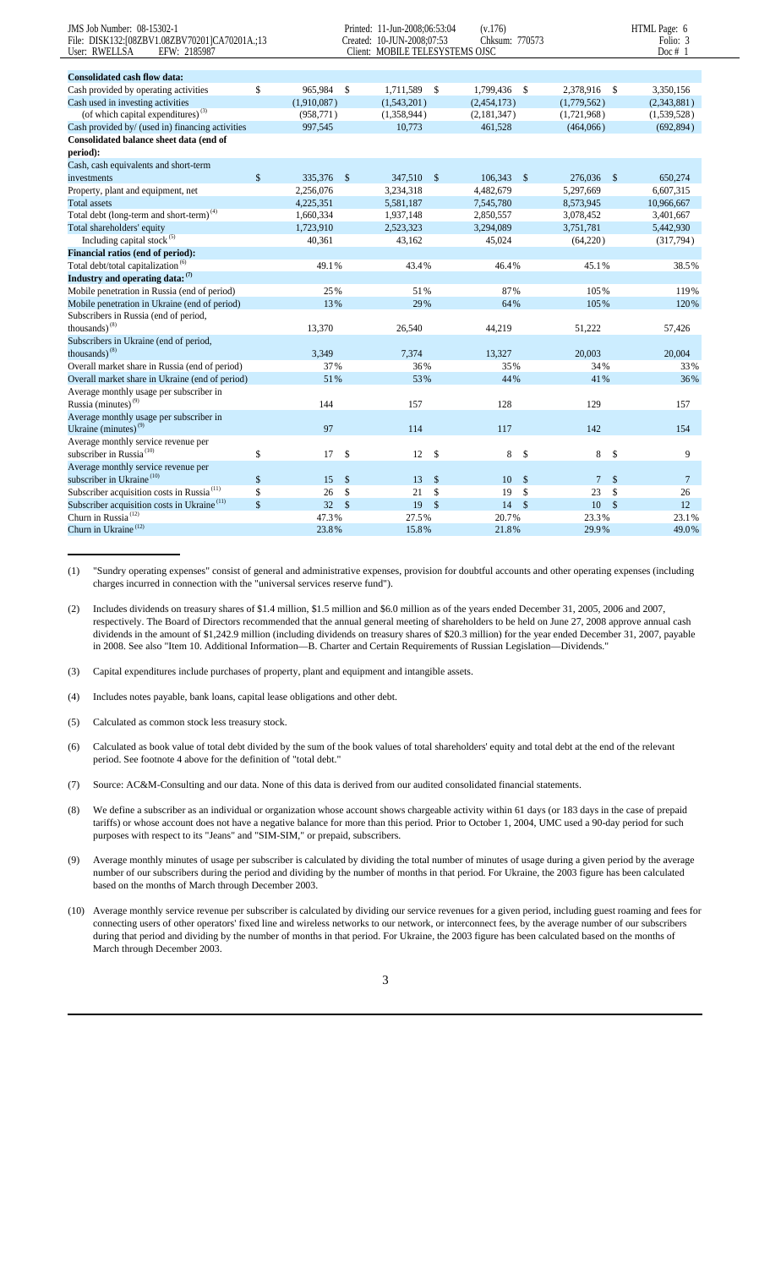| <b>Consolidated cash flow data:</b>                     |                                |                          |                          |                                  |                 |
|---------------------------------------------------------|--------------------------------|--------------------------|--------------------------|----------------------------------|-----------------|
| Cash provided by operating activities                   | \$<br>965,984<br>\$            | 1,711,589<br>\$          | 1,799,436<br>\$          | 2,378,916<br>- \$                | 3,350,156       |
| Cash used in investing activities                       | (1,910,087)                    | (1,543,201)              | (2,454,173)              | (1,779,562)                      | (2,343,881)     |
| (of which capital expenditures) <sup>(3)</sup>          | (958, 771)                     | (1,358,944)              | (2,181,347)              | (1,721,968)                      | (1,539,528)     |
| Cash provided by/ (used in) financing activities        | 997,545                        | 10,773                   | 461,528                  | (464,066)                        | (692, 894)      |
| Consolidated balance sheet data (end of                 |                                |                          |                          |                                  |                 |
| period):                                                |                                |                          |                          |                                  |                 |
| Cash, cash equivalents and short-term                   |                                |                          |                          |                                  |                 |
| investments                                             | \$<br>335,376<br>$\mathcal{S}$ | 347,510<br>$\mathcal{S}$ | 106,343<br>$\mathcal{S}$ | 276,036<br>-\$                   | 650,274         |
| Property, plant and equipment, net                      | 2,256,076                      | 3,234,318                | 4,482,679                | 5,297,669                        | 6,607,315       |
| <b>Total assets</b>                                     | 4,225,351                      | 5,581,187                | 7,545,780                | 8,573,945                        | 10,966,667      |
| Total debt (long-term and short-term) <sup>(4)</sup>    | 1,660,334                      | 1,937,148                | 2,850,557                | 3,078,452                        | 3,401,667       |
| Total shareholders' equity                              | 1,723,910                      | 2,523,323                | 3,294,089                | 3,751,781                        | 5,442,930       |
| Including capital stock <sup>(5)</sup>                  | 40,361                         | 43,162                   | 45,024                   | (64,220)                         | (317,794)       |
| Financial ratios (end of period):                       |                                |                          |                          |                                  |                 |
| Total debt/total capitalization <sup>(6)</sup>          | 49.1%                          | 43.4%                    | 46.4%                    | 45.1%                            | 38.5%           |
| Industry and operating data: $^{(7)}$                   |                                |                          |                          |                                  |                 |
| Mobile penetration in Russia (end of period)            | 25%                            | 51%                      | 87%                      | 105%                             | 119%            |
| Mobile penetration in Ukraine (end of period)           | 13%                            | 29%                      | 64%                      | 105%                             | 120%            |
| Subscribers in Russia (end of period,                   |                                |                          |                          |                                  |                 |
| thousands) <sup>(8)</sup>                               | 13,370                         | 26,540                   | 44,219                   | 51,222                           | 57,426          |
| Subscribers in Ukraine (end of period,                  |                                |                          |                          |                                  |                 |
| thousands) $^{(8)}$                                     | 3,349                          | 7,374                    | 13,327                   | 20,003                           | 20,004          |
| Overall market share in Russia (end of period)          | 37%                            | 36%                      | 35%                      | 34%                              | 33%             |
| Overall market share in Ukraine (end of period)         | 51%                            | 53%                      | 44%                      | 41%                              | 36%             |
| Average monthly usage per subscriber in                 |                                |                          |                          |                                  |                 |
| Russia (minutes) <sup>(9)</sup>                         | 144                            | 157                      | 128                      | 129                              | 157             |
| Average monthly usage per subscriber in                 |                                |                          |                          |                                  |                 |
| Ukraine (minutes) <sup>(9)</sup>                        | 97                             | 114                      | 117                      | 142                              | 154             |
| Average monthly service revenue per                     |                                |                          |                          |                                  |                 |
| subscriber in Russia <sup>(10)</sup>                    | \$<br>\$<br>17                 | 12<br>\$                 | $\,8\,$<br>\$            | \$<br>8                          | 9               |
| Average monthly service revenue per                     |                                |                          |                          |                                  |                 |
| subscriber in Ukraine <sup>(10)</sup>                   | \$<br>\$<br>15                 | 13<br>$\mathcal{S}$      | $\mathsf{\$}$<br>10      | $\mathsf{\$}$<br>$7\phantom{.0}$ | $7\overline{ }$ |
| Subscriber acquisition costs in Russia <sup>(11)</sup>  | \$<br>\$<br>26                 | \$<br>21                 | $\mathsf{\$}$<br>19      | 23<br>$\mathbf{\hat{S}}$         | 26              |
| Subscriber acquisition costs in Ukraine <sup>(11)</sup> | \$<br>$\mathbf{\hat{S}}$<br>32 | 19<br>$\mathbf{\hat{S}}$ | $\mathbf{\hat{S}}$<br>14 | $\mathcal{S}$<br>10              | 12              |
| Churn in Russia <sup>(12)</sup>                         | 47.3%                          | 27.5%                    | 20.7%                    | 23.3%                            | 23.1%           |
| Churn in Ukraine <sup>(12)</sup>                        | 23.8%                          | 15.8%                    | 21.8%                    | 29.9%                            | 49.0%           |

(1) "Sundry operating expenses" consist of general and administrative expenses, provision for doubtful accounts and other operating expenses (including charges incurred in connection with the "universal services reserve fund").

- (2) Includes dividends on treasury shares of \$1.4 million, \$1.5 million and \$6.0 million as of the years ended December 31, 2005, 2006 and 2007, respectively. The Board of Directors recommended that the annual general meeting of shareholders to be held on June 27, 2008 approve annual cash dividends in the amount of \$1,242.9 million (including dividends on treasury shares of \$20.3 million) for the year ended December 31, 2007, payable in 2008. See also "Item 10. Additional Information—B. Charter and Certain Requirements of Russian Legislation—Dividends."
- (3) Capital expenditures include purchases of property, plant and equipment and intangible assets.
- (4) Includes notes payable, bank loans, capital lease obligations and other debt.
- (5) Calculated as common stock less treasury stock.
- (6) Calculated as book value of total debt divided by the sum of the book values of total shareholders' equity and total debt at the end of the relevant period. See footnote 4 above for the definition of "total debt."
- (7) Source: AC&M-Consulting and our data. None of this data is derived from our audited consolidated financial statements.
- (8) We define a subscriber as an individual or organization whose account shows chargeable activity within 61 days (or 183 days in the case of prepaid tariffs) or whose account does not have a negative balance for more than this period. Prior to October 1, 2004, UMC used a 90-day period for such purposes with respect to its "Jeans" and "SIM-SIM," or prepaid, subscribers.
- (9) Average monthly minutes of usage per subscriber is calculated by dividing the total number of minutes of usage during a given period by the average number of our subscribers during the period and dividing by the number of months in that period. For Ukraine, the 2003 figure has been calculated based on the months of March through December 2003.
- (10) Average monthly service revenue per subscriber is calculated by dividing our service revenues for a given period, including guest roaming and fees for connecting users of other operators' fixed line and wireless networks to our network, or interconnect fees, by the average number of our subscribers during that period and dividing by the number of months in that period. For Ukraine, the 2003 figure has been calculated based on the months of March through December 2003.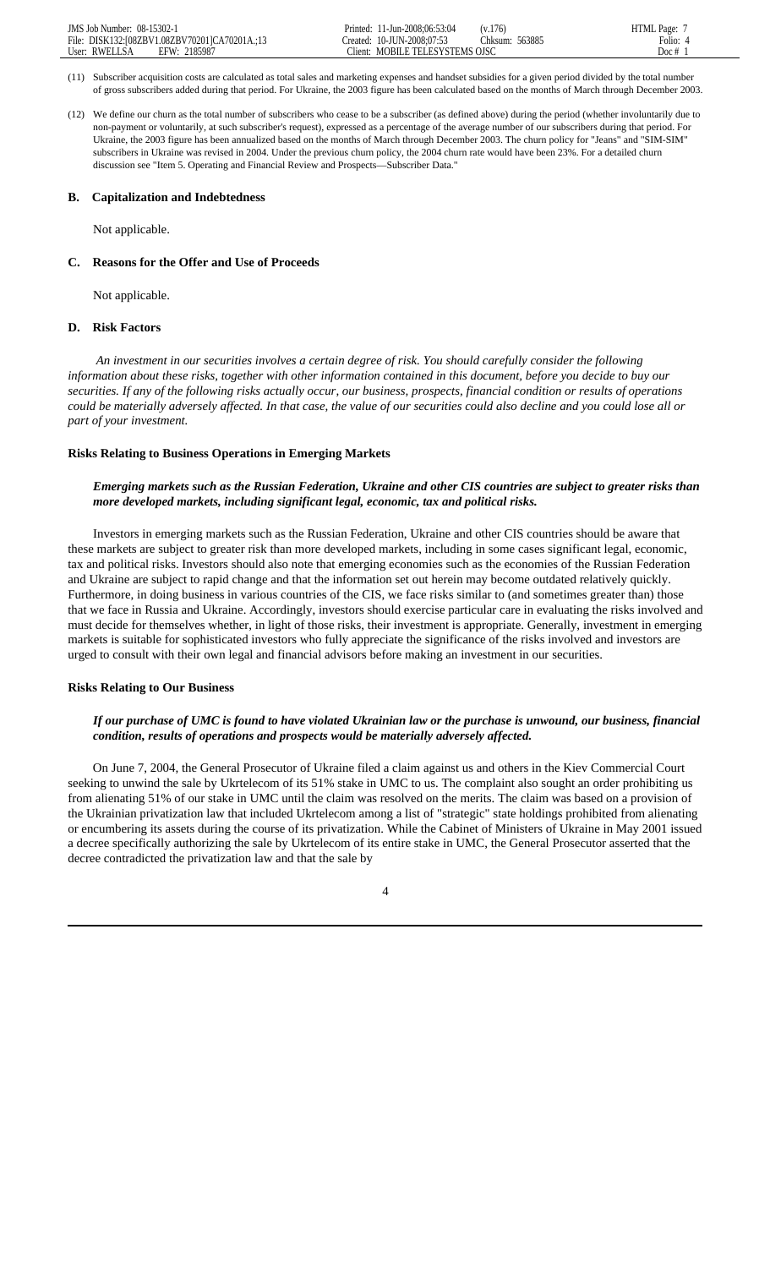- (11) Subscriber acquisition costs are calculated as total sales and marketing expenses and handset subsidies for a given period divided by the total number of gross subscribers added during that period. For Ukraine, the 2003 figure has been calculated based on the months of March through December 2003.
- (12) We define our churn as the total number of subscribers who cease to be a subscriber (as defined above) during the period (whether involuntarily due to non-payment or voluntarily, at such subscriber's request), expressed as a percentage of the average number of our subscribers during that period. For Ukraine, the 2003 figure has been annualized based on the months of March through December 2003. The churn policy for "Jeans" and "SIM-SIM" subscribers in Ukraine was revised in 2004. Under the previous churn policy, the 2004 churn rate would have been 23%. For a detailed churn discussion see "Item 5. Operating and Financial Review and Prospects—Subscriber Data."

#### **B. Capitalization and Indebtedness**

Not applicable.

## **C. Reasons for the Offer and Use of Proceeds**

Not applicable.

#### **D. Risk Factors**

 *An investment in our securities involves a certain degree of risk. You should carefully consider the following information about these risks, together with other information contained in this document, before you decide to buy our securities. If any of the following risks actually occur, our business, prospects, financial condition or results of operations could be materially adversely affected. In that case, the value of our securities could also decline and you could lose all or part of your investment.*

## **Risks Relating to Business Operations in Emerging Markets**

## *Emerging markets such as the Russian Federation, Ukraine and other CIS countries are subject to greater risks than more developed markets, including significant legal, economic, tax and political risks.*

 Investors in emerging markets such as the Russian Federation, Ukraine and other CIS countries should be aware that these markets are subject to greater risk than more developed markets, including in some cases significant legal, economic, tax and political risks. Investors should also note that emerging economies such as the economies of the Russian Federation and Ukraine are subject to rapid change and that the information set out herein may become outdated relatively quickly. Furthermore, in doing business in various countries of the CIS, we face risks similar to (and sometimes greater than) those that we face in Russia and Ukraine. Accordingly, investors should exercise particular care in evaluating the risks involved and must decide for themselves whether, in light of those risks, their investment is appropriate. Generally, investment in emerging markets is suitable for sophisticated investors who fully appreciate the significance of the risks involved and investors are urged to consult with their own legal and financial advisors before making an investment in our securities.

#### **Risks Relating to Our Business**

## *If our purchase of UMC is found to have violated Ukrainian law or the purchase is unwound, our business, financial condition, results of operations and prospects would be materially adversely affected.*

 On June 7, 2004, the General Prosecutor of Ukraine filed a claim against us and others in the Kiev Commercial Court seeking to unwind the sale by Ukrtelecom of its 51% stake in UMC to us. The complaint also sought an order prohibiting us from alienating 51% of our stake in UMC until the claim was resolved on the merits. The claim was based on a provision of the Ukrainian privatization law that included Ukrtelecom among a list of "strategic" state holdings prohibited from alienating or encumbering its assets during the course of its privatization. While the Cabinet of Ministers of Ukraine in May 2001 issued a decree specifically authorizing the sale by Ukrtelecom of its entire stake in UMC, the General Prosecutor asserted that the decree contradicted the privatization law and that the sale by

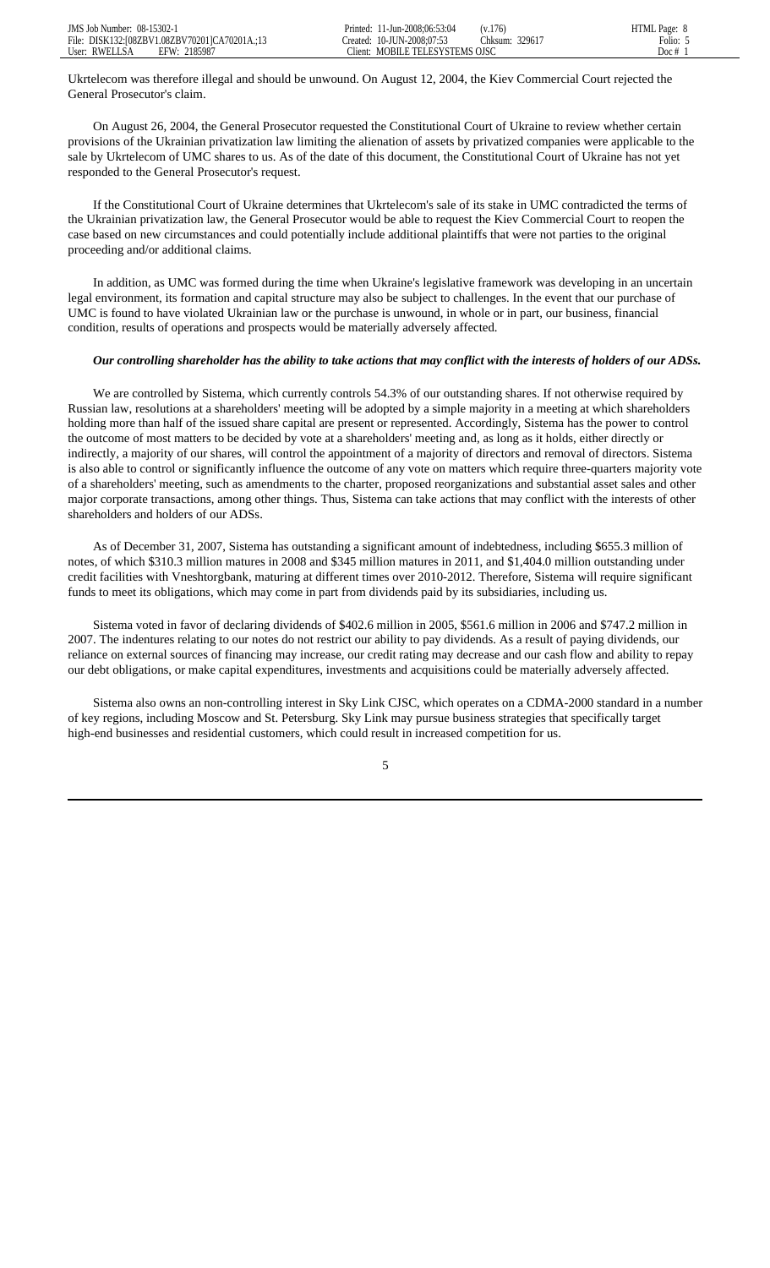Ukrtelecom was therefore illegal and should be unwound. On August 12, 2004, the Kiev Commercial Court rejected the General Prosecutor's claim.

 On August 26, 2004, the General Prosecutor requested the Constitutional Court of Ukraine to review whether certain provisions of the Ukrainian privatization law limiting the alienation of assets by privatized companies were applicable to the sale by Ukrtelecom of UMC shares to us. As of the date of this document, the Constitutional Court of Ukraine has not yet responded to the General Prosecutor's request.

 If the Constitutional Court of Ukraine determines that Ukrtelecom's sale of its stake in UMC contradicted the terms of the Ukrainian privatization law, the General Prosecutor would be able to request the Kiev Commercial Court to reopen the case based on new circumstances and could potentially include additional plaintiffs that were not parties to the original proceeding and/or additional claims.

 In addition, as UMC was formed during the time when Ukraine's legislative framework was developing in an uncertain legal environment, its formation and capital structure may also be subject to challenges. In the event that our purchase of UMC is found to have violated Ukrainian law or the purchase is unwound, in whole or in part, our business, financial condition, results of operations and prospects would be materially adversely affected.

#### *Our controlling shareholder has the ability to take actions that may conflict with the interests of holders of our ADSs.*

We are controlled by Sistema, which currently controls 54.3% of our outstanding shares. If not otherwise required by Russian law, resolutions at a shareholders' meeting will be adopted by a simple majority in a meeting at which shareholders holding more than half of the issued share capital are present or represented. Accordingly, Sistema has the power to control the outcome of most matters to be decided by vote at a shareholders' meeting and, as long as it holds, either directly or indirectly, a majority of our shares, will control the appointment of a majority of directors and removal of directors. Sistema is also able to control or significantly influence the outcome of any vote on matters which require three-quarters majority vote of a shareholders' meeting, such as amendments to the charter, proposed reorganizations and substantial asset sales and other major corporate transactions, among other things. Thus, Sistema can take actions that may conflict with the interests of other shareholders and holders of our ADSs.

 As of December 31, 2007, Sistema has outstanding a significant amount of indebtedness, including \$655.3 million of notes, of which \$310.3 million matures in 2008 and \$345 million matures in 2011, and \$1,404.0 million outstanding under credit facilities with Vneshtorgbank, maturing at different times over 2010-2012. Therefore, Sistema will require significant funds to meet its obligations, which may come in part from dividends paid by its subsidiaries, including us.

 Sistema voted in favor of declaring dividends of \$402.6 million in 2005, \$561.6 million in 2006 and \$747.2 million in 2007. The indentures relating to our notes do not restrict our ability to pay dividends. As a result of paying dividends, our reliance on external sources of financing may increase, our credit rating may decrease and our cash flow and ability to repay our debt obligations, or make capital expenditures, investments and acquisitions could be materially adversely affected.

 Sistema also owns an non-controlling interest in Sky Link CJSC, which operates on a CDMA-2000 standard in a number of key regions, including Moscow and St. Petersburg. Sky Link may pursue business strategies that specifically target high-end businesses and residential customers, which could result in increased competition for us.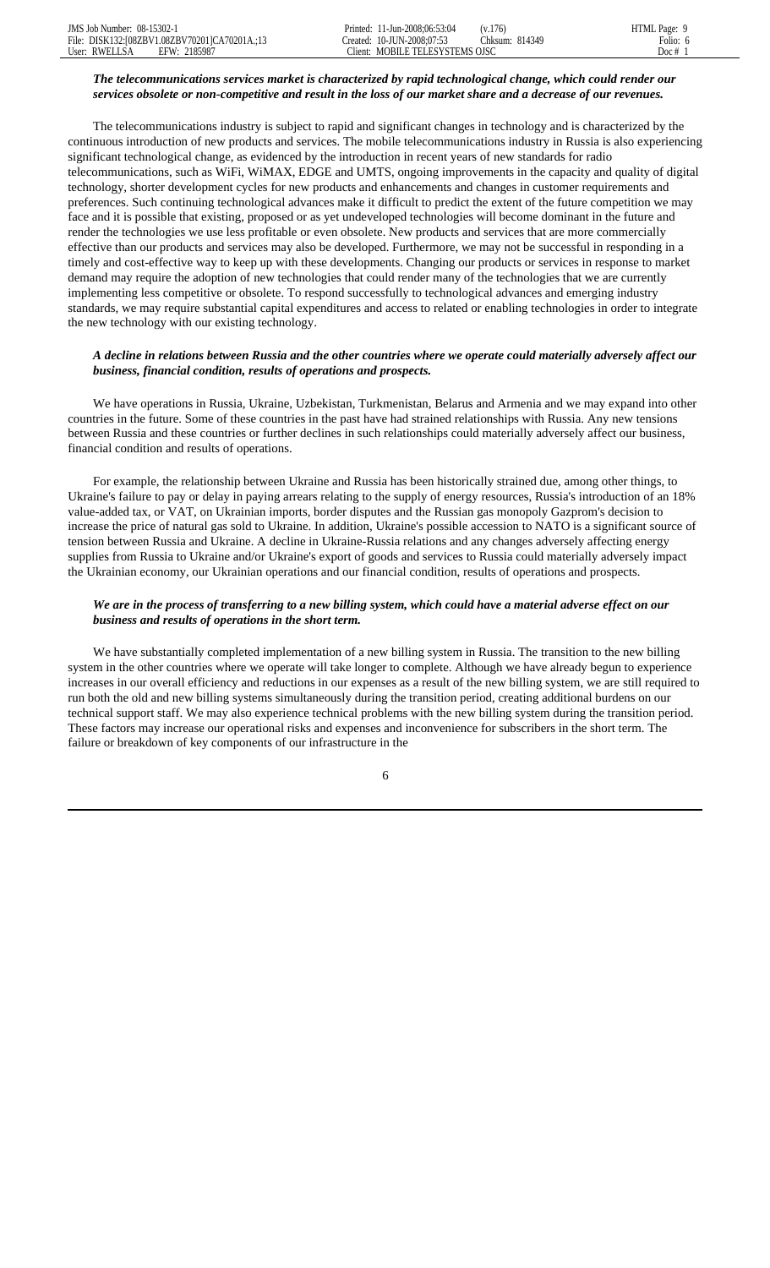#### *The telecommunications services market is characterized by rapid technological change, which could render our services obsolete or non-competitive and result in the loss of our market share and a decrease of our revenues.*

 The telecommunications industry is subject to rapid and significant changes in technology and is characterized by the continuous introduction of new products and services. The mobile telecommunications industry in Russia is also experiencing significant technological change, as evidenced by the introduction in recent years of new standards for radio telecommunications, such as WiFi, WiMAX, EDGE and UMTS, ongoing improvements in the capacity and quality of digital technology, shorter development cycles for new products and enhancements and changes in customer requirements and preferences. Such continuing technological advances make it difficult to predict the extent of the future competition we may face and it is possible that existing, proposed or as yet undeveloped technologies will become dominant in the future and render the technologies we use less profitable or even obsolete. New products and services that are more commercially effective than our products and services may also be developed. Furthermore, we may not be successful in responding in a timely and cost-effective way to keep up with these developments. Changing our products or services in response to market demand may require the adoption of new technologies that could render many of the technologies that we are currently implementing less competitive or obsolete. To respond successfully to technological advances and emerging industry standards, we may require substantial capital expenditures and access to related or enabling technologies in order to integrate the new technology with our existing technology.

#### *A decline in relations between Russia and the other countries where we operate could materially adversely affect our business, financial condition, results of operations and prospects.*

 We have operations in Russia, Ukraine, Uzbekistan, Turkmenistan, Belarus and Armenia and we may expand into other countries in the future. Some of these countries in the past have had strained relationships with Russia. Any new tensions between Russia and these countries or further declines in such relationships could materially adversely affect our business, financial condition and results of operations.

 For example, the relationship between Ukraine and Russia has been historically strained due, among other things, to Ukraine's failure to pay or delay in paying arrears relating to the supply of energy resources, Russia's introduction of an 18% value-added tax, or VAT, on Ukrainian imports, border disputes and the Russian gas monopoly Gazprom's decision to increase the price of natural gas sold to Ukraine. In addition, Ukraine's possible accession to NATO is a significant source of tension between Russia and Ukraine. A decline in Ukraine-Russia relations and any changes adversely affecting energy supplies from Russia to Ukraine and/or Ukraine's export of goods and services to Russia could materially adversely impact the Ukrainian economy, our Ukrainian operations and our financial condition, results of operations and prospects.

#### *We are in the process of transferring to a new billing system, which could have a material adverse effect on our business and results of operations in the short term.*

 We have substantially completed implementation of a new billing system in Russia. The transition to the new billing system in the other countries where we operate will take longer to complete. Although we have already begun to experience increases in our overall efficiency and reductions in our expenses as a result of the new billing system, we are still required to run both the old and new billing systems simultaneously during the transition period, creating additional burdens on our technical support staff. We may also experience technical problems with the new billing system during the transition period. These factors may increase our operational risks and expenses and inconvenience for subscribers in the short term. The failure or breakdown of key components of our infrastructure in the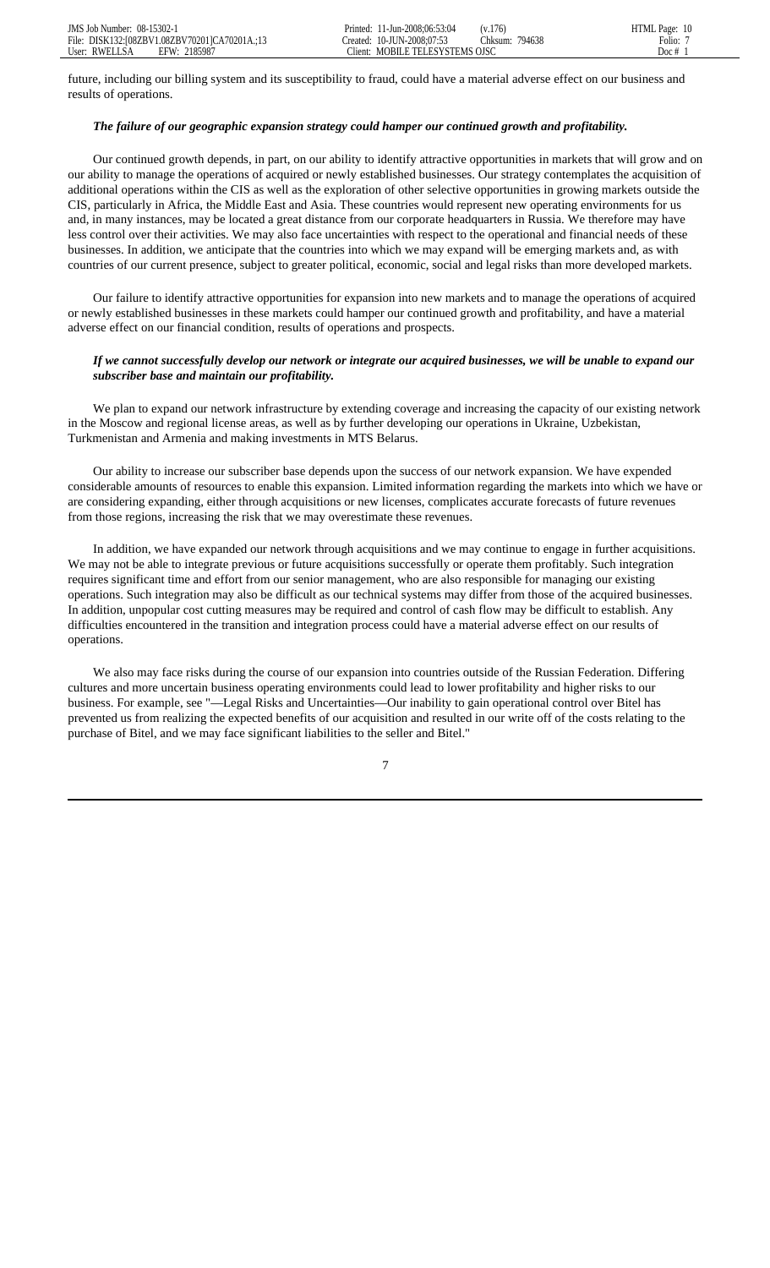future, including our billing system and its susceptibility to fraud, could have a material adverse effect on our business and results of operations.

#### *The failure of our geographic expansion strategy could hamper our continued growth and profitability.*

 Our continued growth depends, in part, on our ability to identify attractive opportunities in markets that will grow and on our ability to manage the operations of acquired or newly established businesses. Our strategy contemplates the acquisition of additional operations within the CIS as well as the exploration of other selective opportunities in growing markets outside the CIS, particularly in Africa, the Middle East and Asia. These countries would represent new operating environments for us and, in many instances, may be located a great distance from our corporate headquarters in Russia. We therefore may have less control over their activities. We may also face uncertainties with respect to the operational and financial needs of these businesses. In addition, we anticipate that the countries into which we may expand will be emerging markets and, as with countries of our current presence, subject to greater political, economic, social and legal risks than more developed markets.

 Our failure to identify attractive opportunities for expansion into new markets and to manage the operations of acquired or newly established businesses in these markets could hamper our continued growth and profitability, and have a material adverse effect on our financial condition, results of operations and prospects.

### *If we cannot successfully develop our network or integrate our acquired businesses, we will be unable to expand our subscriber base and maintain our profitability.*

 We plan to expand our network infrastructure by extending coverage and increasing the capacity of our existing network in the Moscow and regional license areas, as well as by further developing our operations in Ukraine, Uzbekistan, Turkmenistan and Armenia and making investments in MTS Belarus.

 Our ability to increase our subscriber base depends upon the success of our network expansion. We have expended considerable amounts of resources to enable this expansion. Limited information regarding the markets into which we have or are considering expanding, either through acquisitions or new licenses, complicates accurate forecasts of future revenues from those regions, increasing the risk that we may overestimate these revenues.

 In addition, we have expanded our network through acquisitions and we may continue to engage in further acquisitions. We may not be able to integrate previous or future acquisitions successfully or operate them profitably. Such integration requires significant time and effort from our senior management, who are also responsible for managing our existing operations. Such integration may also be difficult as our technical systems may differ from those of the acquired businesses. In addition, unpopular cost cutting measures may be required and control of cash flow may be difficult to establish. Any difficulties encountered in the transition and integration process could have a material adverse effect on our results of operations.

 We also may face risks during the course of our expansion into countries outside of the Russian Federation. Differing cultures and more uncertain business operating environments could lead to lower profitability and higher risks to our business. For example, see "—Legal Risks and Uncertainties—Our inability to gain operational control over Bitel has prevented us from realizing the expected benefits of our acquisition and resulted in our write off of the costs relating to the purchase of Bitel, and we may face significant liabilities to the seller and Bitel."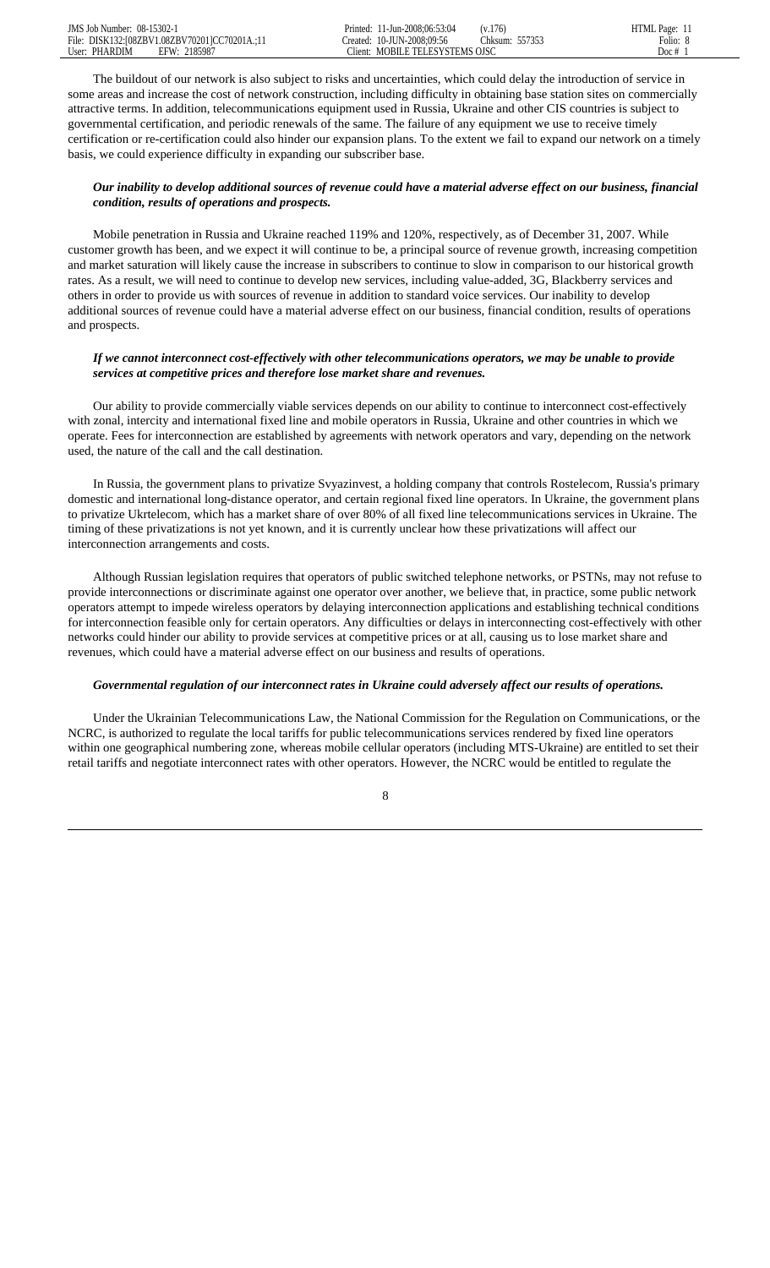The buildout of our network is also subject to risks and uncertainties, which could delay the introduction of service in some areas and increase the cost of network construction, including difficulty in obtaining base station sites on commercially attractive terms. In addition, telecommunications equipment used in Russia, Ukraine and other CIS countries is subject to governmental certification, and periodic renewals of the same. The failure of any equipment we use to receive timely certification or re-certification could also hinder our expansion plans. To the extent we fail to expand our network on a timely basis, we could experience difficulty in expanding our subscriber base.

### *Our inability to develop additional sources of revenue could have a material adverse effect on our business, financial condition, results of operations and prospects.*

 Mobile penetration in Russia and Ukraine reached 119% and 120%, respectively, as of December 31, 2007. While customer growth has been, and we expect it will continue to be, a principal source of revenue growth, increasing competition and market saturation will likely cause the increase in subscribers to continue to slow in comparison to our historical growth rates. As a result, we will need to continue to develop new services, including value-added, 3G, Blackberry services and others in order to provide us with sources of revenue in addition to standard voice services. Our inability to develop additional sources of revenue could have a material adverse effect on our business, financial condition, results of operations and prospects.

#### *If we cannot interconnect cost-effectively with other telecommunications operators, we may be unable to provide services at competitive prices and therefore lose market share and revenues.*

 Our ability to provide commercially viable services depends on our ability to continue to interconnect cost-effectively with zonal, intercity and international fixed line and mobile operators in Russia, Ukraine and other countries in which we operate. Fees for interconnection are established by agreements with network operators and vary, depending on the network used, the nature of the call and the call destination.

 In Russia, the government plans to privatize Svyazinvest, a holding company that controls Rostelecom, Russia's primary domestic and international long-distance operator, and certain regional fixed line operators. In Ukraine, the government plans to privatize Ukrtelecom, which has a market share of over 80% of all fixed line telecommunications services in Ukraine. The timing of these privatizations is not yet known, and it is currently unclear how these privatizations will affect our interconnection arrangements and costs.

 Although Russian legislation requires that operators of public switched telephone networks, or PSTNs, may not refuse to provide interconnections or discriminate against one operator over another, we believe that, in practice, some public network operators attempt to impede wireless operators by delaying interconnection applications and establishing technical conditions for interconnection feasible only for certain operators. Any difficulties or delays in interconnecting cost-effectively with other networks could hinder our ability to provide services at competitive prices or at all, causing us to lose market share and revenues, which could have a material adverse effect on our business and results of operations.

#### *Governmental regulation of our interconnect rates in Ukraine could adversely affect our results of operations.*

 Under the Ukrainian Telecommunications Law, the National Commission for the Regulation on Communications, or the NCRC, is authorized to regulate the local tariffs for public telecommunications services rendered by fixed line operators within one geographical numbering zone, whereas mobile cellular operators (including MTS-Ukraine) are entitled to set their retail tariffs and negotiate interconnect rates with other operators. However, the NCRC would be entitled to regulate the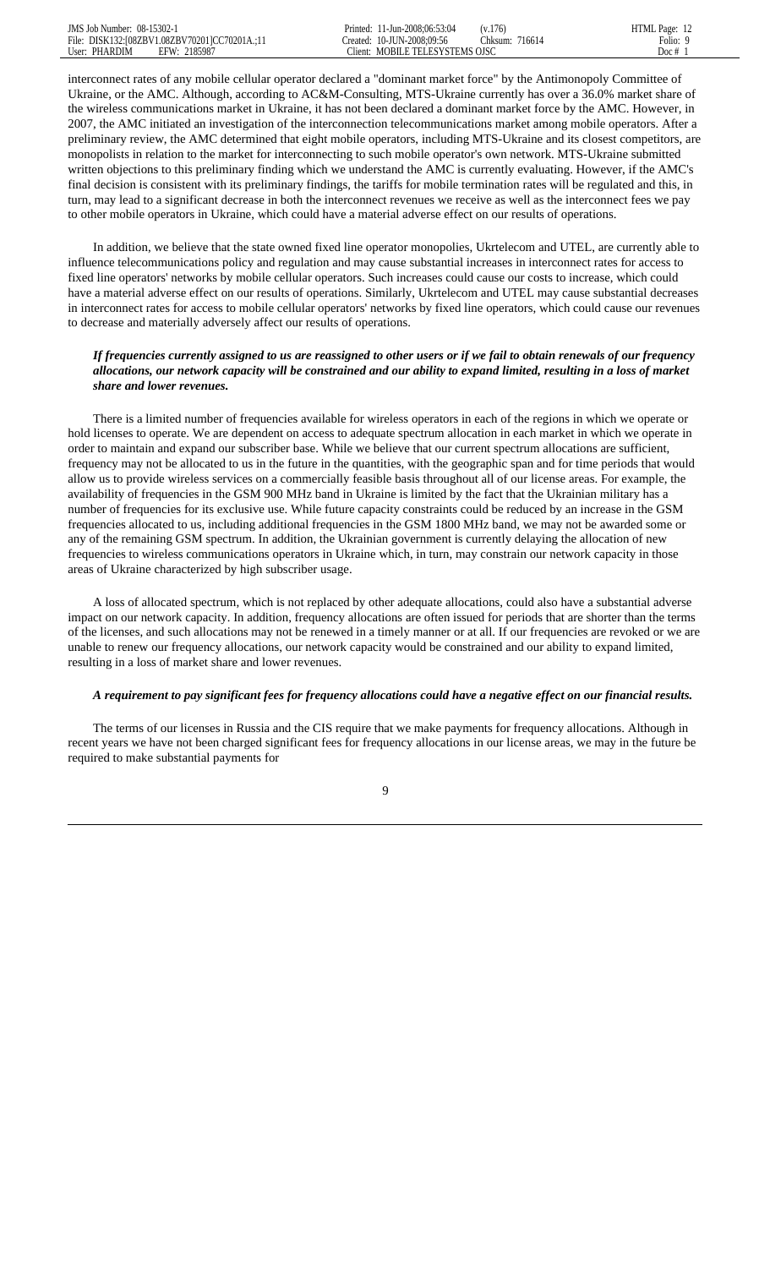interconnect rates of any mobile cellular operator declared a "dominant market force" by the Antimonopoly Committee of Ukraine, or the AMC. Although, according to AC&M-Consulting, MTS-Ukraine currently has over a 36.0% market share of the wireless communications market in Ukraine, it has not been declared a dominant market force by the AMC. However, in 2007, the AMC initiated an investigation of the interconnection telecommunications market among mobile operators. After a preliminary review, the AMC determined that eight mobile operators, including MTS-Ukraine and its closest competitors, are monopolists in relation to the market for interconnecting to such mobile operator's own network. MTS-Ukraine submitted written objections to this preliminary finding which we understand the AMC is currently evaluating. However, if the AMC's final decision is consistent with its preliminary findings, the tariffs for mobile termination rates will be regulated and this, in turn, may lead to a significant decrease in both the interconnect revenues we receive as well as the interconnect fees we pay to other mobile operators in Ukraine, which could have a material adverse effect on our results of operations.

 In addition, we believe that the state owned fixed line operator monopolies, Ukrtelecom and UTEL, are currently able to influence telecommunications policy and regulation and may cause substantial increases in interconnect rates for access to fixed line operators' networks by mobile cellular operators. Such increases could cause our costs to increase, which could have a material adverse effect on our results of operations. Similarly, Ukrtelecom and UTEL may cause substantial decreases in interconnect rates for access to mobile cellular operators' networks by fixed line operators, which could cause our revenues to decrease and materially adversely affect our results of operations.

#### *If frequencies currently assigned to us are reassigned to other users or if we fail to obtain renewals of our frequency allocations, our network capacity will be constrained and our ability to expand limited, resulting in a loss of market share and lower revenues.*

 There is a limited number of frequencies available for wireless operators in each of the regions in which we operate or hold licenses to operate. We are dependent on access to adequate spectrum allocation in each market in which we operate in order to maintain and expand our subscriber base. While we believe that our current spectrum allocations are sufficient, frequency may not be allocated to us in the future in the quantities, with the geographic span and for time periods that would allow us to provide wireless services on a commercially feasible basis throughout all of our license areas. For example, the availability of frequencies in the GSM 900 MHz band in Ukraine is limited by the fact that the Ukrainian military has a number of frequencies for its exclusive use. While future capacity constraints could be reduced by an increase in the GSM frequencies allocated to us, including additional frequencies in the GSM 1800 MHz band, we may not be awarded some or any of the remaining GSM spectrum. In addition, the Ukrainian government is currently delaying the allocation of new frequencies to wireless communications operators in Ukraine which, in turn, may constrain our network capacity in those areas of Ukraine characterized by high subscriber usage.

 A loss of allocated spectrum, which is not replaced by other adequate allocations, could also have a substantial adverse impact on our network capacity. In addition, frequency allocations are often issued for periods that are shorter than the terms of the licenses, and such allocations may not be renewed in a timely manner or at all. If our frequencies are revoked or we are unable to renew our frequency allocations, our network capacity would be constrained and our ability to expand limited, resulting in a loss of market share and lower revenues.

## *A requirement to pay significant fees for frequency allocations could have a negative effect on our financial results.*

 The terms of our licenses in Russia and the CIS require that we make payments for frequency allocations. Although in recent years we have not been charged significant fees for frequency allocations in our license areas, we may in the future be required to make substantial payments for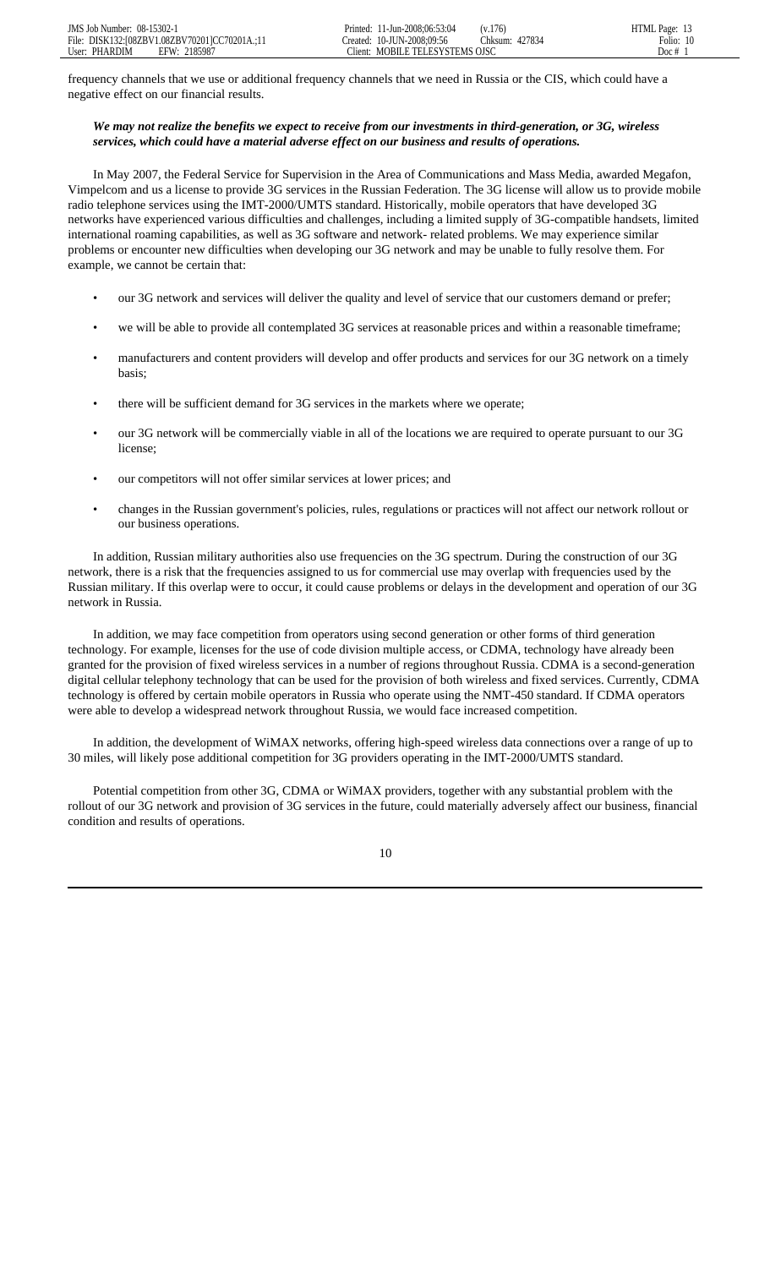frequency channels that we use or additional frequency channels that we need in Russia or the CIS, which could have a negative effect on our financial results.

### *We may not realize the benefits we expect to receive from our investments in third-generation, or 3G, wireless services, which could have a material adverse effect on our business and results of operations.*

 In May 2007, the Federal Service for Supervision in the Area of Communications and Mass Media, awarded Megafon, Vimpelcom and us a license to provide 3G services in the Russian Federation. The 3G license will allow us to provide mobile radio telephone services using the IMT-2000/UMTS standard. Historically, mobile operators that have developed 3G networks have experienced various difficulties and challenges, including a limited supply of 3G-compatible handsets, limited international roaming capabilities, as well as 3G software and network- related problems. We may experience similar problems or encounter new difficulties when developing our 3G network and may be unable to fully resolve them. For example, we cannot be certain that:

- our 3G network and services will deliver the quality and level of service that our customers demand or prefer;
- we will be able to provide all contemplated 3G services at reasonable prices and within a reasonable timeframe;
- manufacturers and content providers will develop and offer products and services for our 3G network on a timely basis;
- there will be sufficient demand for 3G services in the markets where we operate;
- our 3G network will be commercially viable in all of the locations we are required to operate pursuant to our 3G license;
- our competitors will not offer similar services at lower prices; and
- changes in the Russian government's policies, rules, regulations or practices will not affect our network rollout or our business operations.

 In addition, Russian military authorities also use frequencies on the 3G spectrum. During the construction of our 3G network, there is a risk that the frequencies assigned to us for commercial use may overlap with frequencies used by the Russian military. If this overlap were to occur, it could cause problems or delays in the development and operation of our 3G network in Russia.

 In addition, we may face competition from operators using second generation or other forms of third generation technology. For example, licenses for the use of code division multiple access, or CDMA, technology have already been granted for the provision of fixed wireless services in a number of regions throughout Russia. CDMA is a second-generation digital cellular telephony technology that can be used for the provision of both wireless and fixed services. Currently, CDMA technology is offered by certain mobile operators in Russia who operate using the NMT-450 standard. If CDMA operators were able to develop a widespread network throughout Russia, we would face increased competition.

 In addition, the development of WiMAX networks, offering high-speed wireless data connections over a range of up to 30 miles, will likely pose additional competition for 3G providers operating in the IMT-2000/UMTS standard.

 Potential competition from other 3G, CDMA or WiMAX providers, together with any substantial problem with the rollout of our 3G network and provision of 3G services in the future, could materially adversely affect our business, financial condition and results of operations.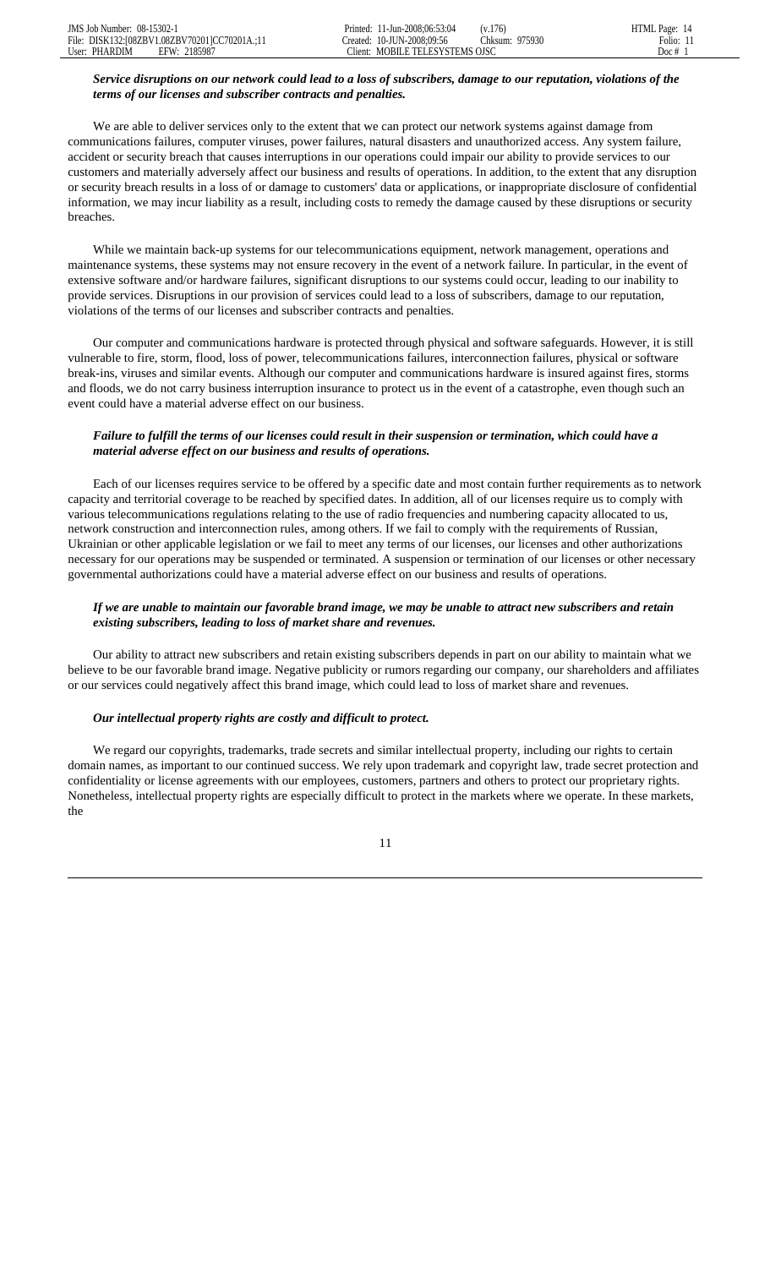### *Service disruptions on our network could lead to a loss of subscribers, damage to our reputation, violations of the terms of our licenses and subscriber contracts and penalties.*

 We are able to deliver services only to the extent that we can protect our network systems against damage from communications failures, computer viruses, power failures, natural disasters and unauthorized access. Any system failure, accident or security breach that causes interruptions in our operations could impair our ability to provide services to our customers and materially adversely affect our business and results of operations. In addition, to the extent that any disruption or security breach results in a loss of or damage to customers' data or applications, or inappropriate disclosure of confidential information, we may incur liability as a result, including costs to remedy the damage caused by these disruptions or security breaches.

 While we maintain back-up systems for our telecommunications equipment, network management, operations and maintenance systems, these systems may not ensure recovery in the event of a network failure. In particular, in the event of extensive software and/or hardware failures, significant disruptions to our systems could occur, leading to our inability to provide services. Disruptions in our provision of services could lead to a loss of subscribers, damage to our reputation, violations of the terms of our licenses and subscriber contracts and penalties.

 Our computer and communications hardware is protected through physical and software safeguards. However, it is still vulnerable to fire, storm, flood, loss of power, telecommunications failures, interconnection failures, physical or software break-ins, viruses and similar events. Although our computer and communications hardware is insured against fires, storms and floods, we do not carry business interruption insurance to protect us in the event of a catastrophe, even though such an event could have a material adverse effect on our business.

### *Failure to fulfill the terms of our licenses could result in their suspension or termination, which could have a material adverse effect on our business and results of operations.*

 Each of our licenses requires service to be offered by a specific date and most contain further requirements as to network capacity and territorial coverage to be reached by specified dates. In addition, all of our licenses require us to comply with various telecommunications regulations relating to the use of radio frequencies and numbering capacity allocated to us, network construction and interconnection rules, among others. If we fail to comply with the requirements of Russian, Ukrainian or other applicable legislation or we fail to meet any terms of our licenses, our licenses and other authorizations necessary for our operations may be suspended or terminated. A suspension or termination of our licenses or other necessary governmental authorizations could have a material adverse effect on our business and results of operations.

## *If we are unable to maintain our favorable brand image, we may be unable to attract new subscribers and retain existing subscribers, leading to loss of market share and revenues.*

 Our ability to attract new subscribers and retain existing subscribers depends in part on our ability to maintain what we believe to be our favorable brand image. Negative publicity or rumors regarding our company, our shareholders and affiliates or our services could negatively affect this brand image, which could lead to loss of market share and revenues.

### *Our intellectual property rights are costly and difficult to protect.*

 We regard our copyrights, trademarks, trade secrets and similar intellectual property, including our rights to certain domain names, as important to our continued success. We rely upon trademark and copyright law, trade secret protection and confidentiality or license agreements with our employees, customers, partners and others to protect our proprietary rights. Nonetheless, intellectual property rights are especially difficult to protect in the markets where we operate. In these markets, the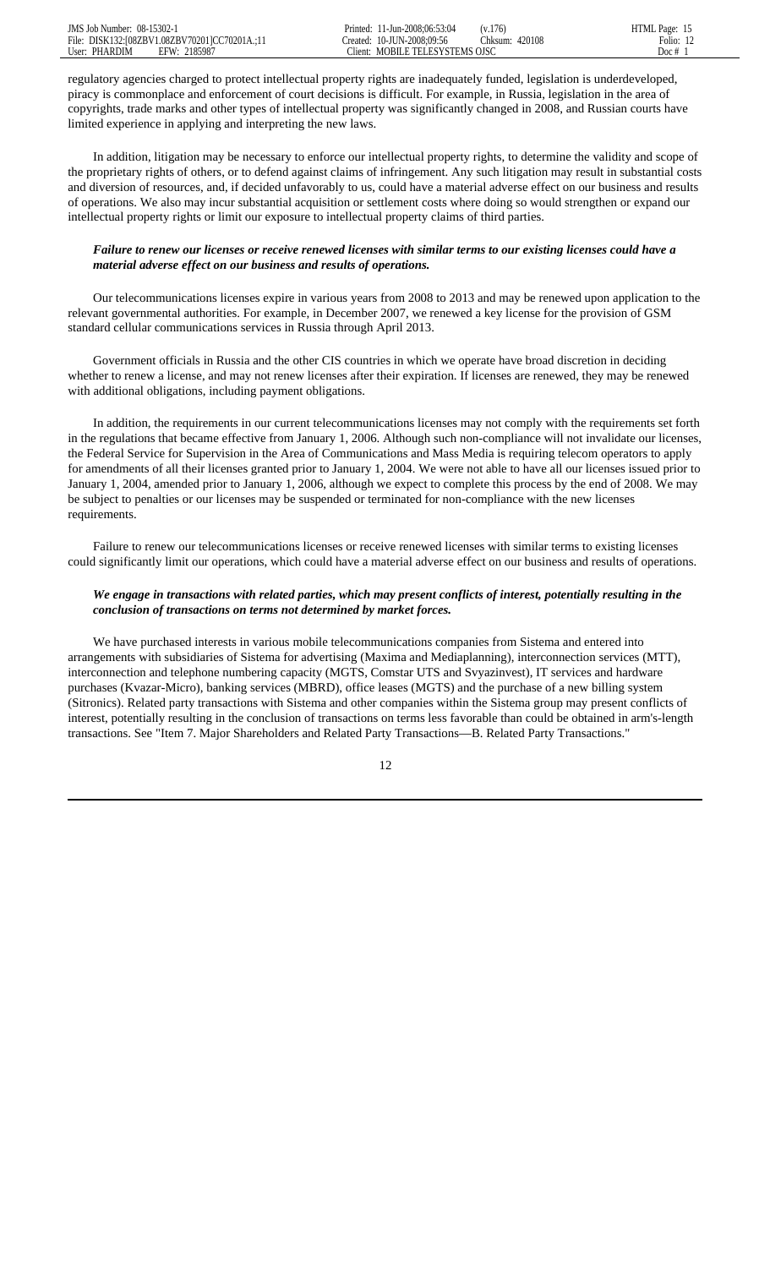regulatory agencies charged to protect intellectual property rights are inadequately funded, legislation is underdeveloped, piracy is commonplace and enforcement of court decisions is difficult. For example, in Russia, legislation in the area of copyrights, trade marks and other types of intellectual property was significantly changed in 2008, and Russian courts have limited experience in applying and interpreting the new laws.

 In addition, litigation may be necessary to enforce our intellectual property rights, to determine the validity and scope of the proprietary rights of others, or to defend against claims of infringement. Any such litigation may result in substantial costs and diversion of resources, and, if decided unfavorably to us, could have a material adverse effect on our business and results of operations. We also may incur substantial acquisition or settlement costs where doing so would strengthen or expand our intellectual property rights or limit our exposure to intellectual property claims of third parties.

#### *Failure to renew our licenses or receive renewed licenses with similar terms to our existing licenses could have a material adverse effect on our business and results of operations.*

 Our telecommunications licenses expire in various years from 2008 to 2013 and may be renewed upon application to the relevant governmental authorities. For example, in December 2007, we renewed a key license for the provision of GSM standard cellular communications services in Russia through April 2013.

 Government officials in Russia and the other CIS countries in which we operate have broad discretion in deciding whether to renew a license, and may not renew licenses after their expiration. If licenses are renewed, they may be renewed with additional obligations, including payment obligations.

 In addition, the requirements in our current telecommunications licenses may not comply with the requirements set forth in the regulations that became effective from January 1, 2006. Although such non-compliance will not invalidate our licenses, the Federal Service for Supervision in the Area of Communications and Mass Media is requiring telecom operators to apply for amendments of all their licenses granted prior to January 1, 2004. We were not able to have all our licenses issued prior to January 1, 2004, amended prior to January 1, 2006, although we expect to complete this process by the end of 2008. We may be subject to penalties or our licenses may be suspended or terminated for non-compliance with the new licenses requirements.

 Failure to renew our telecommunications licenses or receive renewed licenses with similar terms to existing licenses could significantly limit our operations, which could have a material adverse effect on our business and results of operations.

## *We engage in transactions with related parties, which may present conflicts of interest, potentially resulting in the conclusion of transactions on terms not determined by market forces.*

 We have purchased interests in various mobile telecommunications companies from Sistema and entered into arrangements with subsidiaries of Sistema for advertising (Maxima and Mediaplanning), interconnection services (MTT), interconnection and telephone numbering capacity (MGTS, Comstar UTS and Svyazinvest), IT services and hardware purchases (Kvazar-Micro), banking services (MBRD), office leases (MGTS) and the purchase of a new billing system (Sitronics). Related party transactions with Sistema and other companies within the Sistema group may present conflicts of interest, potentially resulting in the conclusion of transactions on terms less favorable than could be obtained in arm's-length transactions. See "Item 7. Major Shareholders and Related Party Transactions—B. Related Party Transactions."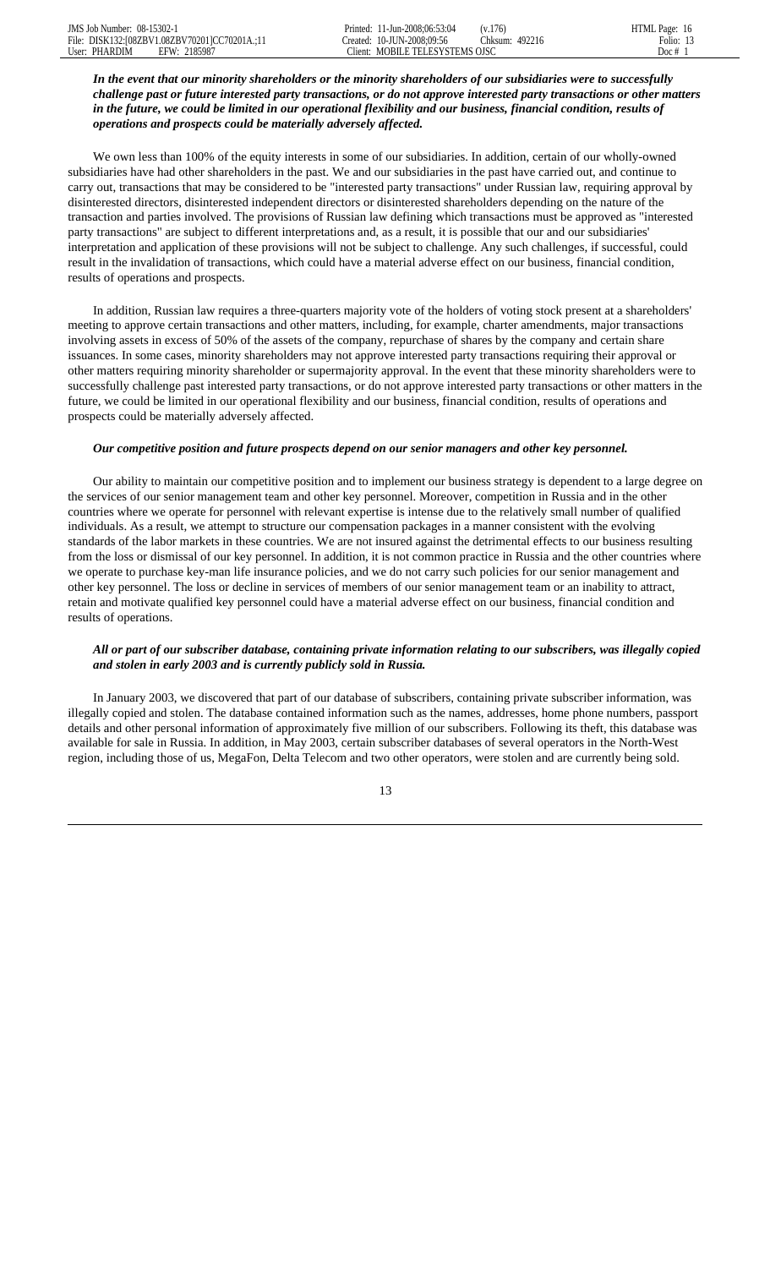*In the event that our minority shareholders or the minority shareholders of our subsidiaries were to successfully challenge past or future interested party transactions, or do not approve interested party transactions or other matters in the future, we could be limited in our operational flexibility and our business, financial condition, results of operations and prospects could be materially adversely affected.*

We own less than 100% of the equity interests in some of our subsidiaries. In addition, certain of our wholly-owned subsidiaries have had other shareholders in the past. We and our subsidiaries in the past have carried out, and continue to carry out, transactions that may be considered to be "interested party transactions" under Russian law, requiring approval by disinterested directors, disinterested independent directors or disinterested shareholders depending on the nature of the transaction and parties involved. The provisions of Russian law defining which transactions must be approved as "interested party transactions" are subject to different interpretations and, as a result, it is possible that our and our subsidiaries' interpretation and application of these provisions will not be subject to challenge. Any such challenges, if successful, could result in the invalidation of transactions, which could have a material adverse effect on our business, financial condition, results of operations and prospects.

 In addition, Russian law requires a three-quarters majority vote of the holders of voting stock present at a shareholders' meeting to approve certain transactions and other matters, including, for example, charter amendments, major transactions involving assets in excess of 50% of the assets of the company, repurchase of shares by the company and certain share issuances. In some cases, minority shareholders may not approve interested party transactions requiring their approval or other matters requiring minority shareholder or supermajority approval. In the event that these minority shareholders were to successfully challenge past interested party transactions, or do not approve interested party transactions or other matters in the future, we could be limited in our operational flexibility and our business, financial condition, results of operations and prospects could be materially adversely affected.

#### *Our competitive position and future prospects depend on our senior managers and other key personnel.*

 Our ability to maintain our competitive position and to implement our business strategy is dependent to a large degree on the services of our senior management team and other key personnel. Moreover, competition in Russia and in the other countries where we operate for personnel with relevant expertise is intense due to the relatively small number of qualified individuals. As a result, we attempt to structure our compensation packages in a manner consistent with the evolving standards of the labor markets in these countries. We are not insured against the detrimental effects to our business resulting from the loss or dismissal of our key personnel. In addition, it is not common practice in Russia and the other countries where we operate to purchase key-man life insurance policies, and we do not carry such policies for our senior management and other key personnel. The loss or decline in services of members of our senior management team or an inability to attract, retain and motivate qualified key personnel could have a material adverse effect on our business, financial condition and results of operations.

#### *All or part of our subscriber database, containing private information relating to our subscribers, was illegally copied and stolen in early 2003 and is currently publicly sold in Russia.*

 In January 2003, we discovered that part of our database of subscribers, containing private subscriber information, was illegally copied and stolen. The database contained information such as the names, addresses, home phone numbers, passport details and other personal information of approximately five million of our subscribers. Following its theft, this database was available for sale in Russia. In addition, in May 2003, certain subscriber databases of several operators in the North-West region, including those of us, MegaFon, Delta Telecom and two other operators, were stolen and are currently being sold.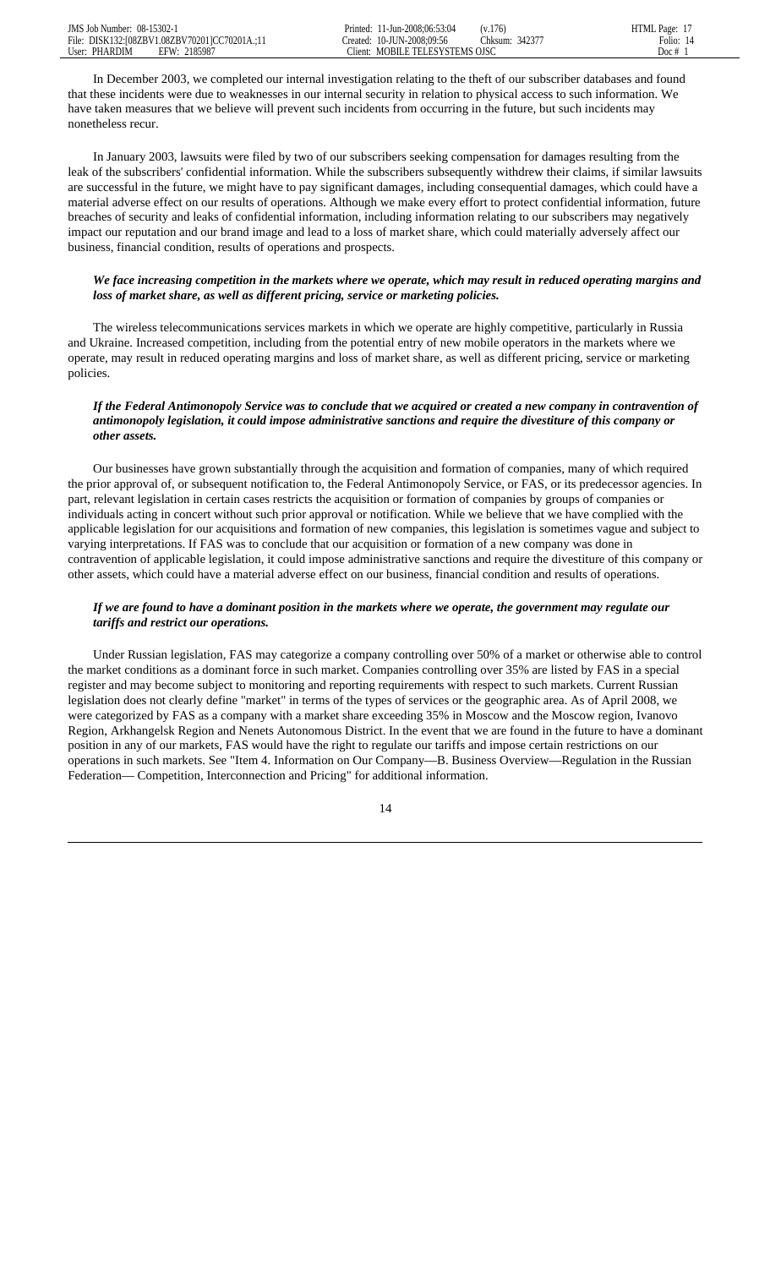In December 2003, we completed our internal investigation relating to the theft of our subscriber databases and found that these incidents were due to weaknesses in our internal security in relation to physical access to such information. We have taken measures that we believe will prevent such incidents from occurring in the future, but such incidents may nonetheless recur.

 In January 2003, lawsuits were filed by two of our subscribers seeking compensation for damages resulting from the leak of the subscribers' confidential information. While the subscribers subsequently withdrew their claims, if similar lawsuits are successful in the future, we might have to pay significant damages, including consequential damages, which could have a material adverse effect on our results of operations. Although we make every effort to protect confidential information, future breaches of security and leaks of confidential information, including information relating to our subscribers may negatively impact our reputation and our brand image and lead to a loss of market share, which could materially adversely affect our business, financial condition, results of operations and prospects.

### *We face increasing competition in the markets where we operate, which may result in reduced operating margins and loss of market share, as well as different pricing, service or marketing policies.*

 The wireless telecommunications services markets in which we operate are highly competitive, particularly in Russia and Ukraine. Increased competition, including from the potential entry of new mobile operators in the markets where we operate, may result in reduced operating margins and loss of market share, as well as different pricing, service or marketing policies.

## *If the Federal Antimonopoly Service was to conclude that we acquired or created a new company in contravention of antimonopoly legislation, it could impose administrative sanctions and require the divestiture of this company or other assets.*

 Our businesses have grown substantially through the acquisition and formation of companies, many of which required the prior approval of, or subsequent notification to, the Federal Antimonopoly Service, or FAS, or its predecessor agencies. In part, relevant legislation in certain cases restricts the acquisition or formation of companies by groups of companies or individuals acting in concert without such prior approval or notification. While we believe that we have complied with the applicable legislation for our acquisitions and formation of new companies, this legislation is sometimes vague and subject to varying interpretations. If FAS was to conclude that our acquisition or formation of a new company was done in contravention of applicable legislation, it could impose administrative sanctions and require the divestiture of this company or other assets, which could have a material adverse effect on our business, financial condition and results of operations.

#### *If we are found to have a dominant position in the markets where we operate, the government may regulate our tariffs and restrict our operations.*

 Under Russian legislation, FAS may categorize a company controlling over 50% of a market or otherwise able to control the market conditions as a dominant force in such market. Companies controlling over 35% are listed by FAS in a special register and may become subject to monitoring and reporting requirements with respect to such markets. Current Russian legislation does not clearly define "market" in terms of the types of services or the geographic area. As of April 2008, we were categorized by FAS as a company with a market share exceeding 35% in Moscow and the Moscow region, Ivanovo Region, Arkhangelsk Region and Nenets Autonomous District. In the event that we are found in the future to have a dominant position in any of our markets, FAS would have the right to regulate our tariffs and impose certain restrictions on our operations in such markets. See "Item 4. Information on Our Company—B. Business Overview—Regulation in the Russian Federation— Competition, Interconnection and Pricing" for additional information.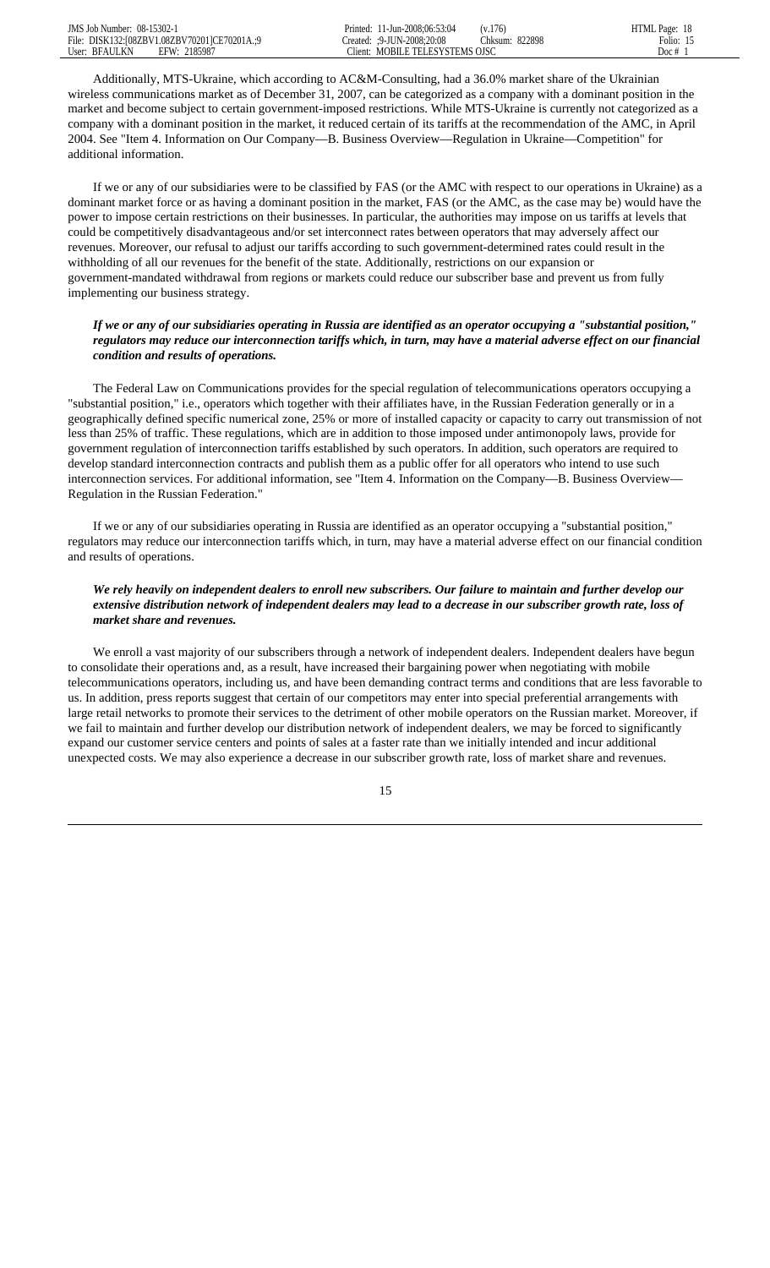Additionally, MTS-Ukraine, which according to AC&M-Consulting, had a 36.0% market share of the Ukrainian wireless communications market as of December 31, 2007, can be categorized as a company with a dominant position in the market and become subject to certain government-imposed restrictions. While MTS-Ukraine is currently not categorized as a company with a dominant position in the market, it reduced certain of its tariffs at the recommendation of the AMC, in April 2004. See "Item 4. Information on Our Company—B. Business Overview—Regulation in Ukraine—Competition" for additional information.

 If we or any of our subsidiaries were to be classified by FAS (or the AMC with respect to our operations in Ukraine) as a dominant market force or as having a dominant position in the market, FAS (or the AMC, as the case may be) would have the power to impose certain restrictions on their businesses. In particular, the authorities may impose on us tariffs at levels that could be competitively disadvantageous and/or set interconnect rates between operators that may adversely affect our revenues. Moreover, our refusal to adjust our tariffs according to such government-determined rates could result in the withholding of all our revenues for the benefit of the state. Additionally, restrictions on our expansion or government-mandated withdrawal from regions or markets could reduce our subscriber base and prevent us from fully implementing our business strategy.

## *If we or any of our subsidiaries operating in Russia are identified as an operator occupying a "substantial position," regulators may reduce our interconnection tariffs which, in turn, may have a material adverse effect on our financial condition and results of operations.*

 The Federal Law on Communications provides for the special regulation of telecommunications operators occupying a "substantial position," i.e., operators which together with their affiliates have, in the Russian Federation generally or in a geographically defined specific numerical zone, 25% or more of installed capacity or capacity to carry out transmission of not less than 25% of traffic. These regulations, which are in addition to those imposed under antimonopoly laws, provide for government regulation of interconnection tariffs established by such operators. In addition, such operators are required to develop standard interconnection contracts and publish them as a public offer for all operators who intend to use such interconnection services. For additional information, see "Item 4. Information on the Company—B. Business Overview— Regulation in the Russian Federation."

 If we or any of our subsidiaries operating in Russia are identified as an operator occupying a "substantial position," regulators may reduce our interconnection tariffs which, in turn, may have a material adverse effect on our financial condition and results of operations.

## *We rely heavily on independent dealers to enroll new subscribers. Our failure to maintain and further develop our extensive distribution network of independent dealers may lead to a decrease in our subscriber growth rate, loss of market share and revenues.*

 We enroll a vast majority of our subscribers through a network of independent dealers. Independent dealers have begun to consolidate their operations and, as a result, have increased their bargaining power when negotiating with mobile telecommunications operators, including us, and have been demanding contract terms and conditions that are less favorable to us. In addition, press reports suggest that certain of our competitors may enter into special preferential arrangements with large retail networks to promote their services to the detriment of other mobile operators on the Russian market. Moreover, if we fail to maintain and further develop our distribution network of independent dealers, we may be forced to significantly expand our customer service centers and points of sales at a faster rate than we initially intended and incur additional unexpected costs. We may also experience a decrease in our subscriber growth rate, loss of market share and revenues.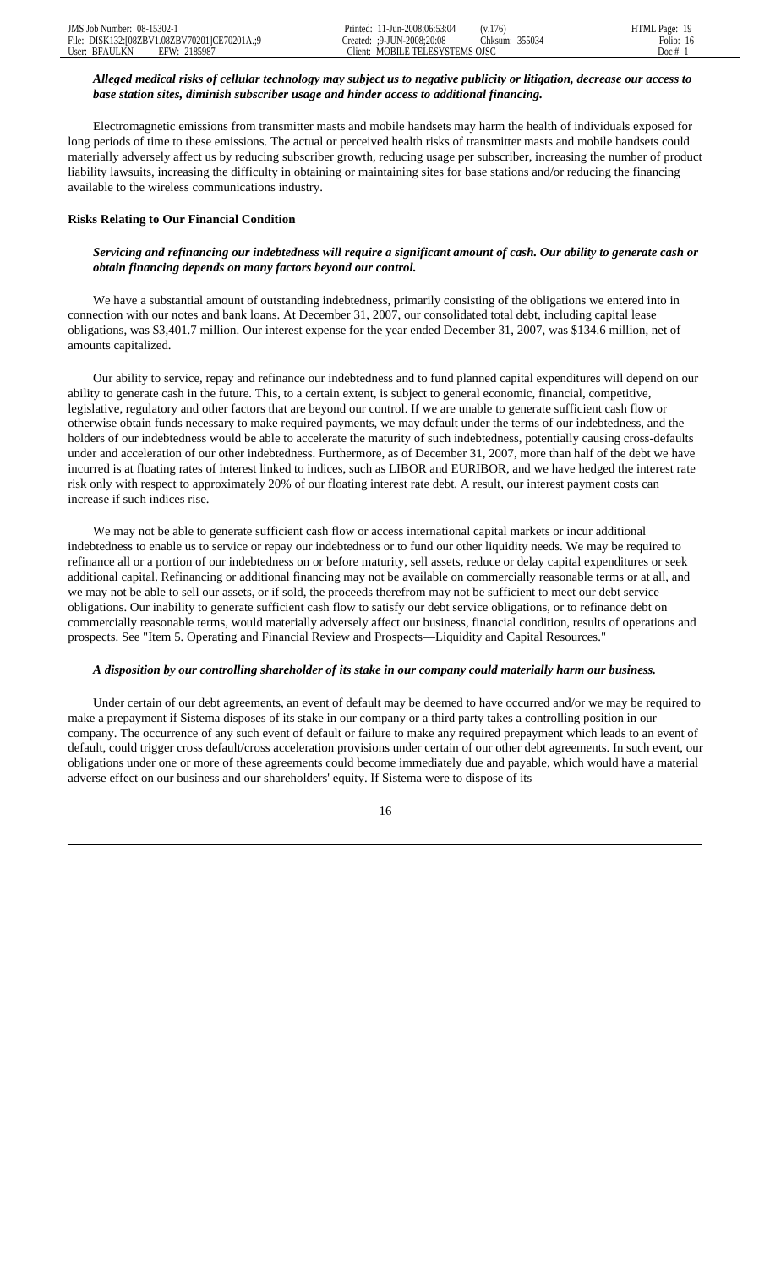## *Alleged medical risks of cellular technology may subject us to negative publicity or litigation, decrease our access to base station sites, diminish subscriber usage and hinder access to additional financing.*

 Electromagnetic emissions from transmitter masts and mobile handsets may harm the health of individuals exposed for long periods of time to these emissions. The actual or perceived health risks of transmitter masts and mobile handsets could materially adversely affect us by reducing subscriber growth, reducing usage per subscriber, increasing the number of product liability lawsuits, increasing the difficulty in obtaining or maintaining sites for base stations and/or reducing the financing available to the wireless communications industry.

#### **Risks Relating to Our Financial Condition**

#### *Servicing and refinancing our indebtedness will require a significant amount of cash. Our ability to generate cash or obtain financing depends on many factors beyond our control.*

 We have a substantial amount of outstanding indebtedness, primarily consisting of the obligations we entered into in connection with our notes and bank loans. At December 31, 2007, our consolidated total debt, including capital lease obligations, was \$3,401.7 million. Our interest expense for the year ended December 31, 2007, was \$134.6 million, net of amounts capitalized.

 Our ability to service, repay and refinance our indebtedness and to fund planned capital expenditures will depend on our ability to generate cash in the future. This, to a certain extent, is subject to general economic, financial, competitive, legislative, regulatory and other factors that are beyond our control. If we are unable to generate sufficient cash flow or otherwise obtain funds necessary to make required payments, we may default under the terms of our indebtedness, and the holders of our indebtedness would be able to accelerate the maturity of such indebtedness, potentially causing cross-defaults under and acceleration of our other indebtedness. Furthermore, as of December 31, 2007, more than half of the debt we have incurred is at floating rates of interest linked to indices, such as LIBOR and EURIBOR, and we have hedged the interest rate risk only with respect to approximately 20% of our floating interest rate debt. A result, our interest payment costs can increase if such indices rise.

 We may not be able to generate sufficient cash flow or access international capital markets or incur additional indebtedness to enable us to service or repay our indebtedness or to fund our other liquidity needs. We may be required to refinance all or a portion of our indebtedness on or before maturity, sell assets, reduce or delay capital expenditures or seek additional capital. Refinancing or additional financing may not be available on commercially reasonable terms or at all, and we may not be able to sell our assets, or if sold, the proceeds therefrom may not be sufficient to meet our debt service obligations. Our inability to generate sufficient cash flow to satisfy our debt service obligations, or to refinance debt on commercially reasonable terms, would materially adversely affect our business, financial condition, results of operations and prospects. See "Item 5. Operating and Financial Review and Prospects—Liquidity and Capital Resources."

#### *A disposition by our controlling shareholder of its stake in our company could materially harm our business.*

 Under certain of our debt agreements, an event of default may be deemed to have occurred and/or we may be required to make a prepayment if Sistema disposes of its stake in our company or a third party takes a controlling position in our company. The occurrence of any such event of default or failure to make any required prepayment which leads to an event of default, could trigger cross default/cross acceleration provisions under certain of our other debt agreements. In such event, our obligations under one or more of these agreements could become immediately due and payable, which would have a material adverse effect on our business and our shareholders' equity. If Sistema were to dispose of its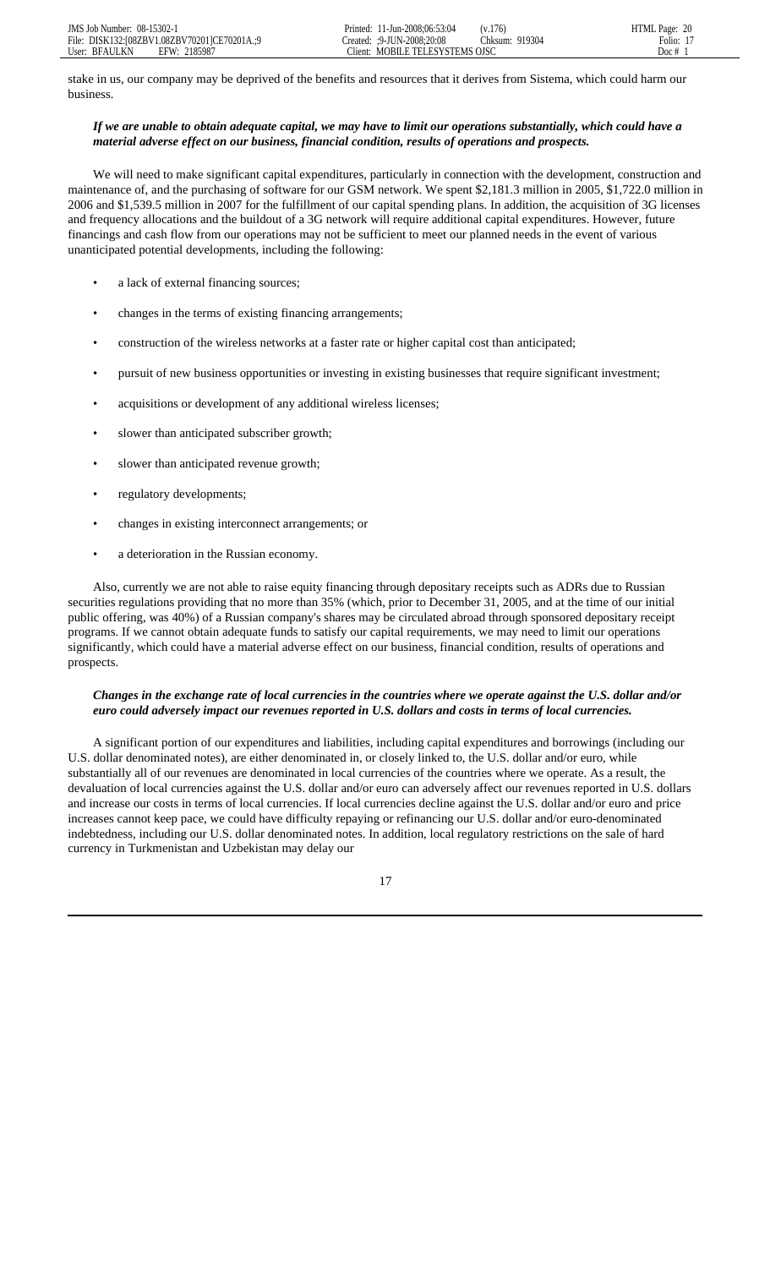stake in us, our company may be deprived of the benefits and resources that it derives from Sistema, which could harm our business.

## *If we are unable to obtain adequate capital, we may have to limit our operations substantially, which could have a material adverse effect on our business, financial condition, results of operations and prospects.*

 We will need to make significant capital expenditures, particularly in connection with the development, construction and maintenance of, and the purchasing of software for our GSM network. We spent \$2,181.3 million in 2005, \$1,722.0 million in 2006 and \$1,539.5 million in 2007 for the fulfillment of our capital spending plans. In addition, the acquisition of 3G licenses and frequency allocations and the buildout of a 3G network will require additional capital expenditures. However, future financings and cash flow from our operations may not be sufficient to meet our planned needs in the event of various unanticipated potential developments, including the following:

- a lack of external financing sources;
- changes in the terms of existing financing arrangements;
- construction of the wireless networks at a faster rate or higher capital cost than anticipated;
- pursuit of new business opportunities or investing in existing businesses that require significant investment;
- acquisitions or development of any additional wireless licenses;
- slower than anticipated subscriber growth;
- slower than anticipated revenue growth;
- regulatory developments;
- changes in existing interconnect arrangements; or
- a deterioration in the Russian economy.

 Also, currently we are not able to raise equity financing through depositary receipts such as ADRs due to Russian securities regulations providing that no more than 35% (which, prior to December 31, 2005, and at the time of our initial public offering, was 40%) of a Russian company's shares may be circulated abroad through sponsored depositary receipt programs. If we cannot obtain adequate funds to satisfy our capital requirements, we may need to limit our operations significantly, which could have a material adverse effect on our business, financial condition, results of operations and prospects.

## *Changes in the exchange rate of local currencies in the countries where we operate against the U.S. dollar and/or euro could adversely impact our revenues reported in U.S. dollars and costs in terms of local currencies.*

 A significant portion of our expenditures and liabilities, including capital expenditures and borrowings (including our U.S. dollar denominated notes), are either denominated in, or closely linked to, the U.S. dollar and/or euro, while substantially all of our revenues are denominated in local currencies of the countries where we operate. As a result, the devaluation of local currencies against the U.S. dollar and/or euro can adversely affect our revenues reported in U.S. dollars and increase our costs in terms of local currencies. If local currencies decline against the U.S. dollar and/or euro and price increases cannot keep pace, we could have difficulty repaying or refinancing our U.S. dollar and/or euro-denominated indebtedness, including our U.S. dollar denominated notes. In addition, local regulatory restrictions on the sale of hard currency in Turkmenistan and Uzbekistan may delay our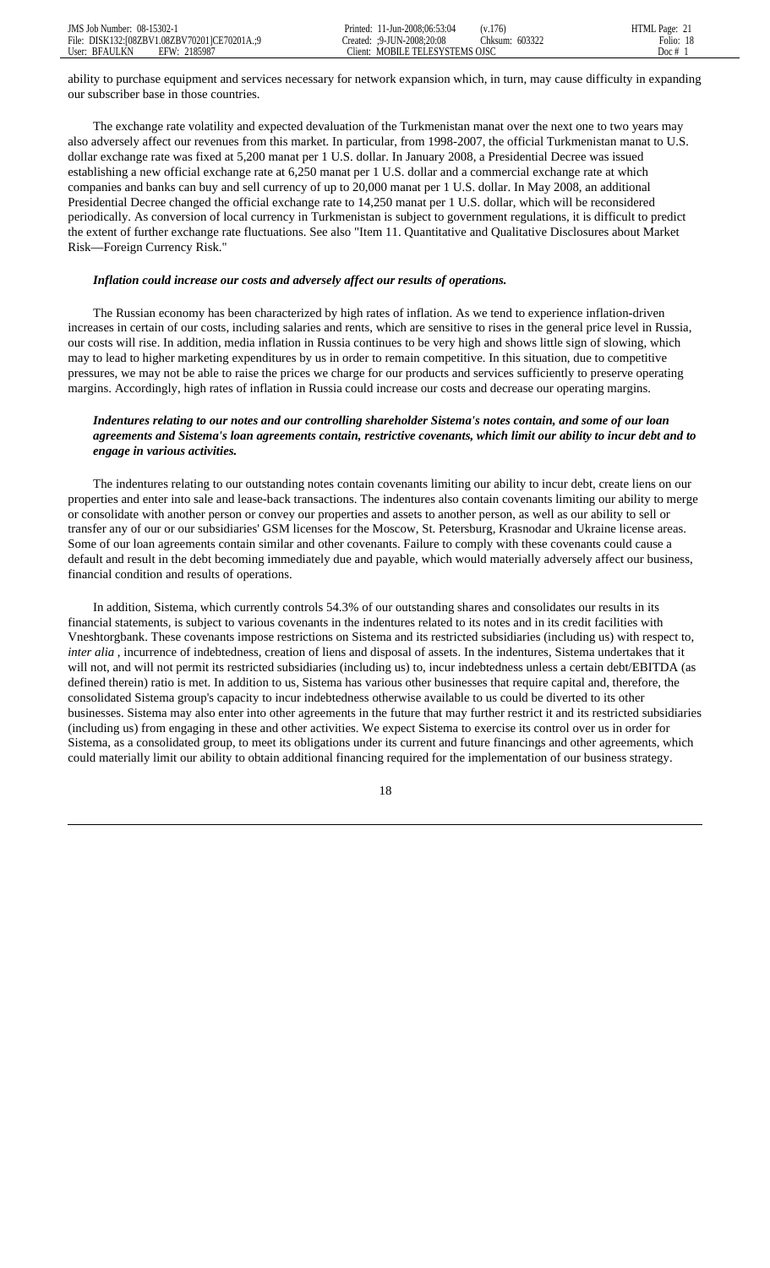ability to purchase equipment and services necessary for network expansion which, in turn, may cause difficulty in expanding our subscriber base in those countries.

 The exchange rate volatility and expected devaluation of the Turkmenistan manat over the next one to two years may also adversely affect our revenues from this market. In particular, from 1998-2007, the official Turkmenistan manat to U.S. dollar exchange rate was fixed at 5,200 manat per 1 U.S. dollar. In January 2008, a Presidential Decree was issued establishing a new official exchange rate at 6,250 manat per 1 U.S. dollar and a commercial exchange rate at which companies and banks can buy and sell currency of up to 20,000 manat per 1 U.S. dollar. In May 2008, an additional Presidential Decree changed the official exchange rate to 14,250 manat per 1 U.S. dollar, which will be reconsidered periodically. As conversion of local currency in Turkmenistan is subject to government regulations, it is difficult to predict the extent of further exchange rate fluctuations. See also "Item 11. Quantitative and Qualitative Disclosures about Market Risk—Foreign Currency Risk."

#### *Inflation could increase our costs and adversely affect our results of operations.*

 The Russian economy has been characterized by high rates of inflation. As we tend to experience inflation-driven increases in certain of our costs, including salaries and rents, which are sensitive to rises in the general price level in Russia, our costs will rise. In addition, media inflation in Russia continues to be very high and shows little sign of slowing, which may to lead to higher marketing expenditures by us in order to remain competitive. In this situation, due to competitive pressures, we may not be able to raise the prices we charge for our products and services sufficiently to preserve operating margins. Accordingly, high rates of inflation in Russia could increase our costs and decrease our operating margins.

## *Indentures relating to our notes and our controlling shareholder Sistema's notes contain, and some of our loan agreements and Sistema's loan agreements contain, restrictive covenants, which limit our ability to incur debt and to engage in various activities.*

 The indentures relating to our outstanding notes contain covenants limiting our ability to incur debt, create liens on our properties and enter into sale and lease-back transactions. The indentures also contain covenants limiting our ability to merge or consolidate with another person or convey our properties and assets to another person, as well as our ability to sell or transfer any of our or our subsidiaries' GSM licenses for the Moscow, St. Petersburg, Krasnodar and Ukraine license areas. Some of our loan agreements contain similar and other covenants. Failure to comply with these covenants could cause a default and result in the debt becoming immediately due and payable, which would materially adversely affect our business, financial condition and results of operations.

 In addition, Sistema, which currently controls 54.3% of our outstanding shares and consolidates our results in its financial statements, is subject to various covenants in the indentures related to its notes and in its credit facilities with Vneshtorgbank. These covenants impose restrictions on Sistema and its restricted subsidiaries (including us) with respect to, *inter alia*, incurrence of indebtedness, creation of liens and disposal of assets. In the indentures, Sistema undertakes that it will not, and will not permit its restricted subsidiaries (including us) to, incur indebtedness unless a certain debt/EBITDA (as defined therein) ratio is met. In addition to us, Sistema has various other businesses that require capital and, therefore, the consolidated Sistema group's capacity to incur indebtedness otherwise available to us could be diverted to its other businesses. Sistema may also enter into other agreements in the future that may further restrict it and its restricted subsidiaries (including us) from engaging in these and other activities. We expect Sistema to exercise its control over us in order for Sistema, as a consolidated group, to meet its obligations under its current and future financings and other agreements, which could materially limit our ability to obtain additional financing required for the implementation of our business strategy.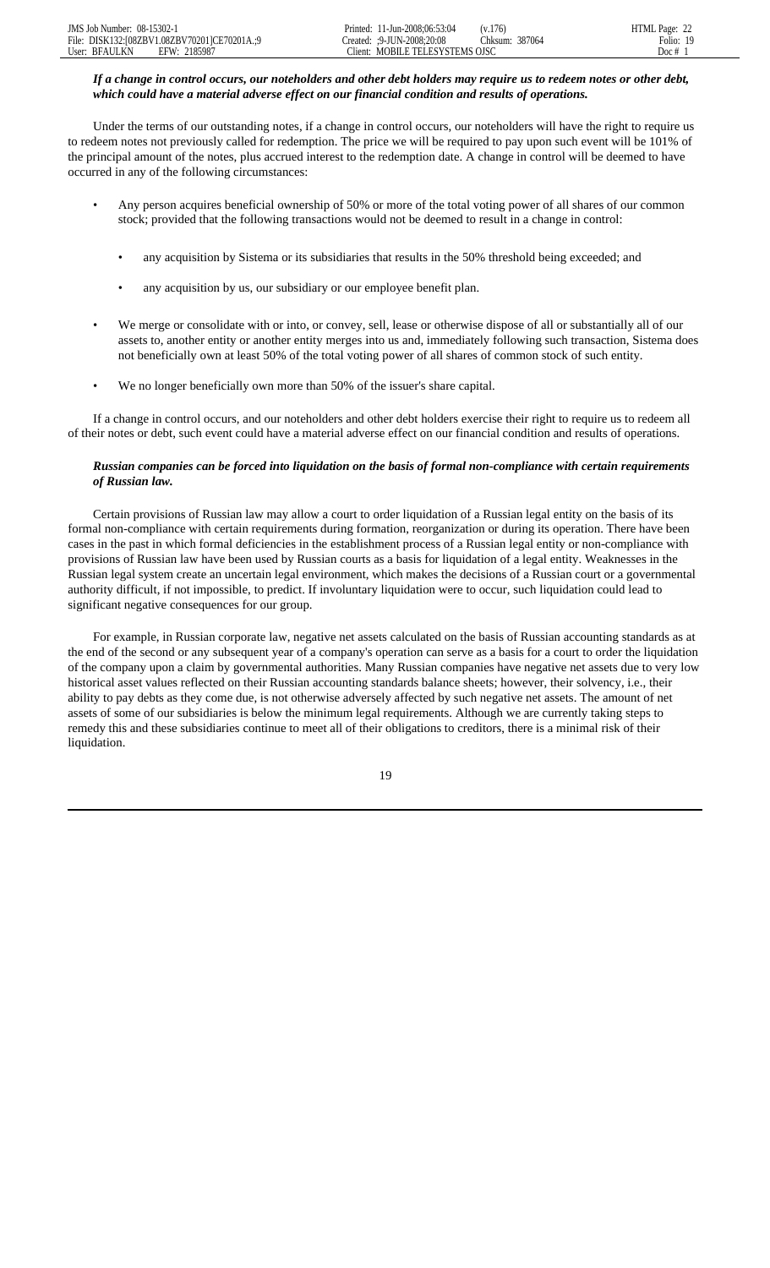## *If a change in control occurs, our noteholders and other debt holders may require us to redeem notes or other debt, which could have a material adverse effect on our financial condition and results of operations.*

 Under the terms of our outstanding notes, if a change in control occurs, our noteholders will have the right to require us to redeem notes not previously called for redemption. The price we will be required to pay upon such event will be 101% of the principal amount of the notes, plus accrued interest to the redemption date. A change in control will be deemed to have occurred in any of the following circumstances:

- Any person acquires beneficial ownership of 50% or more of the total voting power of all shares of our common stock; provided that the following transactions would not be deemed to result in a change in control:
	- any acquisition by Sistema or its subsidiaries that results in the 50% threshold being exceeded; and
	- any acquisition by us, our subsidiary or our employee benefit plan.
- We merge or consolidate with or into, or convey, sell, lease or otherwise dispose of all or substantially all of our assets to, another entity or another entity merges into us and, immediately following such transaction, Sistema does not beneficially own at least 50% of the total voting power of all shares of common stock of such entity.
- We no longer beneficially own more than 50% of the issuer's share capital.

 If a change in control occurs, and our noteholders and other debt holders exercise their right to require us to redeem all of their notes or debt, such event could have a material adverse effect on our financial condition and results of operations.

## *Russian companies can be forced into liquidation on the basis of formal non-compliance with certain requirements of Russian law.*

 Certain provisions of Russian law may allow a court to order liquidation of a Russian legal entity on the basis of its formal non-compliance with certain requirements during formation, reorganization or during its operation. There have been cases in the past in which formal deficiencies in the establishment process of a Russian legal entity or non-compliance with provisions of Russian law have been used by Russian courts as a basis for liquidation of a legal entity. Weaknesses in the Russian legal system create an uncertain legal environment, which makes the decisions of a Russian court or a governmental authority difficult, if not impossible, to predict. If involuntary liquidation were to occur, such liquidation could lead to significant negative consequences for our group.

 For example, in Russian corporate law, negative net assets calculated on the basis of Russian accounting standards as at the end of the second or any subsequent year of a company's operation can serve as a basis for a court to order the liquidation of the company upon a claim by governmental authorities. Many Russian companies have negative net assets due to very low historical asset values reflected on their Russian accounting standards balance sheets; however, their solvency, i.e., their ability to pay debts as they come due, is not otherwise adversely affected by such negative net assets. The amount of net assets of some of our subsidiaries is below the minimum legal requirements. Although we are currently taking steps to remedy this and these subsidiaries continue to meet all of their obligations to creditors, there is a minimal risk of their liquidation.

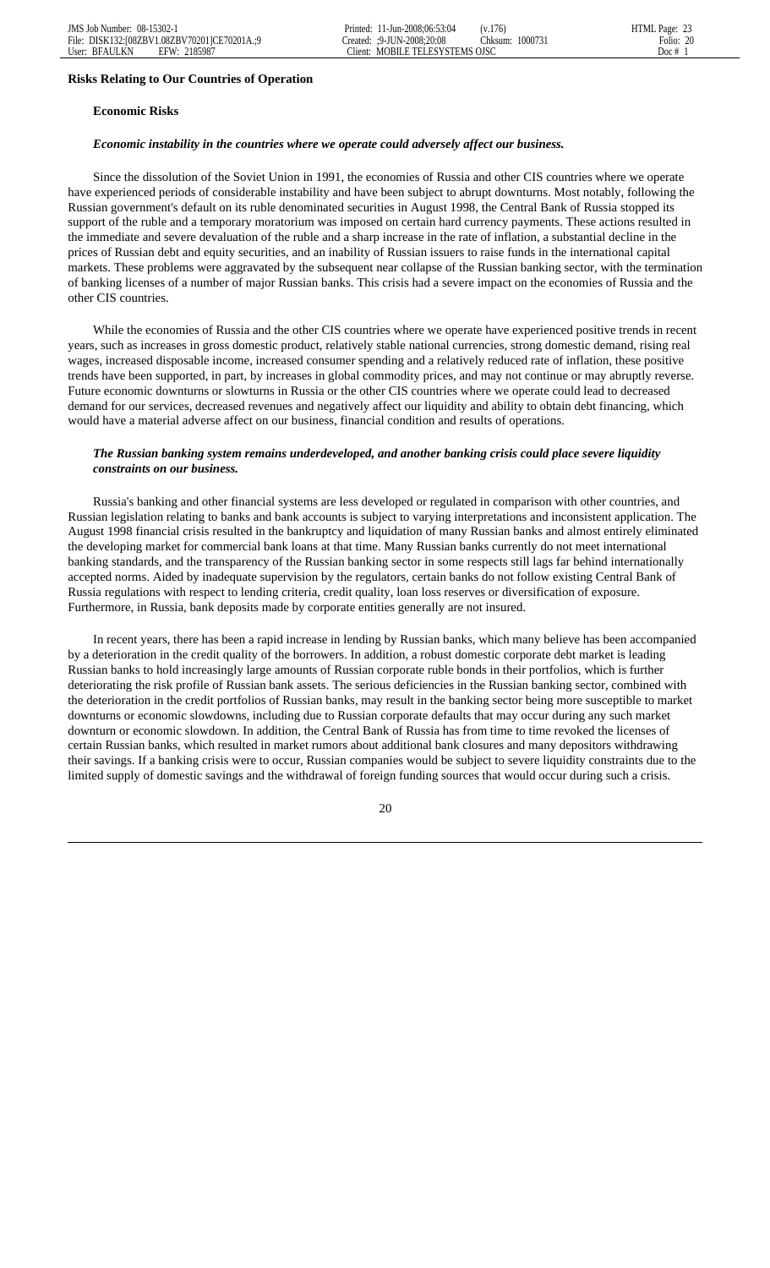## **Risks Relating to Our Countries of Operation**

#### **Economic Risks**

#### *Economic instability in the countries where we operate could adversely affect our business.*

 Since the dissolution of the Soviet Union in 1991, the economies of Russia and other CIS countries where we operate have experienced periods of considerable instability and have been subject to abrupt downturns. Most notably, following the Russian government's default on its ruble denominated securities in August 1998, the Central Bank of Russia stopped its support of the ruble and a temporary moratorium was imposed on certain hard currency payments. These actions resulted in the immediate and severe devaluation of the ruble and a sharp increase in the rate of inflation, a substantial decline in the prices of Russian debt and equity securities, and an inability of Russian issuers to raise funds in the international capital markets. These problems were aggravated by the subsequent near collapse of the Russian banking sector, with the termination of banking licenses of a number of major Russian banks. This crisis had a severe impact on the economies of Russia and the other CIS countries.

While the economies of Russia and the other CIS countries where we operate have experienced positive trends in recent years, such as increases in gross domestic product, relatively stable national currencies, strong domestic demand, rising real wages, increased disposable income, increased consumer spending and a relatively reduced rate of inflation, these positive trends have been supported, in part, by increases in global commodity prices, and may not continue or may abruptly reverse. Future economic downturns or slowturns in Russia or the other CIS countries where we operate could lead to decreased demand for our services, decreased revenues and negatively affect our liquidity and ability to obtain debt financing, which would have a material adverse affect on our business, financial condition and results of operations.

## *The Russian banking system remains underdeveloped, and another banking crisis could place severe liquidity constraints on our business.*

 Russia's banking and other financial systems are less developed or regulated in comparison with other countries, and Russian legislation relating to banks and bank accounts is subject to varying interpretations and inconsistent application. The August 1998 financial crisis resulted in the bankruptcy and liquidation of many Russian banks and almost entirely eliminated the developing market for commercial bank loans at that time. Many Russian banks currently do not meet international banking standards, and the transparency of the Russian banking sector in some respects still lags far behind internationally accepted norms. Aided by inadequate supervision by the regulators, certain banks do not follow existing Central Bank of Russia regulations with respect to lending criteria, credit quality, loan loss reserves or diversification of exposure. Furthermore, in Russia, bank deposits made by corporate entities generally are not insured.

 In recent years, there has been a rapid increase in lending by Russian banks, which many believe has been accompanied by a deterioration in the credit quality of the borrowers. In addition, a robust domestic corporate debt market is leading Russian banks to hold increasingly large amounts of Russian corporate ruble bonds in their portfolios, which is further deteriorating the risk profile of Russian bank assets. The serious deficiencies in the Russian banking sector, combined with the deterioration in the credit portfolios of Russian banks, may result in the banking sector being more susceptible to market downturns or economic slowdowns, including due to Russian corporate defaults that may occur during any such market downturn or economic slowdown. In addition, the Central Bank of Russia has from time to time revoked the licenses of certain Russian banks, which resulted in market rumors about additional bank closures and many depositors withdrawing their savings. If a banking crisis were to occur, Russian companies would be subject to severe liquidity constraints due to the limited supply of domestic savings and the withdrawal of foreign funding sources that would occur during such a crisis.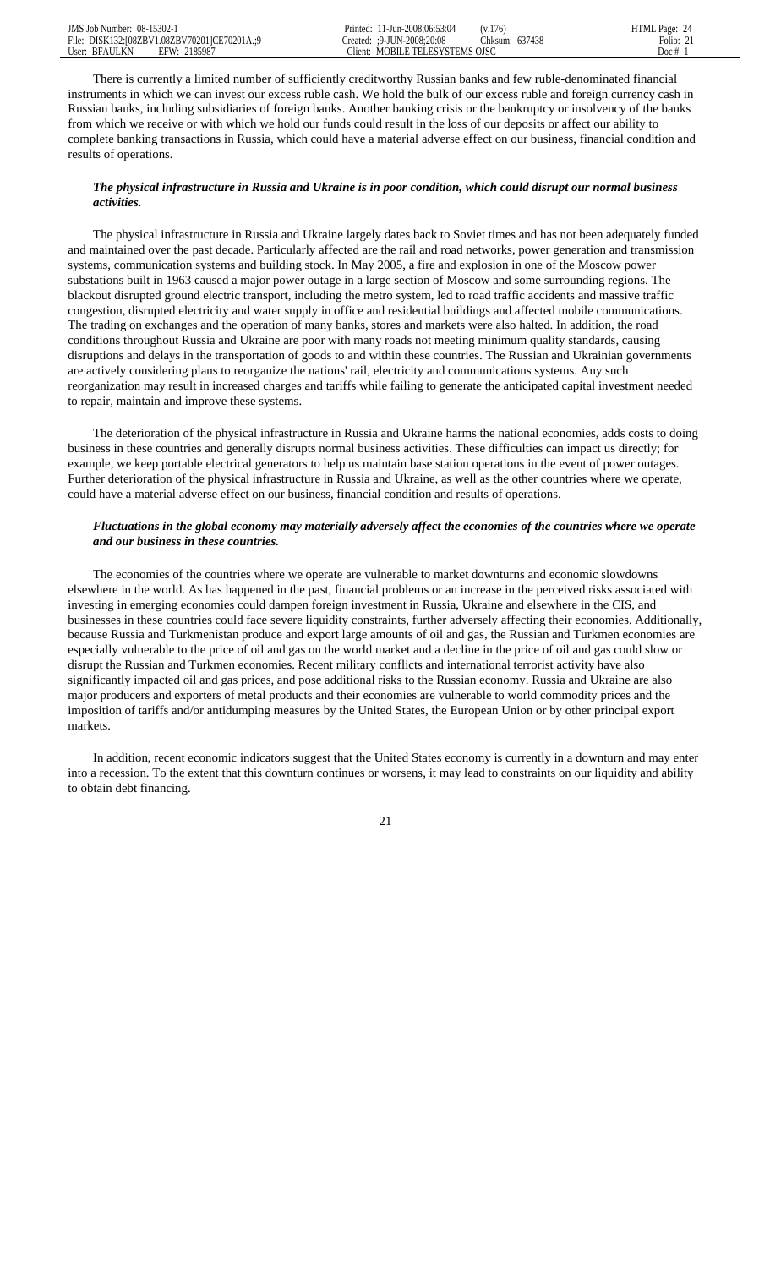There is currently a limited number of sufficiently creditworthy Russian banks and few ruble-denominated financial instruments in which we can invest our excess ruble cash. We hold the bulk of our excess ruble and foreign currency cash in Russian banks, including subsidiaries of foreign banks. Another banking crisis or the bankruptcy or insolvency of the banks from which we receive or with which we hold our funds could result in the loss of our deposits or affect our ability to complete banking transactions in Russia, which could have a material adverse effect on our business, financial condition and results of operations.

#### *The physical infrastructure in Russia and Ukraine is in poor condition, which could disrupt our normal business activities.*

 The physical infrastructure in Russia and Ukraine largely dates back to Soviet times and has not been adequately funded and maintained over the past decade. Particularly affected are the rail and road networks, power generation and transmission systems, communication systems and building stock. In May 2005, a fire and explosion in one of the Moscow power substations built in 1963 caused a major power outage in a large section of Moscow and some surrounding regions. The blackout disrupted ground electric transport, including the metro system, led to road traffic accidents and massive traffic congestion, disrupted electricity and water supply in office and residential buildings and affected mobile communications. The trading on exchanges and the operation of many banks, stores and markets were also halted. In addition, the road conditions throughout Russia and Ukraine are poor with many roads not meeting minimum quality standards, causing disruptions and delays in the transportation of goods to and within these countries. The Russian and Ukrainian governments are actively considering plans to reorganize the nations' rail, electricity and communications systems. Any such reorganization may result in increased charges and tariffs while failing to generate the anticipated capital investment needed to repair, maintain and improve these systems.

 The deterioration of the physical infrastructure in Russia and Ukraine harms the national economies, adds costs to doing business in these countries and generally disrupts normal business activities. These difficulties can impact us directly; for example, we keep portable electrical generators to help us maintain base station operations in the event of power outages. Further deterioration of the physical infrastructure in Russia and Ukraine, as well as the other countries where we operate, could have a material adverse effect on our business, financial condition and results of operations.

#### *Fluctuations in the global economy may materially adversely affect the economies of the countries where we operate and our business in these countries.*

 The economies of the countries where we operate are vulnerable to market downturns and economic slowdowns elsewhere in the world. As has happened in the past, financial problems or an increase in the perceived risks associated with investing in emerging economies could dampen foreign investment in Russia, Ukraine and elsewhere in the CIS, and businesses in these countries could face severe liquidity constraints, further adversely affecting their economies. Additionally, because Russia and Turkmenistan produce and export large amounts of oil and gas, the Russian and Turkmen economies are especially vulnerable to the price of oil and gas on the world market and a decline in the price of oil and gas could slow or disrupt the Russian and Turkmen economies. Recent military conflicts and international terrorist activity have also significantly impacted oil and gas prices, and pose additional risks to the Russian economy. Russia and Ukraine are also major producers and exporters of metal products and their economies are vulnerable to world commodity prices and the imposition of tariffs and/or antidumping measures by the United States, the European Union or by other principal export markets.

 In addition, recent economic indicators suggest that the United States economy is currently in a downturn and may enter into a recession. To the extent that this downturn continues or worsens, it may lead to constraints on our liquidity and ability to obtain debt financing.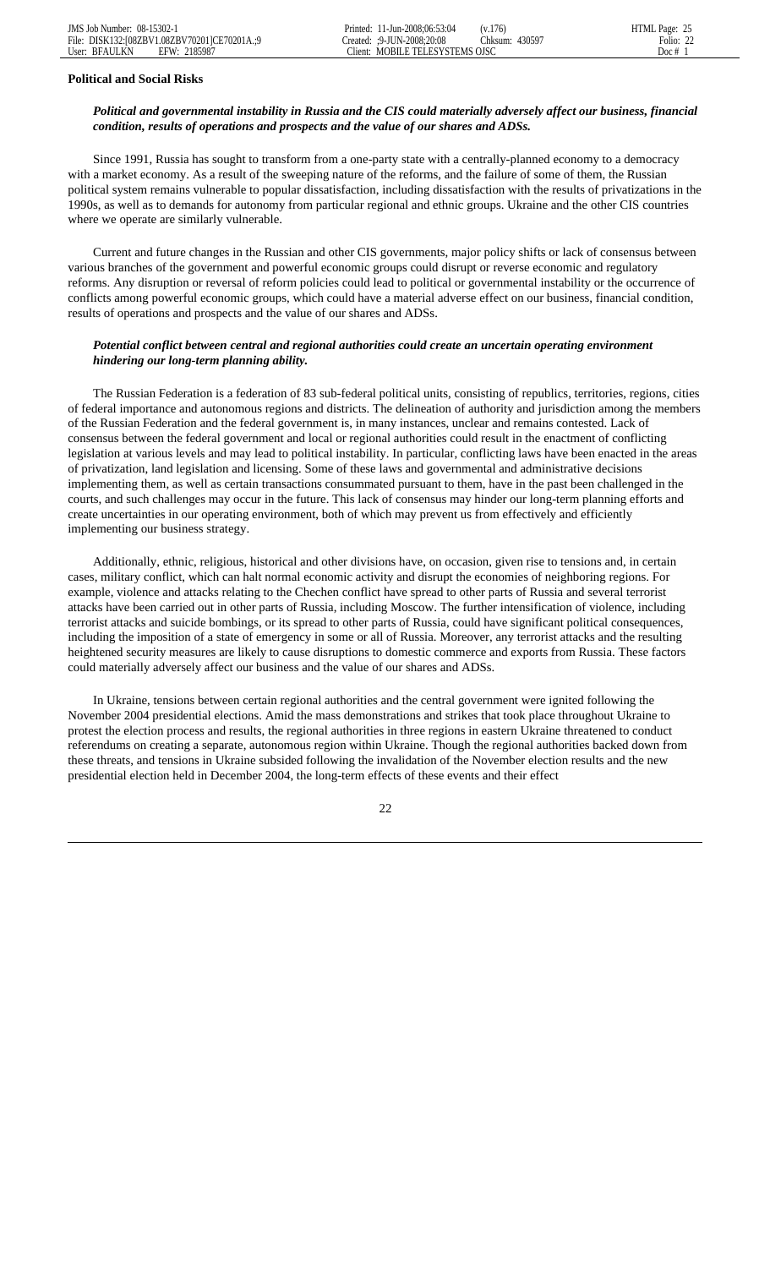#### **Political and Social Risks**

## *Political and governmental instability in Russia and the CIS could materially adversely affect our business, financial condition, results of operations and prospects and the value of our shares and ADSs.*

 Since 1991, Russia has sought to transform from a one-party state with a centrally-planned economy to a democracy with a market economy. As a result of the sweeping nature of the reforms, and the failure of some of them, the Russian political system remains vulnerable to popular dissatisfaction, including dissatisfaction with the results of privatizations in the 1990s, as well as to demands for autonomy from particular regional and ethnic groups. Ukraine and the other CIS countries where we operate are similarly vulnerable.

 Current and future changes in the Russian and other CIS governments, major policy shifts or lack of consensus between various branches of the government and powerful economic groups could disrupt or reverse economic and regulatory reforms. Any disruption or reversal of reform policies could lead to political or governmental instability or the occurrence of conflicts among powerful economic groups, which could have a material adverse effect on our business, financial condition, results of operations and prospects and the value of our shares and ADSs.

### *Potential conflict between central and regional authorities could create an uncertain operating environment hindering our long-term planning ability.*

 The Russian Federation is a federation of 83 sub-federal political units, consisting of republics, territories, regions, cities of federal importance and autonomous regions and districts. The delineation of authority and jurisdiction among the members of the Russian Federation and the federal government is, in many instances, unclear and remains contested. Lack of consensus between the federal government and local or regional authorities could result in the enactment of conflicting legislation at various levels and may lead to political instability. In particular, conflicting laws have been enacted in the areas of privatization, land legislation and licensing. Some of these laws and governmental and administrative decisions implementing them, as well as certain transactions consummated pursuant to them, have in the past been challenged in the courts, and such challenges may occur in the future. This lack of consensus may hinder our long-term planning efforts and create uncertainties in our operating environment, both of which may prevent us from effectively and efficiently implementing our business strategy.

 Additionally, ethnic, religious, historical and other divisions have, on occasion, given rise to tensions and, in certain cases, military conflict, which can halt normal economic activity and disrupt the economies of neighboring regions. For example, violence and attacks relating to the Chechen conflict have spread to other parts of Russia and several terrorist attacks have been carried out in other parts of Russia, including Moscow. The further intensification of violence, including terrorist attacks and suicide bombings, or its spread to other parts of Russia, could have significant political consequences, including the imposition of a state of emergency in some or all of Russia. Moreover, any terrorist attacks and the resulting heightened security measures are likely to cause disruptions to domestic commerce and exports from Russia. These factors could materially adversely affect our business and the value of our shares and ADSs.

 In Ukraine, tensions between certain regional authorities and the central government were ignited following the November 2004 presidential elections. Amid the mass demonstrations and strikes that took place throughout Ukraine to protest the election process and results, the regional authorities in three regions in eastern Ukraine threatened to conduct referendums on creating a separate, autonomous region within Ukraine. Though the regional authorities backed down from these threats, and tensions in Ukraine subsided following the invalidation of the November election results and the new presidential election held in December 2004, the long-term effects of these events and their effect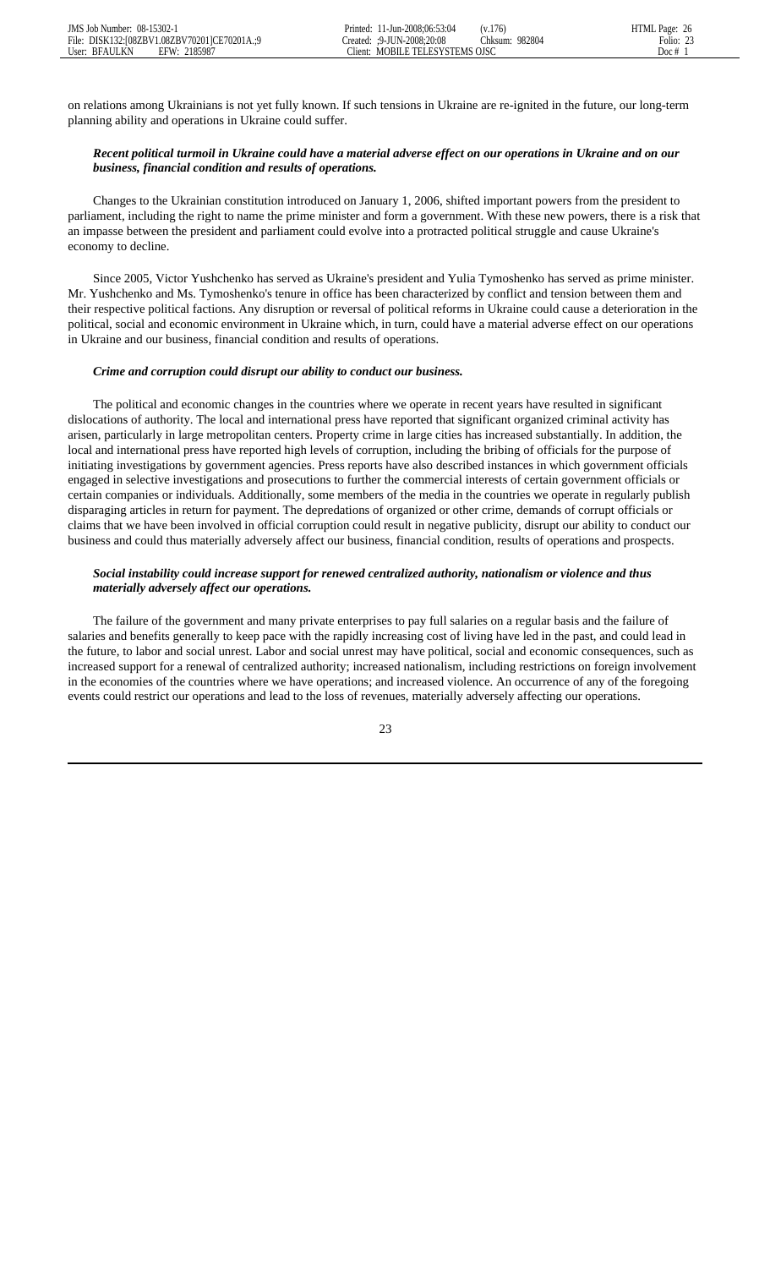on relations among Ukrainians is not yet fully known. If such tensions in Ukraine are re-ignited in the future, our long-term planning ability and operations in Ukraine could suffer.

## *Recent political turmoil in Ukraine could have a material adverse effect on our operations in Ukraine and on our business, financial condition and results of operations.*

 Changes to the Ukrainian constitution introduced on January 1, 2006, shifted important powers from the president to parliament, including the right to name the prime minister and form a government. With these new powers, there is a risk that an impasse between the president and parliament could evolve into a protracted political struggle and cause Ukraine's economy to decline.

 Since 2005, Victor Yushchenko has served as Ukraine's president and Yulia Tymoshenko has served as prime minister. Mr. Yushchenko and Ms. Tymoshenko's tenure in office has been characterized by conflict and tension between them and their respective political factions. Any disruption or reversal of political reforms in Ukraine could cause a deterioration in the political, social and economic environment in Ukraine which, in turn, could have a material adverse effect on our operations in Ukraine and our business, financial condition and results of operations.

#### *Crime and corruption could disrupt our ability to conduct our business.*

 The political and economic changes in the countries where we operate in recent years have resulted in significant dislocations of authority. The local and international press have reported that significant organized criminal activity has arisen, particularly in large metropolitan centers. Property crime in large cities has increased substantially. In addition, the local and international press have reported high levels of corruption, including the bribing of officials for the purpose of initiating investigations by government agencies. Press reports have also described instances in which government officials engaged in selective investigations and prosecutions to further the commercial interests of certain government officials or certain companies or individuals. Additionally, some members of the media in the countries we operate in regularly publish disparaging articles in return for payment. The depredations of organized or other crime, demands of corrupt officials or claims that we have been involved in official corruption could result in negative publicity, disrupt our ability to conduct our business and could thus materially adversely affect our business, financial condition, results of operations and prospects.

#### *Social instability could increase support for renewed centralized authority, nationalism or violence and thus materially adversely affect our operations.*

 The failure of the government and many private enterprises to pay full salaries on a regular basis and the failure of salaries and benefits generally to keep pace with the rapidly increasing cost of living have led in the past, and could lead in the future, to labor and social unrest. Labor and social unrest may have political, social and economic consequences, such as increased support for a renewal of centralized authority; increased nationalism, including restrictions on foreign involvement in the economies of the countries where we have operations; and increased violence. An occurrence of any of the foregoing events could restrict our operations and lead to the loss of revenues, materially adversely affecting our operations.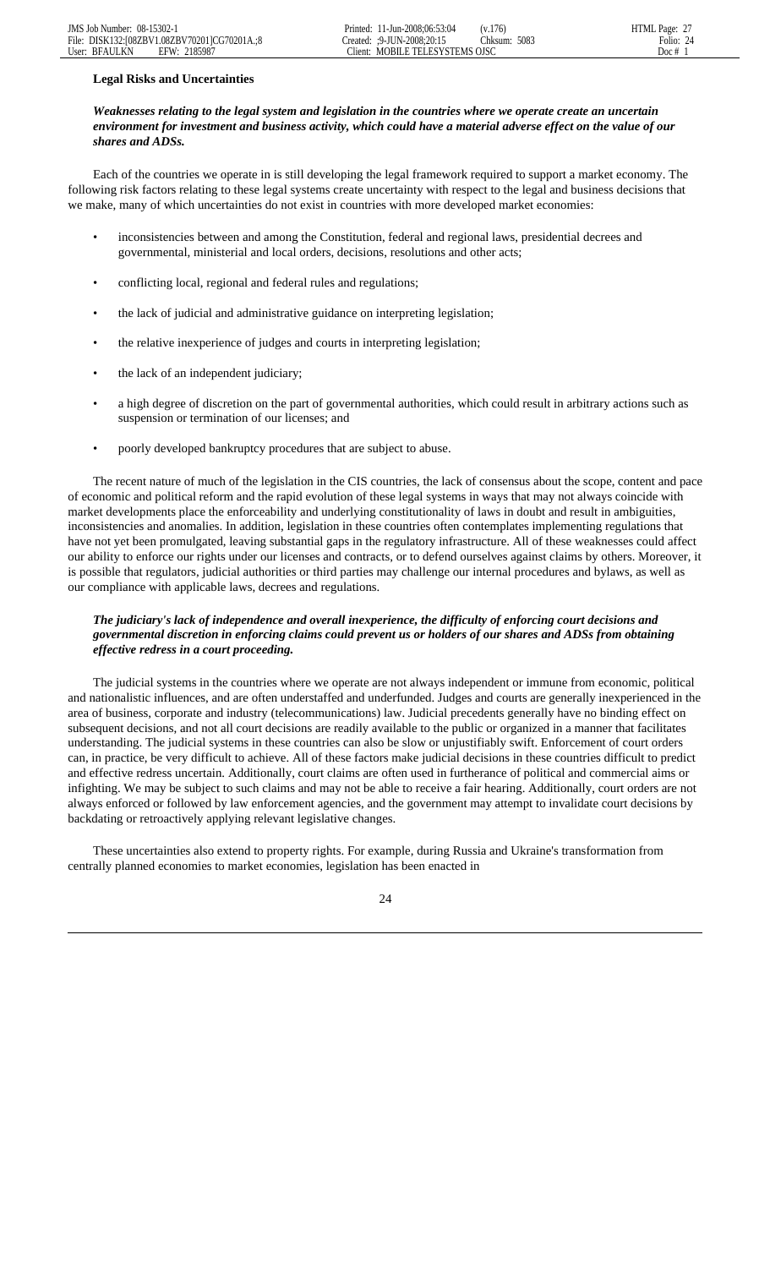#### **Legal Risks and Uncertainties**

## *Weaknesses relating to the legal system and legislation in the countries where we operate create an uncertain environment for investment and business activity, which could have a material adverse effect on the value of our shares and ADSs.*

 Each of the countries we operate in is still developing the legal framework required to support a market economy. The following risk factors relating to these legal systems create uncertainty with respect to the legal and business decisions that we make, many of which uncertainties do not exist in countries with more developed market economies:

- inconsistencies between and among the Constitution, federal and regional laws, presidential decrees and governmental, ministerial and local orders, decisions, resolutions and other acts;
- conflicting local, regional and federal rules and regulations;
- the lack of judicial and administrative guidance on interpreting legislation;
- the relative inexperience of judges and courts in interpreting legislation;
- the lack of an independent judiciary;
- a high degree of discretion on the part of governmental authorities, which could result in arbitrary actions such as suspension or termination of our licenses; and
- poorly developed bankruptcy procedures that are subject to abuse.

 The recent nature of much of the legislation in the CIS countries, the lack of consensus about the scope, content and pace of economic and political reform and the rapid evolution of these legal systems in ways that may not always coincide with market developments place the enforceability and underlying constitutionality of laws in doubt and result in ambiguities, inconsistencies and anomalies. In addition, legislation in these countries often contemplates implementing regulations that have not yet been promulgated, leaving substantial gaps in the regulatory infrastructure. All of these weaknesses could affect our ability to enforce our rights under our licenses and contracts, or to defend ourselves against claims by others. Moreover, it is possible that regulators, judicial authorities or third parties may challenge our internal procedures and bylaws, as well as our compliance with applicable laws, decrees and regulations.

## *The judiciary's lack of independence and overall inexperience, the difficulty of enforcing court decisions and governmental discretion in enforcing claims could prevent us or holders of our shares and ADSs from obtaining effective redress in a court proceeding.*

 The judicial systems in the countries where we operate are not always independent or immune from economic, political and nationalistic influences, and are often understaffed and underfunded. Judges and courts are generally inexperienced in the area of business, corporate and industry (telecommunications) law. Judicial precedents generally have no binding effect on subsequent decisions, and not all court decisions are readily available to the public or organized in a manner that facilitates understanding. The judicial systems in these countries can also be slow or unjustifiably swift. Enforcement of court orders can, in practice, be very difficult to achieve. All of these factors make judicial decisions in these countries difficult to predict and effective redress uncertain. Additionally, court claims are often used in furtherance of political and commercial aims or infighting. We may be subject to such claims and may not be able to receive a fair hearing. Additionally, court orders are not always enforced or followed by law enforcement agencies, and the government may attempt to invalidate court decisions by backdating or retroactively applying relevant legislative changes.

 These uncertainties also extend to property rights. For example, during Russia and Ukraine's transformation from centrally planned economies to market economies, legislation has been enacted in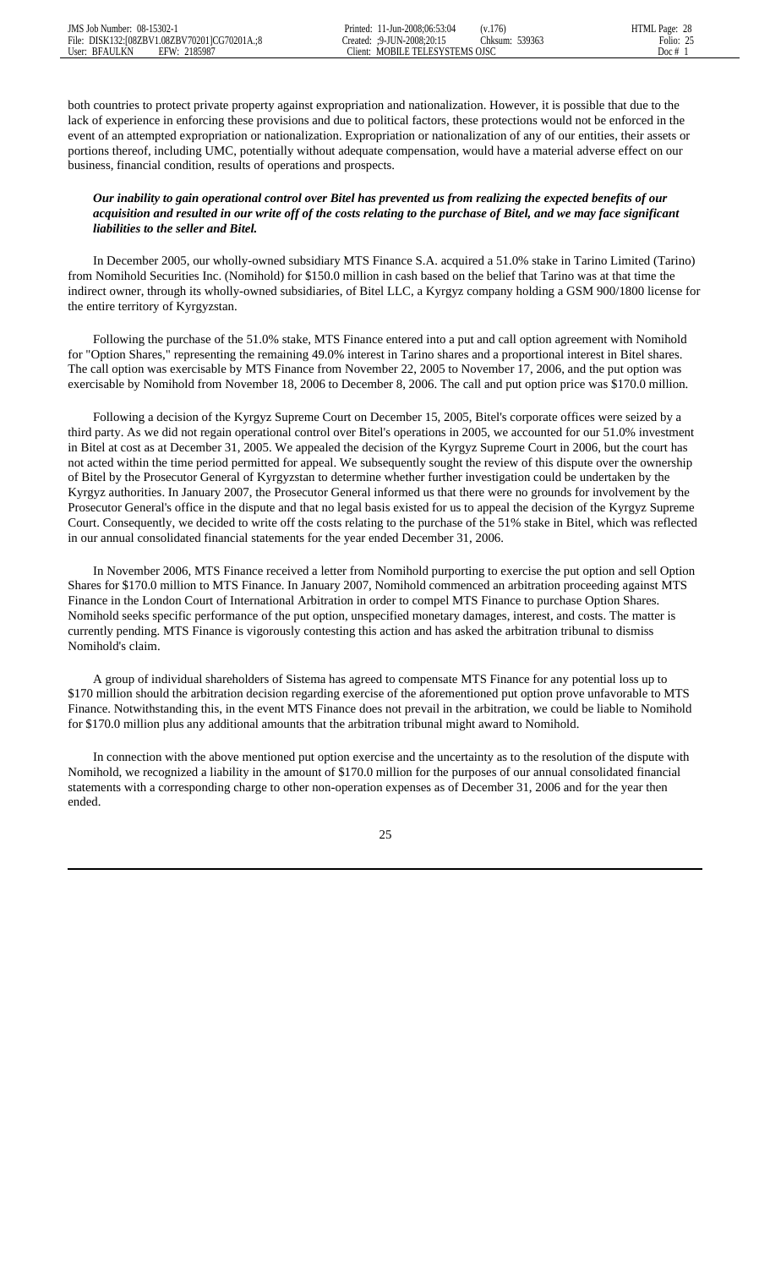both countries to protect private property against expropriation and nationalization. However, it is possible that due to the lack of experience in enforcing these provisions and due to political factors, these protections would not be enforced in the event of an attempted expropriation or nationalization. Expropriation or nationalization of any of our entities, their assets or portions thereof, including UMC, potentially without adequate compensation, would have a material adverse effect on our business, financial condition, results of operations and prospects.

## *Our inability to gain operational control over Bitel has prevented us from realizing the expected benefits of our acquisition and resulted in our write off of the costs relating to the purchase of Bitel, and we may face significant liabilities to the seller and Bitel.*

 In December 2005, our wholly-owned subsidiary MTS Finance S.A. acquired a 51.0% stake in Tarino Limited (Tarino) from Nomihold Securities Inc. (Nomihold) for \$150.0 million in cash based on the belief that Tarino was at that time the indirect owner, through its wholly-owned subsidiaries, of Bitel LLC, a Kyrgyz company holding a GSM 900/1800 license for the entire territory of Kyrgyzstan.

 Following the purchase of the 51.0% stake, MTS Finance entered into a put and call option agreement with Nomihold for "Option Shares," representing the remaining 49.0% interest in Tarino shares and a proportional interest in Bitel shares. The call option was exercisable by MTS Finance from November 22, 2005 to November 17, 2006, and the put option was exercisable by Nomihold from November 18, 2006 to December 8, 2006. The call and put option price was \$170.0 million.

 Following a decision of the Kyrgyz Supreme Court on December 15, 2005, Bitel's corporate offices were seized by a third party. As we did not regain operational control over Bitel's operations in 2005, we accounted for our 51.0% investment in Bitel at cost as at December 31, 2005. We appealed the decision of the Kyrgyz Supreme Court in 2006, but the court has not acted within the time period permitted for appeal. We subsequently sought the review of this dispute over the ownership of Bitel by the Prosecutor General of Kyrgyzstan to determine whether further investigation could be undertaken by the Kyrgyz authorities. In January 2007, the Prosecutor General informed us that there were no grounds for involvement by the Prosecutor General's office in the dispute and that no legal basis existed for us to appeal the decision of the Kyrgyz Supreme Court. Consequently, we decided to write off the costs relating to the purchase of the 51% stake in Bitel, which was reflected in our annual consolidated financial statements for the year ended December 31, 2006.

 In November 2006, MTS Finance received a letter from Nomihold purporting to exercise the put option and sell Option Shares for \$170.0 million to MTS Finance. In January 2007, Nomihold commenced an arbitration proceeding against MTS Finance in the London Court of International Arbitration in order to compel MTS Finance to purchase Option Shares. Nomihold seeks specific performance of the put option, unspecified monetary damages, interest, and costs. The matter is currently pending. MTS Finance is vigorously contesting this action and has asked the arbitration tribunal to dismiss Nomihold's claim.

 A group of individual shareholders of Sistema has agreed to compensate MTS Finance for any potential loss up to \$170 million should the arbitration decision regarding exercise of the aforementioned put option prove unfavorable to MTS Finance. Notwithstanding this, in the event MTS Finance does not prevail in the arbitration, we could be liable to Nomihold for \$170.0 million plus any additional amounts that the arbitration tribunal might award to Nomihold.

 In connection with the above mentioned put option exercise and the uncertainty as to the resolution of the dispute with Nomihold, we recognized a liability in the amount of \$170.0 million for the purposes of our annual consolidated financial statements with a corresponding charge to other non-operation expenses as of December 31, 2006 and for the year then ended.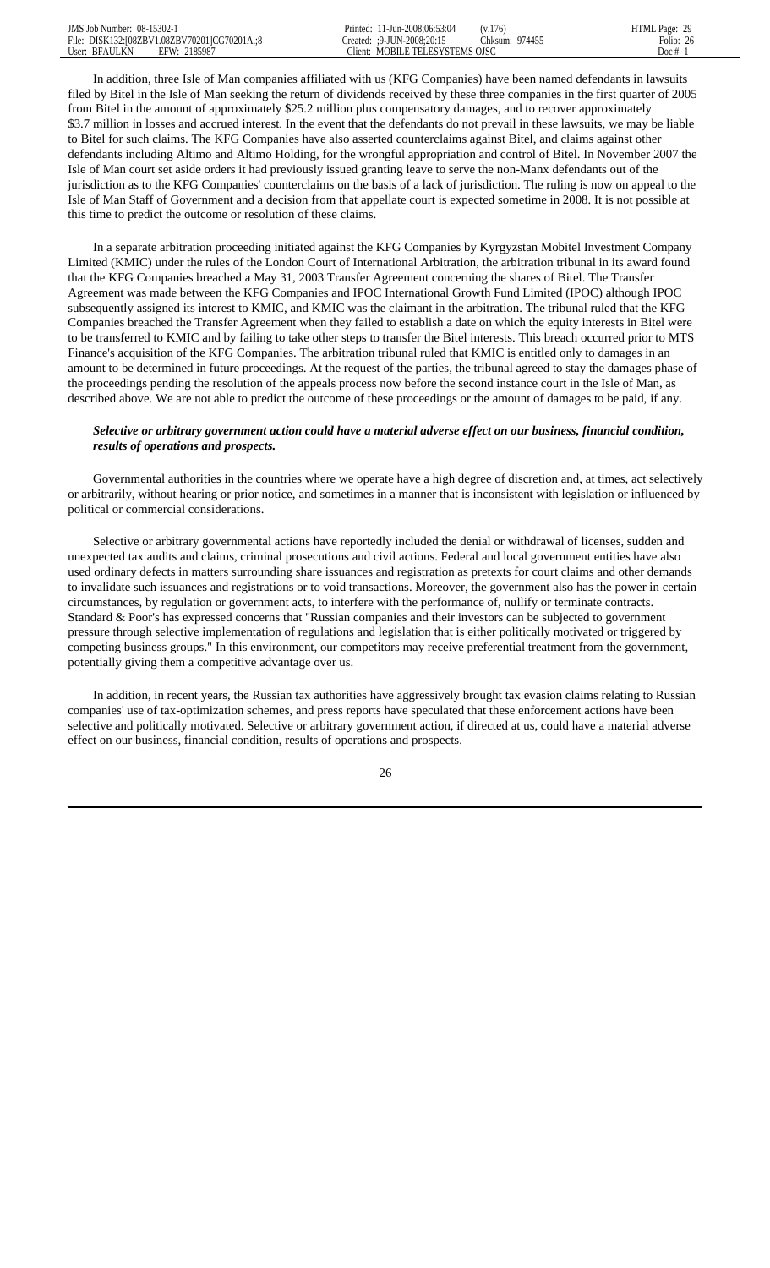In addition, three Isle of Man companies affiliated with us (KFG Companies) have been named defendants in lawsuits filed by Bitel in the Isle of Man seeking the return of dividends received by these three companies in the first quarter of 2005 from Bitel in the amount of approximately \$25.2 million plus compensatory damages, and to recover approximately \$3.7 million in losses and accrued interest. In the event that the defendants do not prevail in these lawsuits, we may be liable to Bitel for such claims. The KFG Companies have also asserted counterclaims against Bitel, and claims against other defendants including Altimo and Altimo Holding, for the wrongful appropriation and control of Bitel. In November 2007 the Isle of Man court set aside orders it had previously issued granting leave to serve the non-Manx defendants out of the jurisdiction as to the KFG Companies' counterclaims on the basis of a lack of jurisdiction. The ruling is now on appeal to the Isle of Man Staff of Government and a decision from that appellate court is expected sometime in 2008. It is not possible at this time to predict the outcome or resolution of these claims.

 In a separate arbitration proceeding initiated against the KFG Companies by Kyrgyzstan Mobitel Investment Company Limited (KMIC) under the rules of the London Court of International Arbitration, the arbitration tribunal in its award found that the KFG Companies breached a May 31, 2003 Transfer Agreement concerning the shares of Bitel. The Transfer Agreement was made between the KFG Companies and IPOC International Growth Fund Limited (IPOC) although IPOC subsequently assigned its interest to KMIC, and KMIC was the claimant in the arbitration. The tribunal ruled that the KFG Companies breached the Transfer Agreement when they failed to establish a date on which the equity interests in Bitel were to be transferred to KMIC and by failing to take other steps to transfer the Bitel interests. This breach occurred prior to MTS Finance's acquisition of the KFG Companies. The arbitration tribunal ruled that KMIC is entitled only to damages in an amount to be determined in future proceedings. At the request of the parties, the tribunal agreed to stay the damages phase of the proceedings pending the resolution of the appeals process now before the second instance court in the Isle of Man, as described above. We are not able to predict the outcome of these proceedings or the amount of damages to be paid, if any.

#### *Selective or arbitrary government action could have a material adverse effect on our business, financial condition, results of operations and prospects.*

 Governmental authorities in the countries where we operate have a high degree of discretion and, at times, act selectively or arbitrarily, without hearing or prior notice, and sometimes in a manner that is inconsistent with legislation or influenced by political or commercial considerations.

 Selective or arbitrary governmental actions have reportedly included the denial or withdrawal of licenses, sudden and unexpected tax audits and claims, criminal prosecutions and civil actions. Federal and local government entities have also used ordinary defects in matters surrounding share issuances and registration as pretexts for court claims and other demands to invalidate such issuances and registrations or to void transactions. Moreover, the government also has the power in certain circumstances, by regulation or government acts, to interfere with the performance of, nullify or terminate contracts. Standard & Poor's has expressed concerns that "Russian companies and their investors can be subjected to government pressure through selective implementation of regulations and legislation that is either politically motivated or triggered by competing business groups." In this environment, our competitors may receive preferential treatment from the government, potentially giving them a competitive advantage over us.

 In addition, in recent years, the Russian tax authorities have aggressively brought tax evasion claims relating to Russian companies' use of tax-optimization schemes, and press reports have speculated that these enforcement actions have been selective and politically motivated. Selective or arbitrary government action, if directed at us, could have a material adverse effect on our business, financial condition, results of operations and prospects.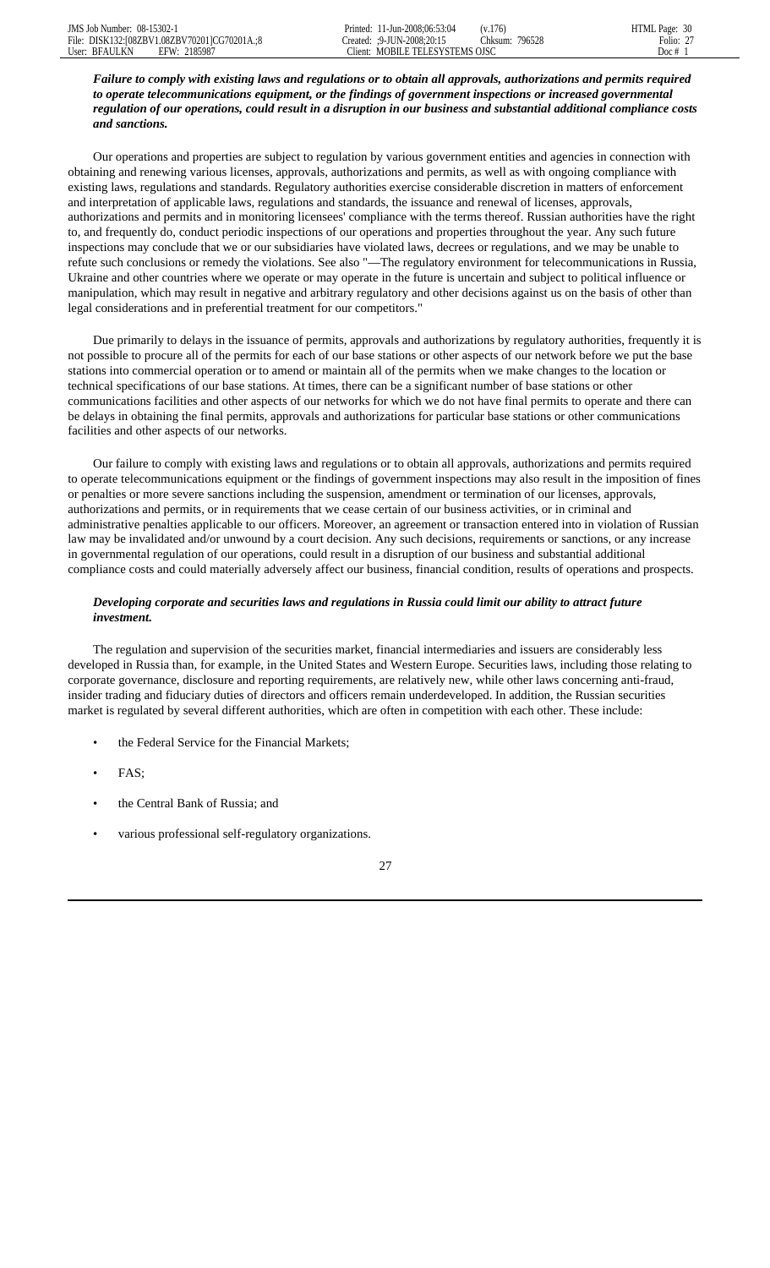*Failure to comply with existing laws and regulations or to obtain all approvals, authorizations and permits required to operate telecommunications equipment, or the findings of government inspections or increased governmental regulation of our operations, could result in a disruption in our business and substantial additional compliance costs and sanctions.*

 Our operations and properties are subject to regulation by various government entities and agencies in connection with obtaining and renewing various licenses, approvals, authorizations and permits, as well as with ongoing compliance with existing laws, regulations and standards. Regulatory authorities exercise considerable discretion in matters of enforcement and interpretation of applicable laws, regulations and standards, the issuance and renewal of licenses, approvals, authorizations and permits and in monitoring licensees' compliance with the terms thereof. Russian authorities have the right to, and frequently do, conduct periodic inspections of our operations and properties throughout the year. Any such future inspections may conclude that we or our subsidiaries have violated laws, decrees or regulations, and we may be unable to refute such conclusions or remedy the violations. See also "—The regulatory environment for telecommunications in Russia, Ukraine and other countries where we operate or may operate in the future is uncertain and subject to political influence or manipulation, which may result in negative and arbitrary regulatory and other decisions against us on the basis of other than legal considerations and in preferential treatment for our competitors."

 Due primarily to delays in the issuance of permits, approvals and authorizations by regulatory authorities, frequently it is not possible to procure all of the permits for each of our base stations or other aspects of our network before we put the base stations into commercial operation or to amend or maintain all of the permits when we make changes to the location or technical specifications of our base stations. At times, there can be a significant number of base stations or other communications facilities and other aspects of our networks for which we do not have final permits to operate and there can be delays in obtaining the final permits, approvals and authorizations for particular base stations or other communications facilities and other aspects of our networks.

 Our failure to comply with existing laws and regulations or to obtain all approvals, authorizations and permits required to operate telecommunications equipment or the findings of government inspections may also result in the imposition of fines or penalties or more severe sanctions including the suspension, amendment or termination of our licenses, approvals, authorizations and permits, or in requirements that we cease certain of our business activities, or in criminal and administrative penalties applicable to our officers. Moreover, an agreement or transaction entered into in violation of Russian law may be invalidated and/or unwound by a court decision. Any such decisions, requirements or sanctions, or any increase in governmental regulation of our operations, could result in a disruption of our business and substantial additional compliance costs and could materially adversely affect our business, financial condition, results of operations and prospects.

#### *Developing corporate and securities laws and regulations in Russia could limit our ability to attract future investment.*

 The regulation and supervision of the securities market, financial intermediaries and issuers are considerably less developed in Russia than, for example, in the United States and Western Europe. Securities laws, including those relating to corporate governance, disclosure and reporting requirements, are relatively new, while other laws concerning anti-fraud, insider trading and fiduciary duties of directors and officers remain underdeveloped. In addition, the Russian securities market is regulated by several different authorities, which are often in competition with each other. These include:

- the Federal Service for the Financial Markets:
- FAS;
- the Central Bank of Russia; and
- various professional self-regulatory organizations.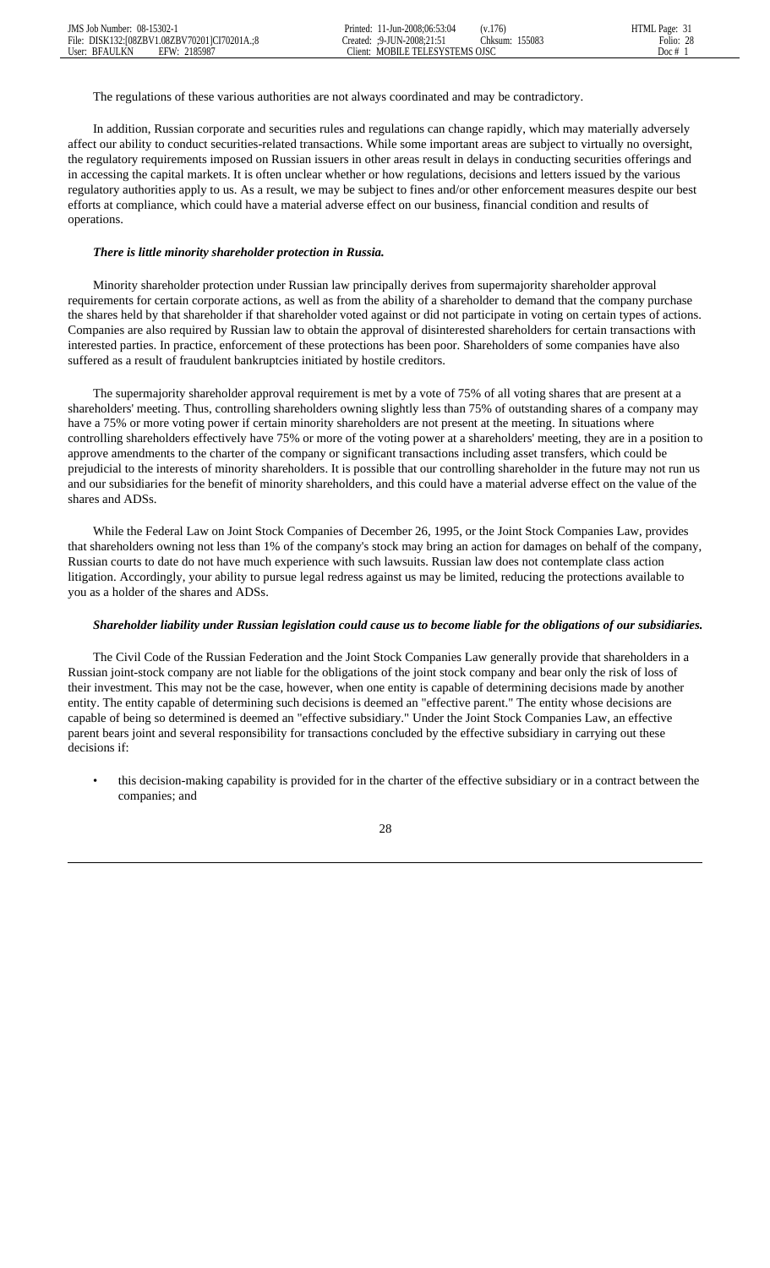The regulations of these various authorities are not always coordinated and may be contradictory.

 In addition, Russian corporate and securities rules and regulations can change rapidly, which may materially adversely affect our ability to conduct securities-related transactions. While some important areas are subject to virtually no oversight, the regulatory requirements imposed on Russian issuers in other areas result in delays in conducting securities offerings and in accessing the capital markets. It is often unclear whether or how regulations, decisions and letters issued by the various regulatory authorities apply to us. As a result, we may be subject to fines and/or other enforcement measures despite our best efforts at compliance, which could have a material adverse effect on our business, financial condition and results of operations.

#### *There is little minority shareholder protection in Russia.*

 Minority shareholder protection under Russian law principally derives from supermajority shareholder approval requirements for certain corporate actions, as well as from the ability of a shareholder to demand that the company purchase the shares held by that shareholder if that shareholder voted against or did not participate in voting on certain types of actions. Companies are also required by Russian law to obtain the approval of disinterested shareholders for certain transactions with interested parties. In practice, enforcement of these protections has been poor. Shareholders of some companies have also suffered as a result of fraudulent bankruptcies initiated by hostile creditors.

 The supermajority shareholder approval requirement is met by a vote of 75% of all voting shares that are present at a shareholders' meeting. Thus, controlling shareholders owning slightly less than 75% of outstanding shares of a company may have a 75% or more voting power if certain minority shareholders are not present at the meeting. In situations where controlling shareholders effectively have 75% or more of the voting power at a shareholders' meeting, they are in a position to approve amendments to the charter of the company or significant transactions including asset transfers, which could be prejudicial to the interests of minority shareholders. It is possible that our controlling shareholder in the future may not run us and our subsidiaries for the benefit of minority shareholders, and this could have a material adverse effect on the value of the shares and ADSs.

 While the Federal Law on Joint Stock Companies of December 26, 1995, or the Joint Stock Companies Law, provides that shareholders owning not less than 1% of the company's stock may bring an action for damages on behalf of the company, Russian courts to date do not have much experience with such lawsuits. Russian law does not contemplate class action litigation. Accordingly, your ability to pursue legal redress against us may be limited, reducing the protections available to you as a holder of the shares and ADSs.

#### *Shareholder liability under Russian legislation could cause us to become liable for the obligations of our subsidiaries.*

 The Civil Code of the Russian Federation and the Joint Stock Companies Law generally provide that shareholders in a Russian joint-stock company are not liable for the obligations of the joint stock company and bear only the risk of loss of their investment. This may not be the case, however, when one entity is capable of determining decisions made by another entity. The entity capable of determining such decisions is deemed an "effective parent." The entity whose decisions are capable of being so determined is deemed an "effective subsidiary." Under the Joint Stock Companies Law, an effective parent bears joint and several responsibility for transactions concluded by the effective subsidiary in carrying out these decisions if:

• this decision-making capability is provided for in the charter of the effective subsidiary or in a contract between the companies; and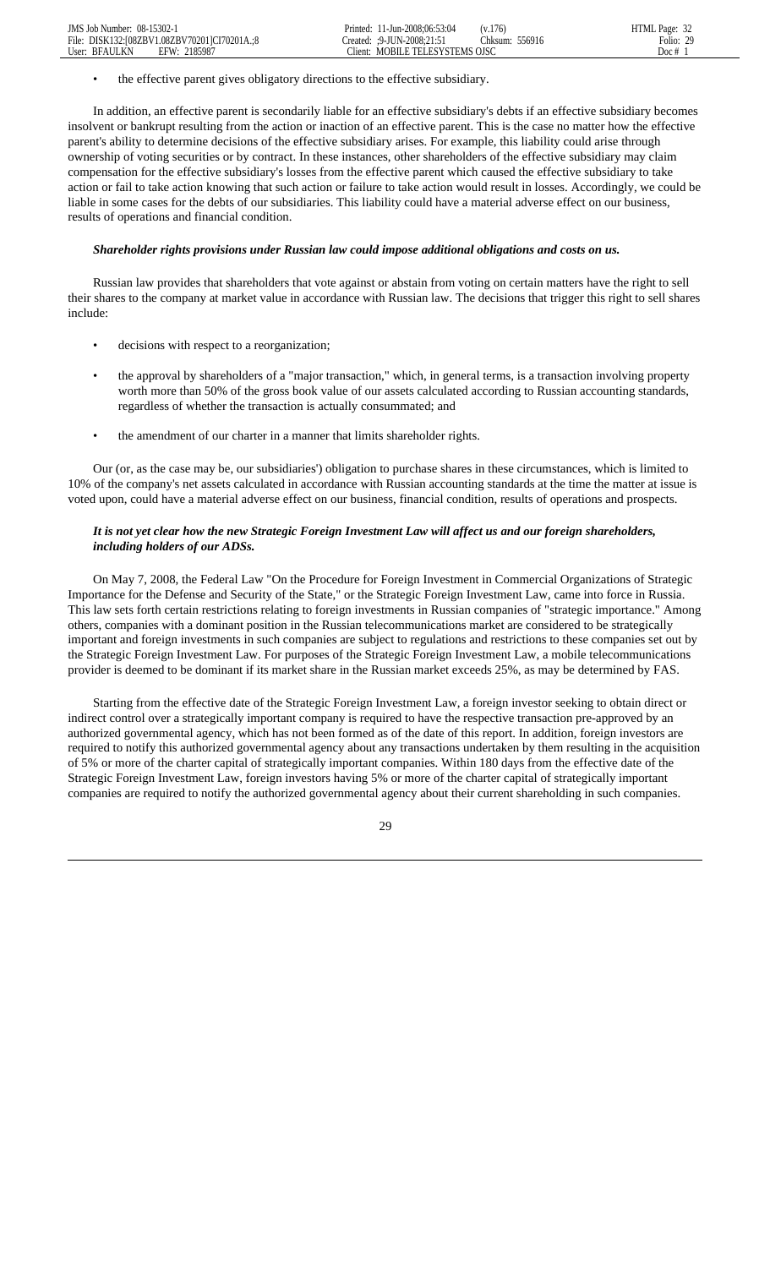the effective parent gives obligatory directions to the effective subsidiary.

 In addition, an effective parent is secondarily liable for an effective subsidiary's debts if an effective subsidiary becomes insolvent or bankrupt resulting from the action or inaction of an effective parent. This is the case no matter how the effective parent's ability to determine decisions of the effective subsidiary arises. For example, this liability could arise through ownership of voting securities or by contract. In these instances, other shareholders of the effective subsidiary may claim compensation for the effective subsidiary's losses from the effective parent which caused the effective subsidiary to take action or fail to take action knowing that such action or failure to take action would result in losses. Accordingly, we could be liable in some cases for the debts of our subsidiaries. This liability could have a material adverse effect on our business, results of operations and financial condition.

#### *Shareholder rights provisions under Russian law could impose additional obligations and costs on us.*

 Russian law provides that shareholders that vote against or abstain from voting on certain matters have the right to sell their shares to the company at market value in accordance with Russian law. The decisions that trigger this right to sell shares include:

- decisions with respect to a reorganization;
- the approval by shareholders of a "major transaction," which, in general terms, is a transaction involving property worth more than 50% of the gross book value of our assets calculated according to Russian accounting standards, regardless of whether the transaction is actually consummated; and
- the amendment of our charter in a manner that limits shareholder rights.

 Our (or, as the case may be, our subsidiaries') obligation to purchase shares in these circumstances, which is limited to 10% of the company's net assets calculated in accordance with Russian accounting standards at the time the matter at issue is voted upon, could have a material adverse effect on our business, financial condition, results of operations and prospects.

## *It is not yet clear how the new Strategic Foreign Investment Law will affect us and our foreign shareholders, including holders of our ADSs.*

 On May 7, 2008, the Federal Law "On the Procedure for Foreign Investment in Commercial Organizations of Strategic Importance for the Defense and Security of the State," or the Strategic Foreign Investment Law, came into force in Russia. This law sets forth certain restrictions relating to foreign investments in Russian companies of "strategic importance." Among others, companies with a dominant position in the Russian telecommunications market are considered to be strategically important and foreign investments in such companies are subject to regulations and restrictions to these companies set out by the Strategic Foreign Investment Law. For purposes of the Strategic Foreign Investment Law, a mobile telecommunications provider is deemed to be dominant if its market share in the Russian market exceeds 25%, as may be determined by FAS.

 Starting from the effective date of the Strategic Foreign Investment Law, a foreign investor seeking to obtain direct or indirect control over a strategically important company is required to have the respective transaction pre-approved by an authorized governmental agency, which has not been formed as of the date of this report. In addition, foreign investors are required to notify this authorized governmental agency about any transactions undertaken by them resulting in the acquisition of 5% or more of the charter capital of strategically important companies. Within 180 days from the effective date of the Strategic Foreign Investment Law, foreign investors having 5% or more of the charter capital of strategically important companies are required to notify the authorized governmental agency about their current shareholding in such companies.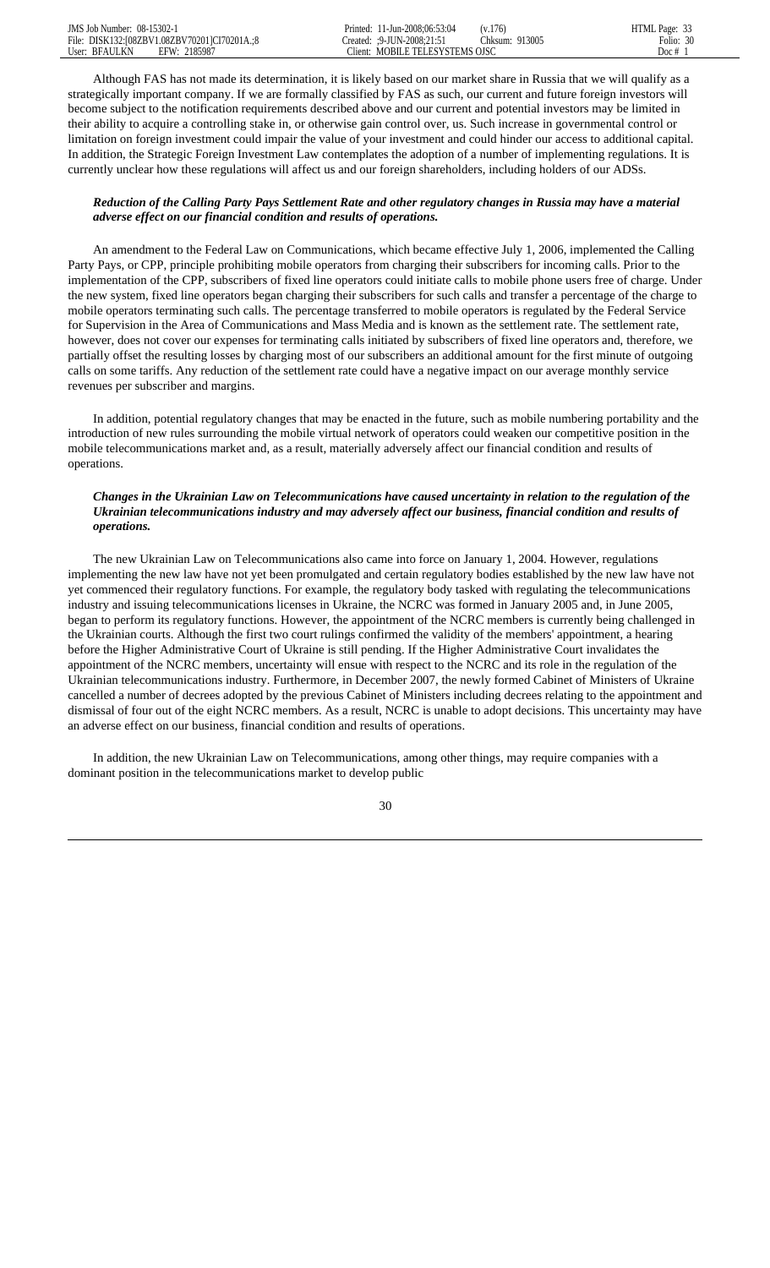Although FAS has not made its determination, it is likely based on our market share in Russia that we will qualify as a strategically important company. If we are formally classified by FAS as such, our current and future foreign investors will become subject to the notification requirements described above and our current and potential investors may be limited in their ability to acquire a controlling stake in, or otherwise gain control over, us. Such increase in governmental control or limitation on foreign investment could impair the value of your investment and could hinder our access to additional capital. In addition, the Strategic Foreign Investment Law contemplates the adoption of a number of implementing regulations. It is currently unclear how these regulations will affect us and our foreign shareholders, including holders of our ADSs.

#### *Reduction of the Calling Party Pays Settlement Rate and other regulatory changes in Russia may have a material adverse effect on our financial condition and results of operations.*

 An amendment to the Federal Law on Communications, which became effective July 1, 2006, implemented the Calling Party Pays, or CPP, principle prohibiting mobile operators from charging their subscribers for incoming calls. Prior to the implementation of the CPP, subscribers of fixed line operators could initiate calls to mobile phone users free of charge. Under the new system, fixed line operators began charging their subscribers for such calls and transfer a percentage of the charge to mobile operators terminating such calls. The percentage transferred to mobile operators is regulated by the Federal Service for Supervision in the Area of Communications and Mass Media and is known as the settlement rate. The settlement rate, however, does not cover our expenses for terminating calls initiated by subscribers of fixed line operators and, therefore, we partially offset the resulting losses by charging most of our subscribers an additional amount for the first minute of outgoing calls on some tariffs. Any reduction of the settlement rate could have a negative impact on our average monthly service revenues per subscriber and margins.

 In addition, potential regulatory changes that may be enacted in the future, such as mobile numbering portability and the introduction of new rules surrounding the mobile virtual network of operators could weaken our competitive position in the mobile telecommunications market and, as a result, materially adversely affect our financial condition and results of operations.

## *Changes in the Ukrainian Law on Telecommunications have caused uncertainty in relation to the regulation of the Ukrainian telecommunications industry and may adversely affect our business, financial condition and results of operations.*

 The new Ukrainian Law on Telecommunications also came into force on January 1, 2004. However, regulations implementing the new law have not yet been promulgated and certain regulatory bodies established by the new law have not yet commenced their regulatory functions. For example, the regulatory body tasked with regulating the telecommunications industry and issuing telecommunications licenses in Ukraine, the NCRC was formed in January 2005 and, in June 2005, began to perform its regulatory functions. However, the appointment of the NCRC members is currently being challenged in the Ukrainian courts. Although the first two court rulings confirmed the validity of the members' appointment, a hearing before the Higher Administrative Court of Ukraine is still pending. If the Higher Administrative Court invalidates the appointment of the NCRC members, uncertainty will ensue with respect to the NCRC and its role in the regulation of the Ukrainian telecommunications industry. Furthermore, in December 2007, the newly formed Cabinet of Ministers of Ukraine cancelled a number of decrees adopted by the previous Cabinet of Ministers including decrees relating to the appointment and dismissal of four out of the eight NCRC members. As a result, NCRC is unable to adopt decisions. This uncertainty may have an adverse effect on our business, financial condition and results of operations.

 In addition, the new Ukrainian Law on Telecommunications, among other things, may require companies with a dominant position in the telecommunications market to develop public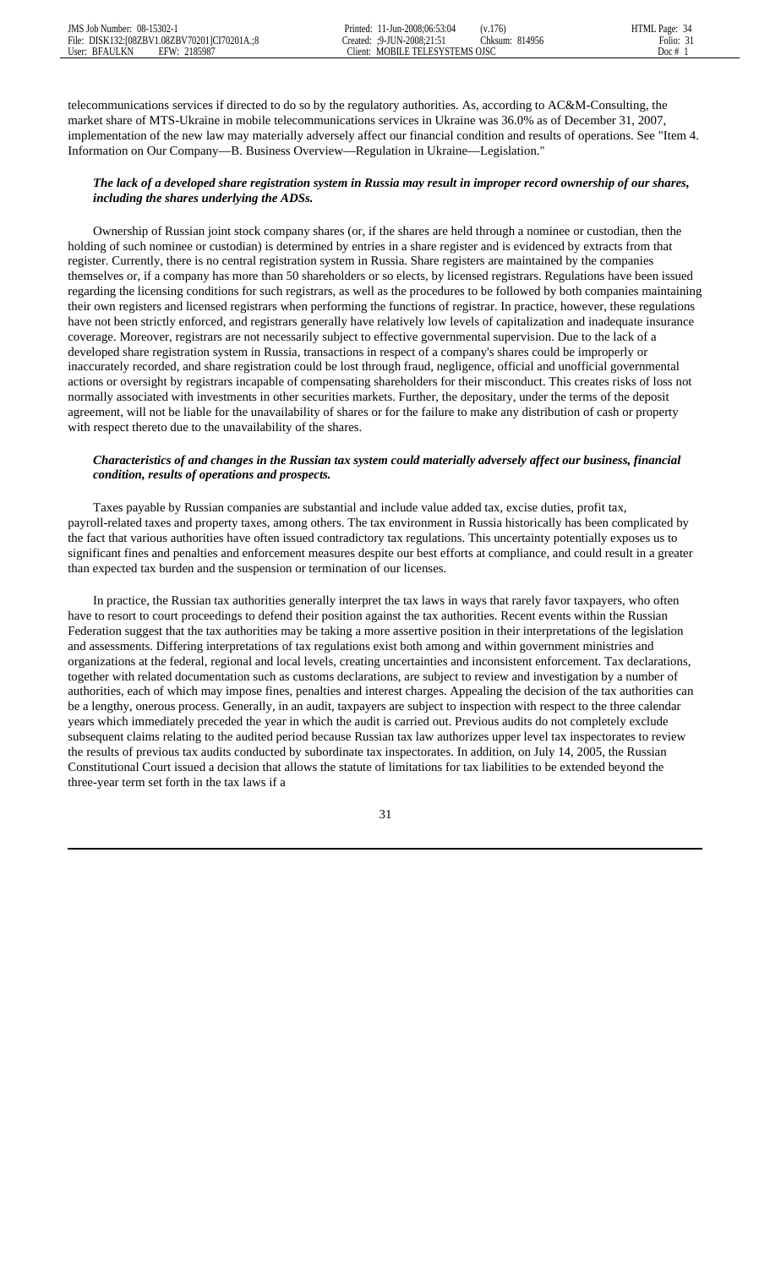telecommunications services if directed to do so by the regulatory authorities. As, according to AC&M-Consulting, the market share of MTS-Ukraine in mobile telecommunications services in Ukraine was 36.0% as of December 31, 2007, implementation of the new law may materially adversely affect our financial condition and results of operations. See "Item 4. Information on Our Company—B. Business Overview—Regulation in Ukraine—Legislation."

#### *The lack of a developed share registration system in Russia may result in improper record ownership of our shares, including the shares underlying the ADSs.*

 Ownership of Russian joint stock company shares (or, if the shares are held through a nominee or custodian, then the holding of such nominee or custodian) is determined by entries in a share register and is evidenced by extracts from that register. Currently, there is no central registration system in Russia. Share registers are maintained by the companies themselves or, if a company has more than 50 shareholders or so elects, by licensed registrars. Regulations have been issued regarding the licensing conditions for such registrars, as well as the procedures to be followed by both companies maintaining their own registers and licensed registrars when performing the functions of registrar. In practice, however, these regulations have not been strictly enforced, and registrars generally have relatively low levels of capitalization and inadequate insurance coverage. Moreover, registrars are not necessarily subject to effective governmental supervision. Due to the lack of a developed share registration system in Russia, transactions in respect of a company's shares could be improperly or inaccurately recorded, and share registration could be lost through fraud, negligence, official and unofficial governmental actions or oversight by registrars incapable of compensating shareholders for their misconduct. This creates risks of loss not normally associated with investments in other securities markets. Further, the depositary, under the terms of the deposit agreement, will not be liable for the unavailability of shares or for the failure to make any distribution of cash or property with respect thereto due to the unavailability of the shares.

### *Characteristics of and changes in the Russian tax system could materially adversely affect our business, financial condition, results of operations and prospects.*

 Taxes payable by Russian companies are substantial and include value added tax, excise duties, profit tax, payroll-related taxes and property taxes, among others. The tax environment in Russia historically has been complicated by the fact that various authorities have often issued contradictory tax regulations. This uncertainty potentially exposes us to significant fines and penalties and enforcement measures despite our best efforts at compliance, and could result in a greater than expected tax burden and the suspension or termination of our licenses.

 In practice, the Russian tax authorities generally interpret the tax laws in ways that rarely favor taxpayers, who often have to resort to court proceedings to defend their position against the tax authorities. Recent events within the Russian Federation suggest that the tax authorities may be taking a more assertive position in their interpretations of the legislation and assessments. Differing interpretations of tax regulations exist both among and within government ministries and organizations at the federal, regional and local levels, creating uncertainties and inconsistent enforcement. Tax declarations, together with related documentation such as customs declarations, are subject to review and investigation by a number of authorities, each of which may impose fines, penalties and interest charges. Appealing the decision of the tax authorities can be a lengthy, onerous process. Generally, in an audit, taxpayers are subject to inspection with respect to the three calendar years which immediately preceded the year in which the audit is carried out. Previous audits do not completely exclude subsequent claims relating to the audited period because Russian tax law authorizes upper level tax inspectorates to review the results of previous tax audits conducted by subordinate tax inspectorates. In addition, on July 14, 2005, the Russian Constitutional Court issued a decision that allows the statute of limitations for tax liabilities to be extended beyond the three-year term set forth in the tax laws if a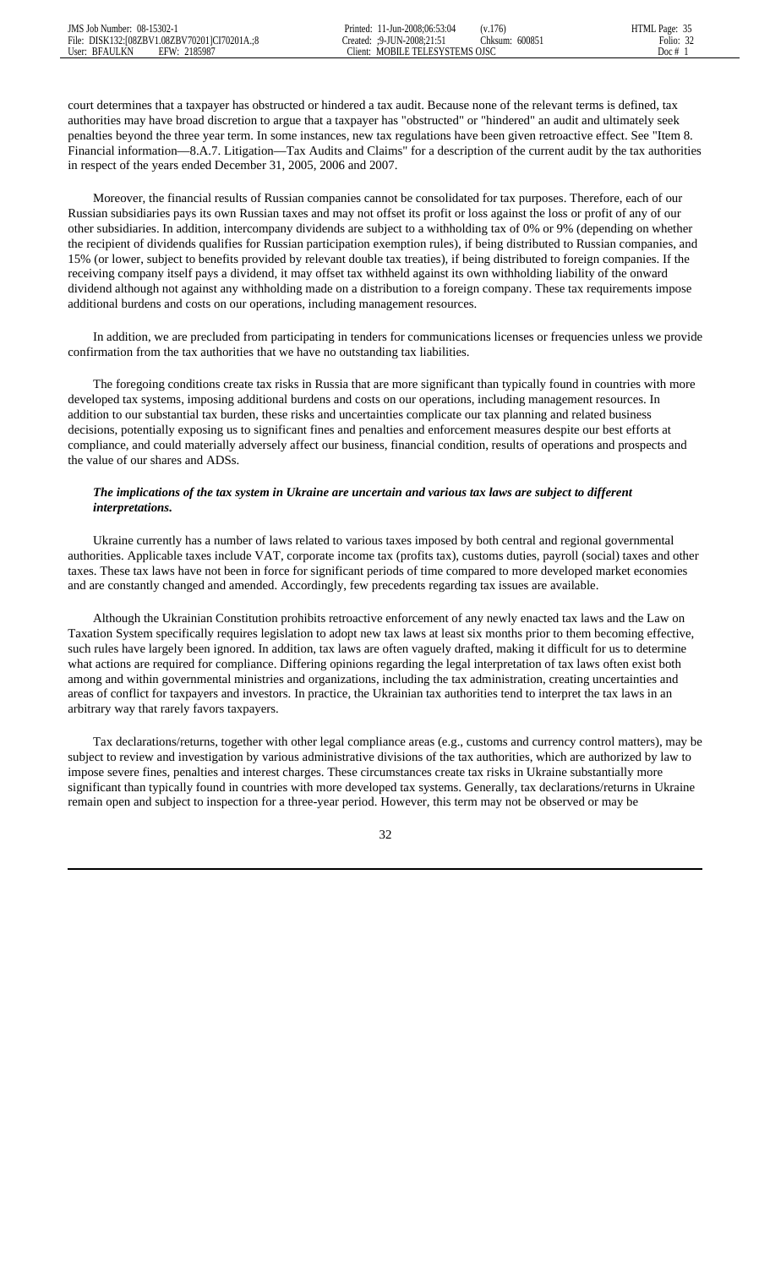court determines that a taxpayer has obstructed or hindered a tax audit. Because none of the relevant terms is defined, tax authorities may have broad discretion to argue that a taxpayer has "obstructed" or "hindered" an audit and ultimately seek penalties beyond the three year term. In some instances, new tax regulations have been given retroactive effect. See "Item 8. Financial information—8.A.7. Litigation—Tax Audits and Claims" for a description of the current audit by the tax authorities in respect of the years ended December 31, 2005, 2006 and 2007.

 Moreover, the financial results of Russian companies cannot be consolidated for tax purposes. Therefore, each of our Russian subsidiaries pays its own Russian taxes and may not offset its profit or loss against the loss or profit of any of our other subsidiaries. In addition, intercompany dividends are subject to a withholding tax of 0% or 9% (depending on whether the recipient of dividends qualifies for Russian participation exemption rules), if being distributed to Russian companies, and 15% (or lower, subject to benefits provided by relevant double tax treaties), if being distributed to foreign companies. If the receiving company itself pays a dividend, it may offset tax withheld against its own withholding liability of the onward dividend although not against any withholding made on a distribution to a foreign company. These tax requirements impose additional burdens and costs on our operations, including management resources.

 In addition, we are precluded from participating in tenders for communications licenses or frequencies unless we provide confirmation from the tax authorities that we have no outstanding tax liabilities.

 The foregoing conditions create tax risks in Russia that are more significant than typically found in countries with more developed tax systems, imposing additional burdens and costs on our operations, including management resources. In addition to our substantial tax burden, these risks and uncertainties complicate our tax planning and related business decisions, potentially exposing us to significant fines and penalties and enforcement measures despite our best efforts at compliance, and could materially adversely affect our business, financial condition, results of operations and prospects and the value of our shares and ADSs.

#### *The implications of the tax system in Ukraine are uncertain and various tax laws are subject to different interpretations.*

 Ukraine currently has a number of laws related to various taxes imposed by both central and regional governmental authorities. Applicable taxes include VAT, corporate income tax (profits tax), customs duties, payroll (social) taxes and other taxes. These tax laws have not been in force for significant periods of time compared to more developed market economies and are constantly changed and amended. Accordingly, few precedents regarding tax issues are available.

 Although the Ukrainian Constitution prohibits retroactive enforcement of any newly enacted tax laws and the Law on Taxation System specifically requires legislation to adopt new tax laws at least six months prior to them becoming effective, such rules have largely been ignored. In addition, tax laws are often vaguely drafted, making it difficult for us to determine what actions are required for compliance. Differing opinions regarding the legal interpretation of tax laws often exist both among and within governmental ministries and organizations, including the tax administration, creating uncertainties and areas of conflict for taxpayers and investors. In practice, the Ukrainian tax authorities tend to interpret the tax laws in an arbitrary way that rarely favors taxpayers.

 Tax declarations/returns, together with other legal compliance areas (e.g., customs and currency control matters), may be subject to review and investigation by various administrative divisions of the tax authorities, which are authorized by law to impose severe fines, penalties and interest charges. These circumstances create tax risks in Ukraine substantially more significant than typically found in countries with more developed tax systems. Generally, tax declarations/returns in Ukraine remain open and subject to inspection for a three-year period. However, this term may not be observed or may be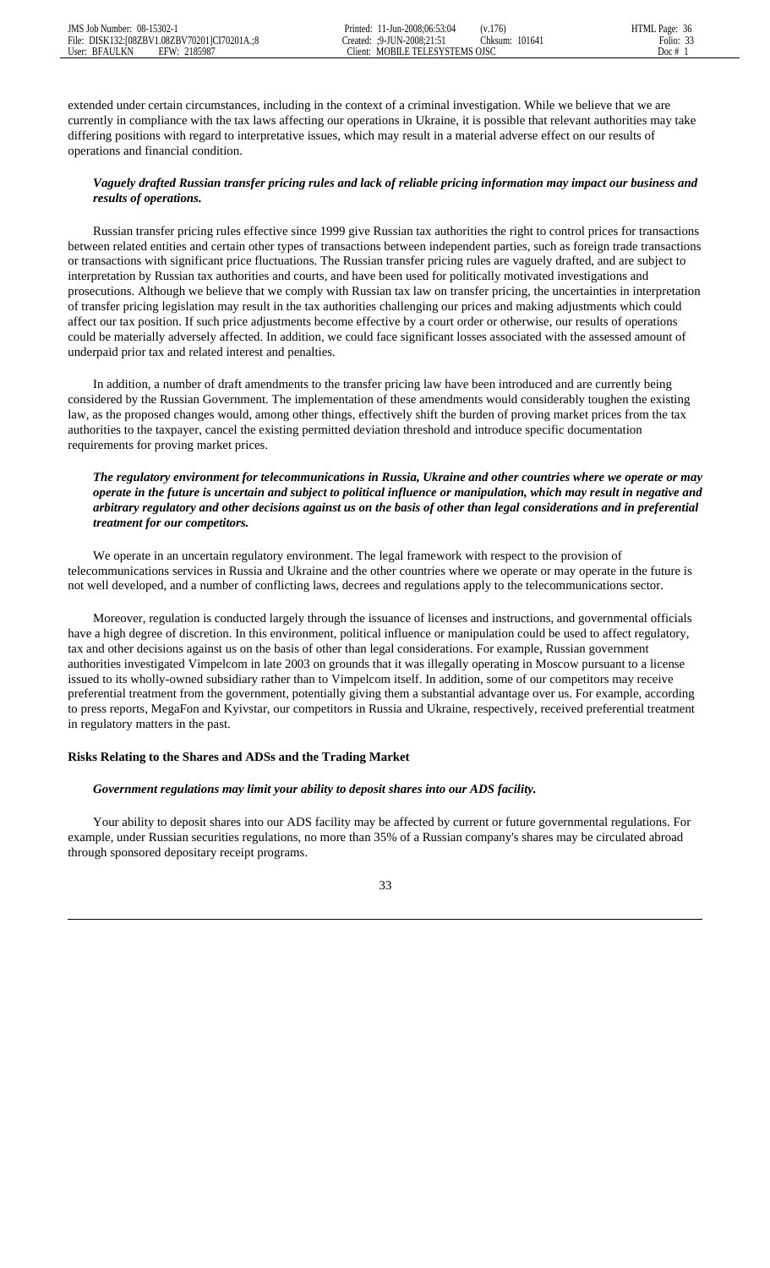extended under certain circumstances, including in the context of a criminal investigation. While we believe that we are currently in compliance with the tax laws affecting our operations in Ukraine, it is possible that relevant authorities may take differing positions with regard to interpretative issues, which may result in a material adverse effect on our results of operations and financial condition.

# *Vaguely drafted Russian transfer pricing rules and lack of reliable pricing information may impact our business and results of operations.*

 Russian transfer pricing rules effective since 1999 give Russian tax authorities the right to control prices for transactions between related entities and certain other types of transactions between independent parties, such as foreign trade transactions or transactions with significant price fluctuations. The Russian transfer pricing rules are vaguely drafted, and are subject to interpretation by Russian tax authorities and courts, and have been used for politically motivated investigations and prosecutions. Although we believe that we comply with Russian tax law on transfer pricing, the uncertainties in interpretation of transfer pricing legislation may result in the tax authorities challenging our prices and making adjustments which could affect our tax position. If such price adjustments become effective by a court order or otherwise, our results of operations could be materially adversely affected. In addition, we could face significant losses associated with the assessed amount of underpaid prior tax and related interest and penalties.

 In addition, a number of draft amendments to the transfer pricing law have been introduced and are currently being considered by the Russian Government. The implementation of these amendments would considerably toughen the existing law, as the proposed changes would, among other things, effectively shift the burden of proving market prices from the tax authorities to the taxpayer, cancel the existing permitted deviation threshold and introduce specific documentation requirements for proving market prices.

# *The regulatory environment for telecommunications in Russia, Ukraine and other countries where we operate or may operate in the future is uncertain and subject to political influence or manipulation, which may result in negative and arbitrary regulatory and other decisions against us on the basis of other than legal considerations and in preferential treatment for our competitors.*

 We operate in an uncertain regulatory environment. The legal framework with respect to the provision of telecommunications services in Russia and Ukraine and the other countries where we operate or may operate in the future is not well developed, and a number of conflicting laws, decrees and regulations apply to the telecommunications sector.

 Moreover, regulation is conducted largely through the issuance of licenses and instructions, and governmental officials have a high degree of discretion. In this environment, political influence or manipulation could be used to affect regulatory, tax and other decisions against us on the basis of other than legal considerations. For example, Russian government authorities investigated Vimpelcom in late 2003 on grounds that it was illegally operating in Moscow pursuant to a license issued to its wholly-owned subsidiary rather than to Vimpelcom itself. In addition, some of our competitors may receive preferential treatment from the government, potentially giving them a substantial advantage over us. For example, according to press reports, MegaFon and Kyivstar, our competitors in Russia and Ukraine, respectively, received preferential treatment in regulatory matters in the past.

### **Risks Relating to the Shares and ADSs and the Trading Market**

### *Government regulations may limit your ability to deposit shares into our ADS facility.*

 Your ability to deposit shares into our ADS facility may be affected by current or future governmental regulations. For example, under Russian securities regulations, no more than 35% of a Russian company's shares may be circulated abroad through sponsored depositary receipt programs.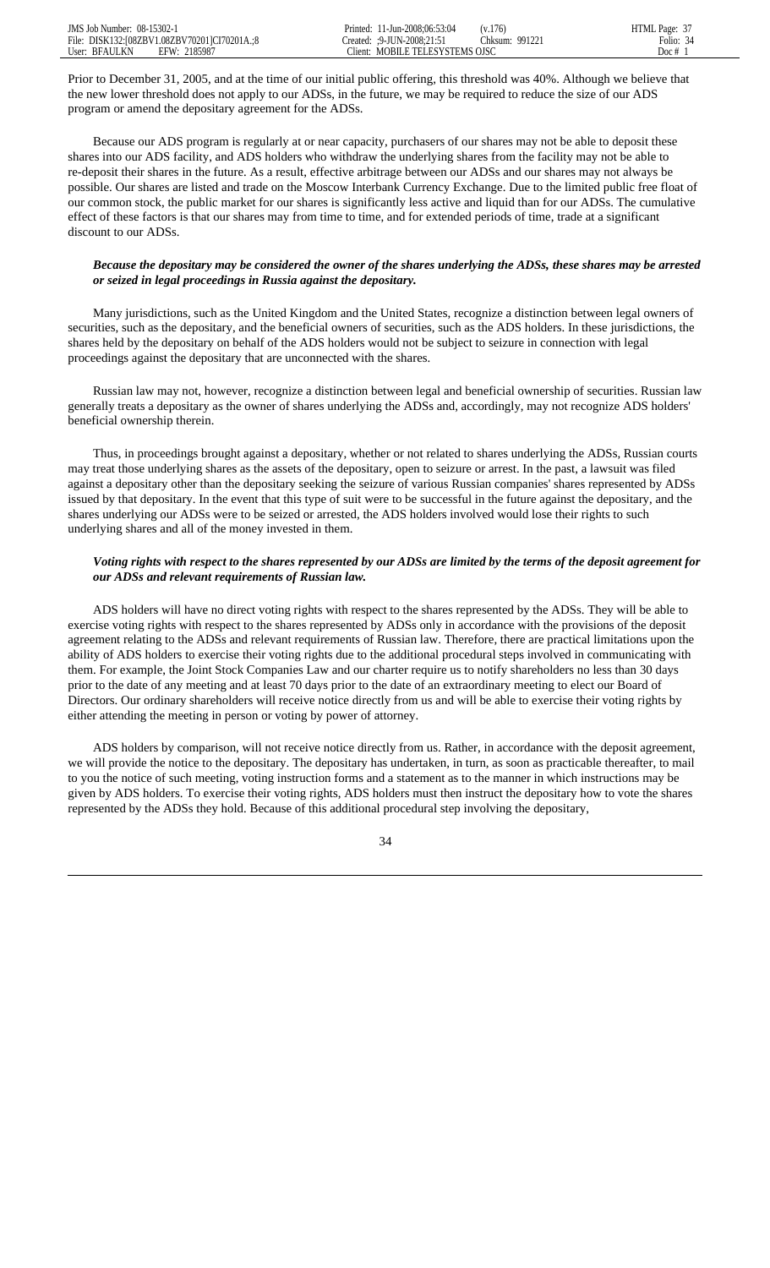Prior to December 31, 2005, and at the time of our initial public offering, this threshold was 40%. Although we believe that the new lower threshold does not apply to our ADSs, in the future, we may be required to reduce the size of our ADS program or amend the depositary agreement for the ADSs.

 Because our ADS program is regularly at or near capacity, purchasers of our shares may not be able to deposit these shares into our ADS facility, and ADS holders who withdraw the underlying shares from the facility may not be able to re-deposit their shares in the future. As a result, effective arbitrage between our ADSs and our shares may not always be possible. Our shares are listed and trade on the Moscow Interbank Currency Exchange. Due to the limited public free float of our common stock, the public market for our shares is significantly less active and liquid than for our ADSs. The cumulative effect of these factors is that our shares may from time to time, and for extended periods of time, trade at a significant discount to our ADSs.

# *Because the depositary may be considered the owner of the shares underlying the ADSs, these shares may be arrested or seized in legal proceedings in Russia against the depositary.*

 Many jurisdictions, such as the United Kingdom and the United States, recognize a distinction between legal owners of securities, such as the depositary, and the beneficial owners of securities, such as the ADS holders. In these jurisdictions, the shares held by the depositary on behalf of the ADS holders would not be subject to seizure in connection with legal proceedings against the depositary that are unconnected with the shares.

 Russian law may not, however, recognize a distinction between legal and beneficial ownership of securities. Russian law generally treats a depositary as the owner of shares underlying the ADSs and, accordingly, may not recognize ADS holders' beneficial ownership therein.

 Thus, in proceedings brought against a depositary, whether or not related to shares underlying the ADSs, Russian courts may treat those underlying shares as the assets of the depositary, open to seizure or arrest. In the past, a lawsuit was filed against a depositary other than the depositary seeking the seizure of various Russian companies' shares represented by ADSs issued by that depositary. In the event that this type of suit were to be successful in the future against the depositary, and the shares underlying our ADSs were to be seized or arrested, the ADS holders involved would lose their rights to such underlying shares and all of the money invested in them.

# *Voting rights with respect to the shares represented by our ADSs are limited by the terms of the deposit agreement for our ADSs and relevant requirements of Russian law.*

 ADS holders will have no direct voting rights with respect to the shares represented by the ADSs. They will be able to exercise voting rights with respect to the shares represented by ADSs only in accordance with the provisions of the deposit agreement relating to the ADSs and relevant requirements of Russian law. Therefore, there are practical limitations upon the ability of ADS holders to exercise their voting rights due to the additional procedural steps involved in communicating with them. For example, the Joint Stock Companies Law and our charter require us to notify shareholders no less than 30 days prior to the date of any meeting and at least 70 days prior to the date of an extraordinary meeting to elect our Board of Directors. Our ordinary shareholders will receive notice directly from us and will be able to exercise their voting rights by either attending the meeting in person or voting by power of attorney.

 ADS holders by comparison, will not receive notice directly from us. Rather, in accordance with the deposit agreement, we will provide the notice to the depositary. The depositary has undertaken, in turn, as soon as practicable thereafter, to mail to you the notice of such meeting, voting instruction forms and a statement as to the manner in which instructions may be given by ADS holders. To exercise their voting rights, ADS holders must then instruct the depositary how to vote the shares represented by the ADSs they hold. Because of this additional procedural step involving the depositary,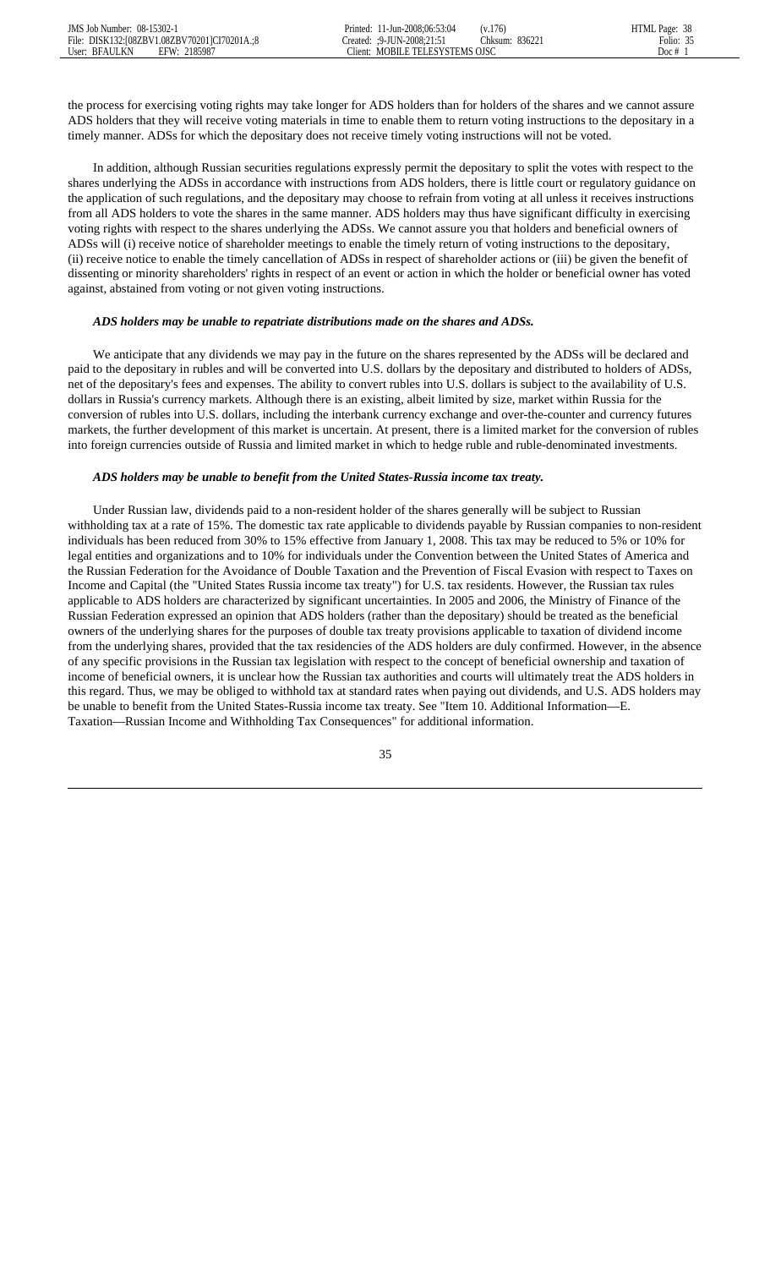the process for exercising voting rights may take longer for ADS holders than for holders of the shares and we cannot assure ADS holders that they will receive voting materials in time to enable them to return voting instructions to the depositary in a timely manner. ADSs for which the depositary does not receive timely voting instructions will not be voted.

 In addition, although Russian securities regulations expressly permit the depositary to split the votes with respect to the shares underlying the ADSs in accordance with instructions from ADS holders, there is little court or regulatory guidance on the application of such regulations, and the depositary may choose to refrain from voting at all unless it receives instructions from all ADS holders to vote the shares in the same manner. ADS holders may thus have significant difficulty in exercising voting rights with respect to the shares underlying the ADSs. We cannot assure you that holders and beneficial owners of ADSs will (i) receive notice of shareholder meetings to enable the timely return of voting instructions to the depositary, (ii) receive notice to enable the timely cancellation of ADSs in respect of shareholder actions or (iii) be given the benefit of dissenting or minority shareholders' rights in respect of an event or action in which the holder or beneficial owner has voted against, abstained from voting or not given voting instructions.

#### *ADS holders may be unable to repatriate distributions made on the shares and ADSs.*

 We anticipate that any dividends we may pay in the future on the shares represented by the ADSs will be declared and paid to the depositary in rubles and will be converted into U.S. dollars by the depositary and distributed to holders of ADSs, net of the depositary's fees and expenses. The ability to convert rubles into U.S. dollars is subject to the availability of U.S. dollars in Russia's currency markets. Although there is an existing, albeit limited by size, market within Russia for the conversion of rubles into U.S. dollars, including the interbank currency exchange and over-the-counter and currency futures markets, the further development of this market is uncertain. At present, there is a limited market for the conversion of rubles into foreign currencies outside of Russia and limited market in which to hedge ruble and ruble-denominated investments.

#### *ADS holders may be unable to benefit from the United States-Russia income tax treaty.*

 Under Russian law, dividends paid to a non-resident holder of the shares generally will be subject to Russian withholding tax at a rate of 15%. The domestic tax rate applicable to dividends payable by Russian companies to non-resident individuals has been reduced from 30% to 15% effective from January 1, 2008. This tax may be reduced to 5% or 10% for legal entities and organizations and to 10% for individuals under the Convention between the United States of America and the Russian Federation for the Avoidance of Double Taxation and the Prevention of Fiscal Evasion with respect to Taxes on Income and Capital (the "United States Russia income tax treaty") for U.S. tax residents. However, the Russian tax rules applicable to ADS holders are characterized by significant uncertainties. In 2005 and 2006, the Ministry of Finance of the Russian Federation expressed an opinion that ADS holders (rather than the depositary) should be treated as the beneficial owners of the underlying shares for the purposes of double tax treaty provisions applicable to taxation of dividend income from the underlying shares, provided that the tax residencies of the ADS holders are duly confirmed. However, in the absence of any specific provisions in the Russian tax legislation with respect to the concept of beneficial ownership and taxation of income of beneficial owners, it is unclear how the Russian tax authorities and courts will ultimately treat the ADS holders in this regard. Thus, we may be obliged to withhold tax at standard rates when paying out dividends, and U.S. ADS holders may be unable to benefit from the United States-Russia income tax treaty. See "Item 10. Additional Information—E. Taxation—Russian Income and Withholding Tax Consequences" for additional information.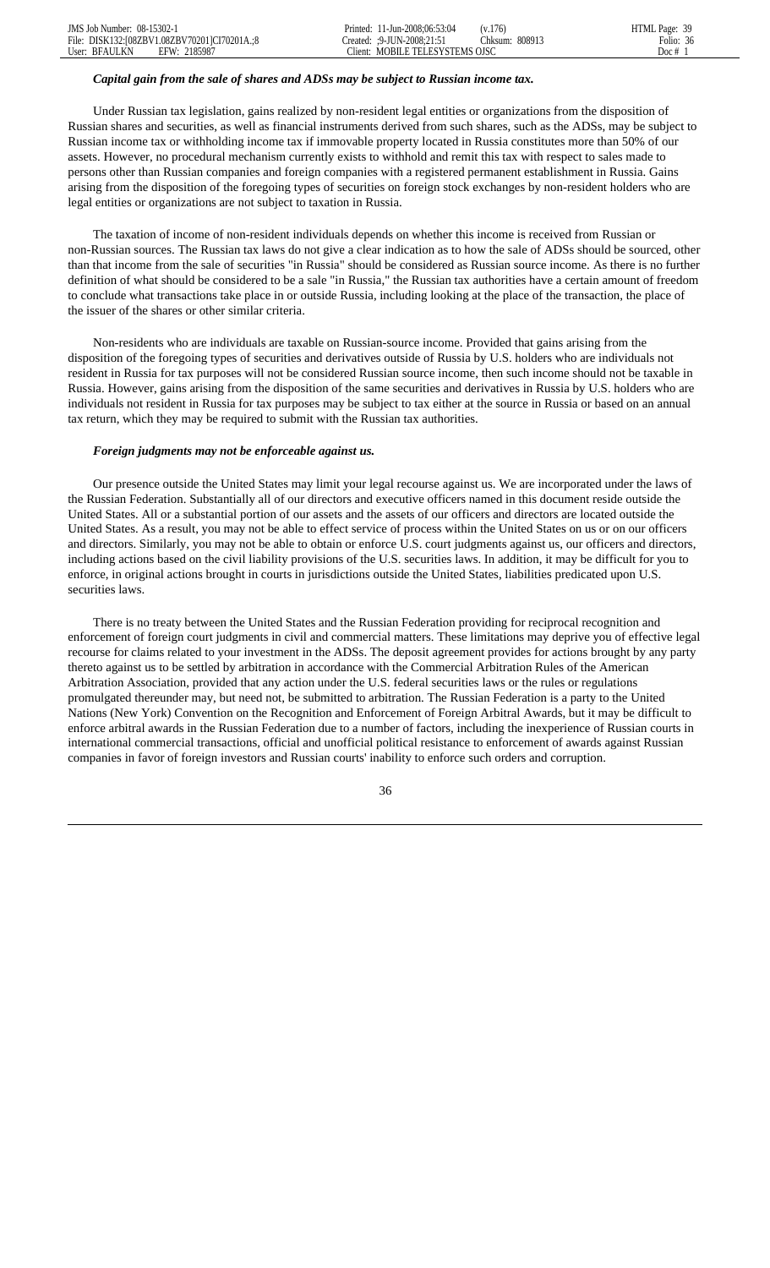# *Capital gain from the sale of shares and ADSs may be subject to Russian income tax.*

 Under Russian tax legislation, gains realized by non-resident legal entities or organizations from the disposition of Russian shares and securities, as well as financial instruments derived from such shares, such as the ADSs, may be subject to Russian income tax or withholding income tax if immovable property located in Russia constitutes more than 50% of our assets. However, no procedural mechanism currently exists to withhold and remit this tax with respect to sales made to persons other than Russian companies and foreign companies with a registered permanent establishment in Russia. Gains arising from the disposition of the foregoing types of securities on foreign stock exchanges by non-resident holders who are legal entities or organizations are not subject to taxation in Russia.

 The taxation of income of non-resident individuals depends on whether this income is received from Russian or non-Russian sources. The Russian tax laws do not give a clear indication as to how the sale of ADSs should be sourced, other than that income from the sale of securities "in Russia" should be considered as Russian source income. As there is no further definition of what should be considered to be a sale "in Russia," the Russian tax authorities have a certain amount of freedom to conclude what transactions take place in or outside Russia, including looking at the place of the transaction, the place of the issuer of the shares or other similar criteria.

 Non-residents who are individuals are taxable on Russian-source income. Provided that gains arising from the disposition of the foregoing types of securities and derivatives outside of Russia by U.S. holders who are individuals not resident in Russia for tax purposes will not be considered Russian source income, then such income should not be taxable in Russia. However, gains arising from the disposition of the same securities and derivatives in Russia by U.S. holders who are individuals not resident in Russia for tax purposes may be subject to tax either at the source in Russia or based on an annual tax return, which they may be required to submit with the Russian tax authorities.

### *Foreign judgments may not be enforceable against us.*

 Our presence outside the United States may limit your legal recourse against us. We are incorporated under the laws of the Russian Federation. Substantially all of our directors and executive officers named in this document reside outside the United States. All or a substantial portion of our assets and the assets of our officers and directors are located outside the United States. As a result, you may not be able to effect service of process within the United States on us or on our officers and directors. Similarly, you may not be able to obtain or enforce U.S. court judgments against us, our officers and directors, including actions based on the civil liability provisions of the U.S. securities laws. In addition, it may be difficult for you to enforce, in original actions brought in courts in jurisdictions outside the United States, liabilities predicated upon U.S. securities laws.

 There is no treaty between the United States and the Russian Federation providing for reciprocal recognition and enforcement of foreign court judgments in civil and commercial matters. These limitations may deprive you of effective legal recourse for claims related to your investment in the ADSs. The deposit agreement provides for actions brought by any party thereto against us to be settled by arbitration in accordance with the Commercial Arbitration Rules of the American Arbitration Association, provided that any action under the U.S. federal securities laws or the rules or regulations promulgated thereunder may, but need not, be submitted to arbitration. The Russian Federation is a party to the United Nations (New York) Convention on the Recognition and Enforcement of Foreign Arbitral Awards, but it may be difficult to enforce arbitral awards in the Russian Federation due to a number of factors, including the inexperience of Russian courts in international commercial transactions, official and unofficial political resistance to enforcement of awards against Russian companies in favor of foreign investors and Russian courts' inability to enforce such orders and corruption.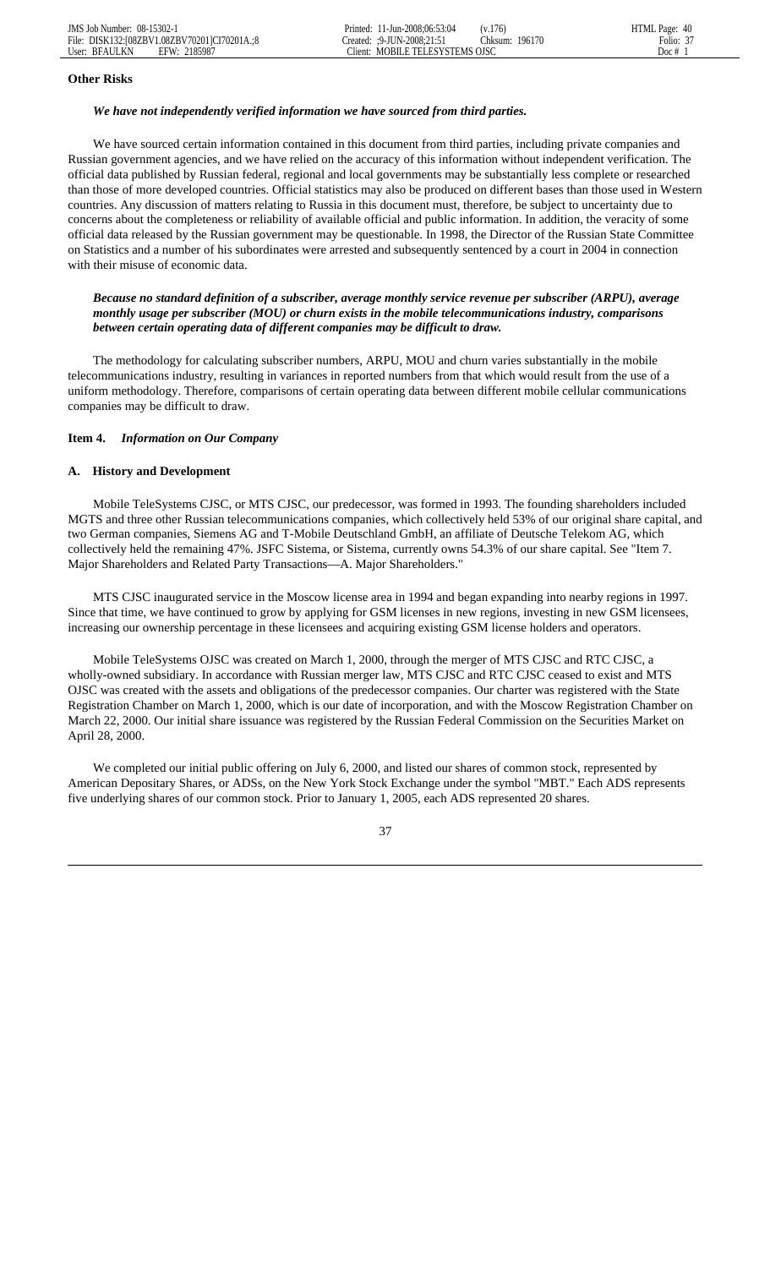# **Other Risks**

### *We have not independently verified information we have sourced from third parties.*

 We have sourced certain information contained in this document from third parties, including private companies and Russian government agencies, and we have relied on the accuracy of this information without independent verification. The official data published by Russian federal, regional and local governments may be substantially less complete or researched than those of more developed countries. Official statistics may also be produced on different bases than those used in Western countries. Any discussion of matters relating to Russia in this document must, therefore, be subject to uncertainty due to concerns about the completeness or reliability of available official and public information. In addition, the veracity of some official data released by the Russian government may be questionable. In 1998, the Director of the Russian State Committee on Statistics and a number of his subordinates were arrested and subsequently sentenced by a court in 2004 in connection with their misuse of economic data.

*Because no standard definition of a subscriber, average monthly service revenue per subscriber (ARPU), average monthly usage per subscriber (MOU) or churn exists in the mobile telecommunications industry, comparisons between certain operating data of different companies may be difficult to draw.*

 The methodology for calculating subscriber numbers, ARPU, MOU and churn varies substantially in the mobile telecommunications industry, resulting in variances in reported numbers from that which would result from the use of a uniform methodology. Therefore, comparisons of certain operating data between different mobile cellular communications companies may be difficult to draw.

# **Item 4.** *Information on Our Company*

### **A. History and Development**

 Mobile TeleSystems CJSC, or MTS CJSC, our predecessor, was formed in 1993. The founding shareholders included MGTS and three other Russian telecommunications companies, which collectively held 53% of our original share capital, and two German companies, Siemens AG and T-Mobile Deutschland GmbH, an affiliate of Deutsche Telekom AG, which collectively held the remaining 47%. JSFC Sistema, or Sistema, currently owns 54.3% of our share capital. See "Item 7. Major Shareholders and Related Party Transactions—A. Major Shareholders."

 MTS CJSC inaugurated service in the Moscow license area in 1994 and began expanding into nearby regions in 1997. Since that time, we have continued to grow by applying for GSM licenses in new regions, investing in new GSM licensees, increasing our ownership percentage in these licensees and acquiring existing GSM license holders and operators.

 Mobile TeleSystems OJSC was created on March 1, 2000, through the merger of MTS CJSC and RTC CJSC, a wholly-owned subsidiary. In accordance with Russian merger law, MTS CJSC and RTC CJSC ceased to exist and MTS OJSC was created with the assets and obligations of the predecessor companies. Our charter was registered with the State Registration Chamber on March 1, 2000, which is our date of incorporation, and with the Moscow Registration Chamber on March 22, 2000. Our initial share issuance was registered by the Russian Federal Commission on the Securities Market on April 28, 2000.

We completed our initial public offering on July 6, 2000, and listed our shares of common stock, represented by American Depositary Shares, or ADSs, on the New York Stock Exchange under the symbol "MBT." Each ADS represents five underlying shares of our common stock. Prior to January 1, 2005, each ADS represented 20 shares.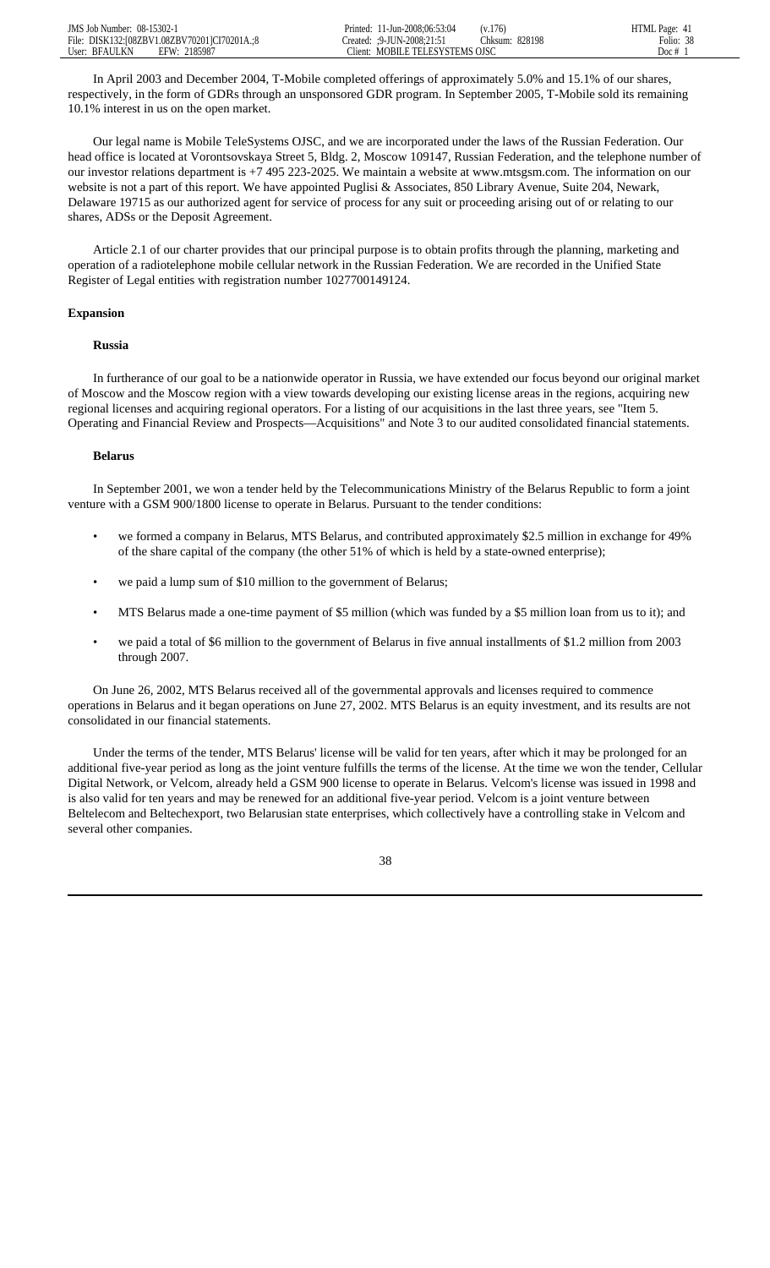In April 2003 and December 2004, T-Mobile completed offerings of approximately 5.0% and 15.1% of our shares, respectively, in the form of GDRs through an unsponsored GDR program. In September 2005, T-Mobile sold its remaining 10.1% interest in us on the open market.

 Our legal name is Mobile TeleSystems OJSC, and we are incorporated under the laws of the Russian Federation. Our head office is located at Vorontsovskaya Street 5, Bldg. 2, Moscow 109147, Russian Federation, and the telephone number of our investor relations department is +7 495 223-2025. We maintain a website at www.mtsgsm.com. The information on our website is not a part of this report. We have appointed Puglisi & Associates, 850 Library Avenue, Suite 204, Newark, Delaware 19715 as our authorized agent for service of process for any suit or proceeding arising out of or relating to our shares, ADSs or the Deposit Agreement.

 Article 2.1 of our charter provides that our principal purpose is to obtain profits through the planning, marketing and operation of a radiotelephone mobile cellular network in the Russian Federation. We are recorded in the Unified State Register of Legal entities with registration number 1027700149124.

# **Expansion**

### **Russia**

 In furtherance of our goal to be a nationwide operator in Russia, we have extended our focus beyond our original market of Moscow and the Moscow region with a view towards developing our existing license areas in the regions, acquiring new regional licenses and acquiring regional operators. For a listing of our acquisitions in the last three years, see "Item 5. Operating and Financial Review and Prospects—Acquisitions" and Note 3 to our audited consolidated financial statements.

### **Belarus**

 In September 2001, we won a tender held by the Telecommunications Ministry of the Belarus Republic to form a joint venture with a GSM 900/1800 license to operate in Belarus. Pursuant to the tender conditions:

- we formed a company in Belarus, MTS Belarus, and contributed approximately \$2.5 million in exchange for 49% of the share capital of the company (the other 51% of which is held by a state-owned enterprise);
- we paid a lump sum of \$10 million to the government of Belarus;
- MTS Belarus made a one-time payment of \$5 million (which was funded by a \$5 million loan from us to it); and
- we paid a total of \$6 million to the government of Belarus in five annual installments of \$1.2 million from 2003 through 2007.

 On June 26, 2002, MTS Belarus received all of the governmental approvals and licenses required to commence operations in Belarus and it began operations on June 27, 2002. MTS Belarus is an equity investment, and its results are not consolidated in our financial statements.

 Under the terms of the tender, MTS Belarus' license will be valid for ten years, after which it may be prolonged for an additional five-year period as long as the joint venture fulfills the terms of the license. At the time we won the tender, Cellular Digital Network, or Velcom, already held a GSM 900 license to operate in Belarus. Velcom's license was issued in 1998 and is also valid for ten years and may be renewed for an additional five-year period. Velcom is a joint venture between Beltelecom and Beltechexport, two Belarusian state enterprises, which collectively have a controlling stake in Velcom and several other companies.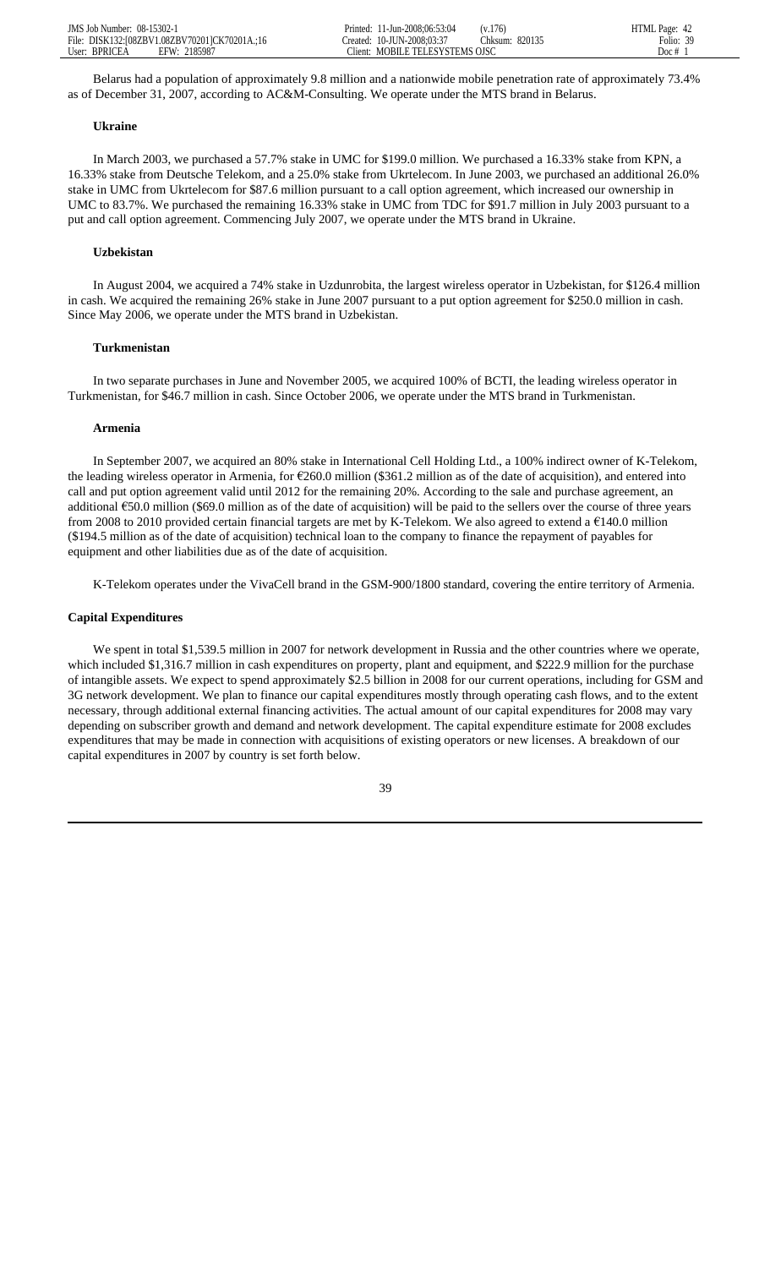Belarus had a population of approximately 9.8 million and a nationwide mobile penetration rate of approximately 73.4% as of December 31, 2007, according to AC&M-Consulting. We operate under the MTS brand in Belarus.

#### **Ukraine**

 In March 2003, we purchased a 57.7% stake in UMC for \$199.0 million. We purchased a 16.33% stake from KPN, a 16.33% stake from Deutsche Telekom, and a 25.0% stake from Ukrtelecom. In June 2003, we purchased an additional 26.0% stake in UMC from Ukrtelecom for \$87.6 million pursuant to a call option agreement, which increased our ownership in UMC to 83.7%. We purchased the remaining 16.33% stake in UMC from TDC for \$91.7 million in July 2003 pursuant to a put and call option agreement. Commencing July 2007, we operate under the MTS brand in Ukraine.

### **Uzbekistan**

 In August 2004, we acquired a 74% stake in Uzdunrobita, the largest wireless operator in Uzbekistan, for \$126.4 million in cash. We acquired the remaining 26% stake in June 2007 pursuant to a put option agreement for \$250.0 million in cash. Since May 2006, we operate under the MTS brand in Uzbekistan.

# **Turkmenistan**

 In two separate purchases in June and November 2005, we acquired 100% of BCTI, the leading wireless operator in Turkmenistan, for \$46.7 million in cash. Since October 2006, we operate under the MTS brand in Turkmenistan.

#### **Armenia**

 In September 2007, we acquired an 80% stake in International Cell Holding Ltd., a 100% indirect owner of K-Telekom, the leading wireless operator in Armenia, for  $\epsilon$ 260.0 million (\$361.2 million as of the date of acquisition), and entered into call and put option agreement valid until 2012 for the remaining 20%. According to the sale and purchase agreement, an additional  $$50.0$  million (\$69.0 million as of the date of acquisition) will be paid to the sellers over the course of three years from 2008 to 2010 provided certain financial targets are met by K-Telekom. We also agreed to extend a  $E$ 140.0 million (\$194.5 million as of the date of acquisition) technical loan to the company to finance the repayment of payables for equipment and other liabilities due as of the date of acquisition.

K-Telekom operates under the VivaCell brand in the GSM-900/1800 standard, covering the entire territory of Armenia.

#### **Capital Expenditures**

We spent in total \$1,539.5 million in 2007 for network development in Russia and the other countries where we operate, which included \$1,316.7 million in cash expenditures on property, plant and equipment, and \$222.9 million for the purchase of intangible assets. We expect to spend approximately \$2.5 billion in 2008 for our current operations, including for GSM and 3G network development. We plan to finance our capital expenditures mostly through operating cash flows, and to the extent necessary, through additional external financing activities. The actual amount of our capital expenditures for 2008 may vary depending on subscriber growth and demand and network development. The capital expenditure estimate for 2008 excludes expenditures that may be made in connection with acquisitions of existing operators or new licenses. A breakdown of our capital expenditures in 2007 by country is set forth below.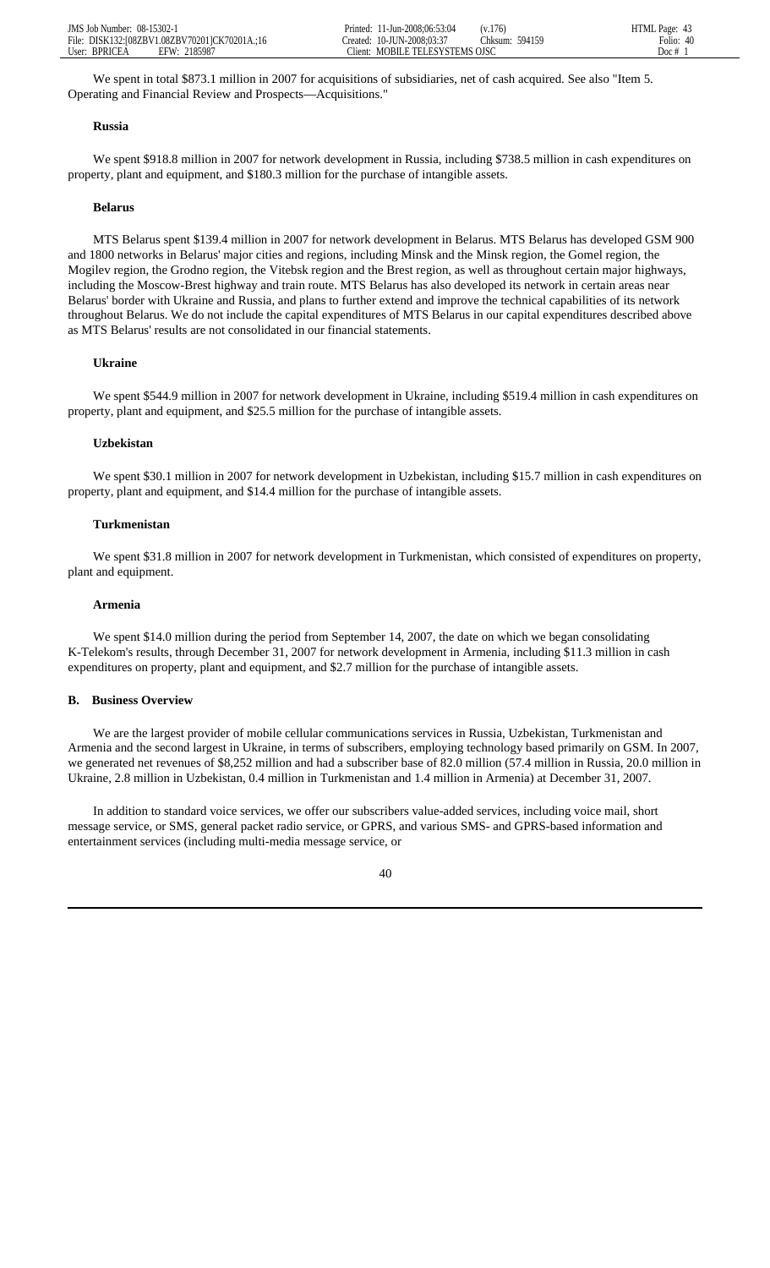We spent in total \$873.1 million in 2007 for acquisitions of subsidiaries, net of cash acquired. See also "Item 5. Operating and Financial Review and Prospects—Acquisitions."

#### **Russia**

 We spent \$918.8 million in 2007 for network development in Russia, including \$738.5 million in cash expenditures on property, plant and equipment, and \$180.3 million for the purchase of intangible assets.

# **Belarus**

 MTS Belarus spent \$139.4 million in 2007 for network development in Belarus. MTS Belarus has developed GSM 900 and 1800 networks in Belarus' major cities and regions, including Minsk and the Minsk region, the Gomel region, the Mogilev region, the Grodno region, the Vitebsk region and the Brest region, as well as throughout certain major highways, including the Moscow-Brest highway and train route. MTS Belarus has also developed its network in certain areas near Belarus' border with Ukraine and Russia, and plans to further extend and improve the technical capabilities of its network throughout Belarus. We do not include the capital expenditures of MTS Belarus in our capital expenditures described above as MTS Belarus' results are not consolidated in our financial statements.

### **Ukraine**

 We spent \$544.9 million in 2007 for network development in Ukraine, including \$519.4 million in cash expenditures on property, plant and equipment, and \$25.5 million for the purchase of intangible assets.

### **Uzbekistan**

We spent \$30.1 million in 2007 for network development in Uzbekistan, including \$15.7 million in cash expenditures on property, plant and equipment, and \$14.4 million for the purchase of intangible assets.

#### **Turkmenistan**

 We spent \$31.8 million in 2007 for network development in Turkmenistan, which consisted of expenditures on property, plant and equipment.

#### **Armenia**

We spent \$14.0 million during the period from September 14, 2007, the date on which we began consolidating K-Telekom's results, through December 31, 2007 for network development in Armenia, including \$11.3 million in cash expenditures on property, plant and equipment, and \$2.7 million for the purchase of intangible assets.

#### **B. Business Overview**

 We are the largest provider of mobile cellular communications services in Russia, Uzbekistan, Turkmenistan and Armenia and the second largest in Ukraine, in terms of subscribers, employing technology based primarily on GSM. In 2007, we generated net revenues of \$8,252 million and had a subscriber base of 82.0 million (57.4 million in Russia, 20.0 million in Ukraine, 2.8 million in Uzbekistan, 0.4 million in Turkmenistan and 1.4 million in Armenia) at December 31, 2007.

 In addition to standard voice services, we offer our subscribers value-added services, including voice mail, short message service, or SMS, general packet radio service, or GPRS, and various SMS- and GPRS-based information and entertainment services (including multi-media message service, or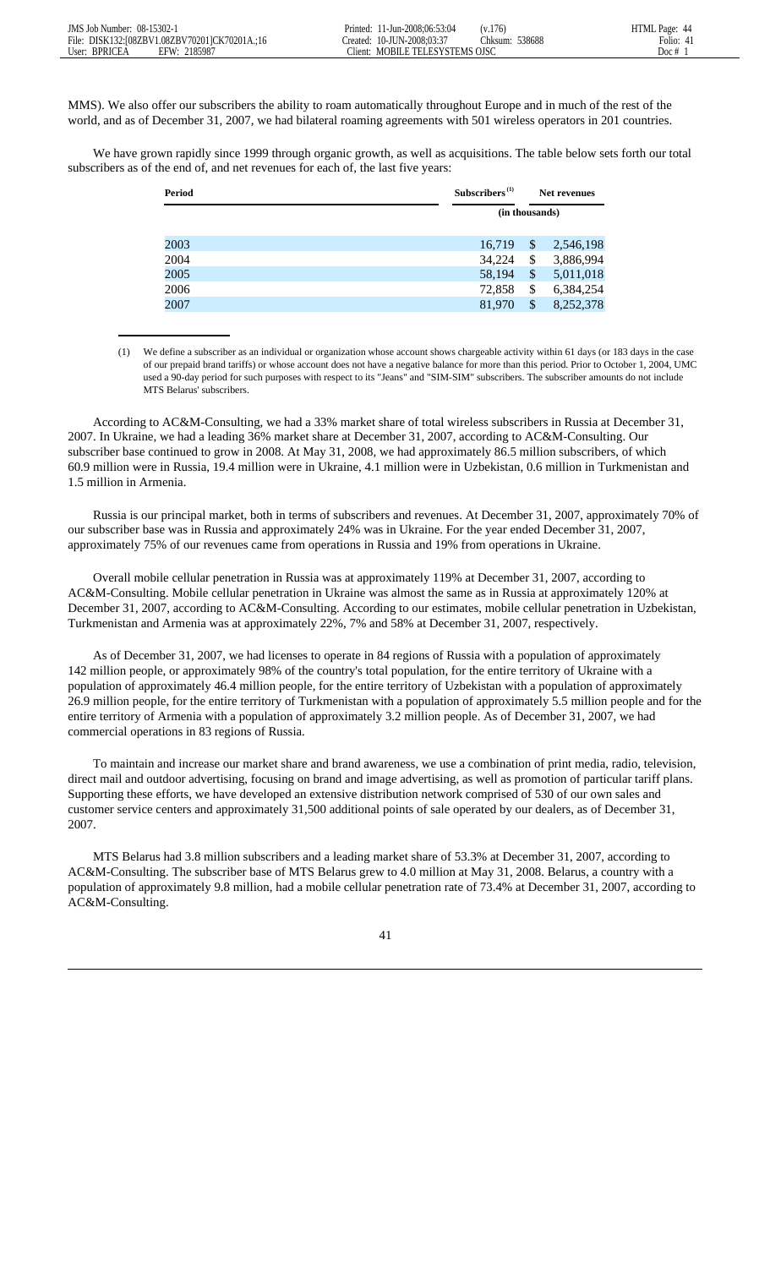MMS). We also offer our subscribers the ability to roam automatically throughout Europe and in much of the rest of the world, and as of December 31, 2007, we had bilateral roaming agreements with 501 wireless operators in 201 countries.

 We have grown rapidly since 1999 through organic growth, as well as acquisitions. The table below sets forth our total subscribers as of the end of, and net revenues for each of, the last five years:

| <b>Period</b> | Subscribers $(1)$ | <b>Net revenues</b> |           |
|---------------|-------------------|---------------------|-----------|
|               | (in thousands)    |                     |           |
| 2003          | 16,719            | $\mathbb{S}$        | 2,546,198 |
| 2004          | 34,224            | \$                  | 3,886,994 |
| 2005          | 58,194            | \$                  | 5,011,018 |
| 2006          | 72,858            | \$                  | 6,384,254 |
| 2007          | 81,970            | \$                  | 8,252,378 |

(1) We define a subscriber as an individual or organization whose account shows chargeable activity within 61 days (or 183 days in the case of our prepaid brand tariffs) or whose account does not have a negative balance for more than this period. Prior to October 1, 2004, UMC used a 90-day period for such purposes with respect to its "Jeans" and "SIM-SIM" subscribers. The subscriber amounts do not include MTS Belarus' subscribers.

 According to AC&M-Consulting, we had a 33% market share of total wireless subscribers in Russia at December 31, 2007. In Ukraine, we had a leading 36% market share at December 31, 2007, according to AC&M-Consulting. Our subscriber base continued to grow in 2008. At May 31, 2008, we had approximately 86.5 million subscribers, of which 60.9 million were in Russia, 19.4 million were in Ukraine, 4.1 million were in Uzbekistan, 0.6 million in Turkmenistan and 1.5 million in Armenia.

 Russia is our principal market, both in terms of subscribers and revenues. At December 31, 2007, approximately 70% of our subscriber base was in Russia and approximately 24% was in Ukraine. For the year ended December 31, 2007, approximately 75% of our revenues came from operations in Russia and 19% from operations in Ukraine.

 Overall mobile cellular penetration in Russia was at approximately 119% at December 31, 2007, according to AC&M-Consulting. Mobile cellular penetration in Ukraine was almost the same as in Russia at approximately 120% at December 31, 2007, according to AC&M-Consulting. According to our estimates, mobile cellular penetration in Uzbekistan, Turkmenistan and Armenia was at approximately 22%, 7% and 58% at December 31, 2007, respectively.

 As of December 31, 2007, we had licenses to operate in 84 regions of Russia with a population of approximately 142 million people, or approximately 98% of the country's total population, for the entire territory of Ukraine with a population of approximately 46.4 million people, for the entire territory of Uzbekistan with a population of approximately 26.9 million people, for the entire territory of Turkmenistan with a population of approximately 5.5 million people and for the entire territory of Armenia with a population of approximately 3.2 million people. As of December 31, 2007, we had commercial operations in 83 regions of Russia.

 To maintain and increase our market share and brand awareness, we use a combination of print media, radio, television, direct mail and outdoor advertising, focusing on brand and image advertising, as well as promotion of particular tariff plans. Supporting these efforts, we have developed an extensive distribution network comprised of 530 of our own sales and customer service centers and approximately 31,500 additional points of sale operated by our dealers, as of December 31, 2007.

 MTS Belarus had 3.8 million subscribers and a leading market share of 53.3% at December 31, 2007, according to AC&M-Consulting. The subscriber base of MTS Belarus grew to 4.0 million at May 31, 2008. Belarus, a country with a population of approximately 9.8 million, had a mobile cellular penetration rate of 73.4% at December 31, 2007, according to AC&M-Consulting.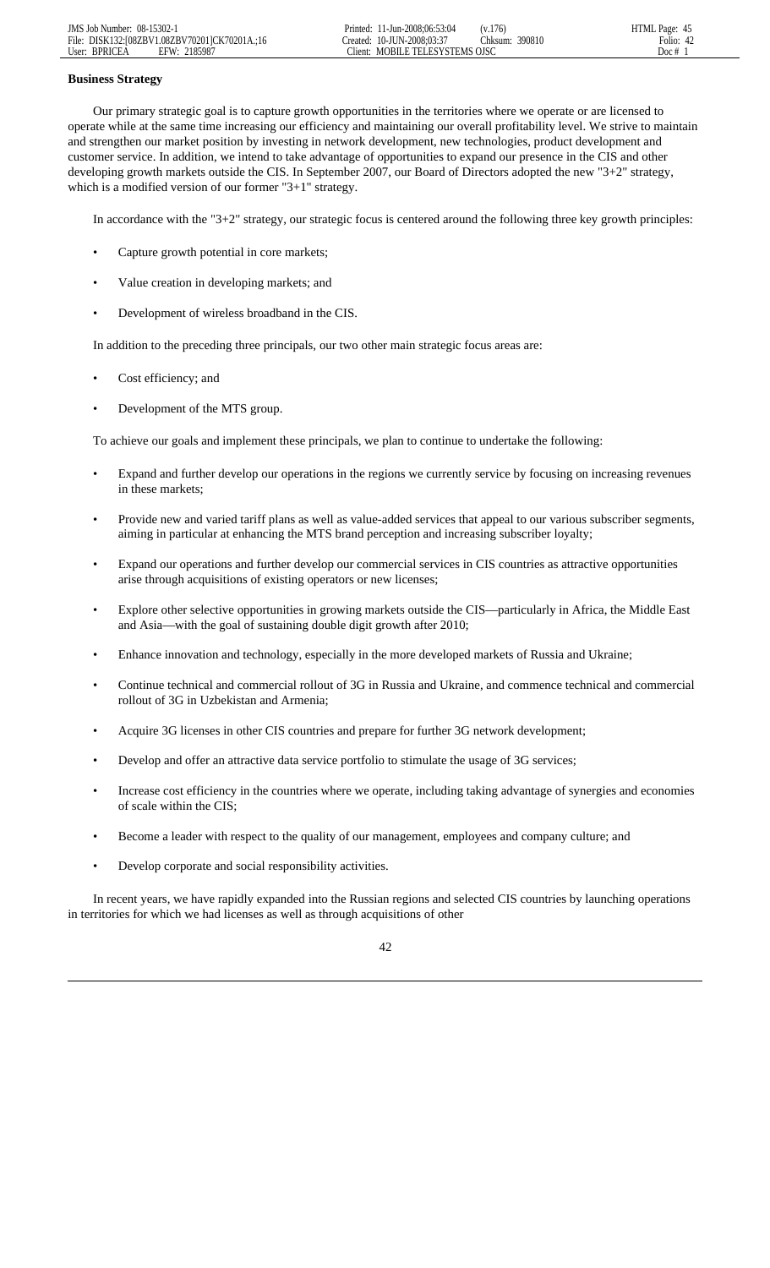# **Business Strategy**

 Our primary strategic goal is to capture growth opportunities in the territories where we operate or are licensed to operate while at the same time increasing our efficiency and maintaining our overall profitability level. We strive to maintain and strengthen our market position by investing in network development, new technologies, product development and customer service. In addition, we intend to take advantage of opportunities to expand our presence in the CIS and other developing growth markets outside the CIS. In September 2007, our Board of Directors adopted the new "3+2" strategy, which is a modified version of our former "3+1" strategy.

In accordance with the "3+2" strategy, our strategic focus is centered around the following three key growth principles:

- Capture growth potential in core markets;
- Value creation in developing markets; and
- Development of wireless broadband in the CIS.

In addition to the preceding three principals, our two other main strategic focus areas are:

- Cost efficiency; and
- Development of the MTS group.

To achieve our goals and implement these principals, we plan to continue to undertake the following:

- Expand and further develop our operations in the regions we currently service by focusing on increasing revenues in these markets;
- Provide new and varied tariff plans as well as value-added services that appeal to our various subscriber segments, aiming in particular at enhancing the MTS brand perception and increasing subscriber loyalty;
- Expand our operations and further develop our commercial services in CIS countries as attractive opportunities arise through acquisitions of existing operators or new licenses;
- Explore other selective opportunities in growing markets outside the CIS—particularly in Africa, the Middle East and Asia—with the goal of sustaining double digit growth after 2010;
- Enhance innovation and technology, especially in the more developed markets of Russia and Ukraine;
- Continue technical and commercial rollout of 3G in Russia and Ukraine, and commence technical and commercial rollout of 3G in Uzbekistan and Armenia;
- Acquire 3G licenses in other CIS countries and prepare for further 3G network development;
- Develop and offer an attractive data service portfolio to stimulate the usage of 3G services;
- Increase cost efficiency in the countries where we operate, including taking advantage of synergies and economies of scale within the CIS;
- Become a leader with respect to the quality of our management, employees and company culture; and
- Develop corporate and social responsibility activities.

 In recent years, we have rapidly expanded into the Russian regions and selected CIS countries by launching operations in territories for which we had licenses as well as through acquisitions of other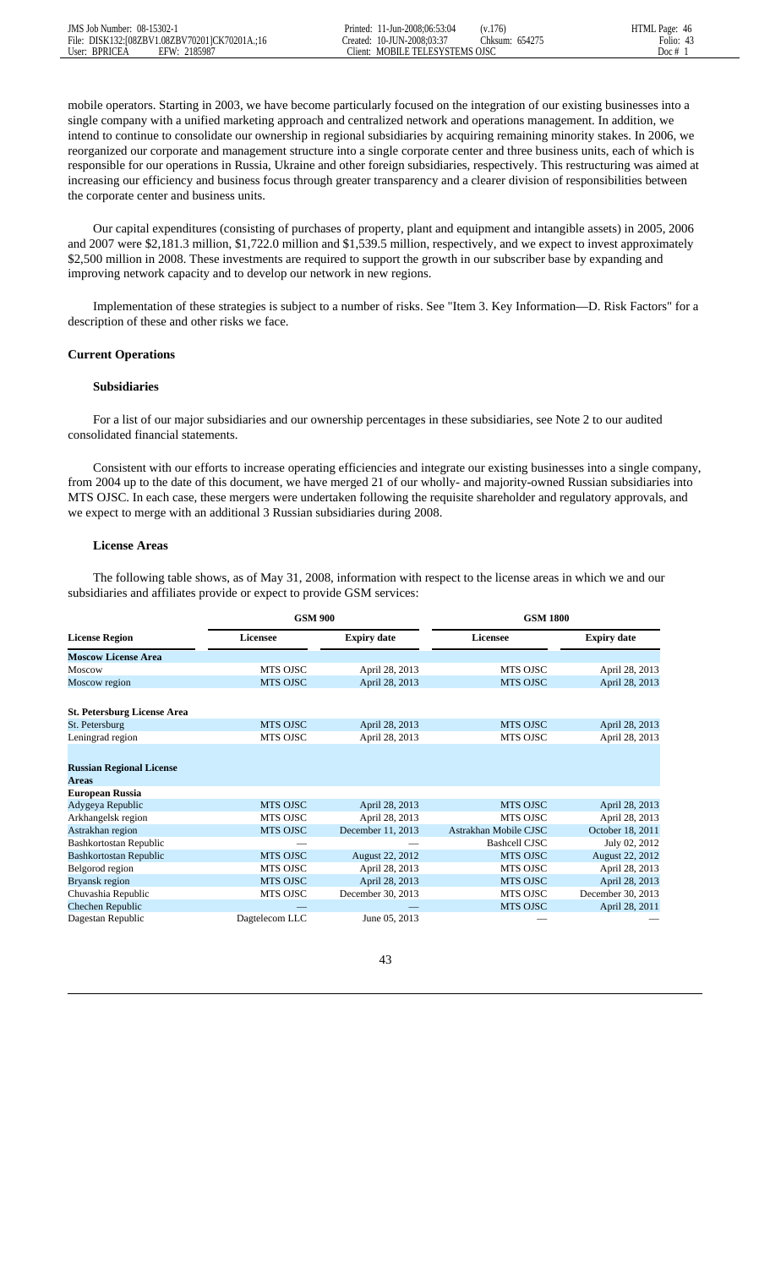mobile operators. Starting in 2003, we have become particularly focused on the integration of our existing businesses into a single company with a unified marketing approach and centralized network and operations management. In addition, we intend to continue to consolidate our ownership in regional subsidiaries by acquiring remaining minority stakes. In 2006, we reorganized our corporate and management structure into a single corporate center and three business units, each of which is responsible for our operations in Russia, Ukraine and other foreign subsidiaries, respectively. This restructuring was aimed at increasing our efficiency and business focus through greater transparency and a clearer division of responsibilities between the corporate center and business units.

 Our capital expenditures (consisting of purchases of property, plant and equipment and intangible assets) in 2005, 2006 and 2007 were \$2,181.3 million, \$1,722.0 million and \$1,539.5 million, respectively, and we expect to invest approximately \$2,500 million in 2008. These investments are required to support the growth in our subscriber base by expanding and improving network capacity and to develop our network in new regions.

 Implementation of these strategies is subject to a number of risks. See "Item 3. Key Information—D. Risk Factors" for a description of these and other risks we face.

### **Current Operations**

#### **Subsidiaries**

 For a list of our major subsidiaries and our ownership percentages in these subsidiaries, see Note 2 to our audited consolidated financial statements.

 Consistent with our efforts to increase operating efficiencies and integrate our existing businesses into a single company, from 2004 up to the date of this document, we have merged 21 of our wholly- and majority-owned Russian subsidiaries into MTS OJSC. In each case, these mergers were undertaken following the requisite shareholder and regulatory approvals, and we expect to merge with an additional 3 Russian subsidiaries during 2008.

# **License Areas**

 The following table shows, as of May 31, 2008, information with respect to the license areas in which we and our subsidiaries and affiliates provide or expect to provide GSM services:

| <b>GSM 900</b>                     |                 |                    | <b>GSM 1800</b>       |                    |
|------------------------------------|-----------------|--------------------|-----------------------|--------------------|
| <b>License Region</b>              | <b>Licensee</b> | <b>Expiry date</b> | <b>Licensee</b>       | <b>Expiry date</b> |
| <b>Moscow License Area</b>         |                 |                    |                       |                    |
| Moscow                             | MTS OJSC        | April 28, 2013     | MTS OJSC              | April 28, 2013     |
| Moscow region                      | MTS OJSC        | April 28, 2013     | MTS OJSC              | April 28, 2013     |
| <b>St. Petersburg License Area</b> |                 |                    |                       |                    |
| St. Petersburg                     | MTS OJSC        | April 28, 2013     | MTS OJSC              | April 28, 2013     |
| Leningrad region                   | MTS OJSC        | April 28, 2013     | MTS OJSC              | April 28, 2013     |
|                                    |                 |                    |                       |                    |
| <b>Russian Regional License</b>    |                 |                    |                       |                    |
| <b>Areas</b>                       |                 |                    |                       |                    |
| <b>European Russia</b>             |                 |                    |                       |                    |
| Adygeya Republic                   | MTS OJSC        | April 28, 2013     | MTS OJSC              | April 28, 2013     |
| Arkhangelsk region                 | MTS OJSC        | April 28, 2013     | MTS OJSC              | April 28, 2013     |
| Astrakhan region                   | MTS OJSC        | December 11, 2013  | Astrakhan Mobile CJSC | October 18, 2011   |
| Bashkortostan Republic             |                 |                    | <b>Bashcell CJSC</b>  | July 02, 2012      |
| Bashkortostan Republic             | MTS OJSC        | August 22, 2012    | MTS OJSC              | August 22, 2012    |
| Belgorod region                    | MTS OJSC        | April 28, 2013     | MTS OJSC              | April 28, 2013     |
| Bryansk region                     | MTS OJSC        | April 28, 2013     | MTS OJSC              | April 28, 2013     |
| Chuvashia Republic                 | MTS OJSC        | December 30, 2013  | MTS OJSC              | December 30, 2013  |
| Chechen Republic                   |                 |                    | MTS OJSC              | April 28, 2011     |
| Dagestan Republic                  | Dagtelecom LLC  | June 05, 2013      |                       |                    |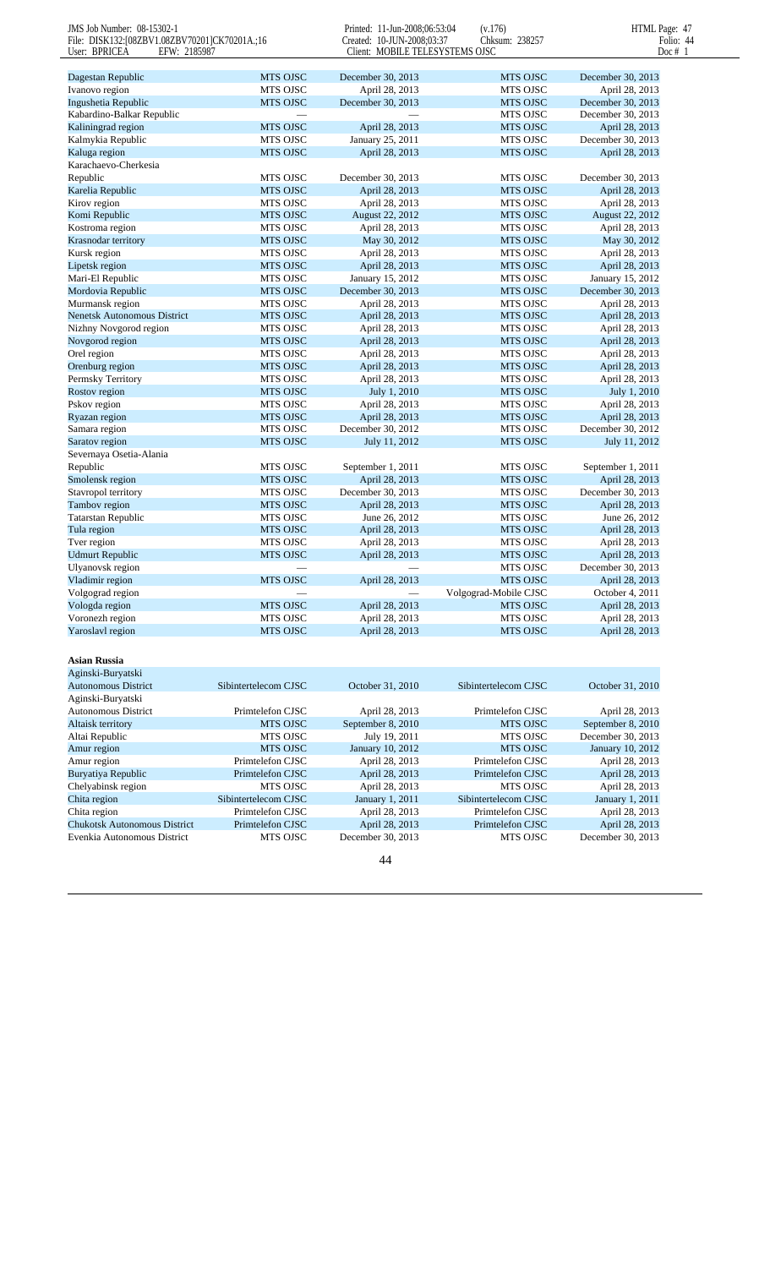| Dagestan Republic           | MTS OJSC | December 30, 2013 | MTS OJSC              | December 30, 2013 |
|-----------------------------|----------|-------------------|-----------------------|-------------------|
| Ivanovo region              | MTS OJSC | April 28, 2013    | MTS OJSC              | April 28, 2013    |
| Ingushetia Republic         | MTS OJSC | December 30, 2013 | MTS OJSC              | December 30, 2013 |
| Kabardino-Balkar Republic   |          |                   | MTS OJSC              | December 30, 2013 |
| Kaliningrad region          | MTS OJSC | April 28, 2013    | MTS OJSC              | April 28, 2013    |
| Kalmykia Republic           | MTS OJSC | January 25, 2011  | MTS OJSC              | December 30, 2013 |
| Kaluga region               | MTS OJSC | April 28, 2013    | MTS OJSC              | April 28, 2013    |
| Karachaevo-Cherkesia        |          |                   |                       |                   |
| Republic                    | MTS OJSC | December 30, 2013 | MTS OJSC              | December 30, 2013 |
| Karelia Republic            | MTS OJSC | April 28, 2013    | MTS OJSC              | April 28, 2013    |
| Kirov region                | MTS OJSC | April 28, 2013    | MTS OJSC              | April 28, 2013    |
| Komi Republic               | MTS OJSC | August 22, 2012   | MTS OJSC              | August 22, 2012   |
| Kostroma region             | MTS OJSC | April 28, 2013    | MTS OJSC              | April 28, 2013    |
| Krasnodar territory         | MTS OJSC | May 30, 2012      | MTS OJSC              | May 30, 2012      |
| Kursk region                | MTS OJSC | April 28, 2013    | MTS OJSC              | April 28, 2013    |
| Lipetsk region              | MTS OJSC | April 28, 2013    | MTS OJSC              | April 28, 2013    |
| Mari-El Republic            | MTS OJSC | January 15, 2012  | MTS OJSC              | January 15, 2012  |
| Mordovia Republic           | MTS OJSC | December 30, 2013 | MTS OJSC              | December 30, 2013 |
| Murmansk region             | MTS OJSC | April 28, 2013    | MTS OJSC              | April 28, 2013    |
| Nenetsk Autonomous District | MTS OJSC | April 28, 2013    | MTS OJSC              | April 28, 2013    |
| Nizhny Novgorod region      | MTS OJSC | April 28, 2013    | MTS OJSC              | April 28, 2013    |
| Novgorod region             | MTS OJSC | April 28, 2013    | MTS OJSC              | April 28, 2013    |
| Orel region                 | MTS OJSC | April 28, 2013    | MTS OJSC              | April 28, 2013    |
| Orenburg region             | MTS OJSC | April 28, 2013    | MTS OJSC              | April 28, 2013    |
| Permsky Territory           | MTS OJSC | April 28, 2013    | MTS OJSC              | April 28, 2013    |
| Rostov region               | MTS OJSC | July 1, 2010      | MTS OJSC              | July 1, 2010      |
| Pskov region                | MTS OJSC | April 28, 2013    | MTS OJSC              | April 28, 2013    |
| Ryazan region               | MTS OJSC | April 28, 2013    | MTS OJSC              | April 28, 2013    |
| Samara region               | MTS OJSC | December 30, 2012 | MTS OJSC              | December 30, 2012 |
| Saratov region              | MTS OJSC | July 11, 2012     | MTS OJSC              | July 11, 2012     |
| Severnaya Osetia-Alania     |          |                   |                       |                   |
| Republic                    | MTS OJSC | September 1, 2011 | MTS OJSC              | September 1, 2011 |
| Smolensk region             | MTS OJSC | April 28, 2013    | MTS OJSC              | April 28, 2013    |
| Stavropol territory         | MTS OJSC | December 30, 2013 | MTS OJSC              | December 30, 2013 |
| Tambov region               | MTS OJSC | April 28, 2013    | MTS OJSC              | April 28, 2013    |
| <b>Tatarstan Republic</b>   | MTS OJSC | June 26, 2012     | MTS OJSC              | June 26, 2012     |
| Tula region                 | MTS OJSC | April 28, 2013    | MTS OJSC              | April 28, 2013    |
| Tver region                 | MTS OJSC | April 28, 2013    | MTS OJSC              | April 28, 2013    |
| <b>Udmurt Republic</b>      | MTS OJSC | April 28, 2013    | MTS OJSC              | April 28, 2013    |
| Ulyanovsk region            |          |                   | MTS OJSC              | December 30, 2013 |
| Vladimir region             | MTS OJSC | April 28, 2013    | MTS OJSC              | April 28, 2013    |
| Volgograd region            |          |                   | Volgograd-Mobile CJSC | October 4, 2011   |
| Vologda region              | MTS OJSC | April 28, 2013    | MTS OJSC              | April 28, 2013    |
| Voronezh region             | MTS OJSC | April 28, 2013    | MTS OJSC              | April 28, 2013    |
| Yaroslavl region            | MTS OJSC | April 28, 2013    | MTS OJSC              | April 28, 2013    |
|                             |          |                   |                       |                   |
| Asian Russia                |          |                   |                       |                   |

| Aginski-Buryatski                   |                      |                   |                      |                   |
|-------------------------------------|----------------------|-------------------|----------------------|-------------------|
| <b>Autonomous District</b>          | Sibintertelecom CJSC | October 31, 2010  | Sibintertelecom CJSC | October 31, 2010  |
| Aginski-Buryatski                   |                      |                   |                      |                   |
| <b>Autonomous District</b>          | Primtelefon CJSC     | April 28, 2013    | Primtelefon CJSC     | April 28, 2013    |
| Altaisk territory                   | MTS OJSC             | September 8, 2010 | <b>MTS OJSC</b>      | September 8, 2010 |
| Altai Republic                      | MTS OJSC             | July 19, 2011     | MTS OJSC             | December 30, 2013 |
| Amur region                         | MTS OJSC             | January 10, 2012  | <b>MTS OJSC</b>      | January 10, 2012  |
| Amur region                         | Primtelefon CJSC     | April 28, 2013    | Primtelefon CJSC     | April 28, 2013    |
| Buryatiya Republic                  | Primtelefon CJSC     | April 28, 2013    | Primtelefon CJSC     | April 28, 2013    |
| Chelyabinsk region                  | MTS OJSC             | April 28, 2013    | MTS OJSC             | April 28, 2013    |
| Chita region                        | Sibintertelecom CJSC | January 1, 2011   | Sibintertelecom CJSC | January 1, 2011   |
| Chita region                        | Primtelefon CJSC     | April 28, 2013    | Primtelefon CJSC     | April 28, 2013    |
| <b>Chukotsk Autonomous District</b> | Primtelefon CJSC     | April 28, 2013    | Primtelefon CJSC     | April 28, 2013    |
| Evenkia Autonomous District         | MTS OJSC             | December 30, 2013 | MTS OJSC             | December 30, 2013 |
|                                     |                      |                   |                      |                   |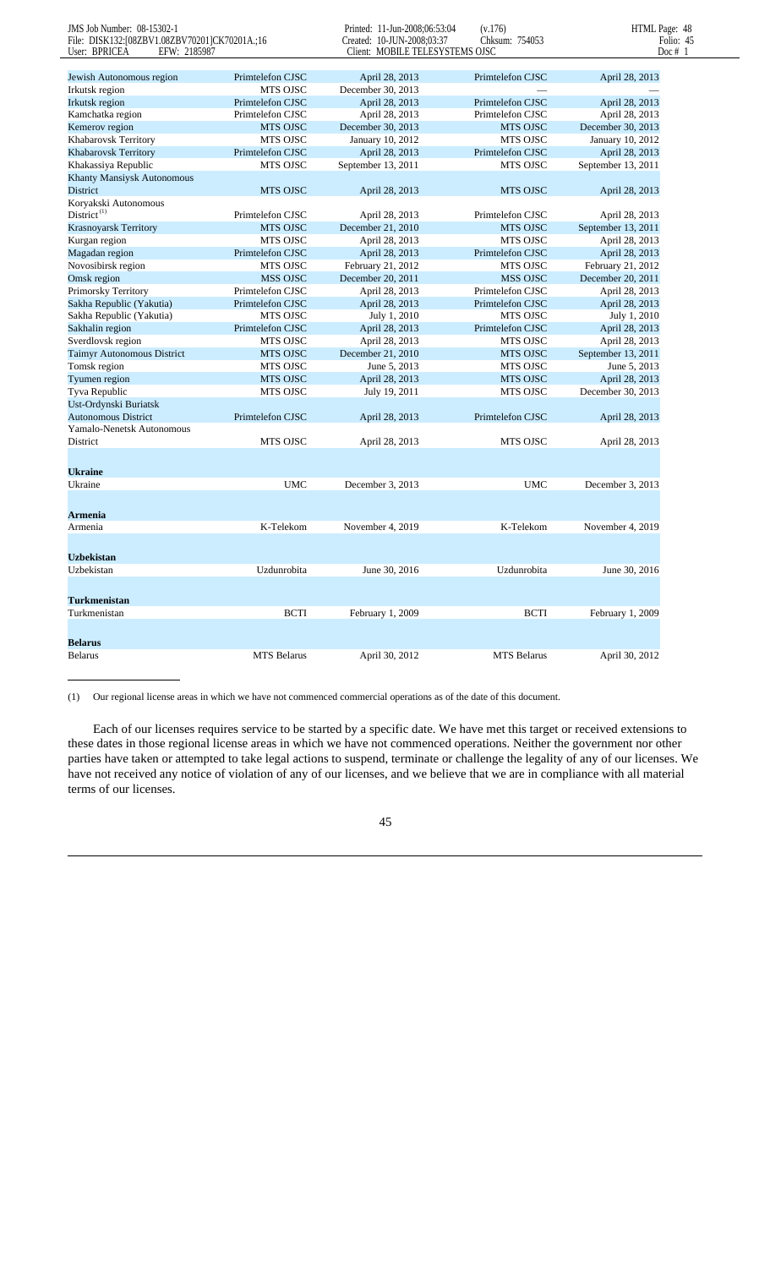| Jewish Autonomous region          | Primtelefon CJSC   | April 28, 2013     | Primtelefon CJSC   | April 28, 2013     |
|-----------------------------------|--------------------|--------------------|--------------------|--------------------|
| Irkutsk region                    | MTS OJSC           | December 30, 2013  |                    |                    |
| Irkutsk region                    | Primtelefon CJSC   | April 28, 2013     | Primtelefon CJSC   | April 28, 2013     |
| Kamchatka region                  | Primtelefon CJSC   | April 28, 2013     | Primtelefon CJSC   | April 28, 2013     |
| Kemerov region                    | MTS OJSC           | December 30, 2013  | MTS OJSC           | December 30, 2013  |
| Khabarovsk Territory              | MTS OJSC           | January 10, 2012   | MTS OJSC           | January 10, 2012   |
| Khabarovsk Territory              | Primtelefon CJSC   | April 28, 2013     | Primtelefon CJSC   | April 28, 2013     |
| Khakassiya Republic               | MTS OJSC           | September 13, 2011 | MTS OJSC           | September 13, 2011 |
| <b>Khanty Mansiysk Autonomous</b> |                    |                    |                    |                    |
| District                          | MTS OJSC           | April 28, 2013     | <b>MTS OJSC</b>    | April 28, 2013     |
| Koryakski Autonomous              |                    |                    |                    |                    |
| $District^{(1)}$                  | Primtelefon CJSC   | April 28, 2013     | Primtelefon CJSC   | April 28, 2013     |
| Krasnoyarsk Territory             | MTS OJSC           | December 21, 2010  | MTS OJSC           | September 13, 2011 |
| Kurgan region                     | MTS OJSC           | April 28, 2013     | MTS OJSC           | April 28, 2013     |
| Magadan region                    | Primtelefon CJSC   | April 28, 2013     | Primtelefon CJSC   | April 28, 2013     |
| Novosibirsk region                | MTS OJSC           | February 21, 2012  | MTS OJSC           | February 21, 2012  |
| Omsk region                       | MSS OJSC           | December 20, 2011  | MSS OJSC           | December 20, 2011  |
| Primorsky Territory               | Primtelefon CJSC   | April 28, 2013     | Primtelefon CJSC   | April 28, 2013     |
| Sakha Republic (Yakutia)          | Primtelefon CJSC   | April 28, 2013     | Primtelefon CJSC   | April 28, 2013     |
| Sakha Republic (Yakutia)          | MTS OJSC           | July 1, 2010       | MTS OJSC           | July 1, 2010       |
| Sakhalin region                   | Primtelefon CJSC   | April 28, 2013     | Primtelefon CJSC   | April 28, 2013     |
| Sverdlovsk region                 | MTS OJSC           | April 28, 2013     | MTS OJSC           | April 28, 2013     |
| Taimyr Autonomous District        | MTS OJSC           | December 21, 2010  | MTS OJSC           | September 13, 2011 |
| Tomsk region                      | MTS OJSC           | June 5, 2013       | MTS OJSC           | June 5, 2013       |
| Tyumen region                     | MTS OJSC           | April 28, 2013     | MTS OJSC           | April 28, 2013     |
| Tyva Republic                     | MTS OJSC           | July 19, 2011      | MTS OJSC           | December 30, 2013  |
| Ust-Ordynski Buriatsk             |                    |                    |                    |                    |
| <b>Autonomous District</b>        | Primtelefon CJSC   | April 28, 2013     | Primtelefon CJSC   | April 28, 2013     |
| Yamalo-Nenetsk Autonomous         |                    |                    |                    |                    |
| District                          | MTS OJSC           | April 28, 2013     | MTS OJSC           | April 28, 2013     |
|                                   |                    |                    |                    |                    |
| <b>Ukraine</b>                    |                    |                    |                    |                    |
| Ukraine                           | <b>UMC</b>         | December 3, 2013   | <b>UMC</b>         | December 3, 2013   |
| Armenia                           |                    |                    |                    |                    |
| Armenia                           | K-Telekom          | November 4, 2019   | K-Telekom          | November 4, 2019   |
|                                   |                    |                    |                    |                    |
| <b>Uzbekistan</b>                 |                    |                    |                    |                    |
| Uzbekistan                        | Uzdunrobita        | June 30, 2016      | Uzdunrobita        | June 30, 2016      |
|                                   |                    |                    |                    |                    |
| Turkmenistan                      |                    |                    |                    |                    |
| Turkmenistan                      | <b>BCTI</b>        | February 1, 2009   | <b>BCTI</b>        | February 1, 2009   |
|                                   |                    |                    |                    |                    |
| Belarus                           |                    |                    |                    |                    |
| <b>Belarus</b>                    | <b>MTS</b> Belarus | April 30, 2012     | <b>MTS</b> Belarus | April 30, 2012     |

(1) Our regional license areas in which we have not commenced commercial operations as of the date of this document.

 Each of our licenses requires service to be started by a specific date. We have met this target or received extensions to these dates in those regional license areas in which we have not commenced operations. Neither the government nor other parties have taken or attempted to take legal actions to suspend, terminate or challenge the legality of any of our licenses. We have not received any notice of violation of any of our licenses, and we believe that we are in compliance with all material terms of our licenses.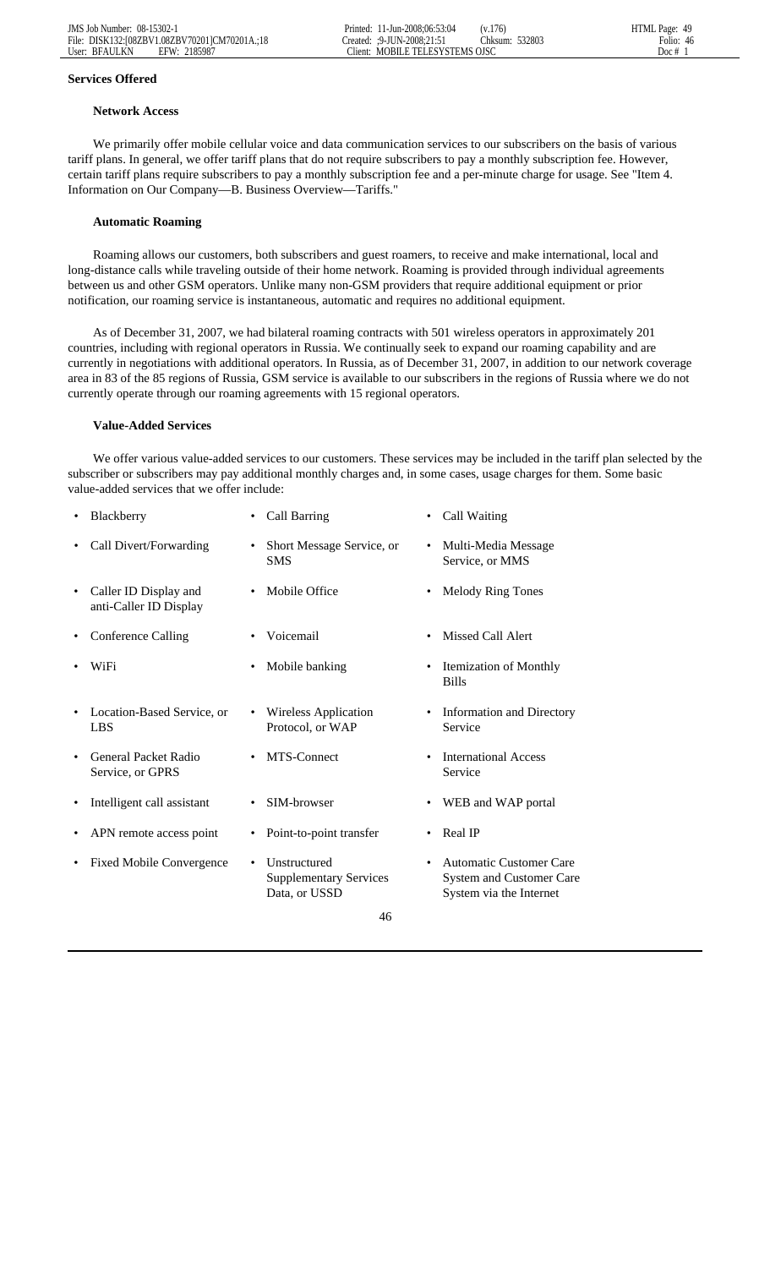### **Services Offered**

# **Network Access**

 We primarily offer mobile cellular voice and data communication services to our subscribers on the basis of various tariff plans. In general, we offer tariff plans that do not require subscribers to pay a monthly subscription fee. However, certain tariff plans require subscribers to pay a monthly subscription fee and a per-minute charge for usage. See "Item 4. Information on Our Company—B. Business Overview—Tariffs."

# **Automatic Roaming**

 Roaming allows our customers, both subscribers and guest roamers, to receive and make international, local and long-distance calls while traveling outside of their home network. Roaming is provided through individual agreements between us and other GSM operators. Unlike many non-GSM providers that require additional equipment or prior notification, our roaming service is instantaneous, automatic and requires no additional equipment.

 As of December 31, 2007, we had bilateral roaming contracts with 501 wireless operators in approximately 201 countries, including with regional operators in Russia. We continually seek to expand our roaming capability and are currently in negotiations with additional operators. In Russia, as of December 31, 2007, in addition to our network coverage area in 83 of the 85 regions of Russia, GSM service is available to our subscribers in the regions of Russia where we do not currently operate through our roaming agreements with 15 regional operators.

# **Value-Added Services**

 We offer various value-added services to our customers. These services may be included in the tariff plan selected by the subscriber or subscribers may pay additional monthly charges and, in some cases, usage charges for them. Some basic value-added services that we offer include:

| ٠         | Blackberry                                      | Call Barring                                                   | ٠         | Call Waiting                                                                   |
|-----------|-------------------------------------------------|----------------------------------------------------------------|-----------|--------------------------------------------------------------------------------|
| ٠         | Call Divert/Forwarding                          | Short Message Service, or<br><b>SMS</b>                        | ٠         | Multi-Media Message<br>Service, or MMS                                         |
|           | Caller ID Display and<br>anti-Caller ID Display | Mobile Office                                                  | ٠         | <b>Melody Ring Tones</b>                                                       |
| $\bullet$ | <b>Conference Calling</b>                       | Voicemail                                                      | $\bullet$ | Missed Call Alert                                                              |
|           | WiFi                                            | Mobile banking                                                 | $\bullet$ | Itemization of Monthly<br><b>Bills</b>                                         |
|           | Location-Based Service, or<br><b>LBS</b>        | Wireless Application<br>Protocol, or WAP                       | $\bullet$ | <b>Information and Directory</b><br>Service                                    |
|           | General Packet Radio<br>Service, or GPRS        | MTS-Connect                                                    | $\bullet$ | <b>International Access</b><br>Service                                         |
|           | Intelligent call assistant                      | SIM-browser                                                    | ٠         | WEB and WAP portal                                                             |
|           | APN remote access point                         | Point-to-point transfer                                        |           | <b>Real IP</b>                                                                 |
| $\bullet$ | <b>Fixed Mobile Convergence</b>                 | Unstructured<br><b>Supplementary Services</b><br>Data, or USSD | $\bullet$ | Automatic Customer Care<br>System and Customer Care<br>System via the Internet |
|           |                                                 | 46                                                             |           |                                                                                |
|           |                                                 |                                                                |           |                                                                                |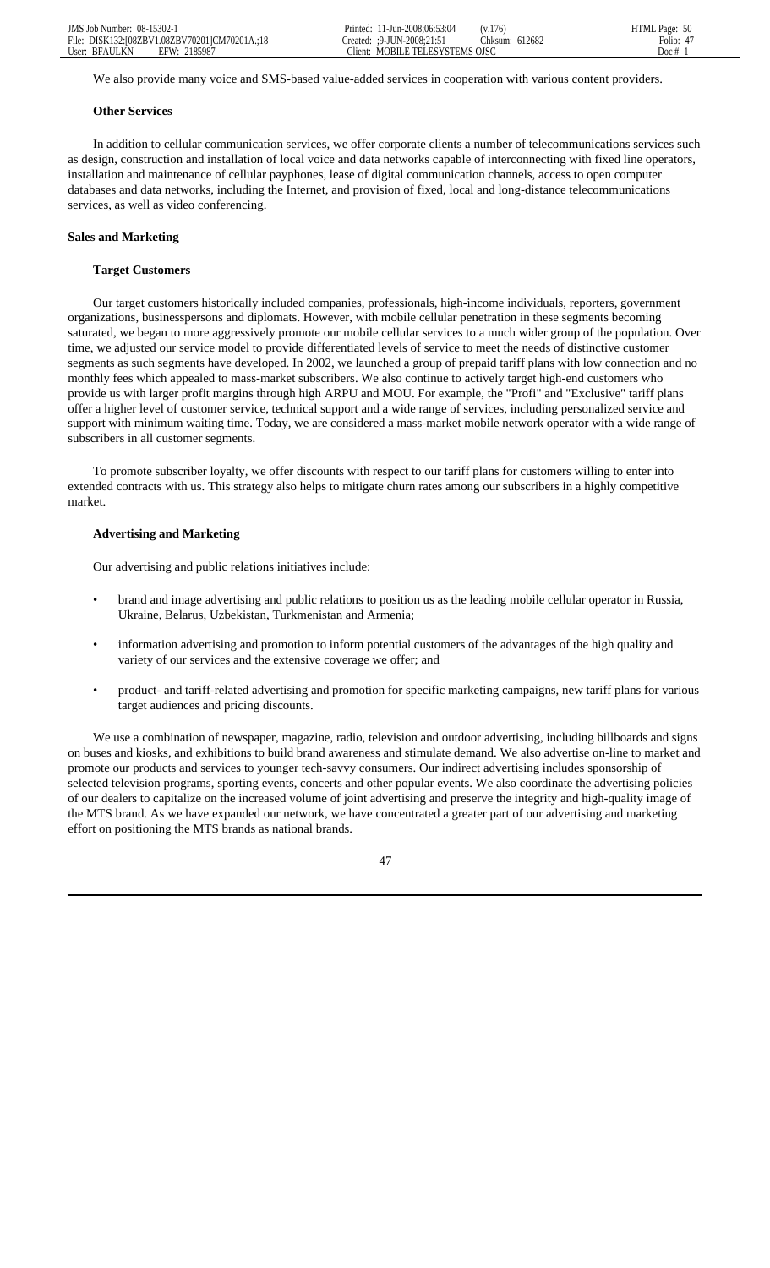We also provide many voice and SMS-based value-added services in cooperation with various content providers.

# **Other Services**

 In addition to cellular communication services, we offer corporate clients a number of telecommunications services such as design, construction and installation of local voice and data networks capable of interconnecting with fixed line operators, installation and maintenance of cellular payphones, lease of digital communication channels, access to open computer databases and data networks, including the Internet, and provision of fixed, local and long-distance telecommunications services, as well as video conferencing.

# **Sales and Marketing**

# **Target Customers**

 Our target customers historically included companies, professionals, high-income individuals, reporters, government organizations, businesspersons and diplomats. However, with mobile cellular penetration in these segments becoming saturated, we began to more aggressively promote our mobile cellular services to a much wider group of the population. Over time, we adjusted our service model to provide differentiated levels of service to meet the needs of distinctive customer segments as such segments have developed. In 2002, we launched a group of prepaid tariff plans with low connection and no monthly fees which appealed to mass-market subscribers. We also continue to actively target high-end customers who provide us with larger profit margins through high ARPU and MOU. For example, the "Profi" and "Exclusive" tariff plans offer a higher level of customer service, technical support and a wide range of services, including personalized service and support with minimum waiting time. Today, we are considered a mass-market mobile network operator with a wide range of subscribers in all customer segments.

 To promote subscriber loyalty, we offer discounts with respect to our tariff plans for customers willing to enter into extended contracts with us. This strategy also helps to mitigate churn rates among our subscribers in a highly competitive market.

# **Advertising and Marketing**

Our advertising and public relations initiatives include:

- brand and image advertising and public relations to position us as the leading mobile cellular operator in Russia, Ukraine, Belarus, Uzbekistan, Turkmenistan and Armenia;
- information advertising and promotion to inform potential customers of the advantages of the high quality and variety of our services and the extensive coverage we offer; and
- product- and tariff-related advertising and promotion for specific marketing campaigns, new tariff plans for various target audiences and pricing discounts.

 We use a combination of newspaper, magazine, radio, television and outdoor advertising, including billboards and signs on buses and kiosks, and exhibitions to build brand awareness and stimulate demand. We also advertise on-line to market and promote our products and services to younger tech-savvy consumers. Our indirect advertising includes sponsorship of selected television programs, sporting events, concerts and other popular events. We also coordinate the advertising policies of our dealers to capitalize on the increased volume of joint advertising and preserve the integrity and high-quality image of the MTS brand. As we have expanded our network, we have concentrated a greater part of our advertising and marketing effort on positioning the MTS brands as national brands.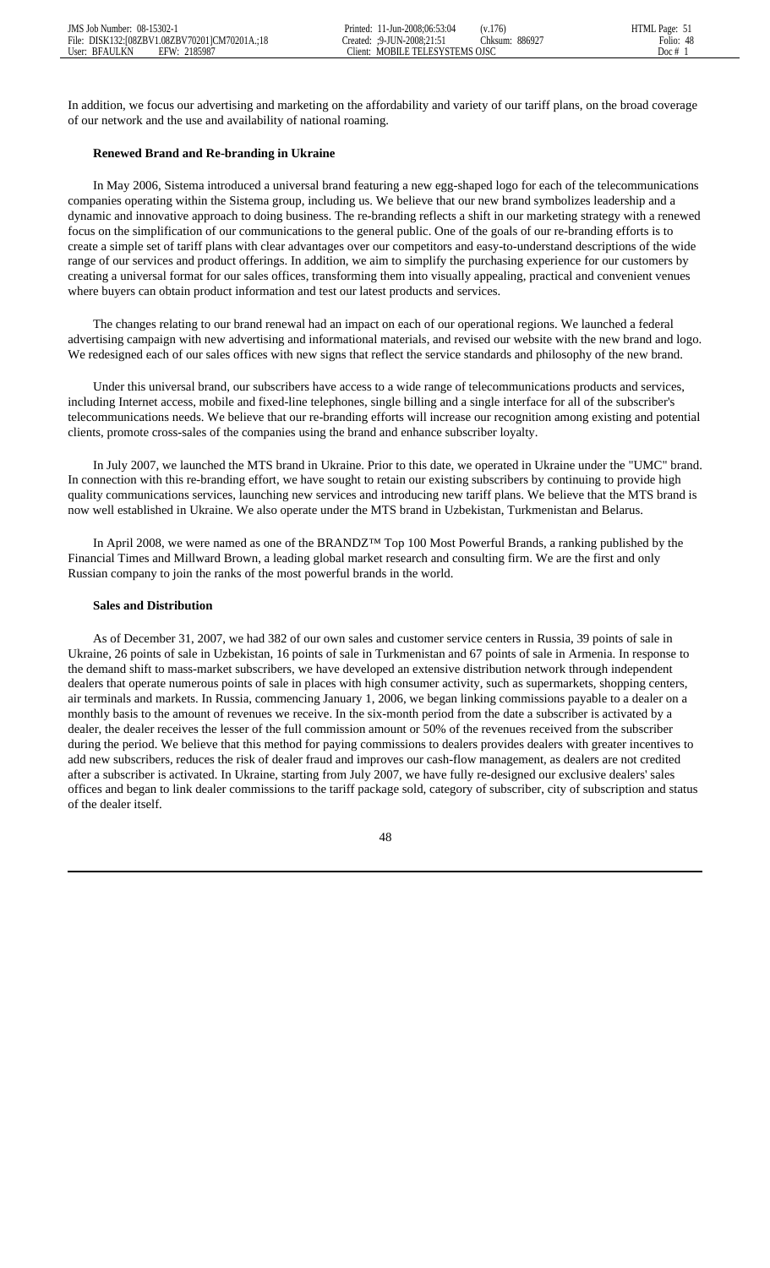In addition, we focus our advertising and marketing on the affordability and variety of our tariff plans, on the broad coverage of our network and the use and availability of national roaming.

# **Renewed Brand and Re-branding in Ukraine**

 In May 2006, Sistema introduced a universal brand featuring a new egg-shaped logo for each of the telecommunications companies operating within the Sistema group, including us. We believe that our new brand symbolizes leadership and a dynamic and innovative approach to doing business. The re-branding reflects a shift in our marketing strategy with a renewed focus on the simplification of our communications to the general public. One of the goals of our re-branding efforts is to create a simple set of tariff plans with clear advantages over our competitors and easy-to-understand descriptions of the wide range of our services and product offerings. In addition, we aim to simplify the purchasing experience for our customers by creating a universal format for our sales offices, transforming them into visually appealing, practical and convenient venues where buyers can obtain product information and test our latest products and services.

 The changes relating to our brand renewal had an impact on each of our operational regions. We launched a federal advertising campaign with new advertising and informational materials, and revised our website with the new brand and logo. We redesigned each of our sales offices with new signs that reflect the service standards and philosophy of the new brand.

 Under this universal brand, our subscribers have access to a wide range of telecommunications products and services, including Internet access, mobile and fixed-line telephones, single billing and a single interface for all of the subscriber's telecommunications needs. We believe that our re-branding efforts will increase our recognition among existing and potential clients, promote cross-sales of the companies using the brand and enhance subscriber loyalty.

 In July 2007, we launched the MTS brand in Ukraine. Prior to this date, we operated in Ukraine under the "UMC" brand. In connection with this re-branding effort, we have sought to retain our existing subscribers by continuing to provide high quality communications services, launching new services and introducing new tariff plans. We believe that the MTS brand is now well established in Ukraine. We also operate under the MTS brand in Uzbekistan, Turkmenistan and Belarus.

 In April 2008, we were named as one of the BRANDZ™ Top 100 Most Powerful Brands, a ranking published by the Financial Times and Millward Brown, a leading global market research and consulting firm. We are the first and only Russian company to join the ranks of the most powerful brands in the world.

## **Sales and Distribution**

 As of December 31, 2007, we had 382 of our own sales and customer service centers in Russia, 39 points of sale in Ukraine, 26 points of sale in Uzbekistan, 16 points of sale in Turkmenistan and 67 points of sale in Armenia. In response to the demand shift to mass-market subscribers, we have developed an extensive distribution network through independent dealers that operate numerous points of sale in places with high consumer activity, such as supermarkets, shopping centers, air terminals and markets. In Russia, commencing January 1, 2006, we began linking commissions payable to a dealer on a monthly basis to the amount of revenues we receive. In the six-month period from the date a subscriber is activated by a dealer, the dealer receives the lesser of the full commission amount or 50% of the revenues received from the subscriber during the period. We believe that this method for paying commissions to dealers provides dealers with greater incentives to add new subscribers, reduces the risk of dealer fraud and improves our cash-flow management, as dealers are not credited after a subscriber is activated. In Ukraine, starting from July 2007, we have fully re-designed our exclusive dealers' sales offices and began to link dealer commissions to the tariff package sold, category of subscriber, city of subscription and status of the dealer itself.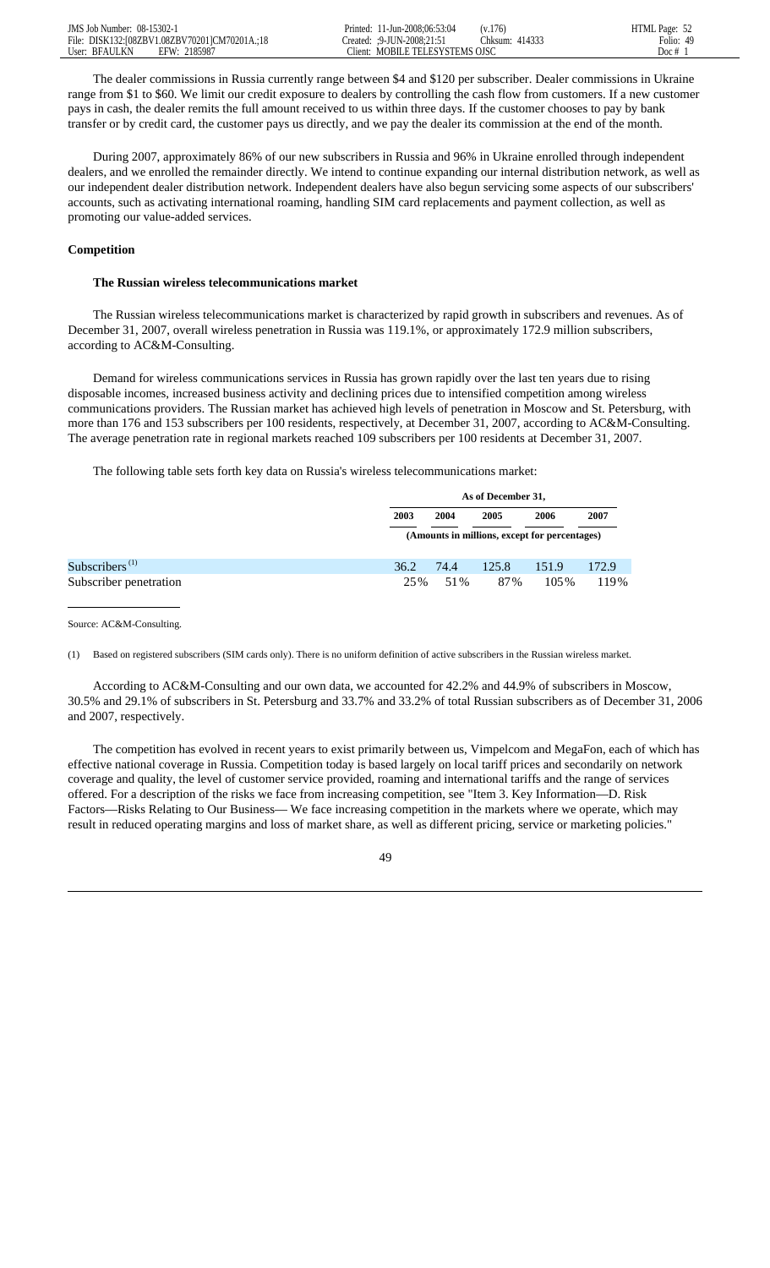The dealer commissions in Russia currently range between \$4 and \$120 per subscriber. Dealer commissions in Ukraine range from \$1 to \$60. We limit our credit exposure to dealers by controlling the cash flow from customers. If a new customer pays in cash, the dealer remits the full amount received to us within three days. If the customer chooses to pay by bank transfer or by credit card, the customer pays us directly, and we pay the dealer its commission at the end of the month.

 During 2007, approximately 86% of our new subscribers in Russia and 96% in Ukraine enrolled through independent dealers, and we enrolled the remainder directly. We intend to continue expanding our internal distribution network, as well as our independent dealer distribution network. Independent dealers have also begun servicing some aspects of our subscribers' accounts, such as activating international roaming, handling SIM card replacements and payment collection, as well as promoting our value-added services.

# **Competition**

#### **The Russian wireless telecommunications market**

 The Russian wireless telecommunications market is characterized by rapid growth in subscribers and revenues. As of December 31, 2007, overall wireless penetration in Russia was 119.1%, or approximately 172.9 million subscribers, according to AC&M-Consulting.

 Demand for wireless communications services in Russia has grown rapidly over the last ten years due to rising disposable incomes, increased business activity and declining prices due to intensified competition among wireless communications providers. The Russian market has achieved high levels of penetration in Moscow and St. Petersburg, with more than 176 and 153 subscribers per 100 residents, respectively, at December 31, 2007, according to AC&M-Consulting. The average penetration rate in regional markets reached 109 subscribers per 100 residents at December 31, 2007.

The following table sets forth key data on Russia's wireless telecommunications market:

|      | As of December 31,                            |       |       |       |  |  |
|------|-----------------------------------------------|-------|-------|-------|--|--|
| 2003 | 2004                                          | 2005  | 2006  | 2007  |  |  |
|      | (Amounts in millions, except for percentages) |       |       |       |  |  |
| 36.2 | 74.4                                          | 125.8 | 151.9 | 172.9 |  |  |
| 25%  | 51 %                                          | 87%   | 105%  | 119%  |  |  |

Source: AC&M-Consulting.

(1) Based on registered subscribers (SIM cards only). There is no uniform definition of active subscribers in the Russian wireless market.

 According to AC&M-Consulting and our own data, we accounted for 42.2% and 44.9% of subscribers in Moscow, 30.5% and 29.1% of subscribers in St. Petersburg and 33.7% and 33.2% of total Russian subscribers as of December 31, 2006 and 2007, respectively.

 The competition has evolved in recent years to exist primarily between us, Vimpelcom and MegaFon, each of which has effective national coverage in Russia. Competition today is based largely on local tariff prices and secondarily on network coverage and quality, the level of customer service provided, roaming and international tariffs and the range of services offered. For a description of the risks we face from increasing competition, see "Item 3. Key Information—D. Risk Factors—Risks Relating to Our Business— We face increasing competition in the markets where we operate, which may result in reduced operating margins and loss of market share, as well as different pricing, service or marketing policies."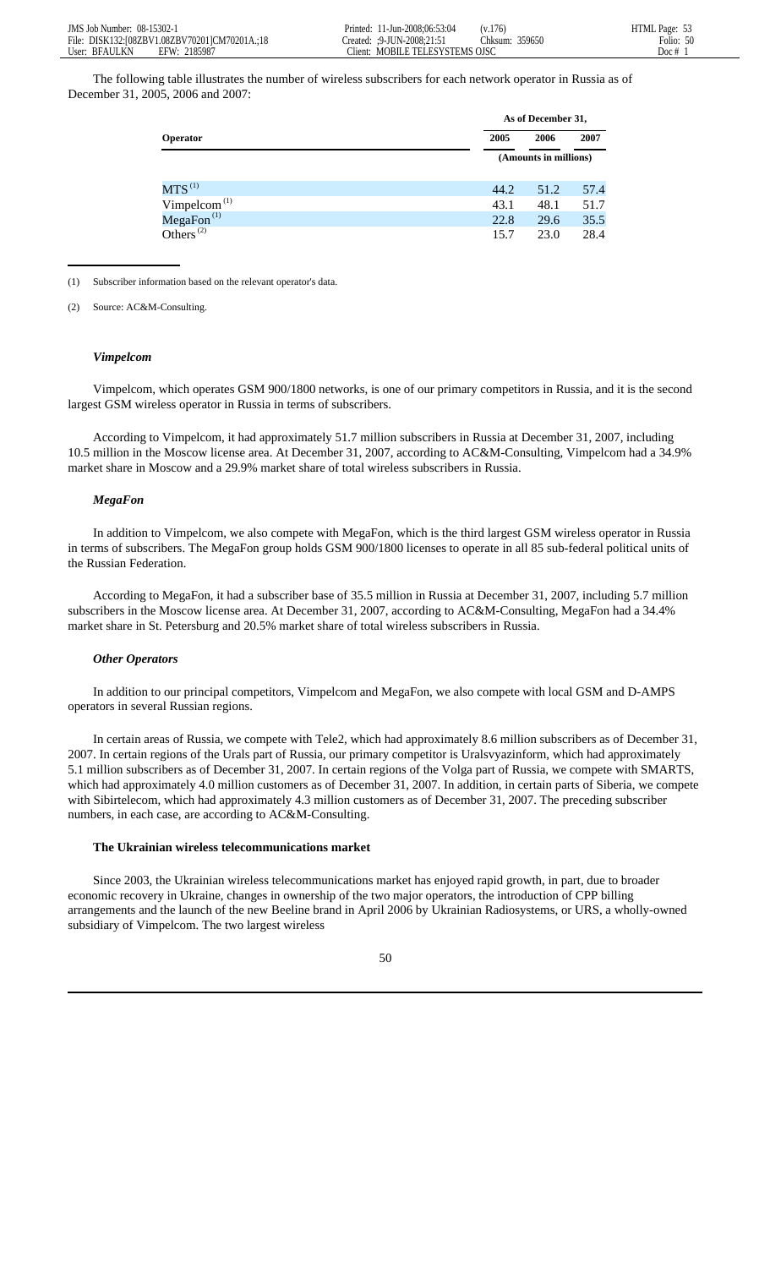The following table illustrates the number of wireless subscribers for each network operator in Russia as of December 31, 2005, 2006 and 2007:

|                                    |                       | As of December 31, |      |
|------------------------------------|-----------------------|--------------------|------|
| Operator                           | 2005                  | 2006               | 2007 |
|                                    | (Amounts in millions) |                    |      |
| $\mathrm{MTS}^{\,(1)}$             | 44.2                  | 51.2               | 57.4 |
| Vimpelcom $(1)$                    | 43.1                  | 48.1               | 51.7 |
| MegaFon $^{(1)}$                   | 22.8                  | 29.6               | 35.5 |
| Others <sup><math>(2)</math></sup> | 15.7                  | 23.0               | 28.4 |

(1) Subscriber information based on the relevant operator's data.

(2) Source: AC&M-Consulting.

### *Vimpelcom*

 Vimpelcom, which operates GSM 900/1800 networks, is one of our primary competitors in Russia, and it is the second largest GSM wireless operator in Russia in terms of subscribers.

 According to Vimpelcom, it had approximately 51.7 million subscribers in Russia at December 31, 2007, including 10.5 million in the Moscow license area. At December 31, 2007, according to AC&M-Consulting, Vimpelcom had a 34.9% market share in Moscow and a 29.9% market share of total wireless subscribers in Russia.

#### *MegaFon*

 In addition to Vimpelcom, we also compete with MegaFon, which is the third largest GSM wireless operator in Russia in terms of subscribers. The MegaFon group holds GSM 900/1800 licenses to operate in all 85 sub-federal political units of the Russian Federation.

 According to MegaFon, it had a subscriber base of 35.5 million in Russia at December 31, 2007, including 5.7 million subscribers in the Moscow license area. At December 31, 2007, according to AC&M-Consulting, MegaFon had a 34.4% market share in St. Petersburg and 20.5% market share of total wireless subscribers in Russia.

#### *Other Operators*

 In addition to our principal competitors, Vimpelcom and MegaFon, we also compete with local GSM and D-AMPS operators in several Russian regions.

 In certain areas of Russia, we compete with Tele2, which had approximately 8.6 million subscribers as of December 31, 2007. In certain regions of the Urals part of Russia, our primary competitor is Uralsvyazinform, which had approximately 5.1 million subscribers as of December 31, 2007. In certain regions of the Volga part of Russia, we compete with SMARTS, which had approximately 4.0 million customers as of December 31, 2007. In addition, in certain parts of Siberia, we compete with Sibirtelecom, which had approximately 4.3 million customers as of December 31, 2007. The preceding subscriber numbers, in each case, are according to AC&M-Consulting.

### **The Ukrainian wireless telecommunications market**

 Since 2003, the Ukrainian wireless telecommunications market has enjoyed rapid growth, in part, due to broader economic recovery in Ukraine, changes in ownership of the two major operators, the introduction of CPP billing arrangements and the launch of the new Beeline brand in April 2006 by Ukrainian Radiosystems, or URS, a wholly-owned subsidiary of Vimpelcom. The two largest wireless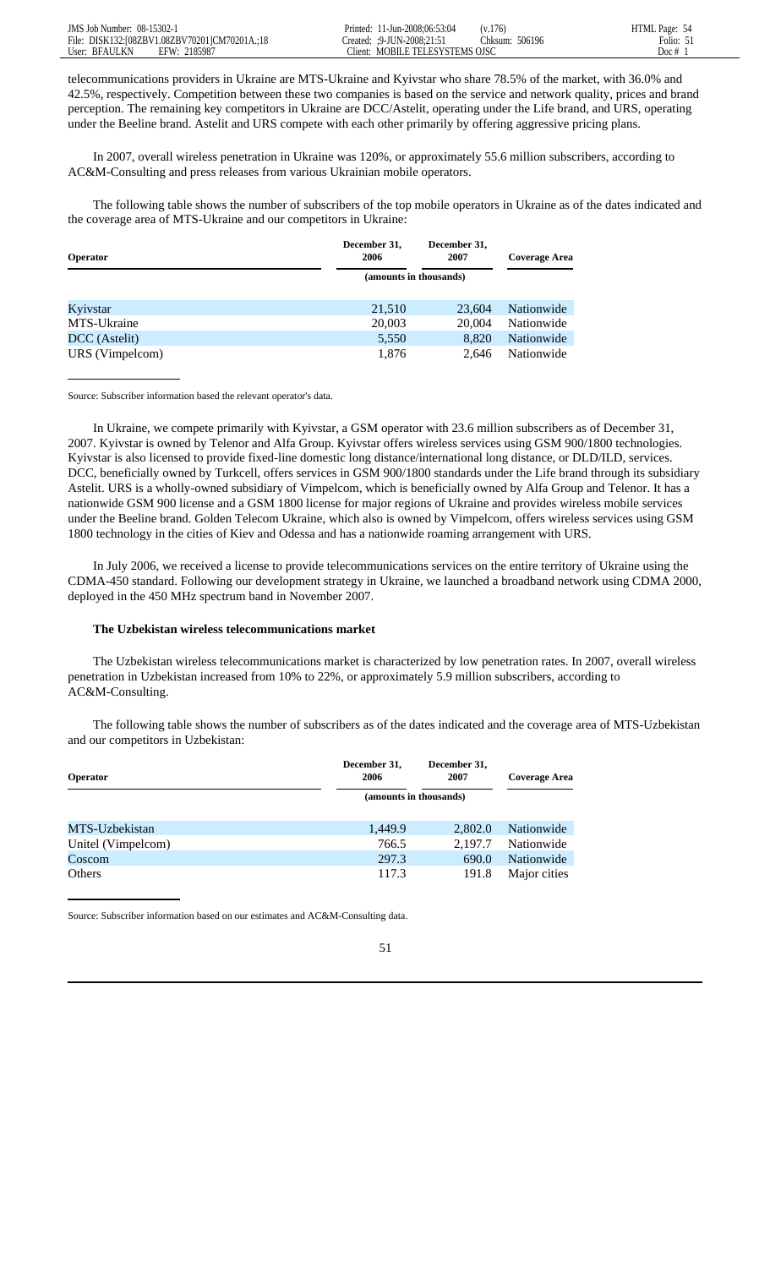telecommunications providers in Ukraine are MTS-Ukraine and Kyivstar who share 78.5% of the market, with 36.0% and 42.5%, respectively. Competition between these two companies is based on the service and network quality, prices and brand perception. The remaining key competitors in Ukraine are DCC/Astelit, operating under the Life brand, and URS, operating under the Beeline brand. Astelit and URS compete with each other primarily by offering aggressive pricing plans.

 In 2007, overall wireless penetration in Ukraine was 120%, or approximately 55.6 million subscribers, according to AC&M-Consulting and press releases from various Ukrainian mobile operators.

 The following table shows the number of subscribers of the top mobile operators in Ukraine as of the dates indicated and the coverage area of MTS-Ukraine and our competitors in Ukraine:

| <b>Operator</b> | December 31,<br>2006   | December 31,<br>2007 | <b>Coverage Area</b> |
|-----------------|------------------------|----------------------|----------------------|
|                 | (amounts in thousands) |                      |                      |
| Kyivstar        | 21,510                 | 23,604               | Nationwide           |
| MTS-Ukraine     | 20,003                 | 20,004               | Nationwide           |
| DCC (Astelit)   | 5,550                  | 8.820                | Nationwide           |
| URS (Vimpelcom) | 1,876                  | 2.646                | Nationwide           |

#### Source: Subscriber information based the relevant operator's data.

 In Ukraine, we compete primarily with Kyivstar, a GSM operator with 23.6 million subscribers as of December 31, 2007. Kyivstar is owned by Telenor and Alfa Group. Kyivstar offers wireless services using GSM 900/1800 technologies. Kyivstar is also licensed to provide fixed-line domestic long distance/international long distance, or DLD/ILD, services. DCC, beneficially owned by Turkcell, offers services in GSM 900/1800 standards under the Life brand through its subsidiary Astelit. URS is a wholly-owned subsidiary of Vimpelcom, which is beneficially owned by Alfa Group and Telenor. It has a nationwide GSM 900 license and a GSM 1800 license for major regions of Ukraine and provides wireless mobile services under the Beeline brand. Golden Telecom Ukraine, which also is owned by Vimpelcom, offers wireless services using GSM 1800 technology in the cities of Kiev and Odessa and has a nationwide roaming arrangement with URS.

 In July 2006, we received a license to provide telecommunications services on the entire territory of Ukraine using the CDMA-450 standard. Following our development strategy in Ukraine, we launched a broadband network using CDMA 2000, deployed in the 450 MHz spectrum band in November 2007.

### **The Uzbekistan wireless telecommunications market**

 The Uzbekistan wireless telecommunications market is characterized by low penetration rates. In 2007, overall wireless penetration in Uzbekistan increased from 10% to 22%, or approximately 5.9 million subscribers, according to AC&M-Consulting.

 The following table shows the number of subscribers as of the dates indicated and the coverage area of MTS-Uzbekistan and our competitors in Uzbekistan:

| <b>Operator</b>    | December 31,<br>2006   | December 31,<br>2007 | <b>Coverage Area</b> |
|--------------------|------------------------|----------------------|----------------------|
|                    | (amounts in thousands) |                      |                      |
| MTS-Uzbekistan     | 1.449.9                | 2.802.0              | Nationwide           |
| Unitel (Vimpelcom) | 766.5                  | 2,197.7              | Nationwide           |
| Coscom             | 297.3                  | 690.0                | Nationwide           |
| Others             | 117.3                  | 191.8                | Major cities         |

Source: Subscriber information based on our estimates and AC&M-Consulting data.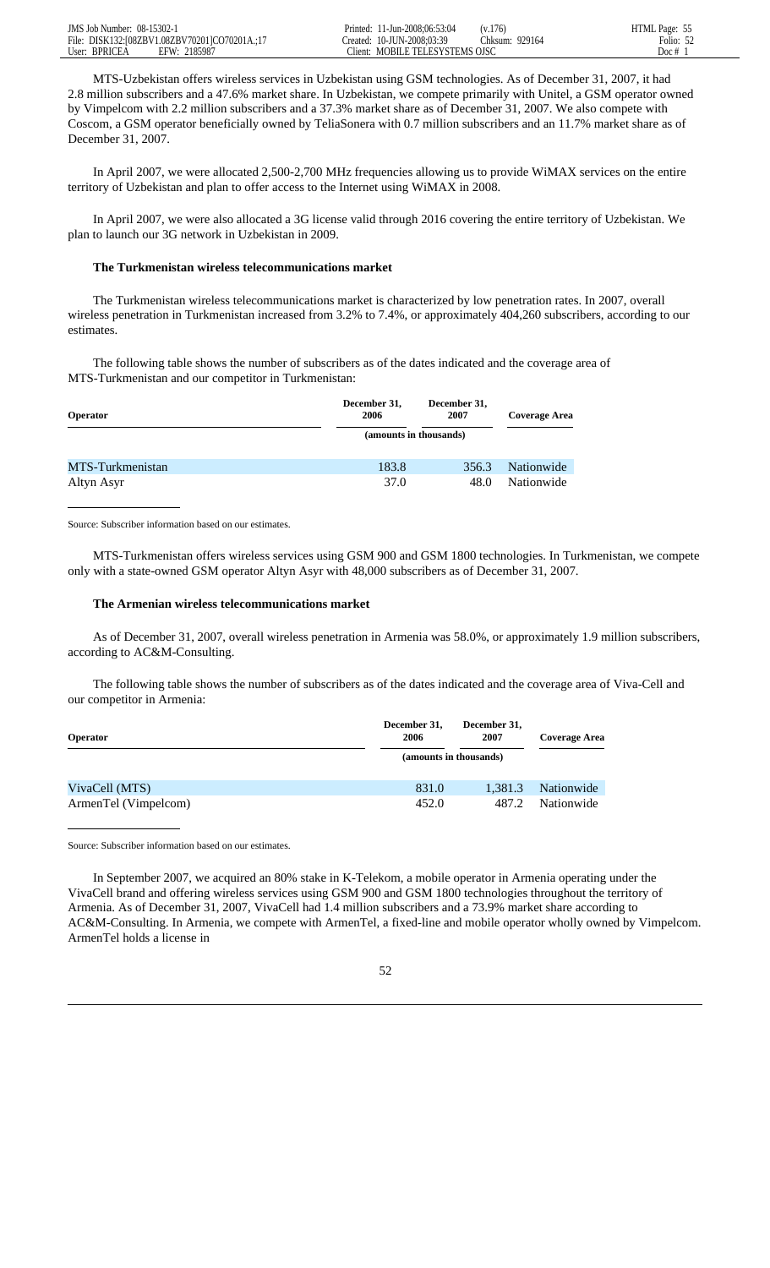MTS-Uzbekistan offers wireless services in Uzbekistan using GSM technologies. As of December 31, 2007, it had 2.8 million subscribers and a 47.6% market share. In Uzbekistan, we compete primarily with Unitel, a GSM operator owned by Vimpelcom with 2.2 million subscribers and a 37.3% market share as of December 31, 2007. We also compete with Coscom, a GSM operator beneficially owned by TeliaSonera with 0.7 million subscribers and an 11.7% market share as of December 31, 2007.

 In April 2007, we were allocated 2,500-2,700 MHz frequencies allowing us to provide WiMAX services on the entire territory of Uzbekistan and plan to offer access to the Internet using WiMAX in 2008.

 In April 2007, we were also allocated a 3G license valid through 2016 covering the entire territory of Uzbekistan. We plan to launch our 3G network in Uzbekistan in 2009.

### **The Turkmenistan wireless telecommunications market**

 The Turkmenistan wireless telecommunications market is characterized by low penetration rates. In 2007, overall wireless penetration in Turkmenistan increased from 3.2% to 7.4%, or approximately 404,260 subscribers, according to our estimates.

 The following table shows the number of subscribers as of the dates indicated and the coverage area of MTS-Turkmenistan and our competitor in Turkmenistan:

| <b>Operator</b>  | December 31,<br>2006   | December 31,<br>2007 | Coverage Area |  |
|------------------|------------------------|----------------------|---------------|--|
|                  | (amounts in thousands) |                      |               |  |
| MTS-Turkmenistan | 183.8                  | 356.3                | Nationwide    |  |
| Altyn Asyr       | 37.0                   | 48.0                 | Nationwide    |  |

Source: Subscriber information based on our estimates.

 MTS-Turkmenistan offers wireless services using GSM 900 and GSM 1800 technologies. In Turkmenistan, we compete only with a state-owned GSM operator Altyn Asyr with 48,000 subscribers as of December 31, 2007.

#### **The Armenian wireless telecommunications market**

 As of December 31, 2007, overall wireless penetration in Armenia was 58.0%, or approximately 1.9 million subscribers, according to AC&M-Consulting.

 The following table shows the number of subscribers as of the dates indicated and the coverage area of Viva-Cell and our competitor in Armenia:

| <b>Operator</b>      | December 31,<br>2006   | December 31,<br>2007 | Coverage Area |
|----------------------|------------------------|----------------------|---------------|
|                      | (amounts in thousands) |                      |               |
| VivaCell (MTS)       | 831.0                  | 1,381.3              | Nationwide    |
| ArmenTel (Vimpelcom) | 452.0                  | 487.2                | Nationwide    |

Source: Subscriber information based on our estimates.

 In September 2007, we acquired an 80% stake in K-Telekom, a mobile operator in Armenia operating under the VivaCell brand and offering wireless services using GSM 900 and GSM 1800 technologies throughout the territory of Armenia. As of December 31, 2007, VivaCell had 1.4 million subscribers and a 73.9% market share according to AC&M-Consulting. In Armenia, we compete with ArmenTel, a fixed-line and mobile operator wholly owned by Vimpelcom. ArmenTel holds a license in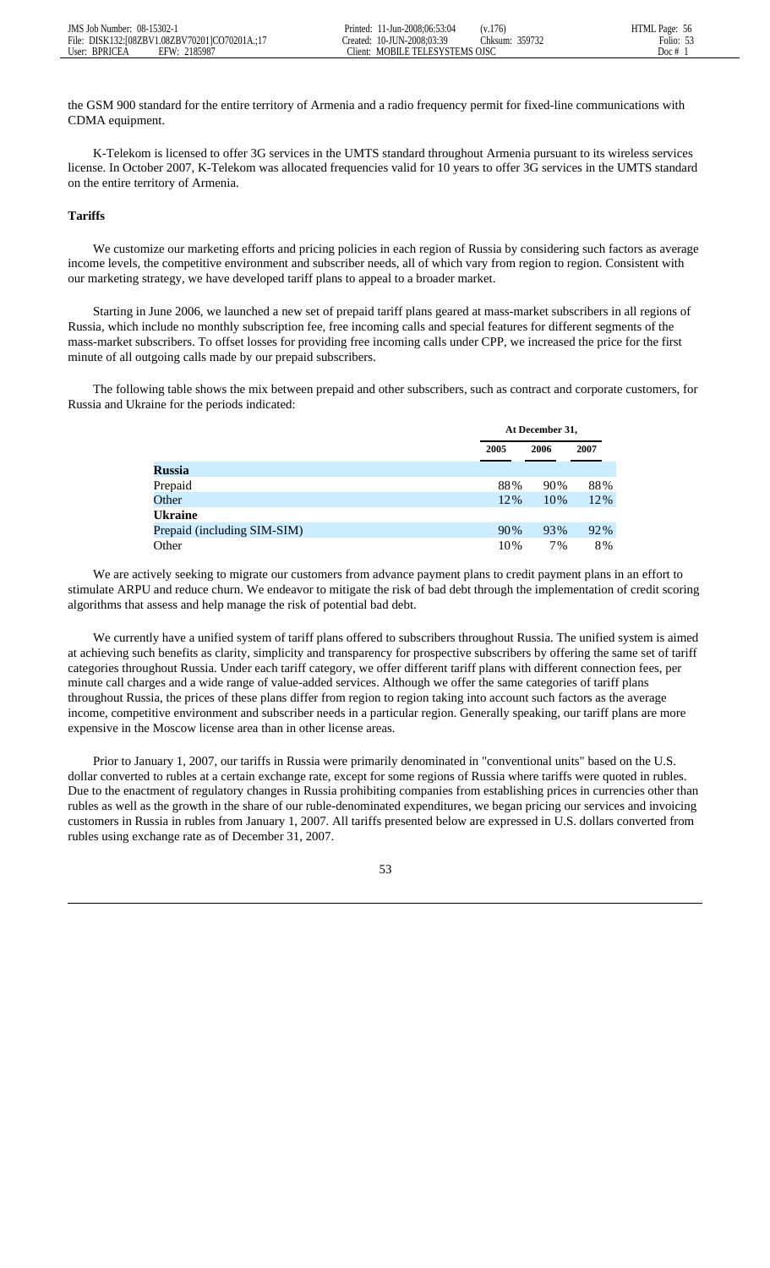the GSM 900 standard for the entire territory of Armenia and a radio frequency permit for fixed-line communications with CDMA equipment.

 K-Telekom is licensed to offer 3G services in the UMTS standard throughout Armenia pursuant to its wireless services license. In October 2007, K-Telekom was allocated frequencies valid for 10 years to offer 3G services in the UMTS standard on the entire territory of Armenia.

# **Tariffs**

 We customize our marketing efforts and pricing policies in each region of Russia by considering such factors as average income levels, the competitive environment and subscriber needs, all of which vary from region to region. Consistent with our marketing strategy, we have developed tariff plans to appeal to a broader market.

 Starting in June 2006, we launched a new set of prepaid tariff plans geared at mass-market subscribers in all regions of Russia, which include no monthly subscription fee, free incoming calls and special features for different segments of the mass-market subscribers. To offset losses for providing free incoming calls under CPP, we increased the price for the first minute of all outgoing calls made by our prepaid subscribers.

 The following table shows the mix between prepaid and other subscribers, such as contract and corporate customers, for Russia and Ukraine for the periods indicated:

|                             | At December 31, |      |      |
|-----------------------------|-----------------|------|------|
|                             | 2005            | 2006 | 2007 |
| <b>Russia</b>               |                 |      |      |
| Prepaid                     | 88%             | 90%  | 88%  |
| Other                       | 12%             | 10%  | 12%  |
| <b>Ukraine</b>              |                 |      |      |
| Prepaid (including SIM-SIM) | 90%             | 93%  | 92%  |
| Other                       | 10%             | 7%   | 8%   |

 We are actively seeking to migrate our customers from advance payment plans to credit payment plans in an effort to stimulate ARPU and reduce churn. We endeavor to mitigate the risk of bad debt through the implementation of credit scoring algorithms that assess and help manage the risk of potential bad debt.

 We currently have a unified system of tariff plans offered to subscribers throughout Russia. The unified system is aimed at achieving such benefits as clarity, simplicity and transparency for prospective subscribers by offering the same set of tariff categories throughout Russia. Under each tariff category, we offer different tariff plans with different connection fees, per minute call charges and a wide range of value-added services. Although we offer the same categories of tariff plans throughout Russia, the prices of these plans differ from region to region taking into account such factors as the average income, competitive environment and subscriber needs in a particular region. Generally speaking, our tariff plans are more expensive in the Moscow license area than in other license areas.

 Prior to January 1, 2007, our tariffs in Russia were primarily denominated in "conventional units" based on the U.S. dollar converted to rubles at a certain exchange rate, except for some regions of Russia where tariffs were quoted in rubles. Due to the enactment of regulatory changes in Russia prohibiting companies from establishing prices in currencies other than rubles as well as the growth in the share of our ruble-denominated expenditures, we began pricing our services and invoicing customers in Russia in rubles from January 1, 2007. All tariffs presented below are expressed in U.S. dollars converted from rubles using exchange rate as of December 31, 2007.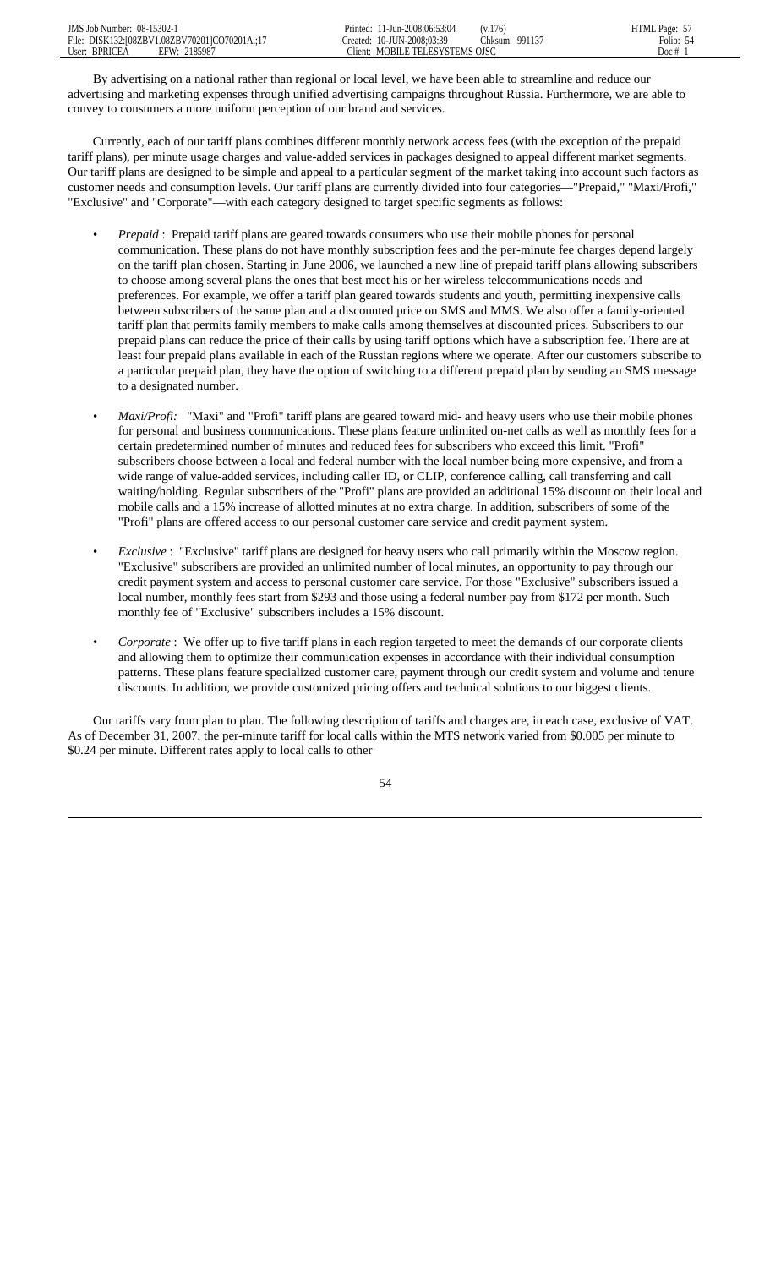By advertising on a national rather than regional or local level, we have been able to streamline and reduce our advertising and marketing expenses through unified advertising campaigns throughout Russia. Furthermore, we are able to convey to consumers a more uniform perception of our brand and services.

 Currently, each of our tariff plans combines different monthly network access fees (with the exception of the prepaid tariff plans), per minute usage charges and value-added services in packages designed to appeal different market segments. Our tariff plans are designed to be simple and appeal to a particular segment of the market taking into account such factors as customer needs and consumption levels. Our tariff plans are currently divided into four categories—"Prepaid," "Maxi/Profi," "Exclusive" and "Corporate"—with each category designed to target specific segments as follows:

- *Prepaid* : Prepaid tariff plans are geared towards consumers who use their mobile phones for personal communication. These plans do not have monthly subscription fees and the per-minute fee charges depend largely on the tariff plan chosen. Starting in June 2006, we launched a new line of prepaid tariff plans allowing subscribers to choose among several plans the ones that best meet his or her wireless telecommunications needs and preferences. For example, we offer a tariff plan geared towards students and youth, permitting inexpensive calls between subscribers of the same plan and a discounted price on SMS and MMS. We also offer a family-oriented tariff plan that permits family members to make calls among themselves at discounted prices. Subscribers to our prepaid plans can reduce the price of their calls by using tariff options which have a subscription fee. There are at least four prepaid plans available in each of the Russian regions where we operate. After our customers subscribe to a particular prepaid plan, they have the option of switching to a different prepaid plan by sending an SMS message to a designated number.
- *Maxi/Profi:* "Maxi" and "Profi" tariff plans are geared toward mid- and heavy users who use their mobile phones for personal and business communications. These plans feature unlimited on-net calls as well as monthly fees for a certain predetermined number of minutes and reduced fees for subscribers who exceed this limit. "Profi" subscribers choose between a local and federal number with the local number being more expensive, and from a wide range of value-added services, including caller ID, or CLIP, conference calling, call transferring and call waiting/holding. Regular subscribers of the "Profi" plans are provided an additional 15% discount on their local and mobile calls and a 15% increase of allotted minutes at no extra charge. In addition, subscribers of some of the "Profi" plans are offered access to our personal customer care service and credit payment system.
- *Exclusive* : "Exclusive" tariff plans are designed for heavy users who call primarily within the Moscow region. "Exclusive" subscribers are provided an unlimited number of local minutes, an opportunity to pay through our credit payment system and access to personal customer care service. For those "Exclusive" subscribers issued a local number, monthly fees start from \$293 and those using a federal number pay from \$172 per month. Such monthly fee of "Exclusive" subscribers includes a 15% discount.
- *Corporate* : We offer up to five tariff plans in each region targeted to meet the demands of our corporate clients and allowing them to optimize their communication expenses in accordance with their individual consumption patterns. These plans feature specialized customer care, payment through our credit system and volume and tenure discounts. In addition, we provide customized pricing offers and technical solutions to our biggest clients.

 Our tariffs vary from plan to plan. The following description of tariffs and charges are, in each case, exclusive of VAT. As of December 31, 2007, the per-minute tariff for local calls within the MTS network varied from \$0.005 per minute to \$0.24 per minute. Different rates apply to local calls to other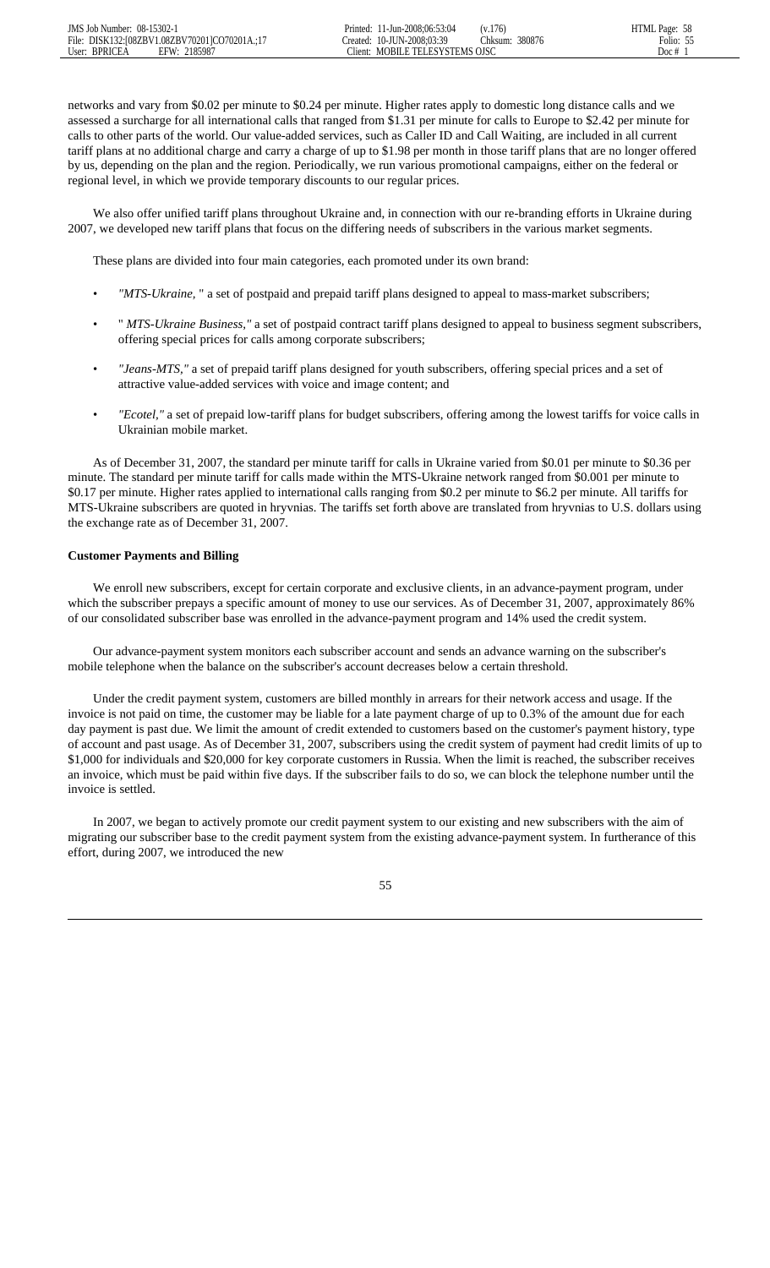networks and vary from \$0.02 per minute to \$0.24 per minute. Higher rates apply to domestic long distance calls and we assessed a surcharge for all international calls that ranged from \$1.31 per minute for calls to Europe to \$2.42 per minute for calls to other parts of the world. Our value-added services, such as Caller ID and Call Waiting, are included in all current tariff plans at no additional charge and carry a charge of up to \$1.98 per month in those tariff plans that are no longer offered by us, depending on the plan and the region. Periodically, we run various promotional campaigns, either on the federal or regional level, in which we provide temporary discounts to our regular prices.

 We also offer unified tariff plans throughout Ukraine and, in connection with our re-branding efforts in Ukraine during 2007, we developed new tariff plans that focus on the differing needs of subscribers in the various market segments.

These plans are divided into four main categories, each promoted under its own brand:

- *"MTS-Ukraine,* " a set of postpaid and prepaid tariff plans designed to appeal to mass-market subscribers;
- " *MTS-Ukraine Business,"* a set of postpaid contract tariff plans designed to appeal to business segment subscribers, offering special prices for calls among corporate subscribers;
- *"Jeans-MTS,"* a set of prepaid tariff plans designed for youth subscribers, offering special prices and a set of attractive value-added services with voice and image content; and
- *"Ecotel,"* a set of prepaid low-tariff plans for budget subscribers, offering among the lowest tariffs for voice calls in Ukrainian mobile market.

 As of December 31, 2007, the standard per minute tariff for calls in Ukraine varied from \$0.01 per minute to \$0.36 per minute. The standard per minute tariff for calls made within the MTS-Ukraine network ranged from \$0.001 per minute to \$0.17 per minute. Higher rates applied to international calls ranging from \$0.2 per minute to \$6.2 per minute. All tariffs for MTS-Ukraine subscribers are quoted in hryvnias. The tariffs set forth above are translated from hryvnias to U.S. dollars using the exchange rate as of December 31, 2007.

#### **Customer Payments and Billing**

 We enroll new subscribers, except for certain corporate and exclusive clients, in an advance-payment program, under which the subscriber prepays a specific amount of money to use our services. As of December 31, 2007, approximately 86% of our consolidated subscriber base was enrolled in the advance-payment program and 14% used the credit system.

 Our advance-payment system monitors each subscriber account and sends an advance warning on the subscriber's mobile telephone when the balance on the subscriber's account decreases below a certain threshold.

 Under the credit payment system, customers are billed monthly in arrears for their network access and usage. If the invoice is not paid on time, the customer may be liable for a late payment charge of up to 0.3% of the amount due for each day payment is past due. We limit the amount of credit extended to customers based on the customer's payment history, type of account and past usage. As of December 31, 2007, subscribers using the credit system of payment had credit limits of up to \$1,000 for individuals and \$20,000 for key corporate customers in Russia. When the limit is reached, the subscriber receives an invoice, which must be paid within five days. If the subscriber fails to do so, we can block the telephone number until the invoice is settled.

 In 2007, we began to actively promote our credit payment system to our existing and new subscribers with the aim of migrating our subscriber base to the credit payment system from the existing advance-payment system. In furtherance of this effort, during 2007, we introduced the new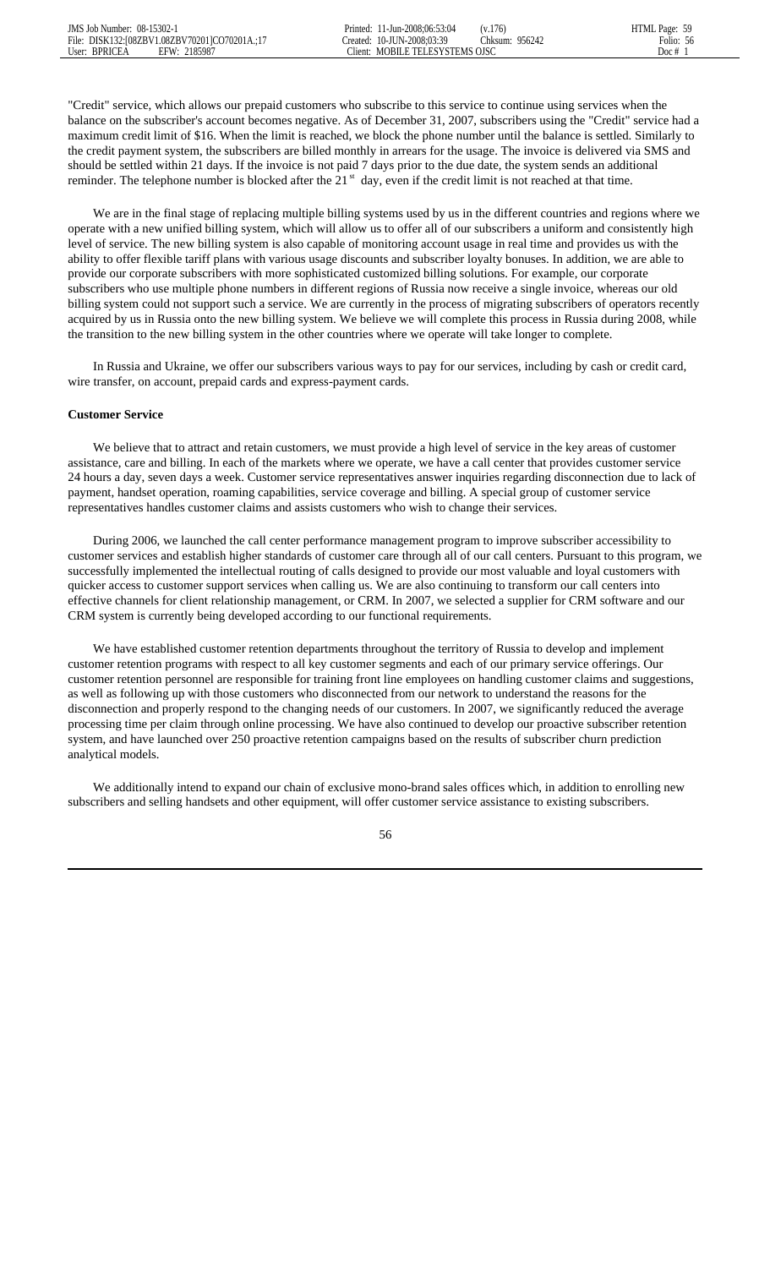"Credit" service, which allows our prepaid customers who subscribe to this service to continue using services when the balance on the subscriber's account becomes negative. As of December 31, 2007, subscribers using the "Credit" service had a maximum credit limit of \$16. When the limit is reached, we block the phone number until the balance is settled. Similarly to the credit payment system, the subscribers are billed monthly in arrears for the usage. The invoice is delivered via SMS and should be settled within 21 days. If the invoice is not paid 7 days prior to the due date, the system sends an additional reminder. The telephone number is blocked after the 21 $<sup>st</sup>$  day, even if the credit limit is not reached at that time.</sup>

 We are in the final stage of replacing multiple billing systems used by us in the different countries and regions where we operate with a new unified billing system, which will allow us to offer all of our subscribers a uniform and consistently high level of service. The new billing system is also capable of monitoring account usage in real time and provides us with the ability to offer flexible tariff plans with various usage discounts and subscriber loyalty bonuses. In addition, we are able to provide our corporate subscribers with more sophisticated customized billing solutions. For example, our corporate subscribers who use multiple phone numbers in different regions of Russia now receive a single invoice, whereas our old billing system could not support such a service. We are currently in the process of migrating subscribers of operators recently acquired by us in Russia onto the new billing system. We believe we will complete this process in Russia during 2008, while the transition to the new billing system in the other countries where we operate will take longer to complete.

 In Russia and Ukraine, we offer our subscribers various ways to pay for our services, including by cash or credit card, wire transfer, on account, prepaid cards and express-payment cards.

### **Customer Service**

 We believe that to attract and retain customers, we must provide a high level of service in the key areas of customer assistance, care and billing. In each of the markets where we operate, we have a call center that provides customer service 24 hours a day, seven days a week. Customer service representatives answer inquiries regarding disconnection due to lack of payment, handset operation, roaming capabilities, service coverage and billing. A special group of customer service representatives handles customer claims and assists customers who wish to change their services.

 During 2006, we launched the call center performance management program to improve subscriber accessibility to customer services and establish higher standards of customer care through all of our call centers. Pursuant to this program, we successfully implemented the intellectual routing of calls designed to provide our most valuable and loyal customers with quicker access to customer support services when calling us. We are also continuing to transform our call centers into effective channels for client relationship management, or CRM. In 2007, we selected a supplier for CRM software and our CRM system is currently being developed according to our functional requirements.

 We have established customer retention departments throughout the territory of Russia to develop and implement customer retention programs with respect to all key customer segments and each of our primary service offerings. Our customer retention personnel are responsible for training front line employees on handling customer claims and suggestions, as well as following up with those customers who disconnected from our network to understand the reasons for the disconnection and properly respond to the changing needs of our customers. In 2007, we significantly reduced the average processing time per claim through online processing. We have also continued to develop our proactive subscriber retention system, and have launched over 250 proactive retention campaigns based on the results of subscriber churn prediction analytical models.

 We additionally intend to expand our chain of exclusive mono-brand sales offices which, in addition to enrolling new subscribers and selling handsets and other equipment, will offer customer service assistance to existing subscribers.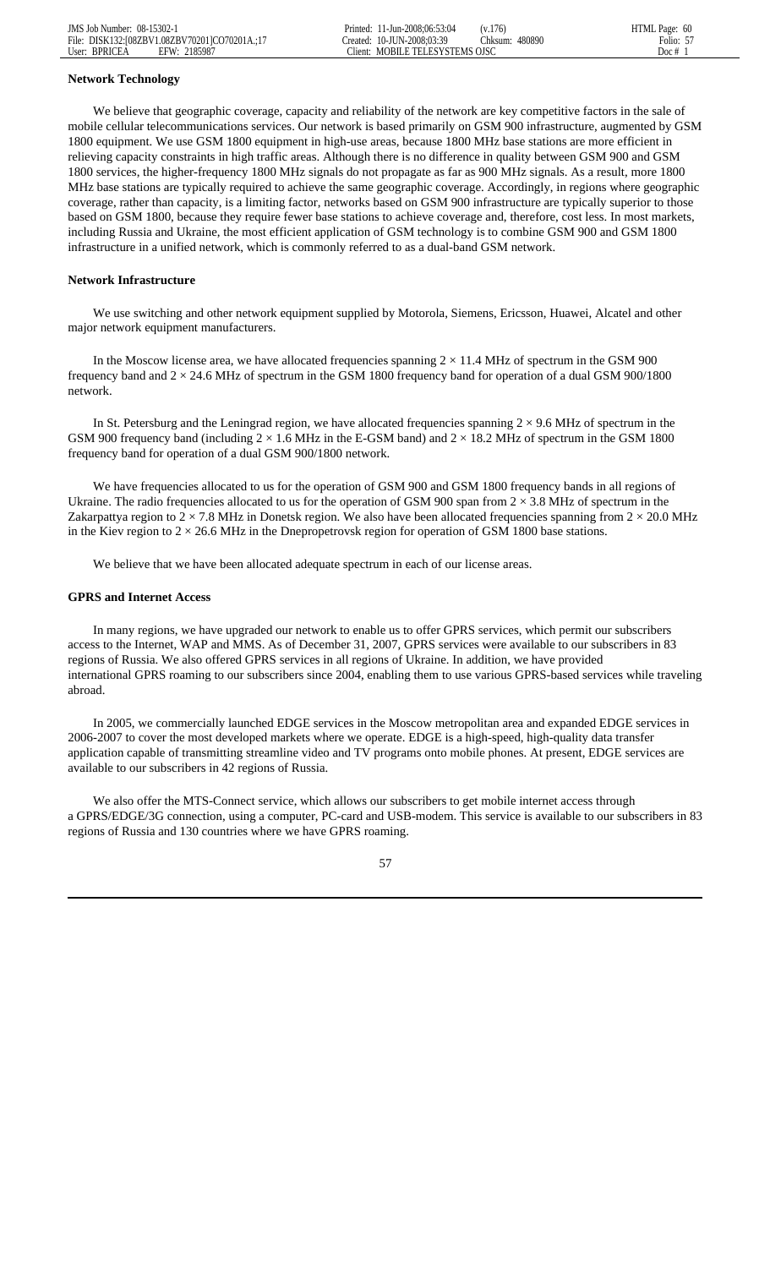# **Network Technology**

We believe that geographic coverage, capacity and reliability of the network are key competitive factors in the sale of mobile cellular telecommunications services. Our network is based primarily on GSM 900 infrastructure, augmented by GSM 1800 equipment. We use GSM 1800 equipment in high-use areas, because 1800 MHz base stations are more efficient in relieving capacity constraints in high traffic areas. Although there is no difference in quality between GSM 900 and GSM 1800 services, the higher-frequency 1800 MHz signals do not propagate as far as 900 MHz signals. As a result, more 1800 MHz base stations are typically required to achieve the same geographic coverage. Accordingly, in regions where geographic coverage, rather than capacity, is a limiting factor, networks based on GSM 900 infrastructure are typically superior to those based on GSM 1800, because they require fewer base stations to achieve coverage and, therefore, cost less. In most markets, including Russia and Ukraine, the most efficient application of GSM technology is to combine GSM 900 and GSM 1800 infrastructure in a unified network, which is commonly referred to as a dual-band GSM network.

### **Network Infrastructure**

 We use switching and other network equipment supplied by Motorola, Siemens, Ericsson, Huawei, Alcatel and other major network equipment manufacturers.

In the Moscow license area, we have allocated frequencies spanning  $2 \times 11.4$  MHz of spectrum in the GSM 900 frequency band and 2 × 24.6 MHz of spectrum in the GSM 1800 frequency band for operation of a dual GSM 900/1800 network.

In St. Petersburg and the Leningrad region, we have allocated frequencies spanning  $2 \times 9.6$  MHz of spectrum in the GSM 900 frequency band (including  $2 \times 1.6$  MHz in the E-GSM band) and  $2 \times 18.2$  MHz of spectrum in the GSM 1800 frequency band for operation of a dual GSM 900/1800 network.

 We have frequencies allocated to us for the operation of GSM 900 and GSM 1800 frequency bands in all regions of Ukraine. The radio frequencies allocated to us for the operation of GSM 900 span from  $2 \times 3.8$  MHz of spectrum in the Zakarpattya region to  $2 \times 7.8$  MHz in Donetsk region. We also have been allocated frequencies spanning from  $2 \times 20.0$  MHz in the Kiev region to  $2 \times 26.6$  MHz in the Dnepropetrovsk region for operation of GSM 1800 base stations.

We believe that we have been allocated adequate spectrum in each of our license areas.

# **GPRS and Internet Access**

 In many regions, we have upgraded our network to enable us to offer GPRS services, which permit our subscribers access to the Internet, WAP and MMS. As of December 31, 2007, GPRS services were available to our subscribers in 83 regions of Russia. We also offered GPRS services in all regions of Ukraine. In addition, we have provided international GPRS roaming to our subscribers since 2004, enabling them to use various GPRS-based services while traveling abroad.

 In 2005, we commercially launched EDGE services in the Moscow metropolitan area and expanded EDGE services in 2006-2007 to cover the most developed markets where we operate. EDGE is a high-speed, high-quality data transfer application capable of transmitting streamline video and TV programs onto mobile phones. At present, EDGE services are available to our subscribers in 42 regions of Russia.

 We also offer the MTS-Connect service, which allows our subscribers to get mobile internet access through a GPRS/EDGE/3G connection, using a computer, PC-card and USB-modem. This service is available to our subscribers in 83 regions of Russia and 130 countries where we have GPRS roaming.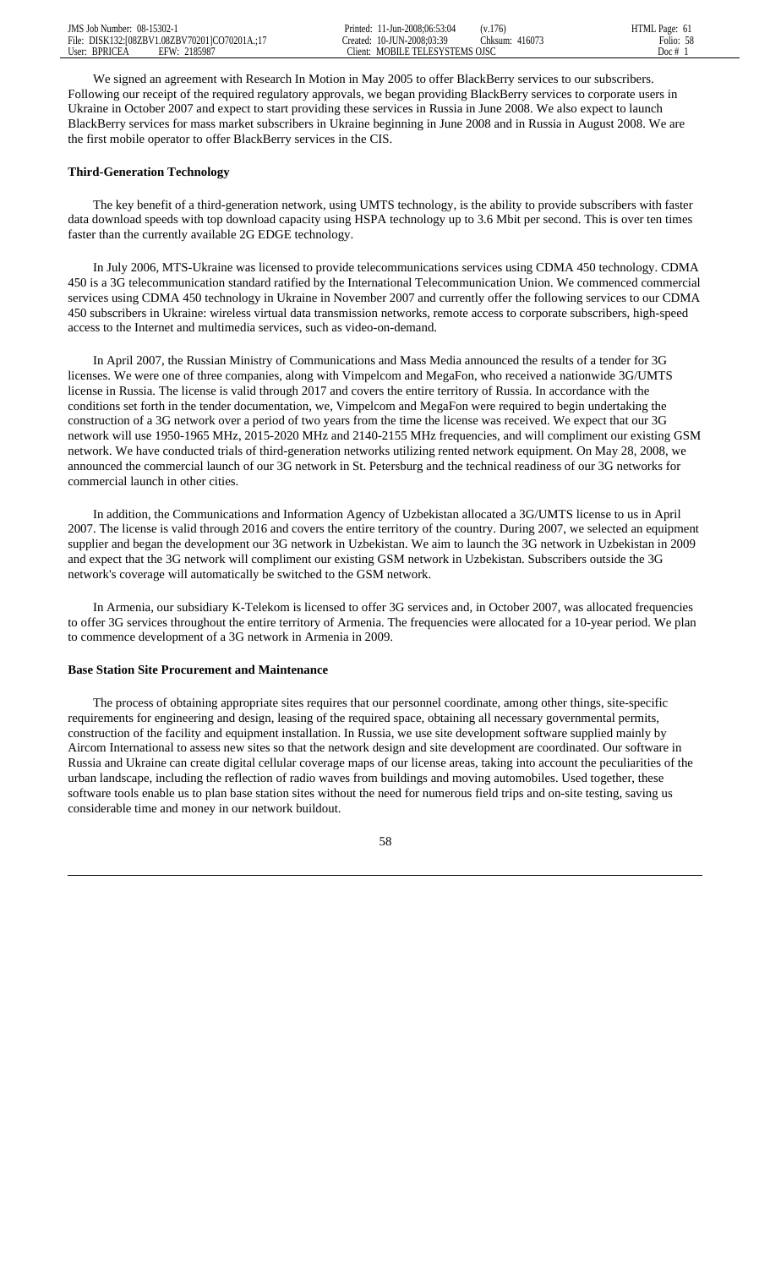We signed an agreement with Research In Motion in May 2005 to offer BlackBerry services to our subscribers. Following our receipt of the required regulatory approvals, we began providing BlackBerry services to corporate users in Ukraine in October 2007 and expect to start providing these services in Russia in June 2008. We also expect to launch BlackBerry services for mass market subscribers in Ukraine beginning in June 2008 and in Russia in August 2008. We are the first mobile operator to offer BlackBerry services in the CIS.

# **Third-Generation Technology**

 The key benefit of a third-generation network, using UMTS technology, is the ability to provide subscribers with faster data download speeds with top download capacity using HSPA technology up to 3.6 Mbit per second. This is over ten times faster than the currently available 2G EDGE technology.

 In July 2006, MTS-Ukraine was licensed to provide telecommunications services using CDMA 450 technology. CDMA 450 is a 3G telecommunication standard ratified by the International Telecommunication Union. We commenced commercial services using CDMA 450 technology in Ukraine in November 2007 and currently offer the following services to our CDMA 450 subscribers in Ukraine: wireless virtual data transmission networks, remote access to corporate subscribers, high-speed access to the Internet and multimedia services, such as video-on-demand.

 In April 2007, the Russian Ministry of Communications and Mass Media announced the results of a tender for 3G licenses. We were one of three companies, along with Vimpelcom and MegaFon, who received a nationwide 3G/UMTS license in Russia. The license is valid through 2017 and covers the entire territory of Russia. In accordance with the conditions set forth in the tender documentation, we, Vimpelcom and MegaFon were required to begin undertaking the construction of a 3G network over a period of two years from the time the license was received. We expect that our 3G network will use 1950-1965 MHz, 2015-2020 MHz and 2140-2155 MHz frequencies, and will compliment our existing GSM network. We have conducted trials of third-generation networks utilizing rented network equipment. On May 28, 2008, we announced the commercial launch of our 3G network in St. Petersburg and the technical readiness of our 3G networks for commercial launch in other cities.

 In addition, the Communications and Information Agency of Uzbekistan allocated a 3G/UMTS license to us in April 2007. The license is valid through 2016 and covers the entire territory of the country. During 2007, we selected an equipment supplier and began the development our 3G network in Uzbekistan. We aim to launch the 3G network in Uzbekistan in 2009 and expect that the 3G network will compliment our existing GSM network in Uzbekistan. Subscribers outside the 3G network's coverage will automatically be switched to the GSM network.

 In Armenia, our subsidiary K-Telekom is licensed to offer 3G services and, in October 2007, was allocated frequencies to offer 3G services throughout the entire territory of Armenia. The frequencies were allocated for a 10-year period. We plan to commence development of a 3G network in Armenia in 2009.

# **Base Station Site Procurement and Maintenance**

 The process of obtaining appropriate sites requires that our personnel coordinate, among other things, site-specific requirements for engineering and design, leasing of the required space, obtaining all necessary governmental permits, construction of the facility and equipment installation. In Russia, we use site development software supplied mainly by Aircom International to assess new sites so that the network design and site development are coordinated. Our software in Russia and Ukraine can create digital cellular coverage maps of our license areas, taking into account the peculiarities of the urban landscape, including the reflection of radio waves from buildings and moving automobiles. Used together, these software tools enable us to plan base station sites without the need for numerous field trips and on-site testing, saving us considerable time and money in our network buildout.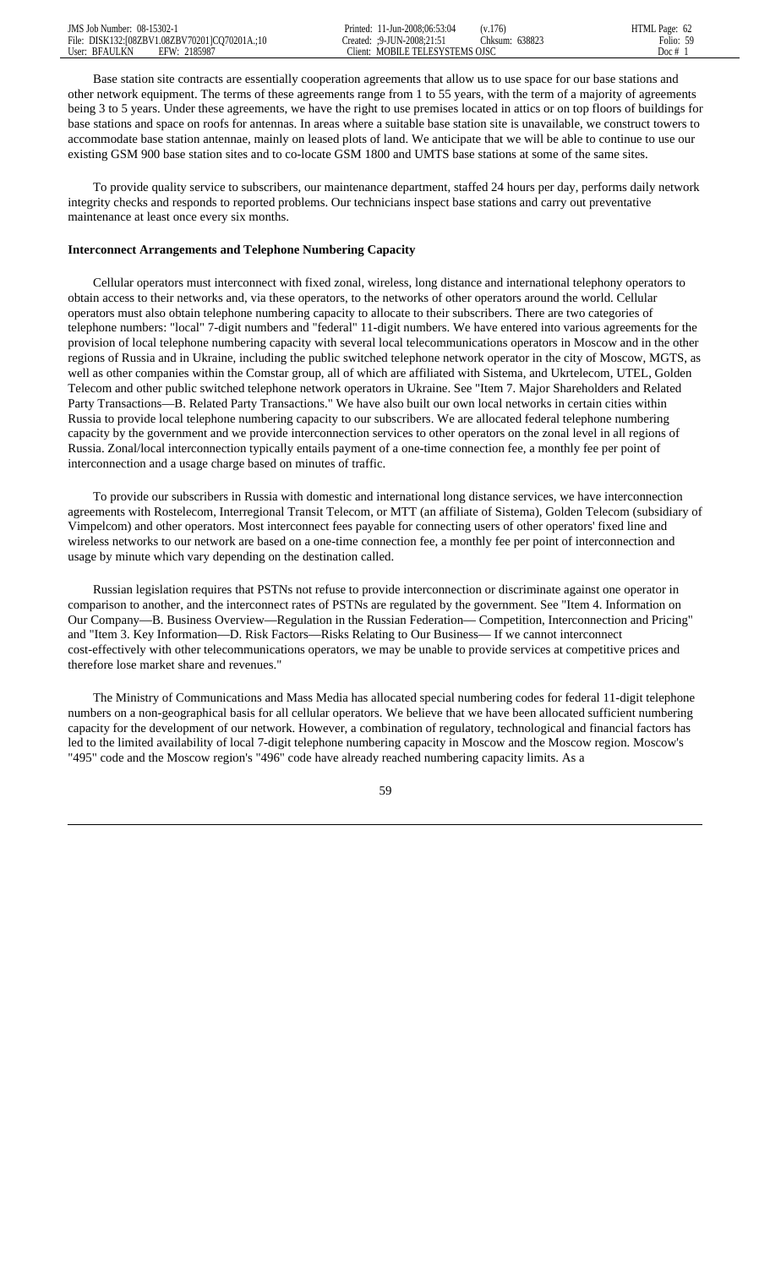Base station site contracts are essentially cooperation agreements that allow us to use space for our base stations and other network equipment. The terms of these agreements range from 1 to 55 years, with the term of a majority of agreements being 3 to 5 years. Under these agreements, we have the right to use premises located in attics or on top floors of buildings for base stations and space on roofs for antennas. In areas where a suitable base station site is unavailable, we construct towers to accommodate base station antennae, mainly on leased plots of land. We anticipate that we will be able to continue to use our existing GSM 900 base station sites and to co-locate GSM 1800 and UMTS base stations at some of the same sites.

 To provide quality service to subscribers, our maintenance department, staffed 24 hours per day, performs daily network integrity checks and responds to reported problems. Our technicians inspect base stations and carry out preventative maintenance at least once every six months.

### **Interconnect Arrangements and Telephone Numbering Capacity**

 Cellular operators must interconnect with fixed zonal, wireless, long distance and international telephony operators to obtain access to their networks and, via these operators, to the networks of other operators around the world. Cellular operators must also obtain telephone numbering capacity to allocate to their subscribers. There are two categories of telephone numbers: "local" 7-digit numbers and "federal" 11-digit numbers. We have entered into various agreements for the provision of local telephone numbering capacity with several local telecommunications operators in Moscow and in the other regions of Russia and in Ukraine, including the public switched telephone network operator in the city of Moscow, MGTS, as well as other companies within the Comstar group, all of which are affiliated with Sistema, and Ukrtelecom, UTEL, Golden Telecom and other public switched telephone network operators in Ukraine. See "Item 7. Major Shareholders and Related Party Transactions—B. Related Party Transactions." We have also built our own local networks in certain cities within Russia to provide local telephone numbering capacity to our subscribers. We are allocated federal telephone numbering capacity by the government and we provide interconnection services to other operators on the zonal level in all regions of Russia. Zonal/local interconnection typically entails payment of a one-time connection fee, a monthly fee per point of interconnection and a usage charge based on minutes of traffic.

 To provide our subscribers in Russia with domestic and international long distance services, we have interconnection agreements with Rostelecom, Interregional Transit Telecom, or MTT (an affiliate of Sistema), Golden Telecom (subsidiary of Vimpelcom) and other operators. Most interconnect fees payable for connecting users of other operators' fixed line and wireless networks to our network are based on a one-time connection fee, a monthly fee per point of interconnection and usage by minute which vary depending on the destination called.

 Russian legislation requires that PSTNs not refuse to provide interconnection or discriminate against one operator in comparison to another, and the interconnect rates of PSTNs are regulated by the government. See "Item 4. Information on Our Company—B. Business Overview—Regulation in the Russian Federation— Competition, Interconnection and Pricing" and "Item 3. Key Information—D. Risk Factors—Risks Relating to Our Business— If we cannot interconnect cost-effectively with other telecommunications operators, we may be unable to provide services at competitive prices and therefore lose market share and revenues."

 The Ministry of Communications and Mass Media has allocated special numbering codes for federal 11-digit telephone numbers on a non-geographical basis for all cellular operators. We believe that we have been allocated sufficient numbering capacity for the development of our network. However, a combination of regulatory, technological and financial factors has led to the limited availability of local 7-digit telephone numbering capacity in Moscow and the Moscow region. Moscow's "495" code and the Moscow region's "496" code have already reached numbering capacity limits. As a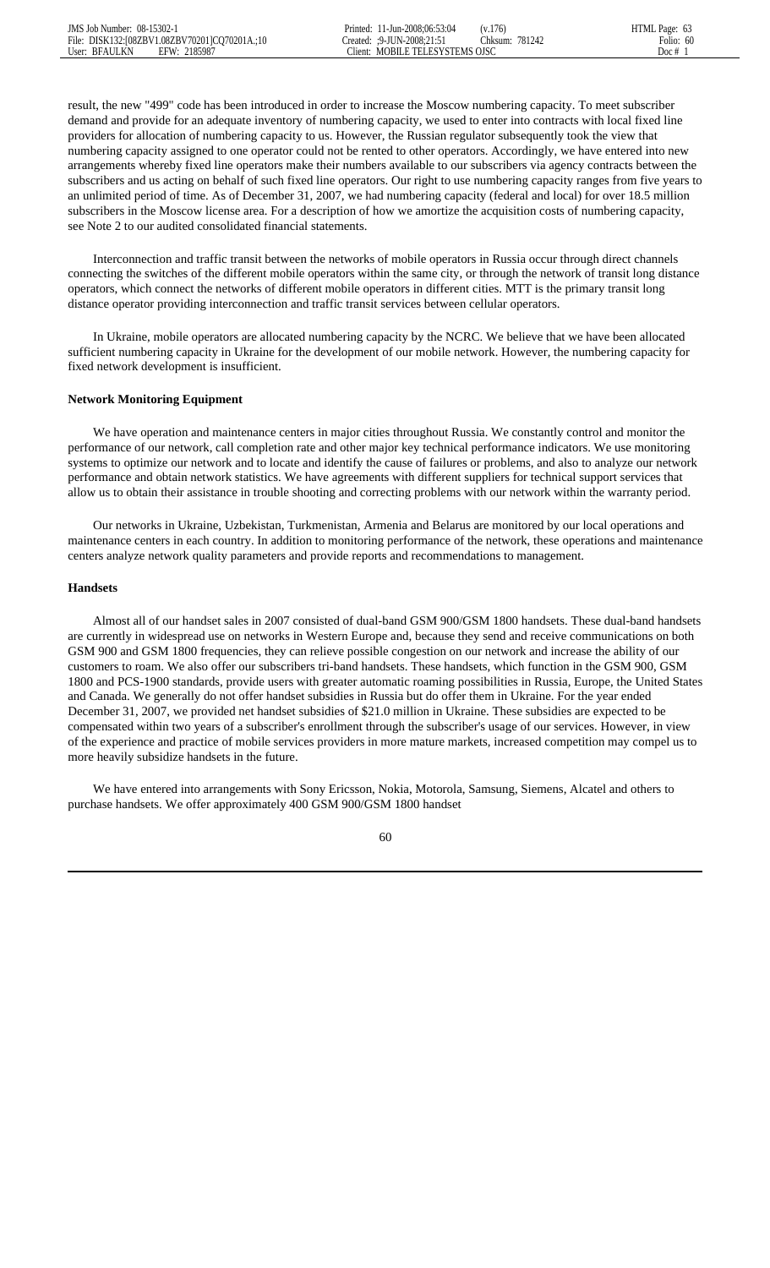result, the new "499" code has been introduced in order to increase the Moscow numbering capacity. To meet subscriber demand and provide for an adequate inventory of numbering capacity, we used to enter into contracts with local fixed line providers for allocation of numbering capacity to us. However, the Russian regulator subsequently took the view that numbering capacity assigned to one operator could not be rented to other operators. Accordingly, we have entered into new arrangements whereby fixed line operators make their numbers available to our subscribers via agency contracts between the subscribers and us acting on behalf of such fixed line operators. Our right to use numbering capacity ranges from five years to an unlimited period of time. As of December 31, 2007, we had numbering capacity (federal and local) for over 18.5 million subscribers in the Moscow license area. For a description of how we amortize the acquisition costs of numbering capacity, see Note 2 to our audited consolidated financial statements.

 Interconnection and traffic transit between the networks of mobile operators in Russia occur through direct channels connecting the switches of the different mobile operators within the same city, or through the network of transit long distance operators, which connect the networks of different mobile operators in different cities. MTT is the primary transit long distance operator providing interconnection and traffic transit services between cellular operators.

 In Ukraine, mobile operators are allocated numbering capacity by the NCRC. We believe that we have been allocated sufficient numbering capacity in Ukraine for the development of our mobile network. However, the numbering capacity for fixed network development is insufficient.

### **Network Monitoring Equipment**

We have operation and maintenance centers in major cities throughout Russia. We constantly control and monitor the performance of our network, call completion rate and other major key technical performance indicators. We use monitoring systems to optimize our network and to locate and identify the cause of failures or problems, and also to analyze our network performance and obtain network statistics. We have agreements with different suppliers for technical support services that allow us to obtain their assistance in trouble shooting and correcting problems with our network within the warranty period.

 Our networks in Ukraine, Uzbekistan, Turkmenistan, Armenia and Belarus are monitored by our local operations and maintenance centers in each country. In addition to monitoring performance of the network, these operations and maintenance centers analyze network quality parameters and provide reports and recommendations to management.

#### **Handsets**

 Almost all of our handset sales in 2007 consisted of dual-band GSM 900/GSM 1800 handsets. These dual-band handsets are currently in widespread use on networks in Western Europe and, because they send and receive communications on both GSM 900 and GSM 1800 frequencies, they can relieve possible congestion on our network and increase the ability of our customers to roam. We also offer our subscribers tri-band handsets. These handsets, which function in the GSM 900, GSM 1800 and PCS-1900 standards, provide users with greater automatic roaming possibilities in Russia, Europe, the United States and Canada. We generally do not offer handset subsidies in Russia but do offer them in Ukraine. For the year ended December 31, 2007, we provided net handset subsidies of \$21.0 million in Ukraine. These subsidies are expected to be compensated within two years of a subscriber's enrollment through the subscriber's usage of our services. However, in view of the experience and practice of mobile services providers in more mature markets, increased competition may compel us to more heavily subsidize handsets in the future.

 We have entered into arrangements with Sony Ericsson, Nokia, Motorola, Samsung, Siemens, Alcatel and others to purchase handsets. We offer approximately 400 GSM 900/GSM 1800 handset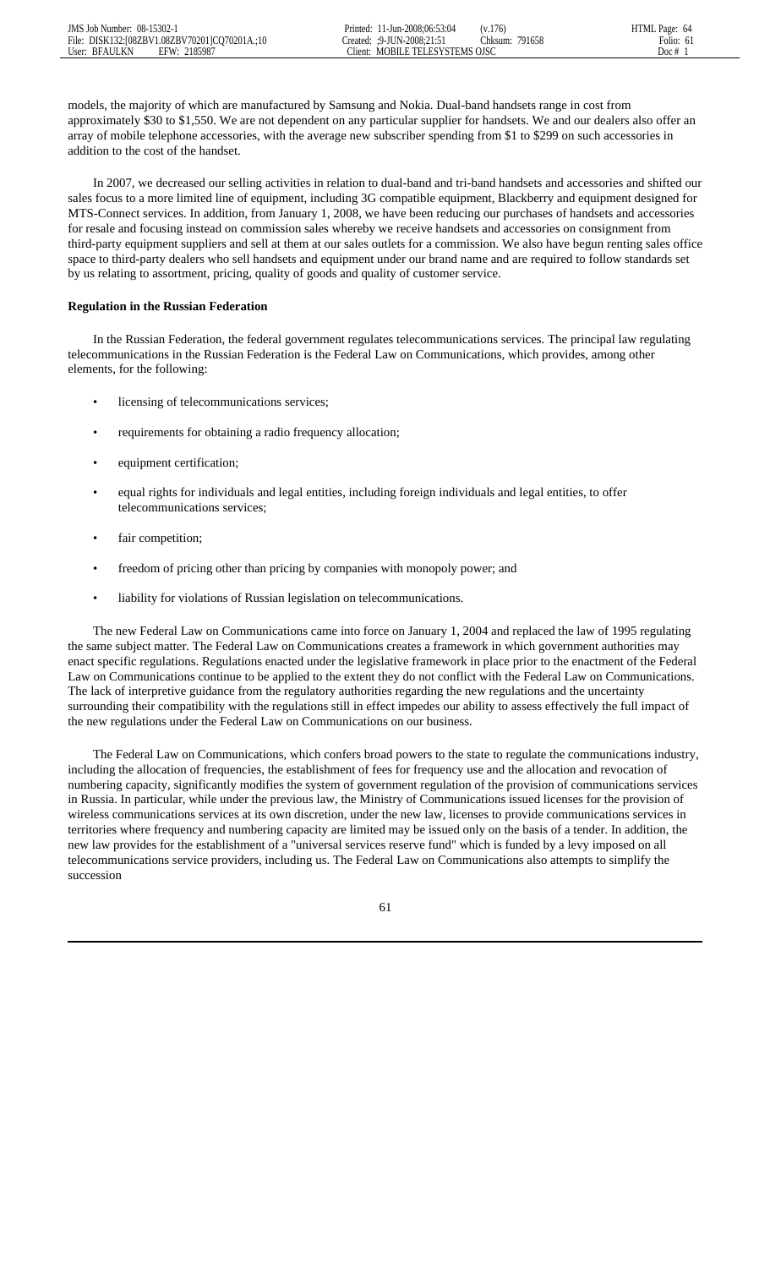models, the majority of which are manufactured by Samsung and Nokia. Dual-band handsets range in cost from approximately \$30 to \$1,550. We are not dependent on any particular supplier for handsets. We and our dealers also offer an array of mobile telephone accessories, with the average new subscriber spending from \$1 to \$299 on such accessories in addition to the cost of the handset.

 In 2007, we decreased our selling activities in relation to dual-band and tri-band handsets and accessories and shifted our sales focus to a more limited line of equipment, including 3G compatible equipment, Blackberry and equipment designed for MTS-Connect services. In addition, from January 1, 2008, we have been reducing our purchases of handsets and accessories for resale and focusing instead on commission sales whereby we receive handsets and accessories on consignment from third-party equipment suppliers and sell at them at our sales outlets for a commission. We also have begun renting sales office space to third-party dealers who sell handsets and equipment under our brand name and are required to follow standards set by us relating to assortment, pricing, quality of goods and quality of customer service.

### **Regulation in the Russian Federation**

 In the Russian Federation, the federal government regulates telecommunications services. The principal law regulating telecommunications in the Russian Federation is the Federal Law on Communications, which provides, among other elements, for the following:

- licensing of telecommunications services;
- requirements for obtaining a radio frequency allocation;
- equipment certification;
- equal rights for individuals and legal entities, including foreign individuals and legal entities, to offer telecommunications services;
- fair competition;
- freedom of pricing other than pricing by companies with monopoly power; and
- liability for violations of Russian legislation on telecommunications.

 The new Federal Law on Communications came into force on January 1, 2004 and replaced the law of 1995 regulating the same subject matter. The Federal Law on Communications creates a framework in which government authorities may enact specific regulations. Regulations enacted under the legislative framework in place prior to the enactment of the Federal Law on Communications continue to be applied to the extent they do not conflict with the Federal Law on Communications. The lack of interpretive guidance from the regulatory authorities regarding the new regulations and the uncertainty surrounding their compatibility with the regulations still in effect impedes our ability to assess effectively the full impact of the new regulations under the Federal Law on Communications on our business.

 The Federal Law on Communications, which confers broad powers to the state to regulate the communications industry, including the allocation of frequencies, the establishment of fees for frequency use and the allocation and revocation of numbering capacity, significantly modifies the system of government regulation of the provision of communications services in Russia. In particular, while under the previous law, the Ministry of Communications issued licenses for the provision of wireless communications services at its own discretion, under the new law, licenses to provide communications services in territories where frequency and numbering capacity are limited may be issued only on the basis of a tender. In addition, the new law provides for the establishment of a "universal services reserve fund" which is funded by a levy imposed on all telecommunications service providers, including us. The Federal Law on Communications also attempts to simplify the succession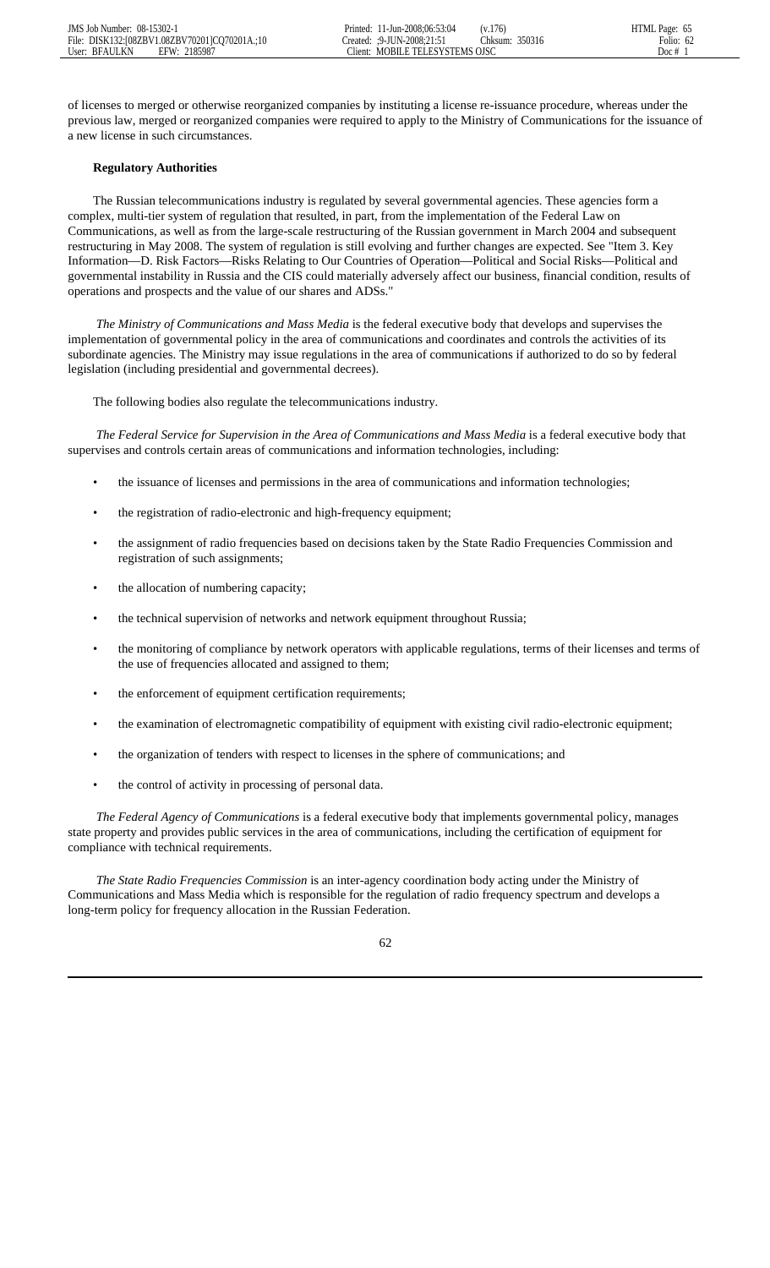of licenses to merged or otherwise reorganized companies by instituting a license re-issuance procedure, whereas under the previous law, merged or reorganized companies were required to apply to the Ministry of Communications for the issuance of a new license in such circumstances.

# **Regulatory Authorities**

 The Russian telecommunications industry is regulated by several governmental agencies. These agencies form a complex, multi-tier system of regulation that resulted, in part, from the implementation of the Federal Law on Communications, as well as from the large-scale restructuring of the Russian government in March 2004 and subsequent restructuring in May 2008. The system of regulation is still evolving and further changes are expected. See "Item 3. Key Information—D. Risk Factors—Risks Relating to Our Countries of Operation—Political and Social Risks—Political and governmental instability in Russia and the CIS could materially adversely affect our business, financial condition, results of operations and prospects and the value of our shares and ADSs."

 *The Ministry of Communications and Mass Media* is the federal executive body that develops and supervises the implementation of governmental policy in the area of communications and coordinates and controls the activities of its subordinate agencies. The Ministry may issue regulations in the area of communications if authorized to do so by federal legislation (including presidential and governmental decrees).

The following bodies also regulate the telecommunications industry.

 *The Federal Service for Supervision in the Area of Communications and Mass Media* is a federal executive body that supervises and controls certain areas of communications and information technologies, including:

- the issuance of licenses and permissions in the area of communications and information technologies;
- the registration of radio-electronic and high-frequency equipment;
- the assignment of radio frequencies based on decisions taken by the State Radio Frequencies Commission and registration of such assignments;
- the allocation of numbering capacity;
- the technical supervision of networks and network equipment throughout Russia;
- the monitoring of compliance by network operators with applicable regulations, terms of their licenses and terms of the use of frequencies allocated and assigned to them;
- the enforcement of equipment certification requirements;
- the examination of electromagnetic compatibility of equipment with existing civil radio-electronic equipment;
- the organization of tenders with respect to licenses in the sphere of communications; and
- the control of activity in processing of personal data.

 *The Federal Agency of Communications* is a federal executive body that implements governmental policy, manages state property and provides public services in the area of communications, including the certification of equipment for compliance with technical requirements.

 *The State Radio Frequencies Commission* is an inter-agency coordination body acting under the Ministry of Communications and Mass Media which is responsible for the regulation of radio frequency spectrum and develops a long-term policy for frequency allocation in the Russian Federation.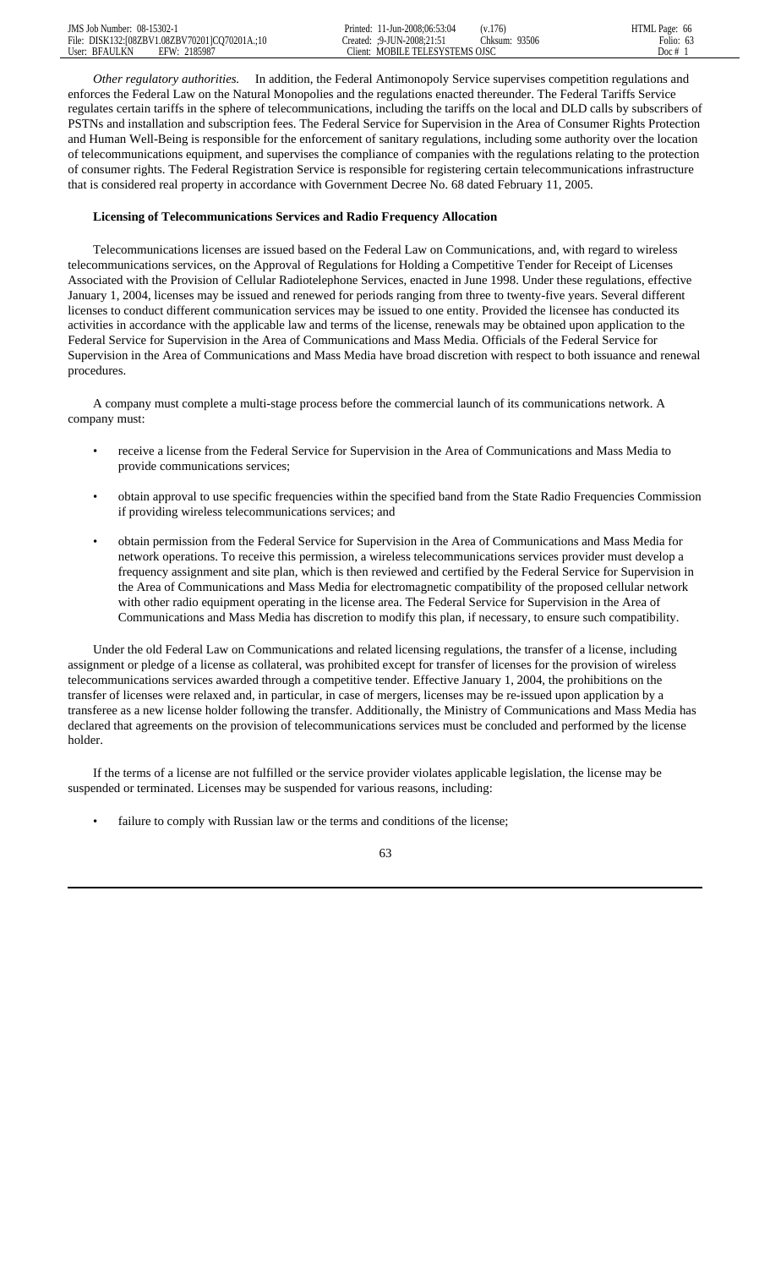*Other regulatory authorities.* In addition, the Federal Antimonopoly Service supervises competition regulations and enforces the Federal Law on the Natural Monopolies and the regulations enacted thereunder. The Federal Tariffs Service regulates certain tariffs in the sphere of telecommunications, including the tariffs on the local and DLD calls by subscribers of PSTNs and installation and subscription fees. The Federal Service for Supervision in the Area of Consumer Rights Protection and Human Well-Being is responsible for the enforcement of sanitary regulations, including some authority over the location of telecommunications equipment, and supervises the compliance of companies with the regulations relating to the protection of consumer rights. The Federal Registration Service is responsible for registering certain telecommunications infrastructure that is considered real property in accordance with Government Decree No. 68 dated February 11, 2005.

# **Licensing of Telecommunications Services and Radio Frequency Allocation**

 Telecommunications licenses are issued based on the Federal Law on Communications, and, with regard to wireless telecommunications services, on the Approval of Regulations for Holding a Competitive Tender for Receipt of Licenses Associated with the Provision of Cellular Radiotelephone Services, enacted in June 1998. Under these regulations, effective January 1, 2004, licenses may be issued and renewed for periods ranging from three to twenty-five years. Several different licenses to conduct different communication services may be issued to one entity. Provided the licensee has conducted its activities in accordance with the applicable law and terms of the license, renewals may be obtained upon application to the Federal Service for Supervision in the Area of Communications and Mass Media. Officials of the Federal Service for Supervision in the Area of Communications and Mass Media have broad discretion with respect to both issuance and renewal procedures.

 A company must complete a multi-stage process before the commercial launch of its communications network. A company must:

- receive a license from the Federal Service for Supervision in the Area of Communications and Mass Media to provide communications services;
- obtain approval to use specific frequencies within the specified band from the State Radio Frequencies Commission if providing wireless telecommunications services; and
- obtain permission from the Federal Service for Supervision in the Area of Communications and Mass Media for network operations. To receive this permission, a wireless telecommunications services provider must develop a frequency assignment and site plan, which is then reviewed and certified by the Federal Service for Supervision in the Area of Communications and Mass Media for electromagnetic compatibility of the proposed cellular network with other radio equipment operating in the license area. The Federal Service for Supervision in the Area of Communications and Mass Media has discretion to modify this plan, if necessary, to ensure such compatibility.

 Under the old Federal Law on Communications and related licensing regulations, the transfer of a license, including assignment or pledge of a license as collateral, was prohibited except for transfer of licenses for the provision of wireless telecommunications services awarded through a competitive tender. Effective January 1, 2004, the prohibitions on the transfer of licenses were relaxed and, in particular, in case of mergers, licenses may be re-issued upon application by a transferee as a new license holder following the transfer. Additionally, the Ministry of Communications and Mass Media has declared that agreements on the provision of telecommunications services must be concluded and performed by the license holder.

 If the terms of a license are not fulfilled or the service provider violates applicable legislation, the license may be suspended or terminated. Licenses may be suspended for various reasons, including:

failure to comply with Russian law or the terms and conditions of the license;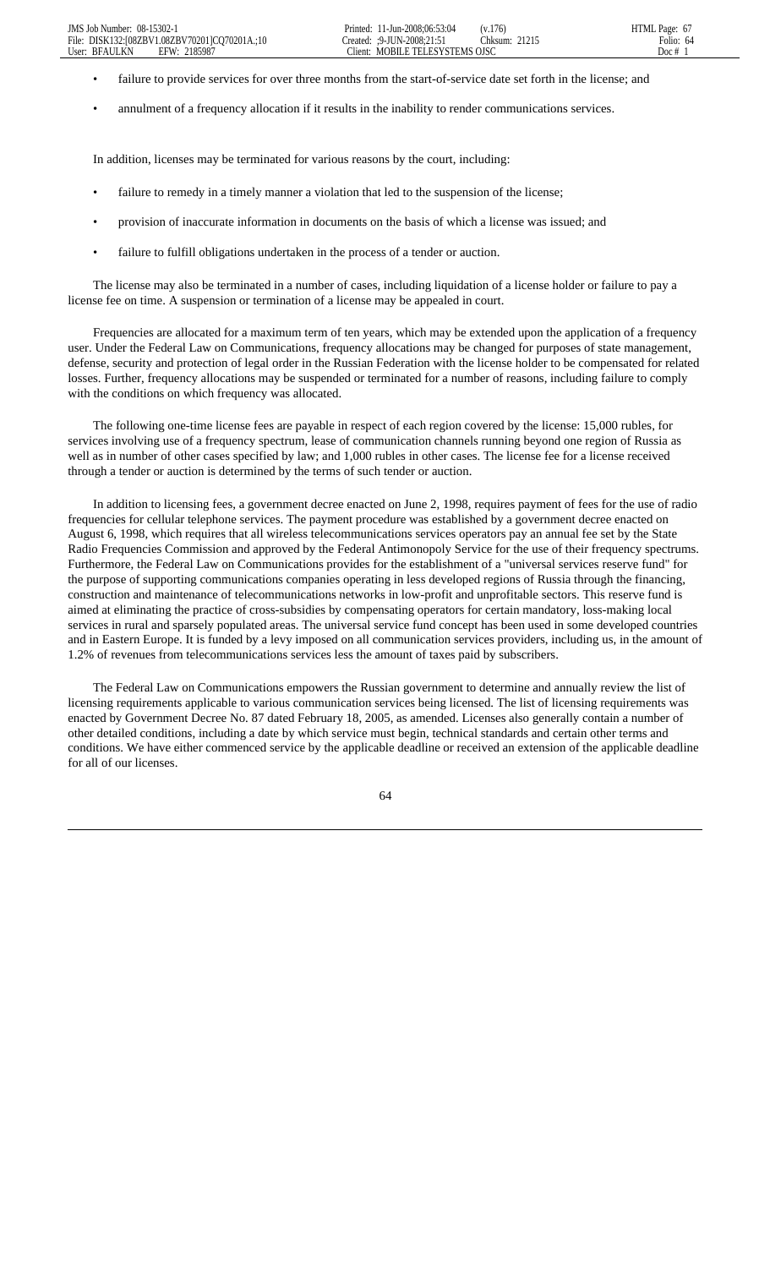- failure to provide services for over three months from the start-of-service date set forth in the license; and
- annulment of a frequency allocation if it results in the inability to render communications services.

In addition, licenses may be terminated for various reasons by the court, including:

- failure to remedy in a timely manner a violation that led to the suspension of the license;
- provision of inaccurate information in documents on the basis of which a license was issued; and
- failure to fulfill obligations undertaken in the process of a tender or auction.

 The license may also be terminated in a number of cases, including liquidation of a license holder or failure to pay a license fee on time. A suspension or termination of a license may be appealed in court.

 Frequencies are allocated for a maximum term of ten years, which may be extended upon the application of a frequency user. Under the Federal Law on Communications, frequency allocations may be changed for purposes of state management, defense, security and protection of legal order in the Russian Federation with the license holder to be compensated for related losses. Further, frequency allocations may be suspended or terminated for a number of reasons, including failure to comply with the conditions on which frequency was allocated.

 The following one-time license fees are payable in respect of each region covered by the license: 15,000 rubles, for services involving use of a frequency spectrum, lease of communication channels running beyond one region of Russia as well as in number of other cases specified by law; and 1,000 rubles in other cases. The license fee for a license received through a tender or auction is determined by the terms of such tender or auction.

 In addition to licensing fees, a government decree enacted on June 2, 1998, requires payment of fees for the use of radio frequencies for cellular telephone services. The payment procedure was established by a government decree enacted on August 6, 1998, which requires that all wireless telecommunications services operators pay an annual fee set by the State Radio Frequencies Commission and approved by the Federal Antimonopoly Service for the use of their frequency spectrums. Furthermore, the Federal Law on Communications provides for the establishment of a "universal services reserve fund" for the purpose of supporting communications companies operating in less developed regions of Russia through the financing, construction and maintenance of telecommunications networks in low-profit and unprofitable sectors. This reserve fund is aimed at eliminating the practice of cross-subsidies by compensating operators for certain mandatory, loss-making local services in rural and sparsely populated areas. The universal service fund concept has been used in some developed countries and in Eastern Europe. It is funded by a levy imposed on all communication services providers, including us, in the amount of 1.2% of revenues from telecommunications services less the amount of taxes paid by subscribers.

 The Federal Law on Communications empowers the Russian government to determine and annually review the list of licensing requirements applicable to various communication services being licensed. The list of licensing requirements was enacted by Government Decree No. 87 dated February 18, 2005, as amended. Licenses also generally contain a number of other detailed conditions, including a date by which service must begin, technical standards and certain other terms and conditions. We have either commenced service by the applicable deadline or received an extension of the applicable deadline for all of our licenses.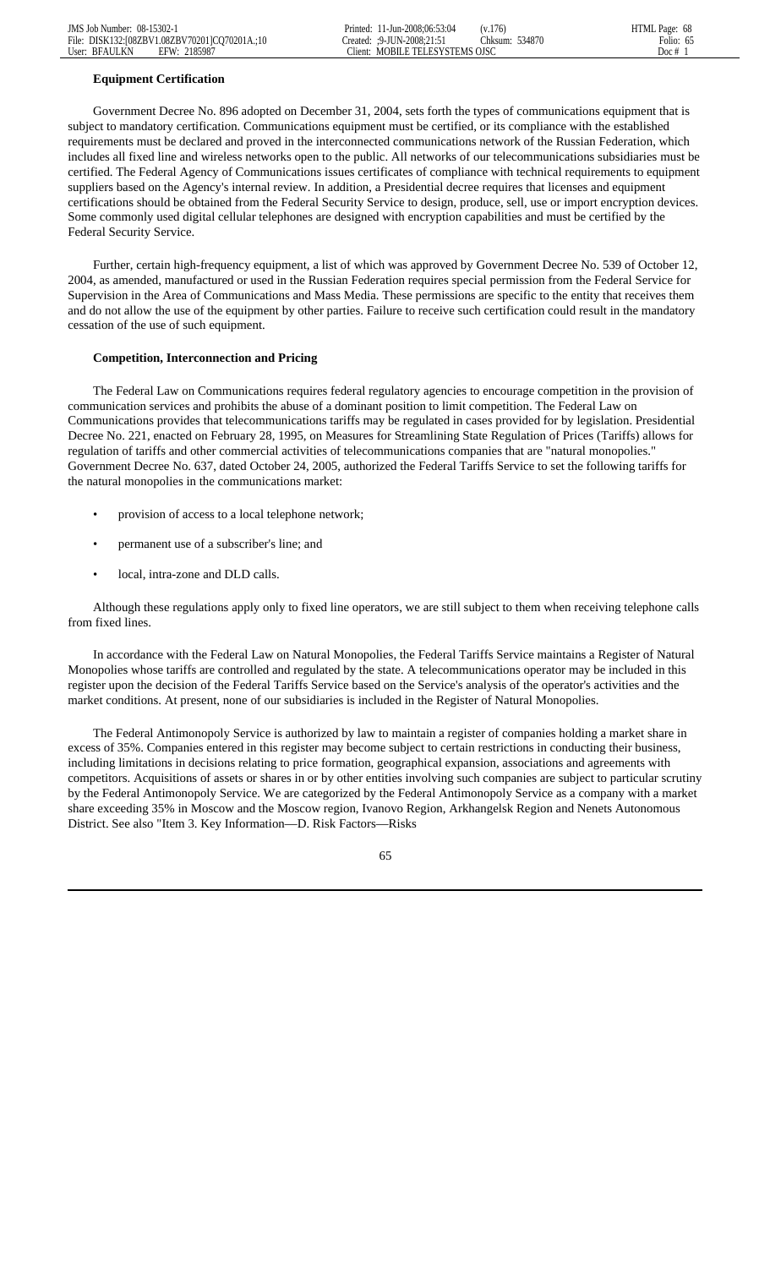# **Equipment Certification**

 Government Decree No. 896 adopted on December 31, 2004, sets forth the types of communications equipment that is subject to mandatory certification. Communications equipment must be certified, or its compliance with the established requirements must be declared and proved in the interconnected communications network of the Russian Federation, which includes all fixed line and wireless networks open to the public. All networks of our telecommunications subsidiaries must be certified. The Federal Agency of Communications issues certificates of compliance with technical requirements to equipment suppliers based on the Agency's internal review. In addition, a Presidential decree requires that licenses and equipment certifications should be obtained from the Federal Security Service to design, produce, sell, use or import encryption devices. Some commonly used digital cellular telephones are designed with encryption capabilities and must be certified by the Federal Security Service.

 Further, certain high-frequency equipment, a list of which was approved by Government Decree No. 539 of October 12, 2004, as amended, manufactured or used in the Russian Federation requires special permission from the Federal Service for Supervision in the Area of Communications and Mass Media. These permissions are specific to the entity that receives them and do not allow the use of the equipment by other parties. Failure to receive such certification could result in the mandatory cessation of the use of such equipment.

# **Competition, Interconnection and Pricing**

 The Federal Law on Communications requires federal regulatory agencies to encourage competition in the provision of communication services and prohibits the abuse of a dominant position to limit competition. The Federal Law on Communications provides that telecommunications tariffs may be regulated in cases provided for by legislation. Presidential Decree No. 221, enacted on February 28, 1995, on Measures for Streamlining State Regulation of Prices (Tariffs) allows for regulation of tariffs and other commercial activities of telecommunications companies that are "natural monopolies." Government Decree No. 637, dated October 24, 2005, authorized the Federal Tariffs Service to set the following tariffs for the natural monopolies in the communications market:

- provision of access to a local telephone network;
- permanent use of a subscriber's line; and
- local, intra-zone and DLD calls.

 Although these regulations apply only to fixed line operators, we are still subject to them when receiving telephone calls from fixed lines.

 In accordance with the Federal Law on Natural Monopolies, the Federal Tariffs Service maintains a Register of Natural Monopolies whose tariffs are controlled and regulated by the state. A telecommunications operator may be included in this register upon the decision of the Federal Tariffs Service based on the Service's analysis of the operator's activities and the market conditions. At present, none of our subsidiaries is included in the Register of Natural Monopolies.

 The Federal Antimonopoly Service is authorized by law to maintain a register of companies holding a market share in excess of 35%. Companies entered in this register may become subject to certain restrictions in conducting their business, including limitations in decisions relating to price formation, geographical expansion, associations and agreements with competitors. Acquisitions of assets or shares in or by other entities involving such companies are subject to particular scrutiny by the Federal Antimonopoly Service. We are categorized by the Federal Antimonopoly Service as a company with a market share exceeding 35% in Moscow and the Moscow region, Ivanovo Region, Arkhangelsk Region and Nenets Autonomous District. See also "Item 3. Key Information—D. Risk Factors—Risks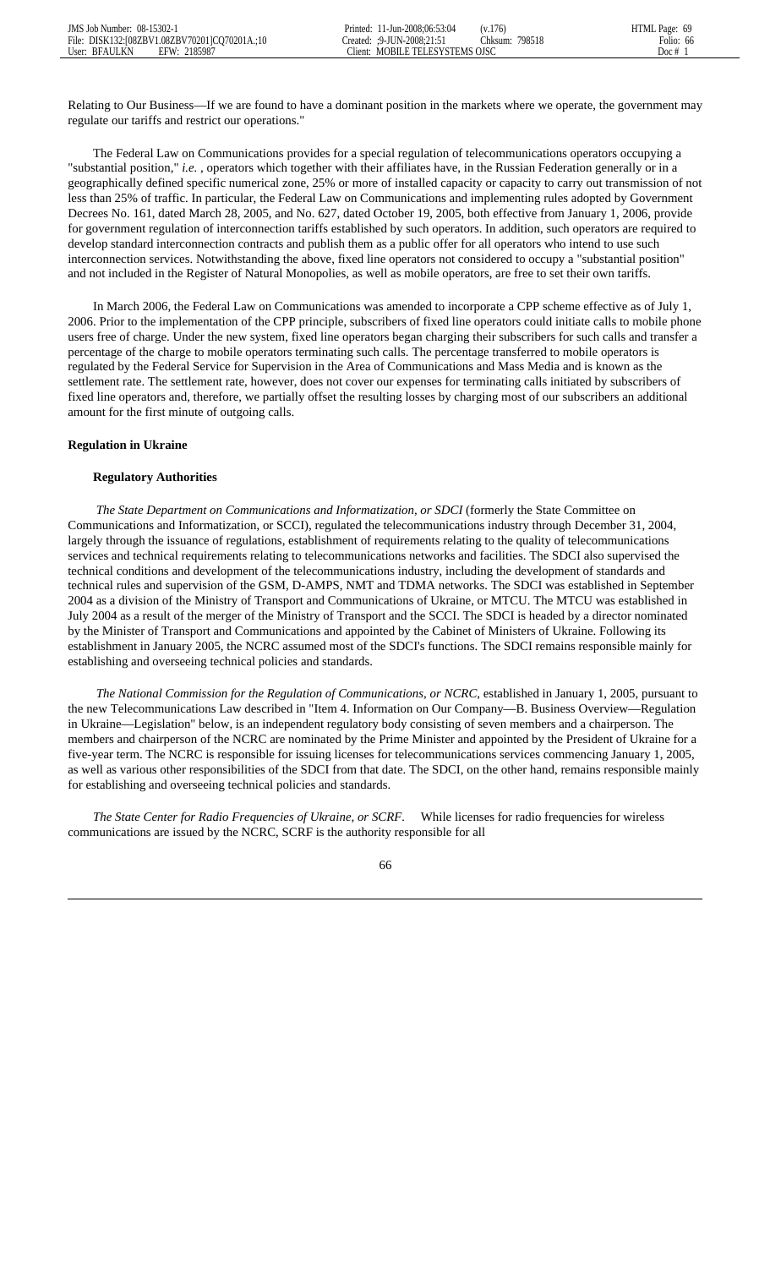Relating to Our Business—If we are found to have a dominant position in the markets where we operate, the government may regulate our tariffs and restrict our operations."

 The Federal Law on Communications provides for a special regulation of telecommunications operators occupying a "substantial position," *i.e.* , operators which together with their affiliates have, in the Russian Federation generally or in a geographically defined specific numerical zone, 25% or more of installed capacity or capacity to carry out transmission of not less than 25% of traffic. In particular, the Federal Law on Communications and implementing rules adopted by Government Decrees No. 161, dated March 28, 2005, and No. 627, dated October 19, 2005, both effective from January 1, 2006, provide for government regulation of interconnection tariffs established by such operators. In addition, such operators are required to develop standard interconnection contracts and publish them as a public offer for all operators who intend to use such interconnection services. Notwithstanding the above, fixed line operators not considered to occupy a "substantial position" and not included in the Register of Natural Monopolies, as well as mobile operators, are free to set their own tariffs.

 In March 2006, the Federal Law on Communications was amended to incorporate a CPP scheme effective as of July 1, 2006. Prior to the implementation of the CPP principle, subscribers of fixed line operators could initiate calls to mobile phone users free of charge. Under the new system, fixed line operators began charging their subscribers for such calls and transfer a percentage of the charge to mobile operators terminating such calls. The percentage transferred to mobile operators is regulated by the Federal Service for Supervision in the Area of Communications and Mass Media and is known as the settlement rate. The settlement rate, however, does not cover our expenses for terminating calls initiated by subscribers of fixed line operators and, therefore, we partially offset the resulting losses by charging most of our subscribers an additional amount for the first minute of outgoing calls.

### **Regulation in Ukraine**

#### **Regulatory Authorities**

 *The State Department on Communications and Informatization, or SDCI* (formerly the State Committee on Communications and Informatization, or SCCI), regulated the telecommunications industry through December 31, 2004, largely through the issuance of regulations, establishment of requirements relating to the quality of telecommunications services and technical requirements relating to telecommunications networks and facilities. The SDCI also supervised the technical conditions and development of the telecommunications industry, including the development of standards and technical rules and supervision of the GSM, D-AMPS, NMT and TDMA networks. The SDCI was established in September 2004 as a division of the Ministry of Transport and Communications of Ukraine, or MTCU. The MTCU was established in July 2004 as a result of the merger of the Ministry of Transport and the SCCI. The SDCI is headed by a director nominated by the Minister of Transport and Communications and appointed by the Cabinet of Ministers of Ukraine. Following its establishment in January 2005, the NCRC assumed most of the SDCI's functions. The SDCI remains responsible mainly for establishing and overseeing technical policies and standards.

 *The National Commission for the Regulation of Communications, or NCRC,* established in January 1, 2005, pursuant to the new Telecommunications Law described in "Item 4. Information on Our Company—B. Business Overview—Regulation in Ukraine—Legislation" below, is an independent regulatory body consisting of seven members and a chairperson. The members and chairperson of the NCRC are nominated by the Prime Minister and appointed by the President of Ukraine for a five-year term. The NCRC is responsible for issuing licenses for telecommunications services commencing January 1, 2005, as well as various other responsibilities of the SDCI from that date. The SDCI, on the other hand, remains responsible mainly for establishing and overseeing technical policies and standards.

 *The State Center for Radio Frequencies of Ukraine, or SCRF.* While licenses for radio frequencies for wireless communications are issued by the NCRC, SCRF is the authority responsible for all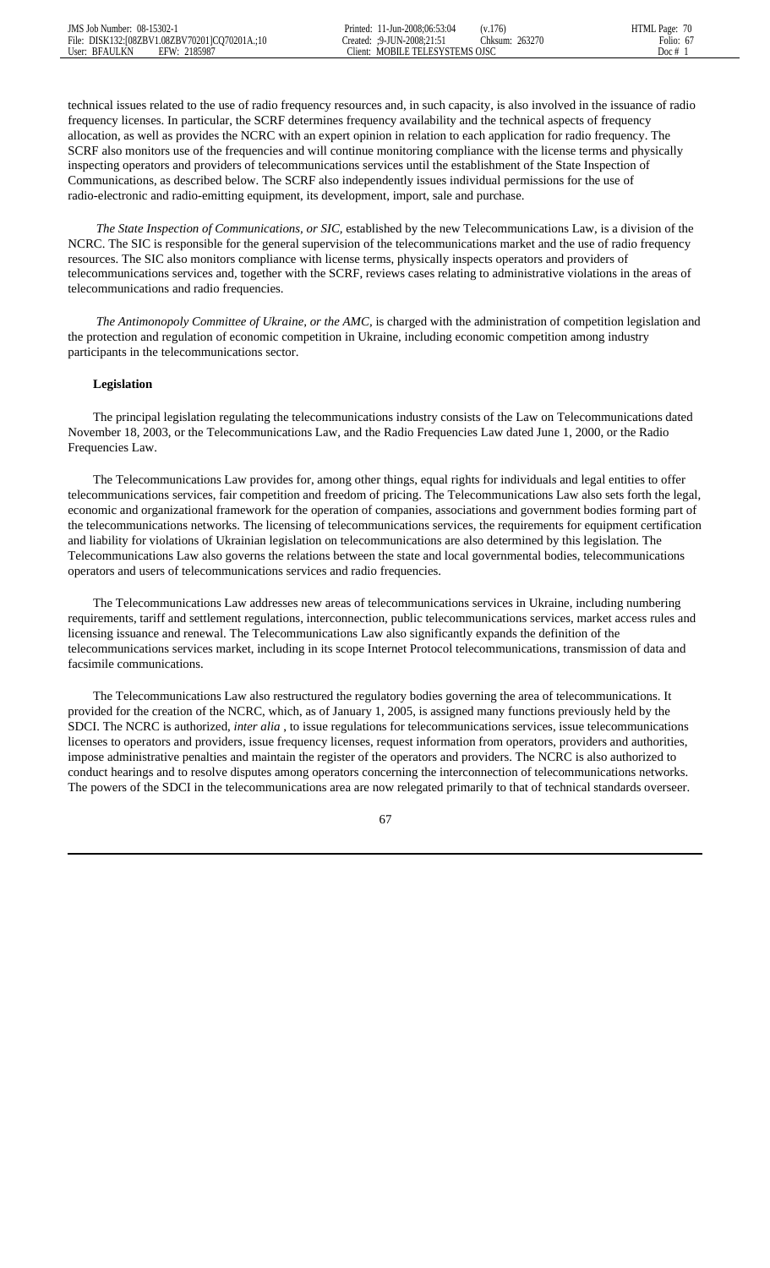technical issues related to the use of radio frequency resources and, in such capacity, is also involved in the issuance of radio frequency licenses. In particular, the SCRF determines frequency availability and the technical aspects of frequency allocation, as well as provides the NCRC with an expert opinion in relation to each application for radio frequency. The SCRF also monitors use of the frequencies and will continue monitoring compliance with the license terms and physically inspecting operators and providers of telecommunications services until the establishment of the State Inspection of Communications, as described below. The SCRF also independently issues individual permissions for the use of radio-electronic and radio-emitting equipment, its development, import, sale and purchase.

 *The State Inspection of Communications, or SIC,* established by the new Telecommunications Law, is a division of the NCRC. The SIC is responsible for the general supervision of the telecommunications market and the use of radio frequency resources. The SIC also monitors compliance with license terms, physically inspects operators and providers of telecommunications services and, together with the SCRF, reviews cases relating to administrative violations in the areas of telecommunications and radio frequencies.

 *The Antimonopoly Committee of Ukraine, or the AMC,* is charged with the administration of competition legislation and the protection and regulation of economic competition in Ukraine, including economic competition among industry participants in the telecommunications sector.

### **Legislation**

 The principal legislation regulating the telecommunications industry consists of the Law on Telecommunications dated November 18, 2003, or the Telecommunications Law, and the Radio Frequencies Law dated June 1, 2000, or the Radio Frequencies Law.

 The Telecommunications Law provides for, among other things, equal rights for individuals and legal entities to offer telecommunications services, fair competition and freedom of pricing. The Telecommunications Law also sets forth the legal, economic and organizational framework for the operation of companies, associations and government bodies forming part of the telecommunications networks. The licensing of telecommunications services, the requirements for equipment certification and liability for violations of Ukrainian legislation on telecommunications are also determined by this legislation. The Telecommunications Law also governs the relations between the state and local governmental bodies, telecommunications operators and users of telecommunications services and radio frequencies.

 The Telecommunications Law addresses new areas of telecommunications services in Ukraine, including numbering requirements, tariff and settlement regulations, interconnection, public telecommunications services, market access rules and licensing issuance and renewal. The Telecommunications Law also significantly expands the definition of the telecommunications services market, including in its scope Internet Protocol telecommunications, transmission of data and facsimile communications.

 The Telecommunications Law also restructured the regulatory bodies governing the area of telecommunications. It provided for the creation of the NCRC, which, as of January 1, 2005, is assigned many functions previously held by the SDCI. The NCRC is authorized, *inter alia* , to issue regulations for telecommunications services, issue telecommunications licenses to operators and providers, issue frequency licenses, request information from operators, providers and authorities, impose administrative penalties and maintain the register of the operators and providers. The NCRC is also authorized to conduct hearings and to resolve disputes among operators concerning the interconnection of telecommunications networks. The powers of the SDCI in the telecommunications area are now relegated primarily to that of technical standards overseer.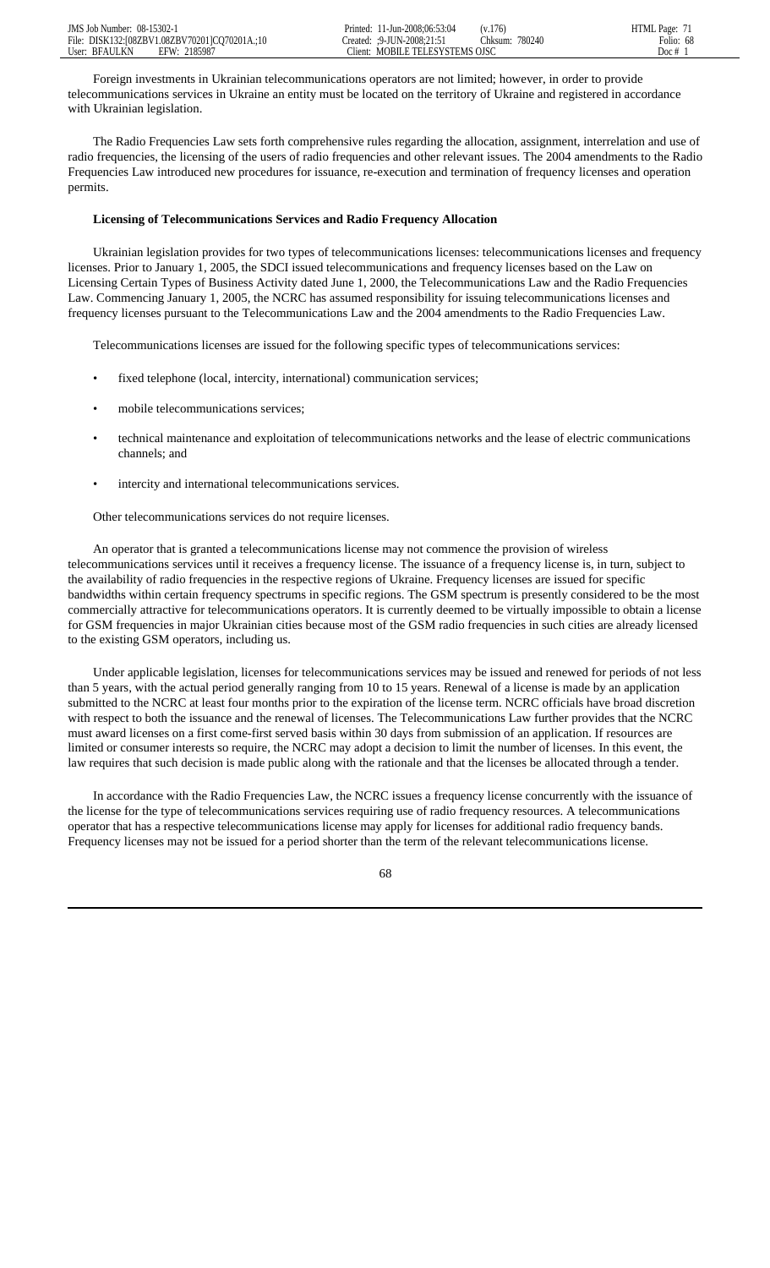Foreign investments in Ukrainian telecommunications operators are not limited; however, in order to provide telecommunications services in Ukraine an entity must be located on the territory of Ukraine and registered in accordance with Ukrainian legislation.

 The Radio Frequencies Law sets forth comprehensive rules regarding the allocation, assignment, interrelation and use of radio frequencies, the licensing of the users of radio frequencies and other relevant issues. The 2004 amendments to the Radio Frequencies Law introduced new procedures for issuance, re-execution and termination of frequency licenses and operation permits.

### **Licensing of Telecommunications Services and Radio Frequency Allocation**

 Ukrainian legislation provides for two types of telecommunications licenses: telecommunications licenses and frequency licenses. Prior to January 1, 2005, the SDCI issued telecommunications and frequency licenses based on the Law on Licensing Certain Types of Business Activity dated June 1, 2000, the Telecommunications Law and the Radio Frequencies Law. Commencing January 1, 2005, the NCRC has assumed responsibility for issuing telecommunications licenses and frequency licenses pursuant to the Telecommunications Law and the 2004 amendments to the Radio Frequencies Law.

Telecommunications licenses are issued for the following specific types of telecommunications services:

- fixed telephone (local, intercity, international) communication services;
- mobile telecommunications services;
- technical maintenance and exploitation of telecommunications networks and the lease of electric communications channels; and
- intercity and international telecommunications services.

Other telecommunications services do not require licenses.

 An operator that is granted a telecommunications license may not commence the provision of wireless telecommunications services until it receives a frequency license. The issuance of a frequency license is, in turn, subject to the availability of radio frequencies in the respective regions of Ukraine. Frequency licenses are issued for specific bandwidths within certain frequency spectrums in specific regions. The GSM spectrum is presently considered to be the most commercially attractive for telecommunications operators. It is currently deemed to be virtually impossible to obtain a license for GSM frequencies in major Ukrainian cities because most of the GSM radio frequencies in such cities are already licensed to the existing GSM operators, including us.

 Under applicable legislation, licenses for telecommunications services may be issued and renewed for periods of not less than 5 years, with the actual period generally ranging from 10 to 15 years. Renewal of a license is made by an application submitted to the NCRC at least four months prior to the expiration of the license term. NCRC officials have broad discretion with respect to both the issuance and the renewal of licenses. The Telecommunications Law further provides that the NCRC must award licenses on a first come-first served basis within 30 days from submission of an application. If resources are limited or consumer interests so require, the NCRC may adopt a decision to limit the number of licenses. In this event, the law requires that such decision is made public along with the rationale and that the licenses be allocated through a tender.

 In accordance with the Radio Frequencies Law, the NCRC issues a frequency license concurrently with the issuance of the license for the type of telecommunications services requiring use of radio frequency resources. A telecommunications operator that has a respective telecommunications license may apply for licenses for additional radio frequency bands. Frequency licenses may not be issued for a period shorter than the term of the relevant telecommunications license.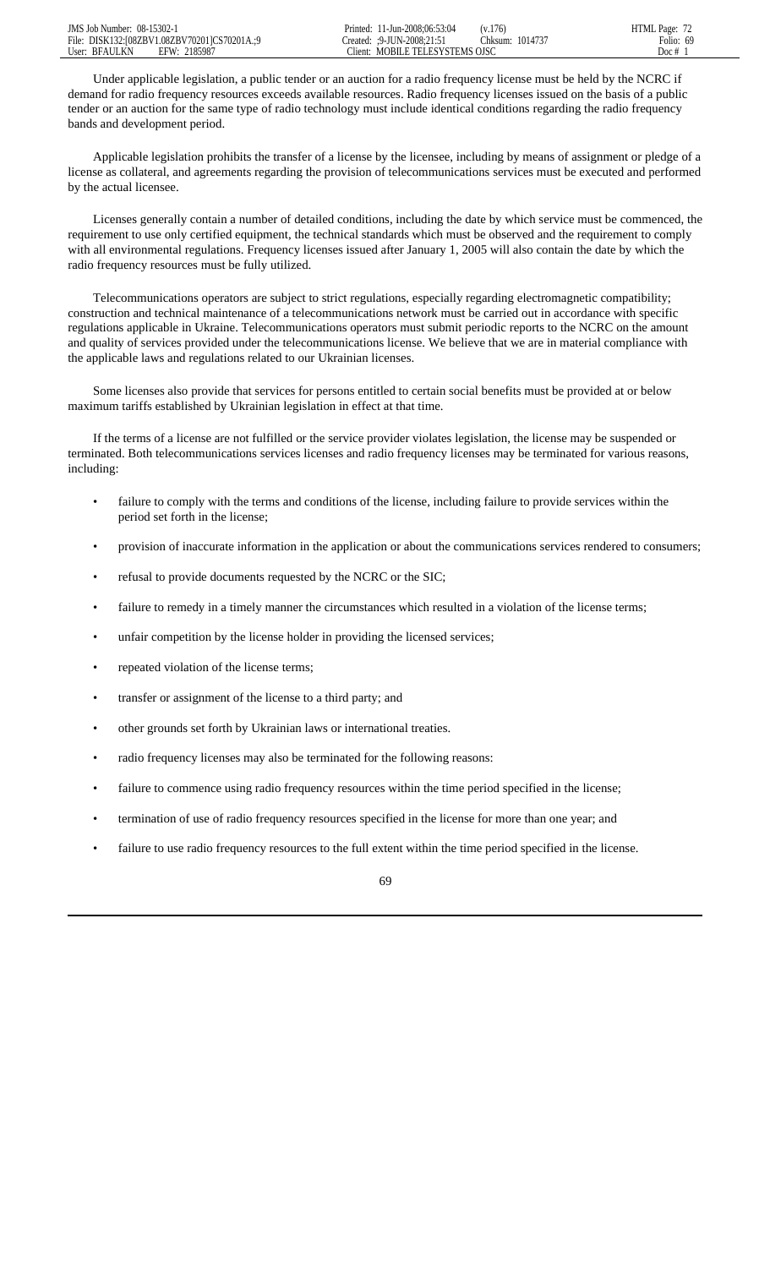Under applicable legislation, a public tender or an auction for a radio frequency license must be held by the NCRC if demand for radio frequency resources exceeds available resources. Radio frequency licenses issued on the basis of a public tender or an auction for the same type of radio technology must include identical conditions regarding the radio frequency bands and development period.

 Applicable legislation prohibits the transfer of a license by the licensee, including by means of assignment or pledge of a license as collateral, and agreements regarding the provision of telecommunications services must be executed and performed by the actual licensee.

 Licenses generally contain a number of detailed conditions, including the date by which service must be commenced, the requirement to use only certified equipment, the technical standards which must be observed and the requirement to comply with all environmental regulations. Frequency licenses issued after January 1, 2005 will also contain the date by which the radio frequency resources must be fully utilized.

 Telecommunications operators are subject to strict regulations, especially regarding electromagnetic compatibility; construction and technical maintenance of a telecommunications network must be carried out in accordance with specific regulations applicable in Ukraine. Telecommunications operators must submit periodic reports to the NCRC on the amount and quality of services provided under the telecommunications license. We believe that we are in material compliance with the applicable laws and regulations related to our Ukrainian licenses.

 Some licenses also provide that services for persons entitled to certain social benefits must be provided at or below maximum tariffs established by Ukrainian legislation in effect at that time.

 If the terms of a license are not fulfilled or the service provider violates legislation, the license may be suspended or terminated. Both telecommunications services licenses and radio frequency licenses may be terminated for various reasons, including:

- failure to comply with the terms and conditions of the license, including failure to provide services within the period set forth in the license;
- provision of inaccurate information in the application or about the communications services rendered to consumers;
- refusal to provide documents requested by the NCRC or the SIC;
- failure to remedy in a timely manner the circumstances which resulted in a violation of the license terms;
- unfair competition by the license holder in providing the licensed services;
- repeated violation of the license terms;
- transfer or assignment of the license to a third party; and
- other grounds set forth by Ukrainian laws or international treaties.
- radio frequency licenses may also be terminated for the following reasons:
- failure to commence using radio frequency resources within the time period specified in the license;
- termination of use of radio frequency resources specified in the license for more than one year; and
- failure to use radio frequency resources to the full extent within the time period specified in the license.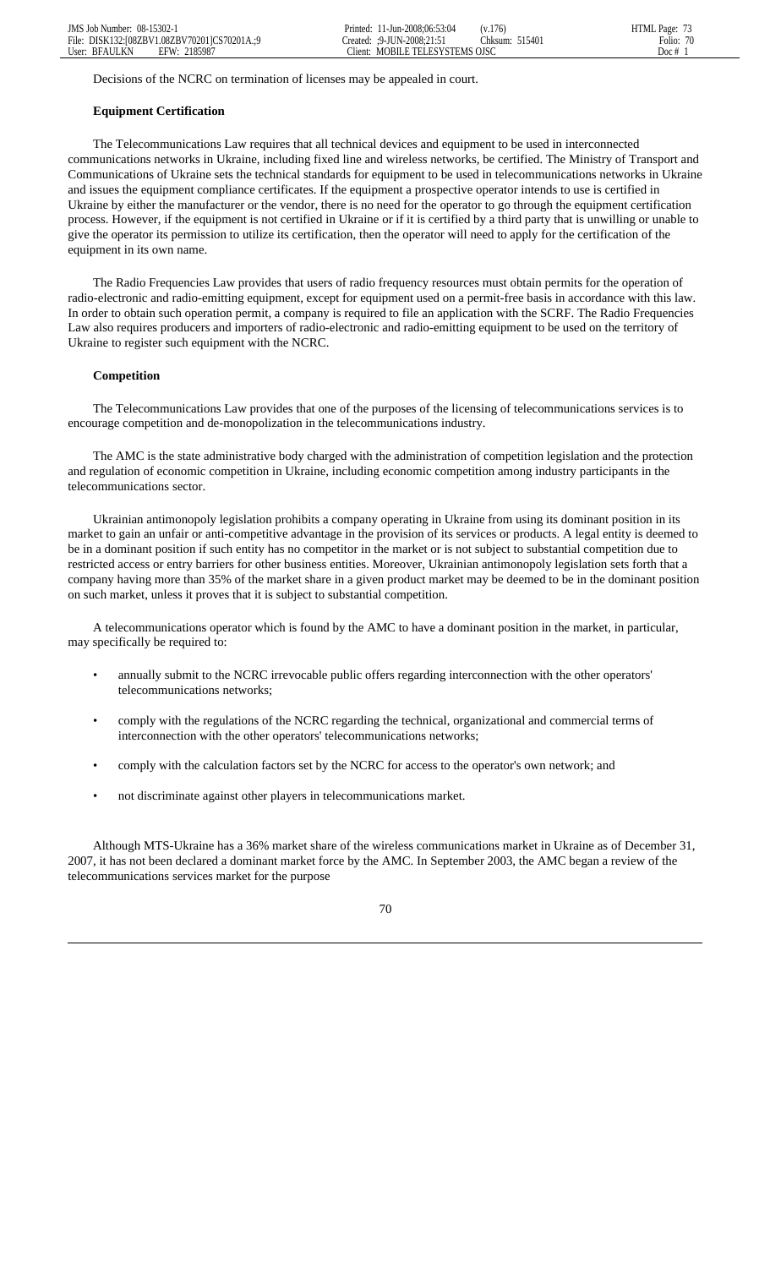## Decisions of the NCRC on termination of licenses may be appealed in court.

## **Equipment Certification**

 The Telecommunications Law requires that all technical devices and equipment to be used in interconnected communications networks in Ukraine, including fixed line and wireless networks, be certified. The Ministry of Transport and Communications of Ukraine sets the technical standards for equipment to be used in telecommunications networks in Ukraine and issues the equipment compliance certificates. If the equipment a prospective operator intends to use is certified in Ukraine by either the manufacturer or the vendor, there is no need for the operator to go through the equipment certification process. However, if the equipment is not certified in Ukraine or if it is certified by a third party that is unwilling or unable to give the operator its permission to utilize its certification, then the operator will need to apply for the certification of the equipment in its own name.

 The Radio Frequencies Law provides that users of radio frequency resources must obtain permits for the operation of radio-electronic and radio-emitting equipment, except for equipment used on a permit-free basis in accordance with this law. In order to obtain such operation permit, a company is required to file an application with the SCRF. The Radio Frequencies Law also requires producers and importers of radio-electronic and radio-emitting equipment to be used on the territory of Ukraine to register such equipment with the NCRC.

## **Competition**

 The Telecommunications Law provides that one of the purposes of the licensing of telecommunications services is to encourage competition and de-monopolization in the telecommunications industry.

 The AMC is the state administrative body charged with the administration of competition legislation and the protection and regulation of economic competition in Ukraine, including economic competition among industry participants in the telecommunications sector.

 Ukrainian antimonopoly legislation prohibits a company operating in Ukraine from using its dominant position in its market to gain an unfair or anti-competitive advantage in the provision of its services or products. A legal entity is deemed to be in a dominant position if such entity has no competitor in the market or is not subject to substantial competition due to restricted access or entry barriers for other business entities. Moreover, Ukrainian antimonopoly legislation sets forth that a company having more than 35% of the market share in a given product market may be deemed to be in the dominant position on such market, unless it proves that it is subject to substantial competition.

 A telecommunications operator which is found by the AMC to have a dominant position in the market, in particular, may specifically be required to:

- annually submit to the NCRC irrevocable public offers regarding interconnection with the other operators' telecommunications networks;
- comply with the regulations of the NCRC regarding the technical, organizational and commercial terms of interconnection with the other operators' telecommunications networks;
- comply with the calculation factors set by the NCRC for access to the operator's own network; and
- not discriminate against other players in telecommunications market.

 Although MTS-Ukraine has a 36% market share of the wireless communications market in Ukraine as of December 31, 2007, it has not been declared a dominant market force by the AMC. In September 2003, the AMC began a review of the telecommunications services market for the purpose

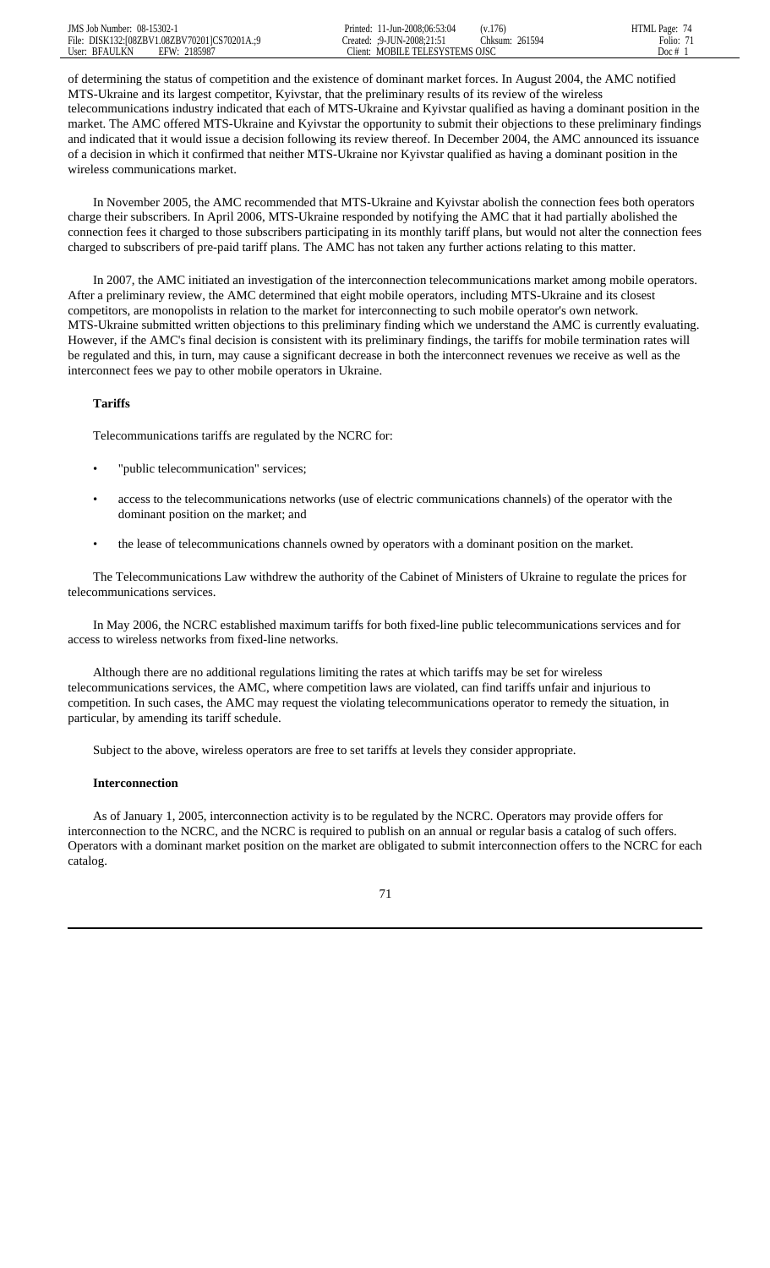of determining the status of competition and the existence of dominant market forces. In August 2004, the AMC notified MTS-Ukraine and its largest competitor, Kyivstar, that the preliminary results of its review of the wireless telecommunications industry indicated that each of MTS-Ukraine and Kyivstar qualified as having a dominant position in the market. The AMC offered MTS-Ukraine and Kyivstar the opportunity to submit their objections to these preliminary findings and indicated that it would issue a decision following its review thereof. In December 2004, the AMC announced its issuance of a decision in which it confirmed that neither MTS-Ukraine nor Kyivstar qualified as having a dominant position in the wireless communications market.

 In November 2005, the AMC recommended that MTS-Ukraine and Kyivstar abolish the connection fees both operators charge their subscribers. In April 2006, MTS-Ukraine responded by notifying the AMC that it had partially abolished the connection fees it charged to those subscribers participating in its monthly tariff plans, but would not alter the connection fees charged to subscribers of pre-paid tariff plans. The AMC has not taken any further actions relating to this matter.

 In 2007, the AMC initiated an investigation of the interconnection telecommunications market among mobile operators. After a preliminary review, the AMC determined that eight mobile operators, including MTS-Ukraine and its closest competitors, are monopolists in relation to the market for interconnecting to such mobile operator's own network. MTS-Ukraine submitted written objections to this preliminary finding which we understand the AMC is currently evaluating. However, if the AMC's final decision is consistent with its preliminary findings, the tariffs for mobile termination rates will be regulated and this, in turn, may cause a significant decrease in both the interconnect revenues we receive as well as the interconnect fees we pay to other mobile operators in Ukraine.

## **Tariffs**

Telecommunications tariffs are regulated by the NCRC for:

- "public telecommunication" services;
- access to the telecommunications networks (use of electric communications channels) of the operator with the dominant position on the market; and
- the lease of telecommunications channels owned by operators with a dominant position on the market.

 The Telecommunications Law withdrew the authority of the Cabinet of Ministers of Ukraine to regulate the prices for telecommunications services.

 In May 2006, the NCRC established maximum tariffs for both fixed-line public telecommunications services and for access to wireless networks from fixed-line networks.

 Although there are no additional regulations limiting the rates at which tariffs may be set for wireless telecommunications services, the AMC, where competition laws are violated, can find tariffs unfair and injurious to competition. In such cases, the AMC may request the violating telecommunications operator to remedy the situation, in particular, by amending its tariff schedule.

Subject to the above, wireless operators are free to set tariffs at levels they consider appropriate.

# **Interconnection**

 As of January 1, 2005, interconnection activity is to be regulated by the NCRC. Operators may provide offers for interconnection to the NCRC, and the NCRC is required to publish on an annual or regular basis a catalog of such offers. Operators with a dominant market position on the market are obligated to submit interconnection offers to the NCRC for each catalog.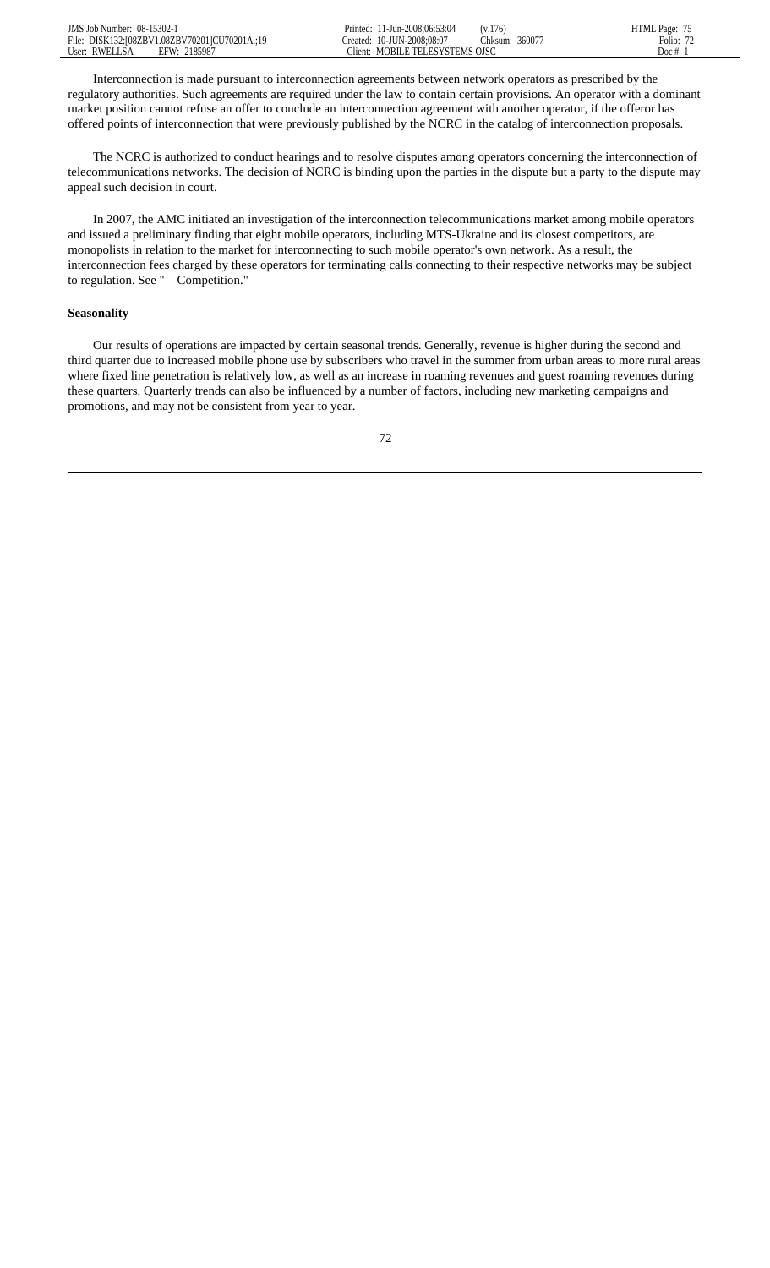Interconnection is made pursuant to interconnection agreements between network operators as prescribed by the regulatory authorities. Such agreements are required under the law to contain certain provisions. An operator with a dominant market position cannot refuse an offer to conclude an interconnection agreement with another operator, if the offeror has offered points of interconnection that were previously published by the NCRC in the catalog of interconnection proposals.

 The NCRC is authorized to conduct hearings and to resolve disputes among operators concerning the interconnection of telecommunications networks. The decision of NCRC is binding upon the parties in the dispute but a party to the dispute may appeal such decision in court.

 In 2007, the AMC initiated an investigation of the interconnection telecommunications market among mobile operators and issued a preliminary finding that eight mobile operators, including MTS-Ukraine and its closest competitors, are monopolists in relation to the market for interconnecting to such mobile operator's own network. As a result, the interconnection fees charged by these operators for terminating calls connecting to their respective networks may be subject to regulation. See "—Competition."

# **Seasonality**

 Our results of operations are impacted by certain seasonal trends. Generally, revenue is higher during the second and third quarter due to increased mobile phone use by subscribers who travel in the summer from urban areas to more rural areas where fixed line penetration is relatively low, as well as an increase in roaming revenues and guest roaming revenues during these quarters. Quarterly trends can also be influenced by a number of factors, including new marketing campaigns and promotions, and may not be consistent from year to year.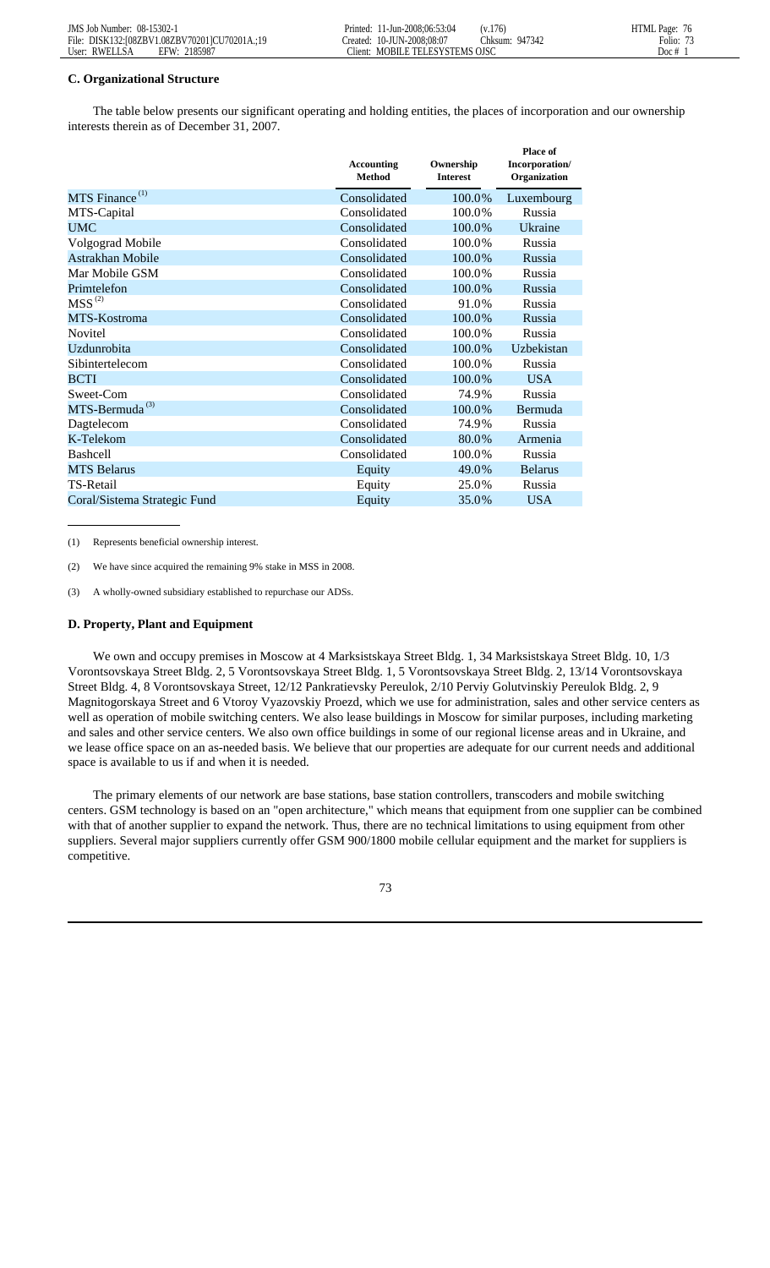## **C. Organizational Structure**

 The table below presents our significant operating and holding entities, the places of incorporation and our ownership interests therein as of December 31, 2007.

|                              | <b>Accounting</b><br><b>Method</b> | Ownership<br><b>Interest</b> | <b>Place of</b><br>Incorporation/<br>Organization |
|------------------------------|------------------------------------|------------------------------|---------------------------------------------------|
| MTS Finance <sup>(1)</sup>   | Consolidated                       | 100.0%                       | Luxembourg                                        |
| MTS-Capital                  | Consolidated                       | 100.0%                       | Russia                                            |
| <b>UMC</b>                   | Consolidated                       | 100.0%                       | Ukraine                                           |
| Volgograd Mobile             | Consolidated                       | 100.0%                       | Russia                                            |
| Astrakhan Mobile             | Consolidated                       | 100.0%                       | Russia                                            |
| Mar Mobile GSM               | Consolidated                       | 100.0%                       | Russia                                            |
| Primtelefon                  | Consolidated                       | 100.0%                       | Russia                                            |
| $MSS^{(2)}$                  | Consolidated                       | 91.0%                        | Russia                                            |
| MTS-Kostroma                 | Consolidated                       | 100.0%                       | Russia                                            |
| Novitel                      | Consolidated                       | 100.0%                       | Russia                                            |
| Uzdunrobita                  | Consolidated                       | 100.0%                       | Uzbekistan                                        |
| Sibintertelecom              | Consolidated                       | 100.0%                       | Russia                                            |
| <b>BCTI</b>                  | Consolidated                       | 100.0%                       | <b>USA</b>                                        |
| Sweet-Com                    | Consolidated                       | 74.9%                        | Russia                                            |
| $MTS-Bermuda(3)$             | Consolidated                       | 100.0%                       | Bermuda                                           |
| Dagtelecom                   | Consolidated                       | 74.9%                        | Russia                                            |
| K-Telekom                    | Consolidated                       | 80.0%                        | Armenia                                           |
| <b>Bashcell</b>              | Consolidated                       | 100.0%                       | Russia                                            |
| <b>MTS Belarus</b>           | Equity                             | 49.0%                        | <b>Belarus</b>                                    |
| TS-Retail                    | Equity                             | 25.0%                        | Russia                                            |
| Coral/Sistema Strategic Fund | Equity                             | 35.0%                        | <b>USA</b>                                        |
|                              |                                    |                              |                                                   |

(1) Represents beneficial ownership interest.

(2) We have since acquired the remaining 9% stake in MSS in 2008.

(3) A wholly-owned subsidiary established to repurchase our ADSs.

### **D. Property, Plant and Equipment**

 We own and occupy premises in Moscow at 4 Marksistskaya Street Bldg. 1, 34 Marksistskaya Street Bldg. 10, 1/3 Vorontsovskaya Street Bldg. 2, 5 Vorontsovskaya Street Bldg. 1, 5 Vorontsovskaya Street Bldg. 2, 13/14 Vorontsovskaya Street Bldg. 4, 8 Vorontsovskaya Street, 12/12 Pankratievsky Pereulok, 2/10 Perviy Golutvinskiy Pereulok Bldg. 2, 9 Magnitogorskaya Street and 6 Vtoroy Vyazovskiy Proezd, which we use for administration, sales and other service centers as well as operation of mobile switching centers. We also lease buildings in Moscow for similar purposes, including marketing and sales and other service centers. We also own office buildings in some of our regional license areas and in Ukraine, and we lease office space on an as-needed basis. We believe that our properties are adequate for our current needs and additional space is available to us if and when it is needed.

 The primary elements of our network are base stations, base station controllers, transcoders and mobile switching centers. GSM technology is based on an "open architecture," which means that equipment from one supplier can be combined with that of another supplier to expand the network. Thus, there are no technical limitations to using equipment from other suppliers. Several major suppliers currently offer GSM 900/1800 mobile cellular equipment and the market for suppliers is competitive.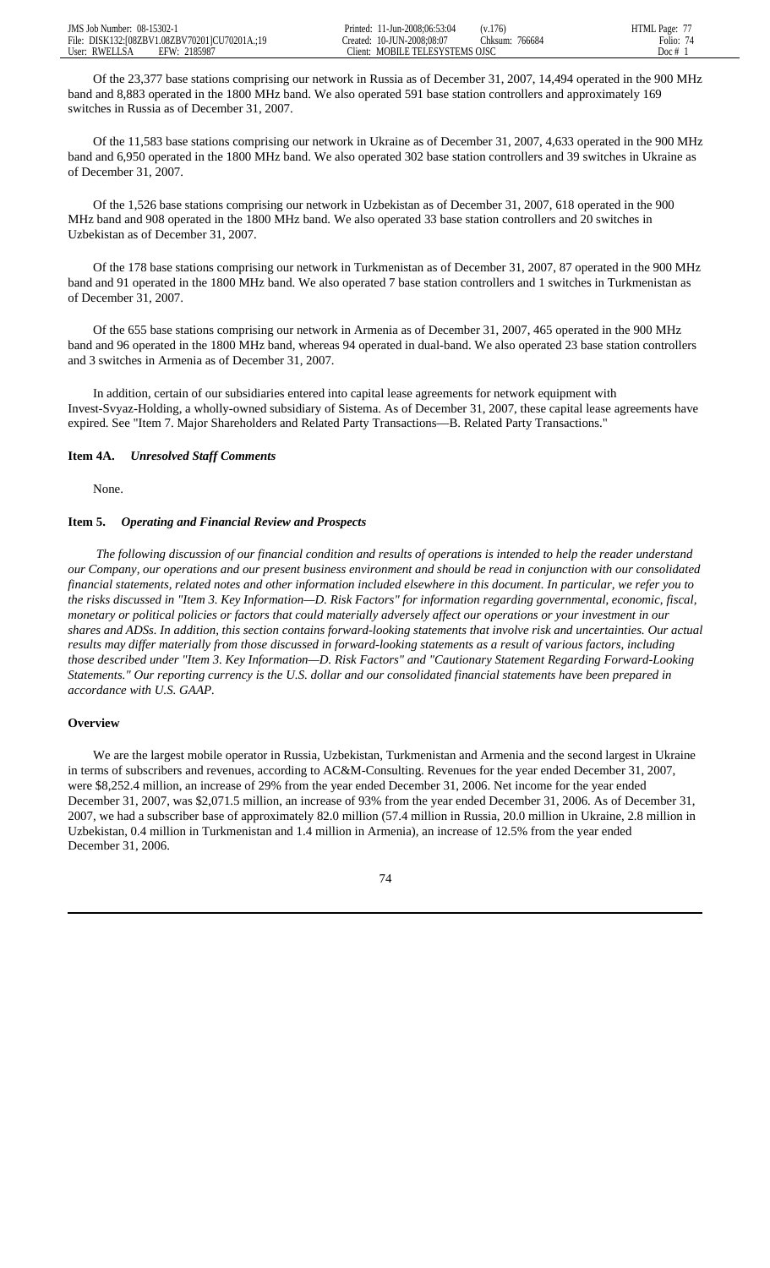Of the 23,377 base stations comprising our network in Russia as of December 31, 2007, 14,494 operated in the 900 MHz band and 8,883 operated in the 1800 MHz band. We also operated 591 base station controllers and approximately 169 switches in Russia as of December 31, 2007.

 Of the 11,583 base stations comprising our network in Ukraine as of December 31, 2007, 4,633 operated in the 900 MHz band and 6,950 operated in the 1800 MHz band. We also operated 302 base station controllers and 39 switches in Ukraine as of December 31, 2007.

 Of the 1,526 base stations comprising our network in Uzbekistan as of December 31, 2007, 618 operated in the 900 MHz band and 908 operated in the 1800 MHz band. We also operated 33 base station controllers and 20 switches in Uzbekistan as of December 31, 2007.

 Of the 178 base stations comprising our network in Turkmenistan as of December 31, 2007, 87 operated in the 900 MHz band and 91 operated in the 1800 MHz band. We also operated 7 base station controllers and 1 switches in Turkmenistan as of December 31, 2007.

 Of the 655 base stations comprising our network in Armenia as of December 31, 2007, 465 operated in the 900 MHz band and 96 operated in the 1800 MHz band, whereas 94 operated in dual-band. We also operated 23 base station controllers and 3 switches in Armenia as of December 31, 2007.

 In addition, certain of our subsidiaries entered into capital lease agreements for network equipment with Invest-Svyaz-Holding, a wholly-owned subsidiary of Sistema. As of December 31, 2007, these capital lease agreements have expired. See "Item 7. Major Shareholders and Related Party Transactions—B. Related Party Transactions."

### **Item 4A.** *Unresolved Staff Comments*

None.

# **Item 5.** *Operating and Financial Review and Prospects*

 *The following discussion of our financial condition and results of operations is intended to help the reader understand our Company, our operations and our present business environment and should be read in conjunction with our consolidated financial statements, related notes and other information included elsewhere in this document. In particular, we refer you to the risks discussed in "Item 3. Key Information—D. Risk Factors" for information regarding governmental, economic, fiscal, monetary or political policies or factors that could materially adversely affect our operations or your investment in our shares and ADSs. In addition, this section contains forward-looking statements that involve risk and uncertainties. Our actual results may differ materially from those discussed in forward-looking statements as a result of various factors, including those described under "Item 3. Key Information—D. Risk Factors" and "Cautionary Statement Regarding Forward-Looking Statements." Our reporting currency is the U.S. dollar and our consolidated financial statements have been prepared in accordance with U.S. GAAP.*

## **Overview**

 We are the largest mobile operator in Russia, Uzbekistan, Turkmenistan and Armenia and the second largest in Ukraine in terms of subscribers and revenues, according to AC&M-Consulting. Revenues for the year ended December 31, 2007, were \$8,252.4 million, an increase of 29% from the year ended December 31, 2006. Net income for the year ended December 31, 2007, was \$2,071.5 million, an increase of 93% from the year ended December 31, 2006. As of December 31, 2007, we had a subscriber base of approximately 82.0 million (57.4 million in Russia, 20.0 million in Ukraine, 2.8 million in Uzbekistan, 0.4 million in Turkmenistan and 1.4 million in Armenia), an increase of 12.5% from the year ended December 31, 2006.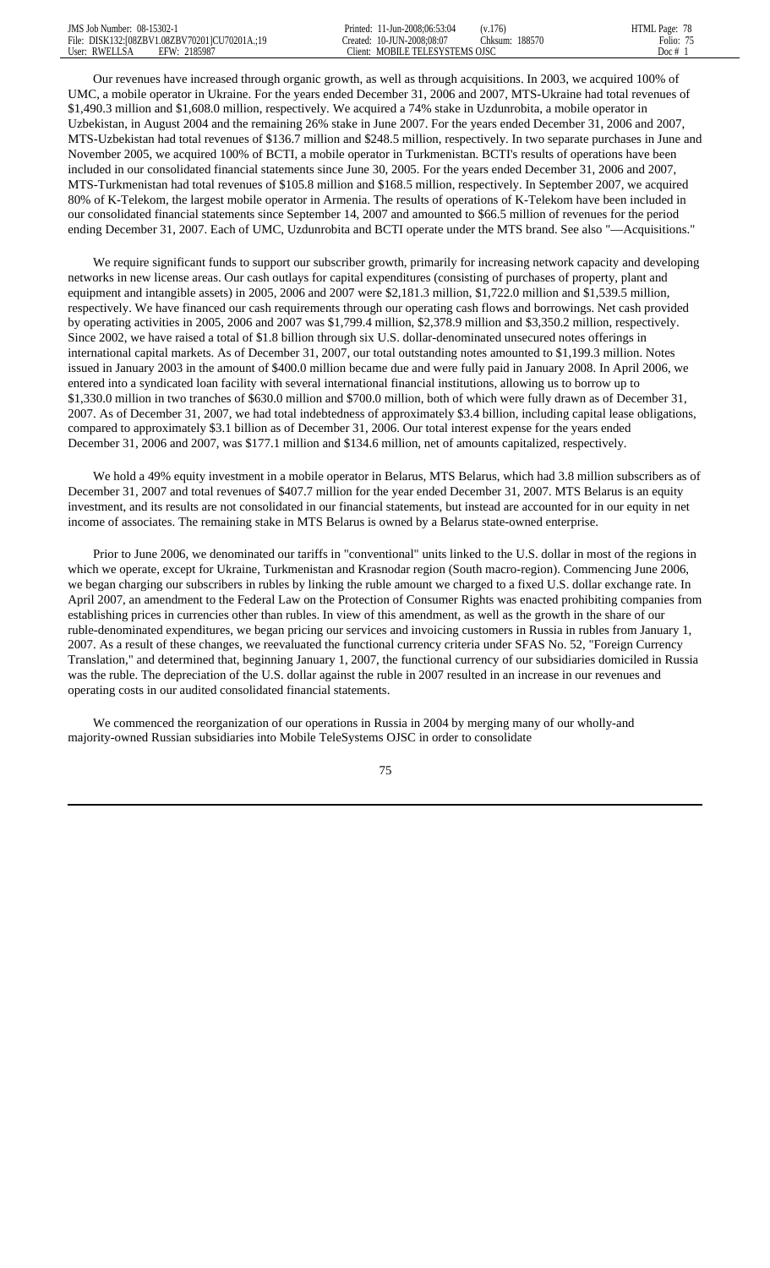Our revenues have increased through organic growth, as well as through acquisitions. In 2003, we acquired 100% of UMC, a mobile operator in Ukraine. For the years ended December 31, 2006 and 2007, MTS-Ukraine had total revenues of \$1,490.3 million and \$1,608.0 million, respectively. We acquired a 74% stake in Uzdunrobita, a mobile operator in Uzbekistan, in August 2004 and the remaining 26% stake in June 2007. For the years ended December 31, 2006 and 2007, MTS-Uzbekistan had total revenues of \$136.7 million and \$248.5 million, respectively. In two separate purchases in June and November 2005, we acquired 100% of BCTI, a mobile operator in Turkmenistan. BCTI's results of operations have been included in our consolidated financial statements since June 30, 2005. For the years ended December 31, 2006 and 2007, MTS-Turkmenistan had total revenues of \$105.8 million and \$168.5 million, respectively. In September 2007, we acquired 80% of K-Telekom, the largest mobile operator in Armenia. The results of operations of K-Telekom have been included in our consolidated financial statements since September 14, 2007 and amounted to \$66.5 million of revenues for the period ending December 31, 2007. Each of UMC, Uzdunrobita and BCTI operate under the MTS brand. See also "—Acquisitions."

 We require significant funds to support our subscriber growth, primarily for increasing network capacity and developing networks in new license areas. Our cash outlays for capital expenditures (consisting of purchases of property, plant and equipment and intangible assets) in 2005, 2006 and 2007 were \$2,181.3 million, \$1,722.0 million and \$1,539.5 million, respectively. We have financed our cash requirements through our operating cash flows and borrowings. Net cash provided by operating activities in 2005, 2006 and 2007 was \$1,799.4 million, \$2,378.9 million and \$3,350.2 million, respectively. Since 2002, we have raised a total of \$1.8 billion through six U.S. dollar-denominated unsecured notes offerings in international capital markets. As of December 31, 2007, our total outstanding notes amounted to \$1,199.3 million. Notes issued in January 2003 in the amount of \$400.0 million became due and were fully paid in January 2008. In April 2006, we entered into a syndicated loan facility with several international financial institutions, allowing us to borrow up to \$1,330.0 million in two tranches of \$630.0 million and \$700.0 million, both of which were fully drawn as of December 31, 2007. As of December 31, 2007, we had total indebtedness of approximately \$3.4 billion, including capital lease obligations, compared to approximately \$3.1 billion as of December 31, 2006. Our total interest expense for the years ended December 31, 2006 and 2007, was \$177.1 million and \$134.6 million, net of amounts capitalized, respectively.

 We hold a 49% equity investment in a mobile operator in Belarus, MTS Belarus, which had 3.8 million subscribers as of December 31, 2007 and total revenues of \$407.7 million for the year ended December 31, 2007. MTS Belarus is an equity investment, and its results are not consolidated in our financial statements, but instead are accounted for in our equity in net income of associates. The remaining stake in MTS Belarus is owned by a Belarus state-owned enterprise.

 Prior to June 2006, we denominated our tariffs in "conventional" units linked to the U.S. dollar in most of the regions in which we operate, except for Ukraine, Turkmenistan and Krasnodar region (South macro-region). Commencing June 2006, we began charging our subscribers in rubles by linking the ruble amount we charged to a fixed U.S. dollar exchange rate. In April 2007, an amendment to the Federal Law on the Protection of Consumer Rights was enacted prohibiting companies from establishing prices in currencies other than rubles. In view of this amendment, as well as the growth in the share of our ruble-denominated expenditures, we began pricing our services and invoicing customers in Russia in rubles from January 1, 2007. As a result of these changes, we reevaluated the functional currency criteria under SFAS No. 52, "Foreign Currency Translation," and determined that, beginning January 1, 2007, the functional currency of our subsidiaries domiciled in Russia was the ruble. The depreciation of the U.S. dollar against the ruble in 2007 resulted in an increase in our revenues and operating costs in our audited consolidated financial statements.

 We commenced the reorganization of our operations in Russia in 2004 by merging many of our wholly-and majority-owned Russian subsidiaries into Mobile TeleSystems OJSC in order to consolidate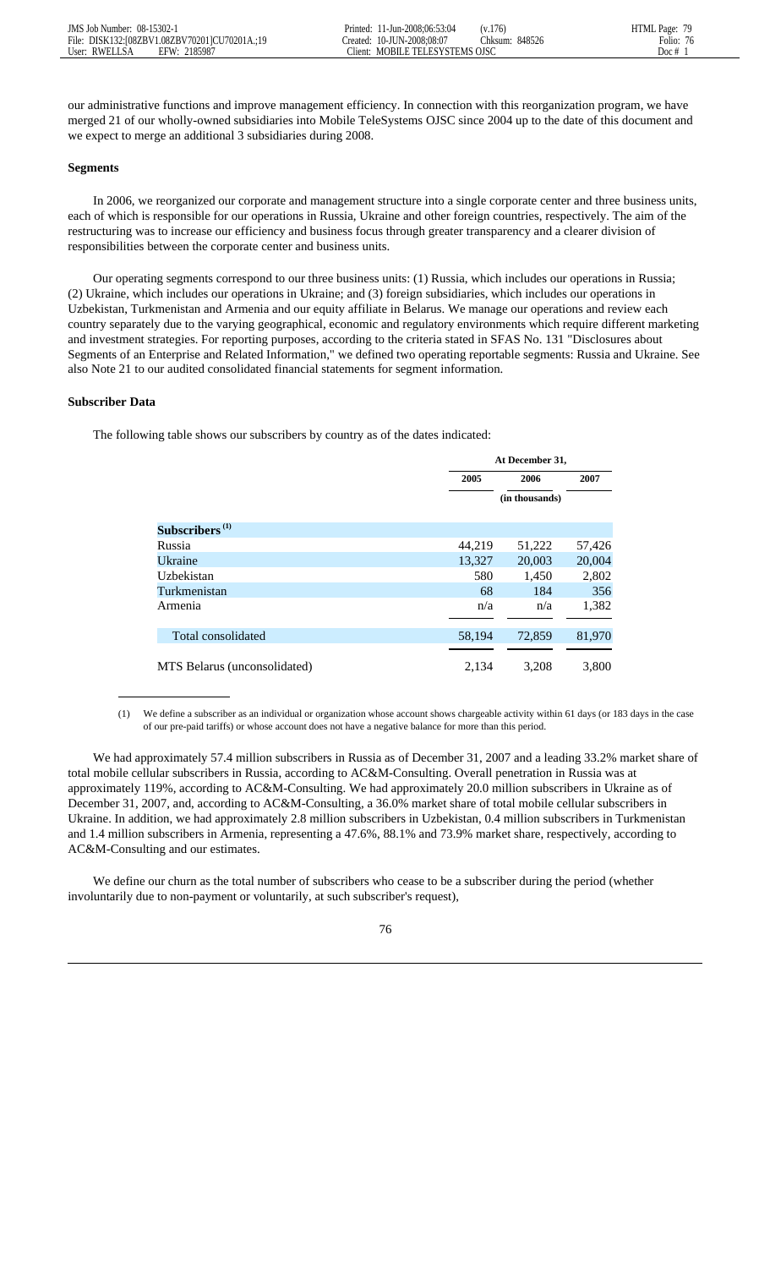our administrative functions and improve management efficiency. In connection with this reorganization program, we have merged 21 of our wholly-owned subsidiaries into Mobile TeleSystems OJSC since 2004 up to the date of this document and we expect to merge an additional 3 subsidiaries during 2008.

### **Segments**

 In 2006, we reorganized our corporate and management structure into a single corporate center and three business units, each of which is responsible for our operations in Russia, Ukraine and other foreign countries, respectively. The aim of the restructuring was to increase our efficiency and business focus through greater transparency and a clearer division of responsibilities between the corporate center and business units.

 Our operating segments correspond to our three business units: (1) Russia, which includes our operations in Russia; (2) Ukraine, which includes our operations in Ukraine; and (3) foreign subsidiaries, which includes our operations in Uzbekistan, Turkmenistan and Armenia and our equity affiliate in Belarus. We manage our operations and review each country separately due to the varying geographical, economic and regulatory environments which require different marketing and investment strategies. For reporting purposes, according to the criteria stated in SFAS No. 131 "Disclosures about Segments of an Enterprise and Related Information," we defined two operating reportable segments: Russia and Ukraine. See also Note 21 to our audited consolidated financial statements for segment information.

## **Subscriber Data**

The following table shows our subscribers by country as of the dates indicated:

|                              | At December 31, |        |        |  |  |
|------------------------------|-----------------|--------|--------|--|--|
|                              | 2005            | 2007   |        |  |  |
|                              | (in thousands)  |        |        |  |  |
| Subscribers <sup>(1)</sup>   |                 |        |        |  |  |
| Russia                       | 44,219          | 51,222 | 57,426 |  |  |
| Ukraine                      | 13,327          | 20,003 | 20,004 |  |  |
| Uzbekistan                   | 580             | 1,450  | 2,802  |  |  |
| Turkmenistan                 | 68              | 184    | 356    |  |  |
| Armenia                      | n/a             | n/a    | 1,382  |  |  |
| Total consolidated           | 58,194          | 72,859 | 81,970 |  |  |
| MTS Belarus (unconsolidated) | 2,134           | 3,208  | 3,800  |  |  |

<sup>(1)</sup> We define a subscriber as an individual or organization whose account shows chargeable activity within 61 days (or 183 days in the case of our pre-paid tariffs) or whose account does not have a negative balance for more than this period.

We had approximately 57.4 million subscribers in Russia as of December 31, 2007 and a leading 33.2% market share of total mobile cellular subscribers in Russia, according to AC&M-Consulting. Overall penetration in Russia was at approximately 119%, according to AC&M-Consulting. We had approximately 20.0 million subscribers in Ukraine as of December 31, 2007, and, according to AC&M-Consulting, a 36.0% market share of total mobile cellular subscribers in Ukraine. In addition, we had approximately 2.8 million subscribers in Uzbekistan, 0.4 million subscribers in Turkmenistan and 1.4 million subscribers in Armenia, representing a 47.6%, 88.1% and 73.9% market share, respectively, according to AC&M-Consulting and our estimates.

 We define our churn as the total number of subscribers who cease to be a subscriber during the period (whether involuntarily due to non-payment or voluntarily, at such subscriber's request),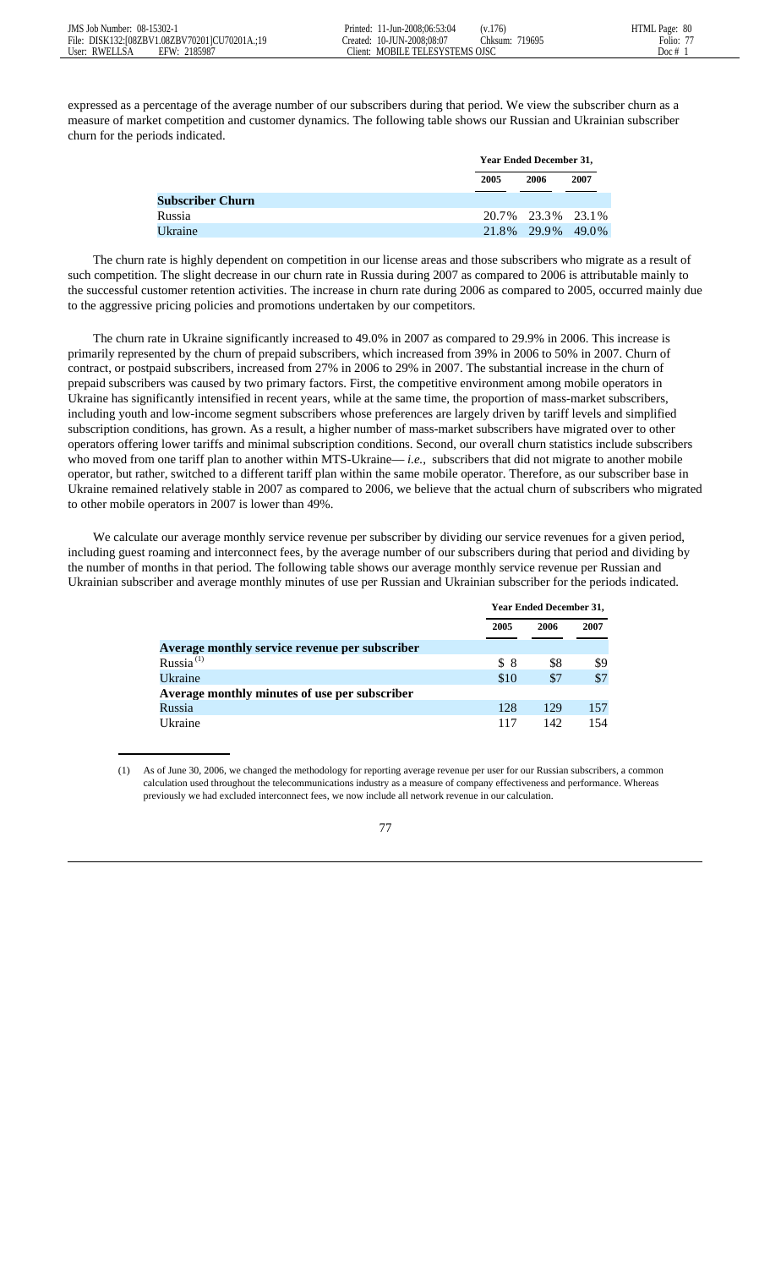expressed as a percentage of the average number of our subscribers during that period. We view the subscriber churn as a measure of market competition and customer dynamics. The following table shows our Russian and Ukrainian subscriber churn for the periods indicated.

| <b>Year Ended December 31,</b> |      |                                        |  |
|--------------------------------|------|----------------------------------------|--|
| 2005                           | 2006 | 2007                                   |  |
|                                |      |                                        |  |
|                                |      |                                        |  |
|                                |      |                                        |  |
|                                |      | 20.7% 23.3% 23.1%<br>21.8% 29.9% 49.0% |  |

 The churn rate is highly dependent on competition in our license areas and those subscribers who migrate as a result of such competition. The slight decrease in our churn rate in Russia during 2007 as compared to 2006 is attributable mainly to the successful customer retention activities. The increase in churn rate during 2006 as compared to 2005, occurred mainly due to the aggressive pricing policies and promotions undertaken by our competitors.

 The churn rate in Ukraine significantly increased to 49.0% in 2007 as compared to 29.9% in 2006. This increase is primarily represented by the churn of prepaid subscribers, which increased from 39% in 2006 to 50% in 2007. Churn of contract, or postpaid subscribers, increased from 27% in 2006 to 29% in 2007. The substantial increase in the churn of prepaid subscribers was caused by two primary factors. First, the competitive environment among mobile operators in Ukraine has significantly intensified in recent years, while at the same time, the proportion of mass-market subscribers, including youth and low-income segment subscribers whose preferences are largely driven by tariff levels and simplified subscription conditions, has grown. As a result, a higher number of mass-market subscribers have migrated over to other operators offering lower tariffs and minimal subscription conditions. Second, our overall churn statistics include subscribers who moved from one tariff plan to another within MTS-Ukraine—*i.e.*, subscribers that did not migrate to another mobile operator, but rather, switched to a different tariff plan within the same mobile operator. Therefore, as our subscriber base in Ukraine remained relatively stable in 2007 as compared to 2006, we believe that the actual churn of subscribers who migrated to other mobile operators in 2007 is lower than 49%.

 We calculate our average monthly service revenue per subscriber by dividing our service revenues for a given period, including guest roaming and interconnect fees, by the average number of our subscribers during that period and dividing by the number of months in that period. The following table shows our average monthly service revenue per Russian and Ukrainian subscriber and average monthly minutes of use per Russian and Ukrainian subscriber for the periods indicated.

|                                                | <b>Year Ended December 31,</b> |      |      |  |
|------------------------------------------------|--------------------------------|------|------|--|
|                                                | 2005                           | 2006 | 2007 |  |
| Average monthly service revenue per subscriber |                                |      |      |  |
| Russia $(1)$                                   | \$8                            | \$8  | \$9  |  |
| Ukraine                                        | \$10                           | \$7  | \$7  |  |
| Average monthly minutes of use per subscriber  |                                |      |      |  |
| Russia                                         | 128                            | 129  | 157  |  |
| Ukraine                                        | 117                            | 142  | 154  |  |

<sup>(1)</sup> As of June 30, 2006, we changed the methodology for reporting average revenue per user for our Russian subscribers, a common calculation used throughout the telecommunications industry as a measure of company effectiveness and performance. Whereas previously we had excluded interconnect fees, we now include all network revenue in our calculation.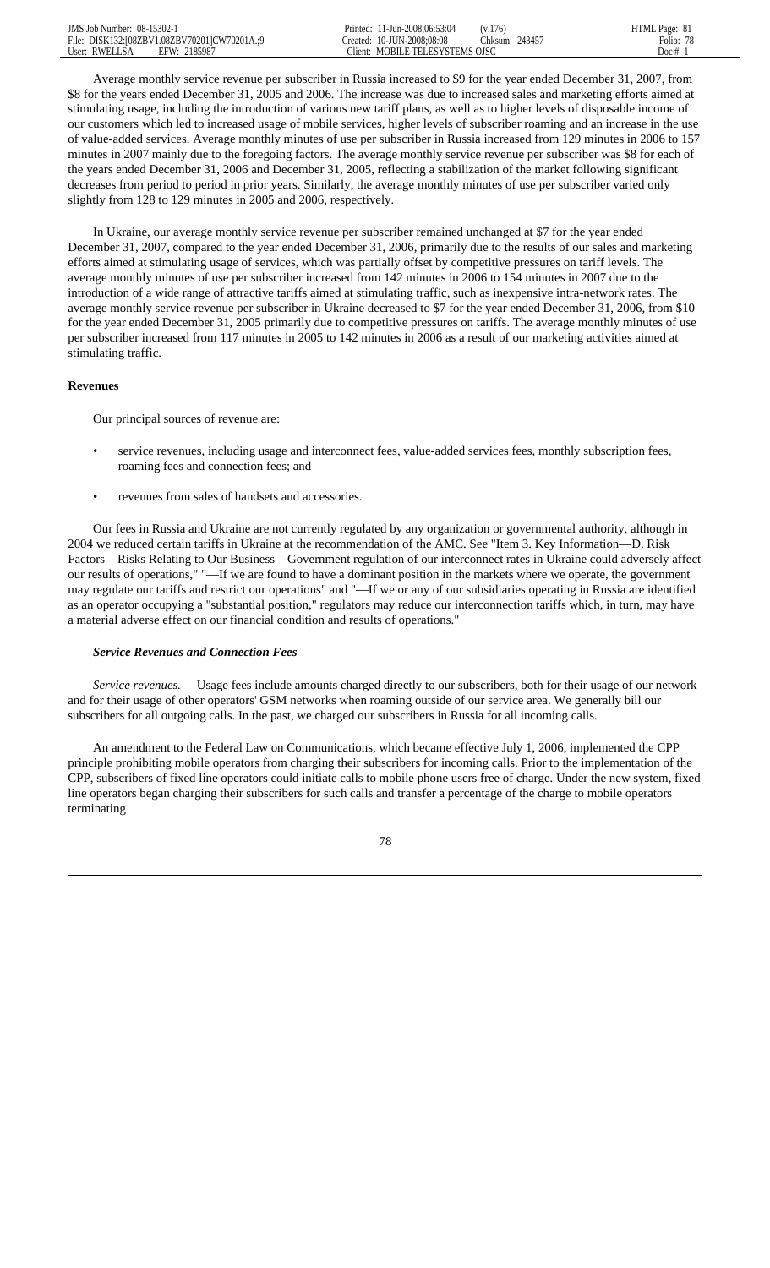Average monthly service revenue per subscriber in Russia increased to \$9 for the year ended December 31, 2007, from \$8 for the years ended December 31, 2005 and 2006. The increase was due to increased sales and marketing efforts aimed at stimulating usage, including the introduction of various new tariff plans, as well as to higher levels of disposable income of our customers which led to increased usage of mobile services, higher levels of subscriber roaming and an increase in the use of value-added services. Average monthly minutes of use per subscriber in Russia increased from 129 minutes in 2006 to 157 minutes in 2007 mainly due to the foregoing factors. The average monthly service revenue per subscriber was \$8 for each of the years ended December 31, 2006 and December 31, 2005, reflecting a stabilization of the market following significant decreases from period to period in prior years. Similarly, the average monthly minutes of use per subscriber varied only slightly from 128 to 129 minutes in 2005 and 2006, respectively.

 In Ukraine, our average monthly service revenue per subscriber remained unchanged at \$7 for the year ended December 31, 2007, compared to the year ended December 31, 2006, primarily due to the results of our sales and marketing efforts aimed at stimulating usage of services, which was partially offset by competitive pressures on tariff levels. The average monthly minutes of use per subscriber increased from 142 minutes in 2006 to 154 minutes in 2007 due to the introduction of a wide range of attractive tariffs aimed at stimulating traffic, such as inexpensive intra-network rates. The average monthly service revenue per subscriber in Ukraine decreased to \$7 for the year ended December 31, 2006, from \$10 for the year ended December 31, 2005 primarily due to competitive pressures on tariffs. The average monthly minutes of use per subscriber increased from 117 minutes in 2005 to 142 minutes in 2006 as a result of our marketing activities aimed at stimulating traffic.

### **Revenues**

Our principal sources of revenue are:

- service revenues, including usage and interconnect fees, value-added services fees, monthly subscription fees, roaming fees and connection fees; and
- revenues from sales of handsets and accessories.

 Our fees in Russia and Ukraine are not currently regulated by any organization or governmental authority, although in 2004 we reduced certain tariffs in Ukraine at the recommendation of the AMC. See "Item 3. Key Information—D. Risk Factors—Risks Relating to Our Business—Government regulation of our interconnect rates in Ukraine could adversely affect our results of operations," "—If we are found to have a dominant position in the markets where we operate, the government may regulate our tariffs and restrict our operations" and "—If we or any of our subsidiaries operating in Russia are identified as an operator occupying a "substantial position," regulators may reduce our interconnection tariffs which, in turn, may have a material adverse effect on our financial condition and results of operations."

### *Service Revenues and Connection Fees*

 *Service revenues.* Usage fees include amounts charged directly to our subscribers, both for their usage of our network and for their usage of other operators' GSM networks when roaming outside of our service area. We generally bill our subscribers for all outgoing calls. In the past, we charged our subscribers in Russia for all incoming calls.

 An amendment to the Federal Law on Communications, which became effective July 1, 2006, implemented the CPP principle prohibiting mobile operators from charging their subscribers for incoming calls. Prior to the implementation of the CPP, subscribers of fixed line operators could initiate calls to mobile phone users free of charge. Under the new system, fixed line operators began charging their subscribers for such calls and transfer a percentage of the charge to mobile operators terminating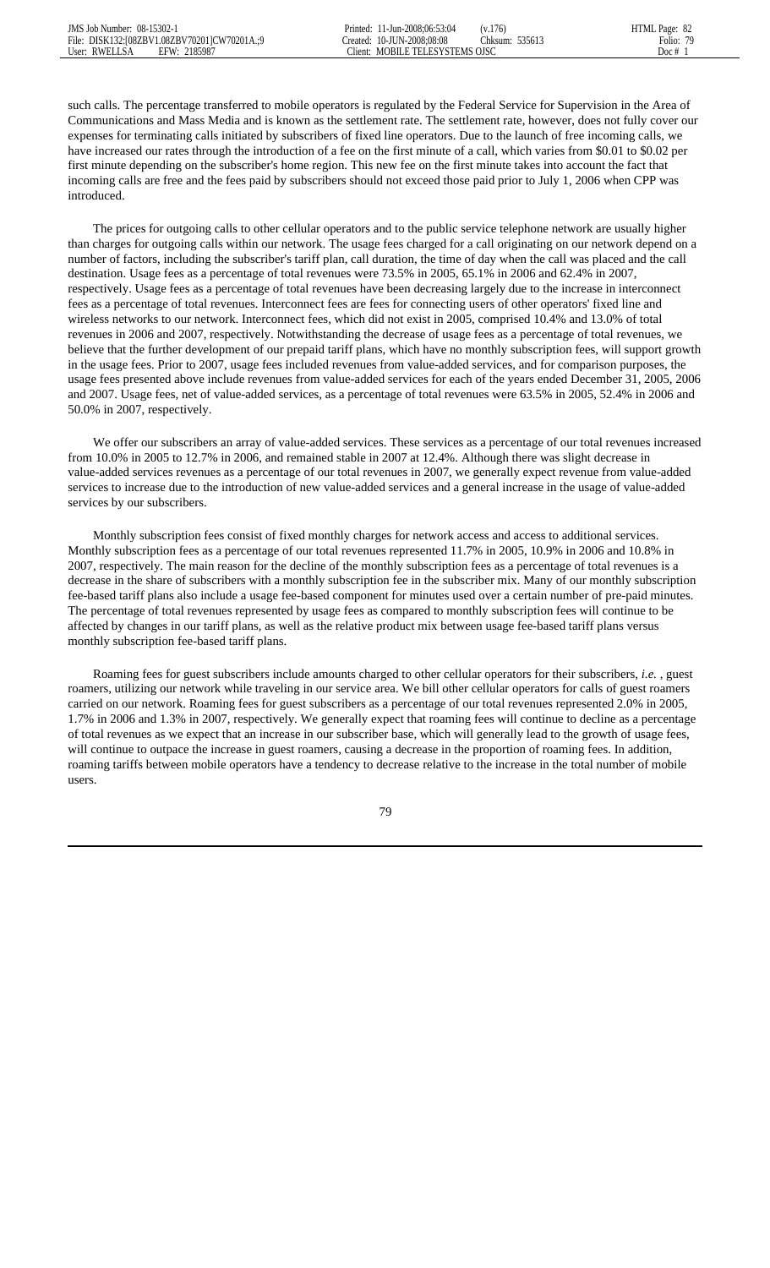such calls. The percentage transferred to mobile operators is regulated by the Federal Service for Supervision in the Area of Communications and Mass Media and is known as the settlement rate. The settlement rate, however, does not fully cover our expenses for terminating calls initiated by subscribers of fixed line operators. Due to the launch of free incoming calls, we have increased our rates through the introduction of a fee on the first minute of a call, which varies from \$0.01 to \$0.02 per first minute depending on the subscriber's home region. This new fee on the first minute takes into account the fact that incoming calls are free and the fees paid by subscribers should not exceed those paid prior to July 1, 2006 when CPP was introduced.

 The prices for outgoing calls to other cellular operators and to the public service telephone network are usually higher than charges for outgoing calls within our network. The usage fees charged for a call originating on our network depend on a number of factors, including the subscriber's tariff plan, call duration, the time of day when the call was placed and the call destination. Usage fees as a percentage of total revenues were 73.5% in 2005, 65.1% in 2006 and 62.4% in 2007, respectively. Usage fees as a percentage of total revenues have been decreasing largely due to the increase in interconnect fees as a percentage of total revenues. Interconnect fees are fees for connecting users of other operators' fixed line and wireless networks to our network. Interconnect fees, which did not exist in 2005, comprised 10.4% and 13.0% of total revenues in 2006 and 2007, respectively. Notwithstanding the decrease of usage fees as a percentage of total revenues, we believe that the further development of our prepaid tariff plans, which have no monthly subscription fees, will support growth in the usage fees. Prior to 2007, usage fees included revenues from value-added services, and for comparison purposes, the usage fees presented above include revenues from value-added services for each of the years ended December 31, 2005, 2006 and 2007. Usage fees, net of value-added services, as a percentage of total revenues were 63.5% in 2005, 52.4% in 2006 and 50.0% in 2007, respectively.

 We offer our subscribers an array of value-added services. These services as a percentage of our total revenues increased from 10.0% in 2005 to 12.7% in 2006, and remained stable in 2007 at 12.4%. Although there was slight decrease in value-added services revenues as a percentage of our total revenues in 2007, we generally expect revenue from value-added services to increase due to the introduction of new value-added services and a general increase in the usage of value-added services by our subscribers.

 Monthly subscription fees consist of fixed monthly charges for network access and access to additional services. Monthly subscription fees as a percentage of our total revenues represented 11.7% in 2005, 10.9% in 2006 and 10.8% in 2007, respectively. The main reason for the decline of the monthly subscription fees as a percentage of total revenues is a decrease in the share of subscribers with a monthly subscription fee in the subscriber mix. Many of our monthly subscription fee-based tariff plans also include a usage fee-based component for minutes used over a certain number of pre-paid minutes. The percentage of total revenues represented by usage fees as compared to monthly subscription fees will continue to be affected by changes in our tariff plans, as well as the relative product mix between usage fee-based tariff plans versus monthly subscription fee-based tariff plans.

 Roaming fees for guest subscribers include amounts charged to other cellular operators for their subscribers, *i.e.* , guest roamers, utilizing our network while traveling in our service area. We bill other cellular operators for calls of guest roamers carried on our network. Roaming fees for guest subscribers as a percentage of our total revenues represented 2.0% in 2005, 1.7% in 2006 and 1.3% in 2007, respectively. We generally expect that roaming fees will continue to decline as a percentage of total revenues as we expect that an increase in our subscriber base, which will generally lead to the growth of usage fees, will continue to outpace the increase in guest roamers, causing a decrease in the proportion of roaming fees. In addition, roaming tariffs between mobile operators have a tendency to decrease relative to the increase in the total number of mobile users.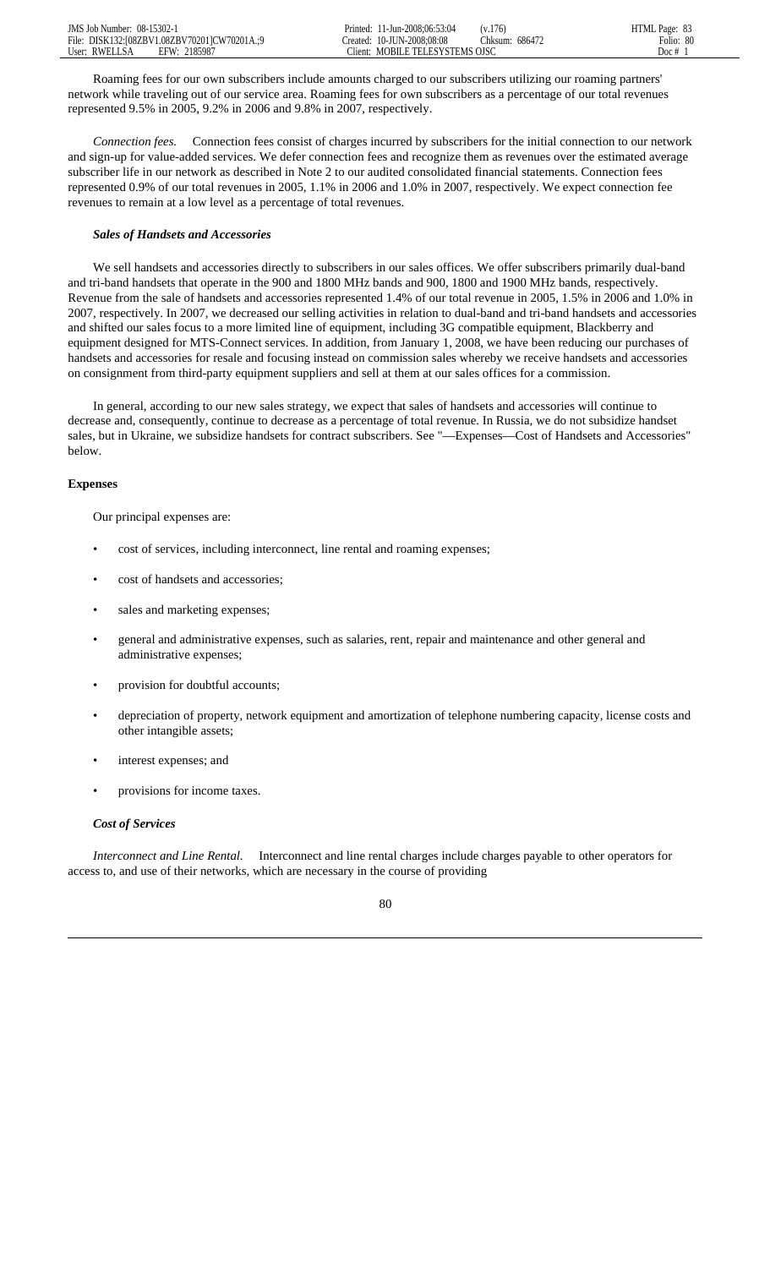Roaming fees for our own subscribers include amounts charged to our subscribers utilizing our roaming partners' network while traveling out of our service area. Roaming fees for own subscribers as a percentage of our total revenues represented 9.5% in 2005, 9.2% in 2006 and 9.8% in 2007, respectively.

 *Connection fees.* Connection fees consist of charges incurred by subscribers for the initial connection to our network and sign-up for value-added services. We defer connection fees and recognize them as revenues over the estimated average subscriber life in our network as described in Note 2 to our audited consolidated financial statements. Connection fees represented 0.9% of our total revenues in 2005, 1.1% in 2006 and 1.0% in 2007, respectively. We expect connection fee revenues to remain at a low level as a percentage of total revenues.

### *Sales of Handsets and Accessories*

 We sell handsets and accessories directly to subscribers in our sales offices. We offer subscribers primarily dual-band and tri-band handsets that operate in the 900 and 1800 MHz bands and 900, 1800 and 1900 MHz bands, respectively. Revenue from the sale of handsets and accessories represented 1.4% of our total revenue in 2005, 1.5% in 2006 and 1.0% in 2007, respectively. In 2007, we decreased our selling activities in relation to dual-band and tri-band handsets and accessories and shifted our sales focus to a more limited line of equipment, including 3G compatible equipment, Blackberry and equipment designed for MTS-Connect services. In addition, from January 1, 2008, we have been reducing our purchases of handsets and accessories for resale and focusing instead on commission sales whereby we receive handsets and accessories on consignment from third-party equipment suppliers and sell at them at our sales offices for a commission.

 In general, according to our new sales strategy, we expect that sales of handsets and accessories will continue to decrease and, consequently, continue to decrease as a percentage of total revenue. In Russia, we do not subsidize handset sales, but in Ukraine, we subsidize handsets for contract subscribers. See "—Expenses—Cost of Handsets and Accessories" below.

### **Expenses**

Our principal expenses are:

- cost of services, including interconnect, line rental and roaming expenses;
- cost of handsets and accessories;
- sales and marketing expenses;
- general and administrative expenses, such as salaries, rent, repair and maintenance and other general and administrative expenses;
- provision for doubtful accounts;
- depreciation of property, network equipment and amortization of telephone numbering capacity, license costs and other intangible assets;
- interest expenses; and
- provisions for income taxes.

## *Cost of Services*

 *Interconnect and Line Rental.* Interconnect and line rental charges include charges payable to other operators for access to, and use of their networks, which are necessary in the course of providing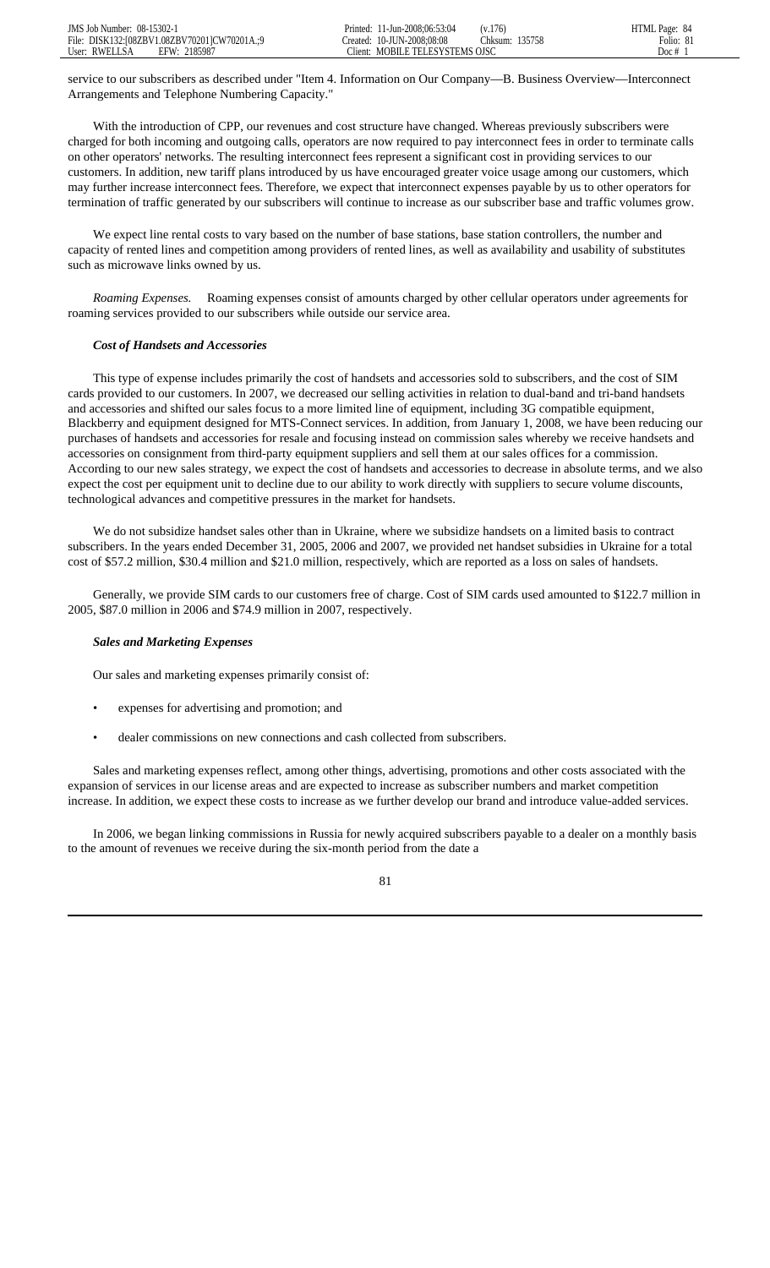service to our subscribers as described under "Item 4. Information on Our Company—B. Business Overview—Interconnect Arrangements and Telephone Numbering Capacity."

 With the introduction of CPP, our revenues and cost structure have changed. Whereas previously subscribers were charged for both incoming and outgoing calls, operators are now required to pay interconnect fees in order to terminate calls on other operators' networks. The resulting interconnect fees represent a significant cost in providing services to our customers. In addition, new tariff plans introduced by us have encouraged greater voice usage among our customers, which may further increase interconnect fees. Therefore, we expect that interconnect expenses payable by us to other operators for termination of traffic generated by our subscribers will continue to increase as our subscriber base and traffic volumes grow.

 We expect line rental costs to vary based on the number of base stations, base station controllers, the number and capacity of rented lines and competition among providers of rented lines, as well as availability and usability of substitutes such as microwave links owned by us.

 *Roaming Expenses.* Roaming expenses consist of amounts charged by other cellular operators under agreements for roaming services provided to our subscribers while outside our service area.

# *Cost of Handsets and Accessories*

 This type of expense includes primarily the cost of handsets and accessories sold to subscribers, and the cost of SIM cards provided to our customers. In 2007, we decreased our selling activities in relation to dual-band and tri-band handsets and accessories and shifted our sales focus to a more limited line of equipment, including 3G compatible equipment, Blackberry and equipment designed for MTS-Connect services. In addition, from January 1, 2008, we have been reducing our purchases of handsets and accessories for resale and focusing instead on commission sales whereby we receive handsets and accessories on consignment from third-party equipment suppliers and sell them at our sales offices for a commission. According to our new sales strategy, we expect the cost of handsets and accessories to decrease in absolute terms, and we also expect the cost per equipment unit to decline due to our ability to work directly with suppliers to secure volume discounts, technological advances and competitive pressures in the market for handsets.

 We do not subsidize handset sales other than in Ukraine, where we subsidize handsets on a limited basis to contract subscribers. In the years ended December 31, 2005, 2006 and 2007, we provided net handset subsidies in Ukraine for a total cost of \$57.2 million, \$30.4 million and \$21.0 million, respectively, which are reported as a loss on sales of handsets.

 Generally, we provide SIM cards to our customers free of charge. Cost of SIM cards used amounted to \$122.7 million in 2005, \$87.0 million in 2006 and \$74.9 million in 2007, respectively.

# *Sales and Marketing Expenses*

Our sales and marketing expenses primarily consist of:

- expenses for advertising and promotion; and
- dealer commissions on new connections and cash collected from subscribers.

 Sales and marketing expenses reflect, among other things, advertising, promotions and other costs associated with the expansion of services in our license areas and are expected to increase as subscriber numbers and market competition increase. In addition, we expect these costs to increase as we further develop our brand and introduce value-added services.

 In 2006, we began linking commissions in Russia for newly acquired subscribers payable to a dealer on a monthly basis to the amount of revenues we receive during the six-month period from the date a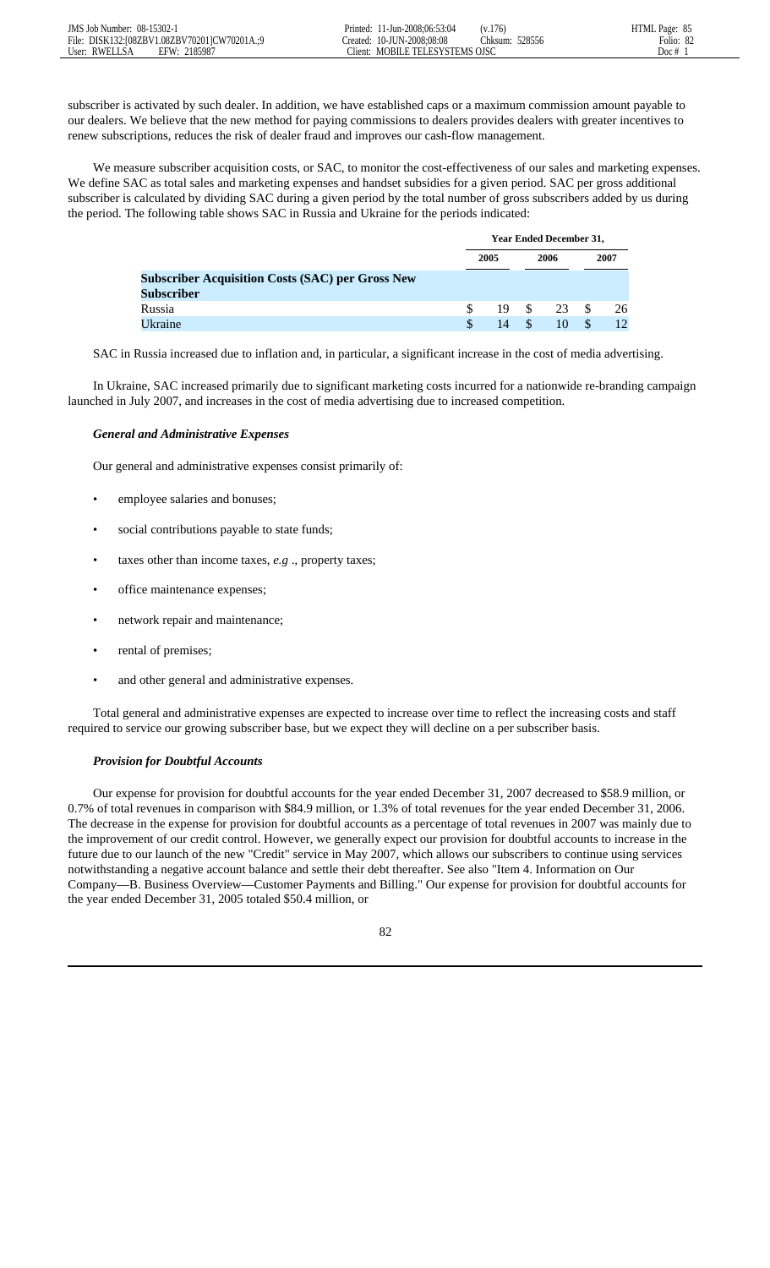subscriber is activated by such dealer. In addition, we have established caps or a maximum commission amount payable to our dealers. We believe that the new method for paying commissions to dealers provides dealers with greater incentives to renew subscriptions, reduces the risk of dealer fraud and improves our cash-flow management.

We measure subscriber acquisition costs, or SAC, to monitor the cost-effectiveness of our sales and marketing expenses. We define SAC as total sales and marketing expenses and handset subsidies for a given period. SAC per gross additional subscriber is calculated by dividing SAC during a given period by the total number of gross subscribers added by us during the period. The following table shows SAC in Russia and Ukraine for the periods indicated:

|                                                         | <b>Year Ended December 31,</b> |      |     |      |     |      |
|---------------------------------------------------------|--------------------------------|------|-----|------|-----|------|
|                                                         |                                | 2005 |     | 2006 |     | 2007 |
| <b>Subscriber Acquisition Costs (SAC) per Gross New</b> |                                |      |     |      |     |      |
| <b>Subscriber</b>                                       |                                |      |     |      |     |      |
| Russia                                                  |                                | 19   | - S | 23   | \$. | 26   |
| Ukraine                                                 |                                | 14   |     | 10   |     | 12   |

SAC in Russia increased due to inflation and, in particular, a significant increase in the cost of media advertising.

 In Ukraine, SAC increased primarily due to significant marketing costs incurred for a nationwide re-branding campaign launched in July 2007, and increases in the cost of media advertising due to increased competition.

## *General and Administrative Expenses*

Our general and administrative expenses consist primarily of:

- employee salaries and bonuses;
- social contributions payable to state funds;
- taxes other than income taxes,  $e.g.$ , property taxes;
- office maintenance expenses;
- network repair and maintenance;
- rental of premises;
- and other general and administrative expenses.

 Total general and administrative expenses are expected to increase over time to reflect the increasing costs and staff required to service our growing subscriber base, but we expect they will decline on a per subscriber basis.

## *Provision for Doubtful Accounts*

 Our expense for provision for doubtful accounts for the year ended December 31, 2007 decreased to \$58.9 million, or 0.7% of total revenues in comparison with \$84.9 million, or 1.3% of total revenues for the year ended December 31, 2006. The decrease in the expense for provision for doubtful accounts as a percentage of total revenues in 2007 was mainly due to the improvement of our credit control. However, we generally expect our provision for doubtful accounts to increase in the future due to our launch of the new "Credit" service in May 2007, which allows our subscribers to continue using services notwithstanding a negative account balance and settle their debt thereafter. See also "Item 4. Information on Our Company—B. Business Overview—Customer Payments and Billing." Our expense for provision for doubtful accounts for the year ended December 31, 2005 totaled \$50.4 million, or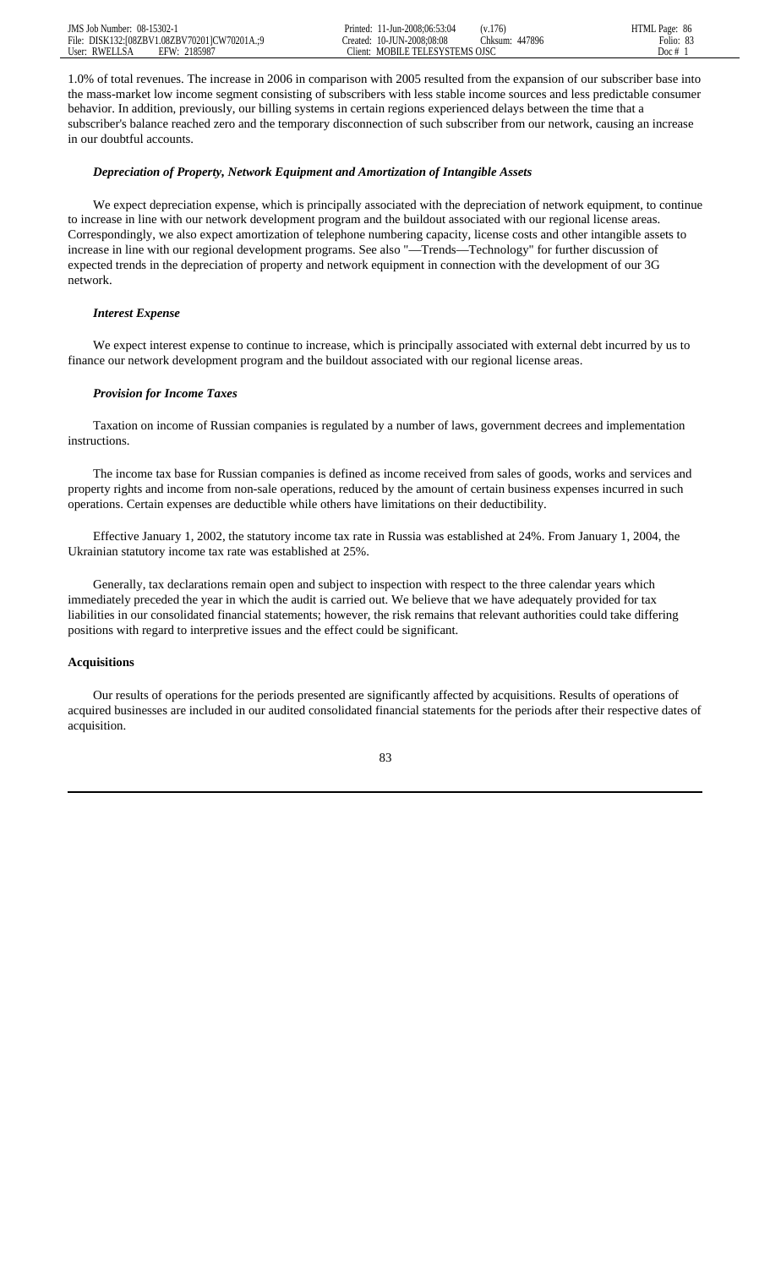1.0% of total revenues. The increase in 2006 in comparison with 2005 resulted from the expansion of our subscriber base into the mass-market low income segment consisting of subscribers with less stable income sources and less predictable consumer behavior. In addition, previously, our billing systems in certain regions experienced delays between the time that a subscriber's balance reached zero and the temporary disconnection of such subscriber from our network, causing an increase in our doubtful accounts.

## *Depreciation of Property, Network Equipment and Amortization of Intangible Assets*

 We expect depreciation expense, which is principally associated with the depreciation of network equipment, to continue to increase in line with our network development program and the buildout associated with our regional license areas. Correspondingly, we also expect amortization of telephone numbering capacity, license costs and other intangible assets to increase in line with our regional development programs. See also "—Trends—Technology" for further discussion of expected trends in the depreciation of property and network equipment in connection with the development of our 3G network.

# *Interest Expense*

 We expect interest expense to continue to increase, which is principally associated with external debt incurred by us to finance our network development program and the buildout associated with our regional license areas.

## *Provision for Income Taxes*

 Taxation on income of Russian companies is regulated by a number of laws, government decrees and implementation instructions.

 The income tax base for Russian companies is defined as income received from sales of goods, works and services and property rights and income from non-sale operations, reduced by the amount of certain business expenses incurred in such operations. Certain expenses are deductible while others have limitations on their deductibility.

 Effective January 1, 2002, the statutory income tax rate in Russia was established at 24%. From January 1, 2004, the Ukrainian statutory income tax rate was established at 25%.

 Generally, tax declarations remain open and subject to inspection with respect to the three calendar years which immediately preceded the year in which the audit is carried out. We believe that we have adequately provided for tax liabilities in our consolidated financial statements; however, the risk remains that relevant authorities could take differing positions with regard to interpretive issues and the effect could be significant.

## **Acquisitions**

 Our results of operations for the periods presented are significantly affected by acquisitions. Results of operations of acquired businesses are included in our audited consolidated financial statements for the periods after their respective dates of acquisition.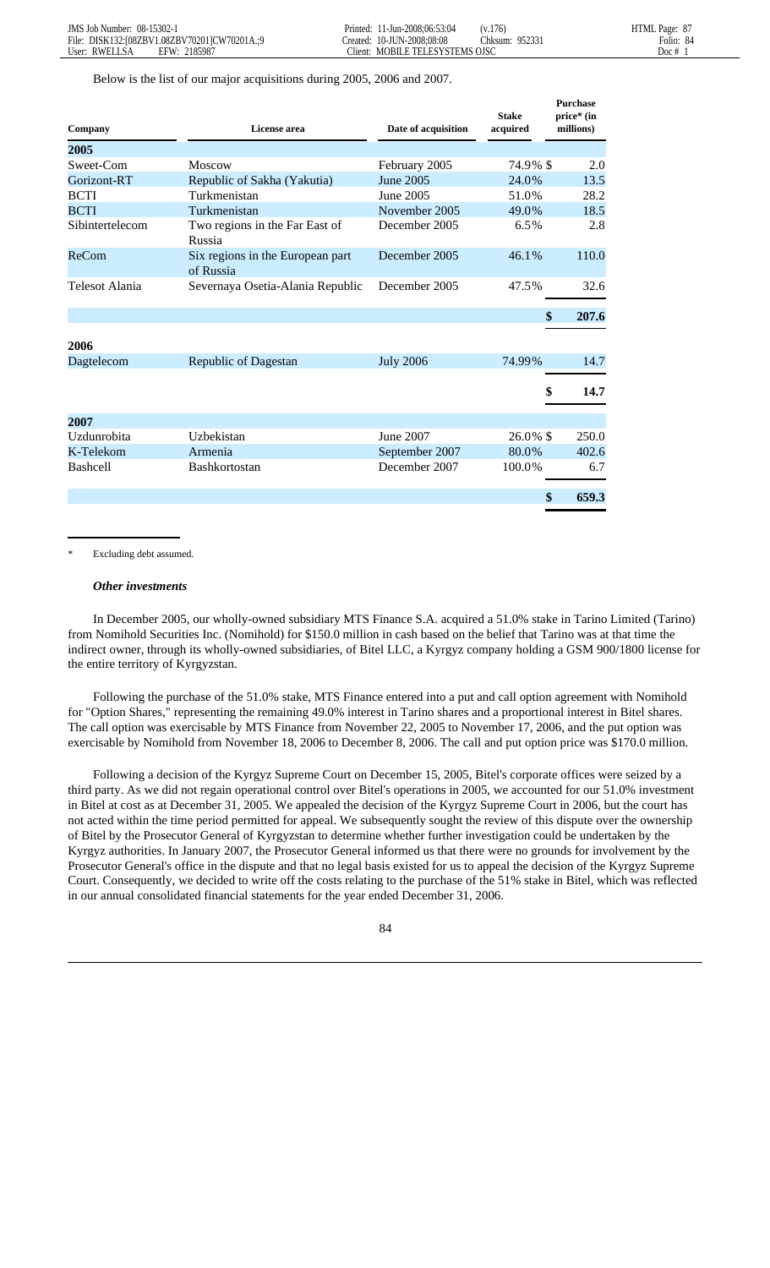Below is the list of our major acquisitions during 2005, 2006 and 2007.

| Company         | License area                                  | Date of acquisition | <b>Stake</b><br>acquired | <b>Purchase</b><br>price* (in<br>millions) |
|-----------------|-----------------------------------------------|---------------------|--------------------------|--------------------------------------------|
| 2005            |                                               |                     |                          |                                            |
| Sweet-Com       | <b>Moscow</b>                                 | February 2005       | 74.9% \$                 | 2.0                                        |
| Gorizont-RT     | Republic of Sakha (Yakutia)                   | June 2005           | 24.0%                    | 13.5                                       |
| <b>BCTI</b>     | Turkmenistan                                  | June 2005           | 51.0%                    | 28.2                                       |
| <b>BCTI</b>     | Turkmenistan                                  | November 2005       | 49.0%                    | 18.5                                       |
| Sibintertelecom | Two regions in the Far East of<br>Russia      | December 2005       | $6.5\%$                  | 2.8                                        |
| ReCom           | Six regions in the European part<br>of Russia | December 2005       | 46.1%                    | 110.0                                      |
| Telesot Alania  | Severnaya Osetia-Alania Republic              | December 2005       | 47.5%                    | 32.6                                       |
|                 |                                               |                     |                          | \$<br>207.6                                |
| 2006            |                                               |                     |                          |                                            |
| Dagtelecom      | Republic of Dagestan                          | <b>July 2006</b>    | 74.99%                   | 14.7                                       |
|                 |                                               |                     |                          | 14.7<br>\$                                 |
| 2007            |                                               |                     |                          |                                            |
| Uzdunrobita     | Uzbekistan                                    | June 2007           | 26.0% \$                 | 250.0                                      |
| K-Telekom       | Armenia                                       | September 2007      | 80.0%                    | 402.6                                      |
| Bashcell        | <b>Bashkortostan</b>                          | December 2007       | 100.0%                   | 6.7                                        |
|                 |                                               |                     |                          | \$<br>659.3                                |
|                 |                                               |                     |                          |                                            |

Excluding debt assumed.

#### *Other investments*

 In December 2005, our wholly-owned subsidiary MTS Finance S.A. acquired a 51.0% stake in Tarino Limited (Tarino) from Nomihold Securities Inc. (Nomihold) for \$150.0 million in cash based on the belief that Tarino was at that time the indirect owner, through its wholly-owned subsidiaries, of Bitel LLC, a Kyrgyz company holding a GSM 900/1800 license for the entire territory of Kyrgyzstan.

 Following the purchase of the 51.0% stake, MTS Finance entered into a put and call option agreement with Nomihold for "Option Shares," representing the remaining 49.0% interest in Tarino shares and a proportional interest in Bitel shares. The call option was exercisable by MTS Finance from November 22, 2005 to November 17, 2006, and the put option was exercisable by Nomihold from November 18, 2006 to December 8, 2006. The call and put option price was \$170.0 million.

 Following a decision of the Kyrgyz Supreme Court on December 15, 2005, Bitel's corporate offices were seized by a third party. As we did not regain operational control over Bitel's operations in 2005, we accounted for our 51.0% investment in Bitel at cost as at December 31, 2005. We appealed the decision of the Kyrgyz Supreme Court in 2006, but the court has not acted within the time period permitted for appeal. We subsequently sought the review of this dispute over the ownership of Bitel by the Prosecutor General of Kyrgyzstan to determine whether further investigation could be undertaken by the Kyrgyz authorities. In January 2007, the Prosecutor General informed us that there were no grounds for involvement by the Prosecutor General's office in the dispute and that no legal basis existed for us to appeal the decision of the Kyrgyz Supreme Court. Consequently, we decided to write off the costs relating to the purchase of the 51% stake in Bitel, which was reflected in our annual consolidated financial statements for the year ended December 31, 2006.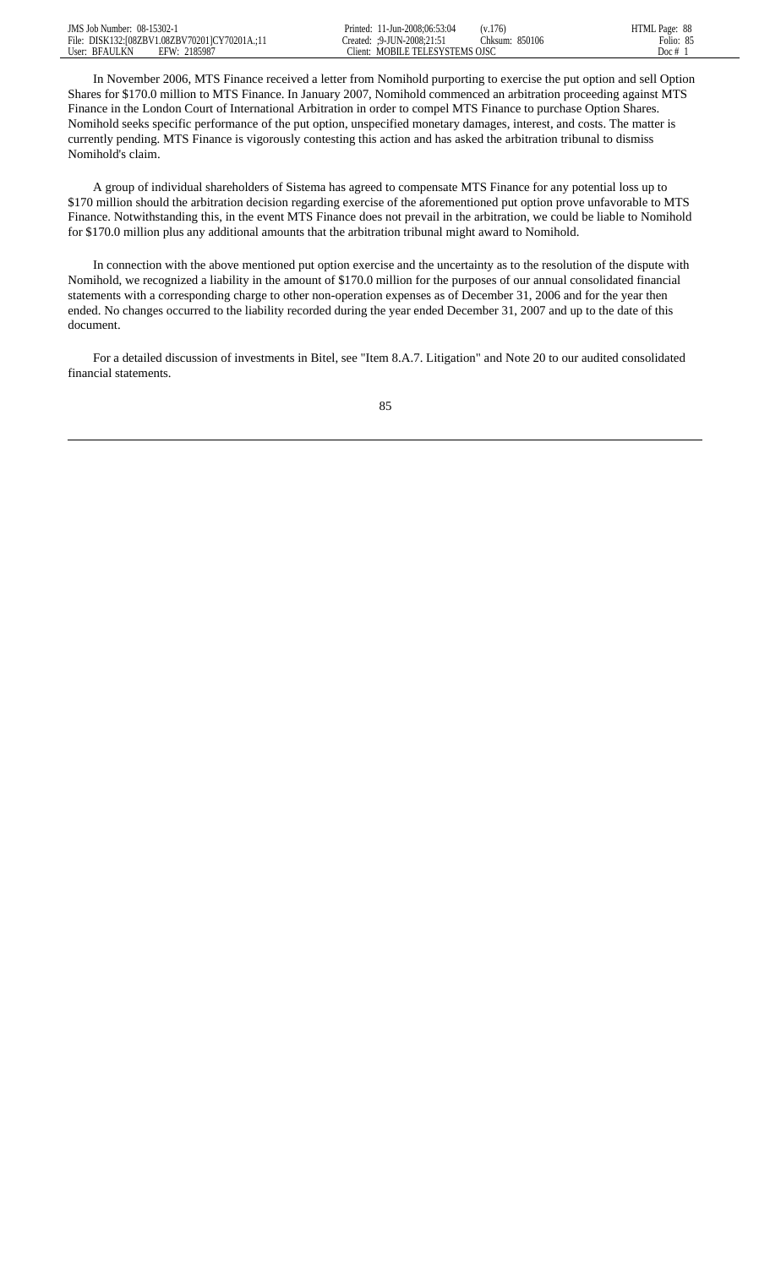In November 2006, MTS Finance received a letter from Nomihold purporting to exercise the put option and sell Option Shares for \$170.0 million to MTS Finance. In January 2007, Nomihold commenced an arbitration proceeding against MTS Finance in the London Court of International Arbitration in order to compel MTS Finance to purchase Option Shares. Nomihold seeks specific performance of the put option, unspecified monetary damages, interest, and costs. The matter is currently pending. MTS Finance is vigorously contesting this action and has asked the arbitration tribunal to dismiss Nomihold's claim.

 A group of individual shareholders of Sistema has agreed to compensate MTS Finance for any potential loss up to \$170 million should the arbitration decision regarding exercise of the aforementioned put option prove unfavorable to MTS Finance. Notwithstanding this, in the event MTS Finance does not prevail in the arbitration, we could be liable to Nomihold for \$170.0 million plus any additional amounts that the arbitration tribunal might award to Nomihold.

 In connection with the above mentioned put option exercise and the uncertainty as to the resolution of the dispute with Nomihold, we recognized a liability in the amount of \$170.0 million for the purposes of our annual consolidated financial statements with a corresponding charge to other non-operation expenses as of December 31, 2006 and for the year then ended. No changes occurred to the liability recorded during the year ended December 31, 2007 and up to the date of this document.

 For a detailed discussion of investments in Bitel, see "Item 8.A.7. Litigation" and Note 20 to our audited consolidated financial statements.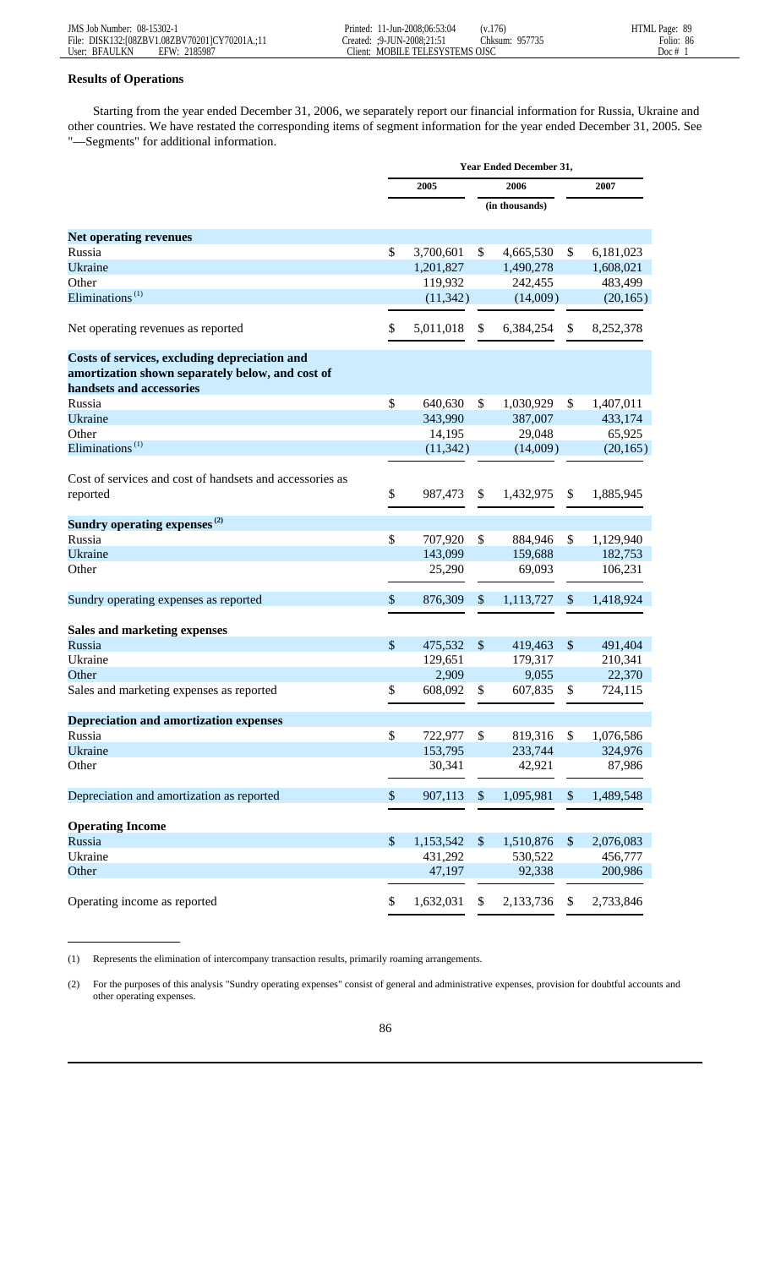# **Results of Operations**

 Starting from the year ended December 31, 2006, we separately report our financial information for Russia, Ukraine and other countries. We have restated the corresponding items of segment information for the year ended December 31, 2005. See "—Segments" for additional information.

|                                                                                                   | <b>Year Ended December 31,</b> |           |                           |                |                           |           |
|---------------------------------------------------------------------------------------------------|--------------------------------|-----------|---------------------------|----------------|---------------------------|-----------|
|                                                                                                   |                                | 2005      |                           | 2006           | 2007                      |           |
|                                                                                                   |                                |           |                           | (in thousands) |                           |           |
| <b>Net operating revenues</b>                                                                     |                                |           |                           |                |                           |           |
| Russia                                                                                            | $\$\,$                         | 3,700,601 | \$                        | 4,665,530      | \$                        | 6,181,023 |
| Ukraine                                                                                           |                                | 1,201,827 |                           | 1,490,278      |                           | 1,608,021 |
| Other                                                                                             |                                | 119,932   |                           | 242,455        |                           | 483,499   |
| Eliminations <sup>(1)</sup>                                                                       |                                | (11, 342) |                           | (14,009)       |                           | (20, 165) |
| Net operating revenues as reported                                                                | \$                             | 5,011,018 | \$                        | 6,384,254      | \$                        | 8,252,378 |
| Costs of services, excluding depreciation and<br>amortization shown separately below, and cost of |                                |           |                           |                |                           |           |
| handsets and accessories                                                                          |                                |           |                           |                |                           |           |
| Russia                                                                                            | \$                             | 640,630   | \$                        | 1,030,929      | \$                        | 1,407,011 |
| Ukraine                                                                                           |                                | 343,990   |                           | 387,007        |                           | 433,174   |
| Other                                                                                             |                                | 14,195    |                           | 29,048         |                           | 65,925    |
| Eliminations <sup>(1)</sup>                                                                       |                                | (11, 342) |                           | (14,009)       |                           | (20, 165) |
| Cost of services and cost of handsets and accessories as                                          |                                |           |                           |                |                           |           |
| reported                                                                                          | \$                             | 987,473   | \$                        | 1,432,975      | \$                        | 1,885,945 |
| Sundry operating expenses <sup>(2)</sup>                                                          |                                |           |                           |                |                           |           |
| Russia                                                                                            | $\mathcal{S}$                  | 707,920   | \$                        | 884,946        | \$                        | 1,129,940 |
| Ukraine                                                                                           |                                | 143,099   |                           | 159,688        |                           | 182,753   |
| Other                                                                                             |                                | 25,290    |                           | 69,093         |                           | 106,231   |
| Sundry operating expenses as reported                                                             | $\boldsymbol{\mathsf{S}}$      | 876,309   | \$                        | 1,113,727      | \$                        | 1,418,924 |
| Sales and marketing expenses                                                                      |                                |           |                           |                |                           |           |
| Russia                                                                                            | $\frac{1}{2}$                  | 475,532   | \$                        | 419,463        | $\mathcal{S}$             | 491,404   |
| Ukraine                                                                                           |                                | 129,651   |                           | 179,317        |                           | 210,341   |
| Other                                                                                             |                                | 2,909     |                           | 9,055          |                           | 22,370    |
| Sales and marketing expenses as reported                                                          | \$                             | 608,092   | \$                        | 607,835        | \$                        | 724,115   |
| <b>Depreciation and amortization expenses</b>                                                     |                                |           |                           |                |                           |           |
| Russia                                                                                            | $\$$                           | 722,977   | \$                        | 819,316        | \$                        | 1,076,586 |
| Ukraine                                                                                           |                                | 153,795   |                           | 233,744        |                           | 324,976   |
| Other                                                                                             |                                | 30,341    |                           | 42,921         |                           | 87,986    |
| Depreciation and amortization as reported                                                         | $\$\,$                         | 907,113   | \$                        | 1,095,981      | $\boldsymbol{\mathsf{S}}$ | 1,489,548 |
| <b>Operating Income</b>                                                                           |                                |           |                           |                |                           |           |
| Russia                                                                                            | $\sqrt$                        | 1,153,542 | $\boldsymbol{\mathsf{S}}$ | 1,510,876      | $\mathcal{S}$             | 2,076,083 |
| Ukraine                                                                                           |                                | 431,292   |                           | 530,522        |                           | 456,777   |
| Other                                                                                             |                                | 47,197    |                           | 92,338         |                           | 200,986   |
| Operating income as reported                                                                      | \$                             | 1,632,031 | \$                        | 2,133,736      | \$                        | 2,733,846 |

(1) Represents the elimination of intercompany transaction results, primarily roaming arrangements.

(2) For the purposes of this analysis "Sundry operating expenses" consist of general and administrative expenses, provision for doubtful accounts and other operating expenses.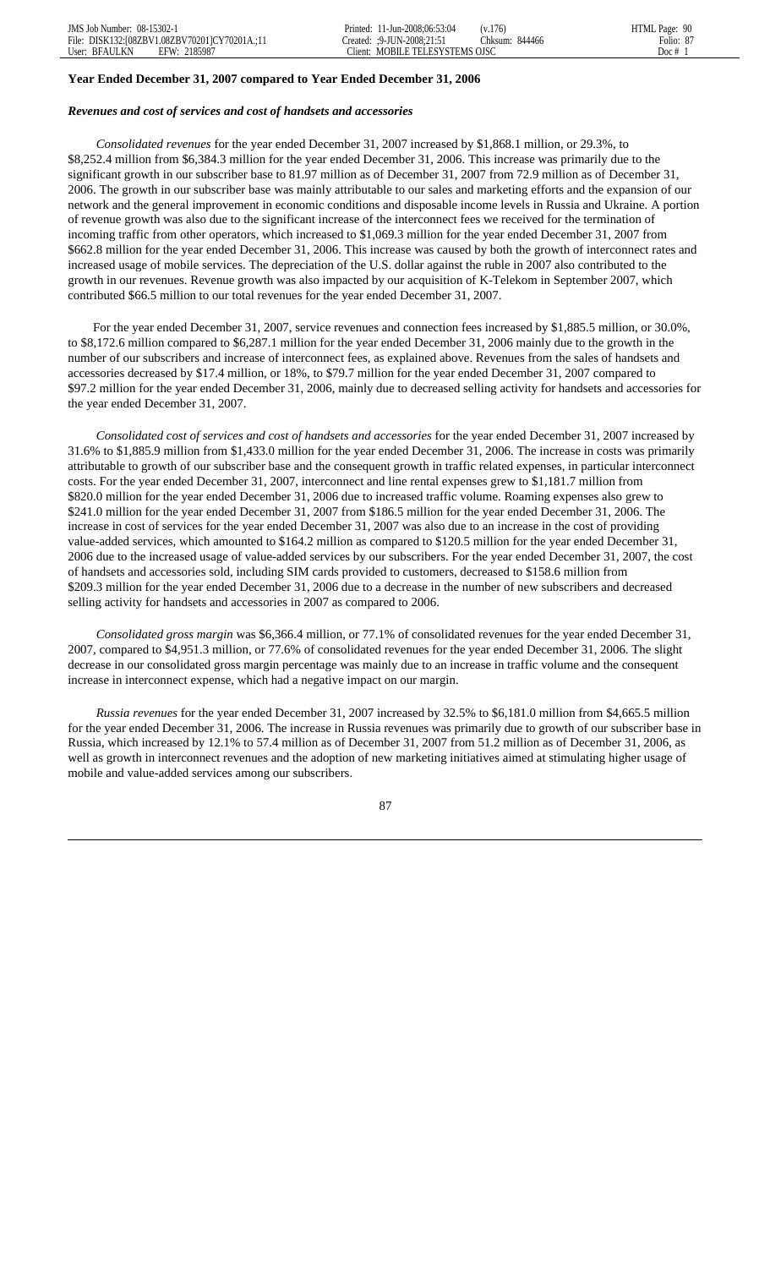# **Year Ended December 31, 2007 compared to Year Ended December 31, 2006**

# *Revenues and cost of services and cost of handsets and accessories*

 *Consolidated revenues* for the year ended December 31, 2007 increased by \$1,868.1 million, or 29.3%, to \$8,252.4 million from \$6,384.3 million for the year ended December 31, 2006. This increase was primarily due to the significant growth in our subscriber base to 81.97 million as of December 31, 2007 from 72.9 million as of December 31, 2006. The growth in our subscriber base was mainly attributable to our sales and marketing efforts and the expansion of our network and the general improvement in economic conditions and disposable income levels in Russia and Ukraine. A portion of revenue growth was also due to the significant increase of the interconnect fees we received for the termination of incoming traffic from other operators, which increased to \$1,069.3 million for the year ended December 31, 2007 from \$662.8 million for the year ended December 31, 2006. This increase was caused by both the growth of interconnect rates and increased usage of mobile services. The depreciation of the U.S. dollar against the ruble in 2007 also contributed to the growth in our revenues. Revenue growth was also impacted by our acquisition of K-Telekom in September 2007, which contributed \$66.5 million to our total revenues for the year ended December 31, 2007.

 For the year ended December 31, 2007, service revenues and connection fees increased by \$1,885.5 million, or 30.0%, to \$8,172.6 million compared to \$6,287.1 million for the year ended December 31, 2006 mainly due to the growth in the number of our subscribers and increase of interconnect fees, as explained above. Revenues from the sales of handsets and accessories decreased by \$17.4 million, or 18%, to \$79.7 million for the year ended December 31, 2007 compared to \$97.2 million for the year ended December 31, 2006, mainly due to decreased selling activity for handsets and accessories for the year ended December 31, 2007.

 *Consolidated cost of services and cost of handsets and accessories* for the year ended December 31, 2007 increased by 31.6% to \$1,885.9 million from \$1,433.0 million for the year ended December 31, 2006. The increase in costs was primarily attributable to growth of our subscriber base and the consequent growth in traffic related expenses, in particular interconnect costs. For the year ended December 31, 2007, interconnect and line rental expenses grew to \$1,181.7 million from \$820.0 million for the year ended December 31, 2006 due to increased traffic volume. Roaming expenses also grew to \$241.0 million for the year ended December 31, 2007 from \$186.5 million for the year ended December 31, 2006. The increase in cost of services for the year ended December 31, 2007 was also due to an increase in the cost of providing value-added services, which amounted to \$164.2 million as compared to \$120.5 million for the year ended December 31, 2006 due to the increased usage of value-added services by our subscribers. For the year ended December 31, 2007, the cost of handsets and accessories sold, including SIM cards provided to customers, decreased to \$158.6 million from \$209.3 million for the year ended December 31, 2006 due to a decrease in the number of new subscribers and decreased selling activity for handsets and accessories in 2007 as compared to 2006.

 *Consolidated gross margin* was \$6,366.4 million, or 77.1% of consolidated revenues for the year ended December 31, 2007, compared to \$4,951.3 million, or 77.6% of consolidated revenues for the year ended December 31, 2006. The slight decrease in our consolidated gross margin percentage was mainly due to an increase in traffic volume and the consequent increase in interconnect expense, which had a negative impact on our margin.

 *Russia revenues* for the year ended December 31, 2007 increased by 32.5% to \$6,181.0 million from \$4,665.5 million for the year ended December 31, 2006. The increase in Russia revenues was primarily due to growth of our subscriber base in Russia, which increased by 12.1% to 57.4 million as of December 31, 2007 from 51.2 million as of December 31, 2006, as well as growth in interconnect revenues and the adoption of new marketing initiatives aimed at stimulating higher usage of mobile and value-added services among our subscribers.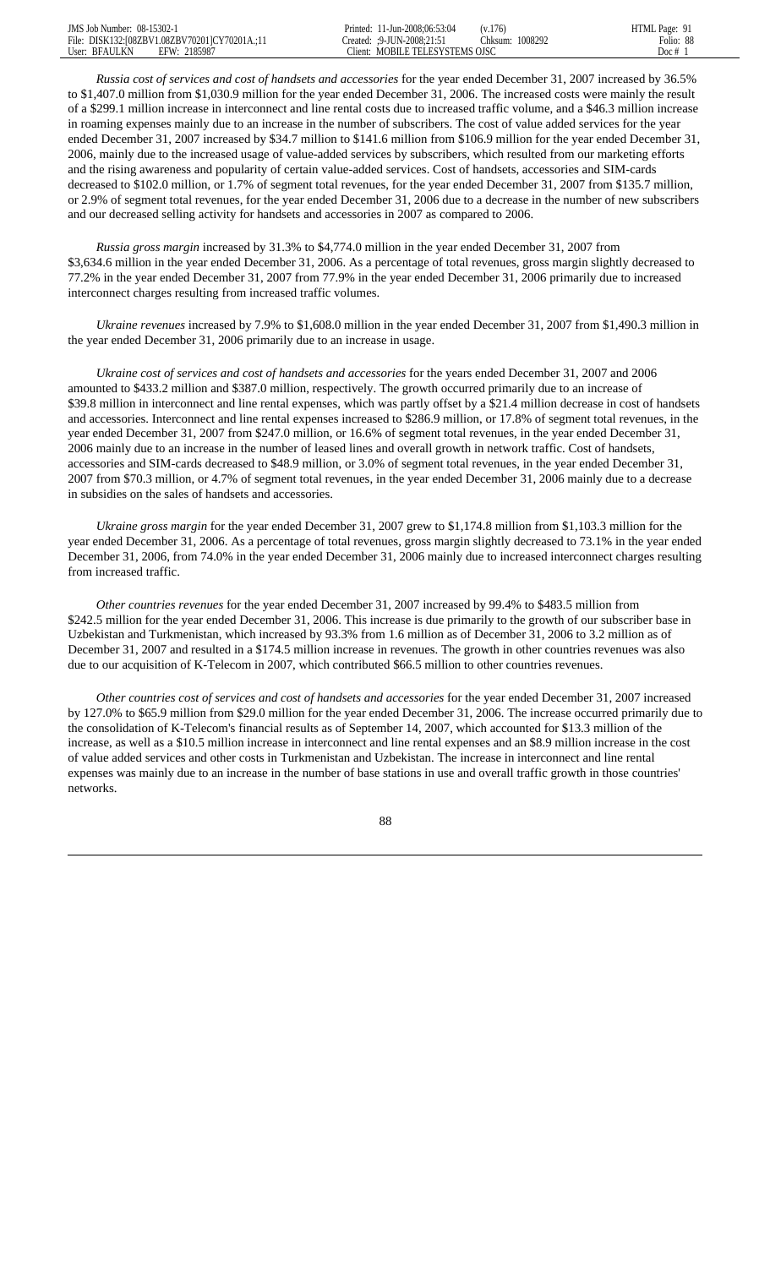*Russia cost of services and cost of handsets and accessories* for the year ended December 31, 2007 increased by 36.5% to \$1,407.0 million from \$1,030.9 million for the year ended December 31, 2006. The increased costs were mainly the result of a \$299.1 million increase in interconnect and line rental costs due to increased traffic volume, and a \$46.3 million increase in roaming expenses mainly due to an increase in the number of subscribers. The cost of value added services for the year ended December 31, 2007 increased by \$34.7 million to \$141.6 million from \$106.9 million for the year ended December 31, 2006, mainly due to the increased usage of value-added services by subscribers, which resulted from our marketing efforts and the rising awareness and popularity of certain value-added services. Cost of handsets, accessories and SIM-cards decreased to \$102.0 million, or 1.7% of segment total revenues, for the year ended December 31, 2007 from \$135.7 million, or 2.9% of segment total revenues, for the year ended December 31, 2006 due to a decrease in the number of new subscribers and our decreased selling activity for handsets and accessories in 2007 as compared to 2006.

 *Russia gross margin* increased by 31.3% to \$4,774.0 million in the year ended December 31, 2007 from \$3,634.6 million in the year ended December 31, 2006. As a percentage of total revenues, gross margin slightly decreased to 77.2% in the year ended December 31, 2007 from 77.9% in the year ended December 31, 2006 primarily due to increased interconnect charges resulting from increased traffic volumes.

 *Ukraine revenues* increased by 7.9% to \$1,608.0 million in the year ended December 31, 2007 from \$1,490.3 million in the year ended December 31, 2006 primarily due to an increase in usage.

 *Ukraine cost of services and cost of handsets and accessories* for the years ended December 31, 2007 and 2006 amounted to \$433.2 million and \$387.0 million, respectively. The growth occurred primarily due to an increase of \$39.8 million in interconnect and line rental expenses, which was partly offset by a \$21.4 million decrease in cost of handsets and accessories. Interconnect and line rental expenses increased to \$286.9 million, or 17.8% of segment total revenues, in the year ended December 31, 2007 from \$247.0 million, or 16.6% of segment total revenues, in the year ended December 31, 2006 mainly due to an increase in the number of leased lines and overall growth in network traffic. Cost of handsets, accessories and SIM-cards decreased to \$48.9 million, or 3.0% of segment total revenues, in the year ended December 31, 2007 from \$70.3 million, or 4.7% of segment total revenues, in the year ended December 31, 2006 mainly due to a decrease in subsidies on the sales of handsets and accessories.

 *Ukraine gross margin* for the year ended December 31, 2007 grew to \$1,174.8 million from \$1,103.3 million for the year ended December 31, 2006. As a percentage of total revenues, gross margin slightly decreased to 73.1% in the year ended December 31, 2006, from 74.0% in the year ended December 31, 2006 mainly due to increased interconnect charges resulting from increased traffic.

 *Other countries revenues* for the year ended December 31, 2007 increased by 99.4% to \$483.5 million from \$242.5 million for the year ended December 31, 2006. This increase is due primarily to the growth of our subscriber base in Uzbekistan and Turkmenistan, which increased by 93.3% from 1.6 million as of December 31, 2006 to 3.2 million as of December 31, 2007 and resulted in a \$174.5 million increase in revenues. The growth in other countries revenues was also due to our acquisition of K-Telecom in 2007, which contributed \$66.5 million to other countries revenues.

 *Other countries cost of services and cost of handsets and accessories* for the year ended December 31, 2007 increased by 127.0% to \$65.9 million from \$29.0 million for the year ended December 31, 2006. The increase occurred primarily due to the consolidation of K-Telecom's financial results as of September 14, 2007, which accounted for \$13.3 million of the increase, as well as a \$10.5 million increase in interconnect and line rental expenses and an \$8.9 million increase in the cost of value added services and other costs in Turkmenistan and Uzbekistan. The increase in interconnect and line rental expenses was mainly due to an increase in the number of base stations in use and overall traffic growth in those countries' networks.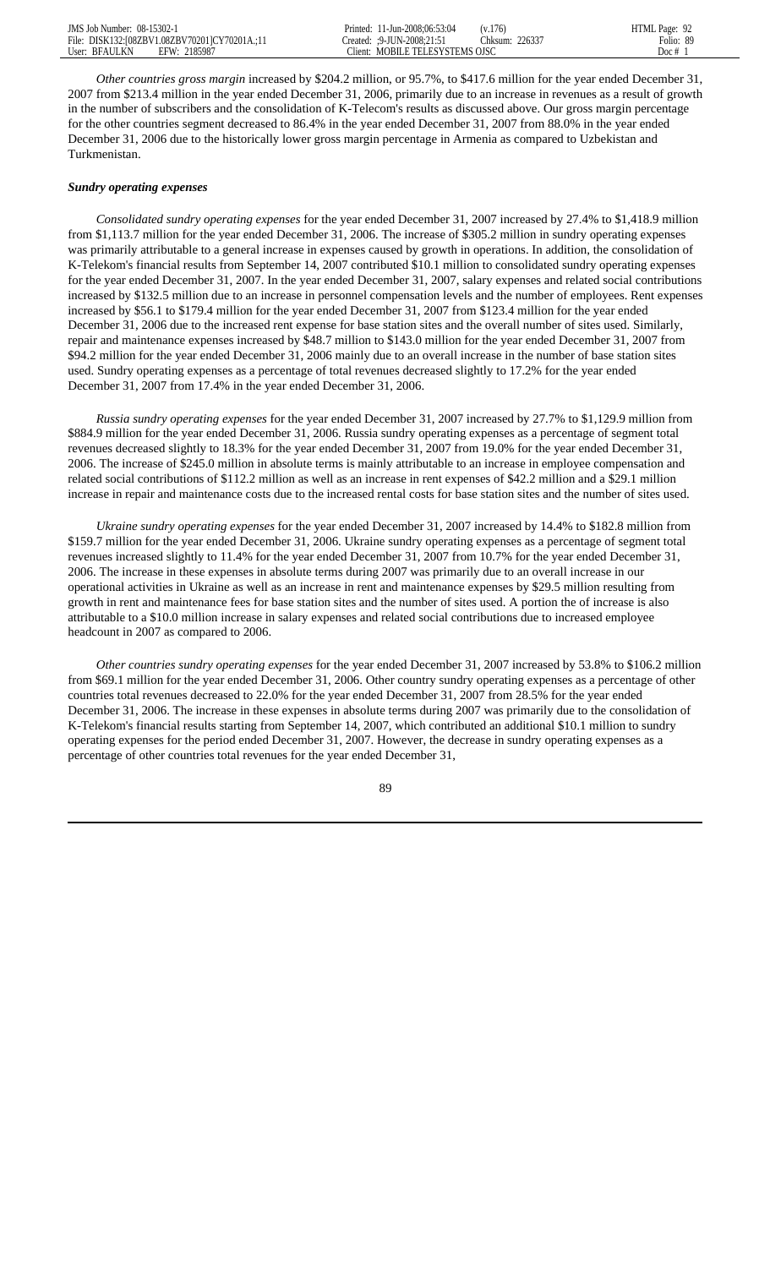*Other countries gross margin* increased by \$204.2 million, or 95.7%, to \$417.6 million for the year ended December 31, 2007 from \$213.4 million in the year ended December 31, 2006, primarily due to an increase in revenues as a result of growth in the number of subscribers and the consolidation of K-Telecom's results as discussed above. Our gross margin percentage for the other countries segment decreased to 86.4% in the year ended December 31, 2007 from 88.0% in the year ended December 31, 2006 due to the historically lower gross margin percentage in Armenia as compared to Uzbekistan and Turkmenistan.

### *Sundry operating expenses*

 *Consolidated sundry operating expenses* for the year ended December 31, 2007 increased by 27.4% to \$1,418.9 million from \$1,113.7 million for the year ended December 31, 2006. The increase of \$305.2 million in sundry operating expenses was primarily attributable to a general increase in expenses caused by growth in operations. In addition, the consolidation of K-Telekom's financial results from September 14, 2007 contributed \$10.1 million to consolidated sundry operating expenses for the year ended December 31, 2007. In the year ended December 31, 2007, salary expenses and related social contributions increased by \$132.5 million due to an increase in personnel compensation levels and the number of employees. Rent expenses increased by \$56.1 to \$179.4 million for the year ended December 31, 2007 from \$123.4 million for the year ended December 31, 2006 due to the increased rent expense for base station sites and the overall number of sites used. Similarly, repair and maintenance expenses increased by \$48.7 million to \$143.0 million for the year ended December 31, 2007 from \$94.2 million for the year ended December 31, 2006 mainly due to an overall increase in the number of base station sites used. Sundry operating expenses as a percentage of total revenues decreased slightly to 17.2% for the year ended December 31, 2007 from 17.4% in the year ended December 31, 2006.

 *Russia sundry operating expenses* for the year ended December 31, 2007 increased by 27.7% to \$1,129.9 million from \$884.9 million for the year ended December 31, 2006. Russia sundry operating expenses as a percentage of segment total revenues decreased slightly to 18.3% for the year ended December 31, 2007 from 19.0% for the year ended December 31, 2006. The increase of \$245.0 million in absolute terms is mainly attributable to an increase in employee compensation and related social contributions of \$112.2 million as well as an increase in rent expenses of \$42.2 million and a \$29.1 million increase in repair and maintenance costs due to the increased rental costs for base station sites and the number of sites used.

 *Ukraine sundry operating expenses* for the year ended December 31, 2007 increased by 14.4% to \$182.8 million from \$159.7 million for the year ended December 31, 2006. Ukraine sundry operating expenses as a percentage of segment total revenues increased slightly to 11.4% for the year ended December 31, 2007 from 10.7% for the year ended December 31, 2006. The increase in these expenses in absolute terms during 2007 was primarily due to an overall increase in our operational activities in Ukraine as well as an increase in rent and maintenance expenses by \$29.5 million resulting from growth in rent and maintenance fees for base station sites and the number of sites used. A portion the of increase is also attributable to a \$10.0 million increase in salary expenses and related social contributions due to increased employee headcount in 2007 as compared to 2006.

 *Other countries sundry operating expenses* for the year ended December 31, 2007 increased by 53.8% to \$106.2 million from \$69.1 million for the year ended December 31, 2006. Other country sundry operating expenses as a percentage of other countries total revenues decreased to 22.0% for the year ended December 31, 2007 from 28.5% for the year ended December 31, 2006. The increase in these expenses in absolute terms during 2007 was primarily due to the consolidation of K-Telekom's financial results starting from September 14, 2007, which contributed an additional \$10.1 million to sundry operating expenses for the period ended December 31, 2007. However, the decrease in sundry operating expenses as a percentage of other countries total revenues for the year ended December 31,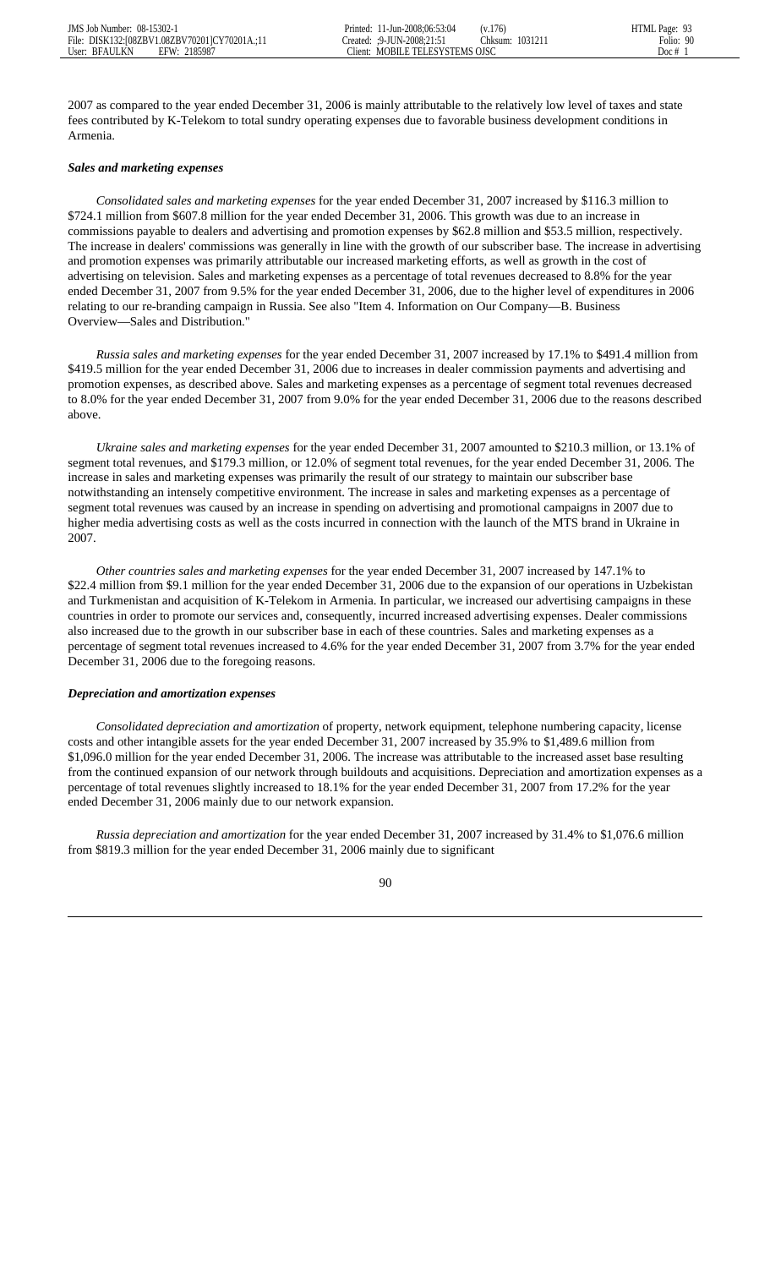2007 as compared to the year ended December 31, 2006 is mainly attributable to the relatively low level of taxes and state fees contributed by K-Telekom to total sundry operating expenses due to favorable business development conditions in Armenia.

## *Sales and marketing expenses*

 *Consolidated sales and marketing expenses* for the year ended December 31, 2007 increased by \$116.3 million to \$724.1 million from \$607.8 million for the year ended December 31, 2006. This growth was due to an increase in commissions payable to dealers and advertising and promotion expenses by \$62.8 million and \$53.5 million, respectively. The increase in dealers' commissions was generally in line with the growth of our subscriber base. The increase in advertising and promotion expenses was primarily attributable our increased marketing efforts, as well as growth in the cost of advertising on television. Sales and marketing expenses as a percentage of total revenues decreased to 8.8% for the year ended December 31, 2007 from 9.5% for the year ended December 31, 2006, due to the higher level of expenditures in 2006 relating to our re-branding campaign in Russia. See also "Item 4. Information on Our Company—B. Business Overview—Sales and Distribution."

 *Russia sales and marketing expenses* for the year ended December 31, 2007 increased by 17.1% to \$491.4 million from \$419.5 million for the year ended December 31, 2006 due to increases in dealer commission payments and advertising and promotion expenses, as described above. Sales and marketing expenses as a percentage of segment total revenues decreased to 8.0% for the year ended December 31, 2007 from 9.0% for the year ended December 31, 2006 due to the reasons described above.

 *Ukraine sales and marketing expenses* for the year ended December 31, 2007 amounted to \$210.3 million, or 13.1% of segment total revenues, and \$179.3 million, or 12.0% of segment total revenues, for the year ended December 31, 2006. The increase in sales and marketing expenses was primarily the result of our strategy to maintain our subscriber base notwithstanding an intensely competitive environment. The increase in sales and marketing expenses as a percentage of segment total revenues was caused by an increase in spending on advertising and promotional campaigns in 2007 due to higher media advertising costs as well as the costs incurred in connection with the launch of the MTS brand in Ukraine in 2007.

 *Other countries sales and marketing expenses* for the year ended December 31, 2007 increased by 147.1% to \$22.4 million from \$9.1 million for the year ended December 31, 2006 due to the expansion of our operations in Uzbekistan and Turkmenistan and acquisition of K-Telekom in Armenia. In particular, we increased our advertising campaigns in these countries in order to promote our services and, consequently, incurred increased advertising expenses. Dealer commissions also increased due to the growth in our subscriber base in each of these countries. Sales and marketing expenses as a percentage of segment total revenues increased to 4.6% for the year ended December 31, 2007 from 3.7% for the year ended December 31, 2006 due to the foregoing reasons.

### *Depreciation and amortization expenses*

 *Consolidated depreciation and amortization* of property, network equipment, telephone numbering capacity, license costs and other intangible assets for the year ended December 31, 2007 increased by 35.9% to \$1,489.6 million from \$1,096.0 million for the year ended December 31, 2006. The increase was attributable to the increased asset base resulting from the continued expansion of our network through buildouts and acquisitions. Depreciation and amortization expenses as a percentage of total revenues slightly increased to 18.1% for the year ended December 31, 2007 from 17.2% for the year ended December 31, 2006 mainly due to our network expansion.

 *Russia depreciation and amortization* for the year ended December 31, 2007 increased by 31.4% to \$1,076.6 million from \$819.3 million for the year ended December 31, 2006 mainly due to significant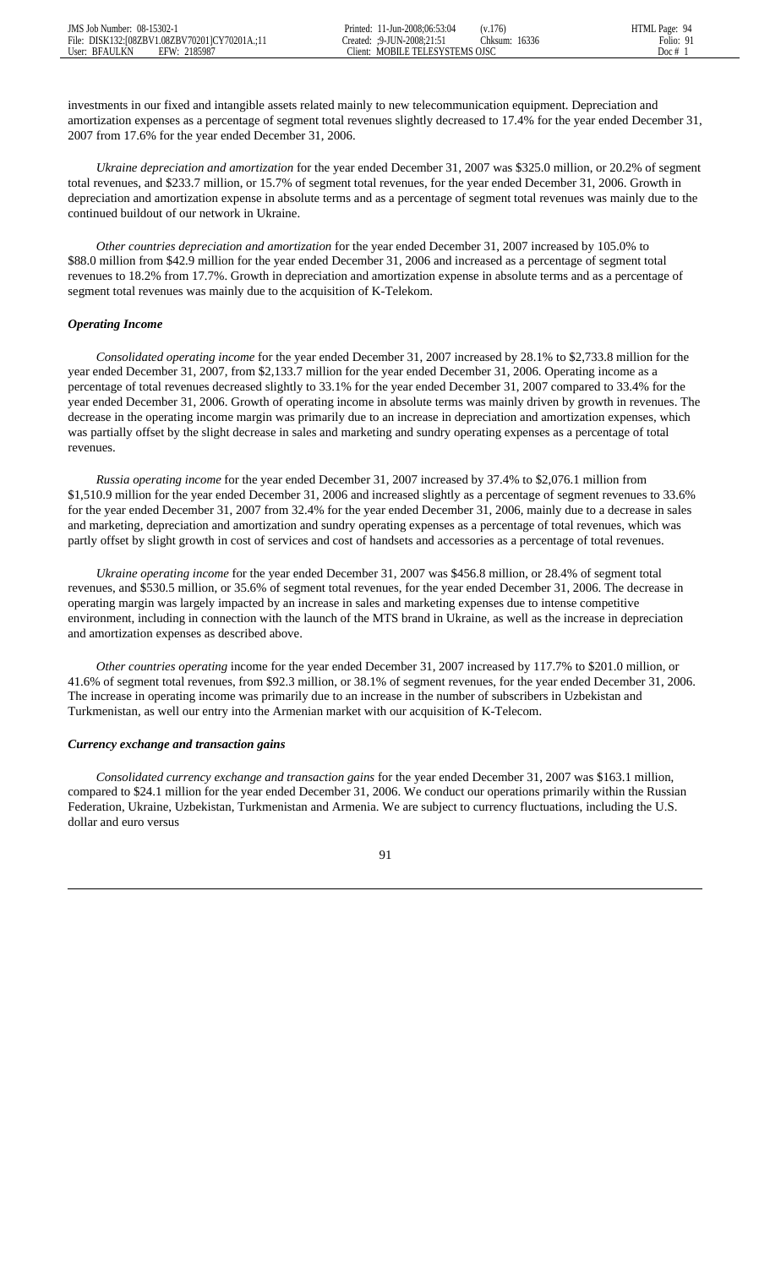investments in our fixed and intangible assets related mainly to new telecommunication equipment. Depreciation and amortization expenses as a percentage of segment total revenues slightly decreased to 17.4% for the year ended December 31, 2007 from 17.6% for the year ended December 31, 2006.

 *Ukraine depreciation and amortization* for the year ended December 31, 2007 was \$325.0 million, or 20.2% of segment total revenues, and \$233.7 million, or 15.7% of segment total revenues, for the year ended December 31, 2006. Growth in depreciation and amortization expense in absolute terms and as a percentage of segment total revenues was mainly due to the continued buildout of our network in Ukraine.

 *Other countries depreciation and amortization* for the year ended December 31, 2007 increased by 105.0% to \$88.0 million from \$42.9 million for the year ended December 31, 2006 and increased as a percentage of segment total revenues to 18.2% from 17.7%. Growth in depreciation and amortization expense in absolute terms and as a percentage of segment total revenues was mainly due to the acquisition of K-Telekom.

### *Operating Income*

 *Consolidated operating income* for the year ended December 31, 2007 increased by 28.1% to \$2,733.8 million for the year ended December 31, 2007, from \$2,133.7 million for the year ended December 31, 2006. Operating income as a percentage of total revenues decreased slightly to 33.1% for the year ended December 31, 2007 compared to 33.4% for the year ended December 31, 2006. Growth of operating income in absolute terms was mainly driven by growth in revenues. The decrease in the operating income margin was primarily due to an increase in depreciation and amortization expenses, which was partially offset by the slight decrease in sales and marketing and sundry operating expenses as a percentage of total revenues.

 *Russia operating income* for the year ended December 31, 2007 increased by 37.4% to \$2,076.1 million from \$1,510.9 million for the year ended December 31, 2006 and increased slightly as a percentage of segment revenues to 33.6% for the year ended December 31, 2007 from 32.4% for the year ended December 31, 2006, mainly due to a decrease in sales and marketing, depreciation and amortization and sundry operating expenses as a percentage of total revenues, which was partly offset by slight growth in cost of services and cost of handsets and accessories as a percentage of total revenues.

 *Ukraine operating income* for the year ended December 31, 2007 was \$456.8 million, or 28.4% of segment total revenues, and \$530.5 million, or 35.6% of segment total revenues, for the year ended December 31, 2006. The decrease in operating margin was largely impacted by an increase in sales and marketing expenses due to intense competitive environment, including in connection with the launch of the MTS brand in Ukraine, as well as the increase in depreciation and amortization expenses as described above.

 *Other countries operating* income for the year ended December 31, 2007 increased by 117.7% to \$201.0 million, or 41.6% of segment total revenues, from \$92.3 million, or 38.1% of segment revenues, for the year ended December 31, 2006. The increase in operating income was primarily due to an increase in the number of subscribers in Uzbekistan and Turkmenistan, as well our entry into the Armenian market with our acquisition of K-Telecom.

#### *Currency exchange and transaction gains*

 *Consolidated currency exchange and transaction gains* for the year ended December 31, 2007 was \$163.1 million, compared to \$24.1 million for the year ended December 31, 2006. We conduct our operations primarily within the Russian Federation, Ukraine, Uzbekistan, Turkmenistan and Armenia. We are subject to currency fluctuations, including the U.S. dollar and euro versus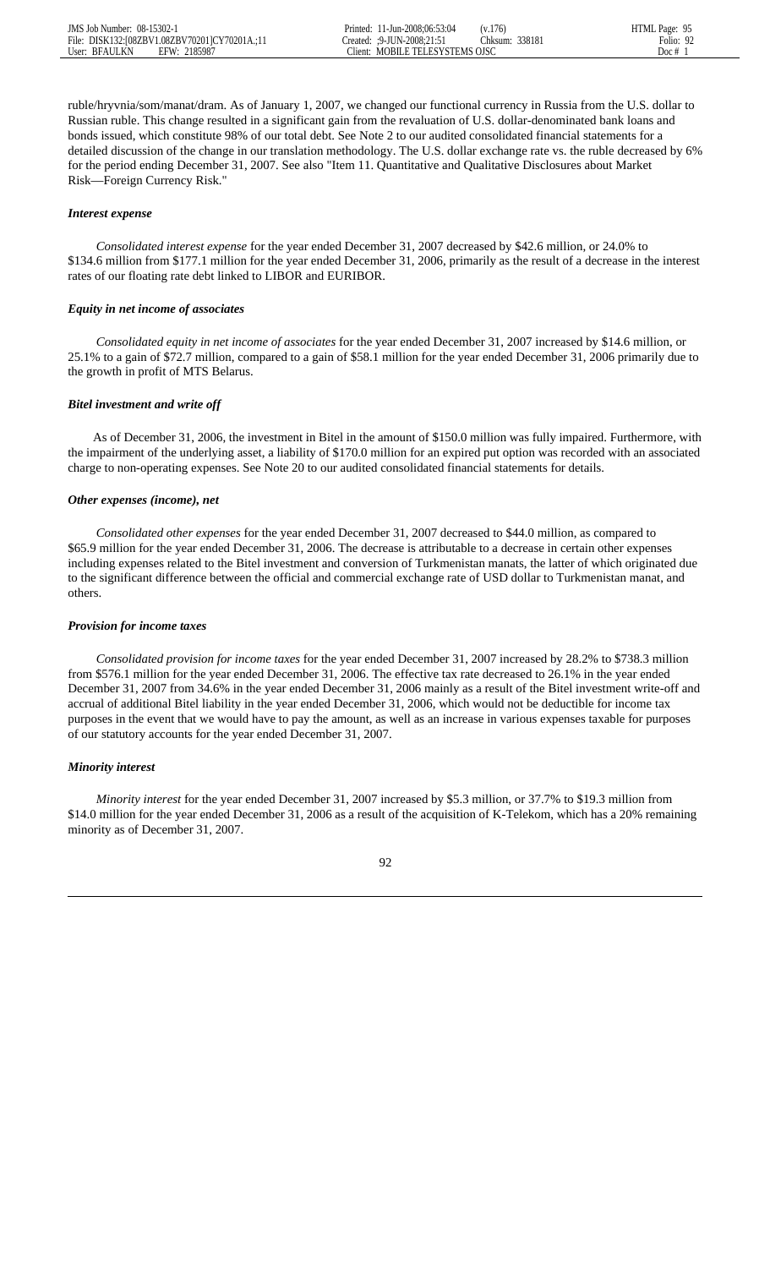ruble/hryvnia/som/manat/dram. As of January 1, 2007, we changed our functional currency in Russia from the U.S. dollar to Russian ruble. This change resulted in a significant gain from the revaluation of U.S. dollar-denominated bank loans and bonds issued, which constitute 98% of our total debt. See Note 2 to our audited consolidated financial statements for a detailed discussion of the change in our translation methodology. The U.S. dollar exchange rate vs. the ruble decreased by 6% for the period ending December 31, 2007. See also "Item 11. Quantitative and Qualitative Disclosures about Market Risk—Foreign Currency Risk."

## *Interest expense*

 *Consolidated interest expense* for the year ended December 31, 2007 decreased by \$42.6 million, or 24.0% to \$134.6 million from \$177.1 million for the year ended December 31, 2006, primarily as the result of a decrease in the interest rates of our floating rate debt linked to LIBOR and EURIBOR.

### *Equity in net income of associates*

 *Consolidated equity in net income of associates* for the year ended December 31, 2007 increased by \$14.6 million, or 25.1% to a gain of \$72.7 million, compared to a gain of \$58.1 million for the year ended December 31, 2006 primarily due to the growth in profit of MTS Belarus.

### *Bitel investment and write off*

 As of December 31, 2006, the investment in Bitel in the amount of \$150.0 million was fully impaired. Furthermore, with the impairment of the underlying asset, a liability of \$170.0 million for an expired put option was recorded with an associated charge to non-operating expenses. See Note 20 to our audited consolidated financial statements for details.

### *Other expenses (income), net*

 *Consolidated other expenses* for the year ended December 31, 2007 decreased to \$44.0 million, as compared to \$65.9 million for the year ended December 31, 2006. The decrease is attributable to a decrease in certain other expenses including expenses related to the Bitel investment and conversion of Turkmenistan manats, the latter of which originated due to the significant difference between the official and commercial exchange rate of USD dollar to Turkmenistan manat, and others.

### *Provision for income taxes*

 *Consolidated provision for income taxes* for the year ended December 31, 2007 increased by 28.2% to \$738.3 million from \$576.1 million for the year ended December 31, 2006. The effective tax rate decreased to 26.1% in the year ended December 31, 2007 from 34.6% in the year ended December 31, 2006 mainly as a result of the Bitel investment write-off and accrual of additional Bitel liability in the year ended December 31, 2006, which would not be deductible for income tax purposes in the event that we would have to pay the amount, as well as an increase in various expenses taxable for purposes of our statutory accounts for the year ended December 31, 2007.

### *Minority interest*

 *Minority interest* for the year ended December 31, 2007 increased by \$5.3 million, or 37.7% to \$19.3 million from \$14.0 million for the year ended December 31, 2006 as a result of the acquisition of K-Telekom, which has a 20% remaining minority as of December 31, 2007.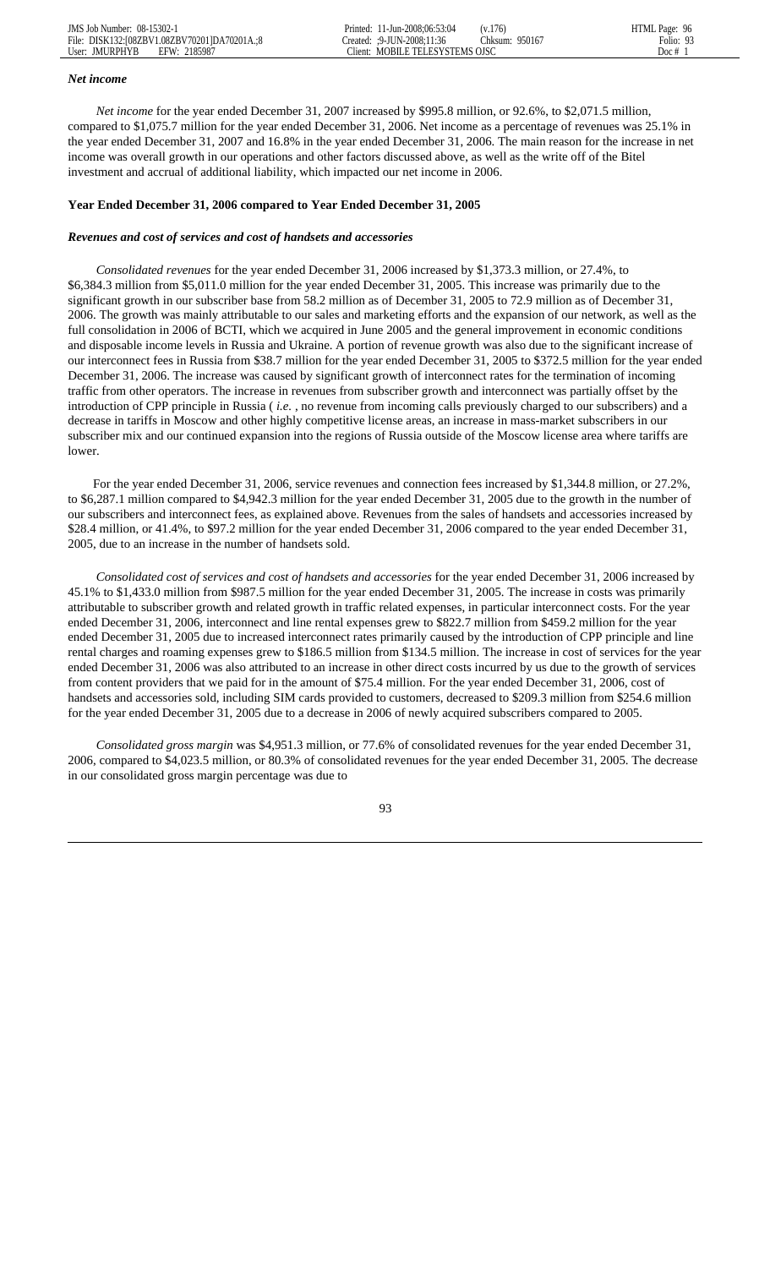### *Net income*

*Net income* for the year ended December 31, 2007 increased by \$995.8 million, or 92.6%, to \$2,071.5 million, compared to \$1,075.7 million for the year ended December 31, 2006. Net income as a percentage of revenues was 25.1% in the year ended December 31, 2007 and 16.8% in the year ended December 31, 2006. The main reason for the increase in net income was overall growth in our operations and other factors discussed above, as well as the write off of the Bitel investment and accrual of additional liability, which impacted our net income in 2006.

# **Year Ended December 31, 2006 compared to Year Ended December 31, 2005**

# *Revenues and cost of services and cost of handsets and accessories*

 *Consolidated revenues* for the year ended December 31, 2006 increased by \$1,373.3 million, or 27.4%, to \$6,384.3 million from \$5,011.0 million for the year ended December 31, 2005. This increase was primarily due to the significant growth in our subscriber base from 58.2 million as of December 31, 2005 to 72.9 million as of December 31, 2006. The growth was mainly attributable to our sales and marketing efforts and the expansion of our network, as well as the full consolidation in 2006 of BCTI, which we acquired in June 2005 and the general improvement in economic conditions and disposable income levels in Russia and Ukraine. A portion of revenue growth was also due to the significant increase of our interconnect fees in Russia from \$38.7 million for the year ended December 31, 2005 to \$372.5 million for the year ended December 31, 2006. The increase was caused by significant growth of interconnect rates for the termination of incoming traffic from other operators. The increase in revenues from subscriber growth and interconnect was partially offset by the introduction of CPP principle in Russia ( *i.e.* , no revenue from incoming calls previously charged to our subscribers) and a decrease in tariffs in Moscow and other highly competitive license areas, an increase in mass-market subscribers in our subscriber mix and our continued expansion into the regions of Russia outside of the Moscow license area where tariffs are lower.

 For the year ended December 31, 2006, service revenues and connection fees increased by \$1,344.8 million, or 27.2%, to \$6,287.1 million compared to \$4,942.3 million for the year ended December 31, 2005 due to the growth in the number of our subscribers and interconnect fees, as explained above. Revenues from the sales of handsets and accessories increased by \$28.4 million, or 41.4%, to \$97.2 million for the year ended December 31, 2006 compared to the year ended December 31, 2005, due to an increase in the number of handsets sold.

 *Consolidated cost of services and cost of handsets and accessories* for the year ended December 31, 2006 increased by 45.1% to \$1,433.0 million from \$987.5 million for the year ended December 31, 2005. The increase in costs was primarily attributable to subscriber growth and related growth in traffic related expenses, in particular interconnect costs. For the year ended December 31, 2006, interconnect and line rental expenses grew to \$822.7 million from \$459.2 million for the year ended December 31, 2005 due to increased interconnect rates primarily caused by the introduction of CPP principle and line rental charges and roaming expenses grew to \$186.5 million from \$134.5 million. The increase in cost of services for the year ended December 31, 2006 was also attributed to an increase in other direct costs incurred by us due to the growth of services from content providers that we paid for in the amount of \$75.4 million. For the year ended December 31, 2006, cost of handsets and accessories sold, including SIM cards provided to customers, decreased to \$209.3 million from \$254.6 million for the year ended December 31, 2005 due to a decrease in 2006 of newly acquired subscribers compared to 2005.

 *Consolidated gross margin* was \$4,951.3 million, or 77.6% of consolidated revenues for the year ended December 31, 2006, compared to \$4,023.5 million, or 80.3% of consolidated revenues for the year ended December 31, 2005. The decrease in our consolidated gross margin percentage was due to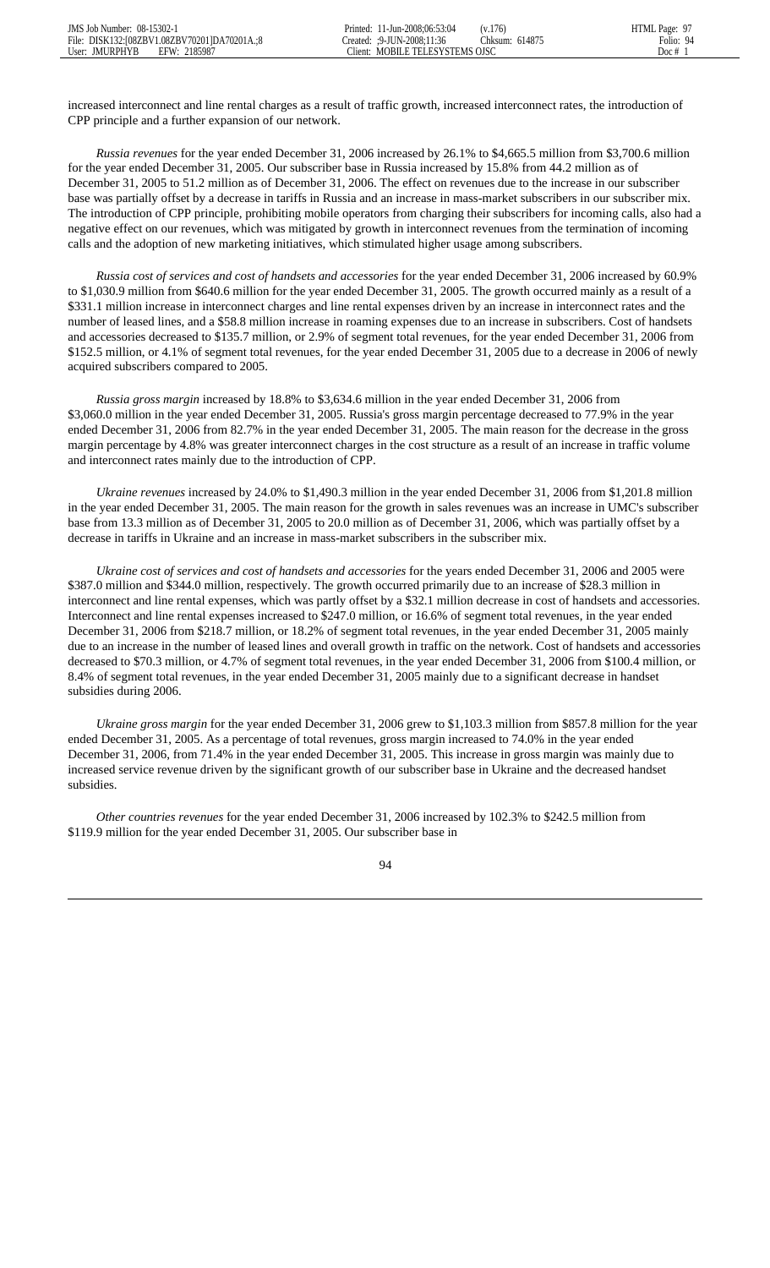increased interconnect and line rental charges as a result of traffic growth, increased interconnect rates, the introduction of CPP principle and a further expansion of our network.

 *Russia revenues* for the year ended December 31, 2006 increased by 26.1% to \$4,665.5 million from \$3,700.6 million for the year ended December 31, 2005. Our subscriber base in Russia increased by 15.8% from 44.2 million as of December 31, 2005 to 51.2 million as of December 31, 2006. The effect on revenues due to the increase in our subscriber base was partially offset by a decrease in tariffs in Russia and an increase in mass-market subscribers in our subscriber mix. The introduction of CPP principle, prohibiting mobile operators from charging their subscribers for incoming calls, also had a negative effect on our revenues, which was mitigated by growth in interconnect revenues from the termination of incoming calls and the adoption of new marketing initiatives, which stimulated higher usage among subscribers.

 *Russia cost of services and cost of handsets and accessories* for the year ended December 31, 2006 increased by 60.9% to \$1,030.9 million from \$640.6 million for the year ended December 31, 2005. The growth occurred mainly as a result of a \$331.1 million increase in interconnect charges and line rental expenses driven by an increase in interconnect rates and the number of leased lines, and a \$58.8 million increase in roaming expenses due to an increase in subscribers. Cost of handsets and accessories decreased to \$135.7 million, or 2.9% of segment total revenues, for the year ended December 31, 2006 from \$152.5 million, or 4.1% of segment total revenues, for the year ended December 31, 2005 due to a decrease in 2006 of newly acquired subscribers compared to 2005.

 *Russia gross margin* increased by 18.8% to \$3,634.6 million in the year ended December 31, 2006 from \$3,060.0 million in the year ended December 31, 2005. Russia's gross margin percentage decreased to 77.9% in the year ended December 31, 2006 from 82.7% in the year ended December 31, 2005. The main reason for the decrease in the gross margin percentage by 4.8% was greater interconnect charges in the cost structure as a result of an increase in traffic volume and interconnect rates mainly due to the introduction of CPP.

 *Ukraine revenues* increased by 24.0% to \$1,490.3 million in the year ended December 31, 2006 from \$1,201.8 million in the year ended December 31, 2005. The main reason for the growth in sales revenues was an increase in UMC's subscriber base from 13.3 million as of December 31, 2005 to 20.0 million as of December 31, 2006, which was partially offset by a decrease in tariffs in Ukraine and an increase in mass-market subscribers in the subscriber mix.

 *Ukraine cost of services and cost of handsets and accessories* for the years ended December 31, 2006 and 2005 were \$387.0 million and \$344.0 million, respectively. The growth occurred primarily due to an increase of \$28.3 million in interconnect and line rental expenses, which was partly offset by a \$32.1 million decrease in cost of handsets and accessories. Interconnect and line rental expenses increased to \$247.0 million, or 16.6% of segment total revenues, in the year ended December 31, 2006 from \$218.7 million, or 18.2% of segment total revenues, in the year ended December 31, 2005 mainly due to an increase in the number of leased lines and overall growth in traffic on the network. Cost of handsets and accessories decreased to \$70.3 million, or 4.7% of segment total revenues, in the year ended December 31, 2006 from \$100.4 million, or 8.4% of segment total revenues, in the year ended December 31, 2005 mainly due to a significant decrease in handset subsidies during 2006.

 *Ukraine gross margin* for the year ended December 31, 2006 grew to \$1,103.3 million from \$857.8 million for the year ended December 31, 2005. As a percentage of total revenues, gross margin increased to 74.0% in the year ended December 31, 2006, from 71.4% in the year ended December 31, 2005. This increase in gross margin was mainly due to increased service revenue driven by the significant growth of our subscriber base in Ukraine and the decreased handset subsidies.

 *Other countries revenues* for the year ended December 31, 2006 increased by 102.3% to \$242.5 million from \$119.9 million for the year ended December 31, 2005. Our subscriber base in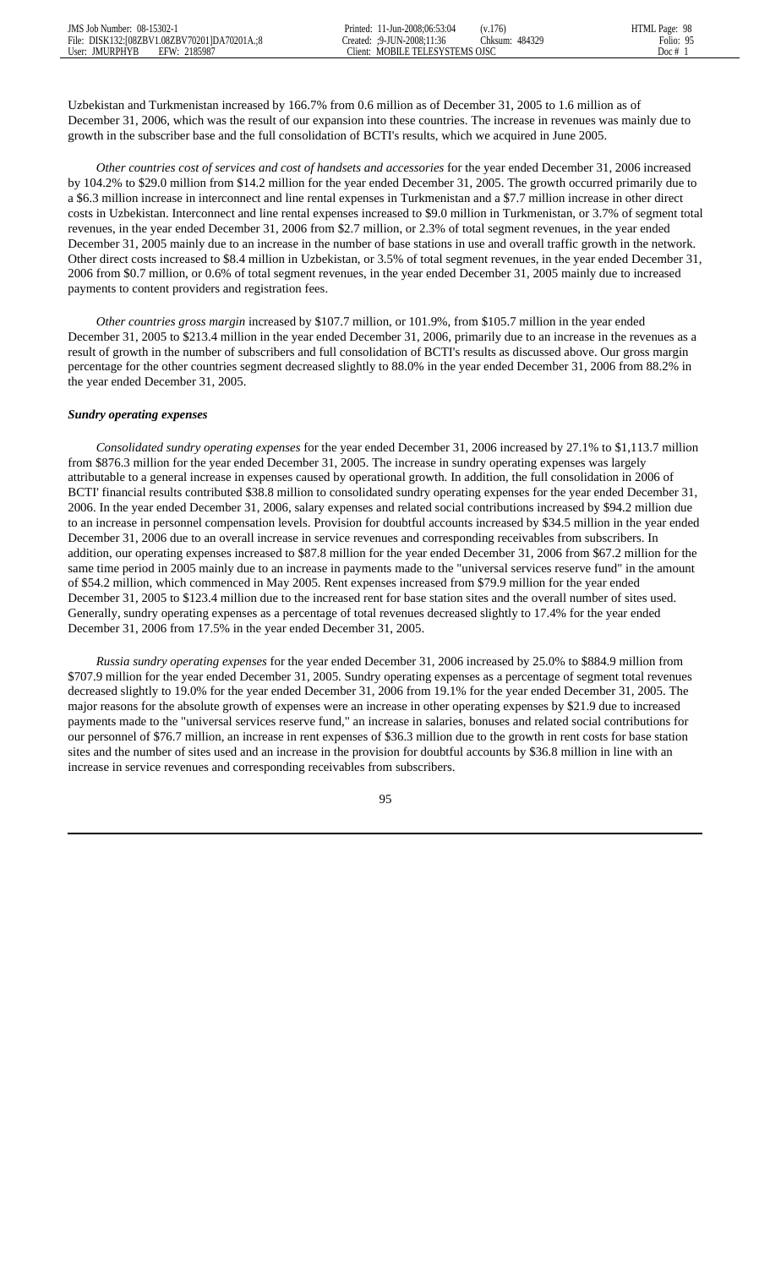Uzbekistan and Turkmenistan increased by 166.7% from 0.6 million as of December 31, 2005 to 1.6 million as of December 31, 2006, which was the result of our expansion into these countries. The increase in revenues was mainly due to growth in the subscriber base and the full consolidation of BCTI's results, which we acquired in June 2005.

 *Other countries cost of services and cost of handsets and accessories* for the year ended December 31, 2006 increased by 104.2% to \$29.0 million from \$14.2 million for the year ended December 31, 2005. The growth occurred primarily due to a \$6.3 million increase in interconnect and line rental expenses in Turkmenistan and a \$7.7 million increase in other direct costs in Uzbekistan. Interconnect and line rental expenses increased to \$9.0 million in Turkmenistan, or 3.7% of segment total revenues, in the year ended December 31, 2006 from \$2.7 million, or 2.3% of total segment revenues, in the year ended December 31, 2005 mainly due to an increase in the number of base stations in use and overall traffic growth in the network. Other direct costs increased to \$8.4 million in Uzbekistan, or 3.5% of total segment revenues, in the year ended December 31, 2006 from \$0.7 million, or 0.6% of total segment revenues, in the year ended December 31, 2005 mainly due to increased payments to content providers and registration fees.

 *Other countries gross margin* increased by \$107.7 million, or 101.9%, from \$105.7 million in the year ended December 31, 2005 to \$213.4 million in the year ended December 31, 2006, primarily due to an increase in the revenues as a result of growth in the number of subscribers and full consolidation of BCTI's results as discussed above. Our gross margin percentage for the other countries segment decreased slightly to 88.0% in the year ended December 31, 2006 from 88.2% in the year ended December 31, 2005.

#### *Sundry operating expenses*

 *Consolidated sundry operating expenses* for the year ended December 31, 2006 increased by 27.1% to \$1,113.7 million from \$876.3 million for the year ended December 31, 2005. The increase in sundry operating expenses was largely attributable to a general increase in expenses caused by operational growth. In addition, the full consolidation in 2006 of BCTI' financial results contributed \$38.8 million to consolidated sundry operating expenses for the year ended December 31, 2006. In the year ended December 31, 2006, salary expenses and related social contributions increased by \$94.2 million due to an increase in personnel compensation levels. Provision for doubtful accounts increased by \$34.5 million in the year ended December 31, 2006 due to an overall increase in service revenues and corresponding receivables from subscribers. In addition, our operating expenses increased to \$87.8 million for the year ended December 31, 2006 from \$67.2 million for the same time period in 2005 mainly due to an increase in payments made to the "universal services reserve fund" in the amount of \$54.2 million, which commenced in May 2005. Rent expenses increased from \$79.9 million for the year ended December 31, 2005 to \$123.4 million due to the increased rent for base station sites and the overall number of sites used. Generally, sundry operating expenses as a percentage of total revenues decreased slightly to 17.4% for the year ended December 31, 2006 from 17.5% in the year ended December 31, 2005.

 *Russia sundry operating expenses* for the year ended December 31, 2006 increased by 25.0% to \$884.9 million from \$707.9 million for the year ended December 31, 2005. Sundry operating expenses as a percentage of segment total revenues decreased slightly to 19.0% for the year ended December 31, 2006 from 19.1% for the year ended December 31, 2005. The major reasons for the absolute growth of expenses were an increase in other operating expenses by \$21.9 due to increased payments made to the "universal services reserve fund," an increase in salaries, bonuses and related social contributions for our personnel of \$76.7 million, an increase in rent expenses of \$36.3 million due to the growth in rent costs for base station sites and the number of sites used and an increase in the provision for doubtful accounts by \$36.8 million in line with an increase in service revenues and corresponding receivables from subscribers.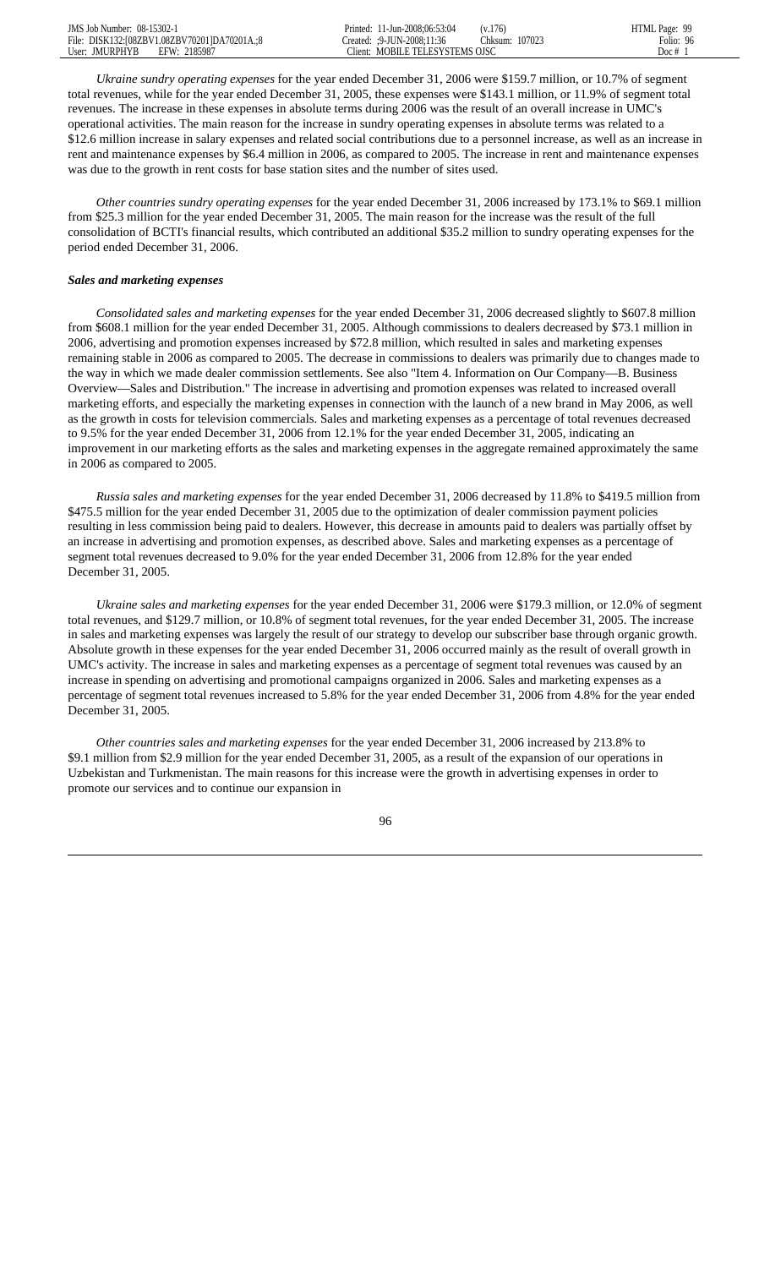*Ukraine sundry operating expenses* for the year ended December 31, 2006 were \$159.7 million, or 10.7% of segment total revenues, while for the year ended December 31, 2005, these expenses were \$143.1 million, or 11.9% of segment total revenues. The increase in these expenses in absolute terms during 2006 was the result of an overall increase in UMC's operational activities. The main reason for the increase in sundry operating expenses in absolute terms was related to a \$12.6 million increase in salary expenses and related social contributions due to a personnel increase, as well as an increase in rent and maintenance expenses by \$6.4 million in 2006, as compared to 2005. The increase in rent and maintenance expenses was due to the growth in rent costs for base station sites and the number of sites used.

 *Other countries sundry operating expenses* for the year ended December 31, 2006 increased by 173.1% to \$69.1 million from \$25.3 million for the year ended December 31, 2005. The main reason for the increase was the result of the full consolidation of BCTI's financial results, which contributed an additional \$35.2 million to sundry operating expenses for the period ended December 31, 2006.

## *Sales and marketing expenses*

 *Consolidated sales and marketing expenses* for the year ended December 31, 2006 decreased slightly to \$607.8 million from \$608.1 million for the year ended December 31, 2005. Although commissions to dealers decreased by \$73.1 million in 2006, advertising and promotion expenses increased by \$72.8 million, which resulted in sales and marketing expenses remaining stable in 2006 as compared to 2005. The decrease in commissions to dealers was primarily due to changes made to the way in which we made dealer commission settlements. See also "Item 4. Information on Our Company—B. Business Overview—Sales and Distribution." The increase in advertising and promotion expenses was related to increased overall marketing efforts, and especially the marketing expenses in connection with the launch of a new brand in May 2006, as well as the growth in costs for television commercials. Sales and marketing expenses as a percentage of total revenues decreased to 9.5% for the year ended December 31, 2006 from 12.1% for the year ended December 31, 2005, indicating an improvement in our marketing efforts as the sales and marketing expenses in the aggregate remained approximately the same in 2006 as compared to 2005.

 *Russia sales and marketing expenses* for the year ended December 31, 2006 decreased by 11.8% to \$419.5 million from \$475.5 million for the year ended December 31, 2005 due to the optimization of dealer commission payment policies resulting in less commission being paid to dealers. However, this decrease in amounts paid to dealers was partially offset by an increase in advertising and promotion expenses, as described above. Sales and marketing expenses as a percentage of segment total revenues decreased to 9.0% for the year ended December 31, 2006 from 12.8% for the year ended December 31, 2005.

 *Ukraine sales and marketing expenses* for the year ended December 31, 2006 were \$179.3 million, or 12.0% of segment total revenues, and \$129.7 million, or 10.8% of segment total revenues, for the year ended December 31, 2005. The increase in sales and marketing expenses was largely the result of our strategy to develop our subscriber base through organic growth. Absolute growth in these expenses for the year ended December 31, 2006 occurred mainly as the result of overall growth in UMC's activity. The increase in sales and marketing expenses as a percentage of segment total revenues was caused by an increase in spending on advertising and promotional campaigns organized in 2006. Sales and marketing expenses as a percentage of segment total revenues increased to 5.8% for the year ended December 31, 2006 from 4.8% for the year ended December 31, 2005.

 *Other countries sales and marketing expenses* for the year ended December 31, 2006 increased by 213.8% to \$9.1 million from \$2.9 million for the year ended December 31, 2005, as a result of the expansion of our operations in Uzbekistan and Turkmenistan. The main reasons for this increase were the growth in advertising expenses in order to promote our services and to continue our expansion in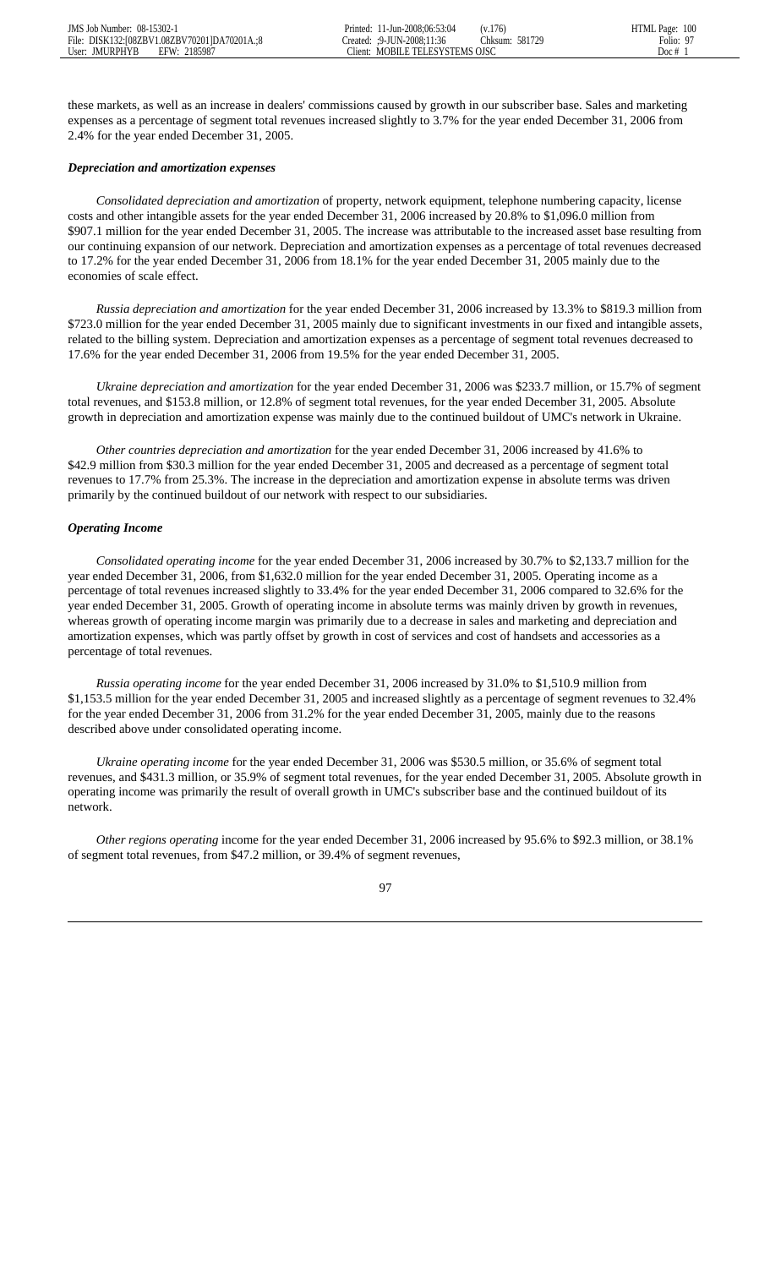these markets, as well as an increase in dealers' commissions caused by growth in our subscriber base. Sales and marketing expenses as a percentage of segment total revenues increased slightly to 3.7% for the year ended December 31, 2006 from 2.4% for the year ended December 31, 2005.

### *Depreciation and amortization expenses*

 *Consolidated depreciation and amortization* of property, network equipment, telephone numbering capacity, license costs and other intangible assets for the year ended December 31, 2006 increased by 20.8% to \$1,096.0 million from \$907.1 million for the year ended December 31, 2005. The increase was attributable to the increased asset base resulting from our continuing expansion of our network. Depreciation and amortization expenses as a percentage of total revenues decreased to 17.2% for the year ended December 31, 2006 from 18.1% for the year ended December 31, 2005 mainly due to the economies of scale effect.

 *Russia depreciation and amortization* for the year ended December 31, 2006 increased by 13.3% to \$819.3 million from \$723.0 million for the year ended December 31, 2005 mainly due to significant investments in our fixed and intangible assets, related to the billing system. Depreciation and amortization expenses as a percentage of segment total revenues decreased to 17.6% for the year ended December 31, 2006 from 19.5% for the year ended December 31, 2005.

 *Ukraine depreciation and amortization* for the year ended December 31, 2006 was \$233.7 million, or 15.7% of segment total revenues, and \$153.8 million, or 12.8% of segment total revenues, for the year ended December 31, 2005. Absolute growth in depreciation and amortization expense was mainly due to the continued buildout of UMC's network in Ukraine.

 *Other countries depreciation and amortization* for the year ended December 31, 2006 increased by 41.6% to \$42.9 million from \$30.3 million for the year ended December 31, 2005 and decreased as a percentage of segment total revenues to 17.7% from 25.3%. The increase in the depreciation and amortization expense in absolute terms was driven primarily by the continued buildout of our network with respect to our subsidiaries.

### *Operating Income*

 *Consolidated operating income* for the year ended December 31, 2006 increased by 30.7% to \$2,133.7 million for the year ended December 31, 2006, from \$1,632.0 million for the year ended December 31, 2005. Operating income as a percentage of total revenues increased slightly to 33.4% for the year ended December 31, 2006 compared to 32.6% for the year ended December 31, 2005. Growth of operating income in absolute terms was mainly driven by growth in revenues, whereas growth of operating income margin was primarily due to a decrease in sales and marketing and depreciation and amortization expenses, which was partly offset by growth in cost of services and cost of handsets and accessories as a percentage of total revenues.

 *Russia operating income* for the year ended December 31, 2006 increased by 31.0% to \$1,510.9 million from \$1,153.5 million for the year ended December 31, 2005 and increased slightly as a percentage of segment revenues to 32.4% for the year ended December 31, 2006 from 31.2% for the year ended December 31, 2005, mainly due to the reasons described above under consolidated operating income.

 *Ukraine operating income* for the year ended December 31, 2006 was \$530.5 million, or 35.6% of segment total revenues, and \$431.3 million, or 35.9% of segment total revenues, for the year ended December 31, 2005. Absolute growth in operating income was primarily the result of overall growth in UMC's subscriber base and the continued buildout of its network.

 *Other regions operating* income for the year ended December 31, 2006 increased by 95.6% to \$92.3 million, or 38.1% of segment total revenues, from \$47.2 million, or 39.4% of segment revenues,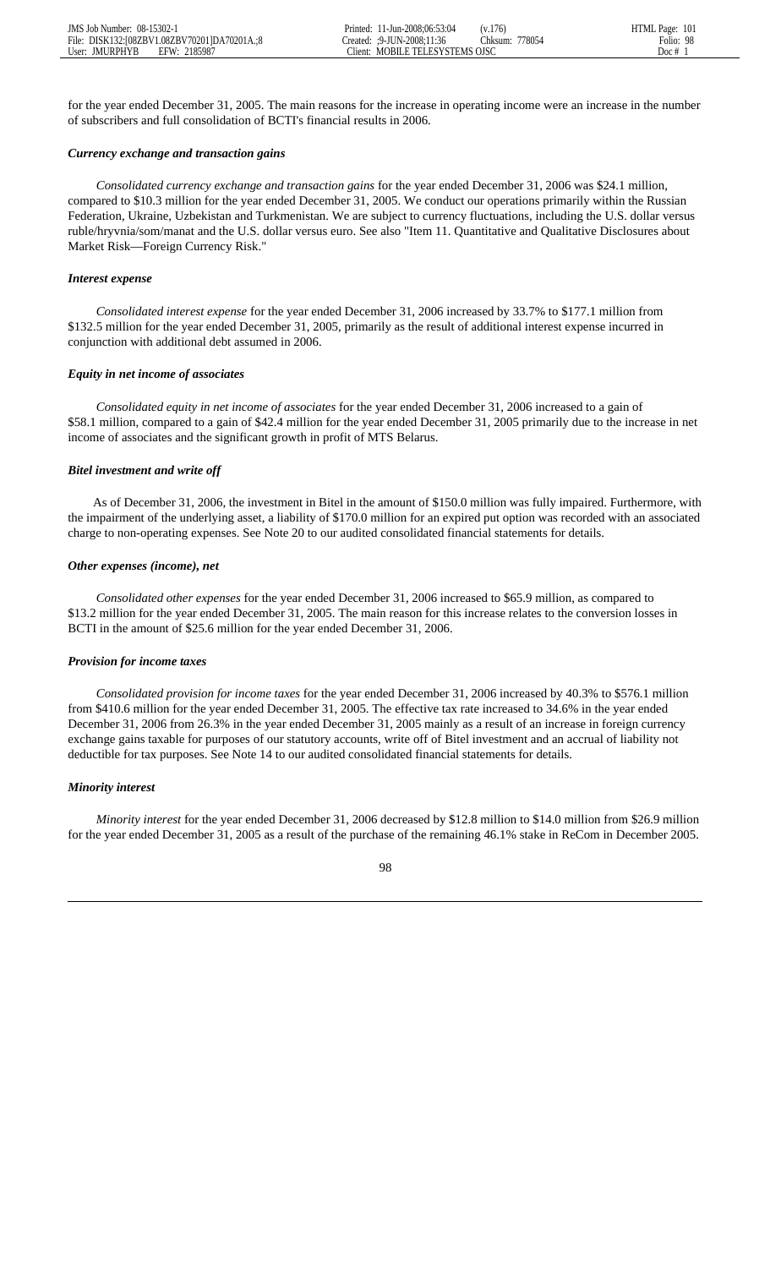for the year ended December 31, 2005. The main reasons for the increase in operating income were an increase in the number of subscribers and full consolidation of BCTI's financial results in 2006.

# *Currency exchange and transaction gains*

 *Consolidated currency exchange and transaction gains* for the year ended December 31, 2006 was \$24.1 million, compared to \$10.3 million for the year ended December 31, 2005. We conduct our operations primarily within the Russian Federation, Ukraine, Uzbekistan and Turkmenistan. We are subject to currency fluctuations, including the U.S. dollar versus ruble/hryvnia/som/manat and the U.S. dollar versus euro. See also "Item 11. Quantitative and Qualitative Disclosures about Market Risk—Foreign Currency Risk."

### *Interest expense*

 *Consolidated interest expense* for the year ended December 31, 2006 increased by 33.7% to \$177.1 million from \$132.5 million for the year ended December 31, 2005, primarily as the result of additional interest expense incurred in conjunction with additional debt assumed in 2006.

### *Equity in net income of associates*

 *Consolidated equity in net income of associates* for the year ended December 31, 2006 increased to a gain of \$58.1 million, compared to a gain of \$42.4 million for the year ended December 31, 2005 primarily due to the increase in net income of associates and the significant growth in profit of MTS Belarus.

### *Bitel investment and write off*

 As of December 31, 2006, the investment in Bitel in the amount of \$150.0 million was fully impaired. Furthermore, with the impairment of the underlying asset, a liability of \$170.0 million for an expired put option was recorded with an associated charge to non-operating expenses. See Note 20 to our audited consolidated financial statements for details.

## *Other expenses (income), net*

 *Consolidated other expenses* for the year ended December 31, 2006 increased to \$65.9 million, as compared to \$13.2 million for the year ended December 31, 2005. The main reason for this increase relates to the conversion losses in BCTI in the amount of \$25.6 million for the year ended December 31, 2006.

### *Provision for income taxes*

 *Consolidated provision for income taxes* for the year ended December 31, 2006 increased by 40.3% to \$576.1 million from \$410.6 million for the year ended December 31, 2005. The effective tax rate increased to 34.6% in the year ended December 31, 2006 from 26.3% in the year ended December 31, 2005 mainly as a result of an increase in foreign currency exchange gains taxable for purposes of our statutory accounts, write off of Bitel investment and an accrual of liability not deductible for tax purposes. See Note 14 to our audited consolidated financial statements for details.

### *Minority interest*

 *Minority interest* for the year ended December 31, 2006 decreased by \$12.8 million to \$14.0 million from \$26.9 million for the year ended December 31, 2005 as a result of the purchase of the remaining 46.1% stake in ReCom in December 2005.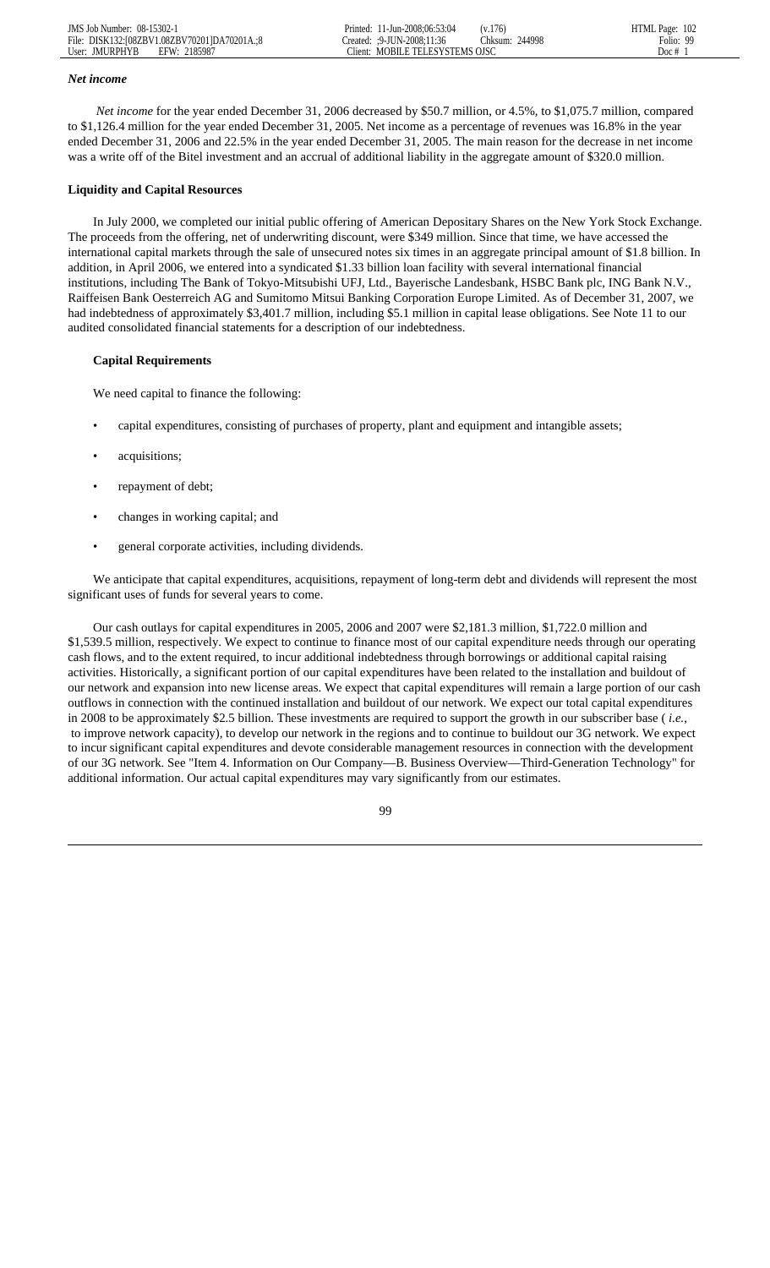### *Net income*

 *Net income* for the year ended December 31, 2006 decreased by \$50.7 million, or 4.5%, to \$1,075.7 million, compared to \$1,126.4 million for the year ended December 31, 2005. Net income as a percentage of revenues was 16.8% in the year ended December 31, 2006 and 22.5% in the year ended December 31, 2005. The main reason for the decrease in net income was a write off of the Bitel investment and an accrual of additional liability in the aggregate amount of \$320.0 million.

# **Liquidity and Capital Resources**

 In July 2000, we completed our initial public offering of American Depositary Shares on the New York Stock Exchange. The proceeds from the offering, net of underwriting discount, were \$349 million. Since that time, we have accessed the international capital markets through the sale of unsecured notes six times in an aggregate principal amount of \$1.8 billion. In addition, in April 2006, we entered into a syndicated \$1.33 billion loan facility with several international financial institutions, including The Bank of Tokyo-Mitsubishi UFJ, Ltd., Bayerische Landesbank, HSBC Bank plc, ING Bank N.V., Raiffeisen Bank Oesterreich AG and Sumitomo Mitsui Banking Corporation Europe Limited. As of December 31, 2007, we had indebtedness of approximately \$3,401.7 million, including \$5.1 million in capital lease obligations. See Note 11 to our audited consolidated financial statements for a description of our indebtedness.

# **Capital Requirements**

We need capital to finance the following:

- capital expenditures, consisting of purchases of property, plant and equipment and intangible assets;
- acquisitions;
- repayment of debt;
- changes in working capital; and
- general corporate activities, including dividends.

 We anticipate that capital expenditures, acquisitions, repayment of long-term debt and dividends will represent the most significant uses of funds for several years to come.

 Our cash outlays for capital expenditures in 2005, 2006 and 2007 were \$2,181.3 million, \$1,722.0 million and \$1,539.5 million, respectively. We expect to continue to finance most of our capital expenditure needs through our operating cash flows, and to the extent required, to incur additional indebtedness through borrowings or additional capital raising activities. Historically, a significant portion of our capital expenditures have been related to the installation and buildout of our network and expansion into new license areas. We expect that capital expenditures will remain a large portion of our cash outflows in connection with the continued installation and buildout of our network. We expect our total capital expenditures in 2008 to be approximately \$2.5 billion. These investments are required to support the growth in our subscriber base ( *i.e.,* to improve network capacity), to develop our network in the regions and to continue to buildout our 3G network. We expect to incur significant capital expenditures and devote considerable management resources in connection with the development of our 3G network. See "Item 4. Information on Our Company—B. Business Overview—Third-Generation Technology" for additional information. Our actual capital expenditures may vary significantly from our estimates.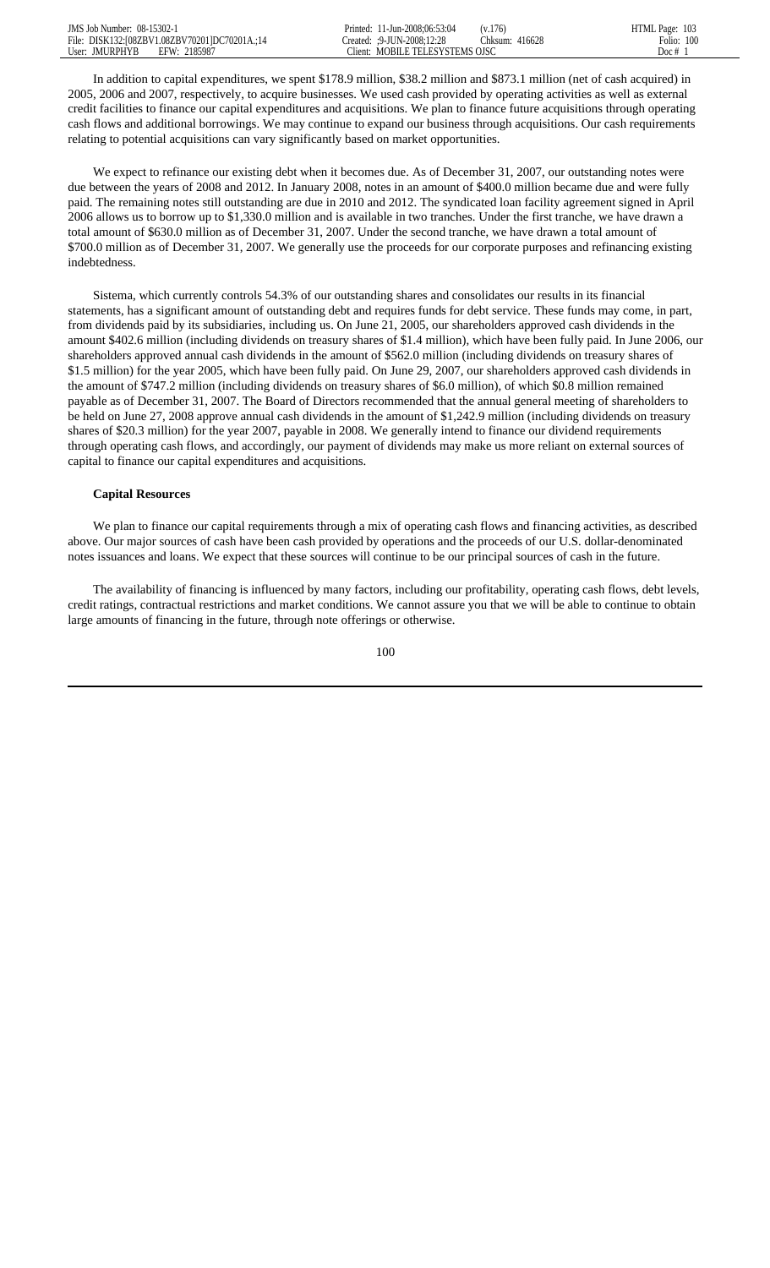In addition to capital expenditures, we spent \$178.9 million, \$38.2 million and \$873.1 million (net of cash acquired) in 2005, 2006 and 2007, respectively, to acquire businesses. We used cash provided by operating activities as well as external credit facilities to finance our capital expenditures and acquisitions. We plan to finance future acquisitions through operating cash flows and additional borrowings. We may continue to expand our business through acquisitions. Our cash requirements relating to potential acquisitions can vary significantly based on market opportunities.

We expect to refinance our existing debt when it becomes due. As of December 31, 2007, our outstanding notes were due between the years of 2008 and 2012. In January 2008, notes in an amount of \$400.0 million became due and were fully paid. The remaining notes still outstanding are due in 2010 and 2012. The syndicated loan facility agreement signed in April 2006 allows us to borrow up to \$1,330.0 million and is available in two tranches. Under the first tranche, we have drawn a total amount of \$630.0 million as of December 31, 2007. Under the second tranche, we have drawn a total amount of \$700.0 million as of December 31, 2007. We generally use the proceeds for our corporate purposes and refinancing existing indebtedness.

 Sistema, which currently controls 54.3% of our outstanding shares and consolidates our results in its financial statements, has a significant amount of outstanding debt and requires funds for debt service. These funds may come, in part, from dividends paid by its subsidiaries, including us. On June 21, 2005, our shareholders approved cash dividends in the amount \$402.6 million (including dividends on treasury shares of \$1.4 million), which have been fully paid. In June 2006, our shareholders approved annual cash dividends in the amount of \$562.0 million (including dividends on treasury shares of \$1.5 million) for the year 2005, which have been fully paid. On June 29, 2007, our shareholders approved cash dividends in the amount of \$747.2 million (including dividends on treasury shares of \$6.0 million), of which \$0.8 million remained payable as of December 31, 2007. The Board of Directors recommended that the annual general meeting of shareholders to be held on June 27, 2008 approve annual cash dividends in the amount of \$1,242.9 million (including dividends on treasury shares of \$20.3 million) for the year 2007, payable in 2008. We generally intend to finance our dividend requirements through operating cash flows, and accordingly, our payment of dividends may make us more reliant on external sources of capital to finance our capital expenditures and acquisitions.

## **Capital Resources**

 We plan to finance our capital requirements through a mix of operating cash flows and financing activities, as described above. Our major sources of cash have been cash provided by operations and the proceeds of our U.S. dollar-denominated notes issuances and loans. We expect that these sources will continue to be our principal sources of cash in the future.

 The availability of financing is influenced by many factors, including our profitability, operating cash flows, debt levels, credit ratings, contractual restrictions and market conditions. We cannot assure you that we will be able to continue to obtain large amounts of financing in the future, through note offerings or otherwise.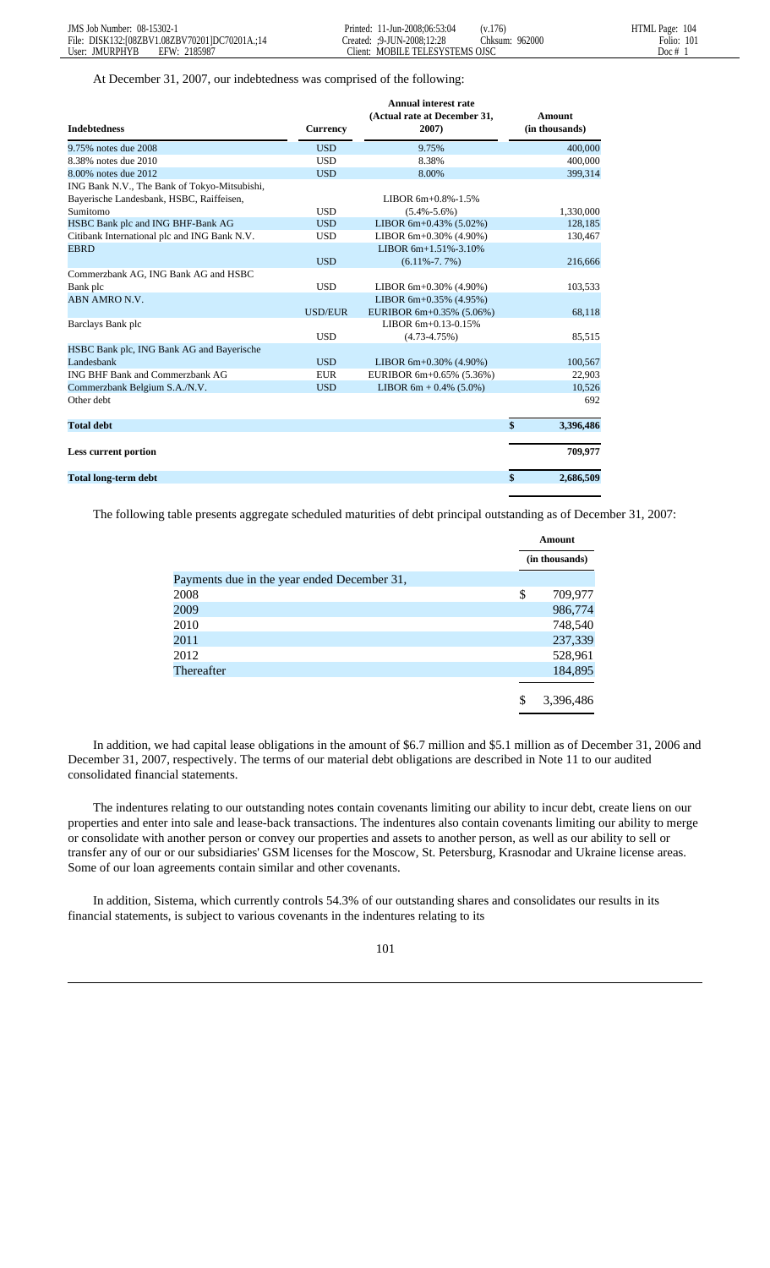## At December 31, 2007, our indebtedness was comprised of the following:

| <b>Indebtedness</b>                                                                      | <b>Currency</b> | Annual interest rate<br>(Actual rate at December 31,<br>2007) | Amount<br>(in thousands) |
|------------------------------------------------------------------------------------------|-----------------|---------------------------------------------------------------|--------------------------|
| 9.75% notes due 2008                                                                     | <b>USD</b>      | 9.75%                                                         | 400,000                  |
| 8.38% notes due 2010                                                                     | <b>USD</b>      | 8.38%                                                         | 400,000                  |
| 8,00% notes due 2012                                                                     | <b>USD</b>      | 8.00%                                                         | 399.314                  |
| ING Bank N.V., The Bank of Tokyo-Mitsubishi,<br>Bayerische Landesbank, HSBC, Raiffeisen, |                 | LIBOR $6m+0.8\% -1.5\%$                                       |                          |
| Sumitomo                                                                                 | <b>USD</b>      | $(5.4\% - 5.6\%)$                                             | 1,330,000                |
| HSBC Bank plc and ING BHF-Bank AG                                                        | <b>USD</b>      | LIBOR 6m+0.43% $(5.02\%)$                                     | 128,185                  |
| Citibank International plc and ING Bank N.V.                                             | <b>USD</b>      | LIBOR 6m+0.30% (4.90%)                                        | 130,467                  |
| <b>EBRD</b>                                                                              |                 | LIBOR $6m+1.51\% -3.10\%$                                     |                          |
|                                                                                          | <b>USD</b>      | $(6.11\% - 7.7\%)$                                            | 216,666                  |
| Commerzbank AG, ING Bank AG and HSBC                                                     |                 |                                                               |                          |
| Bank plc                                                                                 | <b>USD</b>      | LIBOR 6m+0.30% $(4.90\%)$                                     | 103,533                  |
| ABN AMRO N.V.                                                                            | <b>USD/EUR</b>  | LIBOR 6m+0.35% (4.95%)<br>EURIBOR 6m+0.35% (5.06%)            | 68,118                   |
| Barclays Bank plc                                                                        | <b>USD</b>      | LIBOR 6m+0.13-0.15%<br>$(4.73 - 4.75%)$                       | 85,515                   |
| HSBC Bank plc, ING Bank AG and Bayerische                                                |                 |                                                               |                          |
| Landesbank                                                                               | <b>USD</b>      | LIBOR 6m+0.30% $(4.90\%)$                                     | 100,567                  |
| ING BHF Bank and Commerzbank AG                                                          | <b>EUR</b>      | EURIBOR 6m+0.65% (5.36%)                                      | 22,903                   |
| Commerzbank Belgium S.A./N.V.                                                            | <b>USD</b>      | LIBOR 6m + $0.4\%$ (5.0%)                                     | 10,526                   |
| Other debt                                                                               |                 |                                                               | 692                      |
| <b>Total debt</b>                                                                        |                 |                                                               | \$<br>3,396,486          |
| <b>Less current portion</b>                                                              |                 |                                                               | 709.977                  |
| <b>Total long-term debt</b>                                                              |                 |                                                               | \$<br>2,686,509          |

The following table presents aggregate scheduled maturities of debt principal outstanding as of December 31, 2007:

|                                             | Amount          |
|---------------------------------------------|-----------------|
|                                             | (in thousands)  |
| Payments due in the year ended December 31, |                 |
| 2008                                        | \$<br>709,977   |
| 2009                                        | 986,774         |
| 2010                                        | 748,540         |
| 2011                                        | 237,339         |
| 2012                                        | 528,961         |
| Thereafter                                  | 184,895         |
|                                             | \$<br>3,396,486 |

 In addition, we had capital lease obligations in the amount of \$6.7 million and \$5.1 million as of December 31, 2006 and December 31, 2007, respectively. The terms of our material debt obligations are described in Note 11 to our audited consolidated financial statements.

 The indentures relating to our outstanding notes contain covenants limiting our ability to incur debt, create liens on our properties and enter into sale and lease-back transactions. The indentures also contain covenants limiting our ability to merge or consolidate with another person or convey our properties and assets to another person, as well as our ability to sell or transfer any of our or our subsidiaries' GSM licenses for the Moscow, St. Petersburg, Krasnodar and Ukraine license areas. Some of our loan agreements contain similar and other covenants.

 In addition, Sistema, which currently controls 54.3% of our outstanding shares and consolidates our results in its financial statements, is subject to various covenants in the indentures relating to its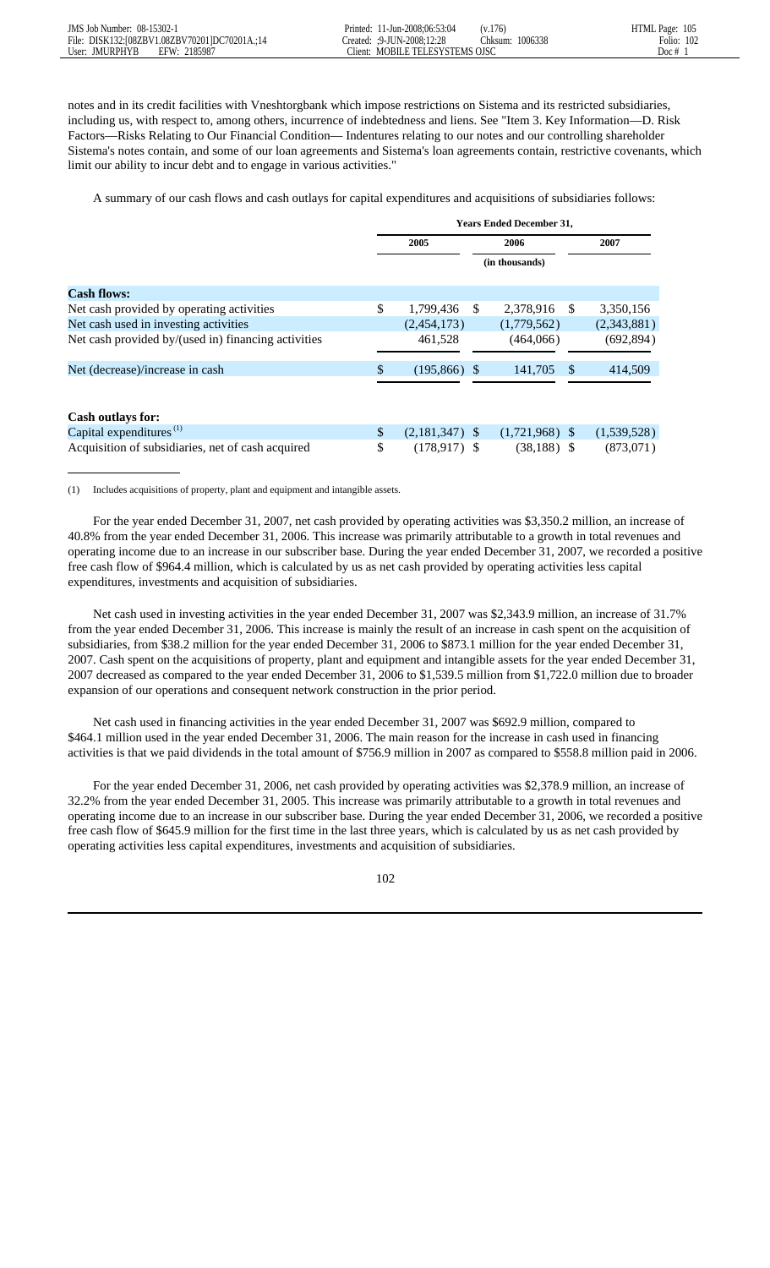notes and in its credit facilities with Vneshtorgbank which impose restrictions on Sistema and its restricted subsidiaries, including us, with respect to, among others, incurrence of indebtedness and liens. See "Item 3. Key Information—D. Risk Factors—Risks Relating to Our Financial Condition— Indentures relating to our notes and our controlling shareholder Sistema's notes contain, and some of our loan agreements and Sistema's loan agreements contain, restrictive covenants, which limit our ability to incur debt and to engage in various activities."

A summary of our cash flows and cash outlays for capital expenditures and acquisitions of subsidiaries follows:

|                                                     | <b>Years Ended December 31,</b> |                  |               |                  |      |             |
|-----------------------------------------------------|---------------------------------|------------------|---------------|------------------|------|-------------|
|                                                     |                                 | 2005<br>2006     |               |                  | 2007 |             |
|                                                     |                                 |                  |               | (in thousands)   |      |             |
| <b>Cash flows:</b>                                  |                                 |                  |               |                  |      |             |
| Net cash provided by operating activities           | \$                              | 1,799,436        | <sup>\$</sup> | 2,378,916 \$     |      | 3,350,156   |
| Net cash used in investing activities               |                                 | (2,454,173)      |               | (1,779,562)      |      | (2,343,881) |
| Net cash provided by/(used in) financing activities |                                 | 461,528          |               | (464,066)        |      | (692, 894)  |
| Net (decrease)/increase in cash                     |                                 | $(195,866)$ \$   |               | 141.705          | -S   | 414,509     |
| Cash outlays for:                                   |                                 |                  |               |                  |      |             |
| Capital expenditures $(1)$                          | \$                              | $(2,181,347)$ \$ |               | $(1,721,968)$ \$ |      | (1,539,528) |
| Acquisition of subsidiaries, net of cash acquired   | \$                              | $(178,917)$ \$   |               | $(38, 188)$ \$   |      | (873,071)   |

(1) Includes acquisitions of property, plant and equipment and intangible assets.

 For the year ended December 31, 2007, net cash provided by operating activities was \$3,350.2 million, an increase of 40.8% from the year ended December 31, 2006. This increase was primarily attributable to a growth in total revenues and operating income due to an increase in our subscriber base. During the year ended December 31, 2007, we recorded a positive free cash flow of \$964.4 million, which is calculated by us as net cash provided by operating activities less capital expenditures, investments and acquisition of subsidiaries.

 Net cash used in investing activities in the year ended December 31, 2007 was \$2,343.9 million, an increase of 31.7% from the year ended December 31, 2006. This increase is mainly the result of an increase in cash spent on the acquisition of subsidiaries, from \$38.2 million for the year ended December 31, 2006 to \$873.1 million for the year ended December 31, 2007. Cash spent on the acquisitions of property, plant and equipment and intangible assets for the year ended December 31, 2007 decreased as compared to the year ended December 31, 2006 to \$1,539.5 million from \$1,722.0 million due to broader expansion of our operations and consequent network construction in the prior period.

 Net cash used in financing activities in the year ended December 31, 2007 was \$692.9 million, compared to \$464.1 million used in the year ended December 31, 2006. The main reason for the increase in cash used in financing activities is that we paid dividends in the total amount of \$756.9 million in 2007 as compared to \$558.8 million paid in 2006.

 For the year ended December 31, 2006, net cash provided by operating activities was \$2,378.9 million, an increase of 32.2% from the year ended December 31, 2005. This increase was primarily attributable to a growth in total revenues and operating income due to an increase in our subscriber base. During the year ended December 31, 2006, we recorded a positive free cash flow of \$645.9 million for the first time in the last three years, which is calculated by us as net cash provided by operating activities less capital expenditures, investments and acquisition of subsidiaries.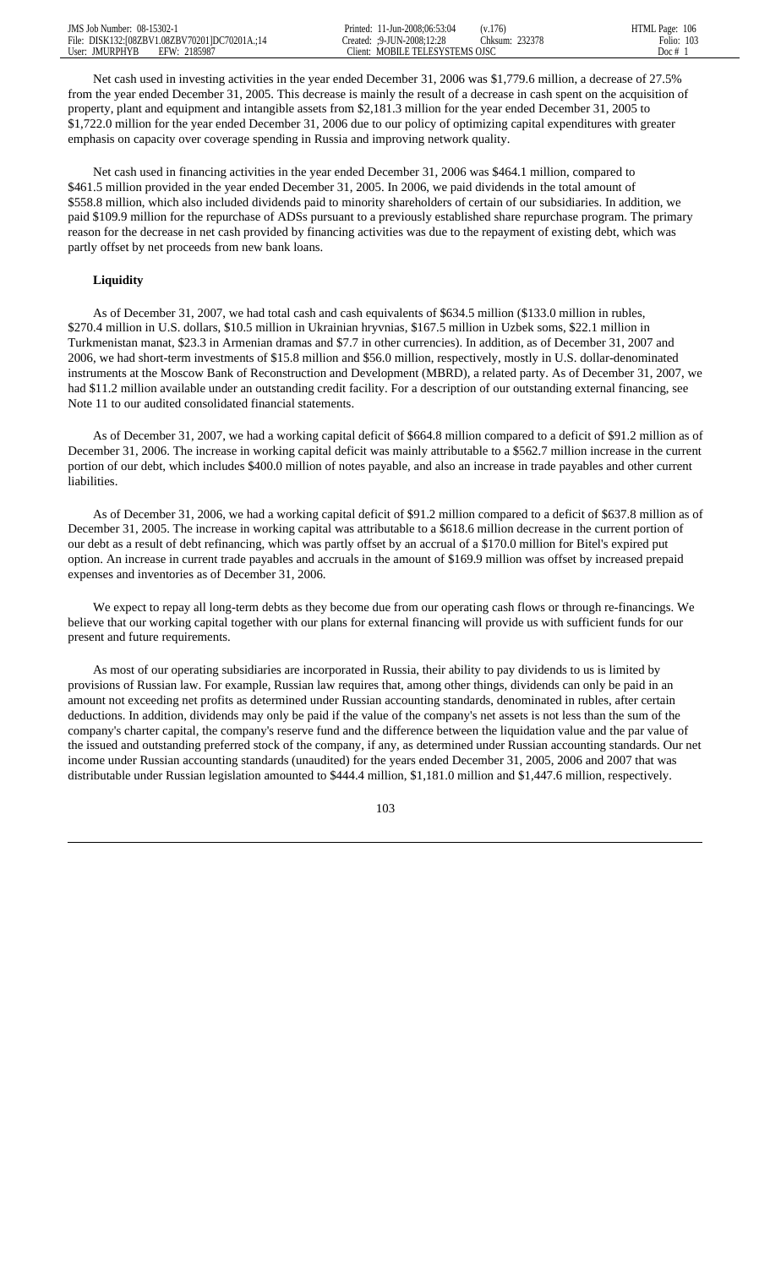Net cash used in investing activities in the year ended December 31, 2006 was \$1,779.6 million, a decrease of 27.5% from the year ended December 31, 2005. This decrease is mainly the result of a decrease in cash spent on the acquisition of property, plant and equipment and intangible assets from \$2,181.3 million for the year ended December 31, 2005 to \$1,722.0 million for the year ended December 31, 2006 due to our policy of optimizing capital expenditures with greater emphasis on capacity over coverage spending in Russia and improving network quality.

 Net cash used in financing activities in the year ended December 31, 2006 was \$464.1 million, compared to \$461.5 million provided in the year ended December 31, 2005. In 2006, we paid dividends in the total amount of \$558.8 million, which also included dividends paid to minority shareholders of certain of our subsidiaries. In addition, we paid \$109.9 million for the repurchase of ADSs pursuant to a previously established share repurchase program. The primary reason for the decrease in net cash provided by financing activities was due to the repayment of existing debt, which was partly offset by net proceeds from new bank loans.

## **Liquidity**

 As of December 31, 2007, we had total cash and cash equivalents of \$634.5 million (\$133.0 million in rubles, \$270.4 million in U.S. dollars, \$10.5 million in Ukrainian hryvnias, \$167.5 million in Uzbek soms, \$22.1 million in Turkmenistan manat, \$23.3 in Armenian dramas and \$7.7 in other currencies). In addition, as of December 31, 2007 and 2006, we had short-term investments of \$15.8 million and \$56.0 million, respectively, mostly in U.S. dollar-denominated instruments at the Moscow Bank of Reconstruction and Development (MBRD), a related party. As of December 31, 2007, we had \$11.2 million available under an outstanding credit facility. For a description of our outstanding external financing, see Note 11 to our audited consolidated financial statements.

 As of December 31, 2007, we had a working capital deficit of \$664.8 million compared to a deficit of \$91.2 million as of December 31, 2006. The increase in working capital deficit was mainly attributable to a \$562.7 million increase in the current portion of our debt, which includes \$400.0 million of notes payable, and also an increase in trade payables and other current liabilities.

 As of December 31, 2006, we had a working capital deficit of \$91.2 million compared to a deficit of \$637.8 million as of December 31, 2005. The increase in working capital was attributable to a \$618.6 million decrease in the current portion of our debt as a result of debt refinancing, which was partly offset by an accrual of a \$170.0 million for Bitel's expired put option. An increase in current trade payables and accruals in the amount of \$169.9 million was offset by increased prepaid expenses and inventories as of December 31, 2006.

 We expect to repay all long-term debts as they become due from our operating cash flows or through re-financings. We believe that our working capital together with our plans for external financing will provide us with sufficient funds for our present and future requirements.

 As most of our operating subsidiaries are incorporated in Russia, their ability to pay dividends to us is limited by provisions of Russian law. For example, Russian law requires that, among other things, dividends can only be paid in an amount not exceeding net profits as determined under Russian accounting standards, denominated in rubles, after certain deductions. In addition, dividends may only be paid if the value of the company's net assets is not less than the sum of the company's charter capital, the company's reserve fund and the difference between the liquidation value and the par value of the issued and outstanding preferred stock of the company, if any, as determined under Russian accounting standards. Our net income under Russian accounting standards (unaudited) for the years ended December 31, 2005, 2006 and 2007 that was distributable under Russian legislation amounted to \$444.4 million, \$1,181.0 million and \$1,447.6 million, respectively.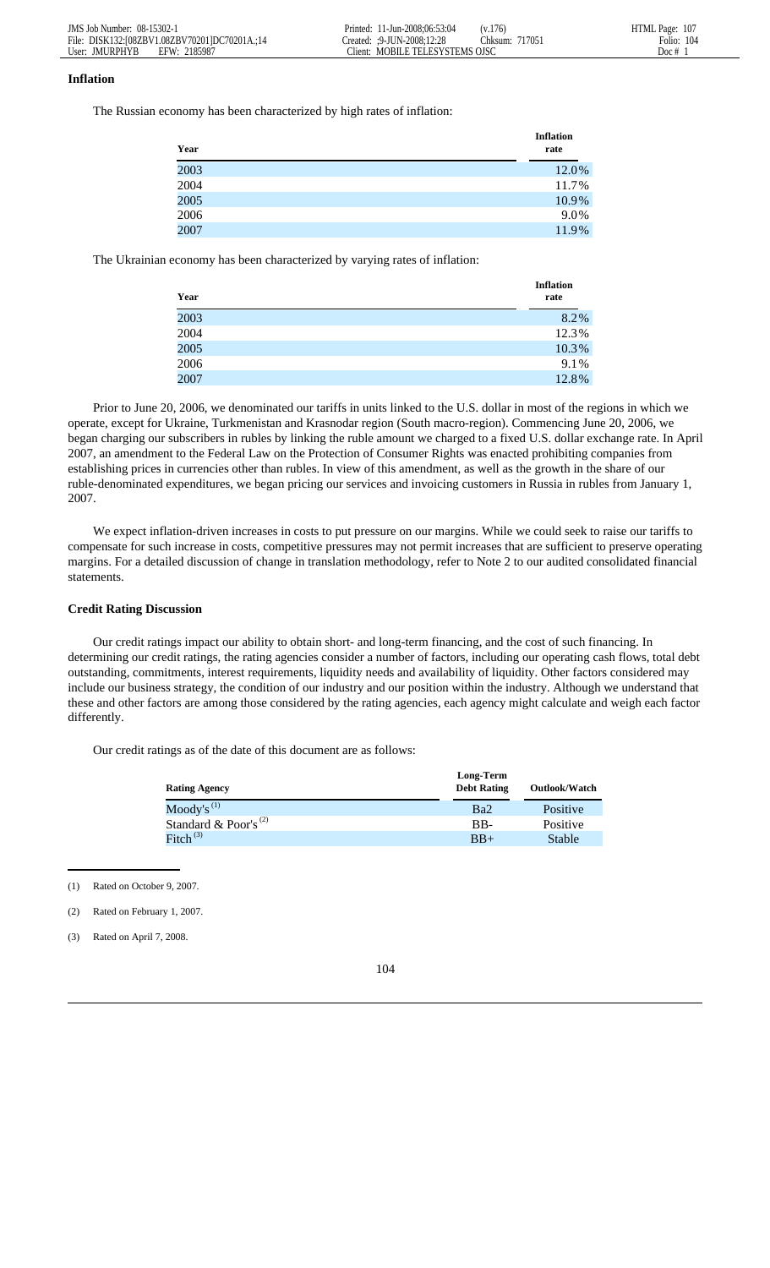## **Inflation**

The Russian economy has been characterized by high rates of inflation:

| Year | <b>Inflation</b><br>rate |
|------|--------------------------|
| 2003 | 12.0%                    |
| 2004 | 11.7%                    |
| 2005 | 10.9%                    |
| 2006 | 9.0%                     |
| 2007 | 11.9%                    |

The Ukrainian economy has been characterized by varying rates of inflation:

| Year | <b>Inflation</b><br>rate |
|------|--------------------------|
| 2003 | 8.2%                     |
| 2004 | 12.3%                    |
| 2005 | 10.3%                    |
| 2006 | 9.1%                     |
| 2007 | 12.8%                    |

 Prior to June 20, 2006, we denominated our tariffs in units linked to the U.S. dollar in most of the regions in which we operate, except for Ukraine, Turkmenistan and Krasnodar region (South macro-region). Commencing June 20, 2006, we began charging our subscribers in rubles by linking the ruble amount we charged to a fixed U.S. dollar exchange rate. In April 2007, an amendment to the Federal Law on the Protection of Consumer Rights was enacted prohibiting companies from establishing prices in currencies other than rubles. In view of this amendment, as well as the growth in the share of our ruble-denominated expenditures, we began pricing our services and invoicing customers in Russia in rubles from January 1, 2007.

 We expect inflation-driven increases in costs to put pressure on our margins. While we could seek to raise our tariffs to compensate for such increase in costs, competitive pressures may not permit increases that are sufficient to preserve operating margins. For a detailed discussion of change in translation methodology, refer to Note 2 to our audited consolidated financial statements.

# **Credit Rating Discussion**

 Our credit ratings impact our ability to obtain short- and long-term financing, and the cost of such financing. In determining our credit ratings, the rating agencies consider a number of factors, including our operating cash flows, total debt outstanding, commitments, interest requirements, liquidity needs and availability of liquidity. Other factors considered may include our business strategy, the condition of our industry and our position within the industry. Although we understand that these and other factors are among those considered by the rating agencies, each agency might calculate and weigh each factor differently.

Our credit ratings as of the date of this document are as follows:

| <b>Rating Agency</b>             | Long-Term<br><b>Debt Rating</b> | Outlook/Watch |
|----------------------------------|---------------------------------|---------------|
| Moody's $(1)$                    | Ba <sub>2</sub>                 | Positive      |
| Standard & Poor's <sup>(2)</sup> | BB-                             | Positive      |
| Fitch <sup>(3)</sup>             | $BB+$                           | <b>Stable</b> |

(1) Rated on October 9, 2007.

(2) Rated on February 1, 2007.

(3) Rated on April 7, 2008.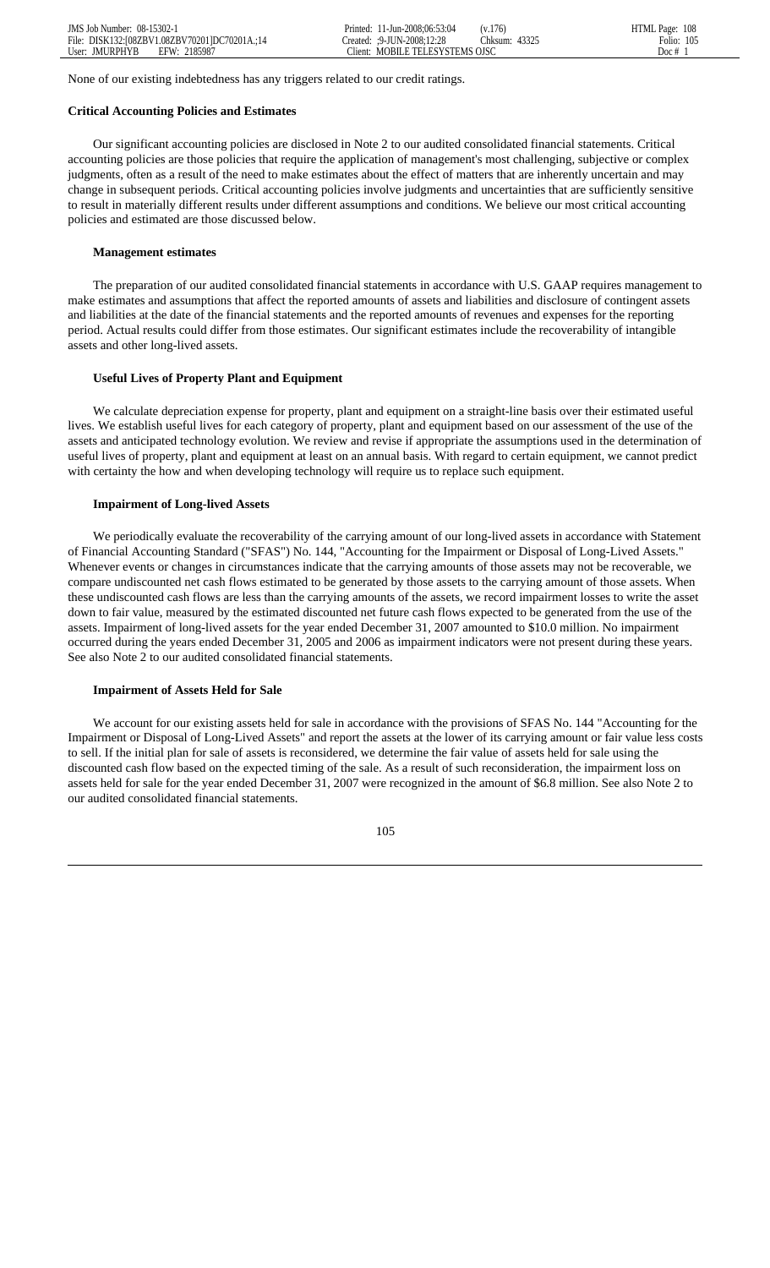None of our existing indebtedness has any triggers related to our credit ratings.

## **Critical Accounting Policies and Estimates**

 Our significant accounting policies are disclosed in Note 2 to our audited consolidated financial statements. Critical accounting policies are those policies that require the application of management's most challenging, subjective or complex judgments, often as a result of the need to make estimates about the effect of matters that are inherently uncertain and may change in subsequent periods. Critical accounting policies involve judgments and uncertainties that are sufficiently sensitive to result in materially different results under different assumptions and conditions. We believe our most critical accounting policies and estimated are those discussed below.

## **Management estimates**

 The preparation of our audited consolidated financial statements in accordance with U.S. GAAP requires management to make estimates and assumptions that affect the reported amounts of assets and liabilities and disclosure of contingent assets and liabilities at the date of the financial statements and the reported amounts of revenues and expenses for the reporting period. Actual results could differ from those estimates. Our significant estimates include the recoverability of intangible assets and other long-lived assets.

## **Useful Lives of Property Plant and Equipment**

 We calculate depreciation expense for property, plant and equipment on a straight-line basis over their estimated useful lives. We establish useful lives for each category of property, plant and equipment based on our assessment of the use of the assets and anticipated technology evolution. We review and revise if appropriate the assumptions used in the determination of useful lives of property, plant and equipment at least on an annual basis. With regard to certain equipment, we cannot predict with certainty the how and when developing technology will require us to replace such equipment.

## **Impairment of Long-lived Assets**

 We periodically evaluate the recoverability of the carrying amount of our long-lived assets in accordance with Statement of Financial Accounting Standard ("SFAS") No. 144, "Accounting for the Impairment or Disposal of Long-Lived Assets." Whenever events or changes in circumstances indicate that the carrying amounts of those assets may not be recoverable, we compare undiscounted net cash flows estimated to be generated by those assets to the carrying amount of those assets. When these undiscounted cash flows are less than the carrying amounts of the assets, we record impairment losses to write the asset down to fair value, measured by the estimated discounted net future cash flows expected to be generated from the use of the assets. Impairment of long-lived assets for the year ended December 31, 2007 amounted to \$10.0 million. No impairment occurred during the years ended December 31, 2005 and 2006 as impairment indicators were not present during these years. See also Note 2 to our audited consolidated financial statements.

### **Impairment of Assets Held for Sale**

 We account for our existing assets held for sale in accordance with the provisions of SFAS No. 144 "Accounting for the Impairment or Disposal of Long-Lived Assets" and report the assets at the lower of its carrying amount or fair value less costs to sell. If the initial plan for sale of assets is reconsidered, we determine the fair value of assets held for sale using the discounted cash flow based on the expected timing of the sale. As a result of such reconsideration, the impairment loss on assets held for sale for the year ended December 31, 2007 were recognized in the amount of \$6.8 million. See also Note 2 to our audited consolidated financial statements.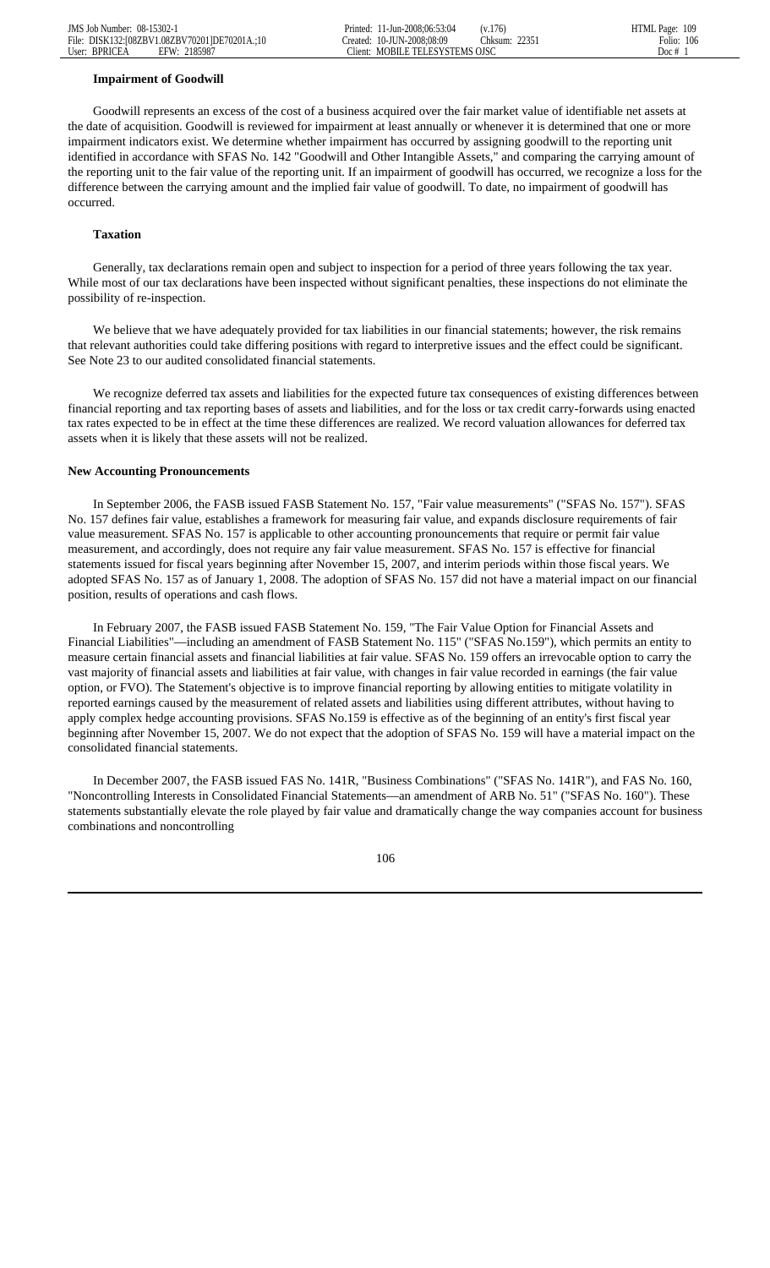## **Impairment of Goodwill**

 Goodwill represents an excess of the cost of a business acquired over the fair market value of identifiable net assets at the date of acquisition. Goodwill is reviewed for impairment at least annually or whenever it is determined that one or more impairment indicators exist. We determine whether impairment has occurred by assigning goodwill to the reporting unit identified in accordance with SFAS No. 142 "Goodwill and Other Intangible Assets," and comparing the carrying amount of the reporting unit to the fair value of the reporting unit. If an impairment of goodwill has occurred, we recognize a loss for the difference between the carrying amount and the implied fair value of goodwill. To date, no impairment of goodwill has occurred.

#### **Taxation**

 Generally, tax declarations remain open and subject to inspection for a period of three years following the tax year. While most of our tax declarations have been inspected without significant penalties, these inspections do not eliminate the possibility of re-inspection.

We believe that we have adequately provided for tax liabilities in our financial statements; however, the risk remains that relevant authorities could take differing positions with regard to interpretive issues and the effect could be significant. See Note 23 to our audited consolidated financial statements.

 We recognize deferred tax assets and liabilities for the expected future tax consequences of existing differences between financial reporting and tax reporting bases of assets and liabilities, and for the loss or tax credit carry-forwards using enacted tax rates expected to be in effect at the time these differences are realized. We record valuation allowances for deferred tax assets when it is likely that these assets will not be realized.

### **New Accounting Pronouncements**

 In September 2006, the FASB issued FASB Statement No. 157, "Fair value measurements" ("SFAS No. 157"). SFAS No. 157 defines fair value, establishes a framework for measuring fair value, and expands disclosure requirements of fair value measurement. SFAS No. 157 is applicable to other accounting pronouncements that require or permit fair value measurement, and accordingly, does not require any fair value measurement. SFAS No. 157 is effective for financial statements issued for fiscal years beginning after November 15, 2007, and interim periods within those fiscal years. We adopted SFAS No. 157 as of January 1, 2008. The adoption of SFAS No. 157 did not have a material impact on our financial position, results of operations and cash flows.

 In February 2007, the FASB issued FASB Statement No. 159, "The Fair Value Option for Financial Assets and Financial Liabilities"—including an amendment of FASB Statement No. 115" ("SFAS No.159"), which permits an entity to measure certain financial assets and financial liabilities at fair value. SFAS No. 159 offers an irrevocable option to carry the vast majority of financial assets and liabilities at fair value, with changes in fair value recorded in earnings (the fair value option, or FVO). The Statement's objective is to improve financial reporting by allowing entities to mitigate volatility in reported earnings caused by the measurement of related assets and liabilities using different attributes, without having to apply complex hedge accounting provisions. SFAS No.159 is effective as of the beginning of an entity's first fiscal year beginning after November 15, 2007. We do not expect that the adoption of SFAS No. 159 will have a material impact on the consolidated financial statements.

 In December 2007, the FASB issued FAS No. 141R, "Business Combinations" ("SFAS No. 141R"), and FAS No. 160, "Noncontrolling Interests in Consolidated Financial Statements—an amendment of ARB No. 51" ("SFAS No. 160"). These statements substantially elevate the role played by fair value and dramatically change the way companies account for business combinations and noncontrolling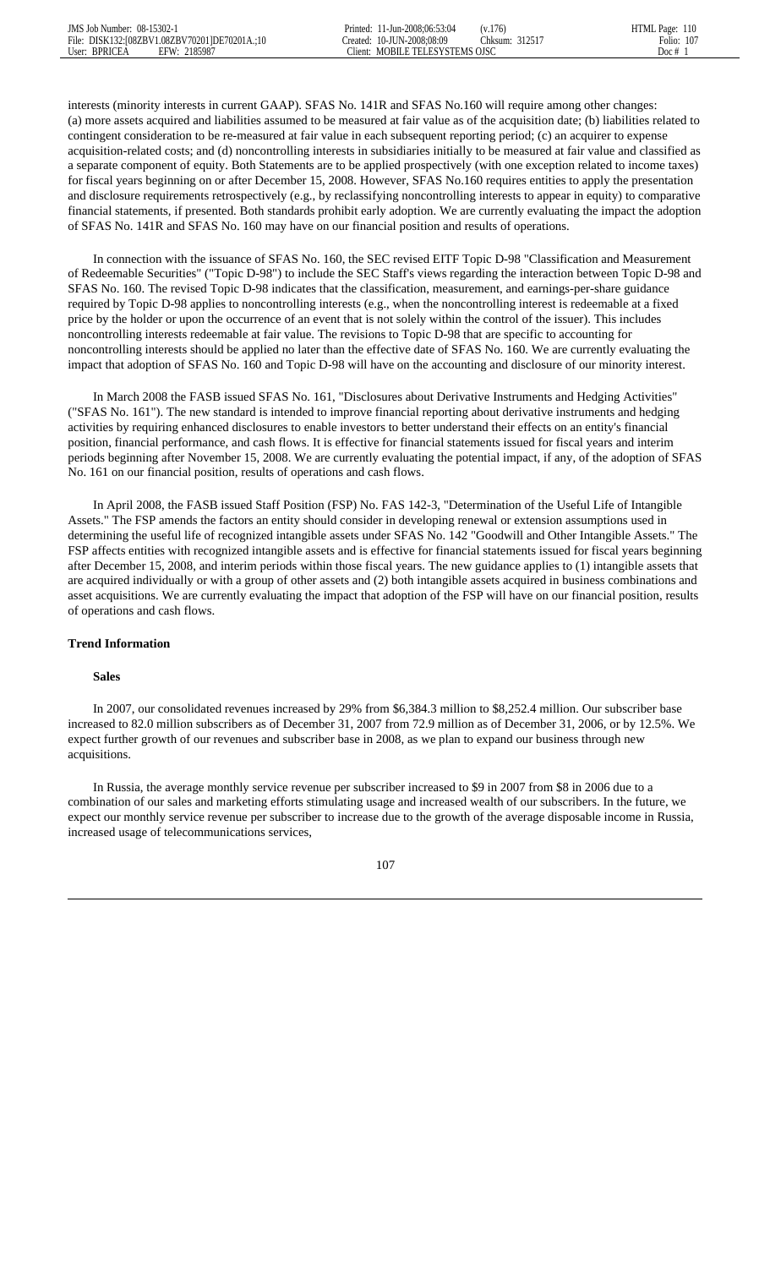interests (minority interests in current GAAP). SFAS No. 141R and SFAS No.160 will require among other changes: (a) more assets acquired and liabilities assumed to be measured at fair value as of the acquisition date; (b) liabilities related to contingent consideration to be re-measured at fair value in each subsequent reporting period; (c) an acquirer to expense acquisition-related costs; and (d) noncontrolling interests in subsidiaries initially to be measured at fair value and classified as a separate component of equity. Both Statements are to be applied prospectively (with one exception related to income taxes) for fiscal years beginning on or after December 15, 2008. However, SFAS No.160 requires entities to apply the presentation and disclosure requirements retrospectively (e.g., by reclassifying noncontrolling interests to appear in equity) to comparative financial statements, if presented. Both standards prohibit early adoption. We are currently evaluating the impact the adoption of SFAS No. 141R and SFAS No. 160 may have on our financial position and results of operations.

 In connection with the issuance of SFAS No. 160, the SEC revised EITF Topic D-98 "Classification and Measurement of Redeemable Securities" ("Topic D-98") to include the SEC Staff's views regarding the interaction between Topic D-98 and SFAS No. 160. The revised Topic D-98 indicates that the classification, measurement, and earnings-per-share guidance required by Topic D-98 applies to noncontrolling interests (e.g., when the noncontrolling interest is redeemable at a fixed price by the holder or upon the occurrence of an event that is not solely within the control of the issuer). This includes noncontrolling interests redeemable at fair value. The revisions to Topic D-98 that are specific to accounting for noncontrolling interests should be applied no later than the effective date of SFAS No. 160. We are currently evaluating the impact that adoption of SFAS No. 160 and Topic D-98 will have on the accounting and disclosure of our minority interest.

 In March 2008 the FASB issued SFAS No. 161, "Disclosures about Derivative Instruments and Hedging Activities" ("SFAS No. 161"). The new standard is intended to improve financial reporting about derivative instruments and hedging activities by requiring enhanced disclosures to enable investors to better understand their effects on an entity's financial position, financial performance, and cash flows. It is effective for financial statements issued for fiscal years and interim periods beginning after November 15, 2008. We are currently evaluating the potential impact, if any, of the adoption of SFAS No. 161 on our financial position, results of operations and cash flows.

 In April 2008, the FASB issued Staff Position (FSP) No. FAS 142-3, "Determination of the Useful Life of Intangible Assets." The FSP amends the factors an entity should consider in developing renewal or extension assumptions used in determining the useful life of recognized intangible assets under SFAS No. 142 "Goodwill and Other Intangible Assets." The FSP affects entities with recognized intangible assets and is effective for financial statements issued for fiscal years beginning after December 15, 2008, and interim periods within those fiscal years. The new guidance applies to (1) intangible assets that are acquired individually or with a group of other assets and (2) both intangible assets acquired in business combinations and asset acquisitions. We are currently evaluating the impact that adoption of the FSP will have on our financial position, results of operations and cash flows.

## **Trend Information**

#### **Sales**

 In 2007, our consolidated revenues increased by 29% from \$6,384.3 million to \$8,252.4 million. Our subscriber base increased to 82.0 million subscribers as of December 31, 2007 from 72.9 million as of December 31, 2006, or by 12.5%. We expect further growth of our revenues and subscriber base in 2008, as we plan to expand our business through new acquisitions.

 In Russia, the average monthly service revenue per subscriber increased to \$9 in 2007 from \$8 in 2006 due to a combination of our sales and marketing efforts stimulating usage and increased wealth of our subscribers. In the future, we expect our monthly service revenue per subscriber to increase due to the growth of the average disposable income in Russia, increased usage of telecommunications services,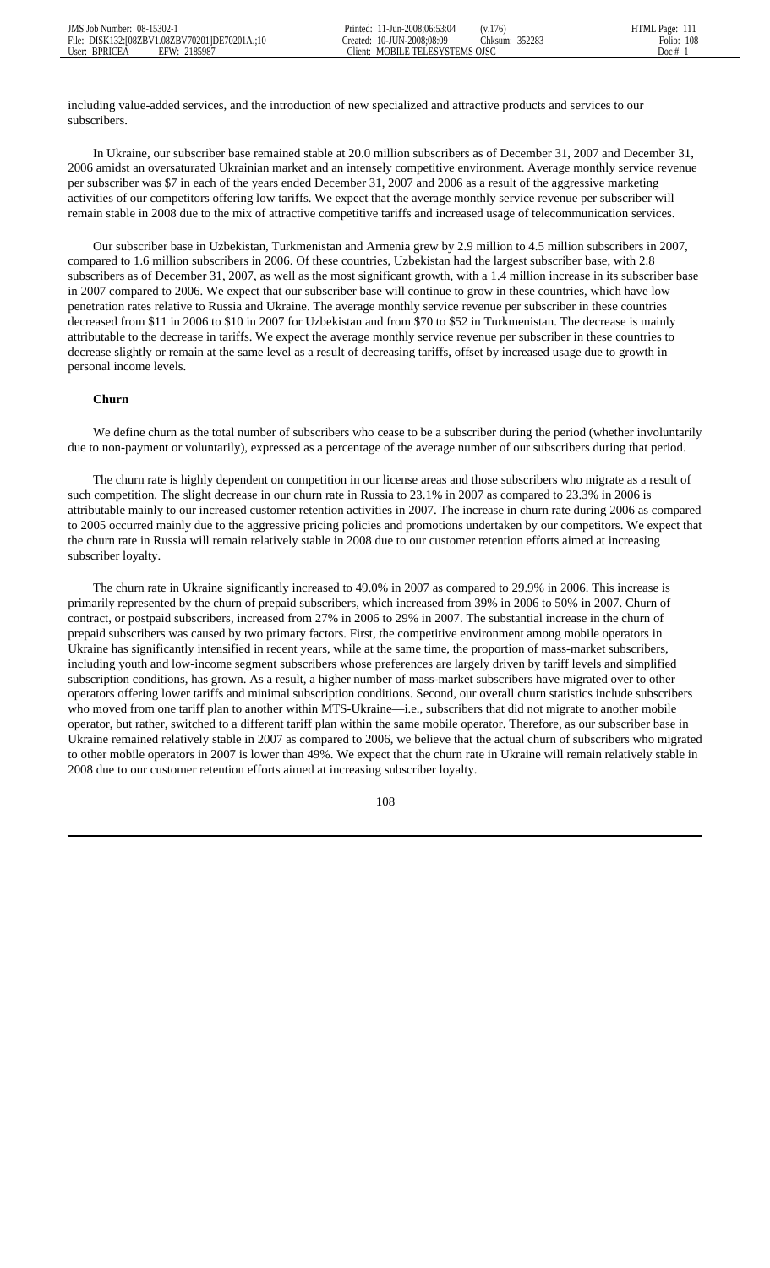including value-added services, and the introduction of new specialized and attractive products and services to our subscribers.

 In Ukraine, our subscriber base remained stable at 20.0 million subscribers as of December 31, 2007 and December 31, 2006 amidst an oversaturated Ukrainian market and an intensely competitive environment. Average monthly service revenue per subscriber was \$7 in each of the years ended December 31, 2007 and 2006 as a result of the aggressive marketing activities of our competitors offering low tariffs. We expect that the average monthly service revenue per subscriber will remain stable in 2008 due to the mix of attractive competitive tariffs and increased usage of telecommunication services.

 Our subscriber base in Uzbekistan, Turkmenistan and Armenia grew by 2.9 million to 4.5 million subscribers in 2007, compared to 1.6 million subscribers in 2006. Of these countries, Uzbekistan had the largest subscriber base, with 2.8 subscribers as of December 31, 2007, as well as the most significant growth, with a 1.4 million increase in its subscriber base in 2007 compared to 2006. We expect that our subscriber base will continue to grow in these countries, which have low penetration rates relative to Russia and Ukraine. The average monthly service revenue per subscriber in these countries decreased from \$11 in 2006 to \$10 in 2007 for Uzbekistan and from \$70 to \$52 in Turkmenistan. The decrease is mainly attributable to the decrease in tariffs. We expect the average monthly service revenue per subscriber in these countries to decrease slightly or remain at the same level as a result of decreasing tariffs, offset by increased usage due to growth in personal income levels.

#### **Churn**

We define churn as the total number of subscribers who cease to be a subscriber during the period (whether involuntarily due to non-payment or voluntarily), expressed as a percentage of the average number of our subscribers during that period.

 The churn rate is highly dependent on competition in our license areas and those subscribers who migrate as a result of such competition. The slight decrease in our churn rate in Russia to 23.1% in 2007 as compared to 23.3% in 2006 is attributable mainly to our increased customer retention activities in 2007. The increase in churn rate during 2006 as compared to 2005 occurred mainly due to the aggressive pricing policies and promotions undertaken by our competitors. We expect that the churn rate in Russia will remain relatively stable in 2008 due to our customer retention efforts aimed at increasing subscriber loyalty.

 The churn rate in Ukraine significantly increased to 49.0% in 2007 as compared to 29.9% in 2006. This increase is primarily represented by the churn of prepaid subscribers, which increased from 39% in 2006 to 50% in 2007. Churn of contract, or postpaid subscribers, increased from 27% in 2006 to 29% in 2007. The substantial increase in the churn of prepaid subscribers was caused by two primary factors. First, the competitive environment among mobile operators in Ukraine has significantly intensified in recent years, while at the same time, the proportion of mass-market subscribers, including youth and low-income segment subscribers whose preferences are largely driven by tariff levels and simplified subscription conditions, has grown. As a result, a higher number of mass-market subscribers have migrated over to other operators offering lower tariffs and minimal subscription conditions. Second, our overall churn statistics include subscribers who moved from one tariff plan to another within MTS-Ukraine—i.e., subscribers that did not migrate to another mobile operator, but rather, switched to a different tariff plan within the same mobile operator. Therefore, as our subscriber base in Ukraine remained relatively stable in 2007 as compared to 2006, we believe that the actual churn of subscribers who migrated to other mobile operators in 2007 is lower than 49%. We expect that the churn rate in Ukraine will remain relatively stable in 2008 due to our customer retention efforts aimed at increasing subscriber loyalty.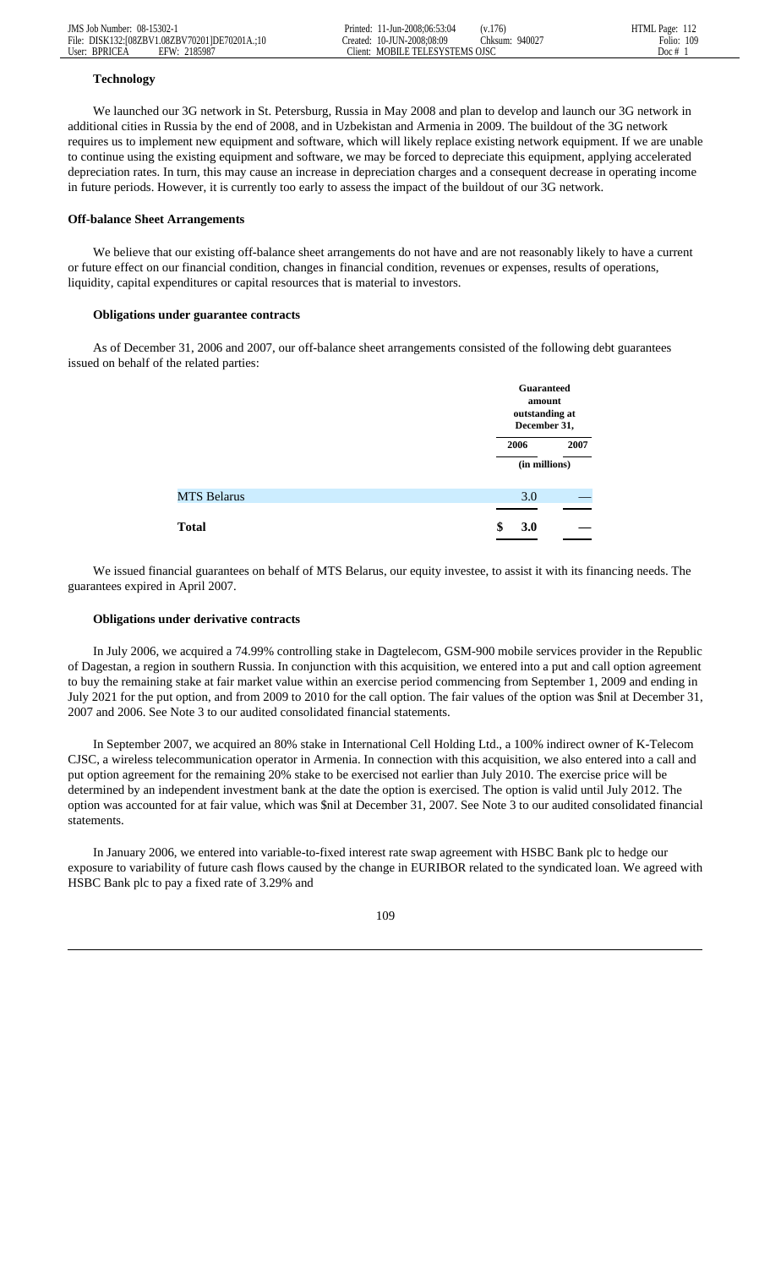## **Technology**

 We launched our 3G network in St. Petersburg, Russia in May 2008 and plan to develop and launch our 3G network in additional cities in Russia by the end of 2008, and in Uzbekistan and Armenia in 2009. The buildout of the 3G network requires us to implement new equipment and software, which will likely replace existing network equipment. If we are unable to continue using the existing equipment and software, we may be forced to depreciate this equipment, applying accelerated depreciation rates. In turn, this may cause an increase in depreciation charges and a consequent decrease in operating income in future periods. However, it is currently too early to assess the impact of the buildout of our 3G network.

# **Off-balance Sheet Arrangements**

We believe that our existing off-balance sheet arrangements do not have and are not reasonably likely to have a current or future effect on our financial condition, changes in financial condition, revenues or expenses, results of operations, liquidity, capital expenditures or capital resources that is material to investors.

# **Obligations under guarantee contracts**

 As of December 31, 2006 and 2007, our off-balance sheet arrangements consisted of the following debt guarantees issued on behalf of the related parties:

|                    | <b>Guaranteed</b><br>amount<br>outstanding at<br>December 31, |            |      |
|--------------------|---------------------------------------------------------------|------------|------|
|                    |                                                               | 2006       | 2007 |
|                    | (in millions)                                                 |            |      |
| <b>MTS Belarus</b> |                                                               | 3.0        |      |
| <b>Total</b>       | \$                                                            | <b>3.0</b> |      |

 We issued financial guarantees on behalf of MTS Belarus, our equity investee, to assist it with its financing needs. The guarantees expired in April 2007.

## **Obligations under derivative contracts**

 In July 2006, we acquired a 74.99% controlling stake in Dagtelecom, GSM-900 mobile services provider in the Republic of Dagestan, a region in southern Russia. In conjunction with this acquisition, we entered into a put and call option agreement to buy the remaining stake at fair market value within an exercise period commencing from September 1, 2009 and ending in July 2021 for the put option, and from 2009 to 2010 for the call option. The fair values of the option was \$nil at December 31, 2007 and 2006. See Note 3 to our audited consolidated financial statements.

 In September 2007, we acquired an 80% stake in International Cell Holding Ltd., a 100% indirect owner of K-Telecom CJSC, a wireless telecommunication operator in Armenia. In connection with this acquisition, we also entered into a call and put option agreement for the remaining 20% stake to be exercised not earlier than July 2010. The exercise price will be determined by an independent investment bank at the date the option is exercised. The option is valid until July 2012. The option was accounted for at fair value, which was \$nil at December 31, 2007. See Note 3 to our audited consolidated financial statements.

 In January 2006, we entered into variable-to-fixed interest rate swap agreement with HSBC Bank plc to hedge our exposure to variability of future cash flows caused by the change in EURIBOR related to the syndicated loan. We agreed with HSBC Bank plc to pay a fixed rate of 3.29% and

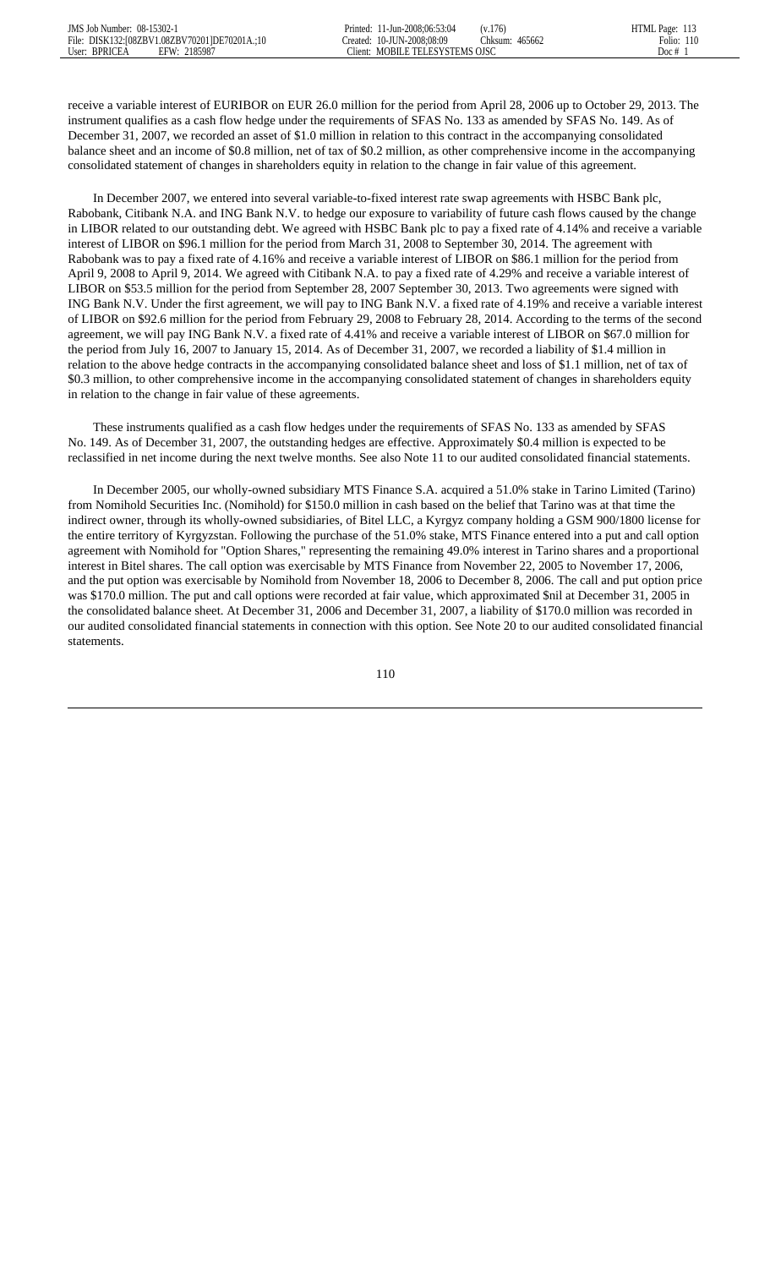receive a variable interest of EURIBOR on EUR 26.0 million for the period from April 28, 2006 up to October 29, 2013. The instrument qualifies as a cash flow hedge under the requirements of SFAS No. 133 as amended by SFAS No. 149. As of December 31, 2007, we recorded an asset of \$1.0 million in relation to this contract in the accompanying consolidated balance sheet and an income of \$0.8 million, net of tax of \$0.2 million, as other comprehensive income in the accompanying consolidated statement of changes in shareholders equity in relation to the change in fair value of this agreement.

 In December 2007, we entered into several variable-to-fixed interest rate swap agreements with HSBC Bank plc, Rabobank, Citibank N.A. and ING Bank N.V. to hedge our exposure to variability of future cash flows caused by the change in LIBOR related to our outstanding debt. We agreed with HSBC Bank plc to pay a fixed rate of 4.14% and receive a variable interest of LIBOR on \$96.1 million for the period from March 31, 2008 to September 30, 2014. The agreement with Rabobank was to pay a fixed rate of 4.16% and receive a variable interest of LIBOR on \$86.1 million for the period from April 9, 2008 to April 9, 2014. We agreed with Citibank N.A. to pay a fixed rate of 4.29% and receive a variable interest of LIBOR on \$53.5 million for the period from September 28, 2007 September 30, 2013. Two agreements were signed with ING Bank N.V. Under the first agreement, we will pay to ING Bank N.V. a fixed rate of 4.19% and receive a variable interest of LIBOR on \$92.6 million for the period from February 29, 2008 to February 28, 2014. According to the terms of the second agreement, we will pay ING Bank N.V. a fixed rate of 4.41% and receive a variable interest of LIBOR on \$67.0 million for the period from July 16, 2007 to January 15, 2014. As of December 31, 2007, we recorded a liability of \$1.4 million in relation to the above hedge contracts in the accompanying consolidated balance sheet and loss of \$1.1 million, net of tax of \$0.3 million, to other comprehensive income in the accompanying consolidated statement of changes in shareholders equity in relation to the change in fair value of these agreements.

 These instruments qualified as a cash flow hedges under the requirements of SFAS No. 133 as amended by SFAS No. 149. As of December 31, 2007, the outstanding hedges are effective. Approximately \$0.4 million is expected to be reclassified in net income during the next twelve months. See also Note 11 to our audited consolidated financial statements.

 In December 2005, our wholly-owned subsidiary MTS Finance S.A. acquired a 51.0% stake in Tarino Limited (Tarino) from Nomihold Securities Inc. (Nomihold) for \$150.0 million in cash based on the belief that Tarino was at that time the indirect owner, through its wholly-owned subsidiaries, of Bitel LLC, a Kyrgyz company holding a GSM 900/1800 license for the entire territory of Kyrgyzstan. Following the purchase of the 51.0% stake, MTS Finance entered into a put and call option agreement with Nomihold for "Option Shares," representing the remaining 49.0% interest in Tarino shares and a proportional interest in Bitel shares. The call option was exercisable by MTS Finance from November 22, 2005 to November 17, 2006, and the put option was exercisable by Nomihold from November 18, 2006 to December 8, 2006. The call and put option price was \$170.0 million. The put and call options were recorded at fair value, which approximated \$nil at December 31, 2005 in the consolidated balance sheet. At December 31, 2006 and December 31, 2007, a liability of \$170.0 million was recorded in our audited consolidated financial statements in connection with this option. See Note 20 to our audited consolidated financial statements.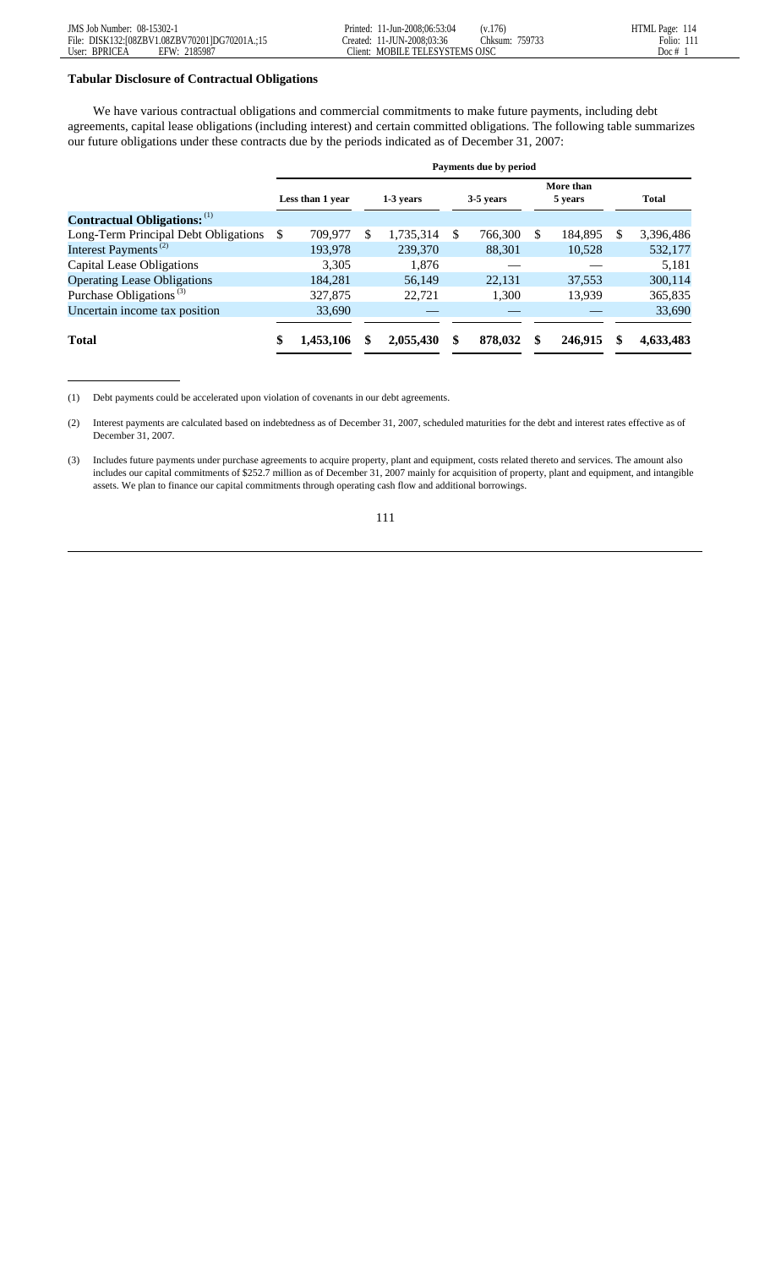# **Tabular Disclosure of Contractual Obligations**

 We have various contractual obligations and commercial commitments to make future payments, including debt agreements, capital lease obligations (including interest) and certain committed obligations. The following table summarizes our future obligations under these contracts due by the periods indicated as of December 31, 2007:

|                                      | Payments due by period |           |           |           |           |         |                      |         |    |              |
|--------------------------------------|------------------------|-----------|-----------|-----------|-----------|---------|----------------------|---------|----|--------------|
|                                      | Less than 1 year       |           | 1-3 years |           | 3-5 years |         | More than<br>5 years |         |    | <b>Total</b> |
| <b>Contractual Obligations:</b> (1)  |                        |           |           |           |           |         |                      |         |    |              |
| Long-Term Principal Debt Obligations | \$                     | 709.977   | \$        | 1,735,314 | \$        | 766,300 | \$                   | 184,895 | \$ | 3,396,486    |
| Interest Payments <sup>(2)</sup>     |                        | 193,978   |           | 239,370   |           | 88,301  |                      | 10,528  |    | 532,177      |
| Capital Lease Obligations            |                        | 3,305     |           | 1,876     |           |         |                      |         |    | 5,181        |
| <b>Operating Lease Obligations</b>   |                        | 184.281   |           | 56.149    |           | 22.131  |                      | 37,553  |    | 300,114      |
| Purchase Obligations <sup>(3)</sup>  |                        | 327,875   |           | 22,721    |           | 1,300   |                      | 13,939  |    | 365,835      |
| Uncertain income tax position        |                        | 33,690    |           |           |           |         |                      |         |    | 33,690       |
| <b>Total</b>                         | \$                     | 1,453,106 | \$        | 2,055,430 | \$        | 878,032 | \$                   | 246,915 | \$ | 4,633,483    |

(1) Debt payments could be accelerated upon violation of covenants in our debt agreements.

<sup>(2)</sup> Interest payments are calculated based on indebtedness as of December 31, 2007, scheduled maturities for the debt and interest rates effective as of December 31, 2007.

<sup>(3)</sup> Includes future payments under purchase agreements to acquire property, plant and equipment, costs related thereto and services. The amount also includes our capital commitments of \$252.7 million as of December 31, 2007 mainly for acquisition of property, plant and equipment, and intangible assets. We plan to finance our capital commitments through operating cash flow and additional borrowings.

<sup>111</sup>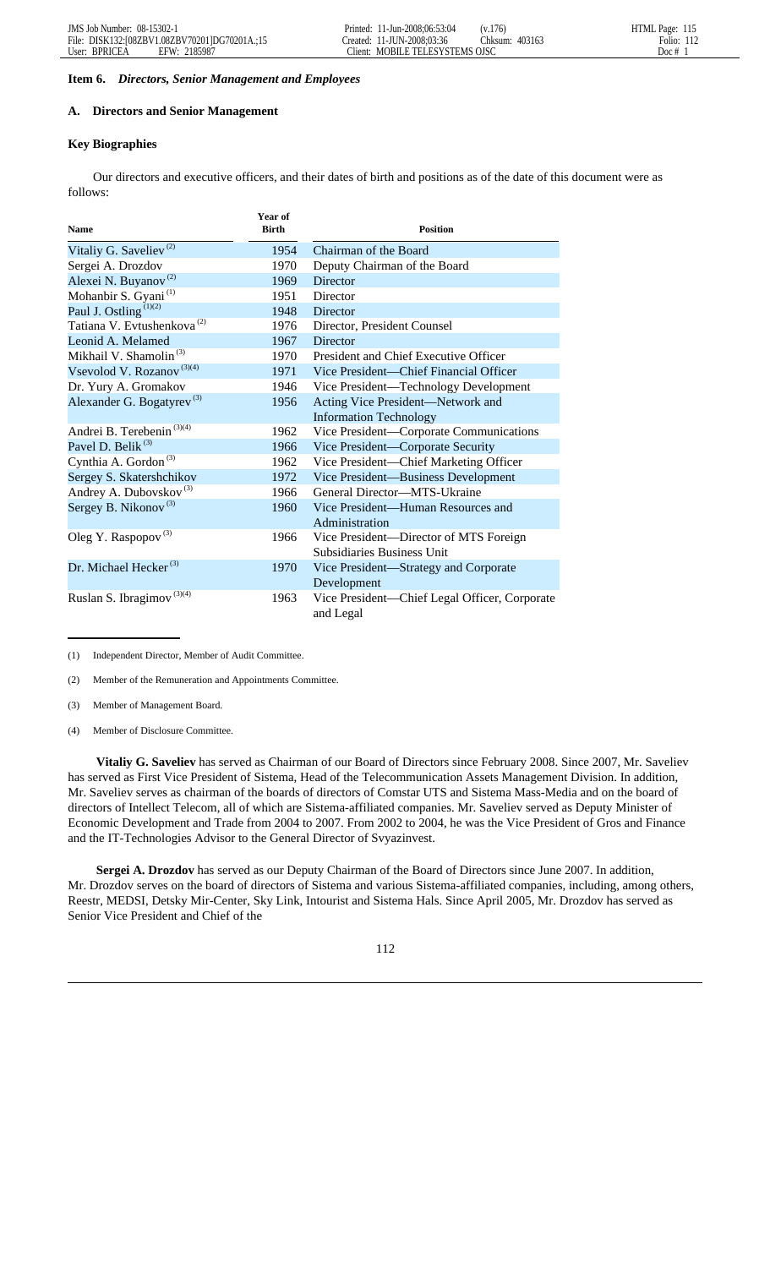# **Item 6.** *Directors, Senior Management and Employees*

# **A. Directors and Senior Management**

# **Key Biographies**

 Our directors and executive officers, and their dates of birth and positions as of the date of this document were as follows:

| <b>Name</b>                            | Year of<br><b>Birth</b> | <b>Position</b>                               |
|----------------------------------------|-------------------------|-----------------------------------------------|
| Vitaliy G. Saveliev <sup>(2)</sup>     | 1954                    | Chairman of the Board                         |
| Sergei A. Drozdov                      | 1970                    | Deputy Chairman of the Board                  |
| Alexei N. Buyanov <sup>(2)</sup>       | 1969                    | <b>Director</b>                               |
| Mohanbir S. Gyani <sup>(1)</sup>       | 1951                    | Director                                      |
| Paul J. Ostling $^{(1)(2)}$            | 1948                    | Director                                      |
| Tatiana V. Evtushenkova <sup>(2)</sup> | 1976                    | Director, President Counsel                   |
| Leonid A. Melamed                      | 1967                    | Director                                      |
| Mikhail V. Shamolin <sup>(3)</sup>     | 1970                    | President and Chief Executive Officer         |
| Vsevolod V. Rozanov <sup>(3)(4)</sup>  | 1971                    | Vice President—Chief Financial Officer        |
| Dr. Yury A. Gromakov                   | 1946                    | Vice President—Technology Development         |
| Alexander G. Bogatyrev <sup>(3)</sup>  | 1956                    | Acting Vice President-Network and             |
|                                        |                         | <b>Information Technology</b>                 |
| Andrei B. Terebenin <sup>(3)(4)</sup>  | 1962                    | Vice President-Corporate Communications       |
| Pavel D. Belik <sup>(3)</sup>          | 1966                    | Vice President-Corporate Security             |
| Cynthia A. Gordon <sup>(3)</sup>       | 1962                    | Vice President-Chief Marketing Officer        |
| Sergey S. Skatershchikov               | 1972                    | Vice President-Business Development           |
| Andrey A. Dubovskov <sup>(3)</sup>     | 1966                    | General Director-MTS-Ukraine                  |
| Sergey B. Nikonov <sup>(3)</sup>       | 1960                    | Vice President—Human Resources and            |
|                                        |                         | Administration                                |
| Oleg Y. Raspopov <sup>(3)</sup>        | 1966                    | Vice President—Director of MTS Foreign        |
|                                        |                         | Subsidiaries Business Unit                    |
| Dr. Michael Hecker <sup>(3)</sup>      | 1970                    | Vice President—Strategy and Corporate         |
|                                        |                         | Development                                   |
| Ruslan S. Ibragimov <sup>(3)(4)</sup>  | 1963                    | Vice President—Chief Legal Officer, Corporate |
|                                        |                         | and Legal                                     |

(1) Independent Director, Member of Audit Committee.

(2) Member of the Remuneration and Appointments Committee.

- (3) Member of Management Board.
- (4) Member of Disclosure Committee.

 **Vitaliy G. Saveliev** has served as Chairman of our Board of Directors since February 2008. Since 2007, Mr. Saveliev has served as First Vice President of Sistema, Head of the Telecommunication Assets Management Division. In addition, Mr. Saveliev serves as chairman of the boards of directors of Comstar UTS and Sistema Mass-Media and on the board of directors of Intellect Telecom, all of which are Sistema-affiliated companies. Mr. Saveliev served as Deputy Minister of Economic Development and Trade from 2004 to 2007. From 2002 to 2004, he was the Vice President of Gros and Finance and the IT-Technologies Advisor to the General Director of Svyazinvest.

 **Sergei A. Drozdov** has served as our Deputy Chairman of the Board of Directors since June 2007. In addition, Mr. Drozdov serves on the board of directors of Sistema and various Sistema-affiliated companies, including, among others, Reestr, MEDSI, Detsky Mir-Center, Sky Link, Intourist and Sistema Hals. Since April 2005, Mr. Drozdov has served as Senior Vice President and Chief of the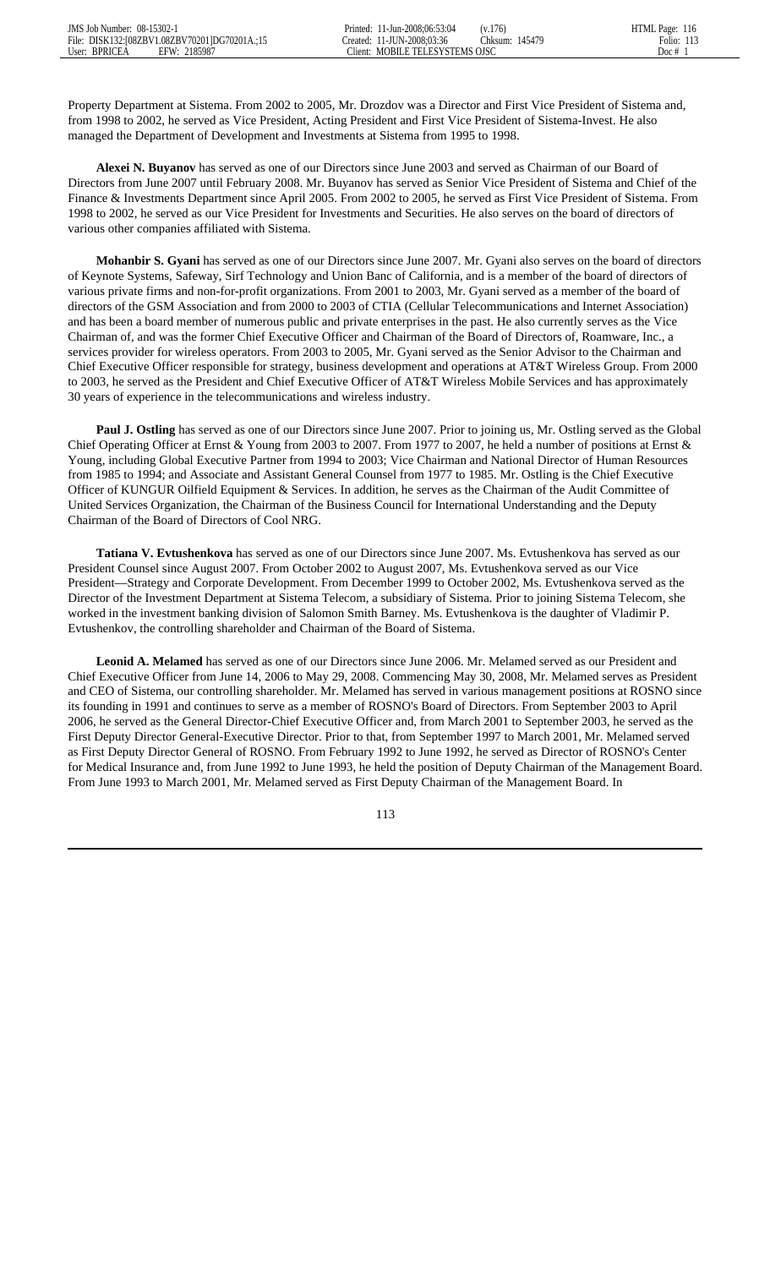Property Department at Sistema. From 2002 to 2005, Mr. Drozdov was a Director and First Vice President of Sistema and, from 1998 to 2002, he served as Vice President, Acting President and First Vice President of Sistema-Invest. He also managed the Department of Development and Investments at Sistema from 1995 to 1998.

 **Alexei N. Buyanov** has served as one of our Directors since June 2003 and served as Chairman of our Board of Directors from June 2007 until February 2008. Mr. Buyanov has served as Senior Vice President of Sistema and Chief of the Finance & Investments Department since April 2005. From 2002 to 2005, he served as First Vice President of Sistema. From 1998 to 2002, he served as our Vice President for Investments and Securities. He also serves on the board of directors of various other companies affiliated with Sistema.

 **Mohanbir S. Gyani** has served as one of our Directors since June 2007. Mr. Gyani also serves on the board of directors of Keynote Systems, Safeway, Sirf Technology and Union Banc of California, and is a member of the board of directors of various private firms and non-for-profit organizations. From 2001 to 2003, Mr. Gyani served as a member of the board of directors of the GSM Association and from 2000 to 2003 of CTIA (Cellular Telecommunications and Internet Association) and has been a board member of numerous public and private enterprises in the past. He also currently serves as the Vice Chairman of, and was the former Chief Executive Officer and Chairman of the Board of Directors of, Roamware, Inc., a services provider for wireless operators. From 2003 to 2005, Mr. Gyani served as the Senior Advisor to the Chairman and Chief Executive Officer responsible for strategy, business development and operations at AT&T Wireless Group. From 2000 to 2003, he served as the President and Chief Executive Officer of AT&T Wireless Mobile Services and has approximately 30 years of experience in the telecommunications and wireless industry.

 **Paul J. Ostling** has served as one of our Directors since June 2007. Prior to joining us, Mr. Ostling served as the Global Chief Operating Officer at Ernst & Young from 2003 to 2007. From 1977 to 2007, he held a number of positions at Ernst & Young, including Global Executive Partner from 1994 to 2003; Vice Chairman and National Director of Human Resources from 1985 to 1994; and Associate and Assistant General Counsel from 1977 to 1985. Mr. Ostling is the Chief Executive Officer of KUNGUR Oilfield Equipment & Services. In addition, he serves as the Chairman of the Audit Committee of United Services Organization, the Chairman of the Business Council for International Understanding and the Deputy Chairman of the Board of Directors of Cool NRG.

 **Tatiana V. Evtushenkova** has served as one of our Directors since June 2007. Ms. Evtushenkova has served as our President Counsel since August 2007. From October 2002 to August 2007, Ms. Evtushenkova served as our Vice President—Strategy and Corporate Development. From December 1999 to October 2002, Ms. Evtushenkova served as the Director of the Investment Department at Sistema Telecom, a subsidiary of Sistema. Prior to joining Sistema Telecom, she worked in the investment banking division of Salomon Smith Barney. Ms. Evtushenkova is the daughter of Vladimir P. Evtushenkov, the controlling shareholder and Chairman of the Board of Sistema.

 **Leonid A. Melamed** has served as one of our Directors since June 2006. Mr. Melamed served as our President and Chief Executive Officer from June 14, 2006 to May 29, 2008. Commencing May 30, 2008, Mr. Melamed serves as President and CEO of Sistema, our controlling shareholder. Mr. Melamed has served in various management positions at ROSNO since its founding in 1991 and continues to serve as a member of ROSNO's Board of Directors. From September 2003 to April 2006, he served as the General Director-Chief Executive Officer and, from March 2001 to September 2003, he served as the First Deputy Director General-Executive Director. Prior to that, from September 1997 to March 2001, Mr. Melamed served as First Deputy Director General of ROSNO. From February 1992 to June 1992, he served as Director of ROSNO's Center for Medical Insurance and, from June 1992 to June 1993, he held the position of Deputy Chairman of the Management Board. From June 1993 to March 2001, Mr. Melamed served as First Deputy Chairman of the Management Board. In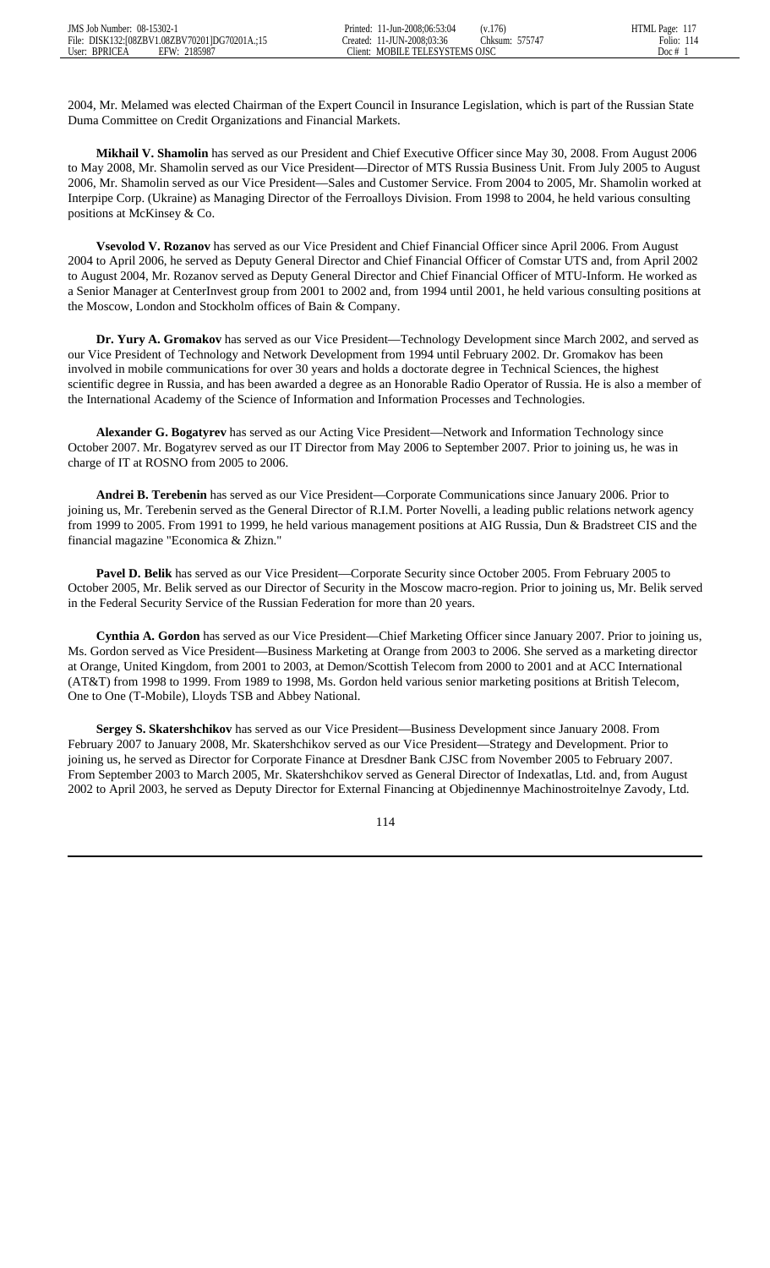2004, Mr. Melamed was elected Chairman of the Expert Council in Insurance Legislation, which is part of the Russian State Duma Committee on Credit Organizations and Financial Markets.

 **Mikhail V. Shamolin** has served as our President and Chief Executive Officer since May 30, 2008. From August 2006 to May 2008, Mr. Shamolin served as our Vice President—Director of MTS Russia Business Unit. From July 2005 to August 2006, Mr. Shamolin served as our Vice President—Sales and Customer Service. From 2004 to 2005, Mr. Shamolin worked at Interpipe Corp. (Ukraine) as Managing Director of the Ferroalloys Division. From 1998 to 2004, he held various consulting positions at McKinsey & Co.

 **Vsevolod V. Rozanov** has served as our Vice President and Chief Financial Officer since April 2006. From August 2004 to April 2006, he served as Deputy General Director and Chief Financial Officer of Comstar UTS and, from April 2002 to August 2004, Mr. Rozanov served as Deputy General Director and Chief Financial Officer of MTU-Inform. He worked as a Senior Manager at CenterInvest group from 2001 to 2002 and, from 1994 until 2001, he held various consulting positions at the Moscow, London and Stockholm offices of Bain & Company.

 **Dr. Yury A. Gromakov** has served as our Vice President—Technology Development since March 2002, and served as our Vice President of Technology and Network Development from 1994 until February 2002. Dr. Gromakov has been involved in mobile communications for over 30 years and holds a doctorate degree in Technical Sciences, the highest scientific degree in Russia, and has been awarded a degree as an Honorable Radio Operator of Russia. He is also a member of the International Academy of the Science of Information and Information Processes and Technologies.

 **Alexander G. Bogatyrev** has served as our Acting Vice President—Network and Information Technology since October 2007. Mr. Bogatyrev served as our IT Director from May 2006 to September 2007. Prior to joining us, he was in charge of IT at ROSNO from 2005 to 2006.

 **Andrei B. Terebenin** has served as our Vice President—Corporate Communications since January 2006. Prior to joining us, Mr. Terebenin served as the General Director of R.I.M. Porter Novelli, a leading public relations network agency from 1999 to 2005. From 1991 to 1999, he held various management positions at AIG Russia, Dun & Bradstreet CIS and the financial magazine "Economica & Zhizn."

 **Pavel D. Belik** has served as our Vice President—Corporate Security since October 2005. From February 2005 to October 2005, Mr. Belik served as our Director of Security in the Moscow macro-region. Prior to joining us, Mr. Belik served in the Federal Security Service of the Russian Federation for more than 20 years.

 **Cynthia A. Gordon** has served as our Vice President—Chief Marketing Officer since January 2007. Prior to joining us, Ms. Gordon served as Vice President—Business Marketing at Orange from 2003 to 2006. She served as a marketing director at Orange, United Kingdom, from 2001 to 2003, at Demon/Scottish Telecom from 2000 to 2001 and at ACC International (AT&T) from 1998 to 1999. From 1989 to 1998, Ms. Gordon held various senior marketing positions at British Telecom, One to One (T-Mobile), Lloyds TSB and Abbey National.

 **Sergey S. Skatershchikov** has served as our Vice President—Business Development since January 2008. From February 2007 to January 2008, Mr. Skatershchikov served as our Vice President—Strategy and Development. Prior to joining us, he served as Director for Corporate Finance at Dresdner Bank CJSC from November 2005 to February 2007. From September 2003 to March 2005, Mr. Skatershchikov served as General Director of Indexatlas, Ltd. and, from August 2002 to April 2003, he served as Deputy Director for External Financing at Objedinennye Machinostroitelnye Zavody, Ltd.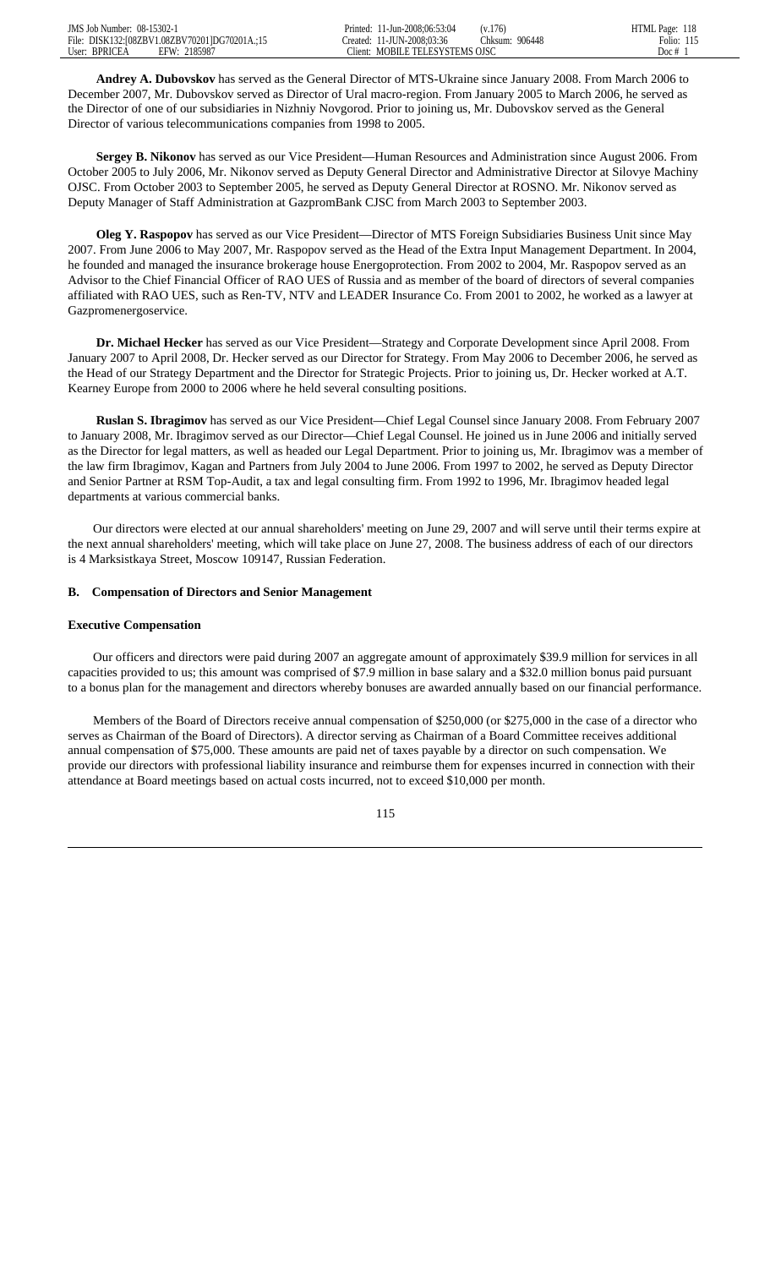**Andrey A. Dubovskov** has served as the General Director of MTS-Ukraine since January 2008. From March 2006 to December 2007, Mr. Dubovskov served as Director of Ural macro-region. From January 2005 to March 2006, he served as the Director of one of our subsidiaries in Nizhniy Novgorod. Prior to joining us, Mr. Dubovskov served as the General Director of various telecommunications companies from 1998 to 2005.

 **Sergey B. Nikonov** has served as our Vice President—Human Resources and Administration since August 2006. From October 2005 to July 2006, Mr. Nikonov served as Deputy General Director and Administrative Director at Silovye Machiny OJSC. From October 2003 to September 2005, he served as Deputy General Director at ROSNO. Mr. Nikonov served as Deputy Manager of Staff Administration at GazpromBank CJSC from March 2003 to September 2003.

 **Oleg Y. Raspopov** has served as our Vice President—Director of MTS Foreign Subsidiaries Business Unit since May 2007. From June 2006 to May 2007, Mr. Raspopov served as the Head of the Extra Input Management Department. In 2004, he founded and managed the insurance brokerage house Energoprotection. From 2002 to 2004, Mr. Raspopov served as an Advisor to the Chief Financial Officer of RAO UES of Russia and as member of the board of directors of several companies affiliated with RAO UES, such as Ren-TV, NTV and LEADER Insurance Co. From 2001 to 2002, he worked as a lawyer at Gazpromenergoservice.

 **Dr. Michael Hecker** has served as our Vice President—Strategy and Corporate Development since April 2008. From January 2007 to April 2008, Dr. Hecker served as our Director for Strategy. From May 2006 to December 2006, he served as the Head of our Strategy Department and the Director for Strategic Projects. Prior to joining us, Dr. Hecker worked at A.T. Kearney Europe from 2000 to 2006 where he held several consulting positions.

 **Ruslan S. Ibragimov** has served as our Vice President—Chief Legal Counsel since January 2008. From February 2007 to January 2008, Mr. Ibragimov served as our Director—Chief Legal Counsel. He joined us in June 2006 and initially served as the Director for legal matters, as well as headed our Legal Department. Prior to joining us, Mr. Ibragimov was a member of the law firm Ibragimov, Kagan and Partners from July 2004 to June 2006. From 1997 to 2002, he served as Deputy Director and Senior Partner at RSM Top-Audit, a tax and legal consulting firm. From 1992 to 1996, Mr. Ibragimov headed legal departments at various commercial banks.

 Our directors were elected at our annual shareholders' meeting on June 29, 2007 and will serve until their terms expire at the next annual shareholders' meeting, which will take place on June 27, 2008. The business address of each of our directors is 4 Marksistkaya Street, Moscow 109147, Russian Federation.

## **B. Compensation of Directors and Senior Management**

# **Executive Compensation**

 Our officers and directors were paid during 2007 an aggregate amount of approximately \$39.9 million for services in all capacities provided to us; this amount was comprised of \$7.9 million in base salary and a \$32.0 million bonus paid pursuant to a bonus plan for the management and directors whereby bonuses are awarded annually based on our financial performance.

 Members of the Board of Directors receive annual compensation of \$250,000 (or \$275,000 in the case of a director who serves as Chairman of the Board of Directors). A director serving as Chairman of a Board Committee receives additional annual compensation of \$75,000. These amounts are paid net of taxes payable by a director on such compensation. We provide our directors with professional liability insurance and reimburse them for expenses incurred in connection with their attendance at Board meetings based on actual costs incurred, not to exceed \$10,000 per month.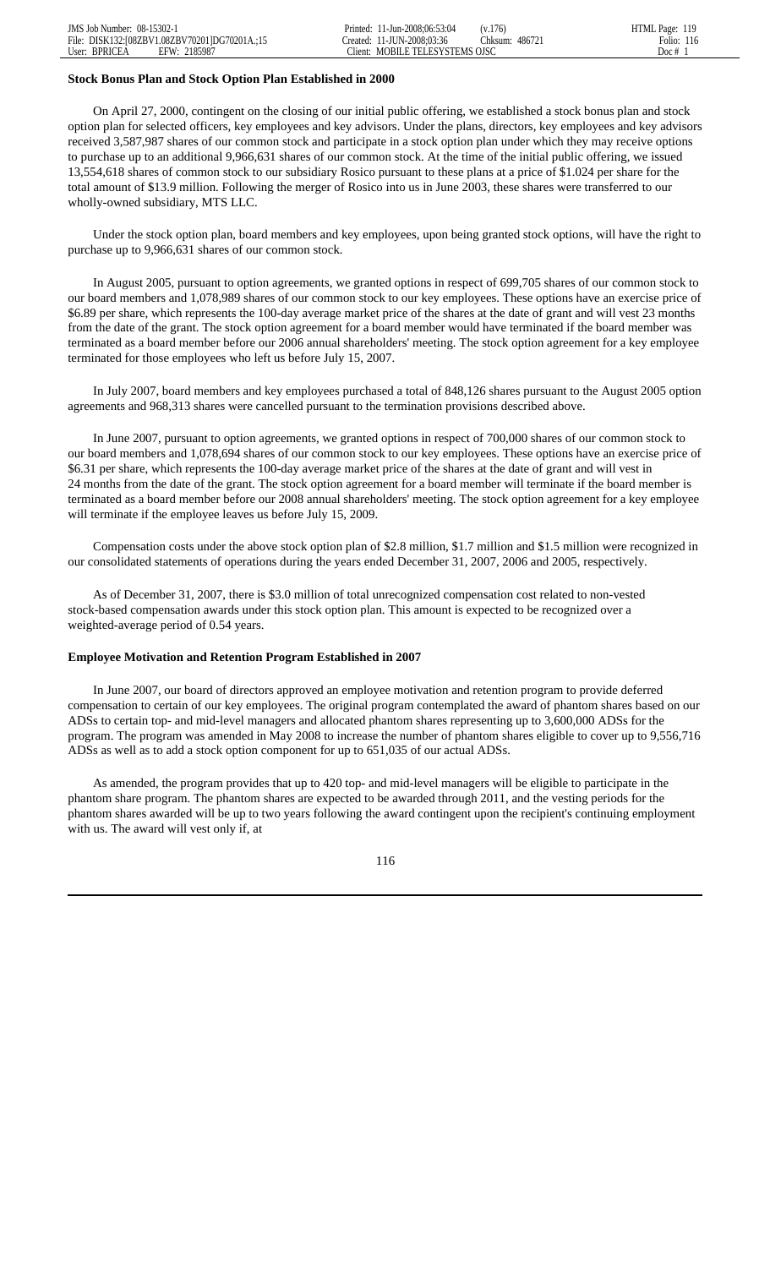## **Stock Bonus Plan and Stock Option Plan Established in 2000**

 On April 27, 2000, contingent on the closing of our initial public offering, we established a stock bonus plan and stock option plan for selected officers, key employees and key advisors. Under the plans, directors, key employees and key advisors received 3,587,987 shares of our common stock and participate in a stock option plan under which they may receive options to purchase up to an additional 9,966,631 shares of our common stock. At the time of the initial public offering, we issued 13,554,618 shares of common stock to our subsidiary Rosico pursuant to these plans at a price of \$1.024 per share for the total amount of \$13.9 million. Following the merger of Rosico into us in June 2003, these shares were transferred to our wholly-owned subsidiary, MTS LLC.

 Under the stock option plan, board members and key employees, upon being granted stock options, will have the right to purchase up to 9,966,631 shares of our common stock.

 In August 2005, pursuant to option agreements, we granted options in respect of 699,705 shares of our common stock to our board members and 1,078,989 shares of our common stock to our key employees. These options have an exercise price of \$6.89 per share, which represents the 100-day average market price of the shares at the date of grant and will vest 23 months from the date of the grant. The stock option agreement for a board member would have terminated if the board member was terminated as a board member before our 2006 annual shareholders' meeting. The stock option agreement for a key employee terminated for those employees who left us before July 15, 2007.

 In July 2007, board members and key employees purchased a total of 848,126 shares pursuant to the August 2005 option agreements and 968,313 shares were cancelled pursuant to the termination provisions described above.

 In June 2007, pursuant to option agreements, we granted options in respect of 700,000 shares of our common stock to our board members and 1,078,694 shares of our common stock to our key employees. These options have an exercise price of \$6.31 per share, which represents the 100-day average market price of the shares at the date of grant and will vest in 24 months from the date of the grant. The stock option agreement for a board member will terminate if the board member is terminated as a board member before our 2008 annual shareholders' meeting. The stock option agreement for a key employee will terminate if the employee leaves us before July 15, 2009.

 Compensation costs under the above stock option plan of \$2.8 million, \$1.7 million and \$1.5 million were recognized in our consolidated statements of operations during the years ended December 31, 2007, 2006 and 2005, respectively.

 As of December 31, 2007, there is \$3.0 million of total unrecognized compensation cost related to non-vested stock-based compensation awards under this stock option plan. This amount is expected to be recognized over a weighted-average period of 0.54 years.

### **Employee Motivation and Retention Program Established in 2007**

 In June 2007, our board of directors approved an employee motivation and retention program to provide deferred compensation to certain of our key employees. The original program contemplated the award of phantom shares based on our ADSs to certain top- and mid-level managers and allocated phantom shares representing up to 3,600,000 ADSs for the program. The program was amended in May 2008 to increase the number of phantom shares eligible to cover up to 9,556,716 ADSs as well as to add a stock option component for up to 651,035 of our actual ADSs.

 As amended, the program provides that up to 420 top- and mid-level managers will be eligible to participate in the phantom share program. The phantom shares are expected to be awarded through 2011, and the vesting periods for the phantom shares awarded will be up to two years following the award contingent upon the recipient's continuing employment with us. The award will vest only if, at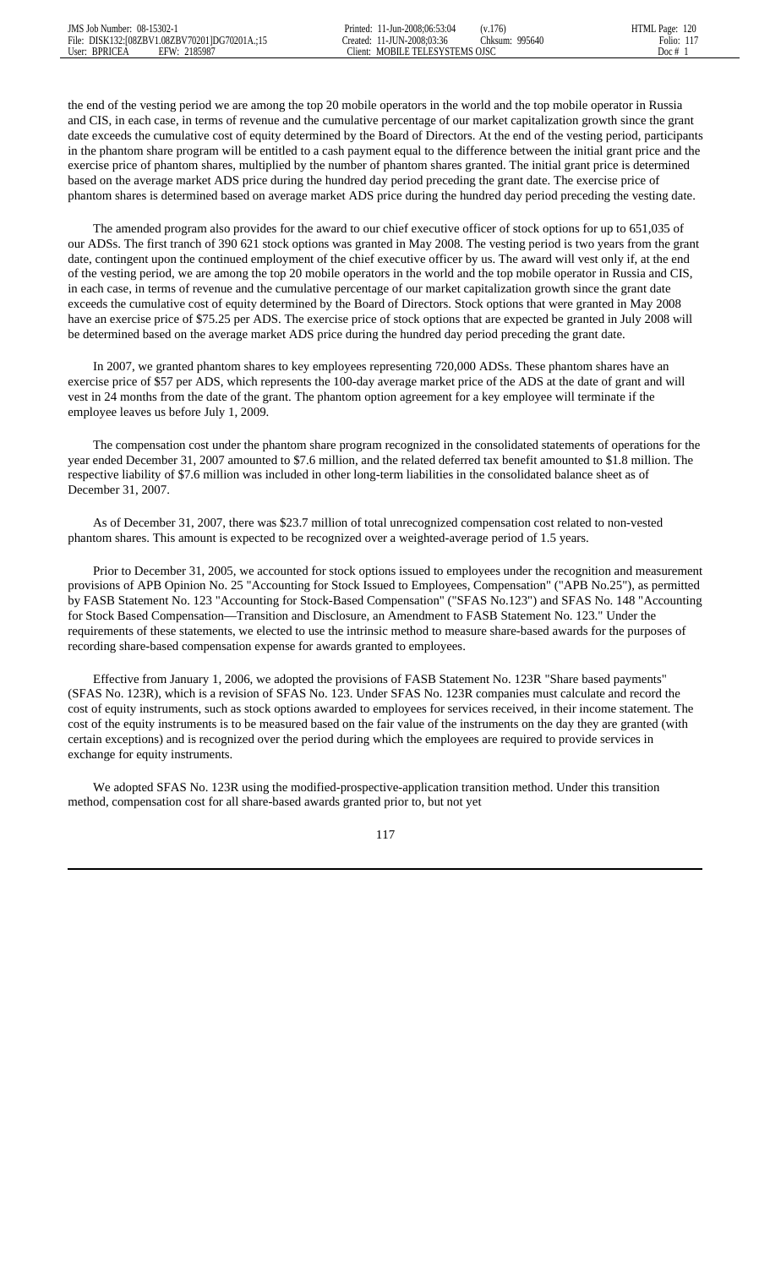the end of the vesting period we are among the top 20 mobile operators in the world and the top mobile operator in Russia and CIS, in each case, in terms of revenue and the cumulative percentage of our market capitalization growth since the grant date exceeds the cumulative cost of equity determined by the Board of Directors. At the end of the vesting period, participants in the phantom share program will be entitled to a cash payment equal to the difference between the initial grant price and the exercise price of phantom shares, multiplied by the number of phantom shares granted. The initial grant price is determined based on the average market ADS price during the hundred day period preceding the grant date. The exercise price of phantom shares is determined based on average market ADS price during the hundred day period preceding the vesting date.

 The amended program also provides for the award to our chief executive officer of stock options for up to 651,035 of our ADSs. The first tranch of 390 621 stock options was granted in May 2008. The vesting period is two years from the grant date, contingent upon the continued employment of the chief executive officer by us. The award will vest only if, at the end of the vesting period, we are among the top 20 mobile operators in the world and the top mobile operator in Russia and CIS, in each case, in terms of revenue and the cumulative percentage of our market capitalization growth since the grant date exceeds the cumulative cost of equity determined by the Board of Directors. Stock options that were granted in May 2008 have an exercise price of \$75.25 per ADS. The exercise price of stock options that are expected be granted in July 2008 will be determined based on the average market ADS price during the hundred day period preceding the grant date.

 In 2007, we granted phantom shares to key employees representing 720,000 ADSs. These phantom shares have an exercise price of \$57 per ADS, which represents the 100-day average market price of the ADS at the date of grant and will vest in 24 months from the date of the grant. The phantom option agreement for a key employee will terminate if the employee leaves us before July 1, 2009.

 The compensation cost under the phantom share program recognized in the consolidated statements of operations for the year ended December 31, 2007 amounted to \$7.6 million, and the related deferred tax benefit amounted to \$1.8 million. The respective liability of \$7.6 million was included in other long-term liabilities in the consolidated balance sheet as of December 31, 2007.

 As of December 31, 2007, there was \$23.7 million of total unrecognized compensation cost related to non-vested phantom shares. This amount is expected to be recognized over a weighted-average period of 1.5 years.

 Prior to December 31, 2005, we accounted for stock options issued to employees under the recognition and measurement provisions of APB Opinion No. 25 "Accounting for Stock Issued to Employees, Compensation" ("APB No.25"), as permitted by FASB Statement No. 123 "Accounting for Stock-Based Compensation" ("SFAS No.123") and SFAS No. 148 "Accounting for Stock Based Compensation—Transition and Disclosure, an Amendment to FASB Statement No. 123." Under the requirements of these statements, we elected to use the intrinsic method to measure share-based awards for the purposes of recording share-based compensation expense for awards granted to employees.

 Effective from January 1, 2006, we adopted the provisions of FASB Statement No. 123R "Share based payments" (SFAS No. 123R), which is a revision of SFAS No. 123. Under SFAS No. 123R companies must calculate and record the cost of equity instruments, such as stock options awarded to employees for services received, in their income statement. The cost of the equity instruments is to be measured based on the fair value of the instruments on the day they are granted (with certain exceptions) and is recognized over the period during which the employees are required to provide services in exchange for equity instruments.

 We adopted SFAS No. 123R using the modified-prospective-application transition method. Under this transition method, compensation cost for all share-based awards granted prior to, but not yet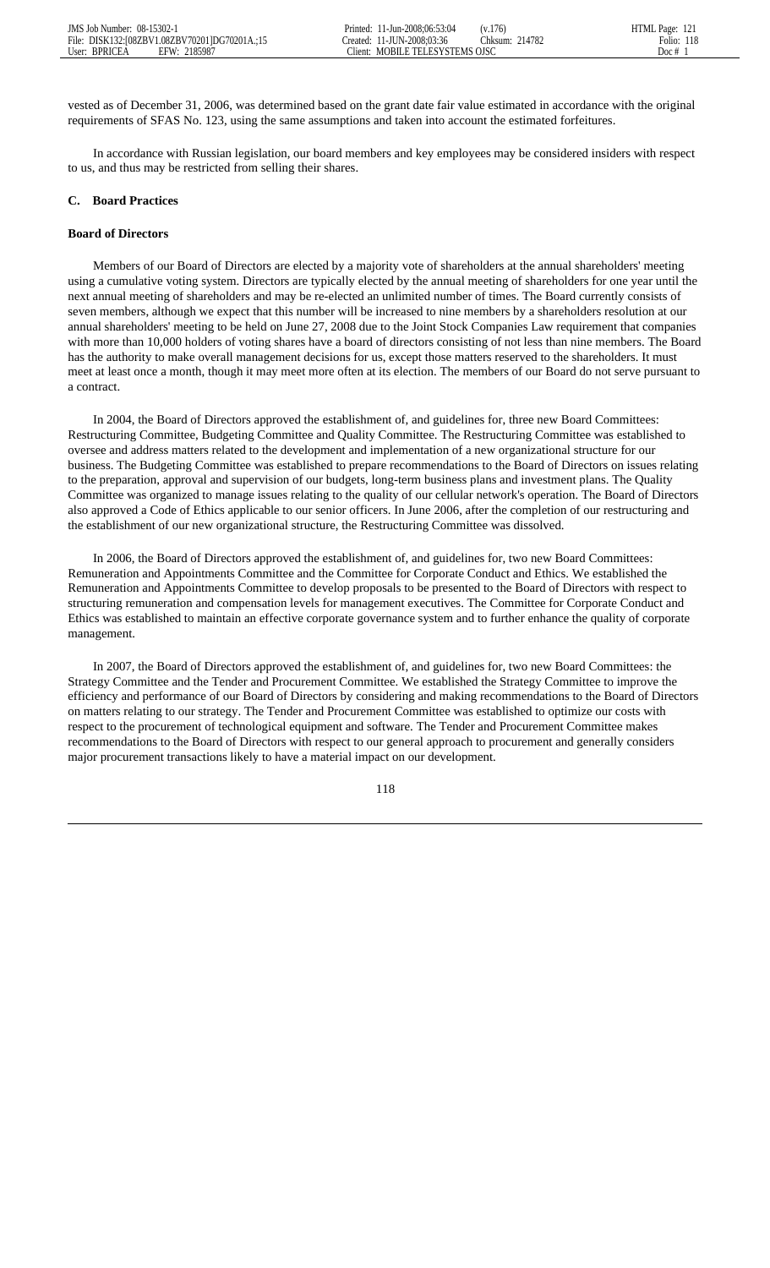vested as of December 31, 2006, was determined based on the grant date fair value estimated in accordance with the original requirements of SFAS No. 123, using the same assumptions and taken into account the estimated forfeitures.

 In accordance with Russian legislation, our board members and key employees may be considered insiders with respect to us, and thus may be restricted from selling their shares.

## **C. Board Practices**

#### **Board of Directors**

 Members of our Board of Directors are elected by a majority vote of shareholders at the annual shareholders' meeting using a cumulative voting system. Directors are typically elected by the annual meeting of shareholders for one year until the next annual meeting of shareholders and may be re-elected an unlimited number of times. The Board currently consists of seven members, although we expect that this number will be increased to nine members by a shareholders resolution at our annual shareholders' meeting to be held on June 27, 2008 due to the Joint Stock Companies Law requirement that companies with more than 10,000 holders of voting shares have a board of directors consisting of not less than nine members. The Board has the authority to make overall management decisions for us, except those matters reserved to the shareholders. It must meet at least once a month, though it may meet more often at its election. The members of our Board do not serve pursuant to a contract.

 In 2004, the Board of Directors approved the establishment of, and guidelines for, three new Board Committees: Restructuring Committee, Budgeting Committee and Quality Committee. The Restructuring Committee was established to oversee and address matters related to the development and implementation of a new organizational structure for our business. The Budgeting Committee was established to prepare recommendations to the Board of Directors on issues relating to the preparation, approval and supervision of our budgets, long-term business plans and investment plans. The Quality Committee was organized to manage issues relating to the quality of our cellular network's operation. The Board of Directors also approved a Code of Ethics applicable to our senior officers. In June 2006, after the completion of our restructuring and the establishment of our new organizational structure, the Restructuring Committee was dissolved.

 In 2006, the Board of Directors approved the establishment of, and guidelines for, two new Board Committees: Remuneration and Appointments Committee and the Committee for Corporate Conduct and Ethics. We established the Remuneration and Appointments Committee to develop proposals to be presented to the Board of Directors with respect to structuring remuneration and compensation levels for management executives. The Committee for Corporate Conduct and Ethics was established to maintain an effective corporate governance system and to further enhance the quality of corporate management.

 In 2007, the Board of Directors approved the establishment of, and guidelines for, two new Board Committees: the Strategy Committee and the Tender and Procurement Committee. We established the Strategy Committee to improve the efficiency and performance of our Board of Directors by considering and making recommendations to the Board of Directors on matters relating to our strategy. The Tender and Procurement Committee was established to optimize our costs with respect to the procurement of technological equipment and software. The Tender and Procurement Committee makes recommendations to the Board of Directors with respect to our general approach to procurement and generally considers major procurement transactions likely to have a material impact on our development.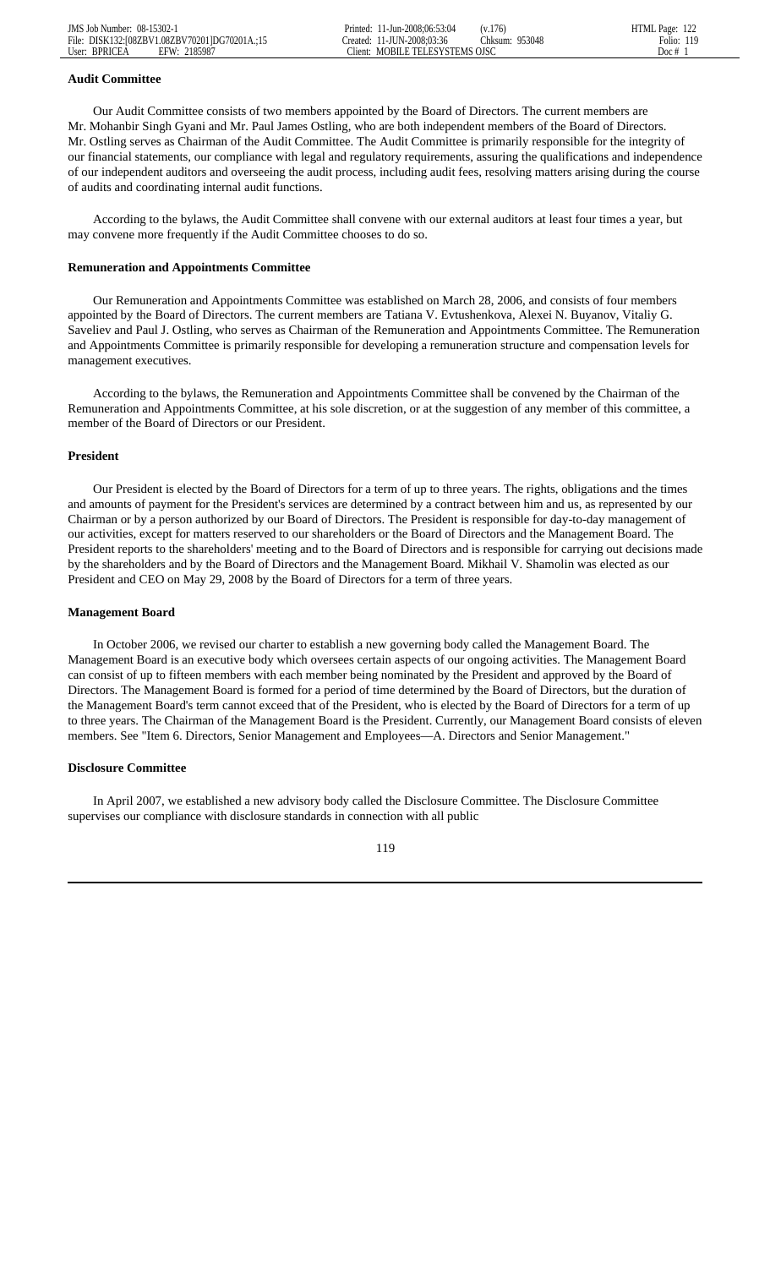# **Audit Committee**

 Our Audit Committee consists of two members appointed by the Board of Directors. The current members are Mr. Mohanbir Singh Gyani and Mr. Paul James Ostling, who are both independent members of the Board of Directors. Mr. Ostling serves as Chairman of the Audit Committee. The Audit Committee is primarily responsible for the integrity of our financial statements, our compliance with legal and regulatory requirements, assuring the qualifications and independence of our independent auditors and overseeing the audit process, including audit fees, resolving matters arising during the course of audits and coordinating internal audit functions.

 According to the bylaws, the Audit Committee shall convene with our external auditors at least four times a year, but may convene more frequently if the Audit Committee chooses to do so.

## **Remuneration and Appointments Committee**

 Our Remuneration and Appointments Committee was established on March 28, 2006, and consists of four members appointed by the Board of Directors. The current members are Tatiana V. Evtushenkova, Alexei N. Buyanov, Vitaliy G. Saveliev and Paul J. Ostling, who serves as Chairman of the Remuneration and Appointments Committee. The Remuneration and Appointments Committee is primarily responsible for developing a remuneration structure and compensation levels for management executives.

 According to the bylaws, the Remuneration and Appointments Committee shall be convened by the Chairman of the Remuneration and Appointments Committee, at his sole discretion, or at the suggestion of any member of this committee, a member of the Board of Directors or our President.

# **President**

 Our President is elected by the Board of Directors for a term of up to three years. The rights, obligations and the times and amounts of payment for the President's services are determined by a contract between him and us, as represented by our Chairman or by a person authorized by our Board of Directors. The President is responsible for day-to-day management of our activities, except for matters reserved to our shareholders or the Board of Directors and the Management Board. The President reports to the shareholders' meeting and to the Board of Directors and is responsible for carrying out decisions made by the shareholders and by the Board of Directors and the Management Board. Mikhail V. Shamolin was elected as our President and CEO on May 29, 2008 by the Board of Directors for a term of three years.

### **Management Board**

 In October 2006, we revised our charter to establish a new governing body called the Management Board. The Management Board is an executive body which oversees certain aspects of our ongoing activities. The Management Board can consist of up to fifteen members with each member being nominated by the President and approved by the Board of Directors. The Management Board is formed for a period of time determined by the Board of Directors, but the duration of the Management Board's term cannot exceed that of the President, who is elected by the Board of Directors for a term of up to three years. The Chairman of the Management Board is the President. Currently, our Management Board consists of eleven members. See "Item 6. Directors, Senior Management and Employees—A. Directors and Senior Management."

#### **Disclosure Committee**

 In April 2007, we established a new advisory body called the Disclosure Committee. The Disclosure Committee supervises our compliance with disclosure standards in connection with all public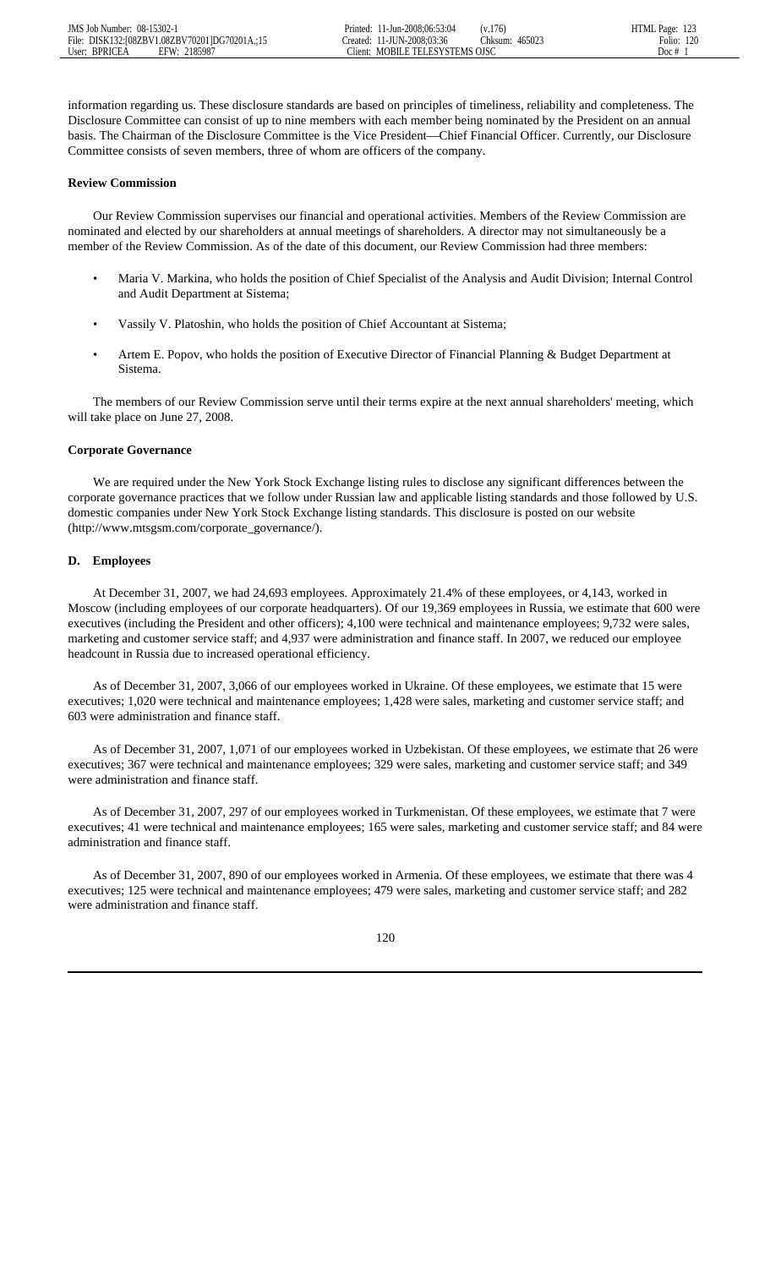information regarding us. These disclosure standards are based on principles of timeliness, reliability and completeness. The Disclosure Committee can consist of up to nine members with each member being nominated by the President on an annual basis. The Chairman of the Disclosure Committee is the Vice President—Chief Financial Officer. Currently, our Disclosure Committee consists of seven members, three of whom are officers of the company.

### **Review Commission**

 Our Review Commission supervises our financial and operational activities. Members of the Review Commission are nominated and elected by our shareholders at annual meetings of shareholders. A director may not simultaneously be a member of the Review Commission. As of the date of this document, our Review Commission had three members:

- Maria V. Markina, who holds the position of Chief Specialist of the Analysis and Audit Division; Internal Control and Audit Department at Sistema;
- Vassily V. Platoshin, who holds the position of Chief Accountant at Sistema;
- Artem E. Popov, who holds the position of Executive Director of Financial Planning & Budget Department at Sistema.

 The members of our Review Commission serve until their terms expire at the next annual shareholders' meeting, which will take place on June 27, 2008.

#### **Corporate Governance**

 We are required under the New York Stock Exchange listing rules to disclose any significant differences between the corporate governance practices that we follow under Russian law and applicable listing standards and those followed by U.S. domestic companies under New York Stock Exchange listing standards. This disclosure is posted on our website (http://www.mtsgsm.com/corporate\_governance/).

# **D. Employees**

 At December 31, 2007, we had 24,693 employees. Approximately 21.4% of these employees, or 4,143, worked in Moscow (including employees of our corporate headquarters). Of our 19,369 employees in Russia, we estimate that 600 were executives (including the President and other officers); 4,100 were technical and maintenance employees; 9,732 were sales, marketing and customer service staff; and 4,937 were administration and finance staff. In 2007, we reduced our employee headcount in Russia due to increased operational efficiency.

 As of December 31, 2007, 3,066 of our employees worked in Ukraine. Of these employees, we estimate that 15 were executives; 1,020 were technical and maintenance employees; 1,428 were sales, marketing and customer service staff; and 603 were administration and finance staff.

 As of December 31, 2007, 1,071 of our employees worked in Uzbekistan. Of these employees, we estimate that 26 were executives; 367 were technical and maintenance employees; 329 were sales, marketing and customer service staff; and 349 were administration and finance staff.

 As of December 31, 2007, 297 of our employees worked in Turkmenistan. Of these employees, we estimate that 7 were executives; 41 were technical and maintenance employees; 165 were sales, marketing and customer service staff; and 84 were administration and finance staff.

 As of December 31, 2007, 890 of our employees worked in Armenia. Of these employees, we estimate that there was 4 executives; 125 were technical and maintenance employees; 479 were sales, marketing and customer service staff; and 282 were administration and finance staff.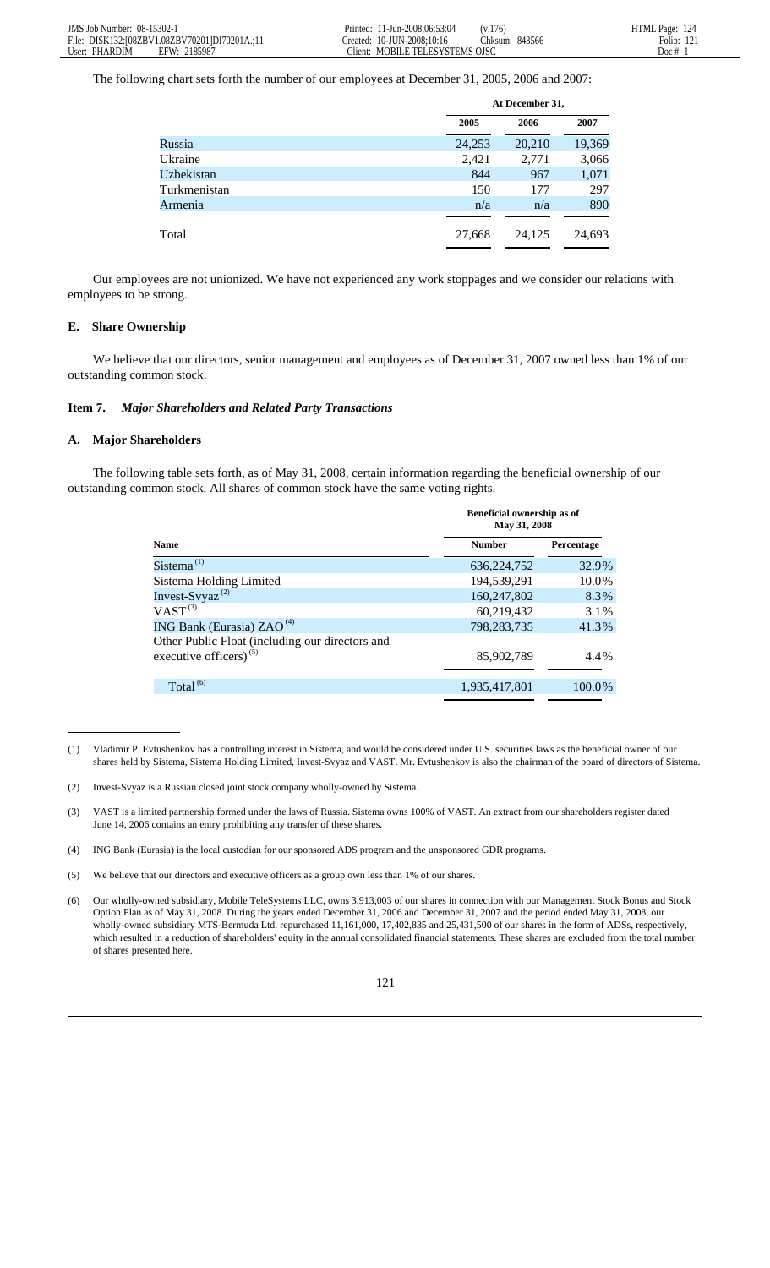The following chart sets forth the number of our employees at December 31, 2005, 2006 and 2007:

|              |        | At December 31, |        |  |  |
|--------------|--------|-----------------|--------|--|--|
|              | 2005   | 2006            | 2007   |  |  |
| Russia       | 24,253 | 20,210          | 19,369 |  |  |
| Ukraine      | 2,421  | 2,771           | 3,066  |  |  |
| Uzbekistan   | 844    | 967             | 1,071  |  |  |
| Turkmenistan | 150    | 177             | 297    |  |  |
| Armenia      | n/a    | n/a             | 890    |  |  |
|              |        |                 |        |  |  |
| Total        | 27,668 | 24,125          | 24,693 |  |  |

 Our employees are not unionized. We have not experienced any work stoppages and we consider our relations with employees to be strong.

# **E. Share Ownership**

We believe that our directors, senior management and employees as of December 31, 2007 owned less than 1% of our outstanding common stock.

# **Item 7.** *Major Shareholders and Related Party Transactions*

# **A. Major Shareholders**

 The following table sets forth, as of May 31, 2008, certain information regarding the beneficial ownership of our outstanding common stock. All shares of common stock have the same voting rights.

|                                                 | Beneficial ownership as of<br>May 31, 2008 |            |  |  |  |
|-------------------------------------------------|--------------------------------------------|------------|--|--|--|
| <b>Name</b>                                     | <b>Number</b>                              | Percentage |  |  |  |
| Sistema <sup>(1)</sup>                          | 636, 224, 752                              | 32.9%      |  |  |  |
| Sistema Holding Limited                         | 194,539,291                                | 10.0%      |  |  |  |
| Invest-Svyaz $^{(2)}$                           | 160,247,802                                | 8.3%       |  |  |  |
| $VAST^{(3)}$                                    | 60.219.432                                 | 3.1%       |  |  |  |
| ING Bank (Eurasia) $ZAO(4)$                     | 798,283,735                                | 41.3%      |  |  |  |
| Other Public Float (including our directors and |                                            |            |  |  |  |
| executive officers) $^{(5)}$                    | 85,902,789                                 | 4.4%       |  |  |  |
| Total <sup>(6)</sup>                            | 1,935,417,801                              | 100.0%     |  |  |  |

<sup>(1)</sup> Vladimir P. Evtushenkov has a controlling interest in Sistema, and would be considered under U.S. securities laws as the beneficial owner of our shares held by Sistema, Sistema Holding Limited, Invest-Svyaz and VAST. Mr. Evtushenkov is also the chairman of the board of directors of Sistema.

<sup>(2)</sup> Invest-Svyaz is a Russian closed joint stock company wholly-owned by Sistema.

<sup>(3)</sup> VAST is a limited partnership formed under the laws of Russia. Sistema owns 100% of VAST. An extract from our shareholders register dated June 14, 2006 contains an entry prohibiting any transfer of these shares.

<sup>(4)</sup> ING Bank (Eurasia) is the local custodian for our sponsored ADS program and the unsponsored GDR programs.

<sup>(5)</sup> We believe that our directors and executive officers as a group own less than 1% of our shares.

<sup>(6)</sup> Our wholly-owned subsidiary, Mobile TeleSystems LLC, owns 3,913,003 of our shares in connection with our Management Stock Bonus and Stock Option Plan as of May 31, 2008. During the years ended December 31, 2006 and December 31, 2007 and the period ended May 31, 2008, our wholly-owned subsidiary MTS-Bermuda Ltd. repurchased 11,161,000, 17,402,835 and 25,431,500 of our shares in the form of ADSs, respectively, which resulted in a reduction of shareholders' equity in the annual consolidated financial statements. These shares are excluded from the total number of shares presented here.

<sup>121</sup>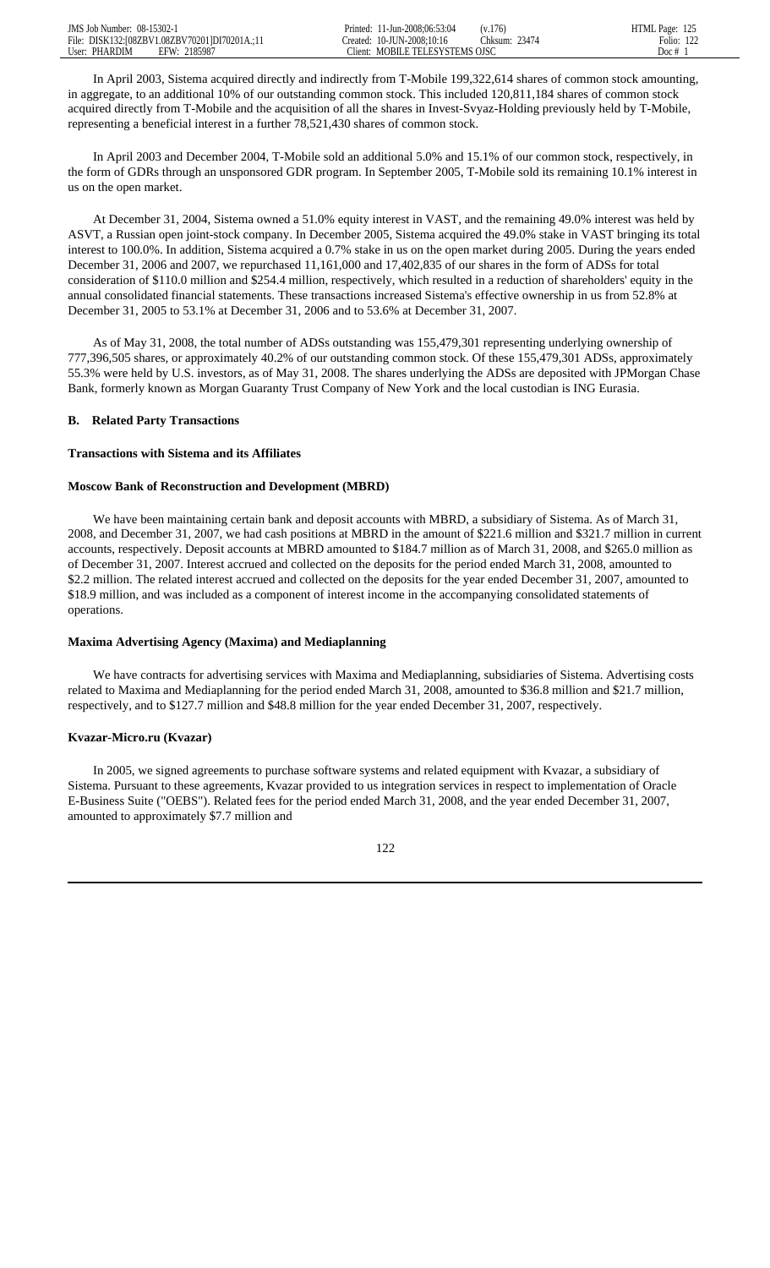In April 2003, Sistema acquired directly and indirectly from T-Mobile 199,322,614 shares of common stock amounting, in aggregate, to an additional 10% of our outstanding common stock. This included 120,811,184 shares of common stock acquired directly from T-Mobile and the acquisition of all the shares in Invest-Svyaz-Holding previously held by T-Mobile, representing a beneficial interest in a further 78,521,430 shares of common stock.

 In April 2003 and December 2004, T-Mobile sold an additional 5.0% and 15.1% of our common stock, respectively, in the form of GDRs through an unsponsored GDR program. In September 2005, T-Mobile sold its remaining 10.1% interest in us on the open market.

 At December 31, 2004, Sistema owned a 51.0% equity interest in VAST, and the remaining 49.0% interest was held by ASVT, a Russian open joint-stock company. In December 2005, Sistema acquired the 49.0% stake in VAST bringing its total interest to 100.0%. In addition, Sistema acquired a 0.7% stake in us on the open market during 2005. During the years ended December 31, 2006 and 2007, we repurchased 11,161,000 and 17,402,835 of our shares in the form of ADSs for total consideration of \$110.0 million and \$254.4 million, respectively, which resulted in a reduction of shareholders' equity in the annual consolidated financial statements. These transactions increased Sistema's effective ownership in us from 52.8% at December 31, 2005 to 53.1% at December 31, 2006 and to 53.6% at December 31, 2007.

 As of May 31, 2008, the total number of ADSs outstanding was 155,479,301 representing underlying ownership of 777,396,505 shares, or approximately 40.2% of our outstanding common stock. Of these 155,479,301 ADSs, approximately 55.3% were held by U.S. investors, as of May 31, 2008. The shares underlying the ADSs are deposited with JPMorgan Chase Bank, formerly known as Morgan Guaranty Trust Company of New York and the local custodian is ING Eurasia.

# **B. Related Party Transactions**

# **Transactions with Sistema and its Affiliates**

# **Moscow Bank of Reconstruction and Development (MBRD)**

 We have been maintaining certain bank and deposit accounts with MBRD, a subsidiary of Sistema. As of March 31, 2008, and December 31, 2007, we had cash positions at MBRD in the amount of \$221.6 million and \$321.7 million in current accounts, respectively. Deposit accounts at MBRD amounted to \$184.7 million as of March 31, 2008, and \$265.0 million as of December 31, 2007. Interest accrued and collected on the deposits for the period ended March 31, 2008, amounted to \$2.2 million. The related interest accrued and collected on the deposits for the year ended December 31, 2007, amounted to \$18.9 million, and was included as a component of interest income in the accompanying consolidated statements of operations.

# **Maxima Advertising Agency (Maxima) and Mediaplanning**

 We have contracts for advertising services with Maxima and Mediaplanning, subsidiaries of Sistema. Advertising costs related to Maxima and Mediaplanning for the period ended March 31, 2008, amounted to \$36.8 million and \$21.7 million, respectively, and to \$127.7 million and \$48.8 million for the year ended December 31, 2007, respectively.

## **Kvazar-Micro.ru (Kvazar)**

 In 2005, we signed agreements to purchase software systems and related equipment with Kvazar, a subsidiary of Sistema. Pursuant to these agreements, Kvazar provided to us integration services in respect to implementation of Oracle E-Business Suite ("OEBS"). Related fees for the period ended March 31, 2008, and the year ended December 31, 2007, amounted to approximately \$7.7 million and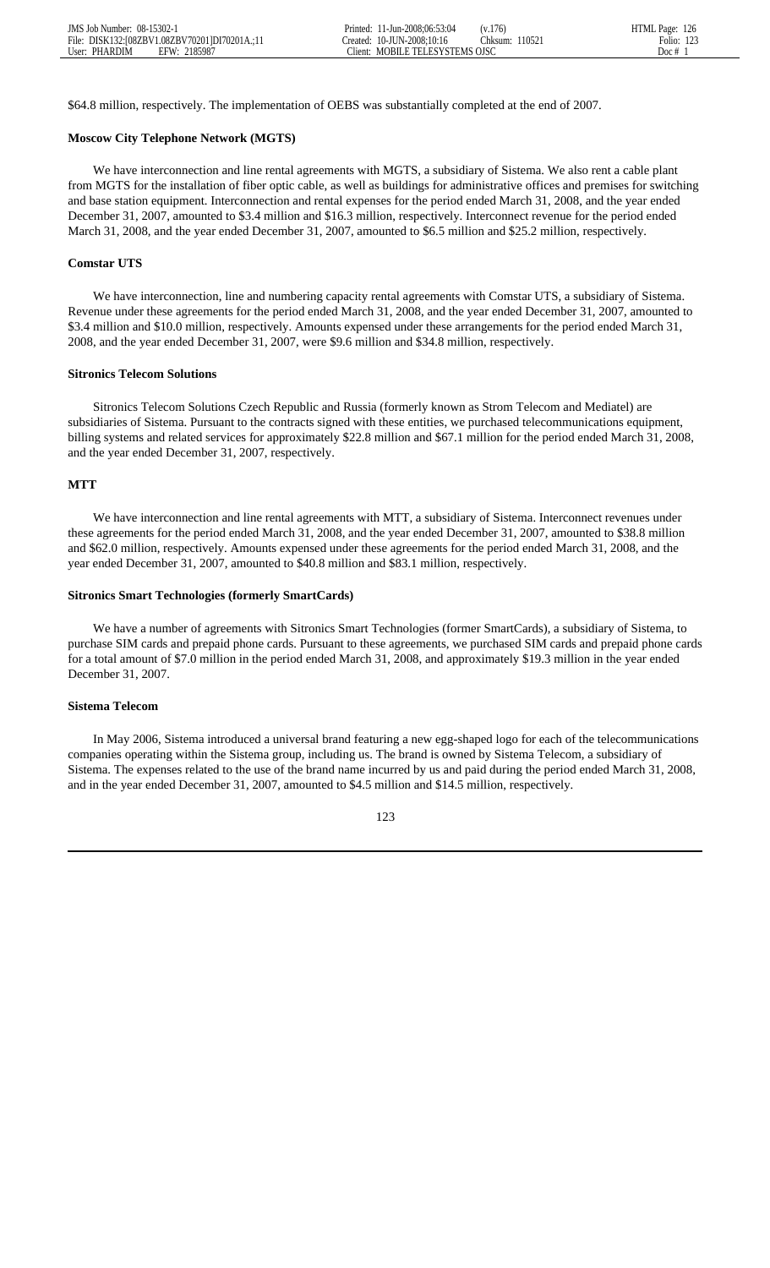\$64.8 million, respectively. The implementation of OEBS was substantially completed at the end of 2007.

### **Moscow City Telephone Network (MGTS)**

 We have interconnection and line rental agreements with MGTS, a subsidiary of Sistema. We also rent a cable plant from MGTS for the installation of fiber optic cable, as well as buildings for administrative offices and premises for switching and base station equipment. Interconnection and rental expenses for the period ended March 31, 2008, and the year ended December 31, 2007, amounted to \$3.4 million and \$16.3 million, respectively. Interconnect revenue for the period ended March 31, 2008, and the year ended December 31, 2007, amounted to \$6.5 million and \$25.2 million, respectively.

# **Comstar UTS**

 We have interconnection, line and numbering capacity rental agreements with Comstar UTS, a subsidiary of Sistema. Revenue under these agreements for the period ended March 31, 2008, and the year ended December 31, 2007, amounted to \$3.4 million and \$10.0 million, respectively. Amounts expensed under these arrangements for the period ended March 31, 2008, and the year ended December 31, 2007, were \$9.6 million and \$34.8 million, respectively.

### **Sitronics Telecom Solutions**

 Sitronics Telecom Solutions Czech Republic and Russia (formerly known as Strom Telecom and Mediatel) are subsidiaries of Sistema. Pursuant to the contracts signed with these entities, we purchased telecommunications equipment, billing systems and related services for approximately \$22.8 million and \$67.1 million for the period ended March 31, 2008, and the year ended December 31, 2007, respectively.

# **MTT**

 We have interconnection and line rental agreements with MTT, a subsidiary of Sistema. Interconnect revenues under these agreements for the period ended March 31, 2008, and the year ended December 31, 2007, amounted to \$38.8 million and \$62.0 million, respectively. Amounts expensed under these agreements for the period ended March 31, 2008, and the year ended December 31, 2007, amounted to \$40.8 million and \$83.1 million, respectively.

### **Sitronics Smart Technologies (formerly SmartCards)**

 We have a number of agreements with Sitronics Smart Technologies (former SmartCards), a subsidiary of Sistema, to purchase SIM cards and prepaid phone cards. Pursuant to these agreements, we purchased SIM cards and prepaid phone cards for a total amount of \$7.0 million in the period ended March 31, 2008, and approximately \$19.3 million in the year ended December 31, 2007.

# **Sistema Telecom**

 In May 2006, Sistema introduced a universal brand featuring a new egg-shaped logo for each of the telecommunications companies operating within the Sistema group, including us. The brand is owned by Sistema Telecom, a subsidiary of Sistema. The expenses related to the use of the brand name incurred by us and paid during the period ended March 31, 2008, and in the year ended December 31, 2007, amounted to \$4.5 million and \$14.5 million, respectively.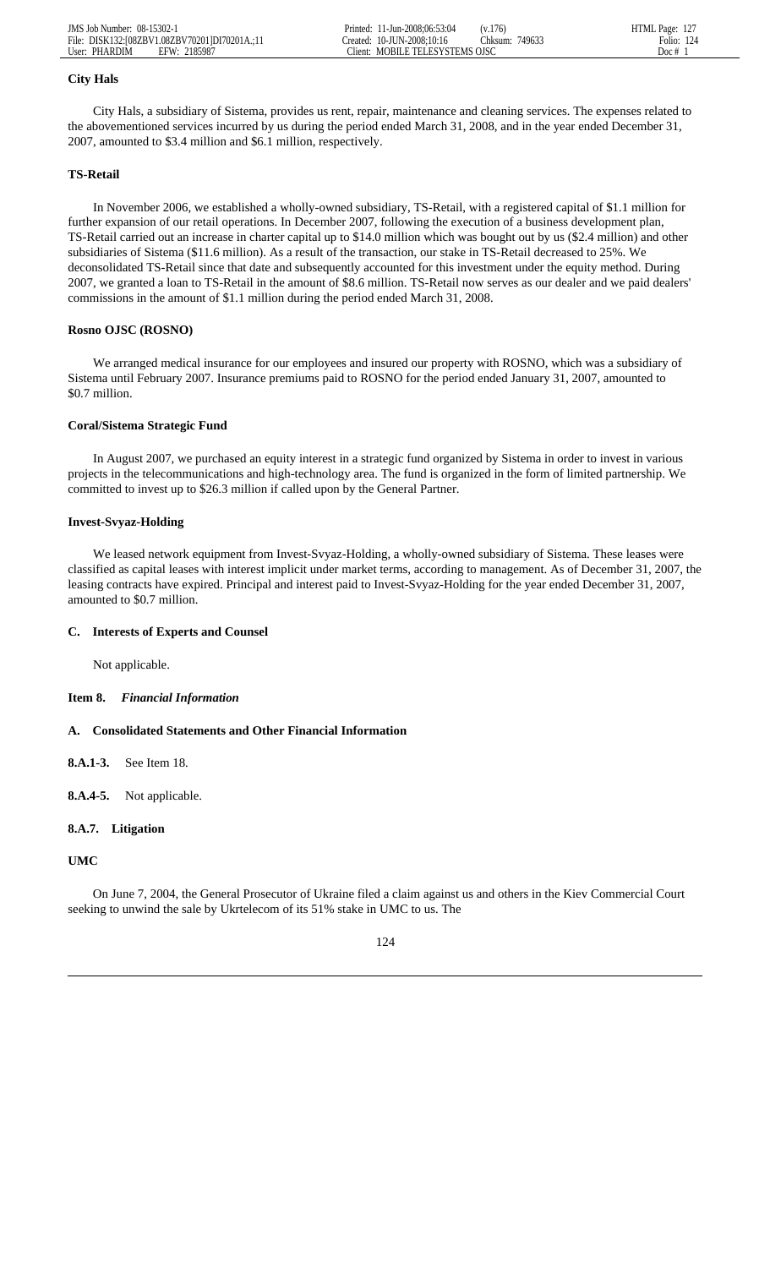# **City Hals**

 City Hals, a subsidiary of Sistema, provides us rent, repair, maintenance and cleaning services. The expenses related to the abovementioned services incurred by us during the period ended March 31, 2008, and in the year ended December 31, 2007, amounted to \$3.4 million and \$6.1 million, respectively.

# **TS-Retail**

 In November 2006, we established a wholly-owned subsidiary, TS-Retail, with a registered capital of \$1.1 million for further expansion of our retail operations. In December 2007, following the execution of a business development plan, TS-Retail carried out an increase in charter capital up to \$14.0 million which was bought out by us (\$2.4 million) and other subsidiaries of Sistema (\$11.6 million). As a result of the transaction, our stake in TS-Retail decreased to 25%. We deconsolidated TS-Retail since that date and subsequently accounted for this investment under the equity method. During 2007, we granted a loan to TS-Retail in the amount of \$8.6 million. TS-Retail now serves as our dealer and we paid dealers' commissions in the amount of \$1.1 million during the period ended March 31, 2008.

## **Rosno OJSC (ROSNO)**

 We arranged medical insurance for our employees and insured our property with ROSNO, which was a subsidiary of Sistema until February 2007. Insurance premiums paid to ROSNO for the period ended January 31, 2007, amounted to \$0.7 million.

# **Coral/Sistema Strategic Fund**

 In August 2007, we purchased an equity interest in a strategic fund organized by Sistema in order to invest in various projects in the telecommunications and high-technology area. The fund is organized in the form of limited partnership. We committed to invest up to \$26.3 million if called upon by the General Partner.

# **Invest-Svyaz-Holding**

 We leased network equipment from Invest-Svyaz-Holding, a wholly-owned subsidiary of Sistema. These leases were classified as capital leases with interest implicit under market terms, according to management. As of December 31, 2007, the leasing contracts have expired. Principal and interest paid to Invest-Svyaz-Holding for the year ended December 31, 2007, amounted to \$0.7 million.

## **C. Interests of Experts and Counsel**

Not applicable.

# **Item 8.** *Financial Information*

## **A. Consolidated Statements and Other Financial Information**

**8.A.1-3.** See Item 18.

**8.A.4-5.** Not applicable.

# **8.A.7. Litigation**

**UMC**

 On June 7, 2004, the General Prosecutor of Ukraine filed a claim against us and others in the Kiev Commercial Court seeking to unwind the sale by Ukrtelecom of its 51% stake in UMC to us. The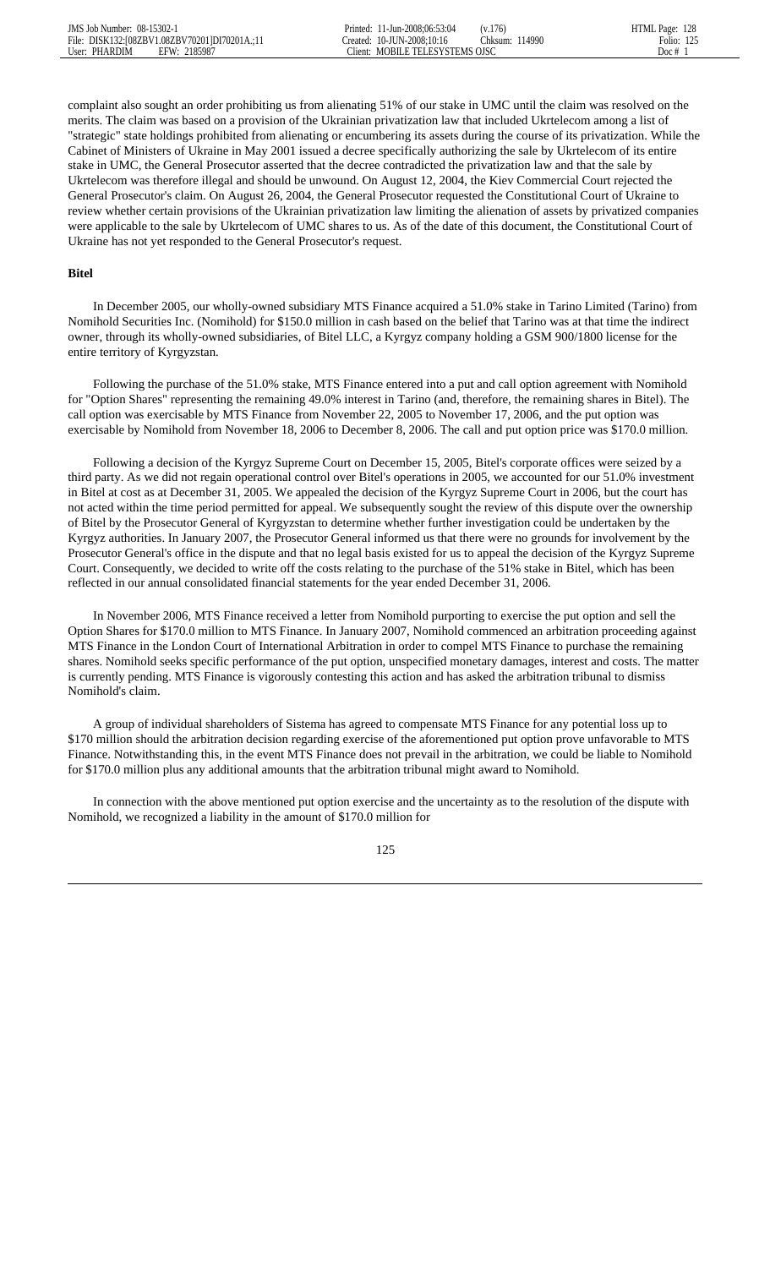complaint also sought an order prohibiting us from alienating 51% of our stake in UMC until the claim was resolved on the merits. The claim was based on a provision of the Ukrainian privatization law that included Ukrtelecom among a list of "strategic" state holdings prohibited from alienating or encumbering its assets during the course of its privatization. While the Cabinet of Ministers of Ukraine in May 2001 issued a decree specifically authorizing the sale by Ukrtelecom of its entire stake in UMC, the General Prosecutor asserted that the decree contradicted the privatization law and that the sale by Ukrtelecom was therefore illegal and should be unwound. On August 12, 2004, the Kiev Commercial Court rejected the General Prosecutor's claim. On August 26, 2004, the General Prosecutor requested the Constitutional Court of Ukraine to review whether certain provisions of the Ukrainian privatization law limiting the alienation of assets by privatized companies were applicable to the sale by Ukrtelecom of UMC shares to us. As of the date of this document, the Constitutional Court of Ukraine has not yet responded to the General Prosecutor's request.

# **Bitel**

 In December 2005, our wholly-owned subsidiary MTS Finance acquired a 51.0% stake in Tarino Limited (Tarino) from Nomihold Securities Inc. (Nomihold) for \$150.0 million in cash based on the belief that Tarino was at that time the indirect owner, through its wholly-owned subsidiaries, of Bitel LLC, a Kyrgyz company holding a GSM 900/1800 license for the entire territory of Kyrgyzstan.

 Following the purchase of the 51.0% stake, MTS Finance entered into a put and call option agreement with Nomihold for "Option Shares" representing the remaining 49.0% interest in Tarino (and, therefore, the remaining shares in Bitel). The call option was exercisable by MTS Finance from November 22, 2005 to November 17, 2006, and the put option was exercisable by Nomihold from November 18, 2006 to December 8, 2006. The call and put option price was \$170.0 million.

 Following a decision of the Kyrgyz Supreme Court on December 15, 2005, Bitel's corporate offices were seized by a third party. As we did not regain operational control over Bitel's operations in 2005, we accounted for our 51.0% investment in Bitel at cost as at December 31, 2005. We appealed the decision of the Kyrgyz Supreme Court in 2006, but the court has not acted within the time period permitted for appeal. We subsequently sought the review of this dispute over the ownership of Bitel by the Prosecutor General of Kyrgyzstan to determine whether further investigation could be undertaken by the Kyrgyz authorities. In January 2007, the Prosecutor General informed us that there were no grounds for involvement by the Prosecutor General's office in the dispute and that no legal basis existed for us to appeal the decision of the Kyrgyz Supreme Court. Consequently, we decided to write off the costs relating to the purchase of the 51% stake in Bitel, which has been reflected in our annual consolidated financial statements for the year ended December 31, 2006.

 In November 2006, MTS Finance received a letter from Nomihold purporting to exercise the put option and sell the Option Shares for \$170.0 million to MTS Finance. In January 2007, Nomihold commenced an arbitration proceeding against MTS Finance in the London Court of International Arbitration in order to compel MTS Finance to purchase the remaining shares. Nomihold seeks specific performance of the put option, unspecified monetary damages, interest and costs. The matter is currently pending. MTS Finance is vigorously contesting this action and has asked the arbitration tribunal to dismiss Nomihold's claim.

 A group of individual shareholders of Sistema has agreed to compensate MTS Finance for any potential loss up to \$170 million should the arbitration decision regarding exercise of the aforementioned put option prove unfavorable to MTS Finance. Notwithstanding this, in the event MTS Finance does not prevail in the arbitration, we could be liable to Nomihold for \$170.0 million plus any additional amounts that the arbitration tribunal might award to Nomihold.

 In connection with the above mentioned put option exercise and the uncertainty as to the resolution of the dispute with Nomihold, we recognized a liability in the amount of \$170.0 million for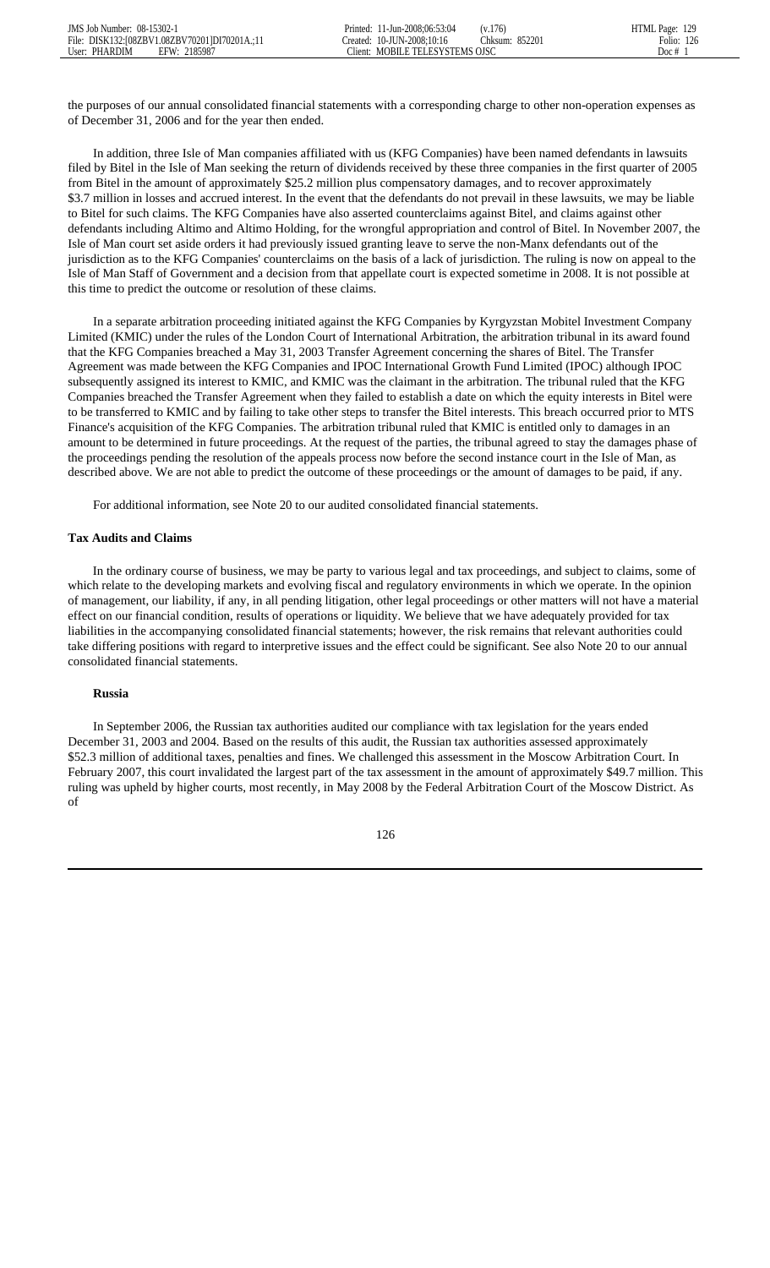the purposes of our annual consolidated financial statements with a corresponding charge to other non-operation expenses as of December 31, 2006 and for the year then ended.

 In addition, three Isle of Man companies affiliated with us (KFG Companies) have been named defendants in lawsuits filed by Bitel in the Isle of Man seeking the return of dividends received by these three companies in the first quarter of 2005 from Bitel in the amount of approximately \$25.2 million plus compensatory damages, and to recover approximately \$3.7 million in losses and accrued interest. In the event that the defendants do not prevail in these lawsuits, we may be liable to Bitel for such claims. The KFG Companies have also asserted counterclaims against Bitel, and claims against other defendants including Altimo and Altimo Holding, for the wrongful appropriation and control of Bitel. In November 2007, the Isle of Man court set aside orders it had previously issued granting leave to serve the non-Manx defendants out of the jurisdiction as to the KFG Companies' counterclaims on the basis of a lack of jurisdiction. The ruling is now on appeal to the Isle of Man Staff of Government and a decision from that appellate court is expected sometime in 2008. It is not possible at this time to predict the outcome or resolution of these claims.

 In a separate arbitration proceeding initiated against the KFG Companies by Kyrgyzstan Mobitel Investment Company Limited (KMIC) under the rules of the London Court of International Arbitration, the arbitration tribunal in its award found that the KFG Companies breached a May 31, 2003 Transfer Agreement concerning the shares of Bitel. The Transfer Agreement was made between the KFG Companies and IPOC International Growth Fund Limited (IPOC) although IPOC subsequently assigned its interest to KMIC, and KMIC was the claimant in the arbitration. The tribunal ruled that the KFG Companies breached the Transfer Agreement when they failed to establish a date on which the equity interests in Bitel were to be transferred to KMIC and by failing to take other steps to transfer the Bitel interests. This breach occurred prior to MTS Finance's acquisition of the KFG Companies. The arbitration tribunal ruled that KMIC is entitled only to damages in an amount to be determined in future proceedings. At the request of the parties, the tribunal agreed to stay the damages phase of the proceedings pending the resolution of the appeals process now before the second instance court in the Isle of Man, as described above. We are not able to predict the outcome of these proceedings or the amount of damages to be paid, if any.

For additional information, see Note 20 to our audited consolidated financial statements.

### **Tax Audits and Claims**

 In the ordinary course of business, we may be party to various legal and tax proceedings, and subject to claims, some of which relate to the developing markets and evolving fiscal and regulatory environments in which we operate. In the opinion of management, our liability, if any, in all pending litigation, other legal proceedings or other matters will not have a material effect on our financial condition, results of operations or liquidity. We believe that we have adequately provided for tax liabilities in the accompanying consolidated financial statements; however, the risk remains that relevant authorities could take differing positions with regard to interpretive issues and the effect could be significant. See also Note 20 to our annual consolidated financial statements.

### **Russia**

 In September 2006, the Russian tax authorities audited our compliance with tax legislation for the years ended December 31, 2003 and 2004. Based on the results of this audit, the Russian tax authorities assessed approximately \$52.3 million of additional taxes, penalties and fines. We challenged this assessment in the Moscow Arbitration Court. In February 2007, this court invalidated the largest part of the tax assessment in the amount of approximately \$49.7 million. This ruling was upheld by higher courts, most recently, in May 2008 by the Federal Arbitration Court of the Moscow District. As of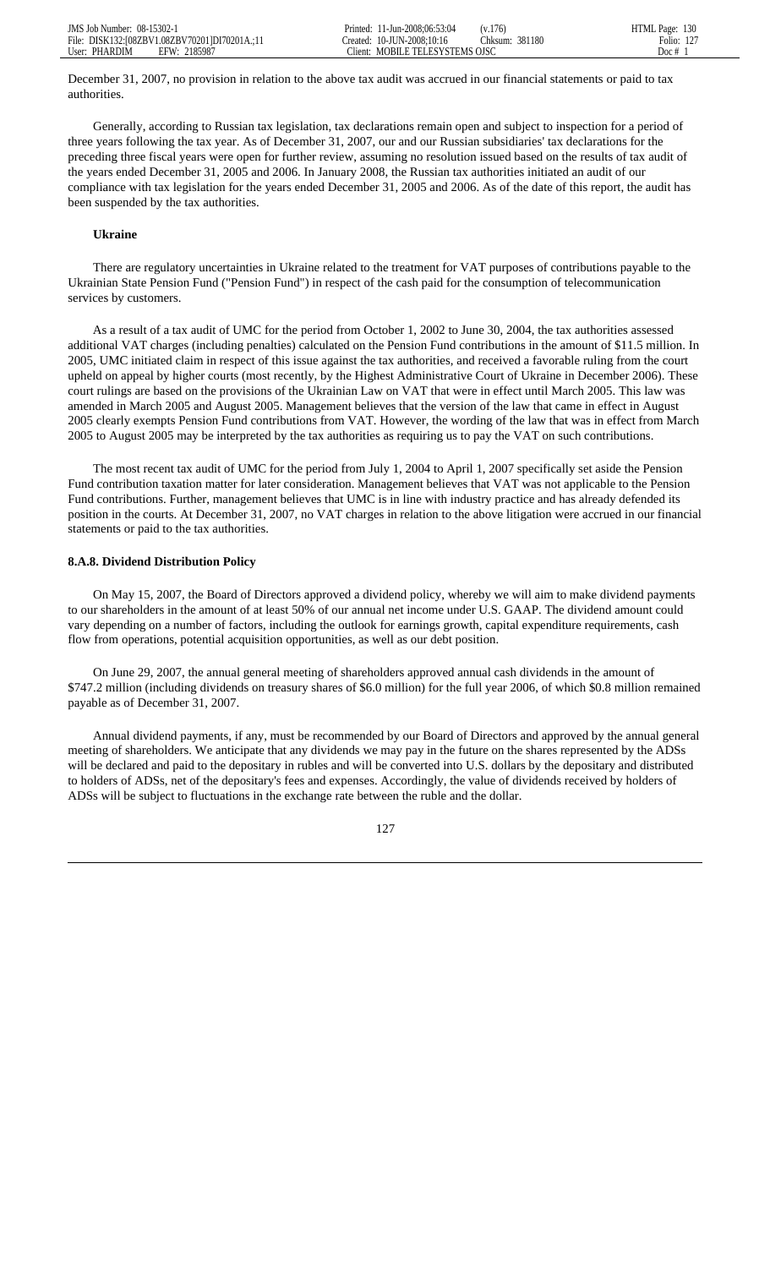December 31, 2007, no provision in relation to the above tax audit was accrued in our financial statements or paid to tax authorities.

 Generally, according to Russian tax legislation, tax declarations remain open and subject to inspection for a period of three years following the tax year. As of December 31, 2007, our and our Russian subsidiaries' tax declarations for the preceding three fiscal years were open for further review, assuming no resolution issued based on the results of tax audit of the years ended December 31, 2005 and 2006. In January 2008, the Russian tax authorities initiated an audit of our compliance with tax legislation for the years ended December 31, 2005 and 2006. As of the date of this report, the audit has been suspended by the tax authorities.

#### **Ukraine**

 There are regulatory uncertainties in Ukraine related to the treatment for VAT purposes of contributions payable to the Ukrainian State Pension Fund ("Pension Fund") in respect of the cash paid for the consumption of telecommunication services by customers.

 As a result of a tax audit of UMC for the period from October 1, 2002 to June 30, 2004, the tax authorities assessed additional VAT charges (including penalties) calculated on the Pension Fund contributions in the amount of \$11.5 million. In 2005, UMC initiated claim in respect of this issue against the tax authorities, and received a favorable ruling from the court upheld on appeal by higher courts (most recently, by the Highest Administrative Court of Ukraine in December 2006). These court rulings are based on the provisions of the Ukrainian Law on VAT that were in effect until March 2005. This law was amended in March 2005 and August 2005. Management believes that the version of the law that came in effect in August 2005 clearly exempts Pension Fund contributions from VAT. However, the wording of the law that was in effect from March 2005 to August 2005 may be interpreted by the tax authorities as requiring us to pay the VAT on such contributions.

 The most recent tax audit of UMC for the period from July 1, 2004 to April 1, 2007 specifically set aside the Pension Fund contribution taxation matter for later consideration. Management believes that VAT was not applicable to the Pension Fund contributions. Further, management believes that UMC is in line with industry practice and has already defended its position in the courts. At December 31, 2007, no VAT charges in relation to the above litigation were accrued in our financial statements or paid to the tax authorities.

# **8.A.8. Dividend Distribution Policy**

 On May 15, 2007, the Board of Directors approved a dividend policy, whereby we will aim to make dividend payments to our shareholders in the amount of at least 50% of our annual net income under U.S. GAAP. The dividend amount could vary depending on a number of factors, including the outlook for earnings growth, capital expenditure requirements, cash flow from operations, potential acquisition opportunities, as well as our debt position.

 On June 29, 2007, the annual general meeting of shareholders approved annual cash dividends in the amount of \$747.2 million (including dividends on treasury shares of \$6.0 million) for the full year 2006, of which \$0.8 million remained payable as of December 31, 2007.

 Annual dividend payments, if any, must be recommended by our Board of Directors and approved by the annual general meeting of shareholders. We anticipate that any dividends we may pay in the future on the shares represented by the ADSs will be declared and paid to the depositary in rubles and will be converted into U.S. dollars by the depositary and distributed to holders of ADSs, net of the depositary's fees and expenses. Accordingly, the value of dividends received by holders of ADSs will be subject to fluctuations in the exchange rate between the ruble and the dollar.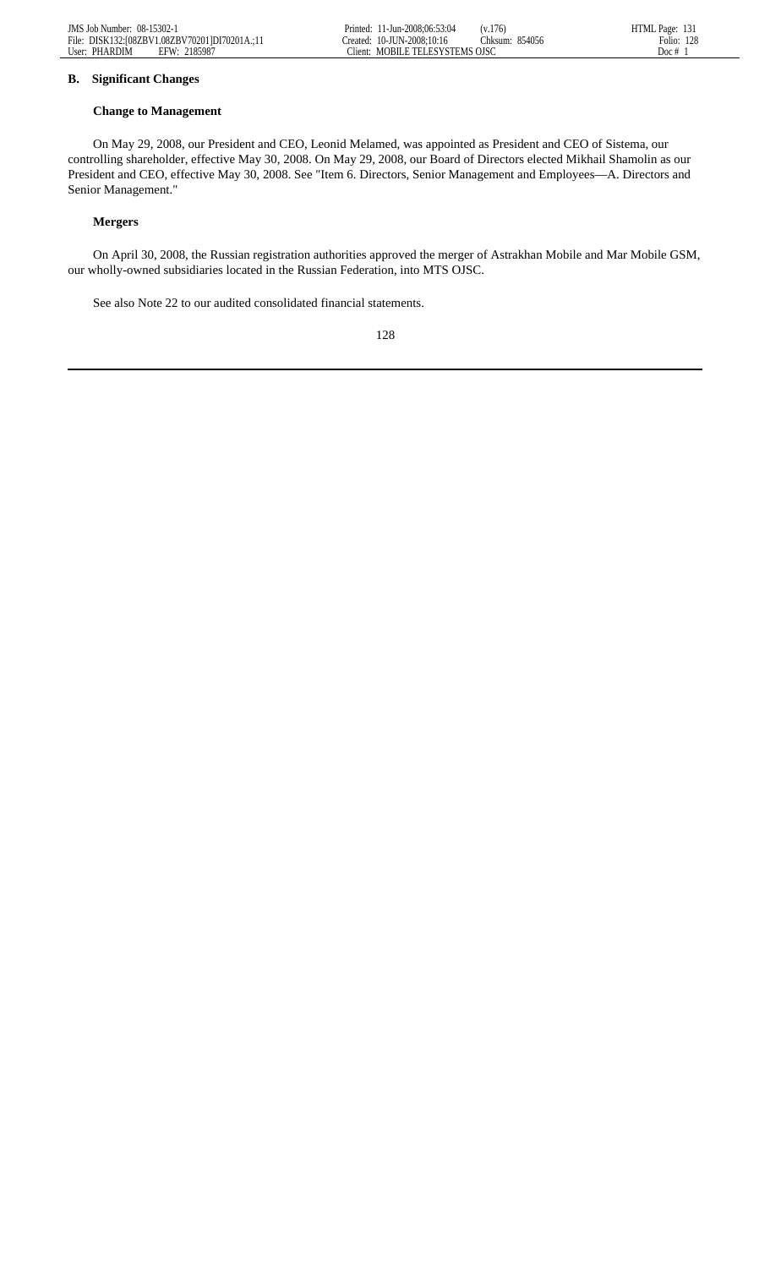# **B. Significant Changes**

# **Change to Management**

 On May 29, 2008, our President and CEO, Leonid Melamed, was appointed as President and CEO of Sistema, our controlling shareholder, effective May 30, 2008. On May 29, 2008, our Board of Directors elected Mikhail Shamolin as our President and CEO, effective May 30, 2008. See "Item 6. Directors, Senior Management and Employees—A. Directors and Senior Management."

# **Mergers**

 On April 30, 2008, the Russian registration authorities approved the merger of Astrakhan Mobile and Mar Mobile GSM, our wholly-owned subsidiaries located in the Russian Federation, into MTS OJSC.

See also Note 22 to our audited consolidated financial statements.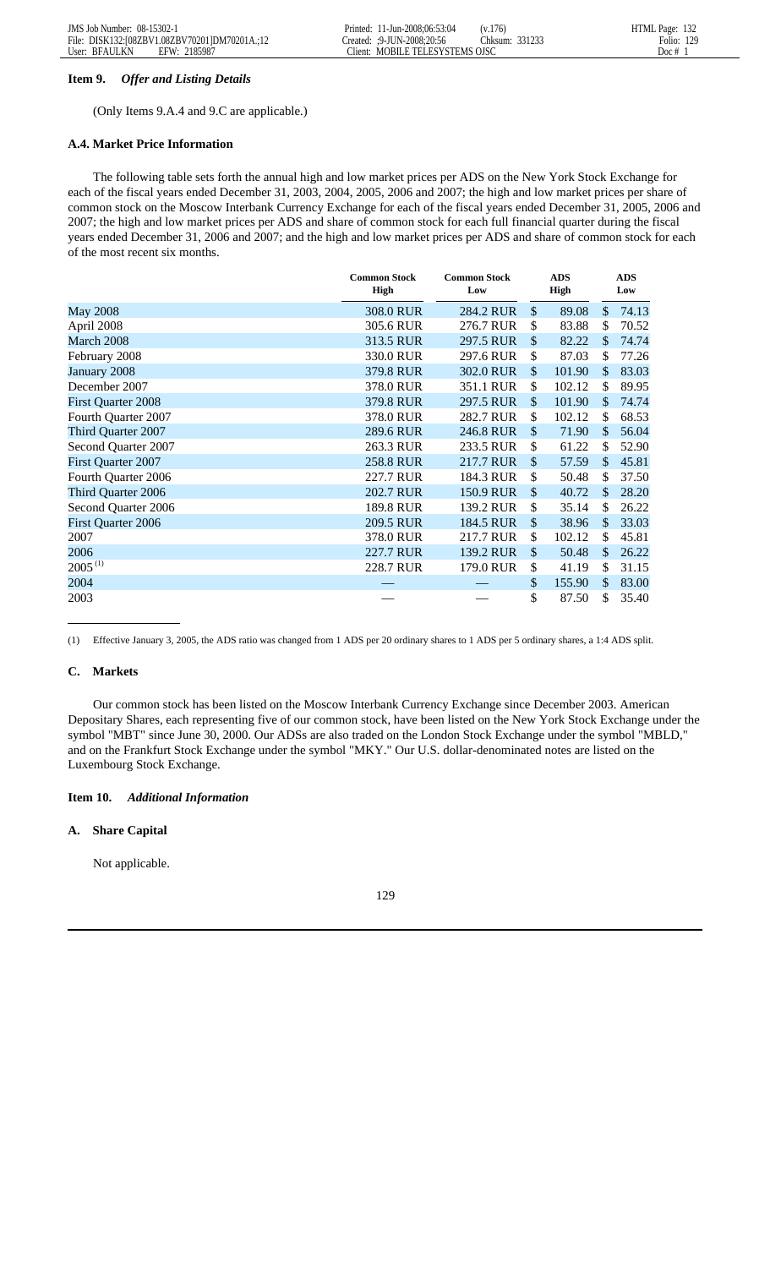# **Item 9.** *Offer and Listing Details*

(Only Items 9.A.4 and 9.C are applicable.)

# **A.4. Market Price Information**

 The following table sets forth the annual high and low market prices per ADS on the New York Stock Exchange for each of the fiscal years ended December 31, 2003, 2004, 2005, 2006 and 2007; the high and low market prices per share of common stock on the Moscow Interbank Currency Exchange for each of the fiscal years ended December 31, 2005, 2006 and 2007; the high and low market prices per ADS and share of common stock for each full financial quarter during the fiscal years ended December 31, 2006 and 2007; and the high and low market prices per ADS and share of common stock for each of the most recent six months.

|                           | <b>Common Stock</b><br>High | <b>Common Stock</b><br>Low |              | <b>ADS</b><br><b>High</b> |               | <b>ADS</b><br>Low |
|---------------------------|-----------------------------|----------------------------|--------------|---------------------------|---------------|-------------------|
| <b>May 2008</b>           | 308.0 RUR                   | 284.2 RUR                  | \$           | 89.08                     | $\mathbb{S}$  | 74.13             |
| April 2008                | 305.6 RUR                   | 276.7 RUR                  | \$           | 83.88                     | \$            | 70.52             |
| March 2008                | 313.5 RUR                   | 297.5 RUR                  | \$           | 82.22                     | \$.           | 74.74             |
| February 2008             | 330.0 RUR                   | 297.6 RUR                  | \$           | 87.03                     | S.            | 77.26             |
| January 2008              | 379.8 RUR                   | 302.0 RUR                  | $\mathbb{S}$ | 101.90                    | \$            | 83.03             |
| December 2007             | 378.0 RUR                   | 351.1 RUR                  | \$           | 102.12                    | \$.           | 89.95             |
| <b>First Quarter 2008</b> | 379.8 RUR                   | 297.5 RUR                  | $\mathbb{S}$ | 101.90                    | \$.           | 74.74             |
| Fourth Quarter 2007       | 378.0 RUR                   | 282.7 RUR                  | \$           | 102.12                    | \$            | 68.53             |
| Third Quarter 2007        | 289.6 RUR                   | 246.8 RUR                  | \$           | 71.90                     | \$.           | 56.04             |
| Second Quarter 2007       | 263.3 RUR                   | 233.5 RUR                  | \$           | 61.22                     | \$            | 52.90             |
| <b>First Quarter 2007</b> | 258.8 RUR                   | 217.7 RUR                  | \$           | 57.59                     | \$            | 45.81             |
| Fourth Quarter 2006       | 227.7 RUR                   | 184.3 RUR                  | \$           | 50.48                     | S             | 37.50             |
| Third Quarter 2006        | 202.7 RUR                   | 150.9 RUR                  | $\mathbb{S}$ | 40.72                     | <sup>\$</sup> | 28.20             |
| Second Quarter 2006       | 189.8 RUR                   | 139.2 RUR                  | \$           | 35.14                     | \$            | 26.22             |
| <b>First Quarter 2006</b> | 209.5 RUR                   | 184.5 RUR                  | \$           | 38.96                     | \$            | 33.03             |
| 2007                      | 378.0 RUR                   | 217.7 RUR                  | \$           | 102.12                    | \$            | 45.81             |
| 2006                      | 227.7 RUR                   | 139.2 RUR                  | \$           | 50.48                     | \$            | 26.22             |
| $2005^{(1)}$              | 228.7 RUR                   | 179.0 RUR                  | \$           | 41.19                     | \$.           | 31.15             |
| 2004                      |                             |                            | \$           | 155.90                    | \$.           | 83.00             |
| 2003                      |                             |                            | \$           | 87.50                     | S.            | 35.40             |

(1) Effective January 3, 2005, the ADS ratio was changed from 1 ADS per 20 ordinary shares to 1 ADS per 5 ordinary shares, a 1:4 ADS split.

# **C. Markets**

 Our common stock has been listed on the Moscow Interbank Currency Exchange since December 2003. American Depositary Shares, each representing five of our common stock, have been listed on the New York Stock Exchange under the symbol "MBT" since June 30, 2000. Our ADSs are also traded on the London Stock Exchange under the symbol "MBLD," and on the Frankfurt Stock Exchange under the symbol "MKY." Our U.S. dollar-denominated notes are listed on the Luxembourg Stock Exchange.

# **Item 10.** *Additional Information*

# **A. Share Capital**

Not applicable.

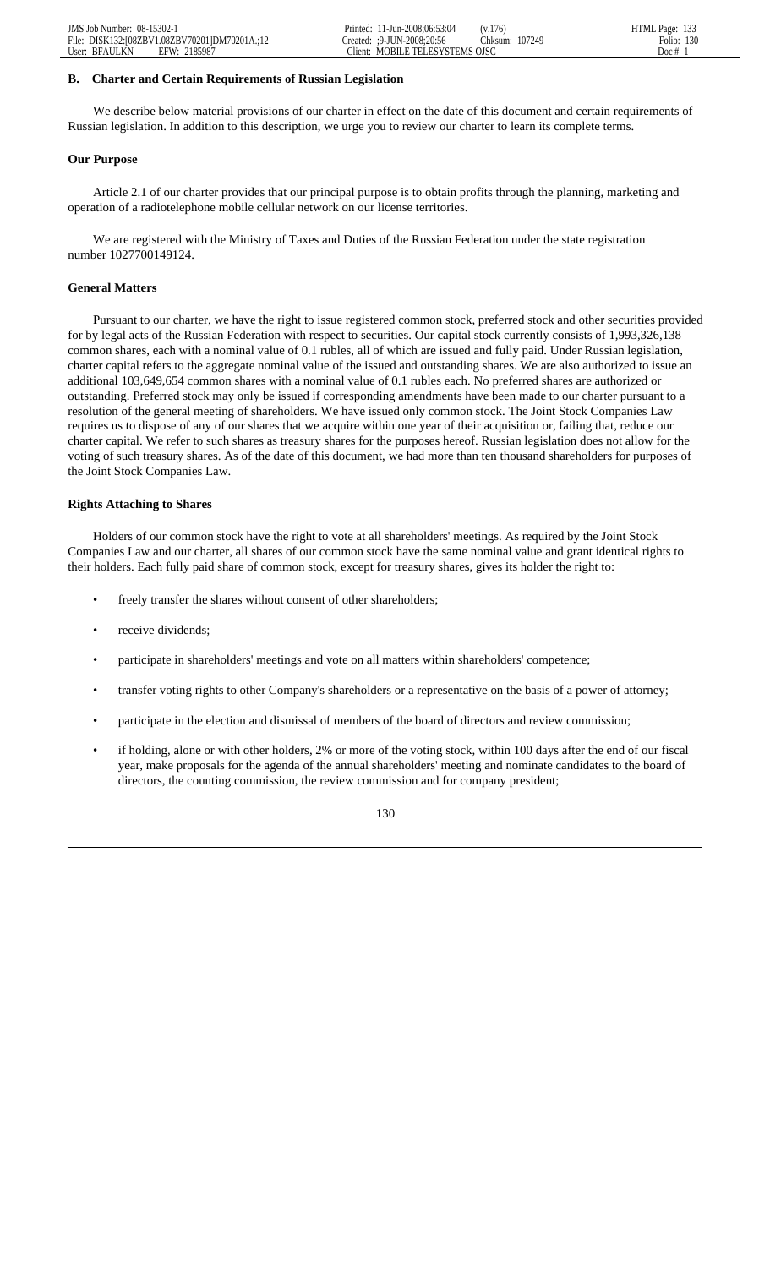# **B. Charter and Certain Requirements of Russian Legislation**

 We describe below material provisions of our charter in effect on the date of this document and certain requirements of Russian legislation. In addition to this description, we urge you to review our charter to learn its complete terms.

# **Our Purpose**

 Article 2.1 of our charter provides that our principal purpose is to obtain profits through the planning, marketing and operation of a radiotelephone mobile cellular network on our license territories.

 We are registered with the Ministry of Taxes and Duties of the Russian Federation under the state registration number 1027700149124.

# **General Matters**

 Pursuant to our charter, we have the right to issue registered common stock, preferred stock and other securities provided for by legal acts of the Russian Federation with respect to securities. Our capital stock currently consists of 1,993,326,138 common shares, each with a nominal value of 0.1 rubles, all of which are issued and fully paid. Under Russian legislation, charter capital refers to the aggregate nominal value of the issued and outstanding shares. We are also authorized to issue an additional 103,649,654 common shares with a nominal value of 0.1 rubles each. No preferred shares are authorized or outstanding. Preferred stock may only be issued if corresponding amendments have been made to our charter pursuant to a resolution of the general meeting of shareholders. We have issued only common stock. The Joint Stock Companies Law requires us to dispose of any of our shares that we acquire within one year of their acquisition or, failing that, reduce our charter capital. We refer to such shares as treasury shares for the purposes hereof. Russian legislation does not allow for the voting of such treasury shares. As of the date of this document, we had more than ten thousand shareholders for purposes of the Joint Stock Companies Law.

# **Rights Attaching to Shares**

 Holders of our common stock have the right to vote at all shareholders' meetings. As required by the Joint Stock Companies Law and our charter, all shares of our common stock have the same nominal value and grant identical rights to their holders. Each fully paid share of common stock, except for treasury shares, gives its holder the right to:

- freely transfer the shares without consent of other shareholders;
- receive dividends:
- participate in shareholders' meetings and vote on all matters within shareholders' competence;
- transfer voting rights to other Company's shareholders or a representative on the basis of a power of attorney;
- participate in the election and dismissal of members of the board of directors and review commission;
- if holding, alone or with other holders, 2% or more of the voting stock, within 100 days after the end of our fiscal year, make proposals for the agenda of the annual shareholders' meeting and nominate candidates to the board of directors, the counting commission, the review commission and for company president;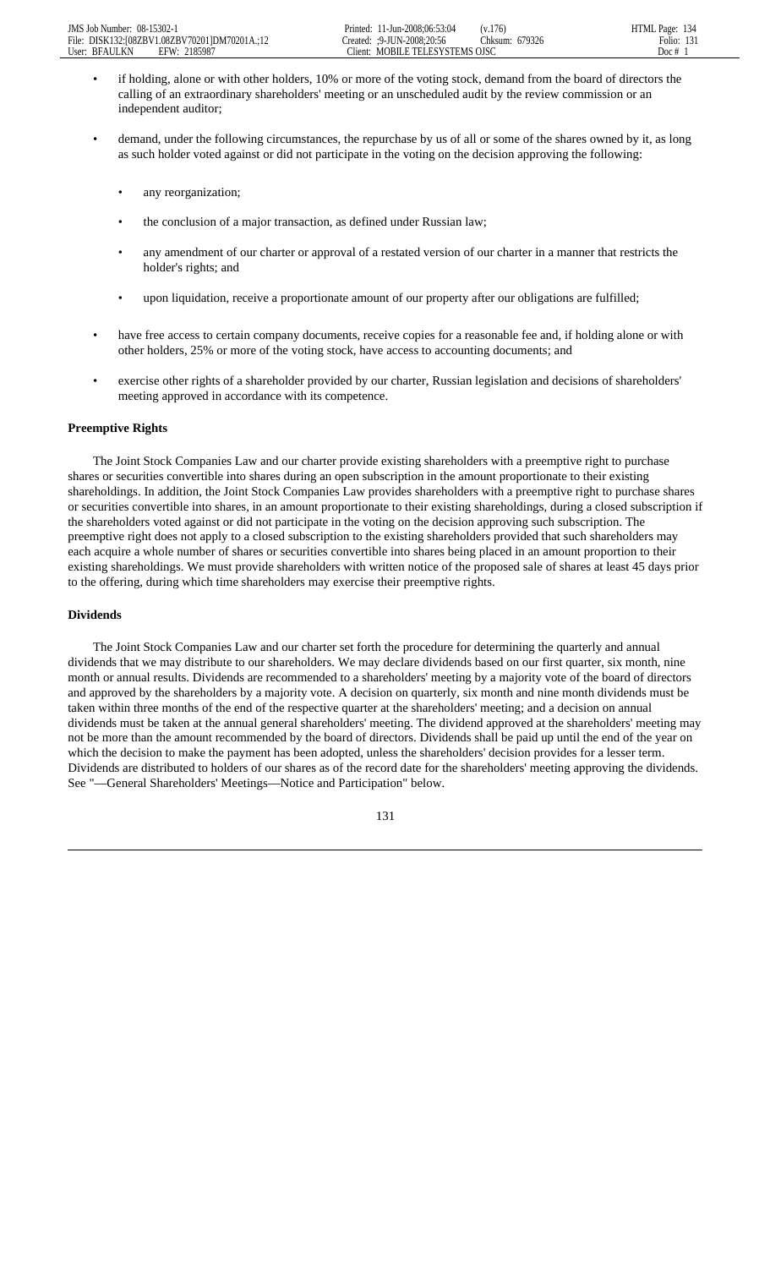- if holding, alone or with other holders, 10% or more of the voting stock, demand from the board of directors the calling of an extraordinary shareholders' meeting or an unscheduled audit by the review commission or an independent auditor;
- demand, under the following circumstances, the repurchase by us of all or some of the shares owned by it, as long as such holder voted against or did not participate in the voting on the decision approving the following:
	- any reorganization;
	- the conclusion of a major transaction, as defined under Russian law;
	- any amendment of our charter or approval of a restated version of our charter in a manner that restricts the holder's rights; and
	- upon liquidation, receive a proportionate amount of our property after our obligations are fulfilled;
- have free access to certain company documents, receive copies for a reasonable fee and, if holding alone or with other holders, 25% or more of the voting stock, have access to accounting documents; and
- exercise other rights of a shareholder provided by our charter, Russian legislation and decisions of shareholders' meeting approved in accordance with its competence.

# **Preemptive Rights**

 The Joint Stock Companies Law and our charter provide existing shareholders with a preemptive right to purchase shares or securities convertible into shares during an open subscription in the amount proportionate to their existing shareholdings. In addition, the Joint Stock Companies Law provides shareholders with a preemptive right to purchase shares or securities convertible into shares, in an amount proportionate to their existing shareholdings, during a closed subscription if the shareholders voted against or did not participate in the voting on the decision approving such subscription. The preemptive right does not apply to a closed subscription to the existing shareholders provided that such shareholders may each acquire a whole number of shares or securities convertible into shares being placed in an amount proportion to their existing shareholdings. We must provide shareholders with written notice of the proposed sale of shares at least 45 days prior to the offering, during which time shareholders may exercise their preemptive rights.

# **Dividends**

 The Joint Stock Companies Law and our charter set forth the procedure for determining the quarterly and annual dividends that we may distribute to our shareholders. We may declare dividends based on our first quarter, six month, nine month or annual results. Dividends are recommended to a shareholders' meeting by a majority vote of the board of directors and approved by the shareholders by a majority vote. A decision on quarterly, six month and nine month dividends must be taken within three months of the end of the respective quarter at the shareholders' meeting; and a decision on annual dividends must be taken at the annual general shareholders' meeting. The dividend approved at the shareholders' meeting may not be more than the amount recommended by the board of directors. Dividends shall be paid up until the end of the year on which the decision to make the payment has been adopted, unless the shareholders' decision provides for a lesser term. Dividends are distributed to holders of our shares as of the record date for the shareholders' meeting approving the dividends. See "—General Shareholders' Meetings—Notice and Participation" below.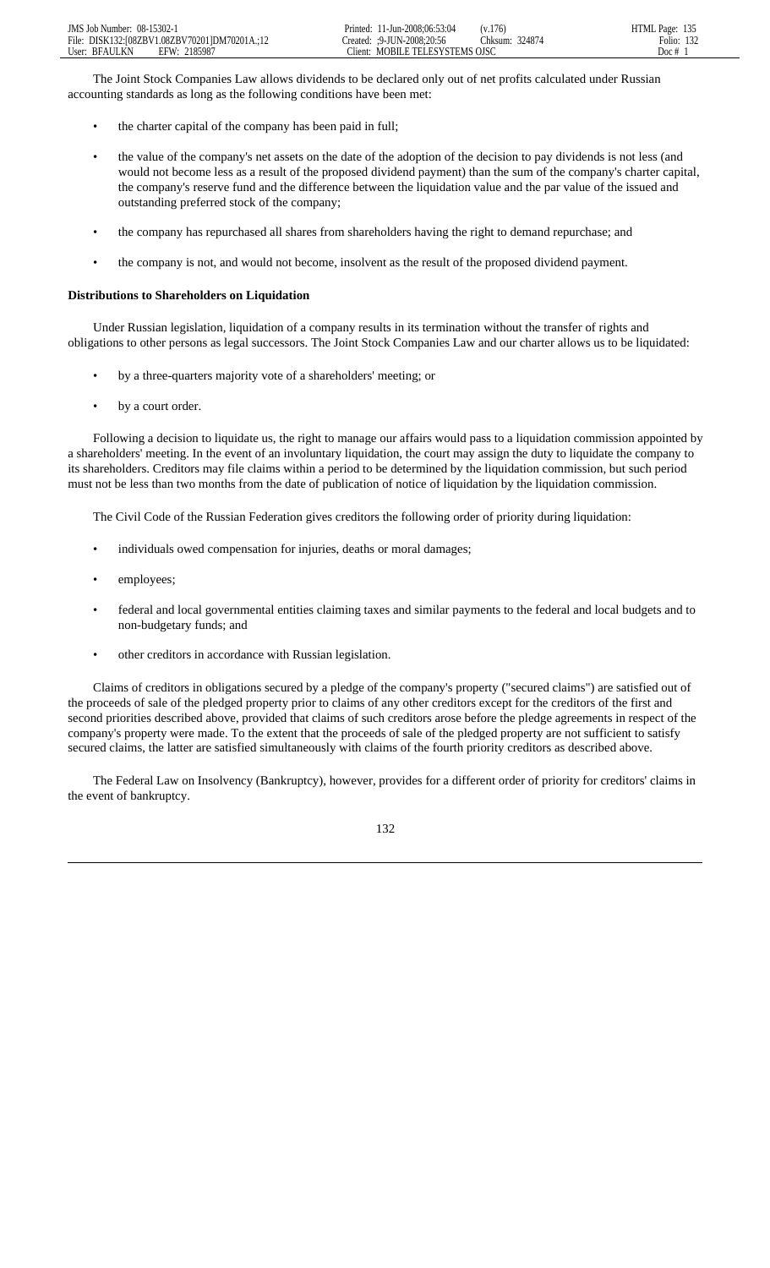The Joint Stock Companies Law allows dividends to be declared only out of net profits calculated under Russian accounting standards as long as the following conditions have been met:

- the charter capital of the company has been paid in full;
- the value of the company's net assets on the date of the adoption of the decision to pay dividends is not less (and would not become less as a result of the proposed dividend payment) than the sum of the company's charter capital, the company's reserve fund and the difference between the liquidation value and the par value of the issued and outstanding preferred stock of the company;
- the company has repurchased all shares from shareholders having the right to demand repurchase; and
- the company is not, and would not become, insolvent as the result of the proposed dividend payment.

### **Distributions to Shareholders on Liquidation**

 Under Russian legislation, liquidation of a company results in its termination without the transfer of rights and obligations to other persons as legal successors. The Joint Stock Companies Law and our charter allows us to be liquidated:

- by a three-quarters majority vote of a shareholders' meeting; or
- by a court order.

 Following a decision to liquidate us, the right to manage our affairs would pass to a liquidation commission appointed by a shareholders' meeting. In the event of an involuntary liquidation, the court may assign the duty to liquidate the company to its shareholders. Creditors may file claims within a period to be determined by the liquidation commission, but such period must not be less than two months from the date of publication of notice of liquidation by the liquidation commission.

The Civil Code of the Russian Federation gives creditors the following order of priority during liquidation:

- individuals owed compensation for injuries, deaths or moral damages;
- employees;
- federal and local governmental entities claiming taxes and similar payments to the federal and local budgets and to non-budgetary funds; and
- other creditors in accordance with Russian legislation.

 Claims of creditors in obligations secured by a pledge of the company's property ("secured claims") are satisfied out of the proceeds of sale of the pledged property prior to claims of any other creditors except for the creditors of the first and second priorities described above, provided that claims of such creditors arose before the pledge agreements in respect of the company's property were made. To the extent that the proceeds of sale of the pledged property are not sufficient to satisfy secured claims, the latter are satisfied simultaneously with claims of the fourth priority creditors as described above.

 The Federal Law on Insolvency (Bankruptcy), however, provides for a different order of priority for creditors' claims in the event of bankruptcy.

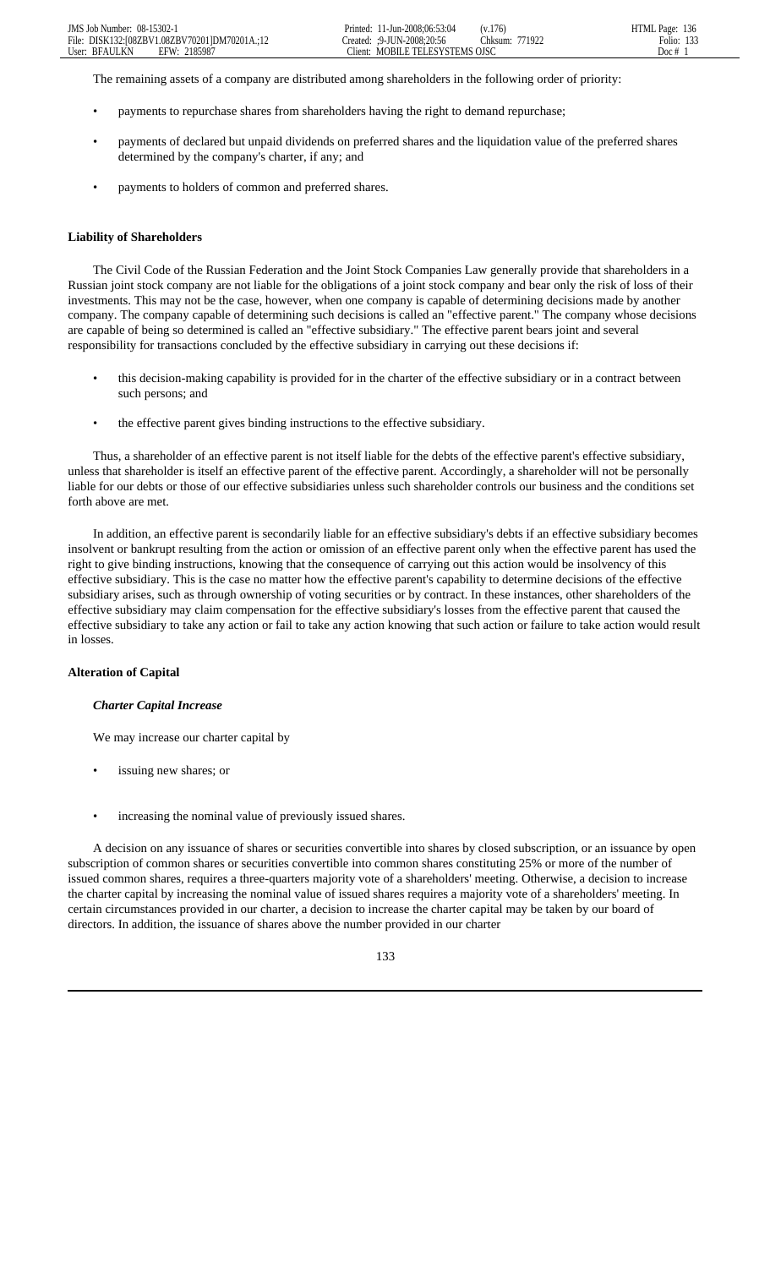The remaining assets of a company are distributed among shareholders in the following order of priority:

- payments to repurchase shares from shareholders having the right to demand repurchase;
- payments of declared but unpaid dividends on preferred shares and the liquidation value of the preferred shares determined by the company's charter, if any; and
- payments to holders of common and preferred shares.

## **Liability of Shareholders**

 The Civil Code of the Russian Federation and the Joint Stock Companies Law generally provide that shareholders in a Russian joint stock company are not liable for the obligations of a joint stock company and bear only the risk of loss of their investments. This may not be the case, however, when one company is capable of determining decisions made by another company. The company capable of determining such decisions is called an "effective parent." The company whose decisions are capable of being so determined is called an "effective subsidiary." The effective parent bears joint and several responsibility for transactions concluded by the effective subsidiary in carrying out these decisions if:

- this decision-making capability is provided for in the charter of the effective subsidiary or in a contract between such persons; and
- the effective parent gives binding instructions to the effective subsidiary.

 Thus, a shareholder of an effective parent is not itself liable for the debts of the effective parent's effective subsidiary, unless that shareholder is itself an effective parent of the effective parent. Accordingly, a shareholder will not be personally liable for our debts or those of our effective subsidiaries unless such shareholder controls our business and the conditions set forth above are met.

 In addition, an effective parent is secondarily liable for an effective subsidiary's debts if an effective subsidiary becomes insolvent or bankrupt resulting from the action or omission of an effective parent only when the effective parent has used the right to give binding instructions, knowing that the consequence of carrying out this action would be insolvency of this effective subsidiary. This is the case no matter how the effective parent's capability to determine decisions of the effective subsidiary arises, such as through ownership of voting securities or by contract. In these instances, other shareholders of the effective subsidiary may claim compensation for the effective subsidiary's losses from the effective parent that caused the effective subsidiary to take any action or fail to take any action knowing that such action or failure to take action would result in losses.

# **Alteration of Capital**

## *Charter Capital Increase*

We may increase our charter capital by

- issuing new shares; or
- increasing the nominal value of previously issued shares.

 A decision on any issuance of shares or securities convertible into shares by closed subscription, or an issuance by open subscription of common shares or securities convertible into common shares constituting 25% or more of the number of issued common shares, requires a three-quarters majority vote of a shareholders' meeting. Otherwise, a decision to increase the charter capital by increasing the nominal value of issued shares requires a majority vote of a shareholders' meeting. In certain circumstances provided in our charter, a decision to increase the charter capital may be taken by our board of directors. In addition, the issuance of shares above the number provided in our charter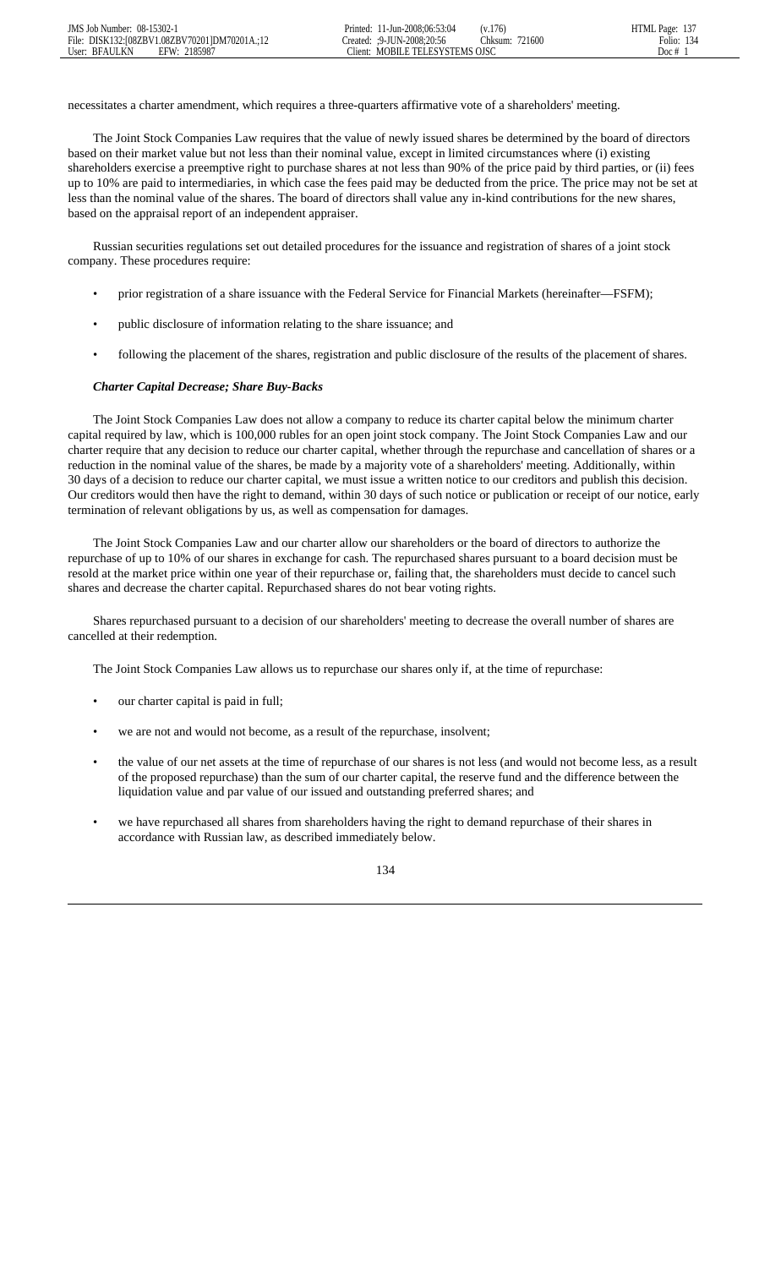necessitates a charter amendment, which requires a three-quarters affirmative vote of a shareholders' meeting.

 The Joint Stock Companies Law requires that the value of newly issued shares be determined by the board of directors based on their market value but not less than their nominal value, except in limited circumstances where (i) existing shareholders exercise a preemptive right to purchase shares at not less than 90% of the price paid by third parties, or (ii) fees up to 10% are paid to intermediaries, in which case the fees paid may be deducted from the price. The price may not be set at less than the nominal value of the shares. The board of directors shall value any in-kind contributions for the new shares, based on the appraisal report of an independent appraiser.

 Russian securities regulations set out detailed procedures for the issuance and registration of shares of a joint stock company. These procedures require:

- prior registration of a share issuance with the Federal Service for Financial Markets (hereinafter—FSFM);
- public disclosure of information relating to the share issuance; and
- following the placement of the shares, registration and public disclosure of the results of the placement of shares.

## *Charter Capital Decrease; Share Buy-Backs*

 The Joint Stock Companies Law does not allow a company to reduce its charter capital below the minimum charter capital required by law, which is 100,000 rubles for an open joint stock company. The Joint Stock Companies Law and our charter require that any decision to reduce our charter capital, whether through the repurchase and cancellation of shares or a reduction in the nominal value of the shares, be made by a majority vote of a shareholders' meeting. Additionally, within 30 days of a decision to reduce our charter capital, we must issue a written notice to our creditors and publish this decision. Our creditors would then have the right to demand, within 30 days of such notice or publication or receipt of our notice, early termination of relevant obligations by us, as well as compensation for damages.

 The Joint Stock Companies Law and our charter allow our shareholders or the board of directors to authorize the repurchase of up to 10% of our shares in exchange for cash. The repurchased shares pursuant to a board decision must be resold at the market price within one year of their repurchase or, failing that, the shareholders must decide to cancel such shares and decrease the charter capital. Repurchased shares do not bear voting rights.

 Shares repurchased pursuant to a decision of our shareholders' meeting to decrease the overall number of shares are cancelled at their redemption.

The Joint Stock Companies Law allows us to repurchase our shares only if, at the time of repurchase:

- our charter capital is paid in full;
- we are not and would not become, as a result of the repurchase, insolvent;
- the value of our net assets at the time of repurchase of our shares is not less (and would not become less, as a result of the proposed repurchase) than the sum of our charter capital, the reserve fund and the difference between the liquidation value and par value of our issued and outstanding preferred shares; and
- we have repurchased all shares from shareholders having the right to demand repurchase of their shares in accordance with Russian law, as described immediately below.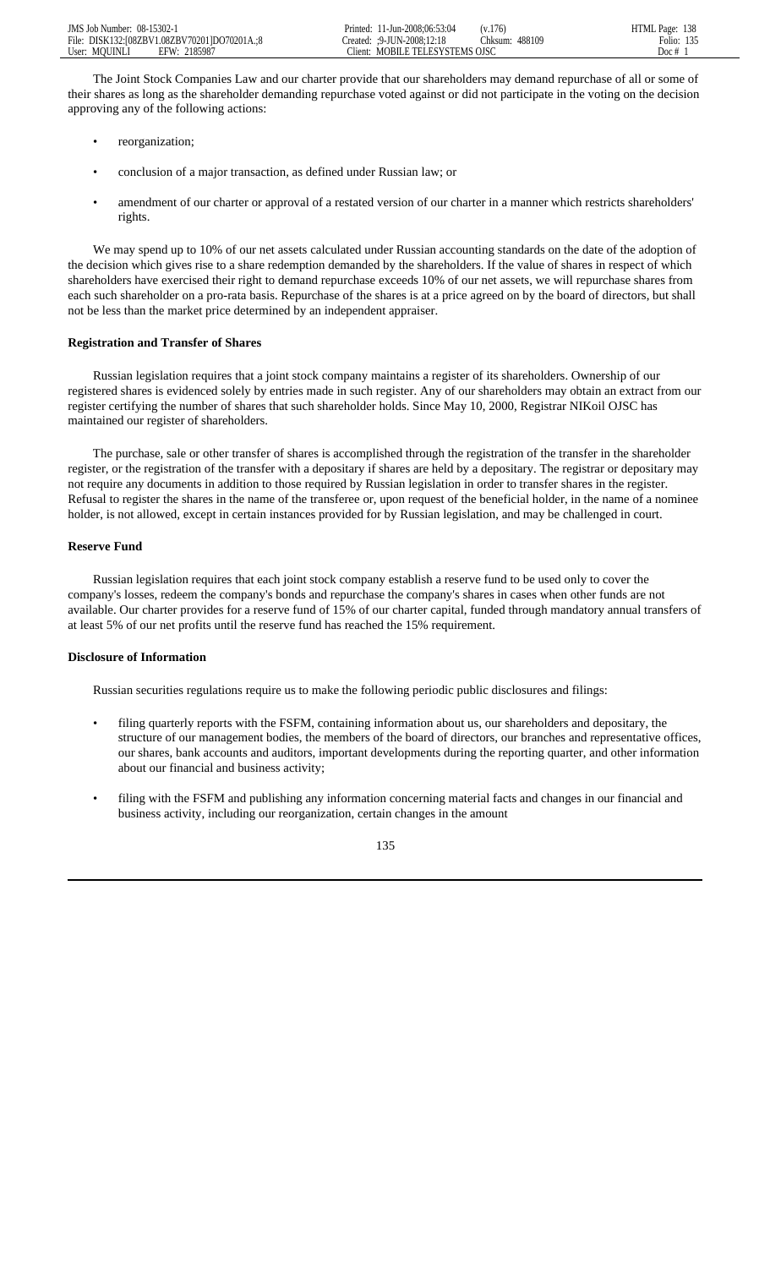The Joint Stock Companies Law and our charter provide that our shareholders may demand repurchase of all or some of their shares as long as the shareholder demanding repurchase voted against or did not participate in the voting on the decision approving any of the following actions:

- reorganization;
- conclusion of a major transaction, as defined under Russian law; or
- amendment of our charter or approval of a restated version of our charter in a manner which restricts shareholders' rights.

 We may spend up to 10% of our net assets calculated under Russian accounting standards on the date of the adoption of the decision which gives rise to a share redemption demanded by the shareholders. If the value of shares in respect of which shareholders have exercised their right to demand repurchase exceeds 10% of our net assets, we will repurchase shares from each such shareholder on a pro-rata basis. Repurchase of the shares is at a price agreed on by the board of directors, but shall not be less than the market price determined by an independent appraiser.

## **Registration and Transfer of Shares**

 Russian legislation requires that a joint stock company maintains a register of its shareholders. Ownership of our registered shares is evidenced solely by entries made in such register. Any of our shareholders may obtain an extract from our register certifying the number of shares that such shareholder holds. Since May 10, 2000, Registrar NIKoil OJSC has maintained our register of shareholders.

 The purchase, sale or other transfer of shares is accomplished through the registration of the transfer in the shareholder register, or the registration of the transfer with a depositary if shares are held by a depositary. The registrar or depositary may not require any documents in addition to those required by Russian legislation in order to transfer shares in the register. Refusal to register the shares in the name of the transferee or, upon request of the beneficial holder, in the name of a nominee holder, is not allowed, except in certain instances provided for by Russian legislation, and may be challenged in court.

# **Reserve Fund**

 Russian legislation requires that each joint stock company establish a reserve fund to be used only to cover the company's losses, redeem the company's bonds and repurchase the company's shares in cases when other funds are not available. Our charter provides for a reserve fund of 15% of our charter capital, funded through mandatory annual transfers of at least 5% of our net profits until the reserve fund has reached the 15% requirement.

## **Disclosure of Information**

Russian securities regulations require us to make the following periodic public disclosures and filings:

- filing quarterly reports with the FSFM, containing information about us, our shareholders and depositary, the structure of our management bodies, the members of the board of directors, our branches and representative offices, our shares, bank accounts and auditors, important developments during the reporting quarter, and other information about our financial and business activity;
- filing with the FSFM and publishing any information concerning material facts and changes in our financial and business activity, including our reorganization, certain changes in the amount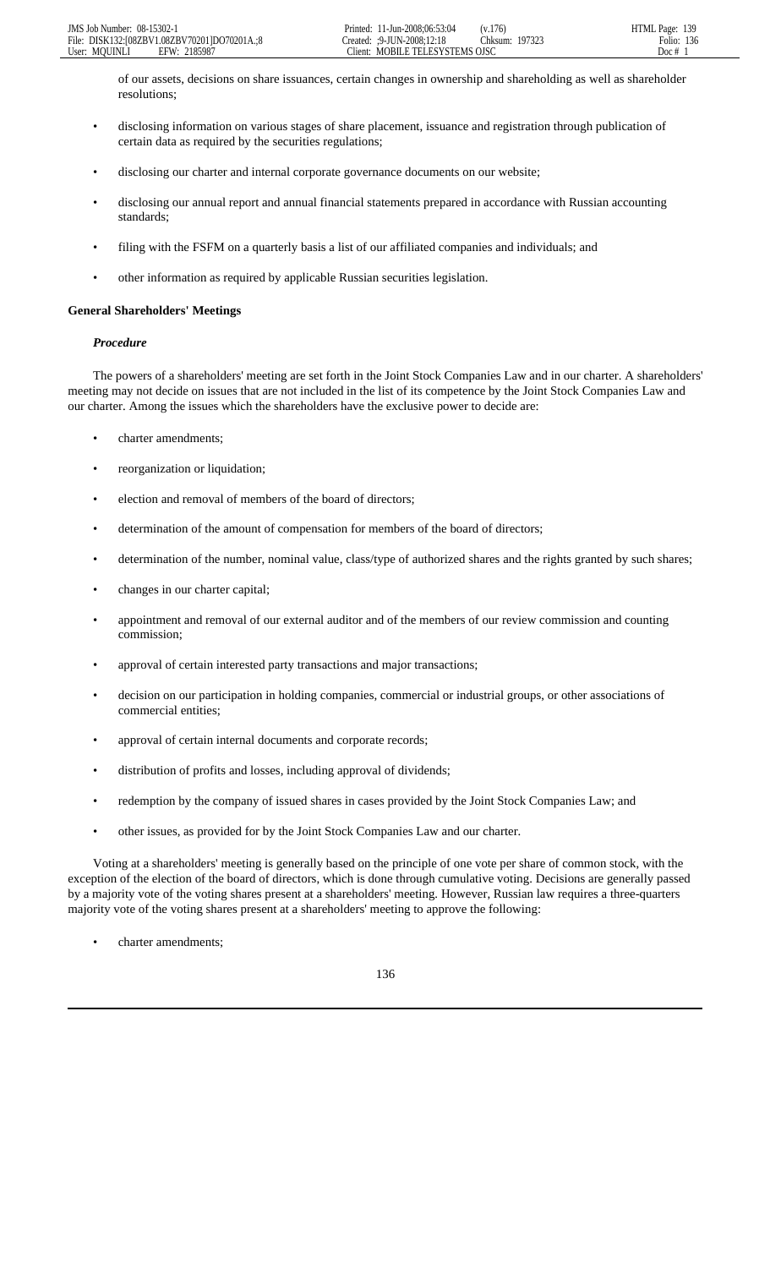of our assets, decisions on share issuances, certain changes in ownership and shareholding as well as shareholder resolutions;

- disclosing information on various stages of share placement, issuance and registration through publication of certain data as required by the securities regulations;
- disclosing our charter and internal corporate governance documents on our website;
- disclosing our annual report and annual financial statements prepared in accordance with Russian accounting standards;
- filing with the FSFM on a quarterly basis a list of our affiliated companies and individuals; and
- other information as required by applicable Russian securities legislation.

## **General Shareholders' Meetings**

## *Procedure*

 The powers of a shareholders' meeting are set forth in the Joint Stock Companies Law and in our charter. A shareholders' meeting may not decide on issues that are not included in the list of its competence by the Joint Stock Companies Law and our charter. Among the issues which the shareholders have the exclusive power to decide are:

- charter amendments;
- reorganization or liquidation;
- election and removal of members of the board of directors;
- determination of the amount of compensation for members of the board of directors;
- determination of the number, nominal value, class/type of authorized shares and the rights granted by such shares;
- changes in our charter capital;
- appointment and removal of our external auditor and of the members of our review commission and counting commission;
- approval of certain interested party transactions and major transactions;
- decision on our participation in holding companies, commercial or industrial groups, or other associations of commercial entities;
- approval of certain internal documents and corporate records;
- distribution of profits and losses, including approval of dividends;
- redemption by the company of issued shares in cases provided by the Joint Stock Companies Law; and
- other issues, as provided for by the Joint Stock Companies Law and our charter.

 Voting at a shareholders' meeting is generally based on the principle of one vote per share of common stock, with the exception of the election of the board of directors, which is done through cumulative voting. Decisions are generally passed by a majority vote of the voting shares present at a shareholders' meeting. However, Russian law requires a three-quarters majority vote of the voting shares present at a shareholders' meeting to approve the following:

charter amendments;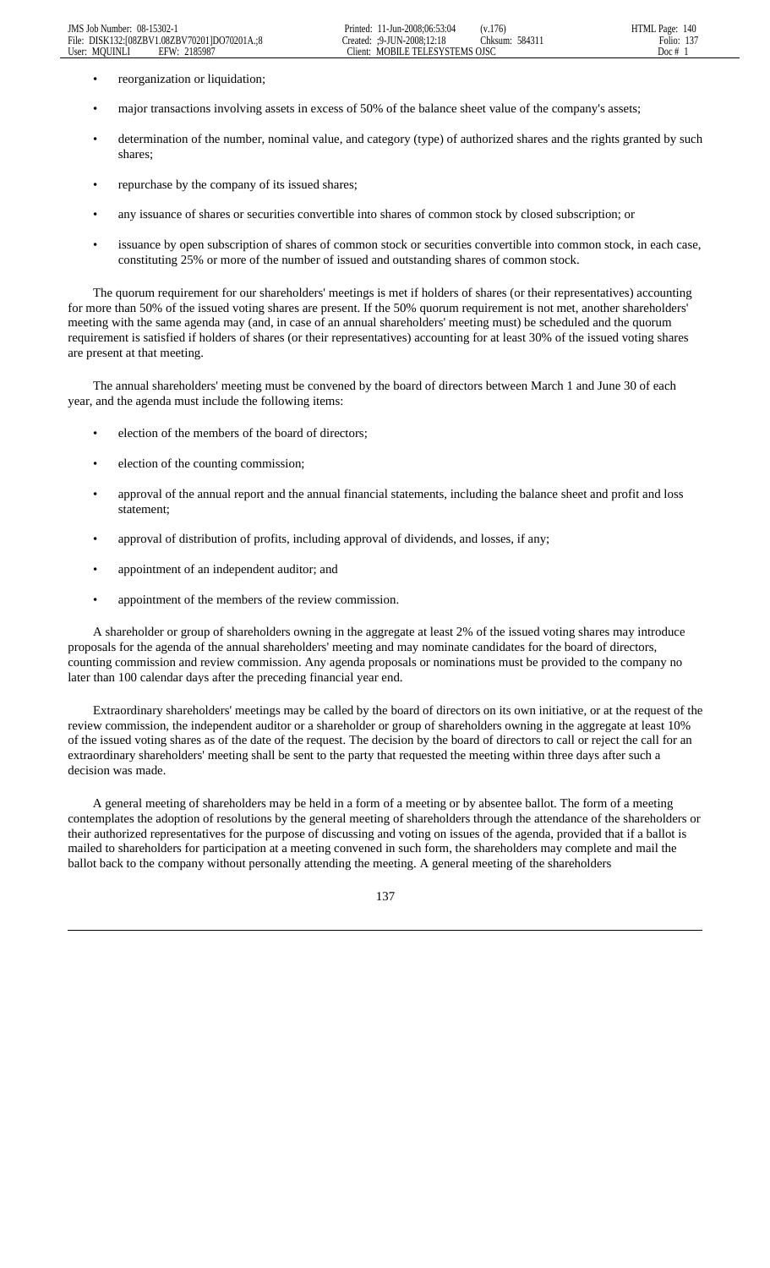- reorganization or liquidation;
- major transactions involving assets in excess of 50% of the balance sheet value of the company's assets;
- determination of the number, nominal value, and category (type) of authorized shares and the rights granted by such shares;
- repurchase by the company of its issued shares;
- any issuance of shares or securities convertible into shares of common stock by closed subscription; or
- issuance by open subscription of shares of common stock or securities convertible into common stock, in each case, constituting 25% or more of the number of issued and outstanding shares of common stock.

 The quorum requirement for our shareholders' meetings is met if holders of shares (or their representatives) accounting for more than 50% of the issued voting shares are present. If the 50% quorum requirement is not met, another shareholders' meeting with the same agenda may (and, in case of an annual shareholders' meeting must) be scheduled and the quorum requirement is satisfied if holders of shares (or their representatives) accounting for at least 30% of the issued voting shares are present at that meeting.

 The annual shareholders' meeting must be convened by the board of directors between March 1 and June 30 of each year, and the agenda must include the following items:

- election of the members of the board of directors;
- election of the counting commission;
- approval of the annual report and the annual financial statements, including the balance sheet and profit and loss statement;
- approval of distribution of profits, including approval of dividends, and losses, if any;
- appointment of an independent auditor; and
- appointment of the members of the review commission.

 A shareholder or group of shareholders owning in the aggregate at least 2% of the issued voting shares may introduce proposals for the agenda of the annual shareholders' meeting and may nominate candidates for the board of directors, counting commission and review commission. Any agenda proposals or nominations must be provided to the company no later than 100 calendar days after the preceding financial year end.

 Extraordinary shareholders' meetings may be called by the board of directors on its own initiative, or at the request of the review commission, the independent auditor or a shareholder or group of shareholders owning in the aggregate at least 10% of the issued voting shares as of the date of the request. The decision by the board of directors to call or reject the call for an extraordinary shareholders' meeting shall be sent to the party that requested the meeting within three days after such a decision was made.

 A general meeting of shareholders may be held in a form of a meeting or by absentee ballot. The form of a meeting contemplates the adoption of resolutions by the general meeting of shareholders through the attendance of the shareholders or their authorized representatives for the purpose of discussing and voting on issues of the agenda, provided that if a ballot is mailed to shareholders for participation at a meeting convened in such form, the shareholders may complete and mail the ballot back to the company without personally attending the meeting. A general meeting of the shareholders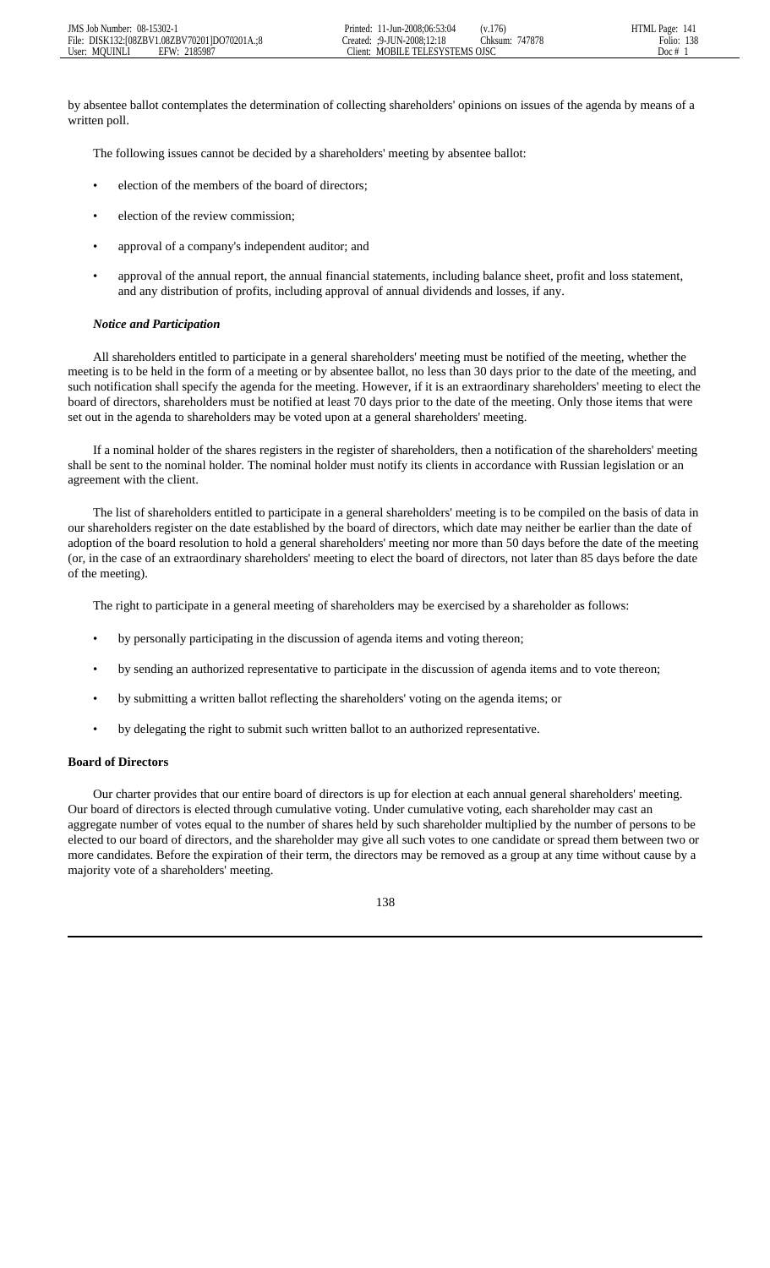by absentee ballot contemplates the determination of collecting shareholders' opinions on issues of the agenda by means of a written poll.

The following issues cannot be decided by a shareholders' meeting by absentee ballot:

- election of the members of the board of directors;
- election of the review commission;
- approval of a company's independent auditor; and
- approval of the annual report, the annual financial statements, including balance sheet, profit and loss statement, and any distribution of profits, including approval of annual dividends and losses, if any.

# *Notice and Participation*

 All shareholders entitled to participate in a general shareholders' meeting must be notified of the meeting, whether the meeting is to be held in the form of a meeting or by absentee ballot, no less than 30 days prior to the date of the meeting, and such notification shall specify the agenda for the meeting. However, if it is an extraordinary shareholders' meeting to elect the board of directors, shareholders must be notified at least 70 days prior to the date of the meeting. Only those items that were set out in the agenda to shareholders may be voted upon at a general shareholders' meeting.

 If a nominal holder of the shares registers in the register of shareholders, then a notification of the shareholders' meeting shall be sent to the nominal holder. The nominal holder must notify its clients in accordance with Russian legislation or an agreement with the client.

 The list of shareholders entitled to participate in a general shareholders' meeting is to be compiled on the basis of data in our shareholders register on the date established by the board of directors, which date may neither be earlier than the date of adoption of the board resolution to hold a general shareholders' meeting nor more than 50 days before the date of the meeting (or, in the case of an extraordinary shareholders' meeting to elect the board of directors, not later than 85 days before the date of the meeting).

The right to participate in a general meeting of shareholders may be exercised by a shareholder as follows:

- by personally participating in the discussion of agenda items and voting thereon;
- by sending an authorized representative to participate in the discussion of agenda items and to vote thereon;
- by submitting a written ballot reflecting the shareholders' voting on the agenda items; or
- by delegating the right to submit such written ballot to an authorized representative.

#### **Board of Directors**

 Our charter provides that our entire board of directors is up for election at each annual general shareholders' meeting. Our board of directors is elected through cumulative voting. Under cumulative voting, each shareholder may cast an aggregate number of votes equal to the number of shares held by such shareholder multiplied by the number of persons to be elected to our board of directors, and the shareholder may give all such votes to one candidate or spread them between two or more candidates. Before the expiration of their term, the directors may be removed as a group at any time without cause by a majority vote of a shareholders' meeting.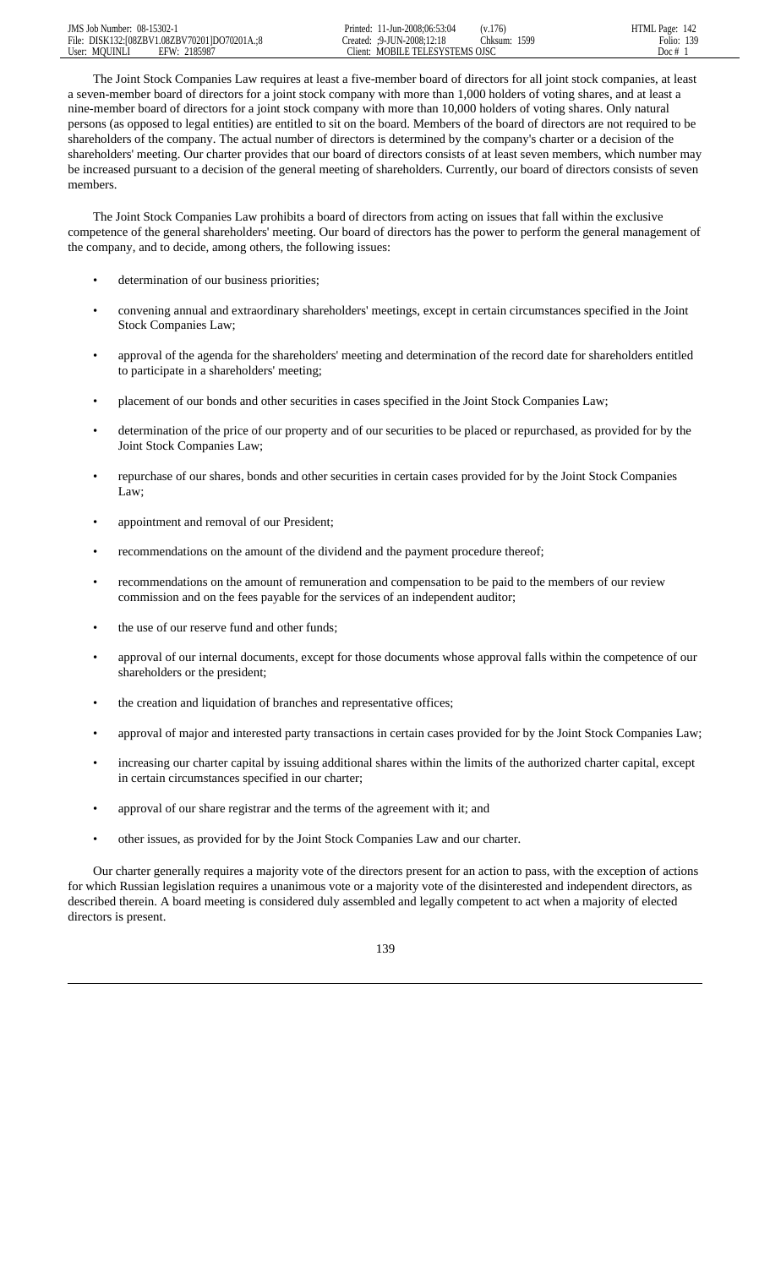The Joint Stock Companies Law requires at least a five-member board of directors for all joint stock companies, at least a seven-member board of directors for a joint stock company with more than 1,000 holders of voting shares, and at least a nine-member board of directors for a joint stock company with more than 10,000 holders of voting shares. Only natural persons (as opposed to legal entities) are entitled to sit on the board. Members of the board of directors are not required to be shareholders of the company. The actual number of directors is determined by the company's charter or a decision of the shareholders' meeting. Our charter provides that our board of directors consists of at least seven members, which number may be increased pursuant to a decision of the general meeting of shareholders. Currently, our board of directors consists of seven members.

 The Joint Stock Companies Law prohibits a board of directors from acting on issues that fall within the exclusive competence of the general shareholders' meeting. Our board of directors has the power to perform the general management of the company, and to decide, among others, the following issues:

- determination of our business priorities;
- convening annual and extraordinary shareholders' meetings, except in certain circumstances specified in the Joint Stock Companies Law;
- approval of the agenda for the shareholders' meeting and determination of the record date for shareholders entitled to participate in a shareholders' meeting;
- placement of our bonds and other securities in cases specified in the Joint Stock Companies Law;
- determination of the price of our property and of our securities to be placed or repurchased, as provided for by the Joint Stock Companies Law;
- repurchase of our shares, bonds and other securities in certain cases provided for by the Joint Stock Companies Law;
- appointment and removal of our President;
- recommendations on the amount of the dividend and the payment procedure thereof;
- recommendations on the amount of remuneration and compensation to be paid to the members of our review commission and on the fees payable for the services of an independent auditor;
- the use of our reserve fund and other funds;
- approval of our internal documents, except for those documents whose approval falls within the competence of our shareholders or the president;
- the creation and liquidation of branches and representative offices;
- approval of major and interested party transactions in certain cases provided for by the Joint Stock Companies Law;
- increasing our charter capital by issuing additional shares within the limits of the authorized charter capital, except in certain circumstances specified in our charter;
- approval of our share registrar and the terms of the agreement with it; and
- other issues, as provided for by the Joint Stock Companies Law and our charter.

 Our charter generally requires a majority vote of the directors present for an action to pass, with the exception of actions for which Russian legislation requires a unanimous vote or a majority vote of the disinterested and independent directors, as described therein. A board meeting is considered duly assembled and legally competent to act when a majority of elected directors is present.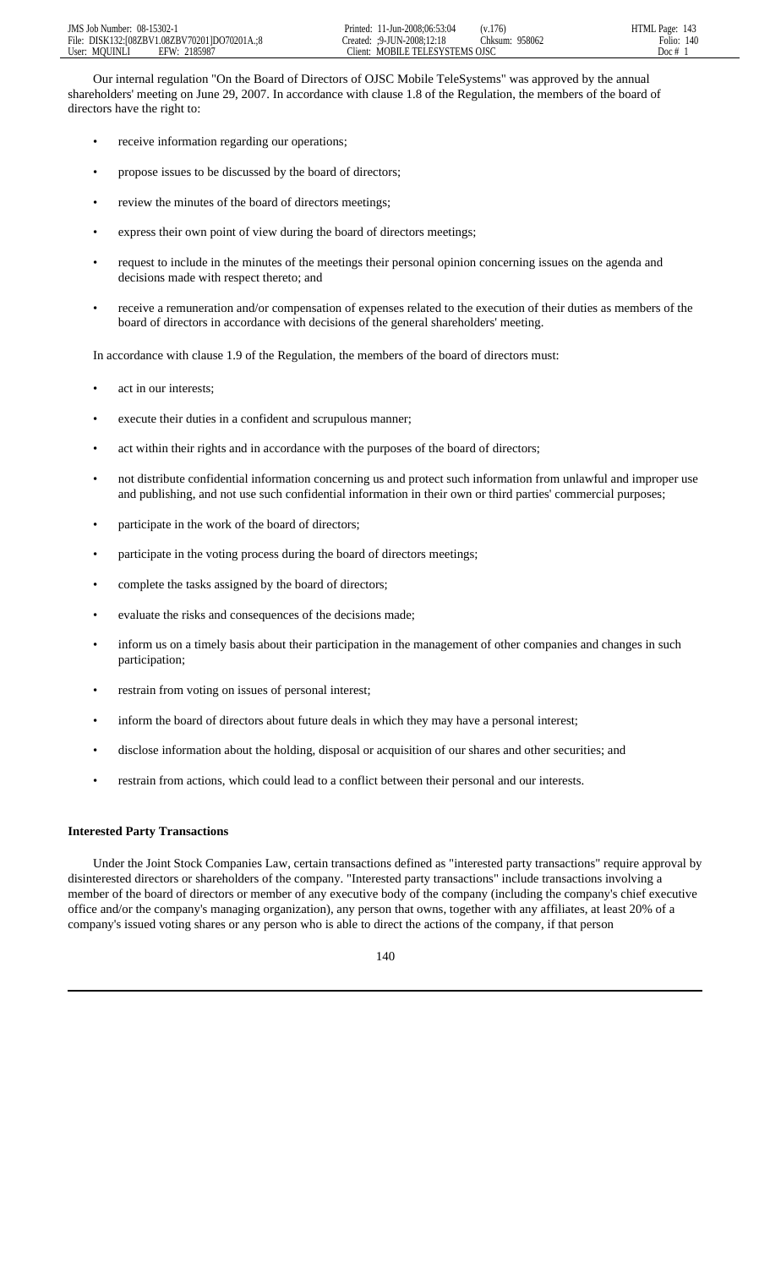Our internal regulation "On the Board of Directors of OJSC Mobile TeleSystems" was approved by the annual shareholders' meeting on June 29, 2007. In accordance with clause 1.8 of the Regulation, the members of the board of directors have the right to:

- receive information regarding our operations;
- propose issues to be discussed by the board of directors;
- review the minutes of the board of directors meetings;
- express their own point of view during the board of directors meetings;
- request to include in the minutes of the meetings their personal opinion concerning issues on the agenda and decisions made with respect thereto; and
- receive a remuneration and/or compensation of expenses related to the execution of their duties as members of the board of directors in accordance with decisions of the general shareholders' meeting.

In accordance with clause 1.9 of the Regulation, the members of the board of directors must:

- act in our interests;
- execute their duties in a confident and scrupulous manner;
- act within their rights and in accordance with the purposes of the board of directors;
- not distribute confidential information concerning us and protect such information from unlawful and improper use and publishing, and not use such confidential information in their own or third parties' commercial purposes;
- participate in the work of the board of directors;
- participate in the voting process during the board of directors meetings;
- complete the tasks assigned by the board of directors;
- evaluate the risks and consequences of the decisions made;
- inform us on a timely basis about their participation in the management of other companies and changes in such participation;
- restrain from voting on issues of personal interest;
- inform the board of directors about future deals in which they may have a personal interest;
- disclose information about the holding, disposal or acquisition of our shares and other securities; and
- restrain from actions, which could lead to a conflict between their personal and our interests.

# **Interested Party Transactions**

 Under the Joint Stock Companies Law, certain transactions defined as "interested party transactions" require approval by disinterested directors or shareholders of the company. "Interested party transactions" include transactions involving a member of the board of directors or member of any executive body of the company (including the company's chief executive office and/or the company's managing organization), any person that owns, together with any affiliates, at least 20% of a company's issued voting shares or any person who is able to direct the actions of the company, if that person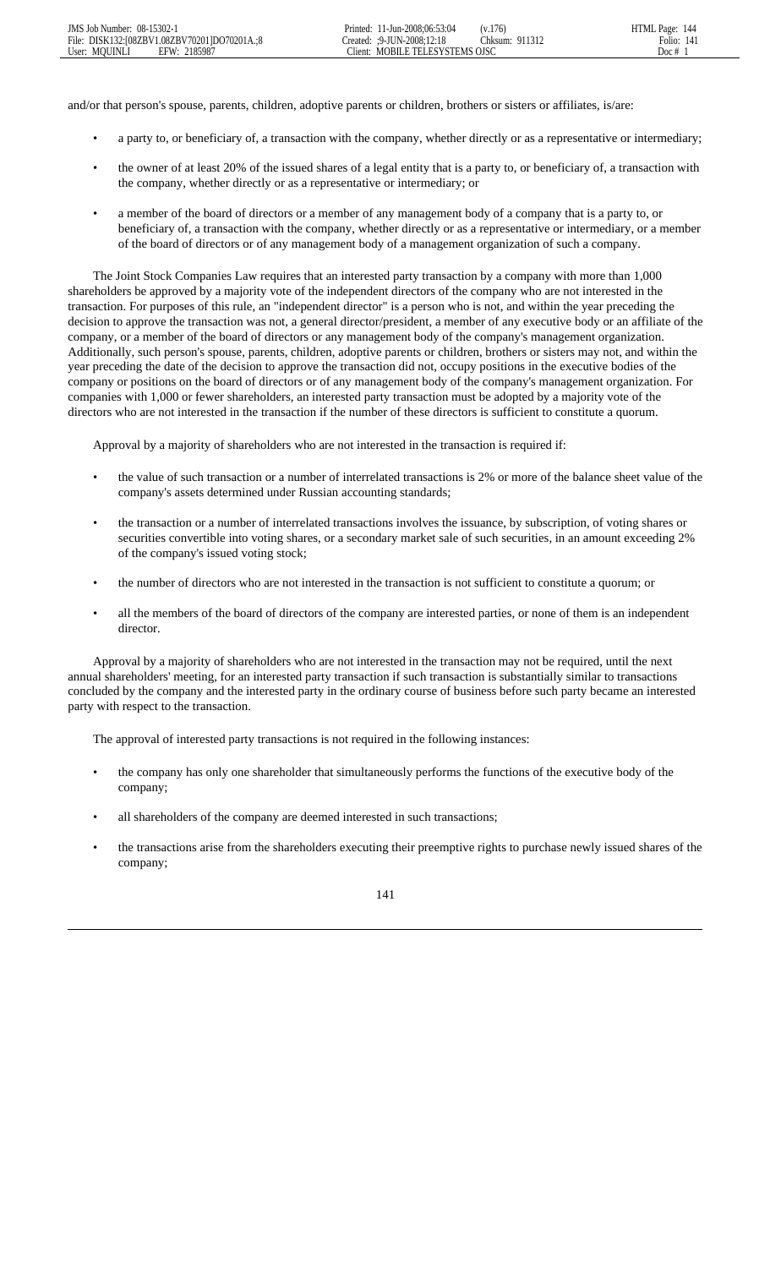and/or that person's spouse, parents, children, adoptive parents or children, brothers or sisters or affiliates, is/are:

- a party to, or beneficiary of, a transaction with the company, whether directly or as a representative or intermediary;
- the owner of at least 20% of the issued shares of a legal entity that is a party to, or beneficiary of, a transaction with the company, whether directly or as a representative or intermediary; or
- a member of the board of directors or a member of any management body of a company that is a party to, or beneficiary of, a transaction with the company, whether directly or as a representative or intermediary, or a member of the board of directors or of any management body of a management organization of such a company.

 The Joint Stock Companies Law requires that an interested party transaction by a company with more than 1,000 shareholders be approved by a majority vote of the independent directors of the company who are not interested in the transaction. For purposes of this rule, an "independent director" is a person who is not, and within the year preceding the decision to approve the transaction was not, a general director/president, a member of any executive body or an affiliate of the company, or a member of the board of directors or any management body of the company's management organization. Additionally, such person's spouse, parents, children, adoptive parents or children, brothers or sisters may not, and within the year preceding the date of the decision to approve the transaction did not, occupy positions in the executive bodies of the company or positions on the board of directors or of any management body of the company's management organization. For companies with 1,000 or fewer shareholders, an interested party transaction must be adopted by a majority vote of the directors who are not interested in the transaction if the number of these directors is sufficient to constitute a quorum.

Approval by a majority of shareholders who are not interested in the transaction is required if:

- the value of such transaction or a number of interrelated transactions is 2% or more of the balance sheet value of the company's assets determined under Russian accounting standards;
- the transaction or a number of interrelated transactions involves the issuance, by subscription, of voting shares or securities convertible into voting shares, or a secondary market sale of such securities, in an amount exceeding 2% of the company's issued voting stock;
- the number of directors who are not interested in the transaction is not sufficient to constitute a quorum; or
- all the members of the board of directors of the company are interested parties, or none of them is an independent director.

 Approval by a majority of shareholders who are not interested in the transaction may not be required, until the next annual shareholders' meeting, for an interested party transaction if such transaction is substantially similar to transactions concluded by the company and the interested party in the ordinary course of business before such party became an interested party with respect to the transaction.

The approval of interested party transactions is not required in the following instances:

- the company has only one shareholder that simultaneously performs the functions of the executive body of the company;
- all shareholders of the company are deemed interested in such transactions;
- the transactions arise from the shareholders executing their preemptive rights to purchase newly issued shares of the company;

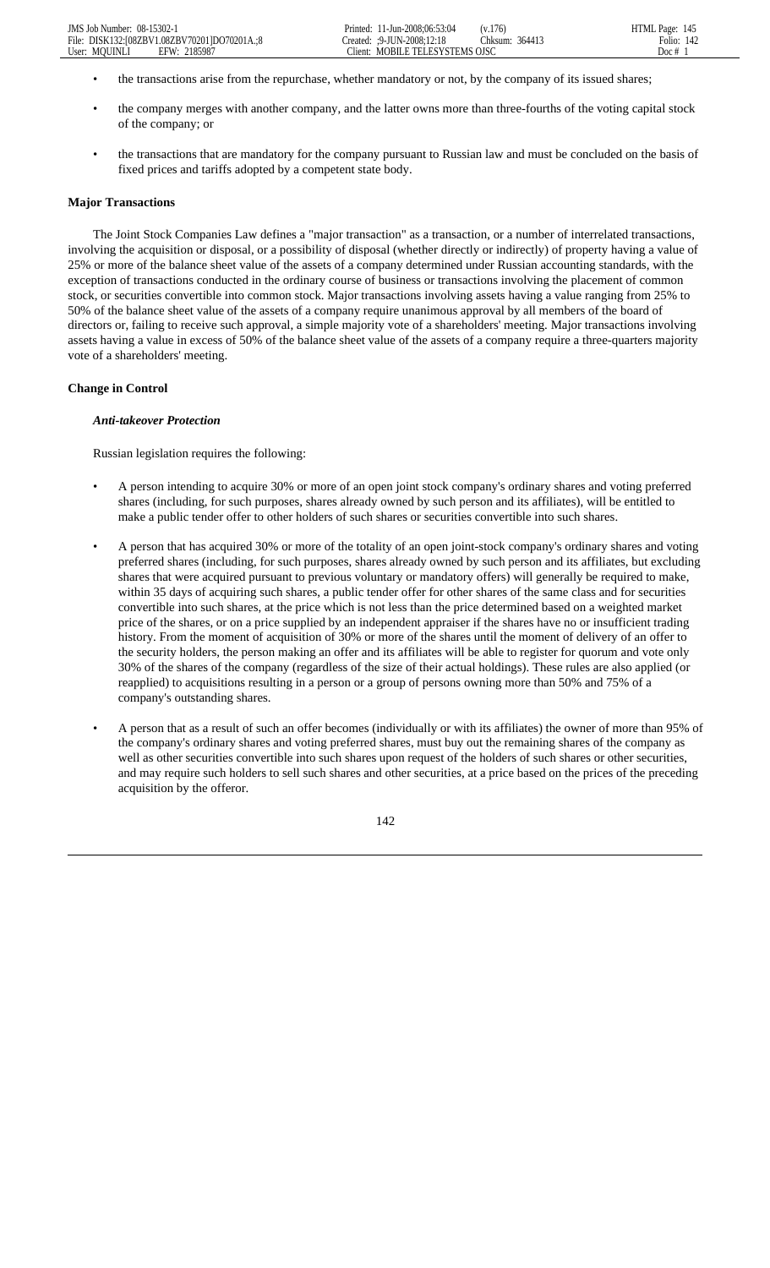- the transactions arise from the repurchase, whether mandatory or not, by the company of its issued shares;
- the company merges with another company, and the latter owns more than three-fourths of the voting capital stock of the company; or
- the transactions that are mandatory for the company pursuant to Russian law and must be concluded on the basis of fixed prices and tariffs adopted by a competent state body.

# **Major Transactions**

 The Joint Stock Companies Law defines a "major transaction" as a transaction, or a number of interrelated transactions, involving the acquisition or disposal, or a possibility of disposal (whether directly or indirectly) of property having a value of 25% or more of the balance sheet value of the assets of a company determined under Russian accounting standards, with the exception of transactions conducted in the ordinary course of business or transactions involving the placement of common stock, or securities convertible into common stock. Major transactions involving assets having a value ranging from 25% to 50% of the balance sheet value of the assets of a company require unanimous approval by all members of the board of directors or, failing to receive such approval, a simple majority vote of a shareholders' meeting. Major transactions involving assets having a value in excess of 50% of the balance sheet value of the assets of a company require a three-quarters majority vote of a shareholders' meeting.

# **Change in Control**

# *Anti-takeover Protection*

Russian legislation requires the following:

- A person intending to acquire 30% or more of an open joint stock company's ordinary shares and voting preferred shares (including, for such purposes, shares already owned by such person and its affiliates), will be entitled to make a public tender offer to other holders of such shares or securities convertible into such shares.
- A person that has acquired 30% or more of the totality of an open joint-stock company's ordinary shares and voting preferred shares (including, for such purposes, shares already owned by such person and its affiliates, but excluding shares that were acquired pursuant to previous voluntary or mandatory offers) will generally be required to make, within 35 days of acquiring such shares, a public tender offer for other shares of the same class and for securities convertible into such shares, at the price which is not less than the price determined based on a weighted market price of the shares, or on a price supplied by an independent appraiser if the shares have no or insufficient trading history. From the moment of acquisition of 30% or more of the shares until the moment of delivery of an offer to the security holders, the person making an offer and its affiliates will be able to register for quorum and vote only 30% of the shares of the company (regardless of the size of their actual holdings). These rules are also applied (or reapplied) to acquisitions resulting in a person or a group of persons owning more than 50% and 75% of a company's outstanding shares.
- A person that as a result of such an offer becomes (individually or with its affiliates) the owner of more than 95% of the company's ordinary shares and voting preferred shares, must buy out the remaining shares of the company as well as other securities convertible into such shares upon request of the holders of such shares or other securities, and may require such holders to sell such shares and other securities, at a price based on the prices of the preceding acquisition by the offeror.

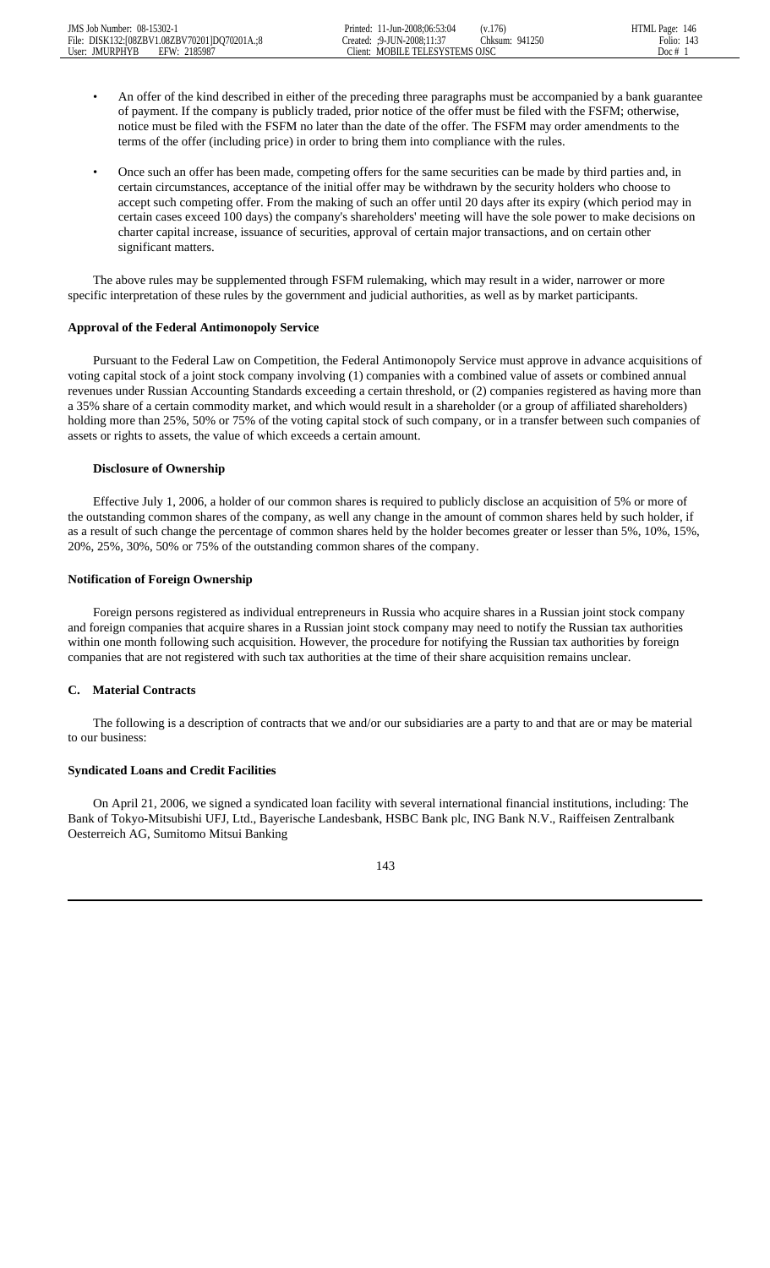- An offer of the kind described in either of the preceding three paragraphs must be accompanied by a bank guarantee of payment. If the company is publicly traded, prior notice of the offer must be filed with the FSFM; otherwise, notice must be filed with the FSFM no later than the date of the offer. The FSFM may order amendments to the terms of the offer (including price) in order to bring them into compliance with the rules.
- Once such an offer has been made, competing offers for the same securities can be made by third parties and, in certain circumstances, acceptance of the initial offer may be withdrawn by the security holders who choose to accept such competing offer. From the making of such an offer until 20 days after its expiry (which period may in certain cases exceed 100 days) the company's shareholders' meeting will have the sole power to make decisions on charter capital increase, issuance of securities, approval of certain major transactions, and on certain other significant matters.

 The above rules may be supplemented through FSFM rulemaking, which may result in a wider, narrower or more specific interpretation of these rules by the government and judicial authorities, as well as by market participants.

## **Approval of the Federal Antimonopoly Service**

 Pursuant to the Federal Law on Competition, the Federal Antimonopoly Service must approve in advance acquisitions of voting capital stock of a joint stock company involving (1) companies with a combined value of assets or combined annual revenues under Russian Accounting Standards exceeding a certain threshold, or (2) companies registered as having more than a 35% share of a certain commodity market, and which would result in a shareholder (or a group of affiliated shareholders) holding more than 25%, 50% or 75% of the voting capital stock of such company, or in a transfer between such companies of assets or rights to assets, the value of which exceeds a certain amount.

## **Disclosure of Ownership**

 Effective July 1, 2006, a holder of our common shares is required to publicly disclose an acquisition of 5% or more of the outstanding common shares of the company, as well any change in the amount of common shares held by such holder, if as a result of such change the percentage of common shares held by the holder becomes greater or lesser than 5%, 10%, 15%, 20%, 25%, 30%, 50% or 75% of the outstanding common shares of the company.

#### **Notification of Foreign Ownership**

 Foreign persons registered as individual entrepreneurs in Russia who acquire shares in a Russian joint stock company and foreign companies that acquire shares in a Russian joint stock company may need to notify the Russian tax authorities within one month following such acquisition. However, the procedure for notifying the Russian tax authorities by foreign companies that are not registered with such tax authorities at the time of their share acquisition remains unclear.

## **C. Material Contracts**

 The following is a description of contracts that we and/or our subsidiaries are a party to and that are or may be material to our business:

# **Syndicated Loans and Credit Facilities**

 On April 21, 2006, we signed a syndicated loan facility with several international financial institutions, including: The Bank of Tokyo-Mitsubishi UFJ, Ltd., Bayerische Landesbank, HSBC Bank plc, ING Bank N.V., Raiffeisen Zentralbank Oesterreich AG, Sumitomo Mitsui Banking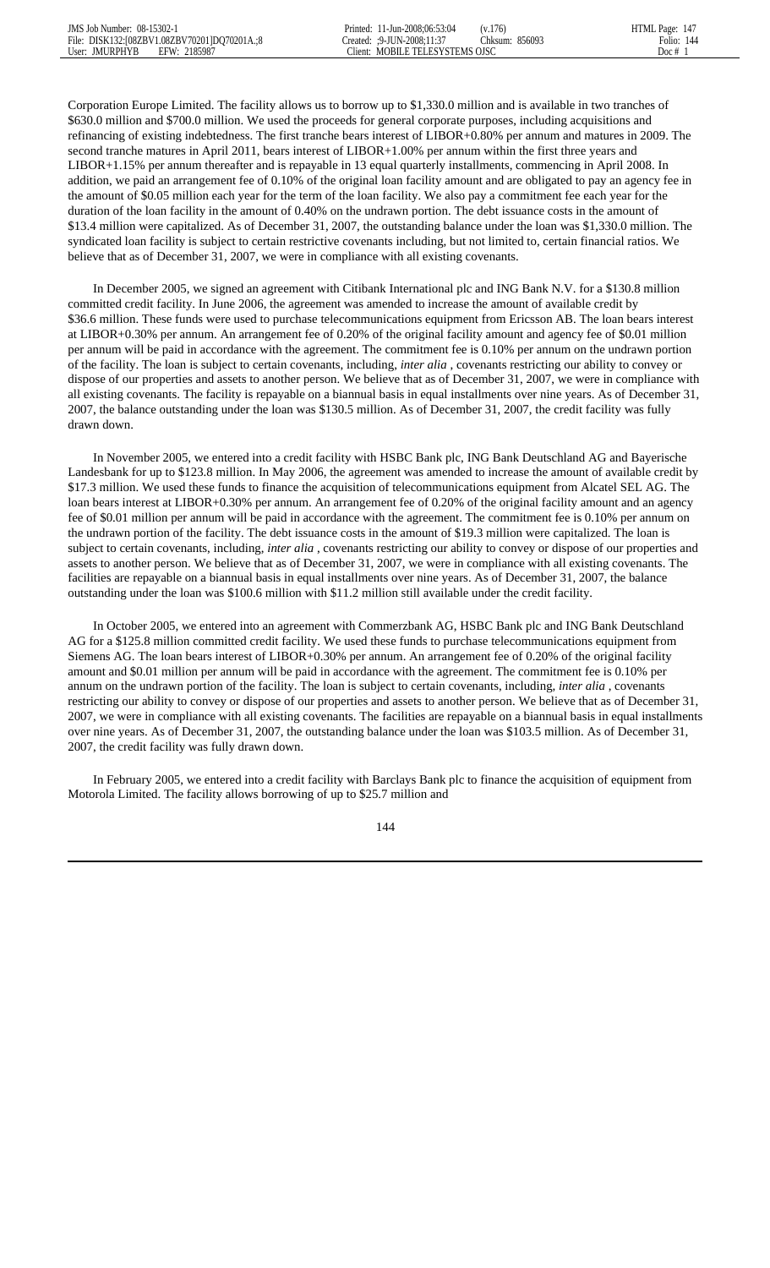Corporation Europe Limited. The facility allows us to borrow up to \$1,330.0 million and is available in two tranches of \$630.0 million and \$700.0 million. We used the proceeds for general corporate purposes, including acquisitions and refinancing of existing indebtedness. The first tranche bears interest of LIBOR+0.80% per annum and matures in 2009. The second tranche matures in April 2011, bears interest of LIBOR+1.00% per annum within the first three years and LIBOR+1.15% per annum thereafter and is repayable in 13 equal quarterly installments, commencing in April 2008. In addition, we paid an arrangement fee of 0.10% of the original loan facility amount and are obligated to pay an agency fee in the amount of \$0.05 million each year for the term of the loan facility. We also pay a commitment fee each year for the duration of the loan facility in the amount of 0.40% on the undrawn portion. The debt issuance costs in the amount of \$13.4 million were capitalized. As of December 31, 2007, the outstanding balance under the loan was \$1,330.0 million. The syndicated loan facility is subject to certain restrictive covenants including, but not limited to, certain financial ratios. We believe that as of December 31, 2007, we were in compliance with all existing covenants.

 In December 2005, we signed an agreement with Citibank International plc and ING Bank N.V. for a \$130.8 million committed credit facility. In June 2006, the agreement was amended to increase the amount of available credit by \$36.6 million. These funds were used to purchase telecommunications equipment from Ericsson AB. The loan bears interest at LIBOR+0.30% per annum. An arrangement fee of 0.20% of the original facility amount and agency fee of \$0.01 million per annum will be paid in accordance with the agreement. The commitment fee is 0.10% per annum on the undrawn portion of the facility. The loan is subject to certain covenants, including, *inter alia* , covenants restricting our ability to convey or dispose of our properties and assets to another person. We believe that as of December 31, 2007, we were in compliance with all existing covenants. The facility is repayable on a biannual basis in equal installments over nine years. As of December 31, 2007, the balance outstanding under the loan was \$130.5 million. As of December 31, 2007, the credit facility was fully drawn down.

 In November 2005, we entered into a credit facility with HSBC Bank plc, ING Bank Deutschland AG and Bayerische Landesbank for up to \$123.8 million. In May 2006, the agreement was amended to increase the amount of available credit by \$17.3 million. We used these funds to finance the acquisition of telecommunications equipment from Alcatel SEL AG. The loan bears interest at LIBOR+0.30% per annum. An arrangement fee of 0.20% of the original facility amount and an agency fee of \$0.01 million per annum will be paid in accordance with the agreement. The commitment fee is 0.10% per annum on the undrawn portion of the facility. The debt issuance costs in the amount of \$19.3 million were capitalized. The loan is subject to certain covenants, including, *inter alia* , covenants restricting our ability to convey or dispose of our properties and assets to another person. We believe that as of December 31, 2007, we were in compliance with all existing covenants. The facilities are repayable on a biannual basis in equal installments over nine years. As of December 31, 2007, the balance outstanding under the loan was \$100.6 million with \$11.2 million still available under the credit facility.

 In October 2005, we entered into an agreement with Commerzbank AG, HSBC Bank plc and ING Bank Deutschland AG for a \$125.8 million committed credit facility. We used these funds to purchase telecommunications equipment from Siemens AG. The loan bears interest of LIBOR+0.30% per annum. An arrangement fee of 0.20% of the original facility amount and \$0.01 million per annum will be paid in accordance with the agreement. The commitment fee is 0.10% per annum on the undrawn portion of the facility. The loan is subject to certain covenants, including, *inter alia* , covenants restricting our ability to convey or dispose of our properties and assets to another person. We believe that as of December 31, 2007, we were in compliance with all existing covenants. The facilities are repayable on a biannual basis in equal installments over nine years. As of December 31, 2007, the outstanding balance under the loan was \$103.5 million. As of December 31, 2007, the credit facility was fully drawn down.

 In February 2005, we entered into a credit facility with Barclays Bank plc to finance the acquisition of equipment from Motorola Limited. The facility allows borrowing of up to \$25.7 million and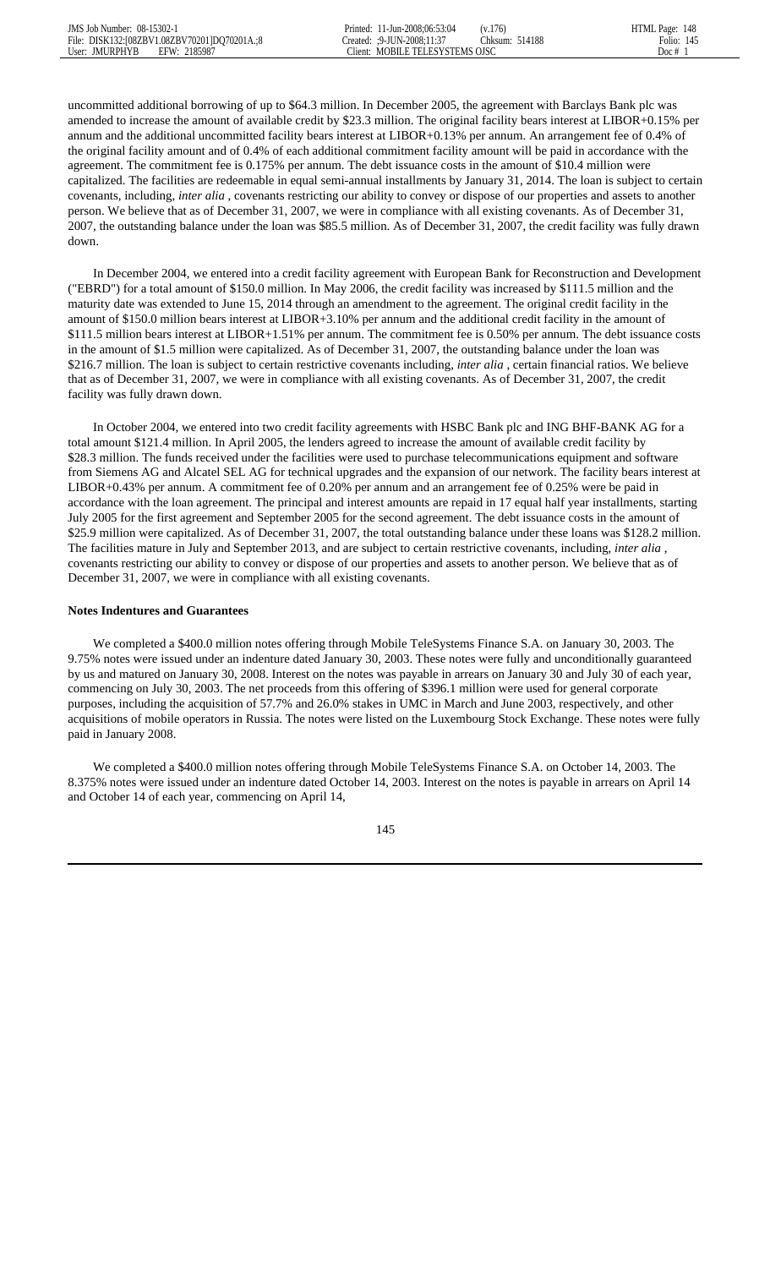uncommitted additional borrowing of up to \$64.3 million. In December 2005, the agreement with Barclays Bank plc was amended to increase the amount of available credit by \$23.3 million. The original facility bears interest at LIBOR+0.15% per annum and the additional uncommitted facility bears interest at LIBOR+0.13% per annum. An arrangement fee of 0.4% of the original facility amount and of 0.4% of each additional commitment facility amount will be paid in accordance with the agreement. The commitment fee is 0.175% per annum. The debt issuance costs in the amount of \$10.4 million were capitalized. The facilities are redeemable in equal semi-annual installments by January 31, 2014. The loan is subject to certain covenants, including, *inter alia* , covenants restricting our ability to convey or dispose of our properties and assets to another person. We believe that as of December 31, 2007, we were in compliance with all existing covenants. As of December 31, 2007, the outstanding balance under the loan was \$85.5 million. As of December 31, 2007, the credit facility was fully drawn down.

 In December 2004, we entered into a credit facility agreement with European Bank for Reconstruction and Development ("EBRD") for a total amount of \$150.0 million. In May 2006, the credit facility was increased by \$111.5 million and the maturity date was extended to June 15, 2014 through an amendment to the agreement. The original credit facility in the amount of \$150.0 million bears interest at LIBOR+3.10% per annum and the additional credit facility in the amount of \$111.5 million bears interest at LIBOR+1.51% per annum. The commitment fee is 0.50% per annum. The debt issuance costs in the amount of \$1.5 million were capitalized. As of December 31, 2007, the outstanding balance under the loan was \$216.7 million. The loan is subject to certain restrictive covenants including, *inter alia* , certain financial ratios. We believe that as of December 31, 2007, we were in compliance with all existing covenants. As of December 31, 2007, the credit facility was fully drawn down.

 In October 2004, we entered into two credit facility agreements with HSBC Bank plc and ING BHF-BANK AG for a total amount \$121.4 million. In April 2005, the lenders agreed to increase the amount of available credit facility by \$28.3 million. The funds received under the facilities were used to purchase telecommunications equipment and software from Siemens AG and Alcatel SEL AG for technical upgrades and the expansion of our network. The facility bears interest at LIBOR+0.43% per annum. A commitment fee of 0.20% per annum and an arrangement fee of 0.25% were be paid in accordance with the loan agreement. The principal and interest amounts are repaid in 17 equal half year installments, starting July 2005 for the first agreement and September 2005 for the second agreement. The debt issuance costs in the amount of \$25.9 million were capitalized. As of December 31, 2007, the total outstanding balance under these loans was \$128.2 million. The facilities mature in July and September 2013, and are subject to certain restrictive covenants, including, *inter alia* , covenants restricting our ability to convey or dispose of our properties and assets to another person. We believe that as of December 31, 2007, we were in compliance with all existing covenants.

## **Notes Indentures and Guarantees**

 We completed a \$400.0 million notes offering through Mobile TeleSystems Finance S.A. on January 30, 2003. The 9.75% notes were issued under an indenture dated January 30, 2003. These notes were fully and unconditionally guaranteed by us and matured on January 30, 2008. Interest on the notes was payable in arrears on January 30 and July 30 of each year, commencing on July 30, 2003. The net proceeds from this offering of \$396.1 million were used for general corporate purposes, including the acquisition of 57.7% and 26.0% stakes in UMC in March and June 2003, respectively, and other acquisitions of mobile operators in Russia. The notes were listed on the Luxembourg Stock Exchange. These notes were fully paid in January 2008.

We completed a \$400.0 million notes offering through Mobile TeleSystems Finance S.A. on October 14, 2003. The 8.375% notes were issued under an indenture dated October 14, 2003. Interest on the notes is payable in arrears on April 14 and October 14 of each year, commencing on April 14,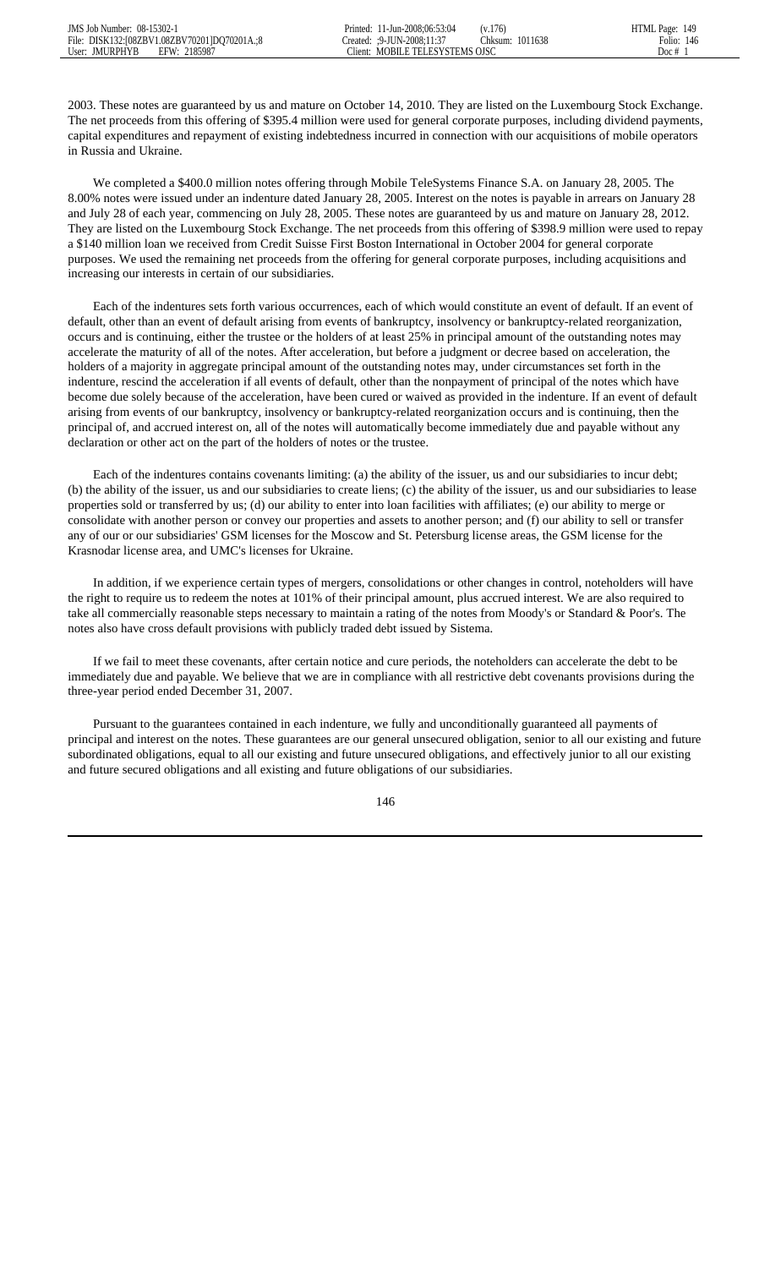2003. These notes are guaranteed by us and mature on October 14, 2010. They are listed on the Luxembourg Stock Exchange. The net proceeds from this offering of \$395.4 million were used for general corporate purposes, including dividend payments, capital expenditures and repayment of existing indebtedness incurred in connection with our acquisitions of mobile operators in Russia and Ukraine.

 We completed a \$400.0 million notes offering through Mobile TeleSystems Finance S.A. on January 28, 2005. The 8.00% notes were issued under an indenture dated January 28, 2005. Interest on the notes is payable in arrears on January 28 and July 28 of each year, commencing on July 28, 2005. These notes are guaranteed by us and mature on January 28, 2012. They are listed on the Luxembourg Stock Exchange. The net proceeds from this offering of \$398.9 million were used to repay a \$140 million loan we received from Credit Suisse First Boston International in October 2004 for general corporate purposes. We used the remaining net proceeds from the offering for general corporate purposes, including acquisitions and increasing our interests in certain of our subsidiaries.

 Each of the indentures sets forth various occurrences, each of which would constitute an event of default. If an event of default, other than an event of default arising from events of bankruptcy, insolvency or bankruptcy-related reorganization, occurs and is continuing, either the trustee or the holders of at least 25% in principal amount of the outstanding notes may accelerate the maturity of all of the notes. After acceleration, but before a judgment or decree based on acceleration, the holders of a majority in aggregate principal amount of the outstanding notes may, under circumstances set forth in the indenture, rescind the acceleration if all events of default, other than the nonpayment of principal of the notes which have become due solely because of the acceleration, have been cured or waived as provided in the indenture. If an event of default arising from events of our bankruptcy, insolvency or bankruptcy-related reorganization occurs and is continuing, then the principal of, and accrued interest on, all of the notes will automatically become immediately due and payable without any declaration or other act on the part of the holders of notes or the trustee.

 Each of the indentures contains covenants limiting: (a) the ability of the issuer, us and our subsidiaries to incur debt; (b) the ability of the issuer, us and our subsidiaries to create liens; (c) the ability of the issuer, us and our subsidiaries to lease properties sold or transferred by us; (d) our ability to enter into loan facilities with affiliates; (e) our ability to merge or consolidate with another person or convey our properties and assets to another person; and (f) our ability to sell or transfer any of our or our subsidiaries' GSM licenses for the Moscow and St. Petersburg license areas, the GSM license for the Krasnodar license area, and UMC's licenses for Ukraine.

 In addition, if we experience certain types of mergers, consolidations or other changes in control, noteholders will have the right to require us to redeem the notes at 101% of their principal amount, plus accrued interest. We are also required to take all commercially reasonable steps necessary to maintain a rating of the notes from Moody's or Standard & Poor's. The notes also have cross default provisions with publicly traded debt issued by Sistema.

 If we fail to meet these covenants, after certain notice and cure periods, the noteholders can accelerate the debt to be immediately due and payable. We believe that we are in compliance with all restrictive debt covenants provisions during the three-year period ended December 31, 2007.

 Pursuant to the guarantees contained in each indenture, we fully and unconditionally guaranteed all payments of principal and interest on the notes. These guarantees are our general unsecured obligation, senior to all our existing and future subordinated obligations, equal to all our existing and future unsecured obligations, and effectively junior to all our existing and future secured obligations and all existing and future obligations of our subsidiaries.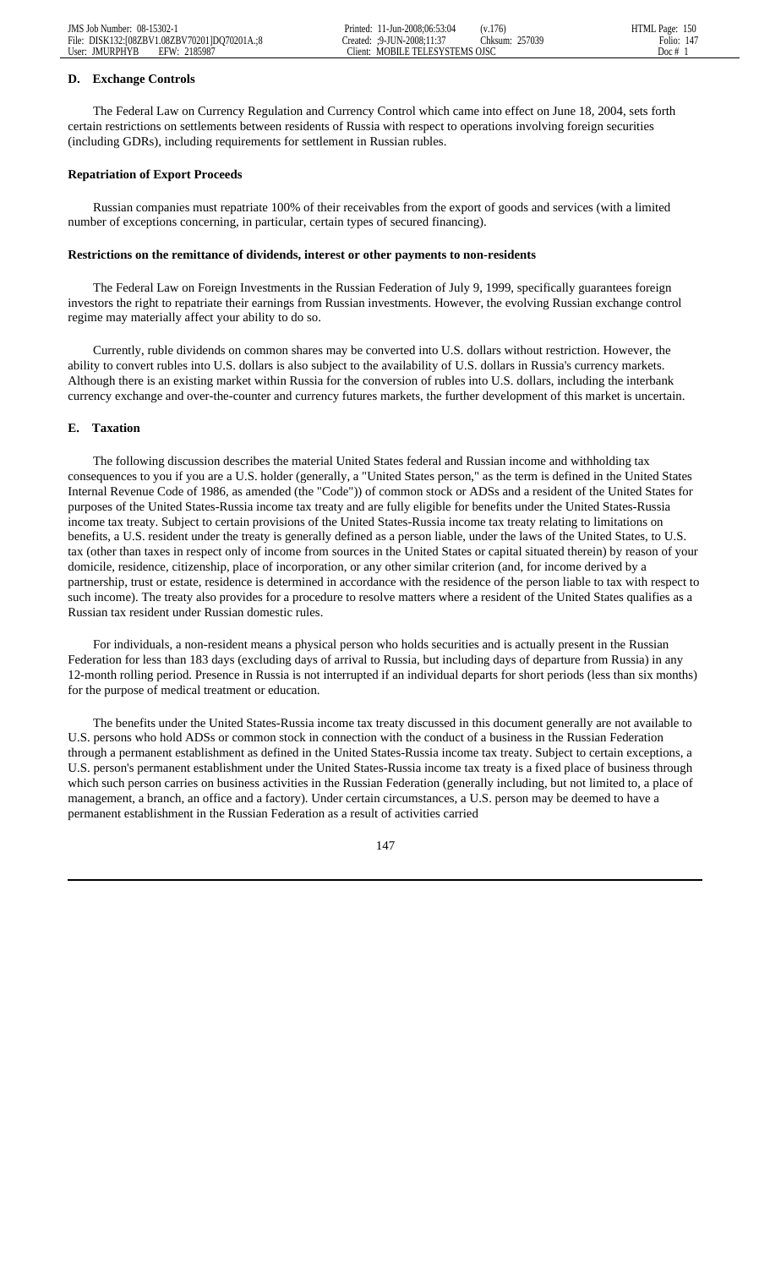#### **D. Exchange Controls**

 The Federal Law on Currency Regulation and Currency Control which came into effect on June 18, 2004, sets forth certain restrictions on settlements between residents of Russia with respect to operations involving foreign securities (including GDRs), including requirements for settlement in Russian rubles.

#### **Repatriation of Export Proceeds**

 Russian companies must repatriate 100% of their receivables from the export of goods and services (with a limited number of exceptions concerning, in particular, certain types of secured financing).

#### **Restrictions on the remittance of dividends, interest or other payments to non-residents**

 The Federal Law on Foreign Investments in the Russian Federation of July 9, 1999, specifically guarantees foreign investors the right to repatriate their earnings from Russian investments. However, the evolving Russian exchange control regime may materially affect your ability to do so.

 Currently, ruble dividends on common shares may be converted into U.S. dollars without restriction. However, the ability to convert rubles into U.S. dollars is also subject to the availability of U.S. dollars in Russia's currency markets. Although there is an existing market within Russia for the conversion of rubles into U.S. dollars, including the interbank currency exchange and over-the-counter and currency futures markets, the further development of this market is uncertain.

#### **E. Taxation**

 The following discussion describes the material United States federal and Russian income and withholding tax consequences to you if you are a U.S. holder (generally, a "United States person," as the term is defined in the United States Internal Revenue Code of 1986, as amended (the "Code")) of common stock or ADSs and a resident of the United States for purposes of the United States-Russia income tax treaty and are fully eligible for benefits under the United States-Russia income tax treaty. Subject to certain provisions of the United States-Russia income tax treaty relating to limitations on benefits, a U.S. resident under the treaty is generally defined as a person liable, under the laws of the United States, to U.S. tax (other than taxes in respect only of income from sources in the United States or capital situated therein) by reason of your domicile, residence, citizenship, place of incorporation, or any other similar criterion (and, for income derived by a partnership, trust or estate, residence is determined in accordance with the residence of the person liable to tax with respect to such income). The treaty also provides for a procedure to resolve matters where a resident of the United States qualifies as a Russian tax resident under Russian domestic rules.

 For individuals, a non-resident means a physical person who holds securities and is actually present in the Russian Federation for less than 183 days (excluding days of arrival to Russia, but including days of departure from Russia) in any 12-month rolling period. Presence in Russia is not interrupted if an individual departs for short periods (less than six months) for the purpose of medical treatment or education.

 The benefits under the United States-Russia income tax treaty discussed in this document generally are not available to U.S. persons who hold ADSs or common stock in connection with the conduct of a business in the Russian Federation through a permanent establishment as defined in the United States-Russia income tax treaty. Subject to certain exceptions, a U.S. person's permanent establishment under the United States-Russia income tax treaty is a fixed place of business through which such person carries on business activities in the Russian Federation (generally including, but not limited to, a place of management, a branch, an office and a factory). Under certain circumstances, a U.S. person may be deemed to have a permanent establishment in the Russian Federation as a result of activities carried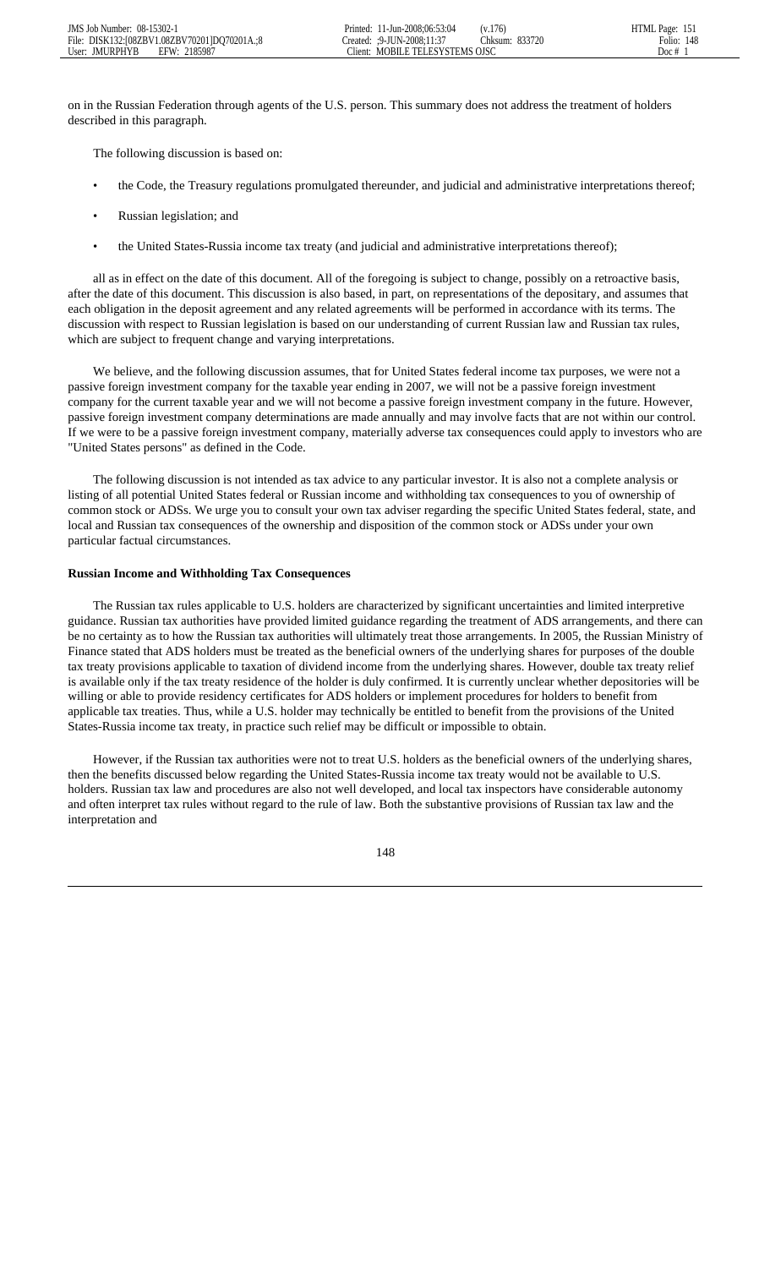on in the Russian Federation through agents of the U.S. person. This summary does not address the treatment of holders described in this paragraph.

The following discussion is based on:

- the Code, the Treasury regulations promulgated thereunder, and judicial and administrative interpretations thereof;
- Russian legislation; and
- the United States-Russia income tax treaty (and judicial and administrative interpretations thereof);

 all as in effect on the date of this document. All of the foregoing is subject to change, possibly on a retroactive basis, after the date of this document. This discussion is also based, in part, on representations of the depositary, and assumes that each obligation in the deposit agreement and any related agreements will be performed in accordance with its terms. The discussion with respect to Russian legislation is based on our understanding of current Russian law and Russian tax rules, which are subject to frequent change and varying interpretations.

 We believe, and the following discussion assumes, that for United States federal income tax purposes, we were not a passive foreign investment company for the taxable year ending in 2007, we will not be a passive foreign investment company for the current taxable year and we will not become a passive foreign investment company in the future. However, passive foreign investment company determinations are made annually and may involve facts that are not within our control. If we were to be a passive foreign investment company, materially adverse tax consequences could apply to investors who are "United States persons" as defined in the Code.

 The following discussion is not intended as tax advice to any particular investor. It is also not a complete analysis or listing of all potential United States federal or Russian income and withholding tax consequences to you of ownership of common stock or ADSs. We urge you to consult your own tax adviser regarding the specific United States federal, state, and local and Russian tax consequences of the ownership and disposition of the common stock or ADSs under your own particular factual circumstances.

#### **Russian Income and Withholding Tax Consequences**

 The Russian tax rules applicable to U.S. holders are characterized by significant uncertainties and limited interpretive guidance. Russian tax authorities have provided limited guidance regarding the treatment of ADS arrangements, and there can be no certainty as to how the Russian tax authorities will ultimately treat those arrangements. In 2005, the Russian Ministry of Finance stated that ADS holders must be treated as the beneficial owners of the underlying shares for purposes of the double tax treaty provisions applicable to taxation of dividend income from the underlying shares. However, double tax treaty relief is available only if the tax treaty residence of the holder is duly confirmed. It is currently unclear whether depositories will be willing or able to provide residency certificates for ADS holders or implement procedures for holders to benefit from applicable tax treaties. Thus, while a U.S. holder may technically be entitled to benefit from the provisions of the United States-Russia income tax treaty, in practice such relief may be difficult or impossible to obtain.

 However, if the Russian tax authorities were not to treat U.S. holders as the beneficial owners of the underlying shares, then the benefits discussed below regarding the United States-Russia income tax treaty would not be available to U.S. holders. Russian tax law and procedures are also not well developed, and local tax inspectors have considerable autonomy and often interpret tax rules without regard to the rule of law. Both the substantive provisions of Russian tax law and the interpretation and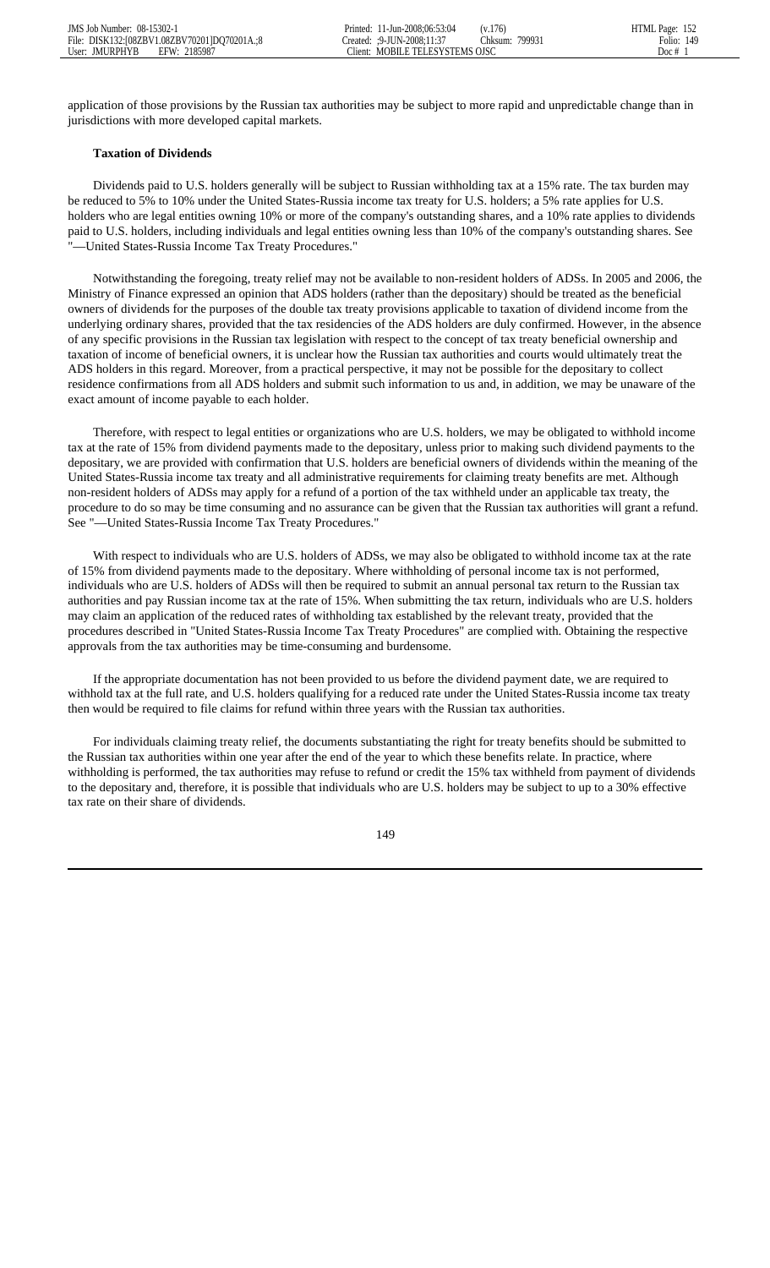application of those provisions by the Russian tax authorities may be subject to more rapid and unpredictable change than in jurisdictions with more developed capital markets.

#### **Taxation of Dividends**

 Dividends paid to U.S. holders generally will be subject to Russian withholding tax at a 15% rate. The tax burden may be reduced to 5% to 10% under the United States-Russia income tax treaty for U.S. holders; a 5% rate applies for U.S. holders who are legal entities owning 10% or more of the company's outstanding shares, and a 10% rate applies to dividends paid to U.S. holders, including individuals and legal entities owning less than 10% of the company's outstanding shares. See "—United States-Russia Income Tax Treaty Procedures."

 Notwithstanding the foregoing, treaty relief may not be available to non-resident holders of ADSs. In 2005 and 2006, the Ministry of Finance expressed an opinion that ADS holders (rather than the depositary) should be treated as the beneficial owners of dividends for the purposes of the double tax treaty provisions applicable to taxation of dividend income from the underlying ordinary shares, provided that the tax residencies of the ADS holders are duly confirmed. However, in the absence of any specific provisions in the Russian tax legislation with respect to the concept of tax treaty beneficial ownership and taxation of income of beneficial owners, it is unclear how the Russian tax authorities and courts would ultimately treat the ADS holders in this regard. Moreover, from a practical perspective, it may not be possible for the depositary to collect residence confirmations from all ADS holders and submit such information to us and, in addition, we may be unaware of the exact amount of income payable to each holder.

 Therefore, with respect to legal entities or organizations who are U.S. holders, we may be obligated to withhold income tax at the rate of 15% from dividend payments made to the depositary, unless prior to making such dividend payments to the depositary, we are provided with confirmation that U.S. holders are beneficial owners of dividends within the meaning of the United States-Russia income tax treaty and all administrative requirements for claiming treaty benefits are met. Although non-resident holders of ADSs may apply for a refund of a portion of the tax withheld under an applicable tax treaty, the procedure to do so may be time consuming and no assurance can be given that the Russian tax authorities will grant a refund. See "—United States-Russia Income Tax Treaty Procedures."

 With respect to individuals who are U.S. holders of ADSs, we may also be obligated to withhold income tax at the rate of 15% from dividend payments made to the depositary. Where withholding of personal income tax is not performed, individuals who are U.S. holders of ADSs will then be required to submit an annual personal tax return to the Russian tax authorities and pay Russian income tax at the rate of 15%. When submitting the tax return, individuals who are U.S. holders may claim an application of the reduced rates of withholding tax established by the relevant treaty, provided that the procedures described in "United States-Russia Income Tax Treaty Procedures" are complied with. Obtaining the respective approvals from the tax authorities may be time-consuming and burdensome.

 If the appropriate documentation has not been provided to us before the dividend payment date, we are required to withhold tax at the full rate, and U.S. holders qualifying for a reduced rate under the United States-Russia income tax treaty then would be required to file claims for refund within three years with the Russian tax authorities.

 For individuals claiming treaty relief, the documents substantiating the right for treaty benefits should be submitted to the Russian tax authorities within one year after the end of the year to which these benefits relate. In practice, where withholding is performed, the tax authorities may refuse to refund or credit the 15% tax withheld from payment of dividends to the depositary and, therefore, it is possible that individuals who are U.S. holders may be subject to up to a 30% effective tax rate on their share of dividends.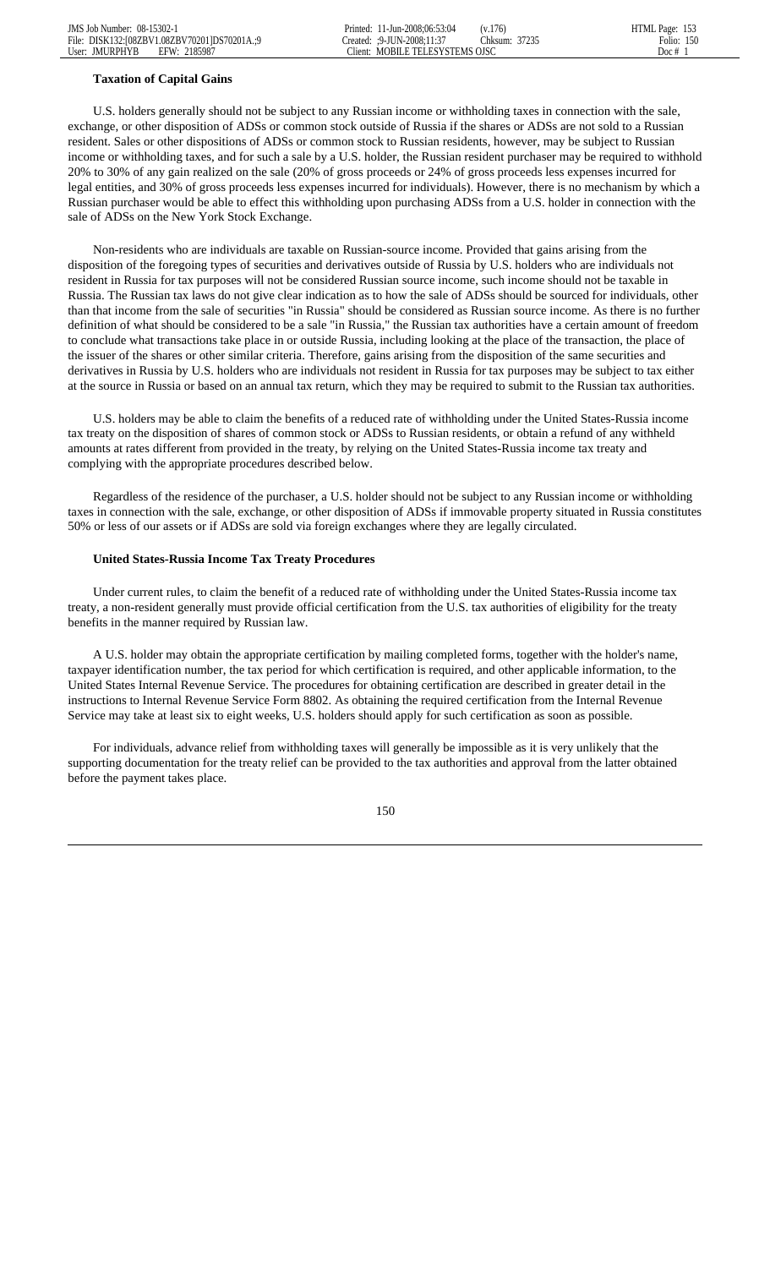# **Taxation of Capital Gains**

 U.S. holders generally should not be subject to any Russian income or withholding taxes in connection with the sale, exchange, or other disposition of ADSs or common stock outside of Russia if the shares or ADSs are not sold to a Russian resident. Sales or other dispositions of ADSs or common stock to Russian residents, however, may be subject to Russian income or withholding taxes, and for such a sale by a U.S. holder, the Russian resident purchaser may be required to withhold 20% to 30% of any gain realized on the sale (20% of gross proceeds or 24% of gross proceeds less expenses incurred for legal entities, and 30% of gross proceeds less expenses incurred for individuals). However, there is no mechanism by which a Russian purchaser would be able to effect this withholding upon purchasing ADSs from a U.S. holder in connection with the sale of ADSs on the New York Stock Exchange.

 Non-residents who are individuals are taxable on Russian-source income. Provided that gains arising from the disposition of the foregoing types of securities and derivatives outside of Russia by U.S. holders who are individuals not resident in Russia for tax purposes will not be considered Russian source income, such income should not be taxable in Russia. The Russian tax laws do not give clear indication as to how the sale of ADSs should be sourced for individuals, other than that income from the sale of securities "in Russia" should be considered as Russian source income. As there is no further definition of what should be considered to be a sale "in Russia," the Russian tax authorities have a certain amount of freedom to conclude what transactions take place in or outside Russia, including looking at the place of the transaction, the place of the issuer of the shares or other similar criteria. Therefore, gains arising from the disposition of the same securities and derivatives in Russia by U.S. holders who are individuals not resident in Russia for tax purposes may be subject to tax either at the source in Russia or based on an annual tax return, which they may be required to submit to the Russian tax authorities.

 U.S. holders may be able to claim the benefits of a reduced rate of withholding under the United States-Russia income tax treaty on the disposition of shares of common stock or ADSs to Russian residents, or obtain a refund of any withheld amounts at rates different from provided in the treaty, by relying on the United States-Russia income tax treaty and complying with the appropriate procedures described below.

 Regardless of the residence of the purchaser, a U.S. holder should not be subject to any Russian income or withholding taxes in connection with the sale, exchange, or other disposition of ADSs if immovable property situated in Russia constitutes 50% or less of our assets or if ADSs are sold via foreign exchanges where they are legally circulated.

#### **United States-Russia Income Tax Treaty Procedures**

 Under current rules, to claim the benefit of a reduced rate of withholding under the United States-Russia income tax treaty, a non-resident generally must provide official certification from the U.S. tax authorities of eligibility for the treaty benefits in the manner required by Russian law.

 A U.S. holder may obtain the appropriate certification by mailing completed forms, together with the holder's name, taxpayer identification number, the tax period for which certification is required, and other applicable information, to the United States Internal Revenue Service. The procedures for obtaining certification are described in greater detail in the instructions to Internal Revenue Service Form 8802. As obtaining the required certification from the Internal Revenue Service may take at least six to eight weeks, U.S. holders should apply for such certification as soon as possible.

 For individuals, advance relief from withholding taxes will generally be impossible as it is very unlikely that the supporting documentation for the treaty relief can be provided to the tax authorities and approval from the latter obtained before the payment takes place.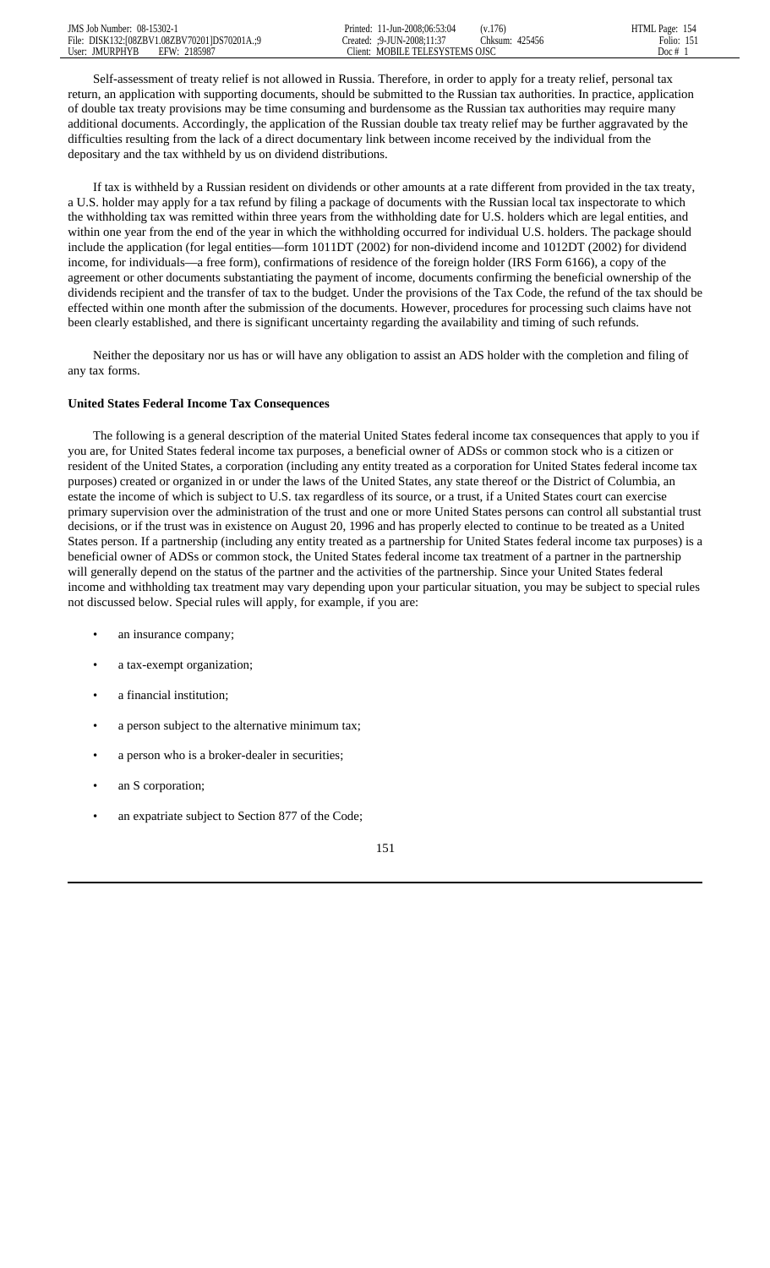Self-assessment of treaty relief is not allowed in Russia. Therefore, in order to apply for a treaty relief, personal tax return, an application with supporting documents, should be submitted to the Russian tax authorities. In practice, application of double tax treaty provisions may be time consuming and burdensome as the Russian tax authorities may require many additional documents. Accordingly, the application of the Russian double tax treaty relief may be further aggravated by the difficulties resulting from the lack of a direct documentary link between income received by the individual from the depositary and the tax withheld by us on dividend distributions.

 If tax is withheld by a Russian resident on dividends or other amounts at a rate different from provided in the tax treaty, a U.S. holder may apply for a tax refund by filing a package of documents with the Russian local tax inspectorate to which the withholding tax was remitted within three years from the withholding date for U.S. holders which are legal entities, and within one year from the end of the year in which the withholding occurred for individual U.S. holders. The package should include the application (for legal entities—form 1011DT (2002) for non-dividend income and 1012DT (2002) for dividend income, for individuals—a free form), confirmations of residence of the foreign holder (IRS Form 6166), a copy of the agreement or other documents substantiating the payment of income, documents confirming the beneficial ownership of the dividends recipient and the transfer of tax to the budget. Under the provisions of the Tax Code, the refund of the tax should be effected within one month after the submission of the documents. However, procedures for processing such claims have not been clearly established, and there is significant uncertainty regarding the availability and timing of such refunds.

 Neither the depositary nor us has or will have any obligation to assist an ADS holder with the completion and filing of any tax forms.

### **United States Federal Income Tax Consequences**

 The following is a general description of the material United States federal income tax consequences that apply to you if you are, for United States federal income tax purposes, a beneficial owner of ADSs or common stock who is a citizen or resident of the United States, a corporation (including any entity treated as a corporation for United States federal income tax purposes) created or organized in or under the laws of the United States, any state thereof or the District of Columbia, an estate the income of which is subject to U.S. tax regardless of its source, or a trust, if a United States court can exercise primary supervision over the administration of the trust and one or more United States persons can control all substantial trust decisions, or if the trust was in existence on August 20, 1996 and has properly elected to continue to be treated as a United States person. If a partnership (including any entity treated as a partnership for United States federal income tax purposes) is a beneficial owner of ADSs or common stock, the United States federal income tax treatment of a partner in the partnership will generally depend on the status of the partner and the activities of the partnership. Since your United States federal income and withholding tax treatment may vary depending upon your particular situation, you may be subject to special rules not discussed below. Special rules will apply, for example, if you are:

- an insurance company;
- a tax-exempt organization;
- a financial institution;
- a person subject to the alternative minimum tax;
- a person who is a broker-dealer in securities;
- an S corporation;
- an expatriate subject to Section 877 of the Code;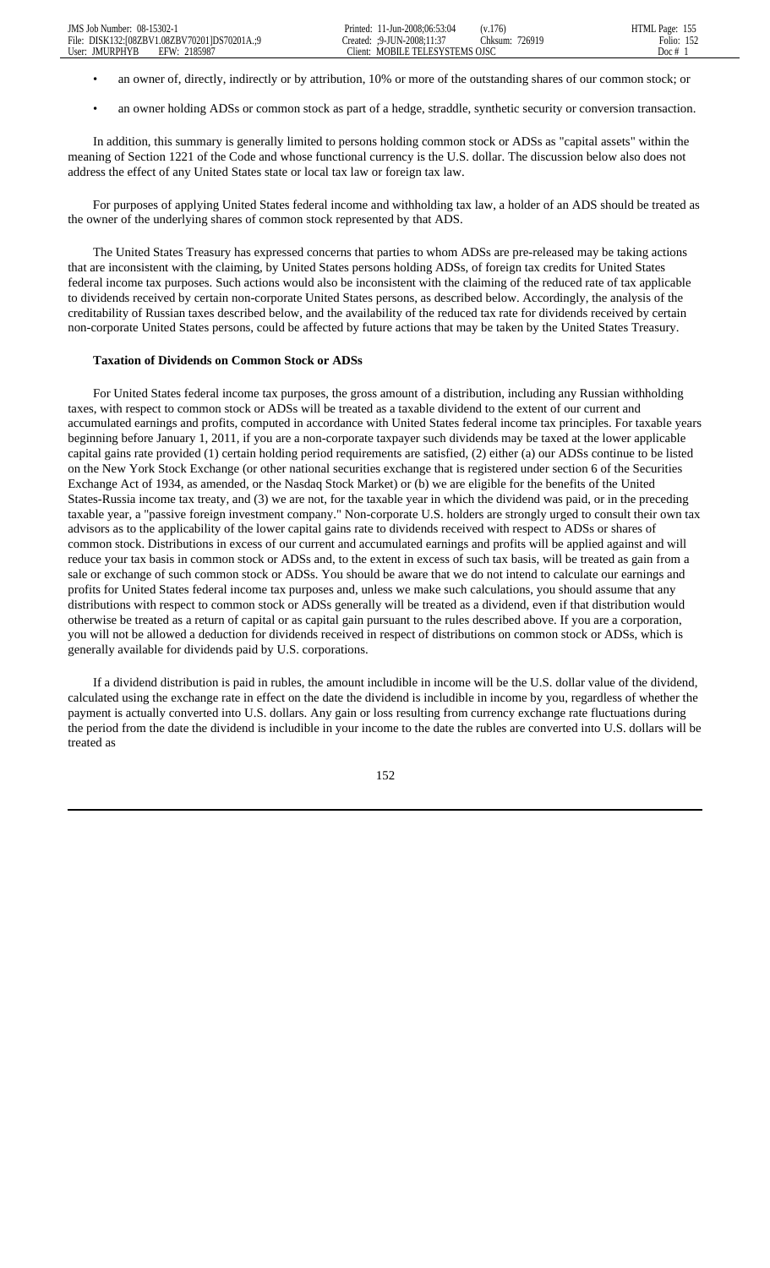- an owner of, directly, indirectly or by attribution, 10% or more of the outstanding shares of our common stock; or
- an owner holding ADSs or common stock as part of a hedge, straddle, synthetic security or conversion transaction.

 In addition, this summary is generally limited to persons holding common stock or ADSs as "capital assets" within the meaning of Section 1221 of the Code and whose functional currency is the U.S. dollar. The discussion below also does not address the effect of any United States state or local tax law or foreign tax law.

 For purposes of applying United States federal income and withholding tax law, a holder of an ADS should be treated as the owner of the underlying shares of common stock represented by that ADS.

 The United States Treasury has expressed concerns that parties to whom ADSs are pre-released may be taking actions that are inconsistent with the claiming, by United States persons holding ADSs, of foreign tax credits for United States federal income tax purposes. Such actions would also be inconsistent with the claiming of the reduced rate of tax applicable to dividends received by certain non-corporate United States persons, as described below. Accordingly, the analysis of the creditability of Russian taxes described below, and the availability of the reduced tax rate for dividends received by certain non-corporate United States persons, could be affected by future actions that may be taken by the United States Treasury.

# **Taxation of Dividends on Common Stock or ADSs**

 For United States federal income tax purposes, the gross amount of a distribution, including any Russian withholding taxes, with respect to common stock or ADSs will be treated as a taxable dividend to the extent of our current and accumulated earnings and profits, computed in accordance with United States federal income tax principles. For taxable years beginning before January 1, 2011, if you are a non-corporate taxpayer such dividends may be taxed at the lower applicable capital gains rate provided (1) certain holding period requirements are satisfied, (2) either (a) our ADSs continue to be listed on the New York Stock Exchange (or other national securities exchange that is registered under section 6 of the Securities Exchange Act of 1934, as amended, or the Nasdaq Stock Market) or (b) we are eligible for the benefits of the United States-Russia income tax treaty, and (3) we are not, for the taxable year in which the dividend was paid, or in the preceding taxable year, a "passive foreign investment company." Non-corporate U.S. holders are strongly urged to consult their own tax advisors as to the applicability of the lower capital gains rate to dividends received with respect to ADSs or shares of common stock. Distributions in excess of our current and accumulated earnings and profits will be applied against and will reduce your tax basis in common stock or ADSs and, to the extent in excess of such tax basis, will be treated as gain from a sale or exchange of such common stock or ADSs. You should be aware that we do not intend to calculate our earnings and profits for United States federal income tax purposes and, unless we make such calculations, you should assume that any distributions with respect to common stock or ADSs generally will be treated as a dividend, even if that distribution would otherwise be treated as a return of capital or as capital gain pursuant to the rules described above. If you are a corporation, you will not be allowed a deduction for dividends received in respect of distributions on common stock or ADSs, which is generally available for dividends paid by U.S. corporations.

 If a dividend distribution is paid in rubles, the amount includible in income will be the U.S. dollar value of the dividend, calculated using the exchange rate in effect on the date the dividend is includible in income by you, regardless of whether the payment is actually converted into U.S. dollars. Any gain or loss resulting from currency exchange rate fluctuations during the period from the date the dividend is includible in your income to the date the rubles are converted into U.S. dollars will be treated as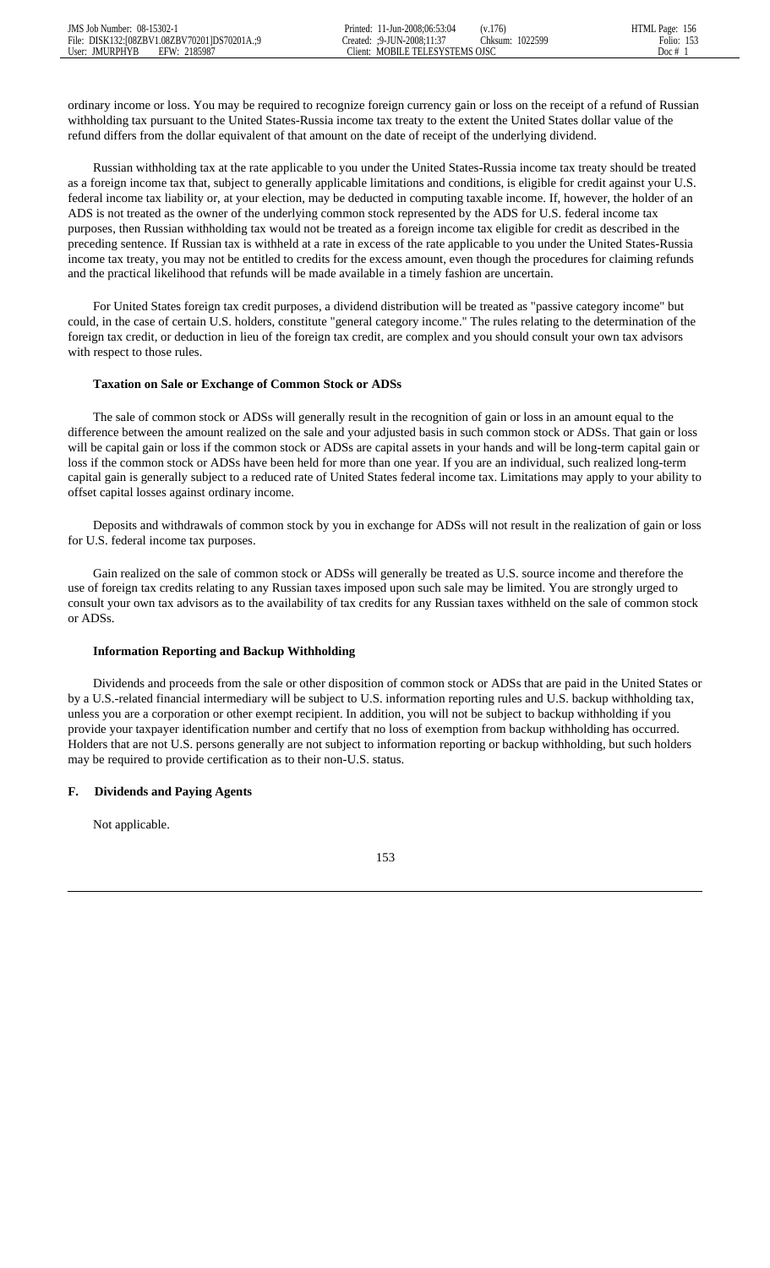ordinary income or loss. You may be required to recognize foreign currency gain or loss on the receipt of a refund of Russian withholding tax pursuant to the United States-Russia income tax treaty to the extent the United States dollar value of the refund differs from the dollar equivalent of that amount on the date of receipt of the underlying dividend.

 Russian withholding tax at the rate applicable to you under the United States-Russia income tax treaty should be treated as a foreign income tax that, subject to generally applicable limitations and conditions, is eligible for credit against your U.S. federal income tax liability or, at your election, may be deducted in computing taxable income. If, however, the holder of an ADS is not treated as the owner of the underlying common stock represented by the ADS for U.S. federal income tax purposes, then Russian withholding tax would not be treated as a foreign income tax eligible for credit as described in the preceding sentence. If Russian tax is withheld at a rate in excess of the rate applicable to you under the United States-Russia income tax treaty, you may not be entitled to credits for the excess amount, even though the procedures for claiming refunds and the practical likelihood that refunds will be made available in a timely fashion are uncertain.

 For United States foreign tax credit purposes, a dividend distribution will be treated as "passive category income" but could, in the case of certain U.S. holders, constitute "general category income." The rules relating to the determination of the foreign tax credit, or deduction in lieu of the foreign tax credit, are complex and you should consult your own tax advisors with respect to those rules.

#### **Taxation on Sale or Exchange of Common Stock or ADSs**

 The sale of common stock or ADSs will generally result in the recognition of gain or loss in an amount equal to the difference between the amount realized on the sale and your adjusted basis in such common stock or ADSs. That gain or loss will be capital gain or loss if the common stock or ADSs are capital assets in your hands and will be long-term capital gain or loss if the common stock or ADSs have been held for more than one year. If you are an individual, such realized long-term capital gain is generally subject to a reduced rate of United States federal income tax. Limitations may apply to your ability to offset capital losses against ordinary income.

 Deposits and withdrawals of common stock by you in exchange for ADSs will not result in the realization of gain or loss for U.S. federal income tax purposes.

 Gain realized on the sale of common stock or ADSs will generally be treated as U.S. source income and therefore the use of foreign tax credits relating to any Russian taxes imposed upon such sale may be limited. You are strongly urged to consult your own tax advisors as to the availability of tax credits for any Russian taxes withheld on the sale of common stock or ADSs.

#### **Information Reporting and Backup Withholding**

 Dividends and proceeds from the sale or other disposition of common stock or ADSs that are paid in the United States or by a U.S.-related financial intermediary will be subject to U.S. information reporting rules and U.S. backup withholding tax, unless you are a corporation or other exempt recipient. In addition, you will not be subject to backup withholding if you provide your taxpayer identification number and certify that no loss of exemption from backup withholding has occurred. Holders that are not U.S. persons generally are not subject to information reporting or backup withholding, but such holders may be required to provide certification as to their non-U.S. status.

#### **F. Dividends and Paying Agents**

Not applicable.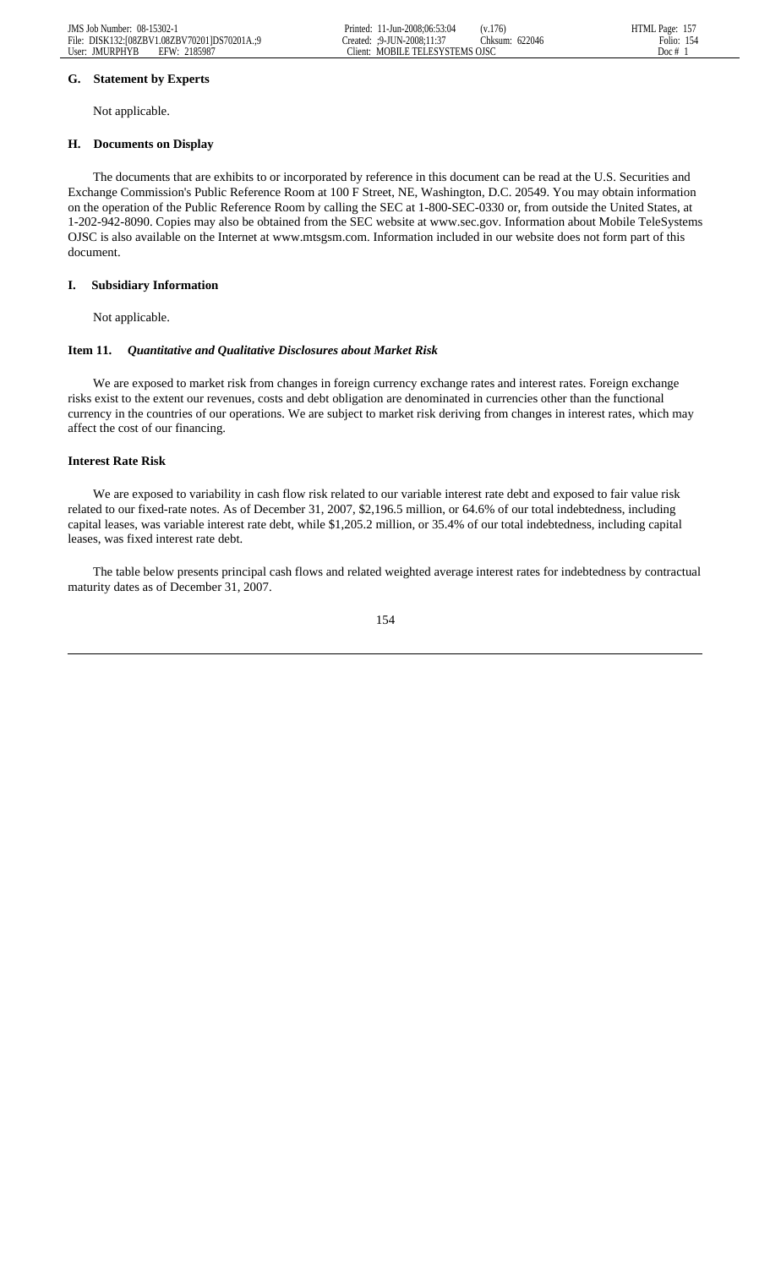# **G. Statement by Experts**

Not applicable.

#### **H. Documents on Display**

 The documents that are exhibits to or incorporated by reference in this document can be read at the U.S. Securities and Exchange Commission's Public Reference Room at 100 F Street, NE, Washington, D.C. 20549. You may obtain information on the operation of the Public Reference Room by calling the SEC at 1-800-SEC-0330 or, from outside the United States, at 1-202-942-8090. Copies may also be obtained from the SEC website at www.sec.gov. Information about Mobile TeleSystems OJSC is also available on the Internet at www.mtsgsm.com. Information included in our website does not form part of this document.

# **I. Subsidiary Information**

Not applicable.

#### **Item 11.** *Quantitative and Qualitative Disclosures about Market Risk*

 We are exposed to market risk from changes in foreign currency exchange rates and interest rates. Foreign exchange risks exist to the extent our revenues, costs and debt obligation are denominated in currencies other than the functional currency in the countries of our operations. We are subject to market risk deriving from changes in interest rates, which may affect the cost of our financing.

## **Interest Rate Risk**

 We are exposed to variability in cash flow risk related to our variable interest rate debt and exposed to fair value risk related to our fixed-rate notes. As of December 31, 2007, \$2,196.5 million, or 64.6% of our total indebtedness, including capital leases, was variable interest rate debt, while \$1,205.2 million, or 35.4% of our total indebtedness, including capital leases, was fixed interest rate debt.

 The table below presents principal cash flows and related weighted average interest rates for indebtedness by contractual maturity dates as of December 31, 2007.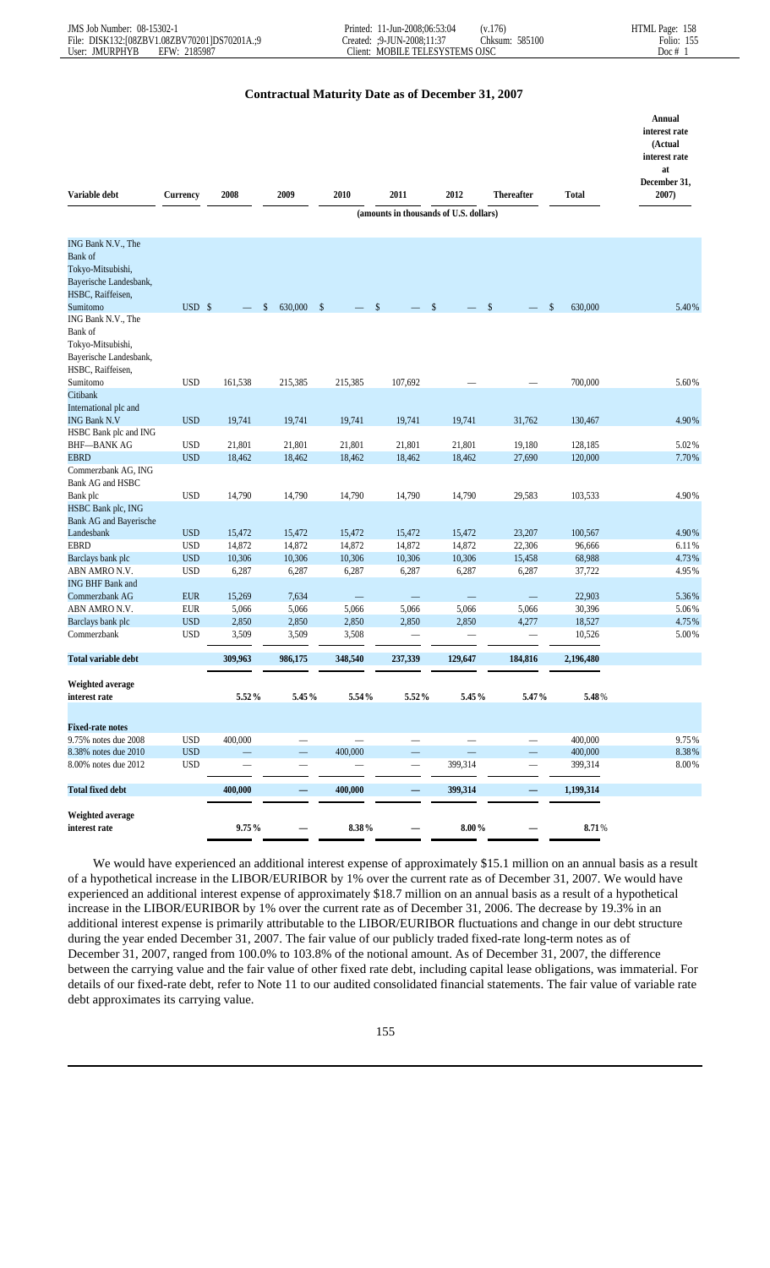| <b>Contractual Maturity Date as of December 31, 2007</b> |
|----------------------------------------------------------|
|----------------------------------------------------------|

| Variable debt                                                                                     | Currency                 | 2008                                 | 2009                     | 2010         | 2011              | 2012                                   | <b>Thereafter</b>                                    | <b>Total</b>       | Annual<br>interest rate<br>(Actual<br>interest rate<br>at<br>December 31,<br>2007) |
|---------------------------------------------------------------------------------------------------|--------------------------|--------------------------------------|--------------------------|--------------|-------------------|----------------------------------------|------------------------------------------------------|--------------------|------------------------------------------------------------------------------------|
|                                                                                                   |                          |                                      |                          |              |                   | (amounts in thousands of U.S. dollars) |                                                      |                    |                                                                                    |
|                                                                                                   |                          |                                      |                          |              |                   |                                        |                                                      |                    |                                                                                    |
| ING Bank N.V., The<br>Bank of<br>Tokyo-Mitsubishi,<br>Bayerische Landesbank,                      |                          |                                      |                          |              |                   |                                        |                                                      |                    |                                                                                    |
| HSBC, Raiffeisen,<br>Sumitomo                                                                     | $USD$ \$                 | \$                                   | 630,000                  | $^{\circ}$   | \$                | $\mathbf{\hat{S}}$                     | $\mathbb{S}$                                         | \$<br>630,000      | 5.40%                                                                              |
| ING Bank N.V., The<br>Bank of<br>Tokyo-Mitsubishi,<br>Bayerische Landesbank,<br>HSBC, Raiffeisen, |                          |                                      |                          |              |                   |                                        |                                                      |                    |                                                                                    |
| Sumitomo                                                                                          | <b>USD</b>               | 161,538                              | 215,385                  | 215,385      | 107,692           |                                        |                                                      | 700,000            | 5.60%                                                                              |
| Citibank<br>International plc and<br><b>ING Bank N.V</b>                                          | <b>USD</b>               | 19,741                               | 19,741                   | 19,741       | 19,741            | 19,741                                 | 31,762                                               | 130,467            | 4.90%                                                                              |
| HSBC Bank plc and ING                                                                             |                          |                                      |                          |              |                   |                                        |                                                      |                    |                                                                                    |
| <b>BHF-BANK AG</b>                                                                                | <b>USD</b>               | 21,801                               | 21,801                   | 21,801       | 21,801            | 21,801                                 | 19,180                                               | 128,185            | 5.02%                                                                              |
| <b>EBRD</b>                                                                                       | <b>USD</b>               | 18,462                               | 18,462                   | 18,462       | 18,462            | 18,462                                 | 27,690                                               | 120,000            | 7.70%                                                                              |
| Commerzbank AG, ING<br>Bank AG and HSBC                                                           | <b>USD</b>               | 14,790                               | 14,790                   | 14,790       | 14,790            |                                        | 29,583                                               |                    |                                                                                    |
| Bank plc<br>HSBC Bank plc, ING<br>Bank AG and Bayerische                                          |                          |                                      |                          |              |                   | 14,790                                 |                                                      | 103,533            | 4.90%                                                                              |
| Landesbank                                                                                        | <b>USD</b>               | 15,472                               | 15,472                   | 15,472       | 15,472            | 15,472                                 | 23,207                                               | 100,567            | 4.90%                                                                              |
| <b>EBRD</b>                                                                                       | <b>USD</b>               | 14,872                               | 14,872                   | 14,872       | 14,872            | 14,872                                 | 22,306                                               | 96,666             | 6.11%                                                                              |
| Barclays bank plc                                                                                 | <b>USD</b>               | 10,306                               | 10,306                   | 10,306       | 10,306            | 10,306                                 | 15,458                                               | 68,988             | 4.73%                                                                              |
| ABN AMRO N.V.                                                                                     | <b>USD</b>               | 6,287                                | 6,287                    | 6,287        | 6,287             | 6,287                                  | 6,287                                                | 37,722             | 4.95%                                                                              |
| ING BHF Bank and                                                                                  |                          |                                      |                          |              |                   |                                        |                                                      |                    |                                                                                    |
| Commerzbank AG<br>ABN AMRO N.V.                                                                   | <b>EUR</b><br><b>EUR</b> | 15,269<br>5,066                      | 7,634<br>5,066           | 5,066        | 5,066             | 5,066                                  | $\equiv$<br>5,066                                    | 22,903<br>30,396   | 5.36%<br>5.06%                                                                     |
| Barclays bank plc                                                                                 | <b>USD</b>               | 2,850                                | 2,850                    | 2,850        | 2,850             | 2,850                                  | 4,277                                                | 18,527             | 4.75%                                                                              |
| Commerzbank                                                                                       | <b>USD</b>               | 3,509                                | 3,509                    | 3,508        |                   |                                        |                                                      | 10,526             | 5.00%                                                                              |
| <b>Total variable debt</b>                                                                        |                          | 309,963                              | 986,175                  | 348,540      | 237,339           | 129,647                                | 184,816                                              | 2,196,480          |                                                                                    |
| Weighted average<br>interest rate                                                                 |                          | 5.52%                                | 5.45%                    | 5.54%        | 5.52%             | 5.45%                                  | 5.47%                                                | 5.48%              |                                                                                    |
|                                                                                                   |                          |                                      |                          |              |                   |                                        |                                                      |                    |                                                                                    |
| <b>Fixed-rate notes</b>                                                                           |                          |                                      |                          |              |                   |                                        |                                                      |                    |                                                                                    |
| 9.75% notes due 2008                                                                              | <b>USD</b>               | 400,000                              |                          |              |                   |                                        | $\overline{\phantom{0}}$                             | 400,000            | 9.75%                                                                              |
| 8.38% notes due 2010<br>8.00% notes due 2012                                                      | <b>USD</b><br><b>USD</b> | $\equiv$<br>$\overline{\phantom{0}}$ | $\overline{\phantom{0}}$ | 400,000<br>— | $\qquad \qquad -$ | 399,314                                | $\overline{\phantom{0}}$<br>$\overline{\phantom{0}}$ | 400,000<br>399,314 | 8.38%<br>8.00%                                                                     |
| <b>Total fixed debt</b>                                                                           |                          | 400,000                              | $\overline{\phantom{0}}$ | 400,000      |                   | 399,314                                |                                                      | 1,199,314          |                                                                                    |
| Weighted average<br>interest rate                                                                 |                          | 9.75%                                |                          | $8.38\%$     |                   | $8.00\,\%$                             |                                                      | $\pmb{8.71}$ %     |                                                                                    |

 We would have experienced an additional interest expense of approximately \$15.1 million on an annual basis as a result of a hypothetical increase in the LIBOR/EURIBOR by 1% over the current rate as of December 31, 2007. We would have experienced an additional interest expense of approximately \$18.7 million on an annual basis as a result of a hypothetical increase in the LIBOR/EURIBOR by 1% over the current rate as of December 31, 2006. The decrease by 19.3% in an additional interest expense is primarily attributable to the LIBOR/EURIBOR fluctuations and change in our debt structure during the year ended December 31, 2007. The fair value of our publicly traded fixed-rate long-term notes as of December 31, 2007, ranged from 100.0% to 103.8% of the notional amount. As of December 31, 2007, the difference between the carrying value and the fair value of other fixed rate debt, including capital lease obligations, was immaterial. For details of our fixed-rate debt, refer to Note 11 to our audited consolidated financial statements. The fair value of variable rate debt approximates its carrying value.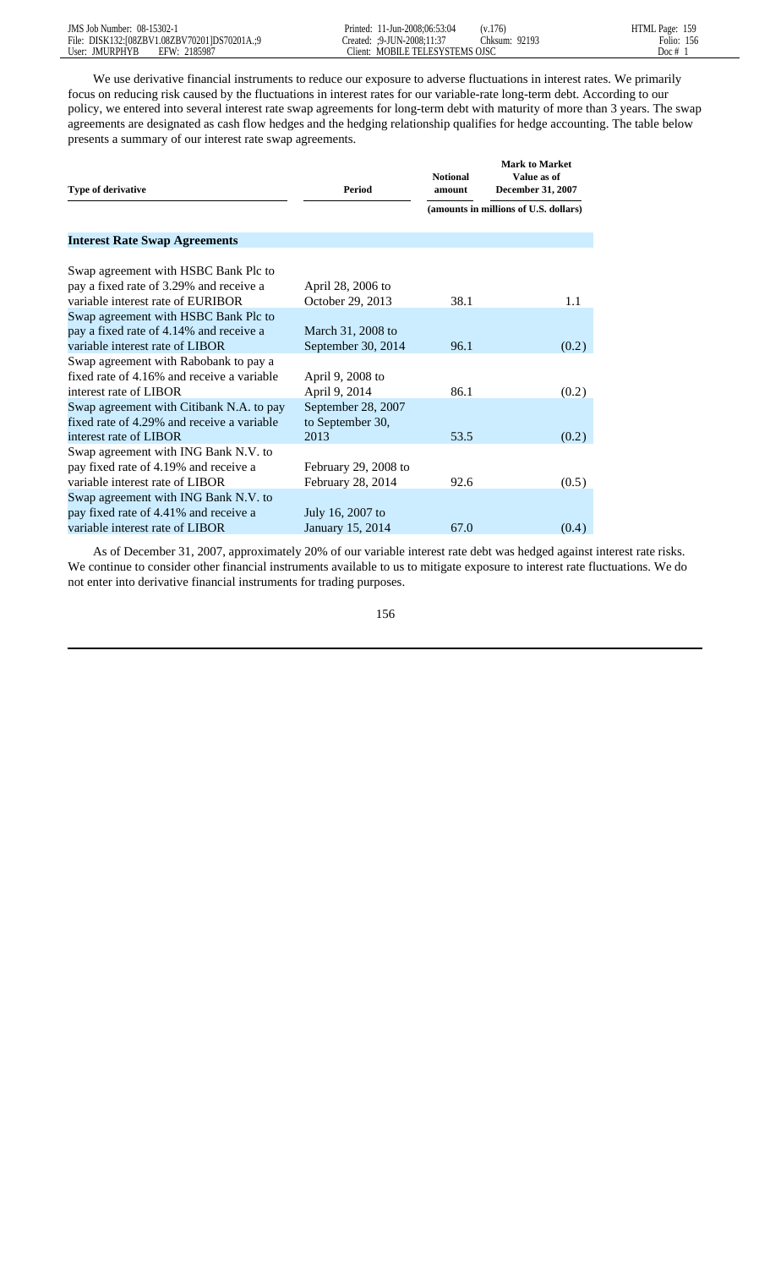We use derivative financial instruments to reduce our exposure to adverse fluctuations in interest rates. We primarily focus on reducing risk caused by the fluctuations in interest rates for our variable-rate long-term debt. According to our policy, we entered into several interest rate swap agreements for long-term debt with maturity of more than 3 years. The swap agreements are designated as cash flow hedges and the hedging relationship qualifies for hedge accounting. The table below presents a summary of our interest rate swap agreements.

| Type of derivative                         | Period               | <b>Notional</b><br>amount | <b>Mark to Market</b><br>Value as of<br><b>December 31, 2007</b> |
|--------------------------------------------|----------------------|---------------------------|------------------------------------------------------------------|
|                                            |                      |                           | (amounts in millions of U.S. dollars)                            |
| <b>Interest Rate Swap Agreements</b>       |                      |                           |                                                                  |
| Swap agreement with HSBC Bank Plc to       |                      |                           |                                                                  |
| pay a fixed rate of 3.29% and receive a    | April 28, 2006 to    |                           |                                                                  |
| variable interest rate of EURIBOR          | October 29, 2013     | 38.1                      | 1.1                                                              |
| Swap agreement with HSBC Bank Plc to       |                      |                           |                                                                  |
| pay a fixed rate of 4.14% and receive a    | March 31, 2008 to    |                           |                                                                  |
| variable interest rate of LIBOR            | September 30, 2014   | 96.1                      | (0.2)                                                            |
| Swap agreement with Rabobank to pay a      |                      |                           |                                                                  |
| fixed rate of 4.16% and receive a variable | April 9, 2008 to     |                           |                                                                  |
| interest rate of LIBOR                     | April 9, 2014        | 86.1                      | (0.2)                                                            |
| Swap agreement with Citibank N.A. to pay   | September 28, 2007   |                           |                                                                  |
| fixed rate of 4.29% and receive a variable | to September 30,     |                           |                                                                  |
| interest rate of LIBOR                     | 2013                 | 53.5                      | (0.2)                                                            |
| Swap agreement with ING Bank N.V. to       |                      |                           |                                                                  |
| pay fixed rate of 4.19% and receive a      | February 29, 2008 to |                           |                                                                  |
| variable interest rate of LIBOR            | February 28, 2014    | 92.6                      | (0.5)                                                            |
| Swap agreement with ING Bank N.V. to       |                      |                           |                                                                  |
| pay fixed rate of 4.41% and receive a      | July 16, 2007 to     |                           |                                                                  |
| variable interest rate of LIBOR            | January 15, 2014     | 67.0                      | (0.4)                                                            |

 As of December 31, 2007, approximately 20% of our variable interest rate debt was hedged against interest rate risks. We continue to consider other financial instruments available to us to mitigate exposure to interest rate fluctuations. We do not enter into derivative financial instruments for trading purposes.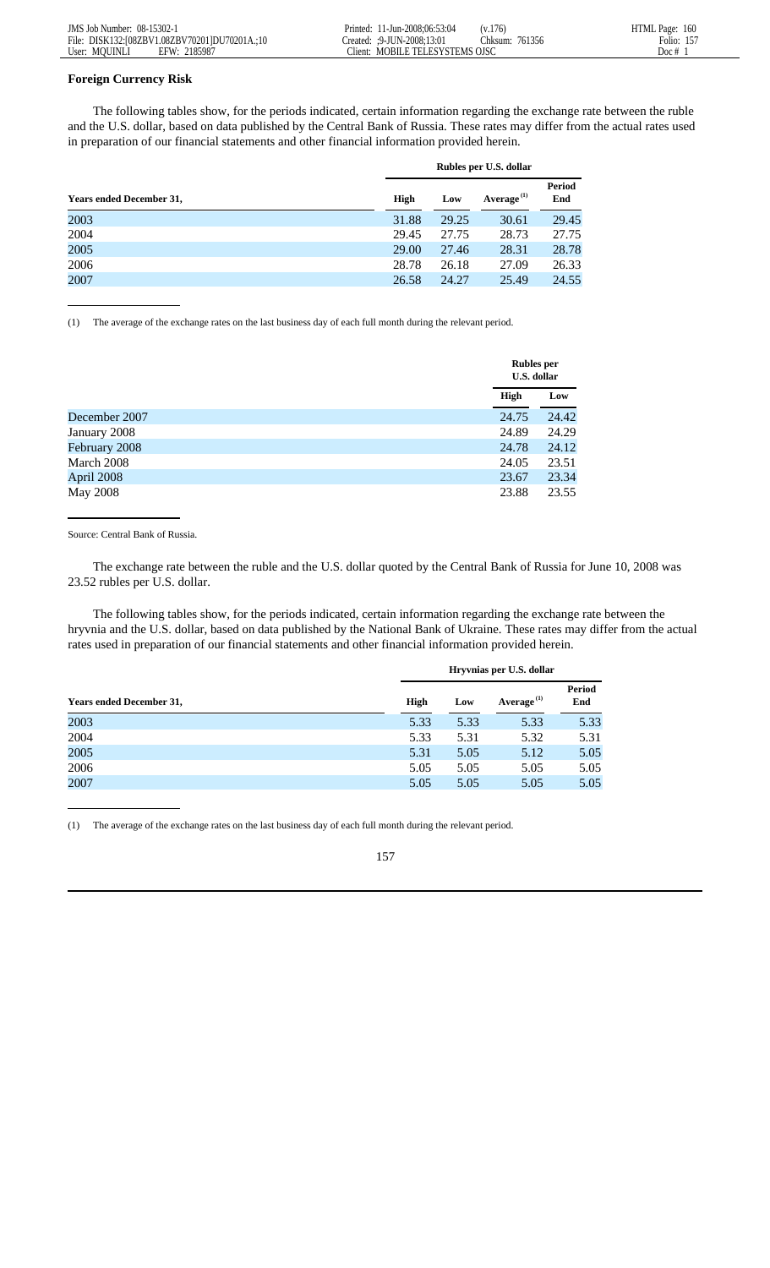## **Foreign Currency Risk**

 The following tables show, for the periods indicated, certain information regarding the exchange rate between the ruble and the U.S. dollar, based on data published by the Central Bank of Russia. These rates may differ from the actual rates used in preparation of our financial statements and other financial information provided herein.

| <b>Years ended December 31,</b> | High  | Low   | Average $^{(1)}$ | <b>Period</b><br>End |
|---------------------------------|-------|-------|------------------|----------------------|
| 2003                            | 31.88 | 29.25 | 30.61            | 29.45                |
| 2004                            | 29.45 | 27.75 | 28.73            | 27.75                |
| 2005                            | 29.00 | 27.46 | 28.31            | 28.78                |
| 2006                            | 28.78 | 26.18 | 27.09            | 26.33                |
| 2007                            | 26.58 | 24.27 | 25.49            | 24.55                |
|                                 |       |       |                  |                      |

(1) The average of the exchange rates on the last business day of each full month during the relevant period.

|               | <b>Rubles</b> per<br>U.S. dollar |       |
|---------------|----------------------------------|-------|
|               | High                             | Low   |
| December 2007 | 24.75                            | 24.42 |
| January 2008  | 24.89                            | 24.29 |
| February 2008 | 24.78                            | 24.12 |
| March 2008    | 24.05                            | 23.51 |
| April 2008    | 23.67                            | 23.34 |
| May 2008      | 23.88                            | 23.55 |

Source: Central Bank of Russia.

 The exchange rate between the ruble and the U.S. dollar quoted by the Central Bank of Russia for June 10, 2008 was 23.52 rubles per U.S. dollar.

 The following tables show, for the periods indicated, certain information regarding the exchange rate between the hryvnia and the U.S. dollar, based on data published by the National Bank of Ukraine. These rates may differ from the actual rates used in preparation of our financial statements and other financial information provided herein.

|                                 |      | Hryvnias per U.S. dollar |                  |               |  |  |
|---------------------------------|------|--------------------------|------------------|---------------|--|--|
| <b>Years ended December 31,</b> | High | Low                      | Average $^{(1)}$ | Period<br>End |  |  |
| 2003                            | 5.33 | 5.33                     | 5.33             | 5.33          |  |  |
| 2004                            | 5.33 | 5.31                     | 5.32             | 5.31          |  |  |
| 2005                            | 5.31 | 5.05                     | 5.12             | 5.05          |  |  |
| 2006                            | 5.05 | 5.05                     | 5.05             | 5.05          |  |  |
| 2007                            | 5.05 | 5.05                     | 5.05             | 5.05          |  |  |

(1) The average of the exchange rates on the last business day of each full month during the relevant period.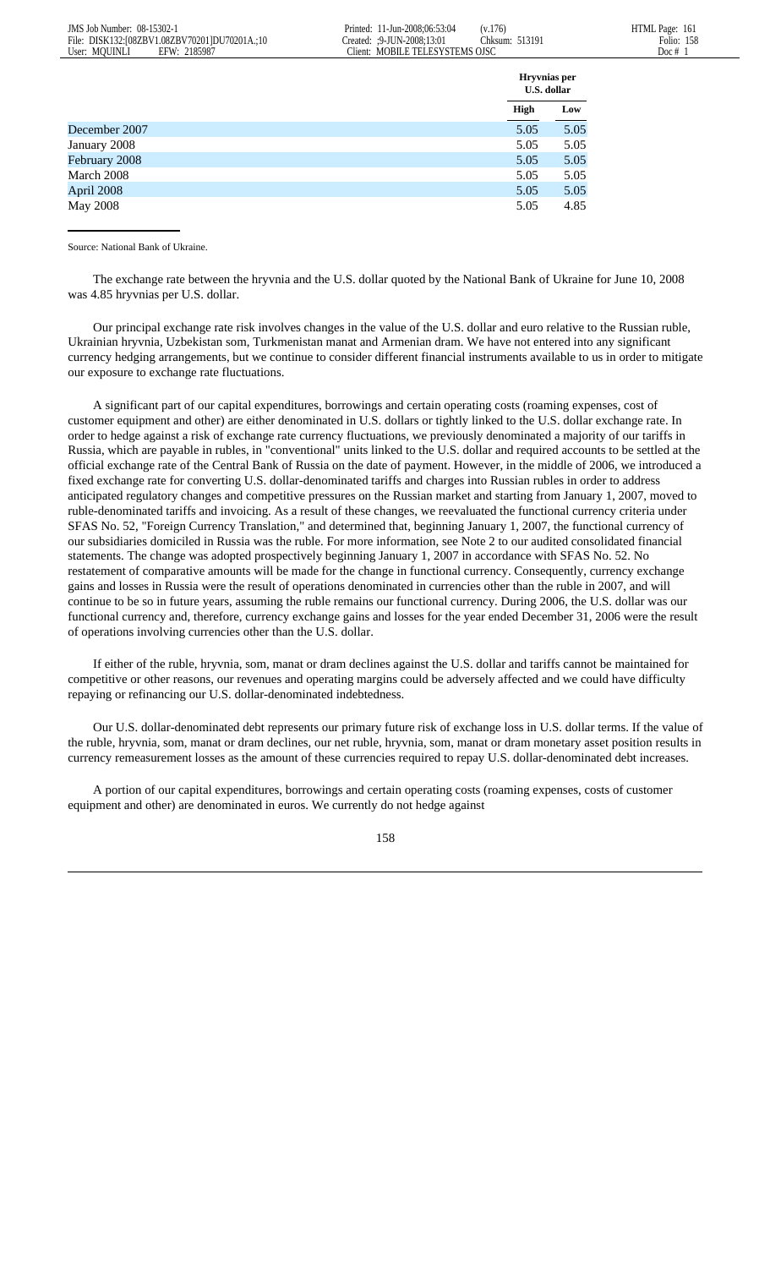|                 |             | Hryvnias per<br>U.S. dollar |
|-----------------|-------------|-----------------------------|
|                 | <b>High</b> | Low                         |
| December 2007   | 5.05        | 5.05                        |
| January 2008    | 5.05        | 5.05                        |
| February 2008   | 5.05        | 5.05                        |
| March 2008      | 5.05        | 5.05                        |
| April 2008      | 5.05        | 5.05                        |
| <b>May 2008</b> | 5.05        | 4.85                        |
|                 |             |                             |

Source: National Bank of Ukraine.

 The exchange rate between the hryvnia and the U.S. dollar quoted by the National Bank of Ukraine for June 10, 2008 was 4.85 hryvnias per U.S. dollar.

 Our principal exchange rate risk involves changes in the value of the U.S. dollar and euro relative to the Russian ruble, Ukrainian hryvnia, Uzbekistan som, Turkmenistan manat and Armenian dram. We have not entered into any significant currency hedging arrangements, but we continue to consider different financial instruments available to us in order to mitigate our exposure to exchange rate fluctuations.

 A significant part of our capital expenditures, borrowings and certain operating costs (roaming expenses, cost of customer equipment and other) are either denominated in U.S. dollars or tightly linked to the U.S. dollar exchange rate. In order to hedge against a risk of exchange rate currency fluctuations, we previously denominated a majority of our tariffs in Russia, which are payable in rubles, in "conventional" units linked to the U.S. dollar and required accounts to be settled at the official exchange rate of the Central Bank of Russia on the date of payment. However, in the middle of 2006, we introduced a fixed exchange rate for converting U.S. dollar-denominated tariffs and charges into Russian rubles in order to address anticipated regulatory changes and competitive pressures on the Russian market and starting from January 1, 2007, moved to ruble-denominated tariffs and invoicing. As a result of these changes, we reevaluated the functional currency criteria under SFAS No. 52, "Foreign Currency Translation," and determined that, beginning January 1, 2007, the functional currency of our subsidiaries domiciled in Russia was the ruble. For more information, see Note 2 to our audited consolidated financial statements. The change was adopted prospectively beginning January 1, 2007 in accordance with SFAS No. 52. No restatement of comparative amounts will be made for the change in functional currency. Consequently, currency exchange gains and losses in Russia were the result of operations denominated in currencies other than the ruble in 2007, and will continue to be so in future years, assuming the ruble remains our functional currency. During 2006, the U.S. dollar was our functional currency and, therefore, currency exchange gains and losses for the year ended December 31, 2006 were the result of operations involving currencies other than the U.S. dollar.

 If either of the ruble, hryvnia, som, manat or dram declines against the U.S. dollar and tariffs cannot be maintained for competitive or other reasons, our revenues and operating margins could be adversely affected and we could have difficulty repaying or refinancing our U.S. dollar-denominated indebtedness.

 Our U.S. dollar-denominated debt represents our primary future risk of exchange loss in U.S. dollar terms. If the value of the ruble, hryvnia, som, manat or dram declines, our net ruble, hryvnia, som, manat or dram monetary asset position results in currency remeasurement losses as the amount of these currencies required to repay U.S. dollar-denominated debt increases.

 A portion of our capital expenditures, borrowings and certain operating costs (roaming expenses, costs of customer equipment and other) are denominated in euros. We currently do not hedge against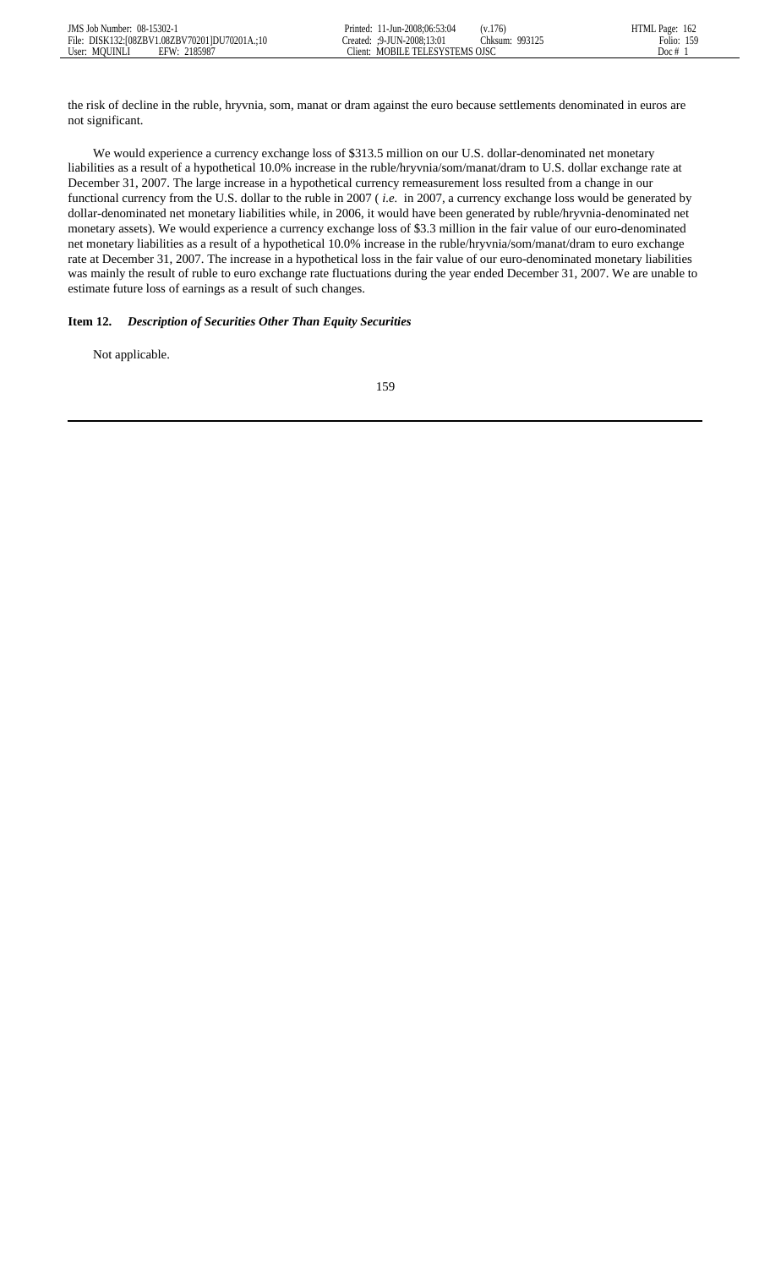the risk of decline in the ruble, hryvnia, som, manat or dram against the euro because settlements denominated in euros are not significant.

 We would experience a currency exchange loss of \$313.5 million on our U.S. dollar-denominated net monetary liabilities as a result of a hypothetical 10.0% increase in the ruble/hryvnia/som/manat/dram to U.S. dollar exchange rate at December 31, 2007. The large increase in a hypothetical currency remeasurement loss resulted from a change in our functional currency from the U.S. dollar to the ruble in 2007 ( *i.e.* in 2007, a currency exchange loss would be generated by dollar-denominated net monetary liabilities while, in 2006, it would have been generated by ruble/hryvnia-denominated net monetary assets). We would experience a currency exchange loss of \$3.3 million in the fair value of our euro-denominated net monetary liabilities as a result of a hypothetical 10.0% increase in the ruble/hryvnia/som/manat/dram to euro exchange rate at December 31, 2007. The increase in a hypothetical loss in the fair value of our euro-denominated monetary liabilities was mainly the result of ruble to euro exchange rate fluctuations during the year ended December 31, 2007. We are unable to estimate future loss of earnings as a result of such changes.

# **Item 12.** *Description of Securities Other Than Equity Securities*

Not applicable.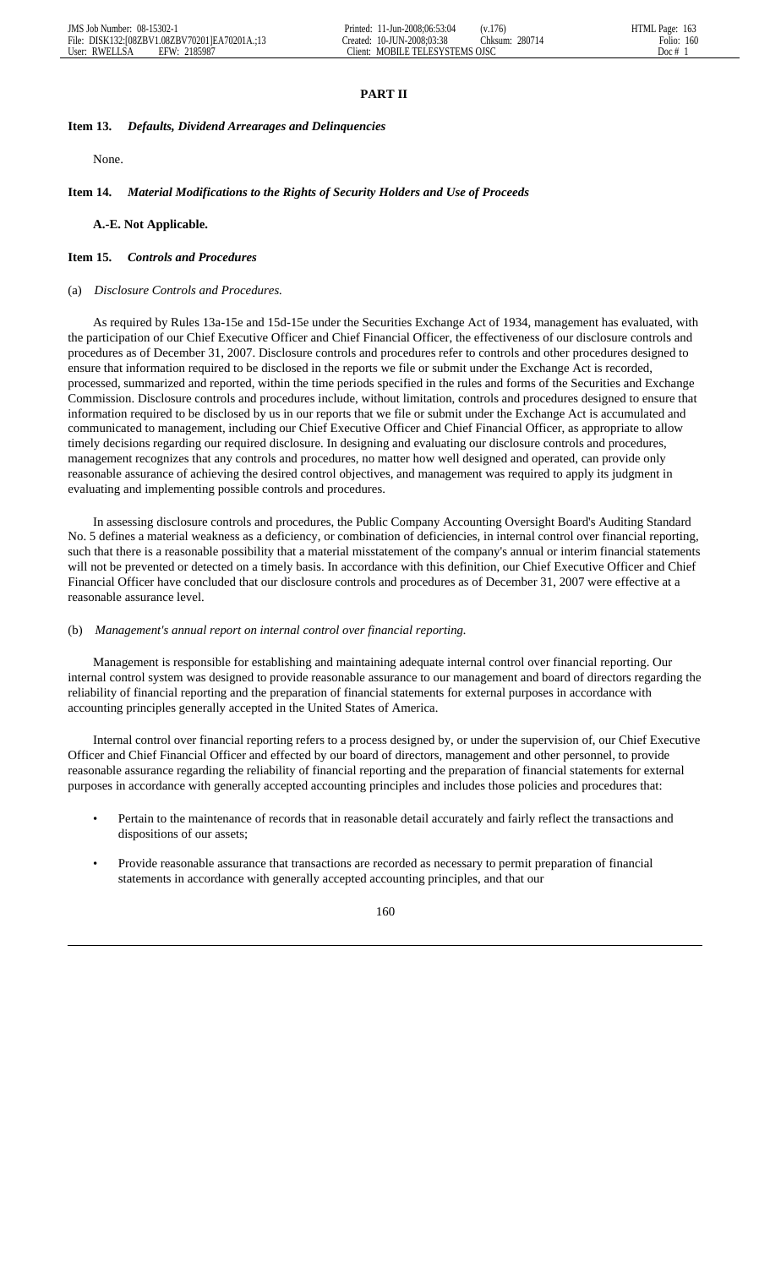#### **PART II**

#### **Item 13.** *Defaults, Dividend Arrearages and Delinquencies*

None.

# **Item 14.** *Material Modifications to the Rights of Security Holders and Use of Proceeds*

## **A.-E. Not Applicable.**

# **Item 15.** *Controls and Procedures*

#### (a) *Disclosure Controls and Procedures.*

 As required by Rules 13a-15e and 15d-15e under the Securities Exchange Act of 1934, management has evaluated, with the participation of our Chief Executive Officer and Chief Financial Officer, the effectiveness of our disclosure controls and procedures as of December 31, 2007. Disclosure controls and procedures refer to controls and other procedures designed to ensure that information required to be disclosed in the reports we file or submit under the Exchange Act is recorded, processed, summarized and reported, within the time periods specified in the rules and forms of the Securities and Exchange Commission. Disclosure controls and procedures include, without limitation, controls and procedures designed to ensure that information required to be disclosed by us in our reports that we file or submit under the Exchange Act is accumulated and communicated to management, including our Chief Executive Officer and Chief Financial Officer, as appropriate to allow timely decisions regarding our required disclosure. In designing and evaluating our disclosure controls and procedures, management recognizes that any controls and procedures, no matter how well designed and operated, can provide only reasonable assurance of achieving the desired control objectives, and management was required to apply its judgment in evaluating and implementing possible controls and procedures.

 In assessing disclosure controls and procedures, the Public Company Accounting Oversight Board's Auditing Standard No. 5 defines a material weakness as a deficiency, or combination of deficiencies, in internal control over financial reporting, such that there is a reasonable possibility that a material misstatement of the company's annual or interim financial statements will not be prevented or detected on a timely basis. In accordance with this definition, our Chief Executive Officer and Chief Financial Officer have concluded that our disclosure controls and procedures as of December 31, 2007 were effective at a reasonable assurance level.

#### (b) *Management's annual report on internal control over financial reporting.*

 Management is responsible for establishing and maintaining adequate internal control over financial reporting. Our internal control system was designed to provide reasonable assurance to our management and board of directors regarding the reliability of financial reporting and the preparation of financial statements for external purposes in accordance with accounting principles generally accepted in the United States of America.

 Internal control over financial reporting refers to a process designed by, or under the supervision of, our Chief Executive Officer and Chief Financial Officer and effected by our board of directors, management and other personnel, to provide reasonable assurance regarding the reliability of financial reporting and the preparation of financial statements for external purposes in accordance with generally accepted accounting principles and includes those policies and procedures that:

- Pertain to the maintenance of records that in reasonable detail accurately and fairly reflect the transactions and dispositions of our assets;
- Provide reasonable assurance that transactions are recorded as necessary to permit preparation of financial statements in accordance with generally accepted accounting principles, and that our

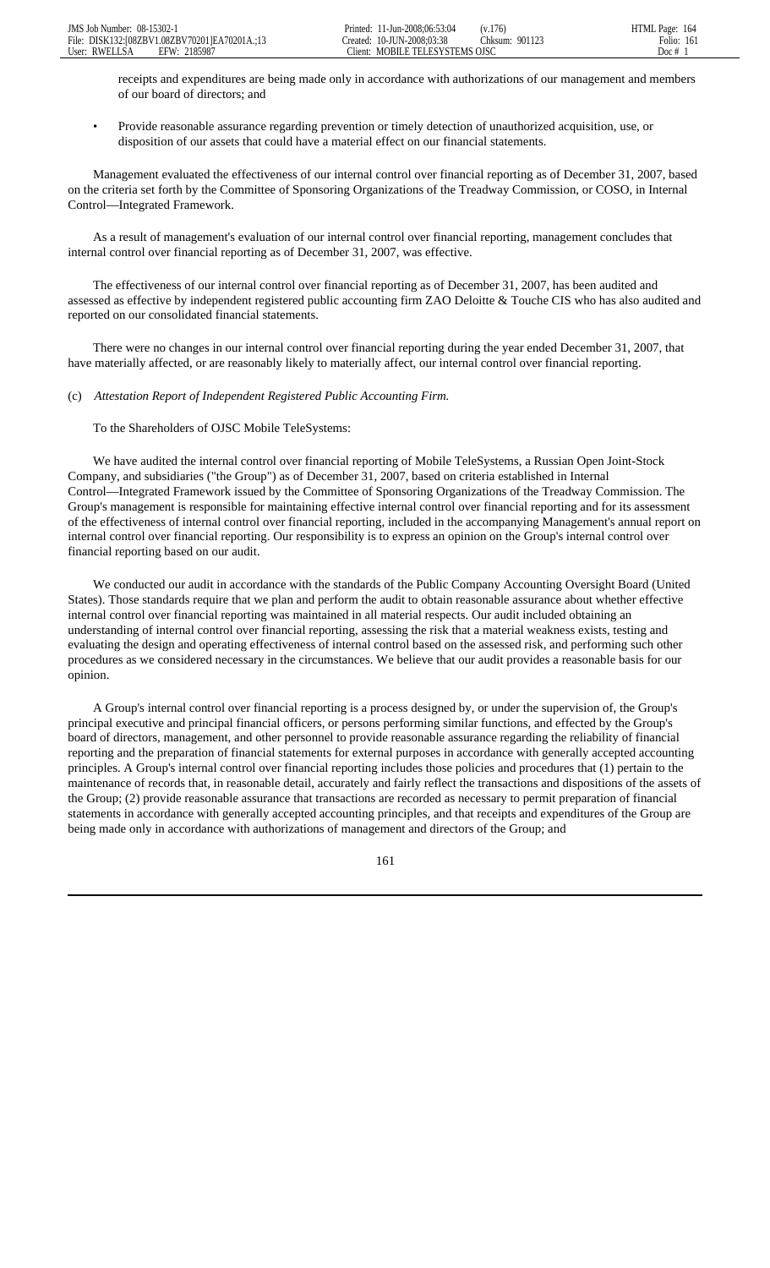receipts and expenditures are being made only in accordance with authorizations of our management and members of our board of directors; and

• Provide reasonable assurance regarding prevention or timely detection of unauthorized acquisition, use, or disposition of our assets that could have a material effect on our financial statements.

 Management evaluated the effectiveness of our internal control over financial reporting as of December 31, 2007, based on the criteria set forth by the Committee of Sponsoring Organizations of the Treadway Commission, or COSO, in Internal Control—Integrated Framework.

 As a result of management's evaluation of our internal control over financial reporting, management concludes that internal control over financial reporting as of December 31, 2007, was effective.

 The effectiveness of our internal control over financial reporting as of December 31, 2007, has been audited and assessed as effective by independent registered public accounting firm ZAO Deloitte & Touche CIS who has also audited and reported on our consolidated financial statements.

 There were no changes in our internal control over financial reporting during the year ended December 31, 2007, that have materially affected, or are reasonably likely to materially affect, our internal control over financial reporting.

# (c) *Attestation Report of Independent Registered Public Accounting Firm.*

# To the Shareholders of OJSC Mobile TeleSystems:

 We have audited the internal control over financial reporting of Mobile TeleSystems, a Russian Open Joint-Stock Company, and subsidiaries ("the Group") as of December 31, 2007, based on criteria established in Internal Control—Integrated Framework issued by the Committee of Sponsoring Organizations of the Treadway Commission. The Group's management is responsible for maintaining effective internal control over financial reporting and for its assessment of the effectiveness of internal control over financial reporting, included in the accompanying Management's annual report on internal control over financial reporting. Our responsibility is to express an opinion on the Group's internal control over financial reporting based on our audit.

 We conducted our audit in accordance with the standards of the Public Company Accounting Oversight Board (United States). Those standards require that we plan and perform the audit to obtain reasonable assurance about whether effective internal control over financial reporting was maintained in all material respects. Our audit included obtaining an understanding of internal control over financial reporting, assessing the risk that a material weakness exists, testing and evaluating the design and operating effectiveness of internal control based on the assessed risk, and performing such other procedures as we considered necessary in the circumstances. We believe that our audit provides a reasonable basis for our opinion.

 A Group's internal control over financial reporting is a process designed by, or under the supervision of, the Group's principal executive and principal financial officers, or persons performing similar functions, and effected by the Group's board of directors, management, and other personnel to provide reasonable assurance regarding the reliability of financial reporting and the preparation of financial statements for external purposes in accordance with generally accepted accounting principles. A Group's internal control over financial reporting includes those policies and procedures that (1) pertain to the maintenance of records that, in reasonable detail, accurately and fairly reflect the transactions and dispositions of the assets of the Group; (2) provide reasonable assurance that transactions are recorded as necessary to permit preparation of financial statements in accordance with generally accepted accounting principles, and that receipts and expenditures of the Group are being made only in accordance with authorizations of management and directors of the Group; and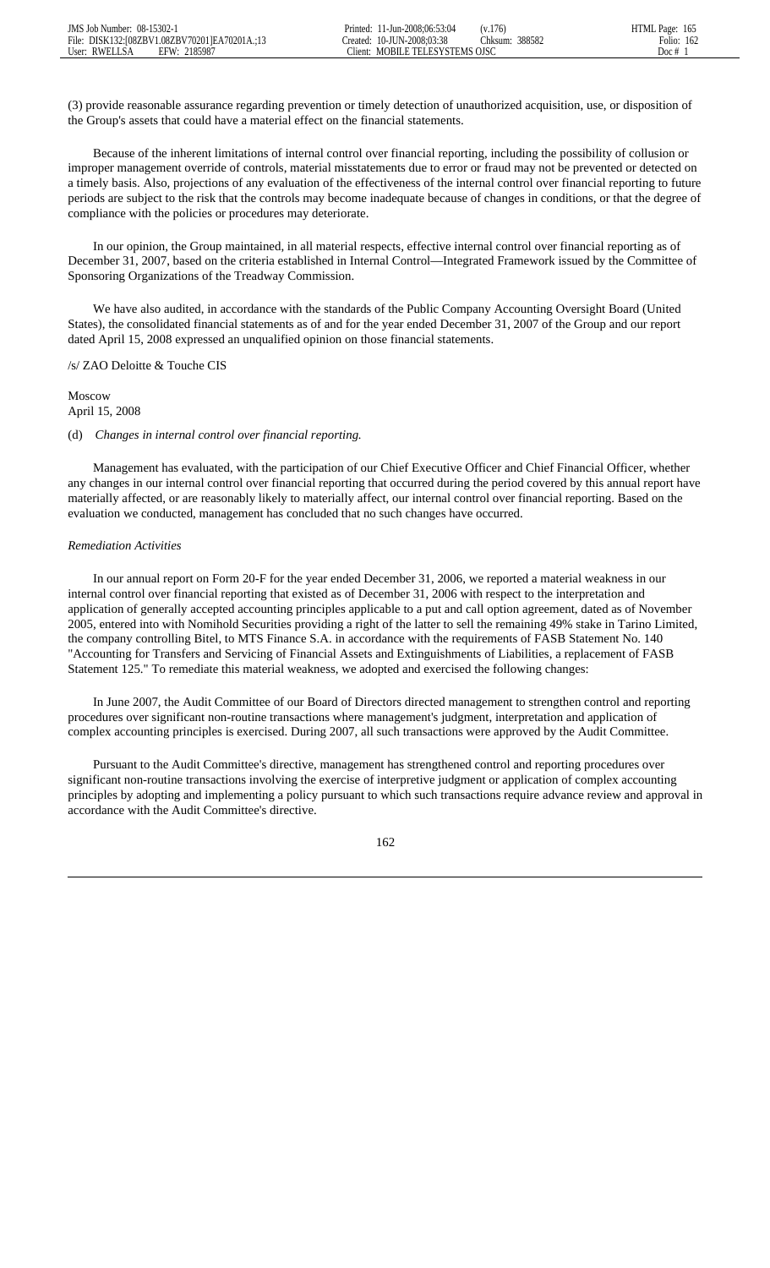(3) provide reasonable assurance regarding prevention or timely detection of unauthorized acquisition, use, or disposition of the Group's assets that could have a material effect on the financial statements.

 Because of the inherent limitations of internal control over financial reporting, including the possibility of collusion or improper management override of controls, material misstatements due to error or fraud may not be prevented or detected on a timely basis. Also, projections of any evaluation of the effectiveness of the internal control over financial reporting to future periods are subject to the risk that the controls may become inadequate because of changes in conditions, or that the degree of compliance with the policies or procedures may deteriorate.

 In our opinion, the Group maintained, in all material respects, effective internal control over financial reporting as of December 31, 2007, based on the criteria established in Internal Control—Integrated Framework issued by the Committee of Sponsoring Organizations of the Treadway Commission.

 We have also audited, in accordance with the standards of the Public Company Accounting Oversight Board (United States), the consolidated financial statements as of and for the year ended December 31, 2007 of the Group and our report dated April 15, 2008 expressed an unqualified opinion on those financial statements.

/s/ ZAO Deloitte & Touche CIS

Moscow April 15, 2008

#### (d) *Changes in internal control over financial reporting.*

 Management has evaluated, with the participation of our Chief Executive Officer and Chief Financial Officer, whether any changes in our internal control over financial reporting that occurred during the period covered by this annual report have materially affected, or are reasonably likely to materially affect, our internal control over financial reporting. Based on the evaluation we conducted, management has concluded that no such changes have occurred.

#### *Remediation Activities*

 In our annual report on Form 20-F for the year ended December 31, 2006, we reported a material weakness in our internal control over financial reporting that existed as of December 31, 2006 with respect to the interpretation and application of generally accepted accounting principles applicable to a put and call option agreement, dated as of November 2005, entered into with Nomihold Securities providing a right of the latter to sell the remaining 49% stake in Tarino Limited, the company controlling Bitel, to MTS Finance S.A. in accordance with the requirements of FASB Statement No. 140 "Accounting for Transfers and Servicing of Financial Assets and Extinguishments of Liabilities, a replacement of FASB Statement 125." To remediate this material weakness, we adopted and exercised the following changes:

 In June 2007, the Audit Committee of our Board of Directors directed management to strengthen control and reporting procedures over significant non-routine transactions where management's judgment, interpretation and application of complex accounting principles is exercised. During 2007, all such transactions were approved by the Audit Committee.

 Pursuant to the Audit Committee's directive, management has strengthened control and reporting procedures over significant non-routine transactions involving the exercise of interpretive judgment or application of complex accounting principles by adopting and implementing a policy pursuant to which such transactions require advance review and approval in accordance with the Audit Committee's directive.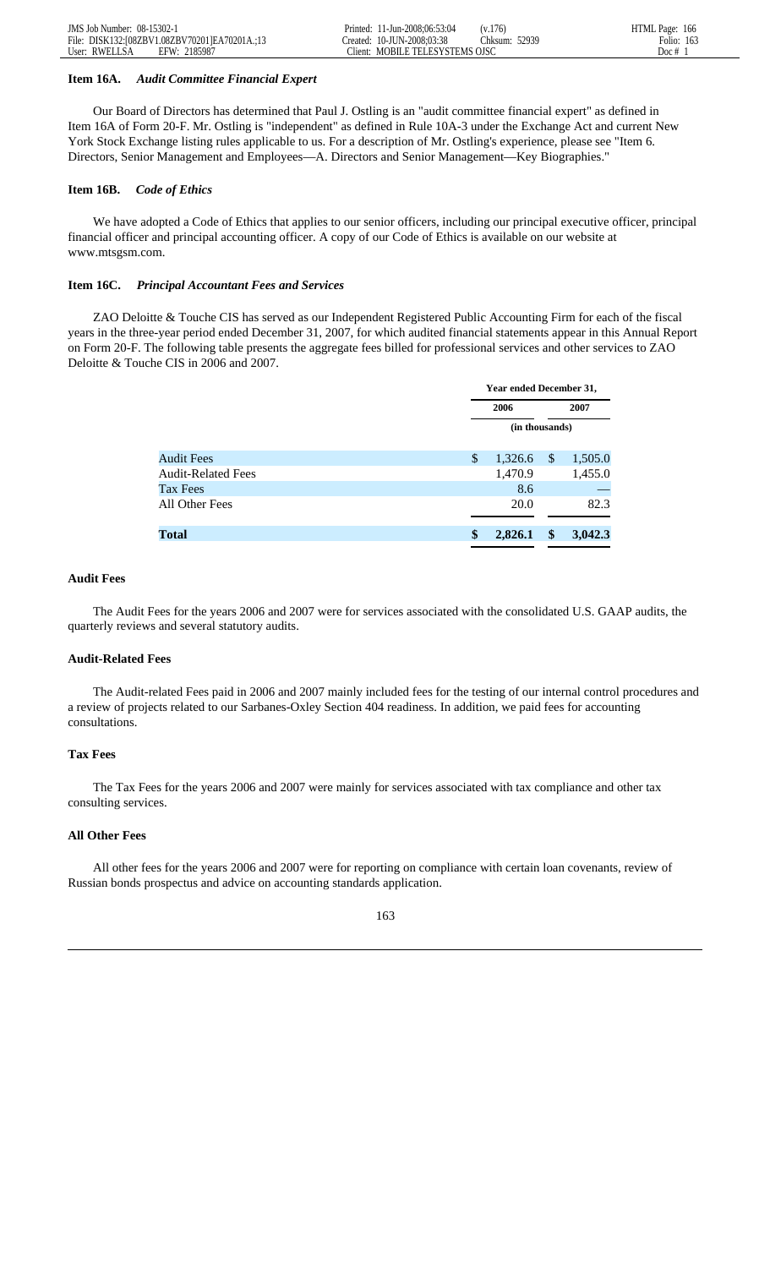# **Item 16A.** *Audit Committee Financial Expert*

 Our Board of Directors has determined that Paul J. Ostling is an "audit committee financial expert" as defined in Item 16A of Form 20-F. Mr. Ostling is "independent" as defined in Rule 10A-3 under the Exchange Act and current New York Stock Exchange listing rules applicable to us. For a description of Mr. Ostling's experience, please see "Item 6. Directors, Senior Management and Employees—A. Directors and Senior Management—Key Biographies."

# **Item 16B.** *Code of Ethics*

 We have adopted a Code of Ethics that applies to our senior officers, including our principal executive officer, principal financial officer and principal accounting officer. A copy of our Code of Ethics is available on our website at www.mtsgsm.com.

## **Item 16C.** *Principal Accountant Fees and Services*

 ZAO Deloitte & Touche CIS has served as our Independent Registered Public Accounting Firm for each of the fiscal years in the three-year period ended December 31, 2007, for which audited financial statements appear in this Annual Report on Form 20-F. The following table presents the aggregate fees billed for professional services and other services to ZAO Deloitte & Touche CIS in 2006 and 2007.

|                           | Year ended December 31, |    |         |  |
|---------------------------|-------------------------|----|---------|--|
|                           | 2006                    |    | 2007    |  |
|                           | (in thousands)          |    |         |  |
| <b>Audit Fees</b>         | \$<br>1,326.6           | \$ | 1,505.0 |  |
| <b>Audit-Related Fees</b> | 1,470.9                 |    | 1,455.0 |  |
| <b>Tax Fees</b>           | 8.6                     |    |         |  |
| All Other Fees            | 20.0                    |    | 82.3    |  |
| <b>Total</b>              | \$<br>2,826.1           | \$ | 3,042.3 |  |

# **Audit Fees**

 The Audit Fees for the years 2006 and 2007 were for services associated with the consolidated U.S. GAAP audits, the quarterly reviews and several statutory audits.

#### **Audit-Related Fees**

 The Audit-related Fees paid in 2006 and 2007 mainly included fees for the testing of our internal control procedures and a review of projects related to our Sarbanes-Oxley Section 404 readiness. In addition, we paid fees for accounting consultations.

## **Tax Fees**

 The Tax Fees for the years 2006 and 2007 were mainly for services associated with tax compliance and other tax consulting services.

# **All Other Fees**

 All other fees for the years 2006 and 2007 were for reporting on compliance with certain loan covenants, review of Russian bonds prospectus and advice on accounting standards application.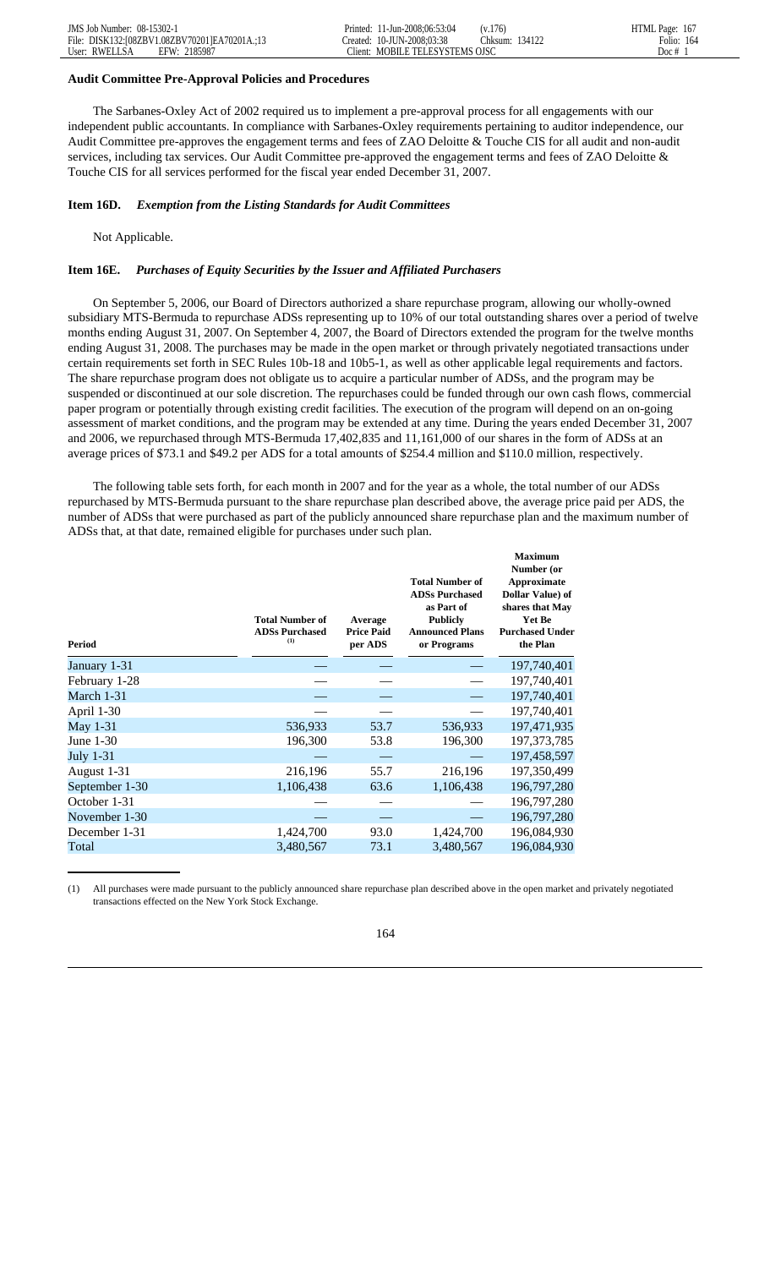## **Audit Committee Pre-Approval Policies and Procedures**

 The Sarbanes-Oxley Act of 2002 required us to implement a pre-approval process for all engagements with our independent public accountants. In compliance with Sarbanes-Oxley requirements pertaining to auditor independence, our Audit Committee pre-approves the engagement terms and fees of ZAO Deloitte & Touche CIS for all audit and non-audit services, including tax services. Our Audit Committee pre-approved the engagement terms and fees of ZAO Deloitte & Touche CIS for all services performed for the fiscal year ended December 31, 2007.

## **Item 16D.** *Exemption from the Listing Standards for Audit Committees*

Not Applicable.

# **Item 16E.** *Purchases of Equity Securities by the Issuer and Affiliated Purchasers*

 On September 5, 2006, our Board of Directors authorized a share repurchase program, allowing our wholly-owned subsidiary MTS-Bermuda to repurchase ADSs representing up to 10% of our total outstanding shares over a period of twelve months ending August 31, 2007. On September 4, 2007, the Board of Directors extended the program for the twelve months ending August 31, 2008. The purchases may be made in the open market or through privately negotiated transactions under certain requirements set forth in SEC Rules 10b-18 and 10b5-1, as well as other applicable legal requirements and factors. The share repurchase program does not obligate us to acquire a particular number of ADSs, and the program may be suspended or discontinued at our sole discretion. The repurchases could be funded through our own cash flows, commercial paper program or potentially through existing credit facilities. The execution of the program will depend on an on-going assessment of market conditions, and the program may be extended at any time. During the years ended December 31, 2007 and 2006, we repurchased through MTS-Bermuda 17,402,835 and 11,161,000 of our shares in the form of ADSs at an average prices of \$73.1 and \$49.2 per ADS for a total amounts of \$254.4 million and \$110.0 million, respectively.

 The following table sets forth, for each month in 2007 and for the year as a whole, the total number of our ADSs repurchased by MTS-Bermuda pursuant to the share repurchase plan described above, the average price paid per ADS, the number of ADSs that were purchased as part of the publicly announced share repurchase plan and the maximum number of ADSs that, at that date, remained eligible for purchases under such plan.

| <b>Period</b>    | <b>Total Number of</b><br><b>ADSs Purchased</b><br>(1) | Average<br><b>Price Paid</b><br>per ADS | <b>Total Number of</b><br><b>ADSs Purchased</b><br>as Part of<br><b>Publicly</b><br><b>Announced Plans</b><br>or Programs | <b>Maximum</b><br>Number (or<br>Approximate<br>Dollar Value) of<br>shares that May<br><b>Yet Be</b><br><b>Purchased Under</b><br>the Plan |
|------------------|--------------------------------------------------------|-----------------------------------------|---------------------------------------------------------------------------------------------------------------------------|-------------------------------------------------------------------------------------------------------------------------------------------|
| January 1-31     |                                                        |                                         |                                                                                                                           | 197,740,401                                                                                                                               |
| February 1-28    |                                                        |                                         |                                                                                                                           | 197,740,401                                                                                                                               |
| March 1-31       |                                                        |                                         |                                                                                                                           | 197,740,401                                                                                                                               |
| April 1-30       |                                                        |                                         |                                                                                                                           | 197,740,401                                                                                                                               |
| May 1-31         | 536,933                                                | 53.7                                    | 536,933                                                                                                                   | 197,471,935                                                                                                                               |
| June $1-30$      | 196,300                                                | 53.8                                    | 196,300                                                                                                                   | 197, 373, 785                                                                                                                             |
| <b>July 1-31</b> |                                                        |                                         |                                                                                                                           | 197,458,597                                                                                                                               |
| August 1-31      | 216,196                                                | 55.7                                    | 216,196                                                                                                                   | 197,350,499                                                                                                                               |
| September 1-30   | 1,106,438                                              | 63.6                                    | 1,106,438                                                                                                                 | 196,797,280                                                                                                                               |
| October 1-31     |                                                        |                                         |                                                                                                                           | 196,797,280                                                                                                                               |
| November 1-30    |                                                        |                                         |                                                                                                                           | 196,797,280                                                                                                                               |
| December 1-31    | 1,424,700                                              | 93.0                                    | 1,424,700                                                                                                                 | 196,084,930                                                                                                                               |
| Total            | 3,480,567                                              | 73.1                                    | 3,480,567                                                                                                                 | 196,084,930                                                                                                                               |
|                  |                                                        |                                         |                                                                                                                           |                                                                                                                                           |

(1) All purchases were made pursuant to the publicly announced share repurchase plan described above in the open market and privately negotiated transactions effected on the New York Stock Exchange.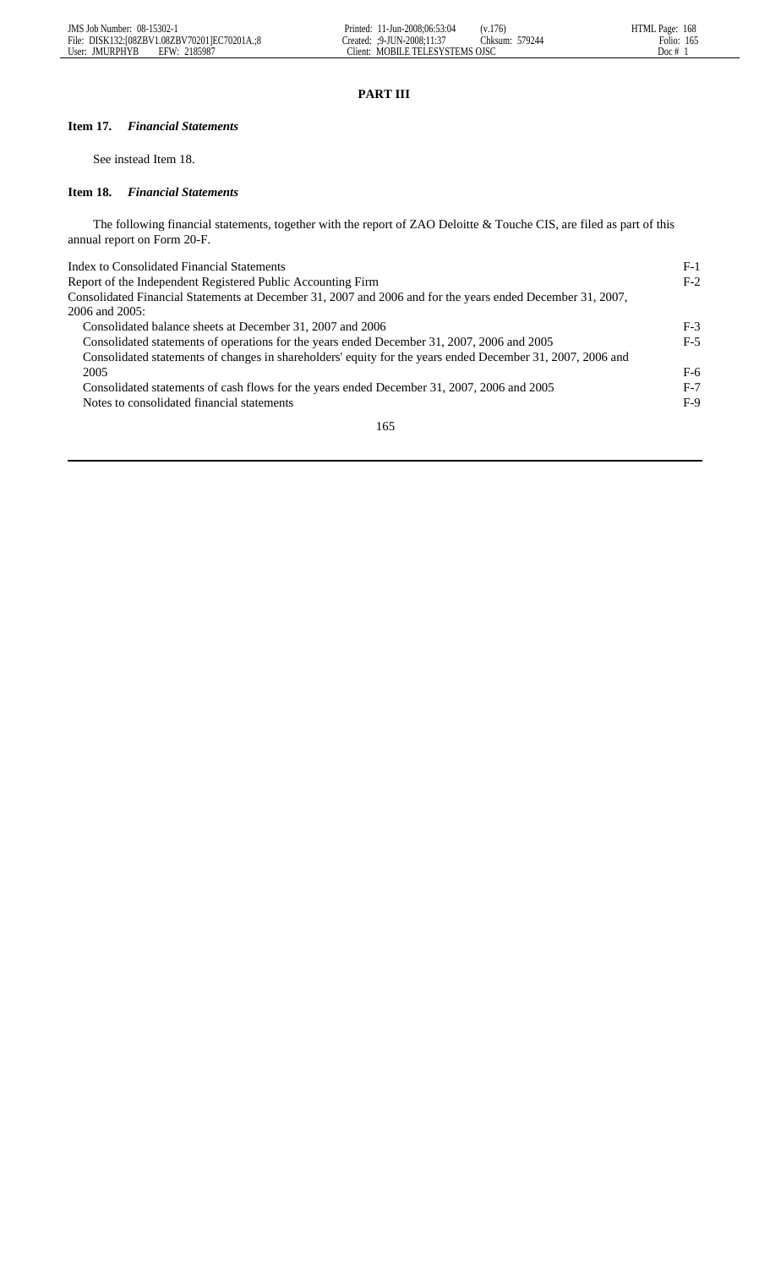# **Item 17.** *Financial Statements*

See instead Item 18.

# **Item 18.** *Financial Statements*

 The following financial statements, together with the report of ZAO Deloitte & Touche CIS, are filed as part of this annual report on Form 20-F.

| Index to Consolidated Financial Statements                                                                 | $F-1$ |
|------------------------------------------------------------------------------------------------------------|-------|
| Report of the Independent Registered Public Accounting Firm                                                | $F-2$ |
| Consolidated Financial Statements at December 31, 2007 and 2006 and for the years ended December 31, 2007, |       |
| 2006 and 2005:                                                                                             |       |
| Consolidated balance sheets at December 31, 2007 and 2006                                                  | $F-3$ |
| Consolidated statements of operations for the years ended December 31, 2007, 2006 and 2005                 | $F-5$ |
| Consolidated statements of changes in shareholders' equity for the years ended December 31, 2007, 2006 and |       |
| 2005                                                                                                       | $F-6$ |
| Consolidated statements of cash flows for the years ended December 31, 2007, 2006 and 2005                 | $F-7$ |
| Notes to consolidated financial statements                                                                 | $F-9$ |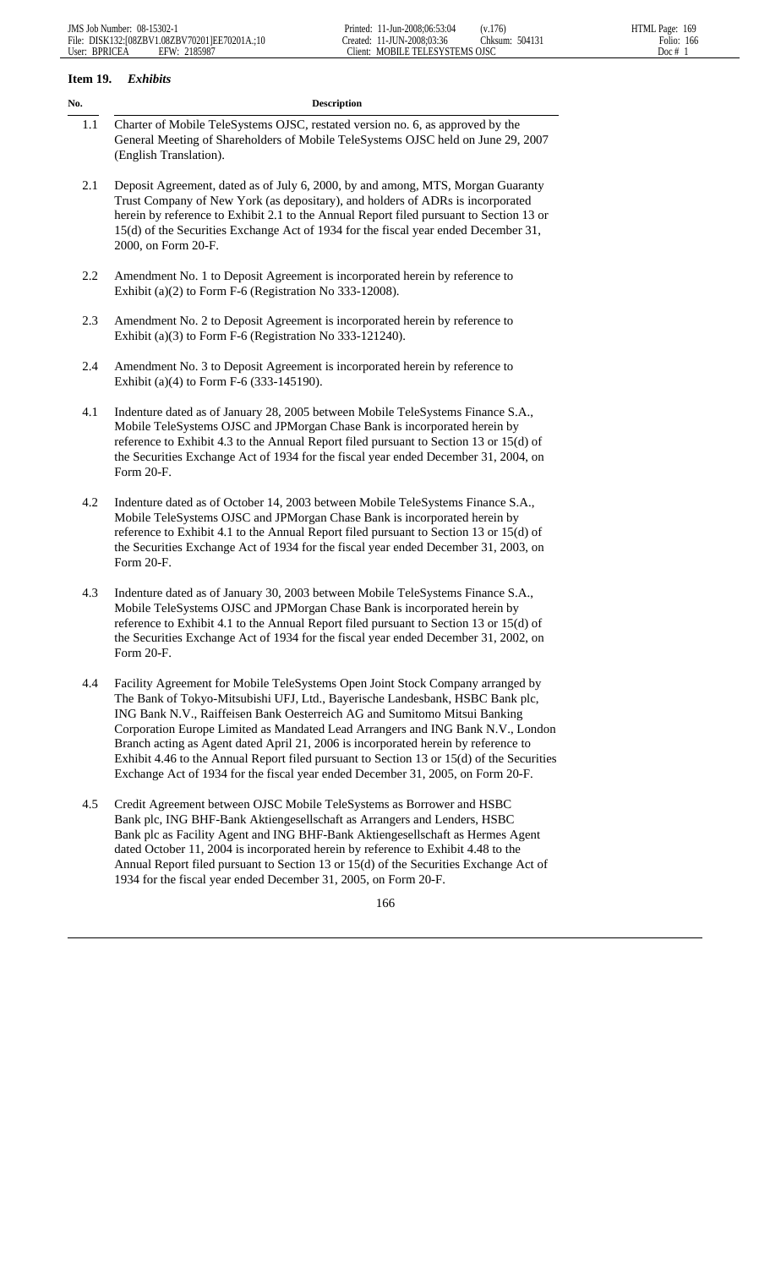# **Item 19.** *Exhibits*

Form 20-F.

| No. | <b>Description</b>                                                                                                                                                                                                                                                                                                                                                         |
|-----|----------------------------------------------------------------------------------------------------------------------------------------------------------------------------------------------------------------------------------------------------------------------------------------------------------------------------------------------------------------------------|
| 1.1 | Charter of Mobile TeleSystems OJSC, restated version no. 6, as approved by the<br>General Meeting of Shareholders of Mobile TeleSystems OJSC held on June 29, 2007<br>(English Translation).                                                                                                                                                                               |
| 2.1 | Deposit Agreement, dated as of July 6, 2000, by and among, MTS, Morgan Guaranty<br>Trust Company of New York (as depositary), and holders of ADRs is incorporated<br>herein by reference to Exhibit 2.1 to the Annual Report filed pursuant to Section 13 or<br>15(d) of the Securities Exchange Act of 1934 for the fiscal year ended December 31,<br>2000, on Form 20-F. |
| 2.2 | Amendment No. 1 to Deposit Agreement is incorporated herein by reference to<br>Exhibit (a) $(2)$ to Form F-6 (Registration No 333-12008).                                                                                                                                                                                                                                  |
| 2.3 | Amendment No. 2 to Deposit Agreement is incorporated herein by reference to<br>Exhibit (a)(3) to Form F-6 (Registration No 333-121240).                                                                                                                                                                                                                                    |
| 2.4 | Amendment No. 3 to Deposit Agreement is incorporated herein by reference to<br>Exhibit (a)(4) to Form F-6 (333-145190).                                                                                                                                                                                                                                                    |
| 4.1 | Indenture dated as of January 28, 2005 between Mobile TeleSystems Finance S.A.,<br>Mobile TeleSystems OJSC and JPMorgan Chase Bank is incorporated herein by<br>reference to Exhibit 4.3 to the Annual Report filed pursuant to Section 13 or 15(d) of<br>the Securities Exchange Act of 1934 for the fiscal year ended December 31, 2004, on<br>Form 20-F.                |
| 4.2 | Indenture dated as of October 14, 2003 between Mobile TeleSystems Finance S.A.,<br>Mobile TeleSystems OJSC and JPMorgan Chase Bank is incorporated herein by<br>reference to Exhibit 4.1 to the Annual Report filed pursuant to Section 13 or 15(d) of<br>the Securities Exchange Act of 1934 for the fiscal year ended December 31, 2003, on                              |

- 4.3 Indenture dated as of January 30, 2003 between Mobile TeleSystems Finance S.A., Mobile TeleSystems OJSC and JPMorgan Chase Bank is incorporated herein by reference to Exhibit 4.1 to the Annual Report filed pursuant to Section 13 or 15(d) of the Securities Exchange Act of 1934 for the fiscal year ended December 31, 2002, on Form 20-F.
- 4.4 Facility Agreement for Mobile TeleSystems Open Joint Stock Company arranged by The Bank of Tokyo-Mitsubishi UFJ, Ltd., Bayerische Landesbank, HSBC Bank plc, ING Bank N.V., Raiffeisen Bank Oesterreich AG and Sumitomo Mitsui Banking Corporation Europe Limited as Mandated Lead Arrangers and ING Bank N.V., London Branch acting as Agent dated April 21, 2006 is incorporated herein by reference to Exhibit 4.46 to the Annual Report filed pursuant to Section 13 or 15(d) of the Securities Exchange Act of 1934 for the fiscal year ended December 31, 2005, on Form 20-F.
- 4.5 Credit Agreement between OJSC Mobile TeleSystems as Borrower and HSBC Bank plc, ING BHF-Bank Aktiengesellschaft as Arrangers and Lenders, HSBC Bank plc as Facility Agent and ING BHF-Bank Aktiengesellschaft as Hermes Agent dated October 11, 2004 is incorporated herein by reference to Exhibit 4.48 to the Annual Report filed pursuant to Section 13 or 15(d) of the Securities Exchange Act of 1934 for the fiscal year ended December 31, 2005, on Form 20-F.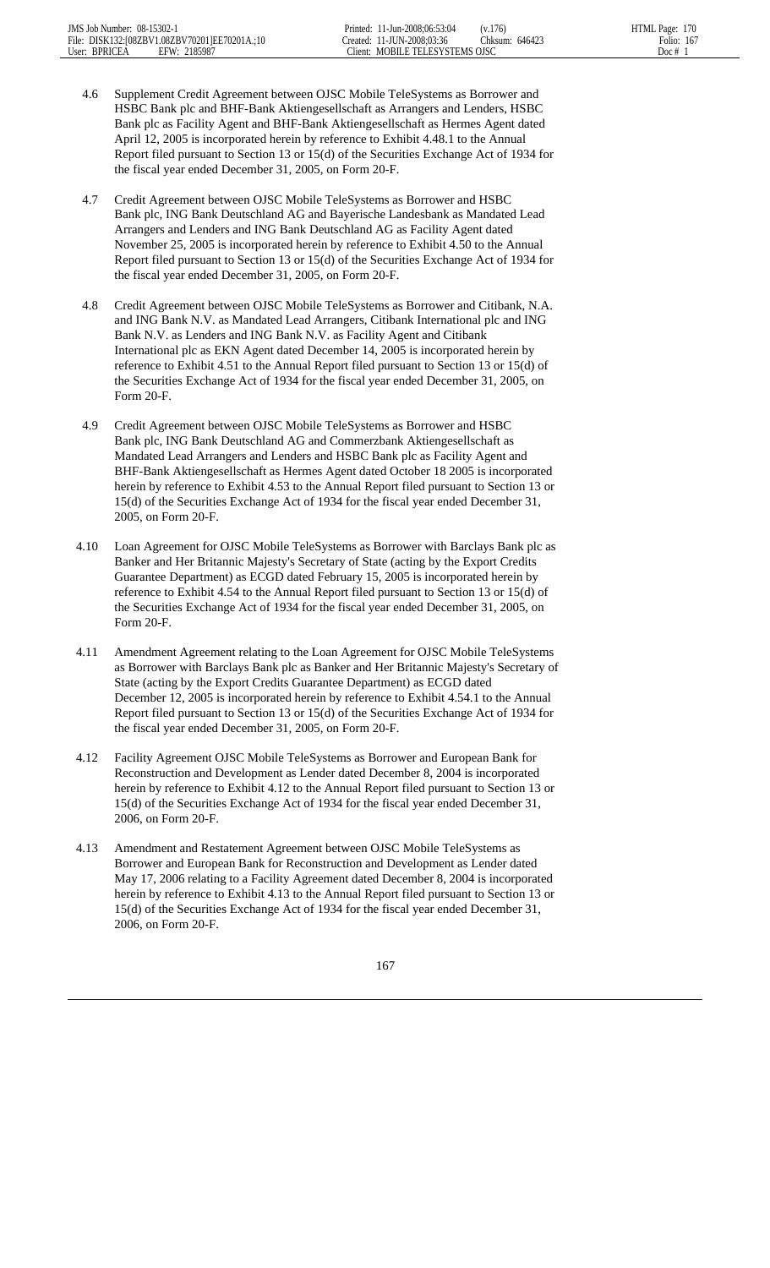- 4.6 Supplement Credit Agreement between OJSC Mobile TeleSystems as Borrower and HSBC Bank plc and BHF-Bank Aktiengesellschaft as Arrangers and Lenders, HSBC Bank plc as Facility Agent and BHF-Bank Aktiengesellschaft as Hermes Agent dated April 12, 2005 is incorporated herein by reference to Exhibit 4.48.1 to the Annual Report filed pursuant to Section 13 or 15(d) of the Securities Exchange Act of 1934 for the fiscal year ended December 31, 2005, on Form 20-F.
- 4.7 Credit Agreement between OJSC Mobile TeleSystems as Borrower and HSBC Bank plc, ING Bank Deutschland AG and Bayerische Landesbank as Mandated Lead Arrangers and Lenders and ING Bank Deutschland AG as Facility Agent dated November 25, 2005 is incorporated herein by reference to Exhibit 4.50 to the Annual Report filed pursuant to Section 13 or 15(d) of the Securities Exchange Act of 1934 for the fiscal year ended December 31, 2005, on Form 20-F.
- 4.8 Credit Agreement between OJSC Mobile TeleSystems as Borrower and Citibank, N.A. and ING Bank N.V. as Mandated Lead Arrangers, Citibank International plc and ING Bank N.V. as Lenders and ING Bank N.V. as Facility Agent and Citibank International plc as EKN Agent dated December 14, 2005 is incorporated herein by reference to Exhibit 4.51 to the Annual Report filed pursuant to Section 13 or 15(d) of the Securities Exchange Act of 1934 for the fiscal year ended December 31, 2005, on Form 20-F.
- 4.9 Credit Agreement between OJSC Mobile TeleSystems as Borrower and HSBC Bank plc, ING Bank Deutschland AG and Commerzbank Aktiengesellschaft as Mandated Lead Arrangers and Lenders and HSBC Bank plc as Facility Agent and BHF-Bank Aktiengesellschaft as Hermes Agent dated October 18 2005 is incorporated herein by reference to Exhibit 4.53 to the Annual Report filed pursuant to Section 13 or 15(d) of the Securities Exchange Act of 1934 for the fiscal year ended December 31, 2005, on Form 20-F.
- 4.10 Loan Agreement for OJSC Mobile TeleSystems as Borrower with Barclays Bank plc as Banker and Her Britannic Majesty's Secretary of State (acting by the Export Credits Guarantee Department) as ECGD dated February 15, 2005 is incorporated herein by reference to Exhibit 4.54 to the Annual Report filed pursuant to Section 13 or 15(d) of the Securities Exchange Act of 1934 for the fiscal year ended December 31, 2005, on Form 20-F.
- 4.11 Amendment Agreement relating to the Loan Agreement for OJSC Mobile TeleSystems as Borrower with Barclays Bank plc as Banker and Her Britannic Majesty's Secretary of State (acting by the Export Credits Guarantee Department) as ECGD dated December 12, 2005 is incorporated herein by reference to Exhibit 4.54.1 to the Annual Report filed pursuant to Section 13 or 15(d) of the Securities Exchange Act of 1934 for the fiscal year ended December 31, 2005, on Form 20-F.
- 4.12 Facility Agreement OJSC Mobile TeleSystems as Borrower and European Bank for Reconstruction and Development as Lender dated December 8, 2004 is incorporated herein by reference to Exhibit 4.12 to the Annual Report filed pursuant to Section 13 or 15(d) of the Securities Exchange Act of 1934 for the fiscal year ended December 31, 2006, on Form 20-F.
- 4.13 Amendment and Restatement Agreement between OJSC Mobile TeleSystems as Borrower and European Bank for Reconstruction and Development as Lender dated May 17, 2006 relating to a Facility Agreement dated December 8, 2004 is incorporated herein by reference to Exhibit 4.13 to the Annual Report filed pursuant to Section 13 or 15(d) of the Securities Exchange Act of 1934 for the fiscal year ended December 31, 2006, on Form 20-F.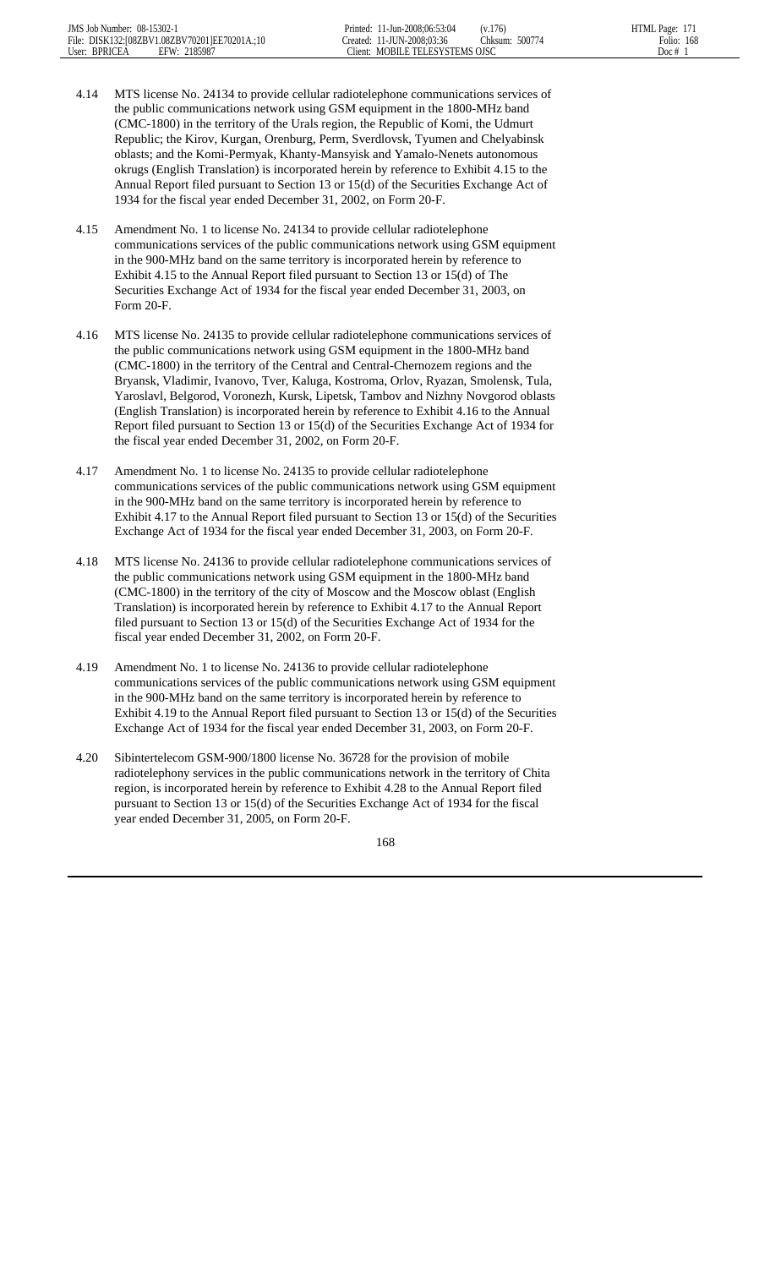- 4.14 MTS license No. 24134 to provide cellular radiotelephone communications services of the public communications network using GSM equipment in the 1800-MHz band (CMC-1800) in the territory of the Urals region, the Republic of Komi, the Udmurt Republic; the Kirov, Kurgan, Orenburg, Perm, Sverdlovsk, Tyumen and Chelyabinsk oblasts; and the Komi-Permyak, Khanty-Mansyisk and Yamalo-Nenets autonomous okrugs (English Translation) is incorporated herein by reference to Exhibit 4.15 to the Annual Report filed pursuant to Section 13 or 15(d) of the Securities Exchange Act of 1934 for the fiscal year ended December 31, 2002, on Form 20-F.
- 4.15 Amendment No. 1 to license No. 24134 to provide cellular radiotelephone communications services of the public communications network using GSM equipment in the 900-MHz band on the same territory is incorporated herein by reference to Exhibit 4.15 to the Annual Report filed pursuant to Section 13 or 15(d) of The Securities Exchange Act of 1934 for the fiscal year ended December 31, 2003, on Form 20-F.
- 4.16 MTS license No. 24135 to provide cellular radiotelephone communications services of the public communications network using GSM equipment in the 1800-MHz band (CMC-1800) in the territory of the Central and Central-Chernozem regions and the Bryansk, Vladimir, Ivanovo, Tver, Kaluga, Kostroma, Orlov, Ryazan, Smolensk, Tula, Yaroslavl, Belgorod, Voronezh, Kursk, Lipetsk, Tambov and Nizhny Novgorod oblasts (English Translation) is incorporated herein by reference to Exhibit 4.16 to the Annual Report filed pursuant to Section 13 or 15(d) of the Securities Exchange Act of 1934 for the fiscal year ended December 31, 2002, on Form 20-F.
- 4.17 Amendment No. 1 to license No. 24135 to provide cellular radiotelephone communications services of the public communications network using GSM equipment in the 900-MHz band on the same territory is incorporated herein by reference to Exhibit 4.17 to the Annual Report filed pursuant to Section 13 or 15(d) of the Securities Exchange Act of 1934 for the fiscal year ended December 31, 2003, on Form 20-F.
- 4.18 MTS license No. 24136 to provide cellular radiotelephone communications services of the public communications network using GSM equipment in the 1800-MHz band (CMC-1800) in the territory of the city of Moscow and the Moscow oblast (English Translation) is incorporated herein by reference to Exhibit 4.17 to the Annual Report filed pursuant to Section 13 or 15(d) of the Securities Exchange Act of 1934 for the fiscal year ended December 31, 2002, on Form 20-F.
- 4.19 Amendment No. 1 to license No. 24136 to provide cellular radiotelephone communications services of the public communications network using GSM equipment in the 900-MHz band on the same territory is incorporated herein by reference to Exhibit 4.19 to the Annual Report filed pursuant to Section 13 or 15(d) of the Securities Exchange Act of 1934 for the fiscal year ended December 31, 2003, on Form 20-F.
- 4.20 Sibintertelecom GSM-900/1800 license No. 36728 for the provision of mobile radiotelephony services in the public communications network in the territory of Chita region, is incorporated herein by reference to Exhibit 4.28 to the Annual Report filed pursuant to Section 13 or 15(d) of the Securities Exchange Act of 1934 for the fiscal year ended December 31, 2005, on Form 20-F.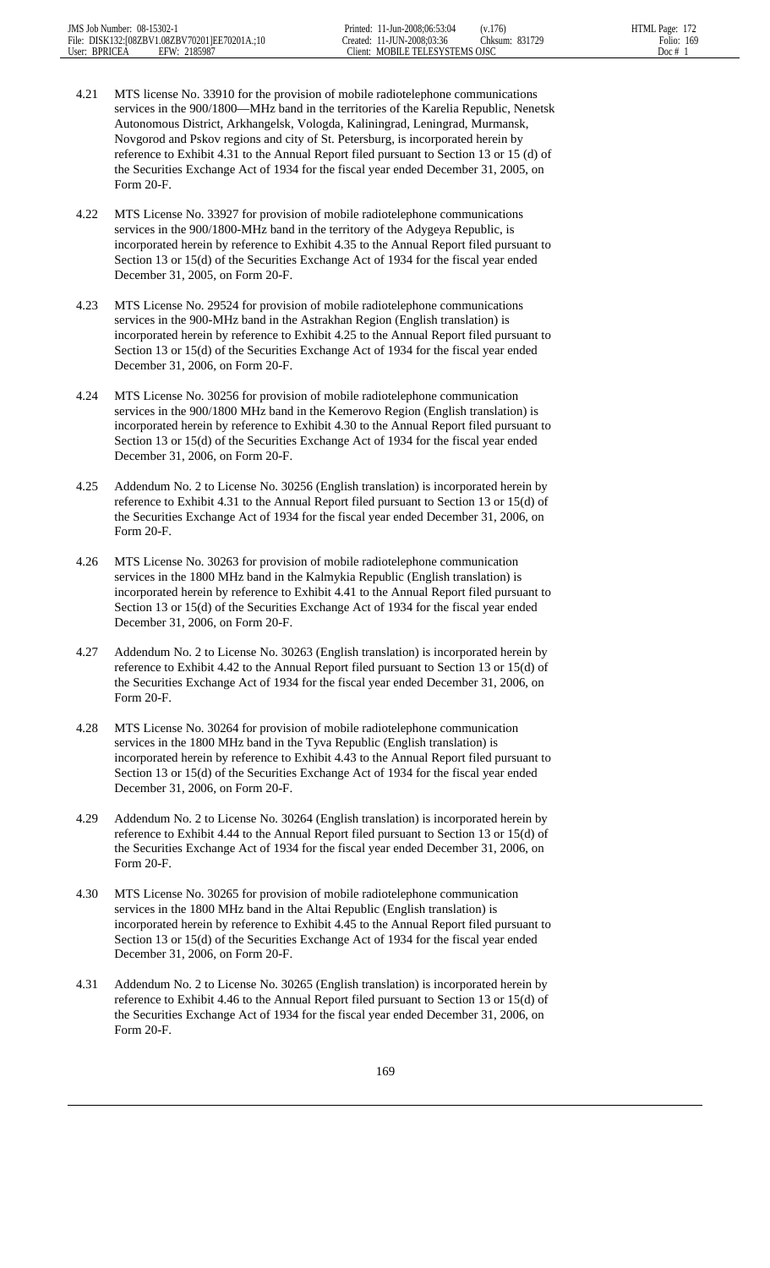- 4.21 MTS license No. 33910 for the provision of mobile radiotelephone communications services in the 900/1800—MHz band in the territories of the Karelia Republic, Nenetsk Autonomous District, Arkhangelsk, Vologda, Kaliningrad, Leningrad, Murmansk, Novgorod and Pskov regions and city of St. Petersburg, is incorporated herein by reference to Exhibit 4.31 to the Annual Report filed pursuant to Section 13 or 15 (d) of the Securities Exchange Act of 1934 for the fiscal year ended December 31, 2005, on Form 20-F.
- 4.22 MTS License No. 33927 for provision of mobile radiotelephone communications services in the 900/1800-MHz band in the territory of the Adygeya Republic, is incorporated herein by reference to Exhibit 4.35 to the Annual Report filed pursuant to Section 13 or 15(d) of the Securities Exchange Act of 1934 for the fiscal year ended December 31, 2005, on Form 20-F.
- 4.23 MTS License No. 29524 for provision of mobile radiotelephone communications services in the 900-MHz band in the Astrakhan Region (English translation) is incorporated herein by reference to Exhibit 4.25 to the Annual Report filed pursuant to Section 13 or 15(d) of the Securities Exchange Act of 1934 for the fiscal year ended December 31, 2006, on Form 20-F.
- 4.24 MTS License No. 30256 for provision of mobile radiotelephone communication services in the 900/1800 MHz band in the Kemerovo Region (English translation) is incorporated herein by reference to Exhibit 4.30 to the Annual Report filed pursuant to Section 13 or 15(d) of the Securities Exchange Act of 1934 for the fiscal year ended December 31, 2006, on Form 20-F.
- 4.25 Addendum No. 2 to License No. 30256 (English translation) is incorporated herein by reference to Exhibit 4.31 to the Annual Report filed pursuant to Section 13 or 15(d) of the Securities Exchange Act of 1934 for the fiscal year ended December 31, 2006, on Form 20-F.
- 4.26 MTS License No. 30263 for provision of mobile radiotelephone communication services in the 1800 MHz band in the Kalmykia Republic (English translation) is incorporated herein by reference to Exhibit 4.41 to the Annual Report filed pursuant to Section 13 or 15(d) of the Securities Exchange Act of 1934 for the fiscal year ended December 31, 2006, on Form 20-F.
- 4.27 Addendum No. 2 to License No. 30263 (English translation) is incorporated herein by reference to Exhibit 4.42 to the Annual Report filed pursuant to Section 13 or 15(d) of the Securities Exchange Act of 1934 for the fiscal year ended December 31, 2006, on Form 20-F.
- 4.28 MTS License No. 30264 for provision of mobile radiotelephone communication services in the 1800 MHz band in the Tyva Republic (English translation) is incorporated herein by reference to Exhibit 4.43 to the Annual Report filed pursuant to Section 13 or 15(d) of the Securities Exchange Act of 1934 for the fiscal year ended December 31, 2006, on Form 20-F.
- 4.29 Addendum No. 2 to License No. 30264 (English translation) is incorporated herein by reference to Exhibit 4.44 to the Annual Report filed pursuant to Section 13 or 15(d) of the Securities Exchange Act of 1934 for the fiscal year ended December 31, 2006, on Form 20-F.
- 4.30 MTS License No. 30265 for provision of mobile radiotelephone communication services in the 1800 MHz band in the Altai Republic (English translation) is incorporated herein by reference to Exhibit 4.45 to the Annual Report filed pursuant to Section 13 or 15(d) of the Securities Exchange Act of 1934 for the fiscal year ended December 31, 2006, on Form 20-F.
- 4.31 Addendum No. 2 to License No. 30265 (English translation) is incorporated herein by reference to Exhibit 4.46 to the Annual Report filed pursuant to Section 13 or 15(d) of the Securities Exchange Act of 1934 for the fiscal year ended December 31, 2006, on Form 20-F.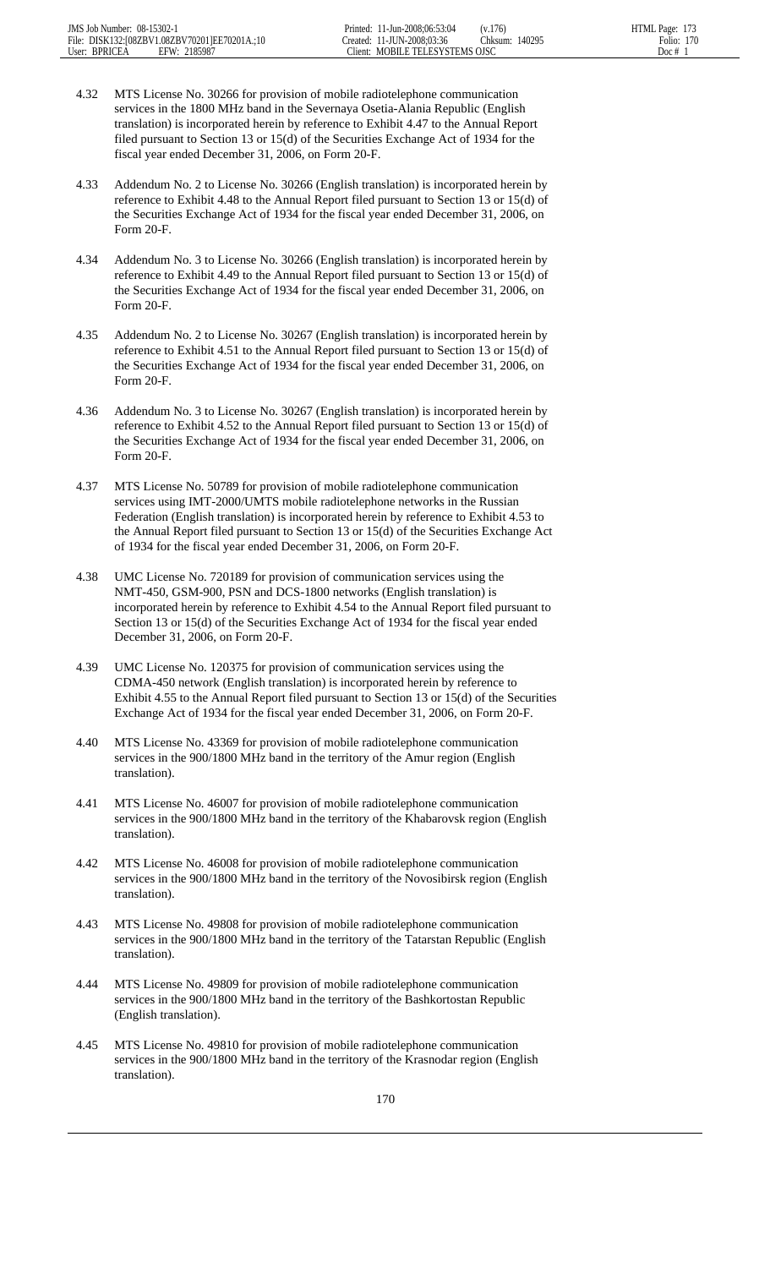- 4.32 MTS License No. 30266 for provision of mobile radiotelephone communication services in the 1800 MHz band in the Severnaya Osetia-Alania Republic (English translation) is incorporated herein by reference to Exhibit 4.47 to the Annual Report filed pursuant to Section 13 or 15(d) of the Securities Exchange Act of 1934 for the fiscal year ended December 31, 2006, on Form 20-F.
- 4.33 Addendum No. 2 to License No. 30266 (English translation) is incorporated herein by reference to Exhibit 4.48 to the Annual Report filed pursuant to Section 13 or 15(d) of the Securities Exchange Act of 1934 for the fiscal year ended December 31, 2006, on Form 20-F.
- 4.34 Addendum No. 3 to License No. 30266 (English translation) is incorporated herein by reference to Exhibit 4.49 to the Annual Report filed pursuant to Section 13 or 15(d) of the Securities Exchange Act of 1934 for the fiscal year ended December 31, 2006, on Form 20-F.
- 4.35 Addendum No. 2 to License No. 30267 (English translation) is incorporated herein by reference to Exhibit 4.51 to the Annual Report filed pursuant to Section 13 or 15(d) of the Securities Exchange Act of 1934 for the fiscal year ended December 31, 2006, on Form 20-F.
- 4.36 Addendum No. 3 to License No. 30267 (English translation) is incorporated herein by reference to Exhibit 4.52 to the Annual Report filed pursuant to Section 13 or 15(d) of the Securities Exchange Act of 1934 for the fiscal year ended December 31, 2006, on Form 20-F.
- 4.37 MTS License No. 50789 for provision of mobile radiotelephone communication services using IMT-2000/UMTS mobile radiotelephone networks in the Russian Federation (English translation) is incorporated herein by reference to Exhibit 4.53 to the Annual Report filed pursuant to Section 13 or 15(d) of the Securities Exchange Act of 1934 for the fiscal year ended December 31, 2006, on Form 20-F.
- 4.38 UMC License No. 720189 for provision of communication services using the NMT-450, GSM-900, PSN and DCS-1800 networks (English translation) is incorporated herein by reference to Exhibit 4.54 to the Annual Report filed pursuant to Section 13 or 15(d) of the Securities Exchange Act of 1934 for the fiscal year ended December 31, 2006, on Form 20-F.
- 4.39 UMC License No. 120375 for provision of communication services using the CDMA-450 network (English translation) is incorporated herein by reference to Exhibit 4.55 to the Annual Report filed pursuant to Section 13 or 15(d) of the Securities Exchange Act of 1934 for the fiscal year ended December 31, 2006, on Form 20-F.
- 4.40 MTS License No. 43369 for provision of mobile radiotelephone communication services in the 900/1800 MHz band in the territory of the Amur region (English translation).
- 4.41 MTS License No. 46007 for provision of mobile radiotelephone communication services in the 900/1800 MHz band in the territory of the Khabarovsk region (English translation).
- 4.42 MTS License No. 46008 for provision of mobile radiotelephone communication services in the 900/1800 MHz band in the territory of the Novosibirsk region (English translation).
- 4.43 MTS License No. 49808 for provision of mobile radiotelephone communication services in the 900/1800 MHz band in the territory of the Tatarstan Republic (English translation).
- 4.44 MTS License No. 49809 for provision of mobile radiotelephone communication services in the 900/1800 MHz band in the territory of the Bashkortostan Republic (English translation).
- 4.45 MTS License No. 49810 for provision of mobile radiotelephone communication services in the 900/1800 MHz band in the territory of the Krasnodar region (English translation).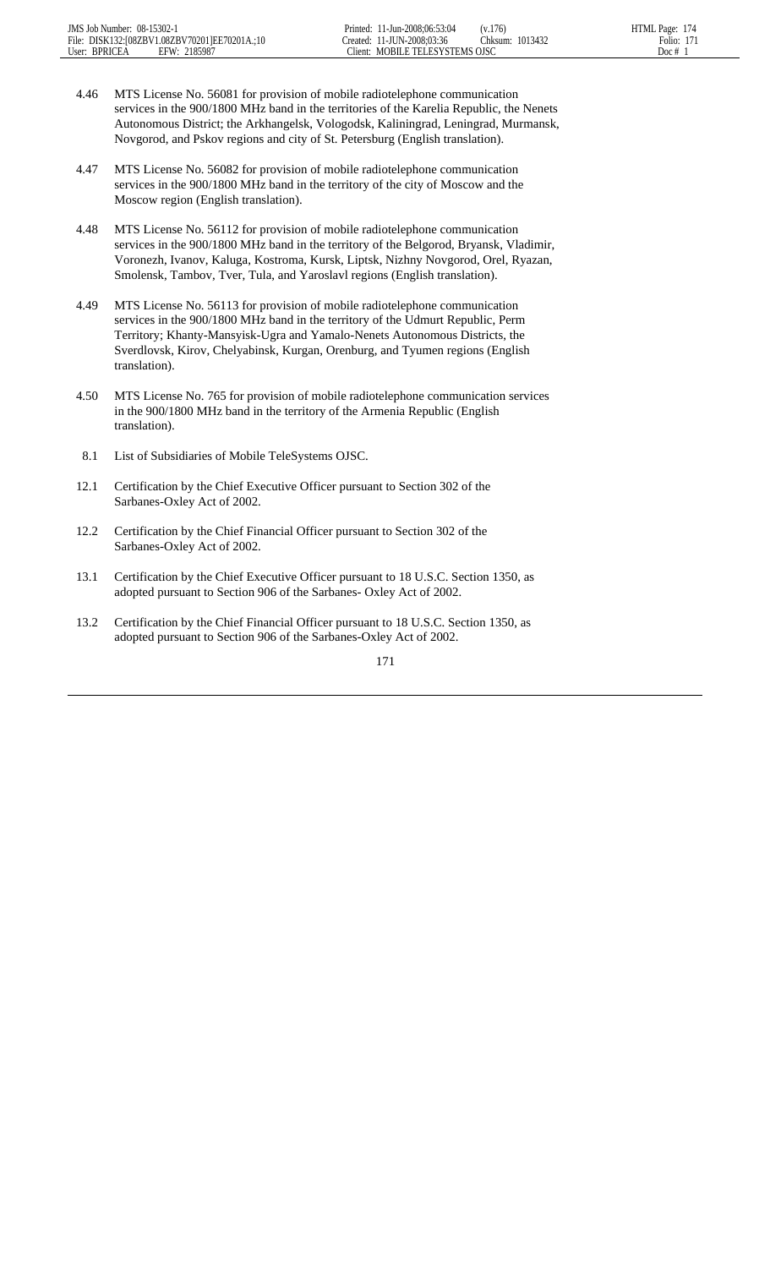- 4.46 MTS License No. 56081 for provision of mobile radiotelephone communication services in the 900/1800 MHz band in the territories of the Karelia Republic, the Nenets Autonomous District; the Arkhangelsk, Vologodsk, Kaliningrad, Leningrad, Murmansk, Novgorod, and Pskov regions and city of St. Petersburg (English translation).
- 4.47 MTS License No. 56082 for provision of mobile radiotelephone communication services in the 900/1800 MHz band in the territory of the city of Moscow and the Moscow region (English translation).
- 4.48 MTS License No. 56112 for provision of mobile radiotelephone communication services in the 900/1800 MHz band in the territory of the Belgorod, Bryansk, Vladimir, Voronezh, Ivanov, Kaluga, Kostroma, Kursk, Liptsk, Nizhny Novgorod, Orel, Ryazan, Smolensk, Tambov, Tver, Tula, and Yaroslavl regions (English translation).
- 4.49 MTS License No. 56113 for provision of mobile radiotelephone communication services in the 900/1800 MHz band in the territory of the Udmurt Republic, Perm Territory; Khanty-Mansyisk-Ugra and Yamalo-Nenets Autonomous Districts, the Sverdlovsk, Kirov, Chelyabinsk, Kurgan, Orenburg, and Tyumen regions (English translation).
- 4.50 MTS License No. 765 for provision of mobile radiotelephone communication services in the 900/1800 MHz band in the territory of the Armenia Republic (English translation).
- 8.1 List of Subsidiaries of Mobile TeleSystems OJSC.
- 12.1 Certification by the Chief Executive Officer pursuant to Section 302 of the Sarbanes-Oxley Act of 2002.
- 12.2 Certification by the Chief Financial Officer pursuant to Section 302 of the Sarbanes-Oxley Act of 2002.
- 13.1 Certification by the Chief Executive Officer pursuant to 18 U.S.C. Section 1350, as adopted pursuant to Section 906 of the Sarbanes- Oxley Act of 2002.
- 13.2 Certification by the Chief Financial Officer pursuant to 18 U.S.C. Section 1350, as adopted pursuant to Section 906 of the Sarbanes-Oxley Act of 2002.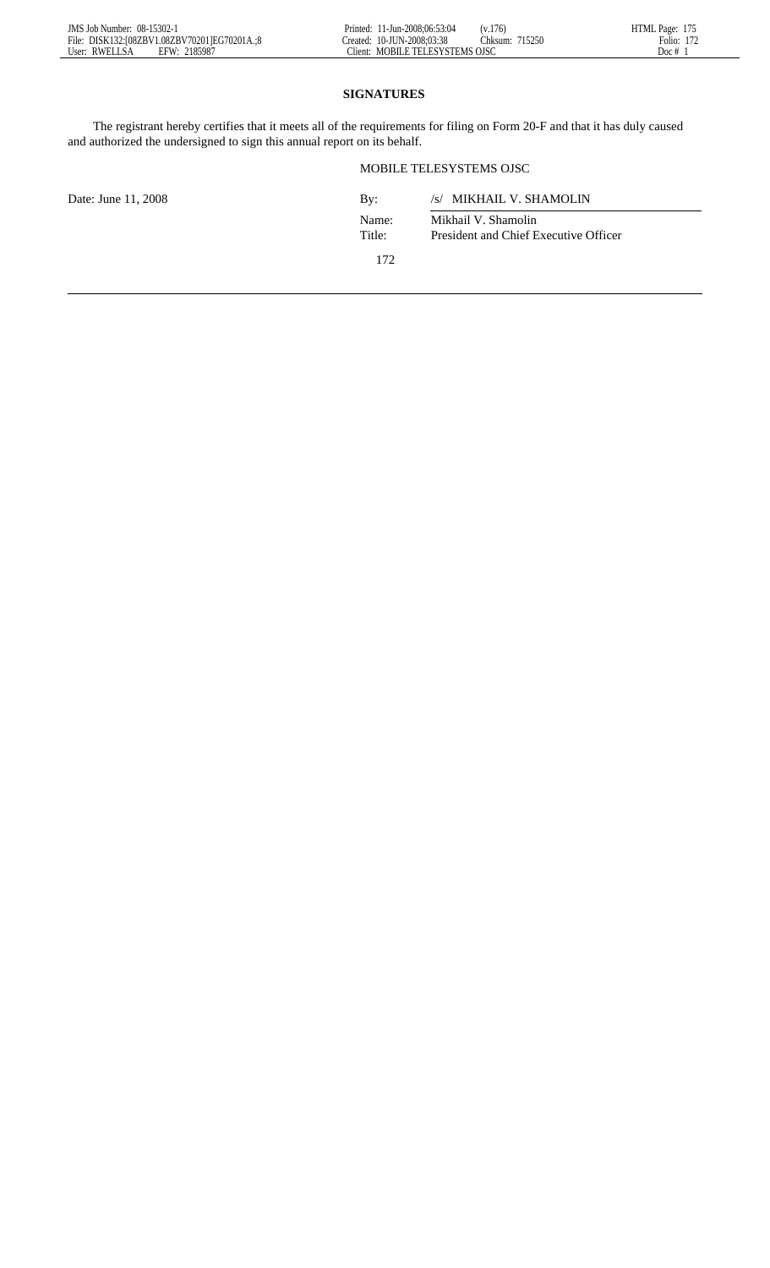# **SIGNATURES**

 The registrant hereby certifies that it meets all of the requirements for filing on Form 20-F and that it has duly caused and authorized the undersigned to sign this annual report on its behalf.

# Date: June 11, 2008 By: /s/ MIKHAIL V. SHAMOLIN Name: Mikhail V. Shamolin<br>Title: President and Chief E President and Chief Executive Officer 172

# MOBILE TELESYSTEMS OJSC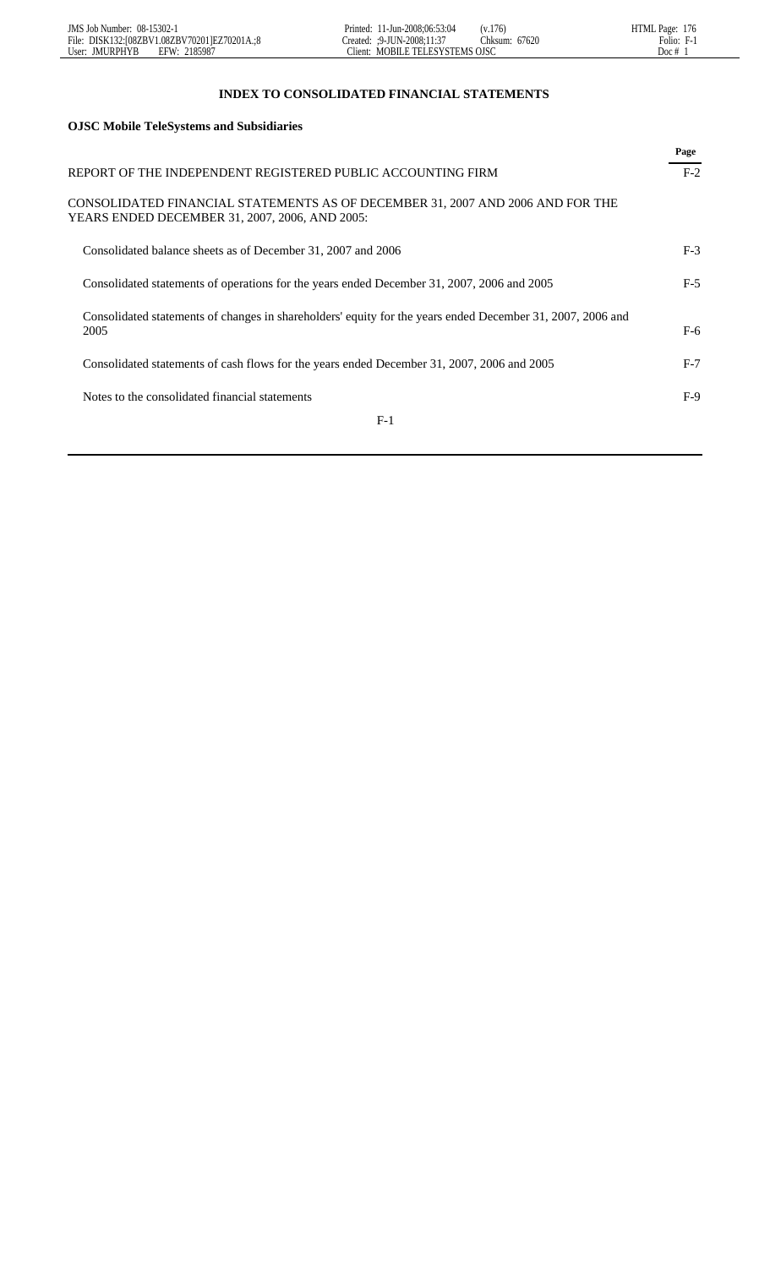# **INDEX TO CONSOLIDATED FINANCIAL STATEMENTS**

# **OJSC Mobile TeleSystems and Subsidiaries**

|                                                                                                                                  | Page  |
|----------------------------------------------------------------------------------------------------------------------------------|-------|
| REPORT OF THE INDEPENDENT REGISTERED PUBLIC ACCOUNTING FIRM                                                                      | $F-2$ |
| CONSOLIDATED FINANCIAL STATEMENTS AS OF DECEMBER 31, 2007 AND 2006 AND FOR THE<br>YEARS ENDED DECEMBER 31, 2007, 2006, AND 2005: |       |
| Consolidated balance sheets as of December 31, 2007 and 2006                                                                     | $F-3$ |
| Consolidated statements of operations for the years ended December 31, 2007, 2006 and 2005                                       | $F-5$ |
| Consolidated statements of changes in shareholders' equity for the years ended December 31, 2007, 2006 and<br>2005               | $F-6$ |
| Consolidated statements of cash flows for the years ended December 31, 2007, 2006 and 2005                                       | $F-7$ |
| Notes to the consolidated financial statements                                                                                   | $F-9$ |
| $F-1$                                                                                                                            |       |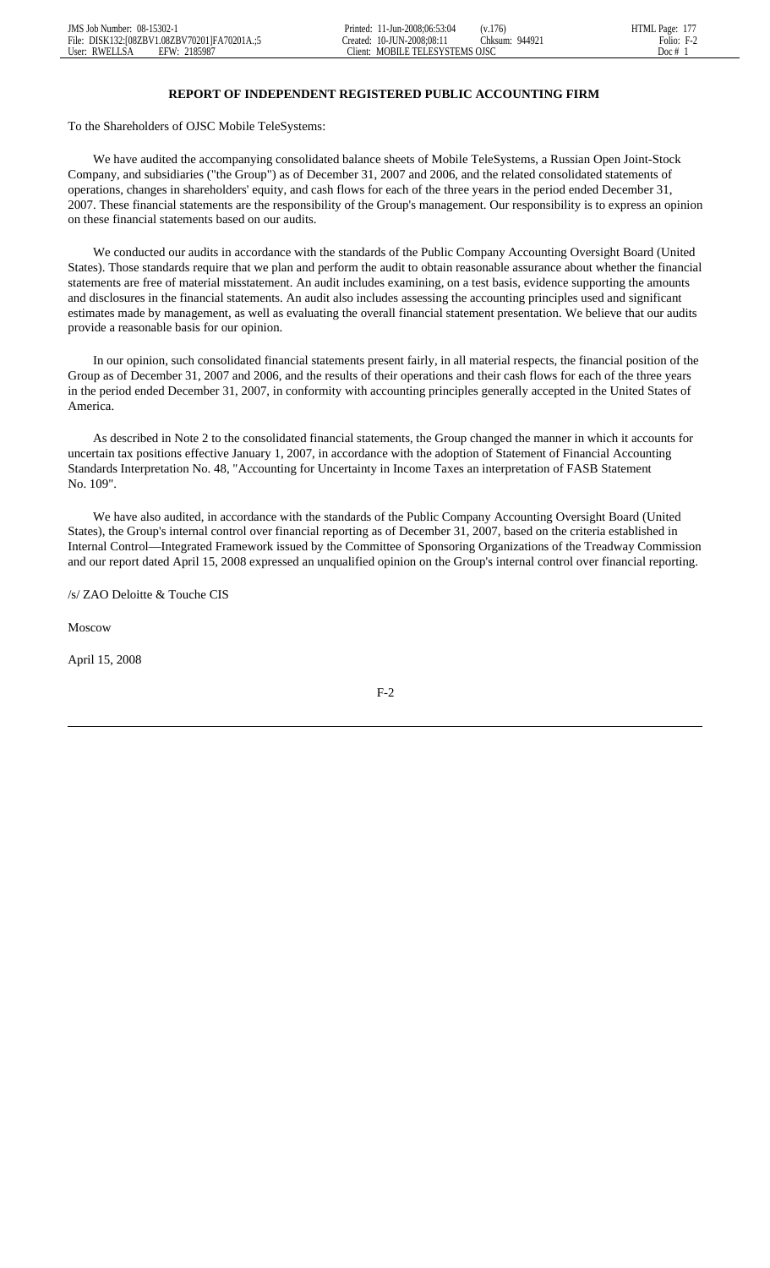# **REPORT OF INDEPENDENT REGISTERED PUBLIC ACCOUNTING FIRM**

## To the Shareholders of OJSC Mobile TeleSystems:

 We have audited the accompanying consolidated balance sheets of Mobile TeleSystems, a Russian Open Joint-Stock Company, and subsidiaries ("the Group") as of December 31, 2007 and 2006, and the related consolidated statements of operations, changes in shareholders' equity, and cash flows for each of the three years in the period ended December 31, 2007. These financial statements are the responsibility of the Group's management. Our responsibility is to express an opinion on these financial statements based on our audits.

 We conducted our audits in accordance with the standards of the Public Company Accounting Oversight Board (United States). Those standards require that we plan and perform the audit to obtain reasonable assurance about whether the financial statements are free of material misstatement. An audit includes examining, on a test basis, evidence supporting the amounts and disclosures in the financial statements. An audit also includes assessing the accounting principles used and significant estimates made by management, as well as evaluating the overall financial statement presentation. We believe that our audits provide a reasonable basis for our opinion.

 In our opinion, such consolidated financial statements present fairly, in all material respects, the financial position of the Group as of December 31, 2007 and 2006, and the results of their operations and their cash flows for each of the three years in the period ended December 31, 2007, in conformity with accounting principles generally accepted in the United States of America.

 As described in Note 2 to the consolidated financial statements, the Group changed the manner in which it accounts for uncertain tax positions effective January 1, 2007, in accordance with the adoption of Statement of Financial Accounting Standards Interpretation No. 48, "Accounting for Uncertainty in Income Taxes an interpretation of FASB Statement No. 109".

 We have also audited, in accordance with the standards of the Public Company Accounting Oversight Board (United States), the Group's internal control over financial reporting as of December 31, 2007, based on the criteria established in Internal Control—Integrated Framework issued by the Committee of Sponsoring Organizations of the Treadway Commission and our report dated April 15, 2008 expressed an unqualified opinion on the Group's internal control over financial reporting.

/s/ ZAO Deloitte & Touche CIS

Moscow

April 15, 2008

F-2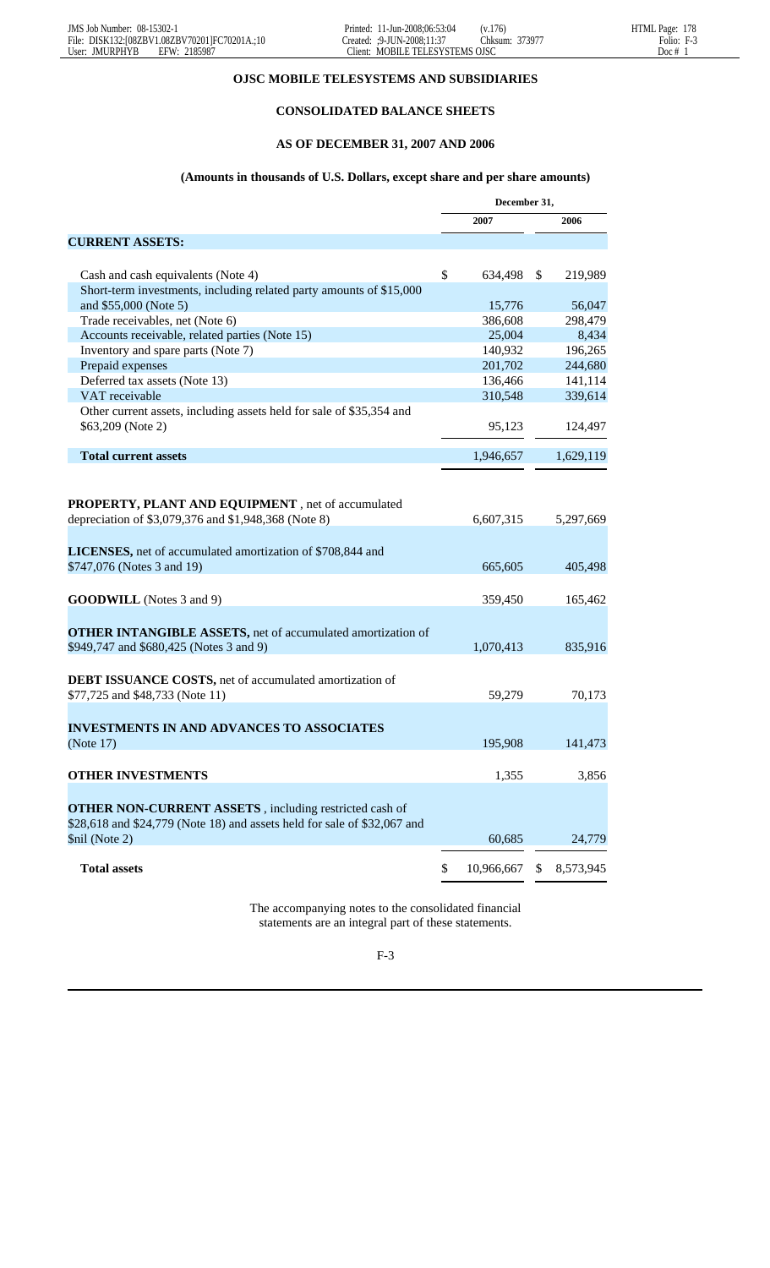# **OJSC MOBILE TELESYSTEMS AND SUBSIDIARIES**

# **CONSOLIDATED BALANCE SHEETS**

# **AS OF DECEMBER 31, 2007 AND 2006**

# **(Amounts in thousands of U.S. Dollars, except share and per share amounts)**

|                                                                                                                                            | December 31, |            |               |           |
|--------------------------------------------------------------------------------------------------------------------------------------------|--------------|------------|---------------|-----------|
|                                                                                                                                            |              | 2007       |               | 2006      |
| <b>CURRENT ASSETS:</b>                                                                                                                     |              |            |               |           |
|                                                                                                                                            |              |            |               |           |
| Cash and cash equivalents (Note 4)                                                                                                         | \$           | 634,498    | <sup>\$</sup> | 219,989   |
| Short-term investments, including related party amounts of \$15,000                                                                        |              |            |               |           |
| and \$55,000 (Note 5)                                                                                                                      |              | 15,776     |               | 56,047    |
| Trade receivables, net (Note 6)                                                                                                            |              | 386,608    |               | 298,479   |
| Accounts receivable, related parties (Note 15)                                                                                             |              | 25,004     |               | 8,434     |
| Inventory and spare parts (Note 7)                                                                                                         |              | 140,932    |               | 196,265   |
| Prepaid expenses                                                                                                                           |              | 201,702    |               | 244,680   |
| Deferred tax assets (Note 13)                                                                                                              |              | 136,466    |               | 141,114   |
| VAT receivable                                                                                                                             |              | 310,548    |               | 339,614   |
| Other current assets, including assets held for sale of \$35,354 and<br>\$63,209 (Note 2)                                                  |              | 95,123     |               | 124,497   |
| <b>Total current assets</b>                                                                                                                |              | 1,946,657  |               | 1,629,119 |
| PROPERTY, PLANT AND EQUIPMENT, net of accumulated<br>depreciation of \$3,079,376 and \$1,948,368 (Note 8)                                  |              | 6,607,315  |               | 5,297,669 |
|                                                                                                                                            |              |            |               |           |
| LICENSES, net of accumulated amortization of \$708,844 and<br>\$747,076 (Notes 3 and 19)                                                   |              | 665,605    |               | 405,498   |
| <b>GOODWILL</b> (Notes 3 and 9)                                                                                                            |              | 359,450    |               | 165,462   |
|                                                                                                                                            |              |            |               |           |
| <b>OTHER INTANGIBLE ASSETS, net of accumulated amortization of</b><br>\$949,747 and \$680,425 (Notes 3 and 9)                              |              | 1,070,413  |               | 835,916   |
|                                                                                                                                            |              |            |               |           |
| <b>DEBT ISSUANCE COSTS, net of accumulated amortization of</b><br>\$77,725 and \$48,733 (Note 11)                                          |              | 59,279     |               | 70,173    |
|                                                                                                                                            |              |            |               |           |
| <b>INVESTMENTS IN AND ADVANCES TO ASSOCIATES</b>                                                                                           |              |            |               |           |
| (Note $17$ )                                                                                                                               |              | 195,908    |               | 141,473   |
|                                                                                                                                            |              |            |               |           |
| <b>OTHER INVESTMENTS</b>                                                                                                                   |              | 1,355      |               | 3,856     |
| <b>OTHER NON-CURRENT ASSETS</b> , including restricted cash of<br>\$28,618 and \$24,779 (Note 18) and assets held for sale of \$32,067 and |              |            |               |           |
| \$nil (Note 2)                                                                                                                             |              | 60,685     |               | 24,779    |
|                                                                                                                                            |              |            |               |           |
| <b>Total assets</b>                                                                                                                        | \$           | 10,966,667 | S.            | 8,573,945 |
|                                                                                                                                            |              |            |               |           |

The accompanying notes to the consolidated financial statements are an integral part of these statements.

# F-3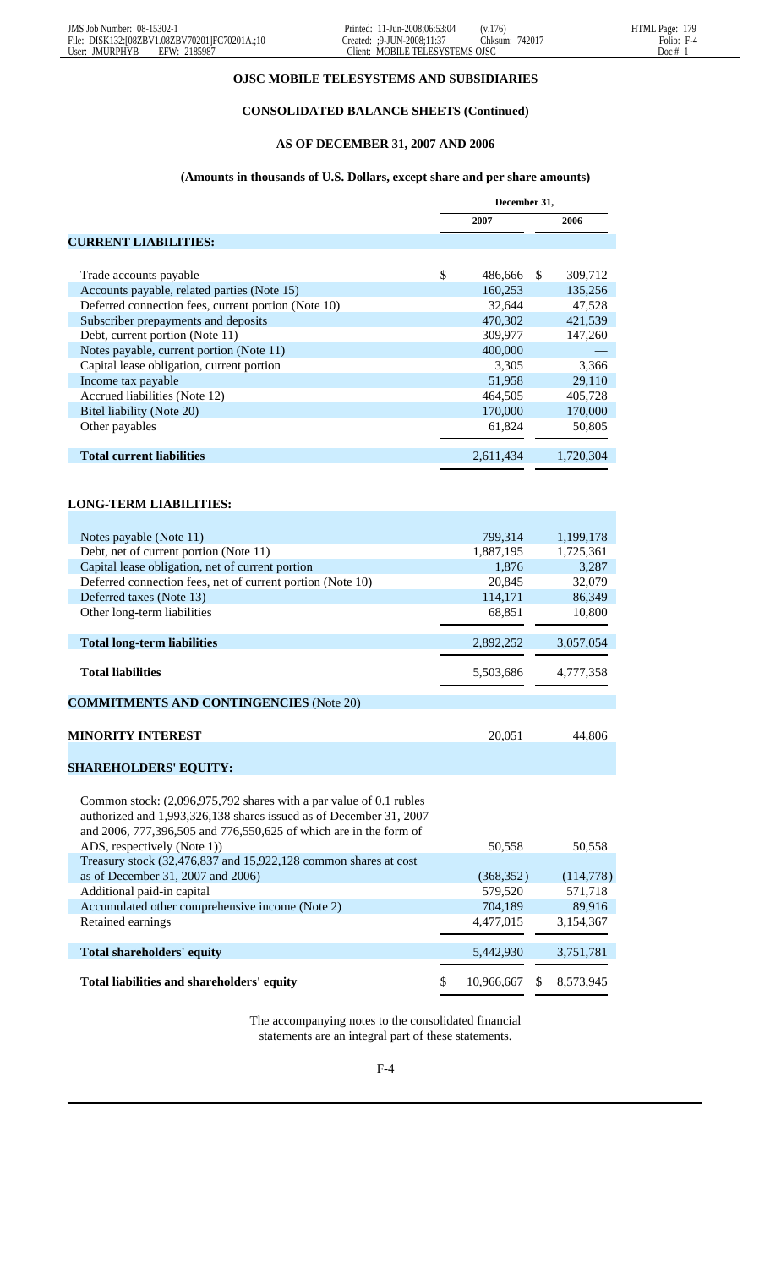# **OJSC MOBILE TELESYSTEMS AND SUBSIDIARIES**

# **CONSOLIDATED BALANCE SHEETS (Continued)**

# **AS OF DECEMBER 31, 2007 AND 2006**

# **(Amounts in thousands of U.S. Dollars, except share and per share amounts)**

|                                                                    | December 31,     |    |           |
|--------------------------------------------------------------------|------------------|----|-----------|
|                                                                    | 2007             |    | 2006      |
| <b>CURRENT LIABILITIES:</b>                                        |                  |    |           |
|                                                                    |                  |    |           |
| Trade accounts payable                                             | \$<br>486,666    | \$ | 309,712   |
| Accounts payable, related parties (Note 15)                        | 160,253          |    | 135,256   |
| Deferred connection fees, current portion (Note 10)                | 32,644           |    | 47,528    |
| Subscriber prepayments and deposits                                | 470,302          |    | 421,539   |
| Debt, current portion (Note 11)                                    | 309,977          |    | 147,260   |
| Notes payable, current portion (Note 11)                           | 400,000          |    |           |
| Capital lease obligation, current portion                          | 3,305            |    | 3,366     |
| Income tax payable                                                 | 51,958           |    | 29,110    |
| Accrued liabilities (Note 12)                                      | 464,505          |    | 405,728   |
| Bitel liability (Note 20)                                          | 170,000          |    | 170,000   |
| Other payables                                                     | 61,824           |    | 50,805    |
| <b>Total current liabilities</b>                                   | 2,611,434        |    | 1,720,304 |
|                                                                    |                  |    |           |
| <b>LONG-TERM LIABILITIES:</b>                                      |                  |    |           |
|                                                                    |                  |    |           |
| Notes payable (Note 11)                                            | 799,314          |    | 1,199,178 |
| Debt, net of current portion (Note 11)                             | 1,887,195        |    | 1,725,361 |
| Capital lease obligation, net of current portion                   | 1,876            |    | 3,287     |
| Deferred connection fees, net of current portion (Note 10)         | 20,845           |    | 32,079    |
| Deferred taxes (Note 13)                                           | 114,171          |    | 86,349    |
| Other long-term liabilities                                        | 68,851           |    | 10,800    |
| <b>Total long-term liabilities</b>                                 | 2,892,252        |    | 3,057,054 |
| <b>Total liabilities</b>                                           | 5,503,686        |    | 4,777,358 |
| <b>COMMITMENTS AND CONTINGENCIES (Note 20)</b>                     |                  |    |           |
| <b>MINORITY INTEREST</b>                                           |                  |    | 44,806    |
|                                                                    | 20,051           |    |           |
| <b>SHAREHOLDERS' EQUITY:</b>                                       |                  |    |           |
| Common stock: (2,096,975,792 shares with a par value of 0.1 rubles |                  |    |           |
| authorized and 1,993,326,138 shares issued as of December 31, 2007 |                  |    |           |
| and 2006, 777,396,505 and 776,550,625 of which are in the form of  |                  |    |           |
| ADS, respectively (Note 1))                                        | 50,558           |    | 50,558    |
| Treasury stock (32,476,837 and 15,922,128 common shares at cost    |                  |    |           |
| as of December 31, 2007 and 2006)                                  | (368, 352)       |    | (114,778) |
| Additional paid-in capital                                         | 579,520          |    | 571,718   |
| Accumulated other comprehensive income (Note 2)                    | 704,189          |    | 89,916    |
| Retained earnings                                                  | 4,477,015        |    | 3,154,367 |
|                                                                    |                  |    |           |
| <b>Total shareholders' equity</b>                                  | 5,442,930        |    | 3,751,781 |
| Total liabilities and shareholders' equity                         | \$<br>10,966,667 | \$ | 8,573,945 |

The accompanying notes to the consolidated financial statements are an integral part of these statements.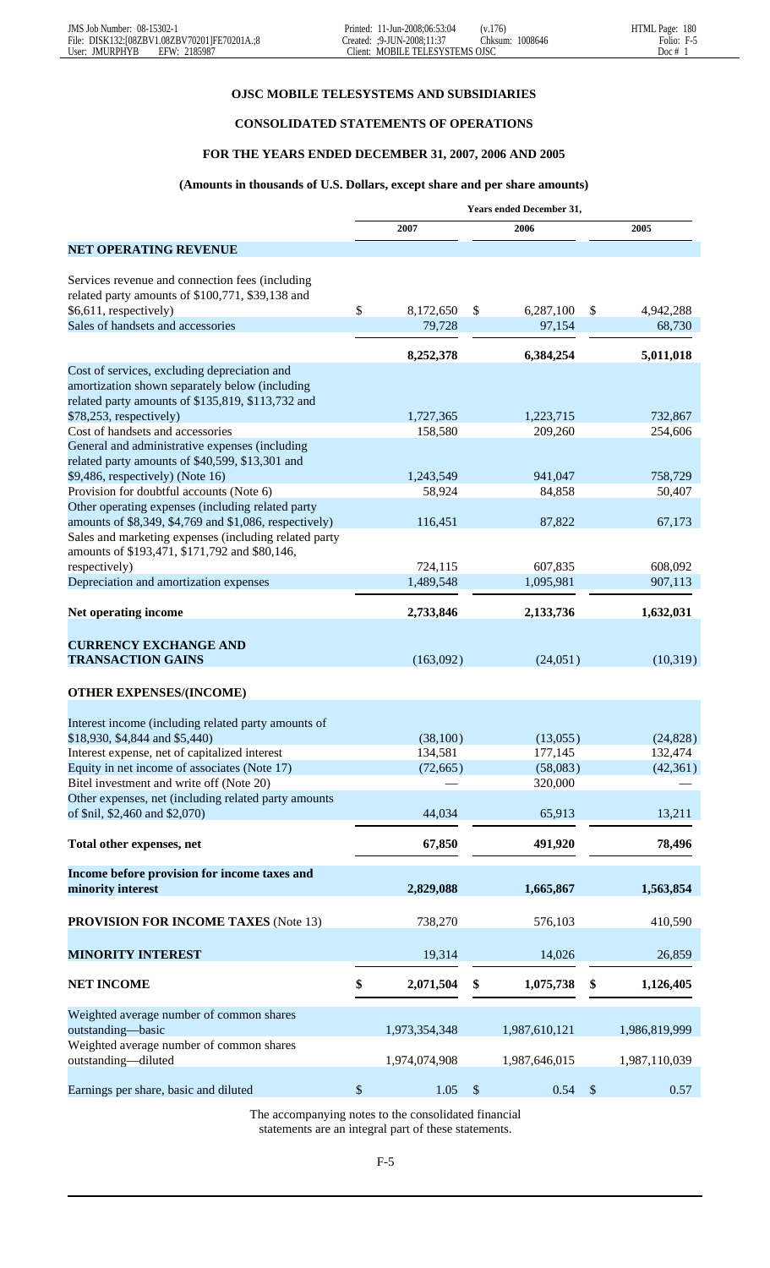## **CONSOLIDATED STATEMENTS OF OPERATIONS**

# **FOR THE YEARS ENDED DECEMBER 31, 2007, 2006 AND 2005**

# **(Amounts in thousands of U.S. Dollars, except share and per share amounts)**

|                                                        | <b>Years ended December 31,</b> |               |        |               |                           |               |
|--------------------------------------------------------|---------------------------------|---------------|--------|---------------|---------------------------|---------------|
|                                                        |                                 | 2007          |        | 2006          |                           | 2005          |
| <b>NET OPERATING REVENUE</b>                           |                                 |               |        |               |                           |               |
|                                                        |                                 |               |        |               |                           |               |
| Services revenue and connection fees (including        |                                 |               |        |               |                           |               |
| related party amounts of \$100,771, \$39,138 and       |                                 |               |        |               |                           |               |
| \$6,611, respectively)                                 | \$                              | 8,172,650     | \$     | 6,287,100     | \$                        | 4,942,288     |
| Sales of handsets and accessories                      |                                 | 79,728        |        | 97,154        |                           | 68,730        |
|                                                        |                                 | 8,252,378     |        | 6,384,254     |                           | 5,011,018     |
| Cost of services, excluding depreciation and           |                                 |               |        |               |                           |               |
| amortization shown separately below (including         |                                 |               |        |               |                           |               |
| related party amounts of \$135,819, \$113,732 and      |                                 |               |        |               |                           |               |
| $$78,253$ , respectively)                              |                                 | 1,727,365     |        | 1,223,715     |                           | 732,867       |
| Cost of handsets and accessories                       |                                 | 158,580       |        | 209,260       |                           | 254,606       |
| General and administrative expenses (including         |                                 |               |        |               |                           |               |
| related party amounts of \$40,599, \$13,301 and        |                                 |               |        |               |                           |               |
| $$9,486$ , respectively) (Note 16)                     |                                 | 1,243,549     |        | 941,047       |                           | 758,729       |
|                                                        |                                 |               |        |               |                           |               |
| Provision for doubtful accounts (Note 6)               |                                 | 58,924        |        | 84,858        |                           | 50,407        |
| Other operating expenses (including related party      |                                 |               |        |               |                           |               |
| amounts of \$8,349, \$4,769 and \$1,086, respectively) |                                 | 116,451       |        | 87,822        |                           | 67,173        |
| Sales and marketing expenses (including related party  |                                 |               |        |               |                           |               |
| amounts of \$193,471, \$171,792 and \$80,146,          |                                 |               |        |               |                           |               |
| respectively)                                          |                                 | 724,115       |        | 607,835       |                           | 608,092       |
| Depreciation and amortization expenses                 |                                 | 1,489,548     |        | 1,095,981     |                           | 907,113       |
| Net operating income                                   |                                 | 2,733,846     |        | 2,133,736     |                           | 1,632,031     |
|                                                        |                                 |               |        |               |                           |               |
| <b>CURRENCY EXCHANGE AND</b>                           |                                 |               |        |               |                           |               |
| <b>TRANSACTION GAINS</b>                               |                                 | (163,092)     |        | (24, 051)     |                           | (10, 319)     |
|                                                        |                                 |               |        |               |                           |               |
| <b>OTHER EXPENSES/(INCOME)</b>                         |                                 |               |        |               |                           |               |
|                                                        |                                 |               |        |               |                           |               |
| Interest income (including related party amounts of    |                                 |               |        |               |                           |               |
| \$18,930, \$4,844 and \$5,440)                         |                                 | (38,100)      |        | (13,055)      |                           | (24, 828)     |
|                                                        |                                 | 134,581       |        | 177,145       |                           | 132,474       |
| Interest expense, net of capitalized interest          |                                 |               |        |               |                           |               |
| Equity in net income of associates (Note 17)           |                                 | (72, 665)     |        | (58,083)      |                           | (42, 361)     |
| Bitel investment and write off (Note 20)               |                                 |               |        | 320,000       |                           |               |
| Other expenses, net (including related party amounts   |                                 |               |        |               |                           |               |
| of \$nil, \$2,460 and \$2,070)                         |                                 | 44,034        |        | 65,913        |                           | 13,211        |
| Total other expenses, net                              |                                 | 67,850        |        | 491,920       |                           | 78,496        |
|                                                        |                                 |               |        |               |                           |               |
| Income before provision for income taxes and           |                                 |               |        |               |                           |               |
| minority interest                                      |                                 | 2,829,088     |        | 1,665,867     |                           | 1,563,854     |
|                                                        |                                 |               |        |               |                           |               |
| <b>PROVISION FOR INCOME TAXES</b> (Note 13)            |                                 | 738,270       |        | 576,103       |                           | 410,590       |
|                                                        |                                 |               |        |               |                           |               |
| <b>MINORITY INTEREST</b>                               |                                 | 19,314        |        | 14,026        |                           | 26,859        |
|                                                        |                                 |               |        |               |                           |               |
| <b>NET INCOME</b>                                      | \$                              | 2,071,504     | \$     | 1,075,738     | \$                        | 1,126,405     |
| Weighted average number of common shares               |                                 |               |        |               |                           |               |
| outstanding-basic                                      |                                 | 1,973,354,348 |        | 1,987,610,121 |                           | 1,986,819,999 |
| Weighted average number of common shares               |                                 |               |        |               |                           |               |
| outstanding-diluted                                    |                                 | 1,974,074,908 |        | 1,987,646,015 |                           | 1,987,110,039 |
|                                                        |                                 |               |        |               |                           |               |
| Earnings per share, basic and diluted                  | \$                              | 1.05          | $\$\,$ | 0.54          | $\boldsymbol{\mathsf{S}}$ | 0.57          |

The accompanying notes to the consolidated financial statements are an integral part of these statements.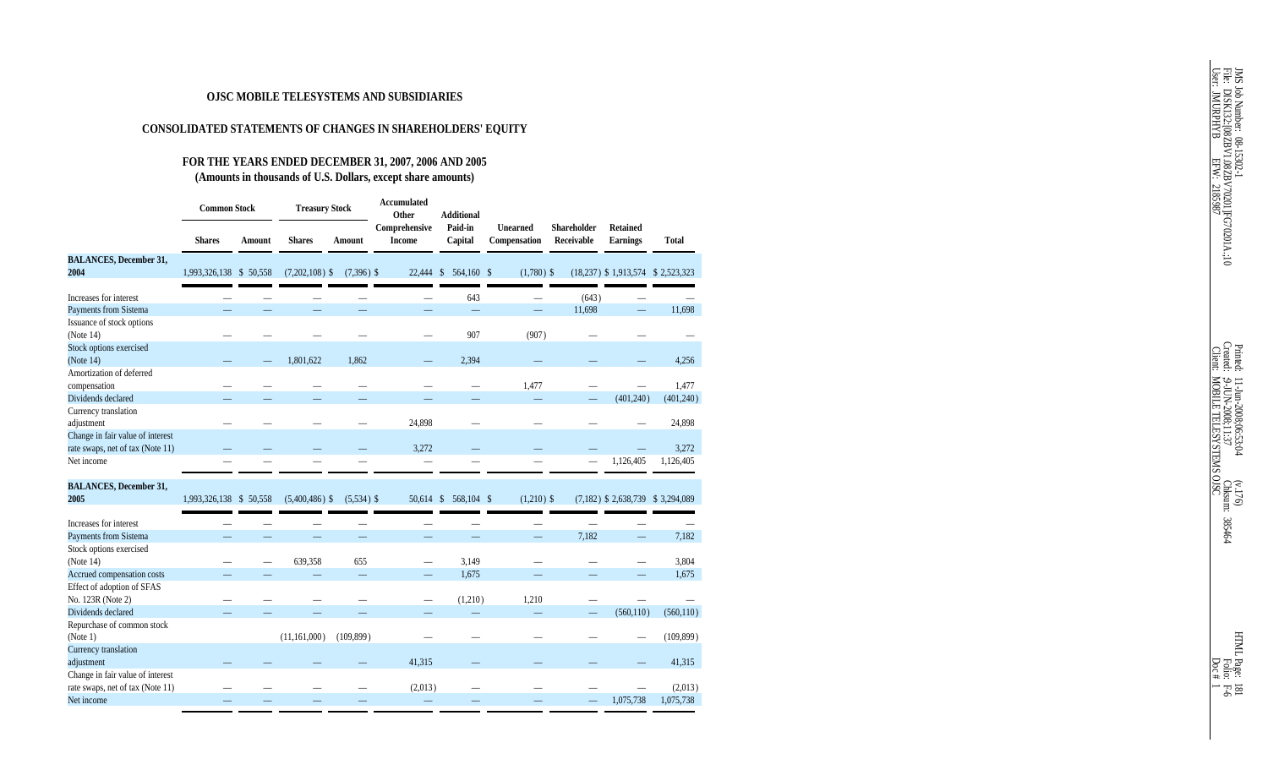### **CONSOLIDATED STATEMENTS OF CHANGES IN SHAREHOLDERS' EQUITY**

# **FOR THE YEARS ENDED DECEMBER 31, 2007, 2006 AND 2005**

**(Amounts in thousands of U.S. Dollars, except share amounts)**

|                                         | <b>Common Stock</b>     |        | <b>Treasury Stock</b>    |                          | <b>Accumulated</b><br>Other    | <b>Additional</b>        |                                 |                                  |                                    |              |
|-----------------------------------------|-------------------------|--------|--------------------------|--------------------------|--------------------------------|--------------------------|---------------------------------|----------------------------------|------------------------------------|--------------|
|                                         | <b>Shares</b>           | Amount | <b>Shares</b>            | Amount                   | Comprehensive<br><b>Income</b> | Paid-in<br>Capital       | <b>Unearned</b><br>Compensation | <b>Shareholder</b><br>Receivable | <b>Retained</b><br><b>Earnings</b> | <b>Total</b> |
| <b>BALANCES, December 31,</b>           |                         |        |                          |                          |                                |                          |                                 |                                  |                                    |              |
| 2004                                    | 1,993,326,138 \$ 50,558 |        | $(7,202,108)$ \$         | $(7,396)$ \$             | 22,444 \$                      | 564,160 \$               | $(1,780)$ \$                    |                                  | (18,237) \$1,913,574 \$2,523,323   |              |
|                                         |                         |        |                          |                          |                                |                          |                                 |                                  |                                    |              |
| Increases for interest                  |                         |        |                          |                          |                                | 643                      |                                 | (643)                            |                                    |              |
| Payments from Sistema                   |                         |        |                          |                          |                                |                          |                                 | 11,698                           | $\equiv$                           | 11,698       |
| Issuance of stock options               |                         |        |                          |                          |                                |                          |                                 |                                  |                                    |              |
| (Note 14)                               |                         |        |                          |                          |                                | 907                      | (907)                           |                                  |                                    |              |
| Stock options exercised<br>(Note $14$ ) |                         |        | 1,801,622                | 1,862                    |                                | 2,394                    |                                 |                                  |                                    | 4,256        |
| Amortization of deferred                |                         |        |                          |                          |                                |                          |                                 |                                  |                                    |              |
| compensation                            |                         |        |                          |                          |                                |                          | 1,477                           |                                  |                                    | 1,477        |
| Dividends declared                      |                         |        |                          |                          |                                |                          |                                 |                                  | (401,240)                          | (401, 240)   |
| Currency translation                    |                         |        |                          |                          |                                |                          |                                 |                                  |                                    |              |
| adjustment                              |                         |        |                          |                          | 24,898                         |                          |                                 |                                  |                                    | 24,898       |
| Change in fair value of interest        |                         |        |                          |                          |                                |                          |                                 |                                  |                                    |              |
| rate swaps, net of tax (Note 11)        |                         |        |                          |                          | 3,272                          |                          |                                 |                                  |                                    | 3,272        |
| Net income                              |                         |        |                          |                          |                                |                          |                                 |                                  | 1,126,405                          | 1,126,405    |
|                                         |                         |        |                          |                          |                                |                          |                                 |                                  |                                    |              |
| <b>BALANCES, December 31,</b>           |                         |        |                          |                          |                                |                          |                                 |                                  |                                    |              |
| 2005                                    | 1,993,326,138 \$ 50,558 |        | $(5,400,486)$ \$         | $(5,534)$ \$             | 50,614                         | $\sqrt{5}$<br>568,104 \$ | $(1,210)$ \$                    |                                  | $(7,182)$ \$ 2,638,739             | \$3,294,089  |
|                                         |                         |        |                          |                          |                                |                          |                                 |                                  |                                    |              |
| Increases for interest                  |                         |        |                          |                          |                                |                          |                                 |                                  |                                    |              |
| Payments from Sistema                   |                         |        |                          |                          |                                |                          | $\qquad \qquad -$               | 7,182                            | $\equiv$                           | 7,182        |
| Stock options exercised                 |                         |        |                          |                          |                                |                          |                                 |                                  |                                    |              |
| (Note 14)                               |                         |        | 639,358                  | 655                      | $\overline{\phantom{0}}$       | 3,149                    |                                 |                                  |                                    | 3,804        |
| Accrued compensation costs              |                         |        | $\overline{\phantom{0}}$ | $\overline{\phantom{0}}$ | -                              | 1.675                    |                                 |                                  | -                                  | 1,675        |
| Effect of adoption of SFAS              |                         |        |                          |                          |                                |                          |                                 |                                  |                                    |              |
| No. 123R (Note 2)                       |                         |        |                          |                          | $\overline{\phantom{0}}$       | (1,210)                  | 1,210                           |                                  |                                    |              |
| Dividends declared                      |                         |        |                          |                          |                                |                          |                                 |                                  | (560, 110)                         | (560, 110)   |
| Repurchase of common stock              |                         |        |                          |                          |                                |                          |                                 |                                  |                                    |              |
| (Note 1)                                |                         |        | (11, 161, 000)           | (109, 899)               |                                |                          |                                 |                                  |                                    | (109, 899)   |
| Currency translation                    |                         |        |                          |                          |                                |                          |                                 |                                  |                                    |              |
| adjustment                              |                         |        |                          |                          | 41,315                         |                          |                                 |                                  |                                    | 41,315       |
| Change in fair value of interest        |                         |        |                          |                          |                                |                          |                                 |                                  |                                    |              |
| rate swaps, net of tax (Note 11)        |                         |        |                          |                          | (2,013)                        |                          |                                 |                                  |                                    | (2,013)      |
| Net income                              |                         |        |                          |                          | $\overline{\phantom{0}}$       |                          |                                 |                                  | 1,075,738                          | 1,075,738    |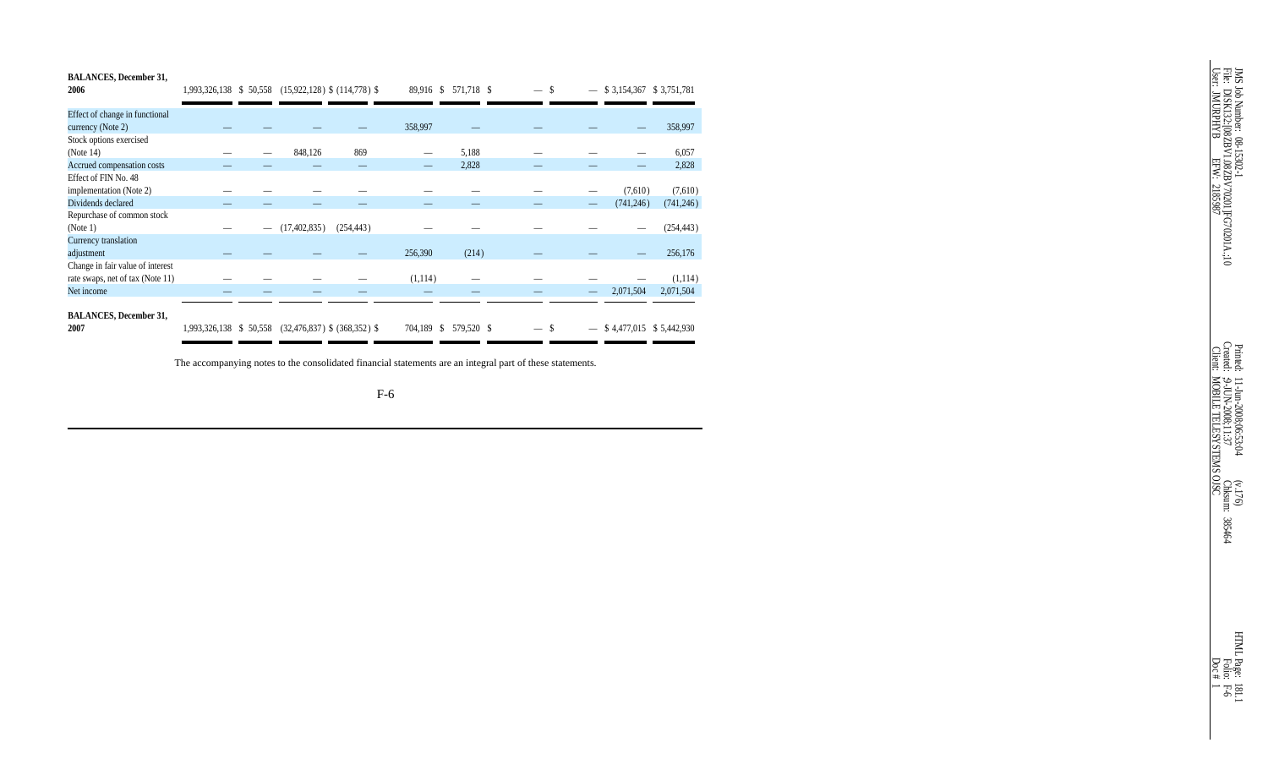| <b>BALANCES, December 31,</b> |  |
|-------------------------------|--|
|                               |  |

| DALANCES, December 31,           |                         |           |                                  |                                  |         |                      |                          |            |                         |
|----------------------------------|-------------------------|-----------|----------------------------------|----------------------------------|---------|----------------------|--------------------------|------------|-------------------------|
| 2006                             | 1,993,326,138 \$ 50,558 |           | $(15,922,128)$ \$ $(114,778)$ \$ |                                  |         | 89,916 \$ 571,718 \$ | -S                       |            | \$3,154,367 \$3,751,781 |
|                                  |                         |           |                                  |                                  |         |                      |                          |            |                         |
| Effect of change in functional   |                         |           |                                  |                                  |         |                      |                          |            |                         |
| currency (Note 2)                |                         |           |                                  |                                  | 358,997 |                      |                          |            | 358,997                 |
| Stock options exercised          |                         |           |                                  |                                  |         |                      |                          |            |                         |
| (Note 14)                        |                         |           | 848,126                          | 869                              |         | 5,188                |                          |            | 6,057                   |
| Accrued compensation costs       |                         |           |                                  |                                  |         | 2,828                |                          |            | 2,828                   |
| Effect of FIN No. 48             |                         |           |                                  |                                  |         |                      |                          |            |                         |
| implementation (Note 2)          |                         |           |                                  |                                  |         |                      |                          | (7,610)    | (7,610)                 |
| Dividends declared               |                         |           |                                  |                                  |         |                      |                          | (741, 246) | (741, 246)              |
| Repurchase of common stock       |                         |           |                                  |                                  |         |                      |                          |            |                         |
| (Note 1)                         |                         |           | (17, 402, 835)                   | (254, 443)                       |         |                      |                          |            | (254, 443)              |
| Currency translation             |                         |           |                                  |                                  |         |                      |                          |            |                         |
| adjustment                       |                         |           |                                  |                                  | 256,390 | (214)                |                          |            | 256,176                 |
| Change in fair value of interest |                         |           |                                  |                                  |         |                      |                          |            |                         |
| rate swaps, net of tax (Note 11) |                         |           |                                  |                                  | (1,114) |                      |                          |            | (1,114)                 |
| Net income                       |                         |           |                                  |                                  |         |                      | $\overline{\phantom{0}}$ | 2,071,504  | 2,071,504               |
|                                  |                         |           |                                  |                                  |         |                      |                          |            |                         |
| <b>BALANCES, December 31,</b>    |                         |           |                                  |                                  |         |                      |                          |            |                         |
| 2007                             | 1,993,326,138           | \$ 50,558 |                                  | $(32,476,837)$ \$ $(368,352)$ \$ | 704,189 | 579,520 \$<br>S.     |                          |            | \$4,477,015 \$5,442,930 |
|                                  |                         |           |                                  |                                  |         |                      |                          |            |                         |

The accompanying notes to the consolidated financial statements are an integral part of these statements.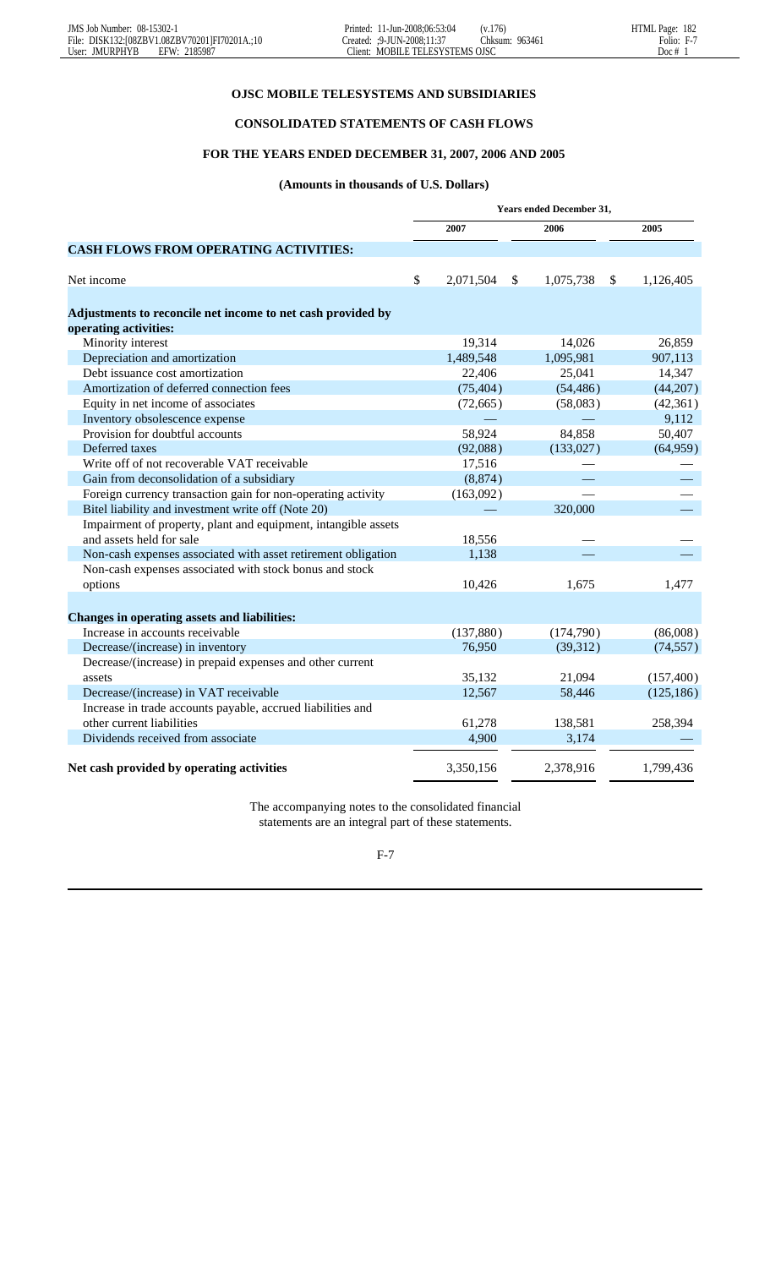## **CONSOLIDATED STATEMENTS OF CASH FLOWS**

# **FOR THE YEARS ENDED DECEMBER 31, 2007, 2006 AND 2005**

# **(Amounts in thousands of U.S. Dollars)**

|                                                                | <b>Years ended December 31,</b> |                 |                 |  |  |
|----------------------------------------------------------------|---------------------------------|-----------------|-----------------|--|--|
|                                                                | 2007                            | 2006            | 2005            |  |  |
| <b>CASH FLOWS FROM OPERATING ACTIVITIES:</b>                   |                                 |                 |                 |  |  |
|                                                                |                                 |                 |                 |  |  |
| Net income                                                     | \$<br>2,071,504                 | \$<br>1,075,738 | \$<br>1,126,405 |  |  |
| Adjustments to reconcile net income to net cash provided by    |                                 |                 |                 |  |  |
| operating activities:                                          |                                 |                 |                 |  |  |
| Minority interest                                              | 19,314                          | 14,026          | 26,859          |  |  |
| Depreciation and amortization                                  | 1,489,548                       | 1,095,981       | 907,113         |  |  |
| Debt issuance cost amortization                                | 22,406                          | 25,041          | 14,347          |  |  |
| Amortization of deferred connection fees                       | (75, 404)                       | (54, 486)       | (44,207)        |  |  |
| Equity in net income of associates                             | (72, 665)                       | (58,083)        | (42, 361)       |  |  |
| Inventory obsolescence expense                                 |                                 |                 | 9,112           |  |  |
| Provision for doubtful accounts                                | 58,924                          | 84,858          | 50,407          |  |  |
| Deferred taxes                                                 | (92,088)                        | (133, 027)      | (64,959)        |  |  |
| Write off of not recoverable VAT receivable                    | 17,516                          |                 |                 |  |  |
| Gain from deconsolidation of a subsidiary                      | (8,874)                         |                 |                 |  |  |
| Foreign currency transaction gain for non-operating activity   | (163,092)                       |                 |                 |  |  |
| Bitel liability and investment write off (Note 20)             |                                 | 320,000         |                 |  |  |
| Impairment of property, plant and equipment, intangible assets |                                 |                 |                 |  |  |
| and assets held for sale                                       | 18,556                          |                 |                 |  |  |
| Non-cash expenses associated with asset retirement obligation  | 1,138                           |                 |                 |  |  |
| Non-cash expenses associated with stock bonus and stock        |                                 |                 |                 |  |  |
| options                                                        | 10,426                          | 1,675           | 1,477           |  |  |
|                                                                |                                 |                 |                 |  |  |
| Changes in operating assets and liabilities:                   |                                 |                 |                 |  |  |
| Increase in accounts receivable                                | (137, 880)                      | (174,790)       | (86,008)        |  |  |
| Decrease/(increase) in inventory                               | 76,950                          | (39,312)        | (74, 557)       |  |  |
| Decrease/(increase) in prepaid expenses and other current      |                                 |                 |                 |  |  |
| assets                                                         | 35,132                          | 21,094          | (157, 400)      |  |  |
| Decrease/(increase) in VAT receivable                          | 12,567                          | 58,446          | (125, 186)      |  |  |
| Increase in trade accounts payable, accrued liabilities and    |                                 |                 |                 |  |  |
| other current liabilities                                      | 61,278                          | 138,581         | 258,394         |  |  |
| Dividends received from associate                              | 4,900                           | 3,174           |                 |  |  |
| Net cash provided by operating activities                      | 3,350,156                       | 2,378,916       | 1,799,436       |  |  |

The accompanying notes to the consolidated financial statements are an integral part of these statements.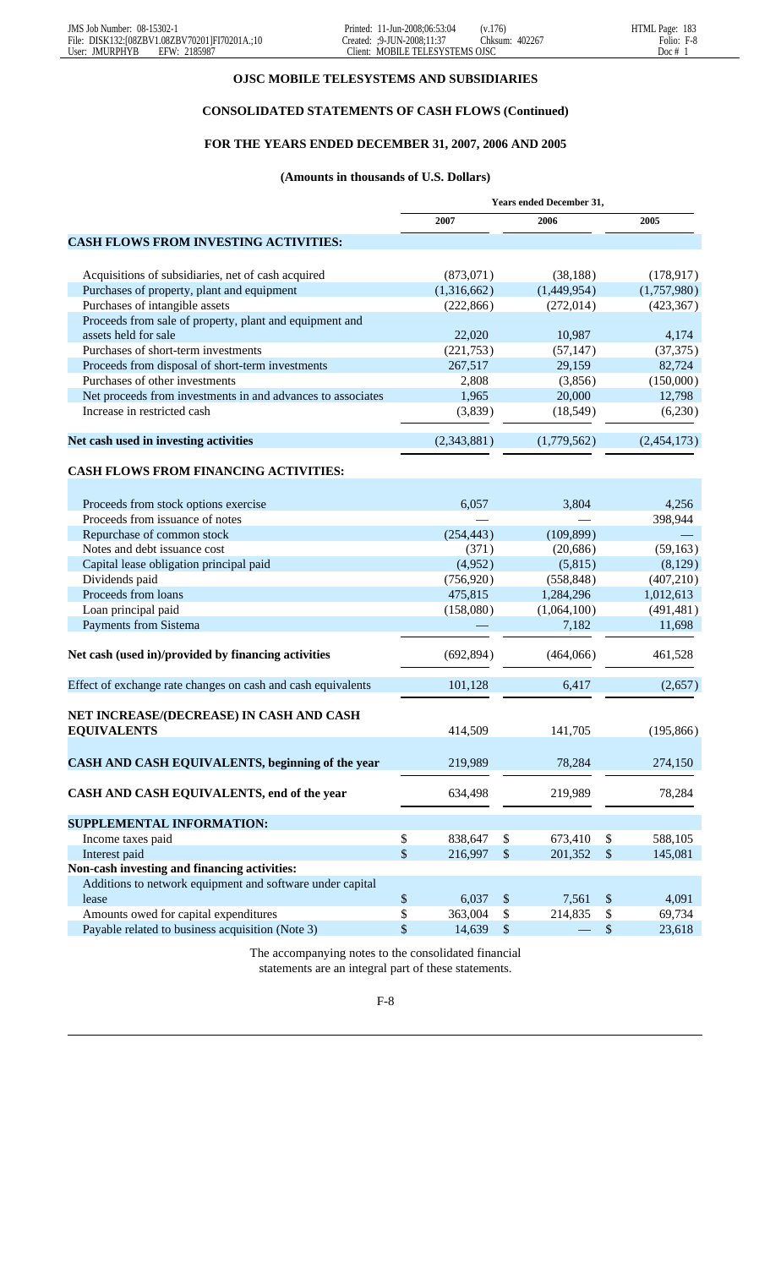# **CONSOLIDATED STATEMENTS OF CASH FLOWS (Continued)**

# **FOR THE YEARS ENDED DECEMBER 31, 2007, 2006 AND 2005**

# **(Amounts in thousands of U.S. Dollars)**

|                                                                | Years ended December 31, |             |                           |             |        |             |
|----------------------------------------------------------------|--------------------------|-------------|---------------------------|-------------|--------|-------------|
|                                                                |                          | 2007        |                           | 2006        |        | 2005        |
| <b>CASH FLOWS FROM INVESTING ACTIVITIES:</b>                   |                          |             |                           |             |        |             |
| Acquisitions of subsidiaries, net of cash acquired             |                          | (873,071)   |                           | (38, 188)   |        | (178, 917)  |
| Purchases of property, plant and equipment                     |                          | (1,316,662) |                           | (1,449,954) |        | (1,757,980) |
| Purchases of intangible assets                                 |                          | (222, 866)  |                           | (272, 014)  |        | (423, 367)  |
| Proceeds from sale of property, plant and equipment and        |                          |             |                           |             |        |             |
| assets held for sale                                           |                          | 22,020      |                           | 10,987      |        | 4,174       |
| Purchases of short-term investments                            |                          | (221, 753)  |                           | (57, 147)   |        | (37, 375)   |
| Proceeds from disposal of short-term investments               |                          | 267,517     |                           | 29,159      |        | 82,724      |
| Purchases of other investments                                 |                          | 2,808       |                           | (3,856)     |        | (150,000)   |
| Net proceeds from investments in and advances to associates    |                          | 1,965       |                           | 20,000      |        | 12,798      |
| Increase in restricted cash                                    |                          |             |                           |             |        |             |
|                                                                |                          | (3,839)     |                           | (18, 549)   |        | (6,230)     |
| Net cash used in investing activities                          |                          | (2,343,881) |                           | (1,779,562) |        | (2,454,173) |
| <b>CASH FLOWS FROM FINANCING ACTIVITIES:</b>                   |                          |             |                           |             |        |             |
|                                                                |                          |             |                           |             |        |             |
| Proceeds from stock options exercise                           |                          | 6,057       |                           | 3,804       |        | 4,256       |
| Proceeds from issuance of notes                                |                          |             |                           |             |        | 398,944     |
| Repurchase of common stock                                     |                          | (254, 443)  |                           | (109, 899)  |        |             |
| Notes and debt issuance cost                                   |                          | (371)       |                           | (20, 686)   |        | (59, 163)   |
| Capital lease obligation principal paid                        |                          | (4,952)     |                           | (5,815)     |        | (8,129)     |
| Dividends paid                                                 |                          | (756, 920)  |                           | (558, 848)  |        | (407, 210)  |
| Proceeds from loans                                            |                          | 475,815     |                           | 1,284,296   |        | 1,012,613   |
| Loan principal paid                                            |                          | (158,080)   |                           | (1,064,100) |        | (491, 481)  |
| Payments from Sistema                                          |                          |             |                           | 7,182       |        | 11,698      |
| Net cash (used in)/provided by financing activities            |                          | (692, 894)  |                           | (464,066)   |        | 461,528     |
| Effect of exchange rate changes on cash and cash equivalents   |                          | 101,128     |                           | 6,417       |        | (2,657)     |
|                                                                |                          |             |                           |             |        |             |
| NET INCREASE/(DECREASE) IN CASH AND CASH<br><b>EQUIVALENTS</b> |                          | 414,509     |                           | 141,705     |        | (195, 866)  |
| CASH AND CASH EQUIVALENTS, beginning of the year               |                          | 219,989     |                           | 78,284      |        | 274,150     |
|                                                                |                          |             |                           |             |        |             |
| CASH AND CASH EQUIVALENTS, end of the year                     |                          | 634,498     |                           | 219,989     |        | 78,284      |
| SUPPLEMENTAL INFORMATION:                                      |                          |             |                           |             |        |             |
| Income taxes paid                                              | \$                       | 838,647     | \$                        | 673,410     | \$     | 588,105     |
| Interest paid                                                  | \$                       | 216,997     | $\boldsymbol{\mathsf{S}}$ | 201,352     | $\$\,$ | 145,081     |
| Non-cash investing and financing activities:                   |                          |             |                           |             |        |             |
| Additions to network equipment and software under capital      |                          |             |                           |             |        |             |
| lease                                                          | \$                       | 6,037       | \$                        | 7,561       | \$     | 4,091       |
| Amounts owed for capital expenditures                          | \$                       | 363,004     | \$                        | 214,835     | \$     | 69,734      |
| Payable related to business acquisition (Note 3)               | \$                       | 14,639      | $\$$                      |             | $\$$   | 23,618      |

The accompanying notes to the consolidated financial statements are an integral part of these statements.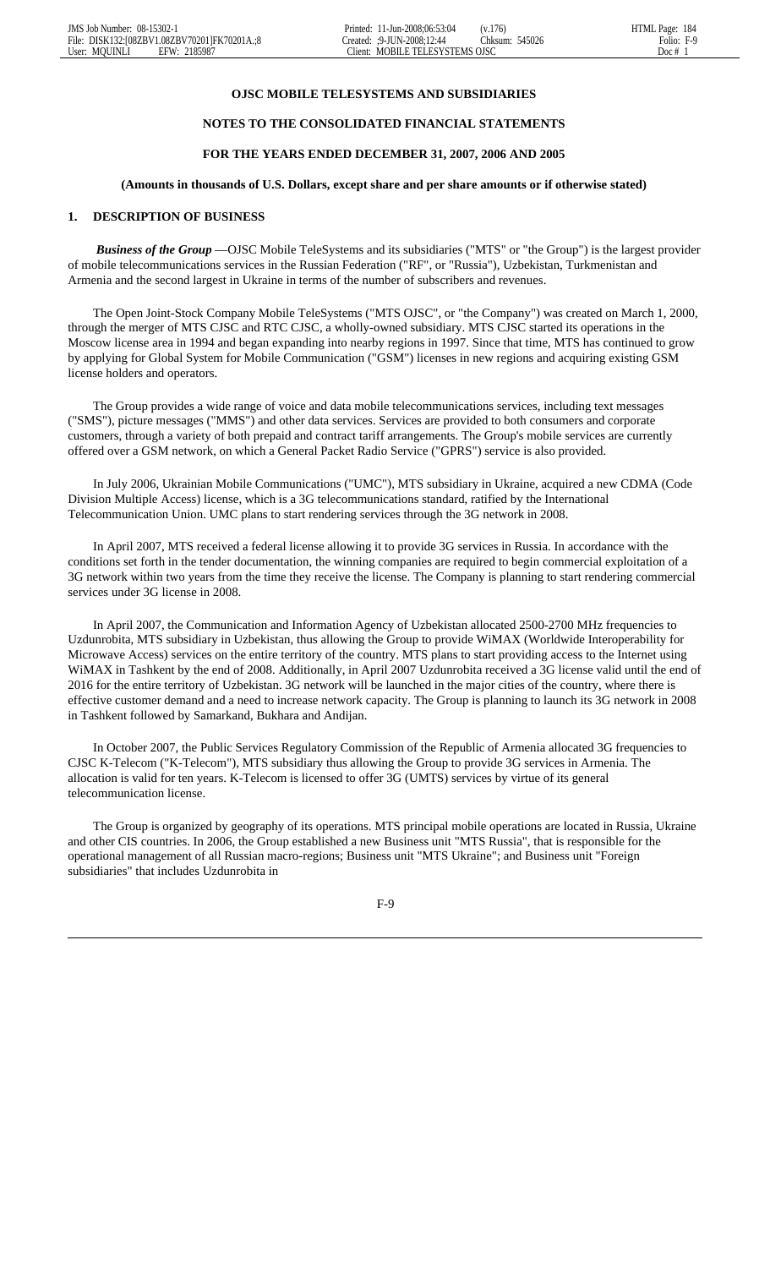#### **NOTES TO THE CONSOLIDATED FINANCIAL STATEMENTS**

#### **FOR THE YEARS ENDED DECEMBER 31, 2007, 2006 AND 2005**

#### **(Amounts in thousands of U.S. Dollars, except share and per share amounts or if otherwise stated)**

#### **1. DESCRIPTION OF BUSINESS**

 *Business of the Group* —OJSC Mobile TeleSystems and its subsidiaries ("MTS" or "the Group") is the largest provider of mobile telecommunications services in the Russian Federation ("RF", or "Russia"), Uzbekistan, Turkmenistan and Armenia and the second largest in Ukraine in terms of the number of subscribers and revenues.

 The Open Joint-Stock Company Mobile TeleSystems ("MTS OJSC", or "the Company") was created on March 1, 2000, through the merger of MTS CJSC and RTC CJSC, a wholly-owned subsidiary. MTS CJSC started its operations in the Moscow license area in 1994 and began expanding into nearby regions in 1997. Since that time, MTS has continued to grow by applying for Global System for Mobile Communication ("GSM") licenses in new regions and acquiring existing GSM license holders and operators.

 The Group provides a wide range of voice and data mobile telecommunications services, including text messages ("SMS"), picture messages ("MMS") and other data services. Services are provided to both consumers and corporate customers, through a variety of both prepaid and contract tariff arrangements. The Group's mobile services are currently offered over a GSM network, on which a General Packet Radio Service ("GPRS") service is also provided.

 In July 2006, Ukrainian Mobile Communications ("UMC"), MTS subsidiary in Ukraine, acquired a new CDMA (Code Division Multiple Access) license, which is a 3G telecommunications standard, ratified by the International Telecommunication Union. UMC plans to start rendering services through the 3G network in 2008.

 In April 2007, MTS received a federal license allowing it to provide 3G services in Russia. In accordance with the conditions set forth in the tender documentation, the winning companies are required to begin commercial exploitation of a 3G network within two years from the time they receive the license. The Company is planning to start rendering commercial services under 3G license in 2008.

 In April 2007, the Communication and Information Agency of Uzbekistan allocated 2500-2700 MHz frequencies to Uzdunrobita, MTS subsidiary in Uzbekistan, thus allowing the Group to provide WiMAX (Worldwide Interoperability for Microwave Access) services on the entire territory of the country. MTS plans to start providing access to the Internet using WiMAX in Tashkent by the end of 2008. Additionally, in April 2007 Uzdunrobita received a 3G license valid until the end of 2016 for the entire territory of Uzbekistan. 3G network will be launched in the major cities of the country, where there is effective customer demand and a need to increase network capacity. The Group is planning to launch its 3G network in 2008 in Tashkent followed by Samarkand, Bukhara and Andijan.

 In October 2007, the Public Services Regulatory Commission of the Republic of Armenia allocated 3G frequencies to CJSC K-Telecom ("K-Telecom"), MTS subsidiary thus allowing the Group to provide 3G services in Armenia. The allocation is valid for ten years. K-Telecom is licensed to offer 3G (UMTS) services by virtue of its general telecommunication license.

 The Group is organized by geography of its operations. MTS principal mobile operations are located in Russia, Ukraine and other CIS countries. In 2006, the Group established a new Business unit "MTS Russia", that is responsible for the operational management of all Russian macro-regions; Business unit "MTS Ukraine"; and Business unit "Foreign subsidiaries" that includes Uzdunrobita in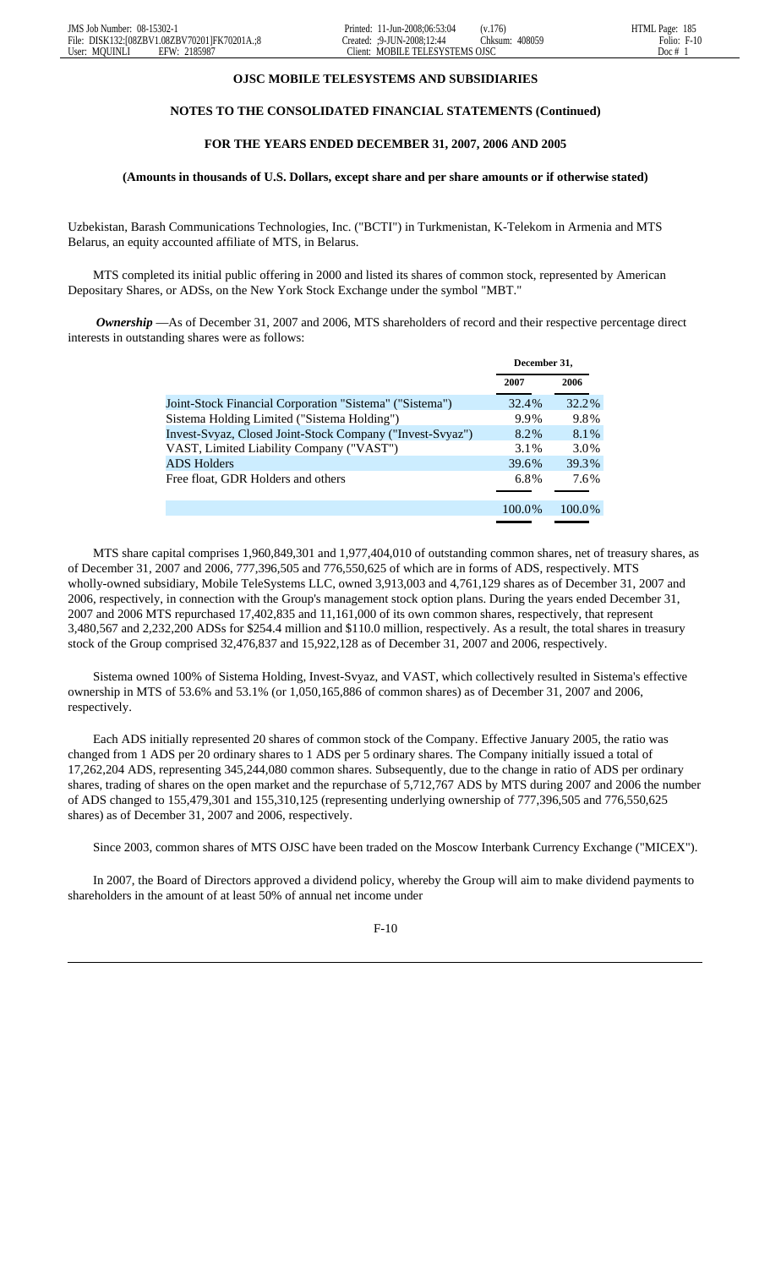#### **NOTES TO THE CONSOLIDATED FINANCIAL STATEMENTS (Continued)**

## **FOR THE YEARS ENDED DECEMBER 31, 2007, 2006 AND 2005**

#### **(Amounts in thousands of U.S. Dollars, except share and per share amounts or if otherwise stated)**

Uzbekistan, Barash Communications Technologies, Inc. ("BCTI") in Turkmenistan, K-Telekom in Armenia and MTS Belarus, an equity accounted affiliate of MTS, in Belarus.

 MTS completed its initial public offering in 2000 and listed its shares of common stock, represented by American Depositary Shares, or ADSs, on the New York Stock Exchange under the symbol "MBT."

 *Ownership* —As of December 31, 2007 and 2006, MTS shareholders of record and their respective percentage direct interests in outstanding shares were as follows:

|                                                           | December 31. |        |
|-----------------------------------------------------------|--------------|--------|
|                                                           | 2007         | 2006   |
| Joint-Stock Financial Corporation "Sistema" ("Sistema")   | 32.4%        | 32.2%  |
| Sistema Holding Limited ("Sistema Holding")               | 9.9%         | 9.8%   |
| Invest-Svyaz, Closed Joint-Stock Company ("Invest-Svyaz") | 8.2%         | 8.1%   |
| VAST, Limited Liability Company ("VAST")                  | 3.1%         | 3.0%   |
| <b>ADS Holders</b>                                        | 39.6%        | 39.3%  |
| Free float, GDR Holders and others                        | $6.8\%$      | 7.6%   |
|                                                           |              |        |
|                                                           | 100.0%       | 100.0% |
|                                                           |              |        |

 MTS share capital comprises 1,960,849,301 and 1,977,404,010 of outstanding common shares, net of treasury shares, as of December 31, 2007 and 2006, 777,396,505 and 776,550,625 of which are in forms of ADS, respectively. MTS wholly-owned subsidiary, Mobile TeleSystems LLC, owned 3,913,003 and 4,761,129 shares as of December 31, 2007 and 2006, respectively, in connection with the Group's management stock option plans. During the years ended December 31, 2007 and 2006 MTS repurchased 17,402,835 and 11,161,000 of its own common shares, respectively, that represent 3,480,567 and 2,232,200 ADSs for \$254.4 million and \$110.0 million, respectively. As a result, the total shares in treasury stock of the Group comprised 32,476,837 and 15,922,128 as of December 31, 2007 and 2006, respectively.

 Sistema owned 100% of Sistema Holding, Invest-Svyaz, and VAST, which collectively resulted in Sistema's effective ownership in MTS of 53.6% and 53.1% (or 1,050,165,886 of common shares) as of December 31, 2007 and 2006, respectively.

 Each ADS initially represented 20 shares of common stock of the Company. Effective January 2005, the ratio was changed from 1 ADS per 20 ordinary shares to 1 ADS per 5 ordinary shares. The Company initially issued a total of 17,262,204 ADS, representing 345,244,080 common shares. Subsequently, due to the change in ratio of ADS per ordinary shares, trading of shares on the open market and the repurchase of 5,712,767 ADS by MTS during 2007 and 2006 the number of ADS changed to 155,479,301 and 155,310,125 (representing underlying ownership of 777,396,505 and 776,550,625 shares) as of December 31, 2007 and 2006, respectively.

Since 2003, common shares of MTS OJSC have been traded on the Moscow Interbank Currency Exchange ("MICEX").

 In 2007, the Board of Directors approved a dividend policy, whereby the Group will aim to make dividend payments to shareholders in the amount of at least 50% of annual net income under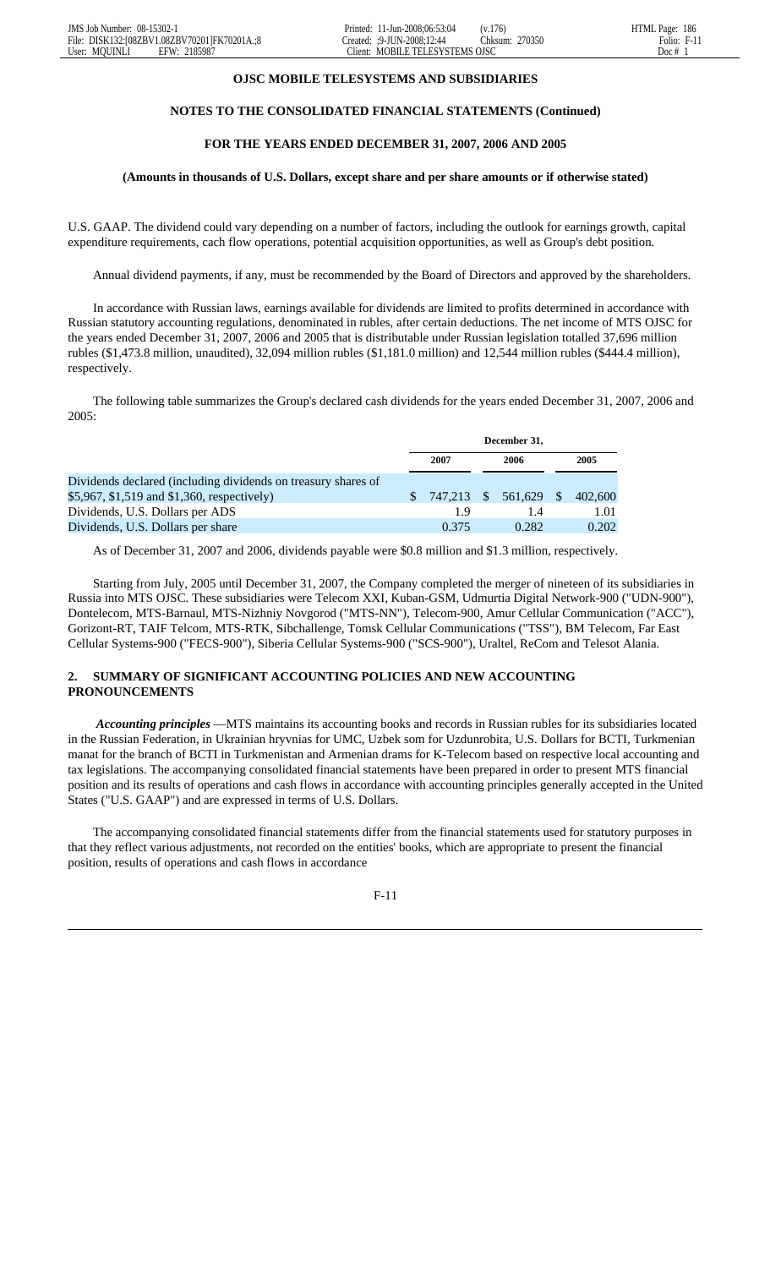#### **NOTES TO THE CONSOLIDATED FINANCIAL STATEMENTS (Continued)**

## **FOR THE YEARS ENDED DECEMBER 31, 2007, 2006 AND 2005**

#### **(Amounts in thousands of U.S. Dollars, except share and per share amounts or if otherwise stated)**

U.S. GAAP. The dividend could vary depending on a number of factors, including the outlook for earnings growth, capital expenditure requirements, cach flow operations, potential acquisition opportunities, as well as Group's debt position.

Annual dividend payments, if any, must be recommended by the Board of Directors and approved by the shareholders.

 In accordance with Russian laws, earnings available for dividends are limited to profits determined in accordance with Russian statutory accounting regulations, denominated in rubles, after certain deductions. The net income of MTS OJSC for the years ended December 31, 2007, 2006 and 2005 that is distributable under Russian legislation totalled 37,696 million rubles (\$1,473.8 million, unaudited), 32,094 million rubles (\$1,181.0 million) and 12,544 million rubles (\$444.4 million), respectively.

 The following table summarizes the Group's declared cash dividends for the years ended December 31, 2007, 2006 and 2005:

|                                                               | December 31, |                       |  |       |   |         |
|---------------------------------------------------------------|--------------|-----------------------|--|-------|---|---------|
|                                                               |              | 2007                  |  | 2006  |   | 2005    |
| Dividends declared (including dividends on treasury shares of |              |                       |  |       |   |         |
| \$5,967, \$1,519 and \$1,360, respectively)                   |              | $$747,213$ $$561,629$ |  |       | S | 402,600 |
| Dividends, U.S. Dollars per ADS                               |              | 19                    |  | 14    |   | 1.01    |
| Dividends, U.S. Dollars per share                             |              | 0.375                 |  | 0.282 |   | 0.202   |

As of December 31, 2007 and 2006, dividends payable were \$0.8 million and \$1.3 million, respectively.

 Starting from July, 2005 until December 31, 2007, the Company completed the merger of nineteen of its subsidiaries in Russia into MTS OJSC. These subsidiaries were Telecom XXI, Kuban-GSM, Udmurtia Digital Network-900 ("UDN-900"), Dontelecom, MTS-Barnaul, MTS-Nizhniy Novgorod ("MTS-NN"), Telecom-900, Amur Cellular Communication ("ACC"), Gorizont-RT, TAIF Telcom, MTS-RTK, Sibchallenge, Tomsk Cellular Communications ("TSS"), BM Telecom, Far East Cellular Systems-900 ("FECS-900"), Siberia Cellular Systems-900 ("SCS-900"), Uraltel, ReCom and Telesot Alania.

## **2. SUMMARY OF SIGNIFICANT ACCOUNTING POLICIES AND NEW ACCOUNTING PRONOUNCEMENTS**

 *Accounting principles* —MTS maintains its accounting books and records in Russian rubles for its subsidiaries located in the Russian Federation, in Ukrainian hryvnias for UMC, Uzbek som for Uzdunrobita, U.S. Dollars for BCTI, Turkmenian manat for the branch of BCTI in Turkmenistan and Armenian drams for K-Telecom based on respective local accounting and tax legislations. The accompanying consolidated financial statements have been prepared in order to present MTS financial position and its results of operations and cash flows in accordance with accounting principles generally accepted in the United States ("U.S. GAAP") and are expressed in terms of U.S. Dollars.

 The accompanying consolidated financial statements differ from the financial statements used for statutory purposes in that they reflect various adjustments, not recorded on the entities' books, which are appropriate to present the financial position, results of operations and cash flows in accordance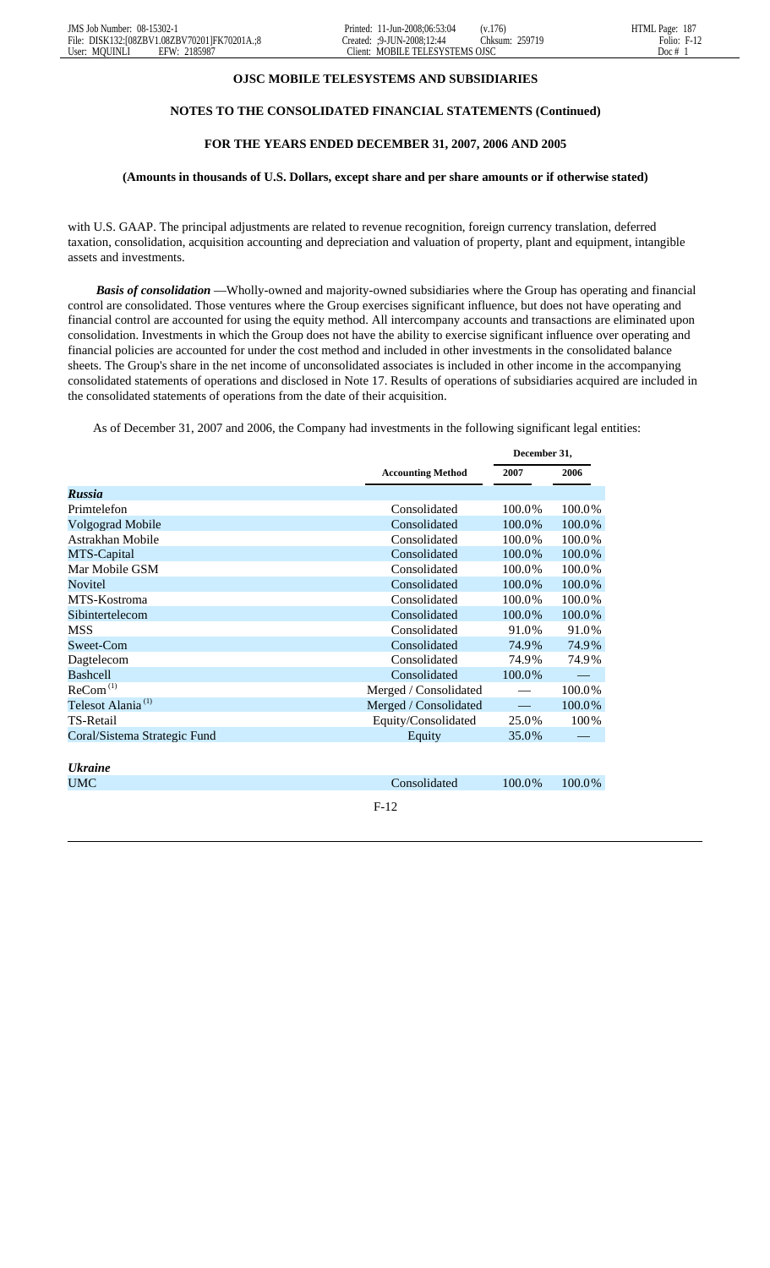### **NOTES TO THE CONSOLIDATED FINANCIAL STATEMENTS (Continued)**

## **FOR THE YEARS ENDED DECEMBER 31, 2007, 2006 AND 2005**

### **(Amounts in thousands of U.S. Dollars, except share and per share amounts or if otherwise stated)**

with U.S. GAAP. The principal adjustments are related to revenue recognition, foreign currency translation, deferred taxation, consolidation, acquisition accounting and depreciation and valuation of property, plant and equipment, intangible assets and investments.

 *Basis of consolidation* —Wholly-owned and majority-owned subsidiaries where the Group has operating and financial control are consolidated. Those ventures where the Group exercises significant influence, but does not have operating and financial control are accounted for using the equity method. All intercompany accounts and transactions are eliminated upon consolidation. Investments in which the Group does not have the ability to exercise significant influence over operating and financial policies are accounted for under the cost method and included in other investments in the consolidated balance sheets. The Group's share in the net income of unconsolidated associates is included in other income in the accompanying consolidated statements of operations and disclosed in Note 17. Results of operations of subsidiaries acquired are included in the consolidated statements of operations from the date of their acquisition.

As of December 31, 2007 and 2006, the Company had investments in the following significant legal entities:

|                               |                          | December 31, |        |  |
|-------------------------------|--------------------------|--------------|--------|--|
|                               | <b>Accounting Method</b> | 2007         | 2006   |  |
| <b>Russia</b>                 |                          |              |        |  |
| Primtelefon                   | Consolidated             | 100.0%       | 100.0% |  |
| Volgograd Mobile              | Consolidated             | 100.0%       | 100.0% |  |
| Astrakhan Mobile              | Consolidated             | 100.0%       | 100.0% |  |
| MTS-Capital                   | Consolidated             | 100.0%       | 100.0% |  |
| Mar Mobile GSM                | Consolidated             | 100.0%       | 100.0% |  |
| <b>Novitel</b>                | Consolidated             | 100.0%       | 100.0% |  |
| MTS-Kostroma                  | Consolidated             | 100.0%       | 100.0% |  |
| Sibintertelecom               | Consolidated             | 100.0%       | 100.0% |  |
| <b>MSS</b>                    | Consolidated             | 91.0%        | 91.0%  |  |
| Sweet-Com                     | Consolidated             | 74.9%        | 74.9%  |  |
| Dagtelecom                    | Consolidated             | 74.9%        | 74.9%  |  |
| <b>Bashcell</b>               | Consolidated             | 100.0%       |        |  |
| ReCom <sup>(1)</sup>          | Merged / Consolidated    |              | 100.0% |  |
| Telesot Alania <sup>(1)</sup> | Merged / Consolidated    |              | 100.0% |  |
| <b>TS-Retail</b>              | Equity/Consolidated      | 25.0%        | 100%   |  |
| Coral/Sistema Strategic Fund  | Equity                   | 35.0%        |        |  |
|                               |                          |              |        |  |
| <b>Ukraine</b>                |                          |              |        |  |
| <b>UMC</b>                    | Consolidated             | 100.0%       | 100.0% |  |
|                               | $F-12$                   |              |        |  |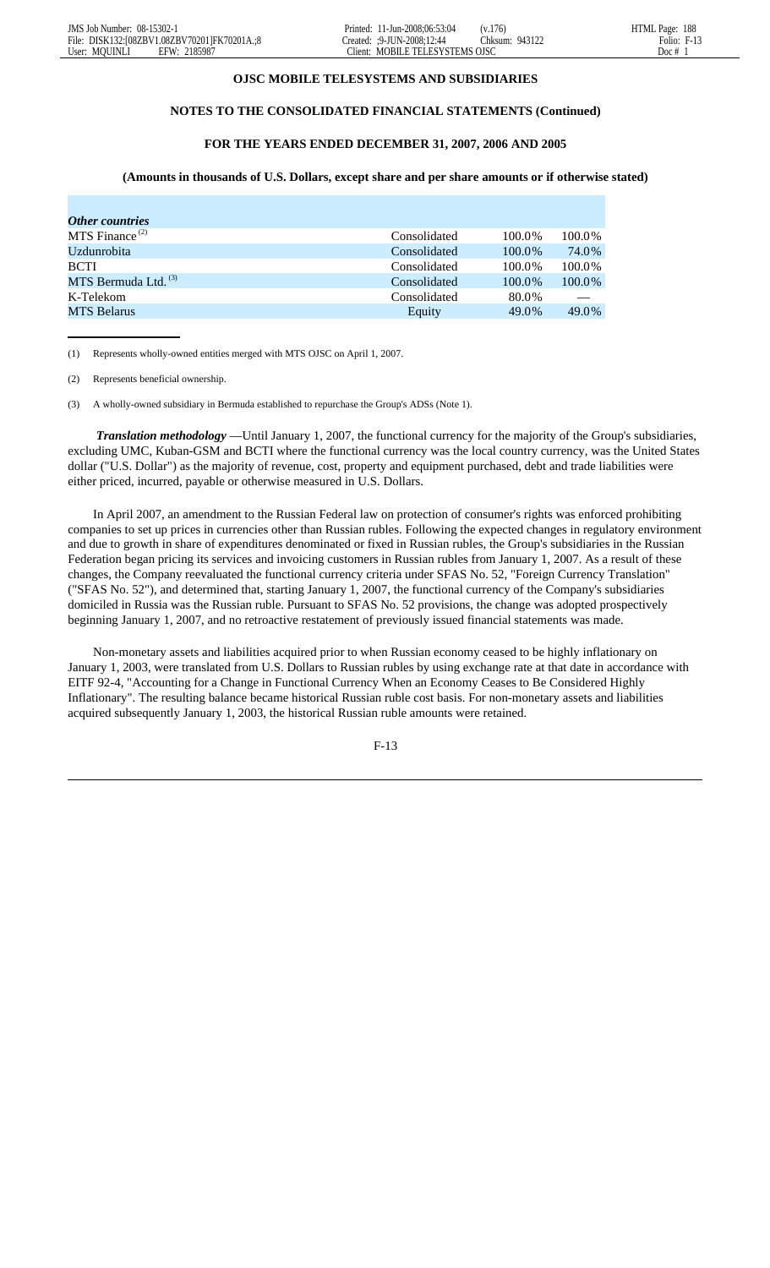# **NOTES TO THE CONSOLIDATED FINANCIAL STATEMENTS (Continued)**

# **FOR THE YEARS ENDED DECEMBER 31, 2007, 2006 AND 2005**

## **(Amounts in thousands of U.S. Dollars, except share and per share amounts or if otherwise stated)**

| <b>Other countries</b>          |              |        |        |
|---------------------------------|--------------|--------|--------|
| MTS Finance $^{(2)}$            | Consolidated | 100.0% | 100.0% |
| Uzdunrobita                     | Consolidated | 100.0% | 74.0%  |
| <b>BCTI</b>                     | Consolidated | 100.0% | 100.0% |
| MTS Bermuda Ltd. <sup>(3)</sup> | Consolidated | 100.0% | 100.0% |
| K-Telekom                       | Consolidated | 80.0%  |        |
| <b>MTS Belarus</b>              | Equity       | 49.0%  | 49.0%  |
|                                 |              |        |        |

(1) Represents wholly-owned entities merged with MTS OJSC on April 1, 2007.

(2) Represents beneficial ownership.

(3) A wholly-owned subsidiary in Bermuda established to repurchase the Group's ADSs (Note 1).

 *Translation methodology* —Until January 1, 2007, the functional currency for the majority of the Group's subsidiaries, excluding UMC, Kuban-GSM and BCTI where the functional currency was the local country currency, was the United States dollar ("U.S. Dollar") as the majority of revenue, cost, property and equipment purchased, debt and trade liabilities were either priced, incurred, payable or otherwise measured in U.S. Dollars.

 In April 2007, an amendment to the Russian Federal law on protection of consumer's rights was enforced prohibiting companies to set up prices in currencies other than Russian rubles. Following the expected changes in regulatory environment and due to growth in share of expenditures denominated or fixed in Russian rubles, the Group's subsidiaries in the Russian Federation began pricing its services and invoicing customers in Russian rubles from January 1, 2007. As a result of these changes, the Company reevaluated the functional currency criteria under SFAS No. 52, "Foreign Currency Translation" ("SFAS No. 52"), and determined that, starting January 1, 2007, the functional currency of the Company's subsidiaries domiciled in Russia was the Russian ruble. Pursuant to SFAS No. 52 provisions, the change was adopted prospectively beginning January 1, 2007, and no retroactive restatement of previously issued financial statements was made.

 Non-monetary assets and liabilities acquired prior to when Russian economy ceased to be highly inflationary on January 1, 2003, were translated from U.S. Dollars to Russian rubles by using exchange rate at that date in accordance with EITF 92-4, "Accounting for a Change in Functional Currency When an Economy Ceases to Be Considered Highly Inflationary". The resulting balance became historical Russian ruble cost basis. For non-monetary assets and liabilities acquired subsequently January 1, 2003, the historical Russian ruble amounts were retained.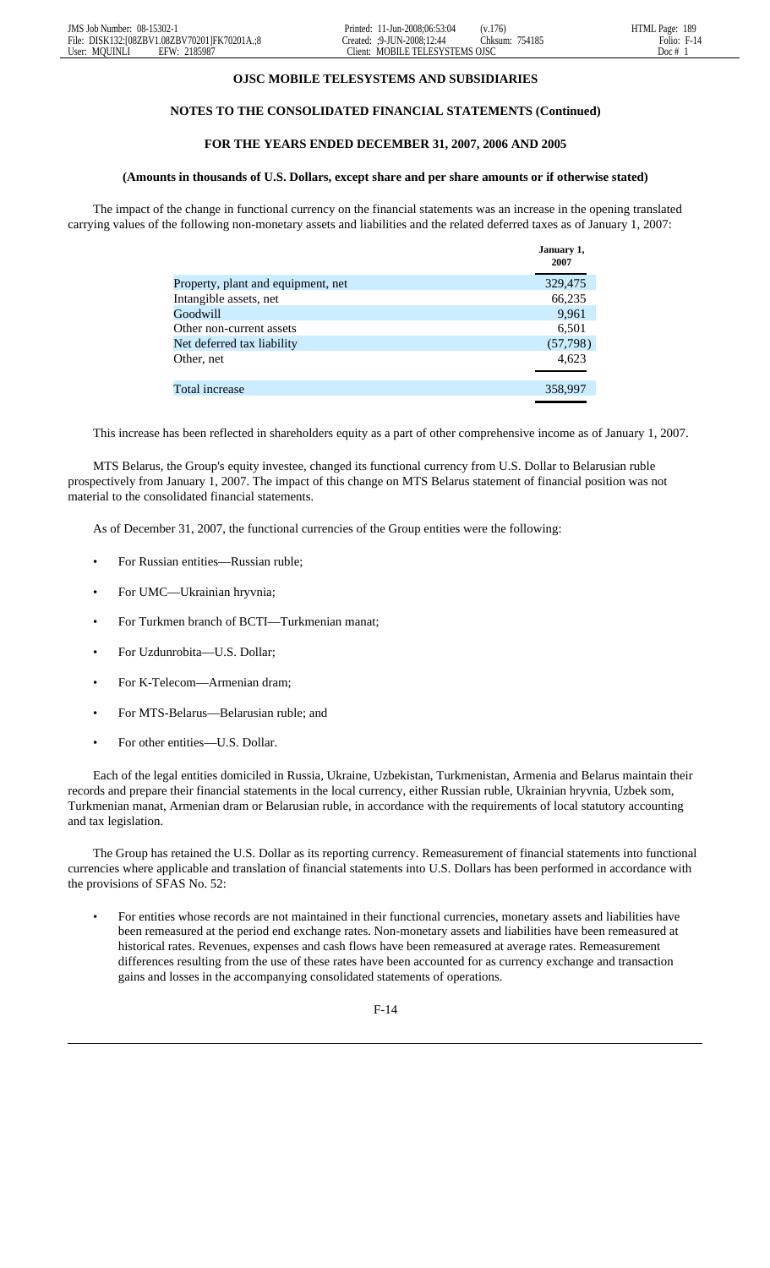### **NOTES TO THE CONSOLIDATED FINANCIAL STATEMENTS (Continued)**

## **FOR THE YEARS ENDED DECEMBER 31, 2007, 2006 AND 2005**

#### **(Amounts in thousands of U.S. Dollars, except share and per share amounts or if otherwise stated)**

 The impact of the change in functional currency on the financial statements was an increase in the opening translated carrying values of the following non-monetary assets and liabilities and the related deferred taxes as of January 1, 2007:

|                                    | January 1,<br>2007 |
|------------------------------------|--------------------|
| Property, plant and equipment, net | 329,475            |
| Intangible assets, net             | 66,235             |
| Goodwill                           | 9,961              |
| Other non-current assets           | 6,501              |
| Net deferred tax liability         | (57, 798)          |
| Other, net                         | 4,623              |
| Total increase                     | 358,997            |

This increase has been reflected in shareholders equity as a part of other comprehensive income as of January 1, 2007.

 MTS Belarus, the Group's equity investee, changed its functional currency from U.S. Dollar to Belarusian ruble prospectively from January 1, 2007. The impact of this change on MTS Belarus statement of financial position was not material to the consolidated financial statements.

As of December 31, 2007, the functional currencies of the Group entities were the following:

- For Russian entities—Russian ruble;
- For UMC—Ukrainian hryvnia;
- For Turkmen branch of BCTI—Turkmenian manat;
- For Uzdunrobita—U.S. Dollar;
- For K-Telecom—Armenian dram;
- For MTS-Belarus—Belarusian ruble; and
- For other entities—U.S. Dollar.

 Each of the legal entities domiciled in Russia, Ukraine, Uzbekistan, Turkmenistan, Armenia and Belarus maintain their records and prepare their financial statements in the local currency, either Russian ruble, Ukrainian hryvnia, Uzbek som, Turkmenian manat, Armenian dram or Belarusian ruble, in accordance with the requirements of local statutory accounting and tax legislation.

 The Group has retained the U.S. Dollar as its reporting currency. Remeasurement of financial statements into functional currencies where applicable and translation of financial statements into U.S. Dollars has been performed in accordance with the provisions of SFAS No. 52:

• For entities whose records are not maintained in their functional currencies, monetary assets and liabilities have been remeasured at the period end exchange rates. Non-monetary assets and liabilities have been remeasured at historical rates. Revenues, expenses and cash flows have been remeasured at average rates. Remeasurement differences resulting from the use of these rates have been accounted for as currency exchange and transaction gains and losses in the accompanying consolidated statements of operations.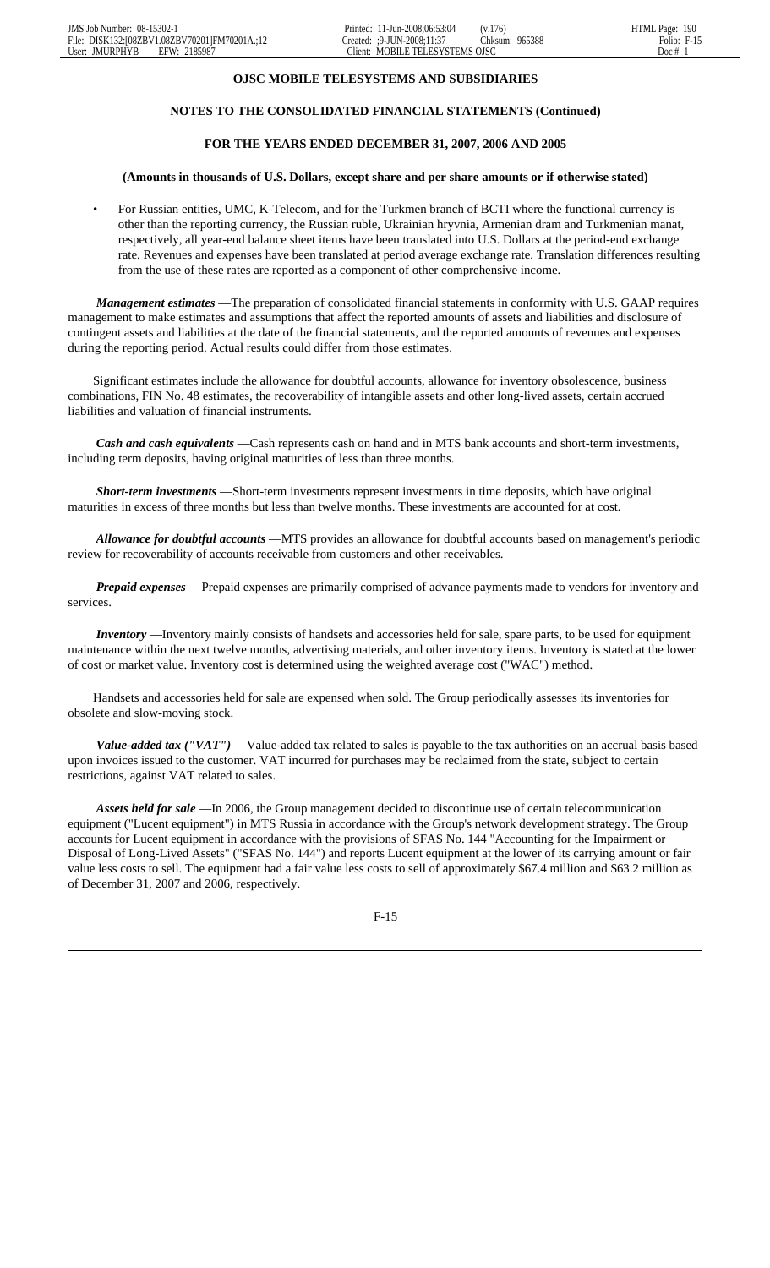### **NOTES TO THE CONSOLIDATED FINANCIAL STATEMENTS (Continued)**

## **FOR THE YEARS ENDED DECEMBER 31, 2007, 2006 AND 2005**

#### **(Amounts in thousands of U.S. Dollars, except share and per share amounts or if otherwise stated)**

• For Russian entities, UMC, K-Telecom, and for the Turkmen branch of BCTI where the functional currency is other than the reporting currency, the Russian ruble, Ukrainian hryvnia, Armenian dram and Turkmenian manat, respectively, all year-end balance sheet items have been translated into U.S. Dollars at the period-end exchange rate. Revenues and expenses have been translated at period average exchange rate. Translation differences resulting from the use of these rates are reported as a component of other comprehensive income.

 *Management estimates* —The preparation of consolidated financial statements in conformity with U.S. GAAP requires management to make estimates and assumptions that affect the reported amounts of assets and liabilities and disclosure of contingent assets and liabilities at the date of the financial statements, and the reported amounts of revenues and expenses during the reporting period. Actual results could differ from those estimates.

 Significant estimates include the allowance for doubtful accounts, allowance for inventory obsolescence, business combinations, FIN No. 48 estimates, the recoverability of intangible assets and other long-lived assets, certain accrued liabilities and valuation of financial instruments.

 *Cash and cash equivalents* —Cash represents cash on hand and in MTS bank accounts and short-term investments, including term deposits, having original maturities of less than three months.

 *Short-term investments* —Short-term investments represent investments in time deposits, which have original maturities in excess of three months but less than twelve months. These investments are accounted for at cost.

 *Allowance for doubtful accounts* —MTS provides an allowance for doubtful accounts based on management's periodic review for recoverability of accounts receivable from customers and other receivables.

 *Prepaid expenses* —Prepaid expenses are primarily comprised of advance payments made to vendors for inventory and services.

 *Inventory* —Inventory mainly consists of handsets and accessories held for sale, spare parts, to be used for equipment maintenance within the next twelve months, advertising materials, and other inventory items. Inventory is stated at the lower of cost or market value. Inventory cost is determined using the weighted average cost ("WAC") method.

 Handsets and accessories held for sale are expensed when sold. The Group periodically assesses its inventories for obsolete and slow-moving stock.

*Value-added tax ("VAT")* —Value-added tax related to sales is payable to the tax authorities on an accrual basis based upon invoices issued to the customer. VAT incurred for purchases may be reclaimed from the state, subject to certain restrictions, against VAT related to sales.

 *Assets held for sale* —In 2006, the Group management decided to discontinue use of certain telecommunication equipment ("Lucent equipment") in MTS Russia in accordance with the Group's network development strategy. The Group accounts for Lucent equipment in accordance with the provisions of SFAS No. 144 "Accounting for the Impairment or Disposal of Long-Lived Assets" ("SFAS No. 144") and reports Lucent equipment at the lower of its carrying amount or fair value less costs to sell. The equipment had a fair value less costs to sell of approximately \$67.4 million and \$63.2 million as of December 31, 2007 and 2006, respectively.

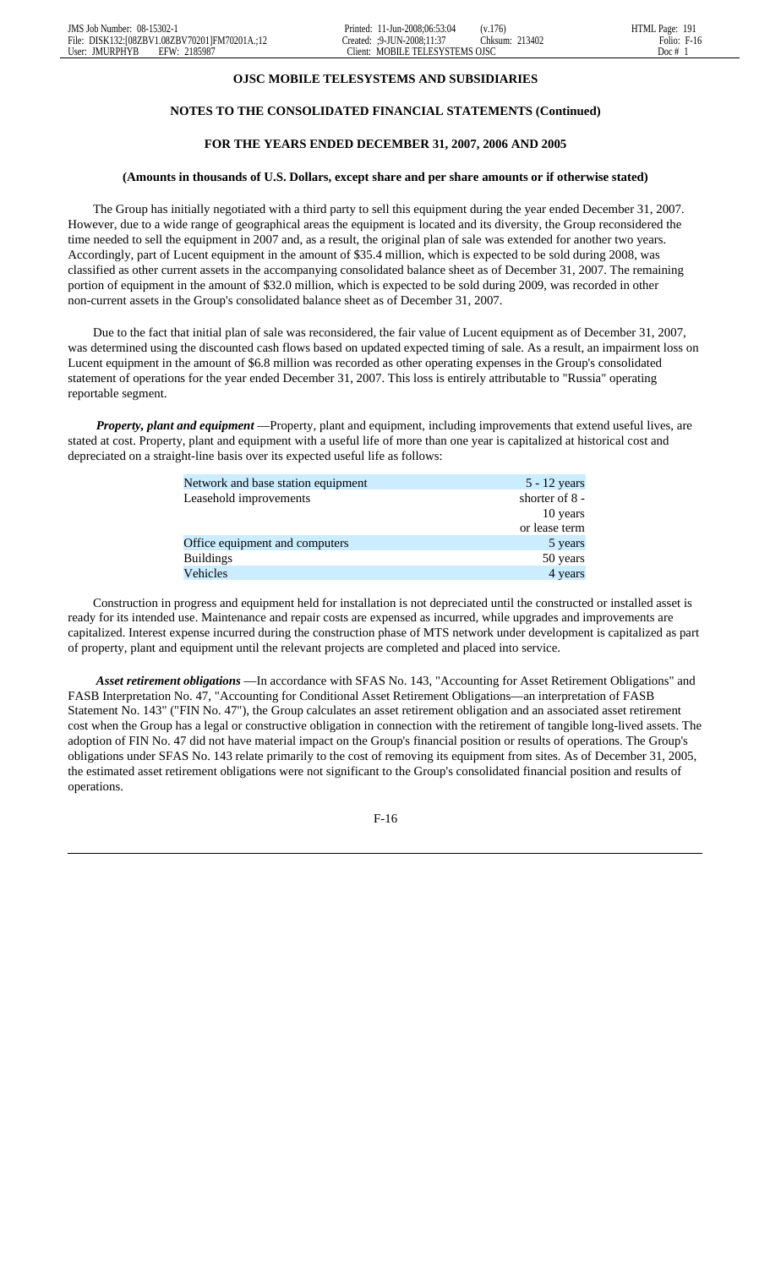#### **NOTES TO THE CONSOLIDATED FINANCIAL STATEMENTS (Continued)**

### **FOR THE YEARS ENDED DECEMBER 31, 2007, 2006 AND 2005**

#### **(Amounts in thousands of U.S. Dollars, except share and per share amounts or if otherwise stated)**

 The Group has initially negotiated with a third party to sell this equipment during the year ended December 31, 2007. However, due to a wide range of geographical areas the equipment is located and its diversity, the Group reconsidered the time needed to sell the equipment in 2007 and, as a result, the original plan of sale was extended for another two years. Accordingly, part of Lucent equipment in the amount of \$35.4 million, which is expected to be sold during 2008, was classified as other current assets in the accompanying consolidated balance sheet as of December 31, 2007. The remaining portion of equipment in the amount of \$32.0 million, which is expected to be sold during 2009, was recorded in other non-current assets in the Group's consolidated balance sheet as of December 31, 2007.

 Due to the fact that initial plan of sale was reconsidered, the fair value of Lucent equipment as of December 31, 2007, was determined using the discounted cash flows based on updated expected timing of sale. As a result, an impairment loss on Lucent equipment in the amount of \$6.8 million was recorded as other operating expenses in the Group's consolidated statement of operations for the year ended December 31, 2007. This loss is entirely attributable to "Russia" operating reportable segment.

 *Property, plant and equipment* —Property, plant and equipment, including improvements that extend useful lives, are stated at cost. Property, plant and equipment with a useful life of more than one year is capitalized at historical cost and depreciated on a straight-line basis over its expected useful life as follows:

| Network and base station equipment | $5 - 12$ years   |
|------------------------------------|------------------|
| Leasehold improvements             | shorter of $8 -$ |
|                                    | 10 years         |
|                                    | or lease term    |
| Office equipment and computers     | 5 years          |
| <b>Buildings</b>                   | 50 years         |
| Vehicles                           | 4 years          |

 Construction in progress and equipment held for installation is not depreciated until the constructed or installed asset is ready for its intended use. Maintenance and repair costs are expensed as incurred, while upgrades and improvements are capitalized. Interest expense incurred during the construction phase of MTS network under development is capitalized as part of property, plant and equipment until the relevant projects are completed and placed into service.

 *Asset retirement obligations* —In accordance with SFAS No. 143, "Accounting for Asset Retirement Obligations" and FASB Interpretation No. 47, "Accounting for Conditional Asset Retirement Obligations—an interpretation of FASB Statement No. 143" ("FIN No. 47"), the Group calculates an asset retirement obligation and an associated asset retirement cost when the Group has a legal or constructive obligation in connection with the retirement of tangible long-lived assets. The adoption of FIN No. 47 did not have material impact on the Group's financial position or results of operations. The Group's obligations under SFAS No. 143 relate primarily to the cost of removing its equipment from sites. As of December 31, 2005, the estimated asset retirement obligations were not significant to the Group's consolidated financial position and results of operations.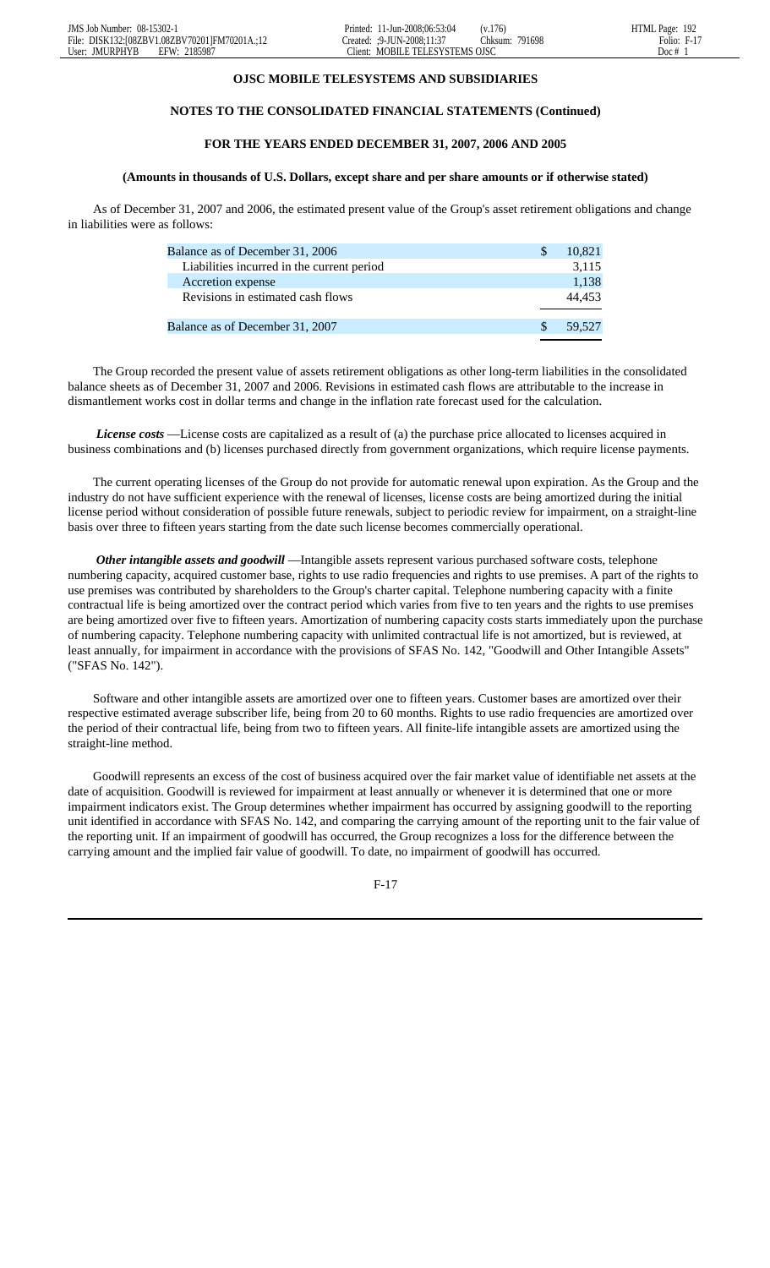#### **NOTES TO THE CONSOLIDATED FINANCIAL STATEMENTS (Continued)**

## **FOR THE YEARS ENDED DECEMBER 31, 2007, 2006 AND 2005**

### **(Amounts in thousands of U.S. Dollars, except share and per share amounts or if otherwise stated)**

 As of December 31, 2007 and 2006, the estimated present value of the Group's asset retirement obligations and change in liabilities were as follows:

| Balance as of December 31, 2006            |   | 10,821 |
|--------------------------------------------|---|--------|
| Liabilities incurred in the current period |   | 3,115  |
| Accretion expense                          |   | 1,138  |
| Revisions in estimated cash flows          |   | 44.453 |
|                                            |   |        |
| Balance as of December 31, 2007            | Я | 59.527 |
|                                            |   |        |

 The Group recorded the present value of assets retirement obligations as other long-term liabilities in the consolidated balance sheets as of December 31, 2007 and 2006. Revisions in estimated cash flows are attributable to the increase in dismantlement works cost in dollar terms and change in the inflation rate forecast used for the calculation.

 *License costs* —License costs are capitalized as a result of (a) the purchase price allocated to licenses acquired in business combinations and (b) licenses purchased directly from government organizations, which require license payments.

 The current operating licenses of the Group do not provide for automatic renewal upon expiration. As the Group and the industry do not have sufficient experience with the renewal of licenses, license costs are being amortized during the initial license period without consideration of possible future renewals, subject to periodic review for impairment, on a straight-line basis over three to fifteen years starting from the date such license becomes commercially operational.

 *Other intangible assets and goodwill* —Intangible assets represent various purchased software costs, telephone numbering capacity, acquired customer base, rights to use radio frequencies and rights to use premises. A part of the rights to use premises was contributed by shareholders to the Group's charter capital. Telephone numbering capacity with a finite contractual life is being amortized over the contract period which varies from five to ten years and the rights to use premises are being amortized over five to fifteen years. Amortization of numbering capacity costs starts immediately upon the purchase of numbering capacity. Telephone numbering capacity with unlimited contractual life is not amortized, but is reviewed, at least annually, for impairment in accordance with the provisions of SFAS No. 142, "Goodwill and Other Intangible Assets" ("SFAS No. 142").

 Software and other intangible assets are amortized over one to fifteen years. Customer bases are amortized over their respective estimated average subscriber life, being from 20 to 60 months. Rights to use radio frequencies are amortized over the period of their contractual life, being from two to fifteen years. All finite-life intangible assets are amortized using the straight-line method.

 Goodwill represents an excess of the cost of business acquired over the fair market value of identifiable net assets at the date of acquisition. Goodwill is reviewed for impairment at least annually or whenever it is determined that one or more impairment indicators exist. The Group determines whether impairment has occurred by assigning goodwill to the reporting unit identified in accordance with SFAS No. 142, and comparing the carrying amount of the reporting unit to the fair value of the reporting unit. If an impairment of goodwill has occurred, the Group recognizes a loss for the difference between the carrying amount and the implied fair value of goodwill. To date, no impairment of goodwill has occurred.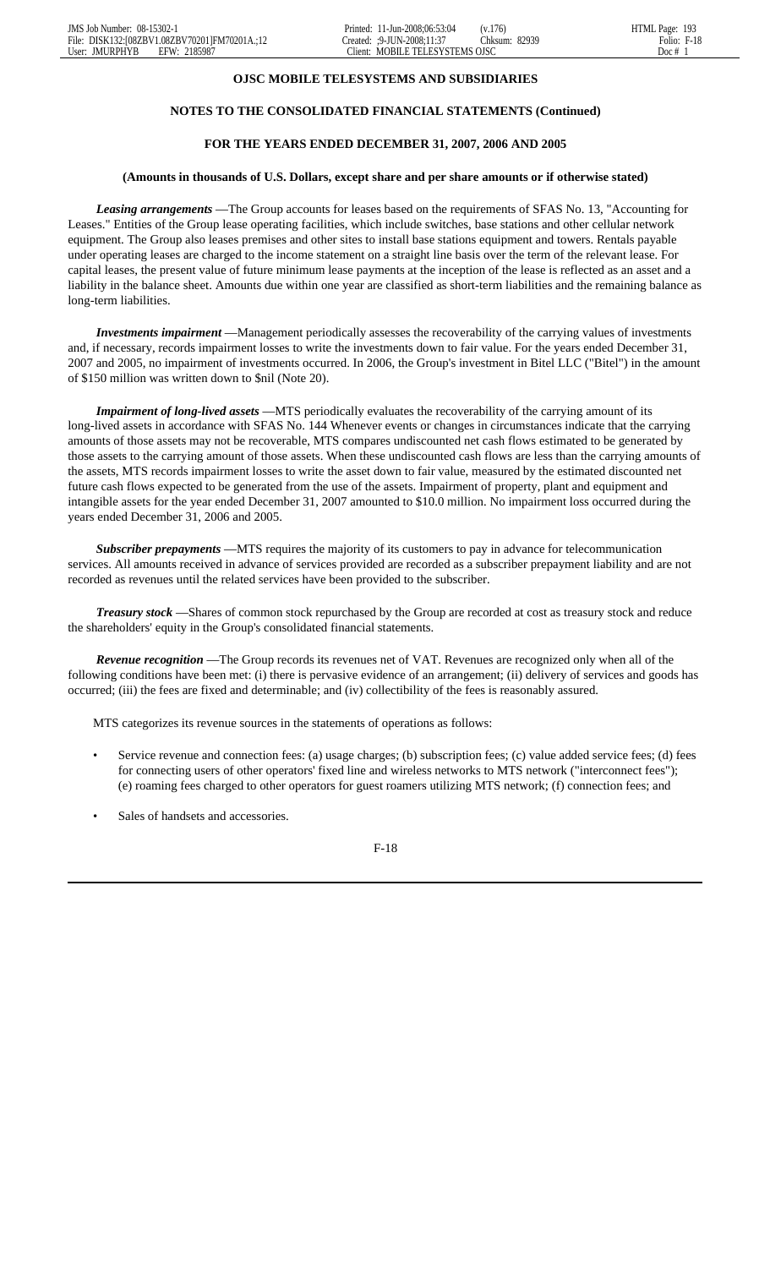## **NOTES TO THE CONSOLIDATED FINANCIAL STATEMENTS (Continued)**

## **FOR THE YEARS ENDED DECEMBER 31, 2007, 2006 AND 2005**

### **(Amounts in thousands of U.S. Dollars, except share and per share amounts or if otherwise stated)**

 *Leasing arrangements* —The Group accounts for leases based on the requirements of SFAS No. 13, "Accounting for Leases." Entities of the Group lease operating facilities, which include switches, base stations and other cellular network equipment. The Group also leases premises and other sites to install base stations equipment and towers. Rentals payable under operating leases are charged to the income statement on a straight line basis over the term of the relevant lease. For capital leases, the present value of future minimum lease payments at the inception of the lease is reflected as an asset and a liability in the balance sheet. Amounts due within one year are classified as short-term liabilities and the remaining balance as long-term liabilities.

 *Investments impairment* —Management periodically assesses the recoverability of the carrying values of investments and, if necessary, records impairment losses to write the investments down to fair value. For the years ended December 31, 2007 and 2005, no impairment of investments occurred. In 2006, the Group's investment in Bitel LLC ("Bitel") in the amount of \$150 million was written down to \$nil (Note 20).

 *Impairment of long-lived assets* —MTS periodically evaluates the recoverability of the carrying amount of its long-lived assets in accordance with SFAS No. 144 Whenever events or changes in circumstances indicate that the carrying amounts of those assets may not be recoverable, MTS compares undiscounted net cash flows estimated to be generated by those assets to the carrying amount of those assets. When these undiscounted cash flows are less than the carrying amounts of the assets, MTS records impairment losses to write the asset down to fair value, measured by the estimated discounted net future cash flows expected to be generated from the use of the assets. Impairment of property, plant and equipment and intangible assets for the year ended December 31, 2007 amounted to \$10.0 million. No impairment loss occurred during the years ended December 31, 2006 and 2005.

 *Subscriber prepayments* —MTS requires the majority of its customers to pay in advance for telecommunication services. All amounts received in advance of services provided are recorded as a subscriber prepayment liability and are not recorded as revenues until the related services have been provided to the subscriber.

 *Treasury stock* —Shares of common stock repurchased by the Group are recorded at cost as treasury stock and reduce the shareholders' equity in the Group's consolidated financial statements.

 *Revenue recognition* —The Group records its revenues net of VAT. Revenues are recognized only when all of the following conditions have been met: (i) there is pervasive evidence of an arrangement; (ii) delivery of services and goods has occurred; (iii) the fees are fixed and determinable; and (iv) collectibility of the fees is reasonably assured.

MTS categorizes its revenue sources in the statements of operations as follows:

- Service revenue and connection fees: (a) usage charges; (b) subscription fees; (c) value added service fees; (d) fees for connecting users of other operators' fixed line and wireless networks to MTS network ("interconnect fees"); (e) roaming fees charged to other operators for guest roamers utilizing MTS network; (f) connection fees; and
- Sales of handsets and accessories.

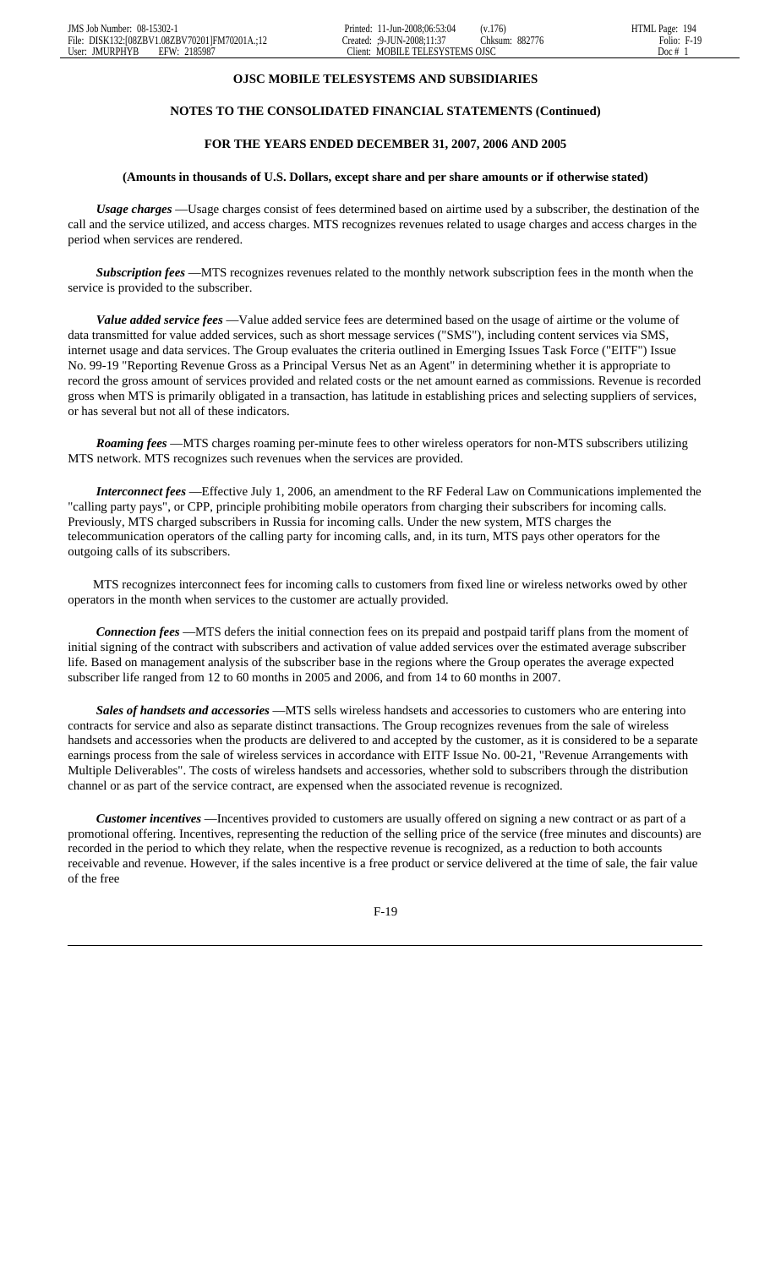#### **NOTES TO THE CONSOLIDATED FINANCIAL STATEMENTS (Continued)**

## **FOR THE YEARS ENDED DECEMBER 31, 2007, 2006 AND 2005**

#### **(Amounts in thousands of U.S. Dollars, except share and per share amounts or if otherwise stated)**

 *Usage charges* —Usage charges consist of fees determined based on airtime used by a subscriber, the destination of the call and the service utilized, and access charges. MTS recognizes revenues related to usage charges and access charges in the period when services are rendered.

 *Subscription fees* —MTS recognizes revenues related to the monthly network subscription fees in the month when the service is provided to the subscriber.

 *Value added service fees* —Value added service fees are determined based on the usage of airtime or the volume of data transmitted for value added services, such as short message services ("SMS"), including content services via SMS, internet usage and data services. The Group evaluates the criteria outlined in Emerging Issues Task Force ("EITF") Issue No. 99-19 "Reporting Revenue Gross as a Principal Versus Net as an Agent" in determining whether it is appropriate to record the gross amount of services provided and related costs or the net amount earned as commissions. Revenue is recorded gross when MTS is primarily obligated in a transaction, has latitude in establishing prices and selecting suppliers of services, or has several but not all of these indicators.

 *Roaming fees* —MTS charges roaming per-minute fees to other wireless operators for non-MTS subscribers utilizing MTS network. MTS recognizes such revenues when the services are provided.

 *Interconnect fees* —Effective July 1, 2006, an amendment to the RF Federal Law on Communications implemented the "calling party pays", or CPP, principle prohibiting mobile operators from charging their subscribers for incoming calls. Previously, MTS charged subscribers in Russia for incoming calls. Under the new system, MTS charges the telecommunication operators of the calling party for incoming calls, and, in its turn, MTS pays other operators for the outgoing calls of its subscribers.

 MTS recognizes interconnect fees for incoming calls to customers from fixed line or wireless networks owed by other operators in the month when services to the customer are actually provided.

 *Connection fees* —MTS defers the initial connection fees on its prepaid and postpaid tariff plans from the moment of initial signing of the contract with subscribers and activation of value added services over the estimated average subscriber life. Based on management analysis of the subscriber base in the regions where the Group operates the average expected subscriber life ranged from 12 to 60 months in 2005 and 2006, and from 14 to 60 months in 2007.

 *Sales of handsets and accessories* —MTS sells wireless handsets and accessories to customers who are entering into contracts for service and also as separate distinct transactions. The Group recognizes revenues from the sale of wireless handsets and accessories when the products are delivered to and accepted by the customer, as it is considered to be a separate earnings process from the sale of wireless services in accordance with EITF Issue No. 00-21, "Revenue Arrangements with Multiple Deliverables". The costs of wireless handsets and accessories, whether sold to subscribers through the distribution channel or as part of the service contract, are expensed when the associated revenue is recognized.

 *Customer incentives* —Incentives provided to customers are usually offered on signing a new contract or as part of a promotional offering. Incentives, representing the reduction of the selling price of the service (free minutes and discounts) are recorded in the period to which they relate, when the respective revenue is recognized, as a reduction to both accounts receivable and revenue. However, if the sales incentive is a free product or service delivered at the time of sale, the fair value of the free

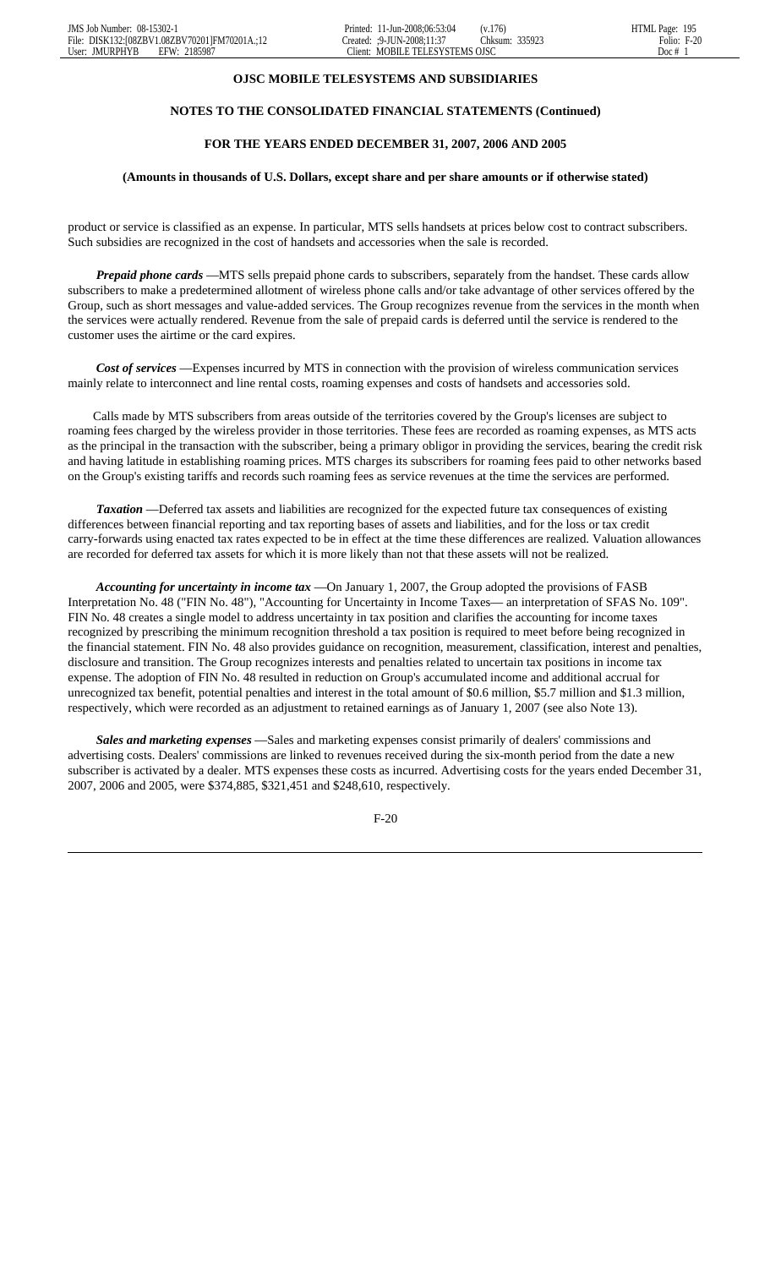#### **NOTES TO THE CONSOLIDATED FINANCIAL STATEMENTS (Continued)**

### **FOR THE YEARS ENDED DECEMBER 31, 2007, 2006 AND 2005**

#### **(Amounts in thousands of U.S. Dollars, except share and per share amounts or if otherwise stated)**

product or service is classified as an expense. In particular, MTS sells handsets at prices below cost to contract subscribers. Such subsidies are recognized in the cost of handsets and accessories when the sale is recorded.

 *Prepaid phone cards* —MTS sells prepaid phone cards to subscribers, separately from the handset. These cards allow subscribers to make a predetermined allotment of wireless phone calls and/or take advantage of other services offered by the Group, such as short messages and value-added services. The Group recognizes revenue from the services in the month when the services were actually rendered. Revenue from the sale of prepaid cards is deferred until the service is rendered to the customer uses the airtime or the card expires.

 *Cost of services* —Expenses incurred by MTS in connection with the provision of wireless communication services mainly relate to interconnect and line rental costs, roaming expenses and costs of handsets and accessories sold.

 Calls made by MTS subscribers from areas outside of the territories covered by the Group's licenses are subject to roaming fees charged by the wireless provider in those territories. These fees are recorded as roaming expenses, as MTS acts as the principal in the transaction with the subscriber, being a primary obligor in providing the services, bearing the credit risk and having latitude in establishing roaming prices. MTS charges its subscribers for roaming fees paid to other networks based on the Group's existing tariffs and records such roaming fees as service revenues at the time the services are performed.

 *Taxation* —Deferred tax assets and liabilities are recognized for the expected future tax consequences of existing differences between financial reporting and tax reporting bases of assets and liabilities, and for the loss or tax credit carry-forwards using enacted tax rates expected to be in effect at the time these differences are realized. Valuation allowances are recorded for deferred tax assets for which it is more likely than not that these assets will not be realized.

 *Accounting for uncertainty in income tax* —On January 1, 2007, the Group adopted the provisions of FASB Interpretation No. 48 ("FIN No. 48"), "Accounting for Uncertainty in Income Taxes— an interpretation of SFAS No. 109". FIN No. 48 creates a single model to address uncertainty in tax position and clarifies the accounting for income taxes recognized by prescribing the minimum recognition threshold a tax position is required to meet before being recognized in the financial statement. FIN No. 48 also provides guidance on recognition, measurement, classification, interest and penalties, disclosure and transition. The Group recognizes interests and penalties related to uncertain tax positions in income tax expense. The adoption of FIN No. 48 resulted in reduction on Group's accumulated income and additional accrual for unrecognized tax benefit, potential penalties and interest in the total amount of \$0.6 million, \$5.7 million and \$1.3 million, respectively, which were recorded as an adjustment to retained earnings as of January 1, 2007 (see also Note 13).

 *Sales and marketing expenses* —Sales and marketing expenses consist primarily of dealers' commissions and advertising costs. Dealers' commissions are linked to revenues received during the six-month period from the date a new subscriber is activated by a dealer. MTS expenses these costs as incurred. Advertising costs for the years ended December 31, 2007, 2006 and 2005, were \$374,885, \$321,451 and \$248,610, respectively.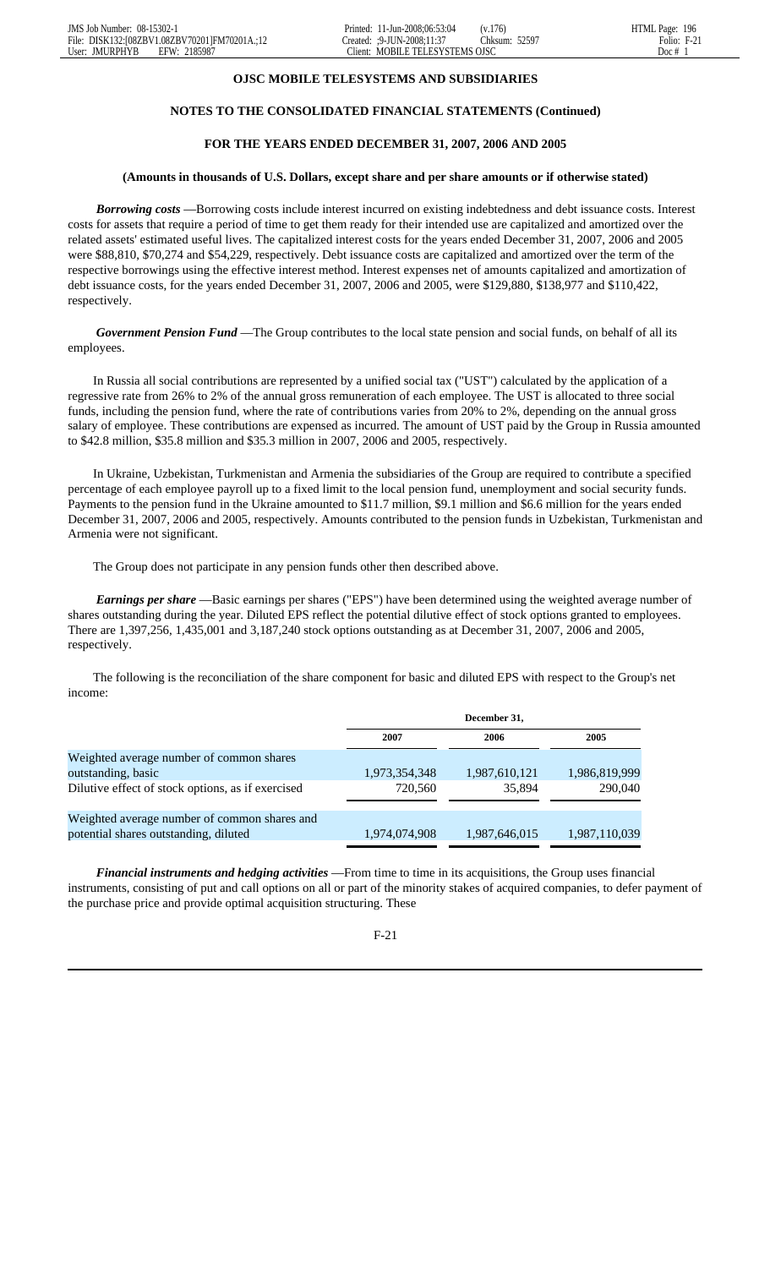## **NOTES TO THE CONSOLIDATED FINANCIAL STATEMENTS (Continued)**

## **FOR THE YEARS ENDED DECEMBER 31, 2007, 2006 AND 2005**

#### **(Amounts in thousands of U.S. Dollars, except share and per share amounts or if otherwise stated)**

 *Borrowing costs* —Borrowing costs include interest incurred on existing indebtedness and debt issuance costs. Interest costs for assets that require a period of time to get them ready for their intended use are capitalized and amortized over the related assets' estimated useful lives. The capitalized interest costs for the years ended December 31, 2007, 2006 and 2005 were \$88,810, \$70,274 and \$54,229, respectively. Debt issuance costs are capitalized and amortized over the term of the respective borrowings using the effective interest method. Interest expenses net of amounts capitalized and amortization of debt issuance costs, for the years ended December 31, 2007, 2006 and 2005, were \$129,880, \$138,977 and \$110,422, respectively.

 *Government Pension Fund* —The Group contributes to the local state pension and social funds, on behalf of all its employees.

 In Russia all social contributions are represented by a unified social tax ("UST") calculated by the application of a regressive rate from 26% to 2% of the annual gross remuneration of each employee. The UST is allocated to three social funds, including the pension fund, where the rate of contributions varies from 20% to 2%, depending on the annual gross salary of employee. These contributions are expensed as incurred. The amount of UST paid by the Group in Russia amounted to \$42.8 million, \$35.8 million and \$35.3 million in 2007, 2006 and 2005, respectively.

 In Ukraine, Uzbekistan, Turkmenistan and Armenia the subsidiaries of the Group are required to contribute a specified percentage of each employee payroll up to a fixed limit to the local pension fund, unemployment and social security funds. Payments to the pension fund in the Ukraine amounted to \$11.7 million, \$9.1 million and \$6.6 million for the years ended December 31, 2007, 2006 and 2005, respectively. Amounts contributed to the pension funds in Uzbekistan, Turkmenistan and Armenia were not significant.

The Group does not participate in any pension funds other then described above.

 *Earnings per share* —Basic earnings per shares ("EPS") have been determined using the weighted average number of shares outstanding during the year. Diluted EPS reflect the potential dilutive effect of stock options granted to employees. There are 1,397,256, 1,435,001 and 3,187,240 stock options outstanding as at December 31, 2007, 2006 and 2005, respectively.

 The following is the reconciliation of the share component for basic and diluted EPS with respect to the Group's net income:

|                                                   |               | December 31,  |               |
|---------------------------------------------------|---------------|---------------|---------------|
|                                                   | 2007<br>2006  |               | 2005          |
| Weighted average number of common shares          |               |               |               |
| outstanding, basic                                | 1,973,354,348 | 1,987,610,121 | 1,986,819,999 |
| Dilutive effect of stock options, as if exercised | 720,560       | 35,894        | 290,040       |
| Weighted average number of common shares and      |               |               |               |
| potential shares outstanding, diluted             | 1,974,074,908 | 1,987,646,015 | 1,987,110,039 |
|                                                   |               |               |               |

 *Financial instruments and hedging activities* —From time to time in its acquisitions, the Group uses financial instruments, consisting of put and call options on all or part of the minority stakes of acquired companies, to defer payment of the purchase price and provide optimal acquisition structuring. These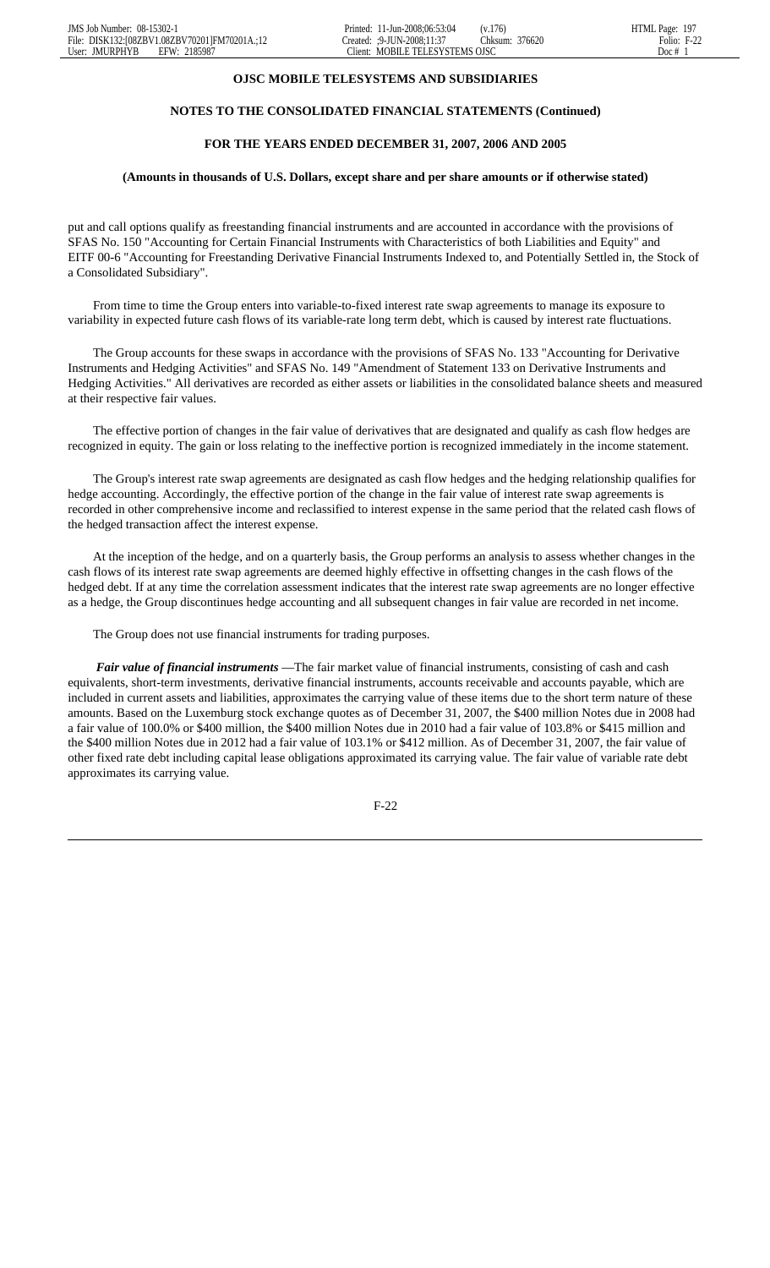# **NOTES TO THE CONSOLIDATED FINANCIAL STATEMENTS (Continued)**

# **FOR THE YEARS ENDED DECEMBER 31, 2007, 2006 AND 2005**

## **(Amounts in thousands of U.S. Dollars, except share and per share amounts or if otherwise stated)**

put and call options qualify as freestanding financial instruments and are accounted in accordance with the provisions of SFAS No. 150 "Accounting for Certain Financial Instruments with Characteristics of both Liabilities and Equity" and EITF 00-6 "Accounting for Freestanding Derivative Financial Instruments Indexed to, and Potentially Settled in, the Stock of a Consolidated Subsidiary".

 From time to time the Group enters into variable-to-fixed interest rate swap agreements to manage its exposure to variability in expected future cash flows of its variable-rate long term debt, which is caused by interest rate fluctuations.

 The Group accounts for these swaps in accordance with the provisions of SFAS No. 133 "Accounting for Derivative Instruments and Hedging Activities" and SFAS No. 149 "Amendment of Statement 133 on Derivative Instruments and Hedging Activities." All derivatives are recorded as either assets or liabilities in the consolidated balance sheets and measured at their respective fair values.

 The effective portion of changes in the fair value of derivatives that are designated and qualify as cash flow hedges are recognized in equity. The gain or loss relating to the ineffective portion is recognized immediately in the income statement.

 The Group's interest rate swap agreements are designated as cash flow hedges and the hedging relationship qualifies for hedge accounting. Accordingly, the effective portion of the change in the fair value of interest rate swap agreements is recorded in other comprehensive income and reclassified to interest expense in the same period that the related cash flows of the hedged transaction affect the interest expense.

 At the inception of the hedge, and on a quarterly basis, the Group performs an analysis to assess whether changes in the cash flows of its interest rate swap agreements are deemed highly effective in offsetting changes in the cash flows of the hedged debt. If at any time the correlation assessment indicates that the interest rate swap agreements are no longer effective as a hedge, the Group discontinues hedge accounting and all subsequent changes in fair value are recorded in net income.

The Group does not use financial instruments for trading purposes.

 *Fair value of financial instruments* —The fair market value of financial instruments, consisting of cash and cash equivalents, short-term investments, derivative financial instruments, accounts receivable and accounts payable, which are included in current assets and liabilities, approximates the carrying value of these items due to the short term nature of these amounts. Based on the Luxemburg stock exchange quotes as of December 31, 2007, the \$400 million Notes due in 2008 had a fair value of 100.0% or \$400 million, the \$400 million Notes due in 2010 had a fair value of 103.8% or \$415 million and the \$400 million Notes due in 2012 had a fair value of 103.1% or \$412 million. As of December 31, 2007, the fair value of other fixed rate debt including capital lease obligations approximated its carrying value. The fair value of variable rate debt approximates its carrying value.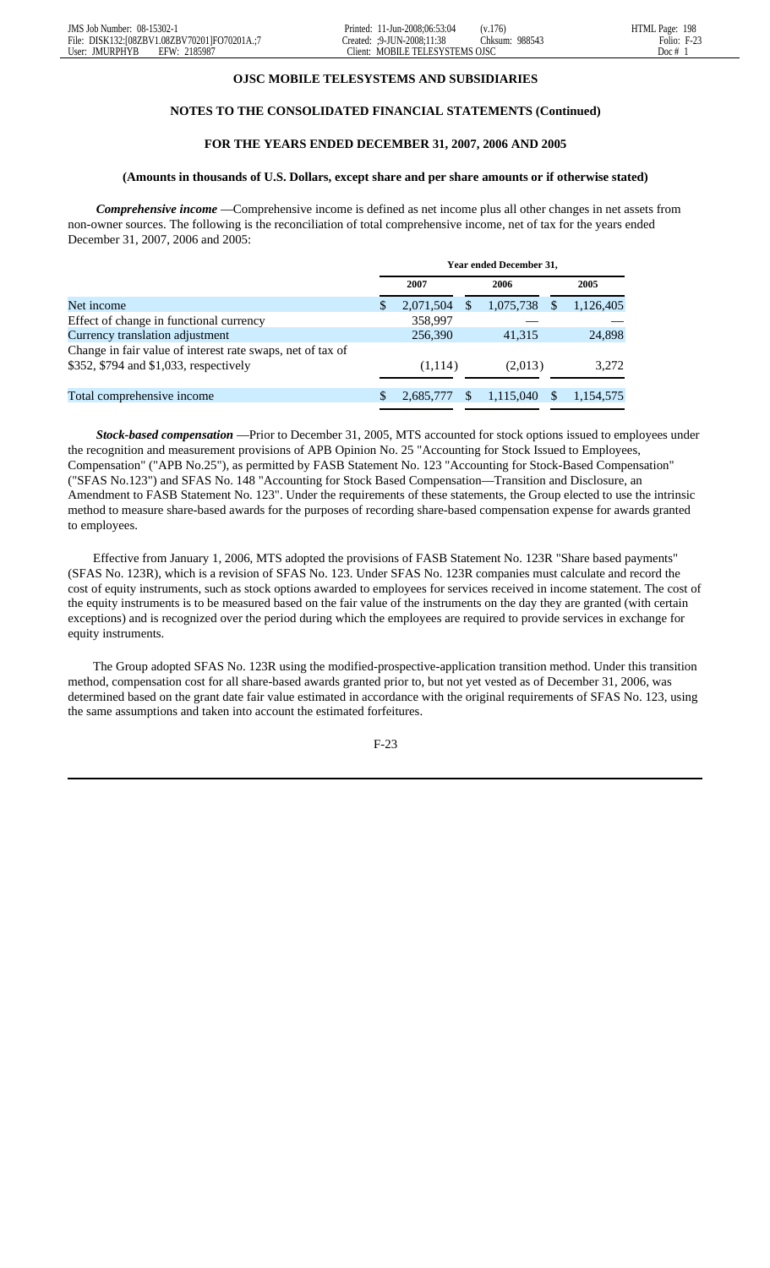## **NOTES TO THE CONSOLIDATED FINANCIAL STATEMENTS (Continued)**

## **FOR THE YEARS ENDED DECEMBER 31, 2007, 2006 AND 2005**

#### **(Amounts in thousands of U.S. Dollars, except share and per share amounts or if otherwise stated)**

 *Comprehensive income* —Comprehensive income is defined as net income plus all other changes in net assets from non-owner sources. The following is the reconciliation of total comprehensive income, net of tax for the years ended December 31, 2007, 2006 and 2005:

|                                                            | Year ended December 31, |           |  |           |           |
|------------------------------------------------------------|-------------------------|-----------|--|-----------|-----------|
|                                                            |                         | 2007      |  | 2006      | 2005      |
| Net income                                                 | S                       | 2,071,504 |  | 1,075,738 | 1,126,405 |
| Effect of change in functional currency                    |                         | 358,997   |  |           |           |
| Currency translation adjustment                            |                         | 256,390   |  | 41,315    | 24,898    |
| Change in fair value of interest rate swaps, net of tax of |                         |           |  |           |           |
| \$352, \$794 and \$1,033, respectively                     |                         | (1,114)   |  | (2,013)   | 3.272     |
|                                                            |                         |           |  |           |           |
| Total comprehensive income                                 | <sup>\$</sup>           | 2,685,777 |  | 1,115,040 | 1.154.575 |

 *Stock-based compensation* —Prior to December 31, 2005, MTS accounted for stock options issued to employees under the recognition and measurement provisions of APB Opinion No. 25 "Accounting for Stock Issued to Employees, Compensation" ("APB No.25"), as permitted by FASB Statement No. 123 "Accounting for Stock-Based Compensation" ("SFAS No.123") and SFAS No. 148 "Accounting for Stock Based Compensation—Transition and Disclosure, an Amendment to FASB Statement No. 123". Under the requirements of these statements, the Group elected to use the intrinsic method to measure share-based awards for the purposes of recording share-based compensation expense for awards granted to employees.

 Effective from January 1, 2006, MTS adopted the provisions of FASB Statement No. 123R "Share based payments" (SFAS No. 123R), which is a revision of SFAS No. 123. Under SFAS No. 123R companies must calculate and record the cost of equity instruments, such as stock options awarded to employees for services received in income statement. The cost of the equity instruments is to be measured based on the fair value of the instruments on the day they are granted (with certain exceptions) and is recognized over the period during which the employees are required to provide services in exchange for equity instruments.

 The Group adopted SFAS No. 123R using the modified-prospective-application transition method. Under this transition method, compensation cost for all share-based awards granted prior to, but not yet vested as of December 31, 2006, was determined based on the grant date fair value estimated in accordance with the original requirements of SFAS No. 123, using the same assumptions and taken into account the estimated forfeitures.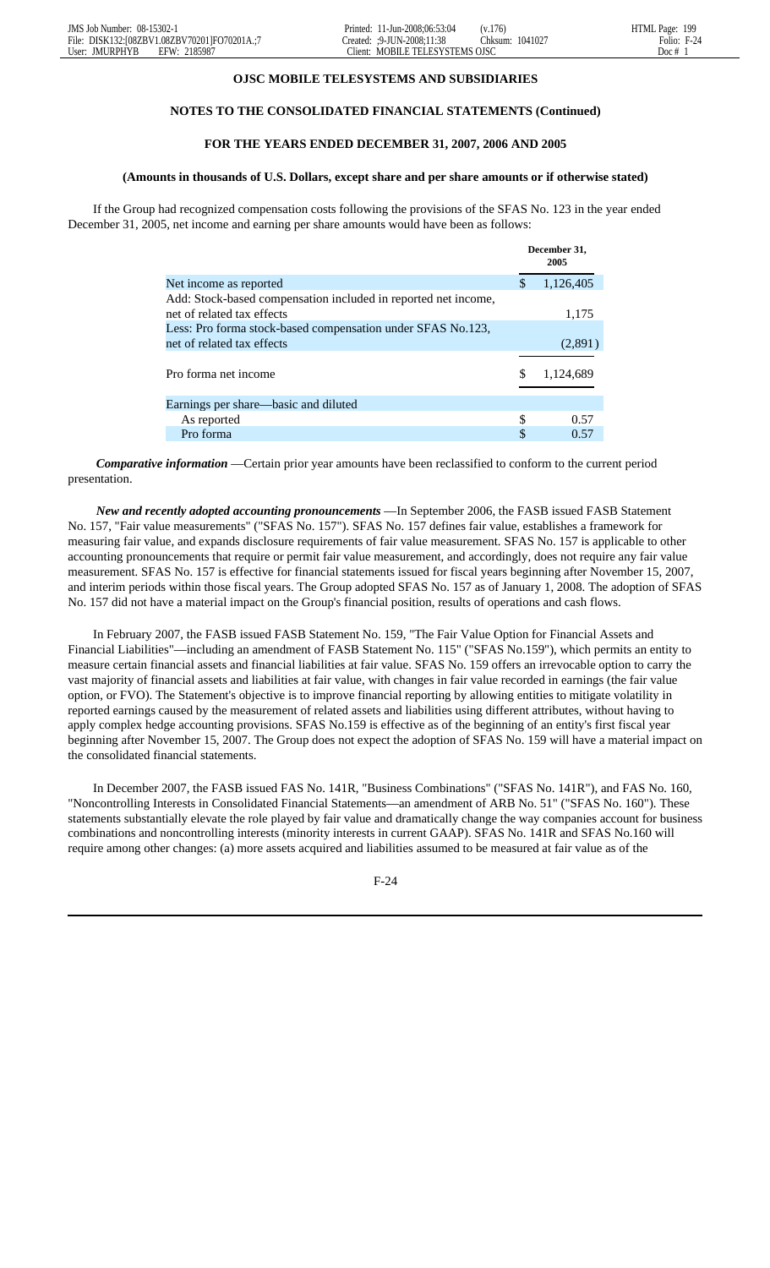# **NOTES TO THE CONSOLIDATED FINANCIAL STATEMENTS (Continued)**

# **FOR THE YEARS ENDED DECEMBER 31, 2007, 2006 AND 2005**

## **(Amounts in thousands of U.S. Dollars, except share and per share amounts or if otherwise stated)**

 If the Group had recognized compensation costs following the provisions of the SFAS No. 123 in the year ended December 31, 2005, net income and earning per share amounts would have been as follows:

|                                                                |   | December 31,<br>2005 |
|----------------------------------------------------------------|---|----------------------|
| Net income as reported                                         |   | 1,126,405            |
| Add: Stock-based compensation included in reported net income, |   |                      |
| net of related tax effects                                     |   | 1,175                |
| Less: Pro forma stock-based compensation under SFAS No.123,    |   |                      |
| net of related tax effects                                     |   | (2,891)              |
| Pro forma net income                                           | S | 1,124,689            |
| Earnings per share—basic and diluted                           |   |                      |
| As reported                                                    |   | 0.57                 |
| Pro forma                                                      | S | 0.57                 |

 *Comparative information* —Certain prior year amounts have been reclassified to conform to the current period presentation.

 *New and recently adopted accounting pronouncements* —In September 2006, the FASB issued FASB Statement No. 157, "Fair value measurements" ("SFAS No. 157"). SFAS No. 157 defines fair value, establishes a framework for measuring fair value, and expands disclosure requirements of fair value measurement. SFAS No. 157 is applicable to other accounting pronouncements that require or permit fair value measurement, and accordingly, does not require any fair value measurement. SFAS No. 157 is effective for financial statements issued for fiscal years beginning after November 15, 2007, and interim periods within those fiscal years. The Group adopted SFAS No. 157 as of January 1, 2008. The adoption of SFAS No. 157 did not have a material impact on the Group's financial position, results of operations and cash flows.

 In February 2007, the FASB issued FASB Statement No. 159, "The Fair Value Option for Financial Assets and Financial Liabilities"—including an amendment of FASB Statement No. 115" ("SFAS No.159"), which permits an entity to measure certain financial assets and financial liabilities at fair value. SFAS No. 159 offers an irrevocable option to carry the vast majority of financial assets and liabilities at fair value, with changes in fair value recorded in earnings (the fair value option, or FVO). The Statement's objective is to improve financial reporting by allowing entities to mitigate volatility in reported earnings caused by the measurement of related assets and liabilities using different attributes, without having to apply complex hedge accounting provisions. SFAS No.159 is effective as of the beginning of an entity's first fiscal year beginning after November 15, 2007. The Group does not expect the adoption of SFAS No. 159 will have a material impact on the consolidated financial statements.

 In December 2007, the FASB issued FAS No. 141R, "Business Combinations" ("SFAS No. 141R"), and FAS No. 160, "Noncontrolling Interests in Consolidated Financial Statements—an amendment of ARB No. 51" ("SFAS No. 160"). These statements substantially elevate the role played by fair value and dramatically change the way companies account for business combinations and noncontrolling interests (minority interests in current GAAP). SFAS No. 141R and SFAS No.160 will require among other changes: (a) more assets acquired and liabilities assumed to be measured at fair value as of the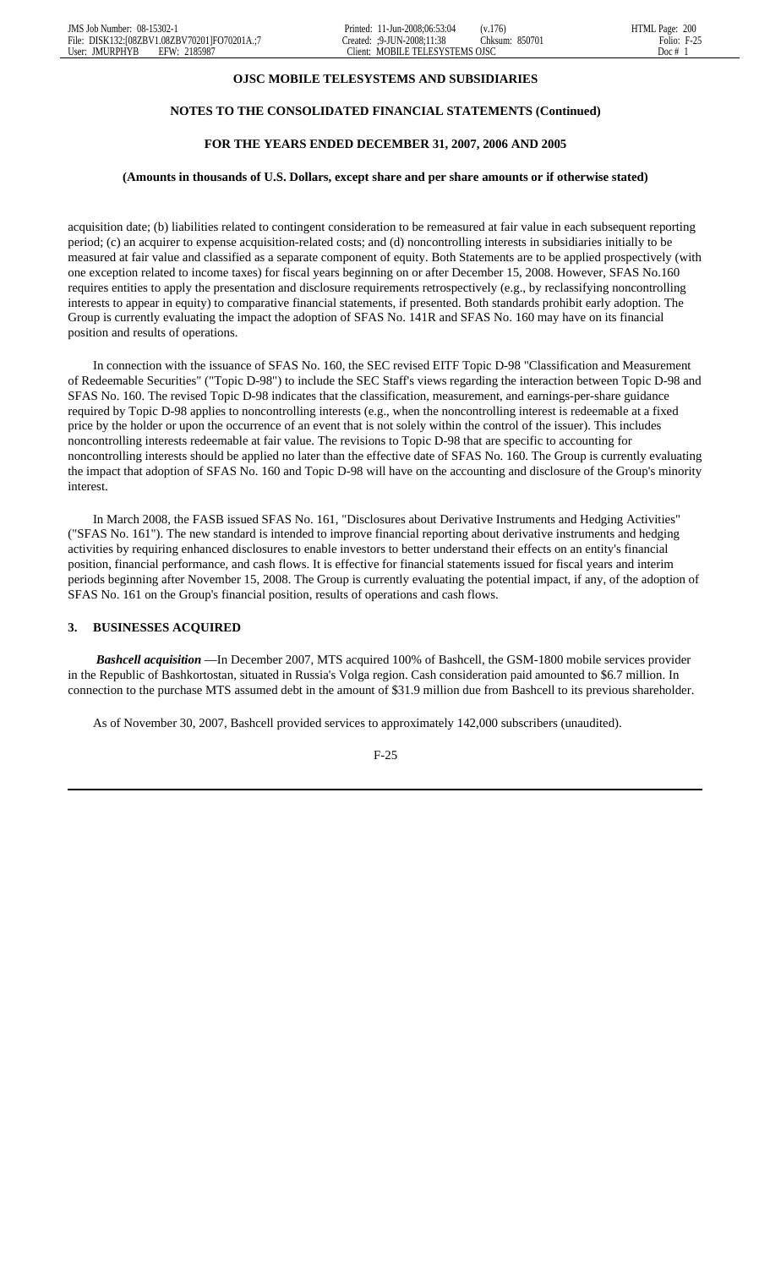# **NOTES TO THE CONSOLIDATED FINANCIAL STATEMENTS (Continued)**

# **FOR THE YEARS ENDED DECEMBER 31, 2007, 2006 AND 2005**

## **(Amounts in thousands of U.S. Dollars, except share and per share amounts or if otherwise stated)**

acquisition date; (b) liabilities related to contingent consideration to be remeasured at fair value in each subsequent reporting period; (c) an acquirer to expense acquisition-related costs; and (d) noncontrolling interests in subsidiaries initially to be measured at fair value and classified as a separate component of equity. Both Statements are to be applied prospectively (with one exception related to income taxes) for fiscal years beginning on or after December 15, 2008. However, SFAS No.160 requires entities to apply the presentation and disclosure requirements retrospectively (e.g., by reclassifying noncontrolling interests to appear in equity) to comparative financial statements, if presented. Both standards prohibit early adoption. The Group is currently evaluating the impact the adoption of SFAS No. 141R and SFAS No. 160 may have on its financial position and results of operations.

 In connection with the issuance of SFAS No. 160, the SEC revised EITF Topic D-98 "Classification and Measurement of Redeemable Securities" ("Topic D-98") to include the SEC Staff's views regarding the interaction between Topic D-98 and SFAS No. 160. The revised Topic D-98 indicates that the classification, measurement, and earnings-per-share guidance required by Topic D-98 applies to noncontrolling interests (e.g., when the noncontrolling interest is redeemable at a fixed price by the holder or upon the occurrence of an event that is not solely within the control of the issuer). This includes noncontrolling interests redeemable at fair value. The revisions to Topic D-98 that are specific to accounting for noncontrolling interests should be applied no later than the effective date of SFAS No. 160. The Group is currently evaluating the impact that adoption of SFAS No. 160 and Topic D-98 will have on the accounting and disclosure of the Group's minority interest.

 In March 2008, the FASB issued SFAS No. 161, "Disclosures about Derivative Instruments and Hedging Activities" ("SFAS No. 161"). The new standard is intended to improve financial reporting about derivative instruments and hedging activities by requiring enhanced disclosures to enable investors to better understand their effects on an entity's financial position, financial performance, and cash flows. It is effective for financial statements issued for fiscal years and interim periods beginning after November 15, 2008. The Group is currently evaluating the potential impact, if any, of the adoption of SFAS No. 161 on the Group's financial position, results of operations and cash flows.

# **3. BUSINESSES ACQUIRED**

 *Bashcell acquisition* —In December 2007, MTS acquired 100% of Bashcell, the GSM-1800 mobile services provider in the Republic of Bashkortostan, situated in Russia's Volga region. Cash consideration paid amounted to \$6.7 million. In connection to the purchase MTS assumed debt in the amount of \$31.9 million due from Bashcell to its previous shareholder.

As of November 30, 2007, Bashcell provided services to approximately 142,000 subscribers (unaudited).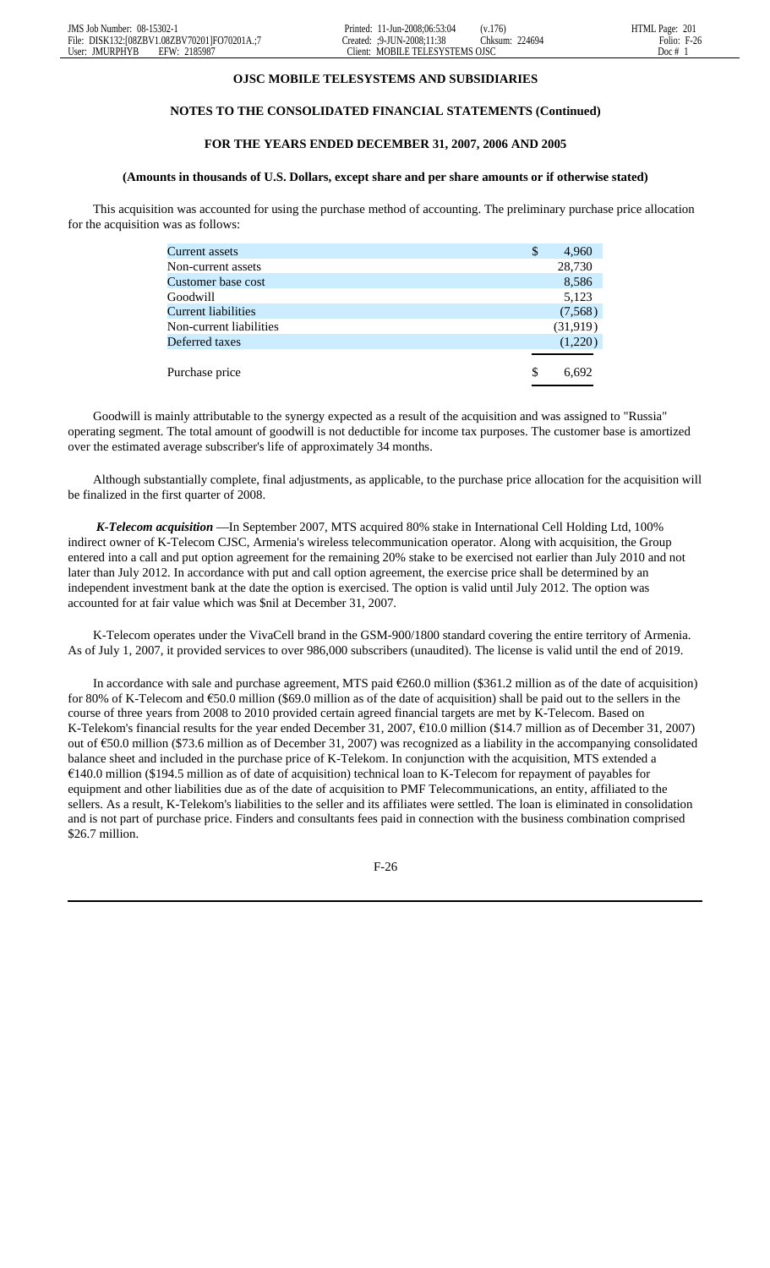#### **NOTES TO THE CONSOLIDATED FINANCIAL STATEMENTS (Continued)**

## **FOR THE YEARS ENDED DECEMBER 31, 2007, 2006 AND 2005**

### **(Amounts in thousands of U.S. Dollars, except share and per share amounts or if otherwise stated)**

 This acquisition was accounted for using the purchase method of accounting. The preliminary purchase price allocation for the acquisition was as follows:

| Current assets             | \$ | 4,960    |
|----------------------------|----|----------|
| Non-current assets         |    | 28,730   |
| Customer base cost         |    | 8,586    |
| Goodwill                   |    | 5,123    |
| <b>Current liabilities</b> |    | (7,568)  |
| Non-current liabilities    |    | (31,919) |
| Deferred taxes             |    | (1,220)  |
|                            |    |          |
| Purchase price             | S  | 6.692    |
|                            |    |          |

 Goodwill is mainly attributable to the synergy expected as a result of the acquisition and was assigned to "Russia" operating segment. The total amount of goodwill is not deductible for income tax purposes. The customer base is amortized over the estimated average subscriber's life of approximately 34 months.

 Although substantially complete, final adjustments, as applicable, to the purchase price allocation for the acquisition will be finalized in the first quarter of 2008.

 *K-Telecom acquisition* —In September 2007, MTS acquired 80% stake in International Cell Holding Ltd, 100% indirect owner of K-Telecom CJSC, Armenia's wireless telecommunication operator. Along with acquisition, the Group entered into a call and put option agreement for the remaining 20% stake to be exercised not earlier than July 2010 and not later than July 2012. In accordance with put and call option agreement, the exercise price shall be determined by an independent investment bank at the date the option is exercised. The option is valid until July 2012. The option was accounted for at fair value which was \$nil at December 31, 2007.

 K-Telecom operates under the VivaCell brand in the GSM-900/1800 standard covering the entire territory of Armenia. As of July 1, 2007, it provided services to over 986,000 subscribers (unaudited). The license is valid until the end of 2019.

In accordance with sale and purchase agreement, MTS paid  $E260.0$  million (\$361.2 million as of the date of acquisition) for 80% of K-Telecom and  $$50.0$  million (\$69.0 million as of the date of acquisition) shall be paid out to the sellers in the course of three years from 2008 to 2010 provided certain agreed financial targets are met by K-Telecom. Based on K-Telekom's financial results for the year ended December 31, 2007, €10.0 million (\$14.7 million as of December 31, 2007) out of  $\text{\textsterling}50.0$  million (\$73.6 million as of December 31, 2007) was recognized as a liability in the accompanying consolidated balance sheet and included in the purchase price of K-Telekom. In conjunction with the acquisition, MTS extended a  $£140.0$  million (\$194.5 million as of date of acquisition) technical loan to K-Telecom for repayment of payables for equipment and other liabilities due as of the date of acquisition to PMF Telecommunications, an entity, affiliated to the sellers. As a result, K-Telekom's liabilities to the seller and its affiliates were settled. The loan is eliminated in consolidation and is not part of purchase price. Finders and consultants fees paid in connection with the business combination comprised \$26.7 million.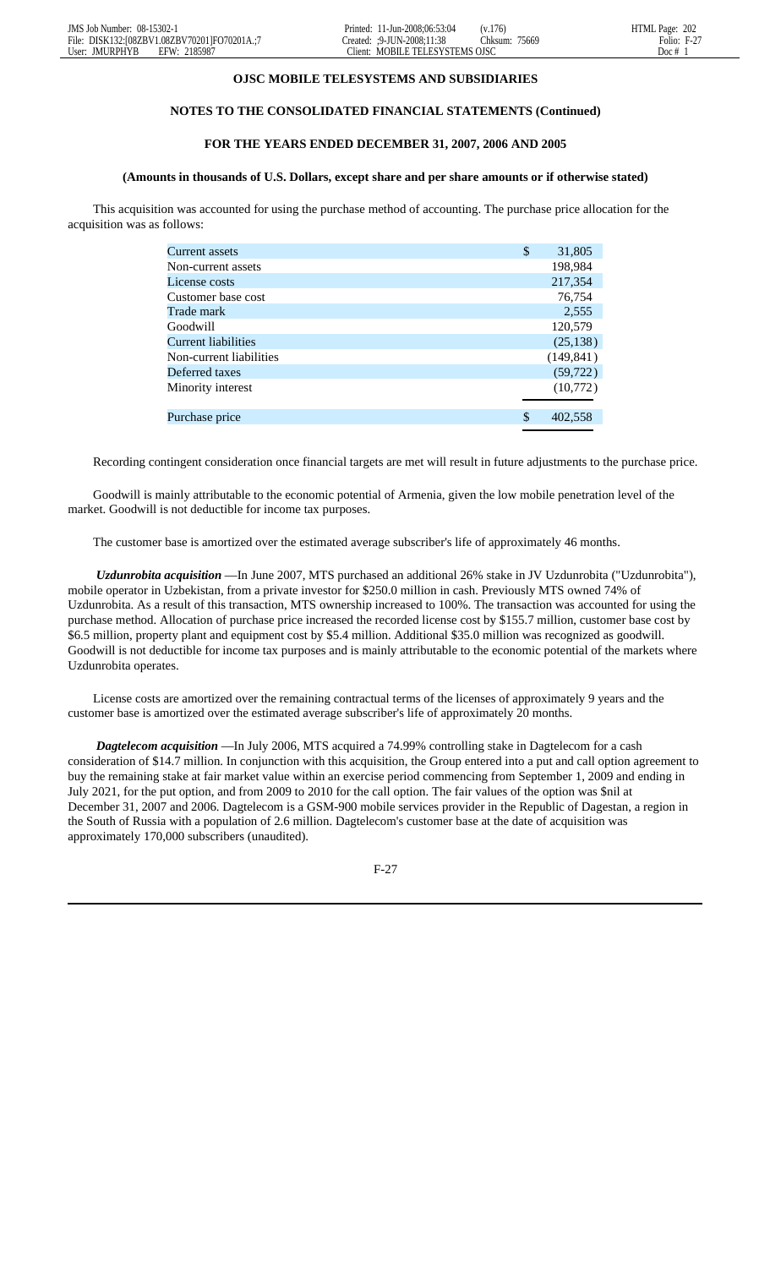#### **NOTES TO THE CONSOLIDATED FINANCIAL STATEMENTS (Continued)**

## **FOR THE YEARS ENDED DECEMBER 31, 2007, 2006 AND 2005**

### **(Amounts in thousands of U.S. Dollars, except share and per share amounts or if otherwise stated)**

 This acquisition was accounted for using the purchase method of accounting. The purchase price allocation for the acquisition was as follows:

| Current assets          | \$<br>31,805  |
|-------------------------|---------------|
| Non-current assets      | 198,984       |
| License costs           | 217,354       |
| Customer base cost      | 76,754        |
| Trade mark              | 2,555         |
| Goodwill                | 120,579       |
| Current liabilities     | (25, 138)     |
| Non-current liabilities | (149, 841)    |
| Deferred taxes          | (59, 722)     |
| Minority interest       | (10,772)      |
|                         |               |
| Purchase price          | \$<br>402.558 |
|                         |               |

Recording contingent consideration once financial targets are met will result in future adjustments to the purchase price.

 Goodwill is mainly attributable to the economic potential of Armenia, given the low mobile penetration level of the market. Goodwill is not deductible for income tax purposes.

The customer base is amortized over the estimated average subscriber's life of approximately 46 months.

 *Uzdunrobita acquisition* —In June 2007, MTS purchased an additional 26% stake in JV Uzdunrobita ("Uzdunrobita"), mobile operator in Uzbekistan, from a private investor for \$250.0 million in cash. Previously MTS owned 74% of Uzdunrobita. As a result of this transaction, MTS ownership increased to 100%. The transaction was accounted for using the purchase method. Allocation of purchase price increased the recorded license cost by \$155.7 million, customer base cost by \$6.5 million, property plant and equipment cost by \$5.4 million. Additional \$35.0 million was recognized as goodwill. Goodwill is not deductible for income tax purposes and is mainly attributable to the economic potential of the markets where Uzdunrobita operates.

 License costs are amortized over the remaining contractual terms of the licenses of approximately 9 years and the customer base is amortized over the estimated average subscriber's life of approximately 20 months.

 *Dagtelecom acquisition* —In July 2006, MTS acquired a 74.99% controlling stake in Dagtelecom for a cash consideration of \$14.7 million. In conjunction with this acquisition, the Group entered into a put and call option agreement to buy the remaining stake at fair market value within an exercise period commencing from September 1, 2009 and ending in July 2021, for the put option, and from 2009 to 2010 for the call option. The fair values of the option was \$nil at December 31, 2007 and 2006. Dagtelecom is a GSM-900 mobile services provider in the Republic of Dagestan, a region in the South of Russia with a population of 2.6 million. Dagtelecom's customer base at the date of acquisition was approximately 170,000 subscribers (unaudited).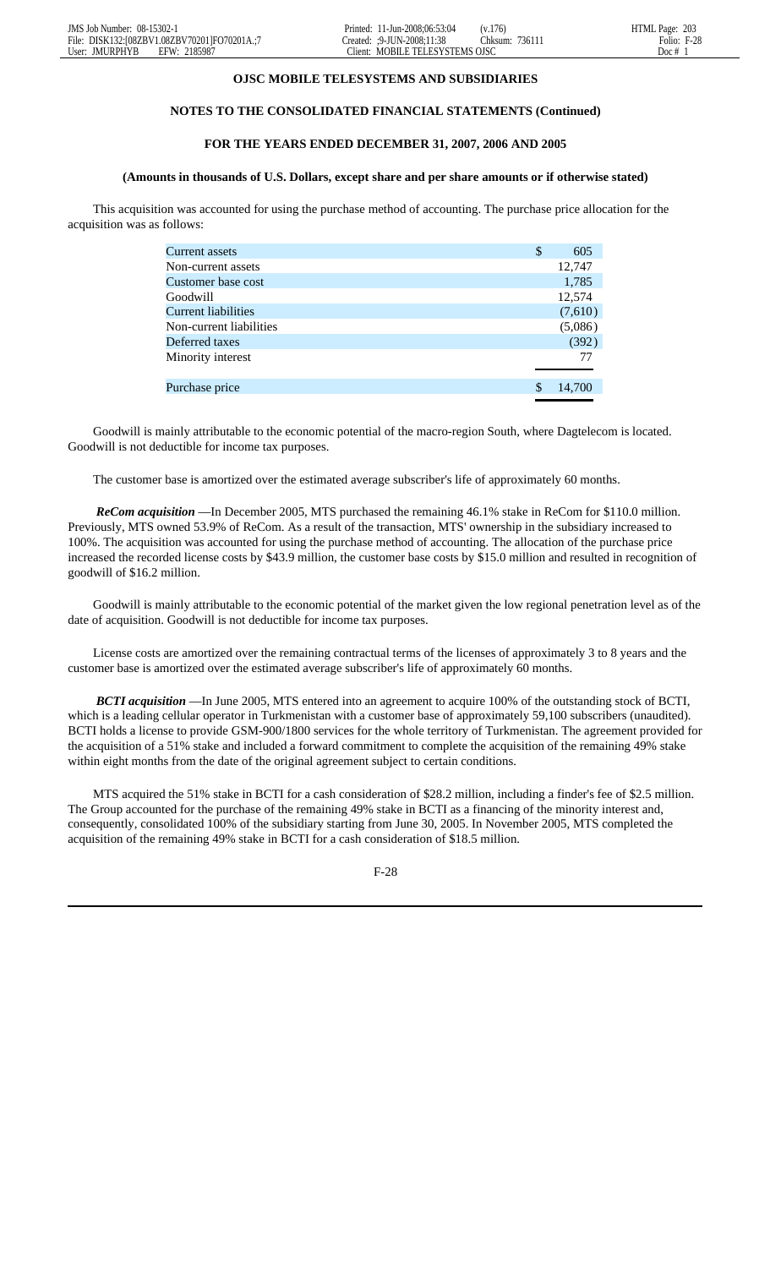#### **NOTES TO THE CONSOLIDATED FINANCIAL STATEMENTS (Continued)**

## **FOR THE YEARS ENDED DECEMBER 31, 2007, 2006 AND 2005**

### **(Amounts in thousands of U.S. Dollars, except share and per share amounts or if otherwise stated)**

 This acquisition was accounted for using the purchase method of accounting. The purchase price allocation for the acquisition was as follows:

| Current assets          | \$ | 605     |
|-------------------------|----|---------|
| Non-current assets      |    | 12,747  |
| Customer base cost      |    | 1,785   |
| Goodwill                |    | 12,574  |
| Current liabilities     |    | (7,610) |
| Non-current liabilities |    | (5,086) |
| Deferred taxes          |    | (392)   |
| Minority interest       |    | 77      |
|                         |    |         |
| Purchase price          | S  | 14.700  |
|                         |    |         |

 Goodwill is mainly attributable to the economic potential of the macro-region South, where Dagtelecom is located. Goodwill is not deductible for income tax purposes.

The customer base is amortized over the estimated average subscriber's life of approximately 60 months.

 *ReCom acquisition* —In December 2005, MTS purchased the remaining 46.1% stake in ReCom for \$110.0 million. Previously, MTS owned 53.9% of ReCom. As a result of the transaction, MTS' ownership in the subsidiary increased to 100%. The acquisition was accounted for using the purchase method of accounting. The allocation of the purchase price increased the recorded license costs by \$43.9 million, the customer base costs by \$15.0 million and resulted in recognition of goodwill of \$16.2 million.

 Goodwill is mainly attributable to the economic potential of the market given the low regional penetration level as of the date of acquisition. Goodwill is not deductible for income tax purposes.

 License costs are amortized over the remaining contractual terms of the licenses of approximately 3 to 8 years and the customer base is amortized over the estimated average subscriber's life of approximately 60 months.

 *BCTI acquisition* —In June 2005, MTS entered into an agreement to acquire 100% of the outstanding stock of BCTI, which is a leading cellular operator in Turkmenistan with a customer base of approximately 59,100 subscribers (unaudited). BCTI holds a license to provide GSM-900/1800 services for the whole territory of Turkmenistan. The agreement provided for the acquisition of a 51% stake and included a forward commitment to complete the acquisition of the remaining 49% stake within eight months from the date of the original agreement subject to certain conditions.

 MTS acquired the 51% stake in BCTI for a cash consideration of \$28.2 million, including a finder's fee of \$2.5 million. The Group accounted for the purchase of the remaining 49% stake in BCTI as a financing of the minority interest and, consequently, consolidated 100% of the subsidiary starting from June 30, 2005. In November 2005, MTS completed the acquisition of the remaining 49% stake in BCTI for a cash consideration of \$18.5 million.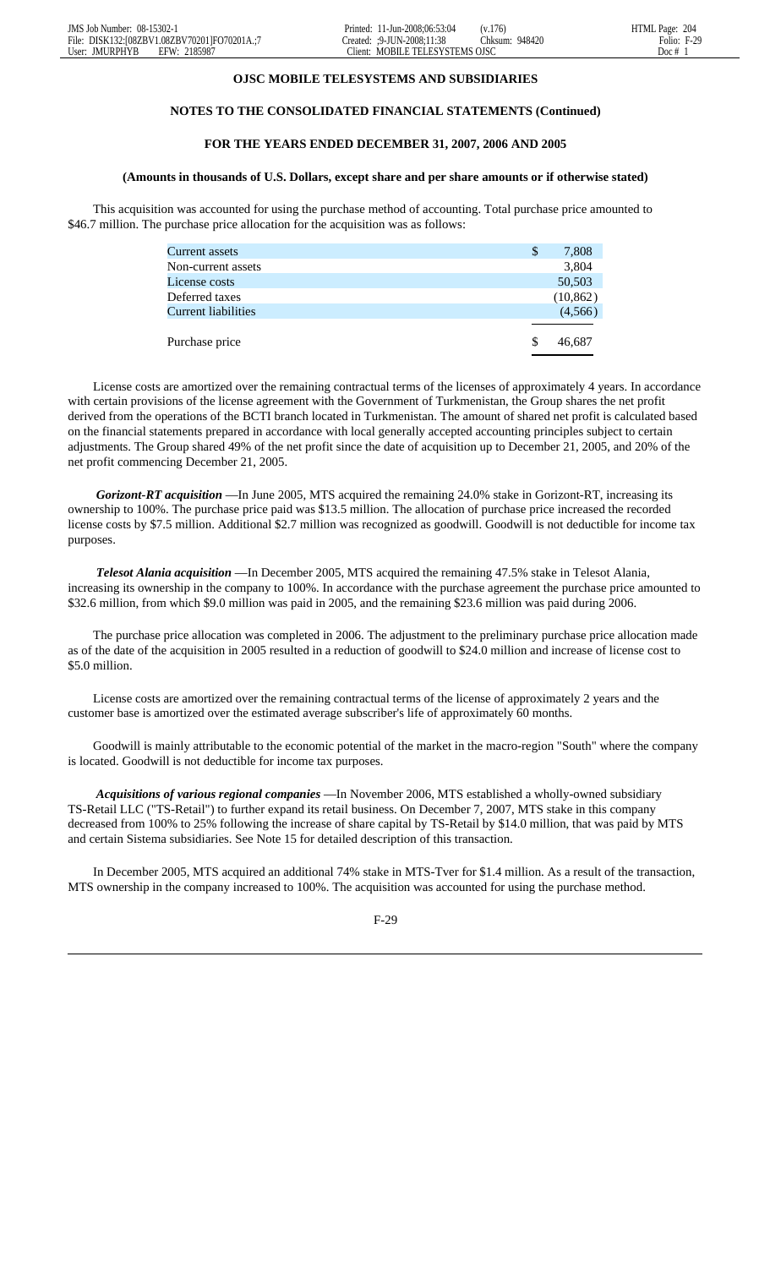#### **NOTES TO THE CONSOLIDATED FINANCIAL STATEMENTS (Continued)**

## **FOR THE YEARS ENDED DECEMBER 31, 2007, 2006 AND 2005**

#### **(Amounts in thousands of U.S. Dollars, except share and per share amounts or if otherwise stated)**

 This acquisition was accounted for using the purchase method of accounting. Total purchase price amounted to \$46.7 million. The purchase price allocation for the acquisition was as follows:

| Current assets             | S   | 7,808     |
|----------------------------|-----|-----------|
| Non-current assets         |     | 3,804     |
| License costs              |     | 50,503    |
| Deferred taxes             |     | (10, 862) |
| <b>Current liabilities</b> |     | (4, 566)  |
|                            |     |           |
| Purchase price             | \$. | 46.687    |

 License costs are amortized over the remaining contractual terms of the licenses of approximately 4 years. In accordance with certain provisions of the license agreement with the Government of Turkmenistan, the Group shares the net profit derived from the operations of the BCTI branch located in Turkmenistan. The amount of shared net profit is calculated based on the financial statements prepared in accordance with local generally accepted accounting principles subject to certain adjustments. The Group shared 49% of the net profit since the date of acquisition up to December 21, 2005, and 20% of the net profit commencing December 21, 2005.

 *Gorizont-RT acquisition* —In June 2005, MTS acquired the remaining 24.0% stake in Gorizont-RT, increasing its ownership to 100%. The purchase price paid was \$13.5 million. The allocation of purchase price increased the recorded license costs by \$7.5 million. Additional \$2.7 million was recognized as goodwill. Goodwill is not deductible for income tax purposes.

 *Telesot Alania acquisition* —In December 2005, MTS acquired the remaining 47.5% stake in Telesot Alania, increasing its ownership in the company to 100%. In accordance with the purchase agreement the purchase price amounted to \$32.6 million, from which \$9.0 million was paid in 2005, and the remaining \$23.6 million was paid during 2006.

 The purchase price allocation was completed in 2006. The adjustment to the preliminary purchase price allocation made as of the date of the acquisition in 2005 resulted in a reduction of goodwill to \$24.0 million and increase of license cost to \$5.0 million.

 License costs are amortized over the remaining contractual terms of the license of approximately 2 years and the customer base is amortized over the estimated average subscriber's life of approximately 60 months.

 Goodwill is mainly attributable to the economic potential of the market in the macro-region "South" where the company is located. Goodwill is not deductible for income tax purposes.

 *Acquisitions of various regional companies* —In November 2006, MTS established a wholly-owned subsidiary TS-Retail LLC ("TS-Retail") to further expand its retail business. On December 7, 2007, MTS stake in this company decreased from 100% to 25% following the increase of share capital by TS-Retail by \$14.0 million, that was paid by MTS and certain Sistema subsidiaries. See Note 15 for detailed description of this transaction.

 In December 2005, MTS acquired an additional 74% stake in MTS-Tver for \$1.4 million. As a result of the transaction, MTS ownership in the company increased to 100%. The acquisition was accounted for using the purchase method.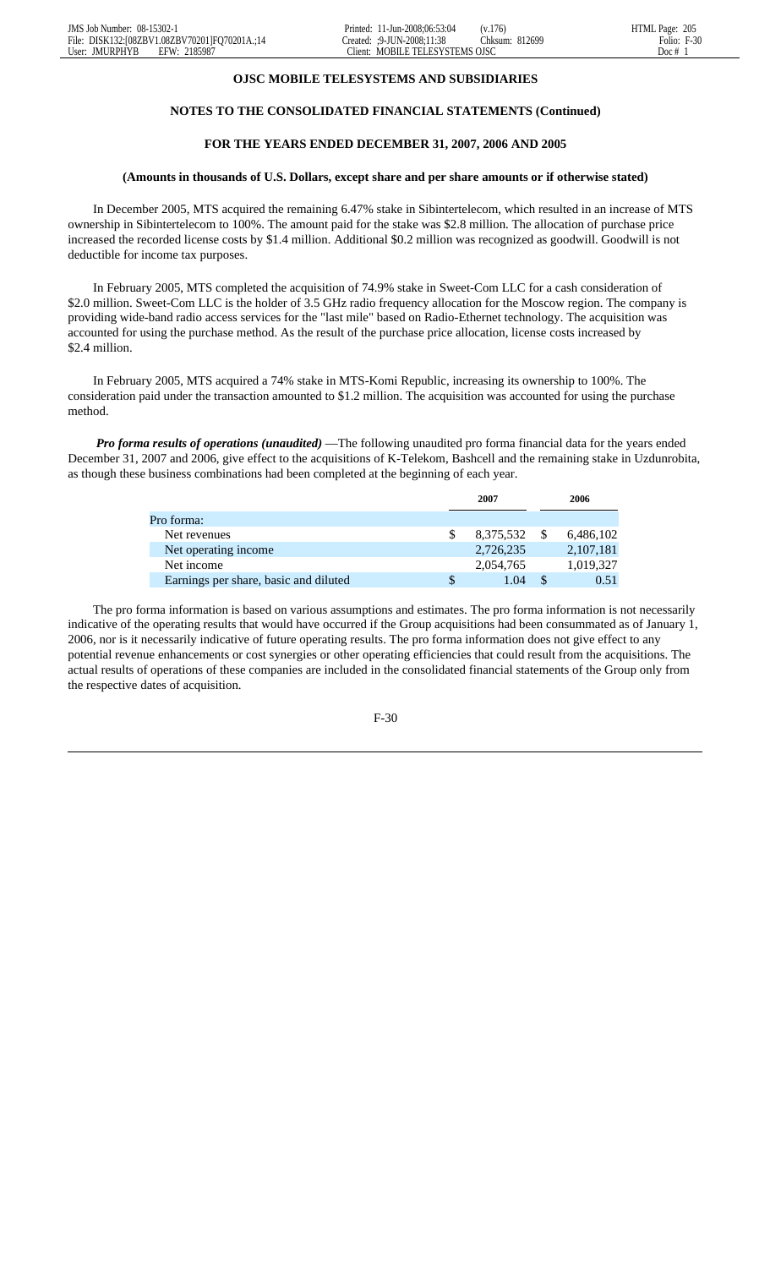## **NOTES TO THE CONSOLIDATED FINANCIAL STATEMENTS (Continued)**

### **FOR THE YEARS ENDED DECEMBER 31, 2007, 2006 AND 2005**

#### **(Amounts in thousands of U.S. Dollars, except share and per share amounts or if otherwise stated)**

 In December 2005, MTS acquired the remaining 6.47% stake in Sibintertelecom, which resulted in an increase of MTS ownership in Sibintertelecom to 100%. The amount paid for the stake was \$2.8 million. The allocation of purchase price increased the recorded license costs by \$1.4 million. Additional \$0.2 million was recognized as goodwill. Goodwill is not deductible for income tax purposes.

 In February 2005, MTS completed the acquisition of 74.9% stake in Sweet-Com LLC for a cash consideration of \$2.0 million. Sweet-Com LLC is the holder of 3.5 GHz radio frequency allocation for the Moscow region. The company is providing wide-band radio access services for the "last mile" based on Radio-Ethernet technology. The acquisition was accounted for using the purchase method. As the result of the purchase price allocation, license costs increased by \$2.4 million.

 In February 2005, MTS acquired a 74% stake in MTS-Komi Republic, increasing its ownership to 100%. The consideration paid under the transaction amounted to \$1.2 million. The acquisition was accounted for using the purchase method.

 *Pro forma results of operations (unaudited)* —The following unaudited pro forma financial data for the years ended December 31, 2007 and 2006, give effect to the acquisitions of K-Telekom, Bashcell and the remaining stake in Uzdunrobita, as though these business combinations had been completed at the beginning of each year.

|                                       |   | 2007      |  | 2006      |
|---------------------------------------|---|-----------|--|-----------|
| Pro forma:                            |   |           |  |           |
| Net revenues                          |   | 8.375.532 |  | 6,486,102 |
| Net operating income                  |   | 2,726,235 |  | 2,107,181 |
| Net income                            |   | 2,054,765 |  | 1,019,327 |
| Earnings per share, basic and diluted | S | 1 04      |  | 0.51      |

 The pro forma information is based on various assumptions and estimates. The pro forma information is not necessarily indicative of the operating results that would have occurred if the Group acquisitions had been consummated as of January 1, 2006, nor is it necessarily indicative of future operating results. The pro forma information does not give effect to any potential revenue enhancements or cost synergies or other operating efficiencies that could result from the acquisitions. The actual results of operations of these companies are included in the consolidated financial statements of the Group only from the respective dates of acquisition.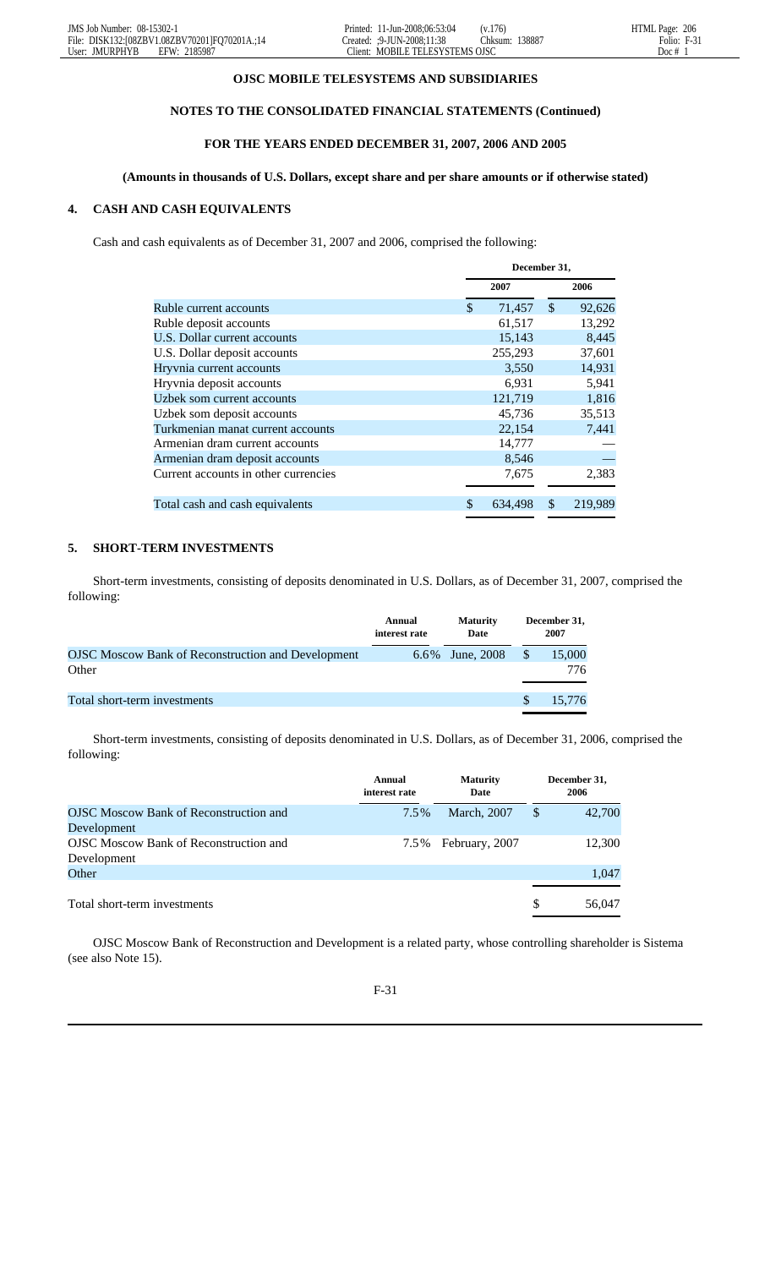# **NOTES TO THE CONSOLIDATED FINANCIAL STATEMENTS (Continued)**

# **FOR THE YEARS ENDED DECEMBER 31, 2007, 2006 AND 2005**

# **(Amounts in thousands of U.S. Dollars, except share and per share amounts or if otherwise stated)**

# **4. CASH AND CASH EQUIVALENTS**

Cash and cash equivalents as of December 31, 2007 and 2006, comprised the following:

|                                      | December 31, |         |              |         |
|--------------------------------------|--------------|---------|--------------|---------|
|                                      |              | 2007    |              | 2006    |
| Ruble current accounts               | \$.          | 71,457  | $\mathbb{S}$ | 92,626  |
| Ruble deposit accounts               |              | 61,517  |              | 13,292  |
| U.S. Dollar current accounts         |              | 15,143  |              | 8,445   |
| U.S. Dollar deposit accounts         |              | 255,293 |              | 37,601  |
| Hryvnia current accounts             |              | 3,550   |              | 14,931  |
| Hryvnia deposit accounts             |              | 6,931   |              | 5,941   |
| Uzbek som current accounts           |              | 121,719 |              | 1,816   |
| Uzbek som deposit accounts           |              | 45,736  |              | 35,513  |
| Turkmenian manat current accounts    |              | 22,154  |              | 7,441   |
| Armenian dram current accounts       |              | 14,777  |              |         |
| Armenian dram deposit accounts       |              | 8,546   |              |         |
| Current accounts in other currencies |              | 7,675   |              | 2,383   |
| Total cash and cash equivalents      |              | 634.498 | \$           | 219,989 |

## **5. SHORT-TERM INVESTMENTS**

 Short-term investments, consisting of deposits denominated in U.S. Dollars, as of December 31, 2007, comprised the following:

|                                                                    | Annual<br>interest rate | <b>Maturity</b><br>Date |   | December 31,<br>2007 |
|--------------------------------------------------------------------|-------------------------|-------------------------|---|----------------------|
| <b>OJSC Moscow Bank of Reconstruction and Development</b><br>Other |                         | 6.6% June, 2008         | S | 15,000<br>776        |
| Total short-term investments                                       |                         |                         |   | 15.776               |

 Short-term investments, consisting of deposits denominated in U.S. Dollars, as of December 31, 2006, comprised the following:

|                                                              | Annual<br>interest rate | <b>Maturity</b><br>Date |              | December 31,<br>2006 |
|--------------------------------------------------------------|-------------------------|-------------------------|--------------|----------------------|
| <b>OISC</b> Moscow Bank of Reconstruction and<br>Development | 7.5%                    | March, 2007             | $\mathbb{S}$ | 42,700               |
| <b>OISC</b> Moscow Bank of Reconstruction and<br>Development |                         | 7.5% February, 2007     |              | 12,300               |
| Other                                                        |                         |                         |              | 1,047                |
| Total short-term investments                                 |                         |                         | S            | 56,047               |

 OJSC Moscow Bank of Reconstruction and Development is a related party, whose controlling shareholder is Sistema (see also Note 15).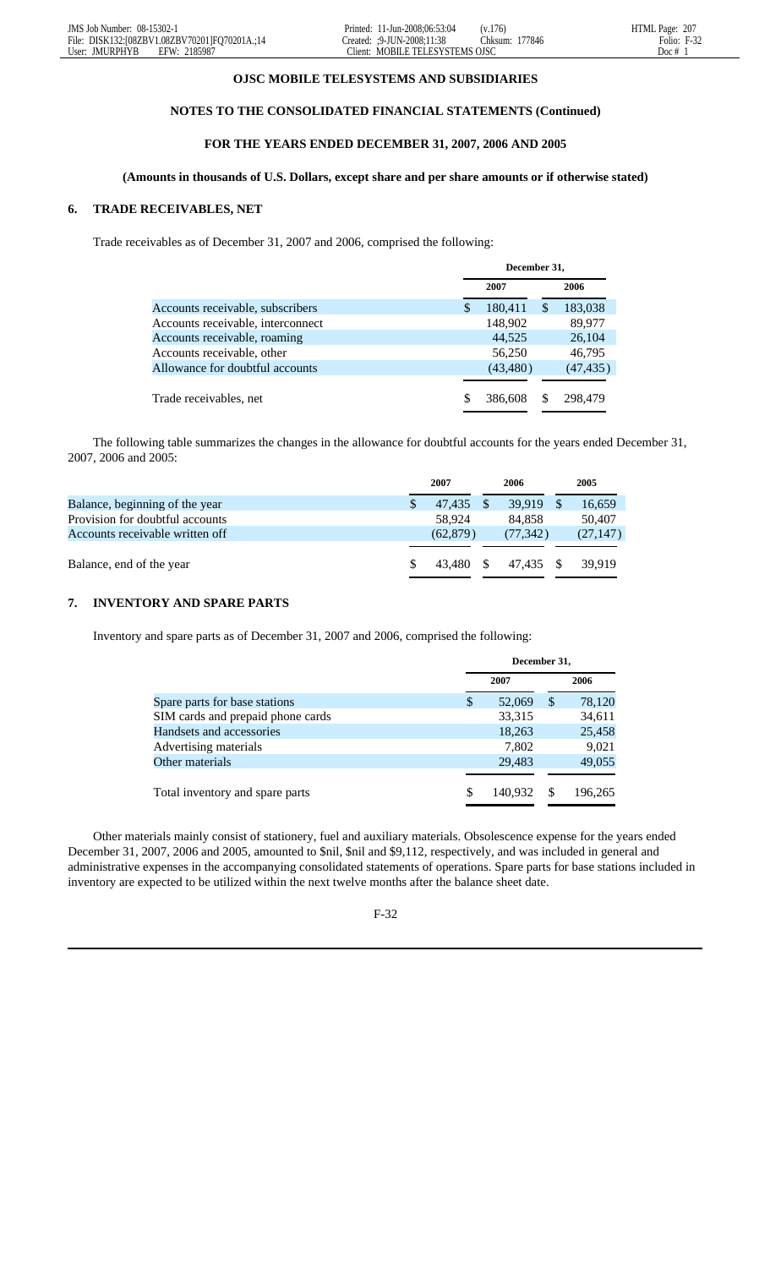### **NOTES TO THE CONSOLIDATED FINANCIAL STATEMENTS (Continued)**

## **FOR THE YEARS ENDED DECEMBER 31, 2007, 2006 AND 2005**

## **(Amounts in thousands of U.S. Dollars, except share and per share amounts or if otherwise stated)**

# **6. TRADE RECEIVABLES, NET**

Trade receivables as of December 31, 2007 and 2006, comprised the following:

|                                   | December 31, |           |   |           |  |  |
|-----------------------------------|--------------|-----------|---|-----------|--|--|
|                                   |              | 2007      |   | 2006      |  |  |
| Accounts receivable, subscribers  |              | 180,411   | S | 183,038   |  |  |
| Accounts receivable, interconnect |              | 148,902   |   | 89,977    |  |  |
| Accounts receivable, roaming      |              | 44,525    |   | 26,104    |  |  |
| Accounts receivable, other        |              | 56,250    |   | 46,795    |  |  |
| Allowance for doubtful accounts   |              | (43, 480) |   | (47, 435) |  |  |
|                                   |              |           |   |           |  |  |
| Trade receivables, net            | S            | 386.608   |   | 298,479   |  |  |

 The following table summarizes the changes in the allowance for doubtful accounts for the years ended December 31, 2007, 2006 and 2005:

|                                 |   | 2007      | 2006      | 2005      |
|---------------------------------|---|-----------|-----------|-----------|
| Balance, beginning of the year  | S | 47.435    | 39.919    | 16,659    |
| Provision for doubtful accounts |   | 58,924    | 84.858    | 50,407    |
| Accounts receivable written off |   | (62, 879) | (77, 342) | (27, 147) |
| Balance, end of the year        |   | 43.480    | 47.435 \$ | 39.919    |

## **7. INVENTORY AND SPARE PARTS**

Inventory and spare parts as of December 31, 2007 and 2006, comprised the following:

|                                   | December 31, |   |         |
|-----------------------------------|--------------|---|---------|
|                                   | 2007         |   | 2006    |
| Spare parts for base stations     | \$<br>52,069 | S | 78,120  |
| SIM cards and prepaid phone cards | 33,315       |   | 34,611  |
| Handsets and accessories          | 18,263       |   | 25,458  |
| Advertising materials             | 7,802        |   | 9.021   |
| Other materials                   | 29,483       |   | 49,055  |
|                                   |              |   |         |
| Total inventory and spare parts   | 140.932      |   | 196.265 |

 Other materials mainly consist of stationery, fuel and auxiliary materials. Obsolescence expense for the years ended December 31, 2007, 2006 and 2005, amounted to \$nil, \$nil and \$9,112, respectively, and was included in general and administrative expenses in the accompanying consolidated statements of operations. Spare parts for base stations included in inventory are expected to be utilized within the next twelve months after the balance sheet date.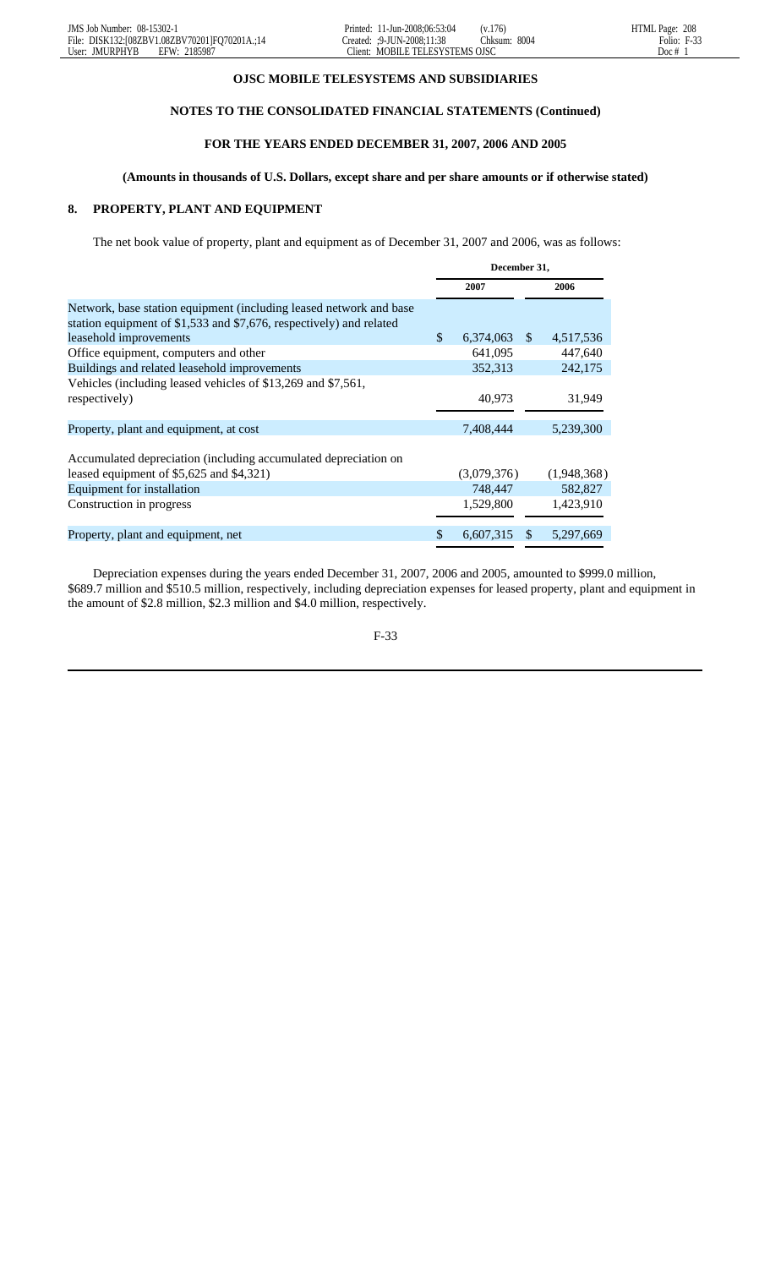## **NOTES TO THE CONSOLIDATED FINANCIAL STATEMENTS (Continued)**

# **FOR THE YEARS ENDED DECEMBER 31, 2007, 2006 AND 2005**

# **(Amounts in thousands of U.S. Dollars, except share and per share amounts or if otherwise stated)**

## **8. PROPERTY, PLANT AND EQUIPMENT**

The net book value of property, plant and equipment as of December 31, 2007 and 2006, was as follows:

|                                                                                                                                           | December 31, |             |               |             |  |
|-------------------------------------------------------------------------------------------------------------------------------------------|--------------|-------------|---------------|-------------|--|
|                                                                                                                                           |              | 2007        |               | 2006        |  |
| Network, base station equipment (including leased network and base<br>station equipment of \$1,533 and \$7,676, respectively) and related |              |             |               |             |  |
| leasehold improvements                                                                                                                    | \$           | 6,374,063   | - \$          | 4,517,536   |  |
| Office equipment, computers and other                                                                                                     |              | 641,095     |               | 447.640     |  |
| Buildings and related leasehold improvements                                                                                              |              | 352,313     |               | 242,175     |  |
| Vehicles (including leased vehicles of \$13,269 and \$7,561,<br>respectively)                                                             |              | 40.973      |               | 31,949      |  |
| Property, plant and equipment, at cost                                                                                                    |              | 7.408.444   |               | 5.239.300   |  |
| Accumulated depreciation (including accumulated depreciation on                                                                           |              |             |               |             |  |
| leased equipment of \$5,625 and \$4,321)                                                                                                  |              | (3,079,376) |               | (1,948,368) |  |
| Equipment for installation                                                                                                                |              | 748,447     |               | 582,827     |  |
| Construction in progress                                                                                                                  |              | 1,529,800   |               | 1,423,910   |  |
| Property, plant and equipment, net                                                                                                        |              | 6,607,315   | <sup>\$</sup> | 5,297,669   |  |

 Depreciation expenses during the years ended December 31, 2007, 2006 and 2005, amounted to \$999.0 million, \$689.7 million and \$510.5 million, respectively, including depreciation expenses for leased property, plant and equipment in the amount of \$2.8 million, \$2.3 million and \$4.0 million, respectively.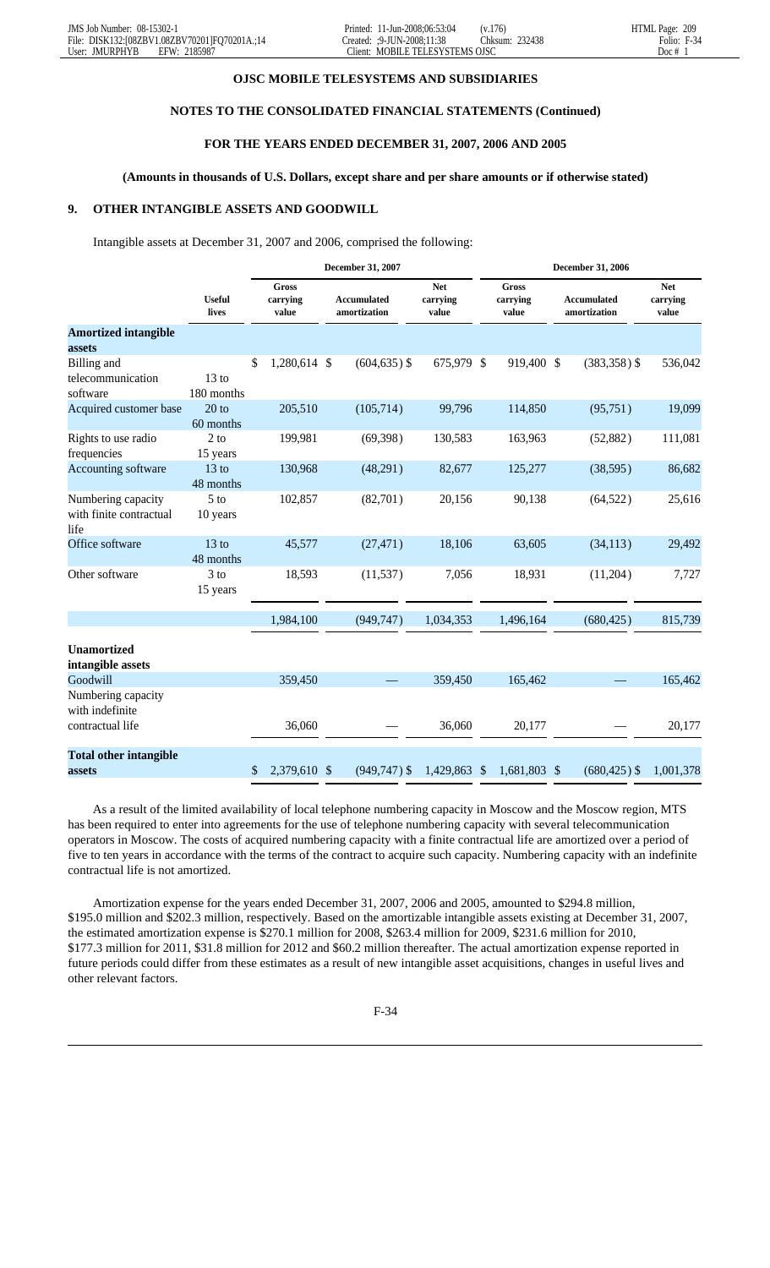# **NOTES TO THE CONSOLIDATED FINANCIAL STATEMENTS (Continued)**

# **FOR THE YEARS ENDED DECEMBER 31, 2007, 2006 AND 2005**

# **(Amounts in thousands of U.S. Dollars, except share and per share amounts or if otherwise stated)**

# **9. OTHER INTANGIBLE ASSETS AND GOODWILL**

## Intangible assets at December 31, 2007 and 2006, comprised the following:

|                                                       |                             |             |                                   | December 31, 2007                  |                                 | December 31, 2006                 |  |                                    |                                 |
|-------------------------------------------------------|-----------------------------|-------------|-----------------------------------|------------------------------------|---------------------------------|-----------------------------------|--|------------------------------------|---------------------------------|
|                                                       | <b>Useful</b><br>lives      |             | <b>Gross</b><br>carrying<br>value | <b>Accumulated</b><br>amortization | <b>Net</b><br>carrying<br>value | <b>Gross</b><br>carrying<br>value |  | <b>Accumulated</b><br>amortization | <b>Net</b><br>carrying<br>value |
| <b>Amortized intangible</b>                           |                             |             |                                   |                                    |                                 |                                   |  |                                    |                                 |
| assets                                                |                             |             |                                   |                                    |                                 |                                   |  |                                    |                                 |
| Billing and<br>telecommunication                      | $13$ to                     | \$          | 1,280,614 \$                      | $(604, 635)$ \$                    | 675,979 \$                      | 919,400 \$                        |  | $(383, 358)$ \$                    | 536,042                         |
| software                                              | 180 months                  |             |                                   |                                    |                                 |                                   |  |                                    |                                 |
| Acquired customer base                                | $20$ to<br>60 months        |             | 205,510                           | (105, 714)                         | 99,796                          | 114,850                           |  | (95, 751)                          | 19,099                          |
| Rights to use radio<br>frequencies                    | 2 <sub>to</sub><br>15 years |             | 199,981                           | (69, 398)                          | 130,583                         | 163,963                           |  | (52, 882)                          | 111,081                         |
| Accounting software                                   | $13$ to<br>48 months        |             | 130,968                           | (48,291)                           | 82,677                          | 125,277                           |  | (38,595)                           | 86,682                          |
| Numbering capacity<br>with finite contractual<br>life | $5$ to<br>10 years          |             | 102,857                           | (82,701)                           | 20,156                          | 90,138                            |  | (64, 522)                          | 25,616                          |
| Office software                                       | $13$ to<br>48 months        |             | 45,577                            | (27, 471)                          | 18,106                          | 63,605                            |  | (34, 113)                          | 29,492                          |
| Other software                                        | $3$ to<br>15 years          |             | 18,593                            | (11, 537)                          | 7,056                           | 18,931                            |  | (11,204)                           | 7,727                           |
|                                                       |                             |             | 1,984,100                         | (949, 747)                         | 1,034,353                       | 1,496,164                         |  | (680, 425)                         | 815,739                         |
| <b>Unamortized</b><br>intangible assets               |                             |             |                                   |                                    |                                 |                                   |  |                                    |                                 |
| Goodwill                                              |                             |             | 359,450                           |                                    | 359,450                         | 165,462                           |  |                                    | 165,462                         |
| Numbering capacity<br>with indefinite                 |                             |             |                                   |                                    |                                 |                                   |  |                                    |                                 |
| contractual life                                      |                             |             | 36,060                            |                                    | 36,060                          | 20,177                            |  |                                    | 20,177                          |
| <b>Total other intangible</b>                         |                             |             |                                   |                                    |                                 |                                   |  |                                    |                                 |
| assets                                                |                             | $\sqrt{\ }$ | 2,379,610 \$                      | $(949, 747)$ \$                    | 1,429,863 \$                    | 1,681,803 \$                      |  | $(680, 425)$ \$                    | 1,001,378                       |

 As a result of the limited availability of local telephone numbering capacity in Moscow and the Moscow region, MTS has been required to enter into agreements for the use of telephone numbering capacity with several telecommunication operators in Moscow. The costs of acquired numbering capacity with a finite contractual life are amortized over a period of five to ten years in accordance with the terms of the contract to acquire such capacity. Numbering capacity with an indefinite contractual life is not amortized.

 Amortization expense for the years ended December 31, 2007, 2006 and 2005, amounted to \$294.8 million, \$195.0 million and \$202.3 million, respectively. Based on the amortizable intangible assets existing at December 31, 2007, the estimated amortization expense is \$270.1 million for 2008, \$263.4 million for 2009, \$231.6 million for 2010, \$177.3 million for 2011, \$31.8 million for 2012 and \$60.2 million thereafter. The actual amortization expense reported in future periods could differ from these estimates as a result of new intangible asset acquisitions, changes in useful lives and other relevant factors.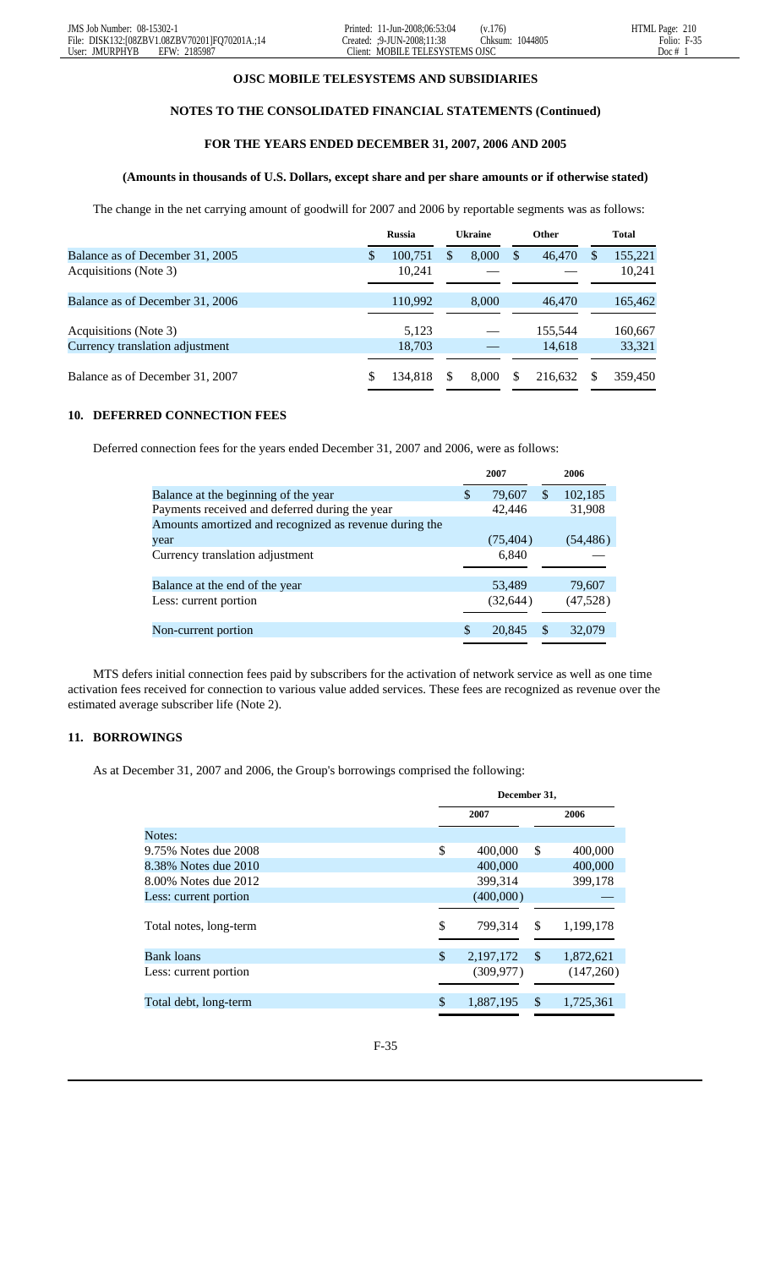## **NOTES TO THE CONSOLIDATED FINANCIAL STATEMENTS (Continued)**

# **FOR THE YEARS ENDED DECEMBER 31, 2007, 2006 AND 2005**

## **(Amounts in thousands of U.S. Dollars, except share and per share amounts or if otherwise stated)**

The change in the net carrying amount of goodwill for 2007 and 2006 by reportable segments was as follows:

|                                 |   | <b>Russia</b><br><b>Ukraine</b><br>Other |   | <b>Total</b> |   |         |         |
|---------------------------------|---|------------------------------------------|---|--------------|---|---------|---------|
| Balance as of December 31, 2005 | S | 100,751                                  | S | 8.000        | S | 46,470  | 155,221 |
| Acquisitions (Note 3)           |   | 10.241                                   |   |              |   |         | 10,241  |
| Balance as of December 31, 2006 |   | 110,992                                  |   | 8,000        |   | 46,470  | 165,462 |
| Acquisitions (Note 3)           |   | 5,123                                    |   |              |   | 155,544 | 160,667 |
| Currency translation adjustment |   | 18,703                                   |   |              |   | 14,618  | 33,321  |
| Balance as of December 31, 2007 | S | 134.818                                  | S | 8,000        | S | 216,632 | 359,450 |

## **10. DEFERRED CONNECTION FEES**

Deferred connection fees for the years ended December 31, 2007 and 2006, were as follows:

|                                                        |     | 2007      |          | 2006      |
|--------------------------------------------------------|-----|-----------|----------|-----------|
| Balance at the beginning of the year                   | \$. | 79,607    | <b>S</b> | 102,185   |
| Payments received and deferred during the year         |     | 42,446    |          | 31,908    |
| Amounts amortized and recognized as revenue during the |     |           |          |           |
| year                                                   |     | (75, 404) |          | (54, 486) |
| Currency translation adjustment                        |     | 6,840     |          |           |
|                                                        |     |           |          |           |
| Balance at the end of the year                         |     | 53,489    |          | 79,607    |
| Less: current portion                                  |     | (32, 644) |          | (47,528)  |
|                                                        |     |           |          |           |
| Non-current portion                                    | \$  | 20,845    | S        | 32,079    |
|                                                        |     |           |          |           |

 MTS defers initial connection fees paid by subscribers for the activation of network service as well as one time activation fees received for connection to various value added services. These fees are recognized as revenue over the estimated average subscriber life (Note 2).

## **11. BORROWINGS**

As at December 31, 2007 and 2006, the Group's borrowings comprised the following:

|                        | December 31,  |             |               |           |  |  |
|------------------------|---------------|-------------|---------------|-----------|--|--|
|                        |               | 2007        |               | 2006      |  |  |
| Notes:                 |               |             |               |           |  |  |
| 9.75% Notes due 2008   | \$            | 400,000     | \$            | 400,000   |  |  |
| 8.38% Notes due 2010   |               | 400,000     |               | 400,000   |  |  |
| 8.00% Notes due 2012   |               | 399,314     |               | 399,178   |  |  |
| Less: current portion  |               | (400,000)   |               |           |  |  |
| Total notes, long-term | \$            | 799,314     | <sup>\$</sup> | 1,199,178 |  |  |
| <b>Bank loans</b>      | \$            | 2, 197, 172 | <sup>\$</sup> | 1,872,621 |  |  |
| Less: current portion  |               | (309, 977)  |               | (147,260) |  |  |
| Total debt, long-term  | $\mathcal{S}$ | 1,887,195   | $\mathbb{S}$  | 1,725,361 |  |  |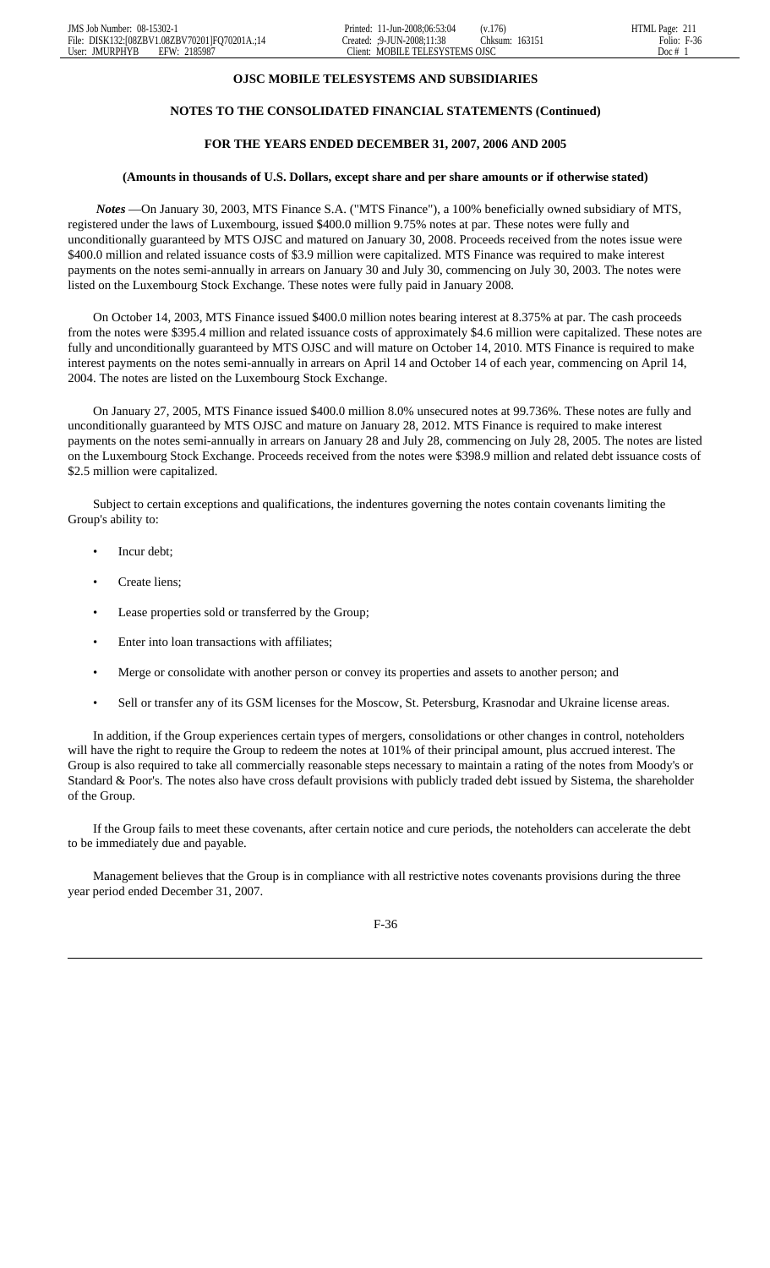#### **NOTES TO THE CONSOLIDATED FINANCIAL STATEMENTS (Continued)**

## **FOR THE YEARS ENDED DECEMBER 31, 2007, 2006 AND 2005**

#### **(Amounts in thousands of U.S. Dollars, except share and per share amounts or if otherwise stated)**

 *Notes* —On January 30, 2003, MTS Finance S.A. ("MTS Finance"), a 100% beneficially owned subsidiary of MTS, registered under the laws of Luxembourg, issued \$400.0 million 9.75% notes at par. These notes were fully and unconditionally guaranteed by MTS OJSC and matured on January 30, 2008. Proceeds received from the notes issue were \$400.0 million and related issuance costs of \$3.9 million were capitalized. MTS Finance was required to make interest payments on the notes semi-annually in arrears on January 30 and July 30, commencing on July 30, 2003. The notes were listed on the Luxembourg Stock Exchange. These notes were fully paid in January 2008.

 On October 14, 2003, MTS Finance issued \$400.0 million notes bearing interest at 8.375% at par. The cash proceeds from the notes were \$395.4 million and related issuance costs of approximately \$4.6 million were capitalized. These notes are fully and unconditionally guaranteed by MTS OJSC and will mature on October 14, 2010. MTS Finance is required to make interest payments on the notes semi-annually in arrears on April 14 and October 14 of each year, commencing on April 14, 2004. The notes are listed on the Luxembourg Stock Exchange.

 On January 27, 2005, MTS Finance issued \$400.0 million 8.0% unsecured notes at 99.736%. These notes are fully and unconditionally guaranteed by MTS OJSC and mature on January 28, 2012. MTS Finance is required to make interest payments on the notes semi-annually in arrears on January 28 and July 28, commencing on July 28, 2005. The notes are listed on the Luxembourg Stock Exchange. Proceeds received from the notes were \$398.9 million and related debt issuance costs of \$2.5 million were capitalized.

 Subject to certain exceptions and qualifications, the indentures governing the notes contain covenants limiting the Group's ability to:

- Incur debt;
- Create liens;
- Lease properties sold or transferred by the Group;
- Enter into loan transactions with affiliates;
- Merge or consolidate with another person or convey its properties and assets to another person; and
- Sell or transfer any of its GSM licenses for the Moscow, St. Petersburg, Krasnodar and Ukraine license areas.

 In addition, if the Group experiences certain types of mergers, consolidations or other changes in control, noteholders will have the right to require the Group to redeem the notes at 101% of their principal amount, plus accrued interest. The Group is also required to take all commercially reasonable steps necessary to maintain a rating of the notes from Moody's or Standard & Poor's. The notes also have cross default provisions with publicly traded debt issued by Sistema, the shareholder of the Group.

 If the Group fails to meet these covenants, after certain notice and cure periods, the noteholders can accelerate the debt to be immediately due and payable.

 Management believes that the Group is in compliance with all restrictive notes covenants provisions during the three year period ended December 31, 2007.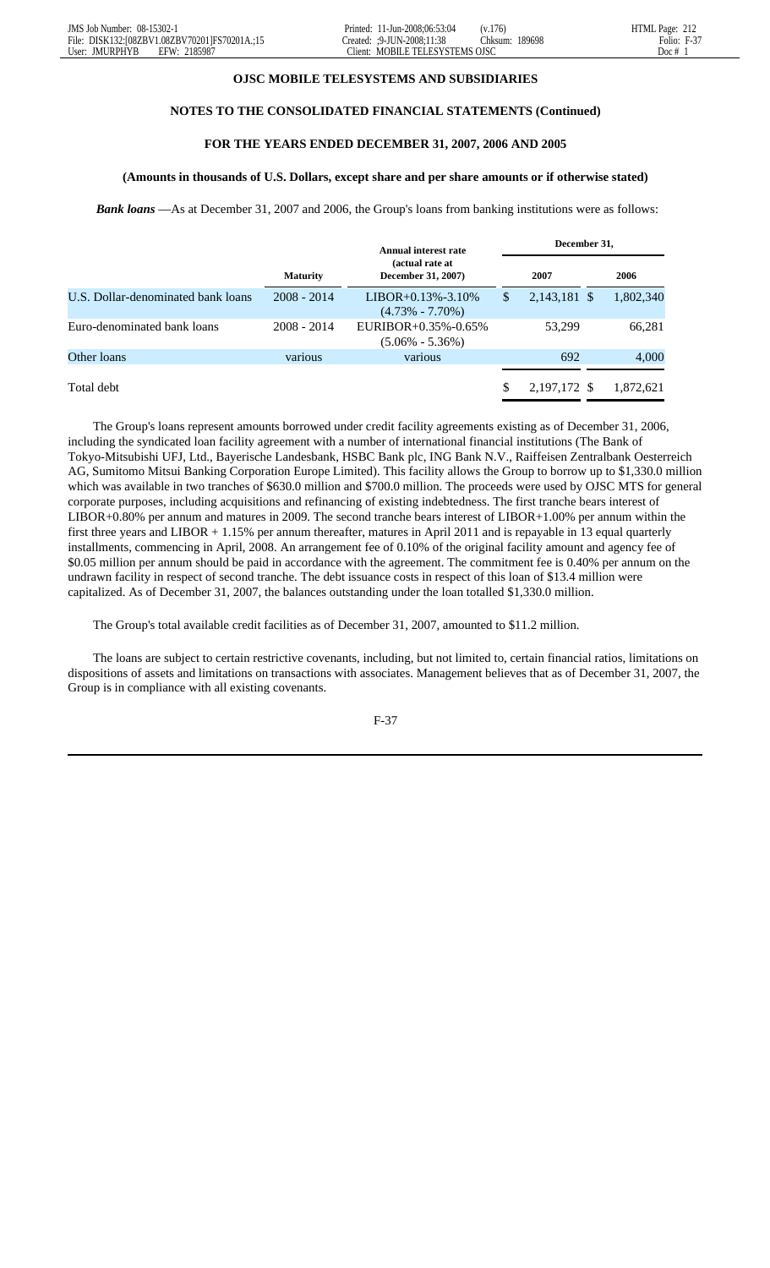#### **NOTES TO THE CONSOLIDATED FINANCIAL STATEMENTS (Continued)**

## **FOR THE YEARS ENDED DECEMBER 31, 2007, 2006 AND 2005**

#### **(Amounts in thousands of U.S. Dollars, except share and per share amounts or if otherwise stated)**

*Bank loans* —As at December 31, 2007 and 2006, the Group's loans from banking institutions were as follows:

|                                    |                 | <b>Annual interest rate</b>                      | December 31,       |           |
|------------------------------------|-----------------|--------------------------------------------------|--------------------|-----------|
|                                    | <b>Maturity</b> | (actual rate at<br><b>December 31, 2007)</b>     | 2007               | 2006      |
| U.S. Dollar-denominated bank loans | $2008 - 2014$   | $LIBOR + 0.13\% - 3.10\%$<br>$(4.73\% - 7.70\%)$ | \$<br>2,143,181 \$ | 1,802,340 |
| Euro-denominated bank loans        | $2008 - 2014$   | EURIBOR $+0.35\%$ -0.65%<br>$(5.06\% - 5.36\%)$  | 53.299             | 66,281    |
| Other loans                        | various         | various                                          | 692                | 4,000     |
| Total debt                         |                 |                                                  | \$<br>2,197,172 \$ | 1,872,621 |

 The Group's loans represent amounts borrowed under credit facility agreements existing as of December 31, 2006, including the syndicated loan facility agreement with a number of international financial institutions (The Bank of Tokyo-Mitsubishi UFJ, Ltd., Bayerische Landesbank, HSBC Bank plc, ING Bank N.V., Raiffeisen Zentralbank Oesterreich AG, Sumitomo Mitsui Banking Corporation Europe Limited). This facility allows the Group to borrow up to \$1,330.0 million which was available in two tranches of \$630.0 million and \$700.0 million. The proceeds were used by OJSC MTS for general corporate purposes, including acquisitions and refinancing of existing indebtedness. The first tranche bears interest of LIBOR+0.80% per annum and matures in 2009. The second tranche bears interest of LIBOR+1.00% per annum within the first three years and LIBOR + 1.15% per annum thereafter, matures in April 2011 and is repayable in 13 equal quarterly installments, commencing in April, 2008. An arrangement fee of 0.10% of the original facility amount and agency fee of \$0.05 million per annum should be paid in accordance with the agreement. The commitment fee is 0.40% per annum on the undrawn facility in respect of second tranche. The debt issuance costs in respect of this loan of \$13.4 million were capitalized. As of December 31, 2007, the balances outstanding under the loan totalled \$1,330.0 million.

The Group's total available credit facilities as of December 31, 2007, amounted to \$11.2 million.

 The loans are subject to certain restrictive covenants, including, but not limited to, certain financial ratios, limitations on dispositions of assets and limitations on transactions with associates. Management believes that as of December 31, 2007, the Group is in compliance with all existing covenants.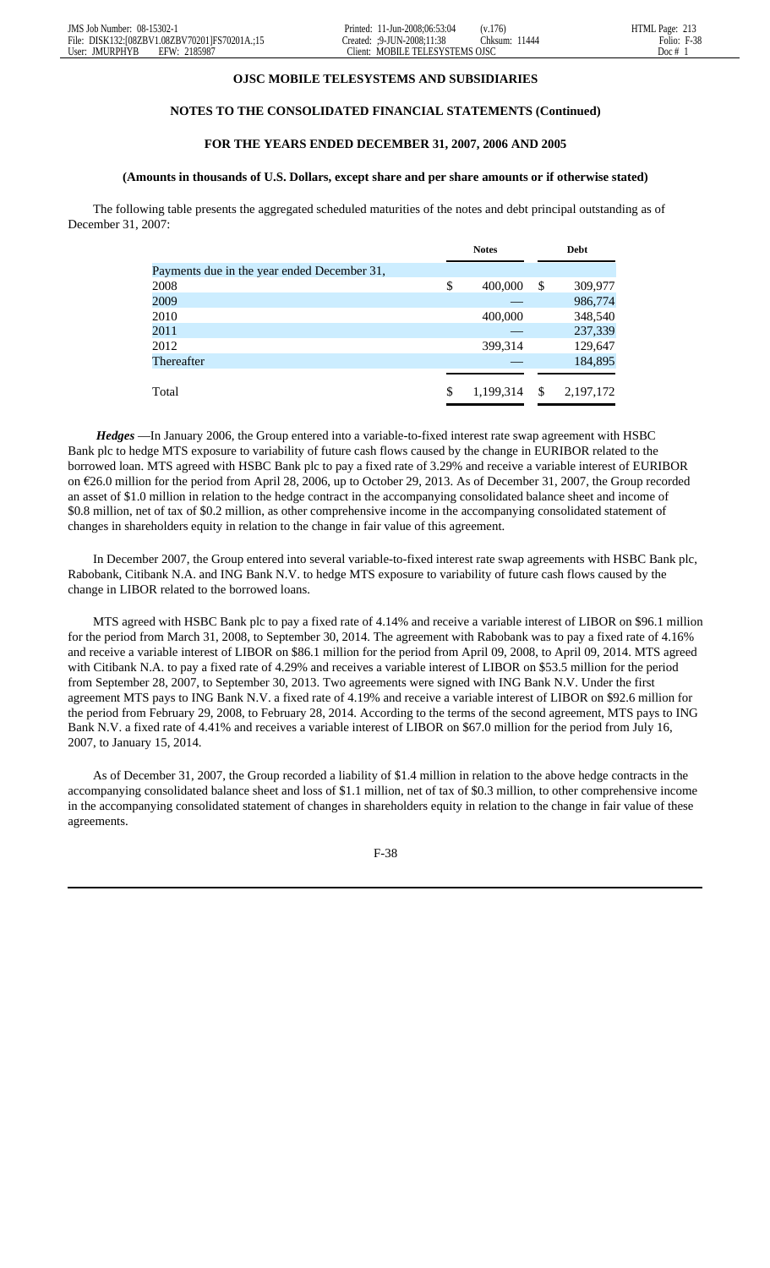# **NOTES TO THE CONSOLIDATED FINANCIAL STATEMENTS (Continued)**

# **FOR THE YEARS ENDED DECEMBER 31, 2007, 2006 AND 2005**

## **(Amounts in thousands of U.S. Dollars, except share and per share amounts or if otherwise stated)**

 The following table presents the aggregated scheduled maturities of the notes and debt principal outstanding as of December 31, 2007:

|                                             | <b>Notes</b>    |               | Debt      |
|---------------------------------------------|-----------------|---------------|-----------|
| Payments due in the year ended December 31, |                 |               |           |
| 2008                                        | \$<br>400,000   | S             | 309,977   |
| 2009                                        |                 |               | 986,774   |
| 2010                                        | 400,000         |               | 348,540   |
| 2011                                        |                 |               | 237,339   |
| 2012                                        | 399,314         |               | 129,647   |
| Thereafter                                  |                 |               | 184,895   |
|                                             |                 |               |           |
| Total                                       | \$<br>1,199,314 | $\mathcal{S}$ | 2,197,172 |
|                                             |                 |               |           |

 *Hedges* —In January 2006, the Group entered into a variable-to-fixed interest rate swap agreement with HSBC Bank plc to hedge MTS exposure to variability of future cash flows caused by the change in EURIBOR related to the borrowed loan. MTS agreed with HSBC Bank plc to pay a fixed rate of 3.29% and receive a variable interest of EURIBOR on  $\epsilon$ 26.0 million for the period from April 28, 2006, up to October 29, 2013. As of December 31, 2007, the Group recorded an asset of \$1.0 million in relation to the hedge contract in the accompanying consolidated balance sheet and income of \$0.8 million, net of tax of \$0.2 million, as other comprehensive income in the accompanying consolidated statement of changes in shareholders equity in relation to the change in fair value of this agreement.

 In December 2007, the Group entered into several variable-to-fixed interest rate swap agreements with HSBC Bank plc, Rabobank, Citibank N.A. and ING Bank N.V. to hedge MTS exposure to variability of future cash flows caused by the change in LIBOR related to the borrowed loans.

 MTS agreed with HSBC Bank plc to pay a fixed rate of 4.14% and receive a variable interest of LIBOR on \$96.1 million for the period from March 31, 2008, to September 30, 2014. The agreement with Rabobank was to pay a fixed rate of 4.16% and receive a variable interest of LIBOR on \$86.1 million for the period from April 09, 2008, to April 09, 2014. MTS agreed with Citibank N.A. to pay a fixed rate of 4.29% and receives a variable interest of LIBOR on \$53.5 million for the period from September 28, 2007, to September 30, 2013. Two agreements were signed with ING Bank N.V. Under the first agreement MTS pays to ING Bank N.V. a fixed rate of 4.19% and receive a variable interest of LIBOR on \$92.6 million for the period from February 29, 2008, to February 28, 2014. According to the terms of the second agreement, MTS pays to ING Bank N.V. a fixed rate of 4.41% and receives a variable interest of LIBOR on \$67.0 million for the period from July 16, 2007, to January 15, 2014.

 As of December 31, 2007, the Group recorded a liability of \$1.4 million in relation to the above hedge contracts in the accompanying consolidated balance sheet and loss of \$1.1 million, net of tax of \$0.3 million, to other comprehensive income in the accompanying consolidated statement of changes in shareholders equity in relation to the change in fair value of these agreements.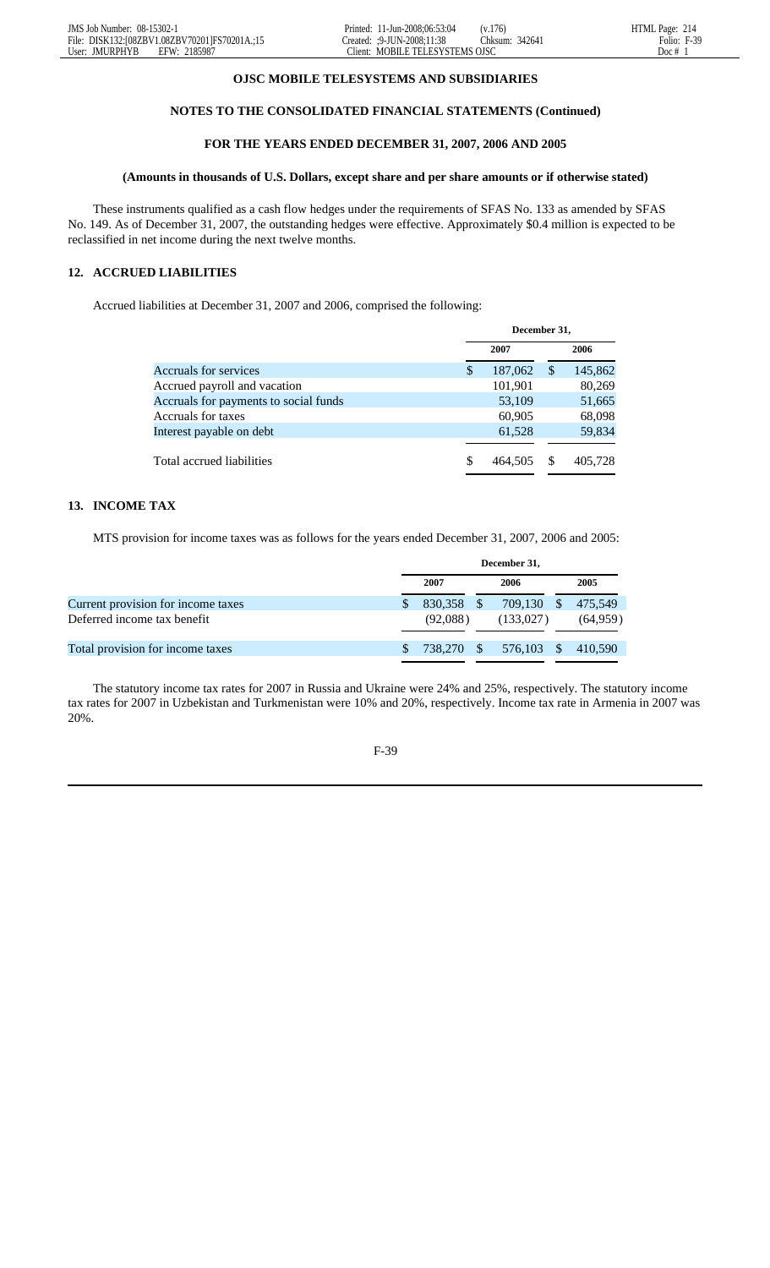## **NOTES TO THE CONSOLIDATED FINANCIAL STATEMENTS (Continued)**

## **FOR THE YEARS ENDED DECEMBER 31, 2007, 2006 AND 2005**

## **(Amounts in thousands of U.S. Dollars, except share and per share amounts or if otherwise stated)**

 These instruments qualified as a cash flow hedges under the requirements of SFAS No. 133 as amended by SFAS No. 149. As of December 31, 2007, the outstanding hedges were effective. Approximately \$0.4 million is expected to be reclassified in net income during the next twelve months.

## **12. ACCRUED LIABILITIES**

Accrued liabilities at December 31, 2007 and 2006, comprised the following:

|                                       | December 31,<br>2007<br>2006 |    |         |  |  |  |
|---------------------------------------|------------------------------|----|---------|--|--|--|
|                                       |                              |    |         |  |  |  |
| Accruals for services                 | 187,062                      | S  | 145,862 |  |  |  |
| Accrued payroll and vacation          | 101,901                      |    | 80,269  |  |  |  |
| Accruals for payments to social funds | 53,109                       |    | 51,665  |  |  |  |
| Accruals for taxes                    | 60,905                       |    | 68,098  |  |  |  |
| Interest payable on debt              | 61,528                       |    | 59,834  |  |  |  |
| Total accrued liabilities             | 464.505                      | S. | 405.728 |  |  |  |

## **13. INCOME TAX**

MTS provision for income taxes was as follows for the years ended December 31, 2007, 2006 and 2005:

|                                    |      | December 31, |                               |  |          |  |  |  |  |  |
|------------------------------------|------|--------------|-------------------------------|--|----------|--|--|--|--|--|
|                                    | 2007 |              | 2006                          |  | 2005     |  |  |  |  |  |
| Current provision for income taxes |      | 830,358 \$   | 709,130 \$                    |  | 475.549  |  |  |  |  |  |
| Deferred income tax benefit        |      | (92.088)     | (133,027)                     |  | (64.959) |  |  |  |  |  |
| Total provision for income taxes   |      |              | 738,270 \$ 576,103 \$ 410,590 |  |          |  |  |  |  |  |

 The statutory income tax rates for 2007 in Russia and Ukraine were 24% and 25%, respectively. The statutory income tax rates for 2007 in Uzbekistan and Turkmenistan were 10% and 20%, respectively. Income tax rate in Armenia in 2007 was 20%.

$$
F-39
$$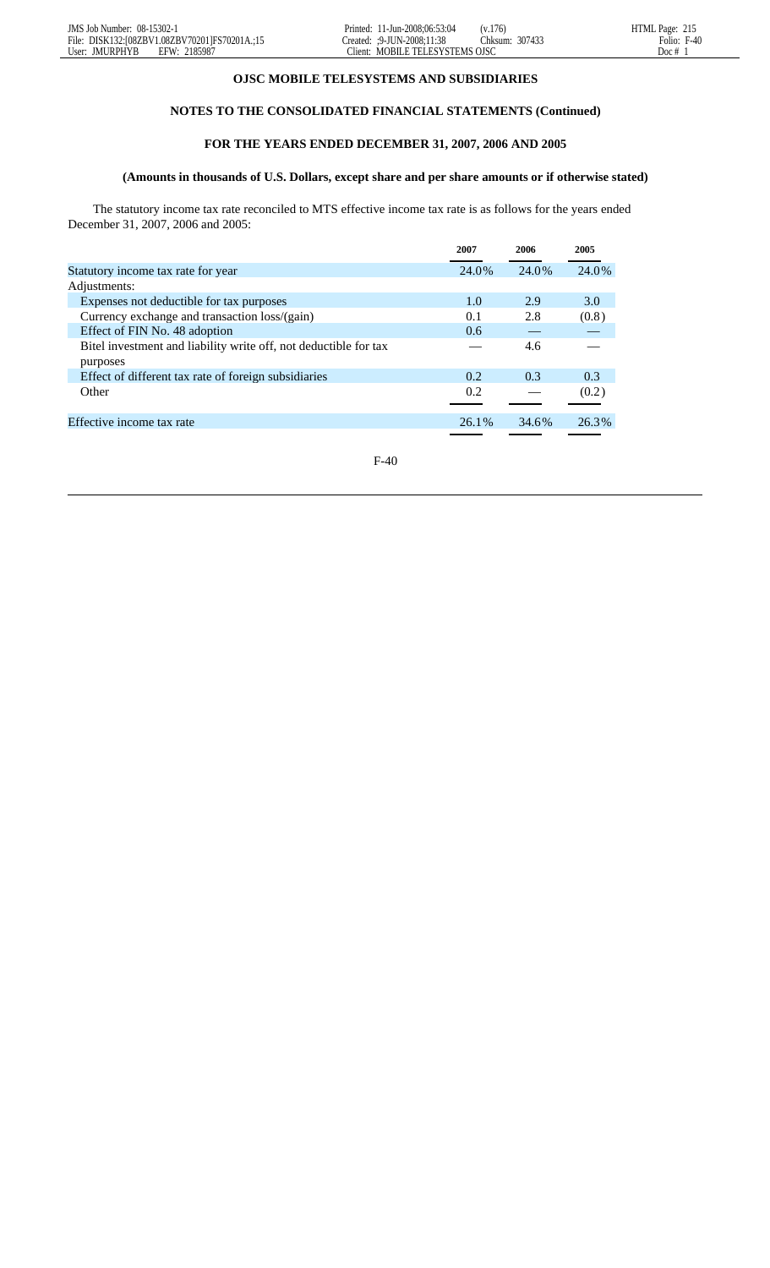# **NOTES TO THE CONSOLIDATED FINANCIAL STATEMENTS (Continued)**

# **FOR THE YEARS ENDED DECEMBER 31, 2007, 2006 AND 2005**

# **(Amounts in thousands of U.S. Dollars, except share and per share amounts or if otherwise stated)**

 The statutory income tax rate reconciled to MTS effective income tax rate is as follows for the years ended December 31, 2007, 2006 and 2005:

|                                                                  | 2007     | 2006  | 2005  |
|------------------------------------------------------------------|----------|-------|-------|
| Statutory income tax rate for year                               | 24.0%    | 24.0% | 24.0% |
| Adjustments:                                                     |          |       |       |
| Expenses not deductible for tax purposes                         | 1.0      | 2.9   | 3.0   |
| Currency exchange and transaction loss/(gain)                    | 0.1      | 2.8   | (0.8) |
| Effect of FIN No. 48 adoption                                    | 0.6      |       |       |
| Bitel investment and liability write off, not deductible for tax |          | 4.6   |       |
| purposes                                                         |          |       |       |
| Effect of different tax rate of foreign subsidiaries             | 0.2      | 0.3   | 0.3   |
| Other                                                            | 0.2      |       | (0.2) |
|                                                                  |          |       |       |
| Effective income tax rate                                        | $26.1\%$ | 34.6% | 26.3% |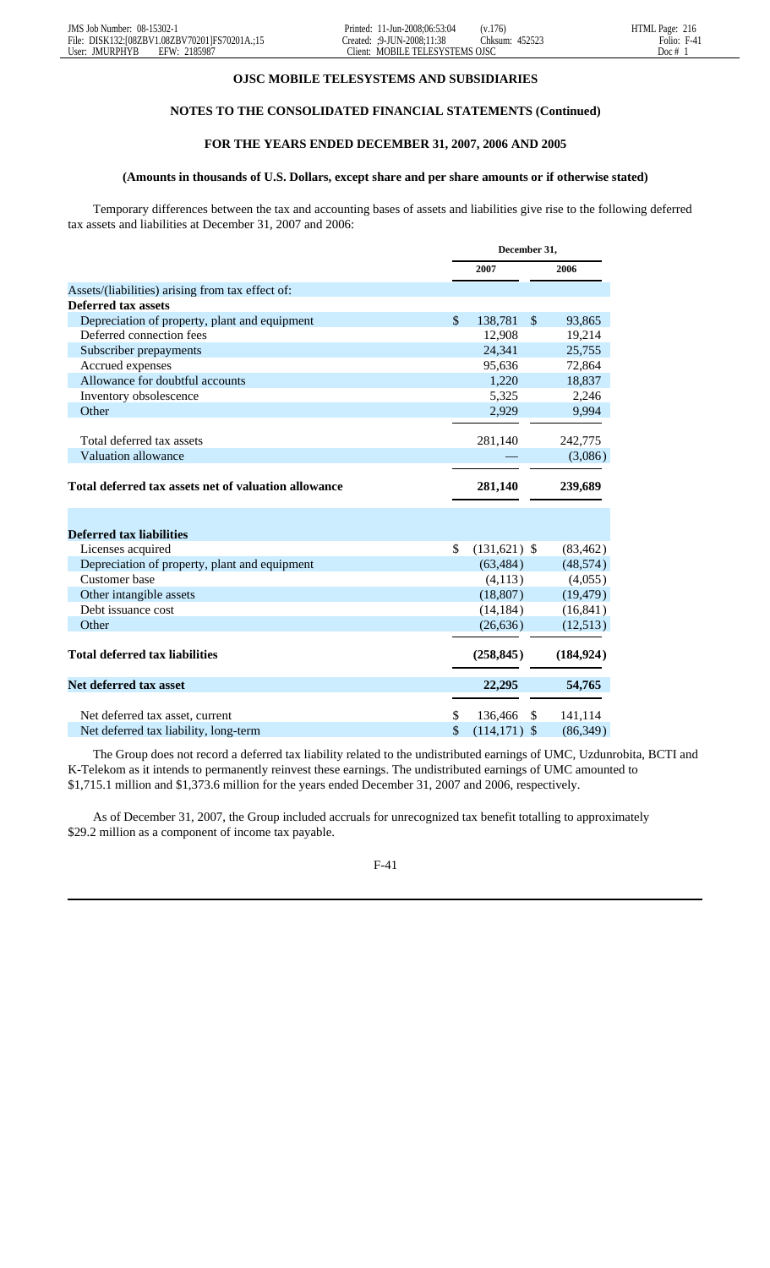### **NOTES TO THE CONSOLIDATED FINANCIAL STATEMENTS (Continued)**

## **FOR THE YEARS ENDED DECEMBER 31, 2007, 2006 AND 2005**

## **(Amounts in thousands of U.S. Dollars, except share and per share amounts or if otherwise stated)**

 Temporary differences between the tax and accounting bases of assets and liabilities give rise to the following deferred tax assets and liabilities at December 31, 2007 and 2006:

|                                                      |               | December 31,    |     |            |
|------------------------------------------------------|---------------|-----------------|-----|------------|
|                                                      |               | 2007            |     | 2006       |
| Assets/(liabilities) arising from tax effect of:     |               |                 |     |            |
| <b>Deferred tax assets</b>                           |               |                 |     |            |
| Depreciation of property, plant and equipment        | $\mathbb{S}$  | 138,781         | \$  | 93,865     |
| Deferred connection fees                             |               | 12,908          |     | 19,214     |
| Subscriber prepayments                               |               | 24,341          |     | 25,755     |
| Accrued expenses                                     |               | 95,636          |     | 72,864     |
| Allowance for doubtful accounts                      |               | 1,220           |     | 18,837     |
| Inventory obsolescence                               |               | 5,325           |     | 2,246      |
| Other                                                |               | 2,929           |     | 9,994      |
|                                                      |               |                 |     |            |
| Total deferred tax assets                            |               | 281,140         |     | 242,775    |
| Valuation allowance                                  |               |                 |     | (3,086)    |
| Total deferred tax assets net of valuation allowance |               | 281,140         |     | 239,689    |
| <b>Deferred tax liabilities</b>                      |               |                 |     |            |
| Licenses acquired                                    | \$            | $(131,621)$ \$  |     | (83, 462)  |
| Depreciation of property, plant and equipment        |               | (63, 484)       |     | (48, 574)  |
| Customer base                                        |               | (4,113)         |     | (4,055)    |
| Other intangible assets                              |               | (18, 807)       |     | (19, 479)  |
| Debt issuance cost                                   |               | (14, 184)       |     | (16, 841)  |
| Other                                                |               | (26, 636)       |     | (12,513)   |
|                                                      |               |                 |     |            |
| <b>Total deferred tax liabilities</b>                |               | (258, 845)      |     | (184, 924) |
| Net deferred tax asset                               |               | 22,295          |     | 54,765     |
|                                                      |               |                 |     |            |
| Net deferred tax asset, current                      | $\mathcal{S}$ | 136,466         | \$. | 141,114    |
| Net deferred tax liability, long-term                | \$            | $(114, 171)$ \$ |     | (86,349)   |

 The Group does not record a deferred tax liability related to the undistributed earnings of UMC, Uzdunrobita, BCTI and K-Telekom as it intends to permanently reinvest these earnings. The undistributed earnings of UMC amounted to \$1,715.1 million and \$1,373.6 million for the years ended December 31, 2007 and 2006, respectively.

 As of December 31, 2007, the Group included accruals for unrecognized tax benefit totalling to approximately \$29.2 million as a component of income tax payable.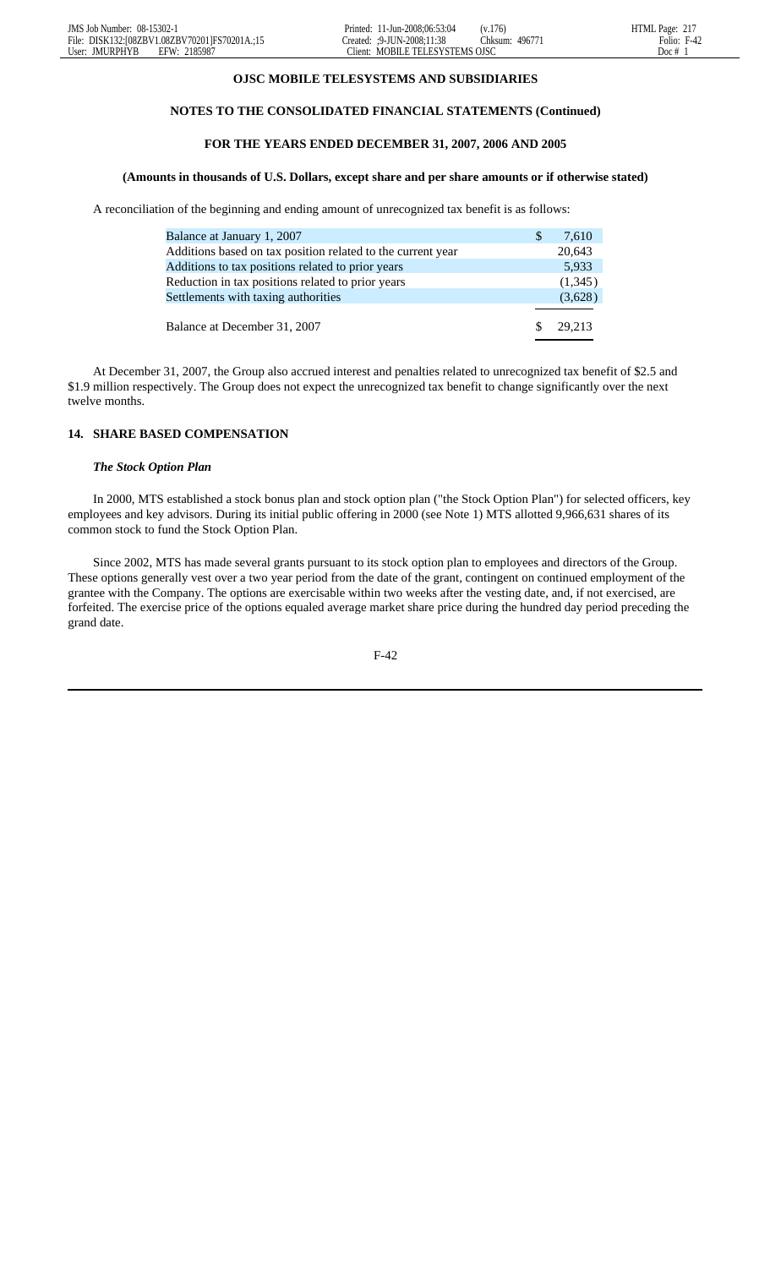## **NOTES TO THE CONSOLIDATED FINANCIAL STATEMENTS (Continued)**

## **FOR THE YEARS ENDED DECEMBER 31, 2007, 2006 AND 2005**

#### **(Amounts in thousands of U.S. Dollars, except share and per share amounts or if otherwise stated)**

A reconciliation of the beginning and ending amount of unrecognized tax benefit is as follows:

| Balance at January 1, 2007                                  | S | 7.610   |
|-------------------------------------------------------------|---|---------|
| Additions based on tax position related to the current year |   | 20,643  |
| Additions to tax positions related to prior years           |   | 5,933   |
| Reduction in tax positions related to prior years           |   | (1,345) |
| Settlements with taxing authorities                         |   | (3,628) |
|                                                             |   |         |
| Balance at December 31, 2007                                |   | 29.213  |

 At December 31, 2007, the Group also accrued interest and penalties related to unrecognized tax benefit of \$2.5 and \$1.9 million respectively. The Group does not expect the unrecognized tax benefit to change significantly over the next twelve months.

# **14. SHARE BASED COMPENSATION**

#### *The Stock Option Plan*

 In 2000, MTS established a stock bonus plan and stock option plan ("the Stock Option Plan") for selected officers, key employees and key advisors. During its initial public offering in 2000 (see Note 1) MTS allotted 9,966,631 shares of its common stock to fund the Stock Option Plan.

 Since 2002, MTS has made several grants pursuant to its stock option plan to employees and directors of the Group. These options generally vest over a two year period from the date of the grant, contingent on continued employment of the grantee with the Company. The options are exercisable within two weeks after the vesting date, and, if not exercised, are forfeited. The exercise price of the options equaled average market share price during the hundred day period preceding the grand date.

$$
F-42
$$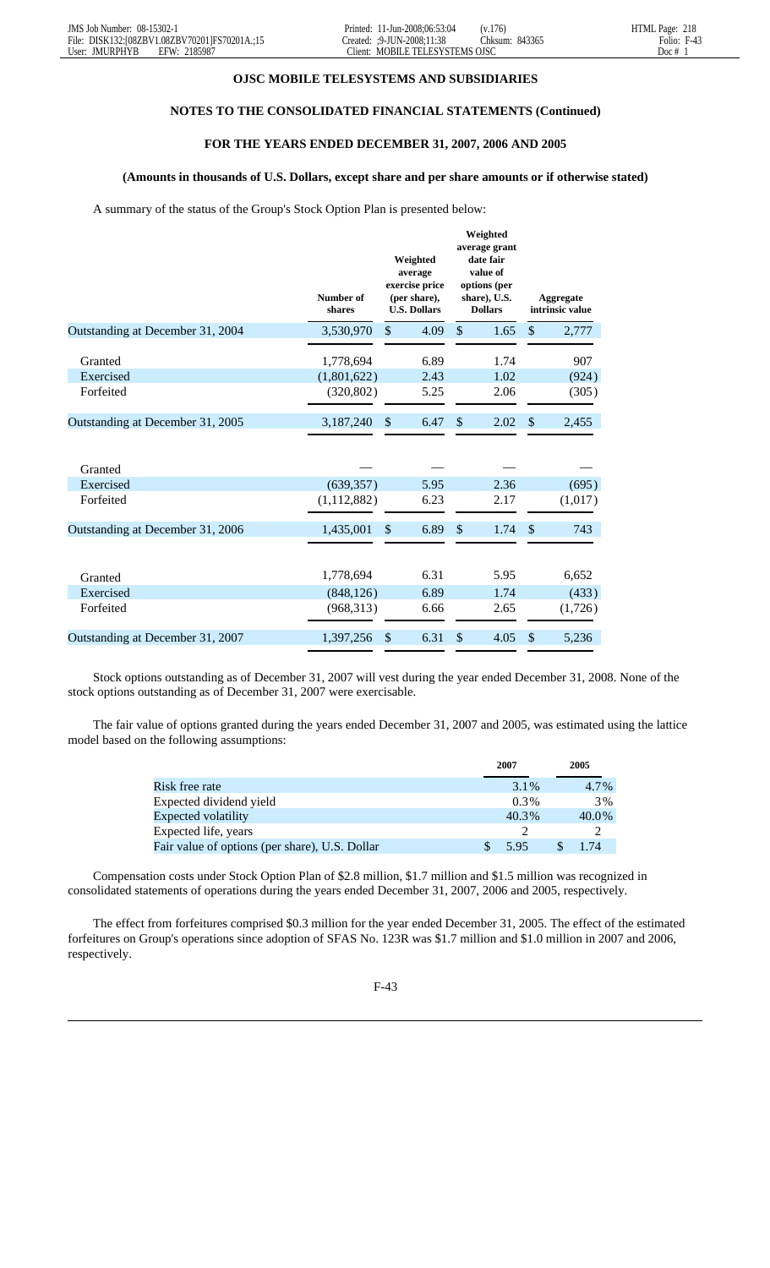### **NOTES TO THE CONSOLIDATED FINANCIAL STATEMENTS (Continued)**

### **FOR THE YEARS ENDED DECEMBER 31, 2007, 2006 AND 2005**

### **(Amounts in thousands of U.S. Dollars, except share and per share amounts or if otherwise stated)**

A summary of the status of the Group's Stock Option Plan is presented below:

|                                   | Number of<br>shares                    | Weighted<br>average<br>exercise price<br>(per share),<br><b>U.S. Dollars</b> |                      | Weighted<br>average grant<br>date fair<br>value of<br>options (per<br>share), U.S.<br><b>Dollars</b> |                      |                           | Aggregate<br>intrinsic value |
|-----------------------------------|----------------------------------------|------------------------------------------------------------------------------|----------------------|------------------------------------------------------------------------------------------------------|----------------------|---------------------------|------------------------------|
| Outstanding at December 31, 2004  | 3,530,970                              | \$                                                                           | 4.09                 | $\boldsymbol{\mathsf{S}}$                                                                            | 1.65                 | $\boldsymbol{\mathsf{S}}$ | 2,777                        |
| Granted<br>Exercised<br>Forfeited | 1,778,694<br>(1,801,622)<br>(320, 802) |                                                                              | 6.89<br>2.43<br>5.25 |                                                                                                      | 1.74<br>1.02<br>2.06 |                           | 907<br>(924)<br>(305)        |
|                                   |                                        |                                                                              |                      |                                                                                                      |                      |                           |                              |
| Outstanding at December 31, 2005  | 3,187,240                              | <sup>\$</sup>                                                                | 6.47                 | <sup>\$</sup>                                                                                        | 2.02                 | $\mathbb{S}$              | 2,455                        |
| Granted                           |                                        |                                                                              |                      |                                                                                                      |                      |                           |                              |
| Exercised                         | (639, 357)                             |                                                                              | 5.95                 |                                                                                                      | 2.36                 |                           | (695)                        |
| Forfeited                         | (1,112,882)                            |                                                                              | 6.23                 |                                                                                                      | 2.17                 |                           | (1,017)                      |
| Outstanding at December 31, 2006  | 1,435,001                              | \$                                                                           | 6.89                 | $\mathcal{S}$                                                                                        | 1.74                 | $\mathcal{S}$             | 743                          |
| Granted                           | 1,778,694                              |                                                                              | 6.31                 |                                                                                                      | 5.95                 |                           | 6,652                        |
| Exercised                         | (848, 126)                             |                                                                              | 6.89                 |                                                                                                      | 1.74                 |                           | (433)                        |
| Forfeited                         | (968, 313)                             |                                                                              | 6.66                 |                                                                                                      | 2.65                 |                           | (1,726)                      |
| Outstanding at December 31, 2007  | 1,397,256                              | \$                                                                           | 6.31                 | \$                                                                                                   | 4.05                 | \$                        | 5,236                        |

 Stock options outstanding as of December 31, 2007 will vest during the year ended December 31, 2008. None of the stock options outstanding as of December 31, 2007 were exercisable.

 The fair value of options granted during the years ended December 31, 2007 and 2005, was estimated using the lattice model based on the following assumptions:

|                                                | 2007    | 2005  |
|------------------------------------------------|---------|-------|
| Risk free rate                                 | 3.1%    | 4.7%  |
| Expected dividend yield                        | $0.3\%$ | 3%    |
| Expected volatility                            | 40.3%   | 40.0% |
| Expected life, years                           |         |       |
| Fair value of options (per share), U.S. Dollar | 595     | 1 74  |

 Compensation costs under Stock Option Plan of \$2.8 million, \$1.7 million and \$1.5 million was recognized in consolidated statements of operations during the years ended December 31, 2007, 2006 and 2005, respectively.

 The effect from forfeitures comprised \$0.3 million for the year ended December 31, 2005. The effect of the estimated forfeitures on Group's operations since adoption of SFAS No. 123R was \$1.7 million and \$1.0 million in 2007 and 2006, respectively.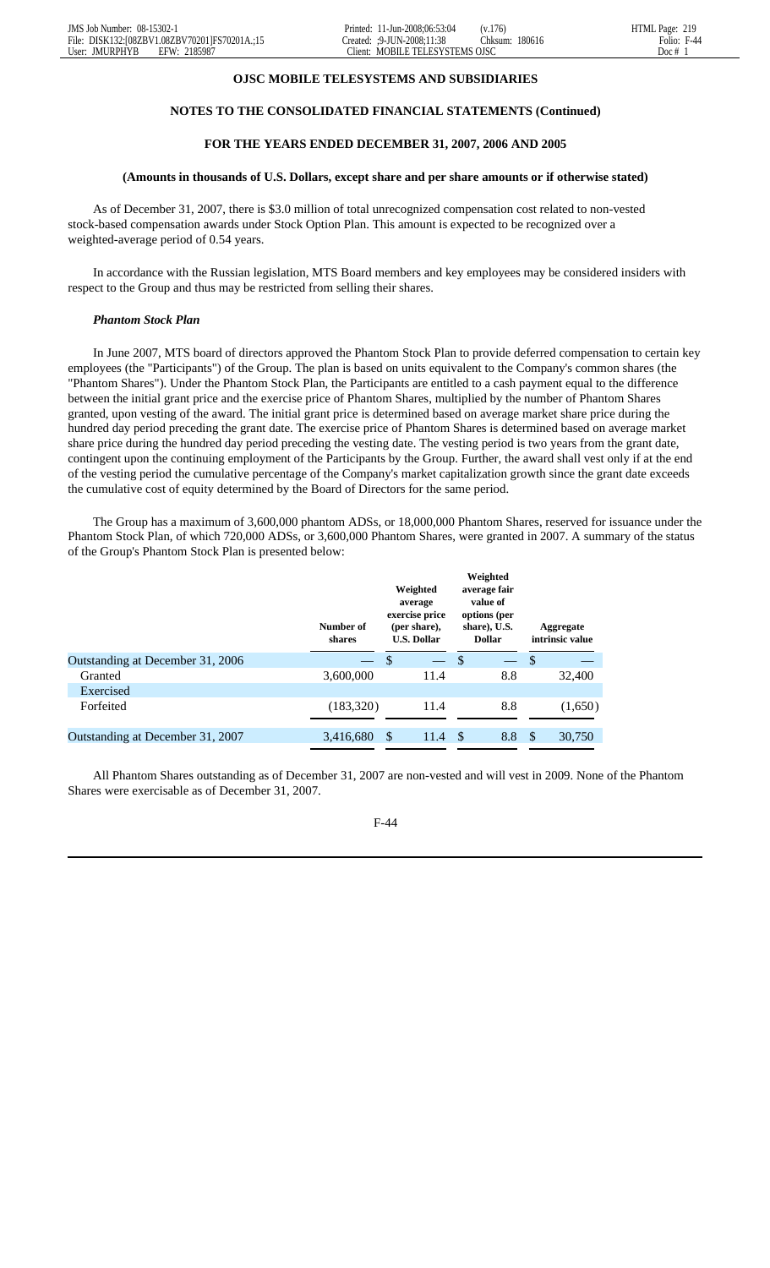## **NOTES TO THE CONSOLIDATED FINANCIAL STATEMENTS (Continued)**

# **FOR THE YEARS ENDED DECEMBER 31, 2007, 2006 AND 2005**

## **(Amounts in thousands of U.S. Dollars, except share and per share amounts or if otherwise stated)**

 As of December 31, 2007, there is \$3.0 million of total unrecognized compensation cost related to non-vested stock-based compensation awards under Stock Option Plan. This amount is expected to be recognized over a weighted-average period of 0.54 years.

 In accordance with the Russian legislation, MTS Board members and key employees may be considered insiders with respect to the Group and thus may be restricted from selling their shares.

# *Phantom Stock Plan*

 In June 2007, MTS board of directors approved the Phantom Stock Plan to provide deferred compensation to certain key employees (the "Participants") of the Group. The plan is based on units equivalent to the Company's common shares (the "Phantom Shares"). Under the Phantom Stock Plan, the Participants are entitled to a cash payment equal to the difference between the initial grant price and the exercise price of Phantom Shares, multiplied by the number of Phantom Shares granted, upon vesting of the award. The initial grant price is determined based on average market share price during the hundred day period preceding the grant date. The exercise price of Phantom Shares is determined based on average market share price during the hundred day period preceding the vesting date. The vesting period is two years from the grant date, contingent upon the continuing employment of the Participants by the Group. Further, the award shall vest only if at the end of the vesting period the cumulative percentage of the Company's market capitalization growth since the grant date exceeds the cumulative cost of equity determined by the Board of Directors for the same period.

 The Group has a maximum of 3,600,000 phantom ADSs, or 18,000,000 Phantom Shares, reserved for issuance under the Phantom Stock Plan, of which 720,000 ADSs, or 3,600,000 Phantom Shares, were granted in 2007. A summary of the status of the Group's Phantom Stock Plan is presented below:

|                                  | Number of<br>shares | Weighted<br>average<br>exercise price<br>(per share),<br><b>U.S. Dollar</b> |      | Weighted<br>average fair<br>value of<br>options (per<br>share), U.S.<br><b>Dollar</b> |     |              | Aggregate<br>intrinsic value |
|----------------------------------|---------------------|-----------------------------------------------------------------------------|------|---------------------------------------------------------------------------------------|-----|--------------|------------------------------|
| Outstanding at December 31, 2006 |                     | \$                                                                          |      | S                                                                                     |     | $\mathbb{S}$ |                              |
| Granted                          | 3,600,000           |                                                                             | 11.4 |                                                                                       | 8.8 |              | 32,400                       |
| Exercised                        |                     |                                                                             |      |                                                                                       |     |              |                              |
| Forfeited                        | (183, 320)          |                                                                             | 11.4 |                                                                                       | 8.8 |              | (1,650)                      |
|                                  |                     |                                                                             |      |                                                                                       |     |              |                              |
| Outstanding at December 31, 2007 | 3,416,680           | S                                                                           | 11.4 | -\$                                                                                   | 8.8 | -S           | 30,750                       |
|                                  |                     |                                                                             |      |                                                                                       |     |              |                              |

 All Phantom Shares outstanding as of December 31, 2007 are non-vested and will vest in 2009. None of the Phantom Shares were exercisable as of December 31, 2007.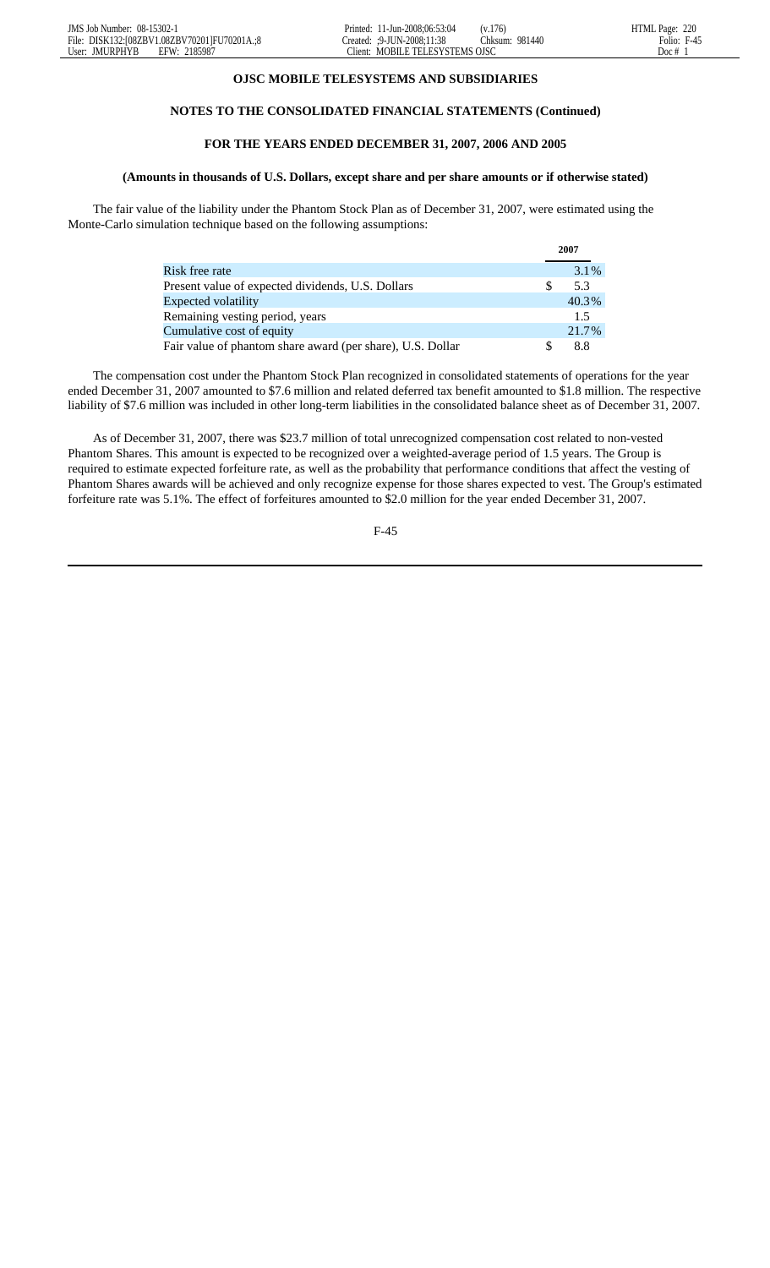### **NOTES TO THE CONSOLIDATED FINANCIAL STATEMENTS (Continued)**

### **FOR THE YEARS ENDED DECEMBER 31, 2007, 2006 AND 2005**

# **(Amounts in thousands of U.S. Dollars, except share and per share amounts or if otherwise stated)**

 The fair value of the liability under the Phantom Stock Plan as of December 31, 2007, were estimated using the Monte-Carlo simulation technique based on the following assumptions:

|                                                            | 2007  |
|------------------------------------------------------------|-------|
| Risk free rate                                             | 3.1%  |
| Present value of expected dividends, U.S. Dollars          | 5.3   |
| Expected volatility                                        | 40.3% |
| Remaining vesting period, years                            | 1.5   |
| Cumulative cost of equity                                  | 21.7% |
| Fair value of phantom share award (per share), U.S. Dollar | 8.8   |

 The compensation cost under the Phantom Stock Plan recognized in consolidated statements of operations for the year ended December 31, 2007 amounted to \$7.6 million and related deferred tax benefit amounted to \$1.8 million. The respective liability of \$7.6 million was included in other long-term liabilities in the consolidated balance sheet as of December 31, 2007.

 As of December 31, 2007, there was \$23.7 million of total unrecognized compensation cost related to non-vested Phantom Shares. This amount is expected to be recognized over a weighted-average period of 1.5 years. The Group is required to estimate expected forfeiture rate, as well as the probability that performance conditions that affect the vesting of Phantom Shares awards will be achieved and only recognize expense for those shares expected to vest. The Group's estimated forfeiture rate was 5.1%. The effect of forfeitures amounted to \$2.0 million for the year ended December 31, 2007.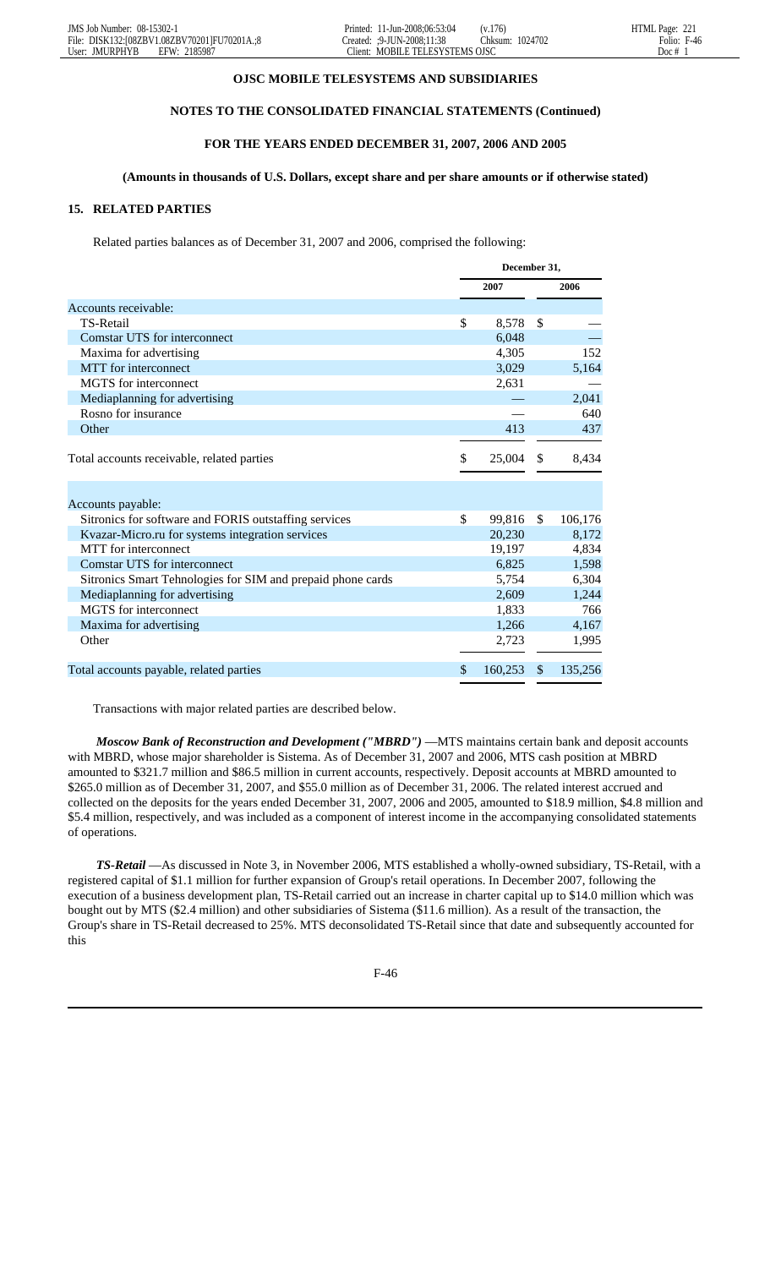### **NOTES TO THE CONSOLIDATED FINANCIAL STATEMENTS (Continued)**

# **FOR THE YEARS ENDED DECEMBER 31, 2007, 2006 AND 2005**

### **(Amounts in thousands of U.S. Dollars, except share and per share amounts or if otherwise stated)**

# **15. RELATED PARTIES**

Related parties balances as of December 31, 2007 and 2006, comprised the following:

|                                                             | December 31,  |         |               |         |
|-------------------------------------------------------------|---------------|---------|---------------|---------|
|                                                             |               | 2007    |               | 2006    |
| Accounts receivable:                                        |               |         |               |         |
| <b>TS-Retail</b>                                            | \$            | 8,578   | <sup>\$</sup> |         |
| Comstar UTS for interconnect                                |               | 6.048   |               |         |
| Maxima for advertising                                      |               | 4,305   |               | 152     |
| MTT for interconnect                                        |               | 3,029   |               | 5,164   |
| MGTS for interconnect                                       |               | 2,631   |               |         |
| Mediaplanning for advertising                               |               |         |               | 2,041   |
| Rosno for insurance                                         |               |         |               | 640     |
| Other                                                       |               | 413     |               | 437     |
| Total accounts receivable, related parties                  | S             | 25,004  | \$.           | 8,434   |
| Accounts payable:                                           |               |         |               |         |
| Sitronics for software and FORIS outstaffing services       | \$            | 99,816  | \$            | 106,176 |
| Kvazar-Micro.ru for systems integration services            |               | 20,230  |               | 8,172   |
| MTT for interconnect                                        |               | 19,197  |               | 4,834   |
| Comstar UTS for interconnect                                |               | 6,825   |               | 1,598   |
| Sitronics Smart Tehnologies for SIM and prepaid phone cards |               | 5,754   |               | 6,304   |
| Mediaplanning for advertising                               |               | 2,609   |               | 1,244   |
| <b>MGTS</b> for interconnect                                |               | 1,833   |               | 766     |
| Maxima for advertising                                      |               | 1,266   |               | 4,167   |
| Other                                                       |               | 2,723   |               | 1,995   |
| Total accounts payable, related parties                     | $\mathcal{S}$ | 160,253 | <sup>\$</sup> | 135,256 |

Transactions with major related parties are described below.

 *Moscow Bank of Reconstruction and Development ("MBRD")* —MTS maintains certain bank and deposit accounts with MBRD, whose major shareholder is Sistema. As of December 31, 2007 and 2006, MTS cash position at MBRD amounted to \$321.7 million and \$86.5 million in current accounts, respectively. Deposit accounts at MBRD amounted to \$265.0 million as of December 31, 2007, and \$55.0 million as of December 31, 2006. The related interest accrued and collected on the deposits for the years ended December 31, 2007, 2006 and 2005, amounted to \$18.9 million, \$4.8 million and \$5.4 million, respectively, and was included as a component of interest income in the accompanying consolidated statements of operations.

 *TS-Retail* —As discussed in Note 3, in November 2006, MTS established a wholly-owned subsidiary, TS-Retail, with a registered capital of \$1.1 million for further expansion of Group's retail operations. In December 2007, following the execution of a business development plan, TS-Retail carried out an increase in charter capital up to \$14.0 million which was bought out by MTS (\$2.4 million) and other subsidiaries of Sistema (\$11.6 million). As a result of the transaction, the Group's share in TS-Retail decreased to 25%. MTS deconsolidated TS-Retail since that date and subsequently accounted for this

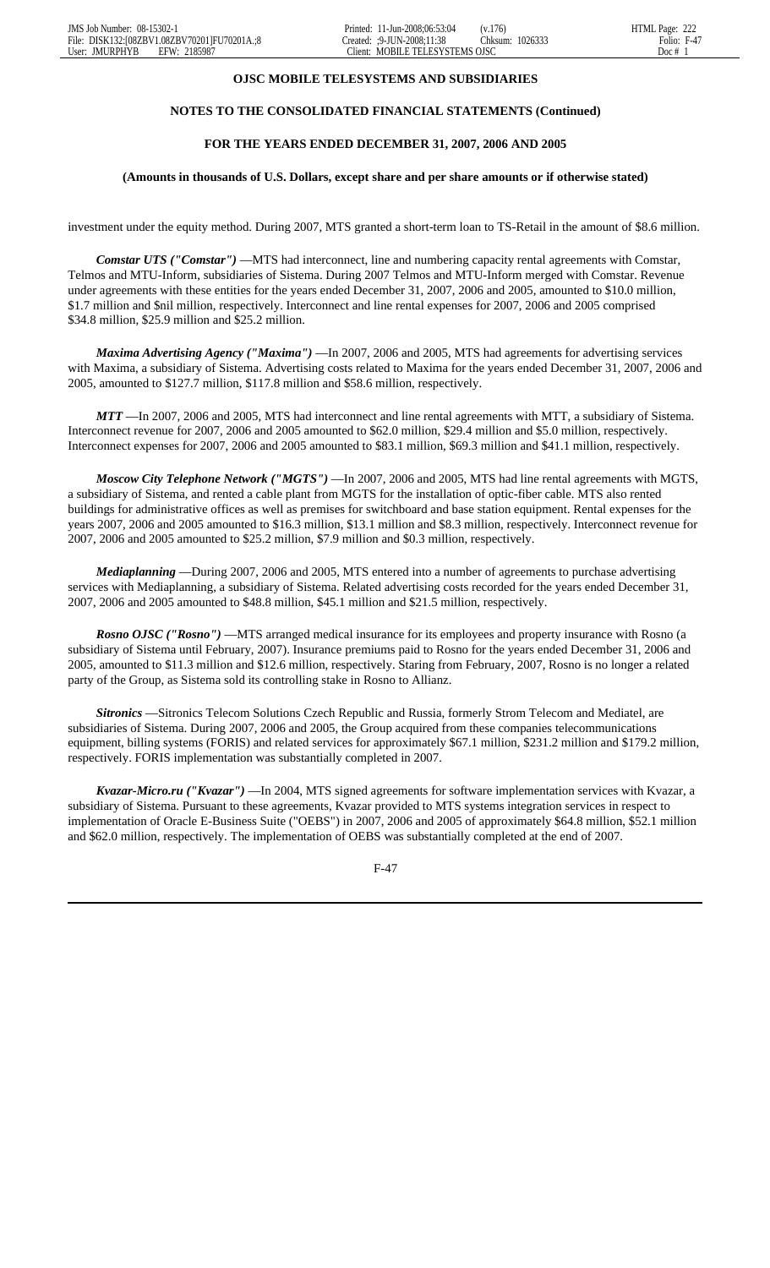#### **NOTES TO THE CONSOLIDATED FINANCIAL STATEMENTS (Continued)**

### **FOR THE YEARS ENDED DECEMBER 31, 2007, 2006 AND 2005**

#### **(Amounts in thousands of U.S. Dollars, except share and per share amounts or if otherwise stated)**

investment under the equity method. During 2007, MTS granted a short-term loan to TS-Retail in the amount of \$8.6 million.

 *Comstar UTS ("Comstar")* —MTS had interconnect, line and numbering capacity rental agreements with Comstar, Telmos and MTU-Inform, subsidiaries of Sistema. During 2007 Telmos and MTU-Inform merged with Comstar. Revenue under agreements with these entities for the years ended December 31, 2007, 2006 and 2005, amounted to \$10.0 million, \$1.7 million and \$nil million, respectively. Interconnect and line rental expenses for 2007, 2006 and 2005 comprised \$34.8 million, \$25.9 million and \$25.2 million.

 *Maxima Advertising Agency ("Maxima")* —In 2007, 2006 and 2005, MTS had agreements for advertising services with Maxima, a subsidiary of Sistema. Advertising costs related to Maxima for the years ended December 31, 2007, 2006 and 2005, amounted to \$127.7 million, \$117.8 million and \$58.6 million, respectively.

 *MTT* —In 2007, 2006 and 2005, MTS had interconnect and line rental agreements with MTT, a subsidiary of Sistema. Interconnect revenue for 2007, 2006 and 2005 amounted to \$62.0 million, \$29.4 million and \$5.0 million, respectively. Interconnect expenses for 2007, 2006 and 2005 amounted to \$83.1 million, \$69.3 million and \$41.1 million, respectively.

 *Moscow City Telephone Network ("MGTS")* —In 2007, 2006 and 2005, MTS had line rental agreements with MGTS, a subsidiary of Sistema, and rented a cable plant from MGTS for the installation of optic-fiber cable. MTS also rented buildings for administrative offices as well as premises for switchboard and base station equipment. Rental expenses for the years 2007, 2006 and 2005 amounted to \$16.3 million, \$13.1 million and \$8.3 million, respectively. Interconnect revenue for 2007, 2006 and 2005 amounted to \$25.2 million, \$7.9 million and \$0.3 million, respectively.

 *Mediaplanning* —During 2007, 2006 and 2005, MTS entered into a number of agreements to purchase advertising services with Mediaplanning, a subsidiary of Sistema. Related advertising costs recorded for the years ended December 31, 2007, 2006 and 2005 amounted to \$48.8 million, \$45.1 million and \$21.5 million, respectively.

 *Rosno OJSC ("Rosno")* —MTS arranged medical insurance for its employees and property insurance with Rosno (a subsidiary of Sistema until February, 2007). Insurance premiums paid to Rosno for the years ended December 31, 2006 and 2005, amounted to \$11.3 million and \$12.6 million, respectively. Staring from February, 2007, Rosno is no longer a related party of the Group, as Sistema sold its controlling stake in Rosno to Allianz.

 *Sitronics* —Sitronics Telecom Solutions Czech Republic and Russia, formerly Strom Telecom and Mediatel, are subsidiaries of Sistema. During 2007, 2006 and 2005, the Group acquired from these companies telecommunications equipment, billing systems (FORIS) and related services for approximately \$67.1 million, \$231.2 million and \$179.2 million, respectively. FORIS implementation was substantially completed in 2007.

 *Kvazar-Micro.ru ("Kvazar")* —In 2004, MTS signed agreements for software implementation services with Kvazar, a subsidiary of Sistema. Pursuant to these agreements, Kvazar provided to MTS systems integration services in respect to implementation of Oracle E-Business Suite ("OEBS") in 2007, 2006 and 2005 of approximately \$64.8 million, \$52.1 million and \$62.0 million, respectively. The implementation of OEBS was substantially completed at the end of 2007.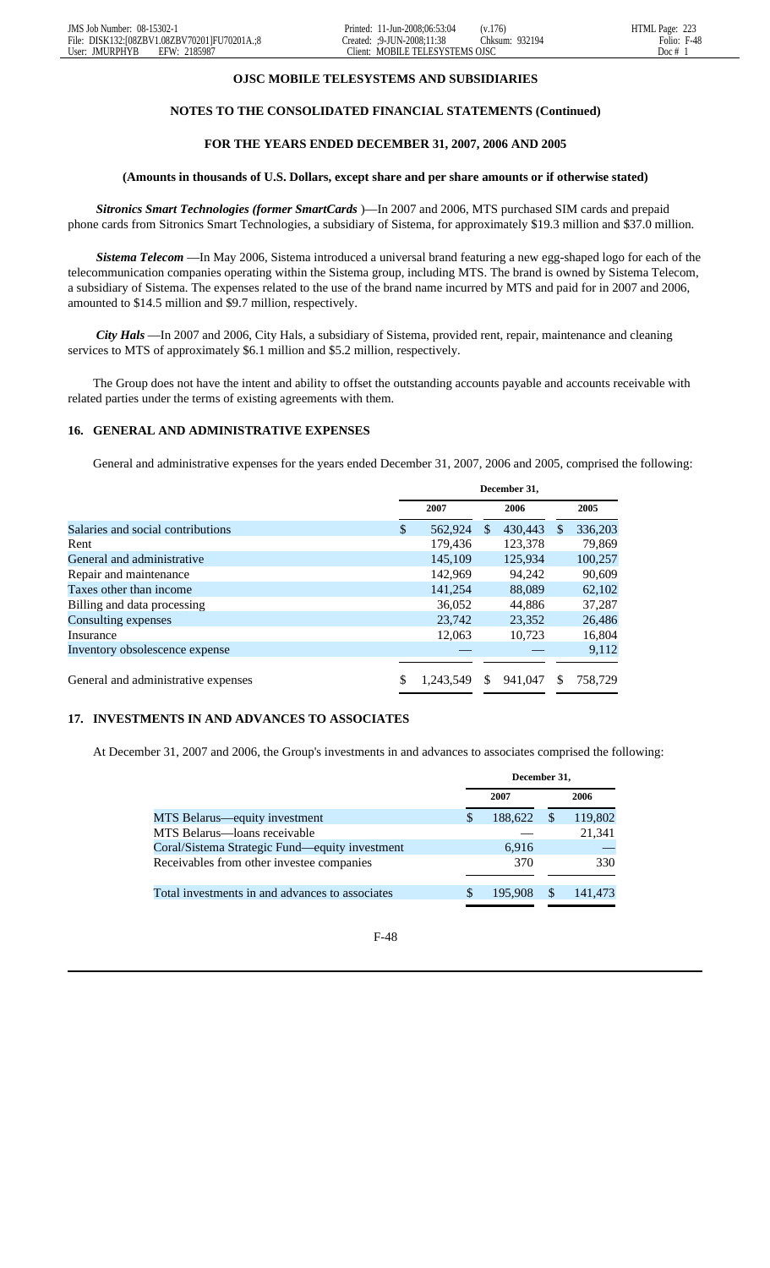### **NOTES TO THE CONSOLIDATED FINANCIAL STATEMENTS (Continued)**

## **FOR THE YEARS ENDED DECEMBER 31, 2007, 2006 AND 2005**

## **(Amounts in thousands of U.S. Dollars, except share and per share amounts or if otherwise stated)**

 *Sitronics Smart Technologies (former SmartCards* )—In 2007 and 2006, MTS purchased SIM cards and prepaid phone cards from Sitronics Smart Technologies, a subsidiary of Sistema, for approximately \$19.3 million and \$37.0 million.

 *Sistema Telecom* —In May 2006, Sistema introduced a universal brand featuring a new egg-shaped logo for each of the telecommunication companies operating within the Sistema group, including MTS. The brand is owned by Sistema Telecom, a subsidiary of Sistema. The expenses related to the use of the brand name incurred by MTS and paid for in 2007 and 2006, amounted to \$14.5 million and \$9.7 million, respectively.

 *City Hals* —In 2007 and 2006, City Hals, a subsidiary of Sistema, provided rent, repair, maintenance and cleaning services to MTS of approximately \$6.1 million and \$5.2 million, respectively.

 The Group does not have the intent and ability to offset the outstanding accounts payable and accounts receivable with related parties under the terms of existing agreements with them.

## **16. GENERAL AND ADMINISTRATIVE EXPENSES**

General and administrative expenses for the years ended December 31, 2007, 2006 and 2005, comprised the following:

|                                     |   | December 31, |   |         |          |         |  |
|-------------------------------------|---|--------------|---|---------|----------|---------|--|
|                                     |   | 2007         |   | 2006    |          | 2005    |  |
| Salaries and social contributions   | S | 562,924      | S | 430,443 | <b>S</b> | 336,203 |  |
| Rent                                |   | 179,436      |   | 123,378 |          | 79,869  |  |
| General and administrative          |   | 145,109      |   | 125.934 |          | 100,257 |  |
| Repair and maintenance              |   | 142,969      |   | 94.242  |          | 90,609  |  |
| Taxes other than income             |   | 141,254      |   | 88,089  |          | 62,102  |  |
| Billing and data processing         |   | 36,052       |   | 44.886  |          | 37,287  |  |
| Consulting expenses                 |   | 23,742       |   | 23,352  |          | 26,486  |  |
| Insurance                           |   | 12,063       |   | 10,723  |          | 16,804  |  |
| Inventory obsolescence expense      |   |              |   |         |          | 9,112   |  |
|                                     |   |              |   |         |          |         |  |
| General and administrative expenses | S | 1.243.549    |   | 941.047 | <b>S</b> | 758.729 |  |

# **17. INVESTMENTS IN AND ADVANCES TO ASSOCIATES**

At December 31, 2007 and 2006, the Group's investments in and advances to associates comprised the following:

|                                                 | December 31, |          |         |  |  |
|-------------------------------------------------|--------------|----------|---------|--|--|
|                                                 | 2007         |          | 2006    |  |  |
| MTS Belarus—equity investment                   | 188,622      | <b>S</b> | 119,802 |  |  |
| MTS Belarus—loans receivable                    |              |          | 21,341  |  |  |
| Coral/Sistema Strategic Fund—equity investment  | 6,916        |          |         |  |  |
| Receivables from other investee companies       | 370          |          | 330     |  |  |
| Total investments in and advances to associates | 195,908      | <b>S</b> | 141,473 |  |  |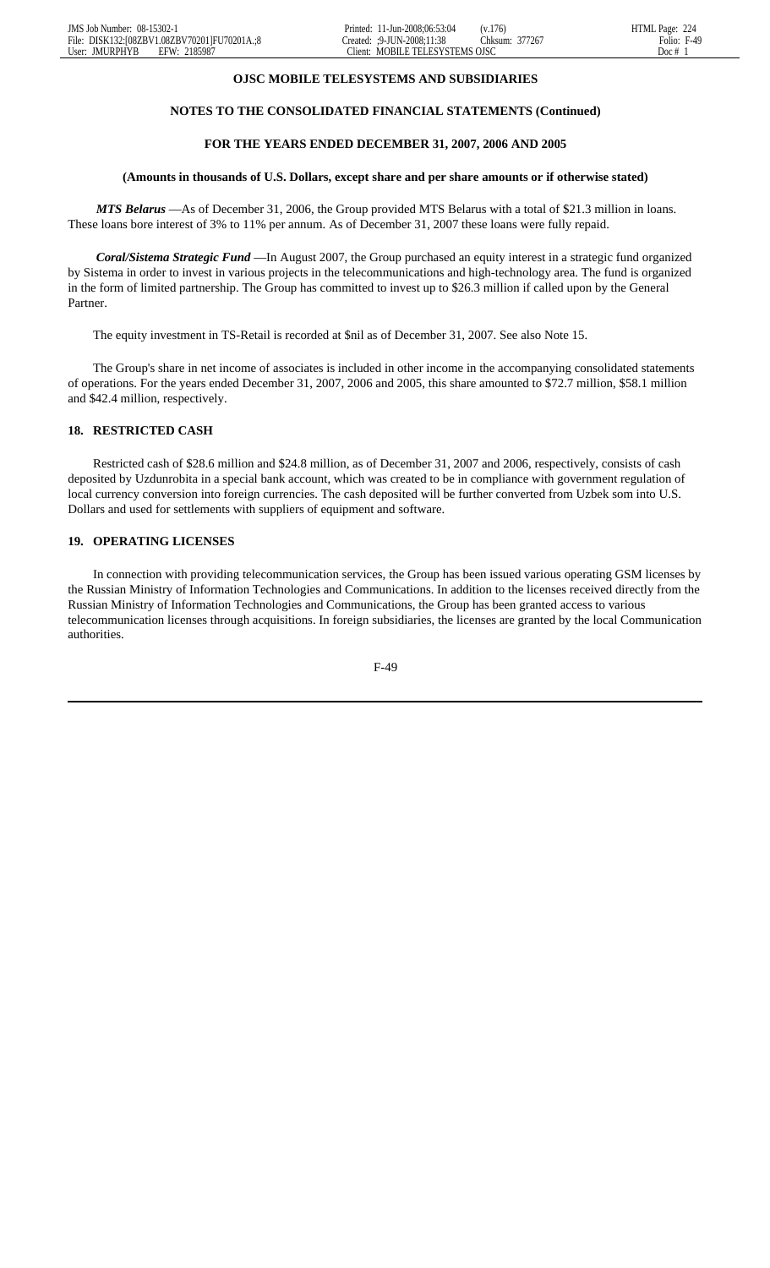#### **NOTES TO THE CONSOLIDATED FINANCIAL STATEMENTS (Continued)**

### **FOR THE YEARS ENDED DECEMBER 31, 2007, 2006 AND 2005**

#### **(Amounts in thousands of U.S. Dollars, except share and per share amounts or if otherwise stated)**

 *MTS Belarus* —As of December 31, 2006, the Group provided MTS Belarus with a total of \$21.3 million in loans. These loans bore interest of 3% to 11% per annum. As of December 31, 2007 these loans were fully repaid.

 *Coral/Sistema Strategic Fund* —In August 2007, the Group purchased an equity interest in a strategic fund organized by Sistema in order to invest in various projects in the telecommunications and high-technology area. The fund is organized in the form of limited partnership. The Group has committed to invest up to \$26.3 million if called upon by the General Partner.

The equity investment in TS-Retail is recorded at \$nil as of December 31, 2007. See also Note 15.

 The Group's share in net income of associates is included in other income in the accompanying consolidated statements of operations. For the years ended December 31, 2007, 2006 and 2005, this share amounted to \$72.7 million, \$58.1 million and \$42.4 million, respectively.

#### **18. RESTRICTED CASH**

 Restricted cash of \$28.6 million and \$24.8 million, as of December 31, 2007 and 2006, respectively, consists of cash deposited by Uzdunrobita in a special bank account, which was created to be in compliance with government regulation of local currency conversion into foreign currencies. The cash deposited will be further converted from Uzbek som into U.S. Dollars and used for settlements with suppliers of equipment and software.

#### **19. OPERATING LICENSES**

 In connection with providing telecommunication services, the Group has been issued various operating GSM licenses by the Russian Ministry of Information Technologies and Communications. In addition to the licenses received directly from the Russian Ministry of Information Technologies and Communications, the Group has been granted access to various telecommunication licenses through acquisitions. In foreign subsidiaries, the licenses are granted by the local Communication authorities.

$$
F-49
$$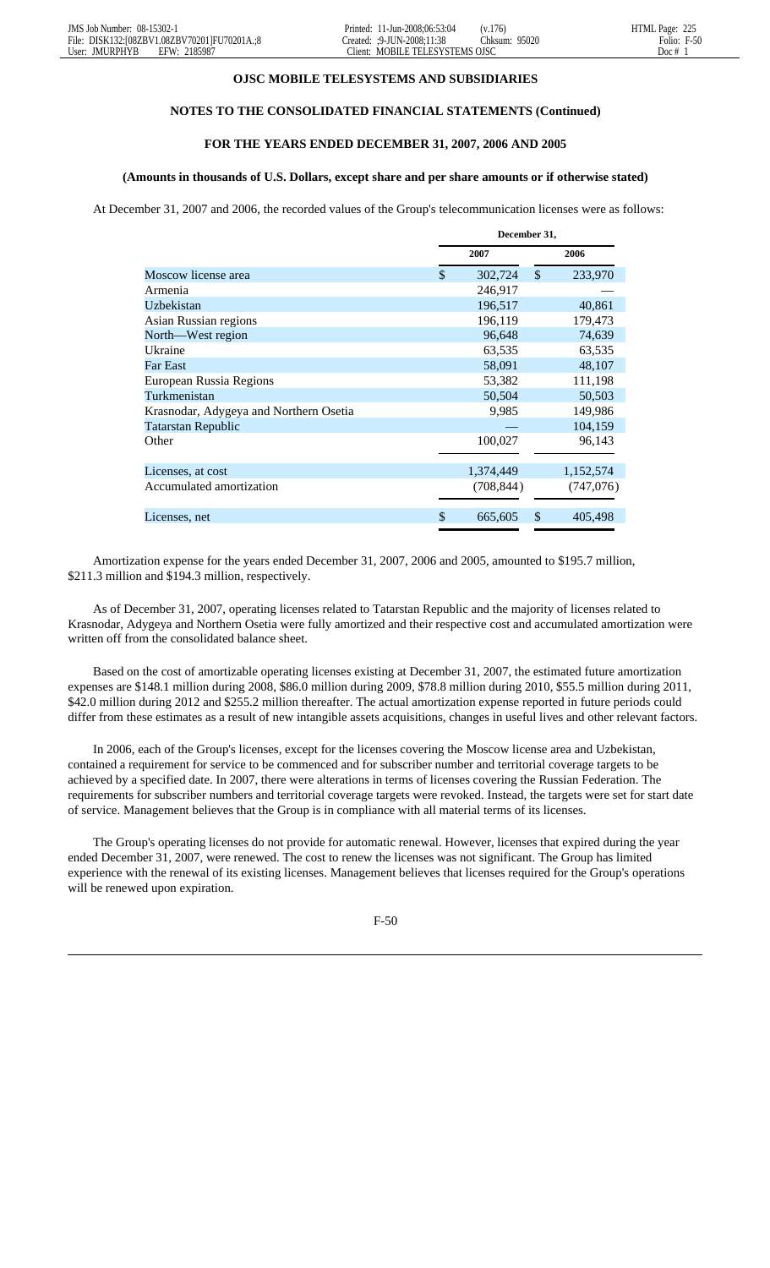## **NOTES TO THE CONSOLIDATED FINANCIAL STATEMENTS (Continued)**

## **FOR THE YEARS ENDED DECEMBER 31, 2007, 2006 AND 2005**

## **(Amounts in thousands of U.S. Dollars, except share and per share amounts or if otherwise stated)**

At December 31, 2007 and 2006, the recorded values of the Group's telecommunication licenses were as follows:

|                                        |               | December 31, |               |            |  |  |
|----------------------------------------|---------------|--------------|---------------|------------|--|--|
|                                        |               | 2007         |               | 2006       |  |  |
| Moscow license area                    | $\mathcal{S}$ | 302,724      | $\mathcal{S}$ | 233,970    |  |  |
| Armenia                                |               | 246,917      |               |            |  |  |
| Uzbekistan                             |               | 196,517      |               | 40,861     |  |  |
| Asian Russian regions                  |               | 196,119      |               | 179,473    |  |  |
| North—West region                      |               | 96,648       |               | 74,639     |  |  |
| Ukraine                                |               | 63,535       |               | 63,535     |  |  |
| <b>Far East</b>                        |               | 58,091       |               | 48,107     |  |  |
| European Russia Regions                |               | 53,382       |               | 111,198    |  |  |
| Turkmenistan                           |               | 50,504       |               | 50,503     |  |  |
| Krasnodar, Adygeya and Northern Osetia |               | 9,985        |               | 149,986    |  |  |
| <b>Tatarstan Republic</b>              |               |              |               | 104,159    |  |  |
| Other                                  |               | 100,027      |               | 96,143     |  |  |
| Licenses, at cost                      |               | 1,374,449    |               | 1,152,574  |  |  |
| Accumulated amortization               |               | (708, 844)   |               | (747, 076) |  |  |
| Licenses, net                          | \$.           | 665,605      | $\mathcal{S}$ | 405,498    |  |  |

 Amortization expense for the years ended December 31, 2007, 2006 and 2005, amounted to \$195.7 million, \$211.3 million and \$194.3 million, respectively.

 As of December 31, 2007, operating licenses related to Tatarstan Republic and the majority of licenses related to Krasnodar, Adygeya and Northern Osetia were fully amortized and their respective cost and accumulated amortization were written off from the consolidated balance sheet.

 Based on the cost of amortizable operating licenses existing at December 31, 2007, the estimated future amortization expenses are \$148.1 million during 2008, \$86.0 million during 2009, \$78.8 million during 2010, \$55.5 million during 2011, \$42.0 million during 2012 and \$255.2 million thereafter. The actual amortization expense reported in future periods could differ from these estimates as a result of new intangible assets acquisitions, changes in useful lives and other relevant factors.

 In 2006, each of the Group's licenses, except for the licenses covering the Moscow license area and Uzbekistan, contained a requirement for service to be commenced and for subscriber number and territorial coverage targets to be achieved by a specified date. In 2007, there were alterations in terms of licenses covering the Russian Federation. The requirements for subscriber numbers and territorial coverage targets were revoked. Instead, the targets were set for start date of service. Management believes that the Group is in compliance with all material terms of its licenses.

 The Group's operating licenses do not provide for automatic renewal. However, licenses that expired during the year ended December 31, 2007, were renewed. The cost to renew the licenses was not significant. The Group has limited experience with the renewal of its existing licenses. Management believes that licenses required for the Group's operations will be renewed upon expiration.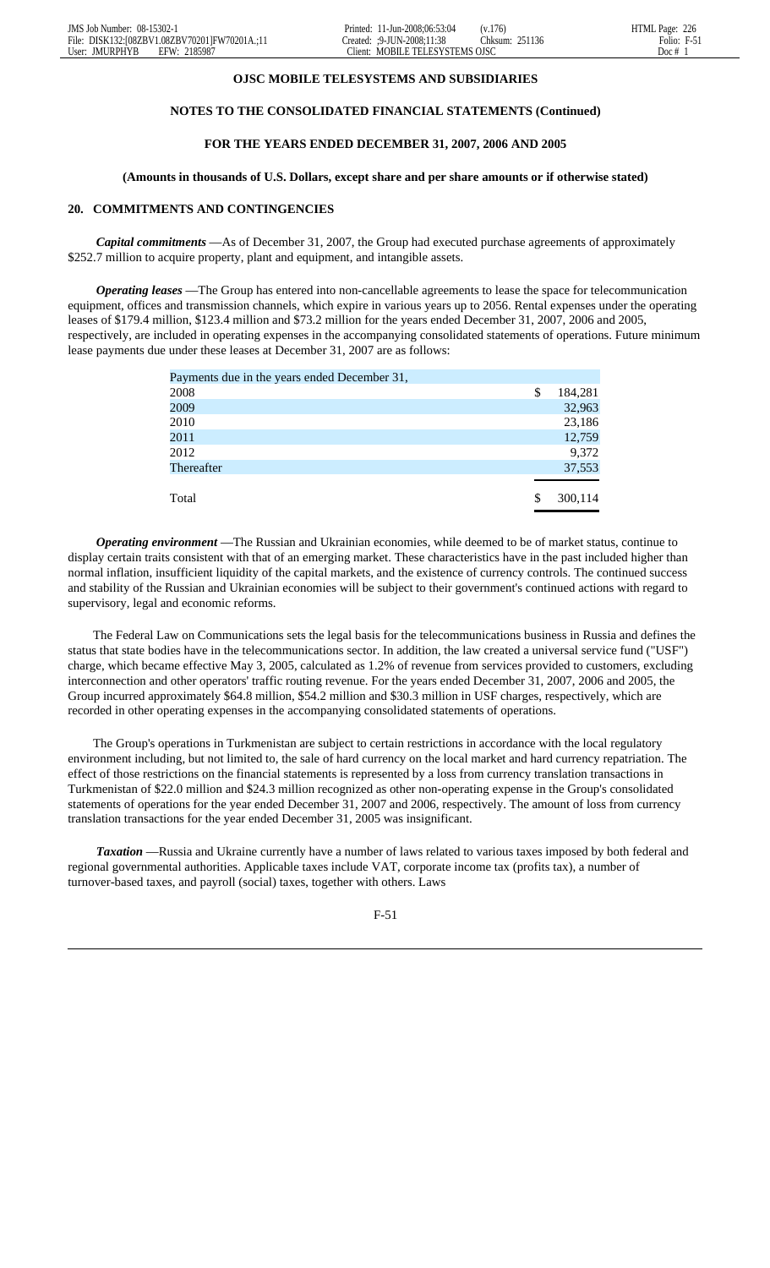#### **NOTES TO THE CONSOLIDATED FINANCIAL STATEMENTS (Continued)**

## **FOR THE YEARS ENDED DECEMBER 31, 2007, 2006 AND 2005**

#### **(Amounts in thousands of U.S. Dollars, except share and per share amounts or if otherwise stated)**

### **20. COMMITMENTS AND CONTINGENCIES**

 *Capital commitments* —As of December 31, 2007, the Group had executed purchase agreements of approximately \$252.7 million to acquire property, plant and equipment, and intangible assets.

 *Operating leases* —The Group has entered into non-cancellable agreements to lease the space for telecommunication equipment, offices and transmission channels, which expire in various years up to 2056. Rental expenses under the operating leases of \$179.4 million, \$123.4 million and \$73.2 million for the years ended December 31, 2007, 2006 and 2005, respectively, are included in operating expenses in the accompanying consolidated statements of operations. Future minimum lease payments due under these leases at December 31, 2007 are as follows:

| Payments due in the years ended December 31, |    |         |
|----------------------------------------------|----|---------|
| 2008                                         | \$ | 184,281 |
| 2009                                         |    | 32,963  |
| 2010                                         |    | 23,186  |
| 2011                                         |    | 12,759  |
| 2012                                         |    | 9,372   |
| Thereafter                                   |    | 37,553  |
|                                              |    |         |
| Total                                        | S  | 300,114 |

 *Operating environment* —The Russian and Ukrainian economies, while deemed to be of market status, continue to display certain traits consistent with that of an emerging market. These characteristics have in the past included higher than normal inflation, insufficient liquidity of the capital markets, and the existence of currency controls. The continued success and stability of the Russian and Ukrainian economies will be subject to their government's continued actions with regard to supervisory, legal and economic reforms.

 The Federal Law on Communications sets the legal basis for the telecommunications business in Russia and defines the status that state bodies have in the telecommunications sector. In addition, the law created a universal service fund ("USF") charge, which became effective May 3, 2005, calculated as 1.2% of revenue from services provided to customers, excluding interconnection and other operators' traffic routing revenue. For the years ended December 31, 2007, 2006 and 2005, the Group incurred approximately \$64.8 million, \$54.2 million and \$30.3 million in USF charges, respectively, which are recorded in other operating expenses in the accompanying consolidated statements of operations.

 The Group's operations in Turkmenistan are subject to certain restrictions in accordance with the local regulatory environment including, but not limited to, the sale of hard currency on the local market and hard currency repatriation. The effect of those restrictions on the financial statements is represented by a loss from currency translation transactions in Turkmenistan of \$22.0 million and \$24.3 million recognized as other non-operating expense in the Group's consolidated statements of operations for the year ended December 31, 2007 and 2006, respectively. The amount of loss from currency translation transactions for the year ended December 31, 2005 was insignificant.

 *Taxation* —Russia and Ukraine currently have a number of laws related to various taxes imposed by both federal and regional governmental authorities. Applicable taxes include VAT, corporate income tax (profits tax), a number of turnover-based taxes, and payroll (social) taxes, together with others. Laws

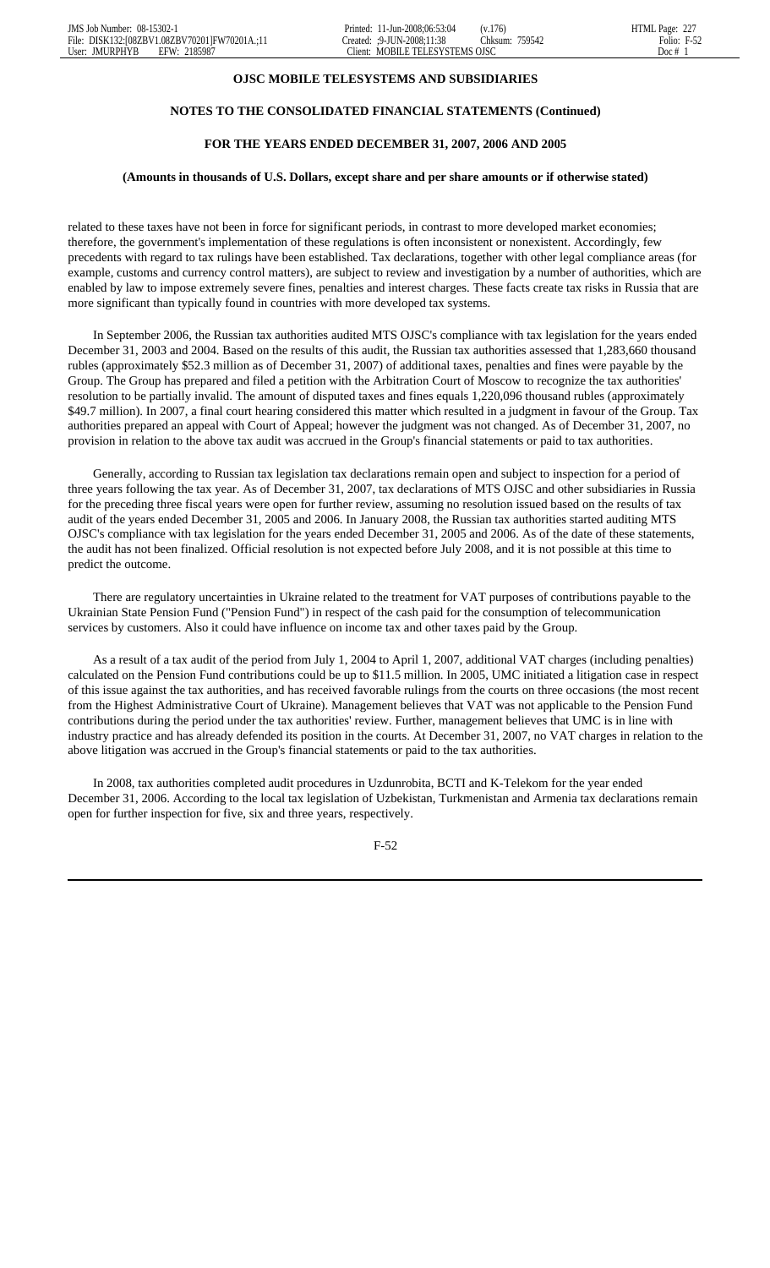# **NOTES TO THE CONSOLIDATED FINANCIAL STATEMENTS (Continued)**

# **FOR THE YEARS ENDED DECEMBER 31, 2007, 2006 AND 2005**

## **(Amounts in thousands of U.S. Dollars, except share and per share amounts or if otherwise stated)**

related to these taxes have not been in force for significant periods, in contrast to more developed market economies; therefore, the government's implementation of these regulations is often inconsistent or nonexistent. Accordingly, few precedents with regard to tax rulings have been established. Tax declarations, together with other legal compliance areas (for example, customs and currency control matters), are subject to review and investigation by a number of authorities, which are enabled by law to impose extremely severe fines, penalties and interest charges. These facts create tax risks in Russia that are more significant than typically found in countries with more developed tax systems.

 In September 2006, the Russian tax authorities audited MTS OJSC's compliance with tax legislation for the years ended December 31, 2003 and 2004. Based on the results of this audit, the Russian tax authorities assessed that 1,283,660 thousand rubles (approximately \$52.3 million as of December 31, 2007) of additional taxes, penalties and fines were payable by the Group. The Group has prepared and filed a petition with the Arbitration Court of Moscow to recognize the tax authorities' resolution to be partially invalid. The amount of disputed taxes and fines equals 1,220,096 thousand rubles (approximately \$49.7 million). In 2007, a final court hearing considered this matter which resulted in a judgment in favour of the Group. Tax authorities prepared an appeal with Court of Appeal; however the judgment was not changed. As of December 31, 2007, no provision in relation to the above tax audit was accrued in the Group's financial statements or paid to tax authorities.

 Generally, according to Russian tax legislation tax declarations remain open and subject to inspection for a period of three years following the tax year. As of December 31, 2007, tax declarations of MTS OJSC and other subsidiaries in Russia for the preceding three fiscal years were open for further review, assuming no resolution issued based on the results of tax audit of the years ended December 31, 2005 and 2006. In January 2008, the Russian tax authorities started auditing MTS OJSC's compliance with tax legislation for the years ended December 31, 2005 and 2006. As of the date of these statements, the audit has not been finalized. Official resolution is not expected before July 2008, and it is not possible at this time to predict the outcome.

 There are regulatory uncertainties in Ukraine related to the treatment for VAT purposes of contributions payable to the Ukrainian State Pension Fund ("Pension Fund") in respect of the cash paid for the consumption of telecommunication services by customers. Also it could have influence on income tax and other taxes paid by the Group.

 As a result of a tax audit of the period from July 1, 2004 to April 1, 2007, additional VAT charges (including penalties) calculated on the Pension Fund contributions could be up to \$11.5 million. In 2005, UMC initiated a litigation case in respect of this issue against the tax authorities, and has received favorable rulings from the courts on three occasions (the most recent from the Highest Administrative Court of Ukraine). Management believes that VAT was not applicable to the Pension Fund contributions during the period under the tax authorities' review. Further, management believes that UMC is in line with industry practice and has already defended its position in the courts. At December 31, 2007, no VAT charges in relation to the above litigation was accrued in the Group's financial statements or paid to the tax authorities.

 In 2008, tax authorities completed audit procedures in Uzdunrobita, BCTI and K-Telekom for the year ended December 31, 2006. According to the local tax legislation of Uzbekistan, Turkmenistan and Armenia tax declarations remain open for further inspection for five, six and three years, respectively.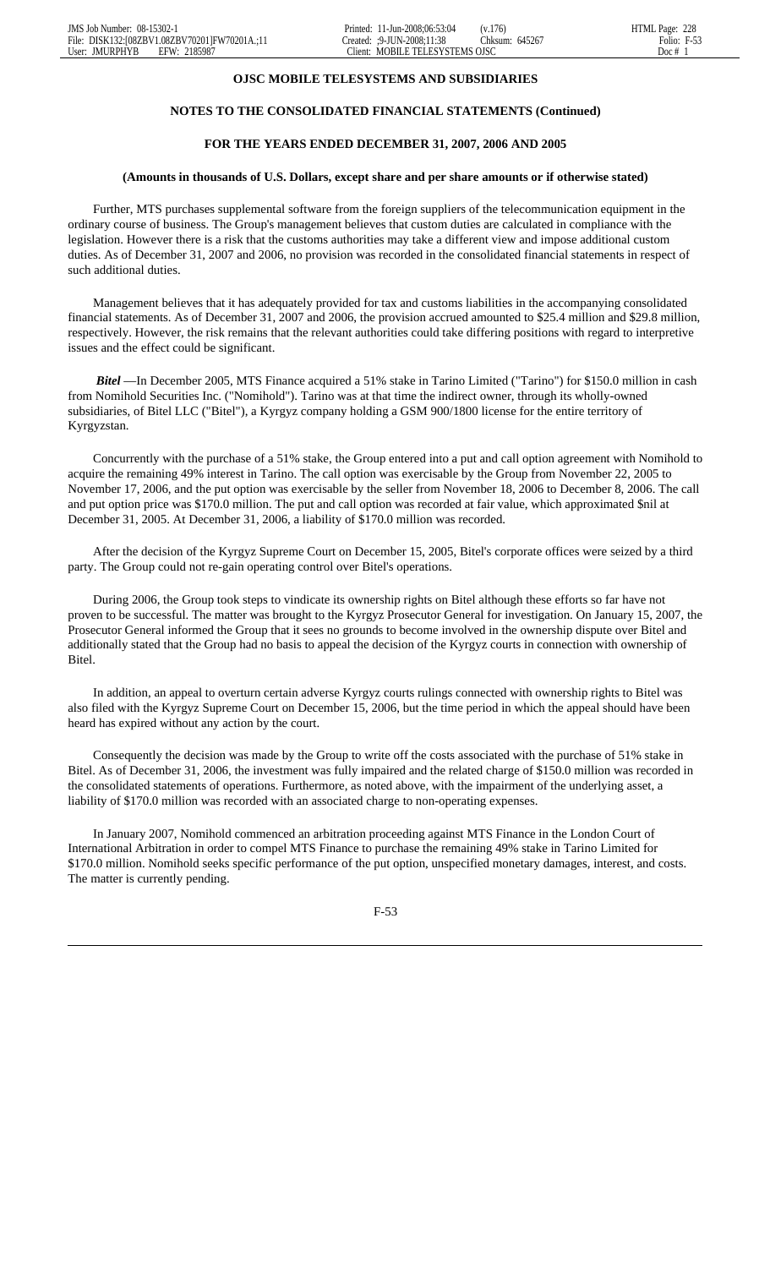#### **NOTES TO THE CONSOLIDATED FINANCIAL STATEMENTS (Continued)**

### **FOR THE YEARS ENDED DECEMBER 31, 2007, 2006 AND 2005**

#### **(Amounts in thousands of U.S. Dollars, except share and per share amounts or if otherwise stated)**

 Further, MTS purchases supplemental software from the foreign suppliers of the telecommunication equipment in the ordinary course of business. The Group's management believes that custom duties are calculated in compliance with the legislation. However there is a risk that the customs authorities may take a different view and impose additional custom duties. As of December 31, 2007 and 2006, no provision was recorded in the consolidated financial statements in respect of such additional duties.

 Management believes that it has adequately provided for tax and customs liabilities in the accompanying consolidated financial statements. As of December 31, 2007 and 2006, the provision accrued amounted to \$25.4 million and \$29.8 million, respectively. However, the risk remains that the relevant authorities could take differing positions with regard to interpretive issues and the effect could be significant.

 *Bitel* —In December 2005, MTS Finance acquired a 51% stake in Tarino Limited ("Tarino") for \$150.0 million in cash from Nomihold Securities Inc. ("Nomihold"). Tarino was at that time the indirect owner, through its wholly-owned subsidiaries, of Bitel LLC ("Bitel"), a Kyrgyz company holding a GSM 900/1800 license for the entire territory of Kyrgyzstan.

 Concurrently with the purchase of a 51% stake, the Group entered into a put and call option agreement with Nomihold to acquire the remaining 49% interest in Tarino. The call option was exercisable by the Group from November 22, 2005 to November 17, 2006, and the put option was exercisable by the seller from November 18, 2006 to December 8, 2006. The call and put option price was \$170.0 million. The put and call option was recorded at fair value, which approximated \$nil at December 31, 2005. At December 31, 2006, a liability of \$170.0 million was recorded.

 After the decision of the Kyrgyz Supreme Court on December 15, 2005, Bitel's corporate offices were seized by a third party. The Group could not re-gain operating control over Bitel's operations.

 During 2006, the Group took steps to vindicate its ownership rights on Bitel although these efforts so far have not proven to be successful. The matter was brought to the Kyrgyz Prosecutor General for investigation. On January 15, 2007, the Prosecutor General informed the Group that it sees no grounds to become involved in the ownership dispute over Bitel and additionally stated that the Group had no basis to appeal the decision of the Kyrgyz courts in connection with ownership of Bitel.

 In addition, an appeal to overturn certain adverse Kyrgyz courts rulings connected with ownership rights to Bitel was also filed with the Kyrgyz Supreme Court on December 15, 2006, but the time period in which the appeal should have been heard has expired without any action by the court.

 Consequently the decision was made by the Group to write off the costs associated with the purchase of 51% stake in Bitel. As of December 31, 2006, the investment was fully impaired and the related charge of \$150.0 million was recorded in the consolidated statements of operations. Furthermore, as noted above, with the impairment of the underlying asset, a liability of \$170.0 million was recorded with an associated charge to non-operating expenses.

 In January 2007, Nomihold commenced an arbitration proceeding against MTS Finance in the London Court of International Arbitration in order to compel MTS Finance to purchase the remaining 49% stake in Tarino Limited for \$170.0 million. Nomihold seeks specific performance of the put option, unspecified monetary damages, interest, and costs. The matter is currently pending.

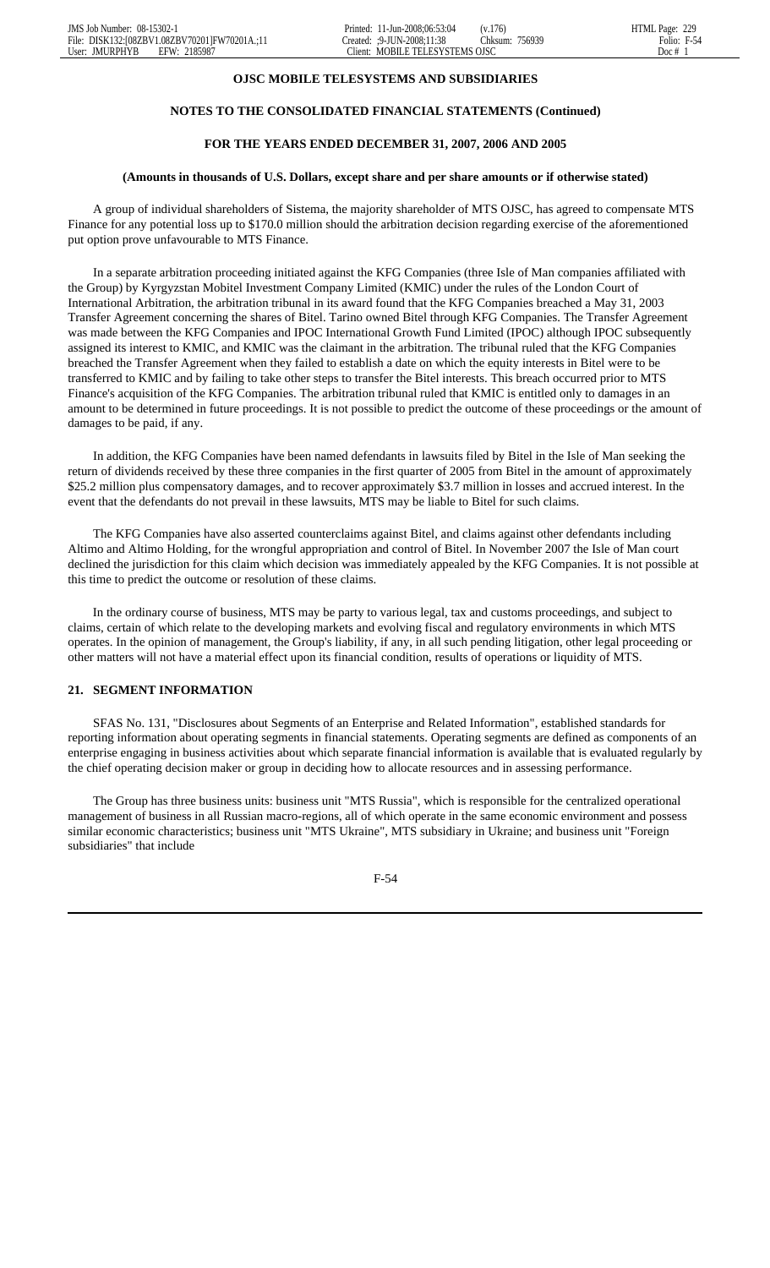## **NOTES TO THE CONSOLIDATED FINANCIAL STATEMENTS (Continued)**

# **FOR THE YEARS ENDED DECEMBER 31, 2007, 2006 AND 2005**

## **(Amounts in thousands of U.S. Dollars, except share and per share amounts or if otherwise stated)**

 A group of individual shareholders of Sistema, the majority shareholder of MTS OJSC, has agreed to compensate MTS Finance for any potential loss up to \$170.0 million should the arbitration decision regarding exercise of the aforementioned put option prove unfavourable to MTS Finance.

 In a separate arbitration proceeding initiated against the KFG Companies (three Isle of Man companies affiliated with the Group) by Kyrgyzstan Mobitel Investment Company Limited (KMIC) under the rules of the London Court of International Arbitration, the arbitration tribunal in its award found that the KFG Companies breached a May 31, 2003 Transfer Agreement concerning the shares of Bitel. Tarino owned Bitel through KFG Companies. The Transfer Agreement was made between the KFG Companies and IPOC International Growth Fund Limited (IPOC) although IPOC subsequently assigned its interest to KMIC, and KMIC was the claimant in the arbitration. The tribunal ruled that the KFG Companies breached the Transfer Agreement when they failed to establish a date on which the equity interests in Bitel were to be transferred to KMIC and by failing to take other steps to transfer the Bitel interests. This breach occurred prior to MTS Finance's acquisition of the KFG Companies. The arbitration tribunal ruled that KMIC is entitled only to damages in an amount to be determined in future proceedings. It is not possible to predict the outcome of these proceedings or the amount of damages to be paid, if any.

 In addition, the KFG Companies have been named defendants in lawsuits filed by Bitel in the Isle of Man seeking the return of dividends received by these three companies in the first quarter of 2005 from Bitel in the amount of approximately \$25.2 million plus compensatory damages, and to recover approximately \$3.7 million in losses and accrued interest. In the event that the defendants do not prevail in these lawsuits, MTS may be liable to Bitel for such claims.

 The KFG Companies have also asserted counterclaims against Bitel, and claims against other defendants including Altimo and Altimo Holding, for the wrongful appropriation and control of Bitel. In November 2007 the Isle of Man court declined the jurisdiction for this claim which decision was immediately appealed by the KFG Companies. It is not possible at this time to predict the outcome or resolution of these claims.

 In the ordinary course of business, MTS may be party to various legal, tax and customs proceedings, and subject to claims, certain of which relate to the developing markets and evolving fiscal and regulatory environments in which MTS operates. In the opinion of management, the Group's liability, if any, in all such pending litigation, other legal proceeding or other matters will not have a material effect upon its financial condition, results of operations or liquidity of MTS.

# **21. SEGMENT INFORMATION**

 SFAS No. 131, "Disclosures about Segments of an Enterprise and Related Information", established standards for reporting information about operating segments in financial statements. Operating segments are defined as components of an enterprise engaging in business activities about which separate financial information is available that is evaluated regularly by the chief operating decision maker or group in deciding how to allocate resources and in assessing performance.

 The Group has three business units: business unit "MTS Russia", which is responsible for the centralized operational management of business in all Russian macro-regions, all of which operate in the same economic environment and possess similar economic characteristics; business unit "MTS Ukraine", MTS subsidiary in Ukraine; and business unit "Foreign subsidiaries" that include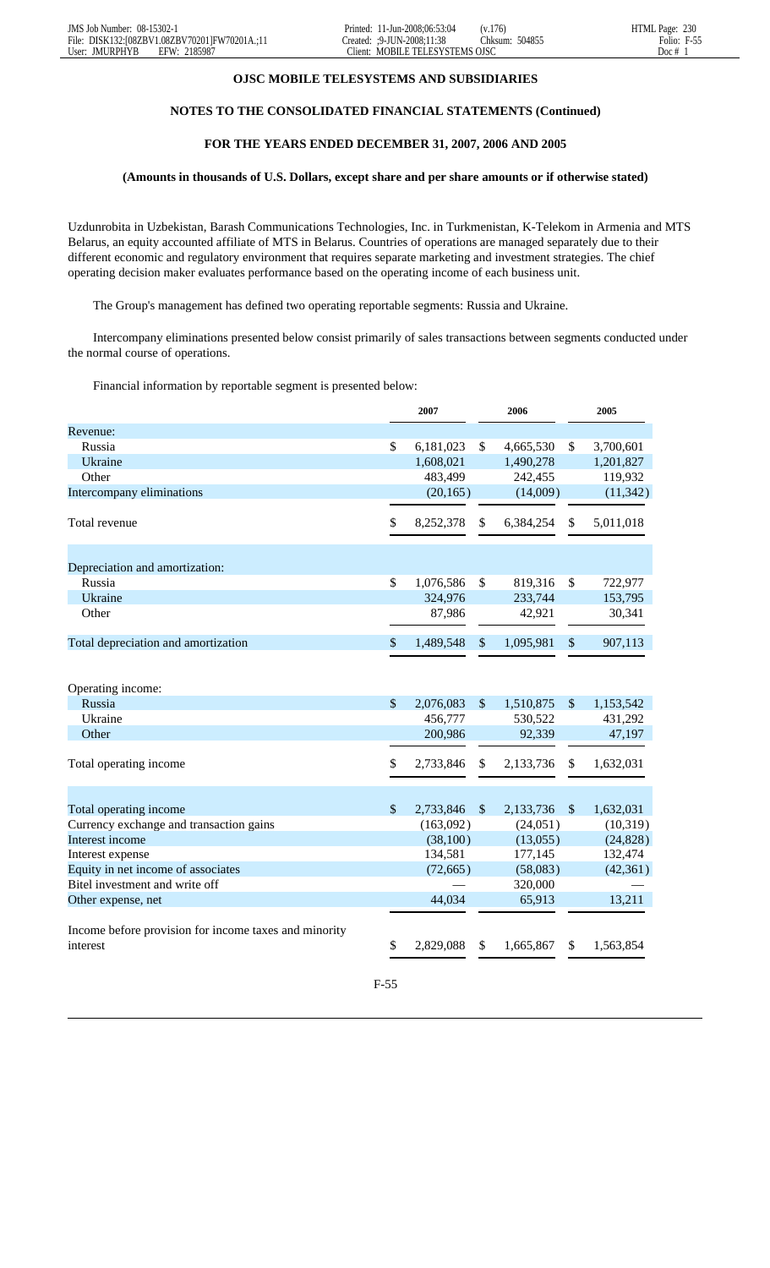### **NOTES TO THE CONSOLIDATED FINANCIAL STATEMENTS (Continued)**

## **FOR THE YEARS ENDED DECEMBER 31, 2007, 2006 AND 2005**

### **(Amounts in thousands of U.S. Dollars, except share and per share amounts or if otherwise stated)**

Uzdunrobita in Uzbekistan, Barash Communications Technologies, Inc. in Turkmenistan, K-Telekom in Armenia and MTS Belarus, an equity accounted affiliate of MTS in Belarus. Countries of operations are managed separately due to their different economic and regulatory environment that requires separate marketing and investment strategies. The chief operating decision maker evaluates performance based on the operating income of each business unit.

The Group's management has defined two operating reportable segments: Russia and Ukraine.

 Intercompany eliminations presented below consist primarily of sales transactions between segments conducted under the normal course of operations.

Financial information by reportable segment is presented below:

|                                                       |               | 2007      |               | 2006      |                           | 2005      |
|-------------------------------------------------------|---------------|-----------|---------------|-----------|---------------------------|-----------|
| Revenue:                                              |               |           |               |           |                           |           |
| Russia                                                | \$            | 6,181,023 | \$            | 4,665,530 | \$                        | 3,700,601 |
| Ukraine                                               |               | 1,608,021 |               | 1,490,278 |                           | 1,201,827 |
| Other                                                 |               | 483,499   |               | 242,455   |                           | 119,932   |
| Intercompany eliminations                             |               | (20, 165) |               | (14,009)  |                           | (11, 342) |
| Total revenue                                         | \$            | 8,252,378 | S.            | 6,384,254 | $\mathbb{S}$              | 5,011,018 |
| Depreciation and amortization:                        |               |           |               |           |                           |           |
| Russia                                                | $\mathcal{S}$ | 1,076,586 | $\mathbb{S}$  | 819,316   | \$                        | 722,977   |
| <b>Ukraine</b>                                        |               | 324,976   |               | 233,744   |                           | 153,795   |
| Other                                                 |               | 87,986    |               | 42,921    |                           | 30,341    |
| Total depreciation and amortization                   | \$            | 1,489,548 | $\mathcal{S}$ | 1,095,981 | $\boldsymbol{\mathsf{S}}$ | 907,113   |
| Operating income:<br>Russia                           | \$            | 2,076,083 | $\mathbb{S}$  | 1,510,875 | $\mathbb{S}$              | 1,153,542 |
| Ukraine                                               |               | 456,777   |               | 530,522   |                           | 431,292   |
| Other                                                 |               | 200,986   |               | 92,339    |                           | 47,197    |
| Total operating income                                | \$            | 2,733,846 | \$            | 2,133,736 | \$                        | 1,632,031 |
| Total operating income                                | $\mathcal{S}$ | 2,733,846 | $\mathbb{S}$  | 2,133,736 | $\mathbb{S}$              | 1,632,031 |
| Currency exchange and transaction gains               |               | (163,092) |               | (24,051)  |                           | (10, 319) |
| Interest income                                       |               | (38,100)  |               | (13,055)  |                           | (24, 828) |
| Interest expense                                      |               | 134,581   |               | 177,145   |                           | 132,474   |
| Equity in net income of associates                    |               | (72,665)  |               | (58,083)  |                           | (42, 361) |
| Bitel investment and write off                        |               |           |               | 320,000   |                           |           |
| Other expense, net                                    |               | 44,034    |               | 65,913    |                           | 13,211    |
| Income before provision for income taxes and minority |               |           |               |           |                           |           |
| interest                                              | \$            | 2,829,088 | \$            | 1,665,867 | \$                        | 1,563,854 |
|                                                       |               |           |               |           |                           |           |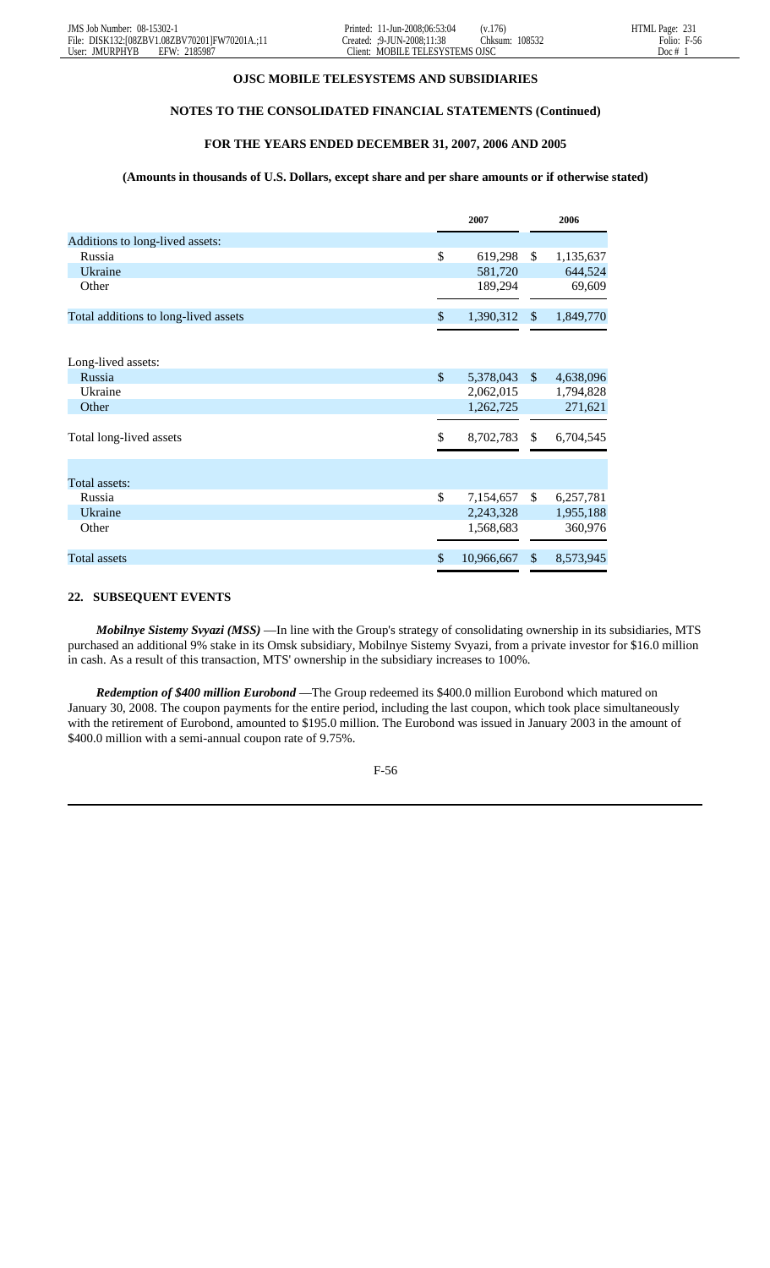#### **NOTES TO THE CONSOLIDATED FINANCIAL STATEMENTS (Continued)**

### **FOR THE YEARS ENDED DECEMBER 31, 2007, 2006 AND 2005**

### **(Amounts in thousands of U.S. Dollars, except share and per share amounts or if otherwise stated)**

|                                      | 2007             |               | 2006      |
|--------------------------------------|------------------|---------------|-----------|
| Additions to long-lived assets:      |                  |               |           |
| Russia                               | \$<br>619,298    | \$.           | 1,135,637 |
| Ukraine                              | 581,720          |               | 644,524   |
| Other                                | 189,294          |               | 69,609    |
| Total additions to long-lived assets | \$<br>1,390,312  | $\mathcal{S}$ | 1,849,770 |
| Long-lived assets:                   |                  |               |           |
| Russia                               | \$<br>5,378,043  | $\mathbb{S}$  | 4,638,096 |
| Ukraine                              | 2,062,015        |               | 1,794,828 |
| Other                                | 1,262,725        |               | 271,621   |
| Total long-lived assets              | \$<br>8,702,783  | \$            | 6,704,545 |
| Total assets:                        |                  |               |           |
| Russia                               | \$<br>7,154,657  | \$            | 6,257,781 |
| Ukraine                              | 2,243,328        |               | 1,955,188 |
| Other                                | 1,568,683        |               | 360,976   |
| <b>Total assets</b>                  | \$<br>10,966,667 | $\mathbb{S}$  | 8,573,945 |

## **22. SUBSEQUENT EVENTS**

 *Mobilnye Sistemy Svyazi (MSS)* —In line with the Group's strategy of consolidating ownership in its subsidiaries, MTS purchased an additional 9% stake in its Omsk subsidiary, Mobilnye Sistemy Svyazi, from a private investor for \$16.0 million in cash. As a result of this transaction, MTS' ownership in the subsidiary increases to 100%.

 *Redemption of \$400 million Eurobond* —The Group redeemed its \$400.0 million Eurobond which matured on January 30, 2008. The coupon payments for the entire period, including the last coupon, which took place simultaneously with the retirement of Eurobond, amounted to \$195.0 million. The Eurobond was issued in January 2003 in the amount of \$400.0 million with a semi-annual coupon rate of 9.75%.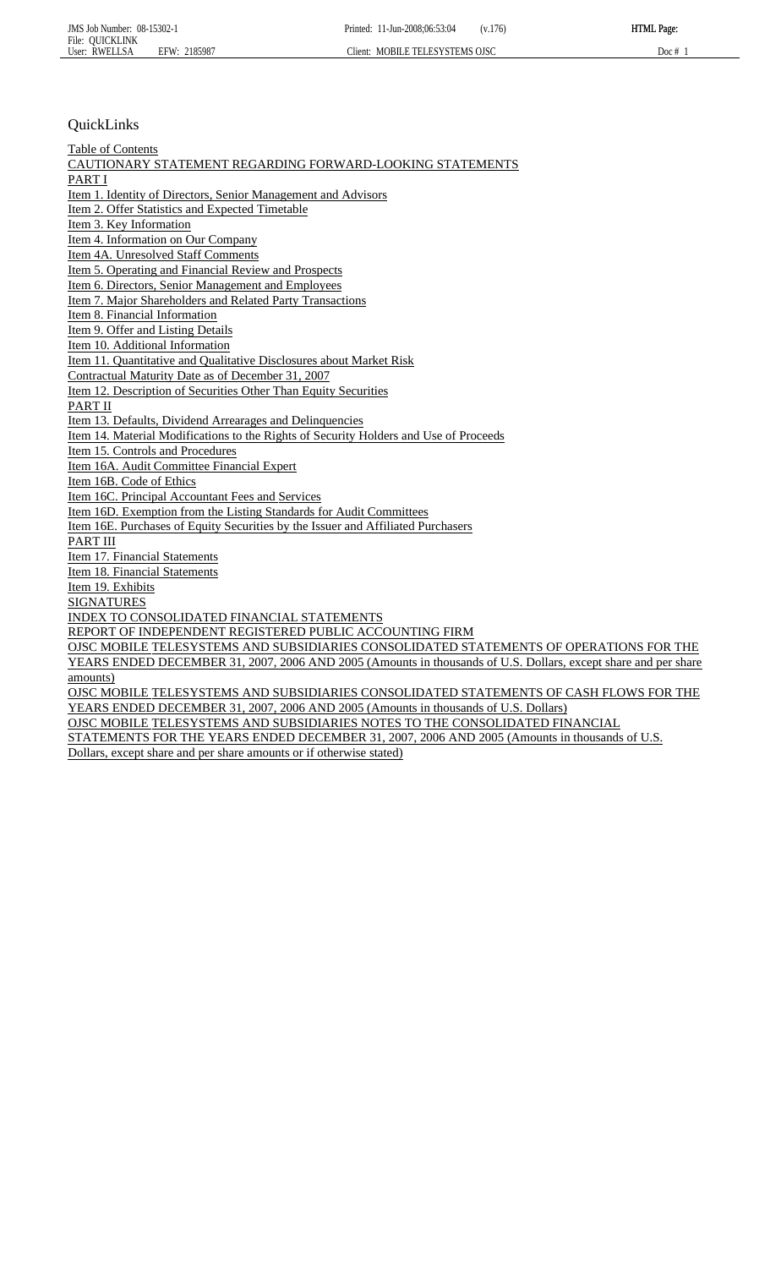# **QuickLinks**

Table of Contents CAUTIONARY STATEMENT REGARDING FORWARD-LOOKING STATEMENTS PART I Item 1. Identity of Directors, Senior Management and Advisors Item 2. Offer Statistics and Expected Timetable Item 3. Key Information Item 4. Information on Our Company Item 4A. Unresolved Staff Comments Item 5. Operating and Financial Review and Prospects Item 6. Directors, Senior Management and Employees Item 7. Major Shareholders and Related Party Transactions Item 8. Financial Information Item 9. Offer and Listing Details Item 10. Additional Information Item 11. Quantitative and Qualitative Disclosures about Market Risk Contractual Maturity Date as of December 31, 2007 Item 12. Description of Securities Other Than Equity Securities PART II Item 13. Defaults, Dividend Arrearages and Delinquencies Item 14. Material Modifications to the Rights of Security Holders and Use of Proceeds Item 15. Controls and Procedures Item 16A. Audit Committee Financial Expert Item 16B. Code of Ethics Item 16C. Principal Accountant Fees and Services Item 16D. Exemption from the Listing Standards for Audit Committees Item 16E. Purchases of Equity Securities by the Issuer and Affiliated Purchasers PART III Item 17. Financial Statements Item 18. Financial Statements Item 19. Exhibits SIGNATURES INDEX TO CONSOLIDATED FINANCIAL STATEMENTS REPORT OF INDEPENDENT REGISTERED PUBLIC ACCOUNTING FIRM OJSC MOBILE TELESYSTEMS AND SUBSIDIARIES CONSOLIDATED STATEMENTS OF OPERATIONS FOR THE YEARS ENDED DECEMBER 31, 2007, 2006 AND 2005 (Amounts in thousands of U.S. Dollars, except share and per share amounts) OJSC MOBILE TELESYSTEMS AND SUBSIDIARIES CONSOLIDATED STATEMENTS OF CASH FLOWS FOR THE YEARS ENDED DECEMBER 31, 2007, 2006 AND 2005 (Amounts in thousands of U.S. Dollars) OJSC MOBILE TELESYSTEMS AND SUBSIDIARIES NOTES TO THE CONSOLIDATED FINANCIAL STATEMENTS FOR THE YEARS ENDED DECEMBER 31, 2007, 2006 AND 2005 (Amounts in thousands of U.S.

Dollars, except share and per share amounts or if otherwise stated)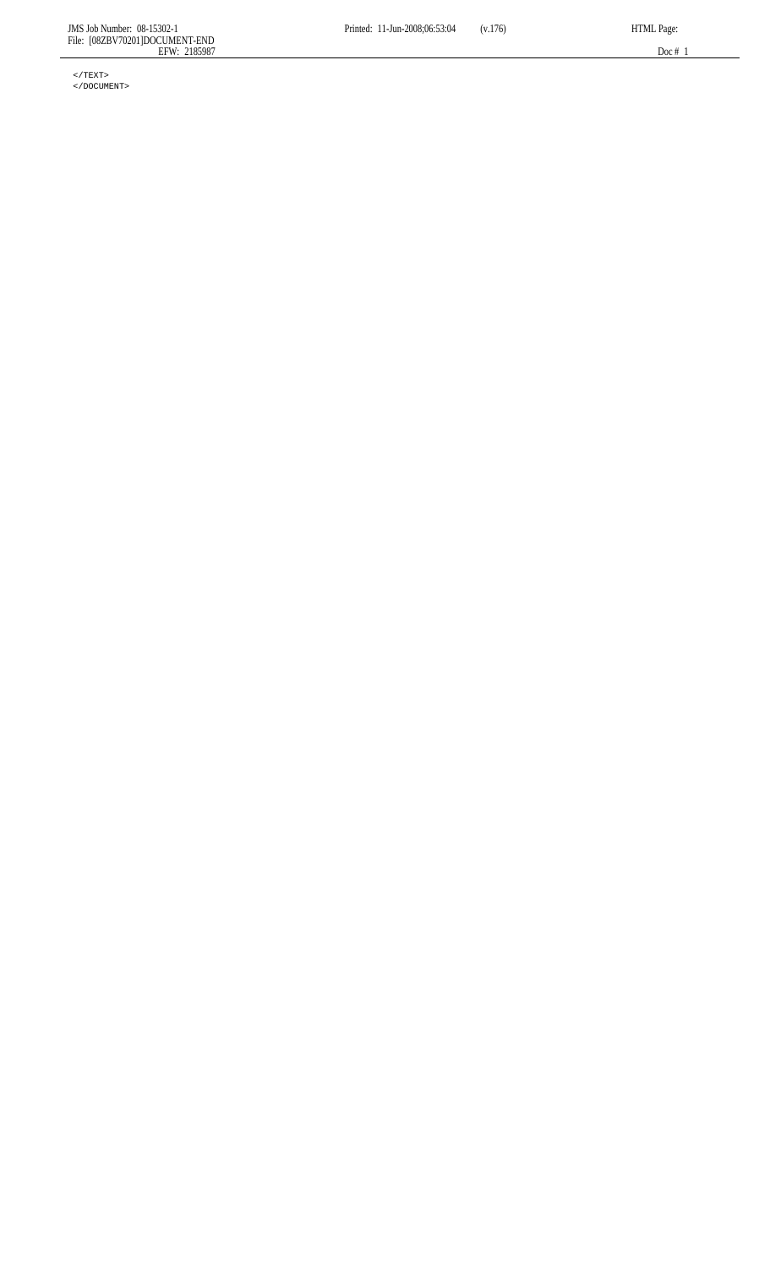$<$ /TEXT> </DOCUMENT>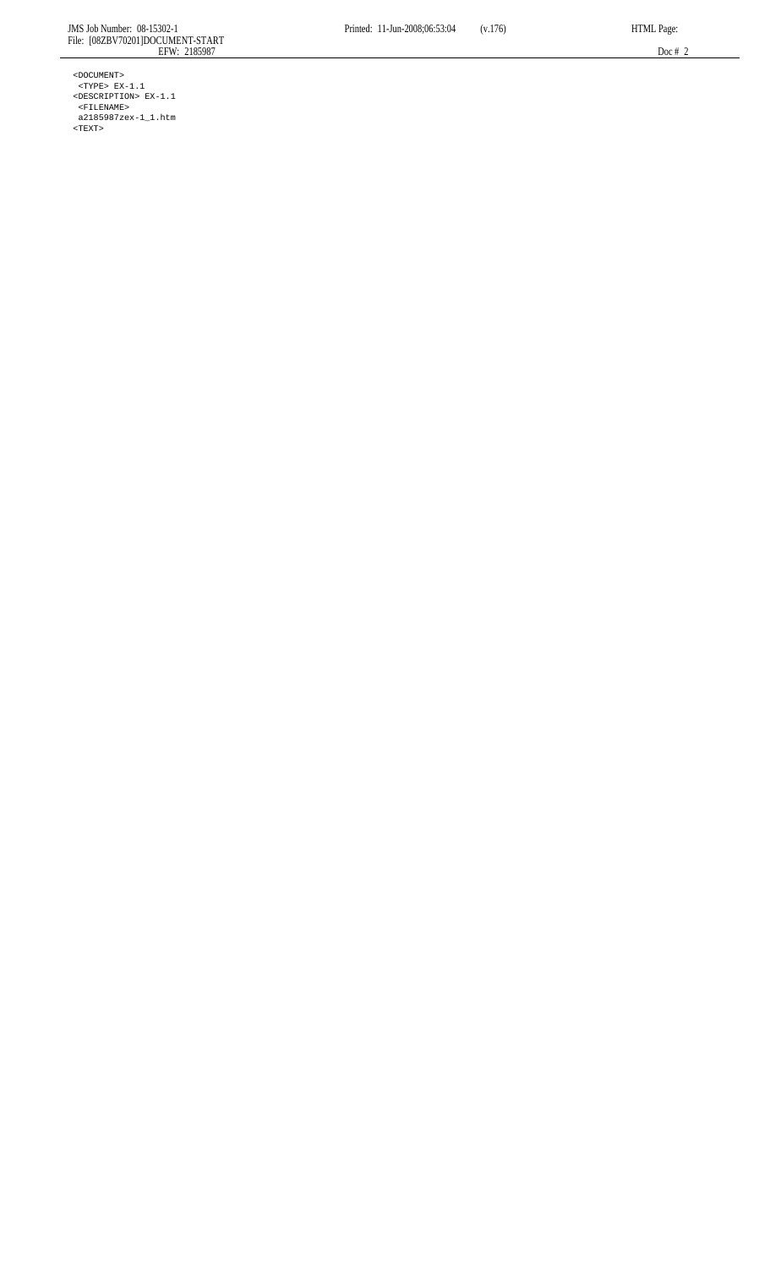<DOCUMENT> <TYPE> EX-1.1 <DESCRIPTION> EX-1.1 <FILENAME> a2185987zex-1\_1.htm <TEXT>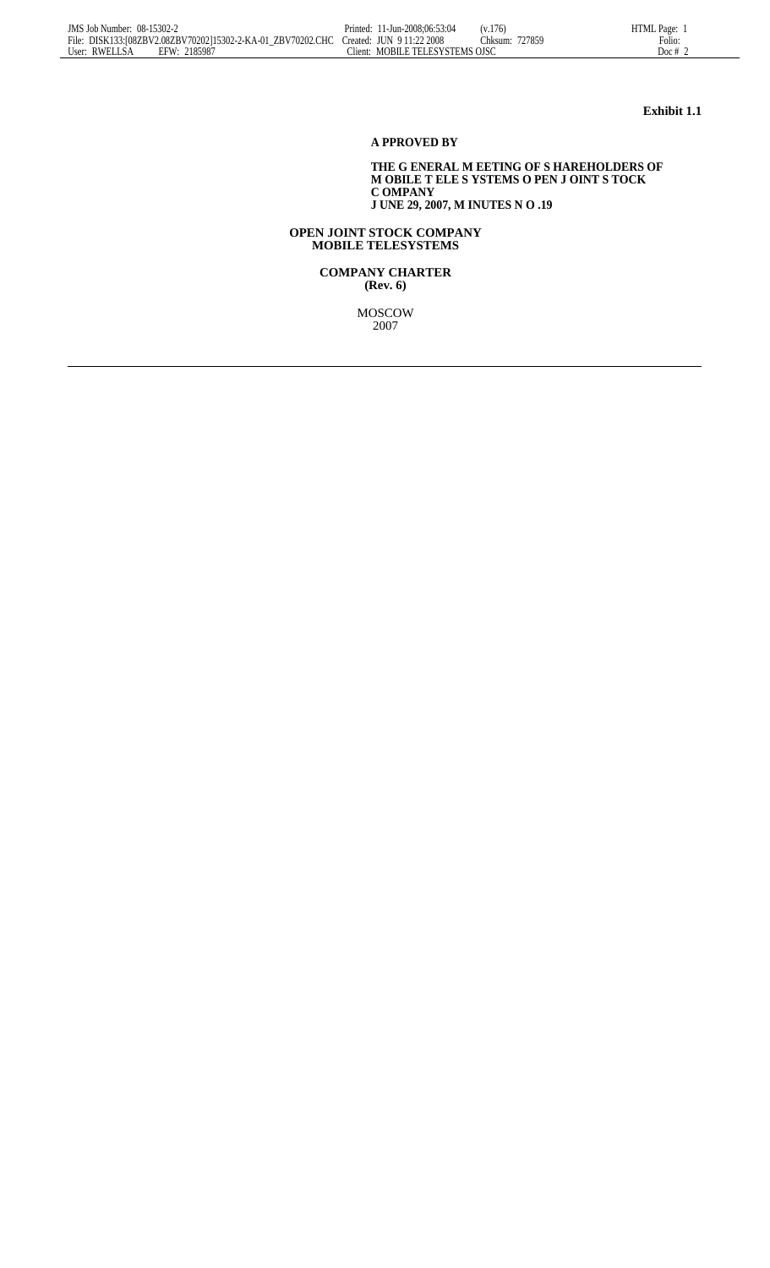# **A PPROVED BY**

**THE G ENERAL M EETING OF S HAREHOLDERS OF M OBILE T ELE S YSTEMS O PEN J OINT S TOCK C OMPANY J UNE 29, 2007, M INUTES N O .19**

#### **OPEN JOINT STOCK COMPANY MOBILE TELESYSTEMS**

**COMPANY CHARTER (Rev. 6)**

> MOSCOW 2007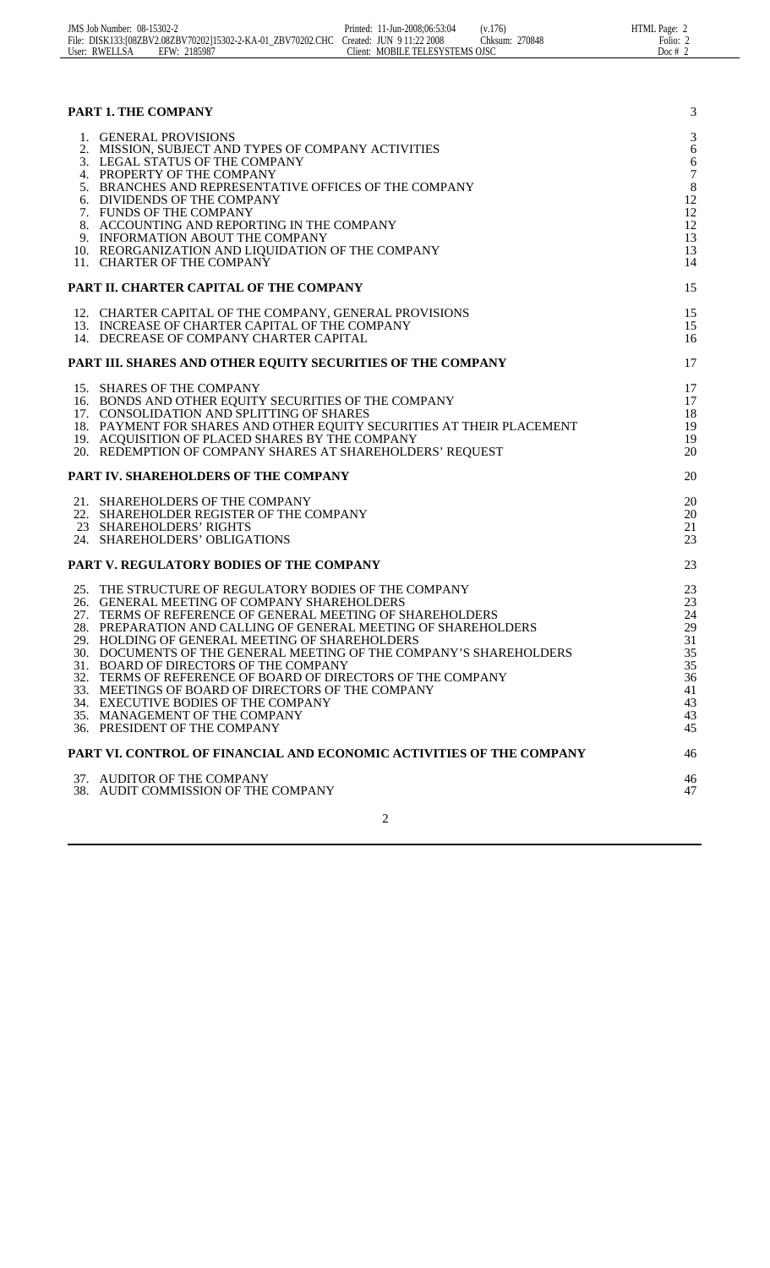| <b>PART 1. THE COMPANY</b>                                                                                                                                                                                                                                                                                                                                                                                                                                                                                                                                                                                                       | 3                                                                                           |
|----------------------------------------------------------------------------------------------------------------------------------------------------------------------------------------------------------------------------------------------------------------------------------------------------------------------------------------------------------------------------------------------------------------------------------------------------------------------------------------------------------------------------------------------------------------------------------------------------------------------------------|---------------------------------------------------------------------------------------------|
| 1. GENERAL PROVISIONS<br>2. MISSION, SUBJECT AND TYPES OF COMPANY ACTIVITIES<br>3. LEGAL STATUS OF THE COMPANY<br>4. PROPERTY OF THE COMPANY<br>5. BRANCHES AND REPRESENTATIVE OFFICES OF THE COMPANY<br>6. DIVIDENDS OF THE COMPANY<br>7. FUNDS OF THE COMPANY<br>8. ACCOUNTING AND REPORTING IN THE COMPANY<br>9. INFORMATION ABOUT THE COMPANY<br>10. REORGANIZATION AND LIQUIDATION OF THE COMPANY<br>11. CHARTER OF THE COMPANY                                                                                                                                                                                             | $\mathfrak{Z}$<br>6<br>6<br>$\boldsymbol{7}$<br>$\,8\,$<br>12<br>12<br>12<br>13<br>13<br>14 |
| PART II. CHARTER CAPITAL OF THE COMPANY                                                                                                                                                                                                                                                                                                                                                                                                                                                                                                                                                                                          | 15                                                                                          |
| 12. CHARTER CAPITAL OF THE COMPANY, GENERAL PROVISIONS<br>13. INCREASE OF CHARTER CAPITAL OF THE COMPANY<br>14. DECREASE OF COMPANY CHARTER CAPITAL                                                                                                                                                                                                                                                                                                                                                                                                                                                                              | 15<br>15<br>16                                                                              |
| PART III. SHARES AND OTHER EQUITY SECURITIES OF THE COMPANY                                                                                                                                                                                                                                                                                                                                                                                                                                                                                                                                                                      | 17                                                                                          |
| 15. SHARES OF THE COMPANY<br>16. BONDS AND OTHER EQUITY SECURITIES OF THE COMPANY<br>17. CONSOLIDATION AND SPLITTING OF SHARES<br>18. PAYMENT FOR SHARES AND OTHER EQUITY SECURITIES AT THEIR PLACEMENT<br>19. ACQUISITION OF PLACED SHARES BY THE COMPANY<br>20. REDEMPTION OF COMPANY SHARES AT SHAREHOLDERS' REQUEST                                                                                                                                                                                                                                                                                                          | 17<br>17<br>18<br>19<br>19<br>20                                                            |
| PART IV. SHAREHOLDERS OF THE COMPANY                                                                                                                                                                                                                                                                                                                                                                                                                                                                                                                                                                                             | 20                                                                                          |
| 21. SHAREHOLDERS OF THE COMPANY<br>22. SHAREHOLDER REGISTER OF THE COMPANY<br>23 SHAREHOLDERS' RIGHTS<br>24. SHAREHOLDERS' OBLIGATIONS                                                                                                                                                                                                                                                                                                                                                                                                                                                                                           | 20<br>20<br>21<br>23                                                                        |
| PART V. REGULATORY BODIES OF THE COMPANY                                                                                                                                                                                                                                                                                                                                                                                                                                                                                                                                                                                         | 23                                                                                          |
| 25. THE STRUCTURE OF REGULATORY BODIES OF THE COMPANY<br>26. GENERAL MEETING OF COMPANY SHAREHOLDERS<br>27. TERMS OF REFERENCE OF GENERAL MEETING OF SHAREHOLDERS<br>28. PREPARATION AND CALLING OF GENERAL MEETING OF SHAREHOLDERS<br>29. HOLDING OF GENERAL MEETING OF SHAREHOLDERS<br>30. DOCUMENTS OF THE GENERAL MEETING OF THE COMPANY'S SHAREHOLDERS<br>31. BOARD OF DIRECTORS OF THE COMPANY<br>32. TERMS OF REFERENCE OF BOARD OF DIRECTORS OF THE COMPANY<br>33. MEETINGS OF BOARD OF DIRECTORS OF THE COMPANY<br>34. EXECUTIVE BODIES OF THE COMPANY<br>35. MANAGEMENT OF THE COMPANY<br>36. PRESIDENT OF THE COMPANY | 23<br>23<br>24<br>29<br>31<br>35<br>35<br>36<br>41<br>43<br>43<br>45                        |
| PART VI. CONTROL OF FINANCIAL AND ECONOMIC ACTIVITIES OF THE COMPANY                                                                                                                                                                                                                                                                                                                                                                                                                                                                                                                                                             | 46                                                                                          |
| 37. AUDITOR OF THE COMPANY<br>38. AUDIT COMMISSION OF THE COMPANY                                                                                                                                                                                                                                                                                                                                                                                                                                                                                                                                                                | 46<br>47                                                                                    |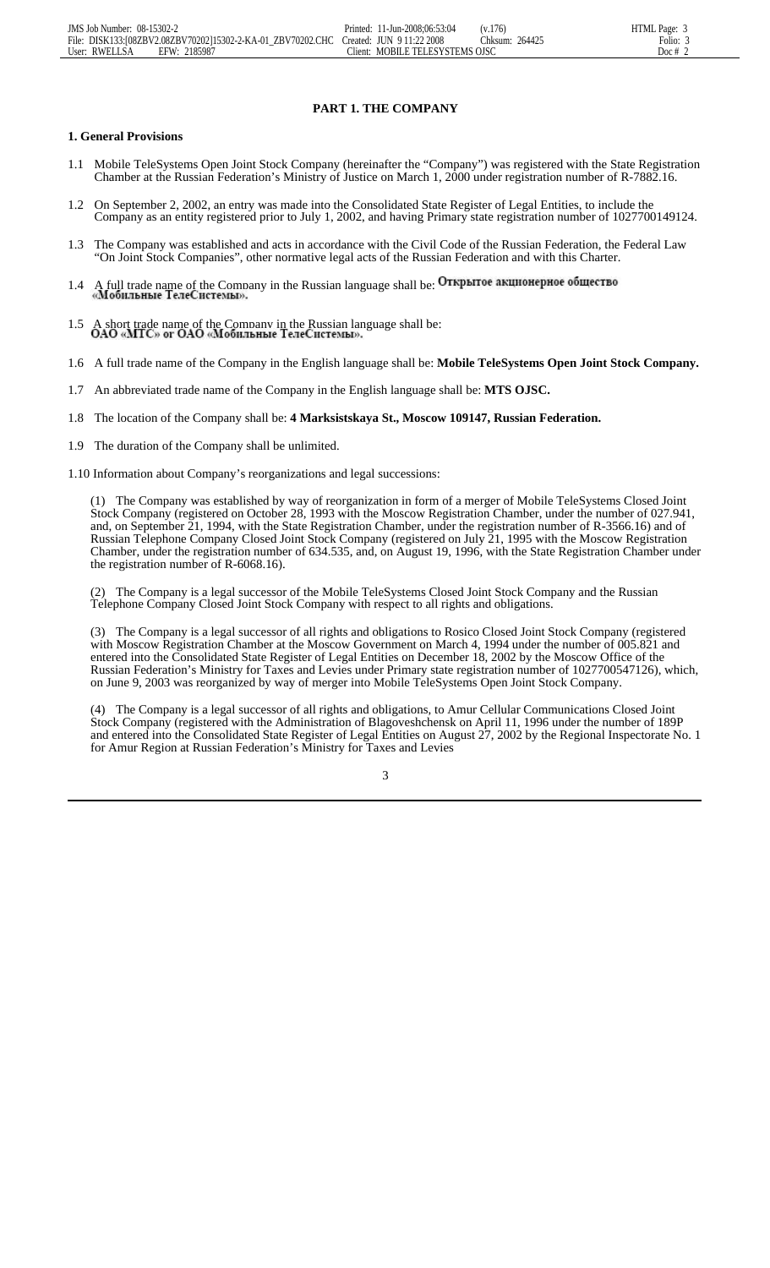#### **PART 1. THE COMPANY**

#### **1. General Provisions**

- 1.1 Mobile TeleSystems Open Joint Stock Company (hereinafter the "Company") was registered with the State Registration Chamber at the Russian Federation's Ministry of Justice on March 1, 2000 under registration number of R-7882.16.
- 1.2 On September 2, 2002, an entry was made into the Consolidated State Register of Legal Entities, to include the Company as an entity registered prior to July 1, 2002, and having Primary state registration number of 1027700149124.
- 1.3 The Company was established and acts in accordance with the Civil Code of the Russian Federation, the Federal Law "On Joint Stock Companies", other normative legal acts of the Russian Federation and with this Charter.
- 1.4 A full trade name of the Company in the Russian language shall be: Открытое акционерное общество «Мобильные ТелеСистемы».
- 1.5 A short trade name of the Company in the Russian language shall be:<br>ОАО «МТС» ог ОАО «Мобильные ТелеСистемы».
- 1.6 A full trade name of the Company in the English language shall be: **Mobile TeleSystems Open Joint Stock Company.**
- 1.7 An abbreviated trade name of the Company in the English language shall be: **MTS OJSC.**
- 1.8 The location of the Company shall be: **4 Marksistskaya St., Moscow 109147, Russian Federation.**
- 1.9 The duration of the Company shall be unlimited.

1.10 Information about Company's reorganizations and legal successions:

(1) The Company was established by way of reorganization in form of a merger of Mobile TeleSystems Closed Joint Stock Company (registered on October 28, 1993 with the Moscow Registration Chamber, under the number of 027.941, and, on September 21, 1994, with the State Registration Chamber, under the registration number of R-3566.16) and of Russian Telephone Company Closed Joint Stock Company (registered on July 21, 1995 with the Moscow Registration Chamber, under the registration number of 634.535, and, on August 19, 1996, with the State Registration Chamber under the registration number of R-6068.16).

(2) The Company is a legal successor of the Mobile TeleSystems Closed Joint Stock Company and the Russian Telephone Company Closed Joint Stock Company with respect to all rights and obligations.

(3) The Company is a legal successor of all rights and obligations to Rosico Closed Joint Stock Company (registered with Moscow Registration Chamber at the Moscow Government on March 4, 1994 under the number of 005.821 and entered into the Consolidated State Register of Legal Entities on December 18, 2002 by the Moscow Office of the Russian Federation's Ministry for Taxes and Levies under Primary state registration number of 1027700547126), which, on June 9, 2003 was reorganized by way of merger into Mobile TeleSystems Open Joint Stock Company.

(4) The Company is a legal successor of all rights and obligations, to Amur Cellular Communications Closed Joint Stock Company (registered with the Administration of Blagoveshchensk on April 11, 1996 under the number of 189P and entered into the Consolidated State Register of Legal Entities on August 27, 2002 by the Regional Inspectorate No. 1 for Amur Region at Russian Federation's Ministry for Taxes and Levies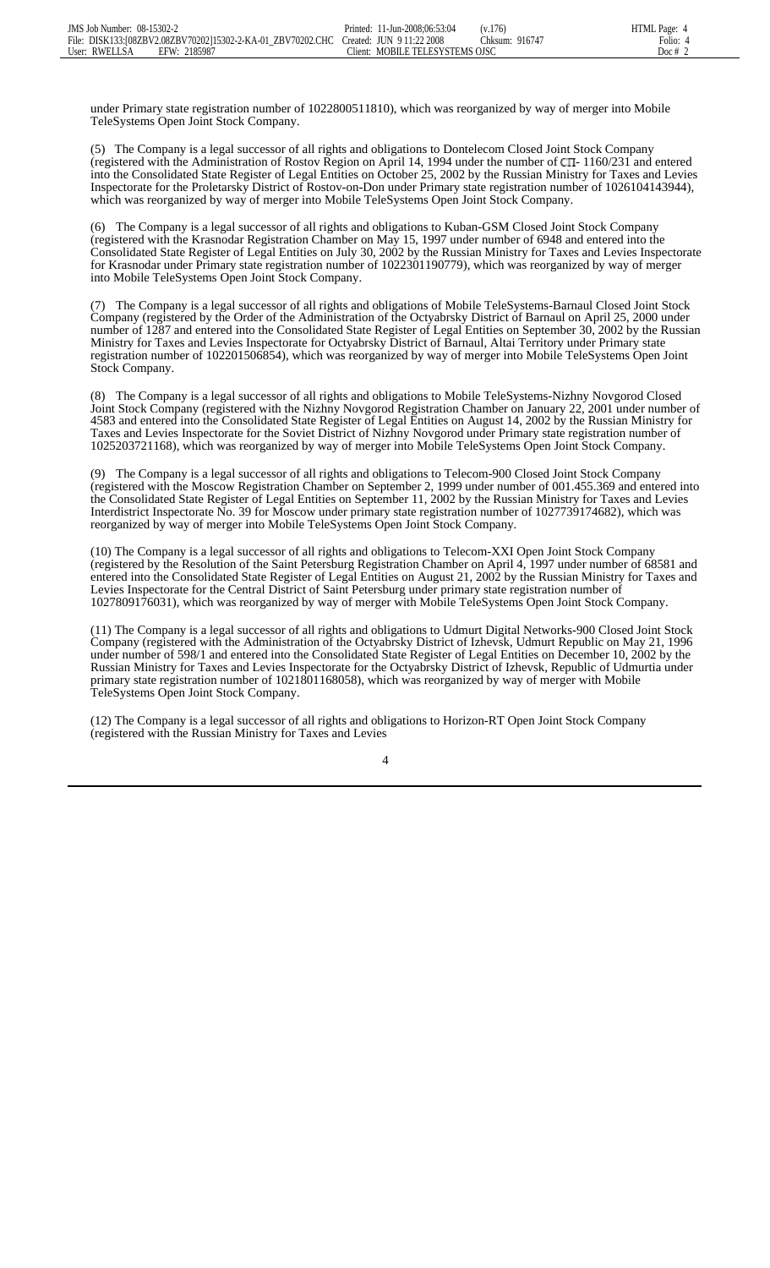under Primary state registration number of 1022800511810), which was reorganized by way of merger into Mobile TeleSystems Open Joint Stock Company.

(5) The Company is a legal successor of all rights and obligations to Dontelecom Closed Joint Stock Company (registered with the Administration of Rostov Region on April 14, 1994 under the number of  $C\Box$ - 1160/231 and entered into the Consolidated State Register of Legal Entities on October 25, 2002 by the Russian Ministry for Taxes and Levies Inspectorate for the Proletarsky District of Rostov-on-Don under Primary state registration number of 1026104143944), which was reorganized by way of merger into Mobile TeleSystems Open Joint Stock Company.

(6) The Company is a legal successor of all rights and obligations to Kuban-GSM Closed Joint Stock Company (registered with the Krasnodar Registration Chamber on May 15, 1997 under number of 6948 and entered into the Consolidated State Register of Legal Entities on July 30, 2002 by the Russian Ministry for Taxes and Levies Inspectorate for Krasnodar under Primary state registration number of 1022301190779), which was reorganized by way of merger into Mobile TeleSystems Open Joint Stock Company.

(7) The Company is a legal successor of all rights and obligations of Mobile TeleSystems-Barnaul Closed Joint Stock Company (registered by the Order of the Administration of the Octyabrsky District of Barnaul on April 25, 2000 under number of 1287 and entered into the Consolidated State Register of Legal Entities on September 30, 2002 by the Russian Ministry for Taxes and Levies Inspectorate for Octyabrsky District of Barnaul, Altai Territory under Primary state registration number of 102201506854), which was reorganized by way of merger into Mobile TeleSystems Open Joint Stock Company.

(8) The Company is a legal successor of all rights and obligations to Mobile TeleSystems-Nizhny Novgorod Closed Joint Stock Company (registered with the Nizhny Novgorod Registration Chamber on January 22, 2001 under number of 4583 and entered into the Consolidated State Register of Legal Entities on August 14, 2002 by the Russian Ministry for Taxes and Levies Inspectorate for the Soviet District of Nizhny Novgorod under Primary state registration number of 1025203721168), which was reorganized by way of merger into Mobile TeleSystems Open Joint Stock Company.

(9) The Company is a legal successor of all rights and obligations to Telecom-900 Closed Joint Stock Company (registered with the Moscow Registration Chamber on September 2, 1999 under number of 001.455.369 and entered into the Consolidated State Register of Legal Entities on September 11, 2002 by the Russian Ministry for Taxes and Levies Interdistrict Inspectorate No. 39 for Moscow under primary state registration number of 1027739174682), which was reorganized by way of merger into Mobile TeleSystems Open Joint Stock Company.

(10) The Company is a legal successor of all rights and obligations to Telecom-XXI Open Joint Stock Company (registered by the Resolution of the Saint Petersburg Registration Chamber on April 4, 1997 under number of 68581 and entered into the Consolidated State Register of Legal Entities on August 21, 2002 by the Russian Ministry for Taxes and Levies Inspectorate for the Central District of Saint Petersburg under primary state registration number of 1027809176031), which was reorganized by way of merger with Mobile TeleSystems Open Joint Stock Company.

(11) The Company is a legal successor of all rights and obligations to Udmurt Digital Networks-900 Closed Joint Stock Company (registered with the Administration of the Octyabrsky District of Izhevsk, Udmurt Republic on May 21, 1996 under number of 598/1 and entered into the Consolidated State Register of Legal Entities on December 10, 2002 by the Russian Ministry for Taxes and Levies Inspectorate for the Octyabrsky District of Izhevsk, Republic of Udmurtia under primary state registration number of 1021801168058), which was reorganized by way of merger with Mobile TeleSystems Open Joint Stock Company.

(12) The Company is a legal successor of all rights and obligations to Horizon-RT Open Joint Stock Company (registered with the Russian Ministry for Taxes and Levies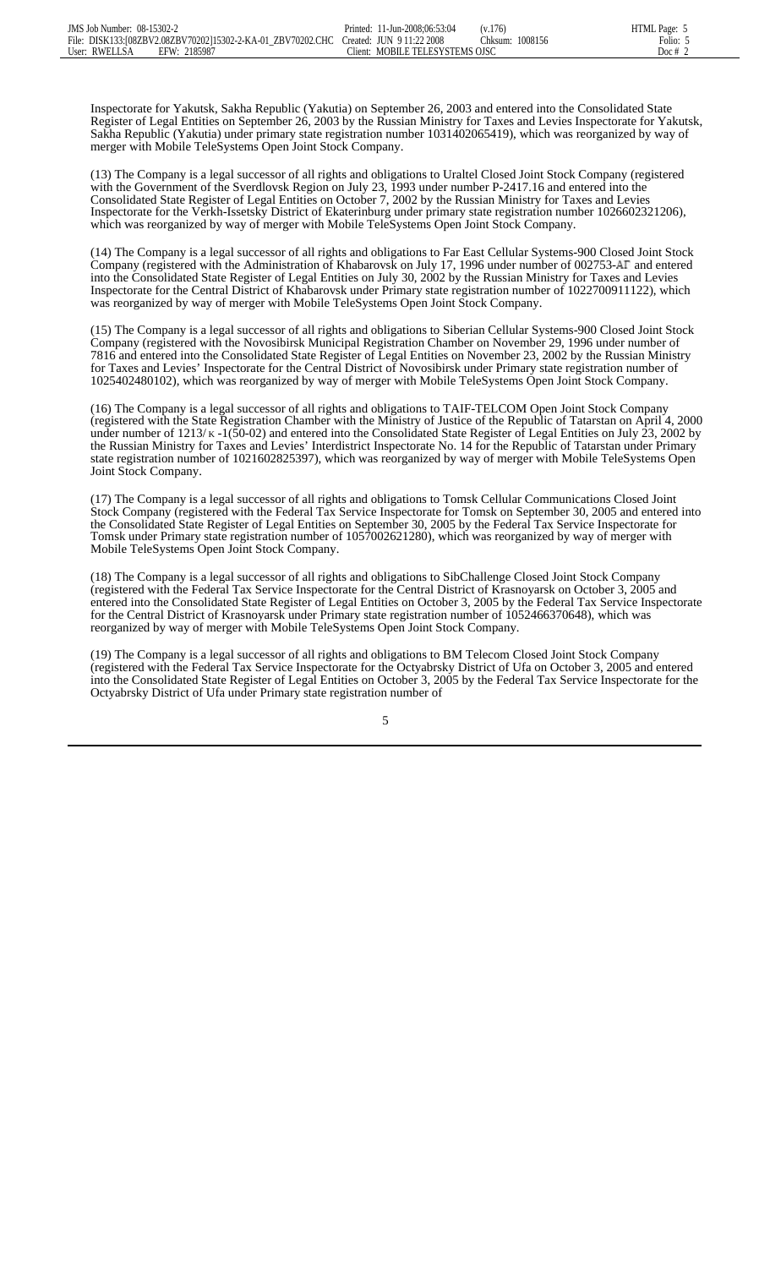Inspectorate for Yakutsk, Sakha Republic (Yakutia) on September 26, 2003 and entered into the Consolidated State Register of Legal Entities on September 26, 2003 by the Russian Ministry for Taxes and Levies Inspectorate for Yakutsk, Sakha Republic (Yakutia) under primary state registration number 1031402065419), which was reorganized by way of merger with Mobile TeleSystems Open Joint Stock Company.

(13) The Company is a legal successor of all rights and obligations to Uraltel Closed Joint Stock Company (registered with the Government of the Sverdlovsk Region on July 23, 1993 under number P-2417.16 and entered into the Consolidated State Register of Legal Entities on October 7, 2002 by the Russian Ministry for Taxes and Levies Inspectorate for the Verkh-Issetsky District of Ekaterinburg under primary state registration number 1026602321206), which was reorganized by way of merger with Mobile TeleSystems Open Joint Stock Company.

(14) The Company is a legal successor of all rights and obligations to Far East Cellular Systems-900 Closed Joint Stock Company (registered with the Administration of Khabarovsk on July 17, 1996 under number of 002753-AT and entered into the Consolidated State Register of Legal Entities on July 30, 2002 by the Russian Ministry for Taxes and Levies Inspectorate for the Central District of Khabarovsk under Primary state registration number of 1022700911122), which was reorganized by way of merger with Mobile TeleSystems Open Joint Stock Company.

(15) The Company is a legal successor of all rights and obligations to Siberian Cellular Systems-900 Closed Joint Stock Company (registered with the Novosibirsk Municipal Registration Chamber on November 29, 1996 under number of 7816 and entered into the Consolidated State Register of Legal Entities on November 23, 2002 by the Russian Ministry for Taxes and Levies' Inspectorate for the Central District of Novosibirsk under Primary state registration number of 1025402480102), which was reorganized by way of merger with Mobile TeleSystems Open Joint Stock Company.

(16) The Company is a legal successor of all rights and obligations to TAIF-TELCOM Open Joint Stock Company (registered with the State Registration Chamber with the Ministry of Justice of the Republic of Tatarstan on April 4, 2000 under number of 1213/ K -1(50-02) and entered into the Consolidated State Register of Legal Entities on July 23, 2002 by the Russian Ministry for Taxes and Levies' Interdistrict Inspectorate No. 14 for the Republic of Tatarstan under Primary state registration number of 1021602825397), which was reorganized by way of merger with Mobile TeleSystems Open Joint Stock Company.

(17) The Company is a legal successor of all rights and obligations to Tomsk Cellular Communications Closed Joint Stock Company (registered with the Federal Tax Service Inspectorate for Tomsk on September 30, 2005 and entered into the Consolidated State Register of Legal Entities on September 30, 2005 by the Federal Tax Service Inspectorate for Tomsk under Primary state registration number of 1057002621280), which was reorganized by way of merger with Mobile TeleSystems Open Joint Stock Company.

(18) The Company is a legal successor of all rights and obligations to SibChallenge Closed Joint Stock Company (registered with the Federal Tax Service Inspectorate for the Central District of Krasnoyarsk on October 3, 2005 and entered into the Consolidated State Register of Legal Entities on October 3, 2005 by the Federal Tax Service Inspectorate for the Central District of Krasnoyarsk under Primary state registration number of 1052466370648), which was reorganized by way of merger with Mobile TeleSystems Open Joint Stock Company.

(19) The Company is a legal successor of all rights and obligations to BM Telecom Closed Joint Stock Company (registered with the Federal Tax Service Inspectorate for the Octyabrsky District of Ufa on October 3, 2005 and entered into the Consolidated State Register of Legal Entities on October 3, 2005 by the Federal Tax Service Inspectorate for the Octyabrsky District of Ufa under Primary state registration number of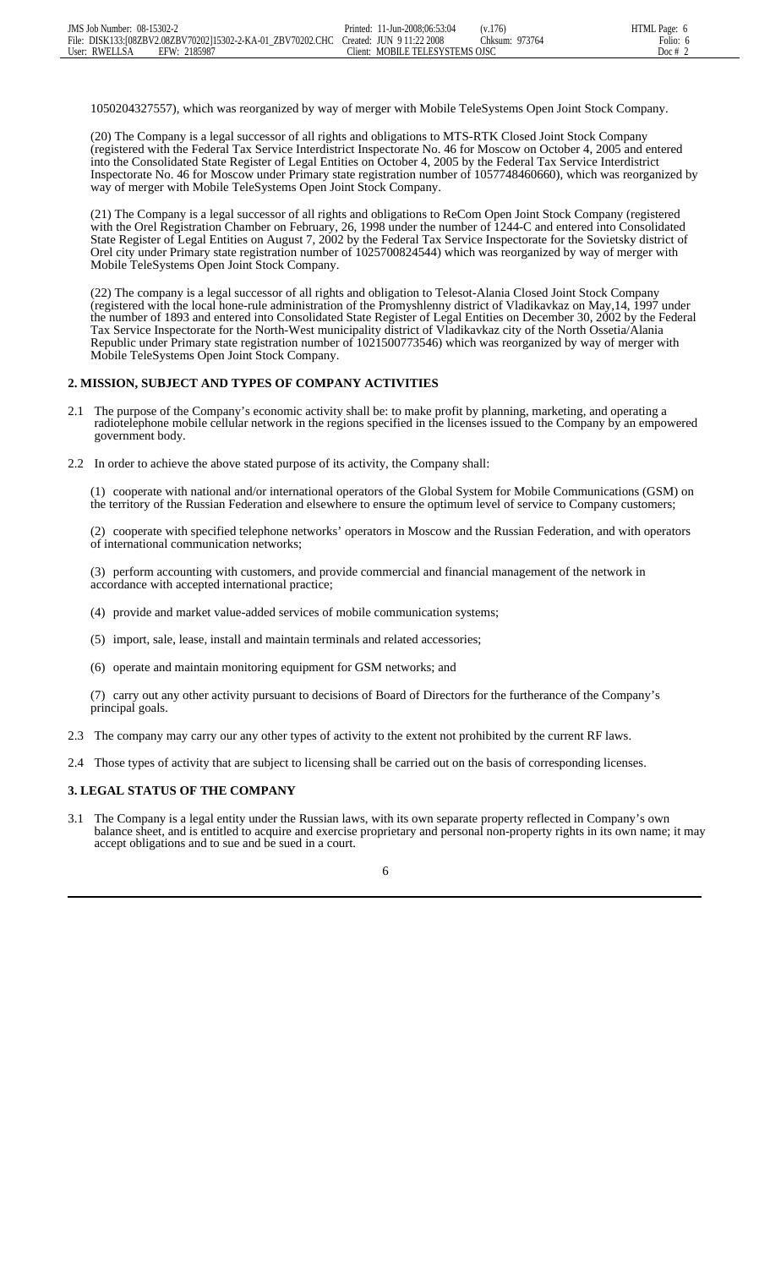1050204327557), which was reorganized by way of merger with Mobile TeleSystems Open Joint Stock Company.

(20) The Company is a legal successor of all rights and obligations to MTS-RTK Closed Joint Stock Company (registered with the Federal Tax Service Interdistrict Inspectorate No. 46 for Moscow on October 4, 2005 and entered into the Consolidated State Register of Legal Entities on October 4, 2005 by the Federal Tax Service Interdistrict Inspectorate No. 46 for Moscow under Primary state registration number of 1057748460660), which was reorganized by way of merger with Mobile TeleSystems Open Joint Stock Company.

(21) The Company is a legal successor of all rights and obligations to ReCom Open Joint Stock Company (registered with the Orel Registration Chamber on February, 26, 1998 under the number of 1244-C and entered into Consolidated State Register of Legal Entities on August 7, 2002 by the Federal Tax Service Inspectorate for the Sovietsky district of Orel city under Primary state registration number of 1025700824544) which was reorganized by way of merger with Mobile TeleSystems Open Joint Stock Company.

(22) The company is a legal successor of all rights and obligation to Telesot-Alania Closed Joint Stock Company (registered with the local hone-rule administration of the Promyshlenny district of Vladikavkaz on May,14, 1997 under the number of 1893 and entered into Consolidated State Register of Legal Entities on December 30, 2002 by the Federal Tax Service Inspectorate for the North-West municipality district of Vladikavkaz city of the North Ossetia/Alania Republic under Primary state registration number of 1021500773546) which was reorganized by way of merger with Mobile TeleSystems Open Joint Stock Company.

## **2. MISSION, SUBJECT AND TYPES OF COMPANY ACTIVITIES**

- 2.1 The purpose of the Company's economic activity shall be: to make profit by planning, marketing, and operating a radiotelephone mobile cellular network in the regions specified in the licenses issued to the Company by an empowered government body.
- 2.2 In order to achieve the above stated purpose of its activity, the Company shall:

(1) cooperate with national and/or international operators of the Global System for Mobile Communications (GSM) on the territory of the Russian Federation and elsewhere to ensure the optimum level of service to Company customers;

(2) cooperate with specified telephone networks' operators in Moscow and the Russian Federation, and with operators of international communication networks;

(3) perform accounting with customers, and provide commercial and financial management of the network in accordance with accepted international practice;

- (4) provide and market value-added services of mobile communication systems;
- (5) import, sale, lease, install and maintain terminals and related accessories;
- (6) operate and maintain monitoring equipment for GSM networks; and

(7) carry out any other activity pursuant to decisions of Board of Directors for the furtherance of the Company's principal goals.

- 2.3 The company may carry our any other types of activity to the extent not prohibited by the current RF laws.
- 2.4 Those types of activity that are subject to licensing shall be carried out on the basis of corresponding licenses.

## **3. LEGAL STATUS OF THE COMPANY**

3.1 The Company is a legal entity under the Russian laws, with its own separate property reflected in Company's own balance sheet, and is entitled to acquire and exercise proprietary and personal non-property rights in its own name; it may accept obligations and to sue and be sued in a court.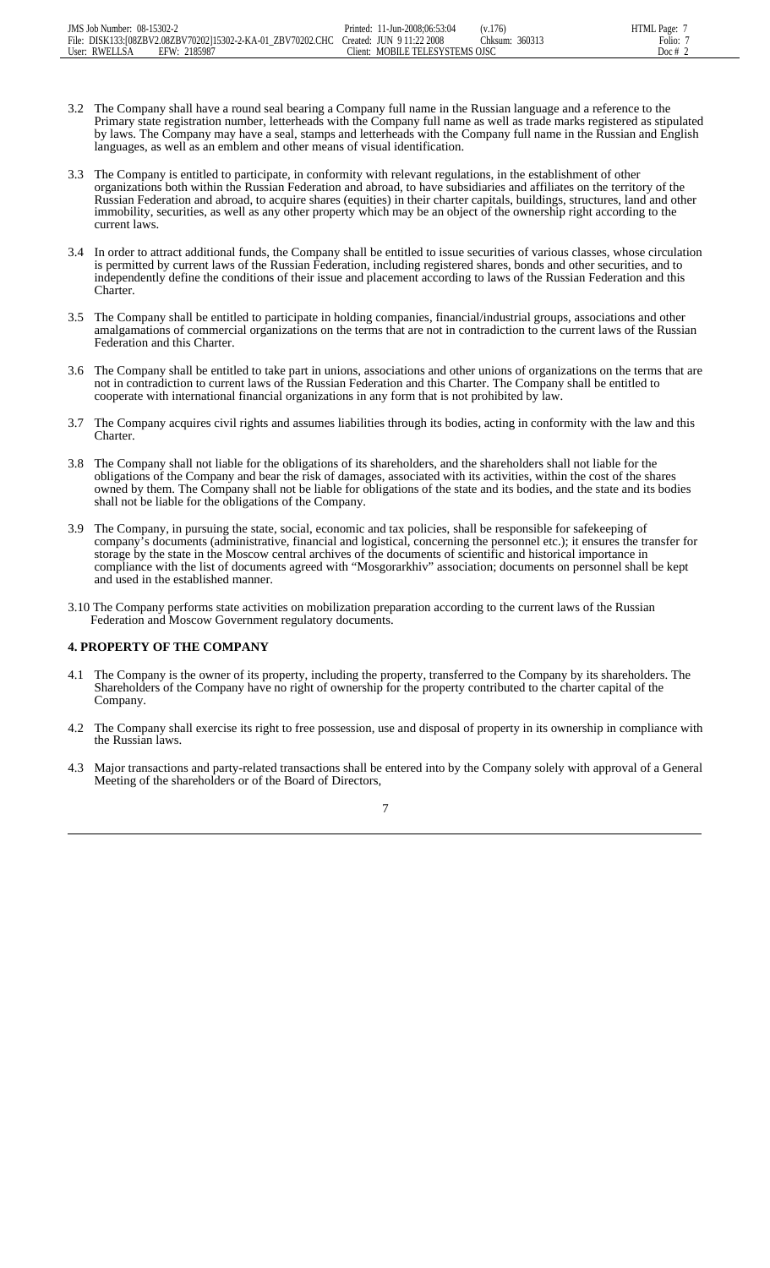- 3.2 The Company shall have a round seal bearing a Company full name in the Russian language and a reference to the Primary state registration number, letterheads with the Company full name as well as trade marks registered as stipulated by laws. The Company may have a seal, stamps and letterheads with the Company full name in the Russian and English languages, as well as an emblem and other means of visual identification.
- 3.3 The Company is entitled to participate, in conformity with relevant regulations, in the establishment of other organizations both within the Russian Federation and abroad, to have subsidiaries and affiliates on the territory of the Russian Federation and abroad, to acquire shares (equities) in their charter capitals, buildings, structures, land and other immobility, securities, as well as any other property which may be an object of the ownership right according to the current laws.
- 3.4 In order to attract additional funds, the Company shall be entitled to issue securities of various classes, whose circulation is permitted by current laws of the Russian Federation, including registered shares, bonds and other securities, and to independently define the conditions of their issue and placement according to laws of the Russian Federation and this Charter.
- 3.5 The Company shall be entitled to participate in holding companies, financial/industrial groups, associations and other amalgamations of commercial organizations on the terms that are not in contradiction to the current laws of the Russian Federation and this Charter.
- 3.6 The Company shall be entitled to take part in unions, associations and other unions of organizations on the terms that are not in contradiction to current laws of the Russian Federation and this Charter. The Company shall be entitled to cooperate with international financial organizations in any form that is not prohibited by law.
- 3.7 The Company acquires civil rights and assumes liabilities through its bodies, acting in conformity with the law and this Charter.
- 3.8 The Company shall not liable for the obligations of its shareholders, and the shareholders shall not liable for the obligations of the Company and bear the risk of damages, associated with its activities, within the cost of the shares owned by them. The Company shall not be liable for obligations of the state and its bodies, and the state and its bodies shall not be liable for the obligations of the Company.
- 3.9 The Company, in pursuing the state, social, economic and tax policies, shall be responsible for safekeeping of company's documents (administrative, financial and logistical, concerning the personnel etc.); it ensures the transfer for storage by the state in the Moscow central archives of the documents of scientific and historical importance in compliance with the list of documents agreed with "Mosgorarkhiv" association; documents on personnel shall be kept and used in the established manner.
- 3.10 The Company performs state activities on mobilization preparation according to the current laws of the Russian Federation and Moscow Government regulatory documents.

#### **4. PROPERTY OF THE COMPANY**

- 4.1 The Company is the owner of its property, including the property, transferred to the Company by its shareholders. The Shareholders of the Company have no right of ownership for the property contributed to the charter capital of the Company.
- 4.2 The Company shall exercise its right to free possession, use and disposal of property in its ownership in compliance with the Russian laws.
- 4.3 Major transactions and party-related transactions shall be entered into by the Company solely with approval of a General Meeting of the shareholders or of the Board of Directors,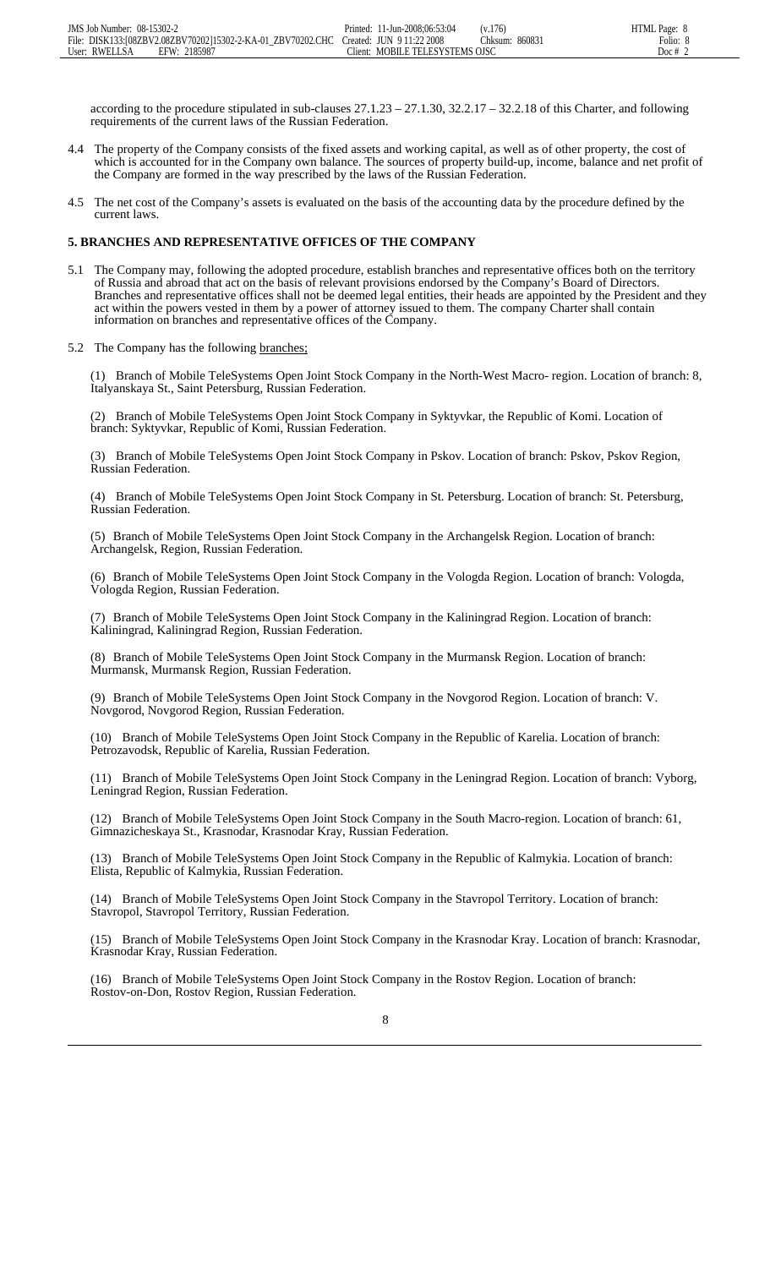according to the procedure stipulated in sub-clauses 27.1.23 – 27.1.30, 32.2.17 – 32.2.18 of this Charter, and following requirements of the current laws of the Russian Federation.

- 4.4 The property of the Company consists of the fixed assets and working capital, as well as of other property, the cost of which is accounted for in the Company own balance. The sources of property build-up, income, balance and net profit of the Company are formed in the way prescribed by the laws of the Russian Federation.
- 4.5 The net cost of the Company's assets is evaluated on the basis of the accounting data by the procedure defined by the current laws.

#### **5. BRANCHES AND REPRESENTATIVE OFFICES OF THE COMPANY**

- 5.1 The Company may, following the adopted procedure, establish branches and representative offices both on the territory of Russia and abroad that act on the basis of relevant provisions endorsed by the Company's Board of Directors. Branches and representative offices shall not be deemed legal entities, their heads are appointed by the President and they act within the powers vested in them by a power of attorney issued to them. The company Charter shall contain information on branches and representative offices of the Company.
- 5.2 The Company has the following branches;

(1) Branch of Mobile TeleSystems Open Joint Stock Company in the North-West Macro- region. Location of branch: 8, Italyanskaya St., Saint Petersburg, Russian Federation.

(2) Branch of Mobile TeleSystems Open Joint Stock Company in Syktyvkar, the Republic of Komi. Location of branch: Syktyvkar, Republic of Komi, Russian Federation.

(3) Branch of Mobile TeleSystems Open Joint Stock Company in Pskov. Location of branch: Pskov, Pskov Region, Russian Federation.

(4) Branch of Mobile TeleSystems Open Joint Stock Company in St. Petersburg. Location of branch: St. Petersburg, Russian Federation.

(5) Branch of Mobile TeleSystems Open Joint Stock Company in the Archangelsk Region. Location of branch: Archangelsk, Region, Russian Federation.

(6) Branch of Mobile TeleSystems Open Joint Stock Company in the Vologda Region. Location of branch: Vologda, Vologda Region, Russian Federation.

(7) Branch of Mobile TeleSystems Open Joint Stock Company in the Kaliningrad Region. Location of branch: Kaliningrad, Kaliningrad Region, Russian Federation.

(8) Branch of Mobile TeleSystems Open Joint Stock Company in the Murmansk Region. Location of branch: Murmansk, Murmansk Region, Russian Federation.

(9) Branch of Mobile TeleSystems Open Joint Stock Company in the Novgorod Region. Location of branch: V. Novgorod, Novgorod Region, Russian Federation.

(10) Branch of Mobile TeleSystems Open Joint Stock Company in the Republic of Karelia. Location of branch: Petrozavodsk, Republic of Karelia, Russian Federation.

(11) Branch of Mobile TeleSystems Open Joint Stock Company in the Leningrad Region. Location of branch: Vyborg, Leningrad Region, Russian Federation.

(12) Branch of Mobile TeleSystems Open Joint Stock Company in the South Macro-region. Location of branch: 61, Gimnazicheskaya St., Krasnodar, Krasnodar Kray, Russian Federation.

(13) Branch of Mobile TeleSystems Open Joint Stock Company in the Republic of Kalmykia. Location of branch: Elista, Republic of Kalmykia, Russian Federation.

(14) Branch of Mobile TeleSystems Open Joint Stock Company in the Stavropol Territory. Location of branch: Stavropol, Stavropol Territory, Russian Federation.

(15) Branch of Mobile TeleSystems Open Joint Stock Company in the Krasnodar Kray. Location of branch: Krasnodar, Krasnodar Kray, Russian Federation.

(16) Branch of Mobile TeleSystems Open Joint Stock Company in the Rostov Region. Location of branch: Rostov-on-Don, Rostov Region, Russian Federation.

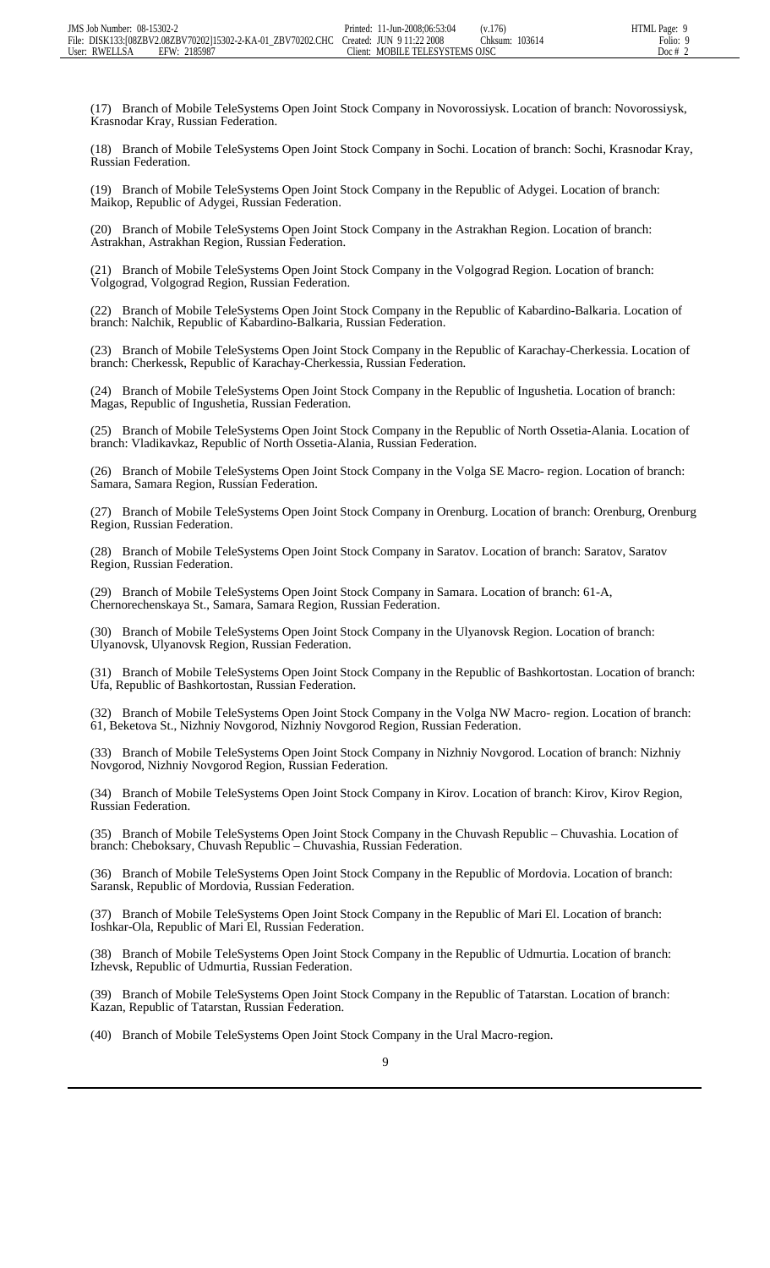(17) Branch of Mobile TeleSystems Open Joint Stock Company in Novorossiysk. Location of branch: Novorossiysk, Krasnodar Kray, Russian Federation.

(18) Branch of Mobile TeleSystems Open Joint Stock Company in Sochi. Location of branch: Sochi, Krasnodar Kray, Russian Federation.

(19) Branch of Mobile TeleSystems Open Joint Stock Company in the Republic of Adygei. Location of branch: Maikop, Republic of Adygei, Russian Federation.

(20) Branch of Mobile TeleSystems Open Joint Stock Company in the Astrakhan Region. Location of branch: Astrakhan, Astrakhan Region, Russian Federation.

(21) Branch of Mobile TeleSystems Open Joint Stock Company in the Volgograd Region. Location of branch: Volgograd, Volgograd Region, Russian Federation.

(22) Branch of Mobile TeleSystems Open Joint Stock Company in the Republic of Kabardino-Balkaria. Location of branch: Nalchik, Republic of Kabardino-Balkaria, Russian Federation.

(23) Branch of Mobile TeleSystems Open Joint Stock Company in the Republic of Karachay-Cherkessia. Location of branch: Cherkessk, Republic of Karachay-Cherkessia, Russian Federation.

(24) Branch of Mobile TeleSystems Open Joint Stock Company in the Republic of Ingushetia. Location of branch: Magas, Republic of Ingushetia, Russian Federation.

(25) Branch of Mobile TeleSystems Open Joint Stock Company in the Republic of North Ossetia-Alania. Location of branch: Vladikavkaz, Republic of North Ossetia-Alania, Russian Federation.

(26) Branch of Mobile TeleSystems Open Joint Stock Company in the Volga SE Macro- region. Location of branch: Samara, Samara Region, Russian Federation.

(27) Branch of Mobile TeleSystems Open Joint Stock Company in Orenburg. Location of branch: Orenburg, Orenburg Region, Russian Federation.

(28) Branch of Mobile TeleSystems Open Joint Stock Company in Saratov. Location of branch: Saratov, Saratov Region, Russian Federation.

(29) Branch of Mobile TeleSystems Open Joint Stock Company in Samara. Location of branch: 61-A, Chernorechenskaya St., Samara, Samara Region, Russian Federation.

(30) Branch of Mobile TeleSystems Open Joint Stock Company in the Ulyanovsk Region. Location of branch: Ulyanovsk, Ulyanovsk Region, Russian Federation.

(31) Branch of Mobile TeleSystems Open Joint Stock Company in the Republic of Bashkortostan. Location of branch: Ufa, Republic of Bashkortostan, Russian Federation.

(32) Branch of Mobile TeleSystems Open Joint Stock Company in the Volga NW Macro- region. Location of branch: 61, Beketova St., Nizhniy Novgorod, Nizhniy Novgorod Region, Russian Federation.

(33) Branch of Mobile TeleSystems Open Joint Stock Company in Nizhniy Novgorod. Location of branch: Nizhniy Novgorod, Nizhniy Novgorod Region, Russian Federation.

(34) Branch of Mobile TeleSystems Open Joint Stock Company in Kirov. Location of branch: Kirov, Kirov Region, Russian Federation.

(35) Branch of Mobile TeleSystems Open Joint Stock Company in the Chuvash Republic – Chuvashia. Location of branch: Cheboksary, Chuvash Republic – Chuvashia, Russian Federation.

(36) Branch of Mobile TeleSystems Open Joint Stock Company in the Republic of Mordovia. Location of branch: Saransk, Republic of Mordovia, Russian Federation.

(37) Branch of Mobile TeleSystems Open Joint Stock Company in the Republic of Mari El. Location of branch: Ioshkar-Ola, Republic of Mari El, Russian Federation.

(38) Branch of Mobile TeleSystems Open Joint Stock Company in the Republic of Udmurtia. Location of branch: Izhevsk, Republic of Udmurtia, Russian Federation.

(39) Branch of Mobile TeleSystems Open Joint Stock Company in the Republic of Tatarstan. Location of branch: Kazan, Republic of Tatarstan, Russian Federation.

(40) Branch of Mobile TeleSystems Open Joint Stock Company in the Ural Macro-region.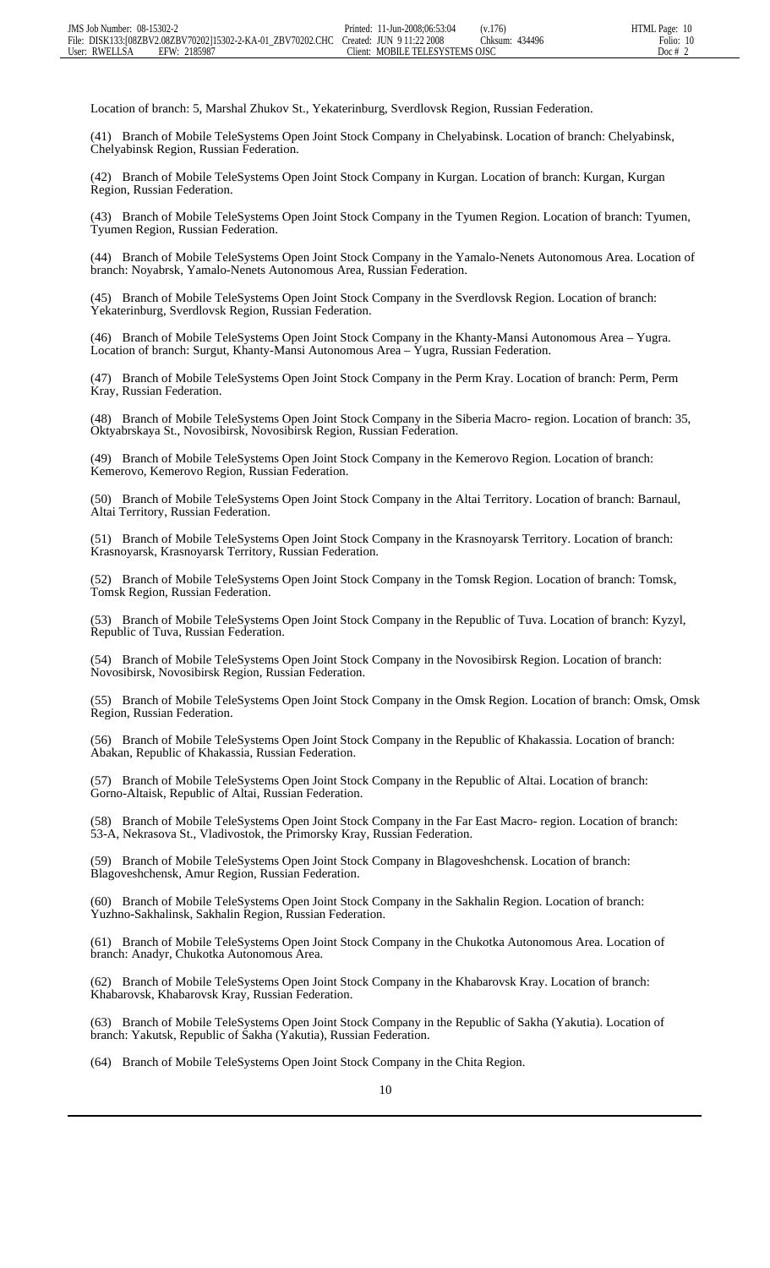Location of branch: 5, Marshal Zhukov St., Yekaterinburg, Sverdlovsk Region, Russian Federation.

(41) Branch of Mobile TeleSystems Open Joint Stock Company in Chelyabinsk. Location of branch: Chelyabinsk, Chelyabinsk Region, Russian Federation.

(42) Branch of Mobile TeleSystems Open Joint Stock Company in Kurgan. Location of branch: Kurgan, Kurgan Region, Russian Federation.

(43) Branch of Mobile TeleSystems Open Joint Stock Company in the Tyumen Region. Location of branch: Tyumen, Tyumen Region, Russian Federation.

(44) Branch of Mobile TeleSystems Open Joint Stock Company in the Yamalo-Nenets Autonomous Area. Location of branch: Noyabrsk, Yamalo-Nenets Autonomous Area, Russian Federation.

(45) Branch of Mobile TeleSystems Open Joint Stock Company in the Sverdlovsk Region. Location of branch: Yekaterinburg, Sverdlovsk Region, Russian Federation.

(46) Branch of Mobile TeleSystems Open Joint Stock Company in the Khanty-Mansi Autonomous Area – Yugra. Location of branch: Surgut, Khanty-Mansi Autonomous Area – Yugra, Russian Federation.

(47) Branch of Mobile TeleSystems Open Joint Stock Company in the Perm Kray. Location of branch: Perm, Perm Kray, Russian Federation.

(48) Branch of Mobile TeleSystems Open Joint Stock Company in the Siberia Macro- region. Location of branch: 35, Oktyabrskaya St., Novosibirsk, Novosibirsk Region, Russian Federation.

(49) Branch of Mobile TeleSystems Open Joint Stock Company in the Kemerovo Region. Location of branch: Kemerovo, Kemerovo Region, Russian Federation.

(50) Branch of Mobile TeleSystems Open Joint Stock Company in the Altai Territory. Location of branch: Barnaul, Altai Territory, Russian Federation.

(51) Branch of Mobile TeleSystems Open Joint Stock Company in the Krasnoyarsk Territory. Location of branch: Krasnoyarsk, Krasnoyarsk Territory, Russian Federation.

(52) Branch of Mobile TeleSystems Open Joint Stock Company in the Tomsk Region. Location of branch: Tomsk, Tomsk Region, Russian Federation.

(53) Branch of Mobile TeleSystems Open Joint Stock Company in the Republic of Tuva. Location of branch: Kyzyl, Republic of Tuva, Russian Federation.

(54) Branch of Mobile TeleSystems Open Joint Stock Company in the Novosibirsk Region. Location of branch: Novosibirsk, Novosibirsk Region, Russian Federation.

(55) Branch of Mobile TeleSystems Open Joint Stock Company in the Omsk Region. Location of branch: Omsk, Omsk Region, Russian Federation.

(56) Branch of Mobile TeleSystems Open Joint Stock Company in the Republic of Khakassia. Location of branch: Abakan, Republic of Khakassia, Russian Federation.

(57) Branch of Mobile TeleSystems Open Joint Stock Company in the Republic of Altai. Location of branch: Gorno-Altaisk, Republic of Altai, Russian Federation.

(58) Branch of Mobile TeleSystems Open Joint Stock Company in the Far East Macro- region. Location of branch: 53-A, Nekrasova St., Vladivostok, the Primorsky Kray, Russian Federation.

(59) Branch of Mobile TeleSystems Open Joint Stock Company in Blagoveshchensk. Location of branch: Blagoveshchensk, Amur Region, Russian Federation.

(60) Branch of Mobile TeleSystems Open Joint Stock Company in the Sakhalin Region. Location of branch: Yuzhno-Sakhalinsk, Sakhalin Region, Russian Federation.

(61) Branch of Mobile TeleSystems Open Joint Stock Company in the Chukotka Autonomous Area. Location of branch: Anadyr, Chukotka Autonomous Area.

(62) Branch of Mobile TeleSystems Open Joint Stock Company in the Khabarovsk Kray. Location of branch: Khabarovsk, Khabarovsk Kray, Russian Federation.

(63) Branch of Mobile TeleSystems Open Joint Stock Company in the Republic of Sakha (Yakutia). Location of branch: Yakutsk, Republic of Sakha (Yakutia), Russian Federation.

(64) Branch of Mobile TeleSystems Open Joint Stock Company in the Chita Region.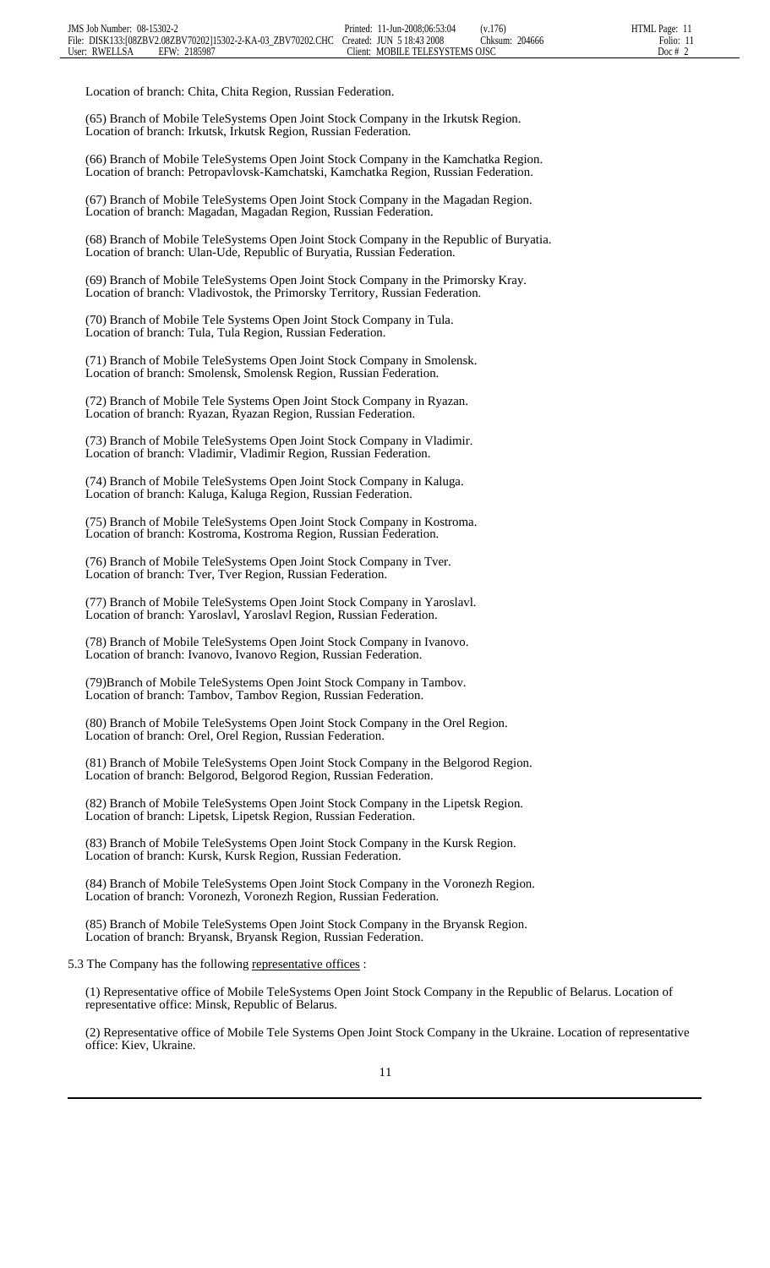Location of branch: Chita, Chita Region, Russian Federation.

(65) Branch of Mobile TeleSystems Open Joint Stock Company in the Irkutsk Region. Location of branch: Irkutsk, Irkutsk Region, Russian Federation.

(66) Branch of Mobile TeleSystems Open Joint Stock Company in the Kamchatka Region. Location of branch: Petropavlovsk-Kamchatski, Kamchatka Region, Russian Federation.

(67) Branch of Mobile TeleSystems Open Joint Stock Company in the Magadan Region. Location of branch: Magadan, Magadan Region, Russian Federation.

(68) Branch of Mobile TeleSystems Open Joint Stock Company in the Republic of Buryatia. Location of branch: Ulan-Ude, Republic of Buryatia, Russian Federation.

(69) Branch of Mobile TeleSystems Open Joint Stock Company in the Primorsky Kray. Location of branch: Vladivostok, the Primorsky Territory, Russian Federation.

(70) Branch of Mobile Tele Systems Open Joint Stock Company in Tula. Location of branch: Tula, Tula Region, Russian Federation.

(71) Branch of Mobile TeleSystems Open Joint Stock Company in Smolensk. Location of branch: Smolensk, Smolensk Region, Russian Federation.

(72) Branch of Mobile Tele Systems Open Joint Stock Company in Ryazan. Location of branch: Ryazan, Ryazan Region, Russian Federation.

(73) Branch of Mobile TeleSystems Open Joint Stock Company in Vladimir. Location of branch: Vladimir, Vladimir Region, Russian Federation.

(74) Branch of Mobile TeleSystems Open Joint Stock Company in Kaluga. Location of branch: Kaluga, Kaluga Region, Russian Federation.

(75) Branch of Mobile TeleSystems Open Joint Stock Company in Kostroma. Location of branch: Kostroma, Kostroma Region, Russian Federation.

(76) Branch of Mobile TeleSystems Open Joint Stock Company in Tver. Location of branch: Tver, Tver Region, Russian Federation.

(77) Branch of Mobile TeleSystems Open Joint Stock Company in Yaroslavl. Location of branch: Yaroslavl, Yaroslavl Region, Russian Federation.

(78) Branch of Mobile TeleSystems Open Joint Stock Company in Ivanovo. Location of branch: Ivanovo, Ivanovo Region, Russian Federation.

(79)Branch of Mobile TeleSystems Open Joint Stock Company in Tambov. Location of branch: Tambov, Tambov Region, Russian Federation.

(80) Branch of Mobile TeleSystems Open Joint Stock Company in the Orel Region. Location of branch: Orel, Orel Region, Russian Federation.

(81) Branch of Mobile TeleSystems Open Joint Stock Company in the Belgorod Region. Location of branch: Belgorod, Belgorod Region, Russian Federation.

(82) Branch of Mobile TeleSystems Open Joint Stock Company in the Lipetsk Region. Location of branch: Lipetsk, Lipetsk Region, Russian Federation.

(83) Branch of Mobile TeleSystems Open Joint Stock Company in the Kursk Region. Location of branch: Kursk, Kursk Region, Russian Federation.

(84) Branch of Mobile TeleSystems Open Joint Stock Company in the Voronezh Region. Location of branch: Voronezh, Voronezh Region, Russian Federation.

(85) Branch of Mobile TeleSystems Open Joint Stock Company in the Bryansk Region. Location of branch: Bryansk, Bryansk Region, Russian Federation.

5.3 The Company has the following representative offices :

(1) Representative office of Mobile TeleSystems Open Joint Stock Company in the Republic of Belarus. Location of representative office: Minsk, Republic of Belarus.

(2) Representative office of Mobile Tele Systems Open Joint Stock Company in the Ukraine. Location of representative office: Kiev, Ukraine.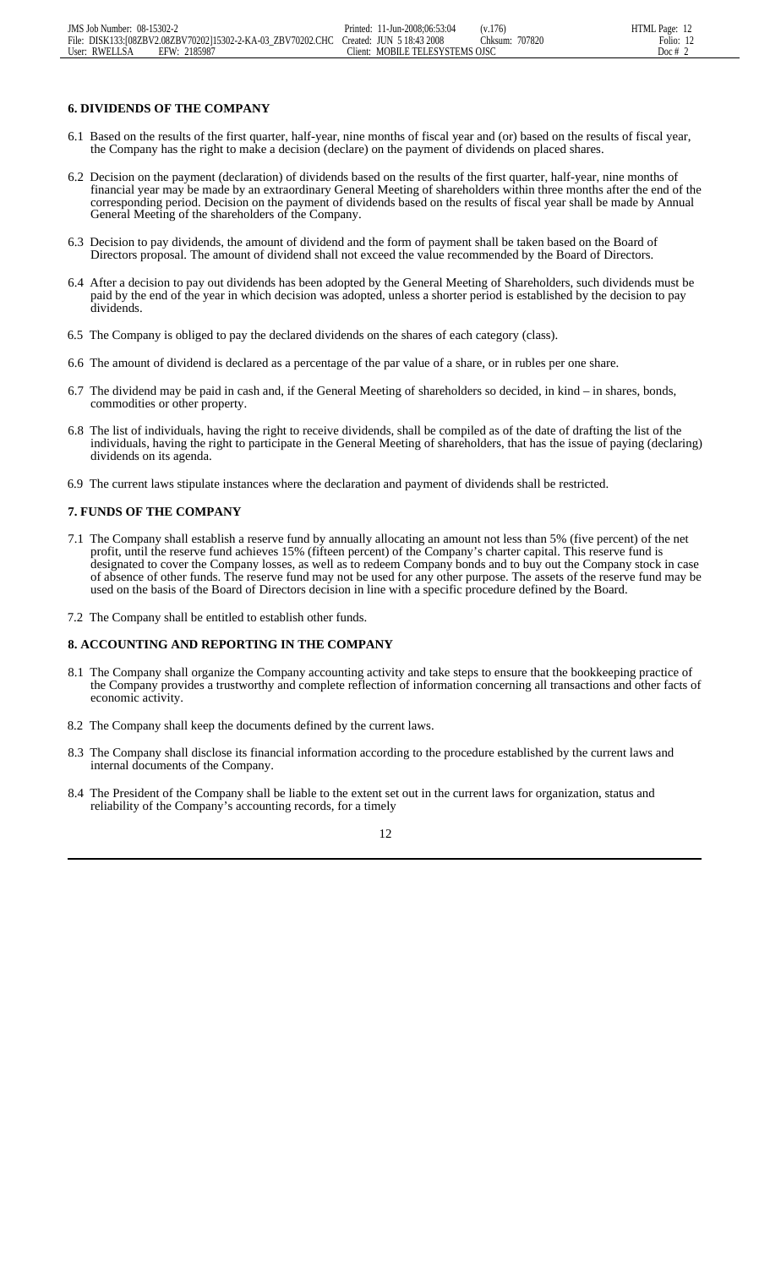### **6. DIVIDENDS OF THE COMPANY**

- 6.1 Based on the results of the first quarter, half-year, nine months of fiscal year and (or) based on the results of fiscal year, the Company has the right to make a decision (declare) on the payment of dividends on placed shares.
- 6.2 Decision on the payment (declaration) of dividends based on the results of the first quarter, half-year, nine months of financial year may be made by an extraordinary General Meeting of shareholders within three months after the end of the corresponding period. Decision on the payment of dividends based on the results of fiscal year shall be made by Annual General Meeting of the shareholders of the Company.
- 6.3 Decision to pay dividends, the amount of dividend and the form of payment shall be taken based on the Board of Directors proposal. The amount of dividend shall not exceed the value recommended by the Board of Directors.
- 6.4 After a decision to pay out dividends has been adopted by the General Meeting of Shareholders, such dividends must be paid by the end of the year in which decision was adopted, unless a shorter period is established by the decision to pay dividends.
- 6.5 The Company is obliged to pay the declared dividends on the shares of each category (class).
- 6.6 The amount of dividend is declared as a percentage of the par value of a share, or in rubles per one share.
- 6.7 The dividend may be paid in cash and, if the General Meeting of shareholders so decided, in kind in shares, bonds, commodities or other property.
- 6.8 The list of individuals, having the right to receive dividends, shall be compiled as of the date of drafting the list of the individuals, having the right to participate in the General Meeting of shareholders, that has the issue of paying (declaring) dividends on its agenda.
- 6.9 The current laws stipulate instances where the declaration and payment of dividends shall be restricted.

#### **7. FUNDS OF THE COMPANY**

- 7.1 The Company shall establish a reserve fund by annually allocating an amount not less than 5% (five percent) of the net profit, until the reserve fund achieves 15% (fifteen percent) of the Company's charter capital. This reserve fund is designated to cover the Company losses, as well as to redeem Company bonds and to buy out the Company stock in case of absence of other funds. The reserve fund may not be used for any other purpose. The assets of the reserve fund may be used on the basis of the Board of Directors decision in line with a specific procedure defined by the Board.
- 7.2 The Company shall be entitled to establish other funds.

#### **8. ACCOUNTING AND REPORTING IN THE COMPANY**

- 8.1 The Company shall organize the Company accounting activity and take steps to ensure that the bookkeeping practice of the Company provides a trustworthy and complete reflection of information concerning all transactions and other facts of economic activity.
- 8.2 The Company shall keep the documents defined by the current laws.
- 8.3 The Company shall disclose its financial information according to the procedure established by the current laws and internal documents of the Company.
- 8.4 The President of the Company shall be liable to the extent set out in the current laws for organization, status and reliability of the Company's accounting records, for a timely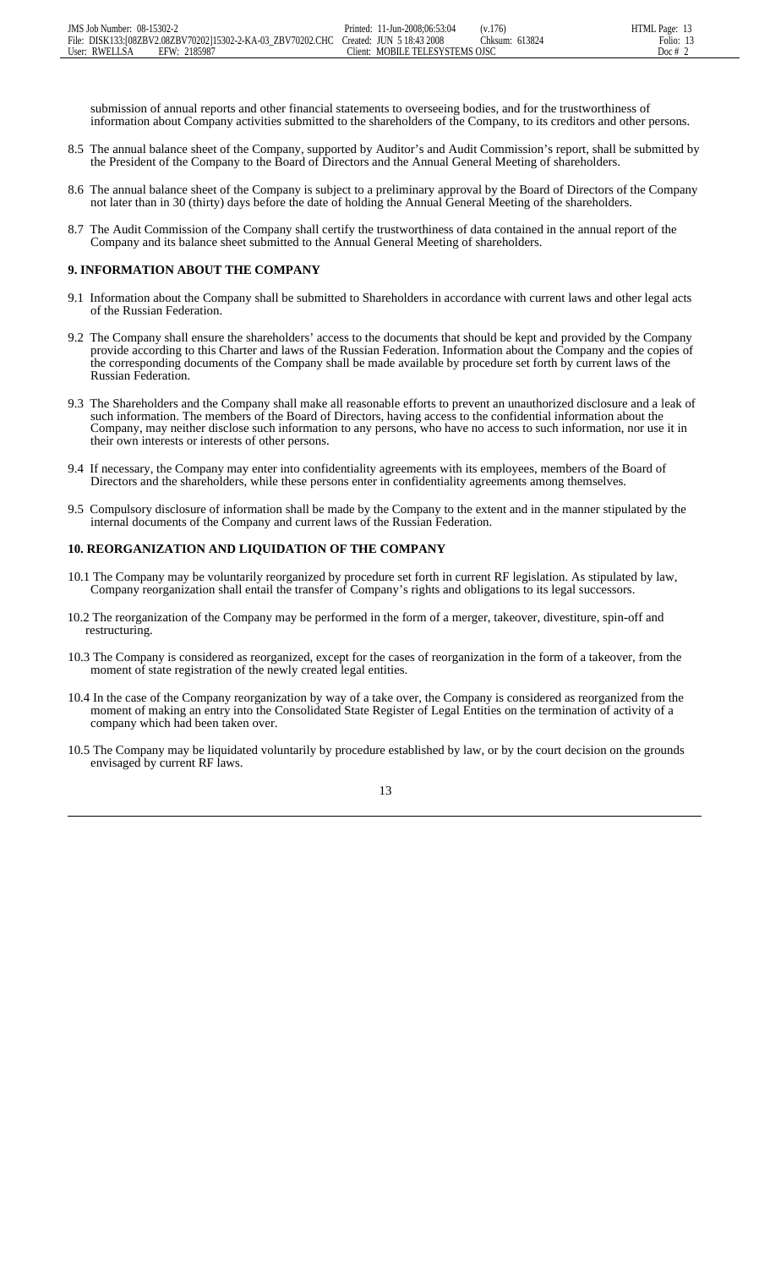submission of annual reports and other financial statements to overseeing bodies, and for the trustworthiness of information about Company activities submitted to the shareholders of the Company, to its creditors and other persons.

- 8.5 The annual balance sheet of the Company, supported by Auditor's and Audit Commission's report, shall be submitted by the President of the Company to the Board of Directors and the Annual General Meeting of shareholders.
- 8.6 The annual balance sheet of the Company is subject to a preliminary approval by the Board of Directors of the Company not later than in 30 (thirty) days before the date of holding the Annual General Meeting of the shareholders.
- 8.7 The Audit Commission of the Company shall certify the trustworthiness of data contained in the annual report of the Company and its balance sheet submitted to the Annual General Meeting of shareholders.

#### **9. INFORMATION ABOUT THE COMPANY**

- 9.1 Information about the Company shall be submitted to Shareholders in accordance with current laws and other legal acts of the Russian Federation.
- 9.2 The Company shall ensure the shareholders' access to the documents that should be kept and provided by the Company provide according to this Charter and laws of the Russian Federation. Information about the Company and the copies of the corresponding documents of the Company shall be made available by procedure set forth by current laws of the Russian Federation.
- 9.3 The Shareholders and the Company shall make all reasonable efforts to prevent an unauthorized disclosure and a leak of such information. The members of the Board of Directors, having access to the confidential information about the Company, may neither disclose such information to any persons, who have no access to such information, nor use it in their own interests or interests of other persons.
- 9.4 If necessary, the Company may enter into confidentiality agreements with its employees, members of the Board of Directors and the shareholders, while these persons enter in confidentiality agreements among themselves.
- 9.5 Compulsory disclosure of information shall be made by the Company to the extent and in the manner stipulated by the internal documents of the Company and current laws of the Russian Federation.

#### **10. REORGANIZATION AND LIQUIDATION OF THE COMPANY**

- 10.1 The Company may be voluntarily reorganized by procedure set forth in current RF legislation. As stipulated by law, Company reorganization shall entail the transfer of Company's rights and obligations to its legal successors.
- 10.2 The reorganization of the Company may be performed in the form of a merger, takeover, divestiture, spin-off and restructuring.
- 10.3 The Company is considered as reorganized, except for the cases of reorganization in the form of a takeover, from the moment of state registration of the newly created legal entities.
- 10.4 In the case of the Company reorganization by way of a take over, the Company is considered as reorganized from the moment of making an entry into the Consolidated State Register of Legal Entities on the termination of activity of a company which had been taken over.
- 10.5 The Company may be liquidated voluntarily by procedure established by law, or by the court decision on the grounds envisaged by current RF laws.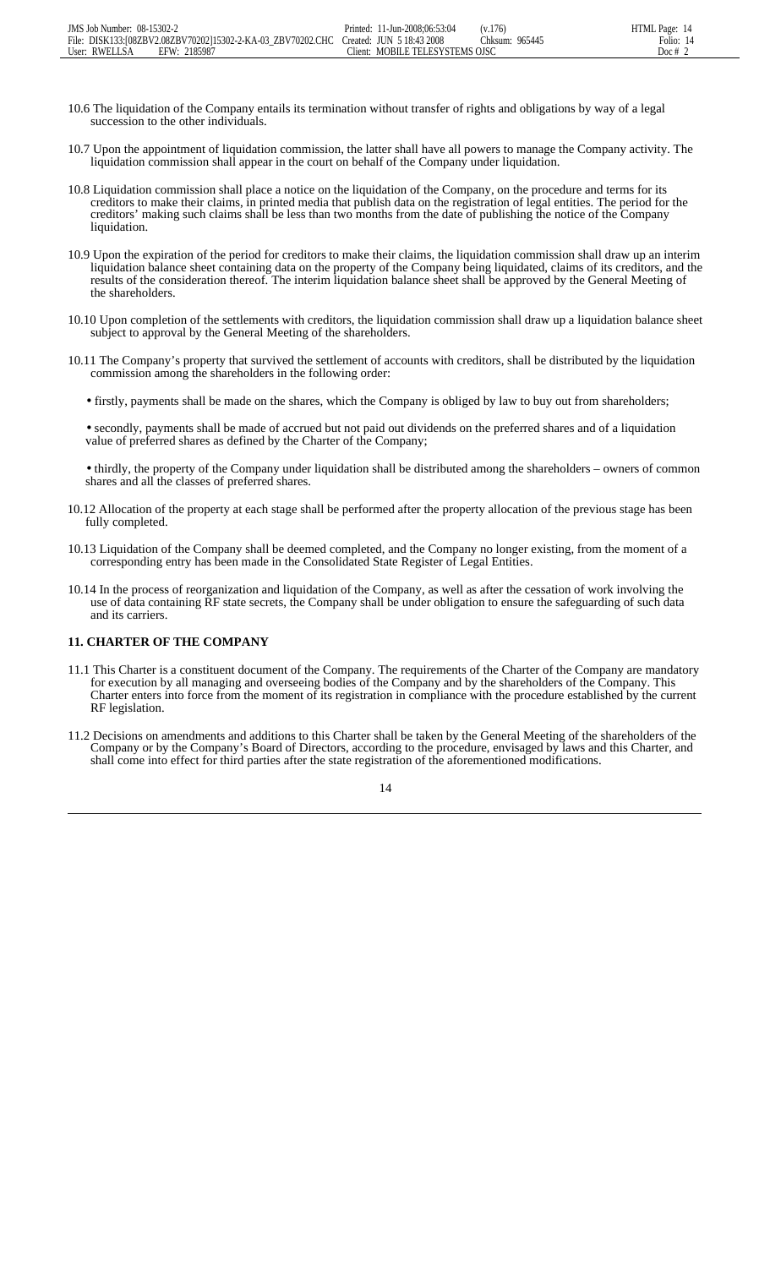- 10.6 The liquidation of the Company entails its termination without transfer of rights and obligations by way of a legal succession to the other individuals.
- 10.7 Upon the appointment of liquidation commission, the latter shall have all powers to manage the Company activity. The liquidation commission shall appear in the court on behalf of the Company under liquidation.
- 10.8 Liquidation commission shall place a notice on the liquidation of the Company, on the procedure and terms for its creditors to make their claims, in printed media that publish data on the registration of legal entities. The period for the creditors' making such claims shall be less than two months from the date of publishing the notice of the Company liquidation.
- 10.9 Upon the expiration of the period for creditors to make their claims, the liquidation commission shall draw up an interim liquidation balance sheet containing data on the property of the Company being liquidated, claims of its creditors, and the results of the consideration thereof. The interim liquidation balance sheet shall be approved by the General Meeting of the shareholders.
- 10.10 Upon completion of the settlements with creditors, the liquidation commission shall draw up a liquidation balance sheet subject to approval by the General Meeting of the shareholders.
- 10.11 The Company's property that survived the settlement of accounts with creditors, shall be distributed by the liquidation commission among the shareholders in the following order:
	- firstly, payments shall be made on the shares, which the Company is obliged by law to buy out from shareholders;
	- secondly, payments shall be made of accrued but not paid out dividends on the preferred shares and of a liquidation value of preferred shares as defined by the Charter of the Company;
	- thirdly, the property of the Company under liquidation shall be distributed among the shareholders owners of common shares and all the classes of preferred shares.
- 10.12 Allocation of the property at each stage shall be performed after the property allocation of the previous stage has been fully completed.
- 10.13 Liquidation of the Company shall be deemed completed, and the Company no longer existing, from the moment of a corresponding entry has been made in the Consolidated State Register of Legal Entities.
- 10.14 In the process of reorganization and liquidation of the Company, as well as after the cessation of work involving the use of data containing RF state secrets, the Company shall be under obligation to ensure the safeguarding of such data and its carriers.

#### **11. CHARTER OF THE COMPANY**

- 11.1 This Charter is a constituent document of the Company. The requirements of the Charter of the Company are mandatory for execution by all managing and overseeing bodies of the Company and by the shareholders of the Company. This Charter enters into force from the moment of its registration in compliance with the procedure established by the current RF legislation.
- 11.2 Decisions on amendments and additions to this Charter shall be taken by the General Meeting of the shareholders of the Company or by the Company's Board of Directors, according to the procedure, envisaged by laws and this Charter, and shall come into effect for third parties after the state registration of the aforementioned modifications.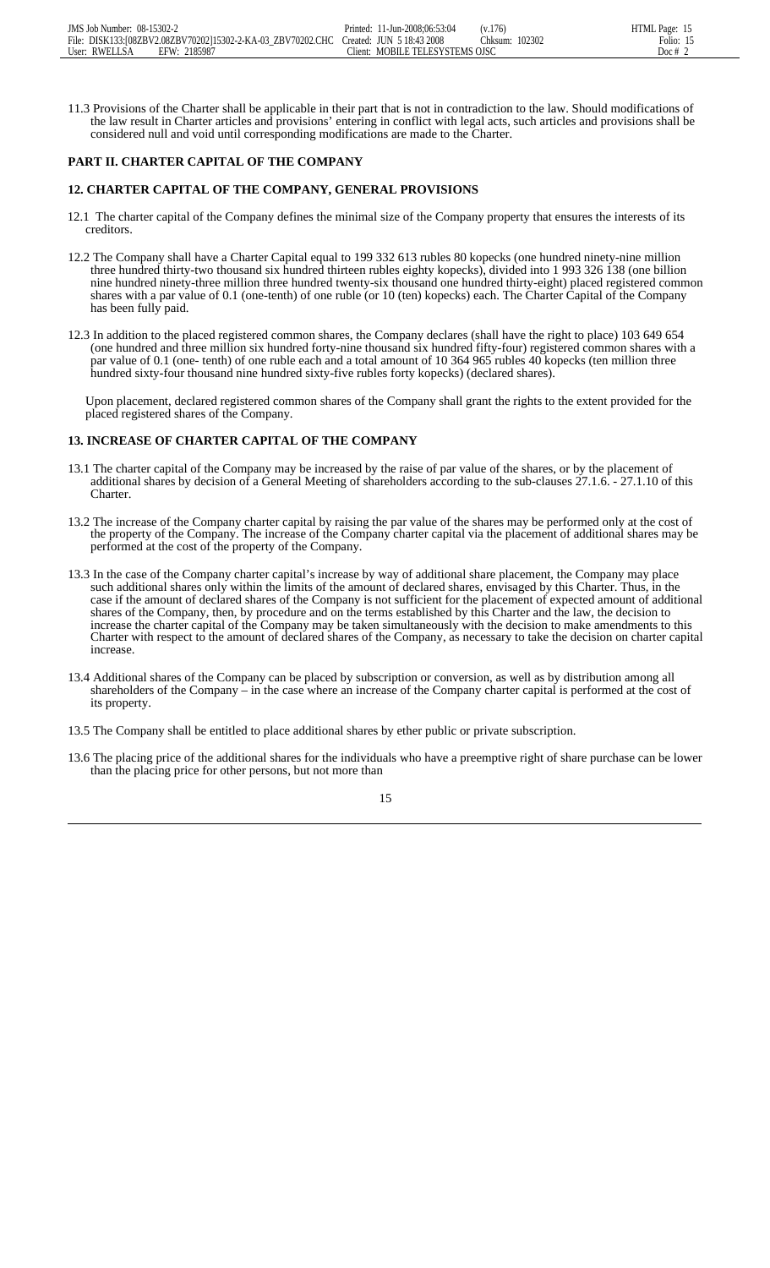11.3 Provisions of the Charter shall be applicable in their part that is not in contradiction to the law. Should modifications of the law result in Charter articles and provisions' entering in conflict with legal acts, such articles and provisions shall be considered null and void until corresponding modifications are made to the Charter.

### **PART II. CHARTER CAPITAL OF THE COMPANY**

#### **12. CHARTER CAPITAL OF THE COMPANY, GENERAL PROVISIONS**

- 12.1 The charter capital of the Company defines the minimal size of the Company property that ensures the interests of its creditors.
- 12.2 The Company shall have a Charter Capital equal to 199 332 613 rubles 80 kopecks (one hundred ninety-nine million three hundred thirty-two thousand six hundred thirteen rubles eighty kopecks), divided into 1 993 326 138 (one billion nine hundred ninety-three million three hundred twenty-six thousand one hundred thirty-eight) placed registered common shares with a par value of 0.1 (one-tenth) of one ruble (or 10 (ten) kopecks) each. The Charter Capital of the Company has been fully paid.
- 12.3 In addition to the placed registered common shares, the Company declares (shall have the right to place) 103 649 654 (one hundred and three million six hundred forty-nine thousand six hundred fifty-four) registered common shares with a par value of 0.1 (one- tenth) of one ruble each and a total amount of 10 364 965 rubles 40 kopecks (ten million three hundred sixty-four thousand nine hundred sixty-five rubles forty kopecks) (declared shares).

Upon placement, declared registered common shares of the Company shall grant the rights to the extent provided for the placed registered shares of the Company.

#### **13. INCREASE OF CHARTER CAPITAL OF THE COMPANY**

- 13.1 The charter capital of the Company may be increased by the raise of par value of the shares, or by the placement of additional shares by decision of a General Meeting of shareholders according to the sub-clauses 27.1.6. - 27.1.10 of this Charter.
- 13.2 The increase of the Company charter capital by raising the par value of the shares may be performed only at the cost of the property of the Company. The increase of the Company charter capital via the placement of additional shares may be performed at the cost of the property of the Company.
- 13.3 In the case of the Company charter capital's increase by way of additional share placement, the Company may place such additional shares only within the limits of the amount of declared shares, envisaged by this Charter. Thus, in the case if the amount of declared shares of the Company is not sufficient for the placement of expected amount of additional shares of the Company, then, by procedure and on the terms established by this Charter and the law, the decision to increase the charter capital of the Company may be taken simultaneously with the decision to make amendments to this Charter with respect to the amount of declared shares of the Company, as necessary to take the decision on charter capital increase.
- 13.4 Additional shares of the Company can be placed by subscription or conversion, as well as by distribution among all shareholders of the Company – in the case where an increase of the Company charter capital is performed at the cost of its property.
- 13.5 The Company shall be entitled to place additional shares by ether public or private subscription.
- 13.6 The placing price of the additional shares for the individuals who have a preemptive right of share purchase can be lower than the placing price for other persons, but not more than

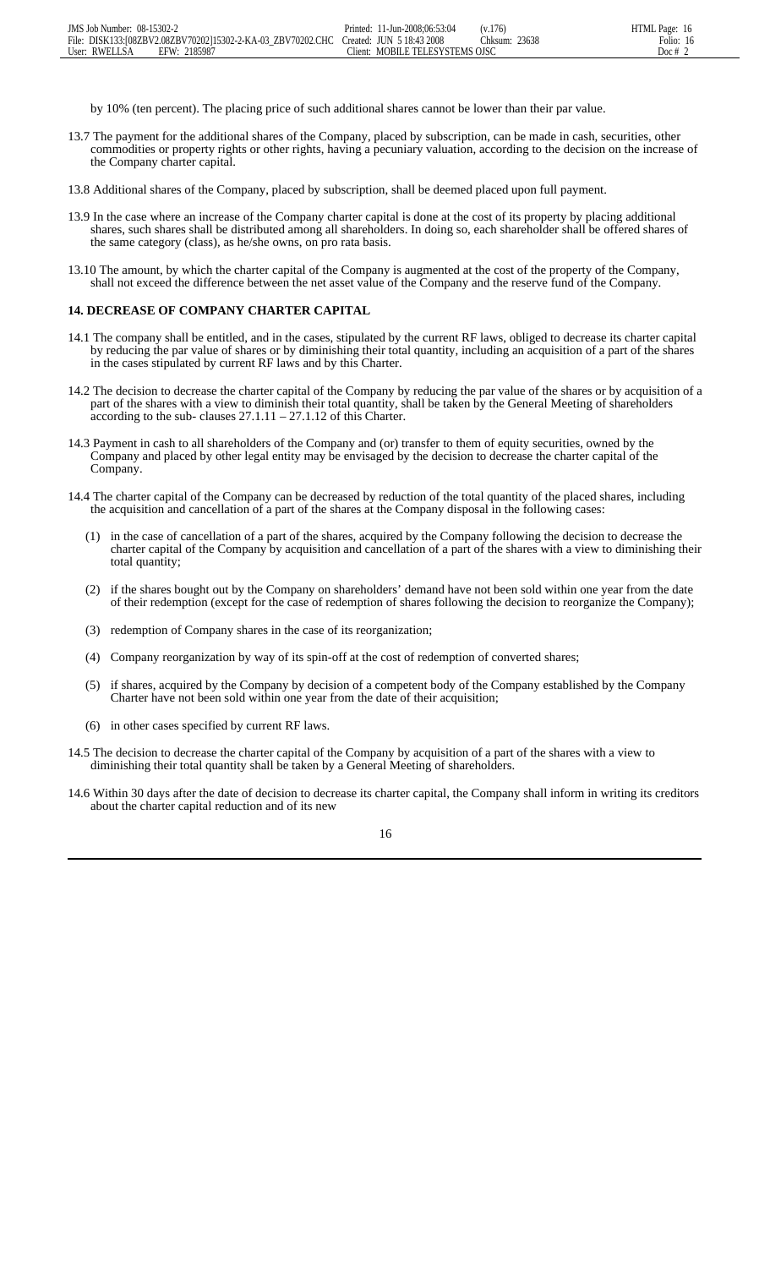by 10% (ten percent). The placing price of such additional shares cannot be lower than their par value.

- 13.7 The payment for the additional shares of the Company, placed by subscription, can be made in cash, securities, other commodities or property rights or other rights, having a pecuniary valuation, according to the decision on the increase of the Company charter capital.
- 13.8 Additional shares of the Company, placed by subscription, shall be deemed placed upon full payment.
- 13.9 In the case where an increase of the Company charter capital is done at the cost of its property by placing additional shares, such shares shall be distributed among all shareholders. In doing so, each shareholder shall be offered shares of the same category (class), as he/she owns, on pro rata basis.
- 13.10 The amount, by which the charter capital of the Company is augmented at the cost of the property of the Company, shall not exceed the difference between the net asset value of the Company and the reserve fund of the Company.

#### **14. DECREASE OF COMPANY CHARTER CAPITAL**

- 14.1 The company shall be entitled, and in the cases, stipulated by the current RF laws, obliged to decrease its charter capital by reducing the par value of shares or by diminishing their total quantity, including an acquisition of a part of the shares in the cases stipulated by current RF laws and by this Charter.
- 14.2 The decision to decrease the charter capital of the Company by reducing the par value of the shares or by acquisition of a part of the shares with a view to diminish their total quantity, shall be taken by the General Meeting of shareholders according to the sub- clauses  $27.1.11 - 27.1.12$  of this Charter.
- 14.3 Payment in cash to all shareholders of the Company and (or) transfer to them of equity securities, owned by the Company and placed by other legal entity may be envisaged by the decision to decrease the charter capital of the Company.
- 14.4 The charter capital of the Company can be decreased by reduction of the total quantity of the placed shares, including the acquisition and cancellation of a part of the shares at the Company disposal in the following cases:
	- (1) in the case of cancellation of a part of the shares, acquired by the Company following the decision to decrease the charter capital of the Company by acquisition and cancellation of a part of the shares with a view to diminishing their total quantity;
	- (2) if the shares bought out by the Company on shareholders' demand have not been sold within one year from the date of their redemption (except for the case of redemption of shares following the decision to reorganize the Company);
	- (3) redemption of Company shares in the case of its reorganization;
	- (4) Company reorganization by way of its spin-off at the cost of redemption of converted shares;
	- (5) if shares, acquired by the Company by decision of a competent body of the Company established by the Company Charter have not been sold within one year from the date of their acquisition;
	- (6) in other cases specified by current RF laws.
- 14.5 The decision to decrease the charter capital of the Company by acquisition of a part of the shares with a view to diminishing their total quantity shall be taken by a General Meeting of shareholders.
- 14.6 Within 30 days after the date of decision to decrease its charter capital, the Company shall inform in writing its creditors about the charter capital reduction and of its new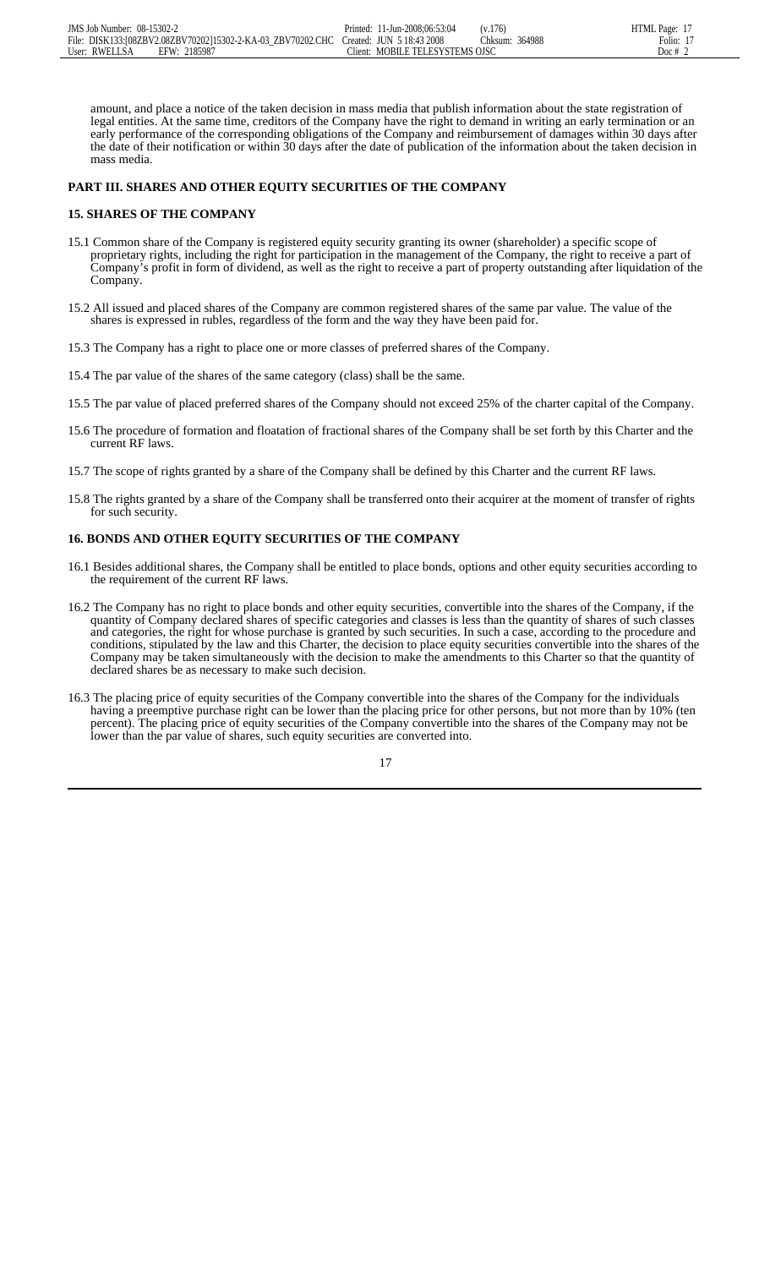amount, and place a notice of the taken decision in mass media that publish information about the state registration of legal entities. At the same time, creditors of the Company have the right to demand in writing an early termination or an early performance of the corresponding obligations of the Company and reimbursement of damages within 30 days after the date of their notification or within 30 days after the date of publication of the information about the taken decision in mass media.

## **PART III. SHARES AND OTHER EQUITY SECURITIES OF THE COMPANY**

### **15. SHARES OF THE COMPANY**

- 15.1 Common share of the Company is registered equity security granting its owner (shareholder) a specific scope of proprietary rights, including the right for participation in the management of the Company, the right to receive a part of Company's profit in form of dividend, as well as the right to receive a part of property outstanding after liquidation of the Company.
- 15.2 All issued and placed shares of the Company are common registered shares of the same par value. The value of the shares is expressed in rubles, regardless of the form and the way they have been paid for.
- 15.3 The Company has a right to place one or more classes of preferred shares of the Company.
- 15.4 The par value of the shares of the same category (class) shall be the same.
- 15.5 The par value of placed preferred shares of the Company should not exceed 25% of the charter capital of the Company.
- 15.6 The procedure of formation and floatation of fractional shares of the Company shall be set forth by this Charter and the current RF laws.
- 15.7 The scope of rights granted by a share of the Company shall be defined by this Charter and the current RF laws.
- 15.8 The rights granted by a share of the Company shall be transferred onto their acquirer at the moment of transfer of rights for such security.

## **16. BONDS AND OTHER EQUITY SECURITIES OF THE COMPANY**

- 16.1 Besides additional shares, the Company shall be entitled to place bonds, options and other equity securities according to the requirement of the current RF laws.
- 16.2 The Company has no right to place bonds and other equity securities, convertible into the shares of the Company, if the quantity of Company declared shares of specific categories and classes is less than the quantity of shares of such classes and categories, the right for whose purchase is granted by such securities. In such a case, according to the procedure and conditions, stipulated by the law and this Charter, the decision to place equity securities convertible into the shares of the Company may be taken simultaneously with the decision to make the amendments to this Charter so that the quantity of declared shares be as necessary to make such decision.
- 16.3 The placing price of equity securities of the Company convertible into the shares of the Company for the individuals having a preemptive purchase right can be lower than the placing price for other persons, but not more than by 10% (ten percent). The placing price of equity securities of the Company convertible into the shares of the Company may not be lower than the par value of shares, such equity securities are converted into.

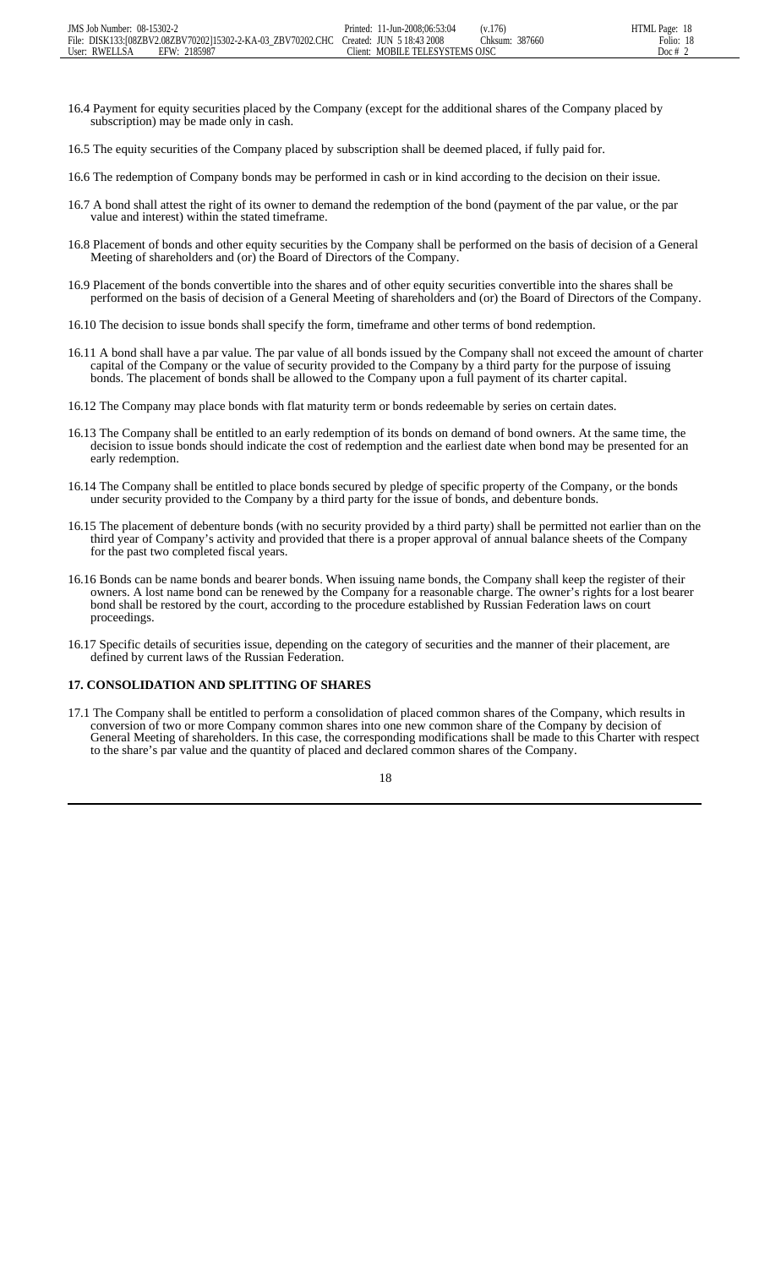- 16.4 Payment for equity securities placed by the Company (except for the additional shares of the Company placed by subscription) may be made only in cash.
- 16.5 The equity securities of the Company placed by subscription shall be deemed placed, if fully paid for.
- 16.6 The redemption of Company bonds may be performed in cash or in kind according to the decision on their issue.
- 16.7 A bond shall attest the right of its owner to demand the redemption of the bond (payment of the par value, or the par value and interest) within the stated timeframe.
- 16.8 Placement of bonds and other equity securities by the Company shall be performed on the basis of decision of a General Meeting of shareholders and (or) the Board of Directors of the Company.
- 16.9 Placement of the bonds convertible into the shares and of other equity securities convertible into the shares shall be performed on the basis of decision of a General Meeting of shareholders and (or) the Board of Directors of the Company.
- 16.10 The decision to issue bonds shall specify the form, timeframe and other terms of bond redemption.
- 16.11 A bond shall have a par value. The par value of all bonds issued by the Company shall not exceed the amount of charter capital of the Company or the value of security provided to the Company by a third party for the purpose of issuing bonds. The placement of bonds shall be allowed to the Company upon a full payment of its charter capital.
- 16.12 The Company may place bonds with flat maturity term or bonds redeemable by series on certain dates.
- 16.13 The Company shall be entitled to an early redemption of its bonds on demand of bond owners. At the same time, the decision to issue bonds should indicate the cost of redemption and the earliest date when bond may be presented for an early redemption.
- 16.14 The Company shall be entitled to place bonds secured by pledge of specific property of the Company, or the bonds under security provided to the Company by a third party for the issue of bonds, and debenture bonds.
- 16.15 The placement of debenture bonds (with no security provided by a third party) shall be permitted not earlier than on the third year of Company's activity and provided that there is a proper approval of annual balance sheets of the Company for the past two completed fiscal years.
- 16.16 Bonds can be name bonds and bearer bonds. When issuing name bonds, the Company shall keep the register of their owners. A lost name bond can be renewed by the Company for a reasonable charge. The owner's rights for a lost bearer bond shall be restored by the court, according to the procedure established by Russian Federation laws on court proceedings.
- 16.17 Specific details of securities issue, depending on the category of securities and the manner of their placement, are defined by current laws of the Russian Federation.

## **17. CONSOLIDATION AND SPLITTING OF SHARES**

17.1 The Company shall be entitled to perform a consolidation of placed common shares of the Company, which results in conversion of two or more Company common shares into one new common share of the Company by decision of General Meeting of shareholders. In this case, the corresponding modifications shall be made to this Charter with respect to the share's par value and the quantity of placed and declared common shares of the Company.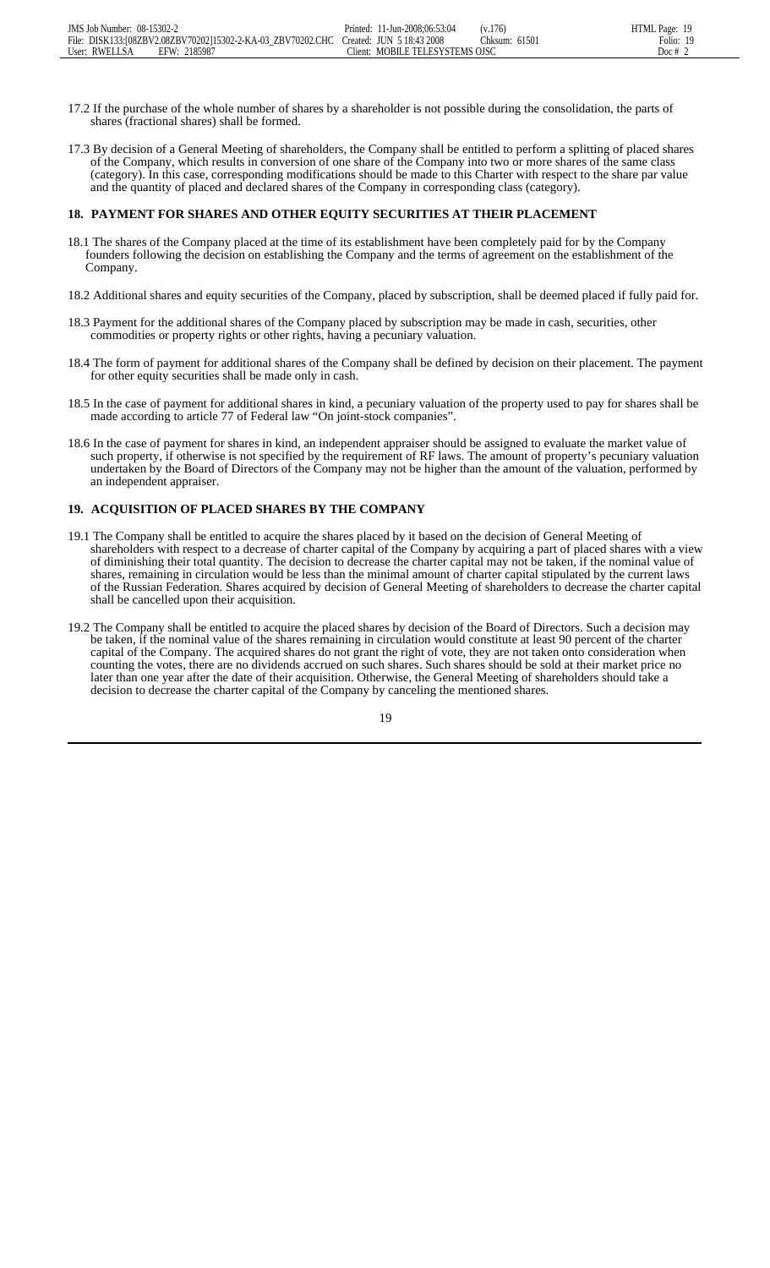- 17.2 If the purchase of the whole number of shares by a shareholder is not possible during the consolidation, the parts of shares (fractional shares) shall be formed.
- 17.3 By decision of a General Meeting of shareholders, the Company shall be entitled to perform a splitting of placed shares of the Company, which results in conversion of one share of the Company into two or more shares of the same class (category). In this case, corresponding modifications should be made to this Charter with respect to the share par value and the quantity of placed and declared shares of the Company in corresponding class (category).

#### **18. PAYMENT FOR SHARES AND OTHER EQUITY SECURITIES AT THEIR PLACEMENT**

- 18.1 The shares of the Company placed at the time of its establishment have been completely paid for by the Company founders following the decision on establishing the Company and the terms of agreement on the establishment of the Company.
- 18.2 Additional shares and equity securities of the Company, placed by subscription, shall be deemed placed if fully paid for.
- 18.3 Payment for the additional shares of the Company placed by subscription may be made in cash, securities, other commodities or property rights or other rights, having a pecuniary valuation.
- 18.4 The form of payment for additional shares of the Company shall be defined by decision on their placement. The payment for other equity securities shall be made only in cash.
- 18.5 In the case of payment for additional shares in kind, a pecuniary valuation of the property used to pay for shares shall be made according to article 77 of Federal law "On joint-stock companies".
- 18.6 In the case of payment for shares in kind, an independent appraiser should be assigned to evaluate the market value of such property, if otherwise is not specified by the requirement of RF laws. The amount of property's pecuniary valuation undertaken by the Board of Directors of the Company may not be higher than the amount of the valuation, performed by an independent appraiser.

## **19. ACQUISITION OF PLACED SHARES BY THE COMPANY**

- 19.1 The Company shall be entitled to acquire the shares placed by it based on the decision of General Meeting of shareholders with respect to a decrease of charter capital of the Company by acquiring a part of placed shares with a view of diminishing their total quantity. The decision to decrease the charter capital may not be taken, if the nominal value of shares, remaining in circulation would be less than the minimal amount of charter capital stipulated by the current laws of the Russian Federation. Shares acquired by decision of General Meeting of shareholders to decrease the charter capital shall be cancelled upon their acquisition.
- 19.2 The Company shall be entitled to acquire the placed shares by decision of the Board of Directors. Such a decision may be taken, if the nominal value of the shares remaining in circulation would constitute at least 90 percent of the charter capital of the Company. The acquired shares do not grant the right of vote, they are not taken onto consideration when counting the votes, there are no dividends accrued on such shares. Such shares should be sold at their market price no later than one year after the date of their acquisition. Otherwise, the General Meeting of shareholders should take a decision to decrease the charter capital of the Company by canceling the mentioned shares.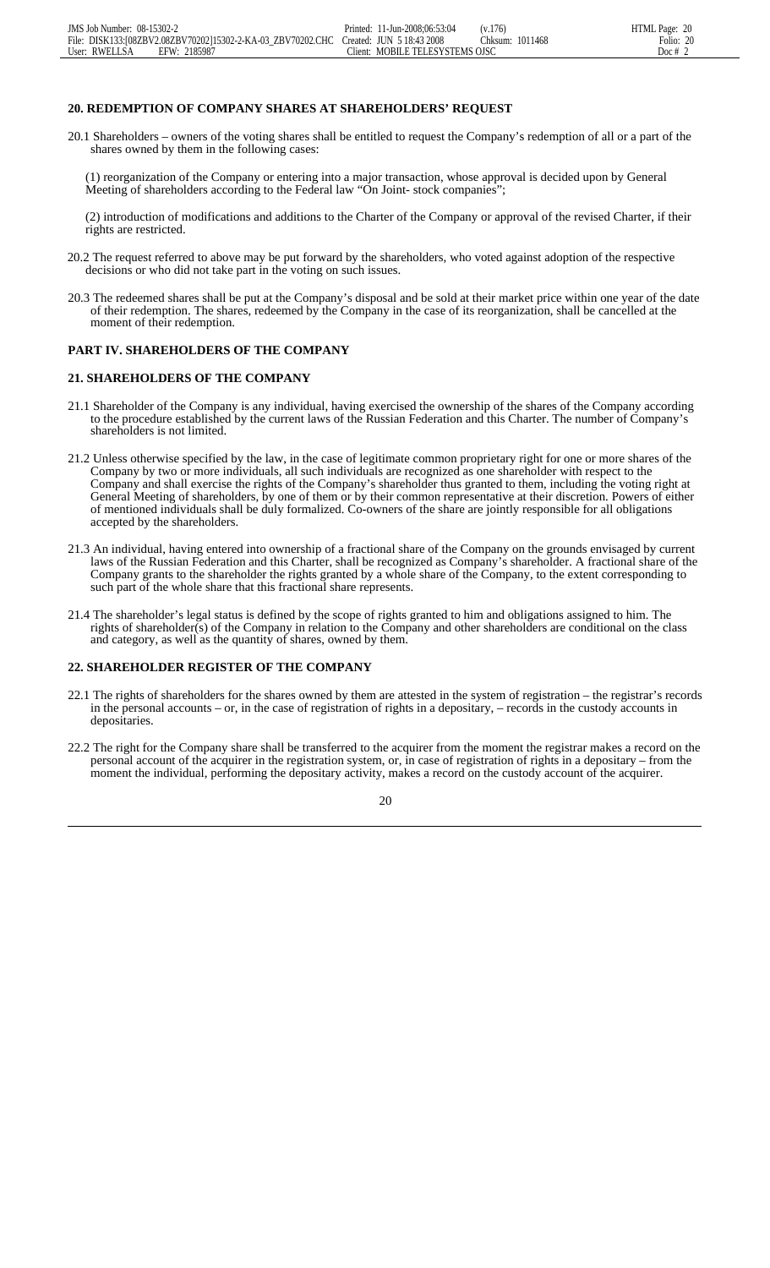### **20. REDEMPTION OF COMPANY SHARES AT SHAREHOLDERS' REQUEST**

20.1 Shareholders – owners of the voting shares shall be entitled to request the Company's redemption of all or a part of the shares owned by them in the following cases:

(1) reorganization of the Company or entering into a major transaction, whose approval is decided upon by General Meeting of shareholders according to the Federal law "On Joint- stock companies";

(2) introduction of modifications and additions to the Charter of the Company or approval of the revised Charter, if their rights are restricted.

- 20.2 The request referred to above may be put forward by the shareholders, who voted against adoption of the respective decisions or who did not take part in the voting on such issues.
- 20.3 The redeemed shares shall be put at the Company's disposal and be sold at their market price within one year of the date of their redemption. The shares, redeemed by the Company in the case of its reorganization, shall be cancelled at the moment of their redemption.

## **PART IV. SHAREHOLDERS OF THE COMPANY**

## **21. SHAREHOLDERS OF THE COMPANY**

- 21.1 Shareholder of the Company is any individual, having exercised the ownership of the shares of the Company according to the procedure established by the current laws of the Russian Federation and this Charter. The number of Company's shareholders is not limited.
- 21.2 Unless otherwise specified by the law, in the case of legitimate common proprietary right for one or more shares of the Company by two or more individuals, all such individuals are recognized as one shareholder with respect to the Company and shall exercise the rights of the Company's shareholder thus granted to them, including the voting right at General Meeting of shareholders, by one of them or by their common representative at their discretion. Powers of either of mentioned individuals shall be duly formalized. Co-owners of the share are jointly responsible for all obligations accepted by the shareholders.
- 21.3 An individual, having entered into ownership of a fractional share of the Company on the grounds envisaged by current laws of the Russian Federation and this Charter, shall be recognized as Company's shareholder. A fractional share of the Company grants to the shareholder the rights granted by a whole share of the Company, to the extent corresponding to such part of the whole share that this fractional share represents.
- 21.4 The shareholder's legal status is defined by the scope of rights granted to him and obligations assigned to him. The rights of shareholder(s) of the Company in relation to the Company and other shareholders are conditional on the class and category, as well as the quantity of shares, owned by them.

## **22. SHAREHOLDER REGISTER OF THE COMPANY**

- 22.1 The rights of shareholders for the shares owned by them are attested in the system of registration the registrar's records in the personal accounts – or, in the case of registration of rights in a depositary, – records in the custody accounts in depositaries.
- 22.2 The right for the Company share shall be transferred to the acquirer from the moment the registrar makes a record on the personal account of the acquirer in the registration system, or, in case of registration of rights in a depositary – from the moment the individual, performing the depositary activity, makes a record on the custody account of the acquirer.

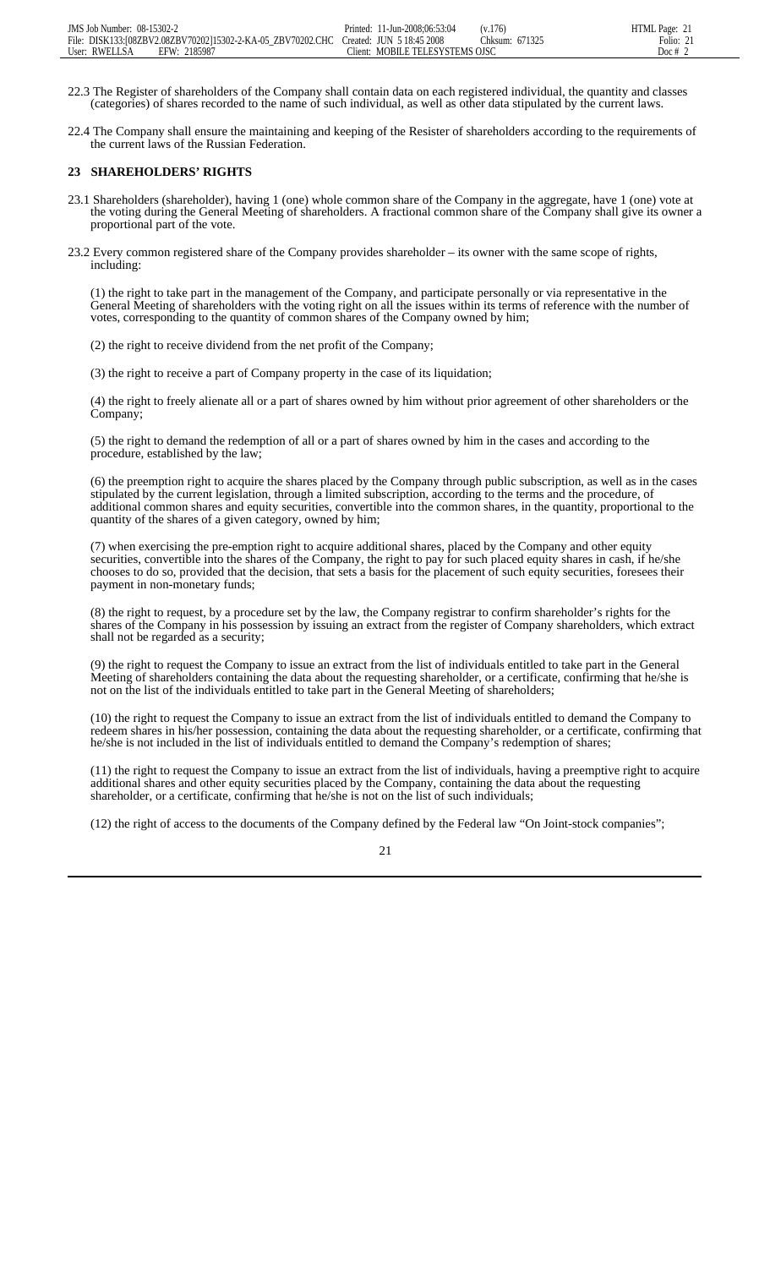- 22.3 The Register of shareholders of the Company shall contain data on each registered individual, the quantity and classes (categories) of shares recorded to the name of such individual, as well as other data stipulated by the current laws.
- 22.4 The Company shall ensure the maintaining and keeping of the Resister of shareholders according to the requirements of the current laws of the Russian Federation.

# **23 SHAREHOLDERS' RIGHTS**

- 23.1 Shareholders (shareholder), having 1 (one) whole common share of the Company in the aggregate, have 1 (one) vote at the voting during the General Meeting of shareholders. A fractional common share of the Company shall give its owner a proportional part of the vote.
- 23.2 Every common registered share of the Company provides shareholder its owner with the same scope of rights, including:

(1) the right to take part in the management of the Company, and participate personally or via representative in the General Meeting of shareholders with the voting right on all the issues within its terms of reference with the number of votes, corresponding to the quantity of common shares of the Company owned by him;

- (2) the right to receive dividend from the net profit of the Company;
- (3) the right to receive a part of Company property in the case of its liquidation;

(4) the right to freely alienate all or a part of shares owned by him without prior agreement of other shareholders or the Company;

(5) the right to demand the redemption of all or a part of shares owned by him in the cases and according to the procedure, established by the law;

(6) the preemption right to acquire the shares placed by the Company through public subscription, as well as in the cases stipulated by the current legislation, through a limited subscription, according to the terms and the procedure, of additional common shares and equity securities, convertible into the common shares, in the quantity, proportional to the quantity of the shares of a given category, owned by him;

(7) when exercising the pre-emption right to acquire additional shares, placed by the Company and other equity securities, convertible into the shares of the Company, the right to pay for such placed equity shares in cash, if he/she chooses to do so, provided that the decision, that sets a basis for the placement of such equity securities, foresees their payment in non-monetary funds;

(8) the right to request, by a procedure set by the law, the Company registrar to confirm shareholder's rights for the shares of the Company in his possession by issuing an extract from the register of Company shareholders, which extract shall not be regarded as a security;

(9) the right to request the Company to issue an extract from the list of individuals entitled to take part in the General Meeting of shareholders containing the data about the requesting shareholder, or a certificate, confirming that he/she is not on the list of the individuals entitled to take part in the General Meeting of shareholders;

(10) the right to request the Company to issue an extract from the list of individuals entitled to demand the Company to redeem shares in his/her possession, containing the data about the requesting shareholder, or a certificate, confirming that he/she is not included in the list of individuals entitled to demand the Company's redemption of shares;

(11) the right to request the Company to issue an extract from the list of individuals, having a preemptive right to acquire additional shares and other equity securities placed by the Company, containing the data about the requesting shareholder, or a certificate, confirming that he/she is not on the list of such individuals;

(12) the right of access to the documents of the Company defined by the Federal law "On Joint-stock companies";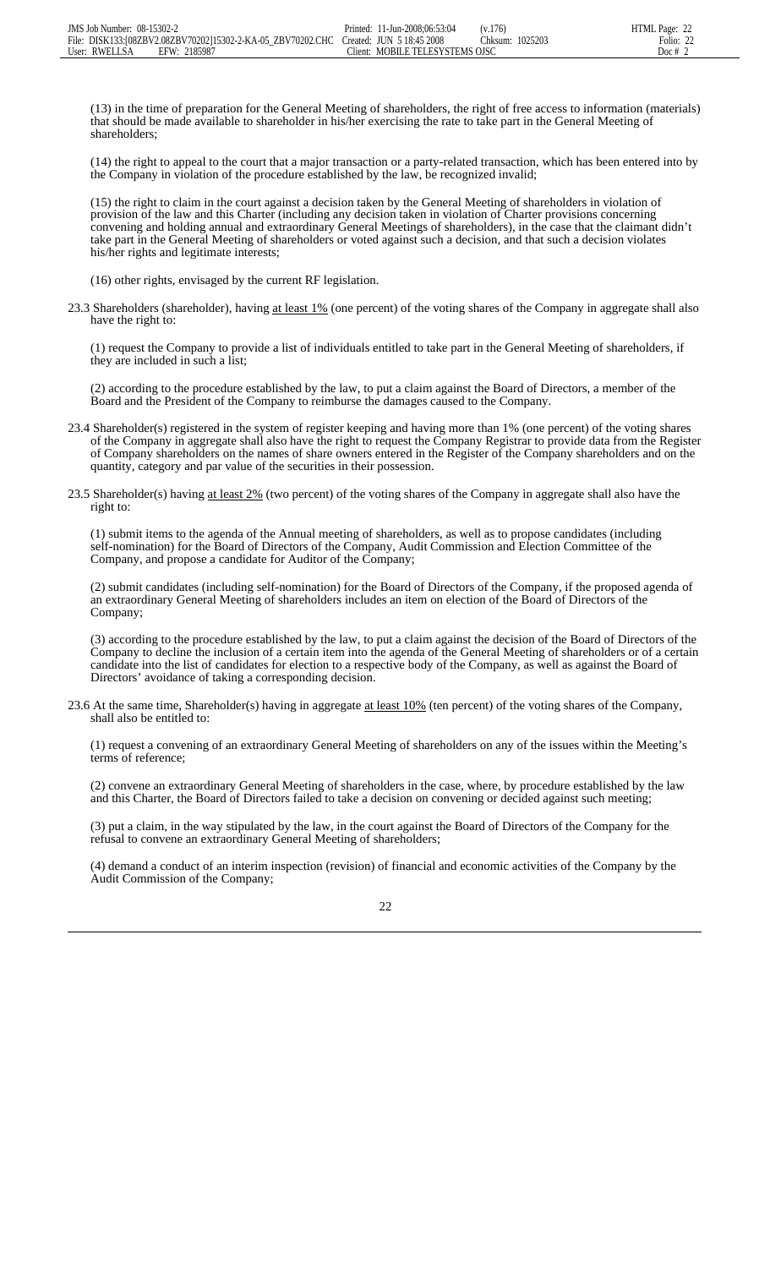(13) in the time of preparation for the General Meeting of shareholders, the right of free access to information (materials) that should be made available to shareholder in his/her exercising the rate to take part in the General Meeting of shareholders;

(14) the right to appeal to the court that a major transaction or a party-related transaction, which has been entered into by the Company in violation of the procedure established by the law, be recognized invalid;

(15) the right to claim in the court against a decision taken by the General Meeting of shareholders in violation of provision of the law and this Charter (including any decision taken in violation of Charter provisions concerning convening and holding annual and extraordinary General Meetings of shareholders), in the case that the claimant didn't take part in the General Meeting of shareholders or voted against such a decision, and that such a decision violates his/her rights and legitimate interests;

(16) other rights, envisaged by the current RF legislation.

23.3 Shareholders (shareholder), having at least  $1\%$  (one percent) of the voting shares of the Company in aggregate shall also have the right to:

(1) request the Company to provide a list of individuals entitled to take part in the General Meeting of shareholders, if they are included in such a list;

(2) according to the procedure established by the law, to put a claim against the Board of Directors, a member of the Board and the President of the Company to reimburse the damages caused to the Company.

- 23.4 Shareholder(s) registered in the system of register keeping and having more than 1% (one percent) of the voting shares of the Company in aggregate shall also have the right to request the Company Registrar to provide data from the Register of Company shareholders on the names of share owners entered in the Register of the Company shareholders and on the quantity, category and par value of the securities in their possession.
- 23.5 Shareholder(s) having at least 2% (two percent) of the voting shares of the Company in aggregate shall also have the right to:

(1) submit items to the agenda of the Annual meeting of shareholders, as well as to propose candidates (including self-nomination) for the Board of Directors of the Company, Audit Commission and Election Committee of the Company, and propose a candidate for Auditor of the Company;

(2) submit candidates (including self-nomination) for the Board of Directors of the Company, if the proposed agenda of an extraordinary General Meeting of shareholders includes an item on election of the Board of Directors of the Company;

(3) according to the procedure established by the law, to put a claim against the decision of the Board of Directors of the Company to decline the inclusion of a certain item into the agenda of the General Meeting of shareholders or of a certain candidate into the list of candidates for election to a respective body of the Company, as well as against the Board of Directors' avoidance of taking a corresponding decision.

23.6 At the same time, Shareholder(s) having in aggregate at least 10% (ten percent) of the voting shares of the Company, shall also be entitled to:

(1) request a convening of an extraordinary General Meeting of shareholders on any of the issues within the Meeting's terms of reference;

(2) convene an extraordinary General Meeting of shareholders in the case, where, by procedure established by the law and this Charter, the Board of Directors failed to take a decision on convening or decided against such meeting;

(3) put a claim, in the way stipulated by the law, in the court against the Board of Directors of the Company for the refusal to convene an extraordinary General Meeting of shareholders;

(4) demand a conduct of an interim inspection (revision) of financial and economic activities of the Company by the Audit Commission of the Company;

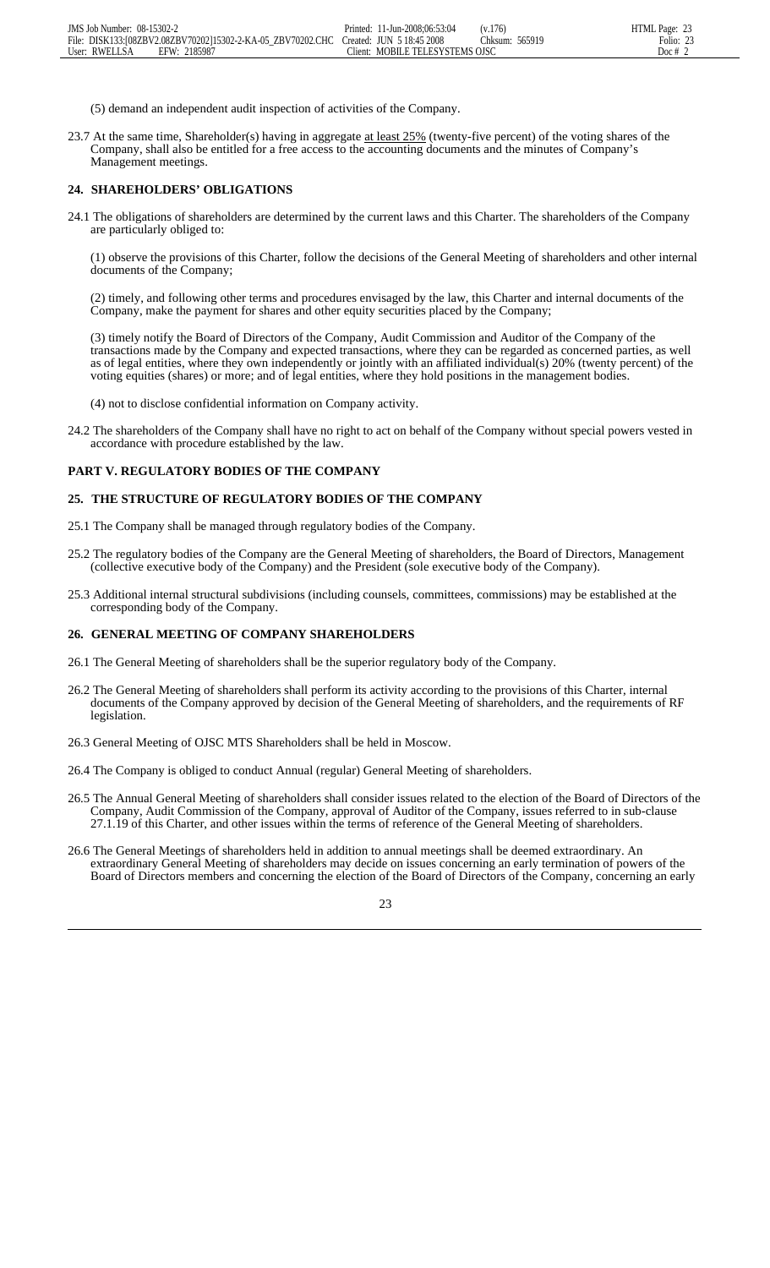- (5) demand an independent audit inspection of activities of the Company.
- 23.7 At the same time, Shareholder(s) having in aggregate at least 25% (twenty-five percent) of the voting shares of the Company, shall also be entitled for a free access to the accounting documents and the minutes of Company's Management meetings.

## **24. SHAREHOLDERS' OBLIGATIONS**

24.1 The obligations of shareholders are determined by the current laws and this Charter. The shareholders of the Company are particularly obliged to:

(1) observe the provisions of this Charter, follow the decisions of the General Meeting of shareholders and other internal documents of the Company;

(2) timely, and following other terms and procedures envisaged by the law, this Charter and internal documents of the Company, make the payment for shares and other equity securities placed by the Company;

(3) timely notify the Board of Directors of the Company, Audit Commission and Auditor of the Company of the transactions made by the Company and expected transactions, where they can be regarded as concerned parties, as well as of legal entities, where they own independently or jointly with an affiliated individual(s) 20% (twenty percent) of the voting equities (shares) or more; and of legal entities, where they hold positions in the management bodies.

(4) not to disclose confidential information on Company activity.

24.2 The shareholders of the Company shall have no right to act on behalf of the Company without special powers vested in accordance with procedure established by the law.

## **PART V. REGULATORY BODIES OF THE COMPANY**

## **25. THE STRUCTURE OF REGULATORY BODIES OF THE COMPANY**

- 25.1 The Company shall be managed through regulatory bodies of the Company.
- 25.2 The regulatory bodies of the Company are the General Meeting of shareholders, the Board of Directors, Management (collective executive body of the Company) and the President (sole executive body of the Company).
- 25.3 Additional internal structural subdivisions (including counsels, committees, commissions) may be established at the corresponding body of the Company.

## **26. GENERAL MEETING OF COMPANY SHAREHOLDERS**

- 26.1 The General Meeting of shareholders shall be the superior regulatory body of the Company.
- 26.2 The General Meeting of shareholders shall perform its activity according to the provisions of this Charter, internal documents of the Company approved by decision of the General Meeting of shareholders, and the requirements of RF legislation.
- 26.3 General Meeting of OJSC MTS Shareholders shall be held in Moscow.
- 26.4 The Company is obliged to conduct Annual (regular) General Meeting of shareholders.
- 26.5 The Annual General Meeting of shareholders shall consider issues related to the election of the Board of Directors of the Company, Audit Commission of the Company, approval of Auditor of the Company, issues referred to in sub-clause 27.1.19 of this Charter, and other issues within the terms of reference of the General Meeting of shareholders.
- 26.6 The General Meetings of shareholders held in addition to annual meetings shall be deemed extraordinary. An extraordinary General Meeting of shareholders may decide on issues concerning an early termination of powers of the Board of Directors members and concerning the election of the Board of Directors of the Company, concerning an early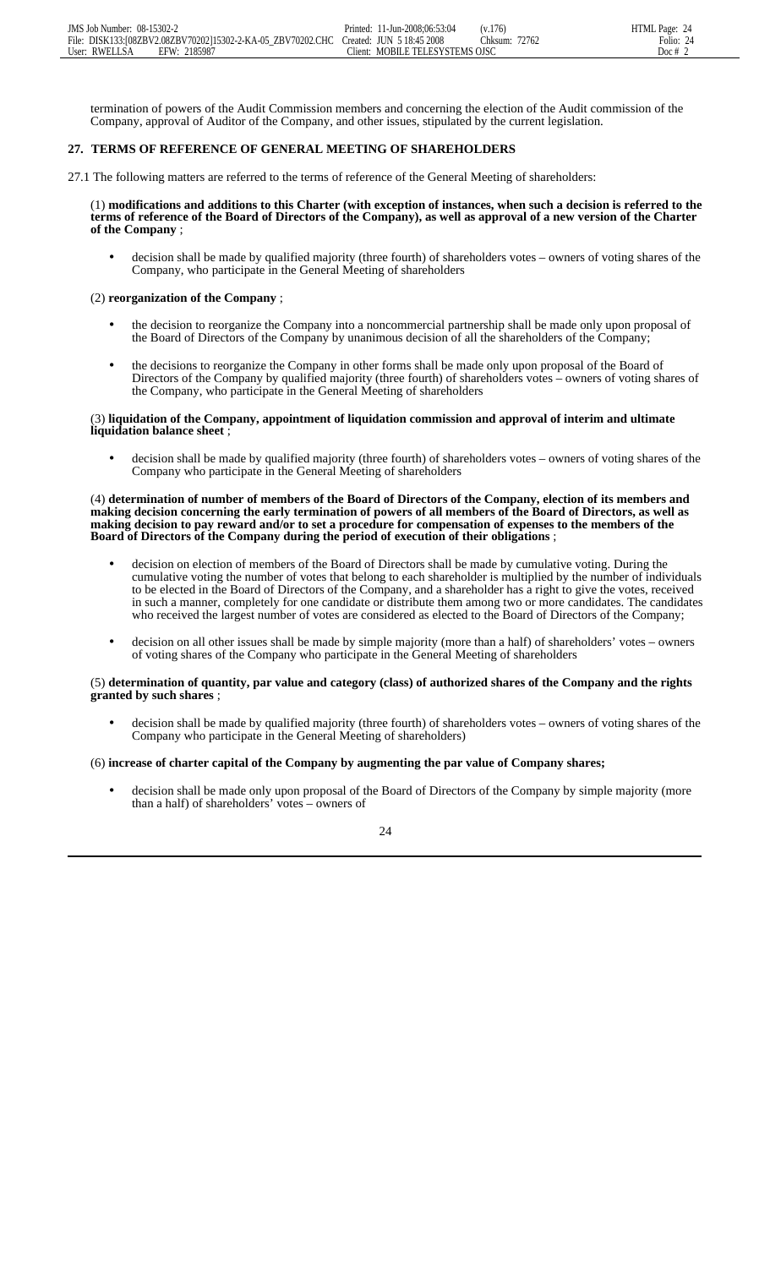termination of powers of the Audit Commission members and concerning the election of the Audit commission of the Company, approval of Auditor of the Company, and other issues, stipulated by the current legislation.

## **27. TERMS OF REFERENCE OF GENERAL MEETING OF SHAREHOLDERS**

27.1 The following matters are referred to the terms of reference of the General Meeting of shareholders:

(1) **modifications and additions to this Charter (with exception of instances, when such a decision is referred to the terms of reference of the Board of Directors of the Company), as well as approval of a new version of the Charter of the Company** ;

• decision shall be made by qualified majority (three fourth) of shareholders votes – owners of voting shares of the Company, who participate in the General Meeting of shareholders

## (2) **reorganization of the Company** ;

- the decision to reorganize the Company into a noncommercial partnership shall be made only upon proposal of the Board of Directors of the Company by unanimous decision of all the shareholders of the Company;
- the decisions to reorganize the Company in other forms shall be made only upon proposal of the Board of Directors of the Company by qualified majority (three fourth) of shareholders votes – owners of voting shares of the Company, who participate in the General Meeting of shareholders

### (3) **liquidation of the Company, appointment of liquidation commission and approval of interim and ultimate liquidation balance sheet** ;

• decision shall be made by qualified majority (three fourth) of shareholders votes – owners of voting shares of the Company who participate in the General Meeting of shareholders

#### (4) **determination of number of members of the Board of Directors of the Company, election of its members and making decision concerning the early termination of powers of all members of the Board of Directors, as well as making decision to pay reward and/or to set a procedure for compensation of expenses to the members of the Board of Directors of the Company during the period of execution of their obligations** ;

- decision on election of members of the Board of Directors shall be made by cumulative voting. During the cumulative voting the number of votes that belong to each shareholder is multiplied by the number of individuals to be elected in the Board of Directors of the Company, and a shareholder has a right to give the votes, received in such a manner, completely for one candidate or distribute them among two or more candidates. The candidates who received the largest number of votes are considered as elected to the Board of Directors of the Company;
- decision on all other issues shall be made by simple majority (more than a half) of shareholders' votes owners of voting shares of the Company who participate in the General Meeting of shareholders

## (5) **determination of quantity, par value and category (class) of authorized shares of the Company and the rights granted by such shares** ;

• decision shall be made by qualified majority (three fourth) of shareholders votes – owners of voting shares of the Company who participate in the General Meeting of shareholders)

## (6) **increase of charter capital of the Company by augmenting the par value of Company shares;**

• decision shall be made only upon proposal of the Board of Directors of the Company by simple majority (more than a half) of shareholders' votes – owners of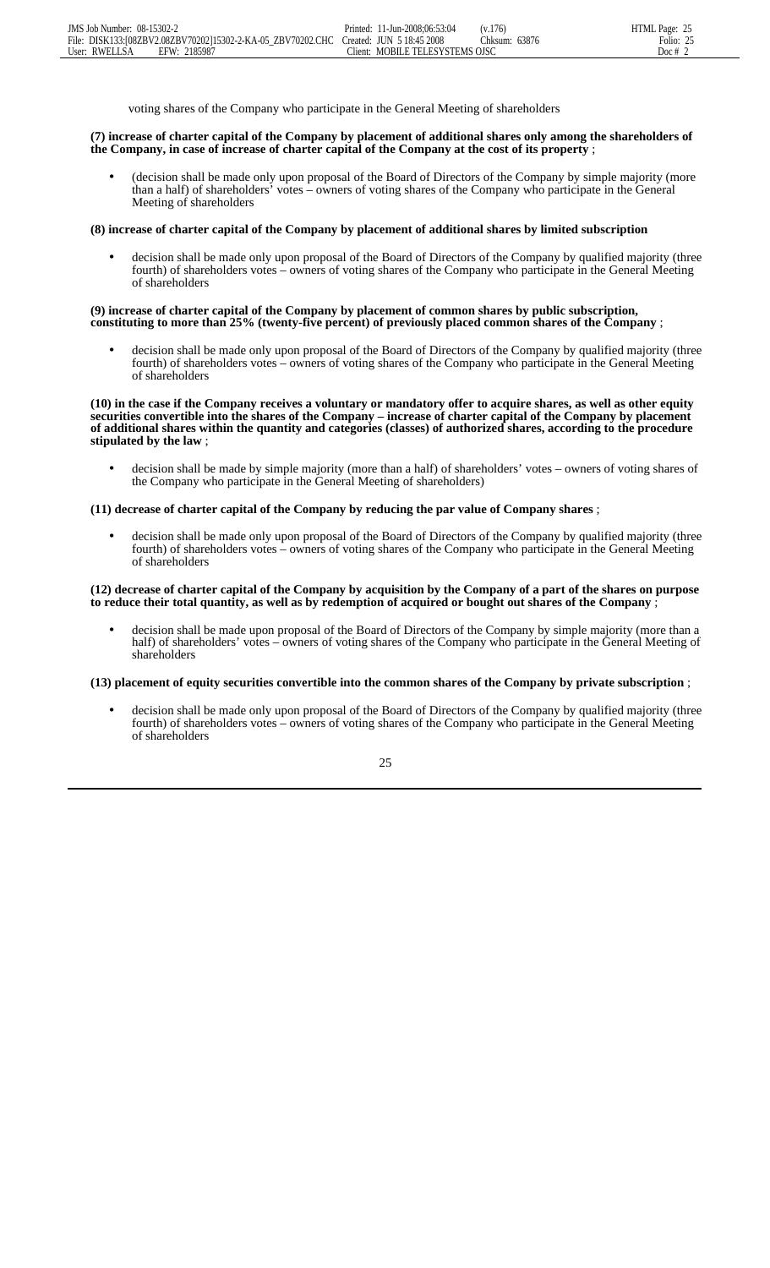voting shares of the Company who participate in the General Meeting of shareholders

### **(7) increase of charter capital of the Company by placement of additional shares only among the shareholders of the Company, in case of increase of charter capital of the Company at the cost of its property** ;

• (decision shall be made only upon proposal of the Board of Directors of the Company by simple majority (more than a half) of shareholders' votes – owners of voting shares of the Company who participate in the General Meeting of shareholders

## **(8) increase of charter capital of the Company by placement of additional shares by limited subscription**

• decision shall be made only upon proposal of the Board of Directors of the Company by qualified majority (three fourth) of shareholders votes – owners of voting shares of the Company who participate in the General Meeting of shareholders

### **(9) increase of charter capital of the Company by placement of common shares by public subscription, constituting to more than 25% (twenty-five percent) of previously placed common shares of the Company** ;

decision shall be made only upon proposal of the Board of Directors of the Company by qualified majority (three fourth) of shareholders votes – owners of voting shares of the Company who participate in the General Meeting of shareholders

#### **(10) in the case if the Company receives a voluntary or mandatory offer to acquire shares, as well as other equity securities convertible into the shares of the Company – increase of charter capital of the Company by placement of additional shares within the quantity and categories (classes) of authorized shares, according to the procedure stipulated by the law** ;

• decision shall be made by simple majority (more than a half) of shareholders' votes – owners of voting shares of the Company who participate in the General Meeting of shareholders)

## **(11) decrease of charter capital of the Company by reducing the par value of Company shares** ;

• decision shall be made only upon proposal of the Board of Directors of the Company by qualified majority (three fourth) of shareholders votes – owners of voting shares of the Company who participate in the General Meeting of shareholders

### **(12) decrease of charter capital of the Company by acquisition by the Company of a part of the shares on purpose to reduce their total quantity, as well as by redemption of acquired or bought out shares of the Company** ;

• decision shall be made upon proposal of the Board of Directors of the Company by simple majority (more than a half) of shareholders' votes – owners of voting shares of the Company who participate in the General Meeting of shareholders

## **(13) placement of equity securities convertible into the common shares of the Company by private subscription** ;

• decision shall be made only upon proposal of the Board of Directors of the Company by qualified majority (three fourth) of shareholders votes – owners of voting shares of the Company who participate in the General Meeting of shareholders

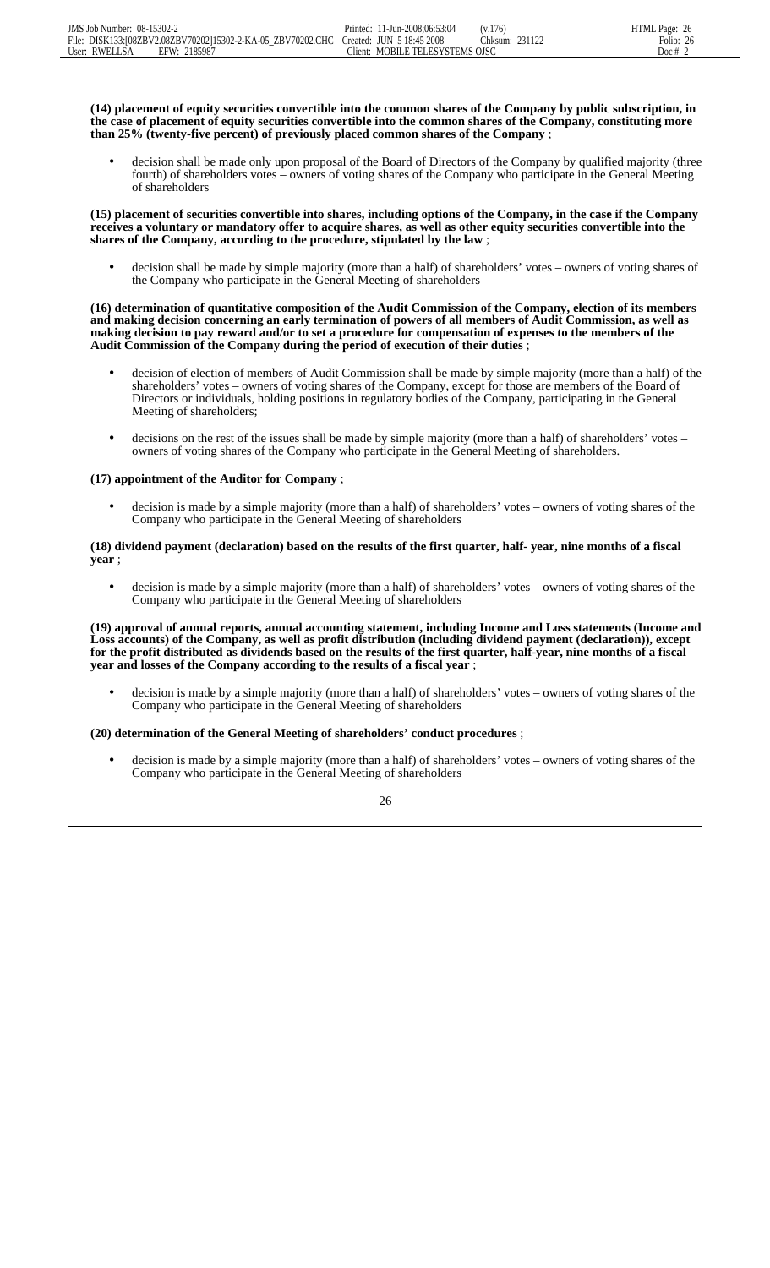**(14) placement of equity securities convertible into the common shares of the Company by public subscription, in the case of placement of equity securities convertible into the common shares of the Company, constituting more than 25% (twenty-five percent) of previously placed common shares of the Company** ;

• decision shall be made only upon proposal of the Board of Directors of the Company by qualified majority (three fourth) of shareholders votes – owners of voting shares of the Company who participate in the General Meeting of shareholders

#### **(15) placement of securities convertible into shares, including options of the Company, in the case if the Company receives a voluntary or mandatory offer to acquire shares, as well as other equity securities convertible into the shares of the Company, according to the procedure, stipulated by the law** ;

• decision shall be made by simple majority (more than a half) of shareholders' votes – owners of voting shares of the Company who participate in the General Meeting of shareholders

### **(16) determination of quantitative composition of the Audit Commission of the Company, election of its members and making decision concerning an early termination of powers of all members of Audit Commission, as well as making decision to pay reward and/or to set a procedure for compensation of expenses to the members of the Audit Commission of the Company during the period of execution of their duties** ;

- decision of election of members of Audit Commission shall be made by simple majority (more than a half) of the shareholders' votes – owners of voting shares of the Company, except for those are members of the Board of Directors or individuals, holding positions in regulatory bodies of the Company, participating in the General Meeting of shareholders;
- decisions on the rest of the issues shall be made by simple majority (more than a half) of shareholders' votes owners of voting shares of the Company who participate in the General Meeting of shareholders.

## **(17) appointment of the Auditor for Company** ;

• decision is made by a simple majority (more than a half) of shareholders' votes – owners of voting shares of the Company who participate in the General Meeting of shareholders

## **(18) dividend payment (declaration) based on the results of the first quarter, half- year, nine months of a fiscal year** ;

• decision is made by a simple majority (more than a half) of shareholders' votes – owners of voting shares of the Company who participate in the General Meeting of shareholders

#### **(19) approval of annual reports, annual accounting statement, including Income and Loss statements (Income and Loss accounts) of the Company, as well as profit distribution (including dividend payment (declaration)), except for the profit distributed as dividends based on the results of the first quarter, half-year, nine months of a fiscal year and losses of the Company according to the results of a fiscal year** ;

• decision is made by a simple majority (more than a half) of shareholders' votes – owners of voting shares of the Company who participate in the General Meeting of shareholders

## **(20) determination of the General Meeting of shareholders' conduct procedures** ;

• decision is made by a simple majority (more than a half) of shareholders' votes – owners of voting shares of the Company who participate in the General Meeting of shareholders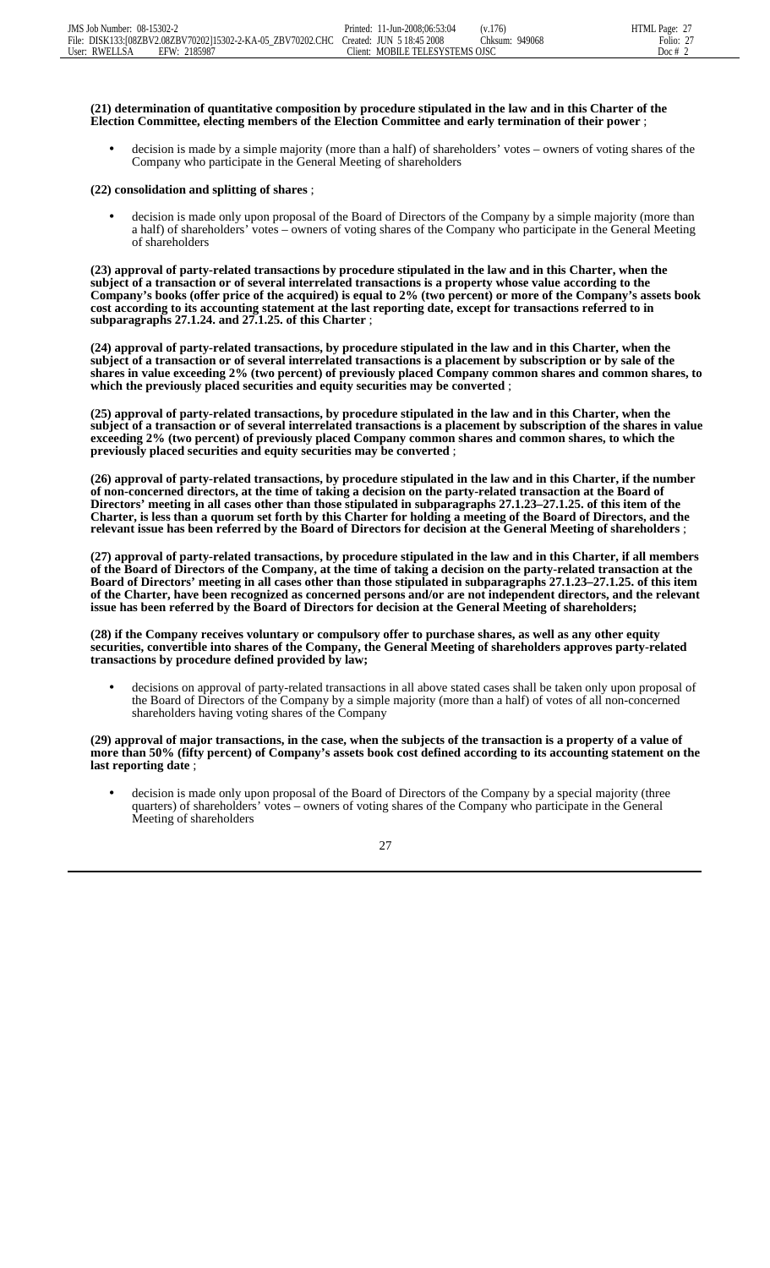### **(21) determination of quantitative composition by procedure stipulated in the law and in this Charter of the Election Committee, electing members of the Election Committee and early termination of their power** ;

• decision is made by a simple majority (more than a half) of shareholders' votes – owners of voting shares of the Company who participate in the General Meeting of shareholders

## **(22) consolidation and splitting of shares** ;

decision is made only upon proposal of the Board of Directors of the Company by a simple majority (more than a half) of shareholders' votes – owners of voting shares of the Company who participate in the General Meeting of shareholders

**(23) approval of party-related transactions by procedure stipulated in the law and in this Charter, when the subject of a transaction or of several interrelated transactions is a property whose value according to the Company's books (offer price of the acquired) is equal to 2% (two percent) or more of the Company's assets book cost according to its accounting statement at the last reporting date, except for transactions referred to in subparagraphs 27.1.24. and 27.1.25. of this Charter** ;

**(24) approval of party-related transactions, by procedure stipulated in the law and in this Charter, when the subject of a transaction or of several interrelated transactions is a placement by subscription or by sale of the shares in value exceeding 2% (two percent) of previously placed Company common shares and common shares, to** which the previously placed securities and equity securities may be converted ;

**(25) approval of party-related transactions, by procedure stipulated in the law and in this Charter, when the subject of a transaction or of several interrelated transactions is a placement by subscription of the shares in value exceeding 2% (two percent) of previously placed Company common shares and common shares, to which the previously placed securities and equity securities may be converted** ;

**(26) approval of party-related transactions, by procedure stipulated in the law and in this Charter, if the number of non-concerned directors, at the time of taking a decision on the party-related transaction at the Board of Directors' meeting in all cases other than those stipulated in subparagraphs 27.1.23–27.1.25. of this item of the Charter, is less than a quorum set forth by this Charter for holding a meeting of the Board of Directors, and the relevant issue has been referred by the Board of Directors for decision at the General Meeting of shareholders** ;

**(27) approval of party-related transactions, by procedure stipulated in the law and in this Charter, if all members of the Board of Directors of the Company, at the time of taking a decision on the party-related transaction at the Board of Directors' meeting in all cases other than those stipulated in subparagraphs 27.1.23–27.1.25. of this item of the Charter, have been recognized as concerned persons and/or are not independent directors, and the relevant issue has been referred by the Board of Directors for decision at the General Meeting of shareholders;**

**(28) if the Company receives voluntary or compulsory offer to purchase shares, as well as any other equity securities, convertible into shares of the Company, the General Meeting of shareholders approves party-related transactions by procedure defined provided by law;**

• decisions on approval of party-related transactions in all above stated cases shall be taken only upon proposal of the Board of Directors of the Company by a simple majority (more than a half) of votes of all non-concerned shareholders having voting shares of the Company

**(29) approval of major transactions, in the case, when the subjects of the transaction is a property of a value of more than 50% (fifty percent) of Company's assets book cost defined according to its accounting statement on the last reporting date** ;

decision is made only upon proposal of the Board of Directors of the Company by a special majority (three quarters) of shareholders' votes – owners of voting shares of the Company who participate in the General Meeting of shareholders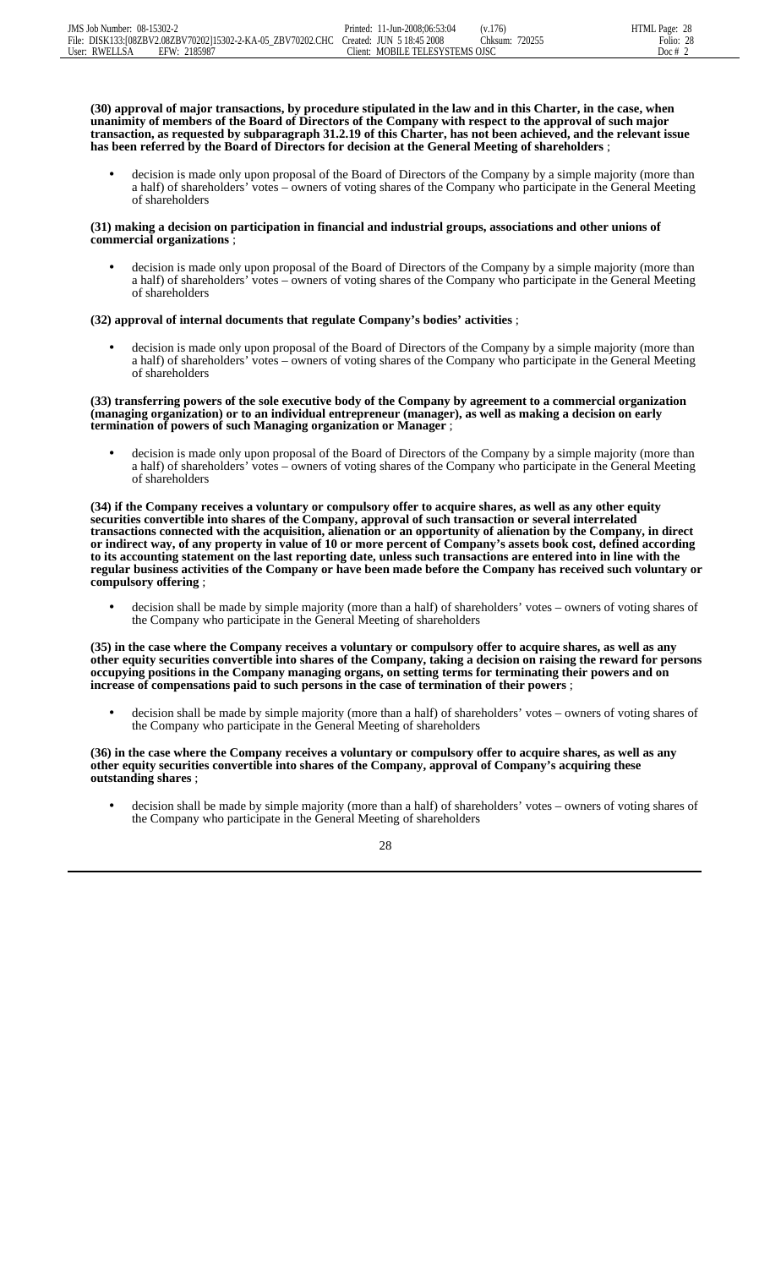**(30) approval of major transactions, by procedure stipulated in the law and in this Charter, in the case, when unanimity of members of the Board of Directors of the Company with respect to the approval of such major transaction, as requested by subparagraph 31.2.19 of this Charter, has not been achieved, and the relevant issue has been referred by the Board of Directors for decision at the General Meeting of shareholders** ;

• decision is made only upon proposal of the Board of Directors of the Company by a simple majority (more than a half) of shareholders' votes – owners of voting shares of the Company who participate in the General Meeting of shareholders

### **(31) making a decision on participation in financial and industrial groups, associations and other unions of commercial organizations** ;

• decision is made only upon proposal of the Board of Directors of the Company by a simple majority (more than a half) of shareholders' votes – owners of voting shares of the Company who participate in the General Meeting of shareholders

## **(32) approval of internal documents that regulate Company's bodies' activities** ;

• decision is made only upon proposal of the Board of Directors of the Company by a simple majority (more than a half) of shareholders' votes – owners of voting shares of the Company who participate in the General Meeting of shareholders

#### **(33) transferring powers of the sole executive body of the Company by agreement to a commercial organization (managing organization) or to an individual entrepreneur (manager), as well as making a decision on early termination of powers of such Managing organization or Manager** ;

• decision is made only upon proposal of the Board of Directors of the Company by a simple majority (more than a half) of shareholders' votes – owners of voting shares of the Company who participate in the General Meeting of shareholders

**(34) if the Company receives a voluntary or compulsory offer to acquire shares, as well as any other equity securities convertible into shares of the Company, approval of such transaction or several interrelated transactions connected with the acquisition, alienation or an opportunity of alienation by the Company, in direct or indirect way, of any property in value of 10 or more percent of Company's assets book cost, defined according to its accounting statement on the last reporting date, unless such transactions are entered into in line with the regular business activities of the Company or have been made before the Company has received such voluntary or compulsory offering** ;

• decision shall be made by simple majority (more than a half) of shareholders' votes – owners of voting shares of the Company who participate in the General Meeting of shareholders

**(35) in the case where the Company receives a voluntary or compulsory offer to acquire shares, as well as any other equity securities convertible into shares of the Company, taking a decision on raising the reward for persons occupying positions in the Company managing organs, on setting terms for terminating their powers and on increase of compensations paid to such persons in the case of termination of their powers** ;

• decision shall be made by simple majority (more than a half) of shareholders' votes – owners of voting shares of the Company who participate in the General Meeting of shareholders

#### **(36) in the case where the Company receives a voluntary or compulsory offer to acquire shares, as well as any other equity securities convertible into shares of the Company, approval of Company's acquiring these outstanding shares** ;

• decision shall be made by simple majority (more than a half) of shareholders' votes – owners of voting shares of the Company who participate in the General Meeting of shareholders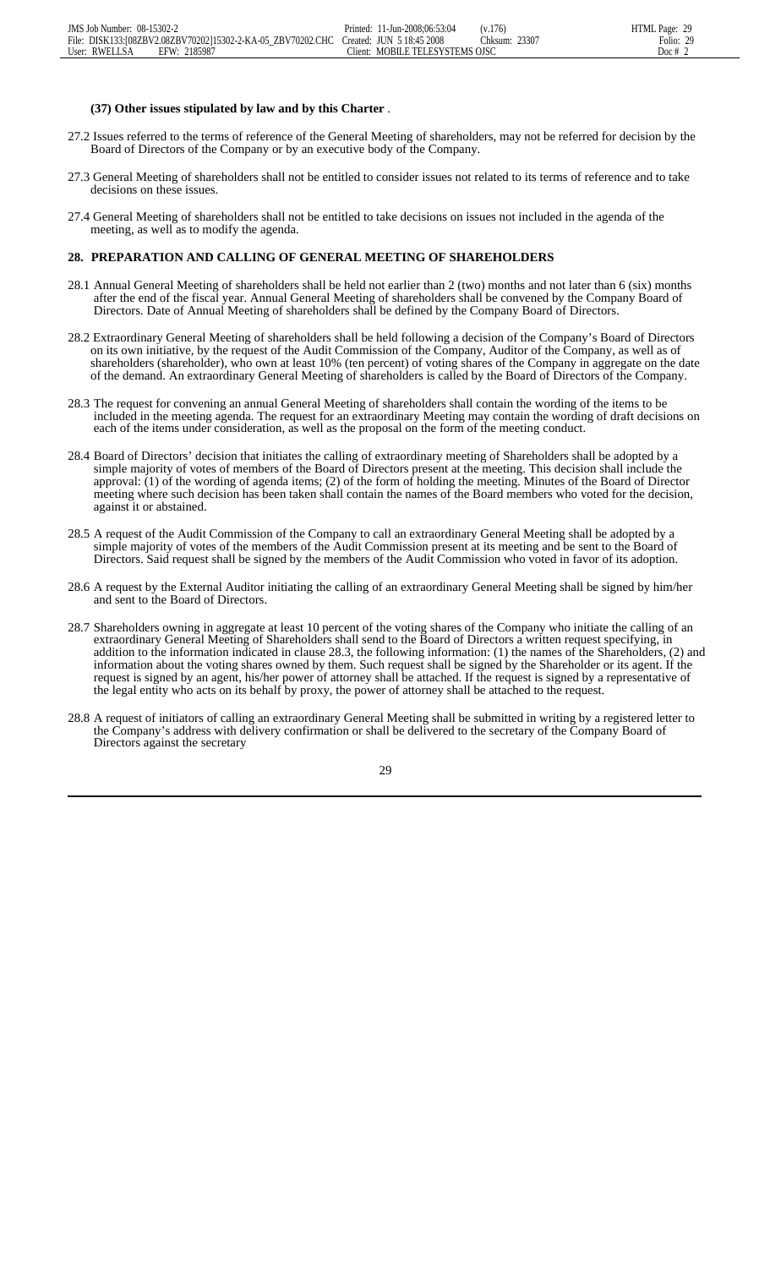#### **(37) Other issues stipulated by law and by this Charter** .

- 27.2 Issues referred to the terms of reference of the General Meeting of shareholders, may not be referred for decision by the Board of Directors of the Company or by an executive body of the Company.
- 27.3 General Meeting of shareholders shall not be entitled to consider issues not related to its terms of reference and to take decisions on these issues.
- 27.4 General Meeting of shareholders shall not be entitled to take decisions on issues not included in the agenda of the meeting, as well as to modify the agenda.

#### **28. PREPARATION AND CALLING OF GENERAL MEETING OF SHAREHOLDERS**

- 28.1 Annual General Meeting of shareholders shall be held not earlier than 2 (two) months and not later than 6 (six) months after the end of the fiscal year. Annual General Meeting of shareholders shall be convened by the Company Board of Directors. Date of Annual Meeting of shareholders shall be defined by the Company Board of Directors.
- 28.2 Extraordinary General Meeting of shareholders shall be held following a decision of the Company's Board of Directors on its own initiative, by the request of the Audit Commission of the Company, Auditor of the Company, as well as of shareholders (shareholder), who own at least 10% (ten percent) of voting shares of the Company in aggregate on the date of the demand. An extraordinary General Meeting of shareholders is called by the Board of Directors of the Company.
- 28.3 The request for convening an annual General Meeting of shareholders shall contain the wording of the items to be included in the meeting agenda. The request for an extraordinary Meeting may contain the wording of draft decisions on each of the items under consideration, as well as the proposal on the form of the meeting conduct.
- 28.4 Board of Directors' decision that initiates the calling of extraordinary meeting of Shareholders shall be adopted by a simple majority of votes of members of the Board of Directors present at the meeting. This decision shall include the approval: (1) of the wording of agenda items; (2) of the form of holding the meeting. Minutes of the Board of Director meeting where such decision has been taken shall contain the names of the Board members who voted for the decision, against it or abstained.
- 28.5 A request of the Audit Commission of the Company to call an extraordinary General Meeting shall be adopted by a simple majority of votes of the members of the Audit Commission present at its meeting and be sent to the Board of Directors. Said request shall be signed by the members of the Audit Commission who voted in favor of its adoption.
- 28.6 A request by the External Auditor initiating the calling of an extraordinary General Meeting shall be signed by him/her and sent to the Board of Directors.
- 28.7 Shareholders owning in aggregate at least 10 percent of the voting shares of the Company who initiate the calling of an extraordinary General Meeting of Shareholders shall send to the Board of Directors a written request specifying, in addition to the information indicated in clause 28.3, the following information: (1) the names of the Shareholders, (2) and information about the voting shares owned by them. Such request shall be signed by the Shareholder or its agent. If the request is signed by an agent, his/her power of attorney shall be attached. If the request is signed by a representative of the legal entity who acts on its behalf by proxy, the power of attorney shall be attached to the request.
- 28.8 A request of initiators of calling an extraordinary General Meeting shall be submitted in writing by a registered letter to the Company's address with delivery confirmation or shall be delivered to the secretary of the Company Board of Directors against the secretary

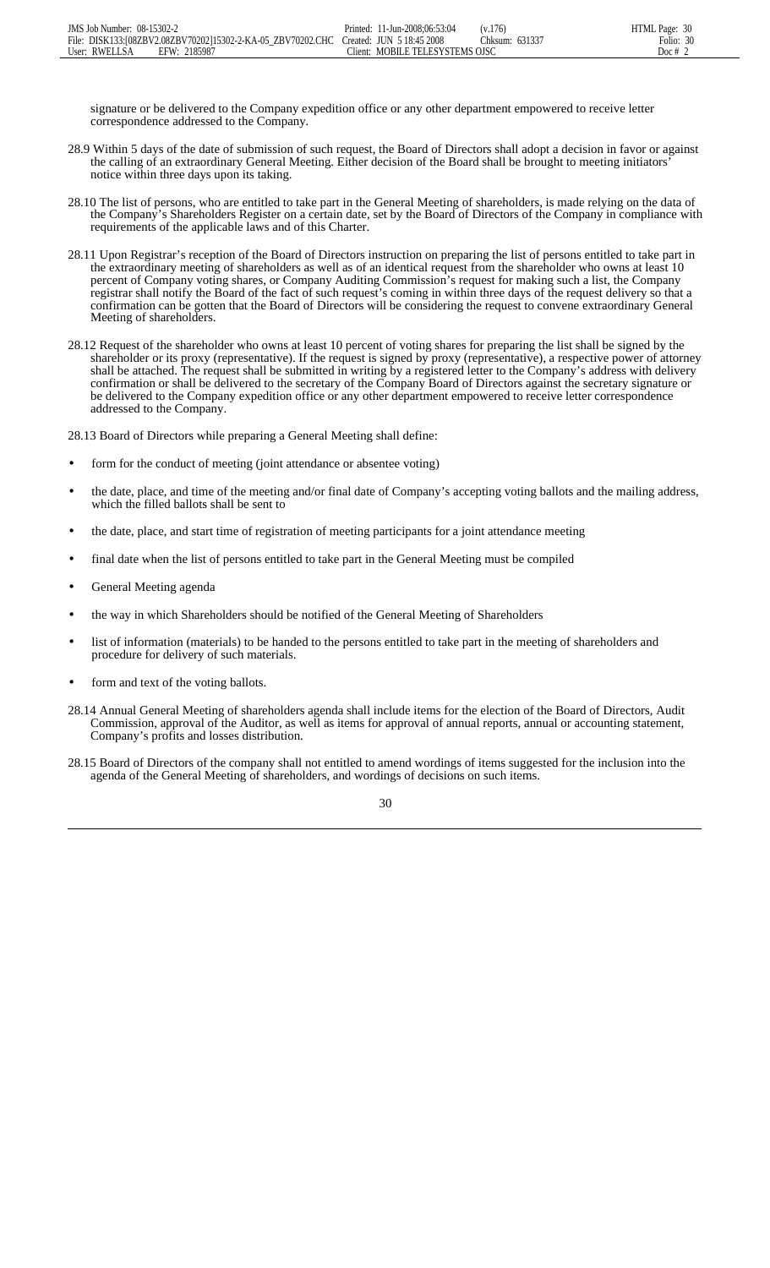signature or be delivered to the Company expedition office or any other department empowered to receive letter correspondence addressed to the Company.

- 28.9 Within 5 days of the date of submission of such request, the Board of Directors shall adopt a decision in favor or against the calling of an extraordinary General Meeting. Either decision of the Board shall be brought to meeting initiators' notice within three days upon its taking.
- 28.10 The list of persons, who are entitled to take part in the General Meeting of shareholders, is made relying on the data of the Company's Shareholders Register on a certain date, set by the Board of Directors of the Company in compliance with requirements of the applicable laws and of this Charter.
- 28.11 Upon Registrar's reception of the Board of Directors instruction on preparing the list of persons entitled to take part in the extraordinary meeting of shareholders as well as of an identical request from the shareholder who owns at least 10 percent of Company voting shares, or Company Auditing Commission's request for making such a list, the Company registrar shall notify the Board of the fact of such request's coming in within three days of the request delivery so that a confirmation can be gotten that the Board of Directors will be considering the request to convene extraordinary General Meeting of shareholders.
- 28.12 Request of the shareholder who owns at least 10 percent of voting shares for preparing the list shall be signed by the shareholder or its proxy (representative). If the request is signed by proxy (representative), a respective power of attorney shall be attached. The request shall be submitted in writing by a registered letter to the Company's address with delivery confirmation or shall be delivered to the secretary of the Company Board of Directors against the secretary signature or be delivered to the Company expedition office or any other department empowered to receive letter correspondence addressed to the Company.

28.13 Board of Directors while preparing a General Meeting shall define:

- form for the conduct of meeting (joint attendance or absentee voting)
- the date, place, and time of the meeting and/or final date of Company's accepting voting ballots and the mailing address, which the filled ballots shall be sent to
- the date, place, and start time of registration of meeting participants for a joint attendance meeting
- final date when the list of persons entitled to take part in the General Meeting must be compiled
- General Meeting agenda
- the way in which Shareholders should be notified of the General Meeting of Shareholders
- list of information (materials) to be handed to the persons entitled to take part in the meeting of shareholders and procedure for delivery of such materials.
- form and text of the voting ballots.
- 28.14 Annual General Meeting of shareholders agenda shall include items for the election of the Board of Directors, Audit Commission, approval of the Auditor, as well as items for approval of annual reports, annual or accounting statement, Company's profits and losses distribution.
- 28.15 Board of Directors of the company shall not entitled to amend wordings of items suggested for the inclusion into the agenda of the General Meeting of shareholders, and wordings of decisions on such items.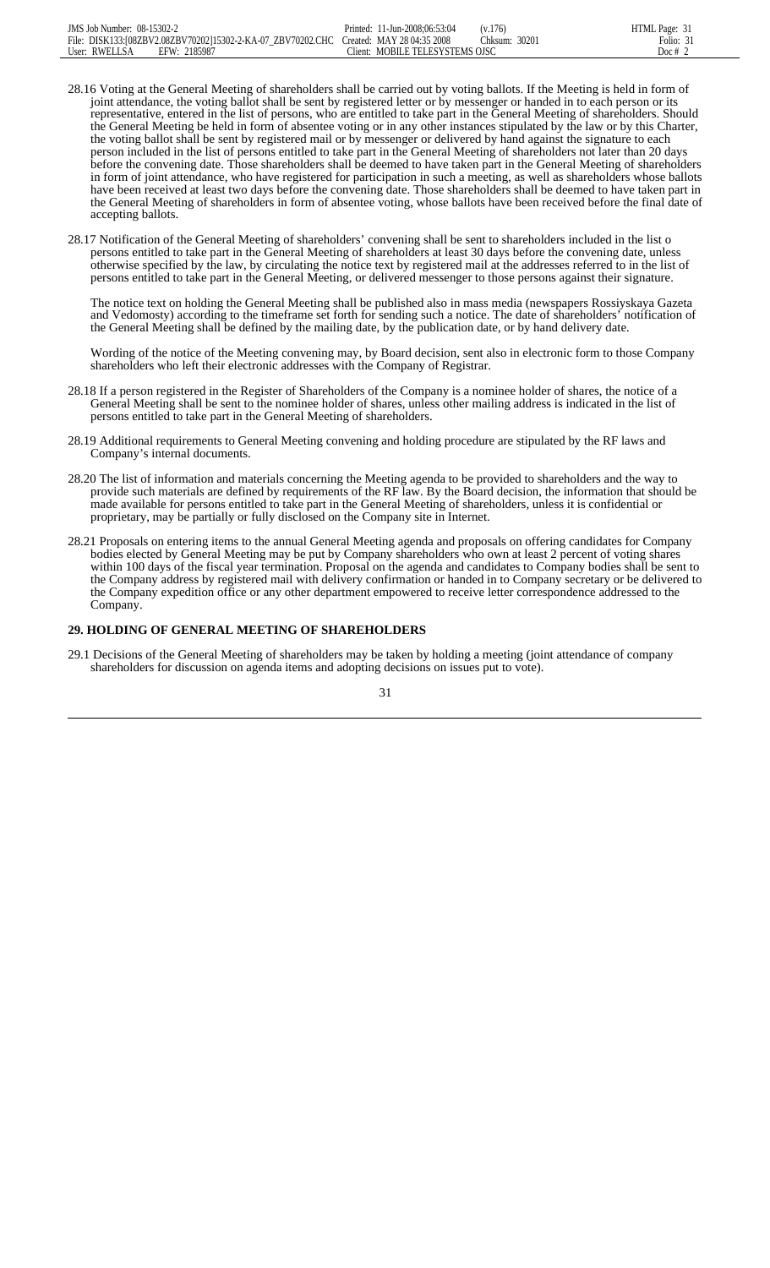- 28.16 Voting at the General Meeting of shareholders shall be carried out by voting ballots. If the Meeting is held in form of joint attendance, the voting ballot shall be sent by registered letter or by messenger or handed in to each person or its representative, entered in the list of persons, who are entitled to take part in the General Meeting of shareholders. Should the General Meeting be held in form of absentee voting or in any other instances stipulated by the law or by this Charter, the voting ballot shall be sent by registered mail or by messenger or delivered by hand against the signature to each person included in the list of persons entitled to take part in the General Meeting of shareholders not later than 20 days before the convening date. Those shareholders shall be deemed to have taken part in the General Meeting of shareholders in form of joint attendance, who have registered for participation in such a meeting, as well as shareholders whose ballots have been received at least two days before the convening date. Those shareholders shall be deemed to have taken part in the General Meeting of shareholders in form of absentee voting, whose ballots have been received before the final date of accepting ballots.
- 28.17 Notification of the General Meeting of shareholders' convening shall be sent to shareholders included in the list o persons entitled to take part in the General Meeting of shareholders at least 30 days before the convening date, unless otherwise specified by the law, by circulating the notice text by registered mail at the addresses referred to in the list of persons entitled to take part in the General Meeting, or delivered messenger to those persons against their signature.

The notice text on holding the General Meeting shall be published also in mass media (newspapers Rossiyskaya Gazeta and Vedomosty) according to the timeframe set forth for sending such a notice. The date of shareholders' notification of the General Meeting shall be defined by the mailing date, by the publication date, or by hand delivery date.

Wording of the notice of the Meeting convening may, by Board decision, sent also in electronic form to those Company shareholders who left their electronic addresses with the Company of Registrar.

- 28.18 If a person registered in the Register of Shareholders of the Company is a nominee holder of shares, the notice of a General Meeting shall be sent to the nominee holder of shares, unless other mailing address is indicated in the list of persons entitled to take part in the General Meeting of shareholders.
- 28.19 Additional requirements to General Meeting convening and holding procedure are stipulated by the RF laws and Company's internal documents.
- 28.20 The list of information and materials concerning the Meeting agenda to be provided to shareholders and the way to provide such materials are defined by requirements of the RF law. By the Board decision, the information that should be made available for persons entitled to take part in the General Meeting of shareholders, unless it is confidential or proprietary, may be partially or fully disclosed on the Company site in Internet.
- 28.21 Proposals on entering items to the annual General Meeting agenda and proposals on offering candidates for Company bodies elected by General Meeting may be put by Company shareholders who own at least 2 percent of voting shares within 100 days of the fiscal year termination. Proposal on the agenda and candidates to Company bodies shall be sent to the Company address by registered mail with delivery confirmation or handed in to Company secretary or be delivered to the Company expedition office or any other department empowered to receive letter correspondence addressed to the Company.

# **29. HOLDING OF GENERAL MEETING OF SHAREHOLDERS**

29.1 Decisions of the General Meeting of shareholders may be taken by holding a meeting (joint attendance of company shareholders for discussion on agenda items and adopting decisions on issues put to vote).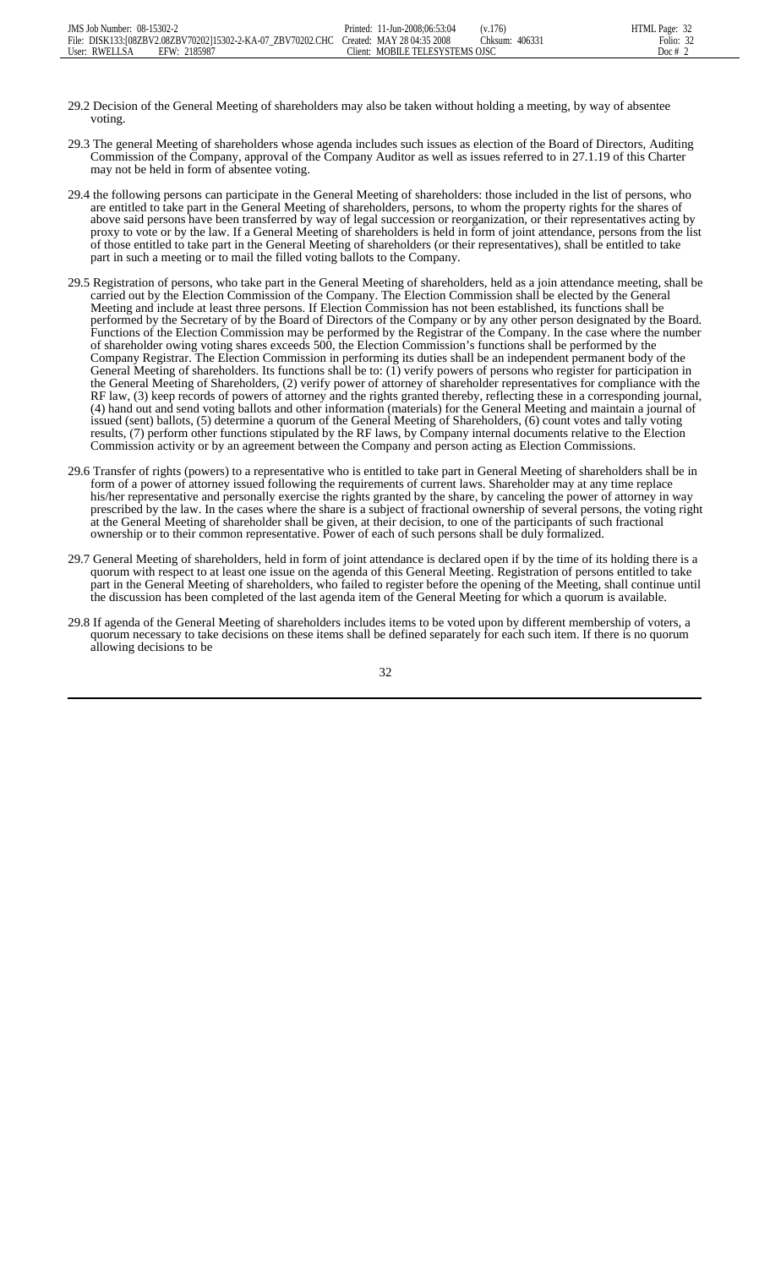- 29.2 Decision of the General Meeting of shareholders may also be taken without holding a meeting, by way of absentee voting.
- 29.3 The general Meeting of shareholders whose agenda includes such issues as election of the Board of Directors, Auditing Commission of the Company, approval of the Company Auditor as well as issues referred to in 27.1.19 of this Charter may not be held in form of absentee voting.
- 29.4 the following persons can participate in the General Meeting of shareholders: those included in the list of persons, who are entitled to take part in the General Meeting of shareholders, persons, to whom the property rights for the shares of above said persons have been transferred by way of legal succession or reorganization, or their representatives acting by proxy to vote or by the law. If a General Meeting of shareholders is held in form of joint attendance, persons from the list of those entitled to take part in the General Meeting of shareholders (or their representatives), shall be entitled to take part in such a meeting or to mail the filled voting ballots to the Company.
- 29.5 Registration of persons, who take part in the General Meeting of shareholders, held as a join attendance meeting, shall be carried out by the Election Commission of the Company. The Election Commission shall be elected by the General Meeting and include at least three persons. If Election Commission has not been established, its functions shall be performed by the Secretary of by the Board of Directors of the Company or by any other person designated by the Board. Functions of the Election Commission may be performed by the Registrar of the Company. In the case where the number of shareholder owing voting shares exceeds 500, the Election Commission's functions shall be performed by the Company Registrar. The Election Commission in performing its duties shall be an independent permanent body of the General Meeting of shareholders. Its functions shall be to: (1) verify powers of persons who register for participation in the General Meeting of Shareholders, (2) verify power of attorney of shareholder representatives for compliance with the RF law, (3) keep records of powers of attorney and the rights granted thereby, reflecting these in a corresponding journal, (4) hand out and send voting ballots and other information (materials) for the General Meeting and maintain a journal of issued (sent) ballots, (5) determine a quorum of the General Meeting of Shareholders, (6) count votes and tally voting results, (7) perform other functions stipulated by the RF laws, by Company internal documents relative to the Election Commission activity or by an agreement between the Company and person acting as Election Commissions.
- 29.6 Transfer of rights (powers) to a representative who is entitled to take part in General Meeting of shareholders shall be in form of a power of attorney issued following the requirements of current laws. Shareholder may at any time replace his/her representative and personally exercise the rights granted by the share, by canceling the power of attorney in way prescribed by the law. In the cases where the share is a subject of fractional ownership of several persons, the voting right at the General Meeting of shareholder shall be given, at their decision, to one of the participants of such fractional ownership or to their common representative. Power of each of such persons shall be duly formalized.
- 29.7 General Meeting of shareholders, held in form of joint attendance is declared open if by the time of its holding there is a quorum with respect to at least one issue on the agenda of this General Meeting. Registration of persons entitled to take part in the General Meeting of shareholders, who failed to register before the opening of the Meeting, shall continue until the discussion has been completed of the last agenda item of the General Meeting for which a quorum is available.
- 29.8 If agenda of the General Meeting of shareholders includes items to be voted upon by different membership of voters, a quorum necessary to take decisions on these items shall be defined separately for each such item. If there is no quorum allowing decisions to be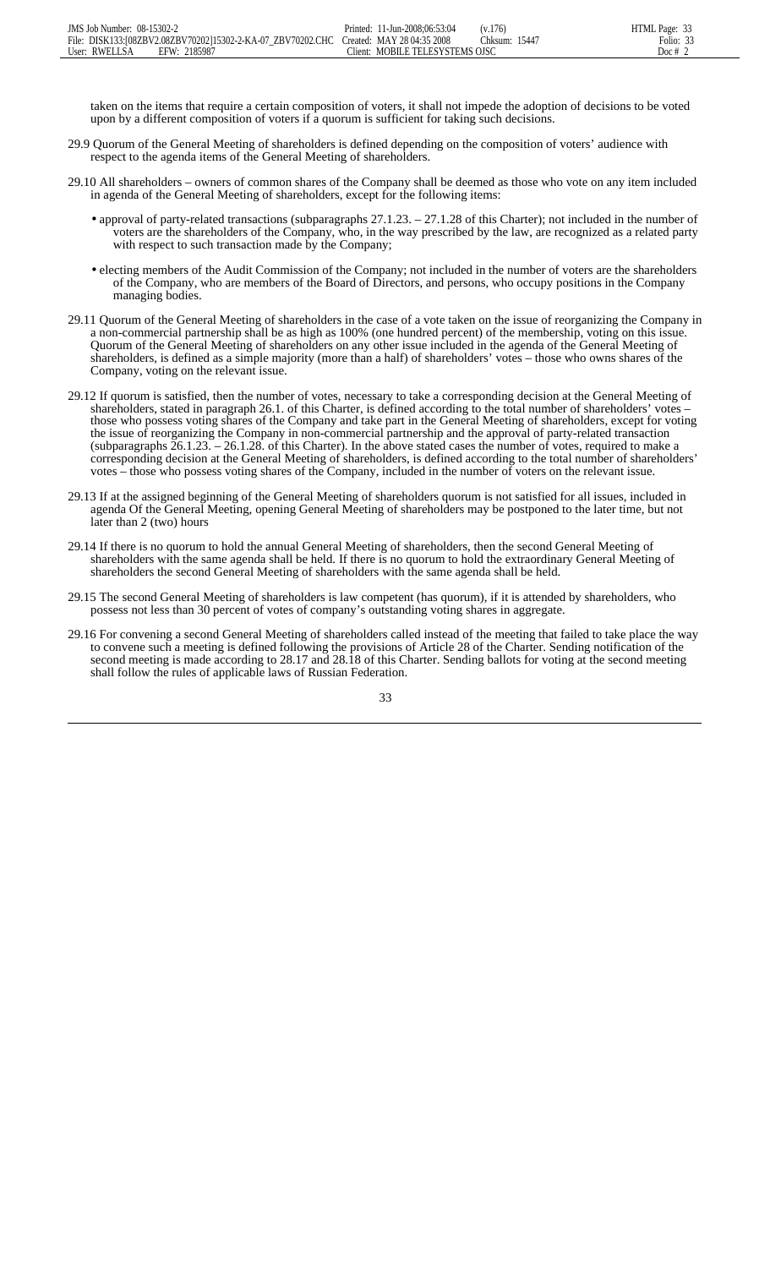taken on the items that require a certain composition of voters, it shall not impede the adoption of decisions to be voted upon by a different composition of voters if a quorum is sufficient for taking such decisions.

- 29.9 Quorum of the General Meeting of shareholders is defined depending on the composition of voters' audience with respect to the agenda items of the General Meeting of shareholders.
- 29.10 All shareholders owners of common shares of the Company shall be deemed as those who vote on any item included in agenda of the General Meeting of shareholders, except for the following items:
	- approval of party-related transactions (subparagraphs 27.1.23. 27.1.28 of this Charter); not included in the number of voters are the shareholders of the Company, who, in the way prescribed by the law, are recognized as a related party with respect to such transaction made by the Company;
	- electing members of the Audit Commission of the Company; not included in the number of voters are the shareholders of the Company, who are members of the Board of Directors, and persons, who occupy positions in the Company managing bodies.
- 29.11 Quorum of the General Meeting of shareholders in the case of a vote taken on the issue of reorganizing the Company in a non-commercial partnership shall be as high as 100% (one hundred percent) of the membership, voting on this issue. Quorum of the General Meeting of shareholders on any other issue included in the agenda of the General Meeting of shareholders, is defined as a simple majority (more than a half) of shareholders' votes – those who owns shares of the Company, voting on the relevant issue.
- 29.12 If quorum is satisfied, then the number of votes, necessary to take a corresponding decision at the General Meeting of shareholders, stated in paragraph 26.1. of this Charter, is defined according to the total number of shareholders' votes – those who possess voting shares of the Company and take part in the General Meeting of shareholders, except for voting the issue of reorganizing the Company in non-commercial partnership and the approval of party-related transaction (subparagraphs 26.1.23. – 26.1.28. of this Charter). In the above stated cases the number of votes, required to make a corresponding decision at the General Meeting of shareholders, is defined according to the total number of shareholders' votes – those who possess voting shares of the Company, included in the number of voters on the relevant issue.
- 29.13 If at the assigned beginning of the General Meeting of shareholders quorum is not satisfied for all issues, included in agenda Of the General Meeting, opening General Meeting of shareholders may be postponed to the later time, but not later than 2 (two) hours
- 29.14 If there is no quorum to hold the annual General Meeting of shareholders, then the second General Meeting of shareholders with the same agenda shall be held. If there is no quorum to hold the extraordinary General Meeting of shareholders the second General Meeting of shareholders with the same agenda shall be held.
- 29.15 The second General Meeting of shareholders is law competent (has quorum), if it is attended by shareholders, who possess not less than 30 percent of votes of company's outstanding voting shares in aggregate.
- 29.16 For convening a second General Meeting of shareholders called instead of the meeting that failed to take place the way to convene such a meeting is defined following the provisions of Article 28 of the Charter. Sending notification of the second meeting is made according to 28.17 and 28.18 of this Charter. Sending ballots for voting at the second meeting shall follow the rules of applicable laws of Russian Federation.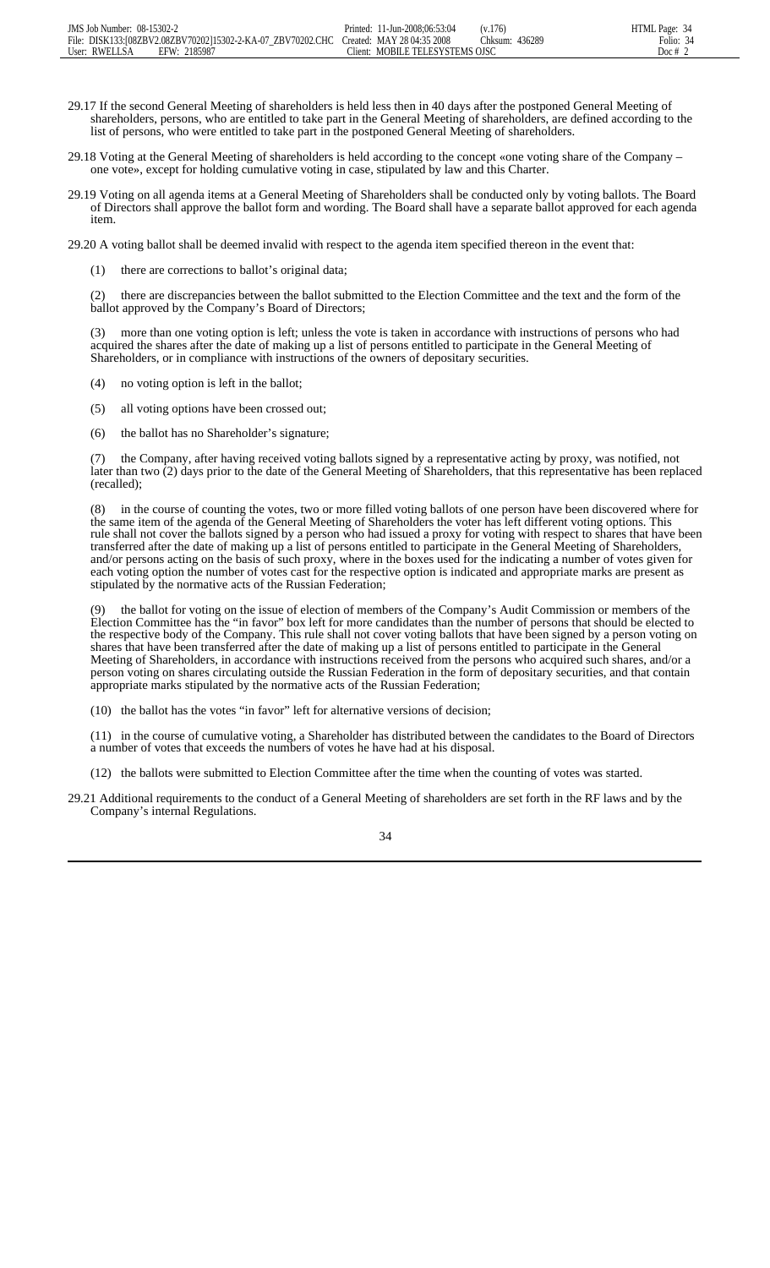- 29.17 If the second General Meeting of shareholders is held less then in 40 days after the postponed General Meeting of shareholders, persons, who are entitled to take part in the General Meeting of shareholders, are defined according to the list of persons, who were entitled to take part in the postponed General Meeting of shareholders.
- 29.18 Voting at the General Meeting of shareholders is held according to the concept «one voting share of the Company one vote», except for holding cumulative voting in case, stipulated by law and this Charter.
- 29.19 Voting on all agenda items at a General Meeting of Shareholders shall be conducted only by voting ballots. The Board of Directors shall approve the ballot form and wording. The Board shall have a separate ballot approved for each agenda item.

29.20 A voting ballot shall be deemed invalid with respect to the agenda item specified thereon in the event that:

(1) there are corrections to ballot's original data;

(2) there are discrepancies between the ballot submitted to the Election Committee and the text and the form of the ballot approved by the Company's Board of Directors;

(3) more than one voting option is left; unless the vote is taken in accordance with instructions of persons who had acquired the shares after the date of making up a list of persons entitled to participate in the General Meeting of Shareholders, or in compliance with instructions of the owners of depositary securities.

- (4) no voting option is left in the ballot;
- (5) all voting options have been crossed out;
- (6) the ballot has no Shareholder's signature;

the Company, after having received voting ballots signed by a representative acting by proxy, was notified, not later than two (2) days prior to the date of the General Meeting of Shareholders, that this representative has been replaced (recalled);

(8) in the course of counting the votes, two or more filled voting ballots of one person have been discovered where for the same item of the agenda of the General Meeting of Shareholders the voter has left different voting options. This rule shall not cover the ballots signed by a person who had issued a proxy for voting with respect to shares that have been transferred after the date of making up a list of persons entitled to participate in the General Meeting of Shareholders, and/or persons acting on the basis of such proxy, where in the boxes used for the indicating a number of votes given for each voting option the number of votes cast for the respective option is indicated and appropriate marks are present as stipulated by the normative acts of the Russian Federation;

(9) the ballot for voting on the issue of election of members of the Company's Audit Commission or members of the Election Committee has the "in favor" box left for more candidates than the number of persons that should be elected to the respective body of the Company. This rule shall not cover voting ballots that have been signed by a person voting on shares that have been transferred after the date of making up a list of persons entitled to participate in the General Meeting of Shareholders, in accordance with instructions received from the persons who acquired such shares, and/or a person voting on shares circulating outside the Russian Federation in the form of depositary securities, and that contain appropriate marks stipulated by the normative acts of the Russian Federation;

(10) the ballot has the votes "in favor" left for alternative versions of decision;

(11) in the course of cumulative voting, a Shareholder has distributed between the candidates to the Board of Directors a number of votes that exceeds the numbers of votes he have had at his disposal.

(12) the ballots were submitted to Election Committee after the time when the counting of votes was started.

29.21 Additional requirements to the conduct of a General Meeting of shareholders are set forth in the RF laws and by the Company's internal Regulations.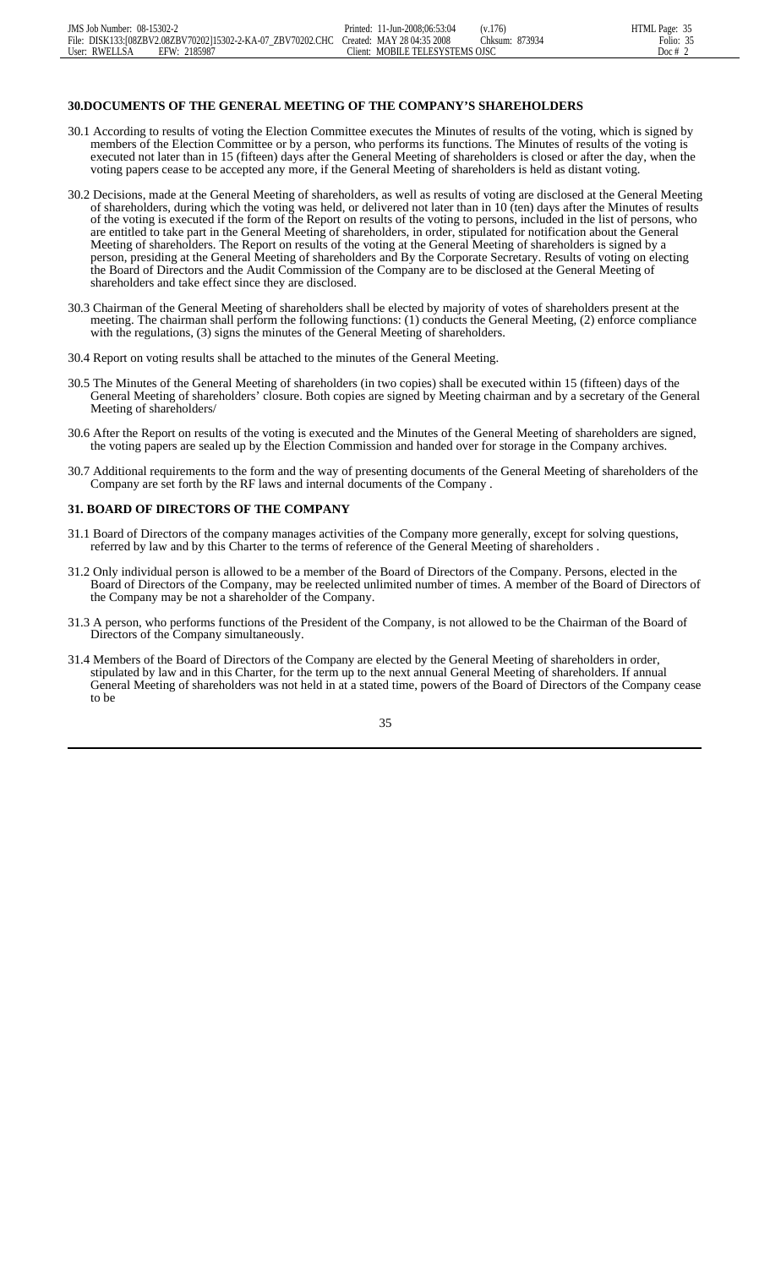#### **30.DOCUMENTS OF THE GENERAL MEETING OF THE COMPANY'S SHAREHOLDERS**

- 30.1 According to results of voting the Election Committee executes the Minutes of results of the voting, which is signed by members of the Election Committee or by a person, who performs its functions. The Minutes of results of the voting is executed not later than in 15 (fifteen) days after the General Meeting of shareholders is closed or after the day, when the voting papers cease to be accepted any more, if the General Meeting of shareholders is held as distant voting.
- 30.2 Decisions, made at the General Meeting of shareholders, as well as results of voting are disclosed at the General Meeting of shareholders, during which the voting was held, or delivered not later than in 10 (ten) days after the Minutes of results of the voting is executed if the form of the Report on results of the voting to persons, included in the list of persons, who are entitled to take part in the General Meeting of shareholders, in order, stipulated for notification about the General Meeting of shareholders. The Report on results of the voting at the General Meeting of shareholders is signed by a person, presiding at the General Meeting of shareholders and By the Corporate Secretary. Results of voting on electing the Board of Directors and the Audit Commission of the Company are to be disclosed at the General Meeting of shareholders and take effect since they are disclosed.
- 30.3 Chairman of the General Meeting of shareholders shall be elected by majority of votes of shareholders present at the meeting. The chairman shall perform the following functions: (1) conducts the General Meeting, (2) enforce compliance with the regulations, (3) signs the minutes of the General Meeting of shareholders.
- 30.4 Report on voting results shall be attached to the minutes of the General Meeting.
- 30.5 The Minutes of the General Meeting of shareholders (in two copies) shall be executed within 15 (fifteen) days of the General Meeting of shareholders' closure. Both copies are signed by Meeting chairman and by a secretary of the General Meeting of shareholders/
- 30.6 After the Report on results of the voting is executed and the Minutes of the General Meeting of shareholders are signed, the voting papers are sealed up by the Election Commission and handed over for storage in the Company archives.
- 30.7 Additional requirements to the form and the way of presenting documents of the General Meeting of shareholders of the Company are set forth by the RF laws and internal documents of the Company .

#### **31. BOARD OF DIRECTORS OF THE COMPANY**

- 31.1 Board of Directors of the company manages activities of the Company more generally, except for solving questions, referred by law and by this Charter to the terms of reference of the General Meeting of shareholders .
- 31.2 Only individual person is allowed to be a member of the Board of Directors of the Company. Persons, elected in the Board of Directors of the Company, may be reelected unlimited number of times. A member of the Board of Directors of the Company may be not a shareholder of the Company.
- 31.3 A person, who performs functions of the President of the Company, is not allowed to be the Chairman of the Board of Directors of the Company simultaneously.
- 31.4 Members of the Board of Directors of the Company are elected by the General Meeting of shareholders in order, stipulated by law and in this Charter, for the term up to the next annual General Meeting of shareholders. If annual General Meeting of shareholders was not held in at a stated time, powers of the Board of Directors of the Company cease to be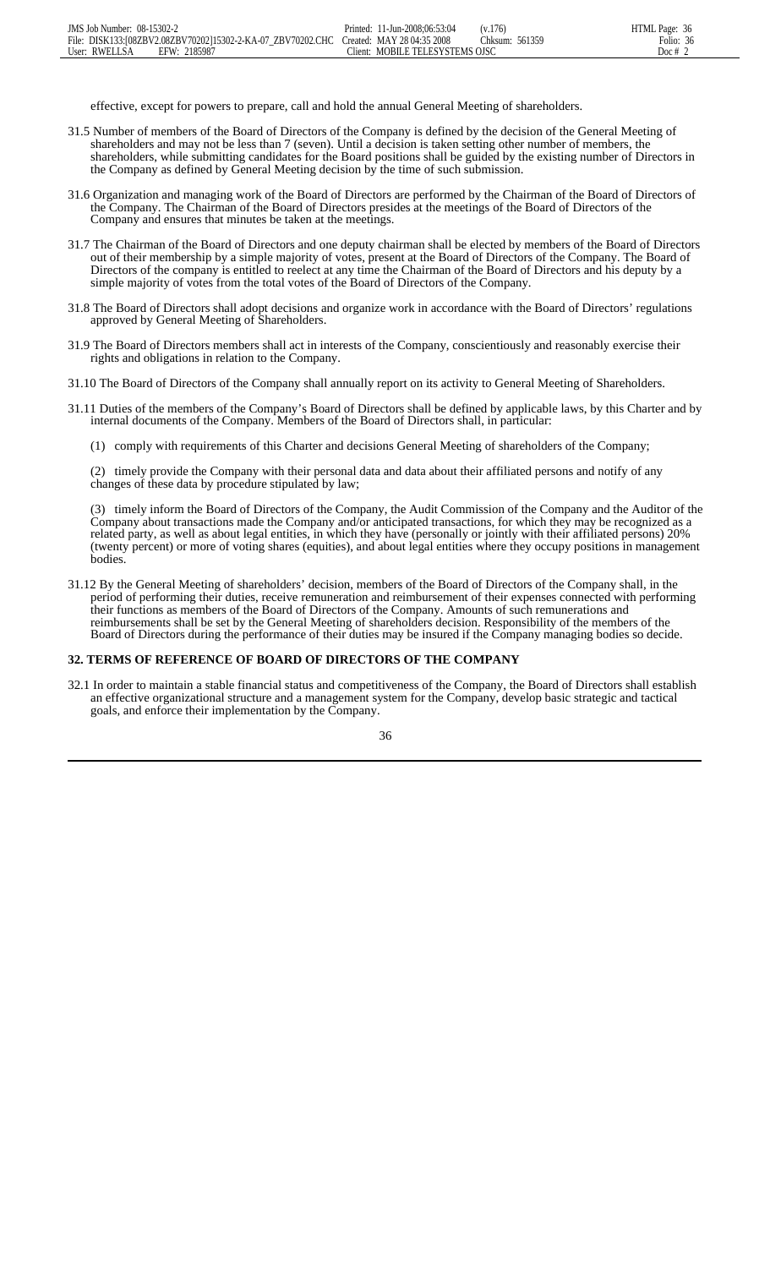effective, except for powers to prepare, call and hold the annual General Meeting of shareholders.

- 31.5 Number of members of the Board of Directors of the Company is defined by the decision of the General Meeting of shareholders and may not be less than 7 (seven). Until a decision is taken setting other number of members, the shareholders, while submitting candidates for the Board positions shall be guided by the existing number of Directors in the Company as defined by General Meeting decision by the time of such submission.
- 31.6 Organization and managing work of the Board of Directors are performed by the Chairman of the Board of Directors of the Company. The Chairman of the Board of Directors presides at the meetings of the Board of Directors of the Company and ensures that minutes be taken at the meetings.
- 31.7 The Chairman of the Board of Directors and one deputy chairman shall be elected by members of the Board of Directors out of their membership by a simple majority of votes, present at the Board of Directors of the Company. The Board of Directors of the company is entitled to reelect at any time the Chairman of the Board of Directors and his deputy by a simple majority of votes from the total votes of the Board of Directors of the Company.
- 31.8 The Board of Directors shall adopt decisions and organize work in accordance with the Board of Directors' regulations approved by General Meeting of Shareholders.
- 31.9 The Board of Directors members shall act in interests of the Company, conscientiously and reasonably exercise their rights and obligations in relation to the Company.
- 31.10 The Board of Directors of the Company shall annually report on its activity to General Meeting of Shareholders.
- 31.11 Duties of the members of the Company's Board of Directors shall be defined by applicable laws, by this Charter and by internal documents of the Company. Members of the Board of Directors shall, in particular:
	- (1) comply with requirements of this Charter and decisions General Meeting of shareholders of the Company;

(2) timely provide the Company with their personal data and data about their affiliated persons and notify of any changes of these data by procedure stipulated by law;

(3) timely inform the Board of Directors of the Company, the Audit Commission of the Company and the Auditor of the Company about transactions made the Company and/or anticipated transactions, for which they may be recognized as a related party, as well as about legal entities, in which they have (personally or jointly with their affiliated persons) 20% (twenty percent) or more of voting shares (equities), and about legal entities where they occupy positions in management bodies.

31.12 By the General Meeting of shareholders' decision, members of the Board of Directors of the Company shall, in the period of performing their duties, receive remuneration and reimbursement of their expenses connected with performing their functions as members of the Board of Directors of the Company. Amounts of such remunerations and reimbursements shall be set by the General Meeting of shareholders decision. Responsibility of the members of the Board of Directors during the performance of their duties may be insured if the Company managing bodies so decide.

#### **32. TERMS OF REFERENCE OF BOARD OF DIRECTORS OF THE COMPANY**

32.1 In order to maintain a stable financial status and competitiveness of the Company, the Board of Directors shall establish an effective organizational structure and a management system for the Company, develop basic strategic and tactical goals, and enforce their implementation by the Company.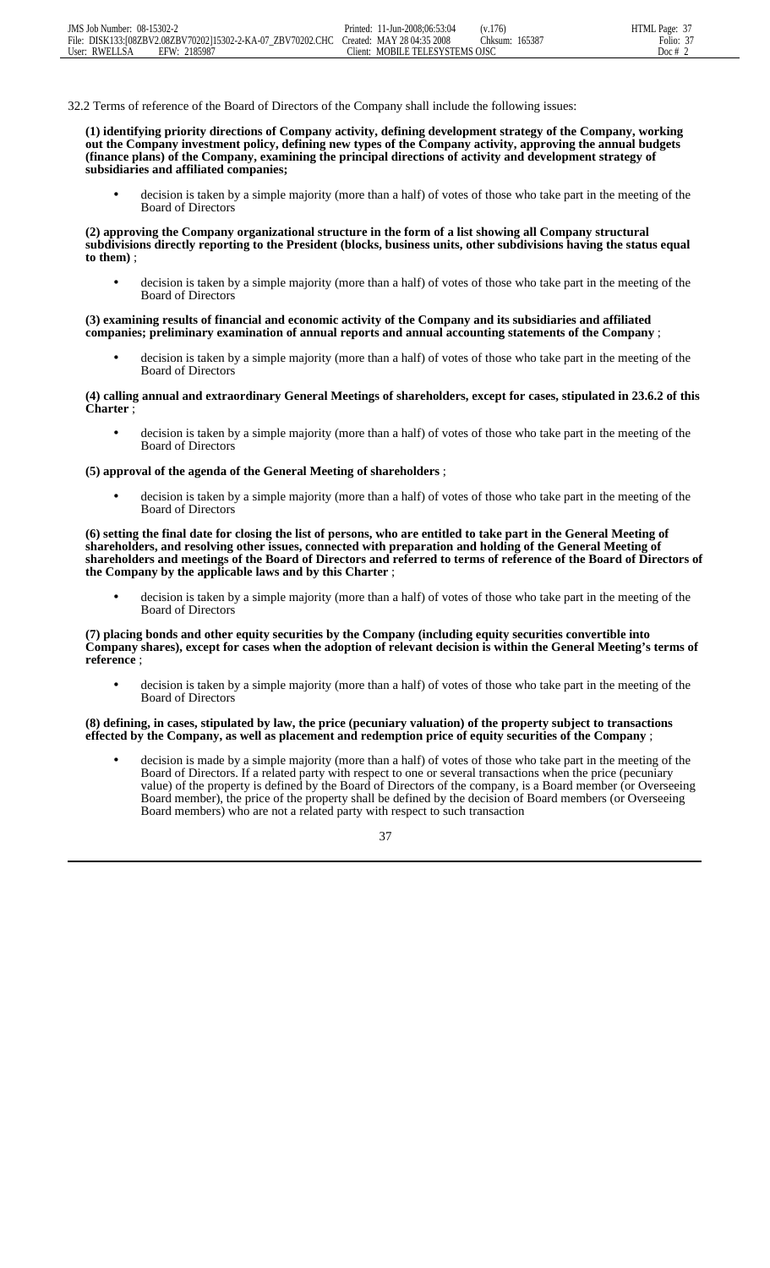32.2 Terms of reference of the Board of Directors of the Company shall include the following issues:

**(1) identifying priority directions of Company activity, defining development strategy of the Company, working out the Company investment policy, defining new types of the Company activity, approving the annual budgets (finance plans) of the Company, examining the principal directions of activity and development strategy of subsidiaries and affiliated companies;**

• decision is taken by a simple majority (more than a half) of votes of those who take part in the meeting of the Board of Directors

### **(2) approving the Company organizational structure in the form of a list showing all Company structural subdivisions directly reporting to the President (blocks, business units, other subdivisions having the status equal to them)** ;

• decision is taken by a simple majority (more than a half) of votes of those who take part in the meeting of the Board of Directors

#### **(3) examining results of financial and economic activity of the Company and its subsidiaries and affiliated companies; preliminary examination of annual reports and annual accounting statements of the Company** ;

• decision is taken by a simple majority (more than a half) of votes of those who take part in the meeting of the Board of Directors

### **(4) calling annual and extraordinary General Meetings of shareholders, except for cases, stipulated in 23.6.2 of this Charter** ;

• decision is taken by a simple majority (more than a half) of votes of those who take part in the meeting of the Board of Directors

## **(5) approval of the agenda of the General Meeting of shareholders** ;

• decision is taken by a simple majority (more than a half) of votes of those who take part in the meeting of the Board of Directors

**(6) setting the final date for closing the list of persons, who are entitled to take part in the General Meeting of shareholders, and resolving other issues, connected with preparation and holding of the General Meeting of shareholders and meetings of the Board of Directors and referred to terms of reference of the Board of Directors of the Company by the applicable laws and by this Charter** ;

• decision is taken by a simple majority (more than a half) of votes of those who take part in the meeting of the Board of Directors

#### **(7) placing bonds and other equity securities by the Company (including equity securities convertible into Company shares), except for cases when the adoption of relevant decision is within the General Meeting's terms of reference** ;

• decision is taken by a simple majority (more than a half) of votes of those who take part in the meeting of the Board of Directors

### **(8) defining, in cases, stipulated by law, the price (pecuniary valuation) of the property subject to transactions effected by the Company, as well as placement and redemption price of equity securities of the Company** ;

• decision is made by a simple majority (more than a half) of votes of those who take part in the meeting of the Board of Directors. If a related party with respect to one or several transactions when the price (pecuniary value) of the property is defined by the Board of Directors of the company, is a Board member (or Overseeing Board member), the price of the property shall be defined by the decision of Board members (or Overseeing Board members) who are not a related party with respect to such transaction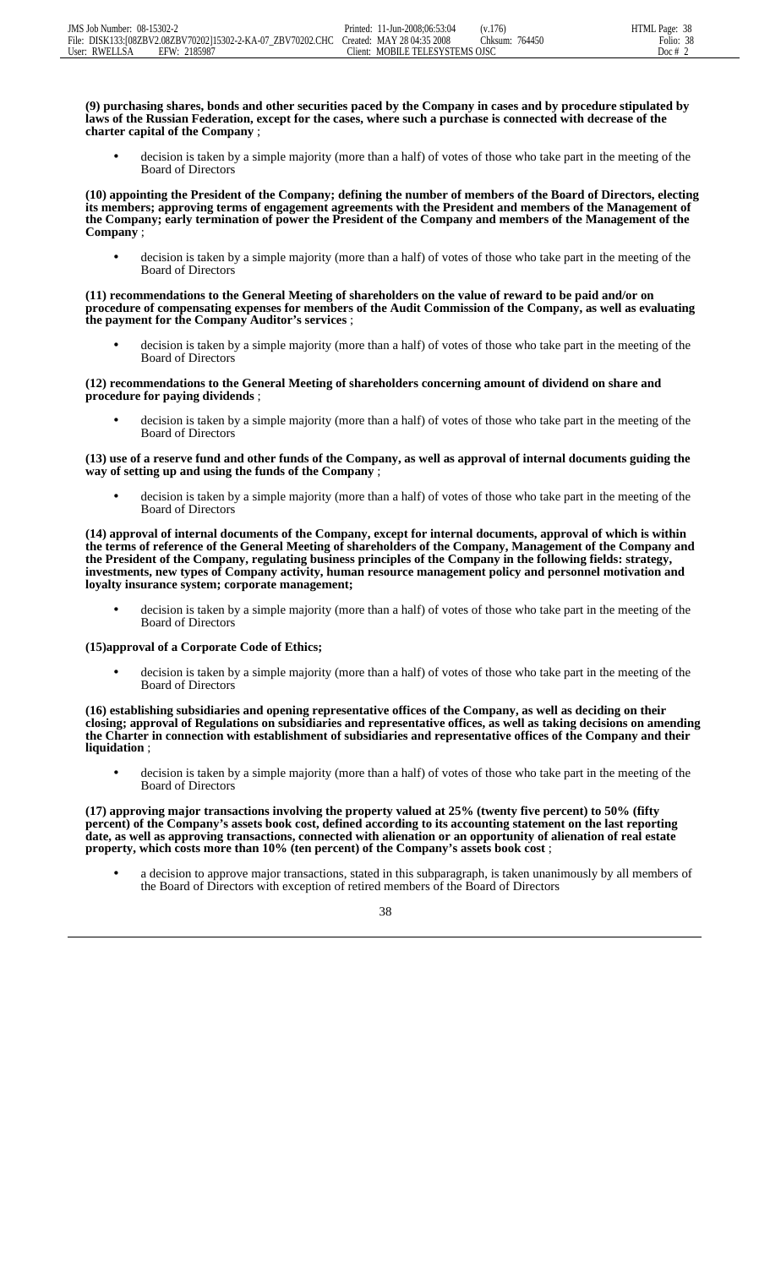**(9) purchasing shares, bonds and other securities paced by the Company in cases and by procedure stipulated by laws of the Russian Federation, except for the cases, where such a purchase is connected with decrease of the charter capital of the Company** ;

• decision is taken by a simple majority (more than a half) of votes of those who take part in the meeting of the Board of Directors

**(10) appointing the President of the Company; defining the number of members of the Board of Directors, electing its members; approving terms of engagement agreements with the President and members of the Management of the Company; early termination of power the President of the Company and members of the Management of the Company** ;

• decision is taken by a simple majority (more than a half) of votes of those who take part in the meeting of the Board of Directors

**(11) recommendations to the General Meeting of shareholders on the value of reward to be paid and/or on procedure of compensating expenses for members of the Audit Commission of the Company, as well as evaluating the payment for the Company Auditor's services** ;

• decision is taken by a simple majority (more than a half) of votes of those who take part in the meeting of the Board of Directors

### **(12) recommendations to the General Meeting of shareholders concerning amount of dividend on share and procedure for paying dividends** ;

• decision is taken by a simple majority (more than a half) of votes of those who take part in the meeting of the Board of Directors

**(13) use of a reserve fund and other funds of the Company, as well as approval of internal documents guiding the way of setting up and using the funds of the Company** ;

• decision is taken by a simple majority (more than a half) of votes of those who take part in the meeting of the Board of Directors

**(14) approval of internal documents of the Company, except for internal documents, approval of which is within the terms of reference of the General Meeting of shareholders of the Company, Management of the Company and the President of the Company, regulating business principles of the Company in the following fields: strategy, investments, new types of Company activity, human resource management policy and personnel motivation and loyalty insurance system; corporate management;**

• decision is taken by a simple majority (more than a half) of votes of those who take part in the meeting of the Board of Directors

**(15)approval of a Corporate Code of Ethics;**

• decision is taken by a simple majority (more than a half) of votes of those who take part in the meeting of the Board of Directors

**(16) establishing subsidiaries and opening representative offices of the Company, as well as deciding on their closing; approval of Regulations on subsidiaries and representative offices, as well as taking decisions on amending the Charter in connection with establishment of subsidiaries and representative offices of the Company and their liquidation** ;

• decision is taken by a simple majority (more than a half) of votes of those who take part in the meeting of the Board of Directors

**(17) approving major transactions involving the property valued at 25% (twenty five percent) to 50% (fifty percent) of the Company's assets book cost, defined according to its accounting statement on the last reporting date, as well as approving transactions, connected with alienation or an opportunity of alienation of real estate property, which costs more than 10% (ten percent) of the Company's assets book cost** ;

• a decision to approve major transactions, stated in this subparagraph, is taken unanimously by all members of the Board of Directors with exception of retired members of the Board of Directors

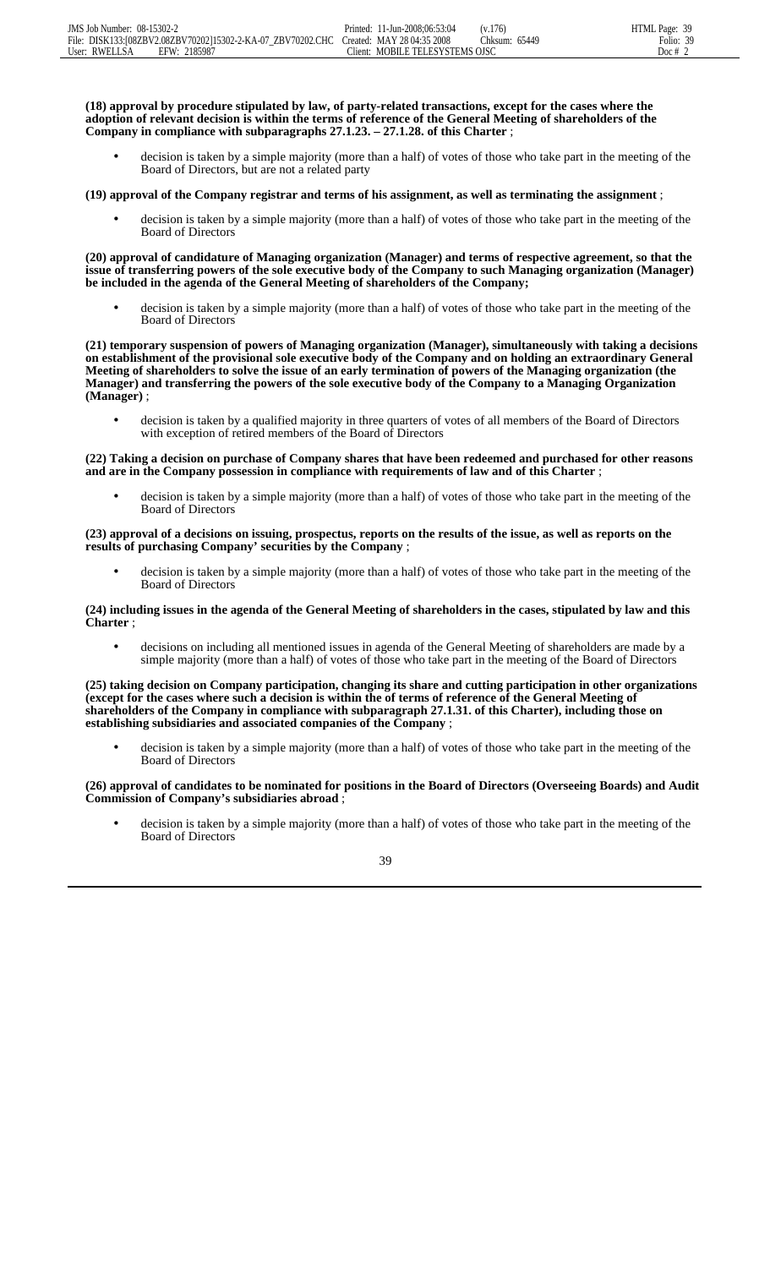**(18) approval by procedure stipulated by law, of party-related transactions, except for the cases where the adoption of relevant decision is within the terms of reference of the General Meeting of shareholders of the Company in compliance with subparagraphs 27.1.23. – 27.1.28. of this Charter** ;

• decision is taken by a simple majority (more than a half) of votes of those who take part in the meeting of the Board of Directors, but are not a related party

#### **(19) approval of the Company registrar and terms of his assignment, as well as terminating the assignment** ;

• decision is taken by a simple majority (more than a half) of votes of those who take part in the meeting of the Board of Directors

**(20) approval of candidature of Managing organization (Manager) and terms of respective agreement, so that the issue of transferring powers of the sole executive body of the Company to such Managing organization (Manager) be included in the agenda of the General Meeting of shareholders of the Company;**

• decision is taken by a simple majority (more than a half) of votes of those who take part in the meeting of the Board of Directors

**(21) temporary suspension of powers of Managing organization (Manager), simultaneously with taking a decisions on establishment of the provisional sole executive body of the Company and on holding an extraordinary General Meeting of shareholders to solve the issue of an early termination of powers of the Managing organization (the Manager) and transferring the powers of the sole executive body of the Company to a Managing Organization (Manager)** ;

• decision is taken by a qualified majority in three quarters of votes of all members of the Board of Directors with exception of retired members of the Board of Directors

**(22) Taking a decision on purchase of Company shares that have been redeemed and purchased for other reasons and are in the Company possession in compliance with requirements of law and of this Charter** ;

• decision is taken by a simple majority (more than a half) of votes of those who take part in the meeting of the Board of Directors

### **(23) approval of a decisions on issuing, prospectus, reports on the results of the issue, as well as reports on the results of purchasing Company' securities by the Company** ;

• decision is taken by a simple majority (more than a half) of votes of those who take part in the meeting of the Board of Directors

**(24) including issues in the agenda of the General Meeting of shareholders in the cases, stipulated by law and this Charter** ;

• decisions on including all mentioned issues in agenda of the General Meeting of shareholders are made by a simple majority (more than a half) of votes of those who take part in the meeting of the Board of Directors

**(25) taking decision on Company participation, changing its share and cutting participation in other organizations (except for the cases where such a decision is within the of terms of reference of the General Meeting of shareholders of the Company in compliance with subparagraph 27.1.31. of this Charter), including those on establishing subsidiaries and associated companies of the Company** ;

• decision is taken by a simple majority (more than a half) of votes of those who take part in the meeting of the Board of Directors

## **(26) approval of candidates to be nominated for positions in the Board of Directors (Overseeing Boards) and Audit Commission of Company's subsidiaries abroad** ;

• decision is taken by a simple majority (more than a half) of votes of those who take part in the meeting of the Board of Directors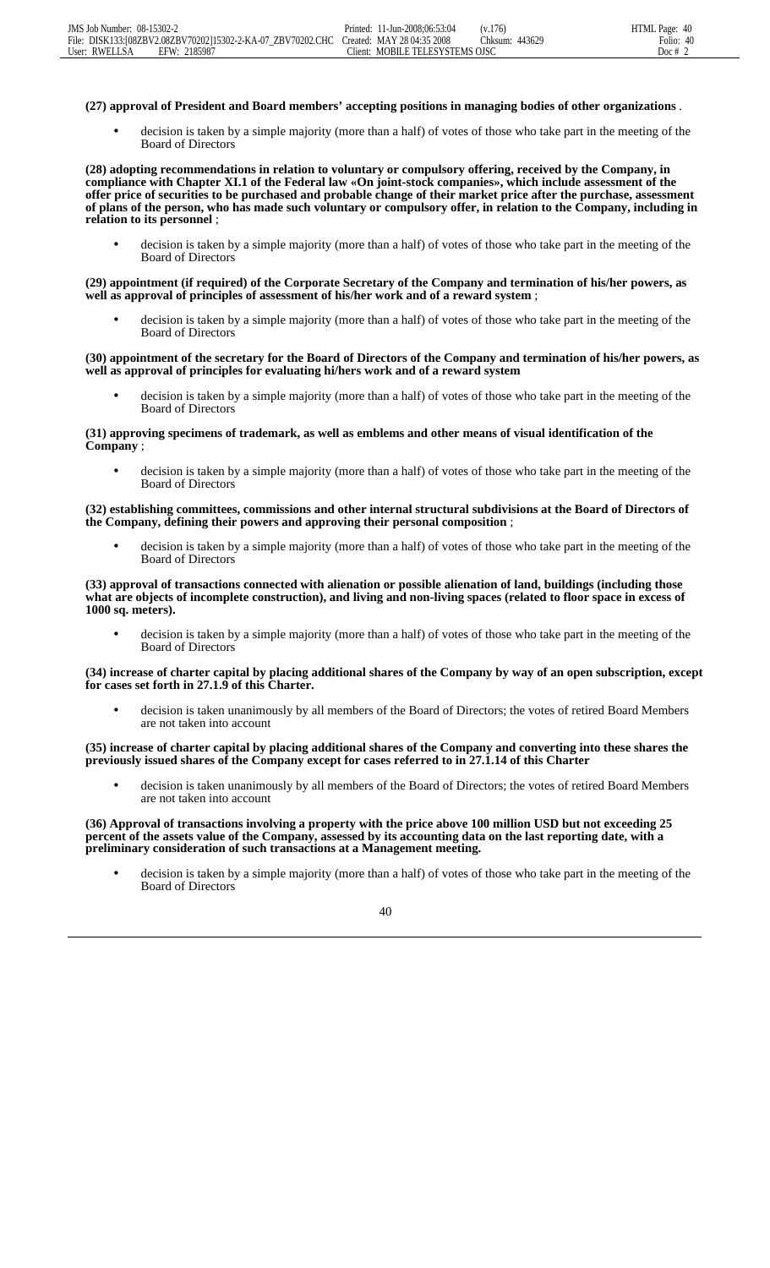### **(27) approval of President and Board members' accepting positions in managing bodies of other organizations** .

• decision is taken by a simple majority (more than a half) of votes of those who take part in the meeting of the Board of Directors

**(28) adopting recommendations in relation to voluntary or compulsory offering, received by the Company, in compliance with Chapter XI.1 of the Federal law «On joint-stock companies», which include assessment of the offer price of securities to be purchased and probable change of their market price after the purchase, assessment of plans of the person, who has made such voluntary or compulsory offer, in relation to the Company, including in relation to its personnel** ;

• decision is taken by a simple majority (more than a half) of votes of those who take part in the meeting of the Board of Directors

**(29) appointment (if required) of the Corporate Secretary of the Company and termination of his/her powers, as well as approval of principles of assessment of his/her work and of a reward system** ;

• decision is taken by a simple majority (more than a half) of votes of those who take part in the meeting of the Board of Directors

**(30) appointment of the secretary for the Board of Directors of the Company and termination of his/her powers, as well as approval of principles for evaluating hi/hers work and of a reward system**

• decision is taken by a simple majority (more than a half) of votes of those who take part in the meeting of the Board of Directors

### **(31) approving specimens of trademark, as well as emblems and other means of visual identification of the Company** ;

• decision is taken by a simple majority (more than a half) of votes of those who take part in the meeting of the Board of Directors

**(32) establishing committees, commissions and other internal structural subdivisions at the Board of Directors of the Company, defining their powers and approving their personal composition** ;

• decision is taken by a simple majority (more than a half) of votes of those who take part in the meeting of the Board of Directors

**(33) approval of transactions connected with alienation or possible alienation of land, buildings (including those what are objects of incomplete construction), and living and non-living spaces (related to floor space in excess of 1000 sq. meters).**

• decision is taken by a simple majority (more than a half) of votes of those who take part in the meeting of the Board of Directors

**(34) increase of charter capital by placing additional shares of the Company by way of an open subscription, except for cases set forth in 27.1.9 of this Charter.**

• decision is taken unanimously by all members of the Board of Directors; the votes of retired Board Members are not taken into account

**(35) increase of charter capital by placing additional shares of the Company and converting into these shares the previously issued shares of the Company except for cases referred to in 27.1.14 of this Charter**

• decision is taken unanimously by all members of the Board of Directors; the votes of retired Board Members are not taken into account

**(36) Approval of transactions involving a property with the price above 100 million USD but not exceeding 25 percent of the assets value of the Company, assessed by its accounting data on the last reporting date, with a preliminary consideration of such transactions at a Management meeting.**

• decision is taken by a simple majority (more than a half) of votes of those who take part in the meeting of the Board of Directors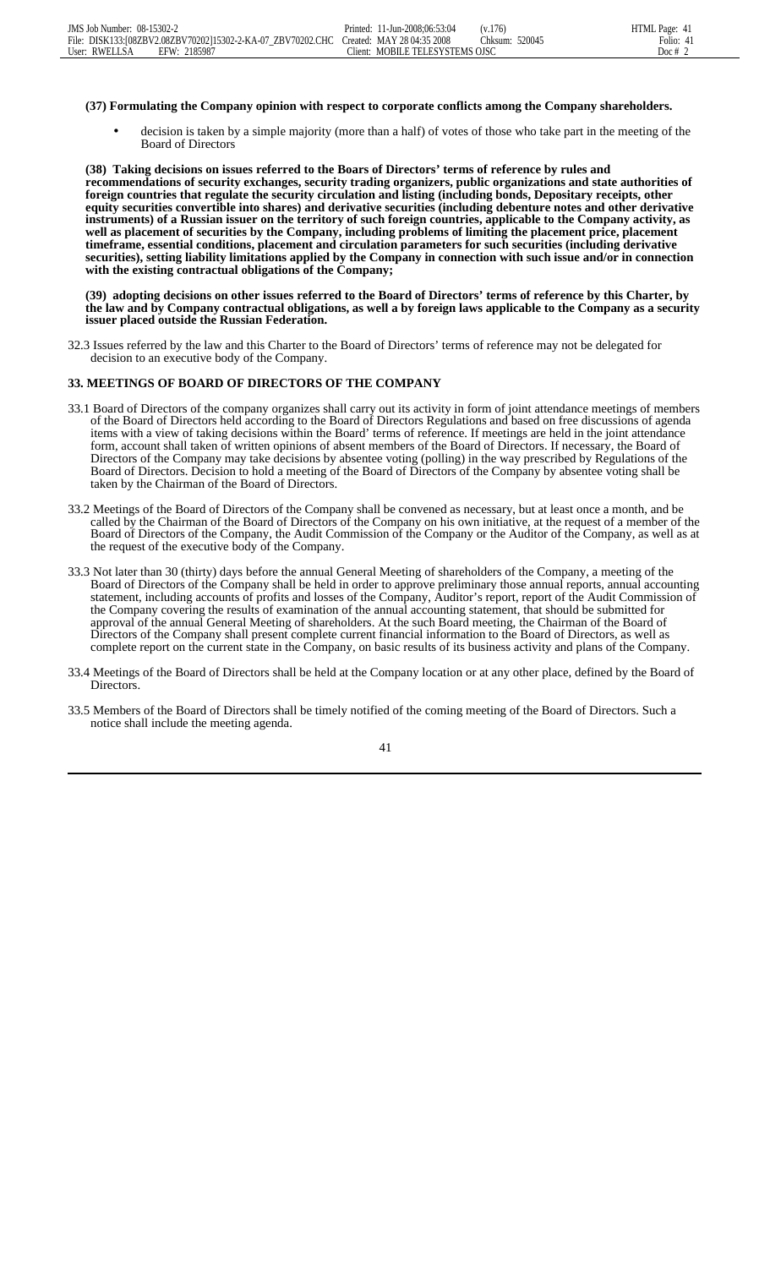#### **(37) Formulating the Company opinion with respect to corporate conflicts among the Company shareholders.**

• decision is taken by a simple majority (more than a half) of votes of those who take part in the meeting of the Board of Directors

**(38) Taking decisions on issues referred to the Boars of Directors' terms of reference by rules and recommendations of security exchanges, security trading organizers, public organizations and state authorities of foreign countries that regulate the security circulation and listing (including bonds, Depositary receipts, other equity securities convertible into shares) and derivative securities (including debenture notes and other derivative instruments) of a Russian issuer on the territory of such foreign countries, applicable to the Company activity, as well as placement of securities by the Company, including problems of limiting the placement price, placement timeframe, essential conditions, placement and circulation parameters for such securities (including derivative securities), setting liability limitations applied by the Company in connection with such issue and/or in connection with the existing contractual obligations of the Company;**

**(39) adopting decisions on other issues referred to the Board of Directors' terms of reference by this Charter, by the law and by Company contractual obligations, as well a by foreign laws applicable to the Company as a security issuer placed outside the Russian Federation.**

32.3 Issues referred by the law and this Charter to the Board of Directors' terms of reference may not be delegated for decision to an executive body of the Company.

## **33. MEETINGS OF BOARD OF DIRECTORS OF THE COMPANY**

- 33.1 Board of Directors of the company organizes shall carry out its activity in form of joint attendance meetings of members of the Board of Directors held according to the Board of Directors Regulations and based on free discussions of agenda items with a view of taking decisions within the Board' terms of reference. If meetings are held in the joint attendance form, account shall taken of written opinions of absent members of the Board of Directors. If necessary, the Board of Directors of the Company may take decisions by absentee voting (polling) in the way prescribed by Regulations of the Board of Directors. Decision to hold a meeting of the Board of Directors of the Company by absentee voting shall be taken by the Chairman of the Board of Directors.
- 33.2 Meetings of the Board of Directors of the Company shall be convened as necessary, but at least once a month, and be called by the Chairman of the Board of Directors of the Company on his own initiative, at the request of a member of the Board of Directors of the Company, the Audit Commission of the Company or the Auditor of the Company, as well as at the request of the executive body of the Company.
- 33.3 Not later than 30 (thirty) days before the annual General Meeting of shareholders of the Company, a meeting of the Board of Directors of the Company shall be held in order to approve preliminary those annual reports, annual accounting statement, including accounts of profits and losses of the Company, Auditor's report, report of the Audit Commission of the Company covering the results of examination of the annual accounting statement, that should be submitted for approval of the annual General Meeting of shareholders. At the such Board meeting, the Chairman of the Board of Directors of the Company shall present complete current financial information to the Board of Directors, as well as complete report on the current state in the Company, on basic results of its business activity and plans of the Company.
- 33.4 Meetings of the Board of Directors shall be held at the Company location or at any other place, defined by the Board of Directors.
- 33.5 Members of the Board of Directors shall be timely notified of the coming meeting of the Board of Directors. Such a notice shall include the meeting agenda.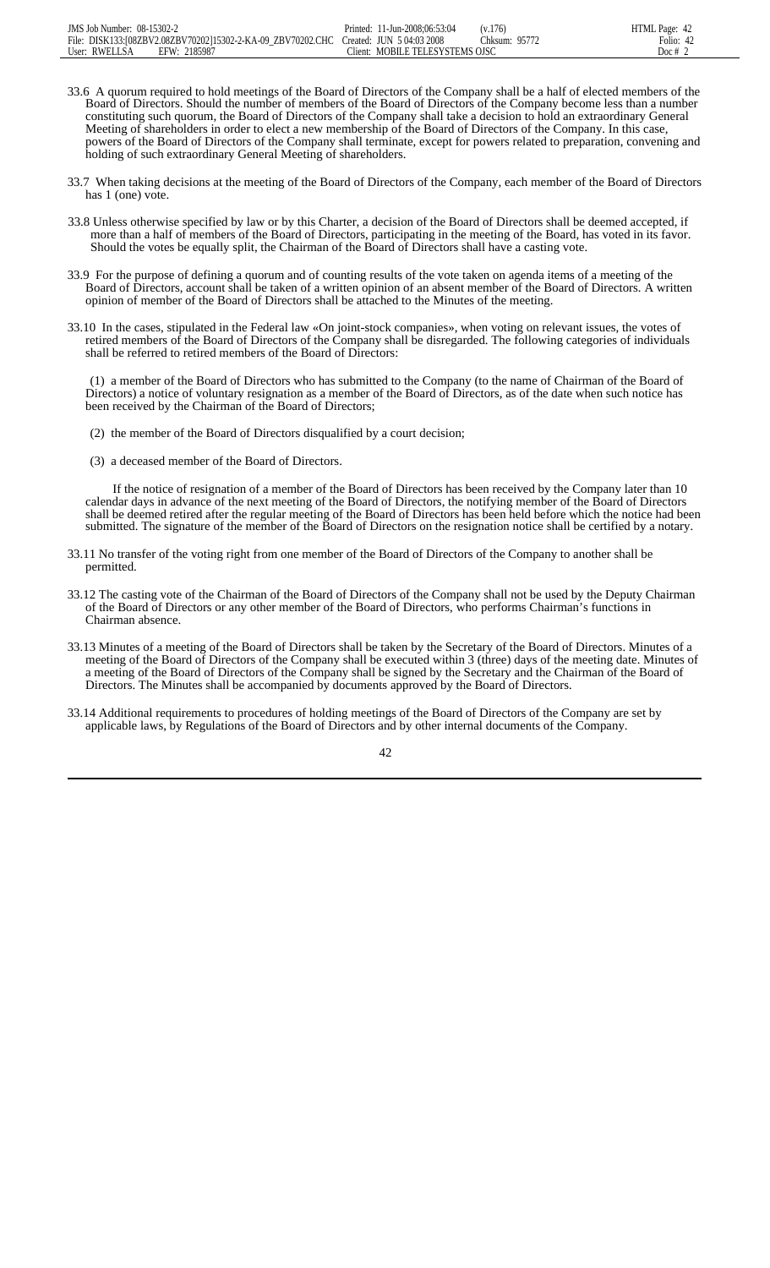- 33.6 A quorum required to hold meetings of the Board of Directors of the Company shall be a half of elected members of the Board of Directors. Should the number of members of the Board of Directors of the Company become less than a number constituting such quorum, the Board of Directors of the Company shall take a decision to hold an extraordinary General Meeting of shareholders in order to elect a new membership of the Board of Directors of the Company. In this case, powers of the Board of Directors of the Company shall terminate, except for powers related to preparation, convening and holding of such extraordinary General Meeting of shareholders.
- 33.7 When taking decisions at the meeting of the Board of Directors of the Company, each member of the Board of Directors has 1 (one) vote.
- 33.8 Unless otherwise specified by law or by this Charter, a decision of the Board of Directors shall be deemed accepted, if more than a half of members of the Board of Directors, participating in the meeting of the Board, has voted in its favor. Should the votes be equally split, the Chairman of the Board of Directors shall have a casting vote.
- 33.9 For the purpose of defining a quorum and of counting results of the vote taken on agenda items of a meeting of the Board of Directors, account shall be taken of a written opinion of an absent member of the Board of Directors. A written opinion of member of the Board of Directors shall be attached to the Minutes of the meeting.
- 33.10 In the cases, stipulated in the Federal law «On joint-stock companies», when voting on relevant issues, the votes of retired members of the Board of Directors of the Company shall be disregarded. The following categories of individuals shall be referred to retired members of the Board of Directors:

(1) a member of the Board of Directors who has submitted to the Company (to the name of Chairman of the Board of Directors) a notice of voluntary resignation as a member of the Board of Directors, as of the date when such notice has been received by the Chairman of the Board of Directors;

- (2) the member of the Board of Directors disqualified by a court decision;
- (3) a deceased member of the Board of Directors.

If the notice of resignation of a member of the Board of Directors has been received by the Company later than 10 calendar days in advance of the next meeting of the Board of Directors, the notifying member of the Board of Directors shall be deemed retired after the regular meeting of the Board of Directors has been held before which the notice had been submitted. The signature of the member of the Board of Directors on the resignation notice shall be certified by a notary.

- 33.11 No transfer of the voting right from one member of the Board of Directors of the Company to another shall be permitted.
- 33.12 The casting vote of the Chairman of the Board of Directors of the Company shall not be used by the Deputy Chairman of the Board of Directors or any other member of the Board of Directors, who performs Chairman's functions in Chairman absence.
- 33.13 Minutes of a meeting of the Board of Directors shall be taken by the Secretary of the Board of Directors. Minutes of a meeting of the Board of Directors of the Company shall be executed within 3 (three) days of the meeting date. Minutes of a meeting of the Board of Directors of the Company shall be signed by the Secretary and the Chairman of the Board of Directors. The Minutes shall be accompanied by documents approved by the Board of Directors.
- 33.14 Additional requirements to procedures of holding meetings of the Board of Directors of the Company are set by applicable laws, by Regulations of the Board of Directors and by other internal documents of the Company.

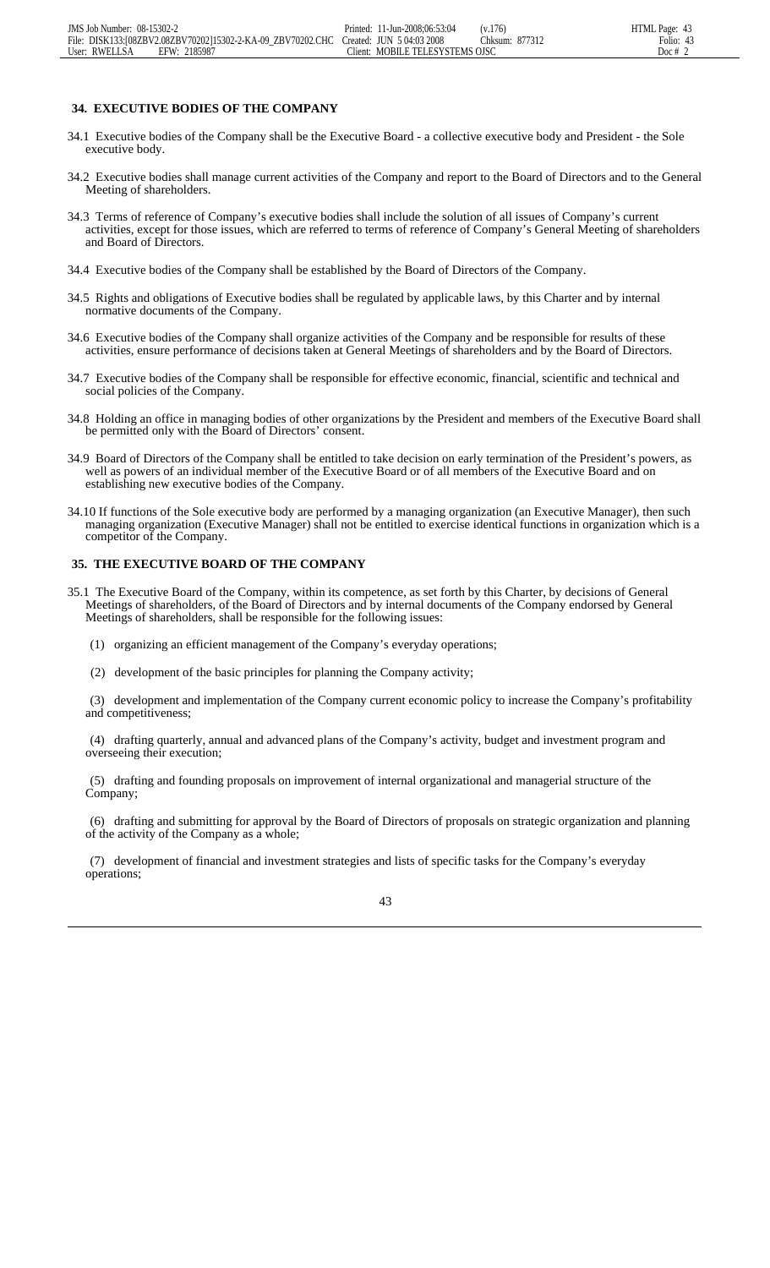## **34. EXECUTIVE BODIES OF THE COMPANY**

- 34.1 Executive bodies of the Company shall be the Executive Board a collective executive body and President the Sole executive body.
- 34.2 Executive bodies shall manage current activities of the Company and report to the Board of Directors and to the General Meeting of shareholders.
- 34.3 Terms of reference of Company's executive bodies shall include the solution of all issues of Company's current activities, except for those issues, which are referred to terms of reference of Company's General Meeting of shareholders and Board of Directors.
- 34.4 Executive bodies of the Company shall be established by the Board of Directors of the Company.
- 34.5 Rights and obligations of Executive bodies shall be regulated by applicable laws, by this Charter and by internal normative documents of the Company.
- 34.6 Executive bodies of the Company shall organize activities of the Company and be responsible for results of these activities, ensure performance of decisions taken at General Meetings of shareholders and by the Board of Directors.
- 34.7 Executive bodies of the Company shall be responsible for effective economic, financial, scientific and technical and social policies of the Company.
- 34.8 Holding an office in managing bodies of other organizations by the President and members of the Executive Board shall be permitted only with the Board of Directors' consent.
- 34.9 Board of Directors of the Company shall be entitled to take decision on early termination of the President's powers, as well as powers of an individual member of the Executive Board or of all members of the Executive Board and on establishing new executive bodies of the Company.
- 34.10 If functions of the Sole executive body are performed by a managing organization (an Executive Manager), then such managing organization (Executive Manager) shall not be entitled to exercise identical functions in organization which is a competitor of the Company.

## **35. THE EXECUTIVE BOARD OF THE COMPANY**

- 35.1 The Executive Board of the Company, within its competence, as set forth by this Charter, by decisions of General Meetings of shareholders, of the Board of Directors and by internal documents of the Company endorsed by General Meetings of shareholders, shall be responsible for the following issues:
	- (1) organizing an efficient management of the Company's everyday operations;
	- (2) development of the basic principles for planning the Company activity;

(3) development and implementation of the Company current economic policy to increase the Company's profitability and competitiveness;

(4) drafting quarterly, annual and advanced plans of the Company's activity, budget and investment program and overseeing their execution;

(5) drafting and founding proposals on improvement of internal organizational and managerial structure of the Company;

(6) drafting and submitting for approval by the Board of Directors of proposals on strategic organization and planning of the activity of the Company as a whole;

(7) development of financial and investment strategies and lists of specific tasks for the Company's everyday operations;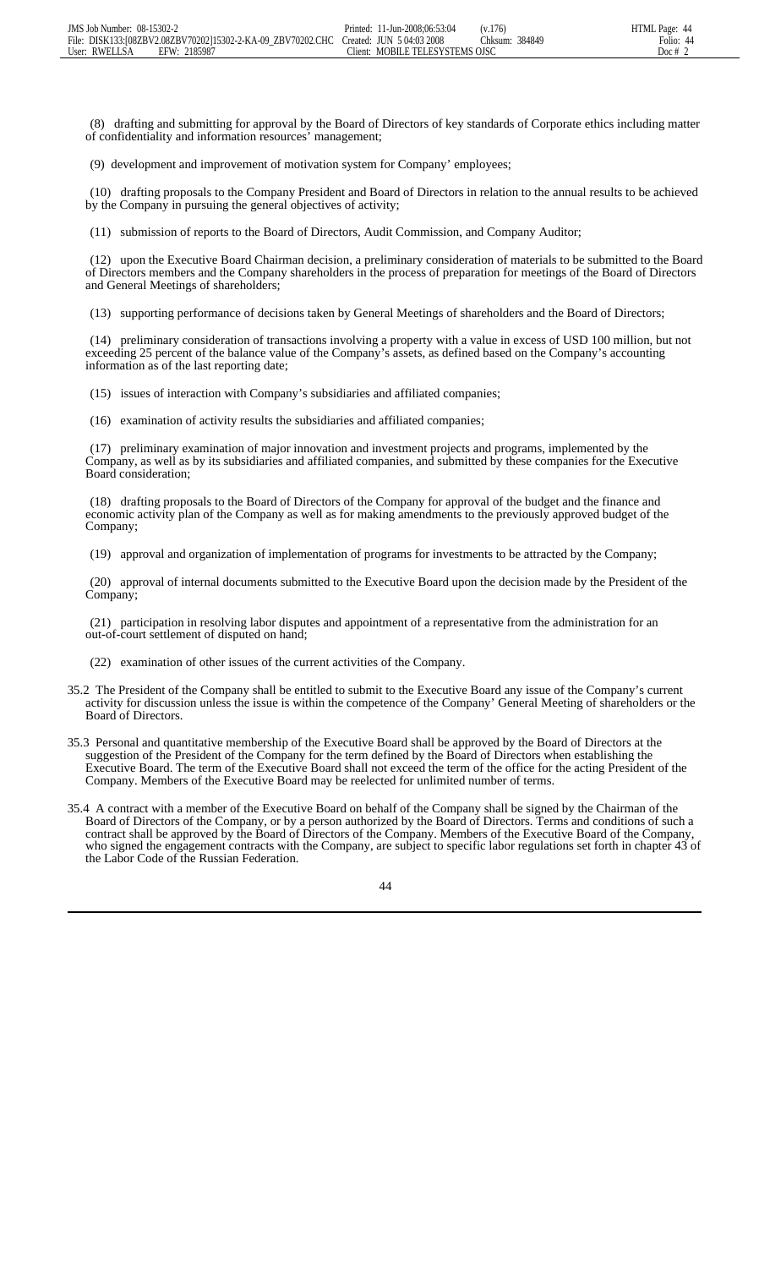(8) drafting and submitting for approval by the Board of Directors of key standards of Corporate ethics including matter of confidentiality and information resources' management;

(9) development and improvement of motivation system for Company' employees;

(10) drafting proposals to the Company President and Board of Directors in relation to the annual results to be achieved by the Company in pursuing the general objectives of activity;

(11) submission of reports to the Board of Directors, Audit Commission, and Company Auditor;

(12) upon the Executive Board Chairman decision, a preliminary consideration of materials to be submitted to the Board of Directors members and the Company shareholders in the process of preparation for meetings of the Board of Directors and General Meetings of shareholders;

(13) supporting performance of decisions taken by General Meetings of shareholders and the Board of Directors;

(14) preliminary consideration of transactions involving a property with a value in excess of USD 100 million, but not exceeding 25 percent of the balance value of the Company's assets, as defined based on the Company's accounting information as of the last reporting date;

(15) issues of interaction with Company's subsidiaries and affiliated companies;

(16) examination of activity results the subsidiaries and affiliated companies;

(17) preliminary examination of major innovation and investment projects and programs, implemented by the Company, as well as by its subsidiaries and affiliated companies, and submitted by these companies for the Executive Board consideration;

(18) drafting proposals to the Board of Directors of the Company for approval of the budget and the finance and economic activity plan of the Company as well as for making amendments to the previously approved budget of the Company;

(19) approval and organization of implementation of programs for investments to be attracted by the Company;

(20) approval of internal documents submitted to the Executive Board upon the decision made by the President of the Company;

(21) participation in resolving labor disputes and appointment of a representative from the administration for an out-of-court settlement of disputed on hand;

(22) examination of other issues of the current activities of the Company.

- 35.2 The President of the Company shall be entitled to submit to the Executive Board any issue of the Company's current activity for discussion unless the issue is within the competence of the Company' General Meeting of shareholders or the Board of Directors.
- 35.3 Personal and quantitative membership of the Executive Board shall be approved by the Board of Directors at the suggestion of the President of the Company for the term defined by the Board of Directors when establishing the Executive Board. The term of the Executive Board shall not exceed the term of the office for the acting President of the Company. Members of the Executive Board may be reelected for unlimited number of terms.
- 35.4 A contract with a member of the Executive Board on behalf of the Company shall be signed by the Chairman of the Board of Directors of the Company, or by a person authorized by the Board of Directors. Terms and conditions of such a contract shall be approved by the Board of Directors of the Company. Members of the Executive Board of the Company, who signed the engagement contracts with the Company, are subject to specific labor regulations set forth in chapter 43 of the Labor Code of the Russian Federation.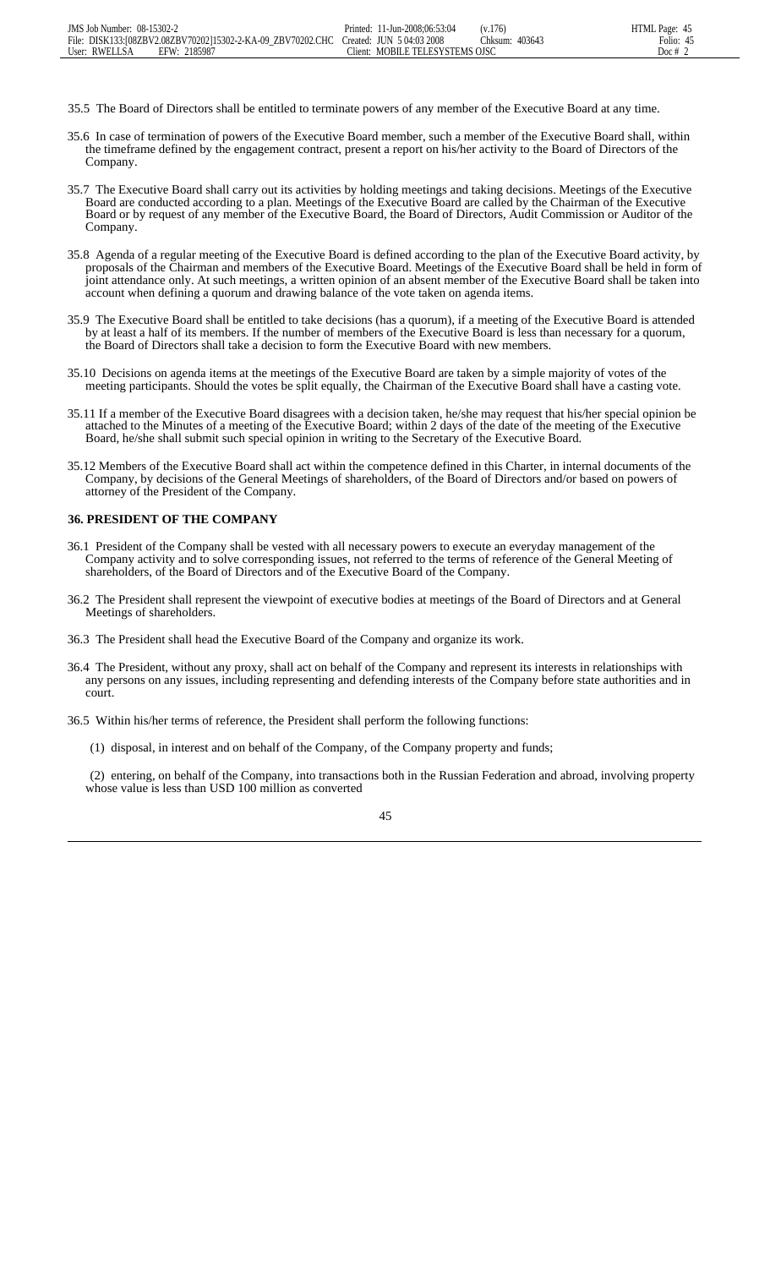- 35.5 The Board of Directors shall be entitled to terminate powers of any member of the Executive Board at any time.
- 35.6 In case of termination of powers of the Executive Board member, such a member of the Executive Board shall, within the timeframe defined by the engagement contract, present a report on his/her activity to the Board of Directors of the Company.
- 35.7 The Executive Board shall carry out its activities by holding meetings and taking decisions. Meetings of the Executive Board are conducted according to a plan. Meetings of the Executive Board are called by the Chairman of the Executive Board or by request of any member of the Executive Board, the Board of Directors, Audit Commission or Auditor of the Company.
- 35.8 Agenda of a regular meeting of the Executive Board is defined according to the plan of the Executive Board activity, by proposals of the Chairman and members of the Executive Board. Meetings of the Executive Board shall be held in form of joint attendance only. At such meetings, a written opinion of an absent member of the Executive Board shall be taken into account when defining a quorum and drawing balance of the vote taken on agenda items.
- 35.9 The Executive Board shall be entitled to take decisions (has a quorum), if a meeting of the Executive Board is attended by at least a half of its members. If the number of members of the Executive Board is less than necessary for a quorum, the Board of Directors shall take a decision to form the Executive Board with new members.
- 35.10 Decisions on agenda items at the meetings of the Executive Board are taken by a simple majority of votes of the meeting participants. Should the votes be split equally, the Chairman of the Executive Board shall have a casting vote.
- 35.11 If a member of the Executive Board disagrees with a decision taken, he/she may request that his/her special opinion be attached to the Minutes of a meeting of the Executive Board; within 2 days of the date of the meeting of the Executive Board, he/she shall submit such special opinion in writing to the Secretary of the Executive Board.
- 35.12 Members of the Executive Board shall act within the competence defined in this Charter, in internal documents of the Company, by decisions of the General Meetings of shareholders, of the Board of Directors and/or based on powers of attorney of the President of the Company.

# **36. PRESIDENT OF THE COMPANY**

- 36.1 President of the Company shall be vested with all necessary powers to execute an everyday management of the Company activity and to solve corresponding issues, not referred to the terms of reference of the General Meeting of shareholders, of the Board of Directors and of the Executive Board of the Company.
- 36.2 The President shall represent the viewpoint of executive bodies at meetings of the Board of Directors and at General Meetings of shareholders.
- 36.3 The President shall head the Executive Board of the Company and organize its work.
- 36.4 The President, without any proxy, shall act on behalf of the Company and represent its interests in relationships with any persons on any issues, including representing and defending interests of the Company before state authorities and in court.
- 36.5 Within his/her terms of reference, the President shall perform the following functions:
	- (1) disposal, in interest and on behalf of the Company, of the Company property and funds;

(2) entering, on behalf of the Company, into transactions both in the Russian Federation and abroad, involving property whose value is less than USD 100 million as converted

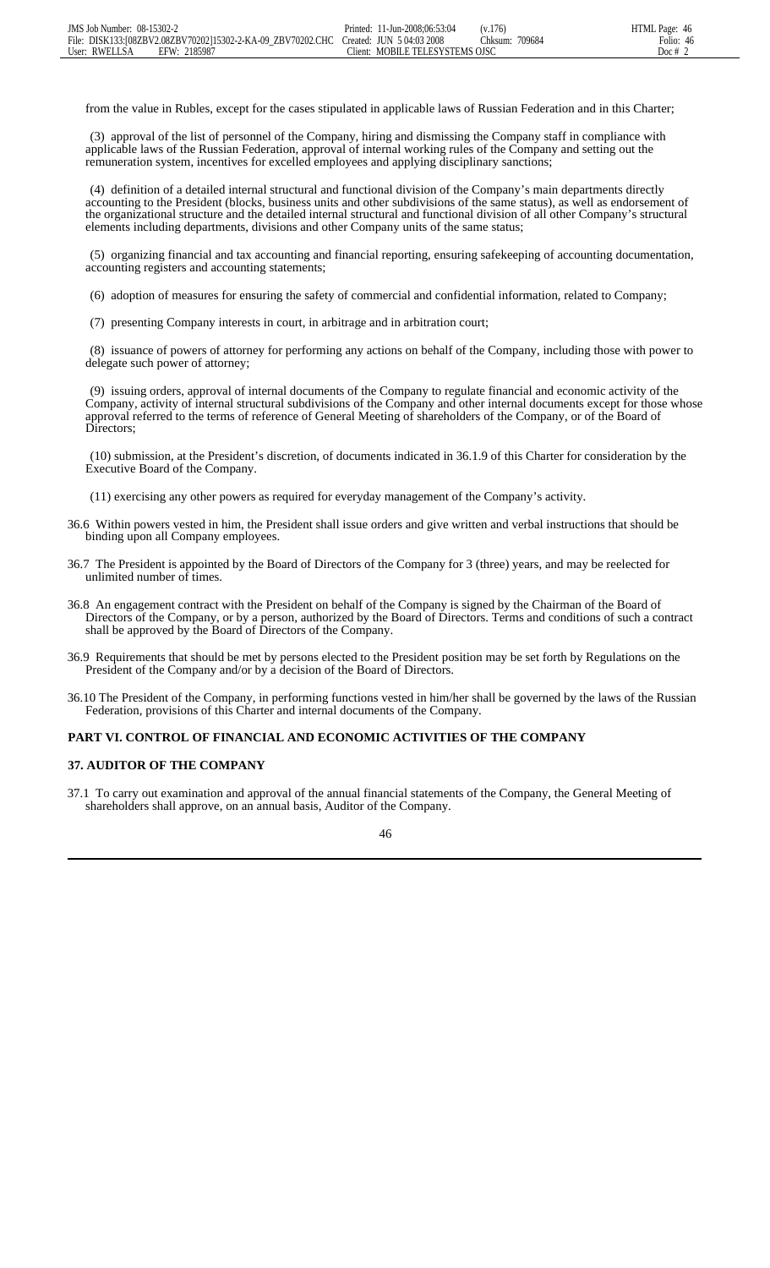from the value in Rubles, except for the cases stipulated in applicable laws of Russian Federation and in this Charter;

(3) approval of the list of personnel of the Company, hiring and dismissing the Company staff in compliance with applicable laws of the Russian Federation, approval of internal working rules of the Company and setting out the remuneration system, incentives for excelled employees and applying disciplinary sanctions;

(4) definition of a detailed internal structural and functional division of the Company's main departments directly accounting to the President (blocks, business units and other subdivisions of the same status), as well as endorsement of the organizational structure and the detailed internal structural and functional division of all other Company's structural elements including departments, divisions and other Company units of the same status;

(5) organizing financial and tax accounting and financial reporting, ensuring safekeeping of accounting documentation, accounting registers and accounting statements;

- (6) adoption of measures for ensuring the safety of commercial and confidential information, related to Company;
- (7) presenting Company interests in court, in arbitrage and in arbitration court;

(8) issuance of powers of attorney for performing any actions on behalf of the Company, including those with power to delegate such power of attorney;

(9) issuing orders, approval of internal documents of the Company to regulate financial and economic activity of the Company, activity of internal structural subdivisions of the Company and other internal documents except for those whose approval referred to the terms of reference of General Meeting of shareholders of the Company, or of the Board of Directors;

(10) submission, at the President's discretion, of documents indicated in 36.1.9 of this Charter for consideration by the Executive Board of the Company.

- (11) exercising any other powers as required for everyday management of the Company's activity.
- 36.6 Within powers vested in him, the President shall issue orders and give written and verbal instructions that should be binding upon all Company employees.
- 36.7 The President is appointed by the Board of Directors of the Company for 3 (three) years, and may be reelected for unlimited number of times.
- 36.8 An engagement contract with the President on behalf of the Company is signed by the Chairman of the Board of Directors of the Company, or by a person, authorized by the Board of Directors. Terms and conditions of such a contract shall be approved by the Board of Directors of the Company.
- 36.9 Requirements that should be met by persons elected to the President position may be set forth by Regulations on the President of the Company and/or by a decision of the Board of Directors.
- 36.10 The President of the Company, in performing functions vested in him/her shall be governed by the laws of the Russian Federation, provisions of this Charter and internal documents of the Company.

# **PART VI. CONTROL OF FINANCIAL AND ECONOMIC ACTIVITIES OF THE COMPANY**

## **37. AUDITOR OF THE COMPANY**

37.1 To carry out examination and approval of the annual financial statements of the Company, the General Meeting of shareholders shall approve, on an annual basis, Auditor of the Company.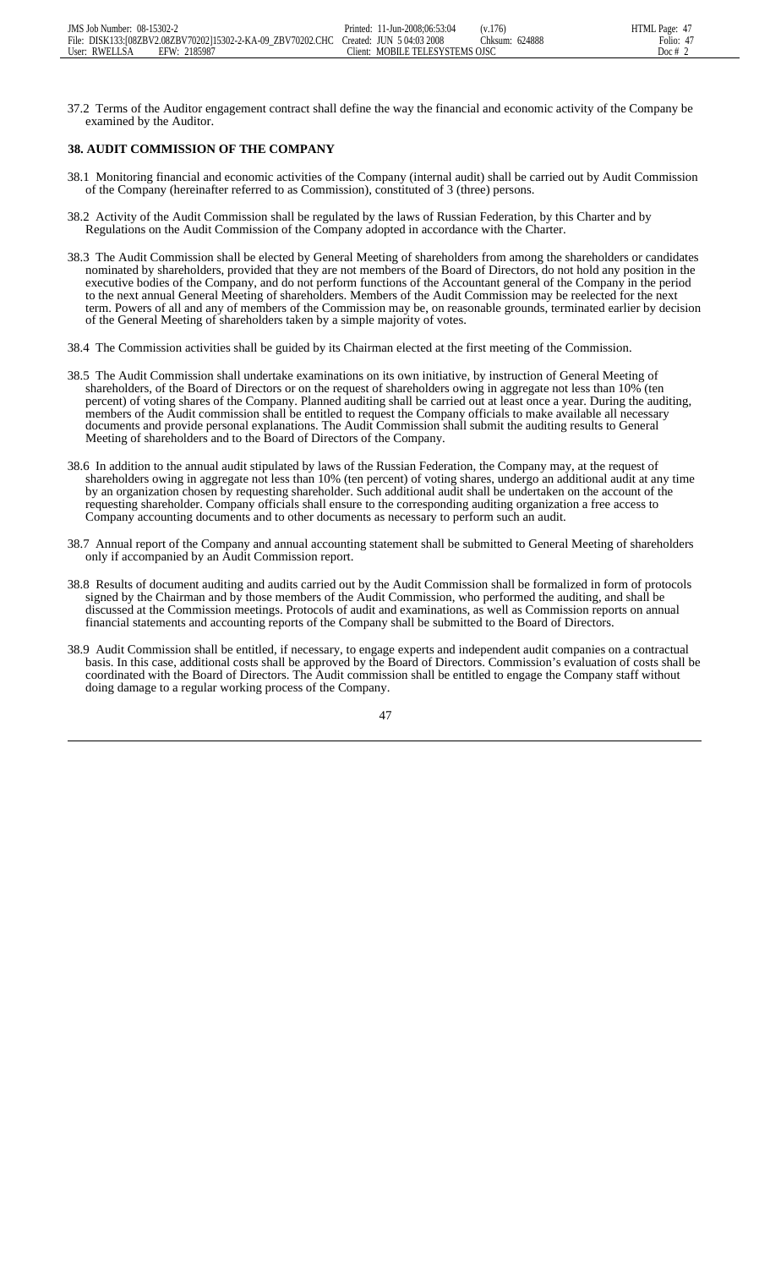37.2 Terms of the Auditor engagement contract shall define the way the financial and economic activity of the Company be examined by the Auditor.

## **38. AUDIT COMMISSION OF THE COMPANY**

- 38.1 Monitoring financial and economic activities of the Company (internal audit) shall be carried out by Audit Commission of the Company (hereinafter referred to as Commission), constituted of 3 (three) persons.
- 38.2 Activity of the Audit Commission shall be regulated by the laws of Russian Federation, by this Charter and by Regulations on the Audit Commission of the Company adopted in accordance with the Charter.
- 38.3 The Audit Commission shall be elected by General Meeting of shareholders from among the shareholders or candidates nominated by shareholders, provided that they are not members of the Board of Directors, do not hold any position in the executive bodies of the Company, and do not perform functions of the Accountant general of the Company in the period to the next annual General Meeting of shareholders. Members of the Audit Commission may be reelected for the next term. Powers of all and any of members of the Commission may be, on reasonable grounds, terminated earlier by decision of the General Meeting of shareholders taken by a simple majority of votes.
- 38.4 The Commission activities shall be guided by its Chairman elected at the first meeting of the Commission.
- 38.5 The Audit Commission shall undertake examinations on its own initiative, by instruction of General Meeting of shareholders, of the Board of Directors or on the request of shareholders owing in aggregate not less than 10% (ten percent) of voting shares of the Company. Planned auditing shall be carried out at least once a year. During the auditing, members of the Audit commission shall be entitled to request the Company officials to make available all necessary documents and provide personal explanations. The Audit Commission shall submit the auditing results to General Meeting of shareholders and to the Board of Directors of the Company.
- 38.6 In addition to the annual audit stipulated by laws of the Russian Federation, the Company may, at the request of shareholders owing in aggregate not less than 10% (ten percent) of voting shares, undergo an additional audit at any time by an organization chosen by requesting shareholder. Such additional audit shall be undertaken on the account of the requesting shareholder. Company officials shall ensure to the corresponding auditing organization a free access to Company accounting documents and to other documents as necessary to perform such an audit.
- 38.7 Annual report of the Company and annual accounting statement shall be submitted to General Meeting of shareholders only if accompanied by an Audit Commission report.
- 38.8 Results of document auditing and audits carried out by the Audit Commission shall be formalized in form of protocols signed by the Chairman and by those members of the Audit Commission, who performed the auditing, and shall be discussed at the Commission meetings. Protocols of audit and examinations, as well as Commission reports on annual financial statements and accounting reports of the Company shall be submitted to the Board of Directors.
- 38.9 Audit Commission shall be entitled, if necessary, to engage experts and independent audit companies on a contractual basis. In this case, additional costs shall be approved by the Board of Directors. Commission's evaluation of costs shall be coordinated with the Board of Directors. The Audit commission shall be entitled to engage the Company staff without doing damage to a regular working process of the Company.

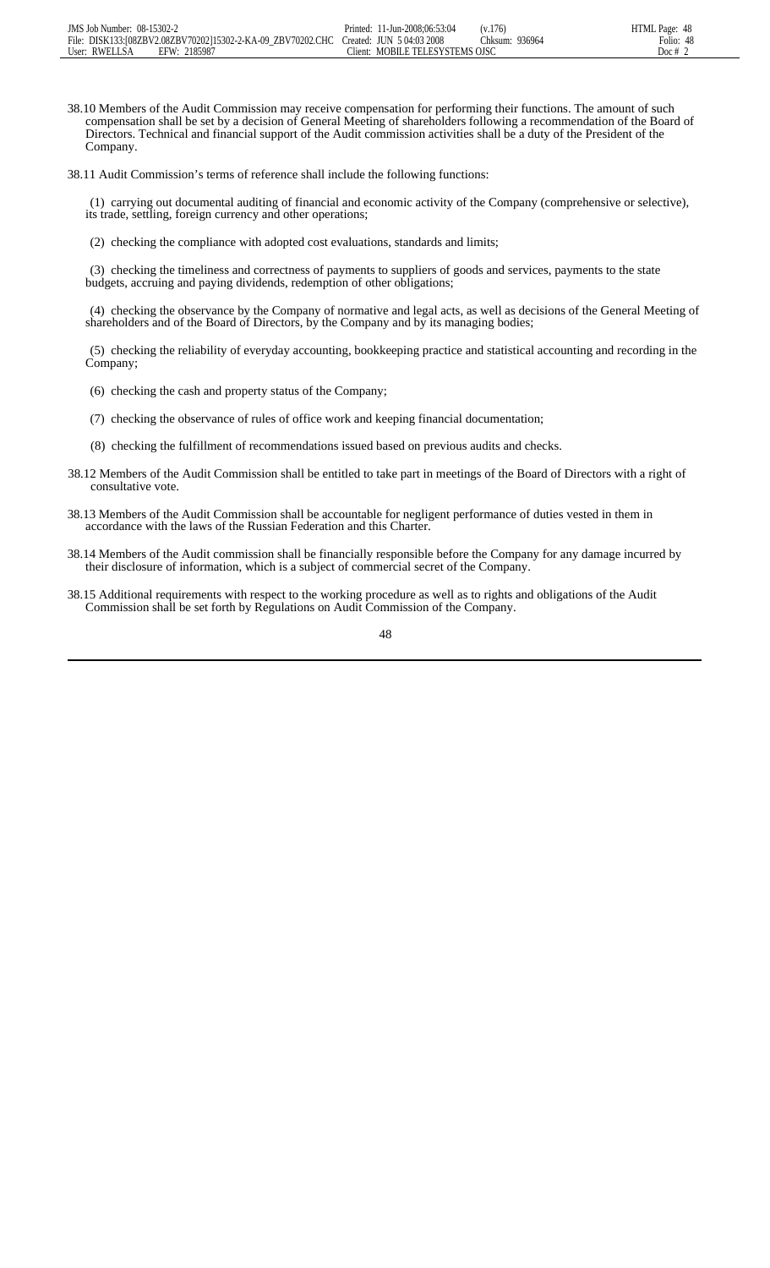38.10 Members of the Audit Commission may receive compensation for performing their functions. The amount of such compensation shall be set by a decision of General Meeting of shareholders following a recommendation of the Board of Directors. Technical and financial support of the Audit commission activities shall be a duty of the President of the Company.

38.11 Audit Commission's terms of reference shall include the following functions:

(1) carrying out documental auditing of financial and economic activity of the Company (comprehensive or selective), its trade, settling, foreign currency and other operations;

(2) checking the compliance with adopted cost evaluations, standards and limits;

(3) checking the timeliness and correctness of payments to suppliers of goods and services, payments to the state budgets, accruing and paying dividends, redemption of other obligations;

(4) checking the observance by the Company of normative and legal acts, as well as decisions of the General Meeting of shareholders and of the Board of Directors, by the Company and by its managing bodies;

(5) checking the reliability of everyday accounting, bookkeeping practice and statistical accounting and recording in the Company;

- (6) checking the cash and property status of the Company;
- (7) checking the observance of rules of office work and keeping financial documentation;
- (8) checking the fulfillment of recommendations issued based on previous audits and checks.
- 38.12 Members of the Audit Commission shall be entitled to take part in meetings of the Board of Directors with a right of consultative vote.
- 38.13 Members of the Audit Commission shall be accountable for negligent performance of duties vested in them in accordance with the laws of the Russian Federation and this Charter.
- 38.14 Members of the Audit commission shall be financially responsible before the Company for any damage incurred by their disclosure of information, which is a subject of commercial secret of the Company.
- 38.15 Additional requirements with respect to the working procedure as well as to rights and obligations of the Audit Commission shall be set forth by Regulations on Audit Commission of the Company.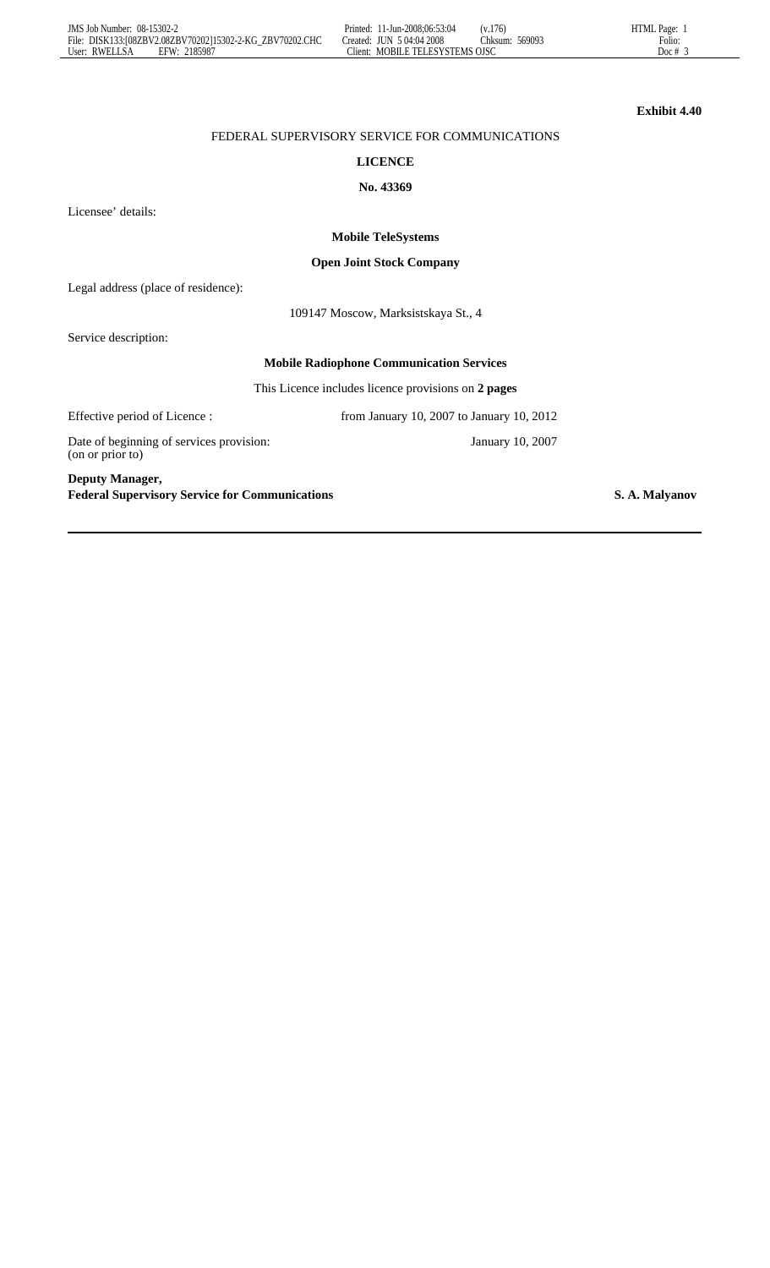## FEDERAL SUPERVISORY SERVICE FOR COMMUNICATIONS

# **LICENCE**

## **No. 43369**

Licensee' details:

# **Mobile TeleSystems**

## **Open Joint Stock Company**

Legal address (place of residence):

109147 Moscow, Marksistskaya St., 4

Service description:

## **Mobile Radiophone Communication Services**

This Licence includes licence provisions on **2 pages**

Effective period of Licence : from January 10, 2007 to January 10, 2012

January 10, 2007

Date of beginning of services provision: (on or prior to)

**Deputy Manager, Federal Supervisory Service for Communications S. A. Malyanov**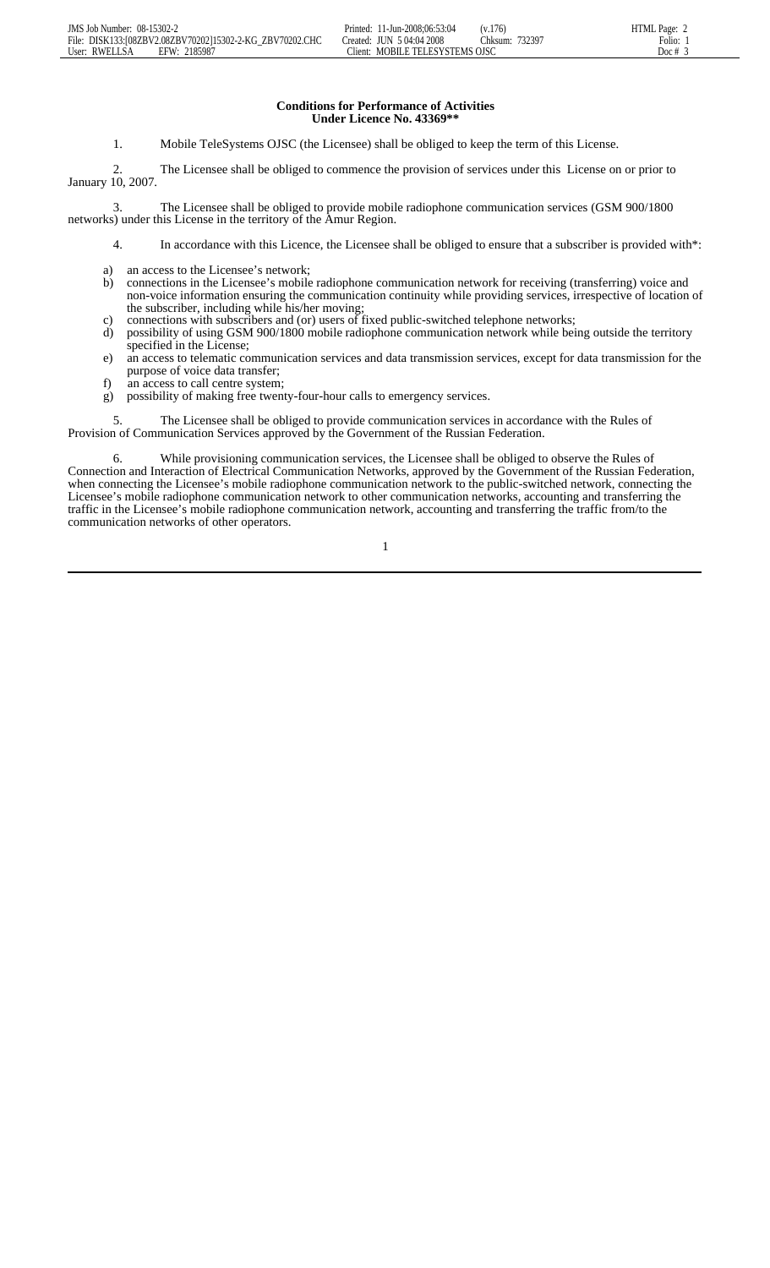#### **Conditions for Performance of Activities Under Licence No. 43369\*\***

1. Mobile TeleSystems OJSC (the Licensee) shall be obliged to keep the term of this License.

2. The Licensee shall be obliged to commence the provision of services under this License on or prior to January 10, 2007.

3. The Licensee shall be obliged to provide mobile radiophone communication services (GSM 900/1800 networks) under this License in the territory of the Amur Region.

- 4. In accordance with this Licence, the Licensee shall be obliged to ensure that a subscriber is provided with\*:
- a) an access to the Licensee's network;<br>b) connections in the Licensee's mobile
- b) connections in the Licensee's mobile radiophone communication network for receiving (transferring) voice and non-voice information ensuring the communication continuity while providing services, irrespective of location of the subscriber, including while his/her moving;
- c) connections with subscribers and (or) users of fixed public-switched telephone networks;<br>d) possibility of using GSM 900/1800 mobile radiophone communication network while bei
- possibility of using GSM 900/1800 mobile radiophone communication network while being outside the territory specified in the License;
- e) an access to telematic communication services and data transmission services, except for data transmission for the purpose of voice data transfer;
- f) an access to call centre system;<br>g) possibility of making free twent
- possibility of making free twenty-four-hour calls to emergency services.

5. The Licensee shall be obliged to provide communication services in accordance with the Rules of Provision of Communication Services approved by the Government of the Russian Federation.

6. While provisioning communication services, the Licensee shall be obliged to observe the Rules of Connection and Interaction of Electrical Communication Networks, approved by the Government of the Russian Federation, when connecting the Licensee's mobile radiophone communication network to the public-switched network, connecting the Licensee's mobile radiophone communication network to other communication networks, accounting and transferring the traffic in the Licensee's mobile radiophone communication network, accounting and transferring the traffic from/to the communication networks of other operators.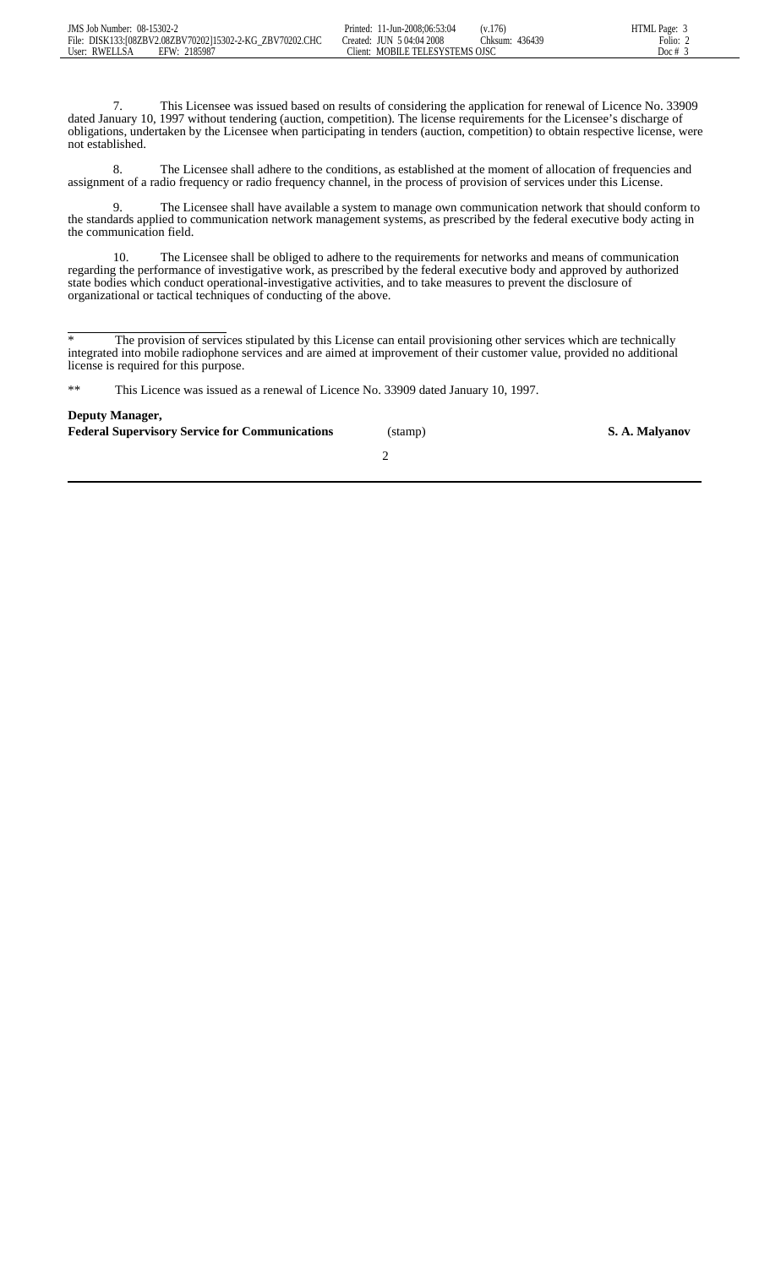7. This Licensee was issued based on results of considering the application for renewal of Licence No. 33909 dated January 10, 1997 without tendering (auction, competition). The license requirements for the Licensee's discharge of obligations, undertaken by the Licensee when participating in tenders (auction, competition) to obtain respective license, were not established.

8. The Licensee shall adhere to the conditions, as established at the moment of allocation of frequencies and assignment of a radio frequency or radio frequency channel, in the process of provision of services under this License.

The Licensee shall have available a system to manage own communication network that should conform to the standards applied to communication network management systems, as prescribed by the federal executive body acting in the communication field.

10. The Licensee shall be obliged to adhere to the requirements for networks and means of communication regarding the performance of investigative work, as prescribed by the federal executive body and approved by authorized state bodies which conduct operational-investigative activities, and to take measures to prevent the disclosure of organizational or tactical techniques of conducting of the above.

This Licence was issued as a renewal of Licence No. 33909 dated January 10, 1997.

| <b>Deputy Manager,</b>                                |         |                |
|-------------------------------------------------------|---------|----------------|
| <b>Federal Supervisory Service for Communications</b> | (stamp) | S. A. Malyanov |
|                                                       |         |                |

The provision of services stipulated by this License can entail provisioning other services which are technically integrated into mobile radiophone services and are aimed at improvement of their customer value, provided no additional license is required for this purpose.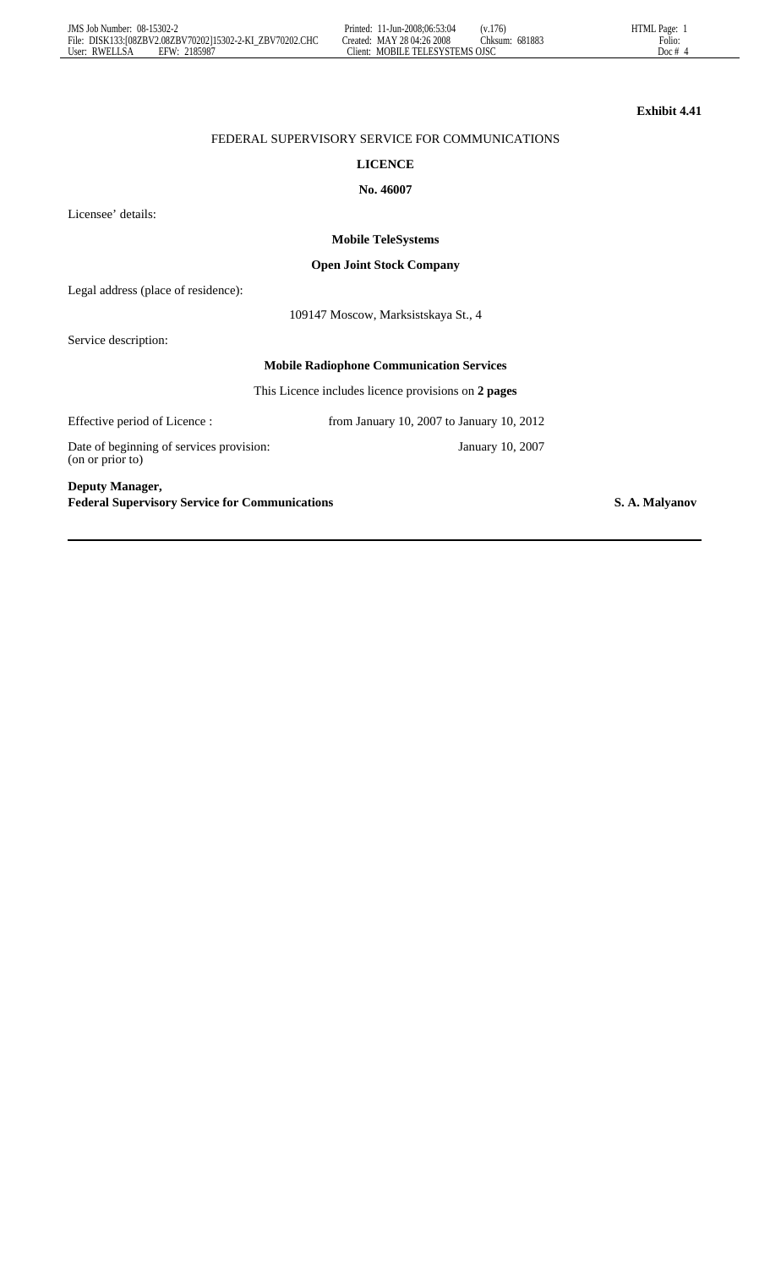## FEDERAL SUPERVISORY SERVICE FOR COMMUNICATIONS

## **LICENCE**

# **No. 46007**

Licensee' details:

## **Mobile TeleSystems**

# **Open Joint Stock Company**

Legal address (place of residence):

109147 Moscow, Marksistskaya St., 4

Service description:

# **Mobile Radiophone Communication Services**

This Licence includes licence provisions on **2 pages**

Effective period of Licence : from January 10, 2007 to January 10, 2012<br>Date of beginning of services provision: January 10, 2007 Date of beginning of services provision: (on or prior to)

# **Deputy Manager, Federal Supervisory Service for Communications S. A. Malyanov**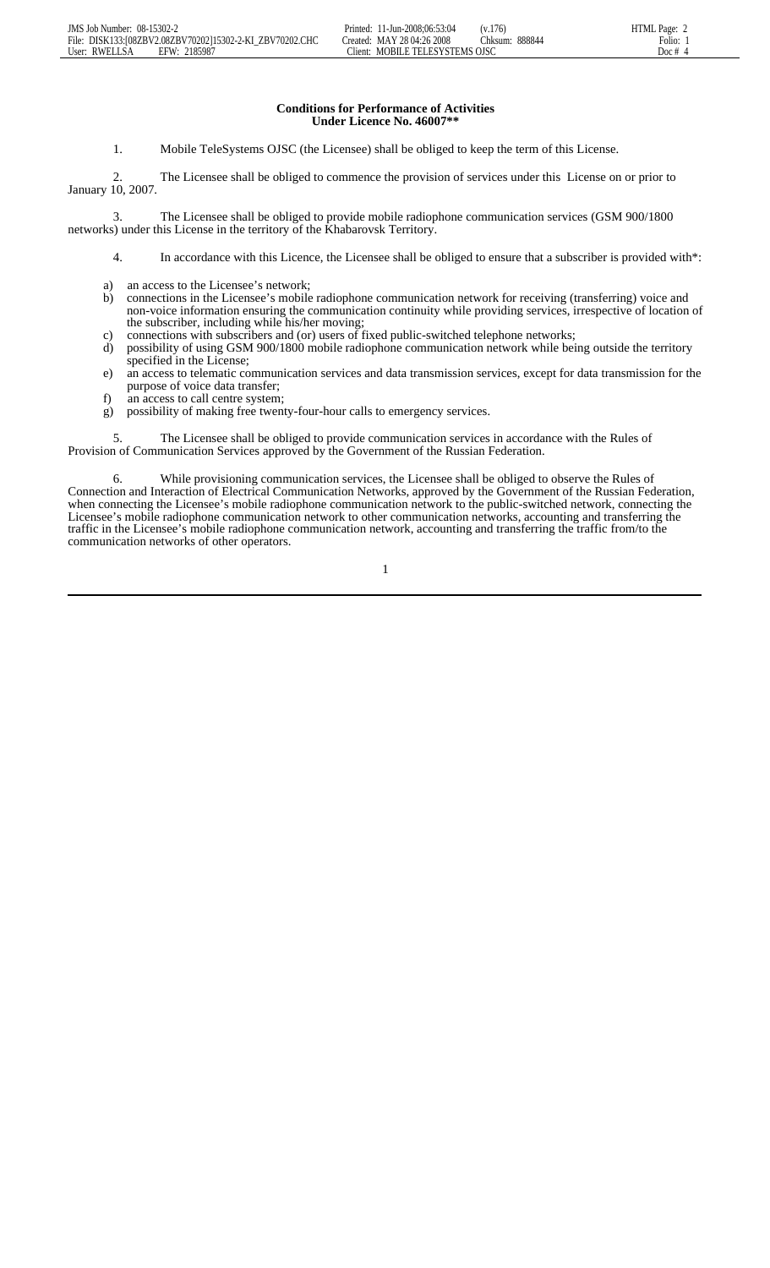#### **Conditions for Performance of Activities Under Licence No. 46007\*\***

1. Mobile TeleSystems OJSC (the Licensee) shall be obliged to keep the term of this License.

2. The Licensee shall be obliged to commence the provision of services under this License on or prior to January 10, 2007.

3. The Licensee shall be obliged to provide mobile radiophone communication services (GSM 900/1800 networks) under this License in the territory of the Khabarovsk Territory.

- 4. In accordance with this Licence, the Licensee shall be obliged to ensure that a subscriber is provided with\*:
- a) an access to the Licensee's network;
- b) connections in the Licensee's mobile radiophone communication network for receiving (transferring) voice and non-voice information ensuring the communication continuity while providing services, irrespective of location of the subscriber, including while his/her moving;
- c) connections with subscribers and (or) users of fixed public-switched telephone networks;<br>d) possibility of using GSM 900/1800 mobile radiophone communication network while bei
- possibility of using GSM 900/1800 mobile radiophone communication network while being outside the territory specified in the License;
- e) an access to telematic communication services and data transmission services, except for data transmission for the purpose of voice data transfer;
- f) an access to call centre system;
- g) possibility of making free twenty-four-hour calls to emergency services.

5. The Licensee shall be obliged to provide communication services in accordance with the Rules of Provision of Communication Services approved by the Government of the Russian Federation.

6. While provisioning communication services, the Licensee shall be obliged to observe the Rules of Connection and Interaction of Electrical Communication Networks, approved by the Government of the Russian Federation, when connecting the Licensee's mobile radiophone communication network to the public-switched network, connecting the Licensee's mobile radiophone communication network to other communication networks, accounting and transferring the traffic in the Licensee's mobile radiophone communication network, accounting and transferring the traffic from/to the communication networks of other operators.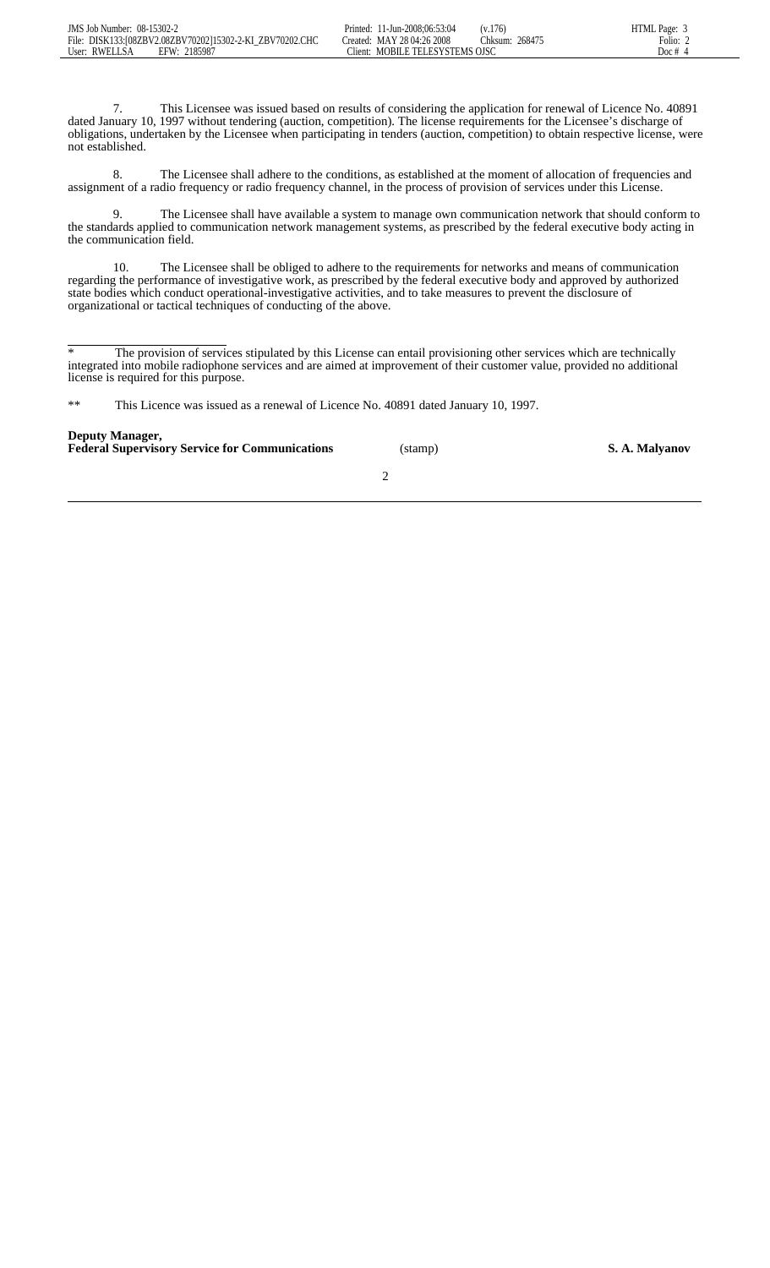7. This Licensee was issued based on results of considering the application for renewal of Licence No. 40891 dated January 10, 1997 without tendering (auction, competition). The license requirements for the Licensee's discharge of obligations, undertaken by the Licensee when participating in tenders (auction, competition) to obtain respective license, were not established.

8. The Licensee shall adhere to the conditions, as established at the moment of allocation of frequencies and assignment of a radio frequency or radio frequency channel, in the process of provision of services under this License.

The Licensee shall have available a system to manage own communication network that should conform to the standards applied to communication network management systems, as prescribed by the federal executive body acting in the communication field.

10. The Licensee shall be obliged to adhere to the requirements for networks and means of communication regarding the performance of investigative work, as prescribed by the federal executive body and approved by authorized state bodies which conduct operational-investigative activities, and to take measures to prevent the disclosure of organizational or tactical techniques of conducting of the above.

| Deputy Manager,<br><b>Federal Supervisory Service for Communications</b> | (stamp) | S. A. Malyanov |
|--------------------------------------------------------------------------|---------|----------------|
|                                                                          |         |                |

The provision of services stipulated by this License can entail provisioning other services which are technically integrated into mobile radiophone services and are aimed at improvement of their customer value, provided no additional license is required for this purpose.

<sup>\*\*</sup> This Licence was issued as a renewal of Licence No. 40891 dated January 10, 1997.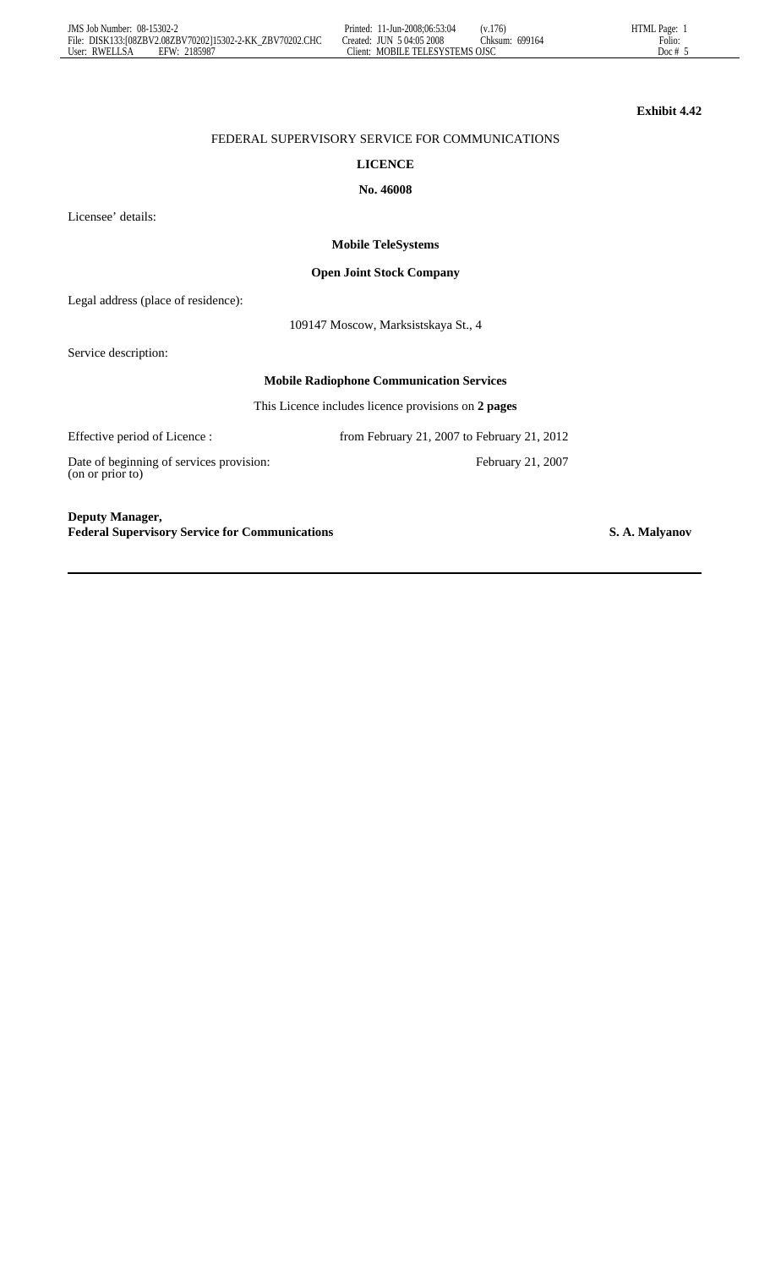## FEDERAL SUPERVISORY SERVICE FOR COMMUNICATIONS

### **LICENCE**

## **No. 46008**

Licensee' details:

# **Mobile TeleSystems**

## **Open Joint Stock Company**

Legal address (place of residence):

109147 Moscow, Marksistskaya St., 4

Service description:

## **Mobile Radiophone Communication Services**

This Licence includes licence provisions on **2 pages**

Effective period of Licence : from February 21, 2007 to February 21, 2012<br>Date of beginning of services provision: February 21, 2007

Date of beginning of services provision: February 21, 2007 (on or prior to)

**Deputy Manager, Federal Supervisory Service for Communications S. A. Malyanov**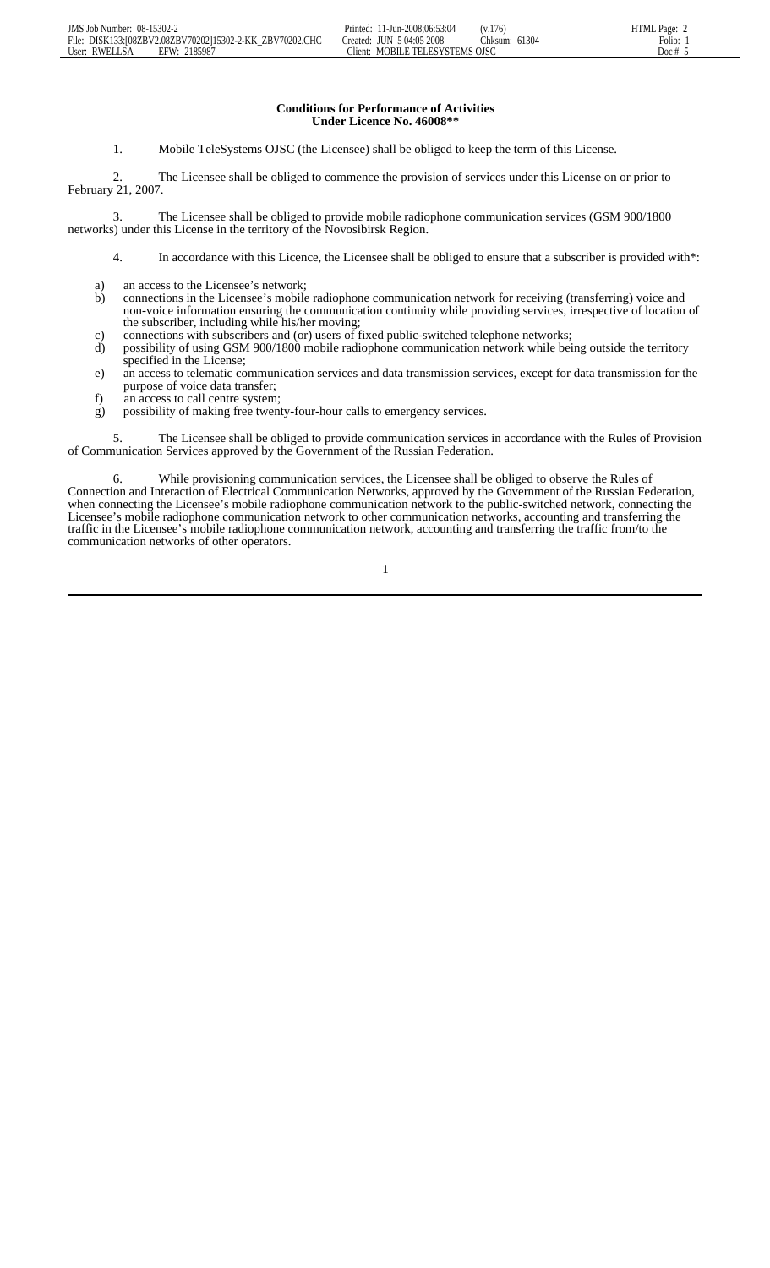#### **Conditions for Performance of Activities Under Licence No. 46008\*\***

1. Mobile TeleSystems OJSC (the Licensee) shall be obliged to keep the term of this License.

2. The Licensee shall be obliged to commence the provision of services under this License on or prior to February 21, 2007.

3. The Licensee shall be obliged to provide mobile radiophone communication services (GSM 900/1800 networks) under this License in the territory of the Novosibirsk Region.

- 4. In accordance with this Licence, the Licensee shall be obliged to ensure that a subscriber is provided with\*:
- a) an access to the Licensee's network;
- b) connections in the Licensee's mobile radiophone communication network for receiving (transferring) voice and non-voice information ensuring the communication continuity while providing services, irrespective of location of the subscriber, including while his/her moving;
- c) connections with subscribers and (or) users of fixed public-switched telephone networks;<br>d) possibility of using GSM 900/1800 mobile radiophone communication network while being
- possibility of using GSM 900/1800 mobile radiophone communication network while being outside the territory specified in the License;
- e) an access to telematic communication services and data transmission services, except for data transmission for the purpose of voice data transfer;
- f) an access to call centre system;
- g) possibility of making free twenty-four-hour calls to emergency services.

5. The Licensee shall be obliged to provide communication services in accordance with the Rules of Provision of Communication Services approved by the Government of the Russian Federation.

6. While provisioning communication services, the Licensee shall be obliged to observe the Rules of Connection and Interaction of Electrical Communication Networks, approved by the Government of the Russian Federation, when connecting the Licensee's mobile radiophone communication network to the public-switched network, connecting the Licensee's mobile radiophone communication network to other communication networks, accounting and transferring the traffic in the Licensee's mobile radiophone communication network, accounting and transferring the traffic from/to the communication networks of other operators.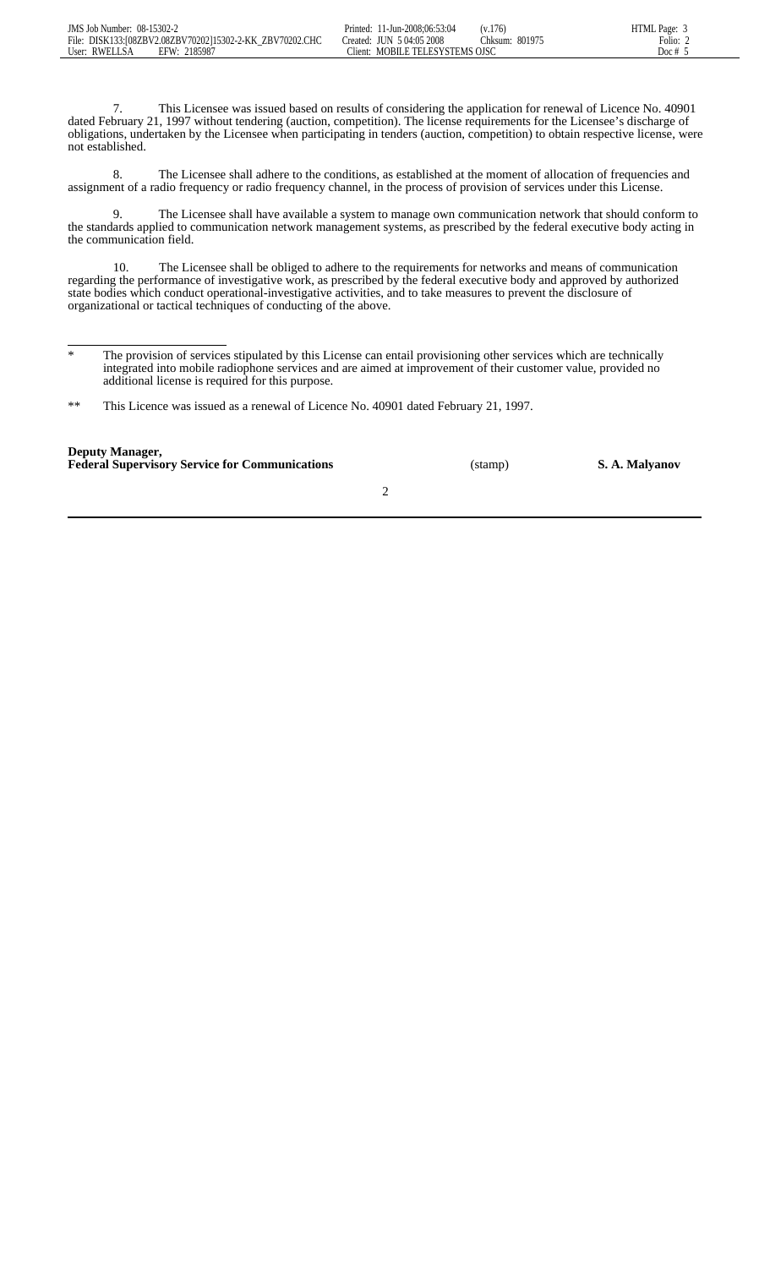7. This Licensee was issued based on results of considering the application for renewal of Licence No. 40901 dated February 21, 1997 without tendering (auction, competition). The license requirements for the Licensee's discharge of obligations, undertaken by the Licensee when participating in tenders (auction, competition) to obtain respective license, were not established.

8. The Licensee shall adhere to the conditions, as established at the moment of allocation of frequencies and assignment of a radio frequency or radio frequency channel, in the process of provision of services under this License.

The Licensee shall have available a system to manage own communication network that should conform to the standards applied to communication network management systems, as prescribed by the federal executive body acting in the communication field.

10. The Licensee shall be obliged to adhere to the requirements for networks and means of communication regarding the performance of investigative work, as prescribed by the federal executive body and approved by authorized state bodies which conduct operational-investigative activities, and to take measures to prevent the disclosure of organizational or tactical techniques of conducting of the above.

| <b>Deputy Manager,</b><br><b>Federal Supervisory Service for Communications</b> | (stamp) | S. A. Malyanov |
|---------------------------------------------------------------------------------|---------|----------------|
|                                                                                 |         |                |

<sup>\*</sup> The provision of services stipulated by this License can entail provisioning other services which are technically integrated into mobile radiophone services and are aimed at improvement of their customer value, provided no additional license is required for this purpose.

<sup>\*\*</sup> This Licence was issued as a renewal of Licence No. 40901 dated February 21, 1997.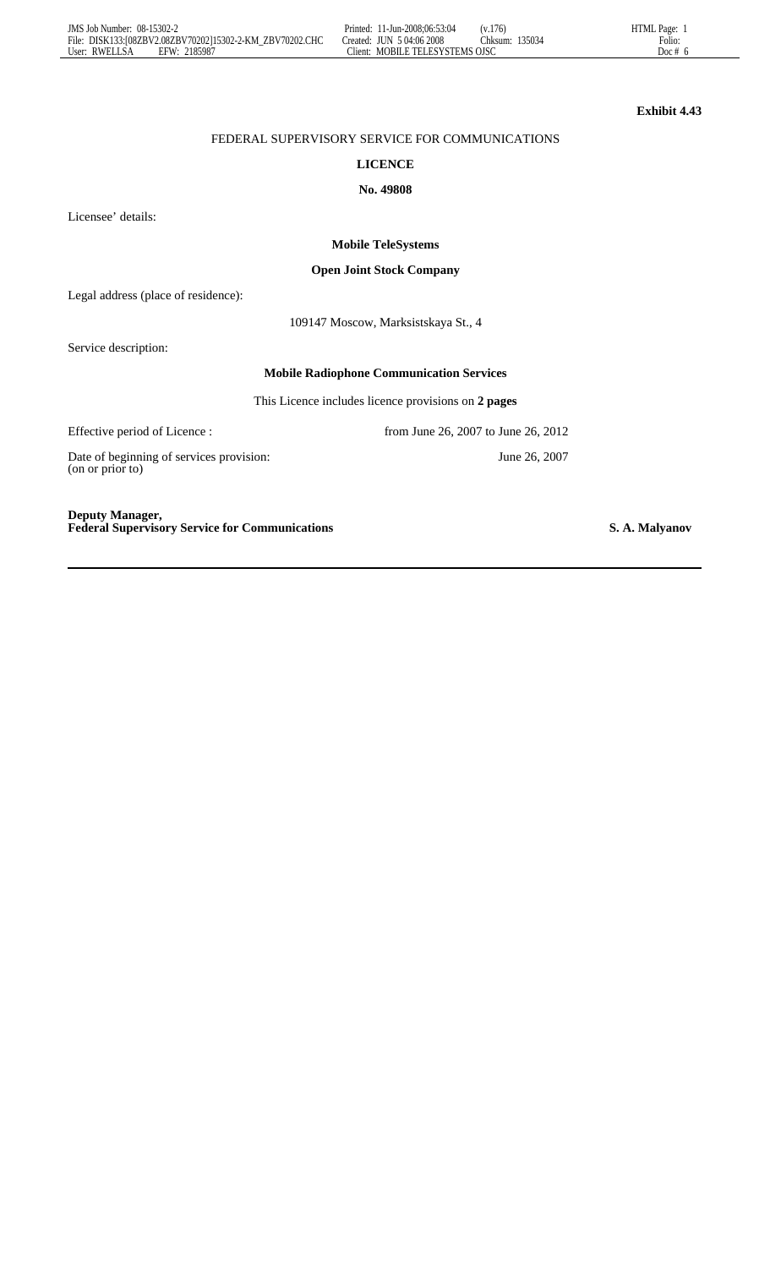## FEDERAL SUPERVISORY SERVICE FOR COMMUNICATIONS

### **LICENCE**

### **No. 49808**

Licensee' details:

# **Mobile TeleSystems**

### **Open Joint Stock Company**

Legal address (place of residence):

109147 Moscow, Marksistskaya St., 4

Service description:

# **Mobile Radiophone Communication Services**

This Licence includes licence provisions on **2 pages**

Effective period of Licence : from June 26, 2007 to June 26, 2012<br>Date of beginning of services provision: June 26, 2007

Date of beginning of services provision: (on or prior to)

**Deputy Manager, Federal Supervisory Service for Communications S. A. Malyanov**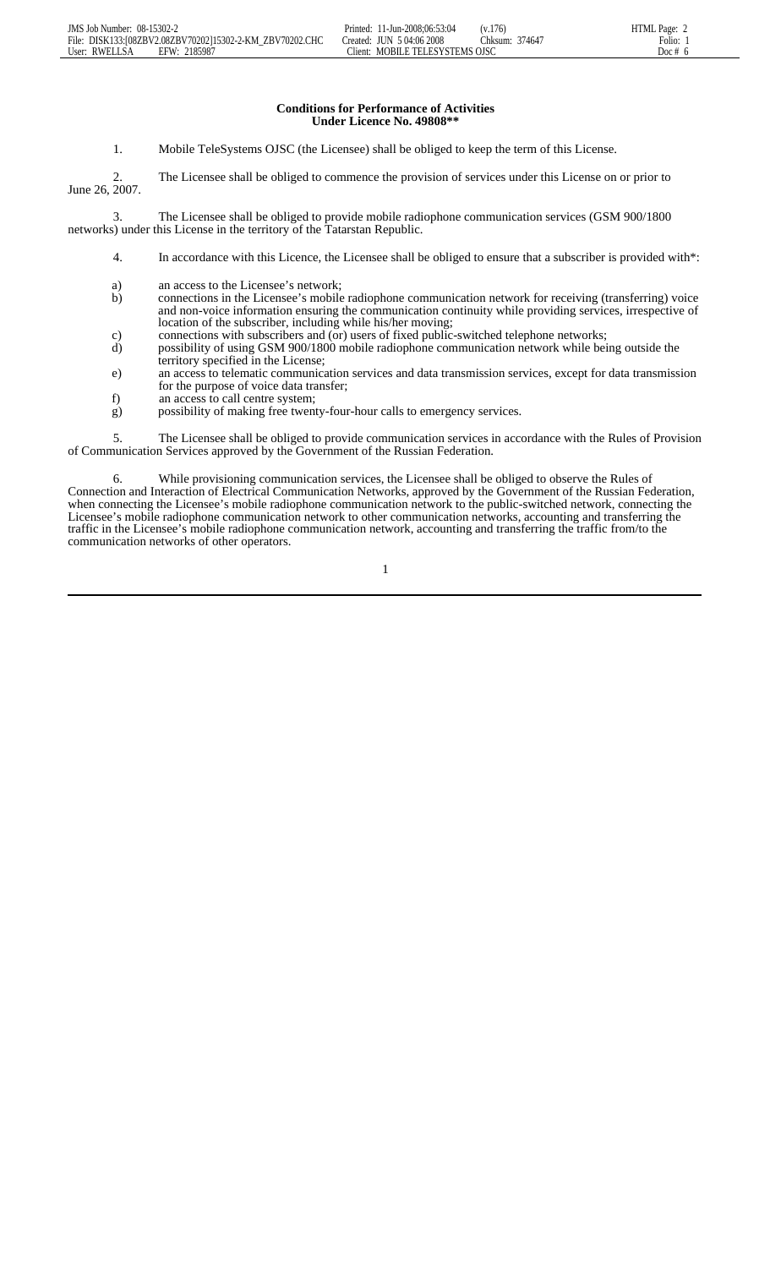#### **Conditions for Performance of Activities Under Licence No. 49808\*\***

1. Mobile TeleSystems OJSC (the Licensee) shall be obliged to keep the term of this License.

2. The Licensee shall be obliged to commence the provision of services under this License on or prior to June 26, 2007.

3. The Licensee shall be obliged to provide mobile radiophone communication services (GSM 900/1800 networks) under this License in the territory of the Tatarstan Republic.

- 4. In accordance with this Licence, the Licensee shall be obliged to ensure that a subscriber is provided with\*:
- a) an access to the Licensee's network;<br>b) connections in the Licensee's mobile
- connections in the Licensee's mobile radiophone communication network for receiving (transferring) voice and non-voice information ensuring the communication continuity while providing services, irrespective of location of the subscriber, including while his/her moving;
- c) connections with subscribers and (or) users of fixed public-switched telephone networks;<br>d) possibility of using GSM 900/1800 mobile radiophone communication network while bei
- possibility of using GSM 900/1800 mobile radiophone communication network while being outside the territory specified in the License;
- e) an access to telematic communication services and data transmission services, except for data transmission for the purpose of voice data transfer;
- f) an access to call centre system;
- g) possibility of making free twenty-four-hour calls to emergency services.

5. The Licensee shall be obliged to provide communication services in accordance with the Rules of Provision of Communication Services approved by the Government of the Russian Federation.

6. While provisioning communication services, the Licensee shall be obliged to observe the Rules of Connection and Interaction of Electrical Communication Networks, approved by the Government of the Russian Federation, when connecting the Licensee's mobile radiophone communication network to the public-switched network, connecting the Licensee's mobile radiophone communication network to other communication networks, accounting and transferring the traffic in the Licensee's mobile radiophone communication network, accounting and transferring the traffic from/to the communication networks of other operators.

<sup>1</sup>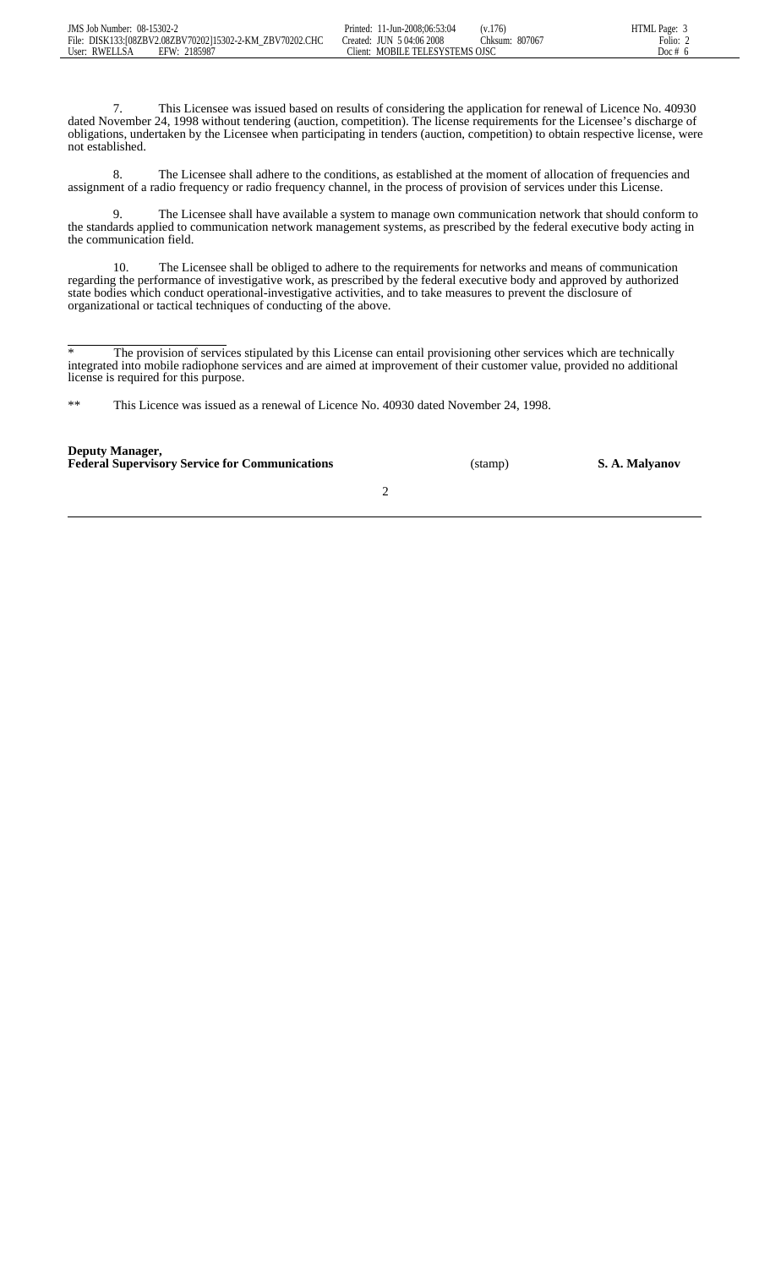7. This Licensee was issued based on results of considering the application for renewal of Licence No. 40930 dated November 24, 1998 without tendering (auction, competition). The license requirements for the Licensee's discharge of obligations, undertaken by the Licensee when participating in tenders (auction, competition) to obtain respective license, were not established.

8. The Licensee shall adhere to the conditions, as established at the moment of allocation of frequencies and assignment of a radio frequency or radio frequency channel, in the process of provision of services under this License.

The Licensee shall have available a system to manage own communication network that should conform to the standards applied to communication network management systems, as prescribed by the federal executive body acting in the communication field.

10. The Licensee shall be obliged to adhere to the requirements for networks and means of communication regarding the performance of investigative work, as prescribed by the federal executive body and approved by authorized state bodies which conduct operational-investigative activities, and to take measures to prevent the disclosure of organizational or tactical techniques of conducting of the above.

| <b>Deputy Manager,</b><br><b>Federal Supervisory Service for Communications</b> | (stamp) | S. A. Malyanov |
|---------------------------------------------------------------------------------|---------|----------------|
|                                                                                 |         |                |

The provision of services stipulated by this License can entail provisioning other services which are technically integrated into mobile radiophone services and are aimed at improvement of their customer value, provided no additional license is required for this purpose.

<sup>\*\*</sup> This Licence was issued as a renewal of Licence No. 40930 dated November 24, 1998.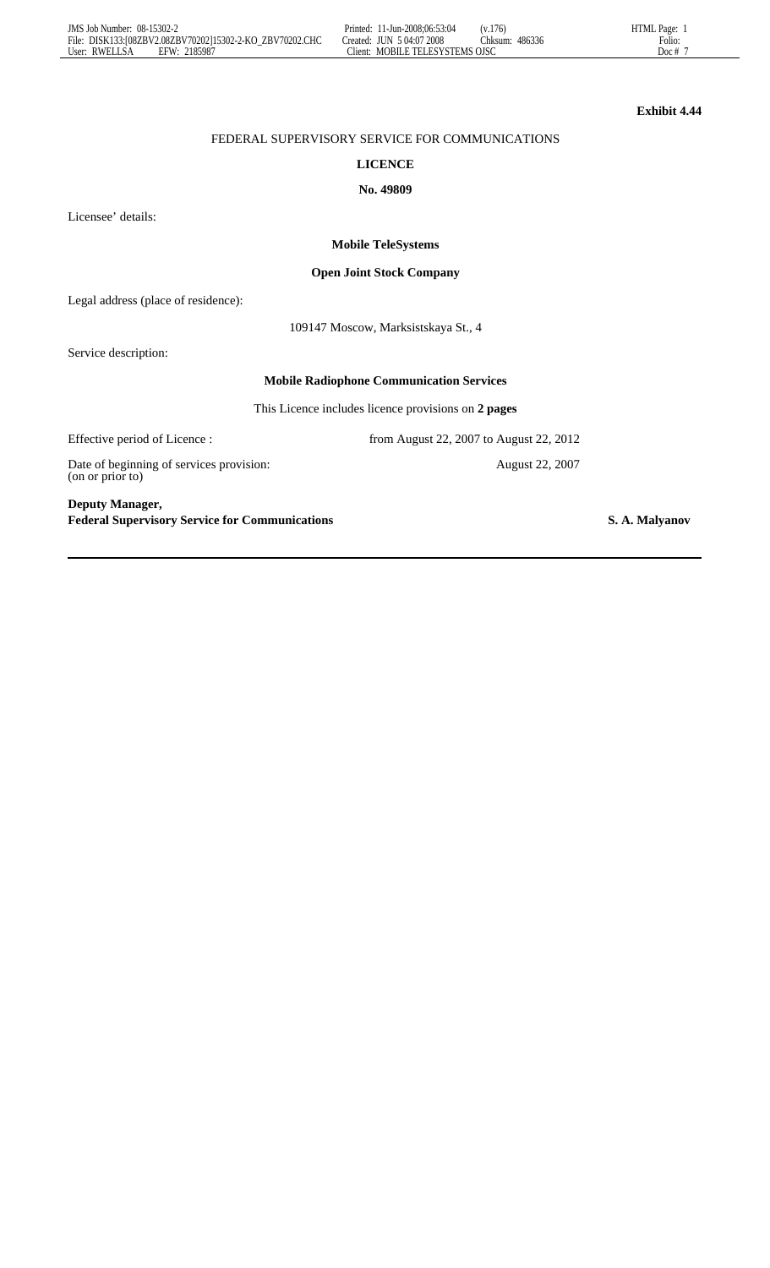## FEDERAL SUPERVISORY SERVICE FOR COMMUNICATIONS

### **LICENCE**

## **No. 49809**

Licensee' details:

# **Mobile TeleSystems**

## **Open Joint Stock Company**

Legal address (place of residence):

109147 Moscow, Marksistskaya St., 4

Service description:

## **Mobile Radiophone Communication Services**

This Licence includes licence provisions on **2 pages**

Effective period of Licence : from August 22, 2007 to August 22, 2012<br>Date of beginning of services provision: August 22, 2007 (on or prior to)

**Deputy Manager, Federal Supervisory Service for Communications S. A. Malyanov**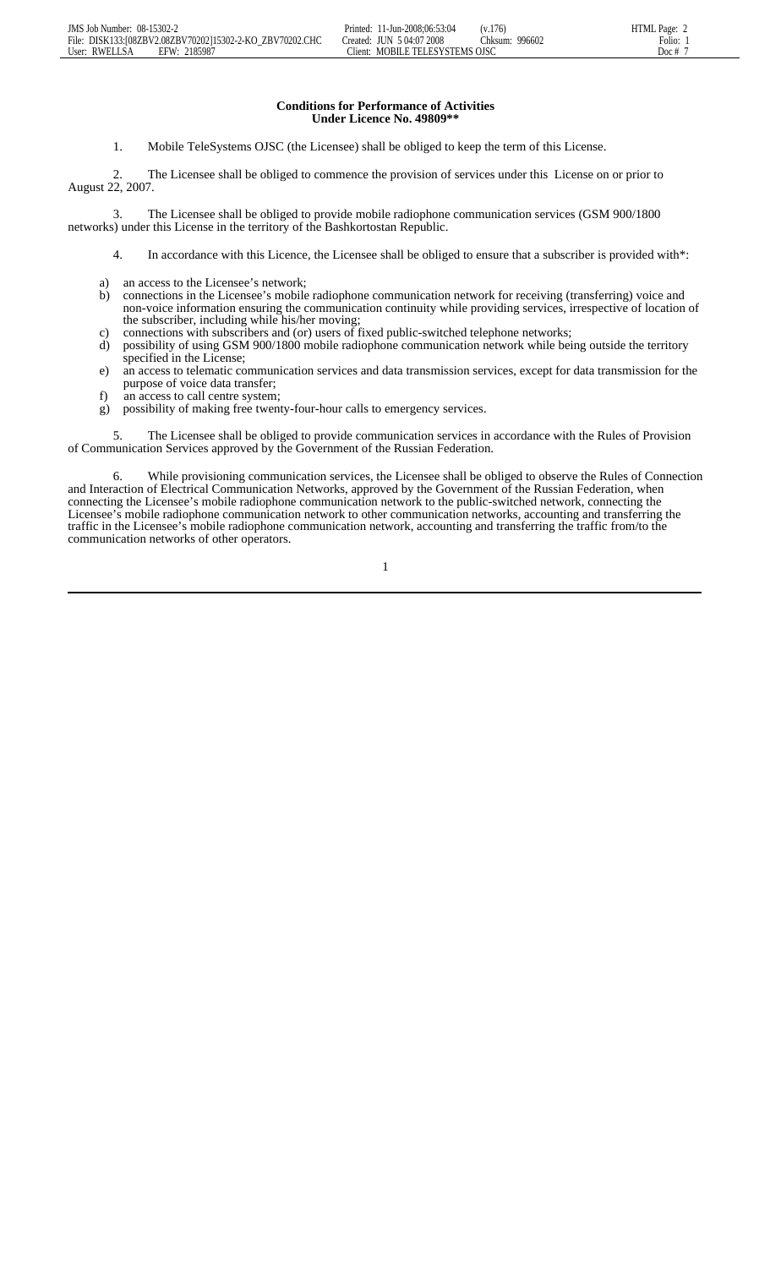#### **Conditions for Performance of Activities Under Licence No. 49809\*\***

1. Mobile TeleSystems OJSC (the Licensee) shall be obliged to keep the term of this License.

2. The Licensee shall be obliged to commence the provision of services under this License on or prior to August 22, 2007.

3. The Licensee shall be obliged to provide mobile radiophone communication services (GSM 900/1800 networks) under this License in the territory of the Bashkortostan Republic.

- 4. In accordance with this Licence, the Licensee shall be obliged to ensure that a subscriber is provided with\*:
- a) an access to the Licensee's network;<br>b) connections in the Licensee's mobile
- b) connections in the Licensee's mobile radiophone communication network for receiving (transferring) voice and non-voice information ensuring the communication continuity while providing services, irrespective of location of the subscriber, including while his/her moving;
- c) connections with subscribers and (or) users of fixed public-switched telephone networks;
- d) possibility of using GSM 900/1800 mobile radiophone communication network while being outside the territory specified in the License;
- e) an access to telematic communication services and data transmission services, except for data transmission for the purpose of voice data transfer;
- f) an access to call centre system;<br>g) possibility of making free twent
- possibility of making free twenty-four-hour calls to emergency services.

5. The Licensee shall be obliged to provide communication services in accordance with the Rules of Provision of Communication Services approved by the Government of the Russian Federation.

While provisioning communication services, the Licensee shall be obliged to observe the Rules of Connection and Interaction of Electrical Communication Networks, approved by the Government of the Russian Federation, when connecting the Licensee's mobile radiophone communication network to the public-switched network, connecting the Licensee's mobile radiophone communication network to other communication networks, accounting and transferring the traffic in the Licensee's mobile radiophone communication network, accounting and transferring the traffic from/to the communication networks of other operators.

<sup>1</sup>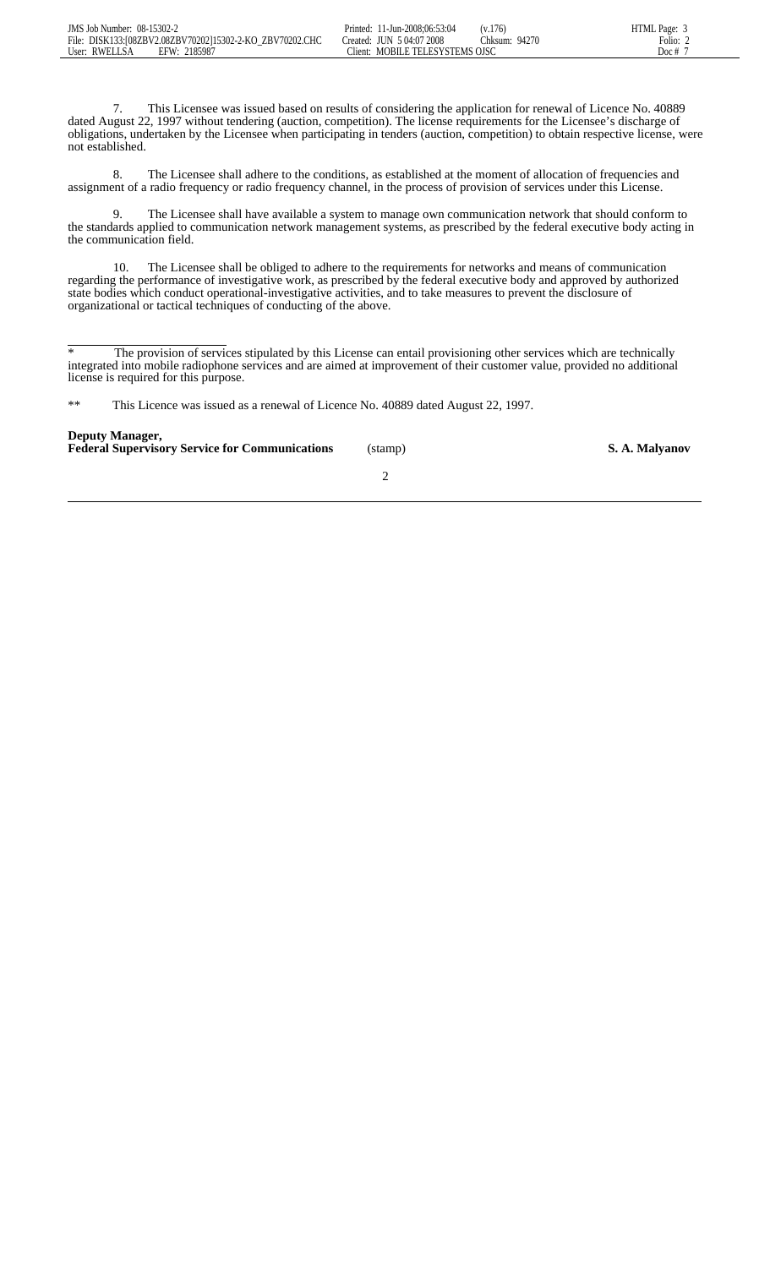7. This Licensee was issued based on results of considering the application for renewal of Licence No. 40889 dated August 22, 1997 without tendering (auction, competition). The license requirements for the Licensee's discharge of obligations, undertaken by the Licensee when participating in tenders (auction, competition) to obtain respective license, were not established.

8. The Licensee shall adhere to the conditions, as established at the moment of allocation of frequencies and assignment of a radio frequency or radio frequency channel, in the process of provision of services under this License.

9. The Licensee shall have available a system to manage own communication network that should conform to the standards applied to communication network management systems, as prescribed by the federal executive body acting in the communication field.

10. The Licensee shall be obliged to adhere to the requirements for networks and means of communication regarding the performance of investigative work, as prescribed by the federal executive body and approved by authorized state bodies which conduct operational-investigative activities, and to take measures to prevent the disclosure of organizational or tactical techniques of conducting of the above.

| <b>Deputy Manager,</b><br><b>Federal Supervisory Service for Communications</b> | (stamp) | S. A. Malyanov |
|---------------------------------------------------------------------------------|---------|----------------|
|                                                                                 |         |                |

The provision of services stipulated by this License can entail provisioning other services which are technically integrated into mobile radiophone services and are aimed at improvement of their customer value, provided no additional license is required for this purpose.

<sup>\*\*</sup> This Licence was issued as a renewal of Licence No. 40889 dated August 22, 1997.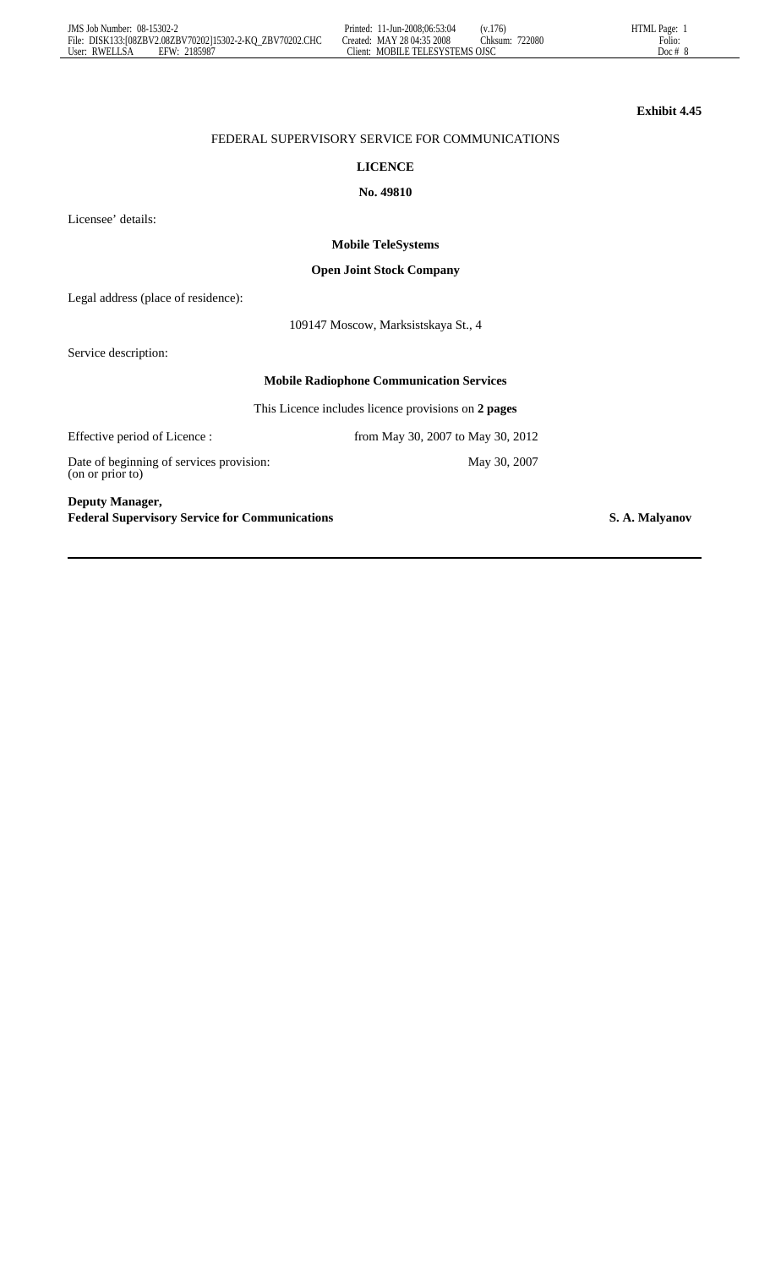### FEDERAL SUPERVISORY SERVICE FOR COMMUNICATIONS

### **LICENCE**

## **No. 49810**

Licensee' details:

# **Mobile TeleSystems**

## **Open Joint Stock Company**

Legal address (place of residence):

109147 Moscow, Marksistskaya St., 4

Service description:

## **Mobile Radiophone Communication Services**

This Licence includes licence provisions on **2 pages**

Effective period of Licence : from May 30, 2007 to May 30, 2012<br>Date of beginning of services provision: May 30, 2007 (on or prior to)

**Deputy Manager, Federal Supervisory Service for Communications S. A. Malyanov**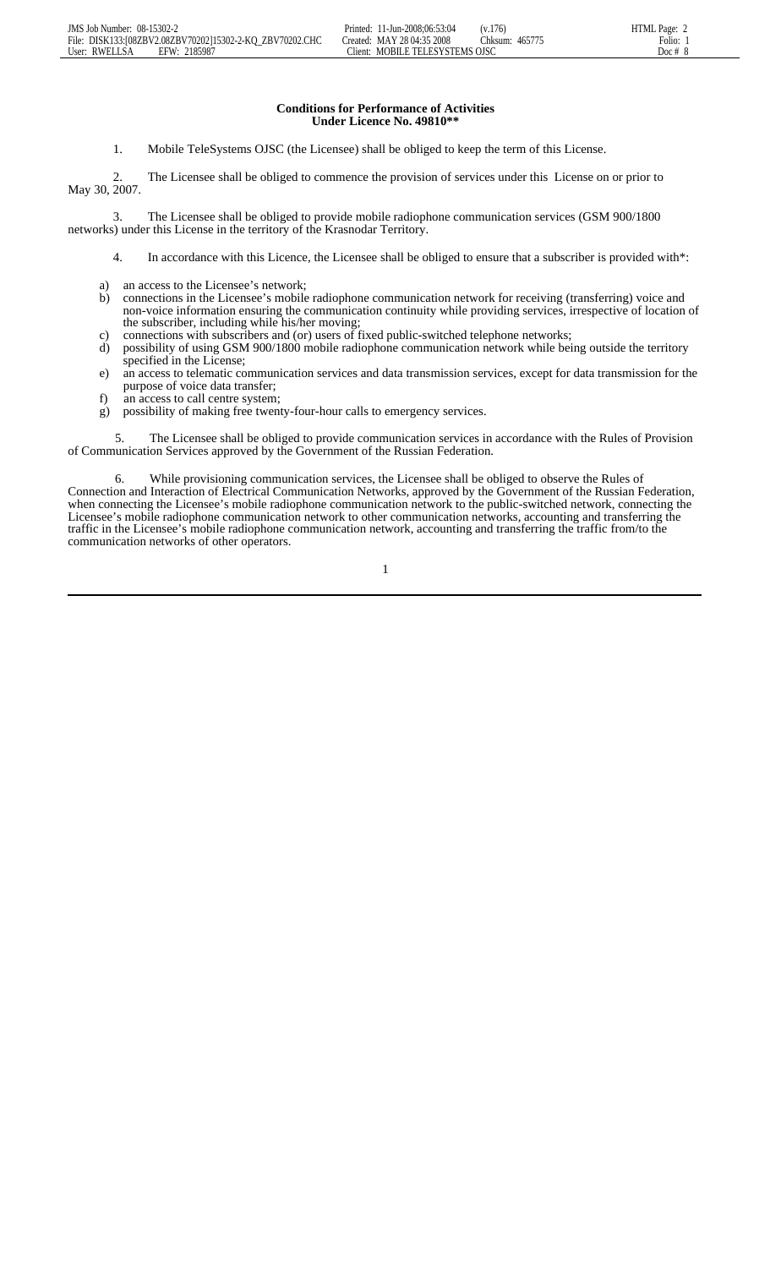#### **Conditions for Performance of Activities Under Licence No. 49810\*\***

1. Mobile TeleSystems OJSC (the Licensee) shall be obliged to keep the term of this License.

The Licensee shall be obliged to commence the provision of services under this License on or prior to May 30, 2007.

3. The Licensee shall be obliged to provide mobile radiophone communication services (GSM 900/1800 networks) under this License in the territory of the Krasnodar Territory.

- 4. In accordance with this Licence, the Licensee shall be obliged to ensure that a subscriber is provided with\*:
- a) an access to the Licensee's network;
- b) connections in the Licensee's mobile radiophone communication network for receiving (transferring) voice and non-voice information ensuring the communication continuity while providing services, irrespective of location of the subscriber, including while his/her moving;
- c) connections with subscribers and (or) users of fixed public-switched telephone networks;<br>d) possibility of using GSM 900/1800 mobile radiophone communication network while bei
- possibility of using GSM 900/1800 mobile radiophone communication network while being outside the territory specified in the License;
- e) an access to telematic communication services and data transmission services, except for data transmission for the purpose of voice data transfer;
- f) an access to call centre system;
- g) possibility of making free twenty-four-hour calls to emergency services.

5. The Licensee shall be obliged to provide communication services in accordance with the Rules of Provision of Communication Services approved by the Government of the Russian Federation.

6. While provisioning communication services, the Licensee shall be obliged to observe the Rules of Connection and Interaction of Electrical Communication Networks, approved by the Government of the Russian Federation, when connecting the Licensee's mobile radiophone communication network to the public-switched network, connecting the Licensee's mobile radiophone communication network to other communication networks, accounting and transferring the traffic in the Licensee's mobile radiophone communication network, accounting and transferring the traffic from/to the communication networks of other operators.

| ۰ |  |  |  |
|---|--|--|--|
|   |  |  |  |
|   |  |  |  |
|   |  |  |  |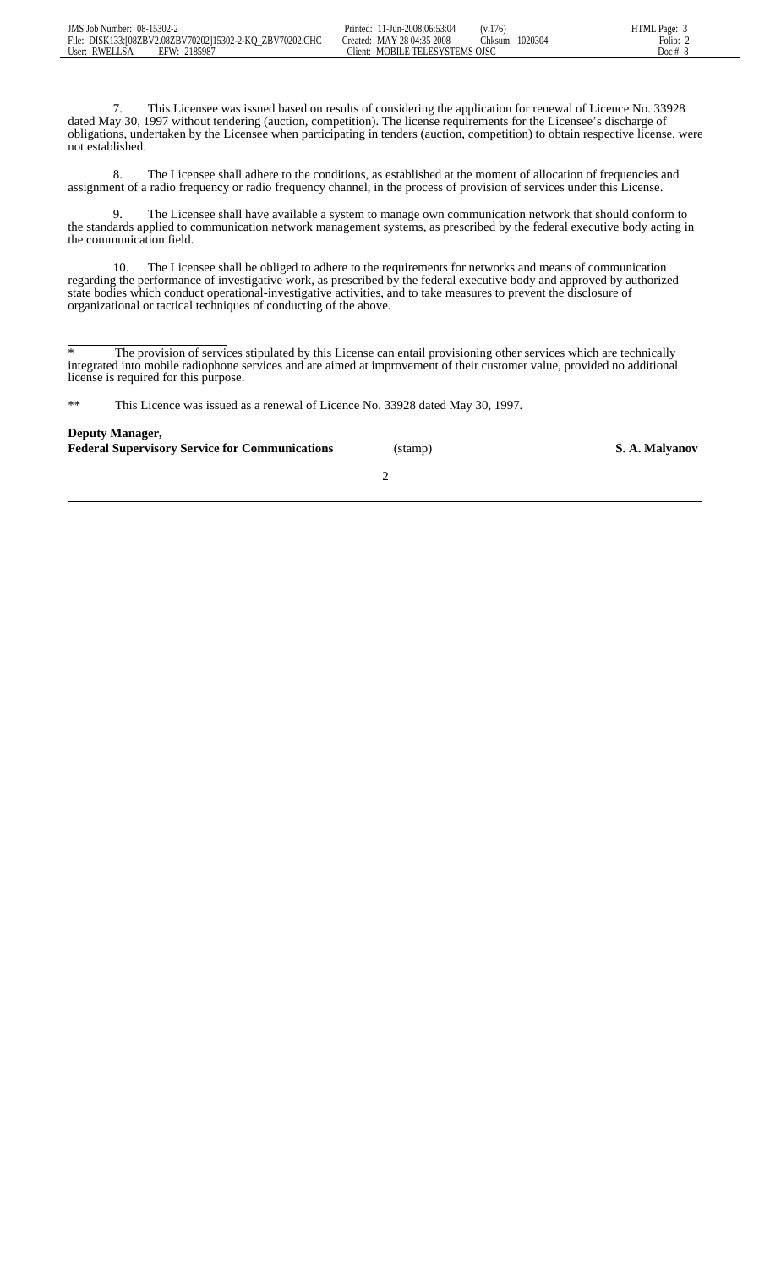7. This Licensee was issued based on results of considering the application for renewal of Licence No. 33928 dated May 30, 1997 without tendering (auction, competition). The license requirements for the Licensee's discharge of obligations, undertaken by the Licensee when participating in tenders (auction, competition) to obtain respective license, were not established.

8. The Licensee shall adhere to the conditions, as established at the moment of allocation of frequencies and assignment of a radio frequency or radio frequency channel, in the process of provision of services under this License.

9. The Licensee shall have available a system to manage own communication network that should conform to the standards applied to communication network management systems, as prescribed by the federal executive body acting in the communication field.

10. The Licensee shall be obliged to adhere to the requirements for networks and means of communication regarding the performance of investigative work, as prescribed by the federal executive body and approved by authorized state bodies which conduct operational-investigative activities, and to take measures to prevent the disclosure of organizational or tactical techniques of conducting of the above.

| <b>Deputy Manager,</b>                                |         |                |
|-------------------------------------------------------|---------|----------------|
| <b>Federal Supervisory Service for Communications</b> | (stamp) | S. A. Malyanov |
|                                                       |         |                |

<sup>\*</sup> The provision of services stipulated by this License can entail provisioning other services which are technically integrated into mobile radiophone services and are aimed at improvement of their customer value, provided no additional license is required for this purpose.

<sup>\*\*</sup> This Licence was issued as a renewal of Licence No. 33928 dated May 30, 1997.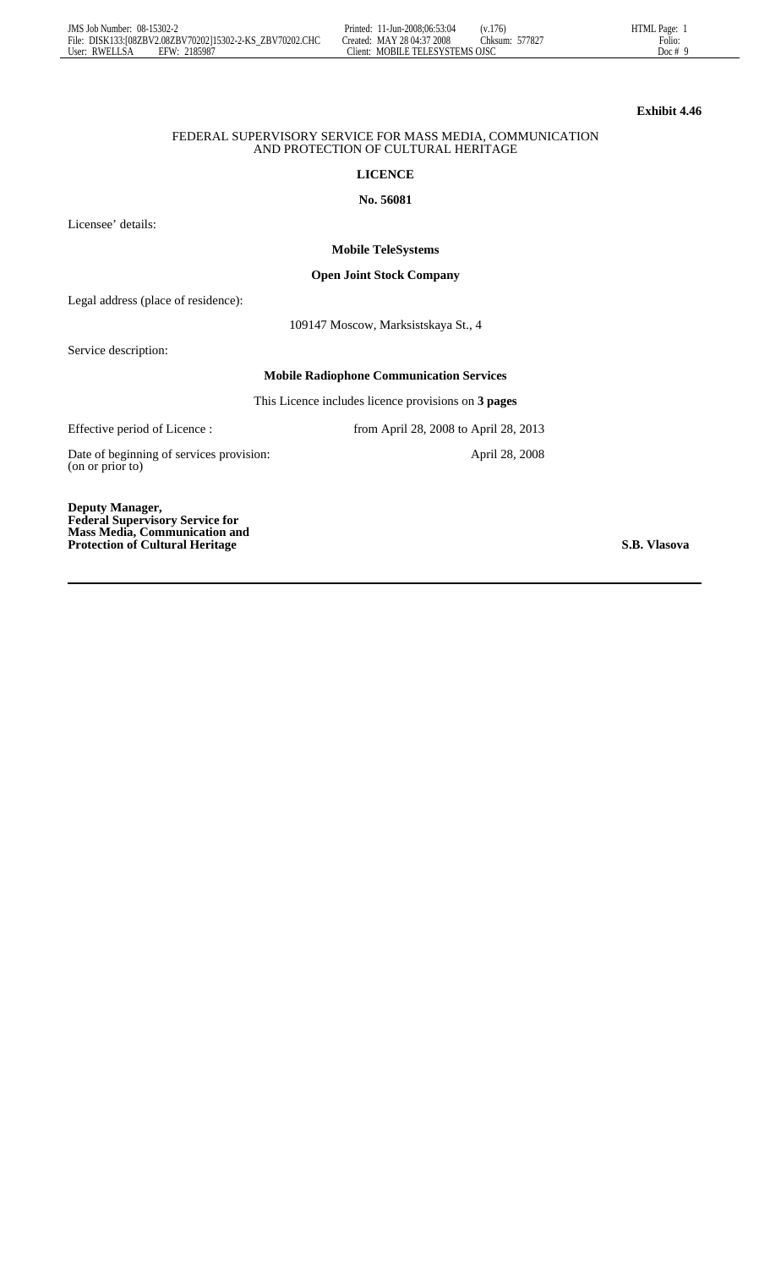#### FEDERAL SUPERVISORY SERVICE FOR MASS MEDIA, COMMUNICATION AND PROTECTION OF CULTURAL HERITAGE

## **LICENCE**

### **No. 56081**

Licensee' details:

# **Mobile TeleSystems**

## **Open Joint Stock Company**

Legal address (place of residence):

109147 Moscow, Marksistskaya St., 4

Service description:

### **Mobile Radiophone Communication Services**

This Licence includes licence provisions on **3 pages**

April 28, 2008

Effective period of Licence : from April 28, 2008 to April 28, 2013

Date of beginning of services provision: (on or prior to)

**Deputy Manager, Federal Supervisory Service for Mass Media, Communication and Protection of Cultural Heritage S.B. Vlasova**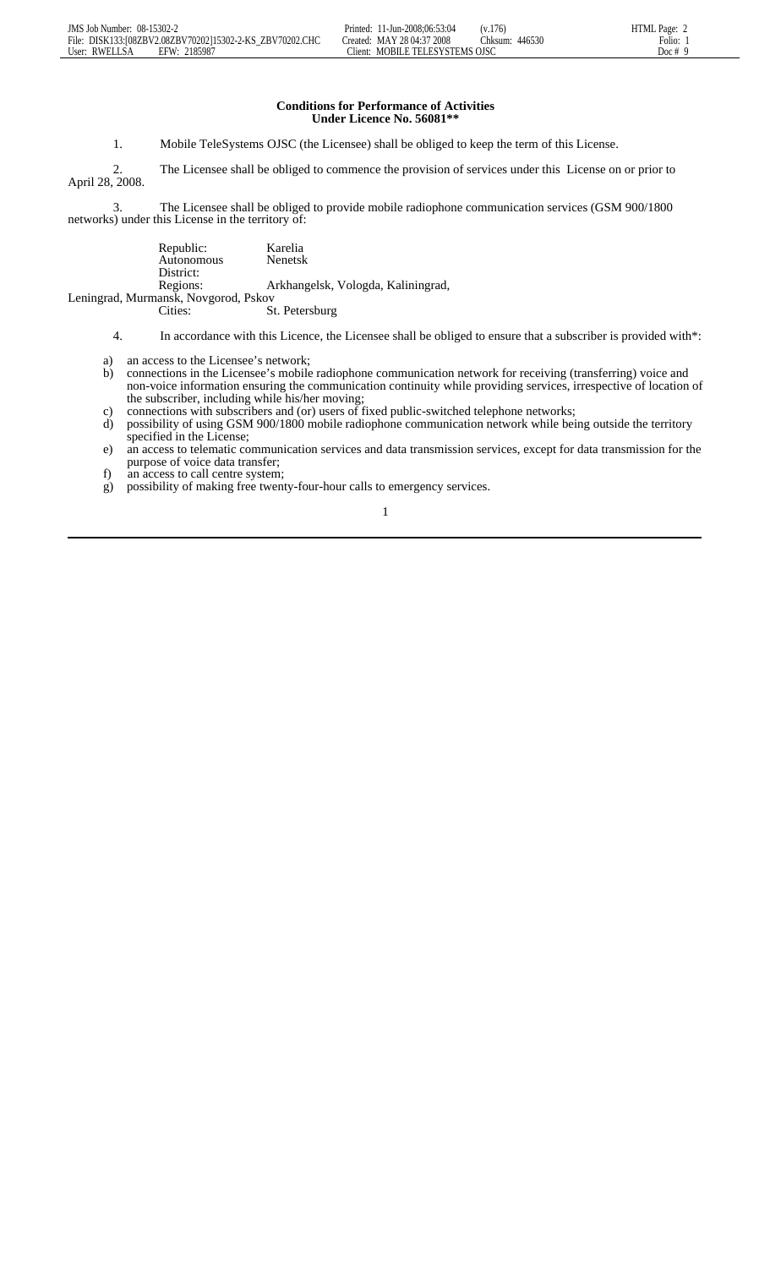#### **Conditions for Performance of Activities Under Licence No. 56081\*\***

1. Mobile TeleSystems OJSC (the Licensee) shall be obliged to keep the term of this License.

2. The Licensee shall be obliged to commence the provision of services under this License on or prior to April 28, 2008.

3. The Licensee shall be obliged to provide mobile radiophone communication services (GSM 900/1800 networks) under this License in the territory of:

| Republic:                            | Karelia                            |
|--------------------------------------|------------------------------------|
| Autonomous                           | <b>Nenetsk</b>                     |
| District:                            |                                    |
| Regions:                             | Arkhangelsk, Vologda, Kaliningrad, |
| Leningrad, Murmansk, Novgorod, Pskov |                                    |
| Cities:                              | St. Petersburg                     |

4. In accordance with this Licence, the Licensee shall be obliged to ensure that a subscriber is provided with\*:

a) an access to the Licensee's network;

- b) connections in the Licensee's mobile radiophone communication network for receiving (transferring) voice and non-voice information ensuring the communication continuity while providing services, irrespective of location of the subscriber, including while his/her moving;
- c) connections with subscribers and (or) users of fixed public-switched telephone networks;
- d) possibility of using GSM 900/1800 mobile radiophone communication network while being outside the territory specified in the License;
- e) an access to telematic communication services and data transmission services, except for data transmission for the purpose of voice data transfer;
- 
- f) an access to call centre system;<br>g) possibility of making free twent possibility of making free twenty-four-hour calls to emergency services.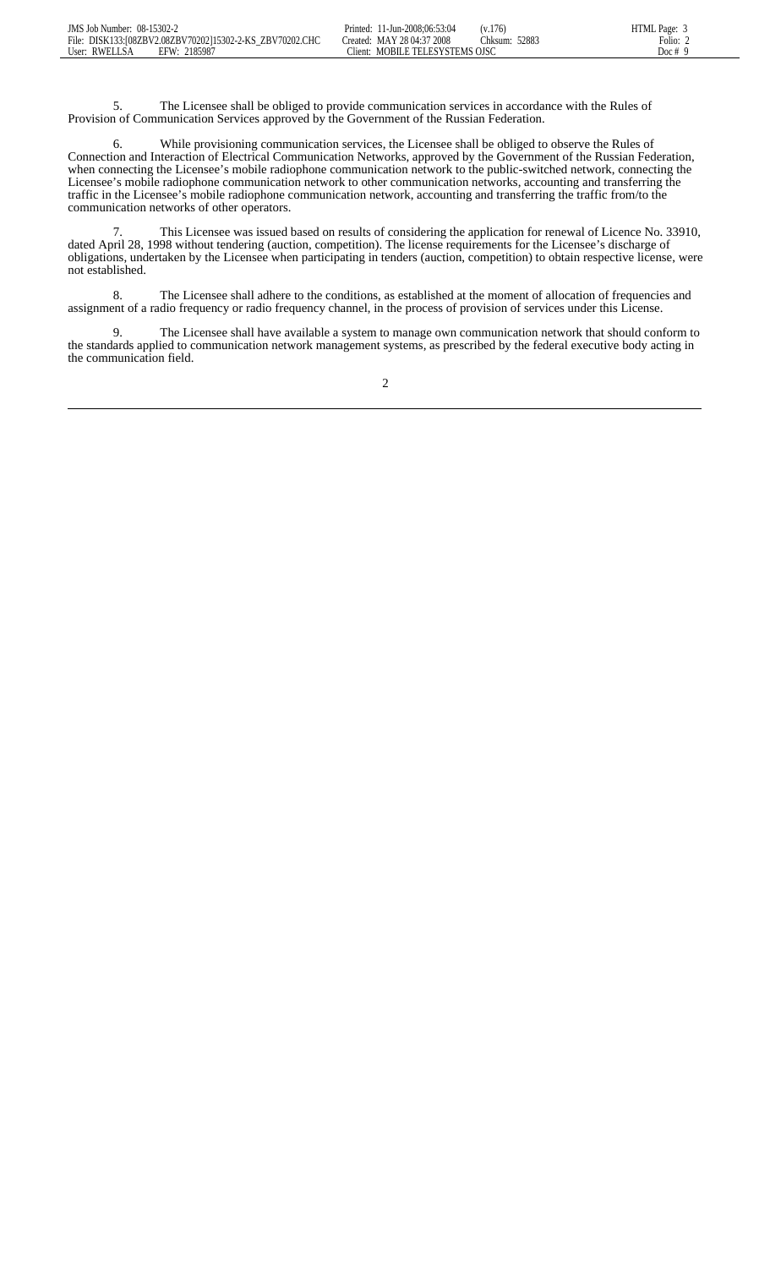5. The Licensee shall be obliged to provide communication services in accordance with the Rules of Provision of Communication Services approved by the Government of the Russian Federation.

6. While provisioning communication services, the Licensee shall be obliged to observe the Rules of Connection and Interaction of Electrical Communication Networks, approved by the Government of the Russian Federation, when connecting the Licensee's mobile radiophone communication network to the public-switched network, connecting the Licensee's mobile radiophone communication network to other communication networks, accounting and transferring the traffic in the Licensee's mobile radiophone communication network, accounting and transferring the traffic from/to the communication networks of other operators.

This Licensee was issued based on results of considering the application for renewal of Licence No. 33910, dated April 28, 1998 without tendering (auction, competition). The license requirements for the Licensee's discharge of obligations, undertaken by the Licensee when participating in tenders (auction, competition) to obtain respective license, were not established.

8. The Licensee shall adhere to the conditions, as established at the moment of allocation of frequencies and assignment of a radio frequency or radio frequency channel, in the process of provision of services under this License.

9. The Licensee shall have available a system to manage own communication network that should conform to the standards applied to communication network management systems, as prescribed by the federal executive body acting in the communication field.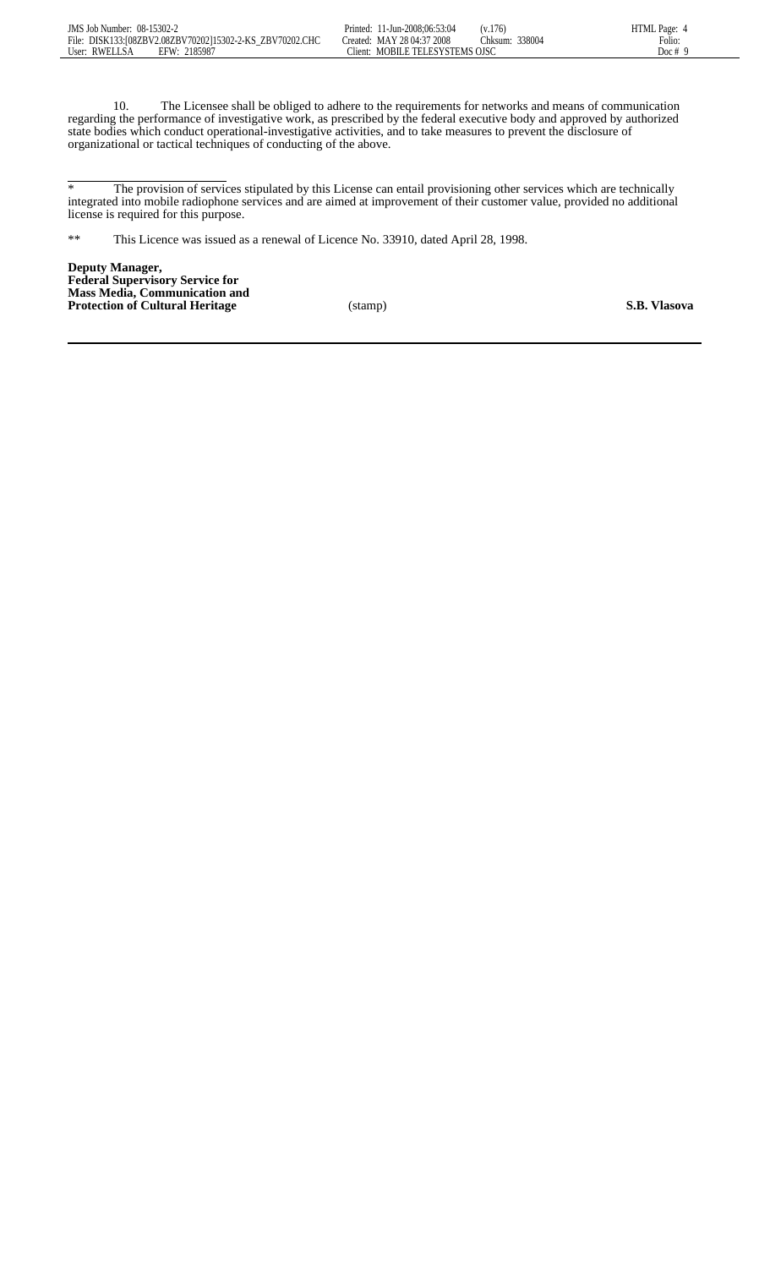10. The Licensee shall be obliged to adhere to the requirements for networks and means of communication regarding the performance of investigative work, as prescribed by the federal executive body and approved by authorized state bodies which conduct operational-investigative activities, and to take measures to prevent the disclosure of organizational or tactical techniques of conducting of the above.

\* The provision of services stipulated by this License can entail provisioning other services which are technically integrated into mobile radiophone services and are aimed at improvement of their customer value, provided no additional license is required for this purpose.

**Deputy Manager, Federal Supervisory Service for Mass Media, Communication and Protection of Cultural Heritage** (stamp) **S.B. Vlasova** 

<sup>\*\*</sup> This Licence was issued as a renewal of Licence No. 33910, dated April 28, 1998.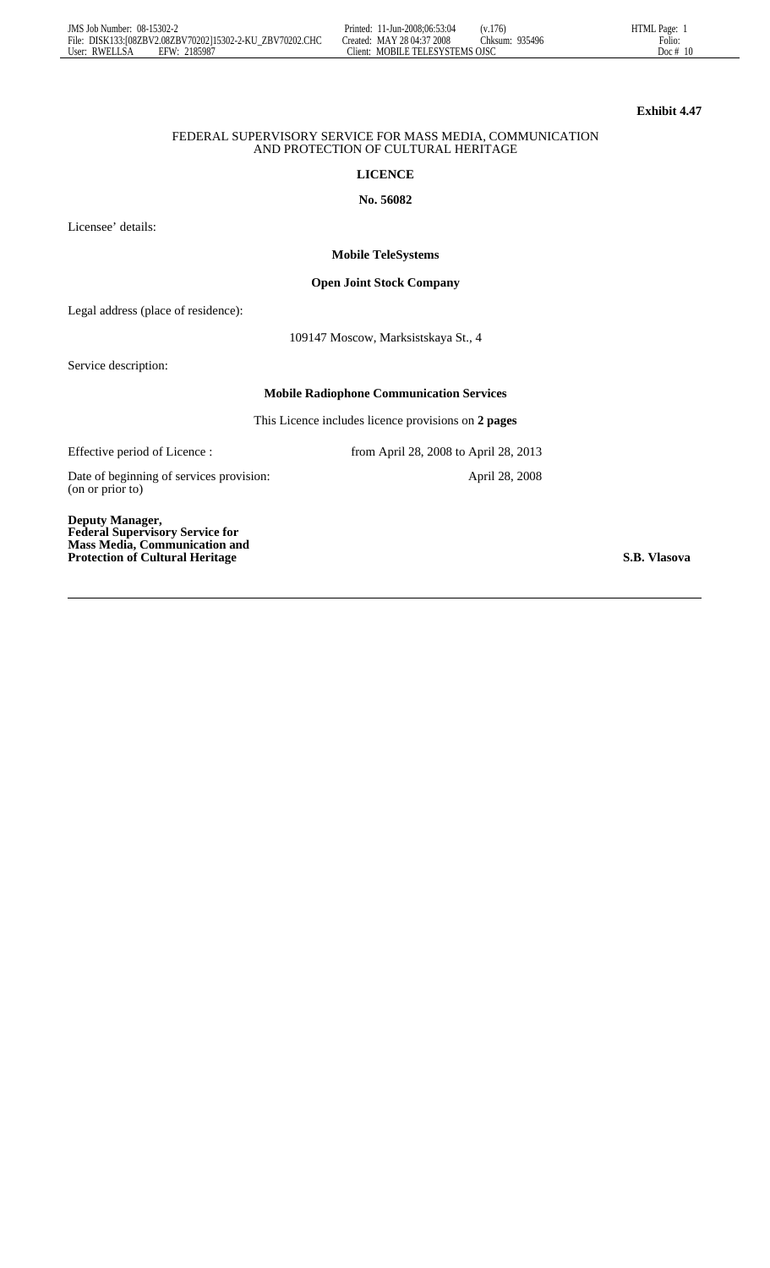#### FEDERAL SUPERVISORY SERVICE FOR MASS MEDIA, COMMUNICATION AND PROTECTION OF CULTURAL HERITAGE

## **LICENCE**

#### **No. 56082**

Licensee' details:

### **Mobile TeleSystems**

## **Open Joint Stock Company**

Legal address (place of residence):

109147 Moscow, Marksistskaya St., 4

Service description:

## **Mobile Radiophone Communication Services**

This Licence includes licence provisions on **2 pages**

Effective period of Licence : from April 28, 2008 to April 28, 2013<br>Date of beginning of services provision: April 28, 2008 (on or prior to)

**Deputy Manager, Federal Supervisory Service for Mass Media, Communication and Protection of Cultural Heritage S.B. Vlasova**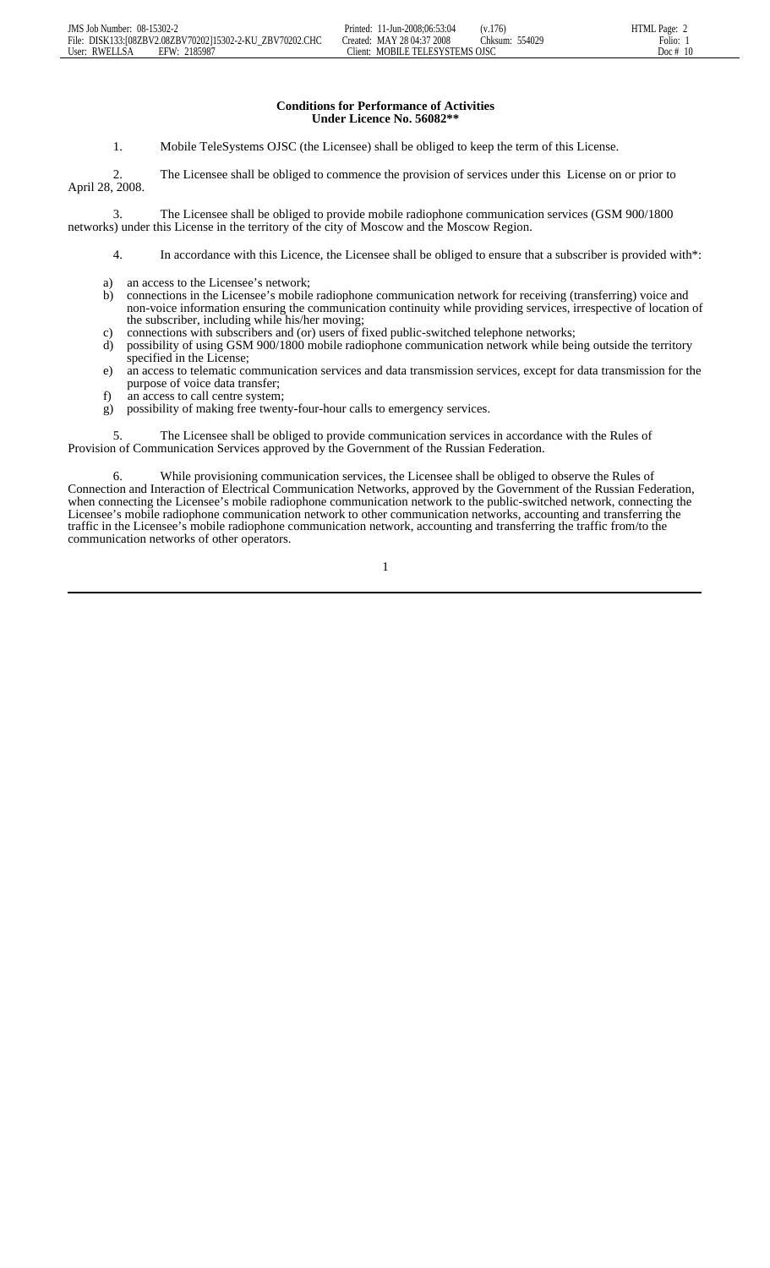#### **Conditions for Performance of Activities Under Licence No. 56082\*\***

1. Mobile TeleSystems OJSC (the Licensee) shall be obliged to keep the term of this License.

2. The Licensee shall be obliged to commence the provision of services under this License on or prior to April 28, 2008.

3. The Licensee shall be obliged to provide mobile radiophone communication services (GSM 900/1800 networks) under this License in the territory of the city of Moscow and the Moscow Region.

- 4. In accordance with this Licence, the Licensee shall be obliged to ensure that a subscriber is provided with\*:
- a) an access to the Licensee's network;<br>b) connections in the Licensee's mobile
- b) connections in the Licensee's mobile radiophone communication network for receiving (transferring) voice and non-voice information ensuring the communication continuity while providing services, irrespective of location of the subscriber, including while his/her moving;
- c) connections with subscribers and (or) users of fixed public-switched telephone networks;
- d) possibility of using GSM 900/1800 mobile radiophone communication network while being outside the territory specified in the License;
- e) an access to telematic communication services and data transmission services, except for data transmission for the purpose of voice data transfer;
- f) an access to call centre system;<br>g) possibility of making free twen
- possibility of making free twenty-four-hour calls to emergency services.

5. The Licensee shall be obliged to provide communication services in accordance with the Rules of Provision of Communication Services approved by the Government of the Russian Federation.

While provisioning communication services, the Licensee shall be obliged to observe the Rules of Connection and Interaction of Electrical Communication Networks, approved by the Government of the Russian Federation, when connecting the Licensee's mobile radiophone communication network to the public-switched network, connecting the Licensee's mobile radiophone communication network to other communication networks, accounting and transferring the traffic in the Licensee's mobile radiophone communication network, accounting and transferring the traffic from/to the communication networks of other operators.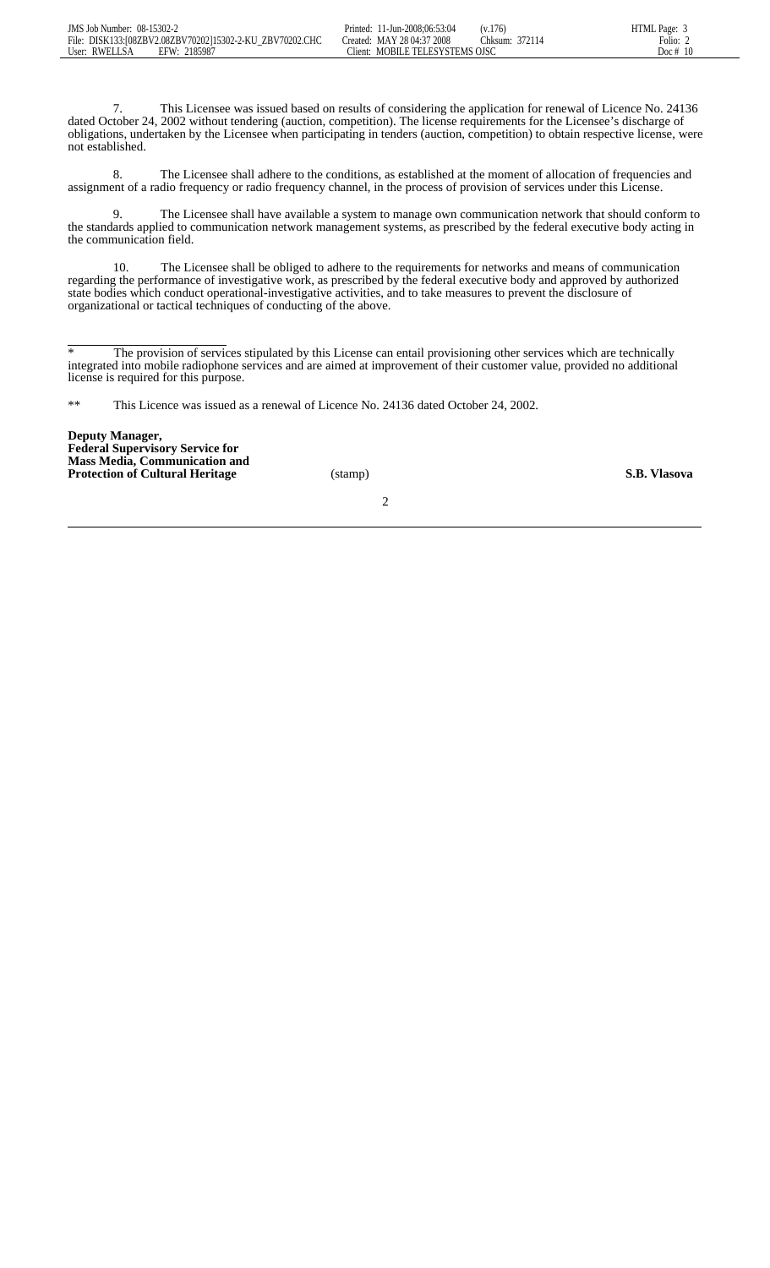7. This Licensee was issued based on results of considering the application for renewal of Licence No. 24136 dated October 24, 2002 without tendering (auction, competition). The license requirements for the Licensee's discharge of obligations, undertaken by the Licensee when participating in tenders (auction, competition) to obtain respective license, were not established.

8. The Licensee shall adhere to the conditions, as established at the moment of allocation of frequencies and assignment of a radio frequency or radio frequency channel, in the process of provision of services under this License.

The Licensee shall have available a system to manage own communication network that should conform to the standards applied to communication network management systems, as prescribed by the federal executive body acting in the communication field.

10. The Licensee shall be obliged to adhere to the requirements for networks and means of communication regarding the performance of investigative work, as prescribed by the federal executive body and approved by authorized state bodies which conduct operational-investigative activities, and to take measures to prevent the disclosure of organizational or tactical techniques of conducting of the above.

**Deputy Manager, Federal Supervisory Service for Mass Media, Communication and Protection of Cultural Heritage** (stamp) **S.B. Vlasova**

<sup>\*</sup> The provision of services stipulated by this License can entail provisioning other services which are technically integrated into mobile radiophone services and are aimed at improvement of their customer value, provided no additional license is required for this purpose.

<sup>\*\*</sup> This Licence was issued as a renewal of Licence No. 24136 dated October 24, 2002.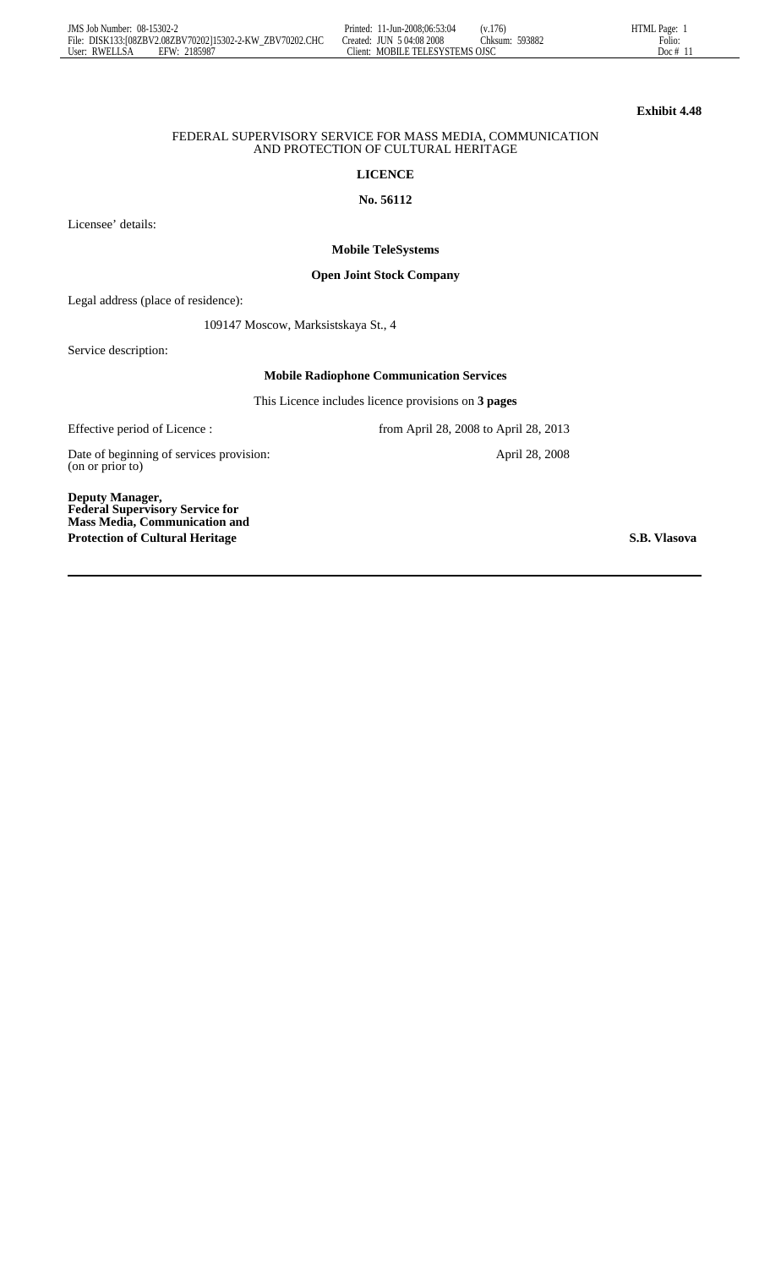#### FEDERAL SUPERVISORY SERVICE FOR MASS MEDIA, COMMUNICATION AND PROTECTION OF CULTURAL HERITAGE

## **LICENCE**

### **No. 56112**

Licensee' details:

# **Mobile TeleSystems**

### **Open Joint Stock Company**

Legal address (place of residence):

109147 Moscow, Marksistskaya St., 4

Service description:

### **Mobile Radiophone Communication Services**

This Licence includes licence provisions on **3 pages**

Effective period of Licence : from April 28, 2008 to April 28, 2013

Date of beginning of services provision: (on or prior to)

**Deputy Manager, Federal Supervisory Service for Mass Media, Communication and Protection of Cultural Heritage S.B. Vlasova**

April 28, 2008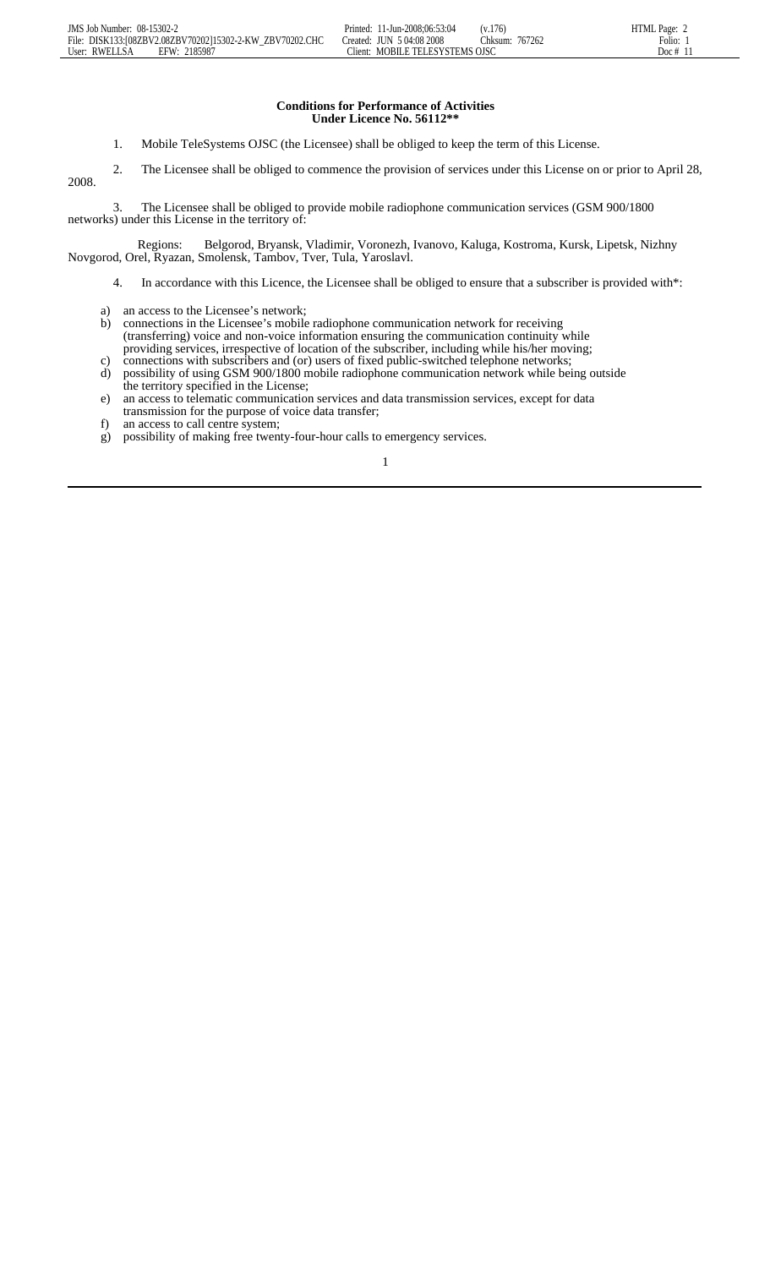#### **Conditions for Performance of Activities Under Licence No. 56112\*\***

1. Mobile TeleSystems OJSC (the Licensee) shall be obliged to keep the term of this License.

2. The Licensee shall be obliged to commence the provision of services under this License on or prior to April 28, 2008.

3. The Licensee shall be obliged to provide mobile radiophone communication services (GSM 900/1800 networks) under this License in the territory of:

Regions: Belgorod, Bryansk, Vladimir, Voronezh, Ivanovo, Kaluga, Kostroma, Kursk, Lipetsk, Nizhny Novgorod, Orel, Ryazan, Smolensk, Tambov, Tver, Tula, Yaroslavl.

- 4. In accordance with this Licence, the Licensee shall be obliged to ensure that a subscriber is provided with\*:
- a) an access to the Licensee's network;<br>b) connections in the Licensee's mobile
- b) connections in the Licensee's mobile radiophone communication network for receiving (transferring) voice and non-voice information ensuring the communication continuity while providing services, irrespective of location of the subscriber, including while his/her moving;
- c) connections with subscribers and (or) users of fixed public-switched telephone networks; d) possibility of using GSM 900/1800 mobile radiophone communication network while being outside the territory specified in the License;
- e) an access to telematic communication services and data transmission services, except for data transmission for the purpose of voice data transfer;
- f) an access to call centre system;
- g) possibility of making free twenty-four-hour calls to emergency services.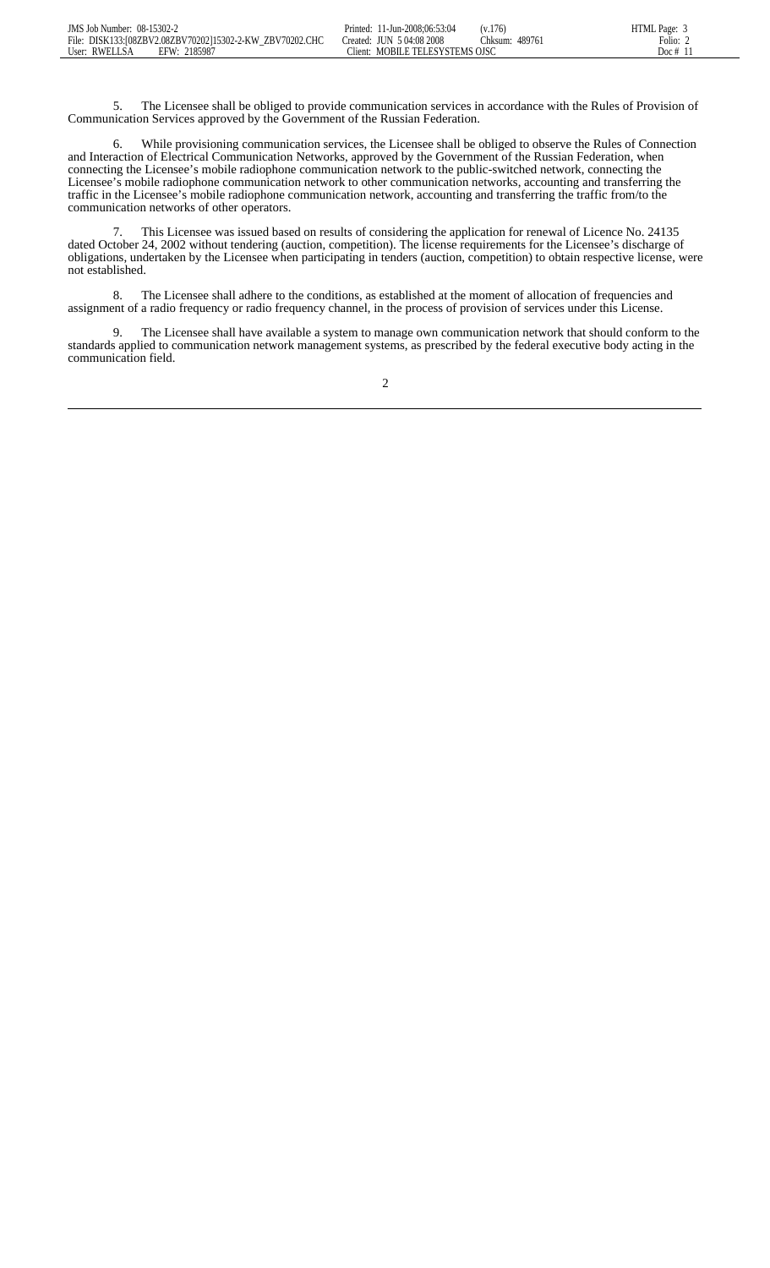5. The Licensee shall be obliged to provide communication services in accordance with the Rules of Provision of Communication Services approved by the Government of the Russian Federation.

6. While provisioning communication services, the Licensee shall be obliged to observe the Rules of Connection and Interaction of Electrical Communication Networks, approved by the Government of the Russian Federation, when connecting the Licensee's mobile radiophone communication network to the public-switched network, connecting the Licensee's mobile radiophone communication network to other communication networks, accounting and transferring the traffic in the Licensee's mobile radiophone communication network, accounting and transferring the traffic from/to the communication networks of other operators.

This Licensee was issued based on results of considering the application for renewal of Licence No. 24135 dated October 24, 2002 without tendering (auction, competition). The license requirements for the Licensee's discharge of obligations, undertaken by the Licensee when participating in tenders (auction, competition) to obtain respective license, were not established.

8. The Licensee shall adhere to the conditions, as established at the moment of allocation of frequencies and assignment of a radio frequency or radio frequency channel, in the process of provision of services under this License.

9. The Licensee shall have available a system to manage own communication network that should conform to the standards applied to communication network management systems, as prescribed by the federal executive body acting in the communication field.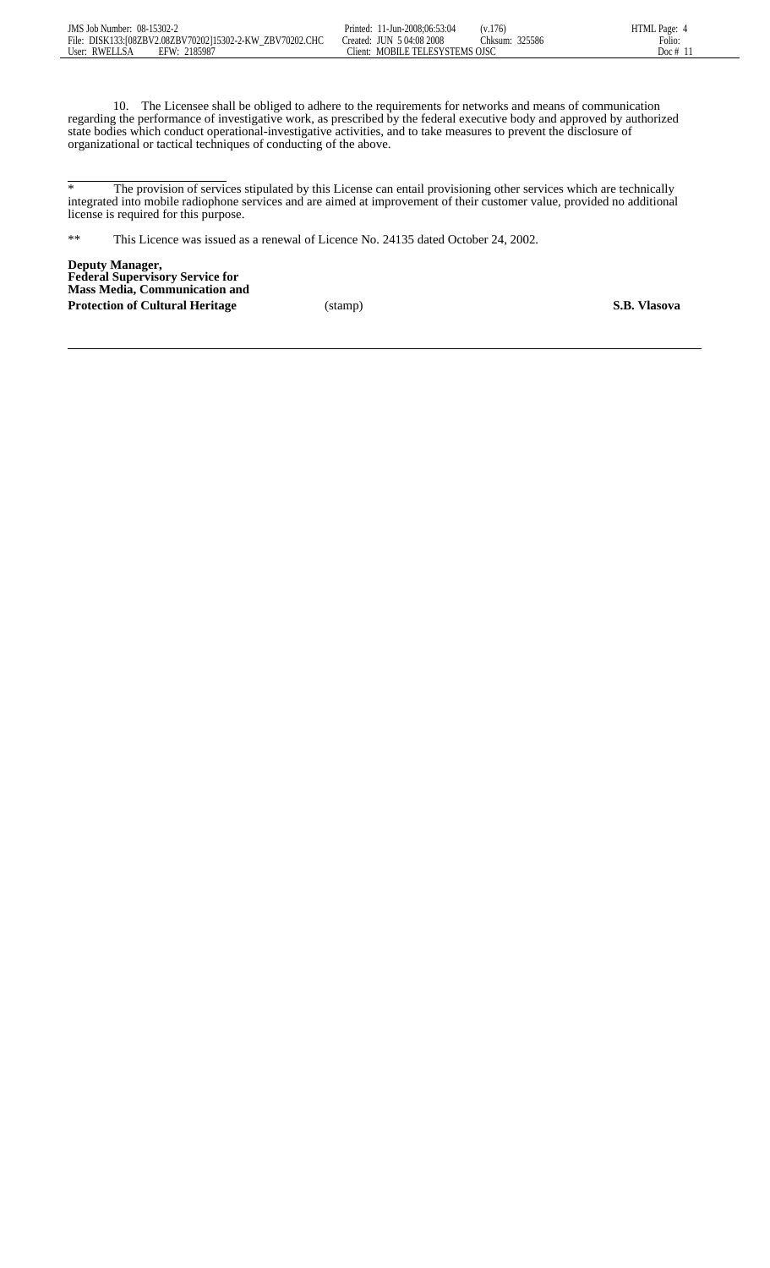10. The Licensee shall be obliged to adhere to the requirements for networks and means of communication regarding the performance of investigative work, as prescribed by the federal executive body and approved by authorized state bodies which conduct operational-investigative activities, and to take measures to prevent the disclosure of organizational or tactical techniques of conducting of the above.

\* The provision of services stipulated by this License can entail provisioning other services which are technically integrated into mobile radiophone services and are aimed at improvement of their customer value, provided no additional license is required for this purpose.

\*\* This Licence was issued as a renewal of Licence No. 24135 dated October 24, 2002.

**Deputy Manager, Federal Supervisory Service for Mass Media, Communication and Protection of Cultural Heritage** (stamp) **S.B. Vlasova**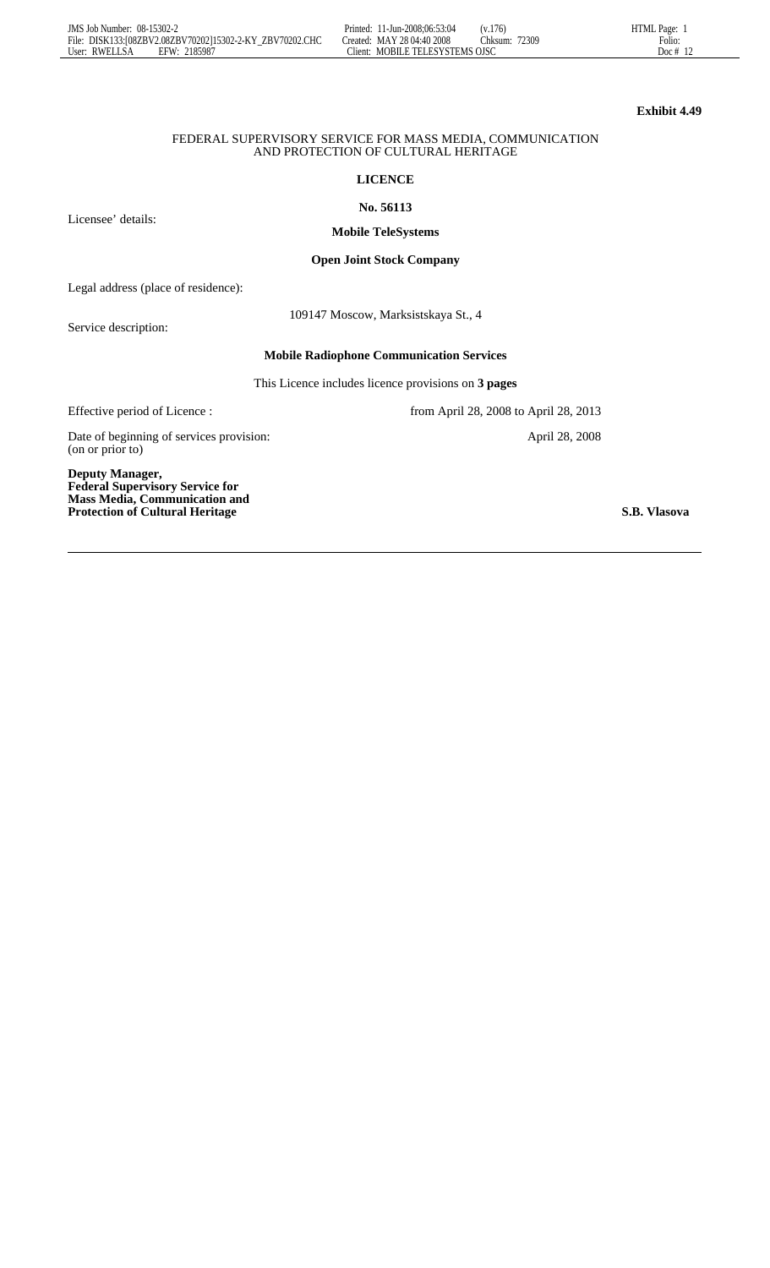### FEDERAL SUPERVISORY SERVICE FOR MASS MEDIA, COMMUNICATION AND PROTECTION OF CULTURAL HERITAGE

## **LICENCE**

**No. 56113**

### **Mobile TeleSystems**

## **Open Joint Stock Company**

Legal address (place of residence):

Licensee' details:

Service description:

109147 Moscow, Marksistskaya St., 4

### **Mobile Radiophone Communication Services**

This Licence includes licence provisions on **3 pages**

Effective period of Licence : from April 28, 2008 to April 28, 2013

Date of beginning of services provision: April 28, 2008 (on or prior to)

**Deputy Manager, Federal Supervisory Service for Mass Media, Communication and Protection of Cultural Heritage S.B. Vlasova**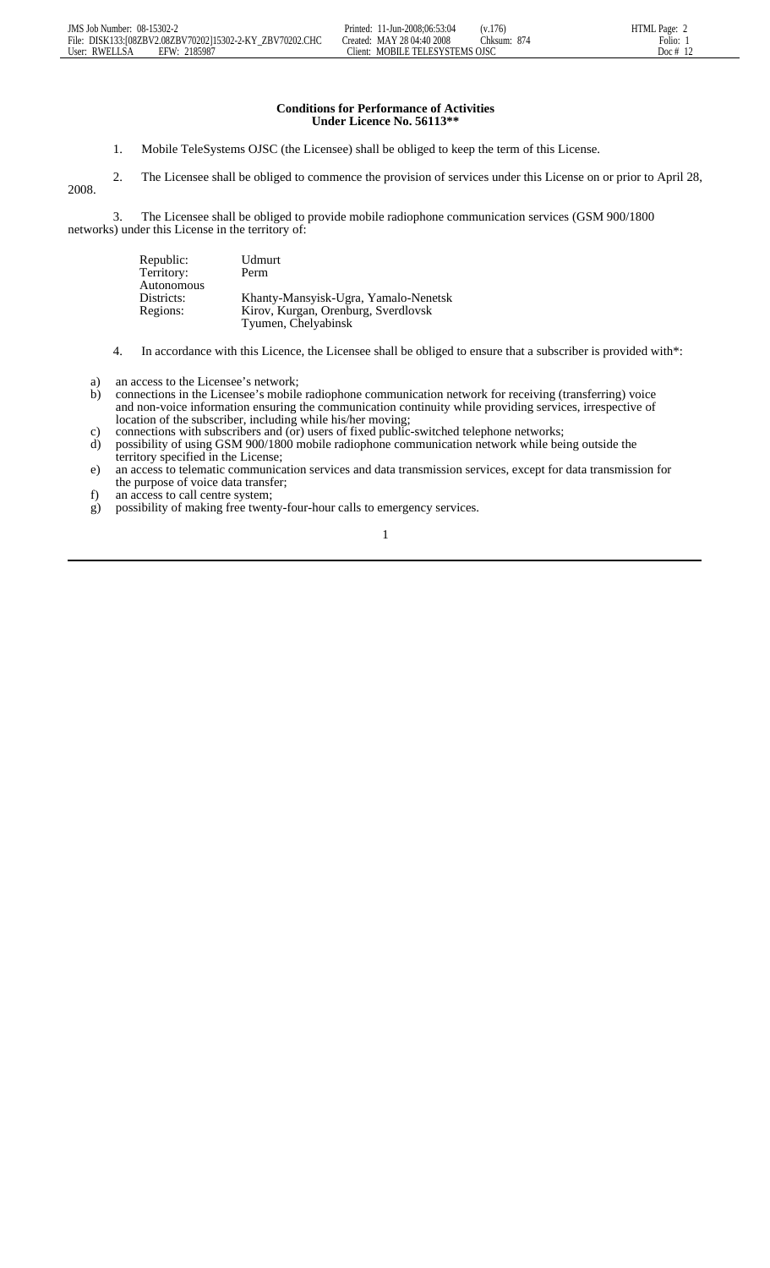### **Conditions for Performance of Activities Under Licence No. 56113\*\***

1. Mobile TeleSystems OJSC (the Licensee) shall be obliged to keep the term of this License.

2. The Licensee shall be obliged to commence the provision of services under this License on or prior to April 28, 2008.

3. The Licensee shall be obliged to provide mobile radiophone communication services (GSM 900/1800 networks) under this License in the territory of:

| Republic:  | Udmurt                               |
|------------|--------------------------------------|
| Territory: | Perm                                 |
| Autonomous |                                      |
| Districts: | Khanty-Mansyisk-Ugra, Yamalo-Nenetsk |
| Regions:   | Kirov, Kurgan, Orenburg, Sverdlovsk  |
|            | Tyumen, Chelyabinsk                  |

- 4. In accordance with this Licence, the Licensee shall be obliged to ensure that a subscriber is provided with\*:
- a) an access to the Licensee's network;
- b) connections in the Licensee's mobile radiophone communication network for receiving (transferring) voice and non-voice information ensuring the communication continuity while providing services, irrespective of location of the subscriber, including while his/her moving;
- c) connections with subscribers and (or) users of fixed public-switched telephone networks;<br>d) possibility of using GSM 900/1800 mobile radiophone communication network while bei possibility of using GSM 900/1800 mobile radiophone communication network while being outside the territory specified in the License;
- e) an access to telematic communication services and data transmission services, except for data transmission for the purpose of voice data transfer;
- f) an access to call centre system;
- g) possibility of making free twenty-four-hour calls to emergency services.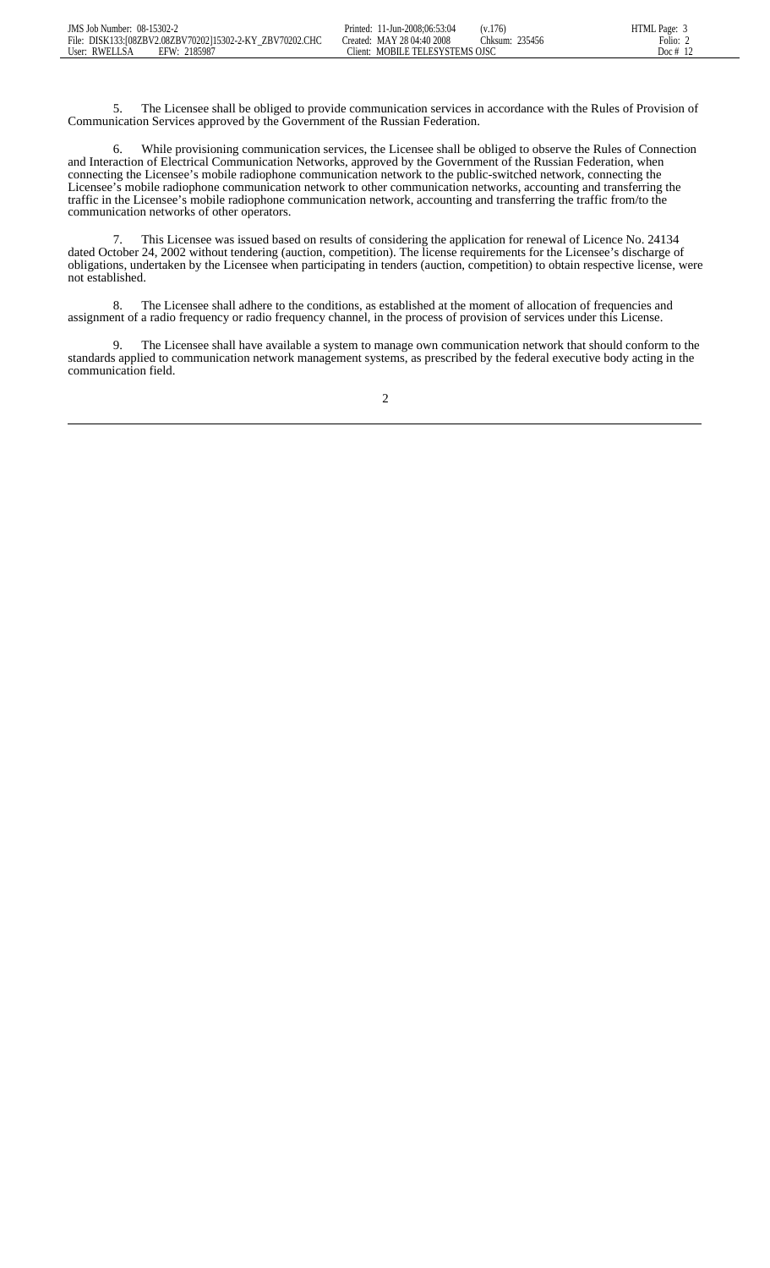5. The Licensee shall be obliged to provide communication services in accordance with the Rules of Provision of Communication Services approved by the Government of the Russian Federation.

6. While provisioning communication services, the Licensee shall be obliged to observe the Rules of Connection and Interaction of Electrical Communication Networks, approved by the Government of the Russian Federation, when connecting the Licensee's mobile radiophone communication network to the public-switched network, connecting the Licensee's mobile radiophone communication network to other communication networks, accounting and transferring the traffic in the Licensee's mobile radiophone communication network, accounting and transferring the traffic from/to the communication networks of other operators.

7. This Licensee was issued based on results of considering the application for renewal of Licence No. 24134 dated October 24, 2002 without tendering (auction, competition). The license requirements for the Licensee's discharge of obligations, undertaken by the Licensee when participating in tenders (auction, competition) to obtain respective license, were not established.

8. The Licensee shall adhere to the conditions, as established at the moment of allocation of frequencies and assignment of a radio frequency or radio frequency channel, in the process of provision of services under this License.

9. The Licensee shall have available a system to manage own communication network that should conform to the standards applied to communication network management systems, as prescribed by the federal executive body acting in the communication field.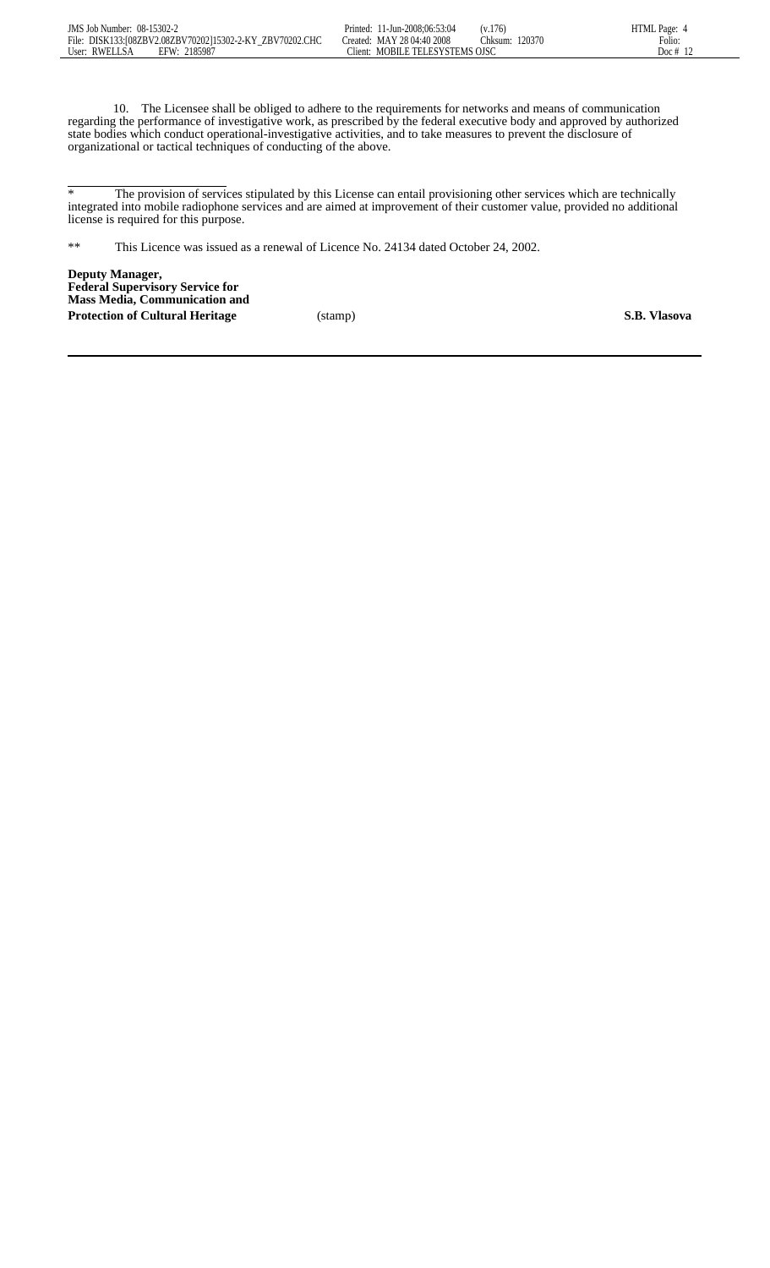10. The Licensee shall be obliged to adhere to the requirements for networks and means of communication regarding the performance of investigative work, as prescribed by the federal executive body and approved by authorized state bodies which conduct operational-investigative activities, and to take measures to prevent the disclosure of organizational or tactical techniques of conducting of the above.

The provision of services stipulated by this License can entail provisioning other services which are technically integrated into mobile radiophone services and are aimed at improvement of their customer value, provided no additional license is required for this purpose.

\*\* This Licence was issued as a renewal of Licence No. 24134 dated October 24, 2002.

**Deputy Manager, Federal Supervisory Service for Mass Media, Communication and Protection of Cultural Heritage** (stamp) **S.B. Vlasova**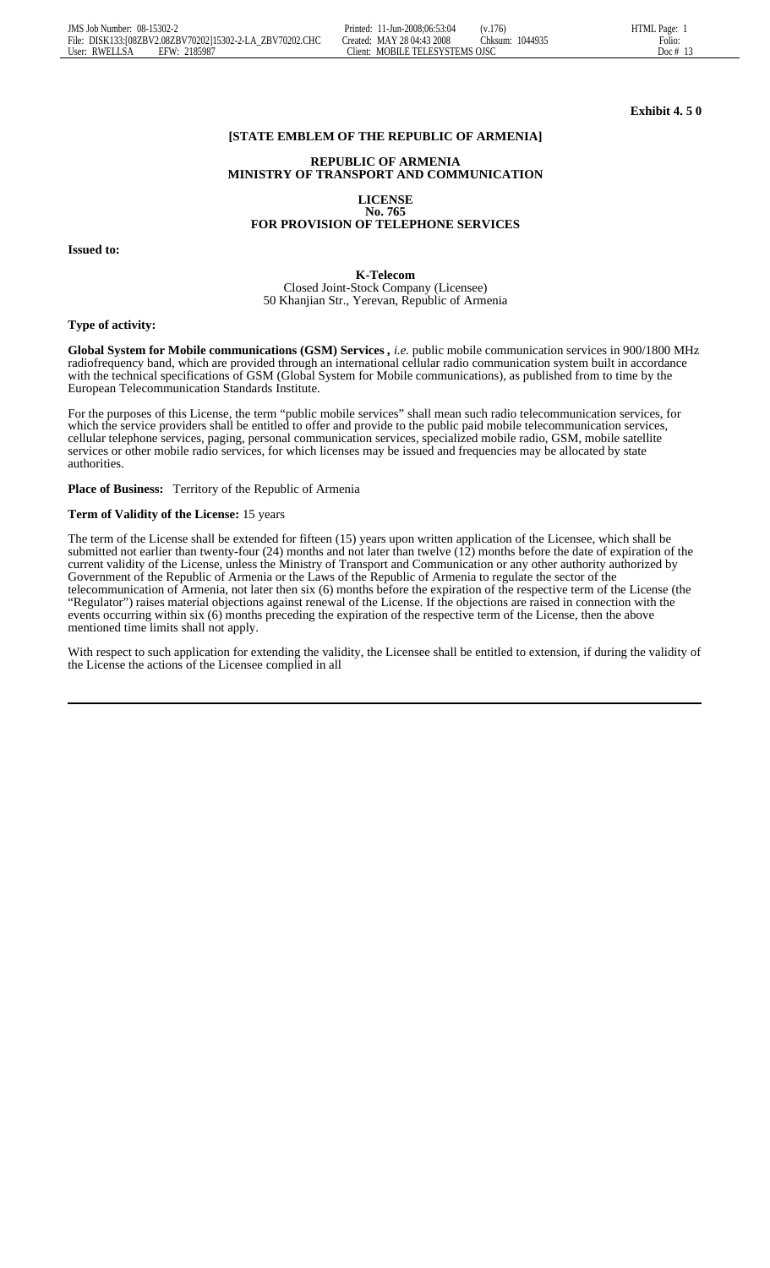### **[STATE EMBLEM OF THE REPUBLIC OF ARMENIA]**

### **REPUBLIC OF ARMENIA MINISTRY OF TRANSPORT AND COMMUNICATION**

#### **LICENSE No. 765 FOR PROVISION OF TELEPHONE SERVICES**

**Issued to:**

**K-Telecom**

Closed Joint-Stock Company (Licensee) 50 Khanjian Str., Yerevan, Republic of Armenia

### **Type of activity:**

**Global System for Mobile communications (GSM) Services** *, i.e.* public mobile communication services in 900/1800 MHz radiofrequency band, which are provided through an international cellular radio communication system built in accordance with the technical specifications of GSM (Global System for Mobile communications), as published from to time by the European Telecommunication Standards Institute.

For the purposes of this License, the term "public mobile services" shall mean such radio telecommunication services, for which the service providers shall be entitled to offer and provide to the public paid mobile telecommunication services, cellular telephone services, paging, personal communication services, specialized mobile radio, GSM, mobile satellite services or other mobile radio services, for which licenses may be issued and frequencies may be allocated by state authorities.

**Place of Business:** Territory of the Republic of Armenia

## **Term of Validity of the License:** 15 years

The term of the License shall be extended for fifteen (15) years upon written application of the Licensee, which shall be submitted not earlier than twenty-four (24) months and not later than twelve (12) months before the date of expiration of the current validity of the License, unless the Ministry of Transport and Communication or any other authority authorized by Government of the Republic of Armenia or the Laws of the Republic of Armenia to regulate the sector of the telecommunication of Armenia, not later then six (6) months before the expiration of the respective term of the License (the "Regulator") raises material objections against renewal of the License. If the objections are raised in connection with the events occurring within six (6) months preceding the expiration of the respective term of the License, then the above mentioned time limits shall not apply.

With respect to such application for extending the validity, the Licensee shall be entitled to extension, if during the validity of the License the actions of the Licensee complied in all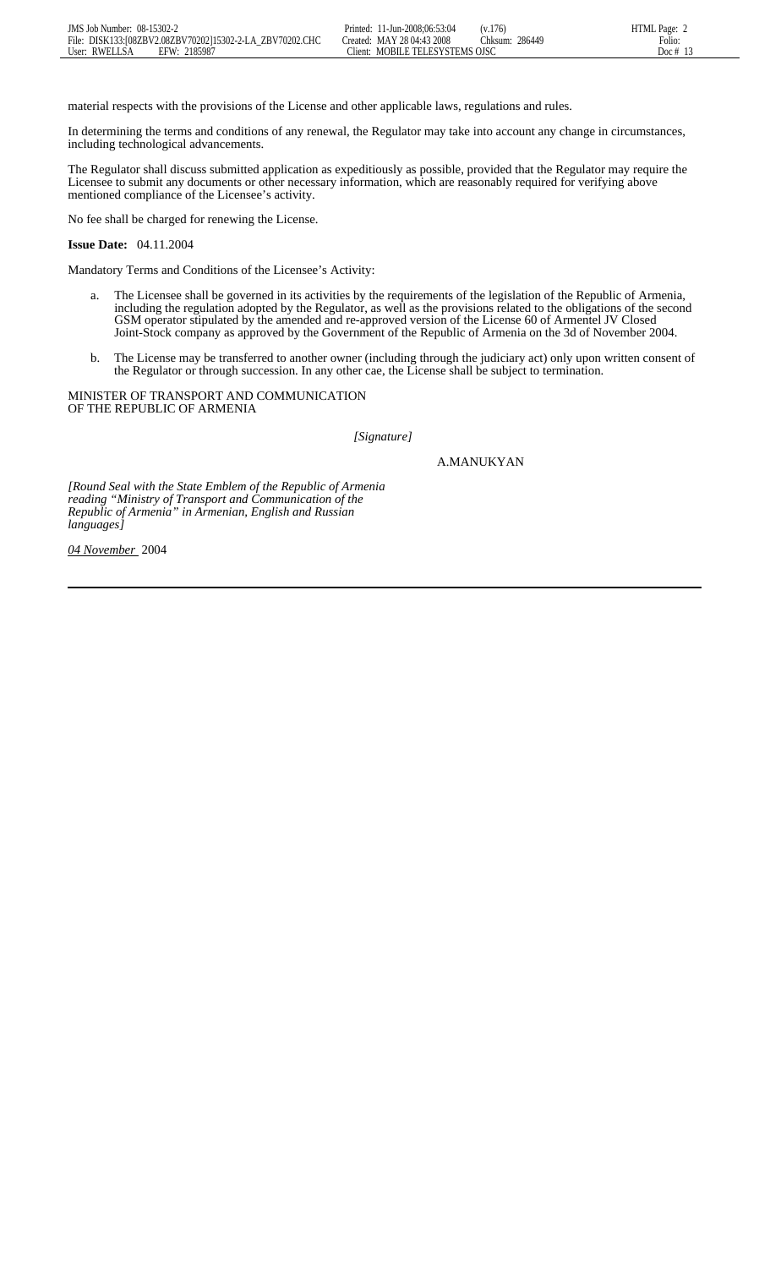material respects with the provisions of the License and other applicable laws, regulations and rules.

In determining the terms and conditions of any renewal, the Regulator may take into account any change in circumstances, including technological advancements.

The Regulator shall discuss submitted application as expeditiously as possible, provided that the Regulator may require the Licensee to submit any documents or other necessary information, which are reasonably required for verifying above mentioned compliance of the Licensee's activity.

No fee shall be charged for renewing the License.

**Issue Date:** 04.11.2004

Mandatory Terms and Conditions of the Licensee's Activity:

- a. The Licensee shall be governed in its activities by the requirements of the legislation of the Republic of Armenia, including the regulation adopted by the Regulator, as well as the provisions related to the obligations of the second GSM operator stipulated by the amended and re-approved version of the License 60 of Armentel JV Closed Joint-Stock company as approved by the Government of the Republic of Armenia on the 3d of November 2004.
- b. The License may be transferred to another owner (including through the judiciary act) only upon written consent of the Regulator or through succession. In any other cae, the License shall be subject to termination.

MINISTER OF TRANSPORT AND COMMUNICATION OF THE REPUBLIC OF ARMENIA

*[Signature]* A.MANUKYAN

*[Round Seal with the State Emblem of the Republic of Armenia reading "Ministry of Transport and Communication of the Republic of Armenia" in Armenian, English and Russian languages]*

*04 November* 2004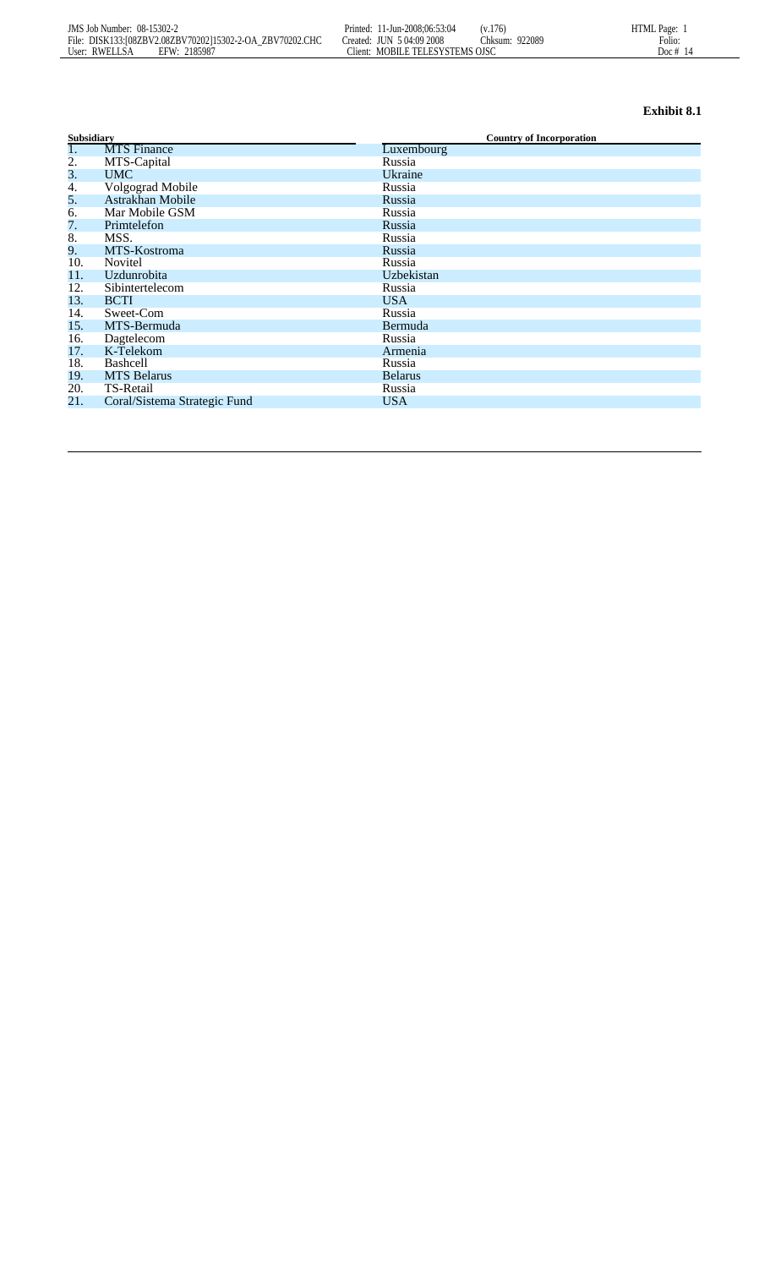| Subsidiary |                              | <b>Country of Incorporation</b> |
|------------|------------------------------|---------------------------------|
| 1.         | <b>MTS</b> Finance           | Luxembourg                      |
| 2.         | MTS-Capital                  | Russia                          |
| 3.         | <b>UMC</b>                   | Ukraine                         |
| 4.         | Volgograd Mobile             | Russia                          |
| 5.         | Astrakhan Mobile             | Russia                          |
| 6.         | Mar Mobile GSM               | Russia                          |
| 7.         | Primtelefon                  | Russia                          |
| 8.         | MSS.                         | Russia                          |
| 9.         | MTS-Kostroma                 | Russia                          |
| 10.        | Novitel                      | Russia                          |
| 11.        | Uzdunrobita                  | Uzbekistan                      |
| 12.        | Sibintertelecom              | Russia                          |
| 13.        | <b>BCTI</b>                  | <b>USA</b>                      |
| 14.        | Sweet-Com                    | Russia                          |
| 15.        | MTS-Bermuda                  | Bermuda                         |
| 16.        | Dagtelecom                   | Russia                          |
| 17.        | K-Telekom                    | Armenia                         |
| 18.        | Bashcell                     | Russia                          |
| 19.        | <b>MTS</b> Belarus           | <b>Belarus</b>                  |
| 20.        | TS-Retail                    | Russia                          |
| 21.        | Coral/Sistema Strategic Fund | <b>USA</b>                      |
|            |                              |                                 |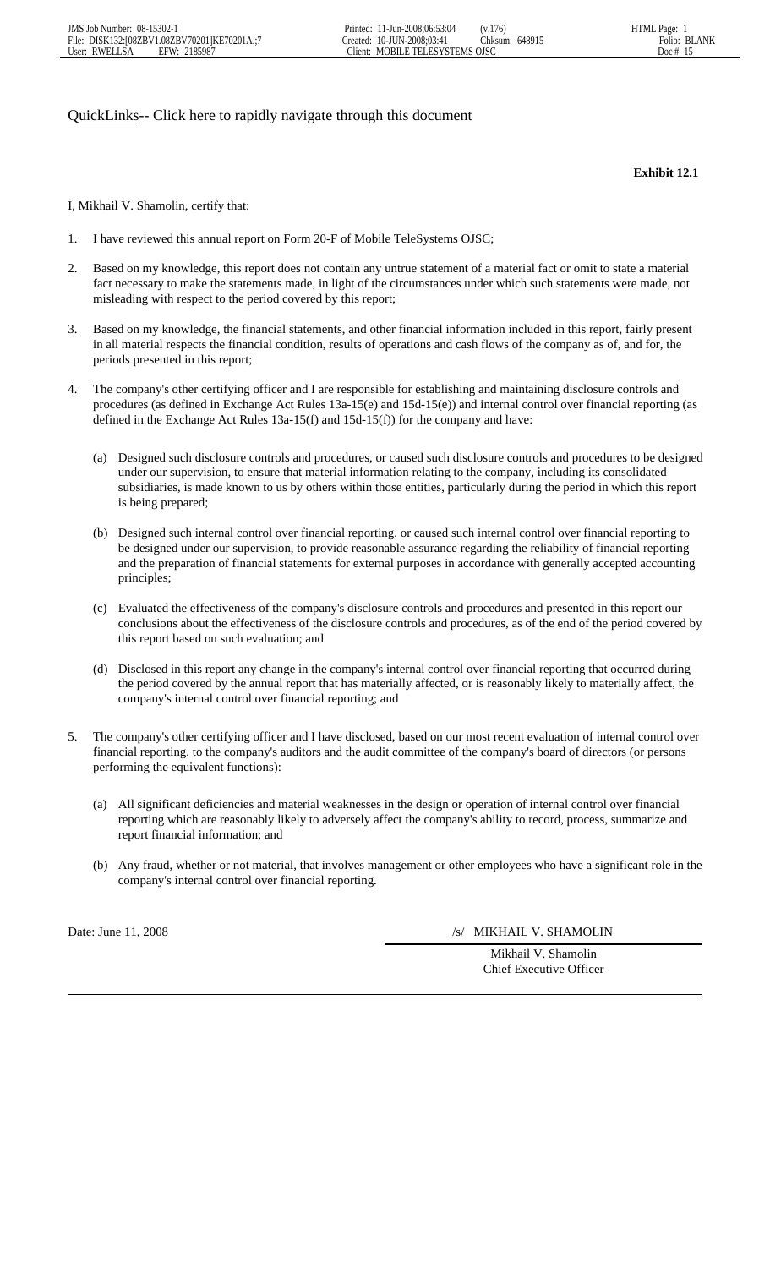## **Exhibit 12.1**

I, Mikhail V. Shamolin, certify that:

- 1. I have reviewed this annual report on Form 20-F of Mobile TeleSystems OJSC;
- 2. Based on my knowledge, this report does not contain any untrue statement of a material fact or omit to state a material fact necessary to make the statements made, in light of the circumstances under which such statements were made, not misleading with respect to the period covered by this report;
- 3. Based on my knowledge, the financial statements, and other financial information included in this report, fairly present in all material respects the financial condition, results of operations and cash flows of the company as of, and for, the periods presented in this report;
- 4. The company's other certifying officer and I are responsible for establishing and maintaining disclosure controls and procedures (as defined in Exchange Act Rules 13a-15(e) and 15d-15(e)) and internal control over financial reporting (as defined in the Exchange Act Rules 13a-15(f) and 15d-15(f)) for the company and have:
	- (a) Designed such disclosure controls and procedures, or caused such disclosure controls and procedures to be designed under our supervision, to ensure that material information relating to the company, including its consolidated subsidiaries, is made known to us by others within those entities, particularly during the period in which this report is being prepared;
	- (b) Designed such internal control over financial reporting, or caused such internal control over financial reporting to be designed under our supervision, to provide reasonable assurance regarding the reliability of financial reporting and the preparation of financial statements for external purposes in accordance with generally accepted accounting principles;
	- (c) Evaluated the effectiveness of the company's disclosure controls and procedures and presented in this report our conclusions about the effectiveness of the disclosure controls and procedures, as of the end of the period covered by this report based on such evaluation; and
	- (d) Disclosed in this report any change in the company's internal control over financial reporting that occurred during the period covered by the annual report that has materially affected, or is reasonably likely to materially affect, the company's internal control over financial reporting; and
- 5. The company's other certifying officer and I have disclosed, based on our most recent evaluation of internal control over financial reporting, to the company's auditors and the audit committee of the company's board of directors (or persons performing the equivalent functions):
	- (a) All significant deficiencies and material weaknesses in the design or operation of internal control over financial reporting which are reasonably likely to adversely affect the company's ability to record, process, summarize and report financial information; and
	- (b) Any fraud, whether or not material, that involves management or other employees who have a significant role in the company's internal control over financial reporting.

Date: June 11, 2008 /s/ MIKHAIL V. SHAMOLIN

Mikhail V. Shamolin Chief Executive Officer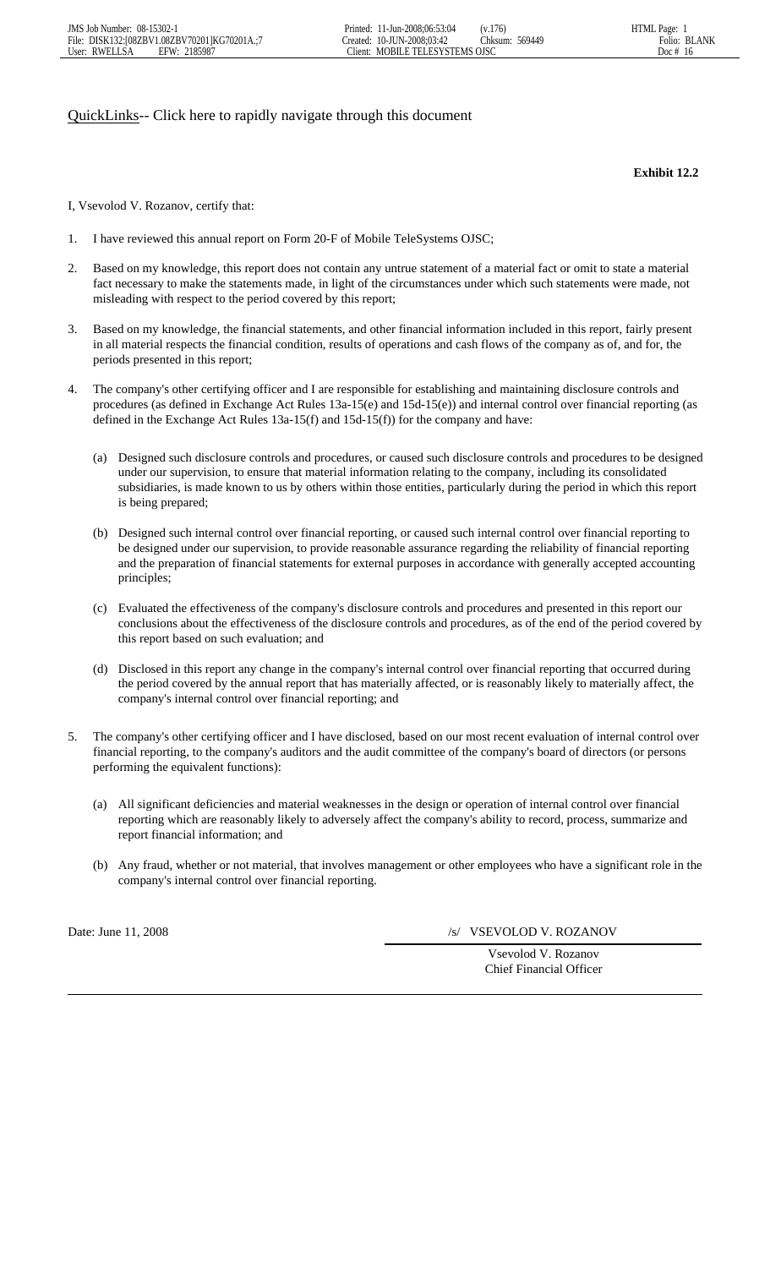## **Exhibit 12.2**

I, Vsevolod V. Rozanov, certify that:

- 1. I have reviewed this annual report on Form 20-F of Mobile TeleSystems OJSC;
- 2. Based on my knowledge, this report does not contain any untrue statement of a material fact or omit to state a material fact necessary to make the statements made, in light of the circumstances under which such statements were made, not misleading with respect to the period covered by this report;
- 3. Based on my knowledge, the financial statements, and other financial information included in this report, fairly present in all material respects the financial condition, results of operations and cash flows of the company as of, and for, the periods presented in this report;
- 4. The company's other certifying officer and I are responsible for establishing and maintaining disclosure controls and procedures (as defined in Exchange Act Rules 13a-15(e) and 15d-15(e)) and internal control over financial reporting (as defined in the Exchange Act Rules 13a-15(f) and 15d-15(f)) for the company and have:
	- (a) Designed such disclosure controls and procedures, or caused such disclosure controls and procedures to be designed under our supervision, to ensure that material information relating to the company, including its consolidated subsidiaries, is made known to us by others within those entities, particularly during the period in which this report is being prepared;
	- (b) Designed such internal control over financial reporting, or caused such internal control over financial reporting to be designed under our supervision, to provide reasonable assurance regarding the reliability of financial reporting and the preparation of financial statements for external purposes in accordance with generally accepted accounting principles;
	- (c) Evaluated the effectiveness of the company's disclosure controls and procedures and presented in this report our conclusions about the effectiveness of the disclosure controls and procedures, as of the end of the period covered by this report based on such evaluation; and
	- (d) Disclosed in this report any change in the company's internal control over financial reporting that occurred during the period covered by the annual report that has materially affected, or is reasonably likely to materially affect, the company's internal control over financial reporting; and
- 5. The company's other certifying officer and I have disclosed, based on our most recent evaluation of internal control over financial reporting, to the company's auditors and the audit committee of the company's board of directors (or persons performing the equivalent functions):
	- (a) All significant deficiencies and material weaknesses in the design or operation of internal control over financial reporting which are reasonably likely to adversely affect the company's ability to record, process, summarize and report financial information; and
	- (b) Any fraud, whether or not material, that involves management or other employees who have a significant role in the company's internal control over financial reporting.

## Date: June 11, 2008 /s/ VSEVOLOD V. ROZANOV

Vsevolod V. Rozanov Chief Financial Officer